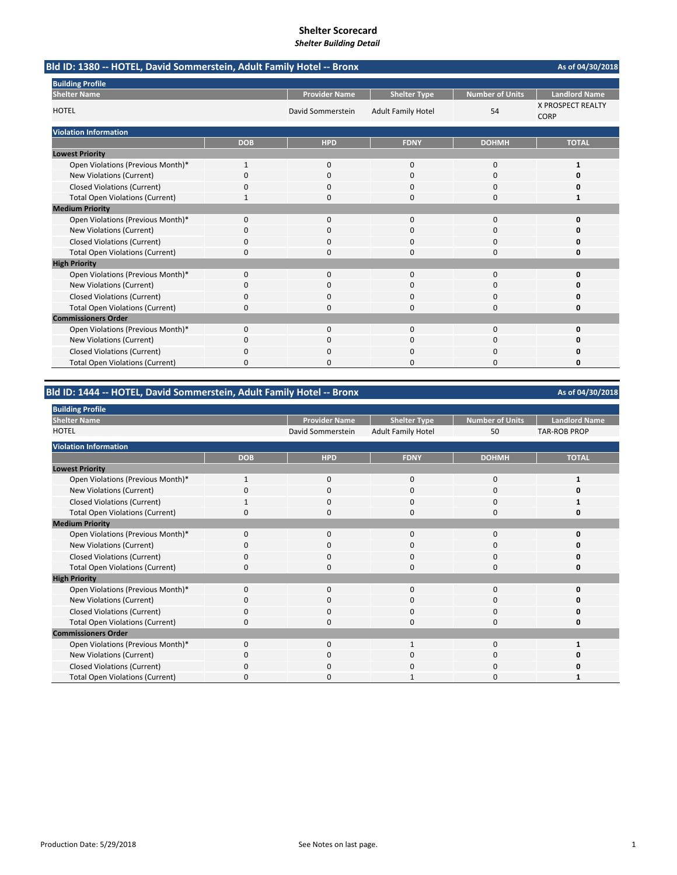| Bld ID: 1380 -- HOTEL, David Sommerstein, Adult Family Hotel -- Bronx |              |                      |                           |                        | As of 04/30/2018                        |
|-----------------------------------------------------------------------|--------------|----------------------|---------------------------|------------------------|-----------------------------------------|
| <b>Building Profile</b>                                               |              |                      |                           |                        |                                         |
| <b>Shelter Name</b>                                                   |              | <b>Provider Name</b> | <b>Shelter Type</b>       | <b>Number of Units</b> | <b>Landlord Name</b>                    |
| <b>HOTEL</b>                                                          |              | David Sommerstein    | <b>Adult Family Hotel</b> | 54                     | <b>X PROSPECT REALTY</b><br><b>CORP</b> |
| <b>Violation Information</b>                                          |              |                      |                           |                        |                                         |
|                                                                       | <b>DOB</b>   | <b>HPD</b>           | <b>FDNY</b>               | <b>DOHMH</b>           | <b>TOTAL</b>                            |
| <b>Lowest Priority</b>                                                |              |                      |                           |                        |                                         |
| Open Violations (Previous Month)*                                     | $\mathbf{1}$ | 0                    | 0                         | 0                      | 1                                       |
| New Violations (Current)                                              | 0            | 0                    | 0                         | 0                      | 0                                       |
| <b>Closed Violations (Current)</b>                                    | 0            | 0                    | 0                         | $\Omega$               | o                                       |
| <b>Total Open Violations (Current)</b>                                |              | <sup>0</sup>         | O                         | $\Omega$               | 1                                       |
| <b>Medium Priority</b>                                                |              |                      |                           |                        |                                         |
| Open Violations (Previous Month)*                                     | 0            | $\Omega$             | $\Omega$                  | $\Omega$               | O                                       |
| <b>New Violations (Current)</b>                                       | 0            | 0                    | 0                         | $\Omega$               | Ω                                       |
| <b>Closed Violations (Current)</b>                                    | 0            | 0                    | $\Omega$                  | 0                      | o                                       |
| <b>Total Open Violations (Current)</b>                                | 0            | $\Omega$             | $\Omega$                  | $\Omega$               | 0                                       |
| <b>High Priority</b>                                                  |              |                      |                           |                        |                                         |
| Open Violations (Previous Month)*                                     | 0            | $\Omega$             | $\Omega$                  | $\Omega$               | 0                                       |
| <b>New Violations (Current)</b>                                       | 0            | 0                    | 0                         | $\mathbf 0$            | 0                                       |
| <b>Closed Violations (Current)</b>                                    | 0            | <sup>0</sup>         | O                         | $\Omega$               | Ω                                       |
| <b>Total Open Violations (Current)</b>                                | 0            | <sup>0</sup>         | 0                         | $\Omega$               | 0                                       |
| <b>Commissioners Order</b>                                            |              |                      |                           |                        |                                         |
| Open Violations (Previous Month)*                                     | 0            | $\Omega$             | $\Omega$                  | $\Omega$               | 0                                       |
| New Violations (Current)                                              | 0            | 0                    | 0                         | $\Omega$               | 0                                       |
| <b>Closed Violations (Current)</b>                                    | 0            | $\Omega$             | 0                         | $\Omega$               | n                                       |
| <b>Total Open Violations (Current)</b>                                | $\Omega$     | ŋ                    | U                         | $\Omega$               | 0                                       |

## **Bld ID: 1444 ‐‐ HOTEL, David Sommerstein, Adult Family Hotel ‐‐ Bronx**

**Provider Name | Shelter Type | Number of Units | Landlord Nar** David Sommerstein Adult Family Hotel 50 TAR-ROB PROP **DOB HPD FDNY DOHMH TOTAL** Open Violations (Previous Month)\* 1000 **1** New Violations (Current) 0000 **0** Closed Violations (Current) 1000 **1** Total Open Violations (Current) 0000 **0** Open Violations (Previous Month)\* 0000 **0** New Violations (Current) 0000 **0** Closed Violations (Current) 0000 **0** Total Open Violations (Current) 0000 **0** Open Violations (Previous Month)\* 0000 **0** New Violations (Current) 0000 **0** Closed Violations (Current) 0000 **0** Total Open Violations (Current) 0000 **0** Open Violations (Previous Month)\* 0010 **1** New Violations (Current) 0000 **0** Closed Violations (Current) 0000 **0** Total Open Violations (Current) **0** 0000 **1** 0000 **1 Shelter Name HOTEL Building Profile Violation Information Lowest Priority Medium Priority High Priority Commissioners Order**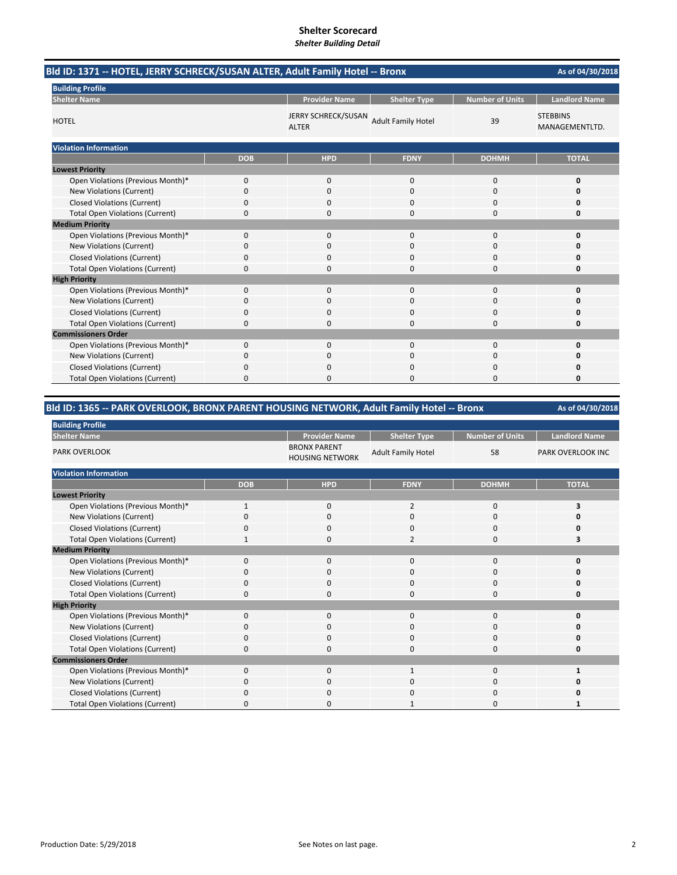# **Shelter Scorecard**

*Shelter Building Detail*

|                                        | Bld ID: 1371 -- HOTEL, JERRY SCHRECK/SUSAN ALTER, Adult Family Hotel -- Bronx |                                     |                           |                        |                                   |  |
|----------------------------------------|-------------------------------------------------------------------------------|-------------------------------------|---------------------------|------------------------|-----------------------------------|--|
| <b>Building Profile</b>                |                                                                               |                                     |                           |                        |                                   |  |
| <b>Shelter Name</b>                    |                                                                               | <b>Provider Name</b>                | <b>Shelter Type</b>       | <b>Number of Units</b> | <b>Landlord Name</b>              |  |
| <b>HOTEL</b>                           |                                                                               | JERRY SCHRECK/SUSAN<br><b>ALTER</b> | <b>Adult Family Hotel</b> | 39                     | <b>STEBBINS</b><br>MANAGEMENTLTD. |  |
| <b>Violation Information</b>           |                                                                               |                                     |                           |                        |                                   |  |
|                                        | <b>DOB</b>                                                                    | <b>HPD</b>                          | <b>FDNY</b>               | <b>DOHMH</b>           | <b>TOTAL</b>                      |  |
| <b>Lowest Priority</b>                 |                                                                               |                                     |                           |                        |                                   |  |
| Open Violations (Previous Month)*      | 0                                                                             | 0                                   | $\mathbf{0}$              | 0                      | 0                                 |  |
| New Violations (Current)               | 0                                                                             | $\Omega$                            | $\Omega$                  | $\Omega$               | 0                                 |  |
| <b>Closed Violations (Current)</b>     | 0                                                                             | 0                                   | 0                         | $\Omega$               | O                                 |  |
| <b>Total Open Violations (Current)</b> | 0                                                                             | $\Omega$                            | $\Omega$                  | $\Omega$               | 0                                 |  |
| <b>Medium Priority</b>                 |                                                                               |                                     |                           |                        |                                   |  |
| Open Violations (Previous Month)*      | 0                                                                             | 0                                   | $\mathbf{0}$              | $\mathbf 0$            | 0                                 |  |
| New Violations (Current)               | 0                                                                             | $\Omega$                            | 0                         | $\Omega$               | O                                 |  |
| <b>Closed Violations (Current)</b>     | 0                                                                             | 0                                   | 0                         | 0                      | 0                                 |  |
| <b>Total Open Violations (Current)</b> | 0                                                                             | 0                                   | 0                         | 0                      | 0                                 |  |
| <b>High Priority</b>                   |                                                                               |                                     |                           |                        |                                   |  |
| Open Violations (Previous Month)*      | 0                                                                             | 0                                   | $\Omega$                  | $\mathbf 0$            | 0                                 |  |
| New Violations (Current)               | 0                                                                             | 0                                   | 0                         | 0                      | 0                                 |  |
| <b>Closed Violations (Current)</b>     | 0                                                                             | 0                                   | $\Omega$                  | 0                      | o                                 |  |
| <b>Total Open Violations (Current)</b> | 0                                                                             | 0                                   | $\Omega$                  | 0                      | 0                                 |  |
| <b>Commissioners Order</b>             |                                                                               |                                     |                           |                        |                                   |  |
| Open Violations (Previous Month)*      | 0                                                                             | 0                                   | $\Omega$                  | $\Omega$               | 0                                 |  |
| New Violations (Current)               | 0                                                                             | 0                                   | $\Omega$                  | $\Omega$               | 0                                 |  |
| <b>Closed Violations (Current)</b>     | 0                                                                             | $\Omega$                            | $\Omega$                  | $\Omega$               | 0                                 |  |
| <b>Total Open Violations (Current)</b> | $\Omega$                                                                      | $\Omega$                            | O                         | $\Omega$               | O                                 |  |

## **Bld ID: 1365 ‐‐ PARK OVERLOOK, BRONX PARENT HOUSING NETWORK, Adult Family Hotel ‐‐ Bronx**

| <b>Building Profile</b>                |              |                                               |                           |                 |                          |
|----------------------------------------|--------------|-----------------------------------------------|---------------------------|-----------------|--------------------------|
| <b>Shelter Name</b>                    |              | <b>Provider Name</b>                          | <b>Shelter Type</b>       | Number of Units | <b>Landlord Name</b>     |
| <b>PARK OVERLOOK</b>                   |              | <b>BRONX PARENT</b><br><b>HOUSING NETWORK</b> | <b>Adult Family Hotel</b> | 58              | <b>PARK OVERLOOK INC</b> |
| <b>Violation Information</b>           |              |                                               |                           |                 |                          |
|                                        | <b>DOB</b>   | <b>HPD</b>                                    | <b>FDNY</b>               | <b>DOHMH</b>    | <b>TOTAL</b>             |
| <b>Lowest Priority</b>                 |              |                                               |                           |                 |                          |
| Open Violations (Previous Month)*      | $\mathbf{1}$ | 0                                             | $\overline{2}$            | 0               | 3                        |
| New Violations (Current)               | $\Omega$     | $\mathbf 0$                                   | 0                         | 0               |                          |
| <b>Closed Violations (Current)</b>     | 0            | $\mathbf 0$                                   | 0                         | $\mathbf 0$     |                          |
| <b>Total Open Violations (Current)</b> | -1           | $\mathbf 0$                                   | 2                         | $\mathbf 0$     |                          |
| <b>Medium Priority</b>                 |              |                                               |                           |                 |                          |
| Open Violations (Previous Month)*      | 0            | $\mathbf 0$                                   | 0                         | $\mathbf 0$     |                          |
| New Violations (Current)               | O            | $\mathbf 0$                                   | 0                         | 0               |                          |
| <b>Closed Violations (Current)</b>     | 0            | 0                                             | 0                         | 0               |                          |
| <b>Total Open Violations (Current)</b> | $\Omega$     | $\mathbf 0$                                   | $\Omega$                  | $\mathbf 0$     |                          |
| <b>High Priority</b>                   |              |                                               |                           |                 |                          |
| Open Violations (Previous Month)*      | $\Omega$     | $\mathbf 0$                                   | 0                         | 0               |                          |
| New Violations (Current)               | 0            | 0                                             | 0                         | 0               |                          |
| <b>Closed Violations (Current)</b>     | 0            | $\mathbf 0$                                   | 0                         | 0               |                          |
| <b>Total Open Violations (Current)</b> | 0            | $\mathbf 0$                                   | 0                         | $\mathbf 0$     |                          |
| <b>Commissioners Order</b>             |              |                                               |                           |                 |                          |
| Open Violations (Previous Month)*      | $\Omega$     | $\mathbf 0$                                   | $\mathbf{1}$              | $\mathbf 0$     |                          |
| New Violations (Current)               | $\Omega$     | 0                                             | 0                         | 0               |                          |
| <b>Closed Violations (Current)</b>     | 0            | 0                                             | 0                         | 0               |                          |
| <b>Total Open Violations (Current)</b> | n            | O                                             |                           | $\Omega$        |                          |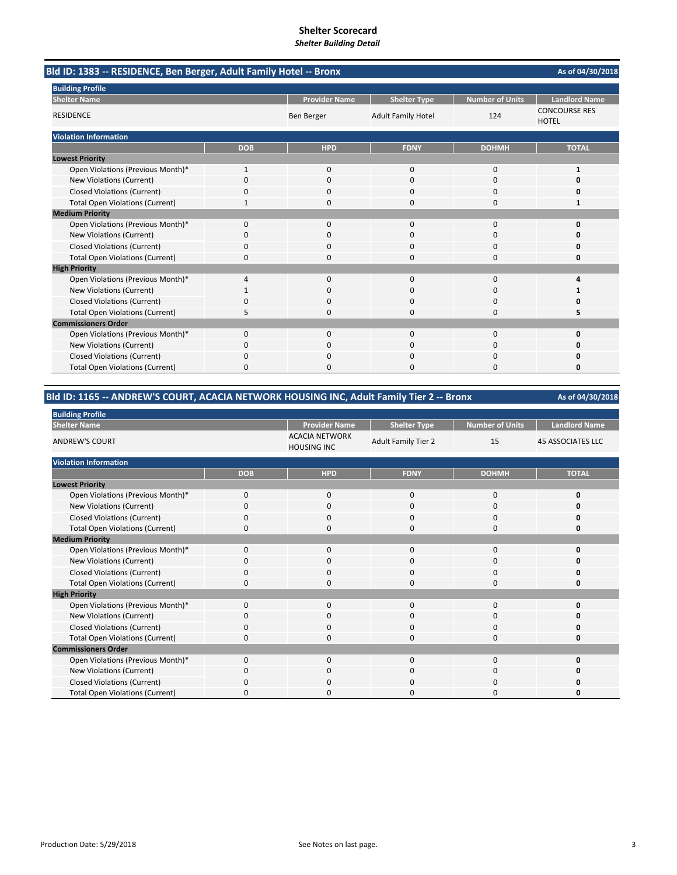|                                        | Bld ID: 1383 -- RESIDENCE, Ben Berger, Adult Family Hotel -- Bronx<br>As of 04/30/2018<br><b>Provider Name</b><br><b>Number of Units</b><br><b>Landlord Name</b><br><b>Shelter Type</b><br><b>CONCOURSE RES</b><br><b>Ben Berger</b><br><b>Adult Family Hotel</b><br>124<br><b>HOTEL</b><br><b>TOTAL</b><br><b>DOB</b><br><b>HPD</b><br><b>FDNY</b><br><b>DOHMH</b><br>$\mathbf 0$<br>0<br>$\mathbf{1}$<br>$\mathbf{0}$<br>1<br>0<br>$\Omega$<br>$\Omega$<br>0<br>$\Omega$<br>$\Omega$<br>0<br>0<br>0<br>0<br>$\Omega$<br>0<br>$\Omega$<br>1<br>1<br>$\Omega$<br>$\Omega$<br>$\Omega$<br>$\Omega$<br>$\mathbf 0$<br>0<br>0<br>O<br>ŋ<br>0<br>0<br>$\Omega$<br>0<br>0<br>0<br>0<br>$\Omega$<br>0<br>$\Omega$<br>0<br>$\Omega$<br>4<br>$\Omega$<br>$\Omega$<br>4<br>0<br>0<br>$\Omega$<br>0<br>$\Omega$<br>$\Omega$<br>$\Omega$<br>5<br>$\Omega$<br>$\Omega$<br>5<br><sup>0</sup><br>$\Omega$<br>$\Omega$<br>0<br>0<br>0<br>0<br>0<br>$\Omega$<br>0<br>0<br>0<br>$\Omega$<br>$\Omega$<br>0<br>0<br>0<br>$\Omega$<br>$\Omega$<br>0<br>O |  |  |
|----------------------------------------|--------------------------------------------------------------------------------------------------------------------------------------------------------------------------------------------------------------------------------------------------------------------------------------------------------------------------------------------------------------------------------------------------------------------------------------------------------------------------------------------------------------------------------------------------------------------------------------------------------------------------------------------------------------------------------------------------------------------------------------------------------------------------------------------------------------------------------------------------------------------------------------------------------------------------------------------------------------------------------------------------------------------------------------|--|--|
| <b>Building Profile</b>                |                                                                                                                                                                                                                                                                                                                                                                                                                                                                                                                                                                                                                                                                                                                                                                                                                                                                                                                                                                                                                                      |  |  |
| <b>Shelter Name</b>                    |                                                                                                                                                                                                                                                                                                                                                                                                                                                                                                                                                                                                                                                                                                                                                                                                                                                                                                                                                                                                                                      |  |  |
| <b>RESIDENCE</b>                       |                                                                                                                                                                                                                                                                                                                                                                                                                                                                                                                                                                                                                                                                                                                                                                                                                                                                                                                                                                                                                                      |  |  |
| <b>Violation Information</b>           |                                                                                                                                                                                                                                                                                                                                                                                                                                                                                                                                                                                                                                                                                                                                                                                                                                                                                                                                                                                                                                      |  |  |
|                                        |                                                                                                                                                                                                                                                                                                                                                                                                                                                                                                                                                                                                                                                                                                                                                                                                                                                                                                                                                                                                                                      |  |  |
| <b>Lowest Priority</b>                 |                                                                                                                                                                                                                                                                                                                                                                                                                                                                                                                                                                                                                                                                                                                                                                                                                                                                                                                                                                                                                                      |  |  |
| Open Violations (Previous Month)*      |                                                                                                                                                                                                                                                                                                                                                                                                                                                                                                                                                                                                                                                                                                                                                                                                                                                                                                                                                                                                                                      |  |  |
| New Violations (Current)               |                                                                                                                                                                                                                                                                                                                                                                                                                                                                                                                                                                                                                                                                                                                                                                                                                                                                                                                                                                                                                                      |  |  |
| <b>Closed Violations (Current)</b>     |                                                                                                                                                                                                                                                                                                                                                                                                                                                                                                                                                                                                                                                                                                                                                                                                                                                                                                                                                                                                                                      |  |  |
| <b>Total Open Violations (Current)</b> |                                                                                                                                                                                                                                                                                                                                                                                                                                                                                                                                                                                                                                                                                                                                                                                                                                                                                                                                                                                                                                      |  |  |
| <b>Medium Priority</b>                 |                                                                                                                                                                                                                                                                                                                                                                                                                                                                                                                                                                                                                                                                                                                                                                                                                                                                                                                                                                                                                                      |  |  |
| Open Violations (Previous Month)*      |                                                                                                                                                                                                                                                                                                                                                                                                                                                                                                                                                                                                                                                                                                                                                                                                                                                                                                                                                                                                                                      |  |  |
| <b>New Violations (Current)</b>        |                                                                                                                                                                                                                                                                                                                                                                                                                                                                                                                                                                                                                                                                                                                                                                                                                                                                                                                                                                                                                                      |  |  |
| <b>Closed Violations (Current)</b>     |                                                                                                                                                                                                                                                                                                                                                                                                                                                                                                                                                                                                                                                                                                                                                                                                                                                                                                                                                                                                                                      |  |  |
| <b>Total Open Violations (Current)</b> |                                                                                                                                                                                                                                                                                                                                                                                                                                                                                                                                                                                                                                                                                                                                                                                                                                                                                                                                                                                                                                      |  |  |
| <b>High Priority</b>                   |                                                                                                                                                                                                                                                                                                                                                                                                                                                                                                                                                                                                                                                                                                                                                                                                                                                                                                                                                                                                                                      |  |  |
| Open Violations (Previous Month)*      |                                                                                                                                                                                                                                                                                                                                                                                                                                                                                                                                                                                                                                                                                                                                                                                                                                                                                                                                                                                                                                      |  |  |
| New Violations (Current)               |                                                                                                                                                                                                                                                                                                                                                                                                                                                                                                                                                                                                                                                                                                                                                                                                                                                                                                                                                                                                                                      |  |  |
| <b>Closed Violations (Current)</b>     |                                                                                                                                                                                                                                                                                                                                                                                                                                                                                                                                                                                                                                                                                                                                                                                                                                                                                                                                                                                                                                      |  |  |
| <b>Total Open Violations (Current)</b> |                                                                                                                                                                                                                                                                                                                                                                                                                                                                                                                                                                                                                                                                                                                                                                                                                                                                                                                                                                                                                                      |  |  |
| <b>Commissioners Order</b>             |                                                                                                                                                                                                                                                                                                                                                                                                                                                                                                                                                                                                                                                                                                                                                                                                                                                                                                                                                                                                                                      |  |  |
| Open Violations (Previous Month)*      |                                                                                                                                                                                                                                                                                                                                                                                                                                                                                                                                                                                                                                                                                                                                                                                                                                                                                                                                                                                                                                      |  |  |
| <b>New Violations (Current)</b>        |                                                                                                                                                                                                                                                                                                                                                                                                                                                                                                                                                                                                                                                                                                                                                                                                                                                                                                                                                                                                                                      |  |  |
| <b>Closed Violations (Current)</b>     |                                                                                                                                                                                                                                                                                                                                                                                                                                                                                                                                                                                                                                                                                                                                                                                                                                                                                                                                                                                                                                      |  |  |
| <b>Total Open Violations (Current)</b> |                                                                                                                                                                                                                                                                                                                                                                                                                                                                                                                                                                                                                                                                                                                                                                                                                                                                                                                                                                                                                                      |  |  |

# **Bld ID: 1165 ‐‐ ANDREW'S COURT, ACACIA NETWORK HOUSING INC, Adult Family Tier 2 ‐‐ Bronx**

| <b>Building Profile</b>                |              |                                             |                            |                        |                          |
|----------------------------------------|--------------|---------------------------------------------|----------------------------|------------------------|--------------------------|
| <b>Shelter Name</b>                    |              | <b>Provider Name</b>                        | <b>Shelter Type</b>        | <b>Number of Units</b> | <b>Landlord Name</b>     |
| <b>ANDREW'S COURT</b>                  |              | <b>ACACIA NETWORK</b><br><b>HOUSING INC</b> | <b>Adult Family Tier 2</b> | 15                     | <b>45 ASSOCIATES LLC</b> |
| <b>Violation Information</b>           |              |                                             |                            |                        |                          |
|                                        | <b>DOB</b>   | <b>HPD</b>                                  | <b>FDNY</b>                | <b>DOHMH</b>           | <b>TOTAL</b>             |
| <b>Lowest Priority</b>                 |              |                                             |                            |                        |                          |
| Open Violations (Previous Month)*      | $\mathbf 0$  | 0                                           | $\mathbf{0}$               | 0                      | O                        |
| New Violations (Current)               | $\Omega$     | $\mathbf 0$                                 | $\mathbf 0$                | 0                      | Ω                        |
| <b>Closed Violations (Current)</b>     | 0            | $\mathbf 0$                                 | $\mathbf 0$                | 0                      | O                        |
| <b>Total Open Violations (Current)</b> | $\Omega$     | $\Omega$                                    | $\Omega$                   | $\Omega$               | O                        |
| <b>Medium Priority</b>                 |              |                                             |                            |                        |                          |
| Open Violations (Previous Month)*      | $\Omega$     | $\mathbf 0$                                 | $\Omega$                   | $\Omega$               | O                        |
| New Violations (Current)               | O            | 0                                           | 0                          | 0                      | o                        |
| <b>Closed Violations (Current)</b>     | 0            | $\mathbf 0$                                 | $\mathbf 0$                | 0                      | 0                        |
| <b>Total Open Violations (Current)</b> | $\mathbf 0$  | $\mathbf 0$                                 | $\mathbf 0$                | 0                      | 0                        |
| <b>High Priority</b>                   |              |                                             |                            |                        |                          |
| Open Violations (Previous Month)*      | $\Omega$     | $\mathbf 0$                                 | $\mathbf{0}$               | $\mathbf 0$            | O                        |
| New Violations (Current)               | <sup>0</sup> | $\mathbf 0$                                 | 0                          | 0                      | O                        |
| <b>Closed Violations (Current)</b>     | $\Omega$     | $\mathbf 0$                                 | 0                          | 0                      | O                        |
| <b>Total Open Violations (Current)</b> | $\Omega$     | $\mathbf 0$                                 | $\mathbf 0$                | 0                      | 0                        |
| <b>Commissioners Order</b>             |              |                                             |                            |                        |                          |
| Open Violations (Previous Month)*      | $\Omega$     | $\Omega$                                    | $\Omega$                   | $\Omega$               | 0                        |
| New Violations (Current)               | $\Omega$     | $\mathbf 0$                                 | 0                          | 0                      | O                        |
| <b>Closed Violations (Current)</b>     | $\Omega$     | $\mathbf 0$                                 | 0                          | 0                      | n                        |
| <b>Total Open Violations (Current)</b> | <sup>0</sup> | O                                           | 0                          | $\Omega$               | O                        |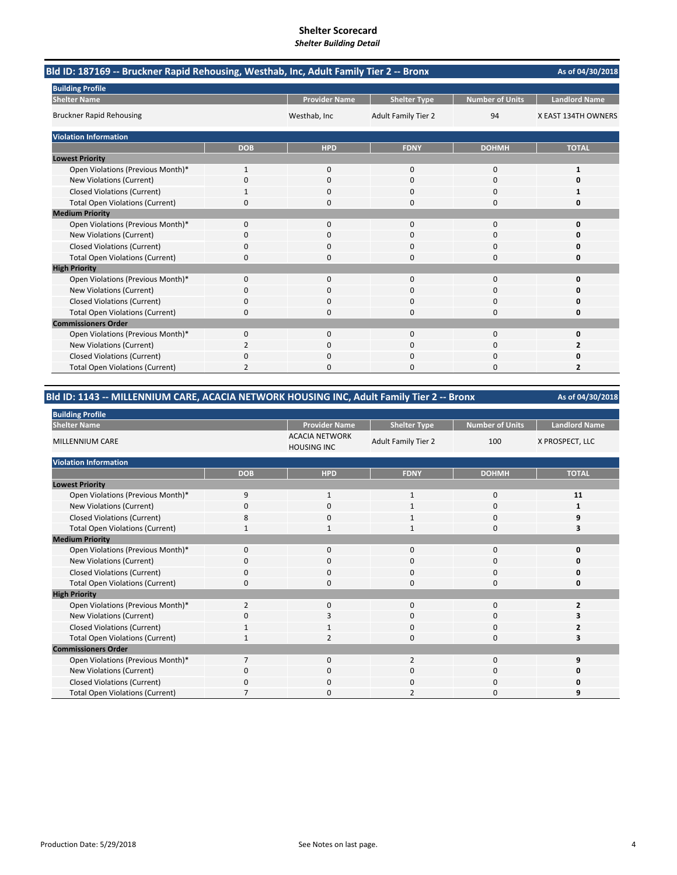| Bld ID: 187169 -- Bruckner Rapid Rehousing, Westhab, Inc, Adult Family Tier 2 -- Bronx |              |                      |                            |                        | As of 04/30/2018     |
|----------------------------------------------------------------------------------------|--------------|----------------------|----------------------------|------------------------|----------------------|
| <b>Building Profile</b>                                                                |              |                      |                            |                        |                      |
| <b>Shelter Name</b>                                                                    |              | <b>Provider Name</b> | <b>Shelter Type</b>        | <b>Number of Units</b> | <b>Landlord Name</b> |
| <b>Bruckner Rapid Rehousing</b>                                                        |              | Westhab, Inc         | <b>Adult Family Tier 2</b> | 94                     | X EAST 134TH OWNERS  |
| <b>Violation Information</b>                                                           |              |                      |                            |                        |                      |
|                                                                                        | <b>DOB</b>   | <b>HPD</b>           | <b>FDNY</b>                | <b>DOHMH</b>           | <b>TOTAL</b>         |
| <b>Lowest Priority</b>                                                                 |              |                      |                            |                        |                      |
| Open Violations (Previous Month)*                                                      | $\mathbf{1}$ | $\Omega$             | $\Omega$                   | 0                      | $\mathbf{1}$         |
| <b>New Violations (Current)</b>                                                        | 0            | $\Omega$             | $\mathbf 0$                | 0                      | ŋ                    |
| <b>Closed Violations (Current)</b>                                                     |              | 0                    | $\mathbf 0$                | 0                      |                      |
| <b>Total Open Violations (Current)</b>                                                 | 0            | 0                    | $\mathbf 0$                | 0                      | 0                    |
| <b>Medium Priority</b>                                                                 |              |                      |                            |                        |                      |
| Open Violations (Previous Month)*                                                      | $\Omega$     | $\Omega$             | $\Omega$                   | $\Omega$               | $\Omega$             |
| New Violations (Current)                                                               | 0            | 0                    | 0                          | 0                      | O                    |
| <b>Closed Violations (Current)</b>                                                     | 0            | 0                    | $\mathbf 0$                | 0                      | O                    |
| <b>Total Open Violations (Current)</b>                                                 | 0            | ŋ                    | $\Omega$                   | $\Omega$               | 0                    |
| <b>High Priority</b>                                                                   |              |                      |                            |                        |                      |
| Open Violations (Previous Month)*                                                      | $\mathbf{0}$ | $\mathbf{0}$         | $\mathbf 0$                | 0                      | $\Omega$             |
| New Violations (Current)                                                               | 0            | 0                    | $\Omega$                   | 0                      |                      |
| <b>Closed Violations (Current)</b>                                                     | 0            | 0                    | 0                          | 0                      | 0                    |
| <b>Total Open Violations (Current)</b>                                                 | 0            | 0                    | $\Omega$                   | 0                      | 0                    |
| <b>Commissioners Order</b>                                                             |              |                      |                            |                        |                      |
| Open Violations (Previous Month)*                                                      | $\Omega$     | $\Omega$             | $\Omega$                   | $\Omega$               | 0                    |
| New Violations (Current)                                                               | 2            | 0                    | $\Omega$                   | 0                      | 2                    |
| <b>Closed Violations (Current)</b>                                                     | 0            | 0                    | $\mathbf 0$                | 0                      |                      |
| <b>Total Open Violations (Current)</b>                                                 | 2            | n                    | $\Omega$                   | 0                      | $\overline{2}$       |

## **Bld ID: 1143 ‐‐ MILLENNIUM CARE, ACACIA NETWORK HOUSING INC, Adult Family Tier 2 ‐‐ Bronx**

| <b>Building Profile</b>                |                |                                             |                            |                        |                      |
|----------------------------------------|----------------|---------------------------------------------|----------------------------|------------------------|----------------------|
| <b>Shelter Name</b>                    |                | <b>Provider Name</b>                        | <b>Shelter Type</b>        | <b>Number of Units</b> | <b>Landlord Name</b> |
| <b>MILLENNIUM CARE</b>                 |                | <b>ACACIA NETWORK</b><br><b>HOUSING INC</b> | <b>Adult Family Tier 2</b> | 100                    | X PROSPECT, LLC      |
| <b>Violation Information</b>           |                |                                             |                            |                        |                      |
|                                        | <b>DOB</b>     | <b>HPD</b>                                  | <b>FDNY</b>                | <b>DOHMH</b>           | <b>TOTAL</b>         |
| <b>Lowest Priority</b>                 |                |                                             |                            |                        |                      |
| Open Violations (Previous Month)*      | 9              | 1                                           | 1                          | 0                      | 11                   |
| New Violations (Current)               | 0              | 0                                           | $\mathbf{1}$               | 0                      |                      |
| <b>Closed Violations (Current)</b>     | 8              | 0                                           | 1                          | 0                      | 9                    |
| <b>Total Open Violations (Current)</b> | $\mathbf{1}$   | 1                                           | $\mathbf{1}$               | $\mathbf{0}$           | ٦                    |
| <b>Medium Priority</b>                 |                |                                             |                            |                        |                      |
| Open Violations (Previous Month)*      | 0              | 0                                           | $\mathbf{0}$               | $\mathbf{0}$           | ŋ                    |
| New Violations (Current)               | O              | 0                                           | 0                          | 0                      |                      |
| <b>Closed Violations (Current)</b>     | 0              | 0                                           | 0                          | 0                      | 0                    |
| <b>Total Open Violations (Current)</b> | $\Omega$       | 0                                           | $\Omega$                   | $\Omega$               | U                    |
| <b>High Priority</b>                   |                |                                             |                            |                        |                      |
| Open Violations (Previous Month)*      | 2              | 0                                           | 0                          | $\mathbf{0}$           |                      |
| New Violations (Current)               | C              | 3                                           | 0                          | 0                      |                      |
| <b>Closed Violations (Current)</b>     |                | 1                                           | 0                          | 0                      |                      |
| <b>Total Open Violations (Current)</b> |                | $\overline{2}$                              | 0                          | 0                      |                      |
| <b>Commissioners Order</b>             |                |                                             |                            |                        |                      |
| Open Violations (Previous Month)*      | $\overline{7}$ | 0                                           | $\overline{2}$             | $\mathbf 0$            | q                    |
| New Violations (Current)               | 0              | 0                                           | 0                          | 0                      | 0                    |
| <b>Closed Violations (Current)</b>     | 0              | 0                                           | 0                          | 0                      | n                    |
| <b>Total Open Violations (Current)</b> |                | 0                                           |                            | 0                      |                      |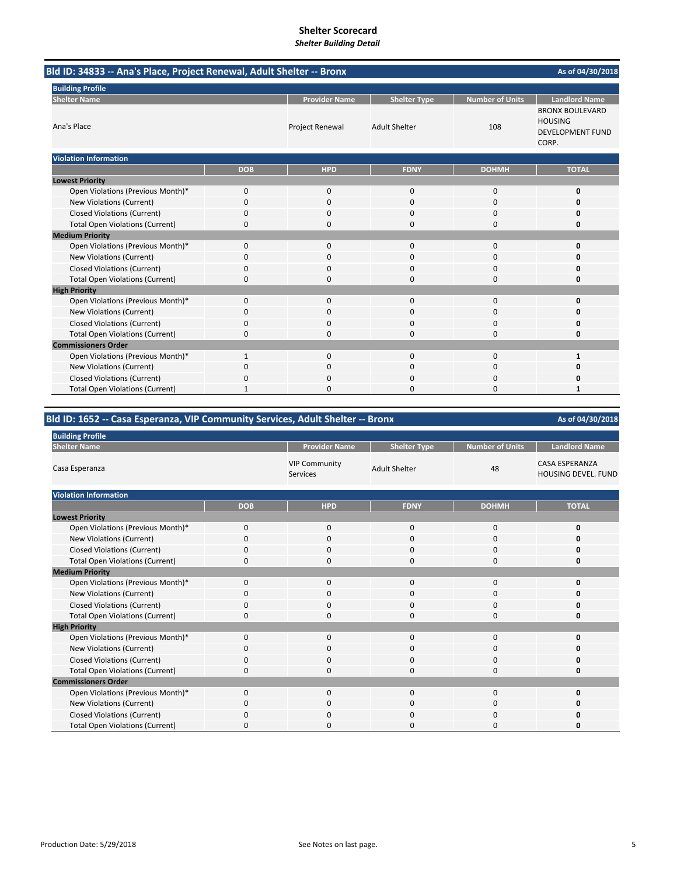# **Shelter Scorecard**

*Shelter Building Detail*

| Bld ID: 34833 -- Ana's Place, Project Renewal, Adult Shelter -- Bronx |              |                        |                      |                        | As of 04/30/2018                                                             |
|-----------------------------------------------------------------------|--------------|------------------------|----------------------|------------------------|------------------------------------------------------------------------------|
| <b>Building Profile</b>                                               |              |                        |                      |                        |                                                                              |
| <b>Shelter Name</b>                                                   |              | <b>Provider Name</b>   | <b>Shelter Type</b>  | <b>Number of Units</b> | <b>Landlord Name</b>                                                         |
| Ana's Place                                                           |              | <b>Project Renewal</b> | <b>Adult Shelter</b> | 108                    | <b>BRONX BOULEVARD</b><br><b>HOUSING</b><br><b>DEVELOPMENT FUND</b><br>CORP. |
| <b>Violation Information</b>                                          |              |                        |                      |                        |                                                                              |
|                                                                       | <b>DOB</b>   | <b>HPD</b>             | <b>FDNY</b>          | <b>DOHMH</b>           | <b>TOTAL</b>                                                                 |
| <b>Lowest Priority</b>                                                |              |                        |                      |                        |                                                                              |
| Open Violations (Previous Month)*                                     | 0            | $\mathbf{0}$           | 0                    | $\mathbf 0$            | $\mathbf{0}$                                                                 |
| New Violations (Current)                                              | 0            | 0                      | 0                    | $\Omega$               | ŋ                                                                            |
| <b>Closed Violations (Current)</b>                                    | 0            | 0                      | 0                    | $\mathbf 0$            | Ω                                                                            |
| <b>Total Open Violations (Current)</b>                                | 0            | 0                      | 0                    | $\Omega$               | Ω                                                                            |
| <b>Medium Priority</b>                                                |              |                        |                      |                        |                                                                              |
| Open Violations (Previous Month)*                                     | 0            | 0                      | $\Omega$             | $\Omega$               | ŋ                                                                            |
| New Violations (Current)                                              | 0            | 0                      | $\Omega$             | $\mathbf 0$            | n                                                                            |
| <b>Closed Violations (Current)</b>                                    | 0            | 0                      | 0                    | 0                      |                                                                              |
| <b>Total Open Violations (Current)</b>                                | 0            | 0                      | $\Omega$             | $\Omega$               | O                                                                            |
| <b>High Priority</b>                                                  |              |                        |                      |                        |                                                                              |
| Open Violations (Previous Month)*                                     | 0            | $\mathbf{0}$           | 0                    | 0                      | O                                                                            |
| New Violations (Current)                                              | 0            | 0                      | $\Omega$             | $\mathbf 0$            | ŋ                                                                            |
| <b>Closed Violations (Current)</b>                                    | 0            | 0                      | 0                    | $\Omega$               | c                                                                            |
| <b>Total Open Violations (Current)</b>                                | 0            | 0                      | $\Omega$             | $\Omega$               | O                                                                            |
| <b>Commissioners Order</b>                                            |              |                        |                      |                        |                                                                              |
| Open Violations (Previous Month)*                                     | $\mathbf{1}$ | 0                      | 0                    | $\mathbf 0$            | 1                                                                            |
| New Violations (Current)                                              | 0            | 0                      | 0                    | 0                      | Ω                                                                            |
| <b>Closed Violations (Current)</b>                                    | 0            | 0                      | 0                    | $\Omega$               |                                                                              |
| <b>Total Open Violations (Current)</b>                                |              | 0                      | 0                    | $\Omega$               |                                                                              |

## **Bld ID: 1652 ‐‐ Casa Esperanza, VIP Community Services, Adult Shelter ‐‐ Bronx**

| <b>Building Profile</b>                |             |                                         |                      |                        |                                                     |
|----------------------------------------|-------------|-----------------------------------------|----------------------|------------------------|-----------------------------------------------------|
| <b>Shelter Name</b>                    |             | <b>Provider Name</b>                    | <b>Shelter Type</b>  | <b>Number of Units</b> | <b>Landlord Name</b>                                |
| Casa Esperanza                         |             | <b>VIP Community</b><br><b>Services</b> | <b>Adult Shelter</b> | 48                     | <b>CASA ESPERANZA</b><br><b>HOUSING DEVEL, FUND</b> |
| <b>Violation Information</b>           |             |                                         |                      |                        |                                                     |
|                                        | <b>DOB</b>  | <b>HPD</b>                              | <b>FDNY</b>          | <b>DOHMH</b>           | <b>TOTAL</b>                                        |
| <b>Lowest Priority</b>                 |             |                                         |                      |                        |                                                     |
| Open Violations (Previous Month)*      | $\mathbf 0$ | $\mathbf{0}$                            | $\mathbf 0$          | $\mathbf 0$            | $\Omega$                                            |
| New Violations (Current)               | $\Omega$    | $\mathbf 0$                             | 0                    | $\Omega$               | n                                                   |
| <b>Closed Violations (Current)</b>     | $\Omega$    | $\mathbf 0$                             | 0                    | $\Omega$               |                                                     |
| <b>Total Open Violations (Current)</b> | 0           | $\Omega$                                | 0                    | $\Omega$               |                                                     |
| <b>Medium Priority</b>                 |             |                                         |                      |                        |                                                     |
| Open Violations (Previous Month)*      | $\Omega$    | $\mathbf 0$                             | $\Omega$             | $\Omega$               |                                                     |
| New Violations (Current)               | O           | 0                                       | 0                    | $\Omega$               |                                                     |
| <b>Closed Violations (Current)</b>     | $\Omega$    | 0                                       | 0                    | $\Omega$               |                                                     |
| <b>Total Open Violations (Current)</b> | $\Omega$    | $\Omega$                                | 0                    | $\Omega$               | n                                                   |
| <b>High Priority</b>                   |             |                                         |                      |                        |                                                     |
| Open Violations (Previous Month)*      | $\Omega$    | 0                                       | $\Omega$             | $\Omega$               |                                                     |
| New Violations (Current)               | $\Omega$    | $\mathbf 0$                             | 0                    | $\Omega$               |                                                     |
| <b>Closed Violations (Current)</b>     | 0           | $\mathbf 0$                             | 0                    | 0                      |                                                     |
| <b>Total Open Violations (Current)</b> | $\Omega$    | $\Omega$                                | $\Omega$             | $\Omega$               | n                                                   |
| <b>Commissioners Order</b>             |             |                                         |                      |                        |                                                     |
| Open Violations (Previous Month)*      | $\Omega$    | $\mathbf 0$                             | $\Omega$             | $\Omega$               | n                                                   |
| New Violations (Current)               | O           | $\Omega$                                | 0                    | $\Omega$               |                                                     |
| <b>Closed Violations (Current)</b>     | $\Omega$    | 0                                       | 0                    | $\Omega$               |                                                     |
| <b>Total Open Violations (Current)</b> | O           | $\Omega$                                | 0                    | $\Omega$               |                                                     |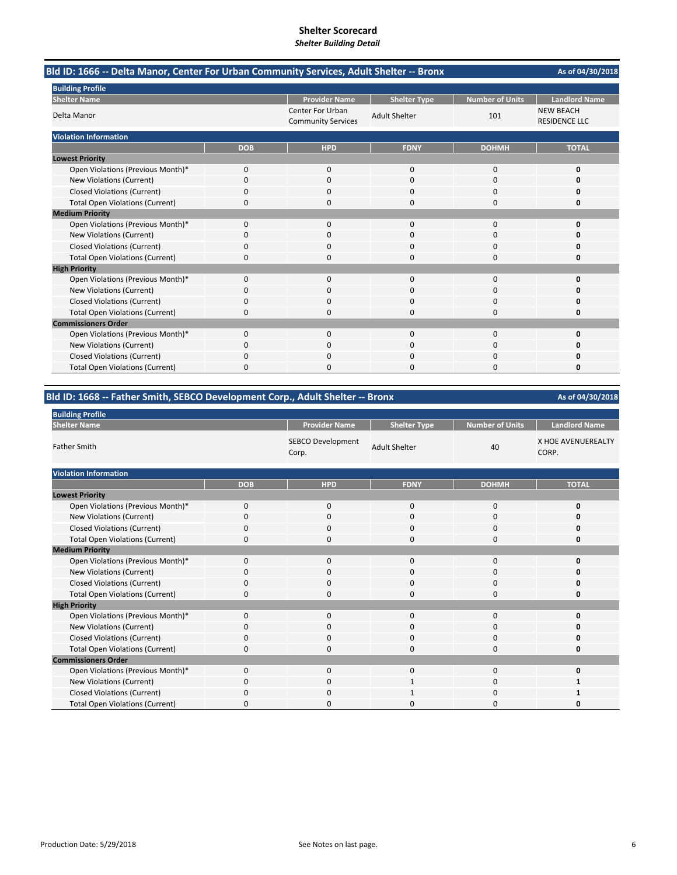| Bld ID: 1666 -- Delta Manor, Center For Urban Community Services, Adult Shelter -- Bronx |            |                                                      |                      |                        | As of 04/30/2018                         |
|------------------------------------------------------------------------------------------|------------|------------------------------------------------------|----------------------|------------------------|------------------------------------------|
| <b>Building Profile</b>                                                                  |            |                                                      |                      |                        |                                          |
| <b>Shelter Name</b>                                                                      |            | <b>Provider Name</b>                                 | <b>Shelter Type</b>  | <b>Number of Units</b> | <b>Landlord Name</b>                     |
| Delta Manor                                                                              |            | <b>Center For Urban</b><br><b>Community Services</b> | <b>Adult Shelter</b> | 101                    | <b>NEW BEACH</b><br><b>RESIDENCE LLC</b> |
| <b>Violation Information</b>                                                             |            |                                                      |                      |                        |                                          |
|                                                                                          | <b>DOB</b> | <b>HPD</b>                                           | <b>FDNY</b>          | <b>DOHMH</b>           | <b>TOTAL</b>                             |
| <b>Lowest Priority</b>                                                                   |            |                                                      |                      |                        |                                          |
| Open Violations (Previous Month)*                                                        | 0          | $\mathbf{0}$                                         | $\mathbf{0}$         | 0                      | 0                                        |
| New Violations (Current)                                                                 | 0          | $\Omega$                                             | $\Omega$             | $\Omega$               | n                                        |
| <b>Closed Violations (Current)</b>                                                       | 0          | n                                                    | n                    | O                      | n                                        |
| <b>Total Open Violations (Current)</b>                                                   | 0          | $\Omega$                                             | $\Omega$             | 0                      | 0                                        |
| <b>Medium Priority</b>                                                                   |            |                                                      |                      |                        |                                          |
| Open Violations (Previous Month)*                                                        | 0          | $\Omega$                                             | $\Omega$             | $\Omega$               | 0                                        |
| New Violations (Current)                                                                 | 0          | $\Omega$                                             | $\Omega$             | 0                      | O                                        |
| <b>Closed Violations (Current)</b>                                                       | 0          | O                                                    | $\Omega$             | $\Omega$               |                                          |
| <b>Total Open Violations (Current)</b>                                                   | 0          |                                                      | n                    | $\Omega$               | n                                        |
| <b>High Priority</b>                                                                     |            |                                                      |                      |                        |                                          |
| Open Violations (Previous Month)*                                                        | 0          | $\mathbf{0}$                                         | $\mathbf 0$          | 0                      | 0                                        |
| New Violations (Current)                                                                 | $\Omega$   | n                                                    | $\Omega$             | 0                      | n                                        |
| <b>Closed Violations (Current)</b>                                                       | 0          | n                                                    | n                    | O                      | n                                        |
| <b>Total Open Violations (Current)</b>                                                   | 0          | $\Omega$                                             | $\Omega$             | 0                      | 0                                        |
| <b>Commissioners Order</b>                                                               |            |                                                      |                      |                        |                                          |
| Open Violations (Previous Month)*                                                        | 0          | $\Omega$                                             | $\Omega$             | $\Omega$               | $\Omega$                                 |
| New Violations (Current)                                                                 | 0          | $\Omega$                                             | $\Omega$             | $\Omega$               | 0                                        |
| <b>Closed Violations (Current)</b>                                                       | 0          | 0                                                    | n                    | 0                      | O                                        |
| <b>Total Open Violations (Current)</b>                                                   | ŋ          |                                                      | n                    | n                      | n                                        |

# **Bld ID: 1668 ‐‐ Father Smith, SEBCO Development Corp., Adult Shelter ‐‐ Bronx**

| <b>Building Profile</b>                |             |                                   |                      |                        |                             |
|----------------------------------------|-------------|-----------------------------------|----------------------|------------------------|-----------------------------|
| <b>Shelter Name</b>                    |             | <b>Provider Name</b>              | <b>Shelter Type</b>  | <b>Number of Units</b> | <b>Landlord Name</b>        |
| <b>Father Smith</b>                    |             | <b>SEBCO Development</b><br>Corp. | <b>Adult Shelter</b> | 40                     | X HOE AVENUEREALTY<br>CORP. |
| <b>Violation Information</b>           |             |                                   |                      |                        |                             |
|                                        | <b>DOB</b>  | <b>HPD</b>                        | <b>FDNY</b>          | <b>DOHMH</b>           | <b>TOTAL</b>                |
| <b>Lowest Priority</b>                 |             |                                   |                      |                        |                             |
| Open Violations (Previous Month)*      | $\mathbf 0$ | 0                                 | 0                    | 0                      | 0                           |
| New Violations (Current)               | $\Omega$    | 0                                 | 0                    | 0                      | 0                           |
| Closed Violations (Current)            | $\mathbf 0$ | 0                                 | 0                    | 0                      | 0                           |
| <b>Total Open Violations (Current)</b> | $\Omega$    | $\Omega$                          | $\Omega$             | 0                      | 0                           |
| <b>Medium Priority</b>                 |             |                                   |                      |                        |                             |
| Open Violations (Previous Month)*      | $\mathbf 0$ | $\mathbf 0$                       | 0                    | 0                      | 0                           |
| New Violations (Current)               | $\Omega$    | 0                                 | 0                    | 0                      | $\Omega$                    |
| <b>Closed Violations (Current)</b>     | $\Omega$    | 0                                 | 0                    | 0                      | 0                           |
| <b>Total Open Violations (Current)</b> | 0           | 0                                 | 0                    | 0                      | 0                           |
| <b>High Priority</b>                   |             |                                   |                      |                        |                             |
| Open Violations (Previous Month)*      | $\mathbf 0$ | $\mathbf 0$                       | 0                    | 0                      | $\mathbf 0$                 |
| New Violations (Current)               | $\Omega$    | 0                                 | 0                    | 0                      | 0                           |
| <b>Closed Violations (Current)</b>     | $\Omega$    | 0                                 | 0                    | 0                      | 0                           |
| <b>Total Open Violations (Current)</b> | 0           | $\mathbf 0$                       | 0                    | 0                      | 0                           |
| <b>Commissioners Order</b>             |             |                                   |                      |                        |                             |
| Open Violations (Previous Month)*      | 0           | $\mathbf 0$                       | 0                    | 0                      | 0                           |
| New Violations (Current)               | $\Omega$    | $\Omega$                          | 1                    | 0                      |                             |
| <b>Closed Violations (Current)</b>     | 0           | 0                                 |                      | 0                      |                             |
| <b>Total Open Violations (Current)</b> | $\Omega$    | 0                                 | O                    | 0                      | O                           |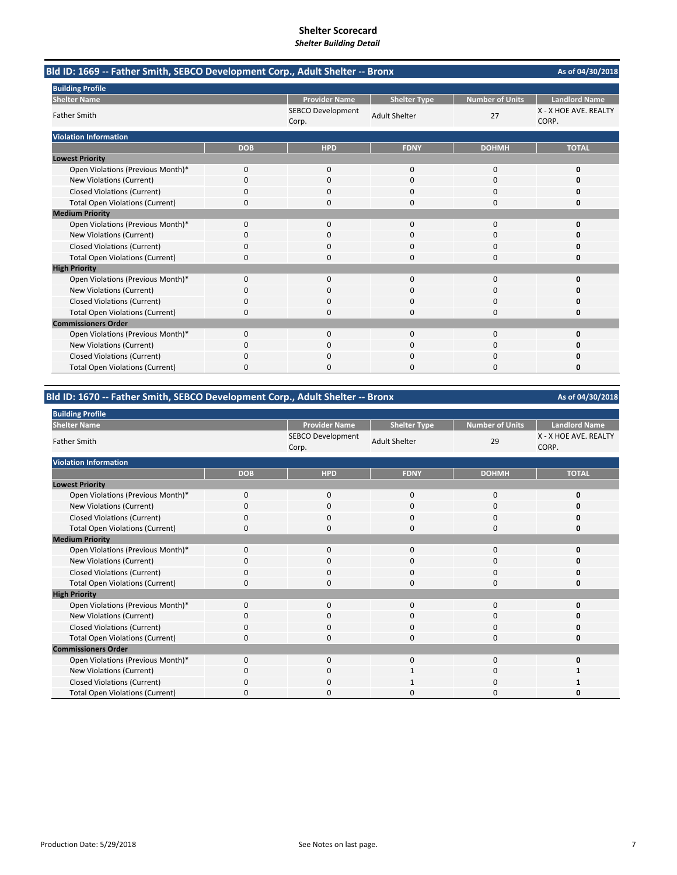| Bld ID: 1669 -- Father Smith, SEBCO Development Corp., Adult Shelter -- Bronx |            |                                   |                      |                        | As of 04/30/2018               |
|-------------------------------------------------------------------------------|------------|-----------------------------------|----------------------|------------------------|--------------------------------|
| <b>Building Profile</b>                                                       |            |                                   |                      |                        |                                |
| <b>Shelter Name</b>                                                           |            | <b>Provider Name</b>              | <b>Shelter Type</b>  | <b>Number of Units</b> | <b>Landlord Name</b>           |
| <b>Father Smith</b>                                                           |            | <b>SEBCO Development</b><br>Corp. | <b>Adult Shelter</b> | 27                     | X - X HOE AVE. REALTY<br>CORP. |
| <b>Violation Information</b>                                                  |            |                                   |                      |                        |                                |
|                                                                               | <b>DOB</b> | <b>HPD</b>                        | <b>FDNY</b>          | <b>DOHMH</b>           | <b>TOTAL</b>                   |
| <b>Lowest Priority</b>                                                        |            |                                   |                      |                        |                                |
| Open Violations (Previous Month)*                                             | $\Omega$   | $\mathbf{0}$                      | $\mathbf{0}$         | 0                      | 0                              |
| <b>New Violations (Current)</b>                                               | 0          | $\Omega$                          | $\mathbf 0$          | 0                      | O                              |
| <b>Closed Violations (Current)</b>                                            | 0          | 0                                 | $\mathbf 0$          | 0                      | 0                              |
| <b>Total Open Violations (Current)</b>                                        | 0          | 0                                 | $\Omega$             | 0                      | O                              |
| <b>Medium Priority</b>                                                        |            |                                   |                      |                        |                                |
| Open Violations (Previous Month)*                                             | $\Omega$   | $\Omega$                          | $\Omega$             | $\Omega$               | 0                              |
| New Violations (Current)                                                      | 0          | 0                                 | $\Omega$             | 0                      | o                              |
| <b>Closed Violations (Current)</b>                                            | 0          | 0                                 | $\Omega$             | 0                      |                                |
| <b>Total Open Violations (Current)</b>                                        | 0          | n                                 | $\Omega$             | 0                      | $\Omega$                       |
| <b>High Priority</b>                                                          |            |                                   |                      |                        |                                |
| Open Violations (Previous Month)*                                             | 0          | $\mathbf{0}$                      | $\mathbf{0}$         | 0                      | $\Omega$                       |
| <b>New Violations (Current)</b>                                               | 0          | $\Omega$                          | $\Omega$             | 0                      | n                              |
| <b>Closed Violations (Current)</b>                                            | 0          | 0                                 | 0                    | 0                      | 0                              |
| <b>Total Open Violations (Current)</b>                                        | 0          | $\mathbf 0$                       | $\mathbf 0$          | 0                      | 0                              |
| <b>Commissioners Order</b>                                                    |            |                                   |                      |                        |                                |
| Open Violations (Previous Month)*                                             | $\Omega$   | $\Omega$                          | $\Omega$             | $\Omega$               | $\Omega$                       |
| New Violations (Current)                                                      | 0          | 0                                 | $\Omega$             | 0                      | 0                              |
| <b>Closed Violations (Current)</b>                                            | 0          | 0                                 | $\mathbf 0$          | 0                      |                                |
| <b>Total Open Violations (Current)</b>                                        | 0          | n                                 | $\Omega$             | 0                      | 0                              |

# **Bld ID: 1670 ‐‐ Father Smith, SEBCO Development Corp., Adult Shelter ‐‐ Bronx**

| <b>Building Profile</b>                |            |                                   |                      |                        |                                |
|----------------------------------------|------------|-----------------------------------|----------------------|------------------------|--------------------------------|
| <b>Shelter Name</b>                    |            | <b>Provider Name</b>              | <b>Shelter Type</b>  | <b>Number of Units</b> | <b>Landlord Name</b>           |
| <b>Father Smith</b>                    |            | <b>SEBCO Development</b><br>Corp. | <b>Adult Shelter</b> | 29                     | X - X HOE AVE. REALTY<br>CORP. |
| <b>Violation Information</b>           |            |                                   |                      |                        |                                |
|                                        | <b>DOB</b> | <b>HPD</b>                        | <b>FDNY</b>          | <b>DOHMH</b>           | <b>TOTAL</b>                   |
| <b>Lowest Priority</b>                 |            |                                   |                      |                        |                                |
| Open Violations (Previous Month)*      | $\Omega$   | $\mathbf{0}$                      | 0                    | $\mathbf 0$            | 0                              |
| New Violations (Current)               | 0          | $\mathbf 0$                       | 0                    | 0                      | O                              |
| <b>Closed Violations (Current)</b>     | $\Omega$   | 0                                 | $\Omega$             | $\mathbf 0$            | O                              |
| <b>Total Open Violations (Current)</b> | 0          | $\Omega$                          | $\Omega$             | 0                      | 0                              |
| <b>Medium Priority</b>                 |            |                                   |                      |                        |                                |
| Open Violations (Previous Month)*      | $\Omega$   | $\Omega$                          | $\Omega$             | $\Omega$               | 0                              |
| New Violations (Current)               | 0          | $\mathbf 0$                       | 0                    | $\mathbf 0$            | O                              |
| <b>Closed Violations (Current)</b>     | O          | $\Omega$                          | $\Omega$             | $\Omega$               | O                              |
| <b>Total Open Violations (Current)</b> | 0          | $\Omega$                          | $\Omega$             | 0                      | 0                              |
| <b>High Priority</b>                   |            |                                   |                      |                        |                                |
| Open Violations (Previous Month)*      | $\Omega$   | $\Omega$                          | 0                    | 0                      | 0                              |
| New Violations (Current)               | 0          | $\mathbf 0$                       | 0                    | 0                      | 0                              |
| <b>Closed Violations (Current)</b>     | 0          | $\mathbf 0$                       | $\Omega$             | 0                      | 0                              |
| <b>Total Open Violations (Current)</b> | 0          | $\mathbf 0$                       | 0                    | 0                      | 0                              |
| <b>Commissioners Order</b>             |            |                                   |                      |                        |                                |
| Open Violations (Previous Month)*      | 0          | $\Omega$                          | 0                    | $\Omega$               | 0                              |
| New Violations (Current)               | 0          | $\Omega$                          |                      | $\mathbf 0$            |                                |
| <b>Closed Violations (Current)</b>     | O          | $\Omega$                          |                      | 0                      |                                |
| <b>Total Open Violations (Current)</b> | $\Omega$   | $\Omega$                          | O                    | 0                      | n                              |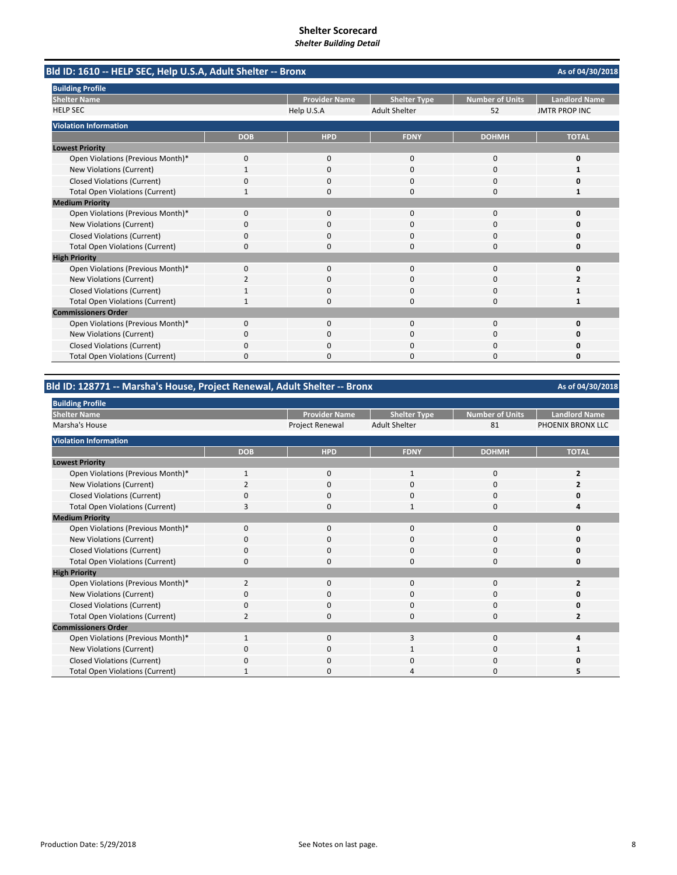| Bld ID: 1610 -- HELP SEC, Help U.S.A, Adult Shelter -- Bronx |              |                      |                      |                        | As of 04/30/2018     |
|--------------------------------------------------------------|--------------|----------------------|----------------------|------------------------|----------------------|
| <b>Building Profile</b>                                      |              |                      |                      |                        |                      |
| <b>Shelter Name</b>                                          |              | <b>Provider Name</b> | <b>Shelter Type</b>  | <b>Number of Units</b> | <b>Landlord Name</b> |
| <b>HELP SEC</b>                                              |              | Help U.S.A           | <b>Adult Shelter</b> | 52                     | <b>JMTR PROP INC</b> |
| <b>Violation Information</b>                                 |              |                      |                      |                        |                      |
|                                                              | <b>DOB</b>   | <b>HPD</b>           | <b>FDNY</b>          | <b>DOHMH</b>           | <b>TOTAL</b>         |
| <b>Lowest Priority</b>                                       |              |                      |                      |                        |                      |
| Open Violations (Previous Month)*                            | 0            | 0                    | $\mathbf{0}$         | $\mathbf 0$            | 0                    |
| New Violations (Current)                                     | $\mathbf{1}$ | $\Omega$             | $\Omega$             | $\Omega$               |                      |
| <b>Closed Violations (Current)</b>                           | 0            | $\Omega$             | $\Omega$             | 0                      | 0                    |
| <b>Total Open Violations (Current)</b>                       | $\mathbf{1}$ | 0                    | $\Omega$             | $\Omega$               | $\mathbf{1}$         |
| <b>Medium Priority</b>                                       |              |                      |                      |                        |                      |
| Open Violations (Previous Month)*                            | 0            | $\Omega$             | $\Omega$             | $\Omega$               | O                    |
| New Violations (Current)                                     | 0            | 0                    | 0                    | 0                      | 0                    |
| <b>Closed Violations (Current)</b>                           | 0            | $\Omega$             | $\Omega$             | $\Omega$               | O                    |
| <b>Total Open Violations (Current)</b>                       | 0            | $\Omega$             | 0                    | $\Omega$               | 0                    |
| <b>High Priority</b>                                         |              |                      |                      |                        |                      |
| Open Violations (Previous Month)*                            | $\Omega$     | $\Omega$             | $\Omega$             | $\Omega$               | O                    |
| New Violations (Current)                                     | 2            | 0                    | 0                    | 0                      | 2                    |
| <b>Closed Violations (Current)</b>                           | 1            | 0                    | 0                    | 0                      |                      |
| <b>Total Open Violations (Current)</b>                       | 1            | n                    | $\Omega$             | $\Omega$               |                      |
| <b>Commissioners Order</b>                                   |              |                      |                      |                        |                      |
| Open Violations (Previous Month)*                            | 0            | 0                    | $\mathbf{0}$         | $\mathbf 0$            | 0                    |
| New Violations (Current)                                     | 0            | $\Omega$             | 0                    | $\Omega$               | o                    |
| <b>Closed Violations (Current)</b>                           | 0            | 0                    | O                    | $\Omega$               | 0                    |
| <b>Total Open Violations (Current)</b>                       | 0            | $\Omega$             | $\Omega$             | $\Omega$               | 0                    |

# **Bld ID: 128771 ‐‐ Marsha's House, Project Renewal, Adult Shelter ‐‐ Bronx**

| <b>Building Profile</b>                |                |                      |                      |                 |                      |  |  |  |  |
|----------------------------------------|----------------|----------------------|----------------------|-----------------|----------------------|--|--|--|--|
| <b>Shelter Name</b>                    |                | <b>Provider Name</b> | <b>Shelter Type</b>  | Number of Units | <b>Landlord Name</b> |  |  |  |  |
| Marsha's House                         |                | Project Renewal      | <b>Adult Shelter</b> | 81              | PHOENIX BRONX LLC    |  |  |  |  |
| <b>Violation Information</b>           |                |                      |                      |                 |                      |  |  |  |  |
|                                        | <b>DOB</b>     | <b>HPD</b>           | <b>FDNY</b>          | <b>DOHMH</b>    | <b>TOTAL</b>         |  |  |  |  |
| <b>Lowest Priority</b>                 |                |                      |                      |                 |                      |  |  |  |  |
| Open Violations (Previous Month)*      |                | 0                    | 1                    | 0               |                      |  |  |  |  |
| New Violations (Current)               |                | 0                    | 0                    | 0               |                      |  |  |  |  |
| <b>Closed Violations (Current)</b>     | O              | 0                    | 0                    | 0               |                      |  |  |  |  |
| <b>Total Open Violations (Current)</b> |                | 0                    |                      | 0               |                      |  |  |  |  |
| <b>Medium Priority</b>                 |                |                      |                      |                 |                      |  |  |  |  |
| Open Violations (Previous Month)*      | $\Omega$       | 0                    | $\mathbf{0}$         | 0               | ŋ                    |  |  |  |  |
| New Violations (Current)               | 0              | 0                    | 0                    | 0               |                      |  |  |  |  |
| <b>Closed Violations (Current)</b>     | O              | 0                    | 0                    | 0               |                      |  |  |  |  |
| <b>Total Open Violations (Current)</b> | 0              | 0                    | 0                    | 0               | Ω                    |  |  |  |  |
| <b>High Priority</b>                   |                |                      |                      |                 |                      |  |  |  |  |
| Open Violations (Previous Month)*      | $\overline{2}$ | 0                    | $\mathbf{0}$         | 0               | 2                    |  |  |  |  |
| New Violations (Current)               | O              | 0                    | 0                    | 0               |                      |  |  |  |  |
| Closed Violations (Current)            | 0              | 0                    | 0                    | 0               | O                    |  |  |  |  |
| <b>Total Open Violations (Current)</b> | $\overline{2}$ | 0                    | 0                    | 0               | 2                    |  |  |  |  |
| <b>Commissioners Order</b>             |                |                      |                      |                 |                      |  |  |  |  |
| Open Violations (Previous Month)*      | $\mathbf{1}$   | $\Omega$             | 3                    | 0               | Δ                    |  |  |  |  |
| New Violations (Current)               | O              | 0                    | 1                    | 0               |                      |  |  |  |  |
| Closed Violations (Current)            | 0              | 0                    | $\Omega$             | 0               |                      |  |  |  |  |
| <b>Total Open Violations (Current)</b> |                | 0                    | 4                    | $\Omega$        |                      |  |  |  |  |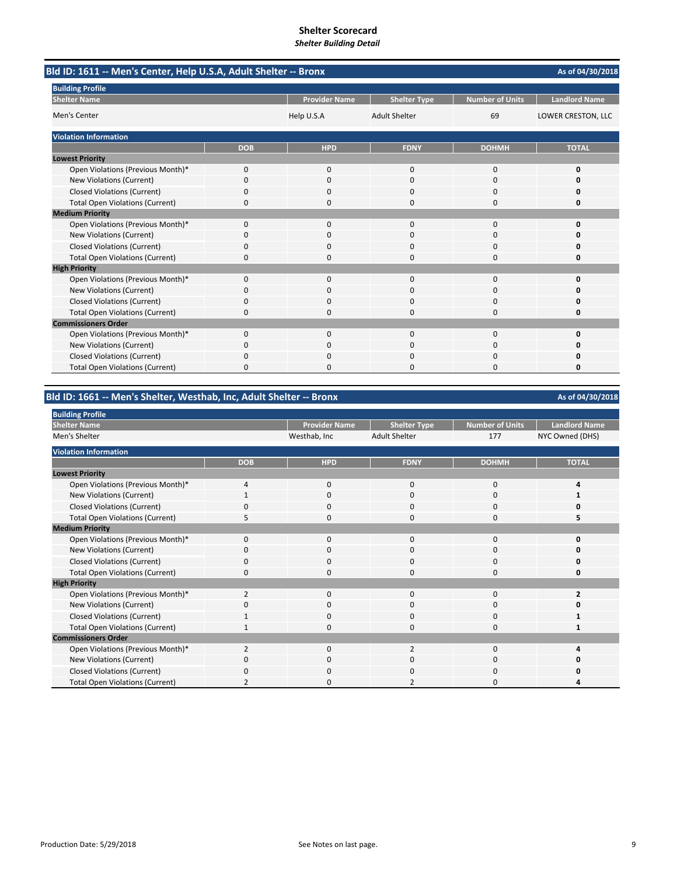| Bld ID: 1611 -- Men's Center, Help U.S.A, Adult Shelter -- Bronx |            |                      |                      |                        | As of 04/30/2018     |
|------------------------------------------------------------------|------------|----------------------|----------------------|------------------------|----------------------|
| <b>Building Profile</b>                                          |            |                      |                      |                        |                      |
| <b>Shelter Name</b>                                              |            | <b>Provider Name</b> | <b>Shelter Type</b>  | <b>Number of Units</b> | <b>Landlord Name</b> |
| Men's Center                                                     |            | Help U.S.A           | <b>Adult Shelter</b> | 69                     | LOWER CRESTON, LLC   |
| <b>Violation Information</b>                                     |            |                      |                      |                        |                      |
|                                                                  | <b>DOB</b> | <b>HPD</b>           | <b>FDNY</b>          | <b>DOHMH</b>           | <b>TOTAL</b>         |
| <b>Lowest Priority</b>                                           |            |                      |                      |                        |                      |
| Open Violations (Previous Month)*                                | 0          | 0                    | $\mathbf{0}$         | $\mathbf 0$            | 0                    |
| <b>New Violations (Current)</b>                                  | 0          | 0                    | $\Omega$             | $\Omega$               | O                    |
| <b>Closed Violations (Current)</b>                               | 0          | 0                    | 0                    | $\Omega$               | 0                    |
| <b>Total Open Violations (Current)</b>                           | 0          | $\Omega$             | $\Omega$             | $\Omega$               | 0                    |
| <b>Medium Priority</b>                                           |            |                      |                      |                        |                      |
| Open Violations (Previous Month)*                                | $\Omega$   | $\Omega$             | $\Omega$             | $\Omega$               | $\Omega$             |
| New Violations (Current)                                         | ŋ          | <sup>0</sup>         | O                    | $\Omega$               | n                    |
| <b>Closed Violations (Current)</b>                               | 0          | $\Omega$             | $\Omega$             | $\Omega$               | 0                    |
| <b>Total Open Violations (Current)</b>                           | $\Omega$   | $\Omega$             | 0                    | $\Omega$               | 0                    |
| <b>High Priority</b>                                             |            |                      |                      |                        |                      |
| Open Violations (Previous Month)*                                | 0          | 0                    | 0                    | $\Omega$               | O                    |
| New Violations (Current)                                         | 0          | $\Omega$             | $\Omega$             | $\Omega$               | Ω                    |
| <b>Closed Violations (Current)</b>                               | 0          | $\Omega$             | 0                    | $\Omega$               | O                    |
| <b>Total Open Violations (Current)</b>                           | 0          | <sup>0</sup>         | O                    | $\Omega$               | 0                    |
| <b>Commissioners Order</b>                                       |            |                      |                      |                        |                      |
| Open Violations (Previous Month)*                                | 0          | 0                    | $\Omega$             | $\mathbf 0$            | 0                    |
| New Violations (Current)                                         | 0          | $\Omega$             | 0                    | $\Omega$               | 0                    |
| <b>Closed Violations (Current)</b>                               | 0          | $\Omega$             | 0                    | $\Omega$               | n                    |
| <b>Total Open Violations (Current)</b>                           | 0          | $\Omega$             | $\Omega$             | $\Omega$               | 0                    |

**Bld ID: 1661 ‐‐ Men's Shelter, Westhab, Inc, Adult Shelter ‐‐ Bronx**

| <b>Building Profile</b>                |                |                      |                      |                        |                      |
|----------------------------------------|----------------|----------------------|----------------------|------------------------|----------------------|
| <b>Shelter Name</b>                    |                | <b>Provider Name</b> | <b>Shelter Type</b>  | <b>Number of Units</b> | <b>Landlord Name</b> |
| Men's Shelter                          |                | Westhab, Inc         | <b>Adult Shelter</b> | 177                    | NYC Owned (DHS)      |
| <b>Violation Information</b>           |                |                      |                      |                        |                      |
|                                        | <b>DOB</b>     | <b>HPD</b>           | <b>FDNY</b>          | <b>DOHMH</b>           | <b>TOTAL</b>         |
| <b>Lowest Priority</b>                 |                |                      |                      |                        |                      |
| Open Violations (Previous Month)*      | 4              | $\mathbf 0$          | $\Omega$             | 0                      | 4                    |
| New Violations (Current)               |                | $\mathbf 0$          | $\Omega$             | 0                      |                      |
| <b>Closed Violations (Current)</b>     |                | $\Omega$             | O                    | 0                      |                      |
| <b>Total Open Violations (Current)</b> | 5              | $\mathbf 0$          | $\Omega$             | 0                      | 5                    |
| <b>Medium Priority</b>                 |                |                      |                      |                        |                      |
| Open Violations (Previous Month)*      | $\Omega$       | $\mathbf{0}$         | $\Omega$             | 0                      | 0                    |
| New Violations (Current)               | 0              | $\Omega$             | $\Omega$             | $\Omega$               | O                    |
| <b>Closed Violations (Current)</b>     | 0              | $\mathbf 0$          | $\Omega$             | 0                      | 0                    |
| <b>Total Open Violations (Current)</b> | 0              | $\Omega$             | $\Omega$             | 0                      | 0                    |
| <b>High Priority</b>                   |                |                      |                      |                        |                      |
| Open Violations (Previous Month)*      | $\overline{2}$ | $\Omega$             | $\Omega$             | 0                      | ,                    |
| New Violations (Current)               | O              | 0                    | 0                    | 0                      |                      |
| <b>Closed Violations (Current)</b>     |                | $\mathbf 0$          | $\Omega$             | 0                      |                      |
| <b>Total Open Violations (Current)</b> |                | 0                    | O                    | 0                      |                      |
| <b>Commissioners Order</b>             |                |                      |                      |                        |                      |
| Open Violations (Previous Month)*      | $\overline{2}$ | $\mathbf 0$          | $\overline{2}$       | 0                      | Δ                    |
| New Violations (Current)               | O              | $\mathbf 0$          | $\Omega$             | 0                      | n                    |
| <b>Closed Violations (Current)</b>     | O              | $\Omega$             | O                    | 0                      | ი                    |
| <b>Total Open Violations (Current)</b> |                | 0                    |                      | 0                      | Δ                    |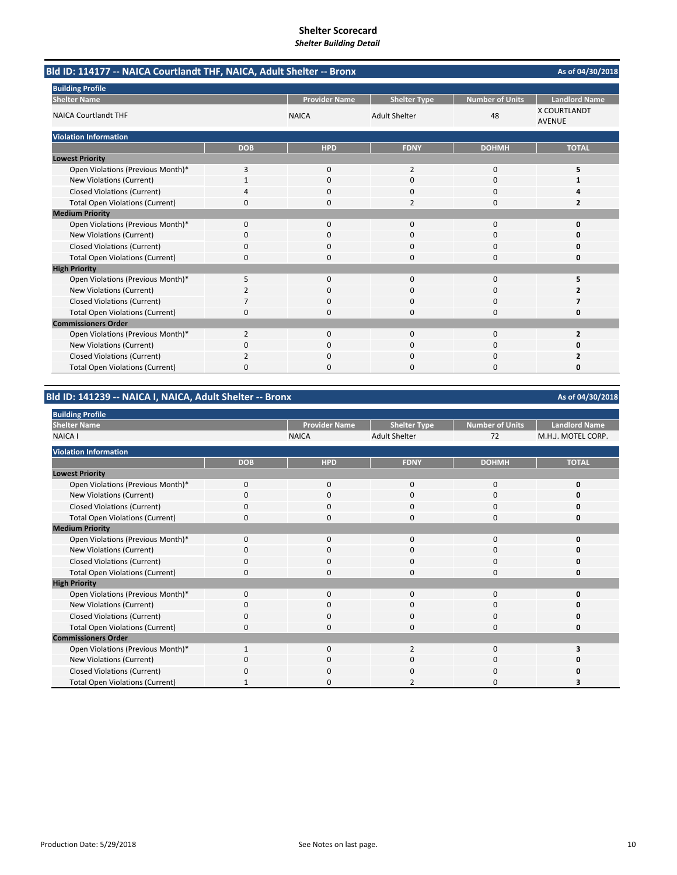|                                        | Bld ID: 114177 -- NAICA Courtlandt THF, NAICA, Adult Shelter -- Bronx |                      |                      |                        |                                      |  |  |
|----------------------------------------|-----------------------------------------------------------------------|----------------------|----------------------|------------------------|--------------------------------------|--|--|
| <b>Building Profile</b>                |                                                                       |                      |                      |                        |                                      |  |  |
| <b>Shelter Name</b>                    |                                                                       | <b>Provider Name</b> | <b>Shelter Type</b>  | <b>Number of Units</b> | <b>Landlord Name</b>                 |  |  |
| <b>NAICA Courtlandt THF</b>            |                                                                       | <b>NAICA</b>         | <b>Adult Shelter</b> | 48                     | <b>X COURTLANDT</b><br><b>AVENUE</b> |  |  |
| <b>Violation Information</b>           |                                                                       |                      |                      |                        |                                      |  |  |
|                                        | <b>DOB</b>                                                            | <b>HPD</b>           | <b>FDNY</b>          | <b>DOHMH</b>           | <b>TOTAL</b>                         |  |  |
| <b>Lowest Priority</b>                 |                                                                       |                      |                      |                        |                                      |  |  |
| Open Violations (Previous Month)*      | 3                                                                     | 0                    | $\overline{2}$       | 0                      | 5                                    |  |  |
| New Violations (Current)               | $\mathbf{1}$                                                          | $\Omega$             | $\Omega$             | $\Omega$               |                                      |  |  |
| <b>Closed Violations (Current)</b>     | 4                                                                     | 0                    | 0                    | 0                      |                                      |  |  |
| <b>Total Open Violations (Current)</b> | 0                                                                     | $\Omega$             | $\overline{2}$       | $\Omega$               | 2                                    |  |  |
| <b>Medium Priority</b>                 |                                                                       |                      |                      |                        |                                      |  |  |
| Open Violations (Previous Month)*      | $\Omega$                                                              | $\Omega$             | $\Omega$             | $\Omega$               | 0                                    |  |  |
| New Violations (Current)               | 0                                                                     | 0                    | O                    | $\Omega$               | Ω                                    |  |  |
| <b>Closed Violations (Current)</b>     | 0                                                                     | 0                    | 0                    | 0                      | 0                                    |  |  |
| <b>Total Open Violations (Current)</b> | 0                                                                     | $\Omega$             | 0                    | $\Omega$               | 0                                    |  |  |
| <b>High Priority</b>                   |                                                                       |                      |                      |                        |                                      |  |  |
| Open Violations (Previous Month)*      | 5                                                                     | 0                    | $\mathbf{0}$         | $\Omega$               | 5                                    |  |  |
| New Violations (Current)               | 2                                                                     | 0                    | $\Omega$             | $\Omega$               | 2                                    |  |  |
| <b>Closed Violations (Current)</b>     | $\overline{7}$                                                        | $\Omega$             | 0                    | $\Omega$               | 7                                    |  |  |
| <b>Total Open Violations (Current)</b> | 0                                                                     | 0                    | $\Omega$             | $\Omega$               | 0                                    |  |  |
| <b>Commissioners Order</b>             |                                                                       |                      |                      |                        |                                      |  |  |
| Open Violations (Previous Month)*      | $\overline{2}$                                                        | 0                    | 0                    | $\mathbf 0$            | $\overline{2}$                       |  |  |
| New Violations (Current)               | 0                                                                     | 0                    | 0                    | 0                      | Ω                                    |  |  |
| <b>Closed Violations (Current)</b>     | $\overline{2}$                                                        | $\Omega$             | $\Omega$             | 0                      | 2                                    |  |  |
| <b>Total Open Violations (Current)</b> | 0                                                                     | <sup>0</sup>         | O                    | $\Omega$               | 0                                    |  |  |

# **Bld ID: 141239 ‐‐ NAICA I, NAICA, Adult Shelter ‐‐ Bronx**

| <b>Building Profile</b>                |            |                      |                      |                        |                      |
|----------------------------------------|------------|----------------------|----------------------|------------------------|----------------------|
| <b>Shelter Name</b>                    |            | <b>Provider Name</b> | <b>Shelter Type</b>  | <b>Number of Units</b> | <b>Landlord Name</b> |
| <b>NAICA I</b>                         |            | <b>NAICA</b>         | <b>Adult Shelter</b> | 72                     | M.H.J. MOTEL CORP.   |
| <b>Violation Information</b>           |            |                      |                      |                        |                      |
|                                        | <b>DOB</b> | <b>HPD</b>           | <b>FDNY</b>          | <b>DOHMH</b>           | <b>TOTAL</b>         |
| <b>Lowest Priority</b>                 |            |                      |                      |                        |                      |
| Open Violations (Previous Month)*      | $\Omega$   | $\mathbf 0$          | $\Omega$             | 0                      | n                    |
| New Violations (Current)               | 0          | 0                    | 0                    | 0                      |                      |
| <b>Closed Violations (Current)</b>     |            | 0                    | n                    | O                      |                      |
| <b>Total Open Violations (Current)</b> | 0          | 0                    | 0                    | 0                      | Ω                    |
| <b>Medium Priority</b>                 |            |                      |                      |                        |                      |
| Open Violations (Previous Month)*      | $\Omega$   | $\mathbf 0$          | $\Omega$             | 0                      | n                    |
| New Violations (Current)               | 0          | $\Omega$             | $\Omega$             | 0                      | n                    |
| <b>Closed Violations (Current)</b>     | 0          | $\mathbf 0$          | $\Omega$             | 0                      | n                    |
| <b>Total Open Violations (Current)</b> | 0          | $\Omega$             | $\Omega$             | $\Omega$               | O                    |
| <b>High Priority</b>                   |            |                      |                      |                        |                      |
| Open Violations (Previous Month)*      | $\Omega$   | $\mathbf 0$          | $\Omega$             | $\Omega$               | n                    |
| New Violations (Current)               | 0          | 0                    | 0                    | 0                      |                      |
| <b>Closed Violations (Current)</b>     | 0          | 0                    | $\Omega$             | 0                      |                      |
| <b>Total Open Violations (Current)</b> | n          | $\Omega$             | 0                    | O                      | n                    |
| <b>Commissioners Order</b>             |            |                      |                      |                        |                      |
| Open Violations (Previous Month)*      |            | $\Omega$             | $\overline{2}$       | $\Omega$               | 3                    |
| New Violations (Current)               | n          | $\Omega$             | 0                    | 0                      |                      |
| <b>Closed Violations (Current)</b>     | n          | $\Omega$             | O                    | O                      |                      |
| <b>Total Open Violations (Current)</b> |            | $\Omega$             |                      | O                      |                      |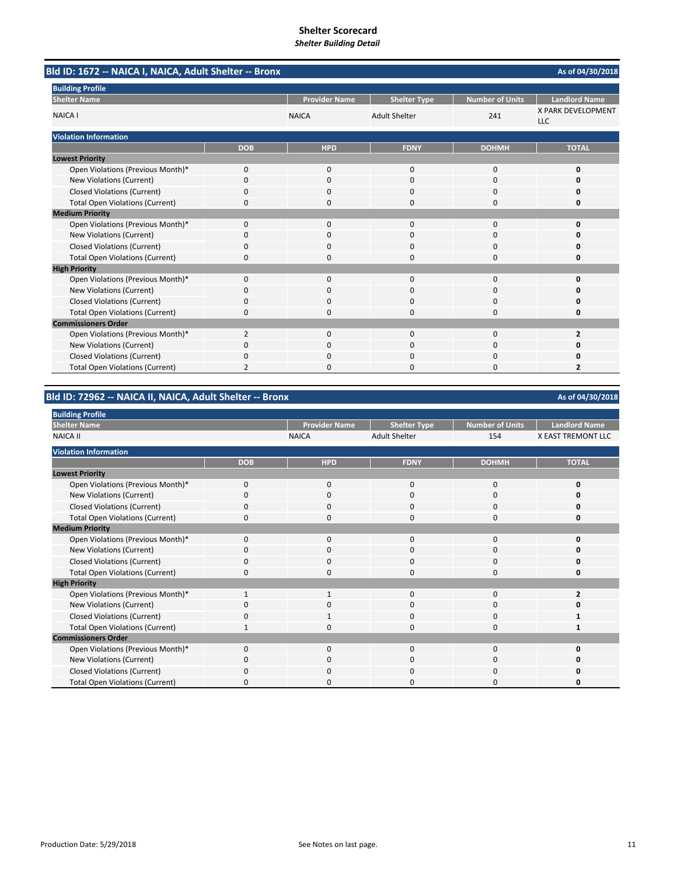| Bld ID: 1672 -- NAICA I, NAICA, Adult Shelter -- Bronx |              |                      |                      |                        | As of 04/30/2018                        |
|--------------------------------------------------------|--------------|----------------------|----------------------|------------------------|-----------------------------------------|
| <b>Building Profile</b>                                |              |                      |                      |                        |                                         |
| <b>Shelter Name</b>                                    |              | <b>Provider Name</b> | <b>Shelter Type</b>  | <b>Number of Units</b> | <b>Landlord Name</b>                    |
| <b>NAICA I</b>                                         |              | <b>NAICA</b>         | <b>Adult Shelter</b> | 241                    | <b>X PARK DEVELOPMENT</b><br><b>LLC</b> |
| <b>Violation Information</b>                           |              |                      |                      |                        |                                         |
|                                                        | <b>DOB</b>   | <b>HPD</b>           | <b>FDNY</b>          | <b>DOHMH</b>           | <b>TOTAL</b>                            |
| <b>Lowest Priority</b>                                 |              |                      |                      |                        |                                         |
| Open Violations (Previous Month)*                      | $\mathbf{0}$ | $\mathbf{0}$         | $\mathbf 0$          | 0                      | 0                                       |
| <b>New Violations (Current)</b>                        | $\Omega$     | $\Omega$             | $\Omega$             | 0                      | 0                                       |
| <b>Closed Violations (Current)</b>                     | 0            | $\Omega$             | $\Omega$             | 0                      | 0                                       |
| <b>Total Open Violations (Current)</b>                 | 0            | $\Omega$             | $\Omega$             | 0                      | 0                                       |
| <b>Medium Priority</b>                                 |              |                      |                      |                        |                                         |
| Open Violations (Previous Month)*                      | $\Omega$     | $\Omega$             | $\Omega$             | $\Omega$               | $\Omega$                                |
| New Violations (Current)                               | 0            | 0                    | $\Omega$             | 0                      | O                                       |
| <b>Closed Violations (Current)</b>                     | 0            | $\Omega$             | $\Omega$             | 0                      | 0                                       |
| <b>Total Open Violations (Current)</b>                 | 0            | 0                    | $\Omega$             | $\Omega$               | 0                                       |
| <b>High Priority</b>                                   |              |                      |                      |                        |                                         |
| Open Violations (Previous Month)*                      | $\mathbf{0}$ | 0                    | $\mathbf 0$          | 0                      | $\Omega$                                |
| New Violations (Current)                               | 0            | $\Omega$             | $\Omega$             | $\Omega$               |                                         |
| <b>Closed Violations (Current)</b>                     | 0            | 0                    | $\mathbf 0$          | 0                      | 0                                       |
| <b>Total Open Violations (Current)</b>                 | 0            | 0                    | $\Omega$             | 0                      | 0                                       |
| <b>Commissioners Order</b>                             |              |                      |                      |                        |                                         |
| Open Violations (Previous Month)*                      | 2            | $\Omega$             | $\Omega$             | 0                      | $\overline{2}$                          |
| New Violations (Current)                               | 0            | 0                    | C                    | 0                      | Ω                                       |
| <b>Closed Violations (Current)</b>                     | 0            | 0                    | $\Omega$             | 0                      |                                         |
| <b>Total Open Violations (Current)</b>                 | 2            | n                    | $\Omega$             | $\Omega$               | $\overline{2}$                          |

**Bld ID: 72962 ‐‐ NAICA II, NAICA, Adult Shelter ‐‐ Bronx**

| <b>Building Profile</b>                |              |                      |                      |                 |                           |
|----------------------------------------|--------------|----------------------|----------------------|-----------------|---------------------------|
| <b>Shelter Name</b>                    |              | <b>Provider Name</b> | <b>Shelter Type</b>  | Number of Units | <b>Landlord Name</b>      |
| <b>NAICA II</b>                        |              | <b>NAICA</b>         | <b>Adult Shelter</b> | 154             | <b>X EAST TREMONT LLC</b> |
| <b>Violation Information</b>           |              |                      |                      |                 |                           |
|                                        | <b>DOB</b>   | <b>HPD</b>           | <b>FDNY</b>          | <b>DOHMH</b>    | <b>TOTAL</b>              |
| <b>Lowest Priority</b>                 |              |                      |                      |                 |                           |
| Open Violations (Previous Month)*      | $\Omega$     | $\Omega$             | $\Omega$             | 0               | 0                         |
| New Violations (Current)               | 0            | 0                    | 0                    | 0               |                           |
| <b>Closed Violations (Current)</b>     |              | $\Omega$             | U                    | 0               | 0                         |
| <b>Total Open Violations (Current)</b> | 0            | $\mathbf 0$          | $\Omega$             | 0               | 0                         |
| <b>Medium Priority</b>                 |              |                      |                      |                 |                           |
| Open Violations (Previous Month)*      | $\Omega$     | $\mathbf 0$          | $\Omega$             | 0               | 0                         |
| New Violations (Current)               | $\Omega$     | $\Omega$             | $\Omega$             | $\Omega$        | O                         |
| <b>Closed Violations (Current)</b>     | 0            | $\mathbf 0$          | 0                    | 0               | 0                         |
| <b>Total Open Violations (Current)</b> | $\Omega$     | $\Omega$             | $\Omega$             | 0               | 0                         |
| <b>High Priority</b>                   |              |                      |                      |                 |                           |
| Open Violations (Previous Month)*      |              |                      | $\Omega$             | 0               | 2                         |
| New Violations (Current)               | O            | 0                    | U                    | 0               |                           |
| <b>Closed Violations (Current)</b>     | $\Omega$     |                      | $\Omega$             | 0               |                           |
| <b>Total Open Violations (Current)</b> |              | C                    | O                    | 0               |                           |
| <b>Commissioners Order</b>             |              |                      |                      |                 |                           |
| Open Violations (Previous Month)*      | $\Omega$     | $\Omega$             | $\Omega$             | 0               | O                         |
| New Violations (Current)               | $\Omega$     | $\Omega$             | 0                    | 0               |                           |
| <b>Closed Violations (Current)</b>     | <sup>0</sup> | $\Omega$             | O                    | 0               | Ω                         |
| <b>Total Open Violations (Current)</b> | O            | <sup>0</sup>         | n                    | 0               | n                         |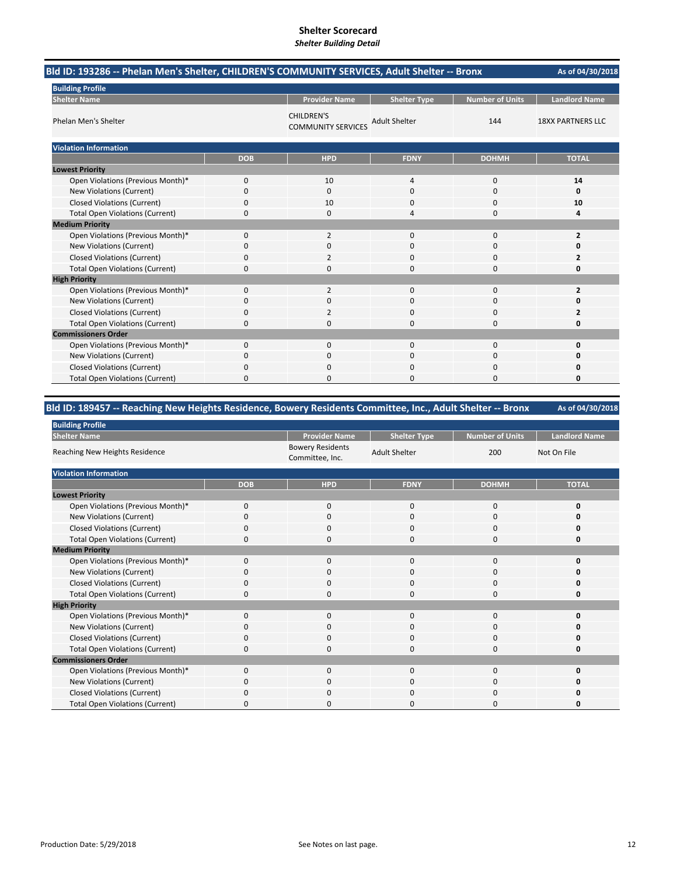| Bld ID: 193286 -- Phelan Men's Shelter, CHILDREN'S COMMUNITY SERVICES, Adult Shelter -- Bronx | As of 04/30/2018 |                                                |                      |                        |                          |
|-----------------------------------------------------------------------------------------------|------------------|------------------------------------------------|----------------------|------------------------|--------------------------|
| <b>Building Profile</b>                                                                       |                  |                                                |                      |                        |                          |
| <b>Shelter Name</b>                                                                           |                  | <b>Provider Name</b>                           | <b>Shelter Type</b>  | <b>Number of Units</b> | <b>Landlord Name</b>     |
| Phelan Men's Shelter                                                                          |                  | <b>CHILDREN'S</b><br><b>COMMUNITY SERVICES</b> | <b>Adult Shelter</b> | 144                    | <b>18XX PARTNERS LLC</b> |
| <b>Violation Information</b>                                                                  |                  |                                                |                      |                        |                          |
|                                                                                               | <b>DOB</b>       | <b>HPD</b>                                     | <b>FDNY</b>          | <b>DOHMH</b>           | <b>TOTAL</b>             |
| <b>Lowest Priority</b>                                                                        |                  |                                                |                      |                        |                          |
| Open Violations (Previous Month)*                                                             | 0                | 10                                             | $\overline{4}$       | 0                      | 14                       |
| New Violations (Current)                                                                      | 0                | 0                                              | $\mathbf 0$          | 0                      | 0                        |
| <b>Closed Violations (Current)</b>                                                            | 0                | 10                                             | 0                    | 0                      | 10                       |
| <b>Total Open Violations (Current)</b>                                                        | 0                | $\Omega$                                       |                      | $\Omega$               | 4                        |
| <b>Medium Priority</b>                                                                        |                  |                                                |                      |                        |                          |
| Open Violations (Previous Month)*                                                             | 0                | $\overline{2}$                                 | $\mathbf 0$          | 0                      | $\overline{2}$           |
| New Violations (Current)                                                                      | 0                | $\Omega$                                       | $\Omega$             | $\Omega$               | 0                        |
| <b>Closed Violations (Current)</b>                                                            | 0                | 2                                              | $\Omega$             | 0                      | $\overline{2}$           |
| <b>Total Open Violations (Current)</b>                                                        | 0                | $\Omega$                                       | $\Omega$             | $\Omega$               | 0                        |
| <b>High Priority</b>                                                                          |                  |                                                |                      |                        |                          |
| Open Violations (Previous Month)*                                                             | 0                | $\overline{2}$                                 | $\mathbf 0$          | 0                      | $\overline{2}$           |
| <b>New Violations (Current)</b>                                                               | 0                | $\Omega$                                       | $\Omega$             | 0                      | 0                        |
| <b>Closed Violations (Current)</b>                                                            | 0                | 2                                              | $\Omega$             | 0                      | 2                        |
| <b>Total Open Violations (Current)</b>                                                        | 0                | 0                                              | $\Omega$             | 0                      | 0                        |
| <b>Commissioners Order</b>                                                                    |                  |                                                |                      |                        |                          |
| Open Violations (Previous Month)*                                                             | 0                | 0                                              | $\Omega$             | 0                      | 0                        |
| New Violations (Current)                                                                      | 0                | 0                                              | 0                    | 0                      | 0                        |
| <b>Closed Violations (Current)</b>                                                            | 0                | 0                                              | $\mathbf 0$          | 0                      | 0                        |
| <b>Total Open Violations (Current)</b>                                                        | 0                | <sup>0</sup>                                   | $\Omega$             | $\Omega$               | 0                        |

### **Bld ID: 189457 ‐‐ Reaching New Heights Residence, Bowery Residents Committee, Inc., Adult Shelter ‐‐ Bronx**

**As of 04/30/2018** Provider Name | Shelter Type | Number of Units | Landlord Name Bowery Residents Committee, Inc. Adult Shelter 200 Not On File **DOB HPD FDNY DOHMH TOTAL** Open Violations (Previous Month)\* 0000 **0 New Violations (Current)** Closed Violations (Current) 0000 **0** Total Open Violations (Current) 0000 **0** Open Violations (Previous Month)\* 0000 **0 New Violations (Current)** Closed Violations (Current) 0000 **0** Total Open Violations (Current) 0000 **0** Open Violations (Previous Month)\* 0000 **0** New Violations (Current) 0000 **0** Closed Violations (Current) 0000 **0** Total Open Violations (Current) **0** 0000 **0** 0000 **0** 0000 **0** Open Violations (Previous Month)\* 0000 **0** New Violations (Current) **0** 0000 **0** 0000 **0** 0000 **0** Closed Violations (Current) 0000 **0 Building Profile Shelter Name** Reaching New Heights Residence **Violation Information Lowest Priority Medium Priority High Priority Commissioners Order**

**Total Open Violations (Current)**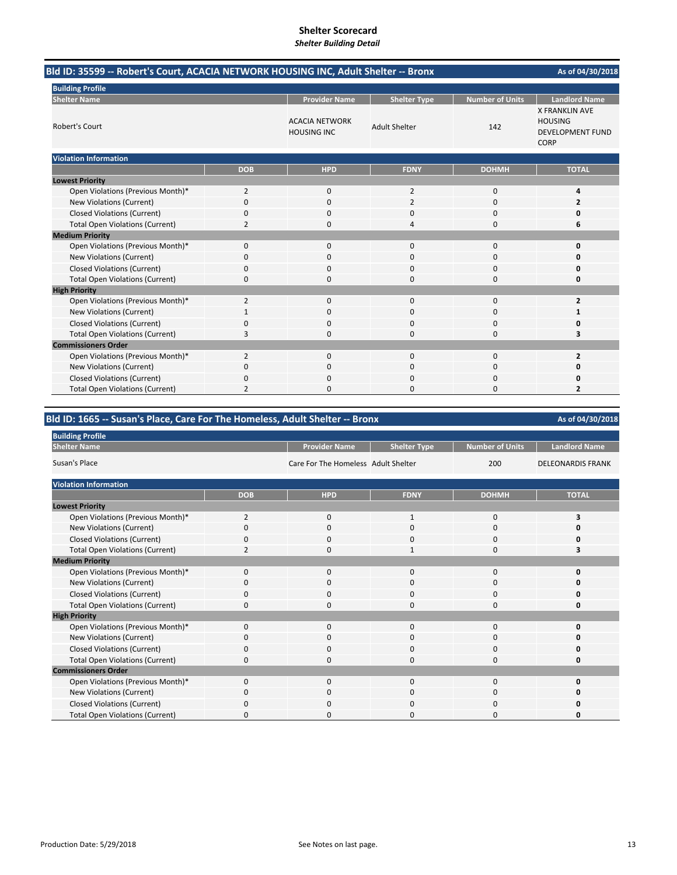| Bld ID: 35599 -- Robert's Court, ACACIA NETWORK HOUSING INC, Adult Shelter -- Bronx |                |                                             |                      |                        | As of 04/30/2018                                                                  |
|-------------------------------------------------------------------------------------|----------------|---------------------------------------------|----------------------|------------------------|-----------------------------------------------------------------------------------|
| <b>Building Profile</b>                                                             |                |                                             |                      |                        |                                                                                   |
| <b>Shelter Name</b>                                                                 |                | <b>Provider Name</b>                        | <b>Shelter Type</b>  | <b>Number of Units</b> | <b>Landlord Name</b>                                                              |
| Robert's Court                                                                      |                | <b>ACACIA NETWORK</b><br><b>HOUSING INC</b> | <b>Adult Shelter</b> | 142                    | <b>X FRANKLIN AVE</b><br><b>HOUSING</b><br><b>DEVELOPMENT FUND</b><br><b>CORP</b> |
| <b>Violation Information</b>                                                        |                |                                             |                      |                        |                                                                                   |
|                                                                                     | <b>DOB</b>     | <b>HPD</b>                                  | <b>FDNY</b>          | <b>DOHMH</b>           | <b>TOTAL</b>                                                                      |
| <b>Lowest Priority</b>                                                              |                |                                             |                      |                        |                                                                                   |
| Open Violations (Previous Month)*                                                   | 2              | $\mathbf{0}$                                | $\overline{2}$       | $\mathbf 0$            | 4                                                                                 |
| New Violations (Current)                                                            | 0              | 0                                           | 2                    | 0                      | 2                                                                                 |
| <b>Closed Violations (Current)</b>                                                  | 0              | $\Omega$                                    | O                    | 0                      |                                                                                   |
| <b>Total Open Violations (Current)</b>                                              | 2              | $\Omega$                                    | 4                    | 0                      | 6                                                                                 |
| <b>Medium Priority</b>                                                              |                |                                             |                      |                        |                                                                                   |
| Open Violations (Previous Month)*                                                   | $\mathbf{0}$   | $\mathbf{0}$                                | 0                    | $\mathbf 0$            | O                                                                                 |
| <b>New Violations (Current)</b>                                                     | 0              | $\Omega$                                    | 0                    | 0                      |                                                                                   |
| <b>Closed Violations (Current)</b>                                                  | 0              | $\Omega$                                    | $\Omega$             | $\Omega$               |                                                                                   |
| <b>Total Open Violations (Current)</b>                                              | 0              | $\Omega$                                    | 0                    | $\Omega$               | n                                                                                 |
| <b>High Priority</b>                                                                |                |                                             |                      |                        |                                                                                   |
| Open Violations (Previous Month)*                                                   | $\overline{2}$ | $\mathbf{0}$                                | 0                    | $\mathbf 0$            | $\overline{2}$                                                                    |
| <b>New Violations (Current)</b>                                                     | 1              | $\Omega$                                    | 0                    | $\mathbf 0$            | 1                                                                                 |
| <b>Closed Violations (Current)</b>                                                  | 0              | $\Omega$                                    | $\Omega$             | $\Omega$               |                                                                                   |
| <b>Total Open Violations (Current)</b>                                              | 3              | $\Omega$                                    | 0                    | $\Omega$               | з                                                                                 |
| <b>Commissioners Order</b>                                                          |                |                                             |                      |                        |                                                                                   |
| Open Violations (Previous Month)*                                                   | $\overline{2}$ | $\mathbf{0}$                                | 0                    | $\mathbf 0$            | $\overline{2}$                                                                    |
| New Violations (Current)                                                            | 0              | $\Omega$                                    | $\Omega$             | $\mathbf 0$            |                                                                                   |
| <b>Closed Violations (Current)</b>                                                  | 0              | $\Omega$                                    | 0                    | $\mathbf 0$            |                                                                                   |
| <b>Total Open Violations (Current)</b>                                              | 2              | n                                           | O                    | 0                      | $\overline{2}$                                                                    |

# **Bld ID: 1665 ‐‐ Susan's Place, Care For The Homeless, Adult Shelter ‐‐ Bronx**

| <b>Building Profile</b>                |                |                                     |                     |                        |                          |
|----------------------------------------|----------------|-------------------------------------|---------------------|------------------------|--------------------------|
| <b>Shelter Name</b>                    |                | <b>Provider Name</b>                | <b>Shelter Type</b> | <b>Number of Units</b> | <b>Landlord Name</b>     |
| Susan's Place                          |                | Care For The Homeless Adult Shelter |                     | 200                    | <b>DELEONARDIS FRANK</b> |
| <b>Violation Information</b>           |                |                                     |                     |                        |                          |
|                                        | <b>DOB</b>     | <b>HPD</b>                          | <b>FDNY</b>         | <b>DOHMH</b>           | <b>TOTAL</b>             |
| <b>Lowest Priority</b>                 |                |                                     |                     |                        |                          |
| Open Violations (Previous Month)*      | $\overline{2}$ | $\mathbf{0}$                        | $\mathbf{1}$        | $\mathbf 0$            | 3                        |
| New Violations (Current)               | 0              | 0                                   | 0                   | 0                      | n                        |
| <b>Closed Violations (Current)</b>     | $\mathbf 0$    | $\mathbf 0$                         | $\mathbf{0}$        | 0                      | O                        |
| <b>Total Open Violations (Current)</b> | $\overline{2}$ | $\mathbf 0$                         | $\mathbf{1}$        | 0                      | 3                        |
| <b>Medium Priority</b>                 |                |                                     |                     |                        |                          |
| Open Violations (Previous Month)*      | $\mathbf 0$    | 0                                   | $\mathbf{0}$        | 0                      | O                        |
| New Violations (Current)               | 0              | 0                                   | 0                   | 0                      | o                        |
| <b>Closed Violations (Current)</b>     | $\Omega$       | $\mathbf 0$                         | 0                   | 0                      | O                        |
| <b>Total Open Violations (Current)</b> | 0              | $\mathbf 0$                         | $\mathbf{0}$        | 0                      | 0                        |
| <b>High Priority</b>                   |                |                                     |                     |                        |                          |
| Open Violations (Previous Month)*      | $\Omega$       | $\Omega$                            | $\Omega$            | $\Omega$               | O                        |
| New Violations (Current)               | $\Omega$       | $\mathbf 0$                         | 0                   | 0                      | 0                        |
| <b>Closed Violations (Current)</b>     | $\Omega$       | $\mathbf 0$                         | $\mathbf{0}$        | 0                      | O                        |
| <b>Total Open Violations (Current)</b> | 0              | $\mathbf 0$                         | 0                   | 0                      | 0                        |
| <b>Commissioners Order</b>             |                |                                     |                     |                        |                          |
| Open Violations (Previous Month)*      | $\Omega$       | $\mathbf 0$                         | $\mathbf 0$         | $\Omega$               | O                        |
| New Violations (Current)               | $\Omega$       | $\mathbf 0$                         | $\mathbf{0}$        | 0                      | O                        |
| <b>Closed Violations (Current)</b>     | $\Omega$       | $\Omega$                            | $\Omega$            | 0                      | Ω                        |
| <b>Total Open Violations (Current)</b> | O              | 0                                   | 0                   | $\Omega$               | O                        |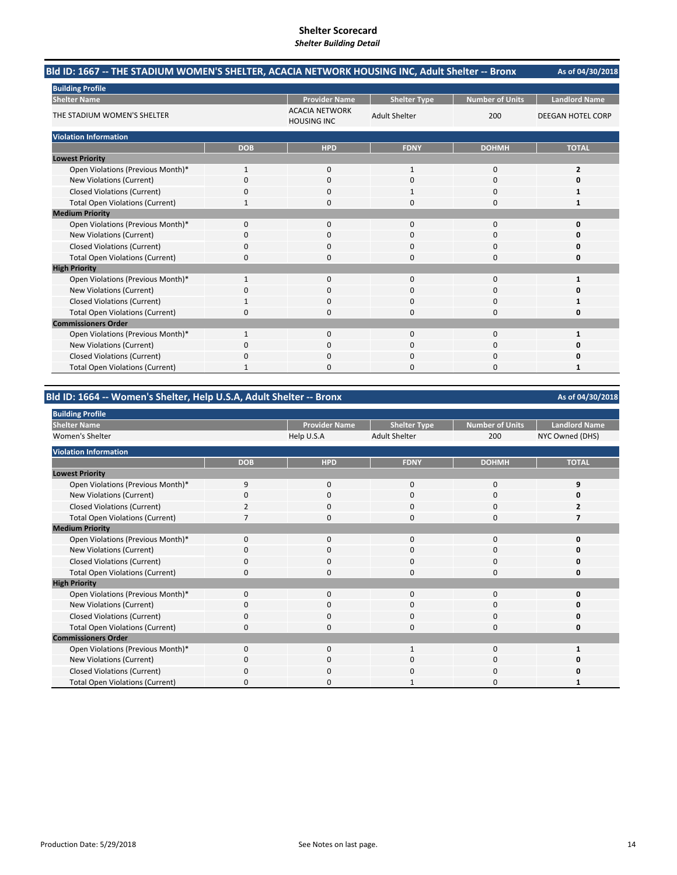| Bld ID: 1667 -- THE STADIUM WOMEN'S SHELTER, ACACIA NETWORK HOUSING INC, Adult Shelter -- Bronx |              |                                             |                      |                        | As of 04/30/2018         |
|-------------------------------------------------------------------------------------------------|--------------|---------------------------------------------|----------------------|------------------------|--------------------------|
| <b>Building Profile</b>                                                                         |              |                                             |                      |                        |                          |
| <b>Shelter Name</b>                                                                             |              | <b>Provider Name</b>                        | <b>Shelter Type</b>  | <b>Number of Units</b> | <b>Landlord Name</b>     |
| THE STADIUM WOMEN'S SHELTER                                                                     |              | <b>ACACIA NETWORK</b><br><b>HOUSING INC</b> | <b>Adult Shelter</b> | 200                    | <b>DEEGAN HOTEL CORP</b> |
| <b>Violation Information</b>                                                                    |              |                                             |                      |                        |                          |
|                                                                                                 | <b>DOB</b>   | <b>HPD</b>                                  | <b>FDNY</b>          | <b>DOHMH</b>           | <b>TOTAL</b>             |
| <b>Lowest Priority</b>                                                                          |              |                                             |                      |                        |                          |
| Open Violations (Previous Month)*                                                               | $\mathbf{1}$ | 0                                           | $\mathbf{1}$         | $\mathbf 0$            | 2                        |
| New Violations (Current)                                                                        | $\Omega$     | $\Omega$                                    | $\Omega$             | $\Omega$               | O                        |
| <b>Closed Violations (Current)</b>                                                              | 0            | 0                                           |                      | 0                      | 1                        |
| <b>Total Open Violations (Current)</b>                                                          |              | $\Omega$                                    | 0                    | $\Omega$               | 1                        |
| <b>Medium Priority</b>                                                                          |              |                                             |                      |                        |                          |
| Open Violations (Previous Month)*                                                               | $\Omega$     | $\Omega$                                    | $\Omega$             | $\Omega$               | $\Omega$                 |
| New Violations (Current)                                                                        | 0            | 0                                           | 0                    | $\Omega$               | o                        |
| <b>Closed Violations (Current)</b>                                                              | 0            | 0                                           | $\Omega$             | 0                      | 0                        |
| <b>Total Open Violations (Current)</b>                                                          | $\Omega$     | $\Omega$                                    | 0                    | $\Omega$               | O                        |
| <b>High Priority</b>                                                                            |              |                                             |                      |                        |                          |
| Open Violations (Previous Month)*                                                               | $\mathbf{1}$ | $\Omega$                                    | $\Omega$             | $\Omega$               | 1                        |
| New Violations (Current)                                                                        | 0            | $\Omega$                                    | $\Omega$             | $\Omega$               | o                        |
| <b>Closed Violations (Current)</b>                                                              |              | 0                                           | 0                    | 0                      | 1                        |
| <b>Total Open Violations (Current)</b>                                                          | 0            | 0                                           | $\Omega$             | 0                      | 0                        |
| <b>Commissioners Order</b>                                                                      |              |                                             |                      |                        |                          |
| Open Violations (Previous Month)*                                                               | $\mathbf{1}$ | $\Omega$                                    | $\Omega$             | $\Omega$               | 1                        |
| New Violations (Current)                                                                        | 0            | 0                                           | 0                    | $\Omega$               | o                        |
| <b>Closed Violations (Current)</b>                                                              | 0            | 0                                           | 0                    | 0                      | 0                        |
| <b>Total Open Violations (Current)</b>                                                          |              | O                                           | O                    | $\Omega$               |                          |

**Bld ID: 1664 ‐‐ Women's Shelter, Help U.S.A, Adult Shelter ‐‐ Bronx**

| <b>Building Profile</b>                |              |                      |                      |                 |                      |
|----------------------------------------|--------------|----------------------|----------------------|-----------------|----------------------|
| <b>Shelter Name</b>                    |              | <b>Provider Name</b> | <b>Shelter Type</b>  | Number of Units | <b>Landlord Name</b> |
| Women's Shelter                        |              | Help U.S.A           | <b>Adult Shelter</b> | 200             | NYC Owned (DHS)      |
| <b>Violation Information</b>           |              |                      |                      |                 |                      |
|                                        | <b>DOB</b>   | <b>HPD</b>           | <b>FDNY</b>          | <b>DOHMH</b>    | <b>TOTAL</b>         |
| <b>Lowest Priority</b>                 |              |                      |                      |                 |                      |
| Open Violations (Previous Month)*      | 9            | $\Omega$             | $\Omega$             | 0               | 9                    |
| New Violations (Current)               | 0            | 0                    | 0                    | 0               |                      |
| <b>Closed Violations (Current)</b>     |              | $\Omega$             | U                    | 0               |                      |
| <b>Total Open Violations (Current)</b> |              | $\mathbf 0$          | $\Omega$             | 0               | 7                    |
| <b>Medium Priority</b>                 |              |                      |                      |                 |                      |
| Open Violations (Previous Month)*      | $\Omega$     | $\mathbf 0$          | $\Omega$             | 0               | 0                    |
| New Violations (Current)               | $\Omega$     | $\Omega$             | $\Omega$             | $\Omega$        | O                    |
| <b>Closed Violations (Current)</b>     | 0            | $\mathbf 0$          | 0                    | 0               | 0                    |
| <b>Total Open Violations (Current)</b> | $\Omega$     | $\Omega$             | $\Omega$             | 0               | 0                    |
| <b>High Priority</b>                   |              |                      |                      |                 |                      |
| Open Violations (Previous Month)*      | $\Omega$     | $\Omega$             | $\Omega$             | 0               | O                    |
| New Violations (Current)               | 0            | 0                    | U                    | 0               | n                    |
| <b>Closed Violations (Current)</b>     | $\Omega$     | $\mathbf 0$          | $\Omega$             | 0               | o                    |
| <b>Total Open Violations (Current)</b> | Ω            | $\Omega$             | O                    | 0               | ი                    |
| <b>Commissioners Order</b>             |              |                      |                      |                 |                      |
| Open Violations (Previous Month)*      | $\Omega$     | $\Omega$             | $\mathbf{1}$         | 0               |                      |
| New Violations (Current)               | $\Omega$     | $\Omega$             | O                    | 0               |                      |
| <b>Closed Violations (Current)</b>     | <sup>0</sup> | $\Omega$             | O                    | 0               | Ω                    |
| <b>Total Open Violations (Current)</b> | O            | <sup>0</sup>         |                      | 0               |                      |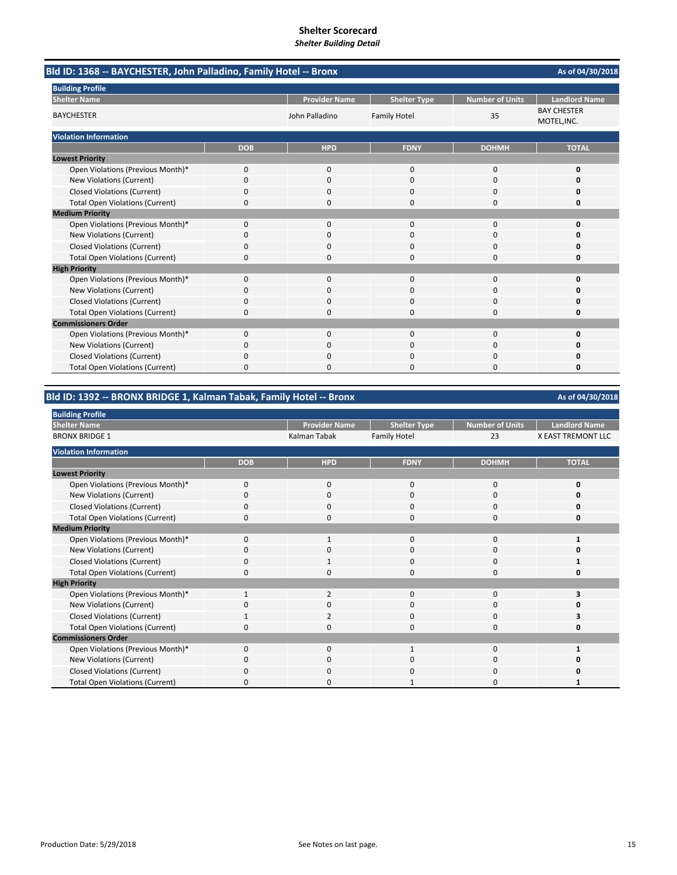|                                        | Bld ID: 1368 -- BAYCHESTER, John Palladino, Family Hotel -- Bronx |                      |                     |                        |                                   |  |  |
|----------------------------------------|-------------------------------------------------------------------|----------------------|---------------------|------------------------|-----------------------------------|--|--|
| <b>Building Profile</b>                |                                                                   |                      |                     |                        |                                   |  |  |
| <b>Shelter Name</b>                    |                                                                   | <b>Provider Name</b> | <b>Shelter Type</b> | <b>Number of Units</b> | <b>Landlord Name</b>              |  |  |
| <b>BAYCHESTER</b>                      |                                                                   | John Palladino       | <b>Family Hotel</b> | 35                     | <b>BAY CHESTER</b><br>MOTEL, INC. |  |  |
| <b>Violation Information</b>           |                                                                   |                      |                     |                        |                                   |  |  |
|                                        | <b>DOB</b>                                                        | <b>HPD</b>           | <b>FDNY</b>         | <b>DOHMH</b>           | <b>TOTAL</b>                      |  |  |
| <b>Lowest Priority</b>                 |                                                                   |                      |                     |                        |                                   |  |  |
| Open Violations (Previous Month)*      | 0                                                                 | 0                    | $\mathbf 0$         | $\mathbf 0$            | 0                                 |  |  |
| <b>New Violations (Current)</b>        | 0                                                                 | $\Omega$             | $\Omega$            | $\Omega$               | O                                 |  |  |
| <b>Closed Violations (Current)</b>     | 0                                                                 | 0                    | 0                   | $\Omega$               | 0                                 |  |  |
| <b>Total Open Violations (Current)</b> | 0                                                                 | $\Omega$             | $\Omega$            | $\Omega$               | 0                                 |  |  |
| <b>Medium Priority</b>                 |                                                                   |                      |                     |                        |                                   |  |  |
| Open Violations (Previous Month)*      | $\Omega$                                                          | $\Omega$             | $\Omega$            | $\Omega$               | $\Omega$                          |  |  |
| New Violations (Current)               | ŋ                                                                 | <sup>0</sup>         | O                   | $\Omega$               | n                                 |  |  |
| <b>Closed Violations (Current)</b>     | 0                                                                 | $\Omega$             | 0                   | $\Omega$               | 0                                 |  |  |
| <b>Total Open Violations (Current)</b> | $\Omega$                                                          | $\Omega$             | 0                   | $\Omega$               | 0                                 |  |  |
| <b>High Priority</b>                   |                                                                   |                      |                     |                        |                                   |  |  |
| Open Violations (Previous Month)*      | 0                                                                 | 0                    | 0                   | $\Omega$               | O                                 |  |  |
| New Violations (Current)               | 0                                                                 | $\Omega$             | $\Omega$            | $\Omega$               | Ω                                 |  |  |
| <b>Closed Violations (Current)</b>     | $\Omega$                                                          | 0                    | 0                   | $\Omega$               | O                                 |  |  |
| <b>Total Open Violations (Current)</b> | 0                                                                 | <sup>0</sup>         | O                   | $\Omega$               | 0                                 |  |  |
| <b>Commissioners Order</b>             |                                                                   |                      |                     |                        |                                   |  |  |
| Open Violations (Previous Month)*      | 0                                                                 | 0                    | $\Omega$            | $\mathbf 0$            | 0                                 |  |  |
| New Violations (Current)               | 0                                                                 | 0                    | 0                   | $\Omega$               | 0                                 |  |  |
| <b>Closed Violations (Current)</b>     | 0                                                                 | $\Omega$             | 0                   | $\Omega$               | n                                 |  |  |
| <b>Total Open Violations (Current)</b> | 0                                                                 | $\Omega$             | $\Omega$            | $\Omega$               | 0                                 |  |  |

## **Bld ID: 1392 ‐‐ BRONX BRIDGE 1, Kalman Tabak, Family Hotel ‐‐ Bronx**

| <b>Building Profile</b>                |            |                      |                     |                        |                           |
|----------------------------------------|------------|----------------------|---------------------|------------------------|---------------------------|
| <b>Shelter Name</b>                    |            | <b>Provider Name</b> | <b>Shelter Type</b> | <b>Number of Units</b> | <b>Landlord Name</b>      |
| <b>BRONX BRIDGE 1</b>                  |            | Kalman Tabak         | <b>Family Hotel</b> | 23                     | <b>X EAST TREMONT LLC</b> |
| <b>Violation Information</b>           |            |                      |                     |                        |                           |
|                                        | <b>DOB</b> | <b>HPD</b>           | <b>FDNY</b>         | <b>DOHMH</b>           | <b>TOTAL</b>              |
| <b>Lowest Priority</b>                 |            |                      |                     |                        |                           |
| Open Violations (Previous Month)*      | $\Omega$   | $\Omega$             | $\Omega$            | $\Omega$               | n                         |
| New Violations (Current)               | 0          | $\mathbf 0$          | $\Omega$            | 0                      |                           |
| <b>Closed Violations (Current)</b>     |            | $\Omega$             | O                   | O                      |                           |
| <b>Total Open Violations (Current)</b> | 0          | 0                    | 0                   | 0                      | 0                         |
| <b>Medium Priority</b>                 |            |                      |                     |                        |                           |
| Open Violations (Previous Month)*      | $\Omega$   | 1                    | $\Omega$            | 0                      |                           |
| New Violations (Current)               | 0          | $\Omega$             | $\Omega$            | 0                      | n                         |
| <b>Closed Violations (Current)</b>     | 0          | $\mathbf{1}$         | $\Omega$            | 0                      |                           |
| <b>Total Open Violations (Current)</b> | 0          | $\Omega$             | $\Omega$            | $\Omega$               | Ω                         |
| <b>High Priority</b>                   |            |                      |                     |                        |                           |
| Open Violations (Previous Month)*      |            | 2                    | $\Omega$            | $\Omega$               |                           |
| New Violations (Current)               |            | 0                    | 0                   | 0                      |                           |
| <b>Closed Violations (Current)</b>     |            |                      | $\Omega$            | 0                      |                           |
| <b>Total Open Violations (Current)</b> |            | <sup>0</sup>         | 0                   | O                      |                           |
| <b>Commissioners Order</b>             |            |                      |                     |                        |                           |
| Open Violations (Previous Month)*      | $\Omega$   | $\mathbf 0$          |                     | $\Omega$               |                           |
| New Violations (Current)               | O          | 0                    | <sup>0</sup>        | 0                      |                           |
| <b>Closed Violations (Current)</b>     | ŋ          | $\Omega$             | O                   | C                      |                           |
| <b>Total Open Violations (Current)</b> | n          | 0                    |                     | O                      |                           |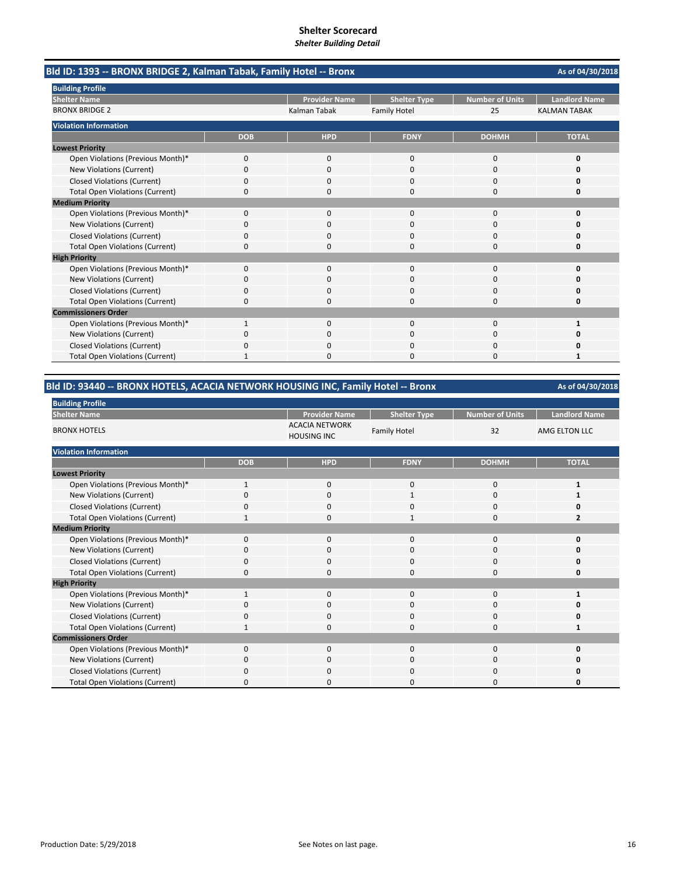| Bld ID: 1393 -- BRONX BRIDGE 2, Kalman Tabak, Family Hotel -- Bronx |            |                      |                     |                        | As of 04/30/2018     |
|---------------------------------------------------------------------|------------|----------------------|---------------------|------------------------|----------------------|
| <b>Building Profile</b>                                             |            |                      |                     |                        |                      |
| <b>Shelter Name</b>                                                 |            | <b>Provider Name</b> | <b>Shelter Type</b> | <b>Number of Units</b> | <b>Landlord Name</b> |
| <b>BRONX BRIDGE 2</b>                                               |            | Kalman Tabak         | <b>Family Hotel</b> | 25                     | <b>KALMAN TABAK</b>  |
| <b>Violation Information</b>                                        |            |                      |                     |                        |                      |
|                                                                     | <b>DOB</b> | <b>HPD</b>           | <b>FDNY</b>         | <b>DOHMH</b>           | <b>TOTAL</b>         |
| <b>Lowest Priority</b>                                              |            |                      |                     |                        |                      |
| Open Violations (Previous Month)*                                   | 0          | 0                    | $\mathbf 0$         | $\mathbf 0$            | 0                    |
| New Violations (Current)                                            | $\Omega$   | $\Omega$             | $\Omega$            | $\Omega$               | o                    |
| <b>Closed Violations (Current)</b>                                  | 0          | $\Omega$             | 0                   | $\Omega$               | 0                    |
| <b>Total Open Violations (Current)</b>                              | 0          | 0                    | $\Omega$            | $\Omega$               | 0                    |
| <b>Medium Priority</b>                                              |            |                      |                     |                        |                      |
| Open Violations (Previous Month)*                                   | 0          | $\Omega$             | $\Omega$            | $\Omega$               | O                    |
| New Violations (Current)                                            | 0          | 0                    | 0                   | 0                      | n                    |
| <b>Closed Violations (Current)</b>                                  | 0          | 0                    | $\Omega$            | $\Omega$               | o                    |
| <b>Total Open Violations (Current)</b>                              | 0          | 0                    | 0                   | $\Omega$               | 0                    |
| <b>High Priority</b>                                                |            |                      |                     |                        |                      |
| Open Violations (Previous Month)*                                   | $\Omega$   | $\Omega$             | $\Omega$            | $\Omega$               | $\Omega$             |
| New Violations (Current)                                            | 0          | 0                    | $\Omega$            | $\Omega$               | o                    |
| <b>Closed Violations (Current)</b>                                  | 0          | $\Omega$             | $\Omega$            | $\Omega$               | n                    |
| <b>Total Open Violations (Current)</b>                              | $\Omega$   | ŋ                    | 0                   | $\Omega$               | 0                    |
| <b>Commissioners Order</b>                                          |            |                      |                     |                        |                      |
| Open Violations (Previous Month)*                                   | 1          | $\Omega$             | $\Omega$            | $\Omega$               |                      |
| New Violations (Current)                                            | ŋ          |                      | O                   | $\Omega$               | o                    |
| <b>Closed Violations (Current)</b>                                  | 0          | 0                    | 0                   | $\Omega$               | n                    |
| <b>Total Open Violations (Current)</b>                              | 1          | $\Omega$             | O                   | $\Omega$               |                      |

# **Bld ID: 93440 ‐‐ BRONX HOTELS, ACACIA NETWORK HOUSING INC, Family Hotel ‐‐ Bronx**

| <b>Building Profile</b>                |              |                                             |                     |                        |                      |  |
|----------------------------------------|--------------|---------------------------------------------|---------------------|------------------------|----------------------|--|
| <b>Shelter Name</b>                    |              | <b>Provider Name</b>                        | <b>Shelter Type</b> | <b>Number of Units</b> | <b>Landlord Name</b> |  |
| <b>BRONX HOTELS</b>                    |              | <b>ACACIA NETWORK</b><br><b>HOUSING INC</b> | <b>Family Hotel</b> | 32                     | AMG ELTON LLC        |  |
| <b>Violation Information</b>           |              |                                             |                     |                        |                      |  |
|                                        | <b>DOB</b>   | <b>HPD</b>                                  | <b>FDNY</b>         | <b>DOHMH</b>           | <b>TOTAL</b>         |  |
| <b>Lowest Priority</b>                 |              |                                             |                     |                        |                      |  |
| Open Violations (Previous Month)*      | $\mathbf{1}$ | $\mathbf 0$                                 | 0                   | 0                      |                      |  |
| New Violations (Current)               | $\Omega$     | $\mathbf 0$                                 |                     | $\mathbf 0$            |                      |  |
| <b>Closed Violations (Current)</b>     | 0            | $\mathbf 0$                                 | 0                   | 0                      |                      |  |
| <b>Total Open Violations (Current)</b> | $\mathbf{1}$ | $\Omega$                                    | $\mathbf{1}$        | $\mathbf 0$            | $\overline{2}$       |  |
| <b>Medium Priority</b>                 |              |                                             |                     |                        |                      |  |
| Open Violations (Previous Month)*      | $\Omega$     | 0                                           | 0                   | 0                      |                      |  |
| New Violations (Current)               | 0            | 0                                           | 0                   | 0                      |                      |  |
| <b>Closed Violations (Current)</b>     | 0            | $\mathbf 0$                                 | 0                   | 0                      |                      |  |
| <b>Total Open Violations (Current)</b> | 0            | $\mathbf 0$                                 | 0                   | $\mathbf 0$            |                      |  |
| <b>High Priority</b>                   |              |                                             |                     |                        |                      |  |
| Open Violations (Previous Month)*      | $\mathbf{1}$ | $\Omega$                                    | $\Omega$            | $\mathbf 0$            | 1                    |  |
| New Violations (Current)               | 0            | 0                                           | 0                   | 0                      |                      |  |
| <b>Closed Violations (Current)</b>     | $\Omega$     | $\mathbf 0$                                 | 0                   | 0                      |                      |  |
| <b>Total Open Violations (Current)</b> | 1            | 0                                           | 0                   | 0                      |                      |  |
| <b>Commissioners Order</b>             |              |                                             |                     |                        |                      |  |
| Open Violations (Previous Month)*      | $\Omega$     | $\Omega$                                    | 0                   | $\mathbf 0$            |                      |  |
| New Violations (Current)               | $\Omega$     | $\mathbf 0$                                 | 0                   | 0                      |                      |  |
| <b>Closed Violations (Current)</b>     | $\Omega$     | $\Omega$                                    | 0                   | 0                      |                      |  |
| <b>Total Open Violations (Current)</b> | 0            | 0                                           | $\Omega$            | 0                      |                      |  |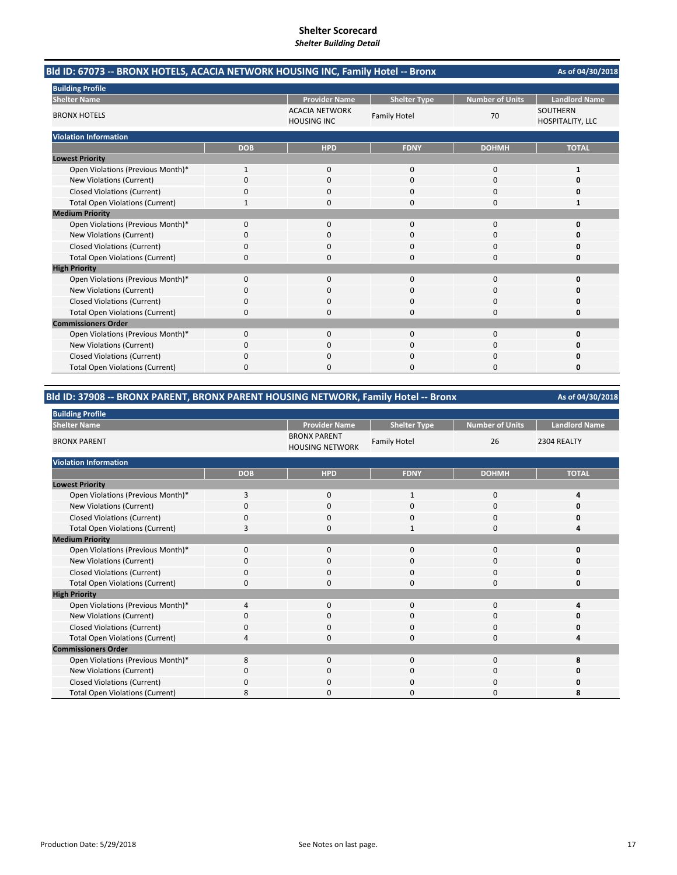| Bld ID: 67073 -- BRONX HOTELS, ACACIA NETWORK HOUSING INC, Family Hotel -- Bronx |              | As of 04/30/2018                            |                     |                        |                                     |
|----------------------------------------------------------------------------------|--------------|---------------------------------------------|---------------------|------------------------|-------------------------------------|
| <b>Building Profile</b>                                                          |              |                                             |                     |                        |                                     |
| <b>Shelter Name</b>                                                              |              | <b>Provider Name</b>                        | <b>Shelter Type</b> | <b>Number of Units</b> | <b>Landlord Name</b>                |
| <b>BRONX HOTELS</b>                                                              |              | <b>ACACIA NETWORK</b><br><b>HOUSING INC</b> | <b>Family Hotel</b> | 70                     | <b>SOUTHERN</b><br>HOSPITALITY, LLC |
| <b>Violation Information</b>                                                     |              |                                             |                     |                        |                                     |
|                                                                                  | <b>DOB</b>   | <b>HPD</b>                                  | <b>FDNY</b>         | <b>DOHMH</b>           | <b>TOTAL</b>                        |
| <b>Lowest Priority</b>                                                           |              |                                             |                     |                        |                                     |
| Open Violations (Previous Month)*                                                | $\mathbf{1}$ | $\Omega$                                    | $\Omega$            | $\Omega$               | 1                                   |
| New Violations (Current)                                                         | ŋ            | $\Omega$                                    | $\Omega$            | 0                      | Ω                                   |
| <b>Closed Violations (Current)</b>                                               | 0            | 0                                           | $\Omega$            | 0                      | Ω                                   |
| <b>Total Open Violations (Current)</b>                                           |              | 0                                           | $\Omega$            | 0                      | 1                                   |
| <b>Medium Priority</b>                                                           |              |                                             |                     |                        |                                     |
| Open Violations (Previous Month)*                                                | 0            | $\mathbf{0}$                                | $\mathbf 0$         | 0                      | O                                   |
| New Violations (Current)                                                         | ŋ            | 0                                           | O                   | O                      |                                     |
| <b>Closed Violations (Current)</b>                                               | 0            | $\Omega$                                    | 0                   | 0                      | Ω                                   |
| <b>Total Open Violations (Current)</b>                                           | 0            | $\Omega$                                    | $\Omega$            | 0                      | 0                                   |
| <b>High Priority</b>                                                             |              |                                             |                     |                        |                                     |
| Open Violations (Previous Month)*                                                | 0            | $\Omega$                                    | $\Omega$            | 0                      | O                                   |
| New Violations (Current)                                                         | 0            | 0                                           | 0                   | 0                      |                                     |
| <b>Closed Violations (Current)</b>                                               | 0            | 0                                           | $\Omega$            | $\Omega$               | 0                                   |
| <b>Total Open Violations (Current)</b>                                           | 0            | 0                                           | $\Omega$            | 0                      | 0                                   |
| <b>Commissioners Order</b>                                                       |              |                                             |                     |                        |                                     |
| Open Violations (Previous Month)*                                                | 0            | $\Omega$                                    | $\Omega$            | $\Omega$               | O                                   |
| New Violations (Current)                                                         | 0            | 0                                           | ი                   | 0                      |                                     |
| <b>Closed Violations (Current)</b>                                               | 0            | $\Omega$                                    | $\Omega$            | $\Omega$               |                                     |
| <b>Total Open Violations (Current)</b>                                           | 0            | n                                           | n                   | O                      | 0                                   |

## **Bld ID: 37908 ‐‐ BRONX PARENT, BRONX PARENT HOUSING NETWORK, Family Hotel ‐‐ Bronx**

| <b>Building Profile</b>                |            |                                               |                     |                 |                      |
|----------------------------------------|------------|-----------------------------------------------|---------------------|-----------------|----------------------|
| <b>Shelter Name</b>                    |            | <b>Provider Name</b>                          | <b>Shelter Type</b> | Number of Units | <b>Landlord Name</b> |
| <b>BRONX PARENT</b>                    |            | <b>BRONX PARENT</b><br><b>HOUSING NETWORK</b> | <b>Family Hotel</b> | 26              | 2304 REALTY          |
| <b>Violation Information</b>           |            |                                               |                     |                 |                      |
|                                        | <b>DOB</b> | <b>HPD</b>                                    | <b>FDNY</b>         | <b>DOHMH</b>    | <b>TOTAL</b>         |
| <b>Lowest Priority</b>                 |            |                                               |                     |                 |                      |
| Open Violations (Previous Month)*      | 3          | 0                                             | 1                   | 0               |                      |
| New Violations (Current)               | $\Omega$   | 0                                             | $\Omega$            | 0               | ŋ                    |
| <b>Closed Violations (Current)</b>     | $\Omega$   | 0                                             | 0                   | 0               | ŋ                    |
| <b>Total Open Violations (Current)</b> | 3          | 0                                             | $\mathbf{1}$        | $\mathbf{0}$    | л                    |
| <b>Medium Priority</b>                 |            |                                               |                     |                 |                      |
| Open Violations (Previous Month)*      | 0          | $\mathbf{0}$                                  | $\mathbf{0}$        | $\mathbf{0}$    | ŋ                    |
| New Violations (Current)               | C          | 0                                             | 0                   | 0               |                      |
| <b>Closed Violations (Current)</b>     | 0          | 0                                             | 0                   | 0               | 0                    |
| <b>Total Open Violations (Current)</b> | $\Omega$   | 0                                             | $\Omega$            | $\Omega$        | ŋ                    |
| <b>High Priority</b>                   |            |                                               |                     |                 |                      |
| Open Violations (Previous Month)*      | 4          | 0                                             | $\mathbf{0}$        | $\mathbf{0}$    |                      |
| New Violations (Current)               | C          | 0                                             | 0                   | 0               | Ω                    |
| <b>Closed Violations (Current)</b>     | 0          | 0                                             | 0                   | 0               | ŋ                    |
| <b>Total Open Violations (Current)</b> |            | 0                                             | 0                   | 0               |                      |
| <b>Commissioners Order</b>             |            |                                               |                     |                 |                      |
| Open Violations (Previous Month)*      | 8          | 0                                             | 0                   | $\mathbf{0}$    |                      |
| New Violations (Current)               | 0          | 0                                             | 0                   | 0               | 0                    |
| <b>Closed Violations (Current)</b>     | 0          | 0                                             | 0                   | 0               | n                    |
| <b>Total Open Violations (Current)</b> | 8          | 0                                             | ი                   | 0               | 8                    |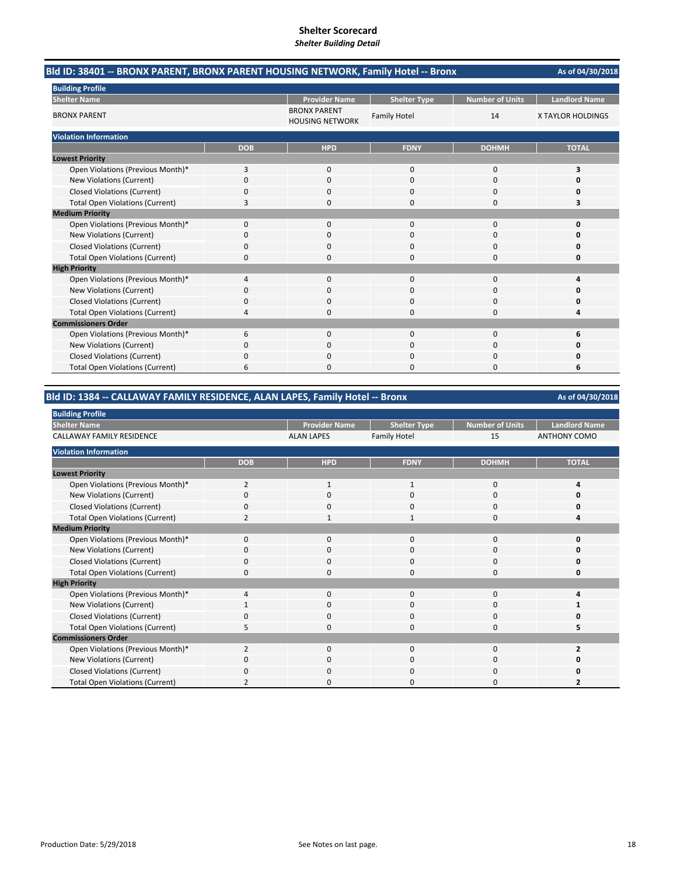| Bld ID: 38401 -- BRONX PARENT, BRONX PARENT HOUSING NETWORK, Family Hotel -- Bronx |            |                                               |                     |                        | As of 04/30/2018     |
|------------------------------------------------------------------------------------|------------|-----------------------------------------------|---------------------|------------------------|----------------------|
| <b>Building Profile</b>                                                            |            |                                               |                     |                        |                      |
| <b>Shelter Name</b>                                                                |            | <b>Provider Name</b>                          | <b>Shelter Type</b> | <b>Number of Units</b> | <b>Landlord Name</b> |
| <b>BRONX PARENT</b>                                                                |            | <b>BRONX PARENT</b><br><b>HOUSING NETWORK</b> | <b>Family Hotel</b> | 14                     | X TAYLOR HOLDINGS    |
| <b>Violation Information</b>                                                       |            |                                               |                     |                        |                      |
|                                                                                    | <b>DOB</b> | <b>HPD</b>                                    | <b>FDNY</b>         | <b>DOHMH</b>           | <b>TOTAL</b>         |
| <b>Lowest Priority</b>                                                             |            |                                               |                     |                        |                      |
| Open Violations (Previous Month)*                                                  | 3          | $\mathbf{0}$                                  | $\mathbf 0$         | 0                      | 3                    |
| New Violations (Current)                                                           | $\Omega$   | 0                                             | $\Omega$            | 0                      | n                    |
| <b>Closed Violations (Current)</b>                                                 | 0          | 0                                             | $\Omega$            | 0                      | Ω                    |
| <b>Total Open Violations (Current)</b>                                             | 3          | 0                                             | $\Omega$            | 0                      | 3                    |
| <b>Medium Priority</b>                                                             |            |                                               |                     |                        |                      |
| Open Violations (Previous Month)*                                                  | 0          | $\mathbf{0}$                                  | $\mathbf{0}$        | 0                      | O                    |
| New Violations (Current)                                                           | 0          | 0                                             | 0                   | 0                      |                      |
| <b>Closed Violations (Current)</b>                                                 | 0          | $\Omega$                                      | 0                   | 0                      | n                    |
| <b>Total Open Violations (Current)</b>                                             | 0          | <sup>0</sup>                                  | $\Omega$            | $\Omega$               | 0                    |
| <b>High Priority</b>                                                               |            |                                               |                     |                        |                      |
| Open Violations (Previous Month)*                                                  | 4          | $\Omega$                                      | 0                   | $\Omega$               | Δ                    |
| New Violations (Current)                                                           | 0          | 0                                             | $\Omega$            | 0                      |                      |
| <b>Closed Violations (Current)</b>                                                 | 0          | ŋ                                             | $\Omega$            | 0                      | Ω                    |
| <b>Total Open Violations (Current)</b>                                             | 4          | 0                                             | $\Omega$            | 0                      | Δ                    |
| <b>Commissioners Order</b>                                                         |            |                                               |                     |                        |                      |
| Open Violations (Previous Month)*                                                  | 6          | $\Omega$                                      | $\Omega$            | $\Omega$               | 6                    |
| <b>New Violations (Current)</b>                                                    | 0          | 0                                             |                     | 0                      |                      |
| <b>Closed Violations (Current)</b>                                                 | 0          | n                                             | $\Omega$            | $\Omega$               |                      |
| <b>Total Open Violations (Current)</b>                                             | 6          | n                                             | $\Omega$            | O                      | 6                    |

## **Bld ID: 1384 ‐‐ CALLAWAY FAMILY RESIDENCE, ALAN LAPES, Family Hotel ‐‐ Bronx**

| <b>Building Profile</b>                |                |                      |                     |                        |                      |
|----------------------------------------|----------------|----------------------|---------------------|------------------------|----------------------|
| <b>Shelter Name</b>                    |                | <b>Provider Name</b> | <b>Shelter Type</b> | <b>Number of Units</b> | <b>Landlord Name</b> |
| <b>CALLAWAY FAMILY RESIDENCE</b>       |                | <b>ALAN LAPES</b>    | <b>Family Hotel</b> | 15                     | <b>ANTHONY COMO</b>  |
| <b>Violation Information</b>           |                |                      |                     |                        |                      |
|                                        | <b>DOB</b>     | <b>HPD</b>           | <b>FDNY</b>         | <b>DOHMH</b>           | <b>TOTAL</b>         |
| <b>Lowest Priority</b>                 |                |                      |                     |                        |                      |
| Open Violations (Previous Month)*      | $\overline{2}$ | 1                    |                     | 0                      |                      |
| New Violations (Current)               | O              | $\Omega$             | 0                   | $\Omega$               | o                    |
| <b>Closed Violations (Current)</b>     | $\Omega$       | $\mathbf 0$          | 0                   | 0                      | O                    |
| <b>Total Open Violations (Current)</b> |                |                      |                     | $\Omega$               |                      |
| <b>Medium Priority</b>                 |                |                      |                     |                        |                      |
| Open Violations (Previous Month)*      | $\Omega$       | $\Omega$             | 0                   | $\Omega$               | ŋ                    |
| New Violations (Current)               | 0              | $\mathbf 0$          | 0                   | 0                      | ŋ                    |
| <b>Closed Violations (Current)</b>     |                | $\Omega$             | 0                   | 0                      | ი                    |
| <b>Total Open Violations (Current)</b> | 0              | 0                    | 0                   | 0                      | O                    |
| <b>High Priority</b>                   |                |                      |                     |                        |                      |
| Open Violations (Previous Month)*      | 4              | 0                    | 0                   | 0                      | Δ                    |
| New Violations (Current)               |                | $\Omega$             | $\Omega$            | 0                      |                      |
| <b>Closed Violations (Current)</b>     | 0              | $\Omega$             | 0                   | 0                      | O                    |
| <b>Total Open Violations (Current)</b> | 5              | $\Omega$             | 0                   | $\Omega$               |                      |
| <b>Commissioners Order</b>             |                |                      |                     |                        |                      |
| Open Violations (Previous Month)*      | $\overline{2}$ | $\Omega$             | 0                   | 0                      |                      |
| New Violations (Current)               | <sup>0</sup>   | 0                    | 0                   | 0                      | O                    |
| <b>Closed Violations (Current)</b>     | 0              | $\Omega$             | 0                   | 0                      | n                    |
| <b>Total Open Violations (Current)</b> |                | <sup>0</sup>         | ი                   | 0                      |                      |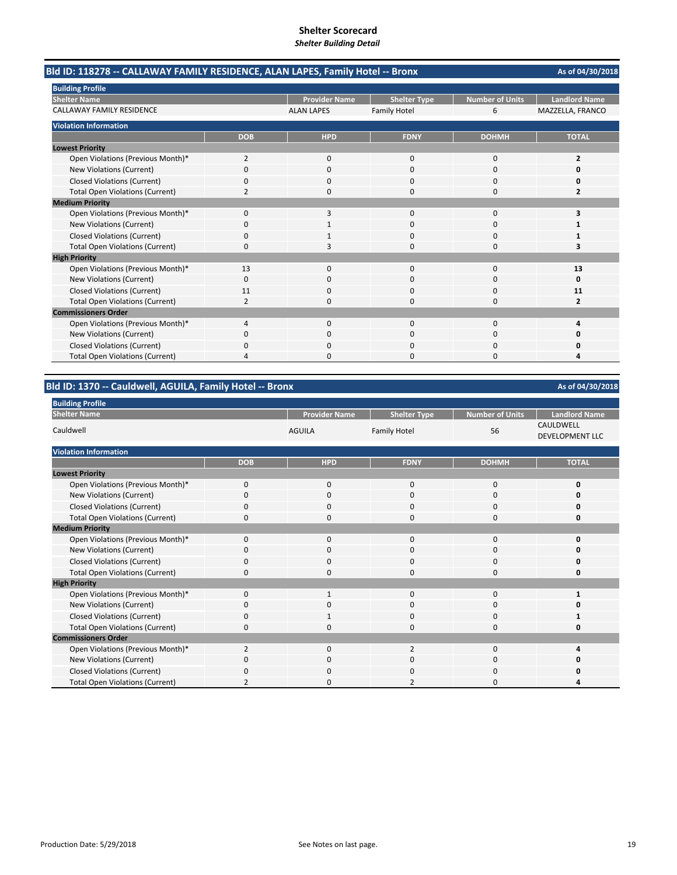|                                        | Bld ID: 118278 -- CALLAWAY FAMILY RESIDENCE, ALAN LAPES, Family Hotel -- Bronx |                      |                     |                        |                      |  |  |
|----------------------------------------|--------------------------------------------------------------------------------|----------------------|---------------------|------------------------|----------------------|--|--|
| <b>Building Profile</b>                |                                                                                |                      |                     |                        |                      |  |  |
| <b>Shelter Name</b>                    |                                                                                | <b>Provider Name</b> | <b>Shelter Type</b> | <b>Number of Units</b> | <b>Landlord Name</b> |  |  |
| <b>CALLAWAY FAMILY RESIDENCE</b>       |                                                                                | <b>ALAN LAPES</b>    | <b>Family Hotel</b> | 6                      | MAZZELLA, FRANCO     |  |  |
| <b>Violation Information</b>           |                                                                                |                      |                     |                        |                      |  |  |
|                                        | <b>DOB</b>                                                                     | <b>HPD</b>           | <b>FDNY</b>         | <b>DOHMH</b>           | <b>TOTAL</b>         |  |  |
| <b>Lowest Priority</b>                 |                                                                                |                      |                     |                        |                      |  |  |
| Open Violations (Previous Month)*      | $\overline{2}$                                                                 | $\mathbf{0}$         | $\mathbf{0}$        | 0                      | $\overline{2}$       |  |  |
| New Violations (Current)               | 0                                                                              | 0                    | 0                   | 0                      | Ω                    |  |  |
| <b>Closed Violations (Current)</b>     | 0                                                                              | $\Omega$             | $\Omega$            | $\Omega$               | 0                    |  |  |
| <b>Total Open Violations (Current)</b> | 2                                                                              | <sup>n</sup>         | $\Omega$            | $\Omega$               | 2                    |  |  |
| <b>Medium Priority</b>                 |                                                                                |                      |                     |                        |                      |  |  |
| Open Violations (Previous Month)*      | 0                                                                              | 3                    | $\Omega$            | $\Omega$               | 3                    |  |  |
| New Violations (Current)               | 0                                                                              |                      | $\Omega$            | 0                      |                      |  |  |
| <b>Closed Violations (Current)</b>     | 0                                                                              |                      | $\Omega$            | $\Omega$               | 1                    |  |  |
| <b>Total Open Violations (Current)</b> | 0                                                                              | 3                    | $\Omega$            | 0                      | 3                    |  |  |
| <b>High Priority</b>                   |                                                                                |                      |                     |                        |                      |  |  |
| Open Violations (Previous Month)*      | 13                                                                             | $\Omega$             | $\Omega$            | $\Omega$               | 13                   |  |  |
| <b>New Violations (Current)</b>        | 0                                                                              | $\Omega$             | $\Omega$            | $\Omega$               | 0                    |  |  |
| <b>Closed Violations (Current)</b>     | 11                                                                             | 0                    | $\Omega$            | 0                      | 11                   |  |  |
| <b>Total Open Violations (Current)</b> | 2                                                                              | 0                    | $\Omega$            | $\Omega$               | $\overline{2}$       |  |  |
| <b>Commissioners Order</b>             |                                                                                |                      |                     |                        |                      |  |  |
| Open Violations (Previous Month)*      | 4                                                                              | 0                    | 0                   | 0                      | Δ                    |  |  |
| New Violations (Current)               | 0                                                                              | 0                    | $\Omega$            | $\Omega$               |                      |  |  |
| <b>Closed Violations (Current)</b>     | ŋ                                                                              |                      | ი                   | 0                      | Ω                    |  |  |
| <b>Total Open Violations (Current)</b> | 4                                                                              |                      | n                   | 0                      |                      |  |  |

## **Bld ID: 1370 ‐‐ Cauldwell, AGUILA, Family Hotel ‐‐ Bronx**

| <b>Building Profile</b>                |                |                      |                     |                        |                                     |
|----------------------------------------|----------------|----------------------|---------------------|------------------------|-------------------------------------|
| <b>Shelter Name</b>                    |                | <b>Provider Name</b> | <b>Shelter Type</b> | <b>Number of Units</b> | <b>Landlord Name</b>                |
| Cauldwell                              |                | <b>AGUILA</b>        | <b>Family Hotel</b> | 56                     | CAULDWELL<br><b>DEVELOPMENT LLC</b> |
| <b>Violation Information</b>           |                |                      |                     |                        |                                     |
|                                        | <b>DOB</b>     | <b>HPD</b>           | <b>FDNY</b>         | <b>DOHMH</b>           | <b>TOTAL</b>                        |
| <b>Lowest Priority</b>                 |                |                      |                     |                        |                                     |
| Open Violations (Previous Month)*      | $\mathbf 0$    | $\mathbf 0$          | $\mathbf 0$         | 0                      | 0                                   |
| New Violations (Current)               | $\Omega$       | $\mathbf 0$          | $\mathbf 0$         | 0                      | 0                                   |
| <b>Closed Violations (Current)</b>     | $\mathbf 0$    | $\mathbf 0$          | $\mathbf 0$         | 0                      | 0                                   |
| <b>Total Open Violations (Current)</b> | $\Omega$       | $\mathbf 0$          | 0                   | $\mathbf 0$            | O                                   |
| <b>Medium Priority</b>                 |                |                      |                     |                        |                                     |
| Open Violations (Previous Month)*      | $\mathbf 0$    | $\mathbf 0$          | $\mathbf{0}$        | 0                      | O                                   |
| New Violations (Current)               | 0              | $\mathbf 0$          | 0                   | 0                      | o                                   |
| <b>Closed Violations (Current)</b>     | $\Omega$       | $\mathbf 0$          | 0                   | 0                      | O                                   |
| <b>Total Open Violations (Current)</b> | 0              | $\mathbf 0$          | 0                   | 0                      | 0                                   |
| <b>High Priority</b>                   |                |                      |                     |                        |                                     |
| Open Violations (Previous Month)*      | $\Omega$       | $\mathbf{1}$         | $\mathbf{0}$        | 0                      |                                     |
| New Violations (Current)               | 0              | 0                    | 0                   | 0                      | 0                                   |
| <b>Closed Violations (Current)</b>     | $\Omega$       | $\mathbf{1}$         | $\mathbf 0$         | 0                      |                                     |
| <b>Total Open Violations (Current)</b> | 0              | $\mathbf 0$          | $\mathbf 0$         | 0                      | 0                                   |
| <b>Commissioners Order</b>             |                |                      |                     |                        |                                     |
| Open Violations (Previous Month)*      | $\overline{2}$ | $\mathbf 0$          | $\overline{2}$      | 0                      |                                     |
| New Violations (Current)               | 0              | $\mathbf 0$          | $\mathbf 0$         | 0                      |                                     |
| <b>Closed Violations (Current)</b>     | $\Omega$       | $\Omega$             | 0                   | 0                      | 0                                   |
| <b>Total Open Violations (Current)</b> | $\overline{2}$ | $\Omega$             | 2                   | $\Omega$               |                                     |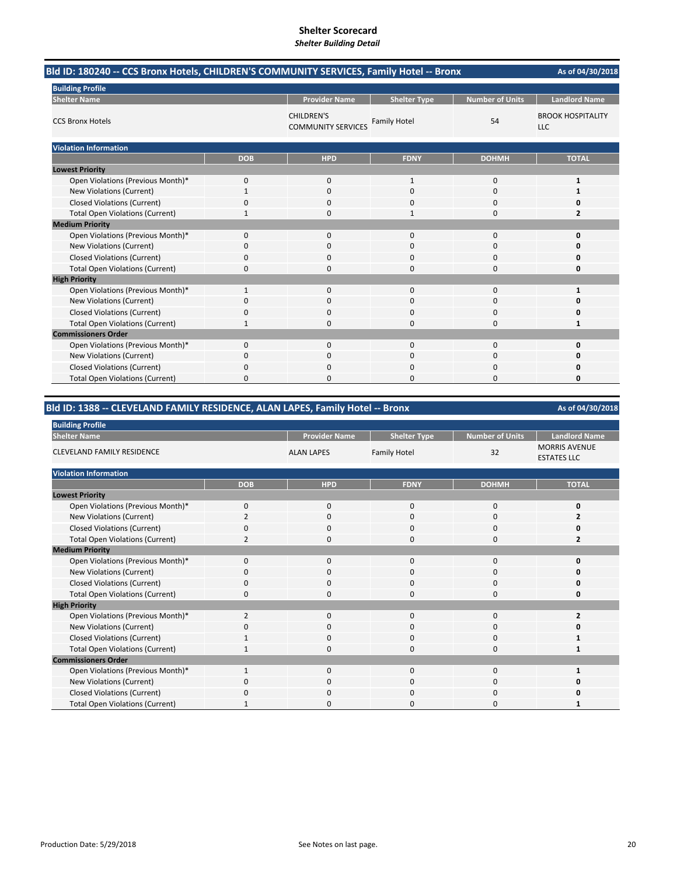| Bld ID: 180240 -- CCS Bronx Hotels, CHILDREN'S COMMUNITY SERVICES, Family Hotel -- Bronx |              |                                                |                     |                        |                                        |
|------------------------------------------------------------------------------------------|--------------|------------------------------------------------|---------------------|------------------------|----------------------------------------|
| <b>Building Profile</b>                                                                  |              |                                                |                     |                        |                                        |
| <b>Shelter Name</b>                                                                      |              | <b>Provider Name</b>                           | <b>Shelter Type</b> | <b>Number of Units</b> | <b>Landlord Name</b>                   |
| <b>CCS Bronx Hotels</b>                                                                  |              | <b>CHILDREN'S</b><br><b>COMMUNITY SERVICES</b> | <b>Family Hotel</b> | 54                     | <b>BROOK HOSPITALITY</b><br><b>LLC</b> |
| <b>Violation Information</b>                                                             |              |                                                |                     |                        |                                        |
|                                                                                          | <b>DOB</b>   | <b>HPD</b>                                     | <b>FDNY</b>         | <b>DOHMH</b>           | <b>TOTAL</b>                           |
| <b>Lowest Priority</b>                                                                   |              |                                                |                     |                        |                                        |
| Open Violations (Previous Month)*                                                        | 0            | 0                                              | $\mathbf{1}$        | 0                      | 1                                      |
| New Violations (Current)                                                                 | 1            | 0                                              | 0                   | 0                      | 1                                      |
| <b>Closed Violations (Current)</b>                                                       | 0            | 0                                              | $\Omega$            | 0                      | Ω                                      |
| <b>Total Open Violations (Current)</b>                                                   |              | 0                                              |                     | 0                      | 2                                      |
| <b>Medium Priority</b>                                                                   |              |                                                |                     |                        |                                        |
| Open Violations (Previous Month)*                                                        | 0            | $\mathbf{0}$                                   | $\mathbf{0}$        | 0                      | 0                                      |
| New Violations (Current)                                                                 | 0            | $\Omega$                                       | $\Omega$            | 0                      | O                                      |
| <b>Closed Violations (Current)</b>                                                       | 0            | 0                                              | $\Omega$            | 0                      | 0                                      |
| <b>Total Open Violations (Current)</b>                                                   | 0            | $\Omega$                                       | $\Omega$            | 0                      | 0                                      |
| <b>High Priority</b>                                                                     |              |                                                |                     |                        |                                        |
| Open Violations (Previous Month)*                                                        | $\mathbf{1}$ | $\mathbf{0}$                                   | $\mathbf{0}$        | 0                      | 1                                      |
| New Violations (Current)                                                                 | 0            | 0                                              | $\Omega$            | 0                      | Ω                                      |
| <b>Closed Violations (Current)</b>                                                       | 0            | 0                                              | $\Omega$            | 0                      | Ω                                      |
| <b>Total Open Violations (Current)</b>                                                   | 1            | 0                                              | $\Omega$            | 0                      | 1                                      |
| <b>Commissioners Order</b>                                                               |              |                                                |                     |                        |                                        |
| Open Violations (Previous Month)*                                                        | 0            | $\mathbf{0}$                                   | $\mathbf 0$         | 0                      | 0                                      |
| New Violations (Current)                                                                 | 0            | 0                                              | $\Omega$            | 0                      | 0                                      |
| <b>Closed Violations (Current)</b>                                                       | 0            | 0                                              | 0                   | 0                      | 0                                      |
| <b>Total Open Violations (Current)</b>                                                   | 0            | $\Omega$                                       | $\Omega$            | $\Omega$               | 0                                      |

# **Bld ID: 1388 ‐‐ CLEVELAND FAMILY RESIDENCE, ALAN LAPES, Family Hotel ‐‐ Bronx**

| <b>Building Profile</b>                |                |                      |                     |                        |                                            |
|----------------------------------------|----------------|----------------------|---------------------|------------------------|--------------------------------------------|
| <b>Shelter Name</b>                    |                | <b>Provider Name</b> | <b>Shelter Type</b> | <b>Number of Units</b> | <b>Landlord Name</b>                       |
| <b>CLEVELAND FAMILY RESIDENCE</b>      |                | <b>ALAN LAPES</b>    | <b>Family Hotel</b> | 32                     | <b>MORRIS AVENUE</b><br><b>ESTATES LLC</b> |
| <b>Violation Information</b>           |                |                      |                     |                        |                                            |
|                                        | <b>DOB</b>     | <b>HPD</b>           | <b>FDNY</b>         | <b>DOHMH</b>           | <b>TOTAL</b>                               |
| <b>Lowest Priority</b>                 |                |                      |                     |                        |                                            |
| Open Violations (Previous Month)*      | $\mathbf 0$    | 0                    | $\mathbf 0$         | 0                      | 0                                          |
| New Violations (Current)               | $\overline{2}$ | 0                    | 0                   | 0                      |                                            |
| <b>Closed Violations (Current)</b>     | 0              | 0                    | $\mathbf{0}$        | 0                      | n                                          |
| <b>Total Open Violations (Current)</b> | $\overline{2}$ | 0                    | $\Omega$            | 0                      | 2                                          |
| <b>Medium Priority</b>                 |                |                      |                     |                        |                                            |
| Open Violations (Previous Month)*      | $\Omega$       | 0                    | $\mathbf{0}$        | 0                      | n                                          |
| New Violations (Current)               | 0              | 0                    | 0                   | 0                      |                                            |
| <b>Closed Violations (Current)</b>     | 0              | 0                    | $\mathbf{0}$        | 0                      | Ω                                          |
| <b>Total Open Violations (Current)</b> | $\Omega$       | 0                    | $\Omega$            | 0                      | O                                          |
| <b>High Priority</b>                   |                |                      |                     |                        |                                            |
| Open Violations (Previous Month)*      | $\overline{2}$ | $\mathbf{0}$         | $\mathbf 0$         | 0                      |                                            |
| New Violations (Current)               | n              | 0                    | 0                   | 0                      |                                            |
| <b>Closed Violations (Current)</b>     | 1              | 0                    | 0                   | 0                      |                                            |
| <b>Total Open Violations (Current)</b> |                | 0                    | $\mathbf{0}$        | 0                      |                                            |
| <b>Commissioners Order</b>             |                |                      |                     |                        |                                            |
| Open Violations (Previous Month)*      | $\mathbf{1}$   | 0                    | $\mathbf 0$         | 0                      | 1                                          |
| New Violations (Current)               | 0              | 0                    | $\mathbf{0}$        | 0                      | n                                          |
| <b>Closed Violations (Current)</b>     | $\Omega$       | 0                    | $\mathbf{0}$        | 0                      |                                            |
| <b>Total Open Violations (Current)</b> |                | 0                    | 0                   | $\Omega$               |                                            |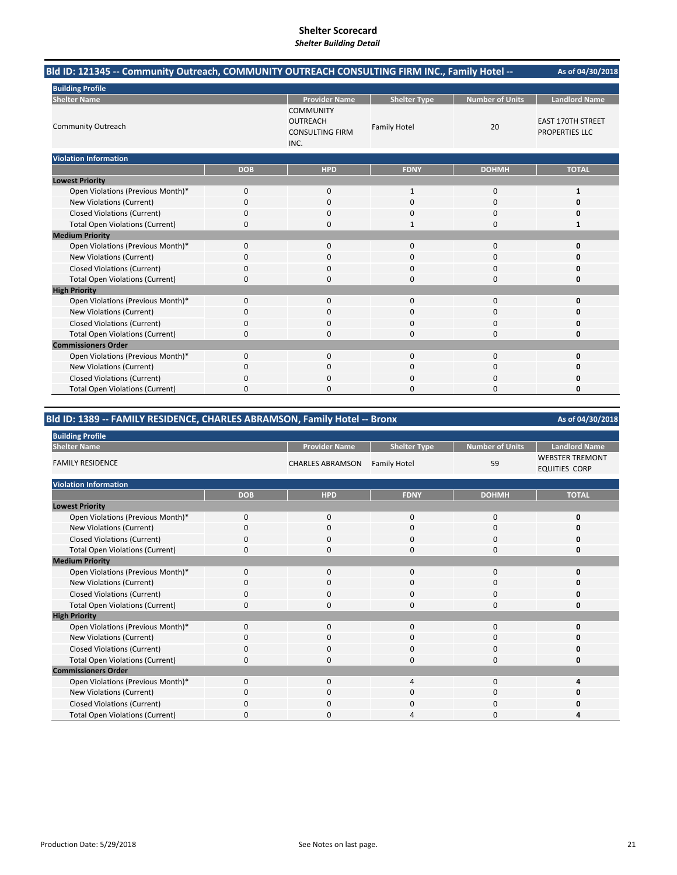| Bld ID: 121345 -- Community Outreach, COMMUNITY OUTREACH CONSULTING FIRM INC., Family Hotel -- |            |                                                                       |                     |                        | As of 04/30/2018                           |
|------------------------------------------------------------------------------------------------|------------|-----------------------------------------------------------------------|---------------------|------------------------|--------------------------------------------|
| <b>Building Profile</b>                                                                        |            |                                                                       |                     |                        |                                            |
| <b>Shelter Name</b>                                                                            |            | <b>Provider Name</b>                                                  | <b>Shelter Type</b> | <b>Number of Units</b> | <b>Landlord Name</b>                       |
| <b>Community Outreach</b>                                                                      |            | <b>COMMUNITY</b><br><b>OUTREACH</b><br><b>CONSULTING FIRM</b><br>INC. | <b>Family Hotel</b> | 20                     | <b>EAST 170TH STREET</b><br>PROPERTIES LLC |
| <b>Violation Information</b>                                                                   |            |                                                                       |                     |                        |                                            |
|                                                                                                | <b>DOB</b> | <b>HPD</b>                                                            | <b>FDNY</b>         | <b>DOHMH</b>           | <b>TOTAL</b>                               |
| <b>Lowest Priority</b>                                                                         |            |                                                                       |                     |                        |                                            |
| Open Violations (Previous Month)*                                                              | 0          | 0                                                                     | 1                   | $\mathbf 0$            | 1                                          |
| New Violations (Current)                                                                       | 0          | 0                                                                     | $\Omega$            | $\mathbf 0$            | O                                          |
| <b>Closed Violations (Current)</b>                                                             | 0          | $\Omega$                                                              | 0                   | $\Omega$               | n                                          |
| <b>Total Open Violations (Current)</b>                                                         | 0          | 0                                                                     | $\mathbf{1}$        | $\Omega$               | $\mathbf{1}$                               |
| <b>Medium Priority</b>                                                                         |            |                                                                       |                     |                        |                                            |
| Open Violations (Previous Month)*                                                              | 0          | 0                                                                     | 0                   | $\mathbf 0$            | O                                          |
| New Violations (Current)                                                                       | 0          | 0                                                                     | 0                   | $\mathbf 0$            |                                            |
| <b>Closed Violations (Current)</b>                                                             | 0          | 0                                                                     | 0                   | $\Omega$               |                                            |
| <b>Total Open Violations (Current)</b>                                                         | 0          | 0                                                                     | 0                   | $\Omega$               | ŋ                                          |
| <b>High Priority</b>                                                                           |            |                                                                       |                     |                        |                                            |
| Open Violations (Previous Month)*                                                              | 0          | $\mathbf{0}$                                                          | 0                   | $\mathbf 0$            | O                                          |
| New Violations (Current)                                                                       | 0          | $\Omega$                                                              | 0                   | $\Omega$               |                                            |
| <b>Closed Violations (Current)</b>                                                             | 0          | 0                                                                     | 0                   | 0                      |                                            |
| <b>Total Open Violations (Current)</b>                                                         | 0          | 0                                                                     | 0                   | $\Omega$               | ŋ                                          |
| <b>Commissioners Order</b>                                                                     |            |                                                                       |                     |                        |                                            |
| Open Violations (Previous Month)*                                                              | 0          | 0                                                                     | 0                   | $\Omega$               | ŋ                                          |
| New Violations (Current)                                                                       | 0          | 0                                                                     | 0                   | $\Omega$               |                                            |
| <b>Closed Violations (Current)</b>                                                             | 0          | 0                                                                     |                     | $\Omega$               |                                            |
| <b>Total Open Violations (Current)</b>                                                         | 0          | 0                                                                     | O                   | $\Omega$               | ŋ                                          |

## **Bld ID: 1389 ‐‐ FAMILY RESIDENCE, CHARLES ABRAMSON, Family Hotel ‐‐ Bronx**

| <b>Building Profile</b>                |             |                         |                     |                        |                                                |
|----------------------------------------|-------------|-------------------------|---------------------|------------------------|------------------------------------------------|
| <b>Shelter Name</b>                    |             | <b>Provider Name</b>    | <b>Shelter Type</b> | <b>Number of Units</b> | <b>Landlord Name</b>                           |
| <b>FAMILY RESIDENCE</b>                |             | <b>CHARLES ABRAMSON</b> | <b>Family Hotel</b> | 59                     | <b>WEBSTER TREMONT</b><br><b>EQUITIES CORP</b> |
| <b>Violation Information</b>           |             |                         |                     |                        |                                                |
|                                        | <b>DOB</b>  | <b>HPD</b>              | <b>FDNY</b>         | <b>DOHMH</b>           | <b>TOTAL</b>                                   |
| <b>Lowest Priority</b>                 |             |                         |                     |                        |                                                |
| Open Violations (Previous Month)*      | $\mathbf 0$ | 0                       | 0                   | 0                      |                                                |
| New Violations (Current)               | 0           | 0                       | 0                   | 0                      |                                                |
| <b>Closed Violations (Current)</b>     | 0           | $\mathbf 0$             | 0                   | 0                      |                                                |
| <b>Total Open Violations (Current)</b> | $\Omega$    | $\Omega$                | 0                   | $\mathbf 0$            | ŋ                                              |
| <b>Medium Priority</b>                 |             |                         |                     |                        |                                                |
| Open Violations (Previous Month)*      | $\mathbf 0$ | 0                       | 0                   | 0                      |                                                |
| New Violations (Current)               | 0           | 0                       | 0                   | 0                      |                                                |
| <b>Closed Violations (Current)</b>     | 0           | $\mathbf 0$             | 0                   | 0                      |                                                |
| <b>Total Open Violations (Current)</b> | 0           | $\Omega$                | 0                   | 0                      |                                                |
| <b>High Priority</b>                   |             |                         |                     |                        |                                                |
| Open Violations (Previous Month)*      | $\Omega$    | $\Omega$                | $\Omega$            | $\mathbf 0$            | ŋ                                              |
| New Violations (Current)               | $\Omega$    | $\mathbf 0$             | 0                   | 0                      |                                                |
| <b>Closed Violations (Current)</b>     | $\mathbf 0$ | $\mathbf 0$             | 0                   | $\mathbf 0$            |                                                |
| <b>Total Open Violations (Current)</b> | $\Omega$    | $\mathbf 0$             | 0                   | 0                      |                                                |
| <b>Commissioners Order</b>             |             |                         |                     |                        |                                                |
| Open Violations (Previous Month)*      | $\Omega$    | $\Omega$                | 4                   | $\mathbf 0$            |                                                |
| New Violations (Current)               | $\Omega$    | $\mathbf 0$             | 0                   | 0                      |                                                |
| <b>Closed Violations (Current)</b>     | $\Omega$    | $\Omega$                | 0                   | $\Omega$               |                                                |
| <b>Total Open Violations (Current)</b> | $\Omega$    | $\Omega$                | 4                   | 0                      |                                                |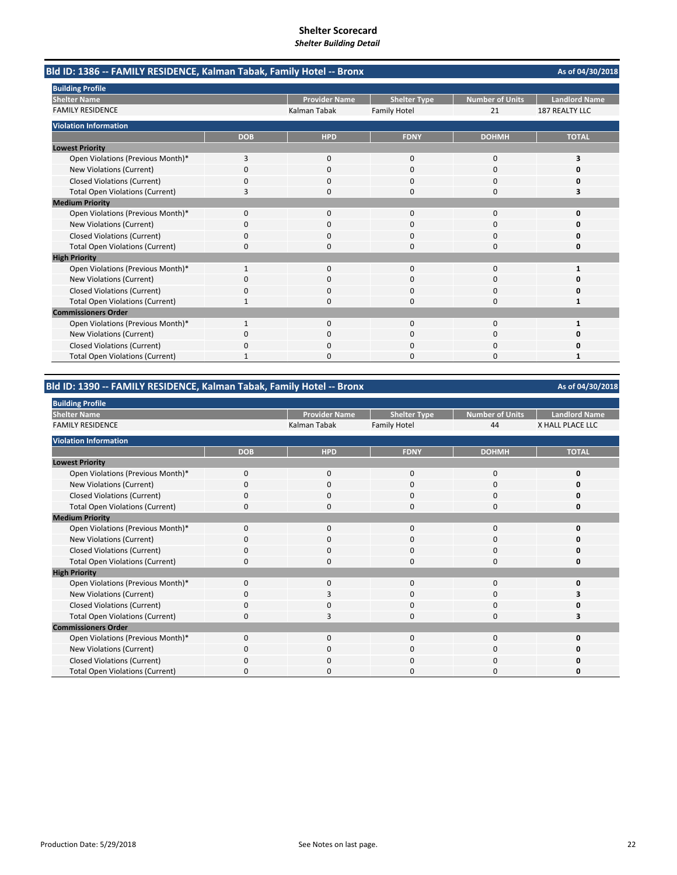| Bld ID: 1386 -- FAMILY RESIDENCE, Kalman Tabak, Family Hotel -- Bronx |              |                      |                     |                        | As of 04/30/2018     |
|-----------------------------------------------------------------------|--------------|----------------------|---------------------|------------------------|----------------------|
| <b>Building Profile</b>                                               |              |                      |                     |                        |                      |
| <b>Shelter Name</b>                                                   |              | <b>Provider Name</b> | <b>Shelter Type</b> | <b>Number of Units</b> | <b>Landlord Name</b> |
| <b>FAMILY RESIDENCE</b>                                               |              | Kalman Tabak         | <b>Family Hotel</b> | 21                     | 187 REALTY LLC       |
| <b>Violation Information</b>                                          |              |                      |                     |                        |                      |
|                                                                       | <b>DOB</b>   | <b>HPD</b>           | <b>FDNY</b>         | <b>DOHMH</b>           | <b>TOTAL</b>         |
| <b>Lowest Priority</b>                                                |              |                      |                     |                        |                      |
| Open Violations (Previous Month)*                                     | 3            | 0                    | 0                   | $\mathbf 0$            | 3                    |
| <b>New Violations (Current)</b>                                       | $\Omega$     | <sup>0</sup>         | $\Omega$            | $\Omega$               | o                    |
| <b>Closed Violations (Current)</b>                                    | 0            | <sup>0</sup>         | 0                   | $\Omega$               | o                    |
| <b>Total Open Violations (Current)</b>                                | 3            | 0                    | $\Omega$            | 0                      | 3                    |
| <b>Medium Priority</b>                                                |              |                      |                     |                        |                      |
| Open Violations (Previous Month)*                                     | 0            | <sup>0</sup>         | $\Omega$            | $\Omega$               | o                    |
| <b>New Violations (Current)</b>                                       | 0            | 0                    | 0                   | 0                      | Ω                    |
| <b>Closed Violations (Current)</b>                                    | $\Omega$     | <sup>0</sup>         | O                   | $\Omega$               | o                    |
| <b>Total Open Violations (Current)</b>                                | 0            | 0                    | 0                   | $\Omega$               | 0                    |
| <b>High Priority</b>                                                  |              |                      |                     |                        |                      |
| Open Violations (Previous Month)*                                     | $\mathbf{1}$ | $\Omega$             | $\Omega$            | $\Omega$               | 1                    |
| New Violations (Current)                                              | n            | <sup>0</sup>         | O                   | $\Omega$               | n                    |
| <b>Closed Violations (Current)</b>                                    | 0            | 0                    | 0                   | 0                      |                      |
| <b>Total Open Violations (Current)</b>                                |              | n                    | O                   | $\Omega$               |                      |
| <b>Commissioners Order</b>                                            |              |                      |                     |                        |                      |
| Open Violations (Previous Month)*                                     |              | 0                    | 0                   | $\Omega$               |                      |
| New Violations (Current)                                              | ŋ            | ŋ                    | O                   | $\Omega$               | o                    |
| <b>Closed Violations (Current)</b>                                    | 0            | 0                    | 0                   | $\Omega$               | Ω                    |
| <b>Total Open Violations (Current)</b>                                | 1            | ŋ                    | O                   | $\Omega$               |                      |

# **Bld ID: 1390 ‐‐ FAMILY RESIDENCE, Kalman Tabak, Family Hotel ‐‐ Bronx**

| <b>Building Profile</b>                |            |                      |                     |                 |                      |
|----------------------------------------|------------|----------------------|---------------------|-----------------|----------------------|
| <b>Shelter Name</b>                    |            | <b>Provider Name</b> | <b>Shelter Type</b> | Number of Units | <b>Landlord Name</b> |
| <b>FAMILY RESIDENCE</b>                |            | Kalman Tabak         | <b>Family Hotel</b> | 44              | X HALL PLACE LLC     |
| <b>Violation Information</b>           |            |                      |                     |                 |                      |
|                                        | <b>DOB</b> | <b>HPD</b>           | <b>FDNY</b>         | <b>DOHMH</b>    | <b>TOTAL</b>         |
| <b>Lowest Priority</b>                 |            |                      |                     |                 |                      |
| Open Violations (Previous Month)*      | 0          | 0                    | $\mathbf 0$         | 0               | 0                    |
| New Violations (Current)               | $\Omega$   | 0                    | 0                   | 0               | O                    |
| Closed Violations (Current)            | 0          | $\mathbf{0}$         | 0                   | 0               |                      |
| <b>Total Open Violations (Current)</b> | O          | $\mathbf 0$          | 0                   | 0               | 0                    |
| <b>Medium Priority</b>                 |            |                      |                     |                 |                      |
| Open Violations (Previous Month)*      | $\Omega$   | $\mathbf{0}$         | $\mathbf 0$         | 0               | $\Omega$             |
| New Violations (Current)               | 0          | 0                    | 0                   | 0               | 0                    |
| Closed Violations (Current)            | $\Omega$   | 0                    | 0                   | 0               | 0                    |
| <b>Total Open Violations (Current)</b> | 0          | 0                    | 0                   | 0               | 0                    |
| <b>High Priority</b>                   |            |                      |                     |                 |                      |
| Open Violations (Previous Month)*      | 0          | 0                    | 0                   | 0               | O                    |
| New Violations (Current)               | $\Omega$   | 3                    | 0                   | 0               |                      |
| <b>Closed Violations (Current)</b>     | $\Omega$   | $\mathbf 0$          | $\Omega$            | 0               |                      |
| <b>Total Open Violations (Current)</b> | $\Omega$   | 3                    | 0                   | 0               |                      |
| <b>Commissioners Order</b>             |            |                      |                     |                 |                      |
| Open Violations (Previous Month)*      | 0          | $\mathbf 0$          | 0                   | 0               | O                    |
| New Violations (Current)               | $\Omega$   | $\mathbf{0}$         | $\mathbf 0$         | 0               | 0                    |
| <b>Closed Violations (Current)</b>     | $\Omega$   | 0                    | 0                   | 0               | o                    |
| <b>Total Open Violations (Current)</b> | 0          | 0                    | U                   | 0               | o                    |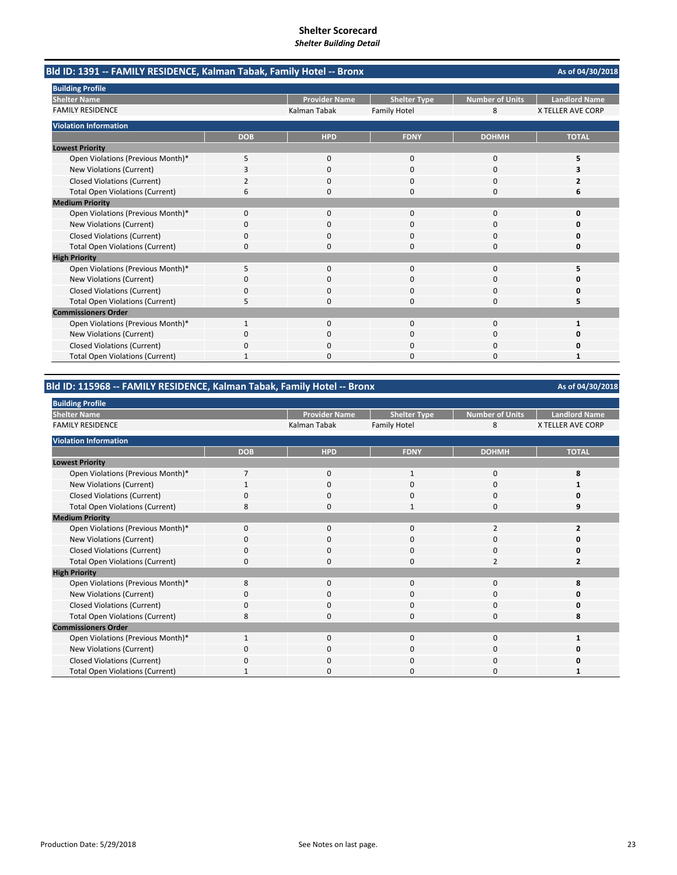| Bld ID: 1391 -- FAMILY RESIDENCE, Kalman Tabak, Family Hotel -- Bronx |              |                      |                     |                        | As of 04/30/2018         |
|-----------------------------------------------------------------------|--------------|----------------------|---------------------|------------------------|--------------------------|
| <b>Building Profile</b>                                               |              |                      |                     |                        |                          |
| <b>Shelter Name</b>                                                   |              | <b>Provider Name</b> | <b>Shelter Type</b> | <b>Number of Units</b> | <b>Landlord Name</b>     |
| <b>FAMILY RESIDENCE</b>                                               |              | Kalman Tabak         | <b>Family Hotel</b> | 8                      | <b>X TELLER AVE CORP</b> |
| <b>Violation Information</b>                                          |              |                      |                     |                        |                          |
|                                                                       | <b>DOB</b>   | <b>HPD</b>           | <b>FDNY</b>         | <b>DOHMH</b>           | <b>TOTAL</b>             |
| <b>Lowest Priority</b>                                                |              |                      |                     |                        |                          |
| Open Violations (Previous Month)*                                     | 5            | 0                    | $\mathbf 0$         | $\mathbf 0$            | 5                        |
| New Violations (Current)                                              | 3            | $\Omega$             | $\Omega$            | $\Omega$               | 3                        |
| <b>Closed Violations (Current)</b>                                    | 2            | $\Omega$             | 0                   | $\Omega$               |                          |
| <b>Total Open Violations (Current)</b>                                | 6            | 0                    | $\Omega$            | $\Omega$               | 6                        |
| <b>Medium Priority</b>                                                |              |                      |                     |                        |                          |
| Open Violations (Previous Month)*                                     | 0            | $\Omega$             | $\Omega$            | $\Omega$               | O                        |
| New Violations (Current)                                              | 0            | 0                    | 0                   | 0                      | Ω                        |
| <b>Closed Violations (Current)</b>                                    | 0            | 0                    | $\Omega$            | $\Omega$               | o                        |
| <b>Total Open Violations (Current)</b>                                | 0            | 0                    | 0                   | $\Omega$               | 0                        |
| <b>High Priority</b>                                                  |              |                      |                     |                        |                          |
| Open Violations (Previous Month)*                                     | 5            | $\Omega$             | $\Omega$            | $\Omega$               | 5                        |
| New Violations (Current)                                              | 0            | 0                    | $\Omega$            | $\Omega$               | n                        |
| <b>Closed Violations (Current)</b>                                    | 0            | $\Omega$             | $\Omega$            | $\Omega$               |                          |
| <b>Total Open Violations (Current)</b>                                | 5            | ŋ                    | O                   | $\Omega$               | 5                        |
| <b>Commissioners Order</b>                                            |              |                      |                     |                        |                          |
| Open Violations (Previous Month)*                                     | $\mathbf{1}$ | $\Omega$             | $\Omega$            | $\Omega$               |                          |
| New Violations (Current)                                              | ŋ            |                      | O                   | $\Omega$               | o                        |
| <b>Closed Violations (Current)</b>                                    | 0            | 0                    | 0                   | $\Omega$               | n                        |
| <b>Total Open Violations (Current)</b>                                | 1            | <sup>n</sup>         | O                   | $\Omega$               |                          |

## **Bld ID: 115968 ‐‐ FAMILY RESIDENCE, Kalman Tabak, Family Hotel ‐‐ Bronx**

| <b>Building Profile</b>                |              |                      |                     |                 |                          |
|----------------------------------------|--------------|----------------------|---------------------|-----------------|--------------------------|
| <b>Shelter Name</b>                    |              | <b>Provider Name</b> | <b>Shelter Type</b> | Number of Units | <b>Landlord Name</b>     |
| <b>FAMILY RESIDENCE</b>                |              | Kalman Tabak         | <b>Family Hotel</b> | 8               | <b>X TELLER AVE CORP</b> |
| <b>Violation Information</b>           |              |                      |                     |                 |                          |
|                                        | <b>DOB</b>   | <b>HPD</b>           | <b>FDNY</b>         | <b>DOHMH</b>    | <b>TOTAL</b>             |
| <b>Lowest Priority</b>                 |              |                      |                     |                 |                          |
| Open Violations (Previous Month)*      | 7            | 0                    | 1                   | 0               | 8                        |
| New Violations (Current)               |              | $\mathbf 0$          | $\Omega$            | 0               |                          |
| <b>Closed Violations (Current)</b>     | n            | 0                    | $\Omega$            | 0               |                          |
| <b>Total Open Violations (Current)</b> | 8            | $\mathbf 0$          |                     | 0               |                          |
| <b>Medium Priority</b>                 |              |                      |                     |                 |                          |
| Open Violations (Previous Month)*      | $\Omega$     | $\mathbf 0$          | $\Omega$            | 2               | $\overline{2}$           |
| New Violations (Current)               | $\Omega$     | 0                    | 0                   | 0               |                          |
| <b>Closed Violations (Current)</b>     | 0            | $\mathbf 0$          | 0                   | 0               |                          |
| <b>Total Open Violations (Current)</b> | 0            | $\mathbf 0$          | $\Omega$            | 2               |                          |
| <b>High Priority</b>                   |              |                      |                     |                 |                          |
| Open Violations (Previous Month)*      | 8            | $\mathbf 0$          | 0                   | $\mathbf 0$     | 8                        |
| New Violations (Current)               | $\Omega$     | $\mathbf{0}$         | 0                   | 0               |                          |
| <b>Closed Violations (Current)</b>     | 0            | 0                    | 0                   | $\mathbf 0$     | Ω                        |
| <b>Total Open Violations (Current)</b> | 8            | $\mathbf 0$          | $\Omega$            | $\mathbf 0$     | 8                        |
| <b>Commissioners Order</b>             |              |                      |                     |                 |                          |
| Open Violations (Previous Month)*      | $\mathbf{1}$ | $\mathbf 0$          | $\Omega$            | 0               |                          |
| New Violations (Current)               | $\Omega$     | 0                    | 0                   | $\mathbf 0$     |                          |
| <b>Closed Violations (Current)</b>     | $\Omega$     | $\mathbf{0}$         | 0                   | 0               |                          |
| <b>Total Open Violations (Current)</b> |              | 0                    | <sup>0</sup>        | 0               |                          |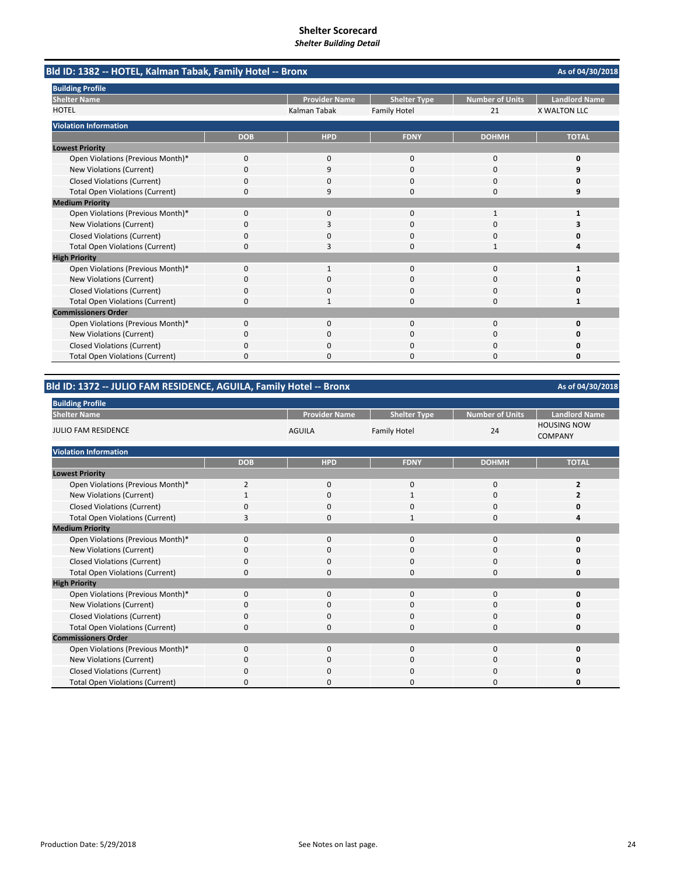| Bld ID: 1382 -- HOTEL, Kalman Tabak, Family Hotel -- Bronx |            |                      |                     |                        | As of 04/30/2018     |
|------------------------------------------------------------|------------|----------------------|---------------------|------------------------|----------------------|
| <b>Building Profile</b>                                    |            |                      |                     |                        |                      |
| <b>Shelter Name</b>                                        |            | <b>Provider Name</b> | <b>Shelter Type</b> | <b>Number of Units</b> | <b>Landlord Name</b> |
| <b>HOTEL</b>                                               |            | Kalman Tabak         | <b>Family Hotel</b> | 21                     | <b>X WALTON LLC</b>  |
| <b>Violation Information</b>                               |            |                      |                     |                        |                      |
|                                                            | <b>DOB</b> | <b>HPD</b>           | <b>FDNY</b>         | <b>DOHMH</b>           | <b>TOTAL</b>         |
| <b>Lowest Priority</b>                                     |            |                      |                     |                        |                      |
| Open Violations (Previous Month)*                          | 0          | 0                    | $\mathbf{0}$        | $\mathbf 0$            | 0                    |
| <b>New Violations (Current)</b>                            | $\Omega$   | 9                    | $\Omega$            | $\Omega$               | q                    |
| <b>Closed Violations (Current)</b>                         | 0          | 0                    | 0                   | $\Omega$               | o                    |
| <b>Total Open Violations (Current)</b>                     | 0          | 9                    | $\Omega$            | 0                      | 9                    |
| <b>Medium Priority</b>                                     |            |                      |                     |                        |                      |
| Open Violations (Previous Month)*                          | $\Omega$   | 0                    | $\Omega$            | 1                      |                      |
| New Violations (Current)                                   | 0          | 3                    | 0                   | 0                      | 3                    |
| <b>Closed Violations (Current)</b>                         | 0          | <sup>0</sup>         | $\Omega$            | $\Omega$               | n                    |
| <b>Total Open Violations (Current)</b>                     | 0          | 3                    | 0                   | -1                     | Δ                    |
| <b>High Priority</b>                                       |            |                      |                     |                        |                      |
| Open Violations (Previous Month)*                          | $\Omega$   |                      | $\Omega$            | $\Omega$               |                      |
| New Violations (Current)                                   | n          | 0                    | 0                   | 0                      | n                    |
| <b>Closed Violations (Current)</b>                         | 0          | 0                    | 0                   | 0                      | 0                    |
| <b>Total Open Violations (Current)</b>                     | 0          |                      | O                   | $\Omega$               | 1                    |
| <b>Commissioners Order</b>                                 |            |                      |                     |                        |                      |
| Open Violations (Previous Month)*                          | 0          | 0                    | $\mathbf{0}$        | $\Omega$               | 0                    |
| New Violations (Current)                                   | 0          | <sup>0</sup>         | 0                   | $\Omega$               | o                    |
| <b>Closed Violations (Current)</b>                         | 0          | 0                    | O                   | $\Omega$               | o                    |
| <b>Total Open Violations (Current)</b>                     | 0          | $\Omega$             | 0                   | $\Omega$               | 0                    |

# **Bld ID: 1372 ‐‐ JULIO FAM RESIDENCE, AGUILA, Family Hotel ‐‐ Bronx**

| <b>Building Profile</b>                |                |                      |                     |                        |                                      |  |
|----------------------------------------|----------------|----------------------|---------------------|------------------------|--------------------------------------|--|
| <b>Shelter Name</b>                    |                | <b>Provider Name</b> | <b>Shelter Type</b> | <b>Number of Units</b> | <b>Landlord Name</b>                 |  |
| <b>JULIO FAM RESIDENCE</b>             |                | <b>AGUILA</b>        | <b>Family Hotel</b> | 24                     | <b>HOUSING NOW</b><br><b>COMPANY</b> |  |
| <b>Violation Information</b>           |                |                      |                     |                        |                                      |  |
|                                        | <b>DOB</b>     | <b>HPD</b>           | <b>FDNY</b>         | <b>DOHMH</b>           | <b>TOTAL</b>                         |  |
| <b>Lowest Priority</b>                 |                |                      |                     |                        |                                      |  |
| Open Violations (Previous Month)*      | $\overline{2}$ | $\mathbf 0$          | $\mathbf 0$         | 0                      | 2                                    |  |
| New Violations (Current)               |                | $\mathbf 0$          |                     | 0                      |                                      |  |
| <b>Closed Violations (Current)</b>     | $\mathbf 0$    | 0                    | 0                   | 0                      | 0                                    |  |
| <b>Total Open Violations (Current)</b> | 3              | $\Omega$             | $\mathbf{1}$        | $\mathbf 0$            | Δ                                    |  |
| <b>Medium Priority</b>                 |                |                      |                     |                        |                                      |  |
| Open Violations (Previous Month)*      | $\Omega$       | $\mathbf 0$          | $\mathbf{0}$        | 0                      | 0                                    |  |
| New Violations (Current)               | O              | $\mathbf 0$          | 0                   | 0                      | 0                                    |  |
| <b>Closed Violations (Current)</b>     | $\mathbf 0$    | $\mathbf 0$          | 0                   | 0                      | 0                                    |  |
| <b>Total Open Violations (Current)</b> | 0              | $\mathbf 0$          | $\mathbf 0$         | 0                      | 0                                    |  |
| <b>High Priority</b>                   |                |                      |                     |                        |                                      |  |
| Open Violations (Previous Month)*      | $\Omega$       | $\Omega$             | $\Omega$            | $\mathbf{0}$           | O                                    |  |
| New Violations (Current)               | $\Omega$       | 0                    | 0                   | 0                      | O                                    |  |
| <b>Closed Violations (Current)</b>     | $\Omega$       | $\mathbf 0$          | 0                   | 0                      | 0                                    |  |
| <b>Total Open Violations (Current)</b> | 0              | $\mathbf 0$          | 0                   | 0                      | 0                                    |  |
| <b>Commissioners Order</b>             |                |                      |                     |                        |                                      |  |
| Open Violations (Previous Month)*      | $\Omega$       | $\mathbf 0$          | $\mathbf{0}$        | 0                      | O                                    |  |
| New Violations (Current)               | $\Omega$       | $\mathbf 0$          | 0                   | 0                      | O                                    |  |
| <b>Closed Violations (Current)</b>     | $\Omega$       | $\Omega$             | 0                   | 0                      | 0                                    |  |
| <b>Total Open Violations (Current)</b> | 0              | $\Omega$             | $\Omega$            | 0                      | O                                    |  |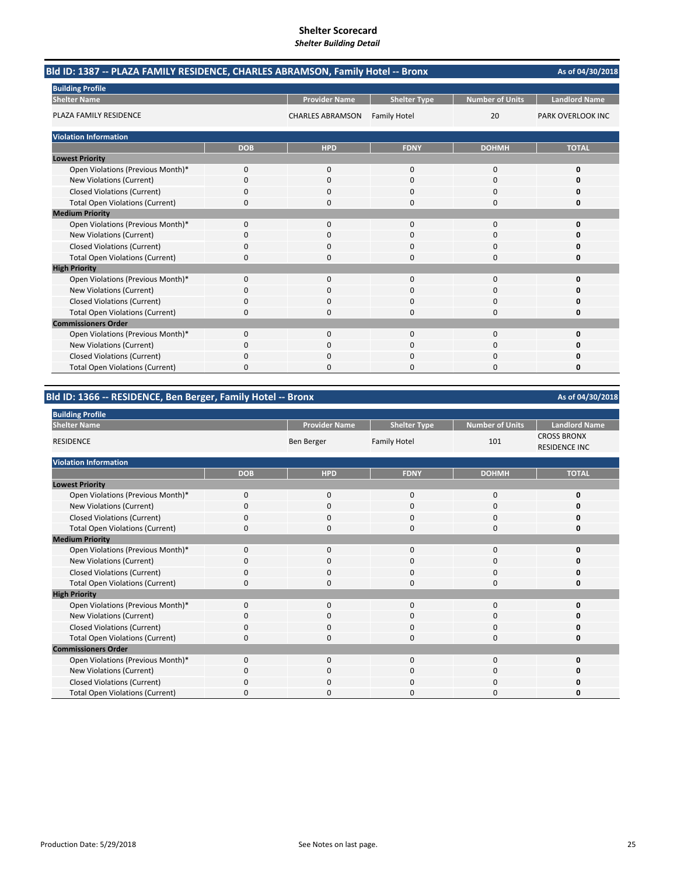| Bld ID: 1387 -- PLAZA FAMILY RESIDENCE, CHARLES ABRAMSON, Family Hotel -- Bronx |            |                         |                     |                        |                          |  |
|---------------------------------------------------------------------------------|------------|-------------------------|---------------------|------------------------|--------------------------|--|
| <b>Building Profile</b>                                                         |            |                         |                     |                        |                          |  |
| <b>Shelter Name</b>                                                             |            | <b>Provider Name</b>    | <b>Shelter Type</b> | <b>Number of Units</b> | <b>Landlord Name</b>     |  |
| PLAZA FAMILY RESIDENCE                                                          |            | <b>CHARLES ABRAMSON</b> | <b>Family Hotel</b> | 20                     | <b>PARK OVERLOOK INC</b> |  |
| <b>Violation Information</b>                                                    |            |                         |                     |                        |                          |  |
|                                                                                 | <b>DOB</b> | <b>HPD</b>              | <b>FDNY</b>         | <b>DOHMH</b>           | <b>TOTAL</b>             |  |
| <b>Lowest Priority</b>                                                          |            |                         |                     |                        |                          |  |
| Open Violations (Previous Month)*                                               | 0          | $\mathbf{0}$            | $\mathbf{0}$        | 0                      | 0                        |  |
| New Violations (Current)                                                        | 0          | $\Omega$                | $\Omega$            | $\Omega$               | 0                        |  |
| <b>Closed Violations (Current)</b>                                              | 0          | 0                       | 0                   | 0                      | 0                        |  |
| <b>Total Open Violations (Current)</b>                                          | 0          | 0                       | $\Omega$            | 0                      | 0                        |  |
| <b>Medium Priority</b>                                                          |            |                         |                     |                        |                          |  |
| Open Violations (Previous Month)*                                               | $\Omega$   | $\Omega$                | $\Omega$            | $\Omega$               | $\Omega$                 |  |
| New Violations (Current)                                                        | 0          | 0                       | 0                   | $\Omega$               | O                        |  |
| <b>Closed Violations (Current)</b>                                              | 0          | 0                       | 0                   | 0                      |                          |  |
| <b>Total Open Violations (Current)</b>                                          | 0          | n                       | $\Omega$            | $\Omega$               | O                        |  |
| <b>High Priority</b>                                                            |            |                         |                     |                        |                          |  |
| Open Violations (Previous Month)*                                               | 0          | $\mathbf{0}$            | $\mathbf{0}$        | 0                      | 0                        |  |
| <b>New Violations (Current)</b>                                                 | 0          | 0                       | $\Omega$            | 0                      | O                        |  |
| <b>Closed Violations (Current)</b>                                              | 0          | 0                       | $\Omega$            | 0                      | 0                        |  |
| <b>Total Open Violations (Current)</b>                                          | 0          | 0                       | $\Omega$            | 0                      | 0                        |  |
| <b>Commissioners Order</b>                                                      |            |                         |                     |                        |                          |  |
| Open Violations (Previous Month)*                                               | 0          | $\Omega$                | $\Omega$            | $\Omega$               | $\Omega$                 |  |
| New Violations (Current)                                                        | 0          | 0                       | 0                   | 0                      | O                        |  |
| <b>Closed Violations (Current)</b>                                              | 0          | 0                       | 0                   | 0                      | Ω                        |  |
| <b>Total Open Violations (Current)</b>                                          | 0          |                         | n                   | n                      | n                        |  |

**Bld ID: 1366 ‐‐ RESIDENCE, Ben Berger, Family Hotel ‐‐ Bronx**

| <b>Building Profile</b>                |             |                      |                     |                        |                                            |
|----------------------------------------|-------------|----------------------|---------------------|------------------------|--------------------------------------------|
| <b>Shelter Name</b>                    |             | <b>Provider Name</b> | <b>Shelter Type</b> | <b>Number of Units</b> | <b>Landlord Name</b>                       |
| <b>RESIDENCE</b>                       |             | Ben Berger           | <b>Family Hotel</b> | 101                    | <b>CROSS BRONX</b><br><b>RESIDENCE INC</b> |
| <b>Violation Information</b>           |             |                      |                     |                        |                                            |
|                                        | <b>DOB</b>  | <b>HPD</b>           | <b>FDNY</b>         | <b>DOHMH</b>           | <b>TOTAL</b>                               |
| <b>Lowest Priority</b>                 |             |                      |                     |                        |                                            |
| Open Violations (Previous Month)*      | $\mathbf 0$ | $\mathbf 0$          | $\mathbf{0}$        | 0                      | 0                                          |
| New Violations (Current)               | $\Omega$    | $\mathbf 0$          | $\Omega$            | 0                      | ŋ                                          |
| <b>Closed Violations (Current)</b>     | $\Omega$    | $\mathbf 0$          | $\Omega$            | 0                      | U                                          |
| <b>Total Open Violations (Current)</b> | $\Omega$    | $\Omega$             | $\Omega$            | $\Omega$               | 0                                          |
| <b>Medium Priority</b>                 |             |                      |                     |                        |                                            |
| Open Violations (Previous Month)*      | $\Omega$    | $\Omega$             | $\Omega$            | 0                      | 0                                          |
| New Violations (Current)               | 0           | $\mathbf 0$          | 0                   | 0                      | U                                          |
| <b>Closed Violations (Current)</b>     | $\Omega$    | $\Omega$             | $\Omega$            | $\Omega$               | U                                          |
| <b>Total Open Violations (Current)</b> | 0           | $\mathbf 0$          | $\Omega$            | 0                      | 0                                          |
| <b>High Priority</b>                   |             |                      |                     |                        |                                            |
| Open Violations (Previous Month)*      | $\Omega$    | $\mathbf 0$          | $\Omega$            | 0                      | U                                          |
| New Violations (Current)               | 0           | $\mathbf 0$          | 0                   | 0                      | ŋ                                          |
| <b>Closed Violations (Current)</b>     | $\Omega$    | $\mathbf 0$          | $\Omega$            | 0                      | U                                          |
| <b>Total Open Violations (Current)</b> | $\Omega$    | 0                    | $\Omega$            | 0                      | 0                                          |
| <b>Commissioners Order</b>             |             |                      |                     |                        |                                            |
| Open Violations (Previous Month)*      | $\Omega$    | $\Omega$             | $\Omega$            | $\Omega$               | 0                                          |
| New Violations (Current)               | 0           | $\Omega$             | $\Omega$            | 0                      | n                                          |
| <b>Closed Violations (Current)</b>     | 0           | $\Omega$             | O                   | $\Omega$               | 0                                          |
| <b>Total Open Violations (Current)</b> | $\Omega$    | $\Omega$             | $\Omega$            | $\Omega$               | U                                          |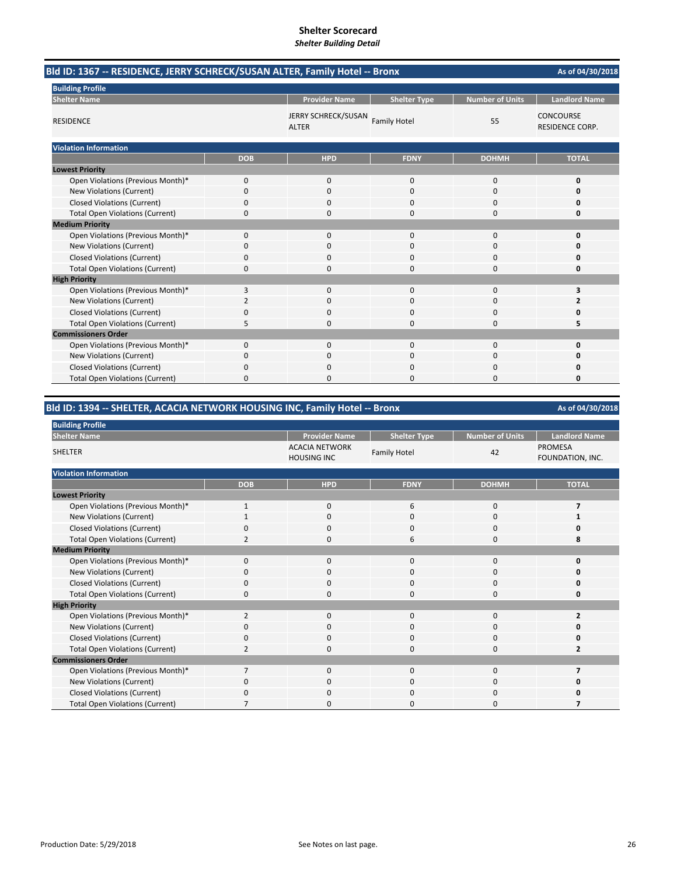# **Shelter Scorecard**

*Shelter Building Detail*

|                                        | Bld ID: 1367 -- RESIDENCE, JERRY SCHRECK/SUSAN ALTER, Family Hotel -- Bronx |                                     |                     |                        |                                     |  |  |
|----------------------------------------|-----------------------------------------------------------------------------|-------------------------------------|---------------------|------------------------|-------------------------------------|--|--|
| <b>Building Profile</b>                |                                                                             |                                     |                     |                        |                                     |  |  |
| <b>Shelter Name</b>                    |                                                                             | <b>Provider Name</b>                | <b>Shelter Type</b> | <b>Number of Units</b> | <b>Landlord Name</b>                |  |  |
| <b>RESIDENCE</b>                       |                                                                             | JERRY SCHRECK/SUSAN<br><b>ALTER</b> | <b>Family Hotel</b> | 55                     | <b>CONCOURSE</b><br>RESIDENCE CORP. |  |  |
| <b>Violation Information</b>           |                                                                             |                                     |                     |                        |                                     |  |  |
|                                        | <b>DOB</b>                                                                  | <b>HPD</b>                          | <b>FDNY</b>         | <b>DOHMH</b>           | <b>TOTAL</b>                        |  |  |
| <b>Lowest Priority</b>                 |                                                                             |                                     |                     |                        |                                     |  |  |
| Open Violations (Previous Month)*      | 0                                                                           | 0                                   | $\Omega$            | $\mathbf 0$            | 0                                   |  |  |
| New Violations (Current)               | 0                                                                           | 0                                   | $\Omega$            | 0                      | 0                                   |  |  |
| <b>Closed Violations (Current)</b>     | 0                                                                           | $\Omega$                            | $\Omega$            | $\Omega$               | o                                   |  |  |
| <b>Total Open Violations (Current)</b> | 0                                                                           | $\Omega$                            | $\Omega$            | $\Omega$               | O                                   |  |  |
| <b>Medium Priority</b>                 |                                                                             |                                     |                     |                        |                                     |  |  |
| Open Violations (Previous Month)*      | $\Omega$                                                                    | $\Omega$                            | $\Omega$            | $\Omega$               | 0                                   |  |  |
| New Violations (Current)               | 0                                                                           | $\Omega$                            | $\Omega$            | $\Omega$               | o                                   |  |  |
| <b>Closed Violations (Current)</b>     | 0                                                                           | $\Omega$                            | $\Omega$            | $\Omega$               | O                                   |  |  |
| <b>Total Open Violations (Current)</b> | 0                                                                           | $\Omega$                            | 0                   | $\Omega$               | 0                                   |  |  |
| <b>High Priority</b>                   |                                                                             |                                     |                     |                        |                                     |  |  |
| Open Violations (Previous Month)*      | 3                                                                           | 0                                   | $\Omega$            | $\mathbf 0$            | 3                                   |  |  |
| New Violations (Current)               | $\overline{2}$                                                              | $\Omega$                            | $\Omega$            | $\Omega$               | 2                                   |  |  |
| <b>Closed Violations (Current)</b>     | 0                                                                           | $\Omega$                            | $\Omega$            | $\Omega$               | O                                   |  |  |
| <b>Total Open Violations (Current)</b> | 5                                                                           | 0                                   | $\Omega$            | $\mathbf 0$            | 5                                   |  |  |
| <b>Commissioners Order</b>             |                                                                             |                                     |                     |                        |                                     |  |  |
| Open Violations (Previous Month)*      | 0                                                                           | $\Omega$                            | $\Omega$            | $\Omega$               | 0                                   |  |  |
| New Violations (Current)               | 0                                                                           | 0                                   | $\Omega$            | 0                      | 0                                   |  |  |
| <b>Closed Violations (Current)</b>     | 0                                                                           | 0                                   | 0                   | $\mathbf 0$            | 0                                   |  |  |
| <b>Total Open Violations (Current)</b> | $\Omega$                                                                    | $\Omega$                            | 0                   | $\Omega$               | 0                                   |  |  |

# **Bld ID: 1394 ‐‐ SHELTER, ACACIA NETWORK HOUSING INC, Family Hotel ‐‐ Bronx**

| <b>Building Profile</b>                |                         |                                             |                     |                        |                                    |
|----------------------------------------|-------------------------|---------------------------------------------|---------------------|------------------------|------------------------------------|
| <b>Shelter Name</b>                    |                         | <b>Provider Name</b>                        | <b>Shelter Type</b> | <b>Number of Units</b> | <b>Landlord Name</b>               |
| <b>SHELTER</b>                         |                         | <b>ACACIA NETWORK</b><br><b>HOUSING INC</b> | <b>Family Hotel</b> | 42                     | <b>PROMESA</b><br>FOUNDATION, INC. |
| <b>Violation Information</b>           |                         |                                             |                     |                        |                                    |
|                                        | <b>DOB</b>              | <b>HPD</b>                                  | <b>FDNY</b>         | <b>DOHMH</b>           | <b>TOTAL</b>                       |
| <b>Lowest Priority</b>                 |                         |                                             |                     |                        |                                    |
| Open Violations (Previous Month)*      | $\mathbf{1}$            | $\mathbf 0$                                 | 6                   | $\mathbf 0$            | 7                                  |
| New Violations (Current)               |                         | 0                                           | 0                   | 0                      |                                    |
| <b>Closed Violations (Current)</b>     | 0                       | 0                                           | 0                   | 0                      | 0                                  |
| <b>Total Open Violations (Current)</b> | $\overline{2}$          | 0                                           | 6                   | 0                      | 8                                  |
| <b>Medium Priority</b>                 |                         |                                             |                     |                        |                                    |
| Open Violations (Previous Month)*      | $\mathbf 0$             | $\mathbf 0$                                 | 0                   | 0                      | 0                                  |
| New Violations (Current)               | 0                       | 0                                           | 0                   | 0                      | 0                                  |
| <b>Closed Violations (Current)</b>     | 0                       | $\Omega$                                    | 0                   | 0                      | 0                                  |
| <b>Total Open Violations (Current)</b> | 0                       | 0                                           | 0                   | $\mathbf 0$            | 0                                  |
| <b>High Priority</b>                   |                         |                                             |                     |                        |                                    |
| Open Violations (Previous Month)*      | 2                       | $\mathbf 0$                                 | 0                   | $\mathbf 0$            | $\overline{2}$                     |
| New Violations (Current)               | 0                       | 0                                           | 0                   | $\mathbf 0$            | 0                                  |
| <b>Closed Violations (Current)</b>     | $\mathbf 0$             | $\mathbf 0$                                 | 0                   | $\mathbf 0$            | 0                                  |
| <b>Total Open Violations (Current)</b> | $\overline{\mathbf{c}}$ | 0                                           | 0                   | 0                      | 2                                  |
| <b>Commissioners Order</b>             |                         |                                             |                     |                        |                                    |
| Open Violations (Previous Month)*      | $\overline{7}$          | 0                                           | 0                   | $\mathbf 0$            |                                    |
| New Violations (Current)               | 0                       | 0                                           | 0                   | 0                      | 0                                  |
| <b>Closed Violations (Current)</b>     | $\Omega$                | 0                                           | 0                   | 0                      | 0                                  |
| <b>Total Open Violations (Current)</b> |                         | 0                                           | $\Omega$            | 0                      |                                    |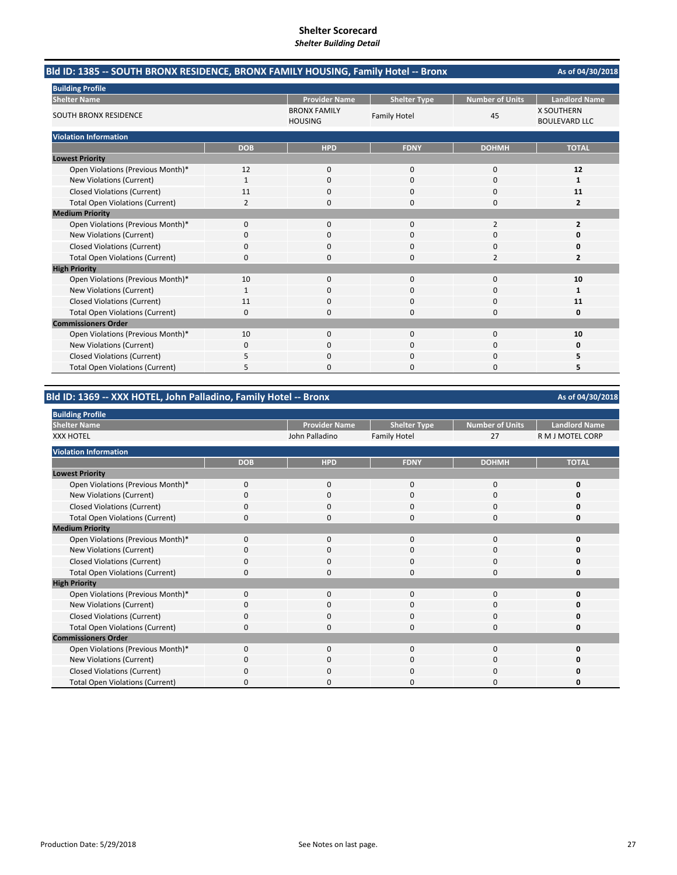| Bld ID: 1385 -- SOUTH BRONX RESIDENCE, BRONX FAMILY HOUSING, Family Hotel -- Bronx |              |                                       | As of 04/30/2018<br><b>Number of Units</b><br><b>Landlord Name</b><br><b>Shelter Type</b><br><b>X SOUTHERN</b><br>45<br><b>Family Hotel</b><br><b>BOULEVARD LLC</b><br><b>TOTAL</b><br><b>FDNY</b><br><b>DOHMH</b><br>$\mathbf 0$<br>12<br>0<br>$\Omega$<br>$\Omega$<br>1<br>0<br>11<br>0<br>$\Omega$<br>$\overline{2}$<br>0<br>2<br>$\Omega$<br>$\overline{2}$<br>$\Omega$<br>0<br>O<br>0<br>0<br>Ω<br>O<br>$\mathcal{P}$<br>$\overline{\mathbf{z}}$<br>10<br>0<br>$\Omega$<br>$\Omega$<br>$\Omega$<br>1<br>11<br>$\Omega$<br>0<br>0<br>0<br>0<br>10<br>$\Omega$<br>$\Omega$<br>0<br>$\Omega$<br>$\mathbf 0$<br>0<br>5<br>5<br>0<br>$\Omega$ |  |
|------------------------------------------------------------------------------------|--------------|---------------------------------------|-----------------------------------------------------------------------------------------------------------------------------------------------------------------------------------------------------------------------------------------------------------------------------------------------------------------------------------------------------------------------------------------------------------------------------------------------------------------------------------------------------------------------------------------------------------------------------------------------------------------------------------------------|--|
| <b>Building Profile</b>                                                            |              |                                       |                                                                                                                                                                                                                                                                                                                                                                                                                                                                                                                                                                                                                                               |  |
| <b>Shelter Name</b>                                                                |              | <b>Provider Name</b>                  |                                                                                                                                                                                                                                                                                                                                                                                                                                                                                                                                                                                                                                               |  |
| <b>SOUTH BRONX RESIDENCE</b>                                                       |              | <b>BRONX FAMILY</b><br><b>HOUSING</b> |                                                                                                                                                                                                                                                                                                                                                                                                                                                                                                                                                                                                                                               |  |
| <b>Violation Information</b>                                                       |              |                                       |                                                                                                                                                                                                                                                                                                                                                                                                                                                                                                                                                                                                                                               |  |
|                                                                                    | <b>DOB</b>   | <b>HPD</b>                            |                                                                                                                                                                                                                                                                                                                                                                                                                                                                                                                                                                                                                                               |  |
| <b>Lowest Priority</b>                                                             |              |                                       |                                                                                                                                                                                                                                                                                                                                                                                                                                                                                                                                                                                                                                               |  |
| Open Violations (Previous Month)*                                                  | 12           | $\mathbf 0$                           |                                                                                                                                                                                                                                                                                                                                                                                                                                                                                                                                                                                                                                               |  |
| New Violations (Current)                                                           | 1            | 0                                     |                                                                                                                                                                                                                                                                                                                                                                                                                                                                                                                                                                                                                                               |  |
| <b>Closed Violations (Current)</b>                                                 | 11           | 0                                     |                                                                                                                                                                                                                                                                                                                                                                                                                                                                                                                                                                                                                                               |  |
| <b>Total Open Violations (Current)</b>                                             | 2            | 0                                     |                                                                                                                                                                                                                                                                                                                                                                                                                                                                                                                                                                                                                                               |  |
| <b>Medium Priority</b>                                                             |              |                                       |                                                                                                                                                                                                                                                                                                                                                                                                                                                                                                                                                                                                                                               |  |
| Open Violations (Previous Month)*                                                  | $\Omega$     | $\Omega$                              |                                                                                                                                                                                                                                                                                                                                                                                                                                                                                                                                                                                                                                               |  |
| New Violations (Current)                                                           | 0            | 0                                     |                                                                                                                                                                                                                                                                                                                                                                                                                                                                                                                                                                                                                                               |  |
| <b>Closed Violations (Current)</b>                                                 | 0            | 0                                     |                                                                                                                                                                                                                                                                                                                                                                                                                                                                                                                                                                                                                                               |  |
| <b>Total Open Violations (Current)</b>                                             | 0            | 0                                     |                                                                                                                                                                                                                                                                                                                                                                                                                                                                                                                                                                                                                                               |  |
| <b>High Priority</b>                                                               |              |                                       |                                                                                                                                                                                                                                                                                                                                                                                                                                                                                                                                                                                                                                               |  |
| Open Violations (Previous Month)*                                                  | 10           | $\Omega$                              |                                                                                                                                                                                                                                                                                                                                                                                                                                                                                                                                                                                                                                               |  |
| New Violations (Current)                                                           | $\mathbf{1}$ | $\Omega$                              |                                                                                                                                                                                                                                                                                                                                                                                                                                                                                                                                                                                                                                               |  |
| <b>Closed Violations (Current)</b>                                                 | 11           | 0                                     |                                                                                                                                                                                                                                                                                                                                                                                                                                                                                                                                                                                                                                               |  |
| <b>Total Open Violations (Current)</b>                                             | 0            | 0                                     |                                                                                                                                                                                                                                                                                                                                                                                                                                                                                                                                                                                                                                               |  |
| <b>Commissioners Order</b>                                                         |              |                                       |                                                                                                                                                                                                                                                                                                                                                                                                                                                                                                                                                                                                                                               |  |
| Open Violations (Previous Month)*                                                  | 10           | $\Omega$                              |                                                                                                                                                                                                                                                                                                                                                                                                                                                                                                                                                                                                                                               |  |
| New Violations (Current)                                                           | 0            | 0                                     |                                                                                                                                                                                                                                                                                                                                                                                                                                                                                                                                                                                                                                               |  |
| <b>Closed Violations (Current)</b>                                                 | 5            | 0                                     |                                                                                                                                                                                                                                                                                                                                                                                                                                                                                                                                                                                                                                               |  |
| <b>Total Open Violations (Current)</b>                                             | 5            | 0                                     |                                                                                                                                                                                                                                                                                                                                                                                                                                                                                                                                                                                                                                               |  |

## **Bld ID: 1369 ‐‐ XXX HOTEL, John Palladino, Family Hotel ‐‐ Bronx**

| <b>Building Profile</b>                |              |                      |                     |                        |                      |
|----------------------------------------|--------------|----------------------|---------------------|------------------------|----------------------|
| <b>Shelter Name</b>                    |              | <b>Provider Name</b> | <b>Shelter Type</b> | <b>Number of Units</b> | <b>Landlord Name</b> |
| <b>XXX HOTEL</b>                       |              | John Palladino       | <b>Family Hotel</b> | 27                     | R M J MOTEL CORP     |
| <b>Violation Information</b>           |              |                      |                     |                        |                      |
|                                        | <b>DOB</b>   | <b>HPD</b>           | <b>FDNY</b>         | <b>DOHMH</b>           | <b>TOTAL</b>         |
| <b>Lowest Priority</b>                 |              |                      |                     |                        |                      |
| Open Violations (Previous Month)*      | $\Omega$     | $\Omega$             | $\Omega$            | $\Omega$               | n                    |
| New Violations (Current)               | 0            | $\mathbf 0$          | 0                   | 0                      |                      |
| <b>Closed Violations (Current)</b>     |              | $\Omega$             | 0                   | 0                      |                      |
| <b>Total Open Violations (Current)</b> | 0            | 0                    | 0                   | 0                      |                      |
| <b>Medium Priority</b>                 |              |                      |                     |                        |                      |
| Open Violations (Previous Month)*      | $\Omega$     | $\Omega$             | 0                   | $\Omega$               | ŋ                    |
| New Violations (Current)               | 0            | $\Omega$             | $\Omega$            | 0                      | n                    |
| <b>Closed Violations (Current)</b>     | 0            | 0                    | 0                   | 0                      | n                    |
| <b>Total Open Violations (Current)</b> | 0            | $\Omega$             | $\Omega$            | 0                      | n                    |
| <b>High Priority</b>                   |              |                      |                     |                        |                      |
| Open Violations (Previous Month)*      | $\Omega$     | $\Omega$             | $\Omega$            | $\Omega$               |                      |
| New Violations (Current)               | O            | 0                    | C                   | 0                      |                      |
| <b>Closed Violations (Current)</b>     | <sup>0</sup> | $\Omega$             | $\Omega$            | 0                      |                      |
| <b>Total Open Violations (Current)</b> |              | O                    | C                   | C                      |                      |
| <b>Commissioners Order</b>             |              |                      |                     |                        |                      |
| Open Violations (Previous Month)*      | $\Omega$     | $\Omega$             | $\Omega$            | $\Omega$               | n                    |
| New Violations (Current)               | 0            | $\Omega$             | 0                   | 0                      |                      |
| <b>Closed Violations (Current)</b>     | ŋ            | O                    | $\Omega$            | $\Omega$               |                      |
| <b>Total Open Violations (Current)</b> | ŋ            | n                    | O                   | O                      |                      |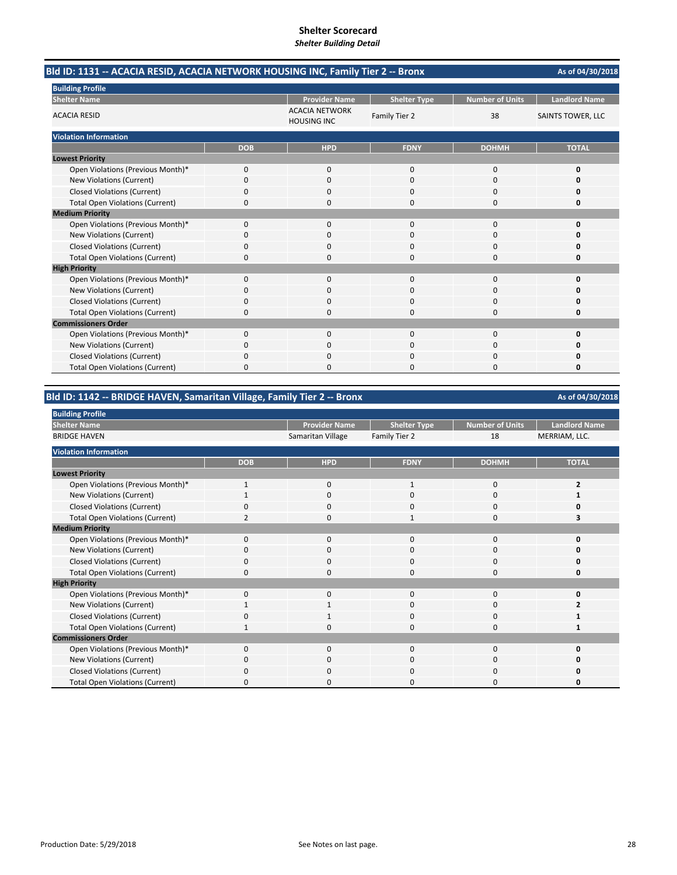| Bld ID: 1131 -- ACACIA RESID, ACACIA NETWORK HOUSING INC, Family Tier 2 -- Bronx |            |                                             |                     |                        | As of 04/30/2018         |
|----------------------------------------------------------------------------------|------------|---------------------------------------------|---------------------|------------------------|--------------------------|
| <b>Building Profile</b>                                                          |            |                                             |                     |                        |                          |
| <b>Shelter Name</b>                                                              |            | <b>Provider Name</b>                        | <b>Shelter Type</b> | <b>Number of Units</b> | <b>Landlord Name</b>     |
| <b>ACACIA RESID</b>                                                              |            | <b>ACACIA NETWORK</b><br><b>HOUSING INC</b> | Family Tier 2       | 38                     | <b>SAINTS TOWER, LLC</b> |
| <b>Violation Information</b>                                                     |            |                                             |                     |                        |                          |
|                                                                                  | <b>DOB</b> | <b>HPD</b>                                  | <b>FDNY</b>         | <b>DOHMH</b>           | <b>TOTAL</b>             |
| <b>Lowest Priority</b>                                                           |            |                                             |                     |                        |                          |
| Open Violations (Previous Month)*                                                | 0          | $\mathbf{0}$                                | $\mathbf 0$         | 0                      | 0                        |
| New Violations (Current)                                                         | 0          | $\Omega$                                    | $\Omega$            | $\Omega$               | O                        |
| <b>Closed Violations (Current)</b>                                               | 0          | 0                                           | O                   | 0                      | Ω                        |
| <b>Total Open Violations (Current)</b>                                           | 0          | $\Omega$                                    | $\Omega$            | 0                      | Ω                        |
| <b>Medium Priority</b>                                                           |            |                                             |                     |                        |                          |
| Open Violations (Previous Month)*                                                | $\Omega$   | $\Omega$                                    | $\Omega$            | $\Omega$               | 0                        |
| New Violations (Current)                                                         | 0          | $\Omega$                                    | $\Omega$            | 0                      | O                        |
| <b>Closed Violations (Current)</b>                                               | 0          | 0                                           | $\Omega$            | $\Omega$               | O                        |
| <b>Total Open Violations (Current)</b>                                           | 0          |                                             | $\Omega$            | $\Omega$               | n                        |
| <b>High Priority</b>                                                             |            |                                             |                     |                        |                          |
| Open Violations (Previous Month)*                                                | 0          | $\mathbf{0}$                                | $\mathbf{0}$        | 0                      | 0                        |
| New Violations (Current)                                                         | 0          | 0                                           | $\Omega$            | 0                      | n                        |
| <b>Closed Violations (Current)</b>                                               | 0          | <sup>0</sup>                                | n                   | 0                      | n                        |
| <b>Total Open Violations (Current)</b>                                           | 0          | $\Omega$                                    | $\Omega$            | 0                      | 0                        |
| <b>Commissioners Order</b>                                                       |            |                                             |                     |                        |                          |
| Open Violations (Previous Month)*                                                | 0          | $\Omega$                                    | $\Omega$            | $\Omega$               | 0                        |
| New Violations (Current)                                                         | 0          | 0                                           | $\Omega$            | 0                      | 0                        |
| <b>Closed Violations (Current)</b>                                               | 0          | n                                           | n                   | 0                      | n                        |
| <b>Total Open Violations (Current)</b>                                           | 0          |                                             | ∩                   | $\Omega$               | n                        |

### **Bld ID: 1142 ‐‐ BRIDGE HAVEN, Samaritan Village, Family Tier 2 ‐‐ Bronx**

**Provider Name** Shelter Type Number of Units Landlord Name<br>**A Sharehort American Contains Container Sharehort Container Sharehort Container Sharehort Container Sharehort C** Samaritan Village Family Tier 2 18 **DOB HPD FDNY DOHMH TOTAL** Open Violations (Previous Month)\* 1 0 1 0 2 New Violations (Current) **1** 1000 **1 1 1 1 1 1 1** Closed Violations (Current) 0000 **0** Total Open Violations (Current) **2** 2 0 3 3 Open Violations (Previous Month)\* 0000 **0** New Violations (Current) 0000 **0** Closed Violations (Current) **0**<br>
Total Open Violations (Current) **0** 0<br>
0<br>
0<br>
0<br>
0<br>
0<br>
0<br>
0<br>
0 Total Open Violations (Current) 0000 **0** Open Violations (Previous Month)\* 0000 **0** New Violations (Current) 1100 **2** Closed Violations (Current) 0100 **1** Total Open Violations (Current) **1** 1000 **1** 1000 **1** 1000 **1** 1000 **1** 1000 **1** Open Violations (Previous Month)\* 0000 **0** New Violations (Current) **0** 0000 **0** 0000 **0** Closed Violations (Current) 0000 **0** Total Open Violations (Current) 0000 **0 High Priority Commissioners Order Building Profile Shelter Name** BRIDGE HAVEN **Lowest Priority Medium Priority Violation Information**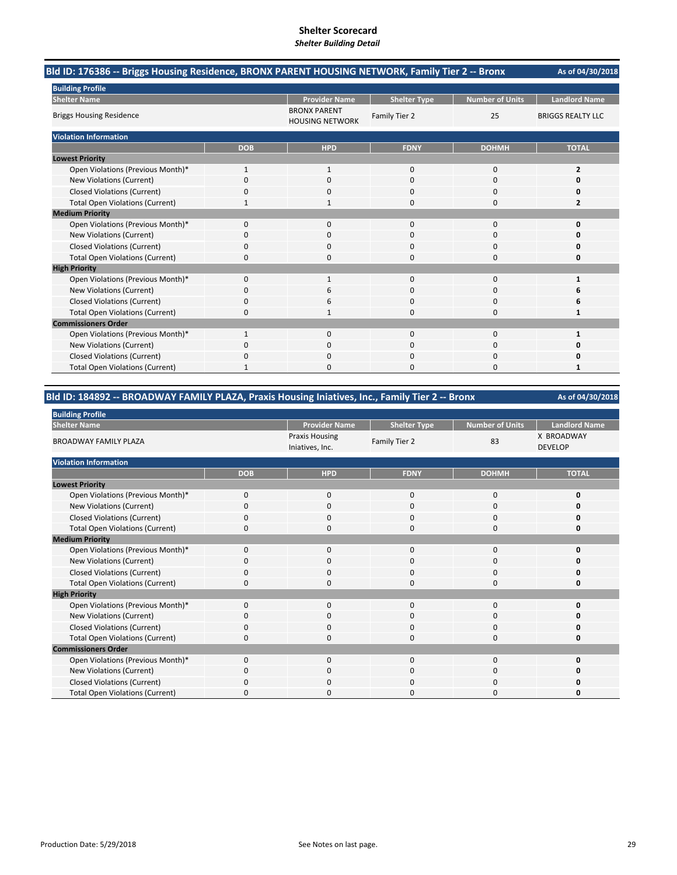| Bld ID: 176386 -- Briggs Housing Residence, BRONX PARENT HOUSING NETWORK, Family Tier 2 -- Bronx |              |                                               |                     |                        | As of 04/30/2018         |
|--------------------------------------------------------------------------------------------------|--------------|-----------------------------------------------|---------------------|------------------------|--------------------------|
| <b>Building Profile</b>                                                                          |              |                                               |                     |                        |                          |
| <b>Shelter Name</b>                                                                              |              | <b>Provider Name</b>                          | <b>Shelter Type</b> | <b>Number of Units</b> | <b>Landlord Name</b>     |
| <b>Briggs Housing Residence</b>                                                                  |              | <b>BRONX PARENT</b><br><b>HOUSING NETWORK</b> | Family Tier 2       | 25                     | <b>BRIGGS REALTY LLC</b> |
| <b>Violation Information</b>                                                                     |              |                                               |                     |                        |                          |
|                                                                                                  | <b>DOB</b>   | <b>HPD</b>                                    | <b>FDNY</b>         | <b>DOHMH</b>           | <b>TOTAL</b>             |
| <b>Lowest Priority</b>                                                                           |              |                                               |                     |                        |                          |
| Open Violations (Previous Month)*                                                                | $\mathbf{1}$ | $\mathbf{1}$                                  | $\mathbf{0}$        | $\mathbf 0$            | $\overline{2}$           |
| New Violations (Current)                                                                         | 0            | 0                                             | $\Omega$            | $\Omega$               | O                        |
| <b>Closed Violations (Current)</b>                                                               | 0            | 0                                             | $\Omega$            | 0                      | 0                        |
| <b>Total Open Violations (Current)</b>                                                           |              |                                               | $\Omega$            | $\Omega$               | 2                        |
| <b>Medium Priority</b>                                                                           |              |                                               |                     |                        |                          |
| Open Violations (Previous Month)*                                                                | 0            | $\Omega$                                      | $\Omega$            | $\Omega$               | $\Omega$                 |
| New Violations (Current)                                                                         | 0            | 0                                             | 0                   | 0                      | n                        |
| <b>Closed Violations (Current)</b>                                                               | 0            | 0                                             | 0                   | 0                      | Ω                        |
| <b>Total Open Violations (Current)</b>                                                           | 0            | $\Omega$                                      | $\Omega$            | $\Omega$               | 0                        |
| <b>High Priority</b>                                                                             |              |                                               |                     |                        |                          |
| Open Violations (Previous Month)*                                                                | $\Omega$     | $\mathbf{1}$                                  | $\Omega$            | $\Omega$               | 1                        |
| New Violations (Current)                                                                         | 0            | 6                                             | $\Omega$            | $\Omega$               | 6                        |
| <b>Closed Violations (Current)</b>                                                               | 0            | 6                                             | $\Omega$            | 0                      | 6                        |
| <b>Total Open Violations (Current)</b>                                                           | 0            |                                               | $\Omega$            | $\Omega$               | 1                        |
| <b>Commissioners Order</b>                                                                       |              |                                               |                     |                        |                          |
| Open Violations (Previous Month)*                                                                | 1            | $\Omega$                                      | $\mathbf{0}$        | $\Omega$               | 1                        |
| New Violations (Current)                                                                         | ŋ            | 0                                             | 0                   | 0                      | O                        |
| <b>Closed Violations (Current)</b>                                                               | 0            | $\Omega$                                      | 0                   | 0                      | 0                        |
| <b>Total Open Violations (Current)</b>                                                           |              | 0                                             | $\Omega$            | 0                      | 1                        |

## **Bld ID: 184892 ‐‐ BROADWAY FAMILY PLAZA, Praxis Housing Iniatives, Inc., Family Tier 2 ‐‐ Bronx**

| <b>Building Profile</b>                |            |                                          |                     |                 |                              |  |
|----------------------------------------|------------|------------------------------------------|---------------------|-----------------|------------------------------|--|
| <b>Shelter Name</b>                    |            | <b>Provider Name</b>                     | <b>Shelter Type</b> | Number of Units | <b>Landlord Name</b>         |  |
| <b>BROADWAY FAMILY PLAZA</b>           |            | <b>Praxis Housing</b><br>Iniatives, Inc. | Family Tier 2       | 83              | X BROADWAY<br><b>DEVELOP</b> |  |
| <b>Violation Information</b>           |            |                                          |                     |                 |                              |  |
|                                        | <b>DOB</b> | <b>HPD</b>                               | <b>FDNY</b>         | <b>DOHMH</b>    | <b>TOTAL</b>                 |  |
| <b>Lowest Priority</b>                 |            |                                          |                     |                 |                              |  |
| Open Violations (Previous Month)*      | 0          | 0                                        | 0                   | 0               | Ω                            |  |
| New Violations (Current)               | 0          | $\mathbf 0$                              | $\Omega$            | 0               | n                            |  |
| <b>Closed Violations (Current)</b>     | 0          | $\mathbf 0$                              | $\Omega$            | 0               | n                            |  |
| <b>Total Open Violations (Current)</b> | $\Omega$   | $\mathbf 0$                              | $\Omega$            | 0               | Ω                            |  |
| <b>Medium Priority</b>                 |            |                                          |                     |                 |                              |  |
| Open Violations (Previous Month)*      | 0          | $\mathbf 0$                              | $\mathbf{0}$        | 0               | n                            |  |
| New Violations (Current)               | O          | $\Omega$                                 | $\Omega$            | $\Omega$        |                              |  |
| <b>Closed Violations (Current)</b>     | $\Omega$   | $\mathbf 0$                              | $\Omega$            | 0               | n                            |  |
| <b>Total Open Violations (Current)</b> | 0          | $\Omega$                                 | $\Omega$            | $\Omega$        | Ω                            |  |
| <b>High Priority</b>                   |            |                                          |                     |                 |                              |  |
| Open Violations (Previous Month)*      | 0          | $\mathbf 0$                              | $\mathbf{0}$        | 0               | n                            |  |
| New Violations (Current)               | O          | $\mathbf 0$                              | 0                   | 0               |                              |  |
| <b>Closed Violations (Current)</b>     | 0          | $\mathbf 0$                              | $\mathbf{0}$        | 0               |                              |  |
| <b>Total Open Violations (Current)</b> | $\Omega$   | $\Omega$                                 | $\Omega$            | $\Omega$        | n                            |  |
| <b>Commissioners Order</b>             |            |                                          |                     |                 |                              |  |
| Open Violations (Previous Month)*      | $\Omega$   | $\mathbf 0$                              | $\mathbf{0}$        | 0               | n                            |  |
| New Violations (Current)               | 0          | 0                                        | 0                   | 0               |                              |  |
| <b>Closed Violations (Current)</b>     | 0          | $\mathbf 0$                              | 0                   | 0               |                              |  |
| <b>Total Open Violations (Current)</b> | $\Omega$   | $\Omega$                                 | 0                   | 0               | U                            |  |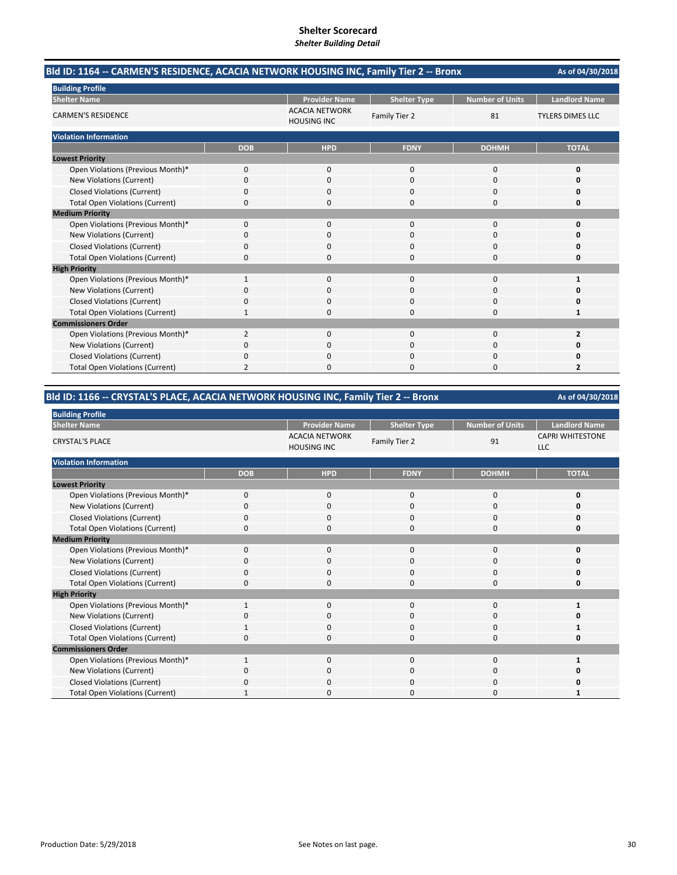| Bld ID: 1164 -- CARMEN'S RESIDENCE, ACACIA NETWORK HOUSING INC, Family Tier 2 -- Bronx |                |                                             |                     |                        | As of 04/30/2018<br><b>Landlord Name</b><br><b>TYLERS DIMES LLC</b><br><b>TOTAL</b><br>0<br>O<br>0<br>0<br>$\Omega$<br>n<br>0<br>O<br>1<br>O<br>0<br>1<br>2<br>Ω<br>$\overline{2}$ |
|----------------------------------------------------------------------------------------|----------------|---------------------------------------------|---------------------|------------------------|------------------------------------------------------------------------------------------------------------------------------------------------------------------------------------|
| <b>Building Profile</b>                                                                |                |                                             |                     |                        |                                                                                                                                                                                    |
| <b>Shelter Name</b>                                                                    |                | <b>Provider Name</b>                        | <b>Shelter Type</b> | <b>Number of Units</b> |                                                                                                                                                                                    |
| <b>CARMEN'S RESIDENCE</b>                                                              |                | <b>ACACIA NETWORK</b><br><b>HOUSING INC</b> | Family Tier 2       | 81                     |                                                                                                                                                                                    |
| <b>Violation Information</b>                                                           |                |                                             |                     |                        |                                                                                                                                                                                    |
|                                                                                        | <b>DOB</b>     | <b>HPD</b>                                  | <b>FDNY</b>         | <b>DOHMH</b>           |                                                                                                                                                                                    |
| <b>Lowest Priority</b>                                                                 |                |                                             |                     |                        |                                                                                                                                                                                    |
| Open Violations (Previous Month)*                                                      | 0              | $\mathbf{0}$                                | $\Omega$            | 0                      |                                                                                                                                                                                    |
| New Violations (Current)                                                               | $\Omega$       | $\Omega$                                    | $\Omega$            | $\Omega$               |                                                                                                                                                                                    |
| <b>Closed Violations (Current)</b>                                                     | 0              | 0                                           | $\Omega$            | 0                      |                                                                                                                                                                                    |
| <b>Total Open Violations (Current)</b>                                                 | 0              | 0                                           | $\Omega$            | 0                      |                                                                                                                                                                                    |
| <b>Medium Priority</b>                                                                 |                |                                             |                     |                        |                                                                                                                                                                                    |
| Open Violations (Previous Month)*                                                      | 0              | $\Omega$                                    | $\Omega$            | $\Omega$               |                                                                                                                                                                                    |
| New Violations (Current)                                                               | 0              | 0                                           | 0                   | 0                      |                                                                                                                                                                                    |
| <b>Closed Violations (Current)</b>                                                     | 0              | $\Omega$                                    | $\Omega$            | $\Omega$               |                                                                                                                                                                                    |
| <b>Total Open Violations (Current)</b>                                                 | $\Omega$       | O                                           | $\Omega$            | $\Omega$               |                                                                                                                                                                                    |
| <b>High Priority</b>                                                                   |                |                                             |                     |                        |                                                                                                                                                                                    |
| Open Violations (Previous Month)*                                                      | $\mathbf{1}$   | $\Omega$                                    | $\Omega$            | $\Omega$               |                                                                                                                                                                                    |
| New Violations (Current)                                                               | 0              | $\Omega$                                    | $\Omega$            | $\Omega$               |                                                                                                                                                                                    |
| <b>Closed Violations (Current)</b>                                                     | 0              | $\Omega$                                    | $\Omega$            | 0                      |                                                                                                                                                                                    |
| <b>Total Open Violations (Current)</b>                                                 | 1              | 0                                           | $\Omega$            | 0                      |                                                                                                                                                                                    |
| <b>Commissioners Order</b>                                                             |                |                                             |                     |                        |                                                                                                                                                                                    |
| Open Violations (Previous Month)*                                                      | $\overline{2}$ | $\Omega$                                    | $\Omega$            | $\Omega$               |                                                                                                                                                                                    |
| New Violations (Current)                                                               | 0              | 0                                           | 0                   | 0                      |                                                                                                                                                                                    |
| <b>Closed Violations (Current)</b>                                                     | 0              | $\Omega$                                    | $\Omega$            | $\Omega$               |                                                                                                                                                                                    |
| <b>Total Open Violations (Current)</b>                                                 | 2              | n                                           | n                   | $\Omega$               |                                                                                                                                                                                    |

## **Bld ID: 1166 ‐‐ CRYSTAL'S PLACE, ACACIA NETWORK HOUSING INC, Family Tier 2 ‐‐ Bronx**

| <b>Building Profile</b>                |              |                                             |                     |                        |                                       |
|----------------------------------------|--------------|---------------------------------------------|---------------------|------------------------|---------------------------------------|
| <b>Shelter Name</b>                    |              | <b>Provider Name</b>                        | <b>Shelter Type</b> | <b>Number of Units</b> | <b>Landlord Name</b>                  |
| <b>CRYSTAL'S PLACE</b>                 |              | <b>ACACIA NETWORK</b><br><b>HOUSING INC</b> | Family Tier 2       | 91                     | <b>CAPRI WHITESTONE</b><br><b>LLC</b> |
| <b>Violation Information</b>           |              |                                             |                     |                        |                                       |
|                                        | <b>DOB</b>   | <b>HPD</b>                                  | <b>FDNY</b>         | <b>DOHMH</b>           | <b>TOTAL</b>                          |
| <b>Lowest Priority</b>                 |              |                                             |                     |                        |                                       |
| Open Violations (Previous Month)*      | $\mathbf 0$  | 0                                           | 0                   | 0                      | 0                                     |
| New Violations (Current)               | 0            | $\mathbf{0}$                                | $\Omega$            | 0                      | ŋ                                     |
| <b>Closed Violations (Current)</b>     | 0            | $\mathbf{0}$                                | $\Omega$            | 0                      | ŋ                                     |
| <b>Total Open Violations (Current)</b> | $\Omega$     | $\mathbf{0}$                                | $\Omega$            | 0                      | 0                                     |
| <b>Medium Priority</b>                 |              |                                             |                     |                        |                                       |
| Open Violations (Previous Month)*      | $\mathbf 0$  | $\mathbf{0}$                                | $\mathbf 0$         | 0                      | O                                     |
| New Violations (Current)               | 0            | $\mathbf 0$                                 | 0                   | 0                      | n                                     |
| <b>Closed Violations (Current)</b>     | 0            | 0                                           | 0                   | 0                      | U                                     |
| <b>Total Open Violations (Current)</b> | 0            | $\Omega$                                    | $\Omega$            | $\Omega$               | O                                     |
| <b>High Priority</b>                   |              |                                             |                     |                        |                                       |
| Open Violations (Previous Month)*      | $\mathbf{1}$ | $\mathbf{0}$                                | $\mathbf 0$         | 0                      |                                       |
| New Violations (Current)               | 0            | $\mathbf 0$                                 | 0                   | 0                      |                                       |
| <b>Closed Violations (Current)</b>     | 1            | 0                                           | $\mathbf 0$         | 0                      |                                       |
| <b>Total Open Violations (Current)</b> | O            | $\Omega$                                    | $\Omega$            | $\Omega$               | ŋ                                     |
| <b>Commissioners Order</b>             |              |                                             |                     |                        |                                       |
| Open Violations (Previous Month)*      | 1            | $\mathbf{0}$                                | $\mathbf 0$         | $\mathbf{0}$           |                                       |
| New Violations (Current)               | O            | $\mathbf 0$                                 | 0                   | 0                      | ŋ                                     |
| <b>Closed Violations (Current)</b>     | 0            | 0                                           | 0                   | 0                      | U                                     |
| <b>Total Open Violations (Current)</b> |              | 0                                           | $\Omega$            | 0                      |                                       |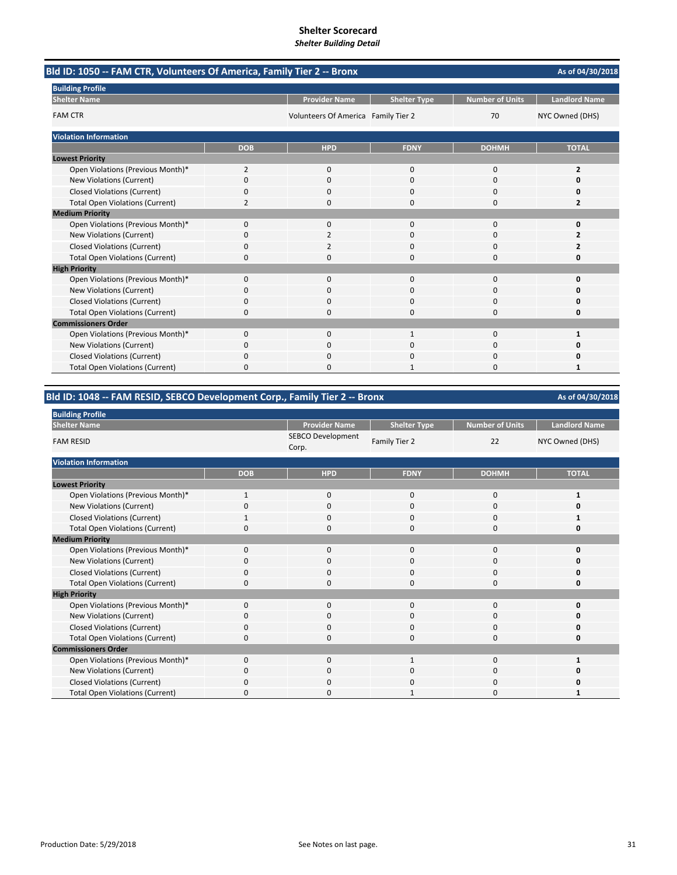| Bld ID: 1050 -- FAM CTR, Volunteers Of America, Family Tier 2 -- Bronx |                |                                     |                     |                        | As of 04/30/2018     |
|------------------------------------------------------------------------|----------------|-------------------------------------|---------------------|------------------------|----------------------|
| <b>Building Profile</b>                                                |                |                                     |                     |                        |                      |
| <b>Shelter Name</b>                                                    |                | <b>Provider Name</b>                | <b>Shelter Type</b> | <b>Number of Units</b> | <b>Landlord Name</b> |
| <b>FAM CTR</b>                                                         |                | Volunteers Of America Family Tier 2 |                     | 70                     | NYC Owned (DHS)      |
| <b>Violation Information</b>                                           |                |                                     |                     |                        |                      |
|                                                                        | <b>DOB</b>     | <b>HPD</b>                          | <b>FDNY</b>         | <b>DOHMH</b>           | <b>TOTAL</b>         |
| <b>Lowest Priority</b>                                                 |                |                                     |                     |                        |                      |
| Open Violations (Previous Month)*                                      | $\overline{2}$ | $\mathbf 0$                         | $\mathbf 0$         | $\mathbf 0$            | $\overline{2}$       |
| New Violations (Current)                                               | 0              | <sup>0</sup>                        | $\Omega$            | $\Omega$               | O                    |
| <b>Closed Violations (Current)</b>                                     | 0              | 0                                   | $\Omega$            | $\Omega$               | 0                    |
| <b>Total Open Violations (Current)</b>                                 | $\overline{2}$ | 0                                   | $\Omega$            | $\Omega$               | 2                    |
| <b>Medium Priority</b>                                                 |                |                                     |                     |                        |                      |
| Open Violations (Previous Month)*                                      | 0              | $\Omega$                            | $\Omega$            | $\Omega$               | $\Omega$             |
| New Violations (Current)                                               | 0              | 2                                   | 0                   | 0                      |                      |
| <b>Closed Violations (Current)</b>                                     | 0              | 2                                   | 0                   | 0                      |                      |
| <b>Total Open Violations (Current)</b>                                 | 0              | O                                   | $\Omega$            | $\Omega$               | 0                    |
| <b>High Priority</b>                                                   |                |                                     |                     |                        |                      |
| Open Violations (Previous Month)*                                      | $\Omega$       | $\Omega$                            | $\Omega$            | $\Omega$               | O                    |
| New Violations (Current)                                               | ŋ              | <sup>0</sup>                        | $\Omega$            | $\Omega$               | O                    |
| <b>Closed Violations (Current)</b>                                     | 0              | 0                                   | $\Omega$            | 0                      | Ω                    |
| <b>Total Open Violations (Current)</b>                                 | 0              | 0                                   | $\Omega$            | 0                      | 0                    |
| <b>Commissioners Order</b>                                             |                |                                     |                     |                        |                      |
| Open Violations (Previous Month)*                                      | 0              | $\Omega$                            | $\mathbf{1}$        | $\Omega$               | 1                    |
| New Violations (Current)                                               | ŋ              | 0                                   | O                   | 0                      | O                    |
| <b>Closed Violations (Current)</b>                                     | 0              | $\Omega$                            | 0                   | 0                      | 0                    |
| <b>Total Open Violations (Current)</b>                                 | 0              | 0                                   |                     | 0                      | 1                    |

# **Bld ID: 1048 ‐‐ FAM RESID, SEBCO Development Corp., Family Tier 2 ‐‐ Bronx**

| <b>Building Profile</b>                |              |                                   |                     |                 |                      |
|----------------------------------------|--------------|-----------------------------------|---------------------|-----------------|----------------------|
| <b>Shelter Name</b>                    |              | <b>Provider Name</b>              | <b>Shelter Type</b> | Number of Units | <b>Landlord Name</b> |
| <b>FAM RESID</b>                       |              | <b>SEBCO Development</b><br>Corp. | Family Tier 2       | 22              | NYC Owned (DHS)      |
| <b>Violation Information</b>           |              |                                   |                     |                 |                      |
|                                        | <b>DOB</b>   | <b>HPD</b>                        | <b>FDNY</b>         | <b>DOHMH</b>    | <b>TOTAL</b>         |
| <b>Lowest Priority</b>                 |              |                                   |                     |                 |                      |
| Open Violations (Previous Month)*      | $\mathbf{1}$ | $\mathbf 0$                       | 0                   | $\mathbf 0$     | 1                    |
| New Violations (Current)               | $\Omega$     | 0                                 | $\Omega$            | 0               | ŋ                    |
| <b>Closed Violations (Current)</b>     |              | 0                                 | $\Omega$            | $\mathbf 0$     |                      |
| <b>Total Open Violations (Current)</b> | 0            | 0                                 | $\Omega$            | 0               | 0                    |
| <b>Medium Priority</b>                 |              |                                   |                     |                 |                      |
| Open Violations (Previous Month)*      | $\Omega$     | $\Omega$                          | $\Omega$            | 0               | 0                    |
| New Violations (Current)               | $\mathbf 0$  | 0                                 | 0                   | 0               | U                    |
| <b>Closed Violations (Current)</b>     | $\Omega$     | $\Omega$                          | $\Omega$            | 0               | U                    |
| <b>Total Open Violations (Current)</b> | $\Omega$     | 0                                 | $\Omega$            | 0               | 0                    |
| <b>High Priority</b>                   |              |                                   |                     |                 |                      |
| Open Violations (Previous Month)*      | $\Omega$     | 0                                 | $\Omega$            | 0               | U                    |
| New Violations (Current)               | $\Omega$     | 0                                 | 0                   | 0               | ŋ                    |
| <b>Closed Violations (Current)</b>     | $\Omega$     | 0                                 | 0                   | 0               | U                    |
| <b>Total Open Violations (Current)</b> | $\Omega$     | 0                                 | 0                   | 0               | 0                    |
| <b>Commissioners Order</b>             |              |                                   |                     |                 |                      |
| Open Violations (Previous Month)*      | $\Omega$     | $\Omega$                          | 1                   | 0               |                      |
| New Violations (Current)               | O            | $\Omega$                          | 0                   | 0               | n                    |
| <b>Closed Violations (Current)</b>     | O            | 0                                 | O                   | 0               | 0                    |
| <b>Total Open Violations (Current)</b> | $\Omega$     | 0                                 | 1                   | 0               |                      |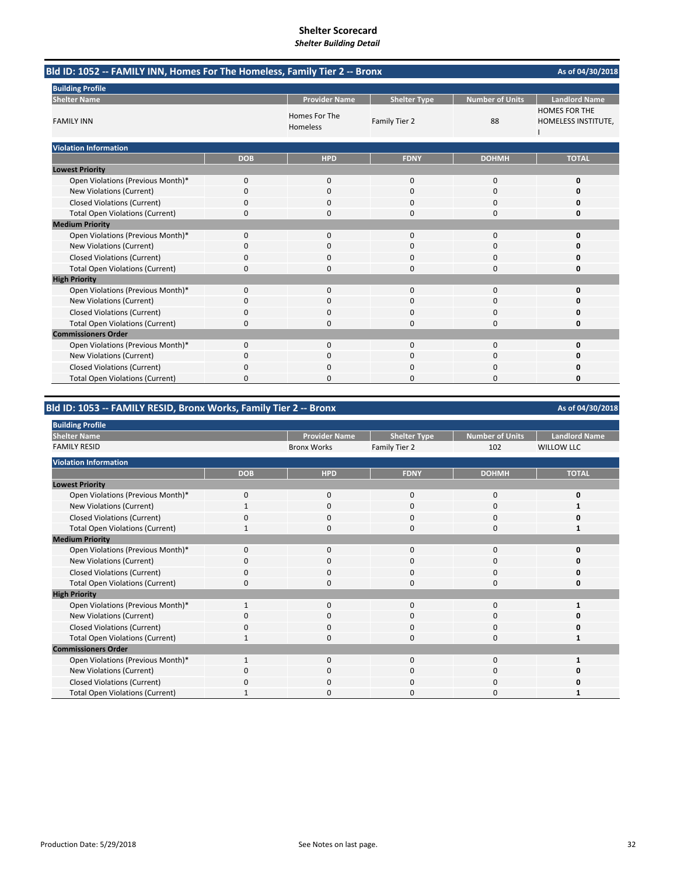# **Shelter Scorecard**

*Shelter Building Detail*

| Bld ID: 1052 -- FAMILY INN, Homes For The Homeless, Family Tier 2 -- Bronx |              |                           |                     |                        | As of 04/30/2018                            |
|----------------------------------------------------------------------------|--------------|---------------------------|---------------------|------------------------|---------------------------------------------|
| <b>Building Profile</b>                                                    |              |                           |                     |                        |                                             |
| <b>Shelter Name</b>                                                        |              | <b>Provider Name</b>      | <b>Shelter Type</b> | <b>Number of Units</b> | <b>Landlord Name</b>                        |
| <b>FAMILY INN</b>                                                          |              | Homes For The<br>Homeless | Family Tier 2       | 88                     | <b>HOMES FOR THE</b><br>HOMELESS INSTITUTE, |
| <b>Violation Information</b>                                               |              |                           |                     |                        |                                             |
|                                                                            | <b>DOB</b>   | <b>HPD</b>                | <b>FDNY</b>         | <b>DOHMH</b>           | <b>TOTAL</b>                                |
| <b>Lowest Priority</b>                                                     |              |                           |                     |                        |                                             |
| Open Violations (Previous Month)*                                          | 0            | $\mathbf{0}$              | $\mathbf 0$         | 0                      | 0                                           |
| New Violations (Current)                                                   | 0            | $\Omega$                  | $\Omega$            | 0                      | 0                                           |
| <b>Closed Violations (Current)</b>                                         | 0            | $\Omega$                  | $\Omega$            | 0                      | O                                           |
| <b>Total Open Violations (Current)</b>                                     | 0            | ŋ                         | $\Omega$            | 0                      | 0                                           |
| <b>Medium Priority</b>                                                     |              |                           |                     |                        |                                             |
| Open Violations (Previous Month)*                                          | 0            | $\Omega$                  | $\mathbf 0$         | 0                      | 0                                           |
| New Violations (Current)                                                   | 0            | $\Omega$                  | $\Omega$            | 0                      |                                             |
| <b>Closed Violations (Current)</b>                                         | 0            | 0                         | $\mathbf 0$         | 0                      | 0                                           |
| <b>Total Open Violations (Current)</b>                                     | 0            | 0                         | $\mathbf 0$         | 0                      | 0                                           |
| <b>High Priority</b>                                                       |              |                           |                     |                        |                                             |
| Open Violations (Previous Month)*                                          | $\mathbf{0}$ | $\mathbf{0}$              | $\mathbf 0$         | 0                      | 0                                           |
| New Violations (Current)                                                   | 0            | 0                         | $\Omega$            | 0                      | O                                           |
| <b>Closed Violations (Current)</b>                                         | 0            | $\Omega$                  | $\Omega$            | 0                      | 0                                           |
| <b>Total Open Violations (Current)</b>                                     | 0            | 0                         | $\mathbf 0$         | 0                      | 0                                           |
| <b>Commissioners Order</b>                                                 |              |                           |                     |                        |                                             |
| Open Violations (Previous Month)*                                          | $\mathbf{0}$ | $\mathbf{0}$              | $\mathbf{0}$        | 0                      | 0                                           |
| New Violations (Current)                                                   | 0            | $\mathbf{0}$              | $\Omega$            | 0                      | 0                                           |
| <b>Closed Violations (Current)</b>                                         | 0            | 0                         | $\mathbf 0$         | 0                      | 0                                           |
| <b>Total Open Violations (Current)</b>                                     | 0            | 0                         | $\Omega$            | $\Omega$               | 0                                           |

## **Bld ID: 1053 ‐‐ FAMILY RESID, Bronx Works, Family Tier 2 ‐‐ Bronx**

#### Provider Name **Name Shelter Type** Number of Units Landlord Name Bronx Works Family Tier 2 102 **DOB HPD FDNY DOHMH TOTAL** Open Violations (Previous Month)\* 0000 **0** New Violations (Current) **1** 1000 **1** 1000 **1** 1000 **1** Closed Violations (Current) 0000 **0** Total Open Violations (Current) 1 0 0 0 0 1 Open Violations (Previous Month)\* 0000 **0 New Violations (Current)** Closed Violations (Current) 0000 **0** Total Open Violations (Current) 0000 **0** Open Violations (Previous Month)\* 1000 **1** New Violations (Current) 0000 **0** Closed Violations (Current) 0000 **0** Total Open Violations (Current) 1000 **1** Open Violations (Previous Month)\* 1 0 0 0 0 1 New Violations (Current) **0** 0000 **0** 0000 **0** Closed Violations (Current) 0000 **0** Total Open Violations (Current) 1 0 0 0 0 1 **Medium Priority High Priority Building Profile Shelter Name** FAMILY RESID **Violation Information Lowest Priority Commissioners Order**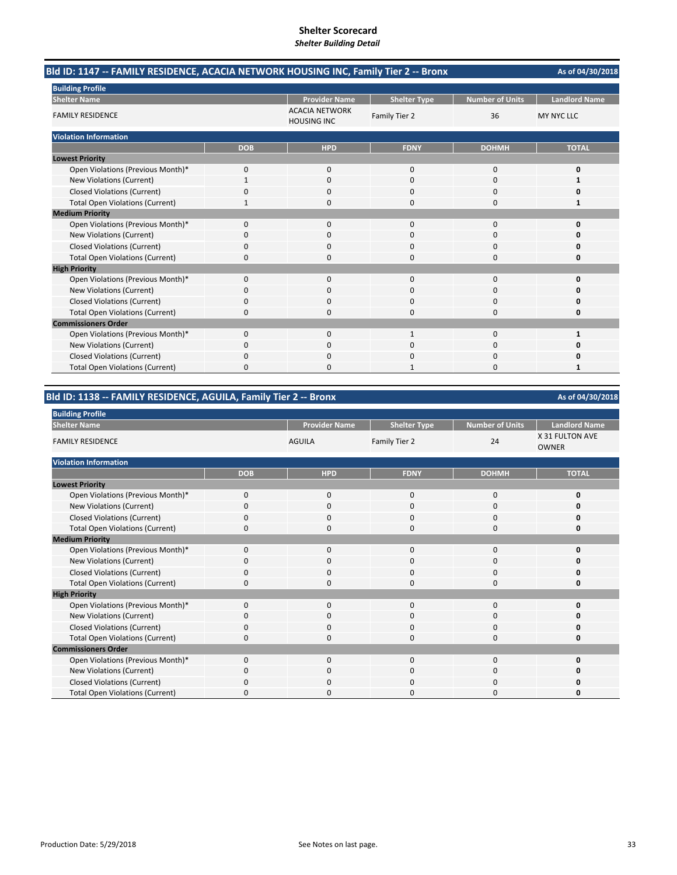|                                        | Bld ID: 1147 -- FAMILY RESIDENCE, ACACIA NETWORK HOUSING INC, Family Tier 2 -- Bronx<br>As of 04/30/2018<br><b>Landlord Name</b><br><b>Number of Units</b><br><b>Provider Name</b><br><b>Shelter Type</b><br><b>ACACIA NETWORK</b><br>36<br>Family Tier 2<br><b>MY NYC LLC</b><br><b>HOUSING INC</b><br><b>DOHMH</b><br><b>TOTAL</b><br><b>DOB</b><br><b>HPD</b><br><b>FDNY</b><br>$\Omega$<br>0<br>$\Omega$<br>$\Omega$<br>O<br>0<br>$\Omega$<br>$\Omega$<br>0<br>0<br>0<br>$\Omega$<br>0<br>0<br>$\Omega$<br>1<br>0<br>0<br>$\Omega$<br>$\Omega$<br>n<br>ŋ<br>0<br>0<br>0<br>0<br>0<br>$\Omega$<br>0<br>$\Omega$<br>0<br>O<br>n |   |  |   |   |
|----------------------------------------|-----------------------------------------------------------------------------------------------------------------------------------------------------------------------------------------------------------------------------------------------------------------------------------------------------------------------------------------------------------------------------------------------------------------------------------------------------------------------------------------------------------------------------------------------------------------------------------------------------------------------------------|---|--|---|---|
| <b>Building Profile</b>                | 0<br>0<br>$\Omega$<br>0<br>n<br>0<br>0<br>0<br>0<br>0<br>0<br>O<br>$\Omega$<br>ŋ<br>0<br>O<br>n.<br>0<br>$\Omega$<br>$\mathbf 0$<br>1<br>1<br>0<br>0<br>$\Omega$<br>0<br>0<br>0<br>$\Omega$<br>U                                                                                                                                                                                                                                                                                                                                                                                                                                  |   |  |   |   |
| <b>Shelter Name</b>                    |                                                                                                                                                                                                                                                                                                                                                                                                                                                                                                                                                                                                                                   |   |  |   |   |
| <b>FAMILY RESIDENCE</b>                |                                                                                                                                                                                                                                                                                                                                                                                                                                                                                                                                                                                                                                   |   |  |   |   |
| <b>Violation Information</b>           |                                                                                                                                                                                                                                                                                                                                                                                                                                                                                                                                                                                                                                   |   |  |   |   |
|                                        |                                                                                                                                                                                                                                                                                                                                                                                                                                                                                                                                                                                                                                   |   |  |   |   |
| <b>Lowest Priority</b>                 |                                                                                                                                                                                                                                                                                                                                                                                                                                                                                                                                                                                                                                   |   |  |   |   |
| Open Violations (Previous Month)*      |                                                                                                                                                                                                                                                                                                                                                                                                                                                                                                                                                                                                                                   |   |  |   |   |
| New Violations (Current)               |                                                                                                                                                                                                                                                                                                                                                                                                                                                                                                                                                                                                                                   |   |  |   |   |
| <b>Closed Violations (Current)</b>     |                                                                                                                                                                                                                                                                                                                                                                                                                                                                                                                                                                                                                                   |   |  |   |   |
| <b>Total Open Violations (Current)</b> |                                                                                                                                                                                                                                                                                                                                                                                                                                                                                                                                                                                                                                   |   |  |   |   |
| <b>Medium Priority</b>                 |                                                                                                                                                                                                                                                                                                                                                                                                                                                                                                                                                                                                                                   |   |  |   |   |
| Open Violations (Previous Month)*      |                                                                                                                                                                                                                                                                                                                                                                                                                                                                                                                                                                                                                                   |   |  |   |   |
| <b>New Violations (Current)</b>        |                                                                                                                                                                                                                                                                                                                                                                                                                                                                                                                                                                                                                                   |   |  |   |   |
| <b>Closed Violations (Current)</b>     |                                                                                                                                                                                                                                                                                                                                                                                                                                                                                                                                                                                                                                   |   |  |   |   |
| <b>Total Open Violations (Current)</b> |                                                                                                                                                                                                                                                                                                                                                                                                                                                                                                                                                                                                                                   |   |  |   |   |
| <b>High Priority</b>                   |                                                                                                                                                                                                                                                                                                                                                                                                                                                                                                                                                                                                                                   |   |  |   |   |
| Open Violations (Previous Month)*      |                                                                                                                                                                                                                                                                                                                                                                                                                                                                                                                                                                                                                                   |   |  |   |   |
| New Violations (Current)               |                                                                                                                                                                                                                                                                                                                                                                                                                                                                                                                                                                                                                                   |   |  |   |   |
| <b>Closed Violations (Current)</b>     |                                                                                                                                                                                                                                                                                                                                                                                                                                                                                                                                                                                                                                   |   |  |   |   |
| <b>Total Open Violations (Current)</b> |                                                                                                                                                                                                                                                                                                                                                                                                                                                                                                                                                                                                                                   |   |  |   |   |
| <b>Commissioners Order</b>             |                                                                                                                                                                                                                                                                                                                                                                                                                                                                                                                                                                                                                                   |   |  |   |   |
| Open Violations (Previous Month)*      |                                                                                                                                                                                                                                                                                                                                                                                                                                                                                                                                                                                                                                   |   |  |   |   |
| New Violations (Current)               |                                                                                                                                                                                                                                                                                                                                                                                                                                                                                                                                                                                                                                   |   |  |   |   |
| <b>Closed Violations (Current)</b>     |                                                                                                                                                                                                                                                                                                                                                                                                                                                                                                                                                                                                                                   |   |  |   |   |
| <b>Total Open Violations (Current)</b> | 0                                                                                                                                                                                                                                                                                                                                                                                                                                                                                                                                                                                                                                 | 0 |  | 0 | 1 |

**Bld ID: 1138 ‐‐ FAMILY RESIDENCE, AGUILA, Family Tier 2 ‐‐ Bronx**

| <b>Building Profile</b>                |            |                      |                     |                        |                                 |
|----------------------------------------|------------|----------------------|---------------------|------------------------|---------------------------------|
| <b>Shelter Name</b>                    |            | <b>Provider Name</b> | <b>Shelter Type</b> | <b>Number of Units</b> | <b>Landlord Name</b>            |
| <b>FAMILY RESIDENCE</b>                |            | <b>AGUILA</b>        | Family Tier 2       | 24                     | X 31 FULTON AVE<br><b>OWNER</b> |
| <b>Violation Information</b>           |            |                      |                     |                        |                                 |
|                                        | <b>DOB</b> | <b>HPD</b>           | <b>FDNY</b>         | <b>DOHMH</b>           | <b>TOTAL</b>                    |
| <b>Lowest Priority</b>                 |            |                      |                     |                        |                                 |
| Open Violations (Previous Month)*      | $\Omega$   | $\mathbf 0$          | 0                   | $\mathbf 0$            | 0                               |
| New Violations (Current)               | $\Omega$   | 0                    | 0                   | 0                      | 0                               |
| <b>Closed Violations (Current)</b>     | $\Omega$   | $\mathbf 0$          | 0                   | 0                      | 0                               |
| <b>Total Open Violations (Current)</b> | O          | 0                    | U                   | 0                      | 0                               |
| <b>Medium Priority</b>                 |            |                      |                     |                        |                                 |
| Open Violations (Previous Month)*      | $\Omega$   | $\mathbf 0$          | 0                   | $\mathbf 0$            | O                               |
| New Violations (Current)               | 0          | 0                    | 0                   | 0                      | ŋ                               |
| <b>Closed Violations (Current)</b>     | $\Omega$   | $\mathbf 0$          | $\Omega$            | 0                      | 0                               |
| <b>Total Open Violations (Current)</b> | 0          | 0                    | 0                   | 0                      | 0                               |
| <b>High Priority</b>                   |            |                      |                     |                        |                                 |
| Open Violations (Previous Month)*      | $\Omega$   | 0                    | $\Omega$            | 0                      | U                               |
| New Violations (Current)               | $\Omega$   | 0                    | 0                   | 0                      | ŋ                               |
| <b>Closed Violations (Current)</b>     | $\Omega$   | $\Omega$             | 0                   | 0                      | ŋ                               |
| <b>Total Open Violations (Current)</b> | 0          | 0                    | 0                   | 0                      | 0                               |
| <b>Commissioners Order</b>             |            |                      |                     |                        |                                 |
| Open Violations (Previous Month)*      | $\Omega$   | $\Omega$             | $\Omega$            | 0                      | 0                               |
| New Violations (Current)               | O          | $\Omega$             | $\Omega$            | $\mathbf 0$            | Ω                               |
| <b>Closed Violations (Current)</b>     | O          | 0                    | O                   | 0                      | 0                               |
| <b>Total Open Violations (Current)</b> | 0          | 0                    | 0                   | 0                      | ŋ                               |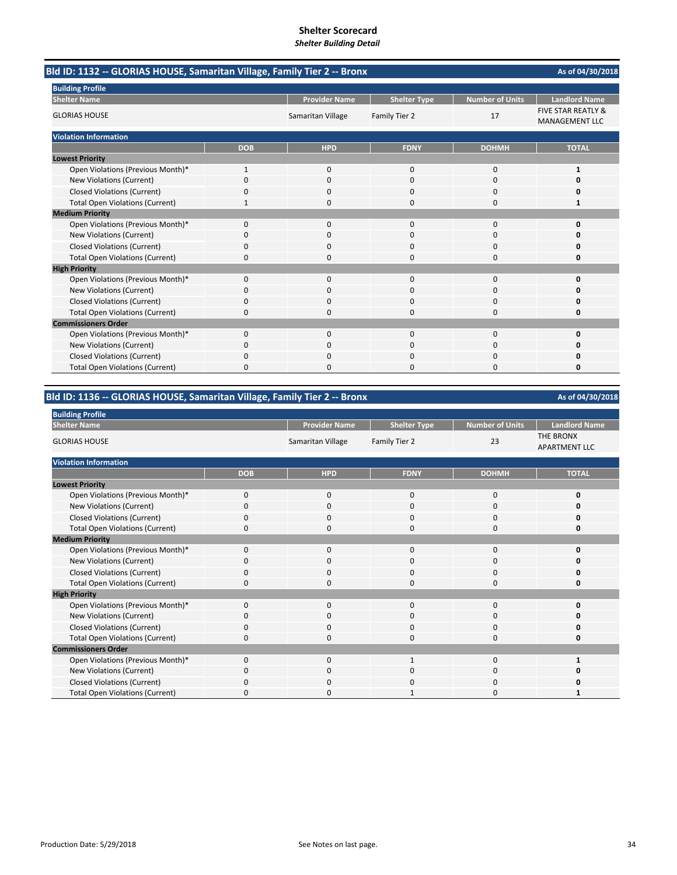| Bld ID: 1132 -- GLORIAS HOUSE, Samaritan Village, Family Tier 2 -- Bronx |            |                      |                     |                        | As of 04/30/2018                                       |
|--------------------------------------------------------------------------|------------|----------------------|---------------------|------------------------|--------------------------------------------------------|
| <b>Building Profile</b>                                                  |            |                      |                     |                        |                                                        |
| <b>Shelter Name</b>                                                      |            | <b>Provider Name</b> | <b>Shelter Type</b> | <b>Number of Units</b> | <b>Landlord Name</b>                                   |
| <b>GLORIAS HOUSE</b>                                                     |            | Samaritan Village    | Family Tier 2       | 17                     | <b>FIVE STAR REATLY &amp;</b><br><b>MANAGEMENT LLC</b> |
| <b>Violation Information</b>                                             |            |                      |                     |                        |                                                        |
|                                                                          | <b>DOB</b> | <b>HPD</b>           | <b>FDNY</b>         | <b>DOHMH</b>           | <b>TOTAL</b>                                           |
| <b>Lowest Priority</b>                                                   |            |                      |                     |                        |                                                        |
| Open Violations (Previous Month)*                                        | 1          | 0                    | $\mathbf 0$         | $\mathbf 0$            | $\mathbf{1}$                                           |
| <b>New Violations (Current)</b>                                          | $\Omega$   | $\Omega$             | $\Omega$            | $\Omega$               | o                                                      |
| <b>Closed Violations (Current)</b>                                       | 0          | 0                    | O                   | 0                      | o                                                      |
| <b>Total Open Violations (Current)</b>                                   | 1          | $\Omega$             | 0                   | $\Omega$               | 1                                                      |
| <b>Medium Priority</b>                                                   |            |                      |                     |                        |                                                        |
| Open Violations (Previous Month)*                                        | 0          | 0                    | $\Omega$            | $\Omega$               | 0                                                      |
| New Violations (Current)                                                 | 0          | 0                    | 0                   | 0                      | O                                                      |
| <b>Closed Violations (Current)</b>                                       | 0          | <sup>0</sup>         | $\Omega$            | $\Omega$               | n                                                      |
| <b>Total Open Violations (Current)</b>                                   | 0          |                      | U                   | $\Omega$               | n                                                      |
| <b>High Priority</b>                                                     |            |                      |                     |                        |                                                        |
| Open Violations (Previous Month)*                                        | 0          | $\Omega$             | $\mathbf{0}$        | $\Omega$               | 0                                                      |
| <b>New Violations (Current)</b>                                          | 0          | $\Omega$             | O                   | $\Omega$               | n                                                      |
| <b>Closed Violations (Current)</b>                                       | 0          | O                    | O                   | 0                      | n                                                      |
| <b>Total Open Violations (Current)</b>                                   | 0          | $\Omega$             | $\Omega$            | $\Omega$               | 0                                                      |
| <b>Commissioners Order</b>                                               |            |                      |                     |                        |                                                        |
| Open Violations (Previous Month)*                                        | $\Omega$   | $\Omega$             | $\Omega$            | $\Omega$               | 0                                                      |
| New Violations (Current)                                                 | 0          | $\Omega$             | $\Omega$            | $\Omega$               | O                                                      |
| <b>Closed Violations (Current)</b>                                       | 0          | 0                    | 0                   | 0                      | Ω                                                      |
| <b>Total Open Violations (Current)</b>                                   | $\Omega$   | <sup>0</sup>         | O                   | $\Omega$               | 0                                                      |

**Bld ID: 1136 ‐‐ GLORIAS HOUSE, Samaritan Village, Family Tier 2 ‐‐ Bronx**

| <b>Building Profile</b>                |             |                      |                     |                        |                                          |
|----------------------------------------|-------------|----------------------|---------------------|------------------------|------------------------------------------|
| <b>Shelter Name</b>                    |             | <b>Provider Name</b> | <b>Shelter Type</b> | <b>Number of Units</b> | <b>Landlord Name</b>                     |
| <b>GLORIAS HOUSE</b>                   |             | Samaritan Village    | Family Tier 2       | 23                     | <b>THE BRONX</b><br><b>APARTMENT LLC</b> |
| <b>Violation Information</b>           |             |                      |                     |                        |                                          |
|                                        | <b>DOB</b>  | <b>HPD</b>           | <b>FDNY</b>         | <b>DOHMH</b>           | <b>TOTAL</b>                             |
| <b>Lowest Priority</b>                 |             |                      |                     |                        |                                          |
| Open Violations (Previous Month)*      | $\mathbf 0$ | $\mathbf 0$          | $\mathbf 0$         | 0                      | 0                                        |
| New Violations (Current)               | $\Omega$    | 0                    | 0                   | 0                      | 0                                        |
| <b>Closed Violations (Current)</b>     | $\Omega$    | $\mathbf 0$          | $\Omega$            | 0                      | 0                                        |
| <b>Total Open Violations (Current)</b> | $\Omega$    | $\Omega$             | $\Omega$            | 0                      | 0                                        |
| <b>Medium Priority</b>                 |             |                      |                     |                        |                                          |
| Open Violations (Previous Month)*      | $\Omega$    | $\Omega$             | $\Omega$            | 0                      | O                                        |
| New Violations (Current)               | 0           | $\mathbf 0$          | 0                   | 0                      | O                                        |
| <b>Closed Violations (Current)</b>     | $\Omega$    | $\Omega$             | 0                   | 0                      | 0                                        |
| <b>Total Open Violations (Current)</b> | 0           | $\mathbf 0$          | $\Omega$            | 0                      | 0                                        |
| <b>High Priority</b>                   |             |                      |                     |                        |                                          |
| Open Violations (Previous Month)*      | 0           | $\mathbf 0$          | $\Omega$            | 0                      | 0                                        |
| New Violations (Current)               | $\Omega$    | 0                    | 0                   | 0                      | 0                                        |
| <b>Closed Violations (Current)</b>     | $\Omega$    | $\mathbf 0$          | 0                   | 0                      | $\Omega$                                 |
| <b>Total Open Violations (Current)</b> | $\Omega$    | $\mathbf 0$          | $\Omega$            | 0                      | 0                                        |
| <b>Commissioners Order</b>             |             |                      |                     |                        |                                          |
| Open Violations (Previous Month)*      | $\Omega$    | $\Omega$             | 1                   | 0                      |                                          |
| New Violations (Current)               | 0           | $\Omega$             | 0                   | 0                      |                                          |
| <b>Closed Violations (Current)</b>     | O           | $\Omega$             | 0                   | 0                      | ი                                        |
| <b>Total Open Violations (Current)</b> | $\Omega$    | $\Omega$             | 1                   | 0                      |                                          |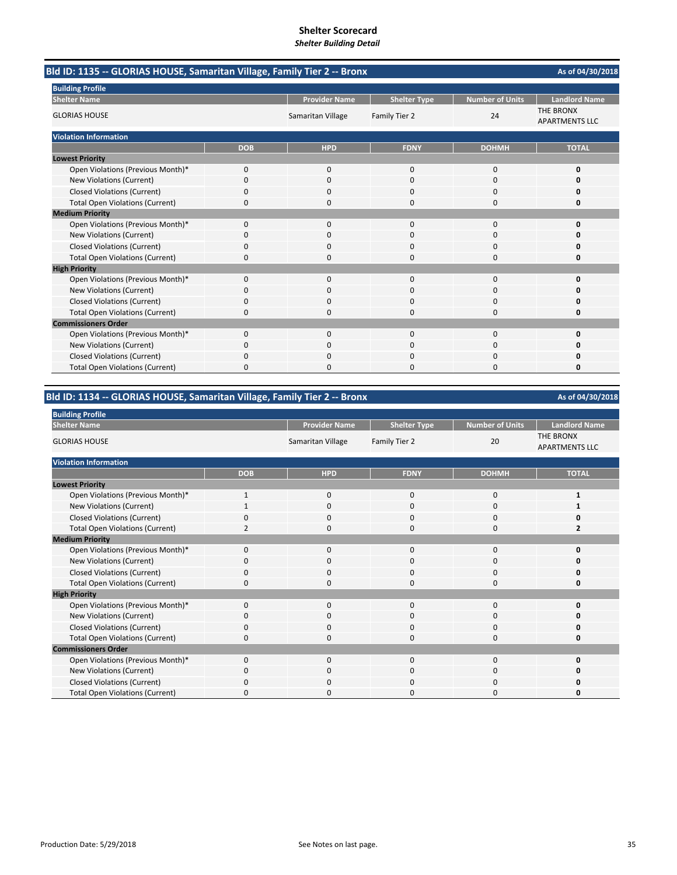| Bld ID: 1135 -- GLORIAS HOUSE, Samaritan Village, Family Tier 2 -- Bronx |            |                      |                     |                        | As of 04/30/2018                          |  |
|--------------------------------------------------------------------------|------------|----------------------|---------------------|------------------------|-------------------------------------------|--|
| <b>Building Profile</b>                                                  |            |                      |                     |                        |                                           |  |
| <b>Shelter Name</b>                                                      |            | <b>Provider Name</b> | <b>Shelter Type</b> | <b>Number of Units</b> | <b>Landlord Name</b>                      |  |
| <b>GLORIAS HOUSE</b>                                                     |            | Samaritan Village    | Family Tier 2       | 24                     | <b>THE BRONX</b><br><b>APARTMENTS LLC</b> |  |
| <b>Violation Information</b>                                             |            |                      |                     |                        |                                           |  |
|                                                                          | <b>DOB</b> | <b>HPD</b>           | <b>FDNY</b>         | <b>DOHMH</b>           | <b>TOTAL</b>                              |  |
| <b>Lowest Priority</b>                                                   |            |                      |                     |                        |                                           |  |
| Open Violations (Previous Month)*                                        | 0          | $\mathbf{0}$         | $\mathbf 0$         | 0                      | 0                                         |  |
| New Violations (Current)                                                 | $\Omega$   | $\Omega$             | $\Omega$            | 0                      | O                                         |  |
| <b>Closed Violations (Current)</b>                                       | 0          | <sup>0</sup>         | $\Omega$            | $\Omega$               | n                                         |  |
| <b>Total Open Violations (Current)</b>                                   | 0          | 0                    | $\Omega$            | 0                      | 0                                         |  |
| <b>Medium Priority</b>                                                   |            |                      |                     |                        |                                           |  |
| Open Violations (Previous Month)*                                        | 0          | $\mathbf{0}$         | $\Omega$            | 0                      | 0                                         |  |
| New Violations (Current)                                                 | 0          | $\Omega$             | $\Omega$            | $\Omega$               | 0                                         |  |
| <b>Closed Violations (Current)</b>                                       | 0          | $\Omega$             | $\Omega$            | 0                      | Ω                                         |  |
| <b>Total Open Violations (Current)</b>                                   | 0          | n                    | $\Omega$            | $\Omega$               | n                                         |  |
| <b>High Priority</b>                                                     |            |                      |                     |                        |                                           |  |
| Open Violations (Previous Month)*                                        | 0          | $\mathbf{0}$         | $\mathbf 0$         | 0                      | 0                                         |  |
| New Violations (Current)                                                 | 0          | 0                    | $\Omega$            | 0                      | O                                         |  |
| <b>Closed Violations (Current)</b>                                       | 0          | 0                    | 0                   | 0                      | 0                                         |  |
| <b>Total Open Violations (Current)</b>                                   | 0          | 0                    | $\Omega$            | 0                      | 0                                         |  |
| <b>Commissioners Order</b>                                               |            |                      |                     |                        |                                           |  |
| Open Violations (Previous Month)*                                        | $\Omega$   | $\Omega$             | $\Omega$            | $\Omega$               | O                                         |  |
| New Violations (Current)                                                 | 0          | 0                    | <sup>0</sup>        | 0                      | O                                         |  |
| <b>Closed Violations (Current)</b>                                       | 0          | 0                    | $\Omega$            | 0                      | 0                                         |  |
| <b>Total Open Violations (Current)</b>                                   | 0          | n                    | $\Omega$            | $\Omega$               | O                                         |  |

**Bld ID: 1134 ‐‐ GLORIAS HOUSE, Samaritan Village, Family Tier 2 ‐‐ Bronx**

| <b>Building Profile</b>                |              |                      |                     |                        |                                           |
|----------------------------------------|--------------|----------------------|---------------------|------------------------|-------------------------------------------|
| <b>Shelter Name</b>                    |              | <b>Provider Name</b> | <b>Shelter Type</b> | <b>Number of Units</b> | <b>Landlord Name</b>                      |
| <b>GLORIAS HOUSE</b>                   |              | Samaritan Village    | Family Tier 2       | 20                     | <b>THE BRONX</b><br><b>APARTMENTS LLC</b> |
| <b>Violation Information</b>           |              |                      |                     |                        |                                           |
|                                        | <b>DOB</b>   | <b>HPD</b>           | <b>FDNY</b>         | <b>DOHMH</b>           | <b>TOTAL</b>                              |
| <b>Lowest Priority</b>                 |              |                      |                     |                        |                                           |
| Open Violations (Previous Month)*      | $\mathbf{1}$ | $\mathbf 0$          | $\Omega$            | 0                      | 1                                         |
| New Violations (Current)               |              | $\mathbf 0$          | $\mathbf 0$         | 0                      |                                           |
| Closed Violations (Current)            | O            | $\mathbf 0$          | 0                   | 0                      | 0                                         |
| <b>Total Open Violations (Current)</b> | 2            | 0                    | 0                   | 0                      | 2                                         |
| <b>Medium Priority</b>                 |              |                      |                     |                        |                                           |
| Open Violations (Previous Month)*      | $\Omega$     | $\Omega$             | 0                   | 0                      | 0                                         |
| New Violations (Current)               | 0            | 0                    | 0                   | 0                      | ŋ                                         |
| <b>Closed Violations (Current)</b>     | $\Omega$     | $\mathbf 0$          | 0                   | 0                      | 0                                         |
| <b>Total Open Violations (Current)</b> | 0            | $\mathbf 0$          | $\Omega$            | 0                      | 0                                         |
| <b>High Priority</b>                   |              |                      |                     |                        |                                           |
| Open Violations (Previous Month)*      | $\Omega$     | $\Omega$             | 0                   | 0                      | O                                         |
| New Violations (Current)               | $\Omega$     | $\mathbf 0$          | $\mathbf 0$         | 0                      | O                                         |
| <b>Closed Violations (Current)</b>     | 0            | $\Omega$             | 0                   | 0                      | 0                                         |
| <b>Total Open Violations (Current)</b> | $\Omega$     | 0                    | 0                   | 0                      | 0                                         |
| <b>Commissioners Order</b>             |              |                      |                     |                        |                                           |
| Open Violations (Previous Month)*      | $\Omega$     | $\Omega$             | $\Omega$            | 0                      | O                                         |
| New Violations (Current)               | 0            | $\Omega$             | 0                   | 0                      | ი                                         |
| Closed Violations (Current)            | O            | $\Omega$             | O                   | 0                      | 0                                         |
| <b>Total Open Violations (Current)</b> | $\Omega$     | $\Omega$             | O                   | 0                      | n                                         |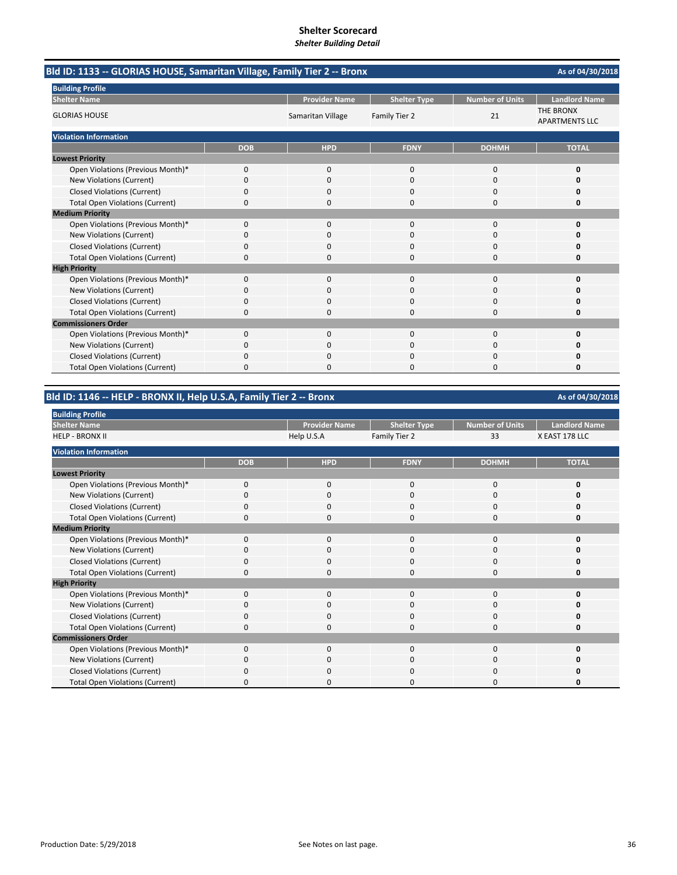| Bld ID: 1133 -- GLORIAS HOUSE, Samaritan Village, Family Tier 2 -- Bronx |            | As of 04/30/2018     |                     |                        |                                           |
|--------------------------------------------------------------------------|------------|----------------------|---------------------|------------------------|-------------------------------------------|
| <b>Building Profile</b>                                                  |            |                      |                     |                        |                                           |
| <b>Shelter Name</b>                                                      |            | <b>Provider Name</b> | <b>Shelter Type</b> | <b>Number of Units</b> | <b>Landlord Name</b>                      |
| <b>GLORIAS HOUSE</b>                                                     |            | Samaritan Village    | Family Tier 2       | 21                     | <b>THE BRONX</b><br><b>APARTMENTS LLC</b> |
| <b>Violation Information</b>                                             |            |                      |                     |                        |                                           |
|                                                                          | <b>DOB</b> | <b>HPD</b>           | <b>FDNY</b>         | <b>DOHMH</b>           | <b>TOTAL</b>                              |
| <b>Lowest Priority</b>                                                   |            |                      |                     |                        |                                           |
| Open Violations (Previous Month)*                                        | 0          | 0                    | $\mathbf{0}$        | $\mathbf 0$            | 0                                         |
| <b>New Violations (Current)</b>                                          | 0          | $\Omega$             | $\Omega$            | $\Omega$               | o                                         |
| <b>Closed Violations (Current)</b>                                       | 0          | 0                    | O                   | 0                      | O                                         |
| <b>Total Open Violations (Current)</b>                                   | 0          | $\Omega$             | 0                   | $\Omega$               | 0                                         |
| <b>Medium Priority</b>                                                   |            |                      |                     |                        |                                           |
| Open Violations (Previous Month)*                                        | 0          | 0                    | $\Omega$            | $\Omega$               | 0                                         |
| New Violations (Current)                                                 | 0          | 0                    | 0                   | 0                      | O                                         |
| <b>Closed Violations (Current)</b>                                       | 0          | <sup>0</sup>         | $\Omega$            | $\Omega$               | n                                         |
| <b>Total Open Violations (Current)</b>                                   | 0          | n                    | U                   | $\Omega$               | n                                         |
| <b>High Priority</b>                                                     |            |                      |                     |                        |                                           |
| Open Violations (Previous Month)*                                        | 0          | 0                    | $\mathbf{0}$        | $\Omega$               | 0                                         |
| <b>New Violations (Current)</b>                                          | 0          | $\Omega$             | O                   | $\Omega$               | n                                         |
| <b>Closed Violations (Current)</b>                                       | 0          | O                    | O                   | 0                      | n                                         |
| <b>Total Open Violations (Current)</b>                                   | 0          | $\Omega$             | $\Omega$            | $\Omega$               | 0                                         |
| <b>Commissioners Order</b>                                               |            |                      |                     |                        |                                           |
| Open Violations (Previous Month)*                                        | $\Omega$   | $\Omega$             | $\Omega$            | $\Omega$               | 0                                         |
| New Violations (Current)                                                 | 0          | $\Omega$             | $\Omega$            | $\Omega$               | O                                         |
| <b>Closed Violations (Current)</b>                                       | 0          | 0                    | 0                   | 0                      | Ω                                         |
| <b>Total Open Violations (Current)</b>                                   | $\Omega$   | $\Omega$             | O                   | $\Omega$               | 0                                         |

**Bld ID: 1146 ‐‐ HELP ‐ BRONX II, Help U.S.A, Family Tier 2 ‐‐ Bronx**

| <b>Building Profile</b>                       |            |                      |                     |                        |                      |
|-----------------------------------------------|------------|----------------------|---------------------|------------------------|----------------------|
| <b>Shelter Name</b><br><b>HELP - BRONX II</b> |            | <b>Provider Name</b> | <b>Shelter Type</b> | <b>Number of Units</b> | <b>Landlord Name</b> |
|                                               |            | Help U.S.A           | Family Tier 2       | 33                     | X EAST 178 LLC       |
| <b>Violation Information</b>                  |            |                      |                     |                        |                      |
|                                               | <b>DOB</b> | <b>HPD</b>           | <b>FDNY</b>         | <b>DOHMH</b>           | <b>TOTAL</b>         |
| <b>Lowest Priority</b>                        |            |                      |                     |                        |                      |
| Open Violations (Previous Month)*             | $\Omega$   | $\Omega$             | $\Omega$            | $\mathbf 0$            | 0                    |
| New Violations (Current)                      | 0          | $\mathbf 0$          | 0                   | 0                      | 0                    |
| <b>Closed Violations (Current)</b>            |            | $\Omega$             | 0                   | 0                      | 0                    |
| <b>Total Open Violations (Current)</b>        | $\Omega$   | $\mathbf 0$          | 0                   | $\mathbf 0$            | 0                    |
| <b>Medium Priority</b>                        |            |                      |                     |                        |                      |
| Open Violations (Previous Month)*             | $\Omega$   | $\mathbf 0$          | 0                   | $\mathbf 0$            | 0                    |
| New Violations (Current)                      | $\Omega$   | $\Omega$             | $\Omega$            | $\Omega$               | 0                    |
| <b>Closed Violations (Current)</b>            | $\Omega$   | $\mathbf 0$          | $\Omega$            | 0                      | 0                    |
| <b>Total Open Violations (Current)</b>        | $\Omega$   | $\Omega$             | $\Omega$            | $\mathbf 0$            | 0                    |
| <b>High Priority</b>                          |            |                      |                     |                        |                      |
| Open Violations (Previous Month)*             | $\Omega$   | $\Omega$             | $\Omega$            | $\mathbf 0$            | 0                    |
| New Violations (Current)                      | o          | 0                    | 0                   | 0                      | 0                    |
| <b>Closed Violations (Current)</b>            | $\Omega$   | $\mathbf 0$          | 0                   | 0                      | 0                    |
| <b>Total Open Violations (Current)</b>        | n          | $\Omega$             | O                   | $\Omega$               | 0                    |
| <b>Commissioners Order</b>                    |            |                      |                     |                        |                      |
| Open Violations (Previous Month)*             | $\Omega$   | $\Omega$             | 0                   | $\mathbf 0$            | 0                    |
| New Violations (Current)                      | $\Omega$   | $\mathbf 0$          | 0                   | 0                      | O                    |
| <b>Closed Violations (Current)</b>            | U          | $\Omega$             | 0                   | $\Omega$               | 0                    |
| <b>Total Open Violations (Current)</b>        | ŋ          | 0                    | U                   | 0                      | O                    |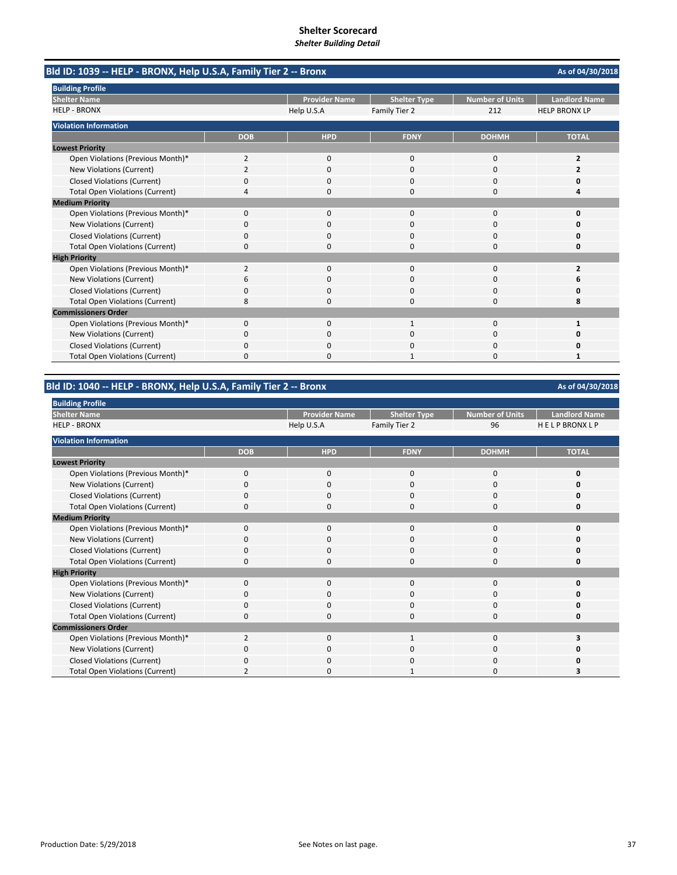| Bld ID: 1039 -- HELP - BRONX, Help U.S.A, Family Tier 2 -- Bronx |                |                      |                     |                        | As of 04/30/2018     |
|------------------------------------------------------------------|----------------|----------------------|---------------------|------------------------|----------------------|
| <b>Building Profile</b>                                          |                |                      |                     |                        |                      |
| <b>Shelter Name</b>                                              |                | <b>Provider Name</b> | <b>Shelter Type</b> | <b>Number of Units</b> | <b>Landlord Name</b> |
| <b>HELP - BRONX</b>                                              |                | Help U.S.A           | Family Tier 2       | 212                    | <b>HELP BRONX LP</b> |
| <b>Violation Information</b>                                     |                |                      |                     |                        |                      |
|                                                                  | <b>DOB</b>     | <b>HPD</b>           | <b>FDNY</b>         | <b>DOHMH</b>           | <b>TOTAL</b>         |
| <b>Lowest Priority</b>                                           |                |                      |                     |                        |                      |
| Open Violations (Previous Month)*                                | 2              | 0                    | $\mathbf{0}$        | $\mathbf 0$            | 2                    |
| <b>New Violations (Current)</b>                                  | $\overline{2}$ | $\Omega$             | $\Omega$            | $\Omega$               | 2                    |
| <b>Closed Violations (Current)</b>                               | 0              | 0                    | 0                   | $\Omega$               | o                    |
| <b>Total Open Violations (Current)</b>                           | 4              | 0                    | $\Omega$            | $\Omega$               | 4                    |
| <b>Medium Priority</b>                                           |                |                      |                     |                        |                      |
| Open Violations (Previous Month)*                                | $\Omega$       | O                    | O                   | $\Omega$               | o                    |
| New Violations (Current)                                         | 0              | 0                    | 0                   | 0                      | o                    |
| <b>Closed Violations (Current)</b>                               | $\Omega$       | <sup>0</sup>         | $\Omega$            | $\Omega$               | o                    |
| <b>Total Open Violations (Current)</b>                           | $\Omega$       | 0                    | 0                   | $\Omega$               | 0                    |
| <b>High Priority</b>                                             |                |                      |                     |                        |                      |
| Open Violations (Previous Month)*                                | $\overline{2}$ | $\Omega$             | $\Omega$            | $\Omega$               | $\overline{2}$       |
| New Violations (Current)                                         | 6              | 0                    | 0                   | $\Omega$               | 6                    |
| <b>Closed Violations (Current)</b>                               | 0              | 0                    | 0                   | 0                      | 0                    |
| <b>Total Open Violations (Current)</b>                           | 8              | <sup>n</sup>         | $\Omega$            | $\Omega$               | 8                    |
| <b>Commissioners Order</b>                                       |                |                      |                     |                        |                      |
| Open Violations (Previous Month)*                                | 0              | 0                    | $\mathbf{1}$        | $\mathbf 0$            |                      |
| New Violations (Current)                                         | 0              | <sup>0</sup>         | O                   | $\Omega$               | O                    |
| <b>Closed Violations (Current)</b>                               | 0              | $\Omega$             | 0                   | 0                      | 0                    |
| <b>Total Open Violations (Current)</b>                           | 0              | $\Omega$             |                     | $\Omega$               | 1                    |

## **Bld ID: 1040 ‐‐ HELP ‐ BRONX, Help U.S.A, Family Tier 2 ‐‐ Bronx**

| <b>Building Profile</b>                |                |                      |                     |                 |                      |
|----------------------------------------|----------------|----------------------|---------------------|-----------------|----------------------|
| <b>Shelter Name</b>                    |                | <b>Provider Name</b> | <b>Shelter Type</b> | Number of Units | <b>Landlord Name</b> |
| <b>HELP - BRONX</b>                    |                | Help U.S.A           | Family Tier 2       | 96              | <b>HELPBRONXLP</b>   |
| <b>Violation Information</b>           |                |                      |                     |                 |                      |
|                                        | <b>DOB</b>     | <b>HPD</b>           | <b>FDNY</b>         | <b>DOHMH</b>    | <b>TOTAL</b>         |
| <b>Lowest Priority</b>                 |                |                      |                     |                 |                      |
| Open Violations (Previous Month)*      | 0              | 0                    | 0                   | 0               |                      |
| New Violations (Current)               | $\Omega$       | $\mathbf 0$          | 0                   | 0               |                      |
| Closed Violations (Current)            | $\Omega$       | 0                    | $\Omega$            | 0               |                      |
| <b>Total Open Violations (Current)</b> | $\Omega$       | $\mathbf 0$          | $\Omega$            | 0               |                      |
| <b>Medium Priority</b>                 |                |                      |                     |                 |                      |
| Open Violations (Previous Month)*      | $\Omega$       | $\mathbf 0$          | $\Omega$            | 0               |                      |
| New Violations (Current)               | $\Omega$       | 0                    | 0                   | 0               |                      |
| Closed Violations (Current)            | 0              | $\mathbf 0$          | 0                   | 0               |                      |
| <b>Total Open Violations (Current)</b> | 0              | $\mathbf 0$          | 0                   | 0               |                      |
| <b>High Priority</b>                   |                |                      |                     |                 |                      |
| Open Violations (Previous Month)*      | 0              | 0                    | 0                   | $\mathbf 0$     | Ω                    |
| New Violations (Current)               | $\Omega$       | $\mathbf{0}$         | 0                   | 0               |                      |
| Closed Violations (Current)            | 0              | 0                    | 0                   | 0               | Ω                    |
| <b>Total Open Violations (Current)</b> | $\Omega$       | $\mathbf 0$          | $\Omega$            | $\mathbf 0$     | Ω                    |
| <b>Commissioners Order</b>             |                |                      |                     |                 |                      |
| Open Violations (Previous Month)*      | $\overline{2}$ | $\mathbf 0$          | $\mathbf{1}$        | 0               |                      |
| New Violations (Current)               | $\Omega$       | 0                    | 0                   | 0               |                      |
| Closed Violations (Current)            | $\Omega$       | $\mathbf{0}$         | $\Omega$            | 0               |                      |
| <b>Total Open Violations (Current)</b> |                | 0                    |                     | 0               |                      |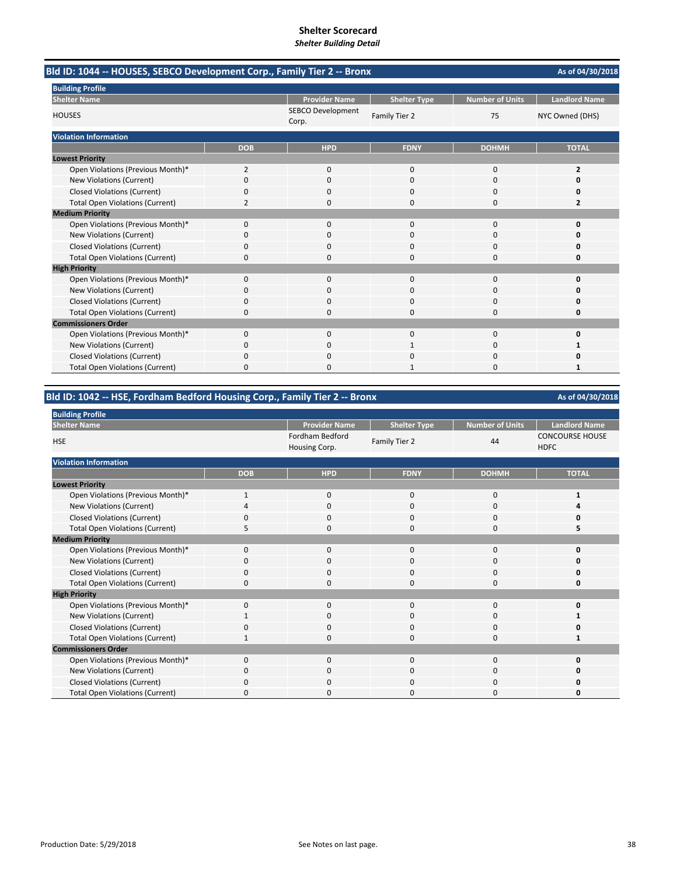| Bld ID: 1044 -- HOUSES, SEBCO Development Corp., Family Tier 2 -- Bronx<br><b>Building Profile</b><br><b>Shelter Name</b><br><b>Provider Name</b><br><b>Number of Units</b><br><b>Landlord Name</b><br><b>Shelter Type</b><br>SEBCO Development<br><b>HOUSES</b><br>Family Tier 2<br>75<br>NYC Owned (DHS)<br>Corp.<br><b>Violation Information</b><br><b>FDNY</b><br><b>DOHMH</b><br><b>TOTAL</b><br><b>DOB</b><br><b>HPD</b><br><b>Lowest Priority</b><br>Open Violations (Previous Month)*<br>2<br>0<br>$\mathbf 0$<br>0<br>$\overline{2}$<br><b>New Violations (Current)</b><br>$\Omega$<br>$\Omega$<br>$\Omega$<br>0<br>Ω<br><b>Closed Violations (Current)</b><br>$\Omega$<br>ŋ<br>n<br>n<br>O<br><b>Total Open Violations (Current)</b><br>$\overline{2}$<br>$\overline{2}$<br>0<br>0<br>0<br><b>Medium Priority</b><br>Open Violations (Previous Month)*<br>0<br>$\mathbf{0}$<br>$\Omega$<br>$\Omega$<br>0<br>New Violations (Current)<br>0<br>$\Omega$<br>0<br>0<br>0<br><b>Closed Violations (Current)</b><br>0<br>$\Omega$<br>0<br><sup>0</sup><br>n<br><b>Total Open Violations (Current)</b><br>0<br>n<br>$\Omega$<br>n<br><b>High Priority</b><br>Open Violations (Previous Month)*<br>0<br>$\mathbf 0$<br>$\mathbf{0}$<br>0<br>0<br>New Violations (Current)<br>0<br>$\Omega$<br>0<br>0<br>n<br><b>Closed Violations (Current)</b><br>0<br>n<br>0<br>O<br>n<br><b>Total Open Violations (Current)</b><br>0<br>$\Omega$<br>0<br>0<br>$\Omega$<br><b>Commissioners Order</b><br>Open Violations (Previous Month)*<br>0<br>$\mathbf 0$<br>$\Omega$<br>0<br>0<br>New Violations (Current)<br>0<br>0<br>0<br>1 | As of 04/30/2018 |   |          |          |   |
|--------------------------------------------------------------------------------------------------------------------------------------------------------------------------------------------------------------------------------------------------------------------------------------------------------------------------------------------------------------------------------------------------------------------------------------------------------------------------------------------------------------------------------------------------------------------------------------------------------------------------------------------------------------------------------------------------------------------------------------------------------------------------------------------------------------------------------------------------------------------------------------------------------------------------------------------------------------------------------------------------------------------------------------------------------------------------------------------------------------------------------------------------------------------------------------------------------------------------------------------------------------------------------------------------------------------------------------------------------------------------------------------------------------------------------------------------------------------------------------------------------------------------------------------------------------------------------------------------------------------------|------------------|---|----------|----------|---|
|                                                                                                                                                                                                                                                                                                                                                                                                                                                                                                                                                                                                                                                                                                                                                                                                                                                                                                                                                                                                                                                                                                                                                                                                                                                                                                                                                                                                                                                                                                                                                                                                                          |                  |   |          |          |   |
|                                                                                                                                                                                                                                                                                                                                                                                                                                                                                                                                                                                                                                                                                                                                                                                                                                                                                                                                                                                                                                                                                                                                                                                                                                                                                                                                                                                                                                                                                                                                                                                                                          |                  |   |          |          |   |
|                                                                                                                                                                                                                                                                                                                                                                                                                                                                                                                                                                                                                                                                                                                                                                                                                                                                                                                                                                                                                                                                                                                                                                                                                                                                                                                                                                                                                                                                                                                                                                                                                          |                  |   |          |          |   |
|                                                                                                                                                                                                                                                                                                                                                                                                                                                                                                                                                                                                                                                                                                                                                                                                                                                                                                                                                                                                                                                                                                                                                                                                                                                                                                                                                                                                                                                                                                                                                                                                                          |                  |   |          |          |   |
|                                                                                                                                                                                                                                                                                                                                                                                                                                                                                                                                                                                                                                                                                                                                                                                                                                                                                                                                                                                                                                                                                                                                                                                                                                                                                                                                                                                                                                                                                                                                                                                                                          |                  |   |          |          |   |
|                                                                                                                                                                                                                                                                                                                                                                                                                                                                                                                                                                                                                                                                                                                                                                                                                                                                                                                                                                                                                                                                                                                                                                                                                                                                                                                                                                                                                                                                                                                                                                                                                          |                  |   |          |          |   |
|                                                                                                                                                                                                                                                                                                                                                                                                                                                                                                                                                                                                                                                                                                                                                                                                                                                                                                                                                                                                                                                                                                                                                                                                                                                                                                                                                                                                                                                                                                                                                                                                                          |                  |   |          |          |   |
|                                                                                                                                                                                                                                                                                                                                                                                                                                                                                                                                                                                                                                                                                                                                                                                                                                                                                                                                                                                                                                                                                                                                                                                                                                                                                                                                                                                                                                                                                                                                                                                                                          |                  |   |          |          |   |
|                                                                                                                                                                                                                                                                                                                                                                                                                                                                                                                                                                                                                                                                                                                                                                                                                                                                                                                                                                                                                                                                                                                                                                                                                                                                                                                                                                                                                                                                                                                                                                                                                          |                  |   |          |          |   |
|                                                                                                                                                                                                                                                                                                                                                                                                                                                                                                                                                                                                                                                                                                                                                                                                                                                                                                                                                                                                                                                                                                                                                                                                                                                                                                                                                                                                                                                                                                                                                                                                                          |                  |   |          |          |   |
|                                                                                                                                                                                                                                                                                                                                                                                                                                                                                                                                                                                                                                                                                                                                                                                                                                                                                                                                                                                                                                                                                                                                                                                                                                                                                                                                                                                                                                                                                                                                                                                                                          |                  |   |          |          |   |
|                                                                                                                                                                                                                                                                                                                                                                                                                                                                                                                                                                                                                                                                                                                                                                                                                                                                                                                                                                                                                                                                                                                                                                                                                                                                                                                                                                                                                                                                                                                                                                                                                          |                  |   |          |          |   |
|                                                                                                                                                                                                                                                                                                                                                                                                                                                                                                                                                                                                                                                                                                                                                                                                                                                                                                                                                                                                                                                                                                                                                                                                                                                                                                                                                                                                                                                                                                                                                                                                                          |                  |   |          |          |   |
|                                                                                                                                                                                                                                                                                                                                                                                                                                                                                                                                                                                                                                                                                                                                                                                                                                                                                                                                                                                                                                                                                                                                                                                                                                                                                                                                                                                                                                                                                                                                                                                                                          |                  |   |          |          |   |
|                                                                                                                                                                                                                                                                                                                                                                                                                                                                                                                                                                                                                                                                                                                                                                                                                                                                                                                                                                                                                                                                                                                                                                                                                                                                                                                                                                                                                                                                                                                                                                                                                          |                  |   |          |          |   |
|                                                                                                                                                                                                                                                                                                                                                                                                                                                                                                                                                                                                                                                                                                                                                                                                                                                                                                                                                                                                                                                                                                                                                                                                                                                                                                                                                                                                                                                                                                                                                                                                                          |                  |   |          |          |   |
|                                                                                                                                                                                                                                                                                                                                                                                                                                                                                                                                                                                                                                                                                                                                                                                                                                                                                                                                                                                                                                                                                                                                                                                                                                                                                                                                                                                                                                                                                                                                                                                                                          |                  |   |          |          |   |
|                                                                                                                                                                                                                                                                                                                                                                                                                                                                                                                                                                                                                                                                                                                                                                                                                                                                                                                                                                                                                                                                                                                                                                                                                                                                                                                                                                                                                                                                                                                                                                                                                          |                  |   |          |          |   |
|                                                                                                                                                                                                                                                                                                                                                                                                                                                                                                                                                                                                                                                                                                                                                                                                                                                                                                                                                                                                                                                                                                                                                                                                                                                                                                                                                                                                                                                                                                                                                                                                                          |                  |   |          |          |   |
|                                                                                                                                                                                                                                                                                                                                                                                                                                                                                                                                                                                                                                                                                                                                                                                                                                                                                                                                                                                                                                                                                                                                                                                                                                                                                                                                                                                                                                                                                                                                                                                                                          |                  |   |          |          |   |
|                                                                                                                                                                                                                                                                                                                                                                                                                                                                                                                                                                                                                                                                                                                                                                                                                                                                                                                                                                                                                                                                                                                                                                                                                                                                                                                                                                                                                                                                                                                                                                                                                          |                  |   |          |          |   |
|                                                                                                                                                                                                                                                                                                                                                                                                                                                                                                                                                                                                                                                                                                                                                                                                                                                                                                                                                                                                                                                                                                                                                                                                                                                                                                                                                                                                                                                                                                                                                                                                                          |                  |   |          |          |   |
|                                                                                                                                                                                                                                                                                                                                                                                                                                                                                                                                                                                                                                                                                                                                                                                                                                                                                                                                                                                                                                                                                                                                                                                                                                                                                                                                                                                                                                                                                                                                                                                                                          |                  |   |          |          |   |
| <b>Closed Violations (Current)</b>                                                                                                                                                                                                                                                                                                                                                                                                                                                                                                                                                                                                                                                                                                                                                                                                                                                                                                                                                                                                                                                                                                                                                                                                                                                                                                                                                                                                                                                                                                                                                                                       | 0                | n | $\Omega$ | $\Omega$ | n |
| <b>Total Open Violations (Current)</b>                                                                                                                                                                                                                                                                                                                                                                                                                                                                                                                                                                                                                                                                                                                                                                                                                                                                                                                                                                                                                                                                                                                                                                                                                                                                                                                                                                                                                                                                                                                                                                                   | 0                |   |          | $\Omega$ | 1 |

## **Bld ID: 1042 ‐‐ HSE, Fordham Bedford Housing Corp., Family Tier 2 ‐‐ Bronx**

| <b>Building Profile</b>                |              |                                  |                     |                        |                                       |
|----------------------------------------|--------------|----------------------------------|---------------------|------------------------|---------------------------------------|
| <b>Shelter Name</b>                    |              | <b>Provider Name</b>             | <b>Shelter Type</b> | <b>Number of Units</b> | <b>Landlord Name</b>                  |
| <b>HSE</b>                             |              | Fordham Bedford<br>Housing Corp. | Family Tier 2       | 44                     | <b>CONCOURSE HOUSE</b><br><b>HDFC</b> |
| <b>Violation Information</b>           |              |                                  |                     |                        |                                       |
|                                        | <b>DOB</b>   | <b>HPD</b>                       | <b>FDNY</b>         | <b>DOHMH</b>           | <b>TOTAL</b>                          |
| <b>Lowest Priority</b>                 |              |                                  |                     |                        |                                       |
| Open Violations (Previous Month)*      | $\mathbf{1}$ | $\mathbf{0}$                     | 0                   | 0                      | 1                                     |
| New Violations (Current)               | Δ            | $\mathbf 0$                      | 0                   | 0                      | Δ                                     |
| <b>Closed Violations (Current)</b>     | $\Omega$     | $\mathbf 0$                      | 0                   | 0                      | n                                     |
| <b>Total Open Violations (Current)</b> | 5            | $\Omega$                         | O                   | O                      | 5                                     |
| <b>Medium Priority</b>                 |              |                                  |                     |                        |                                       |
| Open Violations (Previous Month)*      | $\Omega$     | $\mathbf{0}$                     | $\Omega$            | $\Omega$               | $\Omega$                              |
| New Violations (Current)               | $\Omega$     | 0                                | 0                   | 0                      | Ω                                     |
| <b>Closed Violations (Current)</b>     | $\Omega$     | $\mathbf 0$                      | 0                   | $\Omega$               | Ω                                     |
| <b>Total Open Violations (Current)</b> | 0            | 0                                | 0                   | 0                      | 0                                     |
| <b>High Priority</b>                   |              |                                  |                     |                        |                                       |
| Open Violations (Previous Month)*      | $\Omega$     | $\Omega$                         | $\Omega$            | $\Omega$               | Ω                                     |
| New Violations (Current)               |              | $\mathbf 0$                      | 0                   | 0                      |                                       |
| <b>Closed Violations (Current)</b>     | $\Omega$     | $\mathbf 0$                      | 0                   | 0                      | n                                     |
| <b>Total Open Violations (Current)</b> |              | 0                                | 0                   | $\Omega$               | 1                                     |
| <b>Commissioners Order</b>             |              |                                  |                     |                        |                                       |
| Open Violations (Previous Month)*      | $\Omega$     | $\Omega$                         | $\Omega$            | 0                      | n                                     |
| New Violations (Current)               | 0            | $\Omega$                         | 0                   | 0                      |                                       |
| <b>Closed Violations (Current)</b>     | ŋ            | $\Omega$                         | 0                   | O                      |                                       |
| <b>Total Open Violations (Current)</b> | 0            | 0                                | O                   | 0                      | n                                     |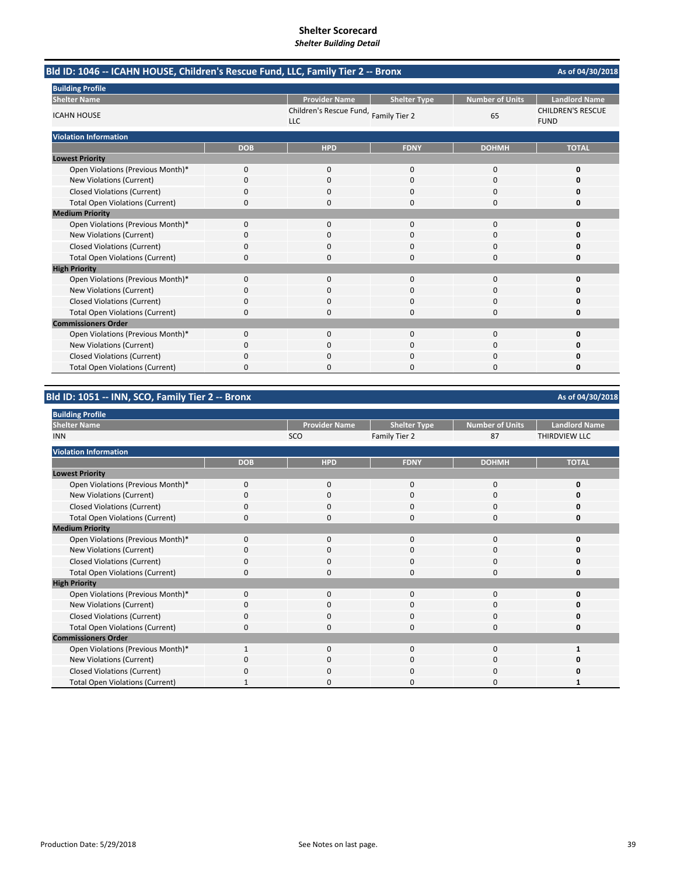| Bld ID: 1046 -- ICAHN HOUSE, Children's Rescue Fund, LLC, Family Tier 2 -- Bronx |            |                                                     |                     |                        | As of 04/30/2018                        |
|----------------------------------------------------------------------------------|------------|-----------------------------------------------------|---------------------|------------------------|-----------------------------------------|
| <b>Building Profile</b>                                                          |            |                                                     |                     |                        |                                         |
| <b>Shelter Name</b>                                                              |            | <b>Provider Name</b>                                | <b>Shelter Type</b> | <b>Number of Units</b> | <b>Landlord Name</b>                    |
| <b>ICAHN HOUSE</b>                                                               |            | Children's Rescue Fund, Family Tier 2<br><b>LLC</b> |                     | 65                     | <b>CHILDREN'S RESCUE</b><br><b>FUND</b> |
| <b>Violation Information</b>                                                     |            |                                                     |                     |                        |                                         |
|                                                                                  | <b>DOB</b> | <b>HPD</b>                                          | <b>FDNY</b>         | <b>DOHMH</b>           | <b>TOTAL</b>                            |
| <b>Lowest Priority</b>                                                           |            |                                                     |                     |                        |                                         |
| Open Violations (Previous Month)*                                                | 0          | 0                                                   | $\mathbf{0}$        | $\mathbf 0$            | 0                                       |
| New Violations (Current)                                                         | 0          | $\Omega$                                            | $\Omega$            | $\Omega$               | O                                       |
| <b>Closed Violations (Current)</b>                                               | 0          | <sup>0</sup>                                        | O                   | <sup>0</sup>           | o                                       |
| <b>Total Open Violations (Current)</b>                                           | 0          | 0                                                   | $\Omega$            | 0                      | 0                                       |
| <b>Medium Priority</b>                                                           |            |                                                     |                     |                        |                                         |
| Open Violations (Previous Month)*                                                | 0          | 0                                                   | $\Omega$            | $\mathbf 0$            | 0                                       |
| New Violations (Current)                                                         | 0          | 0                                                   | 0                   | 0                      | O                                       |
| <b>Closed Violations (Current)</b>                                               | 0          | <sup>0</sup>                                        | $\Omega$            | $\Omega$               | n                                       |
| <b>Total Open Violations (Current)</b>                                           | $\Omega$   |                                                     | O                   | $\Omega$               | O                                       |
| <b>High Priority</b>                                                             |            |                                                     |                     |                        |                                         |
| Open Violations (Previous Month)*                                                | 0          | 0                                                   | $\mathbf{0}$        | $\mathbf 0$            | 0                                       |
| New Violations (Current)                                                         | $\Omega$   | $\Omega$                                            | $\Omega$            | $\Omega$               | o                                       |
| <b>Closed Violations (Current)</b>                                               | 0          | <sup>0</sup>                                        | O                   | 0                      | o                                       |
| <b>Total Open Violations (Current)</b>                                           | 0          | 0                                                   | 0                   | 0                      | 0                                       |
| <b>Commissioners Order</b>                                                       |            |                                                     |                     |                        |                                         |
| Open Violations (Previous Month)*                                                | 0          | 0                                                   | $\Omega$            | 0                      | 0                                       |
| New Violations (Current)                                                         | 0          | 0                                                   | $\Omega$            | $\Omega$               | o                                       |
| <b>Closed Violations (Current)</b>                                               | 0          | $\Omega$                                            | O                   | 0                      | 0                                       |
| <b>Total Open Violations (Current)</b>                                           | 0          |                                                     | O                   | $\Omega$               | O                                       |

# **Bld ID: 1051 ‐‐ INN, SCO, Family Tier 2 ‐‐ Bronx**

| <b>Building Profile</b>                |              |                      |                     |                 |                      |
|----------------------------------------|--------------|----------------------|---------------------|-----------------|----------------------|
| <b>Shelter Name</b>                    |              | <b>Provider Name</b> | <b>Shelter Type</b> | Number of Units | <b>Landlord Name</b> |
| <b>INN</b>                             |              | <b>SCO</b>           | Family Tier 2       | 87              | THIRDVIEW LLC        |
| <b>Violation Information</b>           |              |                      |                     |                 |                      |
|                                        | <b>DOB</b>   | <b>HPD</b>           | <b>FDNY</b>         | <b>DOHMH</b>    | <b>TOTAL</b>         |
| <b>Lowest Priority</b>                 |              |                      |                     |                 |                      |
| Open Violations (Previous Month)*      | $\mathbf{0}$ | $\mathbf 0$          | $\mathbf{0}$        | 0               | O                    |
| New Violations (Current)               | O            | 0                    | 0                   | 0               |                      |
| <b>Closed Violations (Current)</b>     | O            | $\mathbf{0}$         | $\Omega$            | 0               |                      |
| <b>Total Open Violations (Current)</b> | 0            | 0                    | 0                   | 0               | O                    |
| <b>Medium Priority</b>                 |              |                      |                     |                 |                      |
| Open Violations (Previous Month)*      | 0            | $\mathbf 0$          | $\Omega$            | $\Omega$        | ŋ                    |
| New Violations (Current)               | 0            | $\Omega$             | $\Omega$            | 0               |                      |
| <b>Closed Violations (Current)</b>     | 0            | 0                    | $\Omega$            | 0               | n                    |
| <b>Total Open Violations (Current)</b> | $\Omega$     | $\Omega$             | $\Omega$            | $\Omega$        | ŋ                    |
| <b>High Priority</b>                   |              |                      |                     |                 |                      |
| Open Violations (Previous Month)*      | $\Omega$     | 0                    | $\Omega$            | $\Omega$        |                      |
| New Violations (Current)               |              | 0                    | 0                   | 0               |                      |
| <b>Closed Violations (Current)</b>     | O            | $\Omega$             | $\Omega$            | 0               |                      |
| <b>Total Open Violations (Current)</b> |              | 0                    | O                   | C               |                      |
| <b>Commissioners Order</b>             |              |                      |                     |                 |                      |
| Open Violations (Previous Month)*      |              | $\Omega$             | $\Omega$            | $\Omega$        |                      |
| New Violations (Current)               | n            | $\Omega$             | 0                   | 0               |                      |
| <b>Closed Violations (Current)</b>     |              | $\Omega$             | $\Omega$            | O               |                      |
| <b>Total Open Violations (Current)</b> |              | ი                    | O                   | O               |                      |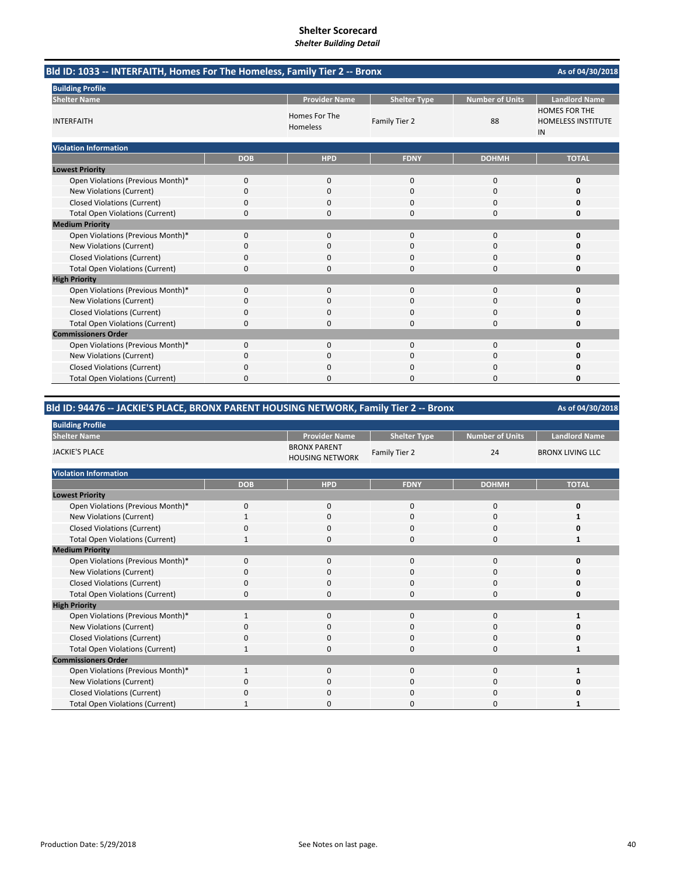# **Shelter Scorecard**

*Shelter Building Detail*

| Bld ID: 1033 -- INTERFAITH, Homes For The Homeless, Family Tier 2 -- Bronx |              |                           |                     |                        |                                                         |  |
|----------------------------------------------------------------------------|--------------|---------------------------|---------------------|------------------------|---------------------------------------------------------|--|
| <b>Building Profile</b>                                                    |              |                           |                     |                        |                                                         |  |
| <b>Shelter Name</b>                                                        |              | <b>Provider Name</b>      | <b>Shelter Type</b> | <b>Number of Units</b> | <b>Landlord Name</b>                                    |  |
| <b>INTERFAITH</b>                                                          |              | Homes For The<br>Homeless | Family Tier 2       | 88                     | <b>HOMES FOR THE</b><br><b>HOMELESS INSTITUTE</b><br>IN |  |
| <b>Violation Information</b>                                               |              |                           |                     |                        |                                                         |  |
|                                                                            | <b>DOB</b>   | <b>HPD</b>                | <b>FDNY</b>         | <b>DOHMH</b>           | <b>TOTAL</b>                                            |  |
| <b>Lowest Priority</b>                                                     |              |                           |                     |                        |                                                         |  |
| Open Violations (Previous Month)*                                          | $\mathbf{0}$ | 0                         | 0                   | 0                      | 0                                                       |  |
| <b>New Violations (Current)</b>                                            | 0            | 0                         | $\mathbf 0$         | 0                      | 0                                                       |  |
| <b>Closed Violations (Current)</b>                                         | 0            | 0                         | $\Omega$            | 0                      | 0                                                       |  |
| <b>Total Open Violations (Current)</b>                                     | 0            | 0                         | $\mathbf 0$         | 0                      | 0                                                       |  |
| <b>Medium Priority</b>                                                     |              |                           |                     |                        |                                                         |  |
| Open Violations (Previous Month)*                                          | $\mathbf{0}$ | $\mathbf{0}$              | $\mathbf 0$         | 0                      | 0                                                       |  |
| New Violations (Current)                                                   | 0            | $\Omega$                  | $\Omega$            | 0                      | O                                                       |  |
| <b>Closed Violations (Current)</b>                                         | 0            | 0                         | $\mathbf 0$         | 0                      | 0                                                       |  |
| <b>Total Open Violations (Current)</b>                                     | 0            | $\Omega$                  | $\Omega$            | 0                      | 0                                                       |  |
| <b>High Priority</b>                                                       |              |                           |                     |                        |                                                         |  |
| Open Violations (Previous Month)*                                          | $\mathbf{0}$ | $\mathbf{0}$              | $\mathbf 0$         | 0                      | 0                                                       |  |
| <b>New Violations (Current)</b>                                            | 0            | 0                         | $\Omega$            | 0                      | 0                                                       |  |
| <b>Closed Violations (Current)</b>                                         | 0            | 0                         | $\Omega$            | 0                      | 0                                                       |  |
| <b>Total Open Violations (Current)</b>                                     | 0            | 0                         | 0                   | 0                      | 0                                                       |  |
| <b>Commissioners Order</b>                                                 |              |                           |                     |                        |                                                         |  |
| Open Violations (Previous Month)*                                          | $\mathbf{0}$ | $\Omega$                  | $\Omega$            | 0                      | 0                                                       |  |
| New Violations (Current)                                                   | 0            | 0                         | $\mathbf 0$         | 0                      | 0                                                       |  |
| <b>Closed Violations (Current)</b>                                         | 0            | 0                         | $\mathbf 0$         | 0                      | Ω                                                       |  |
| <b>Total Open Violations (Current)</b>                                     | 0            | 0                         | $\Omega$            | $\Omega$               | 0                                                       |  |

## **Bld ID: 94476 ‐‐ JACKIE'S PLACE, BRONX PARENT HOUSING NETWORK, Family Tier 2 ‐‐ Bronx**

| <b>Building Profile</b>                |              |                                               |                     |                        |                         |  |  |  |
|----------------------------------------|--------------|-----------------------------------------------|---------------------|------------------------|-------------------------|--|--|--|
| <b>Shelter Name</b>                    |              | <b>Provider Name</b>                          | <b>Shelter Type</b> | <b>Number of Units</b> | <b>Landlord Name</b>    |  |  |  |
| <b>JACKIE'S PLACE</b>                  |              | <b>BRONX PARENT</b><br><b>HOUSING NETWORK</b> | Family Tier 2       | 24                     | <b>BRONX LIVING LLC</b> |  |  |  |
| <b>Violation Information</b>           |              |                                               |                     |                        |                         |  |  |  |
|                                        | <b>DOB</b>   | <b>HPD</b>                                    | <b>FDNY</b>         | <b>DOHMH</b>           | <b>TOTAL</b>            |  |  |  |
| <b>Lowest Priority</b>                 |              |                                               |                     |                        |                         |  |  |  |
| Open Violations (Previous Month)*      | 0            | 0                                             | 0                   | 0                      | 0                       |  |  |  |
| New Violations (Current)               | $\mathbf{1}$ | $\mathbf{0}$                                  | 0                   | 0                      |                         |  |  |  |
| <b>Closed Violations (Current)</b>     | 0            | 0                                             | 0                   | 0                      | ŋ                       |  |  |  |
| <b>Total Open Violations (Current)</b> | $\mathbf{1}$ | $\mathbf{0}$                                  | $\mathbf{0}$        | 0                      |                         |  |  |  |
| <b>Medium Priority</b>                 |              |                                               |                     |                        |                         |  |  |  |
| Open Violations (Previous Month)*      | $\Omega$     | 0                                             | 0                   | 0                      | ŋ                       |  |  |  |
| New Violations (Current)               | O            | 0                                             | 0                   | 0                      | Ω                       |  |  |  |
| <b>Closed Violations (Current)</b>     | 0            | $\mathbf{0}$                                  | $\mathbf{0}$        | 0                      | 0                       |  |  |  |
| <b>Total Open Violations (Current)</b> | 0            | $\mathbf 0$                                   | 0                   | 0                      | 0                       |  |  |  |
| <b>High Priority</b>                   |              |                                               |                     |                        |                         |  |  |  |
| Open Violations (Previous Month)*      | $\mathbf{1}$ | $\mathbf 0$                                   | $\mathbf{0}$        | 0                      |                         |  |  |  |
| New Violations (Current)               | O            | $\mathbf 0$                                   | 0                   | 0                      | Ω                       |  |  |  |
| <b>Closed Violations (Current)</b>     | 0            | 0                                             | 0                   | 0                      | ŋ                       |  |  |  |
| <b>Total Open Violations (Current)</b> |              | $\mathbf 0$                                   | 0                   | 0                      |                         |  |  |  |
| <b>Commissioners Order</b>             |              |                                               |                     |                        |                         |  |  |  |
| Open Violations (Previous Month)*      | $\mathbf{1}$ | $\mathbf{0}$                                  | $\mathbf{0}$        | 0                      |                         |  |  |  |
| New Violations (Current)               | O            | 0                                             | $\Omega$            | 0                      | ŋ                       |  |  |  |
| <b>Closed Violations (Current)</b>     | O            | 0                                             | 0                   | 0                      | 0                       |  |  |  |
| <b>Total Open Violations (Current)</b> |              | $\Omega$                                      | 0                   | 0                      |                         |  |  |  |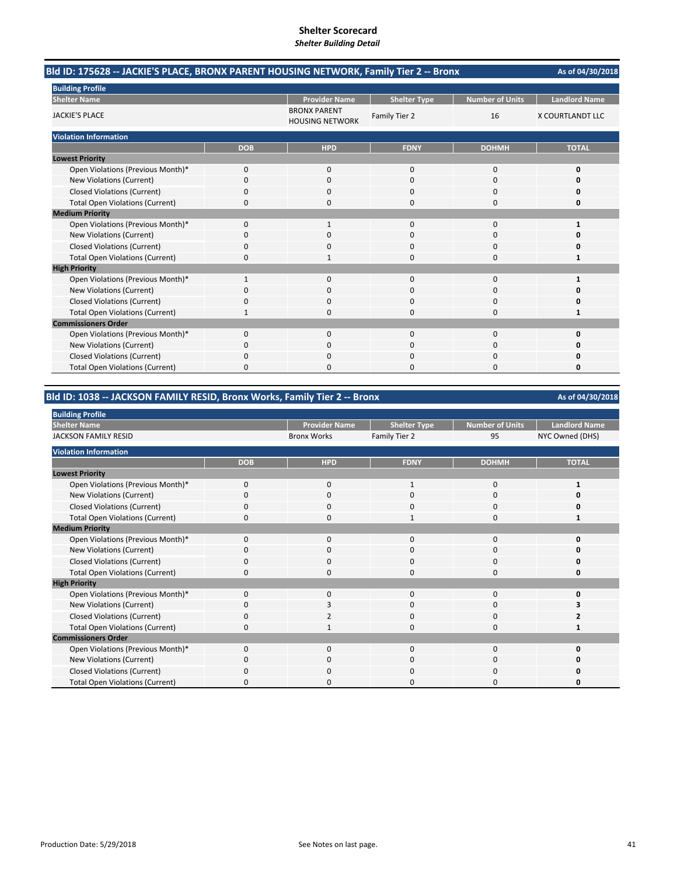|                                        | Bld ID: 175628 -- JACKIE'S PLACE, BRONX PARENT HOUSING NETWORK, Family Tier 2 -- Bronx<br>As of 04/30/2018<br><b>Landlord Name</b><br><b>Provider Name</b><br><b>Number of Units</b><br><b>Shelter Type</b><br><b>BRONX PARENT</b><br>Family Tier 2<br>16<br>X COURTLANDT LLC<br><b>HOUSING NETWORK</b><br><b>DOB</b><br><b>HPD</b><br><b>FDNY</b><br><b>DOHMH</b><br><b>TOTAL</b><br>0<br>$\mathbf{0}$<br>$\mathbf 0$<br>0<br>0<br>0<br>$\Omega$<br>$\Omega$<br>$\Omega$<br>O<br>0<br>0<br>0<br>0<br>0<br>0<br>0<br>0<br>0<br>0<br>$\Omega$<br>$\Omega$<br>0<br>$\mathbf{1}$<br>1<br>0<br>0<br>0<br>0<br>O |          |          |          |   |
|----------------------------------------|-------------------------------------------------------------------------------------------------------------------------------------------------------------------------------------------------------------------------------------------------------------------------------------------------------------------------------------------------------------------------------------------------------------------------------------------------------------------------------------------------------------------------------------------------------------------------------------------------------------|----------|----------|----------|---|
| <b>Building Profile</b>                |                                                                                                                                                                                                                                                                                                                                                                                                                                                                                                                                                                                                             |          |          |          |   |
| <b>Shelter Name</b>                    |                                                                                                                                                                                                                                                                                                                                                                                                                                                                                                                                                                                                             |          |          |          |   |
| <b>JACKIE'S PLACE</b>                  |                                                                                                                                                                                                                                                                                                                                                                                                                                                                                                                                                                                                             |          |          |          |   |
| <b>Violation Information</b>           |                                                                                                                                                                                                                                                                                                                                                                                                                                                                                                                                                                                                             |          |          |          |   |
|                                        |                                                                                                                                                                                                                                                                                                                                                                                                                                                                                                                                                                                                             |          |          |          |   |
| <b>Lowest Priority</b>                 |                                                                                                                                                                                                                                                                                                                                                                                                                                                                                                                                                                                                             |          |          |          |   |
| Open Violations (Previous Month)*      |                                                                                                                                                                                                                                                                                                                                                                                                                                                                                                                                                                                                             |          |          |          |   |
| New Violations (Current)               |                                                                                                                                                                                                                                                                                                                                                                                                                                                                                                                                                                                                             |          |          |          |   |
| <b>Closed Violations (Current)</b>     |                                                                                                                                                                                                                                                                                                                                                                                                                                                                                                                                                                                                             |          |          |          |   |
| <b>Total Open Violations (Current)</b> |                                                                                                                                                                                                                                                                                                                                                                                                                                                                                                                                                                                                             |          |          |          |   |
| <b>Medium Priority</b>                 |                                                                                                                                                                                                                                                                                                                                                                                                                                                                                                                                                                                                             |          |          |          |   |
| Open Violations (Previous Month)*      |                                                                                                                                                                                                                                                                                                                                                                                                                                                                                                                                                                                                             |          |          |          |   |
| New Violations (Current)               |                                                                                                                                                                                                                                                                                                                                                                                                                                                                                                                                                                                                             |          |          |          |   |
| <b>Closed Violations (Current)</b>     | 0                                                                                                                                                                                                                                                                                                                                                                                                                                                                                                                                                                                                           | 0        | 0        | 0        | 0 |
| <b>Total Open Violations (Current)</b> | $\Omega$                                                                                                                                                                                                                                                                                                                                                                                                                                                                                                                                                                                                    |          | $\Omega$ | 0        | 1 |
| <b>High Priority</b>                   |                                                                                                                                                                                                                                                                                                                                                                                                                                                                                                                                                                                                             |          |          |          |   |
| Open Violations (Previous Month)*      | 1                                                                                                                                                                                                                                                                                                                                                                                                                                                                                                                                                                                                           | $\Omega$ | 0        | $\Omega$ | 1 |
| New Violations (Current)               | 0                                                                                                                                                                                                                                                                                                                                                                                                                                                                                                                                                                                                           | 0        | $\Omega$ | 0        |   |
| <b>Closed Violations (Current)</b>     | 0                                                                                                                                                                                                                                                                                                                                                                                                                                                                                                                                                                                                           | $\Omega$ | $\Omega$ | 0        | 0 |
| <b>Total Open Violations (Current)</b> | 1                                                                                                                                                                                                                                                                                                                                                                                                                                                                                                                                                                                                           | 0        | $\Omega$ | 0        | 1 |
| <b>Commissioners Order</b>             |                                                                                                                                                                                                                                                                                                                                                                                                                                                                                                                                                                                                             |          |          |          |   |
| Open Violations (Previous Month)*      | 0                                                                                                                                                                                                                                                                                                                                                                                                                                                                                                                                                                                                           | $\Omega$ | $\Omega$ | $\Omega$ | O |
| New Violations (Current)               | 0                                                                                                                                                                                                                                                                                                                                                                                                                                                                                                                                                                                                           | 0        | ი        | 0        |   |
| <b>Closed Violations (Current)</b>     | 0                                                                                                                                                                                                                                                                                                                                                                                                                                                                                                                                                                                                           | O        | $\Omega$ | 0        | O |
| <b>Total Open Violations (Current)</b> | 0                                                                                                                                                                                                                                                                                                                                                                                                                                                                                                                                                                                                           | n        | $\Omega$ | O        | O |

### **Bld ID: 1038 ‐‐ JACKSON FAMILY RESID, Bronx Works, Family Tier 2 ‐‐ Bronx**

**Provider Name | Shelter Type | Number of Units | Landlord Name** Bronx Works Family Tier 2 95 NYC Owned (DHS) **DOB HPD FDNY DOHMH TOTAL** Open Violations (Previous Month)\* 0 0 0 1 1 0 1 New Violations (Current) **0** 0000 **0** 0000 **0** 0000 **0** Closed Violations (Current) **0**<br>
Total Open Violations (Current) **0** 0<br>
1 0<br>
1 0<br>
1 Total Open Violations (Current) **0** 0000 **1** 0000 **1** Open Violations (Previous Month)\* 0000 **0** New Violations (Current) 0000 **0** Closed Violations (Current) **0**<br>
Total Open Violations (Current) **0** 0<br>
0<br>
0<br>
0<br>
0<br>
0<br>
0<br>
0<br>
0 Total Open Violations (Current) 0000 **0** Open Violations (Previous Month)\* 0000 **0 New Violations (Current)** Closed Violations (Current) 0200 **2** Total Open Violations (Current) 0100 **1** Open Violations (Previous Month)\* 0000 **0** New Violations (Current) **0** 0000 **0** 0000 **0** Closed Violations (Current) 0000 **0** Total Open Violations (Current) 0000 **0 Building Profile Shelter Name Medium Priority High Priority Commissioners Order Violation Information Lowest Priority** JACKSON FAMILY RESID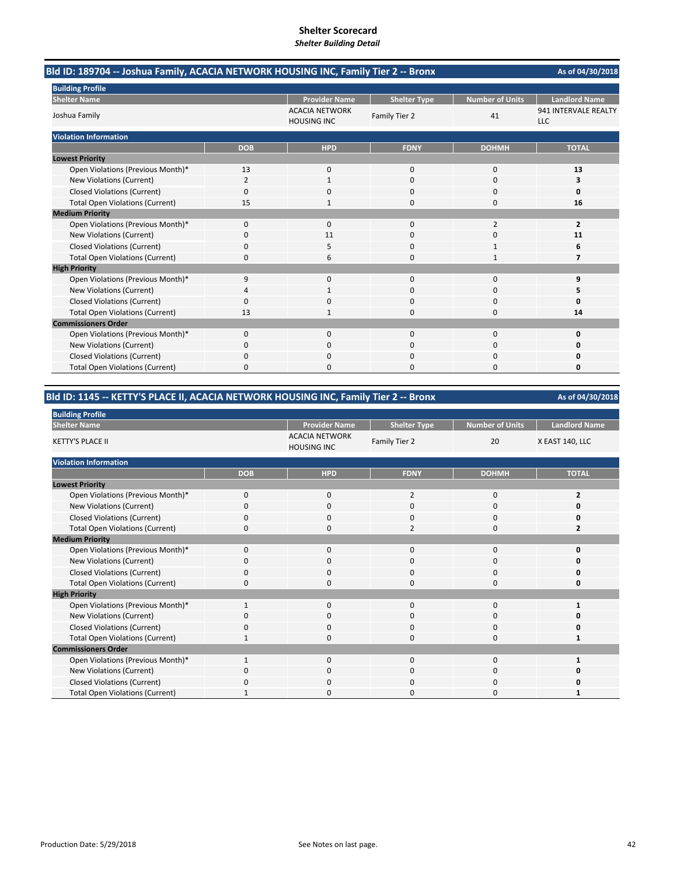| Bld ID: 189704 -- Joshua Family, ACACIA NETWORK HOUSING INC, Family Tier 2 -- Bronx |                |                                             |                     |                        | As of 04/30/2018                   |
|-------------------------------------------------------------------------------------|----------------|---------------------------------------------|---------------------|------------------------|------------------------------------|
| <b>Building Profile</b>                                                             |                |                                             |                     |                        |                                    |
| <b>Shelter Name</b>                                                                 |                | <b>Provider Name</b>                        | <b>Shelter Type</b> | <b>Number of Units</b> | <b>Landlord Name</b>               |
| Joshua Family                                                                       |                | <b>ACACIA NETWORK</b><br><b>HOUSING INC</b> | Family Tier 2       | 41                     | 941 INTERVALE REALTY<br><b>LLC</b> |
| <b>Violation Information</b>                                                        |                |                                             |                     |                        |                                    |
|                                                                                     | <b>DOB</b>     | <b>HPD</b>                                  | <b>FDNY</b>         | <b>DOHMH</b>           | <b>TOTAL</b>                       |
| <b>Lowest Priority</b>                                                              |                |                                             |                     |                        |                                    |
| Open Violations (Previous Month)*                                                   | 13             | 0                                           | $\mathbf{0}$        | $\mathbf 0$            | 13                                 |
| New Violations (Current)                                                            | $\overline{2}$ | 1                                           | $\Omega$            | $\Omega$               | з                                  |
| <b>Closed Violations (Current)</b>                                                  | 0              | $\Omega$                                    | 0                   | $\Omega$               | 0                                  |
| <b>Total Open Violations (Current)</b>                                              | 15             |                                             | 0                   | 0                      | 16                                 |
| <b>Medium Priority</b>                                                              |                |                                             |                     |                        |                                    |
| Open Violations (Previous Month)*                                                   | 0              | 0                                           | $\Omega$            | $\overline{2}$         | $\overline{2}$                     |
| New Violations (Current)                                                            | 0              | 11                                          | 0                   | 0                      | 11                                 |
| <b>Closed Violations (Current)</b>                                                  | 0              | 5                                           | $\Omega$            | $\mathbf{1}$           | 6                                  |
| <b>Total Open Violations (Current)</b>                                              | $\Omega$       | 6                                           | O                   | $\mathbf{1}$           | $\overline{7}$                     |
| <b>High Priority</b>                                                                |                |                                             |                     |                        |                                    |
| Open Violations (Previous Month)*                                                   | 9              | 0                                           | $\Omega$            | $\Omega$               | 9                                  |
| <b>New Violations (Current)</b>                                                     | 4              |                                             | $\Omega$            | 0                      | 5                                  |
| <b>Closed Violations (Current)</b>                                                  | 0              | ŋ                                           | 0                   | $\Omega$               | $\Omega$                           |
| <b>Total Open Violations (Current)</b>                                              | 13             | 1                                           | 0                   | $\Omega$               | 14                                 |
| <b>Commissioners Order</b>                                                          |                |                                             |                     |                        |                                    |
| Open Violations (Previous Month)*                                                   | 0              | $\Omega$                                    | $\Omega$            | $\Omega$               | 0                                  |
| <b>New Violations (Current)</b>                                                     | 0              | 0                                           | 0                   | 0                      | Ω                                  |
| <b>Closed Violations (Current)</b>                                                  | 0              | <sup>0</sup>                                | O                   | $\Omega$               | n                                  |
| <b>Total Open Violations (Current)</b>                                              | 0              | O                                           | n                   | $\Omega$               | 0                                  |

### **Bld ID: 1145 ‐‐ KETTY'S PLACE II, ACACIA NETWORK HOUSING INC, Family Tier 2 ‐‐ Bronx**

| <b>Building Profile</b>                |             |                                             |                     |                        |                      |
|----------------------------------------|-------------|---------------------------------------------|---------------------|------------------------|----------------------|
| <b>Shelter Name</b>                    |             | <b>Provider Name</b>                        | <b>Shelter Type</b> | <b>Number of Units</b> | <b>Landlord Name</b> |
| <b>KETTY'S PLACE II</b>                |             | <b>ACACIA NETWORK</b><br><b>HOUSING INC</b> | Family Tier 2       | 20                     | X EAST 140, LLC      |
| <b>Violation Information</b>           |             |                                             |                     |                        |                      |
|                                        | <b>DOB</b>  | <b>HPD</b>                                  | <b>FDNY</b>         | <b>DOHMH</b>           | <b>TOTAL</b>         |
| <b>Lowest Priority</b>                 |             |                                             |                     |                        |                      |
| Open Violations (Previous Month)*      | $\mathbf 0$ | $\mathbf 0$                                 | $\overline{2}$      | 0                      | $\overline{2}$       |
| New Violations (Current)               | O           | $\mathbf 0$                                 | 0                   | 0                      |                      |
| <b>Closed Violations (Current)</b>     | 0           | $\mathbf 0$                                 | $\mathbf{0}$        | 0                      | n                    |
| <b>Total Open Violations (Current)</b> | $\Omega$    | $\mathbf 0$                                 | $\overline{2}$      | $\Omega$               | 2                    |
| <b>Medium Priority</b>                 |             |                                             |                     |                        |                      |
| Open Violations (Previous Month)*      | $\Omega$    | 0                                           | $\Omega$            | $\Omega$               | O                    |
| New Violations (Current)               | O           | 0                                           | 0                   | 0                      | o                    |
| <b>Closed Violations (Current)</b>     | 0           | $\mathbf 0$                                 | $\mathbf{0}$        | 0                      | O                    |
| <b>Total Open Violations (Current)</b> | $\Omega$    | $\Omega$                                    | $\mathbf{0}$        | $\Omega$               | 0                    |
| <b>High Priority</b>                   |             |                                             |                     |                        |                      |
| Open Violations (Previous Month)*      |             | 0                                           | $\mathbf{0}$        | $\mathbf{0}$           |                      |
| New Violations (Current)               | O           | $\mathbf 0$                                 | 0                   | 0                      | n                    |
| <b>Closed Violations (Current)</b>     | $\Omega$    | $\mathbf 0$                                 | 0                   | 0                      | O                    |
| <b>Total Open Violations (Current)</b> |             | $\mathbf 0$                                 | $\mathbf{0}$        | 0                      |                      |
| <b>Commissioners Order</b>             |             |                                             |                     |                        |                      |
| Open Violations (Previous Month)*      |             | $\Omega$                                    | $\Omega$            | $\Omega$               |                      |
| New Violations (Current)               | 0           | $\mathbf 0$                                 | 0                   | 0                      | o                    |
| <b>Closed Violations (Current)</b>     | 0           | $\mathbf 0$                                 | $\Omega$            | 0                      |                      |
| <b>Total Open Violations (Current)</b> |             | O                                           | 0                   | $\Omega$               |                      |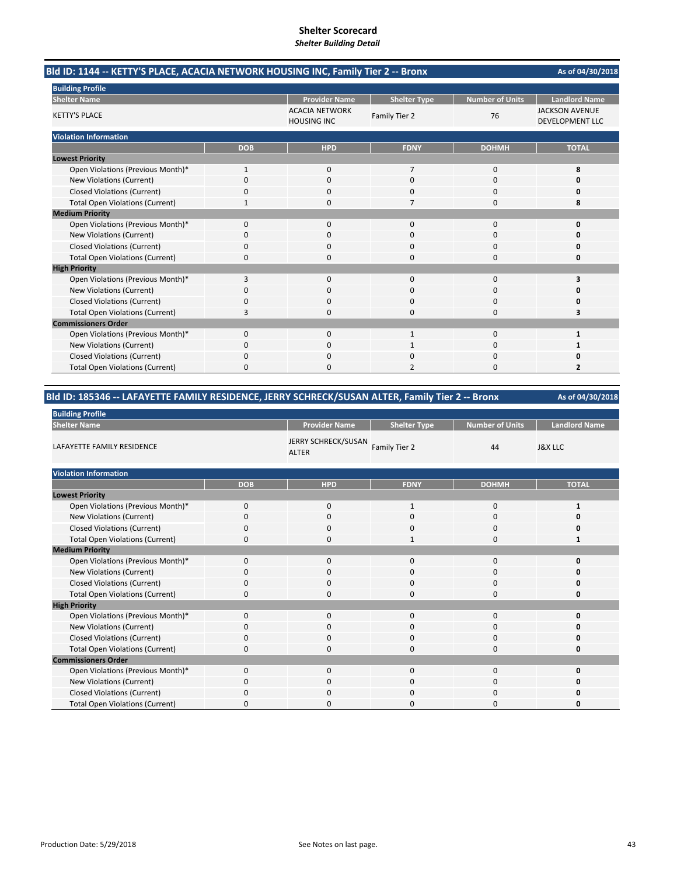| Bld ID: 1144 -- KETTY'S PLACE, ACACIA NETWORK HOUSING INC, Family Tier 2 -- Bronx |            |                                             |                     |                        | As of 04/30/2018                                |
|-----------------------------------------------------------------------------------|------------|---------------------------------------------|---------------------|------------------------|-------------------------------------------------|
| <b>Building Profile</b>                                                           |            |                                             |                     |                        |                                                 |
| <b>Shelter Name</b>                                                               |            | <b>Provider Name</b>                        | <b>Shelter Type</b> | <b>Number of Units</b> | <b>Landlord Name</b>                            |
| <b>KETTY'S PLACE</b>                                                              |            | <b>ACACIA NETWORK</b><br><b>HOUSING INC</b> | Family Tier 2       | 76                     | <b>JACKSON AVENUE</b><br><b>DEVELOPMENT LLC</b> |
| <b>Violation Information</b>                                                      |            |                                             |                     |                        |                                                 |
|                                                                                   | <b>DOB</b> | <b>HPD</b>                                  | <b>FDNY</b>         | <b>DOHMH</b>           | <b>TOTAL</b>                                    |
| <b>Lowest Priority</b>                                                            |            |                                             |                     |                        |                                                 |
| Open Violations (Previous Month)*                                                 | 1          | 0                                           | $\overline{7}$      | 0                      | 8                                               |
| <b>New Violations (Current)</b>                                                   | $\Omega$   | $\Omega$                                    | $\Omega$            | $\Omega$               | o                                               |
| <b>Closed Violations (Current)</b>                                                | 0          | <sup>0</sup>                                | O                   | $\Omega$               | O                                               |
| <b>Total Open Violations (Current)</b>                                            | 1          | 0                                           | 7                   | 0                      | 8                                               |
| <b>Medium Priority</b>                                                            |            |                                             |                     |                        |                                                 |
| Open Violations (Previous Month)*                                                 | $\Omega$   | $\Omega$                                    | $\Omega$            | $\Omega$               | 0                                               |
| New Violations (Current)                                                          | 0          | $\Omega$                                    | $\Omega$            | $\Omega$               | n                                               |
| <b>Closed Violations (Current)</b>                                                | 0          | $\Omega$                                    | 0                   | $\Omega$               | o                                               |
| <b>Total Open Violations (Current)</b>                                            | 0          | 0                                           | O                   | $\Omega$               | 0                                               |
| <b>High Priority</b>                                                              |            |                                             |                     |                        |                                                 |
| Open Violations (Previous Month)*                                                 | 3          | $\Omega$                                    | $\Omega$            | $\Omega$               | 3                                               |
| New Violations (Current)                                                          | 0          | $\Omega$                                    | 0                   | $\Omega$               | o                                               |
| <b>Closed Violations (Current)</b>                                                | 0          | 0                                           | O                   | 0                      | o                                               |
| <b>Total Open Violations (Current)</b>                                            | 3          | 0                                           | $\Omega$            | $\Omega$               | 3                                               |
| <b>Commissioners Order</b>                                                        |            |                                             |                     |                        |                                                 |
| Open Violations (Previous Month)*                                                 | 0          | $\Omega$                                    | $\mathbf{1}$        | $\Omega$               | 1                                               |
| New Violations (Current)                                                          | 0          | $\Omega$                                    | $\mathbf{1}$        | $\Omega$               |                                                 |
| <b>Closed Violations (Current)</b>                                                | 0          | ŋ                                           | O                   | 0                      | n                                               |
| <b>Total Open Violations (Current)</b>                                            | U          |                                             |                     | <sup>0</sup>           | 2                                               |

### **Bld ID: 185346 ‐‐ LAFAYETTE FAMILY RESIDENCE, JERRY SCHRECK/SUSAN ALTER, Family Tier 2 ‐‐ Bronx**

| <b>Building Profile</b>                |             |                                     |                     |                        |                      |
|----------------------------------------|-------------|-------------------------------------|---------------------|------------------------|----------------------|
| <b>Shelter Name</b>                    |             | <b>Provider Name</b>                | <b>Shelter Type</b> | <b>Number of Units</b> | <b>Landlord Name</b> |
| LAFAYETTE FAMILY RESIDENCE             |             | JERRY SCHRECK/SUSAN<br><b>ALTER</b> | Family Tier 2       | 44                     | <b>J&amp;X LLC</b>   |
| <b>Violation Information</b>           |             |                                     |                     |                        |                      |
|                                        | <b>DOB</b>  | <b>HPD</b>                          | <b>FDNY</b>         | <b>DOHMH</b>           | <b>TOTAL</b>         |
| <b>Lowest Priority</b>                 |             |                                     |                     |                        |                      |
| Open Violations (Previous Month)*      | $\mathbf 0$ | $\mathbf 0$                         | $\mathbf{1}$        | $\mathbf 0$            | 1                    |
| New Violations (Current)               | $\mathbf 0$ | $\mathbf 0$                         | $\mathbf 0$         | $\mathbf 0$            | O                    |
| <b>Closed Violations (Current)</b>     | $\Omega$    | 0                                   | 0                   | 0                      | 0                    |
| <b>Total Open Violations (Current)</b> | $\mathbf 0$ | $\mathbf 0$                         | $\mathbf{1}$        | $\mathbf 0$            | $\mathbf{1}$         |
| <b>Medium Priority</b>                 |             |                                     |                     |                        |                      |
| Open Violations (Previous Month)*      | 0           | $\mathbf 0$                         | 0                   | 0                      | 0                    |
| New Violations (Current)               | $\Omega$    | $\mathbf 0$                         | $\mathbf 0$         | 0                      | O                    |
| <b>Closed Violations (Current)</b>     | $\Omega$    | $\mathbf 0$                         | 0                   | 0                      | 0                    |
| <b>Total Open Violations (Current)</b> | $\mathbf 0$ | 0                                   | $\mathbf 0$         | 0                      | 0                    |
| <b>High Priority</b>                   |             |                                     |                     |                        |                      |
| Open Violations (Previous Month)*      | $\Omega$    | $\mathbf 0$                         | 0                   | 0                      | 0                    |
| New Violations (Current)               | $\mathbf 0$ | $\mathbf 0$                         | $\mathbf 0$         | 0                      | O                    |
| <b>Closed Violations (Current)</b>     | $\Omega$    | $\mathbf 0$                         | $\mathbf 0$         | 0                      | 0                    |
| <b>Total Open Violations (Current)</b> | $\mathbf 0$ | $\mathbf 0$                         | 0                   | 0                      | 0                    |
| <b>Commissioners Order</b>             |             |                                     |                     |                        |                      |
| Open Violations (Previous Month)*      | $\Omega$    | 0                                   | 0                   | 0                      | 0                    |
| New Violations (Current)               | $\Omega$    | $\mathbf 0$                         | 0                   | 0                      | 0                    |
| <b>Closed Violations (Current)</b>     | $\Omega$    | $\mathbf 0$                         | 0                   | 0                      | 0                    |
| <b>Total Open Violations (Current)</b> | $\Omega$    | O                                   | 0                   | $\Omega$               | O                    |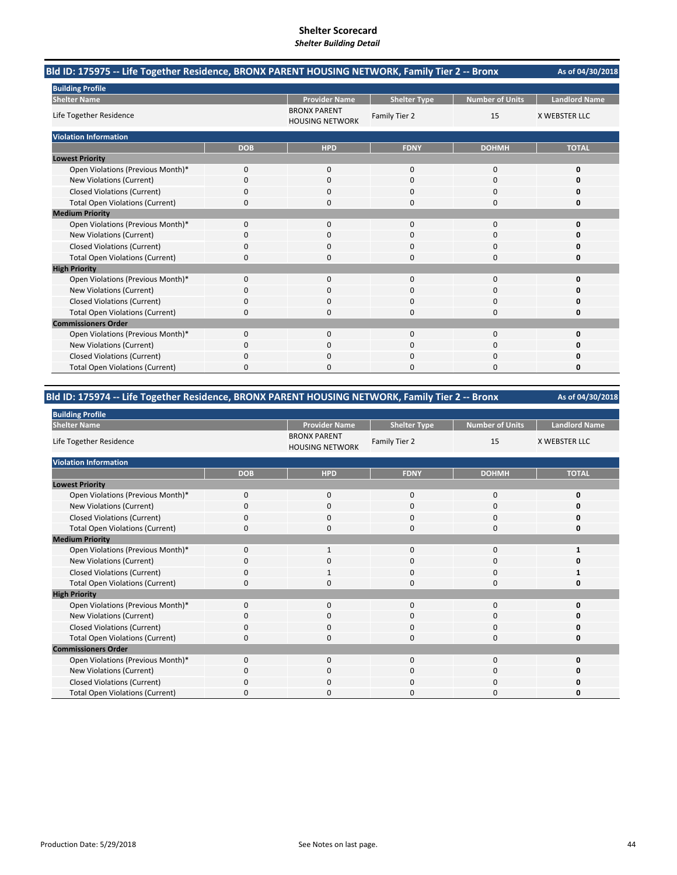| Bld ID: 175975 -- Life Together Residence, BRONX PARENT HOUSING NETWORK, Family Tier 2 -- Bronx |            |                                               |                     | As of 04/30/2018<br><b>Number of Units</b><br><b>Landlord Name</b><br>15<br><b>X WEBSTER LLC</b><br><b>DOHMH</b><br><b>TOTAL</b><br>$\Omega$<br>$\Omega$<br>0<br>$\Omega$<br>$\Omega$<br>O<br>0<br>0<br>0<br>0<br>$\Omega$<br>0<br>$\Omega$<br>$\Omega$<br>$\Omega$<br>0<br>0<br>n<br>$\Omega$<br>$\Omega$<br>0<br>O<br>$\Omega$<br>O<br>$\Omega$<br>$\Omega$<br>0<br>$\Omega$<br>$\Omega$<br>n<br>0<br>$\Omega$<br>0<br>$\Omega$<br>$\Omega$<br>0<br>$\Omega$<br>0<br>O<br>0<br>0<br>n<br>$\Omega$<br>$\Omega$<br>O<br>O<br>$\Omega$<br>0 |  |
|-------------------------------------------------------------------------------------------------|------------|-----------------------------------------------|---------------------|--------------------------------------------------------------------------------------------------------------------------------------------------------------------------------------------------------------------------------------------------------------------------------------------------------------------------------------------------------------------------------------------------------------------------------------------------------------------------------------------------------------------------------------------|--|
| <b>Building Profile</b>                                                                         |            |                                               |                     |                                                                                                                                                                                                                                                                                                                                                                                                                                                                                                                                            |  |
| <b>Shelter Name</b>                                                                             |            | <b>Provider Name</b>                          | <b>Shelter Type</b> |                                                                                                                                                                                                                                                                                                                                                                                                                                                                                                                                            |  |
| Life Together Residence                                                                         |            | <b>BRONX PARENT</b><br><b>HOUSING NETWORK</b> | Family Tier 2       |                                                                                                                                                                                                                                                                                                                                                                                                                                                                                                                                            |  |
| <b>Violation Information</b>                                                                    |            |                                               |                     |                                                                                                                                                                                                                                                                                                                                                                                                                                                                                                                                            |  |
|                                                                                                 | <b>DOB</b> | <b>HPD</b>                                    | <b>FDNY</b>         |                                                                                                                                                                                                                                                                                                                                                                                                                                                                                                                                            |  |
| <b>Lowest Priority</b>                                                                          |            |                                               |                     |                                                                                                                                                                                                                                                                                                                                                                                                                                                                                                                                            |  |
| Open Violations (Previous Month)*                                                               | 0          | $\Omega$                                      |                     |                                                                                                                                                                                                                                                                                                                                                                                                                                                                                                                                            |  |
| New Violations (Current)                                                                        | $\Omega$   | $\Omega$                                      |                     |                                                                                                                                                                                                                                                                                                                                                                                                                                                                                                                                            |  |
| <b>Closed Violations (Current)</b>                                                              | 0          | 0                                             |                     |                                                                                                                                                                                                                                                                                                                                                                                                                                                                                                                                            |  |
| <b>Total Open Violations (Current)</b>                                                          | 0          | 0                                             |                     |                                                                                                                                                                                                                                                                                                                                                                                                                                                                                                                                            |  |
| <b>Medium Priority</b>                                                                          |            |                                               |                     |                                                                                                                                                                                                                                                                                                                                                                                                                                                                                                                                            |  |
| Open Violations (Previous Month)*                                                               | $\Omega$   | $\Omega$                                      |                     |                                                                                                                                                                                                                                                                                                                                                                                                                                                                                                                                            |  |
| New Violations (Current)                                                                        | 0          | 0                                             |                     |                                                                                                                                                                                                                                                                                                                                                                                                                                                                                                                                            |  |
| <b>Closed Violations (Current)</b>                                                              | 0          | $\Omega$                                      |                     |                                                                                                                                                                                                                                                                                                                                                                                                                                                                                                                                            |  |
| <b>Total Open Violations (Current)</b>                                                          | $\Omega$   | O                                             |                     |                                                                                                                                                                                                                                                                                                                                                                                                                                                                                                                                            |  |
| <b>High Priority</b>                                                                            |            |                                               |                     |                                                                                                                                                                                                                                                                                                                                                                                                                                                                                                                                            |  |
| Open Violations (Previous Month)*                                                               | 0          | $\Omega$                                      |                     |                                                                                                                                                                                                                                                                                                                                                                                                                                                                                                                                            |  |
| New Violations (Current)                                                                        | 0          | $\Omega$                                      |                     |                                                                                                                                                                                                                                                                                                                                                                                                                                                                                                                                            |  |
| <b>Closed Violations (Current)</b>                                                              | 0          | 0                                             |                     |                                                                                                                                                                                                                                                                                                                                                                                                                                                                                                                                            |  |
| <b>Total Open Violations (Current)</b>                                                          | 0          | 0                                             |                     |                                                                                                                                                                                                                                                                                                                                                                                                                                                                                                                                            |  |
| <b>Commissioners Order</b>                                                                      |            |                                               |                     |                                                                                                                                                                                                                                                                                                                                                                                                                                                                                                                                            |  |
| Open Violations (Previous Month)*                                                               | 0          | 0                                             |                     |                                                                                                                                                                                                                                                                                                                                                                                                                                                                                                                                            |  |
| New Violations (Current)                                                                        | 0          | 0                                             |                     |                                                                                                                                                                                                                                                                                                                                                                                                                                                                                                                                            |  |
| <b>Closed Violations (Current)</b>                                                              | 0          | $\Omega$                                      |                     |                                                                                                                                                                                                                                                                                                                                                                                                                                                                                                                                            |  |
| <b>Total Open Violations (Current)</b>                                                          | 0          | O                                             |                     |                                                                                                                                                                                                                                                                                                                                                                                                                                                                                                                                            |  |

### **Bld ID: 175974 ‐‐ Life Together Residence, BRONX PARENT HOUSING NETWORK, Family Tier 2 ‐‐ Bronx**

| <b>Building Profile</b>                |             |                                               |                     |                        |                      |
|----------------------------------------|-------------|-----------------------------------------------|---------------------|------------------------|----------------------|
| <b>Shelter Name</b>                    |             | <b>Provider Name</b>                          | <b>Shelter Type</b> | <b>Number of Units</b> | <b>Landlord Name</b> |
| Life Together Residence                |             | <b>BRONX PARENT</b><br><b>HOUSING NETWORK</b> | Family Tier 2       | 15                     | <b>X WEBSTER LLC</b> |
| <b>Violation Information</b>           |             |                                               |                     |                        |                      |
|                                        | <b>DOB</b>  | <b>HPD</b>                                    | <b>FDNY</b>         | <b>DOHMH</b>           | <b>TOTAL</b>         |
| <b>Lowest Priority</b>                 |             |                                               |                     |                        |                      |
| Open Violations (Previous Month)*      | $\mathbf 0$ | $\mathbf 0$                                   | 0                   | 0                      | 0                    |
| New Violations (Current)               | O           | 0                                             | $\Omega$            | $\Omega$               | o                    |
| <b>Closed Violations (Current)</b>     | 0           | $\mathbf 0$                                   | $\mathbf 0$         | 0                      | 0                    |
| <b>Total Open Violations (Current)</b> | $\Omega$    | $\mathbf 0$                                   | $\mathbf 0$         | 0                      | O                    |
| <b>Medium Priority</b>                 |             |                                               |                     |                        |                      |
| Open Violations (Previous Month)*      | $\Omega$    |                                               | 0                   | 0                      |                      |
| New Violations (Current)               | O           | 0                                             | 0                   | 0                      |                      |
| <b>Closed Violations (Current)</b>     | 0           | 1                                             | 0                   | 0                      |                      |
| <b>Total Open Violations (Current)</b> | $\Omega$    | $\Omega$                                      | $\mathbf 0$         | 0                      | Ω                    |
| <b>High Priority</b>                   |             |                                               |                     |                        |                      |
| Open Violations (Previous Month)*      | $\Omega$    | $\mathbf 0$                                   | $\mathbf{0}$        | 0                      | O                    |
| New Violations (Current)               | 0           | $\Omega$                                      | $\Omega$            | $\Omega$               | n                    |
| <b>Closed Violations (Current)</b>     | $\Omega$    | $\mathbf 0$                                   | $\Omega$            | 0                      | O                    |
| <b>Total Open Violations (Current)</b> | $\Omega$    | $\Omega$                                      | $\mathbf{0}$        | $\Omega$               | 0                    |
| <b>Commissioners Order</b>             |             |                                               |                     |                        |                      |
| Open Violations (Previous Month)*      | $\Omega$    | $\Omega$                                      | $\Omega$            | $\Omega$               | 0                    |
| New Violations (Current)               | $\Omega$    | $\mathbf 0$                                   | 0                   | 0                      | O                    |
| <b>Closed Violations (Current)</b>     | $\Omega$    | $\mathbf 0$                                   | $\Omega$            | $\Omega$               |                      |
| <b>Total Open Violations (Current)</b> |             | O                                             | ი                   | $\Omega$               | O                    |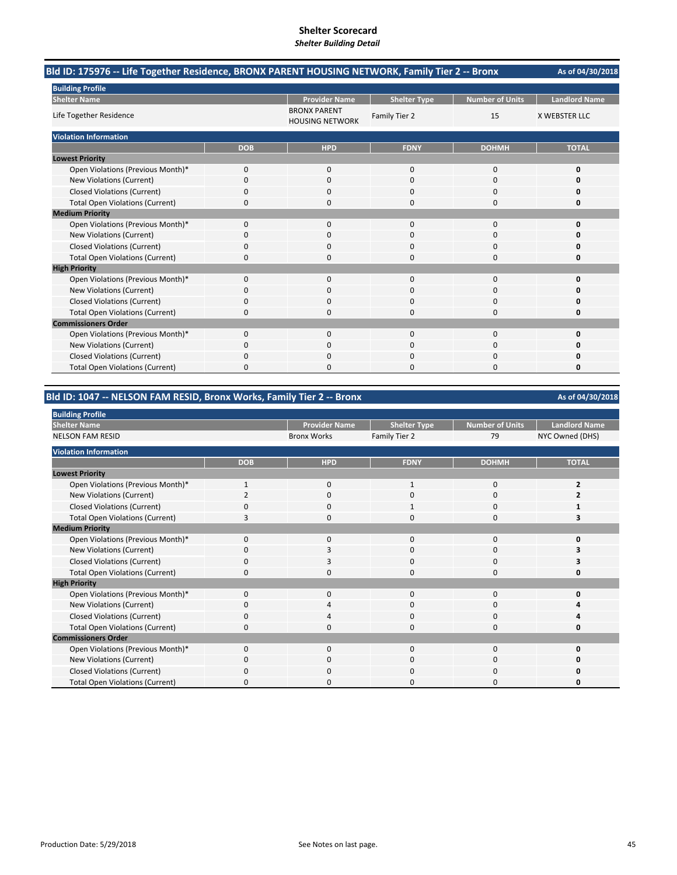|                                        |            |                                               | Bld ID: 175976 -- Life Together Residence, BRONX PARENT HOUSING NETWORK, Family Tier 2 -- Bronx<br>As of 04/30/2018<br><b>Landlord Name</b><br><b>Number of Units</b><br><b>Shelter Type</b><br>Family Tier 2<br>15<br><b>X WEBSTER LLC</b><br><b>FDNY</b><br><b>TOTAL</b><br><b>DOHMH</b><br>$\Omega$<br>$\Omega$<br>0<br>$\Omega$<br>$\Omega$<br>O<br>$\Omega$<br>0<br>0<br>$\Omega$<br>$\Omega$<br>0<br>$\Omega$<br>$\Omega$<br>$\Omega$<br>0<br>0<br>n<br>$\Omega$<br>$\Omega$<br>Ω<br>$\Omega$<br>$\Omega$<br>O<br>$\Omega$<br>$\Omega$<br>0<br>$\Omega$<br>0<br>O<br>$\Omega$<br>0<br>0<br>$\Omega$<br>0<br>0<br>$\Omega$<br>$\Omega$<br>O<br>0<br>0<br>$\Omega$<br>$\Omega$<br>O<br>0<br>n<br>O |  |
|----------------------------------------|------------|-----------------------------------------------|--------------------------------------------------------------------------------------------------------------------------------------------------------------------------------------------------------------------------------------------------------------------------------------------------------------------------------------------------------------------------------------------------------------------------------------------------------------------------------------------------------------------------------------------------------------------------------------------------------------------------------------------------------------------------------------------------------|--|
| <b>Building Profile</b>                |            |                                               |                                                                                                                                                                                                                                                                                                                                                                                                                                                                                                                                                                                                                                                                                                        |  |
| <b>Shelter Name</b>                    |            | <b>Provider Name</b>                          |                                                                                                                                                                                                                                                                                                                                                                                                                                                                                                                                                                                                                                                                                                        |  |
| Life Together Residence                |            | <b>BRONX PARENT</b><br><b>HOUSING NETWORK</b> |                                                                                                                                                                                                                                                                                                                                                                                                                                                                                                                                                                                                                                                                                                        |  |
| <b>Violation Information</b>           |            |                                               |                                                                                                                                                                                                                                                                                                                                                                                                                                                                                                                                                                                                                                                                                                        |  |
|                                        | <b>DOB</b> | <b>HPD</b>                                    |                                                                                                                                                                                                                                                                                                                                                                                                                                                                                                                                                                                                                                                                                                        |  |
| <b>Lowest Priority</b>                 |            |                                               |                                                                                                                                                                                                                                                                                                                                                                                                                                                                                                                                                                                                                                                                                                        |  |
| Open Violations (Previous Month)*      | 0          | $\mathbf{0}$                                  |                                                                                                                                                                                                                                                                                                                                                                                                                                                                                                                                                                                                                                                                                                        |  |
| New Violations (Current)               | $\Omega$   | $\Omega$                                      |                                                                                                                                                                                                                                                                                                                                                                                                                                                                                                                                                                                                                                                                                                        |  |
| <b>Closed Violations (Current)</b>     | 0          | 0                                             |                                                                                                                                                                                                                                                                                                                                                                                                                                                                                                                                                                                                                                                                                                        |  |
| <b>Total Open Violations (Current)</b> | 0          | 0                                             |                                                                                                                                                                                                                                                                                                                                                                                                                                                                                                                                                                                                                                                                                                        |  |
| <b>Medium Priority</b>                 |            |                                               |                                                                                                                                                                                                                                                                                                                                                                                                                                                                                                                                                                                                                                                                                                        |  |
| Open Violations (Previous Month)*      | 0          | $\Omega$                                      |                                                                                                                                                                                                                                                                                                                                                                                                                                                                                                                                                                                                                                                                                                        |  |
| New Violations (Current)               | 0          | 0                                             |                                                                                                                                                                                                                                                                                                                                                                                                                                                                                                                                                                                                                                                                                                        |  |
| <b>Closed Violations (Current)</b>     | 0          | $\Omega$                                      |                                                                                                                                                                                                                                                                                                                                                                                                                                                                                                                                                                                                                                                                                                        |  |
| <b>Total Open Violations (Current)</b> | $\Omega$   | O                                             |                                                                                                                                                                                                                                                                                                                                                                                                                                                                                                                                                                                                                                                                                                        |  |
| <b>High Priority</b>                   |            |                                               |                                                                                                                                                                                                                                                                                                                                                                                                                                                                                                                                                                                                                                                                                                        |  |
| Open Violations (Previous Month)*      | 0          | $\Omega$                                      |                                                                                                                                                                                                                                                                                                                                                                                                                                                                                                                                                                                                                                                                                                        |  |
| New Violations (Current)               | 0          | $\Omega$                                      |                                                                                                                                                                                                                                                                                                                                                                                                                                                                                                                                                                                                                                                                                                        |  |
| <b>Closed Violations (Current)</b>     | 0          | $\Omega$                                      |                                                                                                                                                                                                                                                                                                                                                                                                                                                                                                                                                                                                                                                                                                        |  |
| <b>Total Open Violations (Current)</b> | 0          | 0                                             |                                                                                                                                                                                                                                                                                                                                                                                                                                                                                                                                                                                                                                                                                                        |  |
| <b>Commissioners Order</b>             |            |                                               |                                                                                                                                                                                                                                                                                                                                                                                                                                                                                                                                                                                                                                                                                                        |  |
| Open Violations (Previous Month)*      | 0          | $\Omega$                                      |                                                                                                                                                                                                                                                                                                                                                                                                                                                                                                                                                                                                                                                                                                        |  |
| New Violations (Current)               | 0          | 0                                             |                                                                                                                                                                                                                                                                                                                                                                                                                                                                                                                                                                                                                                                                                                        |  |
| <b>Closed Violations (Current)</b>     | 0          | $\Omega$                                      |                                                                                                                                                                                                                                                                                                                                                                                                                                                                                                                                                                                                                                                                                                        |  |
| <b>Total Open Violations (Current)</b> | 0          | n                                             |                                                                                                                                                                                                                                                                                                                                                                                                                                                                                                                                                                                                                                                                                                        |  |

### **Bld ID: 1047 ‐‐ NELSON FAM RESID, Bronx Works, Family Tier 2 ‐‐ Bronx**

| <b>Building Profile</b>                |            |                      |                     |                        |                      |
|----------------------------------------|------------|----------------------|---------------------|------------------------|----------------------|
| <b>Shelter Name</b>                    |            | <b>Provider Name</b> | <b>Shelter Type</b> | <b>Number of Units</b> | <b>Landlord Name</b> |
| <b>NELSON FAM RESID</b>                |            | <b>Bronx Works</b>   | Family Tier 2       | 79                     | NYC Owned (DHS)      |
| <b>Violation Information</b>           |            |                      |                     |                        |                      |
|                                        | <b>DOB</b> | <b>HPD</b>           | <b>FDNY</b>         | <b>DOHMH</b>           | <b>TOTAL</b>         |
| <b>Lowest Priority</b>                 |            |                      |                     |                        |                      |
| Open Violations (Previous Month)*      |            | $\Omega$             |                     | 0                      |                      |
| New Violations (Current)               |            | $\Omega$             | 0                   | 0                      |                      |
| <b>Closed Violations (Current)</b>     |            | 0                    |                     | 0                      |                      |
| <b>Total Open Violations (Current)</b> | 3          | 0                    | 0                   | 0                      |                      |
| <b>Medium Priority</b>                 |            |                      |                     |                        |                      |
| Open Violations (Previous Month)*      | $\Omega$   | $\mathbf{0}$         | 0                   | $\Omega$               |                      |
| New Violations (Current)               | 0          | 3                    | $\Omega$            | 0                      |                      |
| <b>Closed Violations (Current)</b>     | 0          | 3                    | 0                   | 0                      |                      |
| <b>Total Open Violations (Current)</b> | 0          | $\Omega$             | $\Omega$            | 0                      | n                    |
| <b>High Priority</b>                   |            |                      |                     |                        |                      |
| Open Violations (Previous Month)*      | $\Omega$   | $\Omega$             | $\Omega$            | $\Omega$               |                      |
| New Violations (Current)               | O          | 4                    | 0                   | 0                      |                      |
| <b>Closed Violations (Current)</b>     | 0          | Δ                    | $\Omega$            | 0                      |                      |
| <b>Total Open Violations (Current)</b> |            | O                    | C                   | C                      |                      |
| <b>Commissioners Order</b>             |            |                      |                     |                        |                      |
| Open Violations (Previous Month)*      | $\Omega$   | $\Omega$             | $\Omega$            | $\Omega$               |                      |
| New Violations (Current)               | O          | $\Omega$             | 0                   | O                      |                      |
| <b>Closed Violations (Current)</b>     | ŋ          | O                    | $\Omega$            | $\Omega$               |                      |
| <b>Total Open Violations (Current)</b> | n          | n                    | O                   | O                      |                      |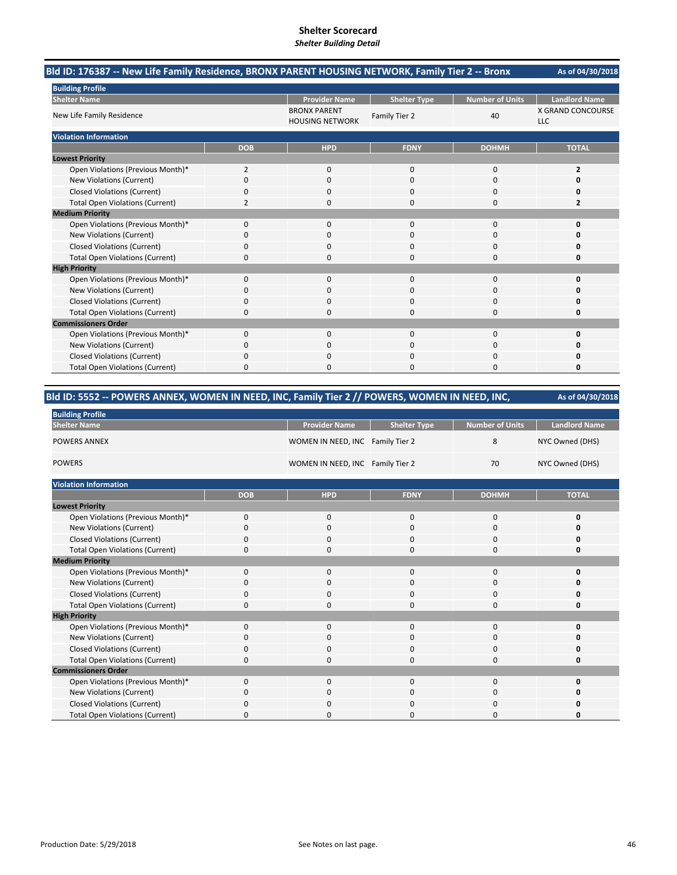| Bld ID: 176387 -- New Life Family Residence, BRONX PARENT HOUSING NETWORK, Family Tier 2 -- Bronx<br><b>Number of Units</b><br><b>Provider Name</b><br><b>Shelter Type</b><br><b>BRONX PARENT</b><br>40<br>Family Tier 2<br><b>HOUSING NETWORK</b><br><b>DOB</b><br><b>HPD</b><br><b>FDNY</b><br><b>DOHMH</b><br>Open Violations (Previous Month)*<br>$\overline{2}$<br>0<br>$\mathbf 0$<br>0<br>New Violations (Current)<br>0<br>$\Omega$<br>0<br>$\Omega$<br><b>Closed Violations (Current)</b><br>0<br>0<br>0<br>0<br><b>Total Open Violations (Current)</b><br>2<br>$\Omega$<br>$\Omega$<br>0<br>Open Violations (Previous Month)*<br>$\Omega$<br>$\Omega$<br>$\Omega$<br>$\Omega$<br>New Violations (Current)<br>0<br>$\Omega$<br>O<br>0<br><b>Closed Violations (Current)</b><br>0<br>0<br>0<br>0<br><b>Total Open Violations (Current)</b><br>0<br>$\Omega$<br>$\Omega$<br>O<br>Open Violations (Previous Month)*<br>0<br>$\Omega$<br>$\mathbf 0$<br>$\Omega$<br><b>New Violations (Current)</b><br>0<br>$\Omega$<br>$\Omega$<br>0<br><b>Closed Violations (Current)</b><br>0<br>$\Omega$<br>$\Omega$<br>0<br><b>Total Open Violations (Current)</b><br>0<br>$\mathbf 0$<br>0<br>0<br>Open Violations (Previous Month)*<br>$\Omega$<br>$\Omega$<br>$\Omega$<br>$\Omega$<br><b>New Violations (Current)</b><br>0<br>$\Omega$<br>O<br>0 | As of 04/30/2018 |              |             |          |                                 |
|----------------------------------------------------------------------------------------------------------------------------------------------------------------------------------------------------------------------------------------------------------------------------------------------------------------------------------------------------------------------------------------------------------------------------------------------------------------------------------------------------------------------------------------------------------------------------------------------------------------------------------------------------------------------------------------------------------------------------------------------------------------------------------------------------------------------------------------------------------------------------------------------------------------------------------------------------------------------------------------------------------------------------------------------------------------------------------------------------------------------------------------------------------------------------------------------------------------------------------------------------------------------------------------------------------------------------------------------|------------------|--------------|-------------|----------|---------------------------------|
| <b>Building Profile</b>                                                                                                                                                                                                                                                                                                                                                                                                                                                                                                                                                                                                                                                                                                                                                                                                                                                                                                                                                                                                                                                                                                                                                                                                                                                                                                                      |                  |              |             |          |                                 |
| <b>Shelter Name</b>                                                                                                                                                                                                                                                                                                                                                                                                                                                                                                                                                                                                                                                                                                                                                                                                                                                                                                                                                                                                                                                                                                                                                                                                                                                                                                                          |                  |              |             |          | <b>Landlord Name</b>            |
| New Life Family Residence                                                                                                                                                                                                                                                                                                                                                                                                                                                                                                                                                                                                                                                                                                                                                                                                                                                                                                                                                                                                                                                                                                                                                                                                                                                                                                                    |                  |              |             |          | X GRAND CONCOURSE<br><b>LLC</b> |
| <b>Violation Information</b>                                                                                                                                                                                                                                                                                                                                                                                                                                                                                                                                                                                                                                                                                                                                                                                                                                                                                                                                                                                                                                                                                                                                                                                                                                                                                                                 |                  |              |             |          |                                 |
|                                                                                                                                                                                                                                                                                                                                                                                                                                                                                                                                                                                                                                                                                                                                                                                                                                                                                                                                                                                                                                                                                                                                                                                                                                                                                                                                              |                  |              |             |          | <b>TOTAL</b>                    |
| <b>Lowest Priority</b>                                                                                                                                                                                                                                                                                                                                                                                                                                                                                                                                                                                                                                                                                                                                                                                                                                                                                                                                                                                                                                                                                                                                                                                                                                                                                                                       |                  |              |             |          |                                 |
|                                                                                                                                                                                                                                                                                                                                                                                                                                                                                                                                                                                                                                                                                                                                                                                                                                                                                                                                                                                                                                                                                                                                                                                                                                                                                                                                              |                  |              |             |          | $\overline{2}$                  |
|                                                                                                                                                                                                                                                                                                                                                                                                                                                                                                                                                                                                                                                                                                                                                                                                                                                                                                                                                                                                                                                                                                                                                                                                                                                                                                                                              |                  |              |             |          | $\Omega$                        |
|                                                                                                                                                                                                                                                                                                                                                                                                                                                                                                                                                                                                                                                                                                                                                                                                                                                                                                                                                                                                                                                                                                                                                                                                                                                                                                                                              |                  |              |             |          | 0                               |
|                                                                                                                                                                                                                                                                                                                                                                                                                                                                                                                                                                                                                                                                                                                                                                                                                                                                                                                                                                                                                                                                                                                                                                                                                                                                                                                                              |                  |              |             |          | 2                               |
| <b>Medium Priority</b>                                                                                                                                                                                                                                                                                                                                                                                                                                                                                                                                                                                                                                                                                                                                                                                                                                                                                                                                                                                                                                                                                                                                                                                                                                                                                                                       |                  |              |             |          |                                 |
|                                                                                                                                                                                                                                                                                                                                                                                                                                                                                                                                                                                                                                                                                                                                                                                                                                                                                                                                                                                                                                                                                                                                                                                                                                                                                                                                              |                  |              |             |          | $\mathbf 0$                     |
|                                                                                                                                                                                                                                                                                                                                                                                                                                                                                                                                                                                                                                                                                                                                                                                                                                                                                                                                                                                                                                                                                                                                                                                                                                                                                                                                              |                  |              |             |          | O                               |
|                                                                                                                                                                                                                                                                                                                                                                                                                                                                                                                                                                                                                                                                                                                                                                                                                                                                                                                                                                                                                                                                                                                                                                                                                                                                                                                                              |                  |              |             |          | 0                               |
|                                                                                                                                                                                                                                                                                                                                                                                                                                                                                                                                                                                                                                                                                                                                                                                                                                                                                                                                                                                                                                                                                                                                                                                                                                                                                                                                              |                  |              |             |          | 0                               |
| <b>High Priority</b>                                                                                                                                                                                                                                                                                                                                                                                                                                                                                                                                                                                                                                                                                                                                                                                                                                                                                                                                                                                                                                                                                                                                                                                                                                                                                                                         |                  |              |             |          |                                 |
|                                                                                                                                                                                                                                                                                                                                                                                                                                                                                                                                                                                                                                                                                                                                                                                                                                                                                                                                                                                                                                                                                                                                                                                                                                                                                                                                              |                  |              |             |          | $\mathbf 0$                     |
|                                                                                                                                                                                                                                                                                                                                                                                                                                                                                                                                                                                                                                                                                                                                                                                                                                                                                                                                                                                                                                                                                                                                                                                                                                                                                                                                              |                  |              |             |          | O                               |
|                                                                                                                                                                                                                                                                                                                                                                                                                                                                                                                                                                                                                                                                                                                                                                                                                                                                                                                                                                                                                                                                                                                                                                                                                                                                                                                                              |                  |              |             |          | 0                               |
|                                                                                                                                                                                                                                                                                                                                                                                                                                                                                                                                                                                                                                                                                                                                                                                                                                                                                                                                                                                                                                                                                                                                                                                                                                                                                                                                              |                  |              |             |          | 0                               |
| <b>Commissioners Order</b>                                                                                                                                                                                                                                                                                                                                                                                                                                                                                                                                                                                                                                                                                                                                                                                                                                                                                                                                                                                                                                                                                                                                                                                                                                                                                                                   |                  |              |             |          |                                 |
|                                                                                                                                                                                                                                                                                                                                                                                                                                                                                                                                                                                                                                                                                                                                                                                                                                                                                                                                                                                                                                                                                                                                                                                                                                                                                                                                              |                  |              |             |          | $\mathbf 0$                     |
|                                                                                                                                                                                                                                                                                                                                                                                                                                                                                                                                                                                                                                                                                                                                                                                                                                                                                                                                                                                                                                                                                                                                                                                                                                                                                                                                              |                  |              |             |          | ŋ                               |
| <b>Closed Violations (Current)</b>                                                                                                                                                                                                                                                                                                                                                                                                                                                                                                                                                                                                                                                                                                                                                                                                                                                                                                                                                                                                                                                                                                                                                                                                                                                                                                           | 0                | 0            | $\mathbf 0$ | 0        | 0                               |
| <b>Total Open Violations (Current)</b>                                                                                                                                                                                                                                                                                                                                                                                                                                                                                                                                                                                                                                                                                                                                                                                                                                                                                                                                                                                                                                                                                                                                                                                                                                                                                                       | 0                | <sup>0</sup> | $\Omega$    | $\Omega$ | 0                               |

| Bld ID: 5552 -- POWERS ANNEX, WOMEN IN NEED, INC, Family Tier 2 // POWERS, WOMEN IN NEED, INC, | As of 04/30/2018 |                                  |                     |                        |                      |
|------------------------------------------------------------------------------------------------|------------------|----------------------------------|---------------------|------------------------|----------------------|
| <b>Building Profile</b>                                                                        |                  |                                  |                     |                        |                      |
| <b>Shelter Name</b>                                                                            |                  | <b>Provider Name</b>             | <b>Shelter Type</b> | <b>Number of Units</b> | <b>Landlord Name</b> |
| <b>POWERS ANNEX</b>                                                                            |                  | WOMEN IN NEED, INC Family Tier 2 |                     | 8                      | NYC Owned (DHS)      |
| <b>POWERS</b>                                                                                  |                  | WOMEN IN NEED, INC Family Tier 2 |                     | 70                     | NYC Owned (DHS)      |
| <b>Violation Information</b>                                                                   |                  |                                  |                     |                        |                      |
|                                                                                                | <b>DOB</b>       | <b>HPD</b>                       | <b>FDNY</b>         | <b>DOHMH</b>           | <b>TOTAL</b>         |
| <b>Lowest Priority</b>                                                                         |                  |                                  |                     |                        |                      |
| Open Violations (Previous Month)*                                                              | 0                | 0                                | $\mathbf{0}$        | $\mathbf 0$            | 0                    |
| New Violations (Current)                                                                       | 0                | 0                                | 0                   | 0                      | 0                    |
| <b>Closed Violations (Current)</b>                                                             | 0                | 0                                | 0                   | 0                      | O                    |
| <b>Total Open Violations (Current)</b>                                                         | 0                | 0                                | 0                   | 0                      | 0                    |
| <b>Medium Priority</b>                                                                         |                  |                                  |                     |                        |                      |
| Open Violations (Previous Month)*                                                              | 0                | 0                                | $\mathbf{0}$        | $\mathbf 0$            | 0                    |
| New Violations (Current)                                                                       | 0                | 0                                | $\Omega$            | 0                      | 0                    |
| <b>Closed Violations (Current)</b>                                                             | 0                | 0                                | 0                   | 0                      | 0                    |
| <b>Total Open Violations (Current)</b>                                                         | 0                | $\Omega$                         | $\Omega$            | $\Omega$               | 0                    |
| <b>High Priority</b>                                                                           |                  |                                  |                     |                        |                      |
| Open Violations (Previous Month)*                                                              | 0                | 0                                | $\mathbf{0}$        | $\mathbf 0$            | 0                    |
| New Violations (Current)                                                                       | 0                | 0                                | $\Omega$            | $\Omega$               | 0                    |
| <b>Closed Violations (Current)</b>                                                             | 0                | <sup>0</sup>                     | 0                   | 0                      | O                    |
| <b>Total Open Violations (Current)</b>                                                         | 0                | <sup>0</sup>                     | 0                   | $\Omega$               | 0                    |
| <b>Commissioners Order</b>                                                                     |                  |                                  |                     |                        |                      |
| Open Violations (Previous Month)*                                                              | 0                | 0                                | 0                   | 0                      | 0                    |
| New Violations (Current)                                                                       | 0                | <sup>0</sup>                     | 0                   | $\Omega$               | O                    |
| <b>Closed Violations (Current)</b>                                                             | 0                | 0                                | O                   | 0                      | o                    |
| <b>Total Open Violations (Current)</b>                                                         | 0                | 0                                | 0                   | $\Omega$               | 0                    |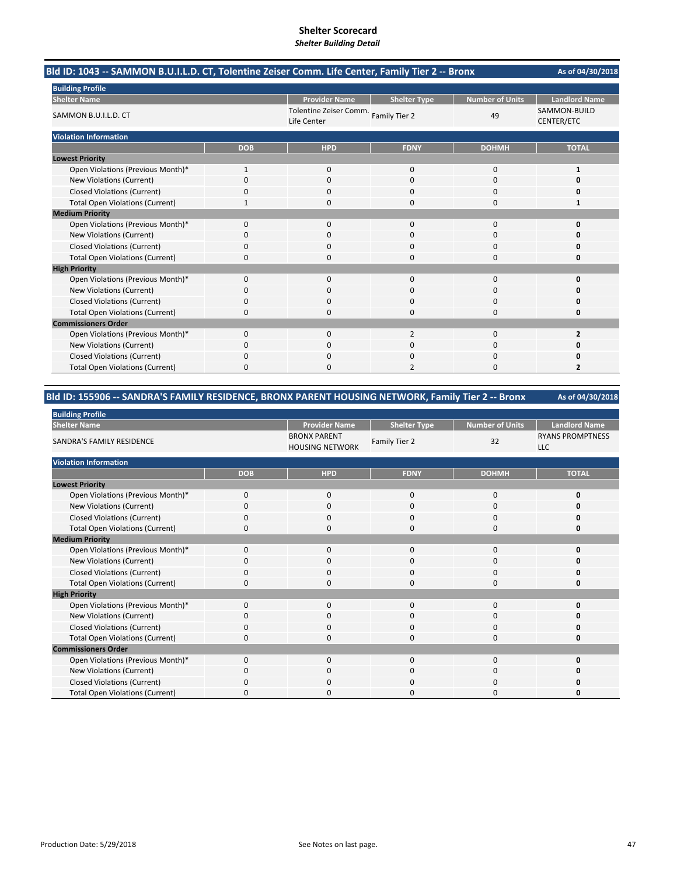|                                        |            |                      | Bld ID: 1043 -- SAMMON B.U.I.L.D. CT, Tolentine Zeiser Comm. Life Center, Family Tier 2 -- Bronx<br>As of 04/30/2018<br><b>Landlord Name</b><br><b>Number of Units</b><br><b>Shelter Type</b><br>SAMMON-BUILD<br>Tolentine Zeiser Comm. Family Tier 2<br>49<br>CENTER/ETC<br><b>HPD</b><br><b>FDNY</b><br><b>TOTAL</b><br><b>DOHMH</b><br>0<br>0<br>0<br>1<br>$\Omega$<br>$\Omega$<br>$\Omega$<br>O<br>0<br>0<br>O<br>0<br>$\Omega$<br>$\Omega$<br>0<br>1<br>$\Omega$<br>$\Omega$<br>$\Omega$<br>$\Omega$<br>O<br>$\Omega$<br><sup>0</sup><br>Ω<br>0<br>0<br>0<br>Ω<br>$\Omega$<br>$\Omega$<br>0<br>0<br>$\Omega$<br>$\Omega$<br>0<br>O<br>$\Omega$<br>$\Omega$<br>0<br>n<br>0<br>$\Omega$<br>0<br>0<br>$\Omega$<br>$\Omega$<br>$\Omega$<br>0<br>0<br>2<br>$\mathbf 0$<br>$\overline{2}$<br>0<br>0<br>0<br>n<br>$\Omega$<br>$\Omega$<br>0<br>O<br>$\overline{2}$<br>2<br>$\Omega$<br><sup>0</sup> |  |
|----------------------------------------|------------|----------------------|---------------------------------------------------------------------------------------------------------------------------------------------------------------------------------------------------------------------------------------------------------------------------------------------------------------------------------------------------------------------------------------------------------------------------------------------------------------------------------------------------------------------------------------------------------------------------------------------------------------------------------------------------------------------------------------------------------------------------------------------------------------------------------------------------------------------------------------------------------------------------------------------------|--|
| <b>Building Profile</b>                |            |                      |                                                                                                                                                                                                                                                                                                                                                                                                                                                                                                                                                                                                                                                                                                                                                                                                                                                                                                   |  |
| <b>Shelter Name</b>                    |            | <b>Provider Name</b> |                                                                                                                                                                                                                                                                                                                                                                                                                                                                                                                                                                                                                                                                                                                                                                                                                                                                                                   |  |
| SAMMON B.U.I.L.D. CT                   |            | Life Center          |                                                                                                                                                                                                                                                                                                                                                                                                                                                                                                                                                                                                                                                                                                                                                                                                                                                                                                   |  |
| <b>Violation Information</b>           |            |                      |                                                                                                                                                                                                                                                                                                                                                                                                                                                                                                                                                                                                                                                                                                                                                                                                                                                                                                   |  |
|                                        | <b>DOB</b> |                      |                                                                                                                                                                                                                                                                                                                                                                                                                                                                                                                                                                                                                                                                                                                                                                                                                                                                                                   |  |
| <b>Lowest Priority</b>                 |            |                      |                                                                                                                                                                                                                                                                                                                                                                                                                                                                                                                                                                                                                                                                                                                                                                                                                                                                                                   |  |
| Open Violations (Previous Month)*      | 1          |                      |                                                                                                                                                                                                                                                                                                                                                                                                                                                                                                                                                                                                                                                                                                                                                                                                                                                                                                   |  |
| New Violations (Current)               | $\Omega$   |                      |                                                                                                                                                                                                                                                                                                                                                                                                                                                                                                                                                                                                                                                                                                                                                                                                                                                                                                   |  |
| <b>Closed Violations (Current)</b>     | 0          |                      |                                                                                                                                                                                                                                                                                                                                                                                                                                                                                                                                                                                                                                                                                                                                                                                                                                                                                                   |  |
| <b>Total Open Violations (Current)</b> |            |                      |                                                                                                                                                                                                                                                                                                                                                                                                                                                                                                                                                                                                                                                                                                                                                                                                                                                                                                   |  |
| <b>Medium Priority</b>                 |            |                      |                                                                                                                                                                                                                                                                                                                                                                                                                                                                                                                                                                                                                                                                                                                                                                                                                                                                                                   |  |
| Open Violations (Previous Month)*      | $\Omega$   |                      |                                                                                                                                                                                                                                                                                                                                                                                                                                                                                                                                                                                                                                                                                                                                                                                                                                                                                                   |  |
| New Violations (Current)               | ŋ          |                      |                                                                                                                                                                                                                                                                                                                                                                                                                                                                                                                                                                                                                                                                                                                                                                                                                                                                                                   |  |
| <b>Closed Violations (Current)</b>     | 0          |                      |                                                                                                                                                                                                                                                                                                                                                                                                                                                                                                                                                                                                                                                                                                                                                                                                                                                                                                   |  |
| <b>Total Open Violations (Current)</b> | 0          |                      |                                                                                                                                                                                                                                                                                                                                                                                                                                                                                                                                                                                                                                                                                                                                                                                                                                                                                                   |  |
| <b>High Priority</b>                   |            |                      |                                                                                                                                                                                                                                                                                                                                                                                                                                                                                                                                                                                                                                                                                                                                                                                                                                                                                                   |  |
| Open Violations (Previous Month)*      | 0          |                      |                                                                                                                                                                                                                                                                                                                                                                                                                                                                                                                                                                                                                                                                                                                                                                                                                                                                                                   |  |
| New Violations (Current)               | 0          |                      |                                                                                                                                                                                                                                                                                                                                                                                                                                                                                                                                                                                                                                                                                                                                                                                                                                                                                                   |  |
| <b>Closed Violations (Current)</b>     | 0          |                      |                                                                                                                                                                                                                                                                                                                                                                                                                                                                                                                                                                                                                                                                                                                                                                                                                                                                                                   |  |
| <b>Total Open Violations (Current)</b> | 0          |                      |                                                                                                                                                                                                                                                                                                                                                                                                                                                                                                                                                                                                                                                                                                                                                                                                                                                                                                   |  |
| <b>Commissioners Order</b>             |            |                      |                                                                                                                                                                                                                                                                                                                                                                                                                                                                                                                                                                                                                                                                                                                                                                                                                                                                                                   |  |
| Open Violations (Previous Month)*      | 0          |                      |                                                                                                                                                                                                                                                                                                                                                                                                                                                                                                                                                                                                                                                                                                                                                                                                                                                                                                   |  |
| New Violations (Current)               | 0          |                      |                                                                                                                                                                                                                                                                                                                                                                                                                                                                                                                                                                                                                                                                                                                                                                                                                                                                                                   |  |
| <b>Closed Violations (Current)</b>     | 0          |                      |                                                                                                                                                                                                                                                                                                                                                                                                                                                                                                                                                                                                                                                                                                                                                                                                                                                                                                   |  |
| <b>Total Open Violations (Current)</b> | 0          |                      |                                                                                                                                                                                                                                                                                                                                                                                                                                                                                                                                                                                                                                                                                                                                                                                                                                                                                                   |  |

### **Bld ID: 155906 ‐‐ SANDRA'S FAMILY RESIDENCE, BRONX PARENT HOUSING NETWORK, Family Tier 2 ‐‐ Bronx**

| <b>Building Profile</b>                |             |                                               |                     |                 |                                       |
|----------------------------------------|-------------|-----------------------------------------------|---------------------|-----------------|---------------------------------------|
| <b>Shelter Name</b>                    |             | <b>Provider Name</b>                          | <b>Shelter Type</b> | Number of Units | <b>Landlord Name</b>                  |
| SANDRA'S FAMILY RESIDENCE              |             | <b>BRONX PARENT</b><br><b>HOUSING NETWORK</b> | Family Tier 2       | 32              | <b>RYANS PROMPTNESS</b><br><b>LLC</b> |
| <b>Violation Information</b>           |             |                                               |                     |                 |                                       |
|                                        | <b>DOB</b>  | <b>HPD</b>                                    | <b>FDNY</b>         | <b>DOHMH</b>    | <b>TOTAL</b>                          |
| <b>Lowest Priority</b>                 |             |                                               |                     |                 |                                       |
| Open Violations (Previous Month)*      | $\mathbf 0$ | $\mathbf 0$                                   | 0                   | $\mathbf 0$     |                                       |
| New Violations (Current)               | 0           | $\mathbf 0$                                   | 0                   | $\mathbf 0$     |                                       |
| <b>Closed Violations (Current)</b>     | 0           | $\mathbf 0$                                   | 0                   | 0               |                                       |
| <b>Total Open Violations (Current)</b> | $\Omega$    | $\Omega$                                      | $\Omega$            | $\Omega$        |                                       |
| <b>Medium Priority</b>                 |             |                                               |                     |                 |                                       |
| Open Violations (Previous Month)*      | $\Omega$    | $\Omega$                                      | $\Omega$            | 0               |                                       |
| New Violations (Current)               | 0           | 0                                             | 0                   | 0               |                                       |
| <b>Closed Violations (Current)</b>     | 0           | $\mathbf 0$                                   | 0                   | $\mathbf 0$     |                                       |
| <b>Total Open Violations (Current)</b> | 0           | $\Omega$                                      | 0                   | $\mathbf 0$     |                                       |
| <b>High Priority</b>                   |             |                                               |                     |                 |                                       |
| Open Violations (Previous Month)*      | $\mathbf 0$ | $\mathbf 0$                                   | $\mathbf 0$         | 0               | ŋ                                     |
| New Violations (Current)               | 0           | 0                                             | 0                   | 0               |                                       |
| <b>Closed Violations (Current)</b>     | $\Omega$    | $\mathbf 0$                                   | 0                   | $\mathbf 0$     |                                       |
| <b>Total Open Violations (Current)</b> | 0           | 0                                             | 0                   | 0               |                                       |
| <b>Commissioners Order</b>             |             |                                               |                     |                 |                                       |
| Open Violations (Previous Month)*      | $\Omega$    | $\Omega$                                      | $\Omega$            | $\mathbf 0$     |                                       |
| New Violations (Current)               | $\Omega$    | $\mathbf 0$                                   | 0                   | 0               |                                       |
| <b>Closed Violations (Current)</b>     | $\Omega$    | $\mathbf 0$                                   | 0                   | $\mathbf 0$     |                                       |
| <b>Total Open Violations (Current)</b> | O           | $\Omega$                                      | O                   | $\Omega$        |                                       |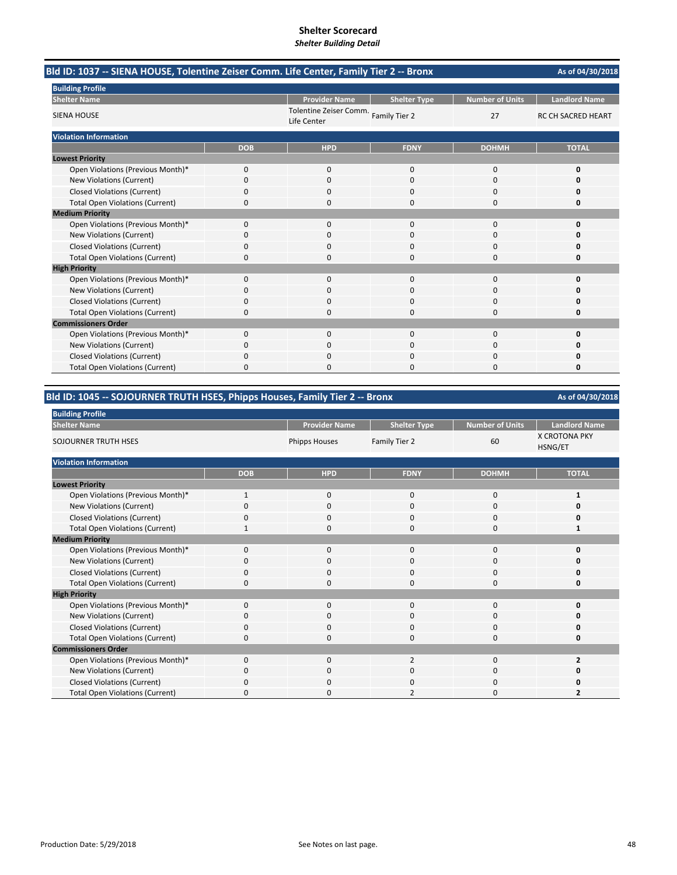| Bld ID: 1037 -- SIENA HOUSE, Tolentine Zeiser Comm. Life Center, Family Tier 2 -- Bronx |            |                                                        |                     |                        | As of 04/30/2018          |
|-----------------------------------------------------------------------------------------|------------|--------------------------------------------------------|---------------------|------------------------|---------------------------|
| <b>Building Profile</b>                                                                 |            |                                                        |                     |                        |                           |
| <b>Shelter Name</b>                                                                     |            | <b>Provider Name</b>                                   | <b>Shelter Type</b> | <b>Number of Units</b> | <b>Landlord Name</b>      |
| <b>SIENA HOUSE</b>                                                                      |            | Tolentine Zeiser Comm.<br>Family Tier 2<br>Life Center |                     | 27                     | <b>RC CH SACRED HEART</b> |
| <b>Violation Information</b>                                                            |            |                                                        |                     |                        |                           |
|                                                                                         | <b>DOB</b> | <b>HPD</b>                                             | <b>FDNY</b>         | <b>DOHMH</b>           | <b>TOTAL</b>              |
| <b>Lowest Priority</b>                                                                  |            |                                                        |                     |                        |                           |
| Open Violations (Previous Month)*                                                       | 0          | 0                                                      | $\mathbf{0}$        | $\mathbf 0$            | 0                         |
| New Violations (Current)                                                                | 0          | $\Omega$                                               | $\Omega$            | $\Omega$               | O                         |
| <b>Closed Violations (Current)</b>                                                      | 0          | 0                                                      | 0                   | $\Omega$               | 0                         |
| <b>Total Open Violations (Current)</b>                                                  | 0          | $\Omega$                                               | 0                   | $\Omega$               | 0                         |
| <b>Medium Priority</b>                                                                  |            |                                                        |                     |                        |                           |
| Open Violations (Previous Month)*                                                       | $\Omega$   | $\Omega$                                               | $\Omega$            | $\Omega$               | $\Omega$                  |
| New Violations (Current)                                                                | 0          | 0                                                      | 0                   | 0                      | o                         |
| <b>Closed Violations (Current)</b>                                                      | 0          | 0                                                      | 0                   | 0                      | Ω                         |
| <b>Total Open Violations (Current)</b>                                                  | $\Omega$   | $\Omega$                                               | 0                   | $\Omega$               | 0                         |
| <b>High Priority</b>                                                                    |            |                                                        |                     |                        |                           |
| Open Violations (Previous Month)*                                                       | $\Omega$   | $\Omega$                                               | $\Omega$            | $\Omega$               | 0                         |
| New Violations (Current)                                                                | 0          | $\Omega$                                               | $\Omega$            | $\Omega$               | O                         |
| <b>Closed Violations (Current)</b>                                                      | 0          | 0                                                      | 0                   | 0                      | 0                         |
| <b>Total Open Violations (Current)</b>                                                  | 0          | 0                                                      | 0                   | 0                      | 0                         |
| <b>Commissioners Order</b>                                                              |            |                                                        |                     |                        |                           |
| Open Violations (Previous Month)*                                                       | $\Omega$   | $\Omega$                                               | $\Omega$            | $\Omega$               | O                         |
| New Violations (Current)                                                                | 0          | 0                                                      | 0                   | $\Omega$               | o                         |
| <b>Closed Violations (Current)</b>                                                      | 0          | 0                                                      | 0                   | 0                      | Ω                         |
| <b>Total Open Violations (Current)</b>                                                  | 0          | O                                                      | O                   | $\Omega$               | O                         |

## **Bld ID: 1045 ‐‐ SOJOURNER TRUTH HSES, Phipps Houses, Family Tier 2 ‐‐ Bronx**

| <b>Building Profile</b>                |              |                      |                     |                        |                                 |
|----------------------------------------|--------------|----------------------|---------------------|------------------------|---------------------------------|
| <b>Shelter Name</b>                    |              | <b>Provider Name</b> | <b>Shelter Type</b> | <b>Number of Units</b> | <b>Landlord Name</b>            |
| SOJOURNER TRUTH HSES                   |              | <b>Phipps Houses</b> | Family Tier 2       | 60                     | <b>X CROTONA PKY</b><br>HSNG/ET |
| <b>Violation Information</b>           |              |                      |                     |                        |                                 |
|                                        | <b>DOB</b>   | <b>HPD</b>           | <b>FDNY</b>         | <b>DOHMH</b>           | <b>TOTAL</b>                    |
| <b>Lowest Priority</b>                 |              |                      |                     |                        |                                 |
| Open Violations (Previous Month)*      | $\mathbf{1}$ | $\mathbf 0$          | $\Omega$            | 0                      | 1                               |
| New Violations (Current)               | 0            | 0                    | 0                   | 0                      | Ω                               |
| Closed Violations (Current)            | O            | 0                    | $\Omega$            | 0                      | ŋ                               |
| <b>Total Open Violations (Current)</b> | 1            | 0                    | $\Omega$            | 0                      |                                 |
| <b>Medium Priority</b>                 |              |                      |                     |                        |                                 |
| Open Violations (Previous Month)*      | $\Omega$     | $\Omega$             | $\Omega$            | $\Omega$               | U                               |
| New Violations (Current)               | 0            | 0                    | 0                   | 0                      | n                               |
| <b>Closed Violations (Current)</b>     | $\Omega$     | $\Omega$             | $\Omega$            | 0                      | 0                               |
| <b>Total Open Violations (Current)</b> | 0            | 0                    | $\Omega$            | 0                      | 0                               |
| <b>High Priority</b>                   |              |                      |                     |                        |                                 |
| Open Violations (Previous Month)*      | $\Omega$     | $\Omega$             | $\Omega$            | $\Omega$               | U                               |
| New Violations (Current)               | 0            | 0                    | $\Omega$            | 0                      | Ω                               |
| <b>Closed Violations (Current)</b>     | O            | 0                    | $\Omega$            | 0                      | ŋ                               |
| <b>Total Open Violations (Current)</b> | $\Omega$     | 0                    | $\Omega$            | 0                      | ŋ                               |
| <b>Commissioners Order</b>             |              |                      |                     |                        |                                 |
| Open Violations (Previous Month)*      | $\Omega$     | $\Omega$             | $\overline{2}$      | $\Omega$               | 2                               |
| New Violations (Current)               | 0            | $\Omega$             | O                   | 0                      | n                               |
| Closed Violations (Current)            | O            | $\Omega$             | O                   | 0                      | Ω                               |
| <b>Total Open Violations (Current)</b> | $\Omega$     | 0                    | $\overline{2}$      | $\Omega$               | 7                               |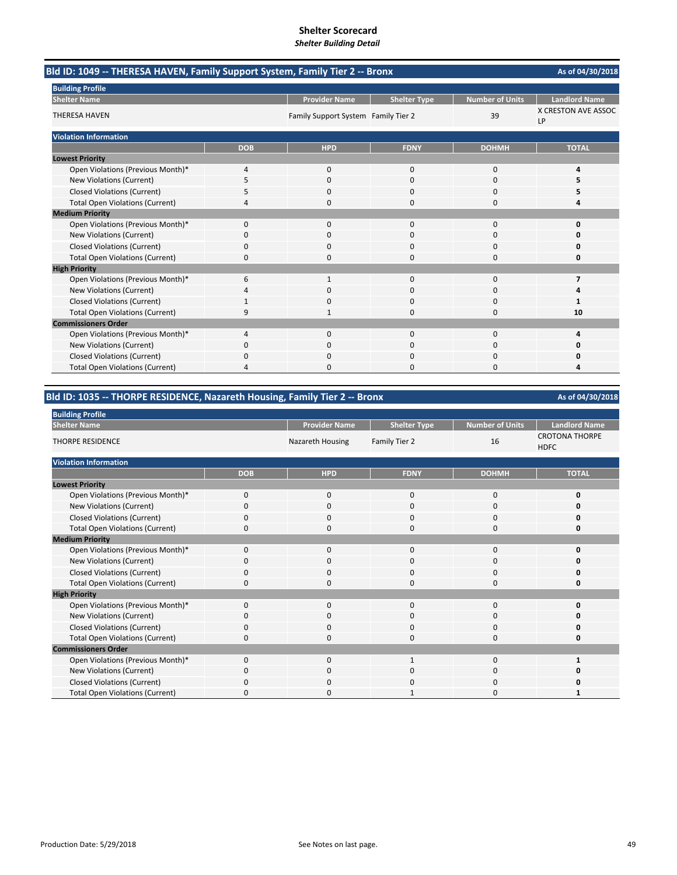| Bld ID: 1049 -- THERESA HAVEN, Family Support System, Family Tier 2 -- Bronx |            |                                     |                     |                        | As of 04/30/2018          |
|------------------------------------------------------------------------------|------------|-------------------------------------|---------------------|------------------------|---------------------------|
| <b>Building Profile</b>                                                      |            |                                     |                     |                        |                           |
| <b>Shelter Name</b>                                                          |            | <b>Provider Name</b>                | <b>Shelter Type</b> | <b>Number of Units</b> | <b>Landlord Name</b>      |
| <b>THERESA HAVEN</b>                                                         |            | Family Support System Family Tier 2 |                     | 39                     | X CRESTON AVE ASSOC<br>LP |
| <b>Violation Information</b>                                                 |            |                                     |                     |                        |                           |
|                                                                              | <b>DOB</b> | <b>HPD</b>                          | <b>FDNY</b>         | <b>DOHMH</b>           | <b>TOTAL</b>              |
| <b>Lowest Priority</b>                                                       |            |                                     |                     |                        |                           |
| Open Violations (Previous Month)*                                            | 4          | $\mathbf{0}$                        | $\mathbf 0$         | 0                      | 4                         |
| New Violations (Current)                                                     | 5          | 0                                   | $\mathbf 0$         | 0                      | 5                         |
| <b>Closed Violations (Current)</b>                                           | 5          | 0                                   | $\Omega$            | 0                      | 5                         |
| <b>Total Open Violations (Current)</b>                                       | 4          | 0                                   | $\Omega$            | $\Omega$               | 4                         |
| <b>Medium Priority</b>                                                       |            |                                     |                     |                        |                           |
| Open Violations (Previous Month)*                                            | 0          | $\Omega$                            | $\Omega$            | $\Omega$               | 0                         |
| <b>New Violations (Current)</b>                                              | 0          | 0                                   | 0                   | 0                      | 0                         |
| <b>Closed Violations (Current)</b>                                           | 0          | 0                                   | $\mathbf 0$         | 0                      | 0                         |
| <b>Total Open Violations (Current)</b>                                       | 0          | $\Omega$                            | $\Omega$            | $\Omega$               | 0                         |
| <b>High Priority</b>                                                         |            |                                     |                     |                        |                           |
| Open Violations (Previous Month)*                                            | 6          | $\mathbf{1}$                        | $\Omega$            | $\Omega$               | $\overline{\phantom{a}}$  |
| New Violations (Current)                                                     | 4          | <sup>0</sup>                        | $\Omega$            | $\Omega$               |                           |
| <b>Closed Violations (Current)</b>                                           |            |                                     | $\Omega$            | 0                      |                           |
| <b>Total Open Violations (Current)</b>                                       | 9          |                                     | $\Omega$            | $\Omega$               | 10                        |
| <b>Commissioners Order</b>                                                   |            |                                     |                     |                        |                           |
| Open Violations (Previous Month)*                                            | 4          | $\Omega$                            | $\Omega$            | 0                      | 4                         |
| <b>New Violations (Current)</b>                                              | ი          | 0                                   | 0                   | O                      | ŋ                         |
| <b>Closed Violations (Current)</b>                                           | 0          | $\Omega$                            | $\Omega$            | 0                      | 0                         |
| <b>Total Open Violations (Current)</b>                                       | 4          | <sup>0</sup>                        | $\Omega$            | $\Omega$               | 4                         |

## **Bld ID: 1035 ‐‐ THORPE RESIDENCE, Nazareth Housing, Family Tier 2 ‐‐ Bronx**

| <b>Building Profile</b>                |            |                      |                     |                        |                                      |
|----------------------------------------|------------|----------------------|---------------------|------------------------|--------------------------------------|
| <b>Shelter Name</b>                    |            | <b>Provider Name</b> | <b>Shelter Type</b> | <b>Number of Units</b> | <b>Landlord Name</b>                 |
| <b>THORPE RESIDENCE</b>                |            | Nazareth Housing     | Family Tier 2       | 16                     | <b>CROTONA THORPE</b><br><b>HDFC</b> |
| <b>Violation Information</b>           |            |                      |                     |                        |                                      |
|                                        | <b>DOB</b> | <b>HPD</b>           | <b>FDNY</b>         | <b>DOHMH</b>           | <b>TOTAL</b>                         |
| <b>Lowest Priority</b>                 |            |                      |                     |                        |                                      |
| Open Violations (Previous Month)*      | $\Omega$   | $\mathbf 0$          | $\Omega$            | $\Omega$               | O                                    |
| New Violations (Current)               | 0          | $\mathbf 0$          | $\mathbf 0$         | $\Omega$               |                                      |
| Closed Violations (Current)            | $\Omega$   | 0                    | $\Omega$            | $\Omega$               |                                      |
| <b>Total Open Violations (Current)</b> | 0          | 0                    | $\Omega$            | $\Omega$               | n                                    |
| <b>Medium Priority</b>                 |            |                      |                     |                        |                                      |
| Open Violations (Previous Month)*      | $\Omega$   | $\Omega$             | $\Omega$            | $\Omega$               |                                      |
| New Violations (Current)               | 0          | 0                    | 0                   | $\Omega$               |                                      |
| <b>Closed Violations (Current)</b>     | 0          | $\mathbf 0$          | $\Omega$            | $\Omega$               |                                      |
| <b>Total Open Violations (Current)</b> | 0          | $\mathbf 0$          | $\Omega$            | $\Omega$               | n                                    |
| <b>High Priority</b>                   |            |                      |                     |                        |                                      |
| Open Violations (Previous Month)*      | $\Omega$   | $\Omega$             | $\Omega$            | $\Omega$               |                                      |
| New Violations (Current)               | $\Omega$   | $\mathbf 0$          | $\Omega$            | $\Omega$               |                                      |
| <b>Closed Violations (Current)</b>     | O          | $\mathbf 0$          | $\Omega$            | $\Omega$               |                                      |
| <b>Total Open Violations (Current)</b> | $\Omega$   | 0                    | $\Omega$            | $\Omega$               |                                      |
| <b>Commissioners Order</b>             |            |                      |                     |                        |                                      |
| Open Violations (Previous Month)*      | $\Omega$   | $\Omega$             |                     | $\Omega$               |                                      |
| New Violations (Current)               | 0          | $\Omega$             | 0                   | $\Omega$               |                                      |
| Closed Violations (Current)            | O          | $\Omega$             | $\Omega$            | $\Omega$               |                                      |
| <b>Total Open Violations (Current)</b> | $\Omega$   | $\Omega$             | 1                   | $\Omega$               |                                      |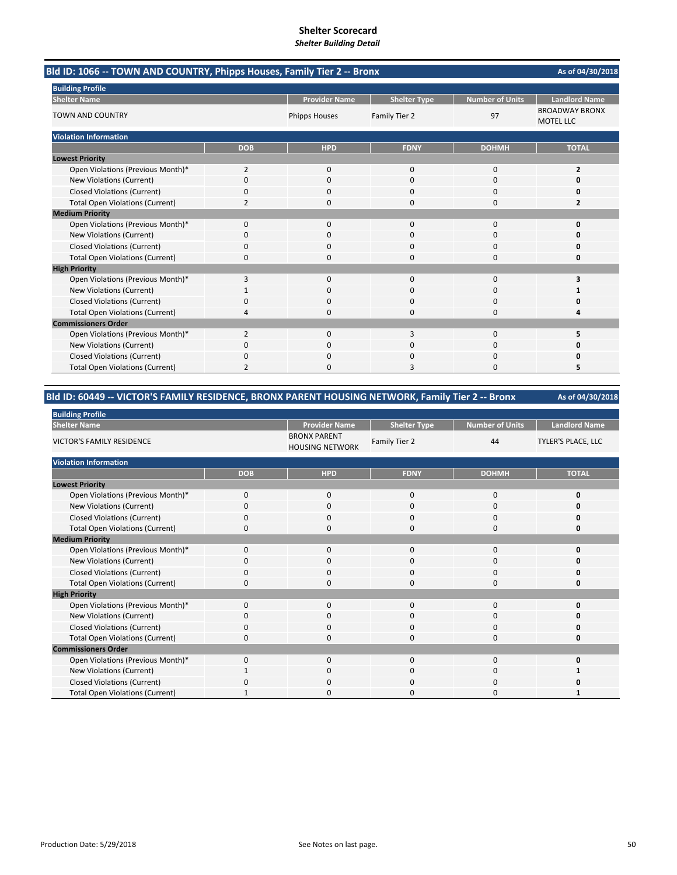| Bld ID: 1066 -- TOWN AND COUNTRY, Phipps Houses, Family Tier 2 -- Bronx | As of 04/30/2018 |                      |                     |                        |                                           |
|-------------------------------------------------------------------------|------------------|----------------------|---------------------|------------------------|-------------------------------------------|
| <b>Building Profile</b>                                                 |                  |                      |                     |                        |                                           |
| <b>Shelter Name</b>                                                     |                  | <b>Provider Name</b> | <b>Shelter Type</b> | <b>Number of Units</b> | <b>Landlord Name</b>                      |
| <b>TOWN AND COUNTRY</b>                                                 |                  | <b>Phipps Houses</b> | Family Tier 2       | 97                     | <b>BROADWAY BRONX</b><br><b>MOTEL LLC</b> |
| <b>Violation Information</b>                                            |                  |                      |                     |                        |                                           |
|                                                                         | <b>DOB</b>       | <b>HPD</b>           | <b>FDNY</b>         | <b>DOHMH</b>           | <b>TOTAL</b>                              |
| <b>Lowest Priority</b>                                                  |                  |                      |                     |                        |                                           |
| Open Violations (Previous Month)*                                       | 2                | 0                    | $\mathbf{0}$        | $\mathbf 0$            | 2                                         |
| New Violations (Current)                                                | $\Omega$         | $\Omega$             | $\Omega$            | $\Omega$               | n                                         |
| <b>Closed Violations (Current)</b>                                      | ŋ                | O                    | n                   | $\Omega$               | n                                         |
| <b>Total Open Violations (Current)</b>                                  | $\overline{2}$   | $\Omega$             | 0                   | $\Omega$               | 2                                         |
| <b>Medium Priority</b>                                                  |                  |                      |                     |                        |                                           |
| Open Violations (Previous Month)*                                       | $\Omega$         | 0                    | $\Omega$            | $\Omega$               | $\Omega$                                  |
| New Violations (Current)                                                | 0                | 0                    | 0                   | $\Omega$               | 0                                         |
| <b>Closed Violations (Current)</b>                                      | 0                | 0                    | $\Omega$            | $\Omega$               | n                                         |
| <b>Total Open Violations (Current)</b>                                  | 0                |                      | U                   | n                      | n                                         |
| <b>High Priority</b>                                                    |                  |                      |                     |                        |                                           |
| Open Violations (Previous Month)*                                       | 3                | 0                    | $\mathbf{0}$        | $\Omega$               | 3                                         |
| New Violations (Current)                                                |                  | $\Omega$             | 0                   | $\Omega$               |                                           |
| <b>Closed Violations (Current)</b>                                      | n                | O                    | O                   | $\Omega$               | n                                         |
| <b>Total Open Violations (Current)</b>                                  | 4                | $\Omega$             | $\Omega$            | $\Omega$               | л                                         |
| <b>Commissioners Order</b>                                              |                  |                      |                     |                        |                                           |
| Open Violations (Previous Month)*                                       | $\overline{2}$   | $\Omega$             | 3                   | $\Omega$               | 5                                         |
| New Violations (Current)                                                | 0                | $\Omega$             | $\Omega$            | $\Omega$               | 0                                         |
| <b>Closed Violations (Current)</b>                                      | 0                | $\Omega$             | O                   | $\Omega$               | Ω                                         |
| <b>Total Open Violations (Current)</b>                                  | $\mathfrak{p}$   |                      |                     | n                      |                                           |

### **Bld ID: 60449 ‐‐ VICTOR'S FAMILY RESIDENCE, BRONX PARENT HOUSING NETWORK, Family Tier 2 ‐‐ Bronx**

| <b>Building Profile</b>                |             |                                               |                     |                        |                           |
|----------------------------------------|-------------|-----------------------------------------------|---------------------|------------------------|---------------------------|
| <b>Shelter Name</b>                    |             | <b>Provider Name</b>                          | <b>Shelter Type</b> | <b>Number of Units</b> | <b>Landlord Name</b>      |
| <b>VICTOR'S FAMILY RESIDENCE</b>       |             | <b>BRONX PARENT</b><br><b>HOUSING NETWORK</b> | Family Tier 2       | 44                     | <b>TYLER'S PLACE, LLC</b> |
| <b>Violation Information</b>           |             |                                               |                     |                        |                           |
|                                        | <b>DOB</b>  | <b>HPD</b>                                    | <b>FDNY</b>         | <b>DOHMH</b>           | <b>TOTAL</b>              |
| <b>Lowest Priority</b>                 |             |                                               |                     |                        |                           |
| Open Violations (Previous Month)*      | $\mathbf 0$ | 0                                             | $\mathbf{0}$        | 0                      | 0                         |
| New Violations (Current)               | O           | 0                                             | 0                   | 0                      | o                         |
| <b>Closed Violations (Current)</b>     | $\Omega$    | $\Omega$                                      | 0                   | 0                      | O                         |
| <b>Total Open Violations (Current)</b> | 0           | $\Omega$                                      | 0                   | 0                      | 0                         |
| <b>Medium Priority</b>                 |             |                                               |                     |                        |                           |
| Open Violations (Previous Month)*      | $\Omega$    | $\mathbf 0$                                   | 0                   | 0                      | ŋ                         |
| New Violations (Current)               | 0           | 0                                             | 0                   | 0                      | O                         |
| <b>Closed Violations (Current)</b>     | 0           | 0                                             | 0                   | 0                      | O                         |
| <b>Total Open Violations (Current)</b> | 0           | $\Omega$                                      | 0                   | 0                      | O                         |
| <b>High Priority</b>                   |             |                                               |                     |                        |                           |
| Open Violations (Previous Month)*      | $\Omega$    | $\mathbf{0}$                                  | $\mathbf{0}$        | 0                      | 0                         |
| New Violations (Current)               | $\Omega$    | 0                                             | 0                   | 0                      | O                         |
| <b>Closed Violations (Current)</b>     | $\Omega$    | $\mathbf 0$                                   | $\Omega$            | 0                      | O                         |
| <b>Total Open Violations (Current)</b> | 0           | 0                                             | 0                   | 0                      | 0                         |
| <b>Commissioners Order</b>             |             |                                               |                     |                        |                           |
| Open Violations (Previous Month)*      | $\Omega$    | $\Omega$                                      | $\Omega$            | $\Omega$               | O                         |
| New Violations (Current)               |             | $\Omega$                                      | 0                   | $\Omega$               |                           |
| <b>Closed Violations (Current)</b>     | $\Omega$    | 0                                             | $\Omega$            | $\Omega$               |                           |
| <b>Total Open Violations (Current)</b> |             | O                                             | 0                   | $\Omega$               |                           |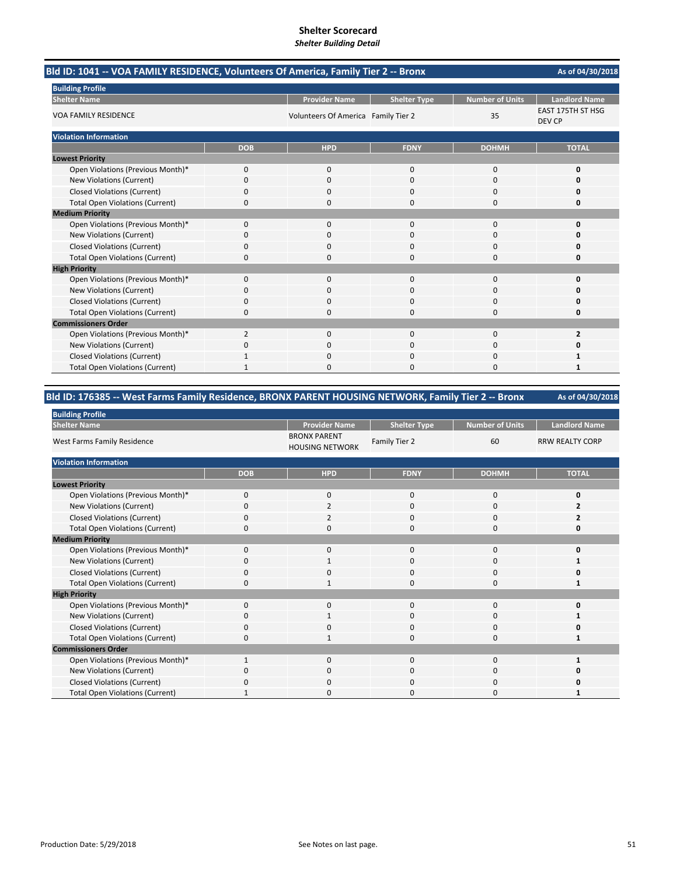| Bld ID: 1041 -- VOA FAMILY RESIDENCE, Volunteers Of America, Family Tier 2 -- Bronx |                |                                     |                     |                        | As of 04/30/2018            |
|-------------------------------------------------------------------------------------|----------------|-------------------------------------|---------------------|------------------------|-----------------------------|
| <b>Building Profile</b>                                                             |                |                                     |                     |                        |                             |
| <b>Shelter Name</b>                                                                 |                | <b>Provider Name</b>                | <b>Shelter Type</b> | <b>Number of Units</b> | <b>Landlord Name</b>        |
| <b>VOA FAMILY RESIDENCE</b>                                                         |                | Volunteers Of America Family Tier 2 |                     | 35                     | EAST 175TH ST HSG<br>DEV CP |
| <b>Violation Information</b>                                                        |                |                                     |                     |                        |                             |
|                                                                                     | <b>DOB</b>     | <b>HPD</b>                          | <b>FDNY</b>         | <b>DOHMH</b>           | <b>TOTAL</b>                |
| <b>Lowest Priority</b>                                                              |                |                                     |                     |                        |                             |
| Open Violations (Previous Month)*                                                   | $\mathbf{0}$   | $\mathbf{0}$                        | $\mathbf{0}$        | 0                      | 0                           |
| New Violations (Current)                                                            | 0              | $\Omega$                            | $\Omega$            | 0                      | O                           |
| <b>Closed Violations (Current)</b>                                                  | 0              | 0                                   | $\Omega$            | 0                      | 0                           |
| <b>Total Open Violations (Current)</b>                                              | 0              | 0                                   | $\Omega$            | 0                      | 0                           |
| <b>Medium Priority</b>                                                              |                |                                     |                     |                        |                             |
| Open Violations (Previous Month)*                                                   | $\Omega$       | $\Omega$                            | $\Omega$            | $\Omega$               | $\Omega$                    |
| New Violations (Current)                                                            | 0              | 0                                   | $\Omega$            | 0                      |                             |
| <b>Closed Violations (Current)</b>                                                  | 0              | 0                                   | $\mathbf 0$         | 0                      | 0                           |
| <b>Total Open Violations (Current)</b>                                              | 0              | ŋ                                   | $\Omega$            | $\Omega$               | $\Omega$                    |
| <b>High Priority</b>                                                                |                |                                     |                     |                        |                             |
| Open Violations (Previous Month)*                                                   | $\Omega$       | $\Omega$                            | $\Omega$            | $\Omega$               | 0                           |
| <b>New Violations (Current)</b>                                                     | 0              | $\Omega$                            | $\Omega$            | 0                      | n                           |
| <b>Closed Violations (Current)</b>                                                  | 0              | 0                                   | $\mathbf 0$         | 0                      | 0                           |
| <b>Total Open Violations (Current)</b>                                              | 0              | 0                                   | $\Omega$            | 0                      | 0                           |
| <b>Commissioners Order</b>                                                          |                |                                     |                     |                        |                             |
| Open Violations (Previous Month)*                                                   | $\overline{2}$ | $\Omega$                            | $\Omega$            | $\Omega$               | $\overline{2}$              |
| New Violations (Current)                                                            | 0              | $\Omega$                            | $\Omega$            | 0                      | Ω                           |
| <b>Closed Violations (Current)</b>                                                  |                | 0                                   | 0                   | 0                      |                             |
| <b>Total Open Violations (Current)</b>                                              |                | ŋ                                   | $\sqrt{ }$          | $\Omega$               |                             |

### **Bld ID: 176385 ‐‐ West Farms Family Residence, BRONX PARENT HOUSING NETWORK, Family Tier 2 ‐‐ Bronx**

| <b>Building Profile</b>                |             |                                               |                     |                 |                        |
|----------------------------------------|-------------|-----------------------------------------------|---------------------|-----------------|------------------------|
| <b>Shelter Name</b>                    |             | <b>Provider Name</b>                          | <b>Shelter Type</b> | Number of Units | <b>Landlord Name</b>   |
| West Farms Family Residence            |             | <b>BRONX PARENT</b><br><b>HOUSING NETWORK</b> | Family Tier 2       | 60              | <b>RRW REALTY CORP</b> |
| <b>Violation Information</b>           |             |                                               |                     |                 |                        |
|                                        | <b>DOB</b>  | <b>HPD</b>                                    | <b>FDNY</b>         | <b>DOHMH</b>    | <b>TOTAL</b>           |
| <b>Lowest Priority</b>                 |             |                                               |                     |                 |                        |
| Open Violations (Previous Month)*      | 0           | 0                                             | 0                   | 0               | 0                      |
| New Violations (Current)               | $\Omega$    | $\overline{\mathbf{c}}$                       | 0                   | 0               |                        |
| <b>Closed Violations (Current)</b>     | 0           | $\overline{2}$                                | 0                   | 0               | 2                      |
| <b>Total Open Violations (Current)</b> | $\Omega$    | $\Omega$                                      | 0                   | 0               | n                      |
| <b>Medium Priority</b>                 |             |                                               |                     |                 |                        |
| Open Violations (Previous Month)*      | $\Omega$    | $\Omega$                                      | 0                   | 0               |                        |
| New Violations (Current)               | 0           |                                               | 0                   | 0               |                        |
| <b>Closed Violations (Current)</b>     | 0           | 0                                             | 0                   | 0               |                        |
| <b>Total Open Violations (Current)</b> | $\Omega$    | $\mathbf{1}$                                  | 0                   | 0               | 1                      |
| <b>High Priority</b>                   |             |                                               |                     |                 |                        |
| Open Violations (Previous Month)*      | $\mathbf 0$ | 0                                             | 0                   | 0               |                        |
| New Violations (Current)               | 0           | 1                                             | 0                   | 0               |                        |
| <b>Closed Violations (Current)</b>     | 0           | 0                                             | 0                   | 0               |                        |
| <b>Total Open Violations (Current)</b> | $\Omega$    |                                               | 0                   | 0               |                        |
| <b>Commissioners Order</b>             |             |                                               |                     |                 |                        |
| Open Violations (Previous Month)*      |             | $\Omega$                                      | 0                   | 0               |                        |
| New Violations (Current)               | 0           | $\Omega$                                      | 0                   | 0               |                        |
| <b>Closed Violations (Current)</b>     | $\Omega$    | $\Omega$                                      | 0                   | 0               |                        |
| <b>Total Open Violations (Current)</b> |             | $\Omega$                                      | U                   | 0               |                        |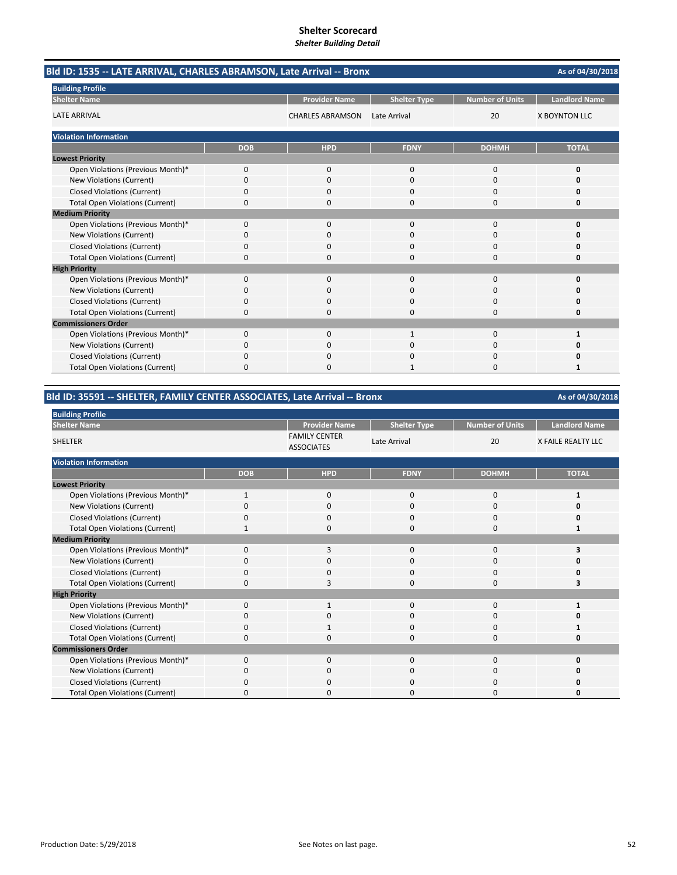| Bld ID: 1535 -- LATE ARRIVAL, CHARLES ABRAMSON, Late Arrival -- Bronx<br>As of 04/30/2018 |            |                         |                     |                        |                      |
|-------------------------------------------------------------------------------------------|------------|-------------------------|---------------------|------------------------|----------------------|
| <b>Building Profile</b>                                                                   |            |                         |                     |                        |                      |
| <b>Shelter Name</b>                                                                       |            | <b>Provider Name</b>    | <b>Shelter Type</b> | <b>Number of Units</b> | <b>Landlord Name</b> |
| <b>LATE ARRIVAL</b>                                                                       |            | <b>CHARLES ABRAMSON</b> | Late Arrival        | 20                     | <b>X BOYNTON LLC</b> |
| <b>Violation Information</b>                                                              |            |                         |                     |                        |                      |
|                                                                                           | <b>DOB</b> | <b>HPD</b>              | <b>FDNY</b>         | <b>DOHMH</b>           | <b>TOTAL</b>         |
| <b>Lowest Priority</b>                                                                    |            |                         |                     |                        |                      |
| Open Violations (Previous Month)*                                                         | 0          | $\mathbf{0}$            | $\mathbf 0$         | 0                      | 0                    |
| New Violations (Current)                                                                  | 0          | $\Omega$                | $\Omega$            | $\Omega$               | 0                    |
| <b>Closed Violations (Current)</b>                                                        | 0          | 0                       | 0                   | 0                      | 0                    |
| <b>Total Open Violations (Current)</b>                                                    | 0          | $\Omega$                | $\Omega$            | 0                      | 0                    |
| <b>Medium Priority</b>                                                                    |            |                         |                     |                        |                      |
| Open Violations (Previous Month)*                                                         | $\Omega$   | $\Omega$                | $\Omega$            | $\Omega$               | $\Omega$             |
| New Violations (Current)                                                                  | 0          | 0                       | $\Omega$            | $\Omega$               | O                    |
| <b>Closed Violations (Current)</b>                                                        | 0          | $\Omega$                | $\Omega$            | 0                      | n                    |
| <b>Total Open Violations (Current)</b>                                                    | 0          | n                       | $\Omega$            | $\Omega$               | O                    |
| <b>High Priority</b>                                                                      |            |                         |                     |                        |                      |
| Open Violations (Previous Month)*                                                         | 0          | $\mathbf{0}$            | $\mathbf 0$         | 0                      | 0                    |
| New Violations (Current)                                                                  | 0          | $\Omega$                | $\Omega$            | 0                      | O                    |
| <b>Closed Violations (Current)</b>                                                        | 0          | 0                       | 0                   | 0                      | 0                    |
| <b>Total Open Violations (Current)</b>                                                    | 0          | $\Omega$                | $\Omega$            | 0                      | 0                    |
| <b>Commissioners Order</b>                                                                |            |                         |                     |                        |                      |
| Open Violations (Previous Month)*                                                         | $\Omega$   | $\Omega$                | $\mathbf{1}$        | $\Omega$               | 1                    |
| New Violations (Current)                                                                  | 0          | 0                       | 0                   | 0                      | 0                    |
| <b>Closed Violations (Current)</b>                                                        | 0          | $\Omega$                | $\Omega$            | 0                      | Ω                    |
| <b>Total Open Violations (Current)</b>                                                    | U          |                         |                     | n                      | 1                    |

## **Bld ID: 35591 ‐‐ SHELTER, FAMILY CENTER ASSOCIATES, Late Arrival ‐‐ Bronx**

| <b>Building Profile</b>                |              |                                           |                     |                        |                           |
|----------------------------------------|--------------|-------------------------------------------|---------------------|------------------------|---------------------------|
| <b>Shelter Name</b>                    |              | <b>Provider Name</b>                      | <b>Shelter Type</b> | <b>Number of Units</b> | <b>Landlord Name</b>      |
| <b>SHELTER</b>                         |              | <b>FAMILY CENTER</b><br><b>ASSOCIATES</b> | Late Arrival        | 20                     | <b>X FAILE REALTY LLC</b> |
| <b>Violation Information</b>           |              |                                           |                     |                        |                           |
|                                        | <b>DOB</b>   | <b>HPD</b>                                | <b>FDNY</b>         | <b>DOHMH</b>           | <b>TOTAL</b>              |
| <b>Lowest Priority</b>                 |              |                                           |                     |                        |                           |
| Open Violations (Previous Month)*      | $\mathbf{1}$ | $\mathbf 0$                               | $\Omega$            | 0                      | 1                         |
| New Violations (Current)               | $\Omega$     | $\mathbf 0$                               | $\Omega$            | 0                      | ŋ                         |
| <b>Closed Violations (Current)</b>     | $\Omega$     | $\Omega$                                  | $\Omega$            | 0                      | ŋ                         |
| <b>Total Open Violations (Current)</b> |              | $\Omega$                                  | $\Omega$            | 0                      | 1                         |
| <b>Medium Priority</b>                 |              |                                           |                     |                        |                           |
| Open Violations (Previous Month)*      | $\Omega$     | Е                                         | $\Omega$            | $\Omega$               | 3                         |
| New Violations (Current)               | $\Omega$     | 0                                         | $\Omega$            | 0                      | n                         |
| <b>Closed Violations (Current)</b>     | $\Omega$     | $\Omega$                                  | $\Omega$            | $\Omega$               | ŋ                         |
| <b>Total Open Violations (Current)</b> | 0            | 3                                         | $\Omega$            | 0                      | 3                         |
| <b>High Priority</b>                   |              |                                           |                     |                        |                           |
| Open Violations (Previous Month)*      | $\Omega$     |                                           | $\Omega$            | 0                      |                           |
| New Violations (Current)               | 0            | 0                                         | 0                   | 0                      | 0                         |
| <b>Closed Violations (Current)</b>     | $\Omega$     | 1                                         | $\Omega$            | 0                      |                           |
| <b>Total Open Violations (Current)</b> | $\Omega$     | 0                                         | $\Omega$            | 0                      | 0                         |
| <b>Commissioners Order</b>             |              |                                           |                     |                        |                           |
| Open Violations (Previous Month)*      | $\Omega$     | $\Omega$                                  | $\Omega$            | $\Omega$               | U                         |
| New Violations (Current)               | O            | $\Omega$                                  | $\Omega$            | 0                      |                           |
| <b>Closed Violations (Current)</b>     | O            | $\Omega$                                  | n                   | $\Omega$               | Ω                         |
| <b>Total Open Violations (Current)</b> | $\Omega$     | $\Omega$                                  | $\Omega$            | $\Omega$               | n                         |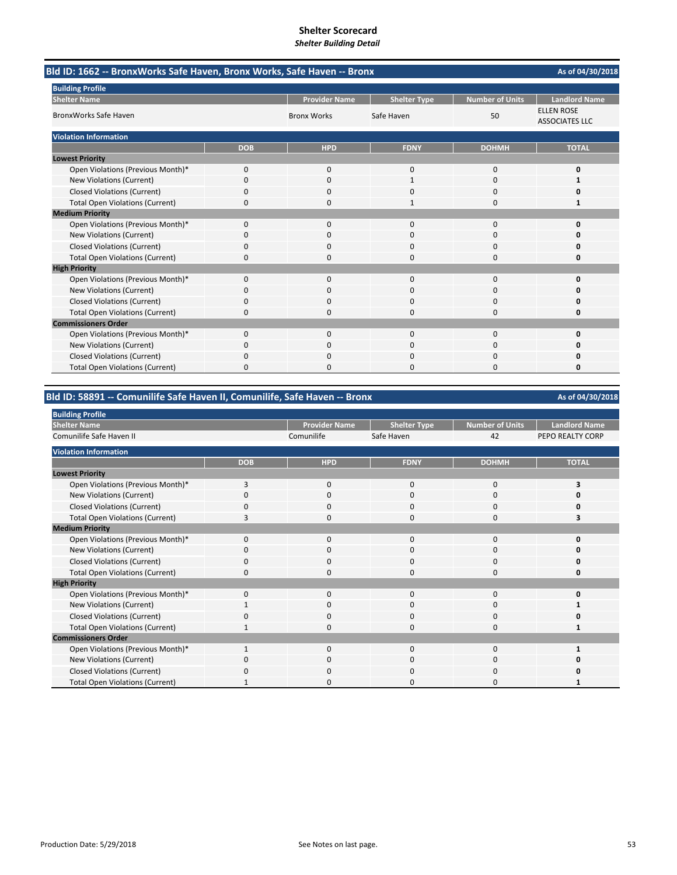| Bld ID: 1662 -- BronxWorks Safe Haven, Bronx Works, Safe Haven -- Bronx | As of 04/30/2018 |                      |                     |                        |                                            |
|-------------------------------------------------------------------------|------------------|----------------------|---------------------|------------------------|--------------------------------------------|
| <b>Building Profile</b>                                                 |                  |                      |                     |                        |                                            |
| <b>Shelter Name</b>                                                     |                  | <b>Provider Name</b> | <b>Shelter Type</b> | <b>Number of Units</b> | <b>Landlord Name</b>                       |
| <b>BronxWorks Safe Haven</b>                                            |                  | <b>Bronx Works</b>   | Safe Haven          | 50                     | <b>ELLEN ROSE</b><br><b>ASSOCIATES LLC</b> |
| <b>Violation Information</b>                                            |                  |                      |                     |                        |                                            |
|                                                                         | <b>DOB</b>       | <b>HPD</b>           | <b>FDNY</b>         | <b>DOHMH</b>           | <b>TOTAL</b>                               |
| <b>Lowest Priority</b>                                                  |                  |                      |                     |                        |                                            |
| Open Violations (Previous Month)*                                       | 0                | 0                    | $\mathbf{0}$        | $\Omega$               | 0                                          |
| New Violations (Current)                                                | $\Omega$         | $\Omega$             | $\mathbf{1}$        | $\Omega$               | 1                                          |
| <b>Closed Violations (Current)</b>                                      | 0                | <sup>0</sup>         | O                   | $\Omega$               | o                                          |
| <b>Total Open Violations (Current)</b>                                  | 0                | $\Omega$             | $\mathbf{1}$        | $\Omega$               | $\mathbf{1}$                               |
| <b>Medium Priority</b>                                                  |                  |                      |                     |                        |                                            |
| Open Violations (Previous Month)*                                       | $\Omega$         | $\Omega$             | $\Omega$            | $\Omega$               | 0                                          |
| New Violations (Current)                                                | 0                | 0                    | 0                   | $\Omega$               | o                                          |
| <b>Closed Violations (Current)</b>                                      | 0                | $\Omega$             | $\Omega$            | $\Omega$               | n                                          |
| <b>Total Open Violations (Current)</b>                                  | $\Omega$         | n                    | O                   | $\Omega$               | O                                          |
| <b>High Priority</b>                                                    |                  |                      |                     |                        |                                            |
| Open Violations (Previous Month)*                                       | 0                | 0                    | 0                   | 0                      | 0                                          |
| <b>New Violations (Current)</b>                                         | 0                | $\Omega$             | $\Omega$            | $\Omega$               | o                                          |
| <b>Closed Violations (Current)</b>                                      | 0                | 0                    | 0                   | 0                      | 0                                          |
| <b>Total Open Violations (Current)</b>                                  | 0                | $\Omega$             | $\Omega$            | $\Omega$               | 0                                          |
| <b>Commissioners Order</b>                                              |                  |                      |                     |                        |                                            |
| Open Violations (Previous Month)*                                       | $\Omega$         | $\Omega$             | $\Omega$            | $\Omega$               | O                                          |
| New Violations (Current)                                                | 0                | 0                    | 0                   | 0                      | n                                          |
| <b>Closed Violations (Current)</b>                                      | 0                | $\Omega$             | 0                   | $\Omega$               | Ω                                          |
| <b>Total Open Violations (Current)</b>                                  | $\Omega$         | O                    | O                   | $\Omega$               | 0                                          |

### **Bld ID: 58891 ‐‐ Comunilife Safe Haven II, Comunilife, Safe Haven ‐‐ Bronx**

**Provider Name Shelter Type Number of Units | Landlord Name** Comunilife Safe Haven 42 PEPO REALTY CORP **DOB HPD FDNY DOHMH TOTAL** Open Violations (Previous Month)\* 3000 **3** New Violations (Current) 0000 **0** Closed Violations (Current) 0000 **0** Total Open Violations (Current) **3** 0 0 0 0 3 Open Violations (Previous Month)\* 0000 **0** New Violations (Current) 0000 **0** Closed Violations (Current) 0000 **0 Total Open Violations (Current)** Open Violations (Previous Month)\* 0000 **0 New Violations (Current)** Closed Violations (Current) 0000 **0** Total Open Violations (Current) **1** 1000 **1** 1000 **1** 1000 **1** 1000 **1** 1000 **1** Open Violations (Previous Month)\* 1000 **1** New Violations (Current) 0000 **0** Closed Violations (Current) 0000 **0** Total Open Violations (Current) 1 0 0 0 0 1 **Medium Priority High Priority Building Profile Shelter Name** Comunilife Safe Haven II **Commissioners Order Violation Information Lowest Priority**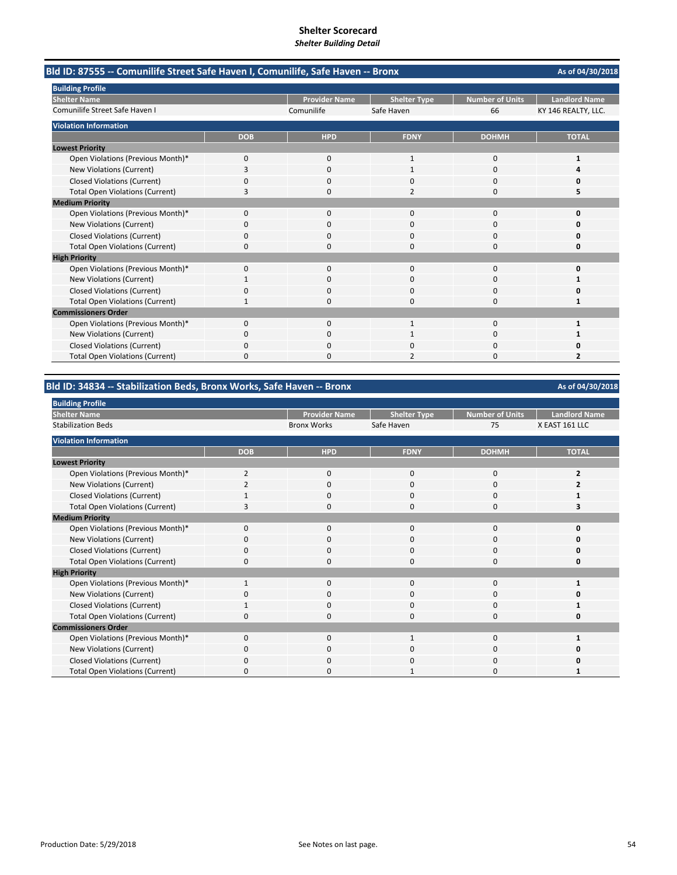| Bld ID: 87555 -- Comunilife Street Safe Haven I, Comunilife, Safe Haven -- Bronx |            |                      |                          |                        | As of 04/30/2018     |
|----------------------------------------------------------------------------------|------------|----------------------|--------------------------|------------------------|----------------------|
| <b>Building Profile</b>                                                          |            |                      |                          |                        |                      |
| <b>Shelter Name</b>                                                              |            | <b>Provider Name</b> | <b>Shelter Type</b>      | <b>Number of Units</b> | <b>Landlord Name</b> |
| Comunilife Street Safe Haven I                                                   |            | Comunilife           | Safe Haven               | 66                     | KY 146 REALTY, LLC.  |
| <b>Violation Information</b>                                                     |            |                      |                          |                        |                      |
|                                                                                  | <b>DOB</b> | <b>HPD</b>           | <b>FDNY</b>              | <b>DOHMH</b>           | <b>TOTAL</b>         |
| <b>Lowest Priority</b>                                                           |            |                      |                          |                        |                      |
| Open Violations (Previous Month)*                                                | 0          | $\Omega$             | $\mathbf{1}$             | $\Omega$               | 1                    |
| <b>New Violations (Current)</b>                                                  | 3          | 0                    |                          | 0                      |                      |
| <b>Closed Violations (Current)</b>                                               | 0          | $\Omega$             | $\Omega$                 | $\Omega$               | n                    |
| <b>Total Open Violations (Current)</b>                                           | 3          | $\Omega$             | $\overline{\phantom{a}}$ | 0                      | 5                    |
| <b>Medium Priority</b>                                                           |            |                      |                          |                        |                      |
| Open Violations (Previous Month)*                                                | 0          | $\Omega$             | $\Omega$                 | $\Omega$               | O                    |
| New Violations (Current)                                                         | 0          | $\Omega$             | $\Omega$                 | 0                      | O                    |
| <b>Closed Violations (Current)</b>                                               | 0          | O                    | O                        | 0                      | n                    |
| <b>Total Open Violations (Current)</b>                                           | 0          | 0                    | $\Omega$                 | 0                      | 0                    |
| <b>High Priority</b>                                                             |            |                      |                          |                        |                      |
| Open Violations (Previous Month)*                                                | 0          | ŋ                    | $\Omega$                 | 0                      | n                    |
| New Violations (Current)                                                         |            | 0                    | $\Omega$                 | 0                      |                      |
| <b>Closed Violations (Current)</b>                                               | U          | O                    | $\Omega$                 | 0                      | n                    |
| <b>Total Open Violations (Current)</b>                                           |            | 0                    | $\Omega$                 | 0                      | 1                    |
| <b>Commissioners Order</b>                                                       |            |                      |                          |                        |                      |
| Open Violations (Previous Month)*                                                | $\Omega$   | $\Omega$             | $\mathbf{1}$             | $\Omega$               | 1                    |
| New Violations (Current)                                                         | 0          | 0                    |                          | 0                      |                      |
| <b>Closed Violations (Current)</b>                                               | 0          | <sup>0</sup>         | $\Omega$                 | 0                      | n                    |
| <b>Total Open Violations (Current)</b>                                           | 0          |                      |                          | 0                      |                      |

## **Bld ID: 34834 ‐‐ Stabilization Beds, Bronx Works, Safe Haven ‐‐ Bronx**

| <b>Building Profile</b>                |                |                      |                     |                 |                      |
|----------------------------------------|----------------|----------------------|---------------------|-----------------|----------------------|
| <b>Shelter Name</b>                    |                | <b>Provider Name</b> | <b>Shelter Type</b> | Number of Units | <b>Landlord Name</b> |
| <b>Stabilization Beds</b>              |                | <b>Bronx Works</b>   | Safe Haven          | 75              | X EAST 161 LLC       |
| <b>Violation Information</b>           |                |                      |                     |                 |                      |
|                                        | <b>DOB</b>     | <b>HPD</b>           | <b>FDNY</b>         | <b>DOHMH</b>    | <b>TOTAL</b>         |
| <b>Lowest Priority</b>                 |                |                      |                     |                 |                      |
| Open Violations (Previous Month)*      | $\overline{2}$ | 0                    | 0                   | 0               |                      |
| New Violations (Current)               |                | 0                    | 0                   | 0               |                      |
| <b>Closed Violations (Current)</b>     |                | 0                    | $\Omega$            | 0               |                      |
| <b>Total Open Violations (Current)</b> |                | 0                    | $\Omega$            | 0               |                      |
| <b>Medium Priority</b>                 |                |                      |                     |                 |                      |
| Open Violations (Previous Month)*      | $\Omega$       | 0                    | $\Omega$            | 0               |                      |
| New Violations (Current)               | $\Omega$       | 0                    | 0                   | 0               |                      |
| <b>Closed Violations (Current)</b>     | <sup>0</sup>   | $\mathbf 0$          | $\Omega$            | 0               |                      |
| <b>Total Open Violations (Current)</b> | 0              | 0                    | 0                   | 0               |                      |
| <b>High Priority</b>                   |                |                      |                     |                 |                      |
| Open Violations (Previous Month)*      | $\mathbf{1}$   | 0                    | 0                   | 0               |                      |
| New Violations (Current)               | $\Omega$       | 0                    | 0                   | 0               |                      |
| <b>Closed Violations (Current)</b>     | 1              | 0                    | 0                   | $\mathbf 0$     |                      |
| <b>Total Open Violations (Current)</b> | $\Omega$       | $\mathbf 0$          | $\Omega$            | $\mathbf 0$     |                      |
| <b>Commissioners Order</b>             |                |                      |                     |                 |                      |
| Open Violations (Previous Month)*      | $\Omega$       | $\mathbf{0}$         | 1                   | 0               |                      |
| New Violations (Current)               | $\Omega$       | 0                    | 0                   | 0               |                      |
| <b>Closed Violations (Current)</b>     | $\Omega$       | $\mathbf{0}$         | $\Omega$            | 0               |                      |
| <b>Total Open Violations (Current)</b> | <sup>0</sup>   | 0                    |                     | 0               |                      |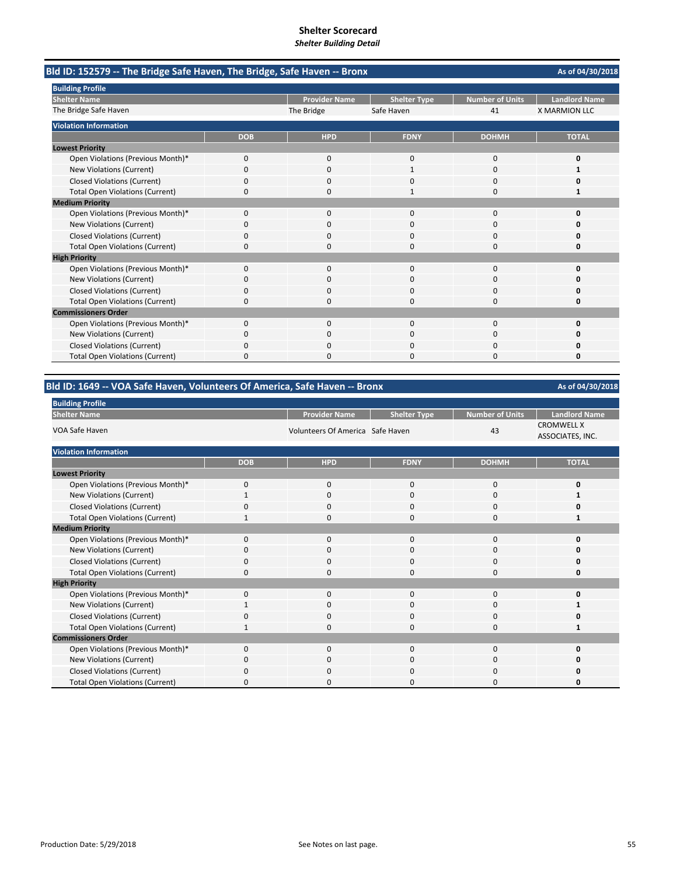| Bld ID: 152579 -- The Bridge Safe Haven, The Bridge, Safe Haven -- Bronx |            |                      |                     |                        | As of 04/30/2018     |
|--------------------------------------------------------------------------|------------|----------------------|---------------------|------------------------|----------------------|
| <b>Building Profile</b>                                                  |            |                      |                     |                        |                      |
| <b>Shelter Name</b>                                                      |            | <b>Provider Name</b> | <b>Shelter Type</b> | <b>Number of Units</b> | <b>Landlord Name</b> |
| The Bridge Safe Haven                                                    |            | The Bridge           | Safe Haven          | 41                     | <b>X MARMION LLC</b> |
| <b>Violation Information</b>                                             |            |                      |                     |                        |                      |
|                                                                          | <b>DOB</b> | <b>HPD</b>           | <b>FDNY</b>         | <b>DOHMH</b>           | <b>TOTAL</b>         |
| <b>Lowest Priority</b>                                                   |            |                      |                     |                        |                      |
| Open Violations (Previous Month)*                                        | 0          | 0                    | $\mathbf{0}$        | $\mathbf 0$            | 0                    |
| New Violations (Current)                                                 | 0          | $\Omega$             |                     | $\Omega$               |                      |
| <b>Closed Violations (Current)</b>                                       | 0          | 0                    | 0                   | $\Omega$               | n                    |
| <b>Total Open Violations (Current)</b>                                   | $\Omega$   | <sup>0</sup>         | 1                   | $\Omega$               |                      |
| <b>Medium Priority</b>                                                   |            |                      |                     |                        |                      |
| Open Violations (Previous Month)*                                        | 0          | $\Omega$             | 0                   | $\Omega$               | o                    |
| New Violations (Current)                                                 | ŋ          | O                    | $\Omega$            | $\Omega$               |                      |
| <b>Closed Violations (Current)</b>                                       | 0          | 0                    | 0                   | 0                      | n                    |
| <b>Total Open Violations (Current)</b>                                   | 0          | $\Omega$             | $\Omega$            | $\Omega$               | O                    |
| <b>High Priority</b>                                                     |            |                      |                     |                        |                      |
| Open Violations (Previous Month)*                                        | $\Omega$   | $\Omega$             | $\Omega$            | $\Omega$               | O                    |
| New Violations (Current)                                                 | 0          | $\Omega$             | $\Omega$            | $\Omega$               | n                    |
| <b>Closed Violations (Current)</b>                                       | 0          | $\Omega$             | 0                   | $\Omega$               | o                    |
| <b>Total Open Violations (Current)</b>                                   | 0          | <sup>0</sup>         | O                   | $\Omega$               | o                    |
| <b>Commissioners Order</b>                                               |            |                      |                     |                        |                      |
| Open Violations (Previous Month)*                                        | 0          | $\Omega$             | $\Omega$            | $\Omega$               | O                    |
| New Violations (Current)                                                 | n          | 0                    | O                   | 0                      | n                    |
| <b>Closed Violations (Current)</b>                                       | 0          | 0                    | 0                   | $\Omega$               | Ω                    |
| <b>Total Open Violations (Current)</b>                                   | n          |                      | n                   | n                      | n                    |

## **Bld ID: 1649 ‐‐ VOA Safe Haven, Volunteers Of America, Safe Haven ‐‐ Bronx**

**As of 04/30/2018**

| <b>DUILDING Profile</b>                |              |                                  |                     |                        |                                       |  |
|----------------------------------------|--------------|----------------------------------|---------------------|------------------------|---------------------------------------|--|
| <b>Shelter Name</b>                    |              | <b>Provider Name</b>             | <b>Shelter Type</b> | <b>Number of Units</b> | <b>Landlord Name</b>                  |  |
| VOA Safe Haven                         |              | Volunteers Of America Safe Haven |                     | 43                     | <b>CROMWELL X</b><br>ASSOCIATES, INC. |  |
| <b>Violation Information</b>           |              |                                  |                     |                        |                                       |  |
|                                        | <b>DOB</b>   | <b>HPD</b>                       | <b>FDNY</b>         | <b>DOHMH</b>           | <b>TOTAL</b>                          |  |
| <b>Lowest Priority</b>                 |              |                                  |                     |                        |                                       |  |
| Open Violations (Previous Month)*      | $\mathbf{0}$ | $\mathbf 0$                      | 0                   | 0                      | 0                                     |  |
| New Violations (Current)               |              | $\mathbf 0$                      | 0                   | $\mathbf 0$            |                                       |  |
| <b>Closed Violations (Current)</b>     | $\Omega$     | $\mathbf 0$                      | 0                   | 0                      |                                       |  |
| <b>Total Open Violations (Current)</b> | 1            | 0                                | 0                   | 0                      | 1                                     |  |
| <b>Medium Priority</b>                 |              |                                  |                     |                        |                                       |  |
| Open Violations (Previous Month)*      | 0            | $\mathbf 0$                      | 0                   | 0                      |                                       |  |
| New Violations (Current)               | $\Omega$     | $\Omega$                         | 0                   | 0                      |                                       |  |
| <b>Closed Violations (Current)</b>     | 0            | $\mathbf 0$                      | 0                   | $\mathbf 0$            |                                       |  |
| <b>Total Open Violations (Current)</b> | $\Omega$     | $\Omega$                         | $\Omega$            | $\Omega$               | n                                     |  |
| <b>High Priority</b>                   |              |                                  |                     |                        |                                       |  |
| Open Violations (Previous Month)*      | $\Omega$     | $\mathbf 0$                      | 0                   | $\mathbf 0$            |                                       |  |
| New Violations (Current)               |              | $\mathbf 0$                      | 0                   | 0                      |                                       |  |
| <b>Closed Violations (Current)</b>     | $\Omega$     | $\mathbf 0$                      | 0                   | $\mathbf 0$            |                                       |  |
| <b>Total Open Violations (Current)</b> |              | 0                                | 0                   | 0                      |                                       |  |
| <b>Commissioners Order</b>             |              |                                  |                     |                        |                                       |  |
| Open Violations (Previous Month)*      | $\Omega$     | $\Omega$                         | 0                   | $\mathbf 0$            |                                       |  |
| New Violations (Current)               | $\Omega$     | $\mathbf 0$                      | 0                   | 0                      |                                       |  |
| <b>Closed Violations (Current)</b>     | 0            | $\Omega$                         | 0                   | 0                      |                                       |  |
| <b>Total Open Violations (Current)</b> | 0            | $\Omega$                         | $\Omega$            | 0                      |                                       |  |

**Building Profile**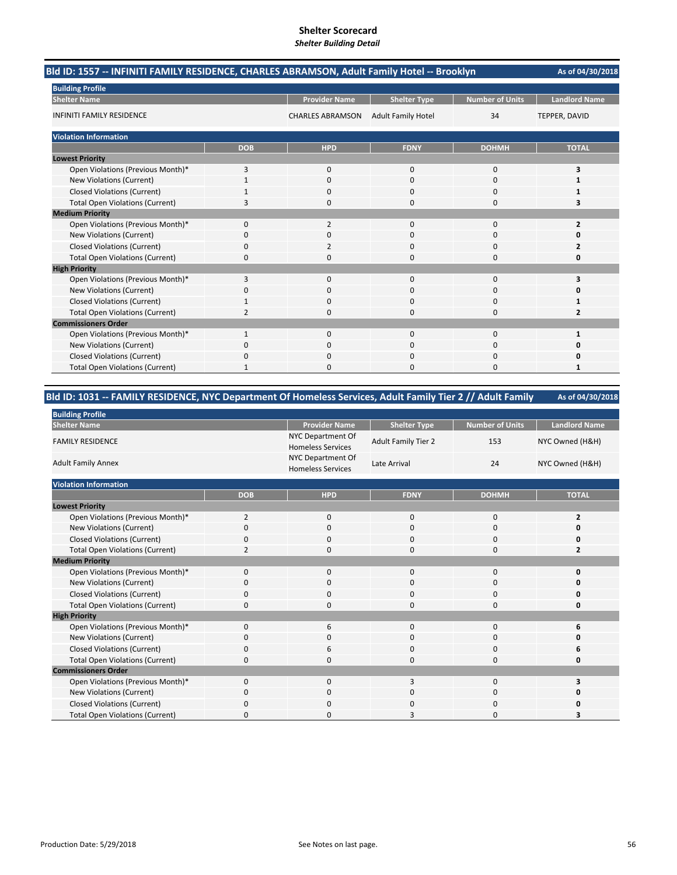| Bld ID: 1557 -- INFINITI FAMILY RESIDENCE, CHARLES ABRAMSON, Adult Family Hotel -- Brooklyn |                |                         |                           |                        | As of 04/30/2018     |
|---------------------------------------------------------------------------------------------|----------------|-------------------------|---------------------------|------------------------|----------------------|
| <b>Building Profile</b>                                                                     |                |                         |                           |                        |                      |
| <b>Shelter Name</b>                                                                         |                | <b>Provider Name</b>    | <b>Shelter Type</b>       | <b>Number of Units</b> | <b>Landlord Name</b> |
| <b>INFINITI FAMILY RESIDENCE</b>                                                            |                | <b>CHARLES ABRAMSON</b> | <b>Adult Family Hotel</b> | 34                     | TEPPER, DAVID        |
| <b>Violation Information</b>                                                                |                |                         |                           |                        |                      |
|                                                                                             | <b>DOB</b>     | <b>HPD</b>              | <b>FDNY</b>               | <b>DOHMH</b>           | <b>TOTAL</b>         |
| <b>Lowest Priority</b>                                                                      |                |                         |                           |                        |                      |
| Open Violations (Previous Month)*                                                           | 3              | 0                       | 0                         | 0                      | 3                    |
| New Violations (Current)                                                                    |                | $\Omega$                | $\Omega$                  | $\Omega$               |                      |
| <b>Closed Violations (Current)</b>                                                          |                | 0                       | O                         | $\Omega$               |                      |
| <b>Total Open Violations (Current)</b>                                                      | 3              | $\Omega$                | $\Omega$                  | $\Omega$               | 3                    |
| <b>Medium Priority</b>                                                                      |                |                         |                           |                        |                      |
| Open Violations (Previous Month)*                                                           | $\Omega$       | $\overline{2}$          | $\Omega$                  | $\Omega$               | $\overline{2}$       |
| <b>New Violations (Current)</b>                                                             | 0              | $\Omega$                | $\Omega$                  | $\Omega$               | O                    |
| <b>Closed Violations (Current)</b>                                                          | 0              | 2                       | $\Omega$                  | $\Omega$               | 2                    |
| <b>Total Open Violations (Current)</b>                                                      | 0              | n                       | O                         | $\Omega$               | O                    |
| <b>High Priority</b>                                                                        |                |                         |                           |                        |                      |
| Open Violations (Previous Month)*                                                           | 3              | 0                       | $\mathbf{0}$              | $\mathbf 0$            | 3                    |
| New Violations (Current)                                                                    | 0              | $\Omega$                | 0                         | $\Omega$               | n                    |
| <b>Closed Violations (Current)</b>                                                          |                | <sup>0</sup>            | O                         | $\Omega$               |                      |
| <b>Total Open Violations (Current)</b>                                                      | $\overline{2}$ | $\Omega$                | 0                         | 0                      | 2                    |
| <b>Commissioners Order</b>                                                                  |                |                         |                           |                        |                      |
| Open Violations (Previous Month)*                                                           | 1              | $\Omega$                | $\Omega$                  | $\Omega$               | $\mathbf{1}$         |
| New Violations (Current)                                                                    | 0              | 0                       | $\Omega$                  | $\Omega$               | 0                    |
| <b>Closed Violations (Current)</b>                                                          | 0              | <sup>0</sup>            | O                         | $\Omega$               | n                    |
| <b>Total Open Violations (Current)</b>                                                      |                |                         | n                         | n                      |                      |

### **As of 04/30/2018 Bld ID: 1031 ‐‐ FAMILY RESIDENCE, NYC Department Of Homeless Services, Adult Family Tier 2 // Adult Family**

| <b>Building Profile</b>                |                |                                               |                            |                        |                      |
|----------------------------------------|----------------|-----------------------------------------------|----------------------------|------------------------|----------------------|
| <b>Shelter Name</b>                    |                | <b>Provider Name</b>                          | <b>Shelter Type</b>        | <b>Number of Units</b> | <b>Landlord Name</b> |
| <b>FAMILY RESIDENCE</b>                |                | NYC Department Of<br><b>Homeless Services</b> | <b>Adult Family Tier 2</b> | 153                    | NYC Owned (H&H)      |
| <b>Adult Family Annex</b>              |                | NYC Department Of<br><b>Homeless Services</b> | Late Arrival               | 24                     | NYC Owned (H&H)      |
| <b>Violation Information</b>           |                |                                               |                            |                        |                      |
|                                        | <b>DOB</b>     | <b>HPD</b>                                    | <b>FDNY</b>                | <b>DOHMH</b>           | <b>TOTAL</b>         |
| <b>Lowest Priority</b>                 |                |                                               |                            |                        |                      |
| Open Violations (Previous Month)*      | $\overline{2}$ | 0                                             | 0                          | 0                      | $\overline{2}$       |
| New Violations (Current)               | 0              | 0                                             | 0                          | 0                      | 0                    |
| <b>Closed Violations (Current)</b>     | 0              | $\mathbf 0$                                   | 0                          | 0                      | 0                    |
| <b>Total Open Violations (Current)</b> | $\overline{2}$ | $\mathbf 0$                                   | 0                          | 0                      | $\overline{2}$       |
| <b>Medium Priority</b>                 |                |                                               |                            |                        |                      |
| Open Violations (Previous Month)*      | 0              | $\mathbf{0}$                                  | 0                          | $\mathbf 0$            | $\mathbf 0$          |
| New Violations (Current)               | 0              | $\mathbf 0$                                   | 0                          | 0                      | 0                    |
| <b>Closed Violations (Current)</b>     | 0              | $\mathbf 0$                                   | 0                          | 0                      | 0                    |
| <b>Total Open Violations (Current)</b> | 0              | $\mathbf 0$                                   | 0                          | 0                      | 0                    |
| <b>High Priority</b>                   |                |                                               |                            |                        |                      |
| Open Violations (Previous Month)*      | $\Omega$       | 6                                             | $\Omega$                   | $\Omega$               | 6                    |
| New Violations (Current)               | 0              | 0                                             | 0                          | 0                      | 0                    |
| <b>Closed Violations (Current)</b>     | 0              | 6                                             | 0                          | 0                      | 6                    |
| <b>Total Open Violations (Current)</b> | $\Omega$       | $\Omega$                                      | $\Omega$                   | $\Omega$               | $\Omega$             |
| <b>Commissioners Order</b>             |                |                                               |                            |                        |                      |
| Open Violations (Previous Month)*      | $\mathbf 0$    | $\mathbf 0$                                   | 3                          | 0                      | 3                    |
| <b>New Violations (Current)</b>        | 0              | $\mathbf 0$                                   | 0                          | 0                      | 0                    |
| <b>Closed Violations (Current)</b>     | 0              | 0                                             | ŋ                          | 0                      | 0                    |
| <b>Total Open Violations (Current)</b> | 0              | $\Omega$                                      | 3                          | 0                      | 3                    |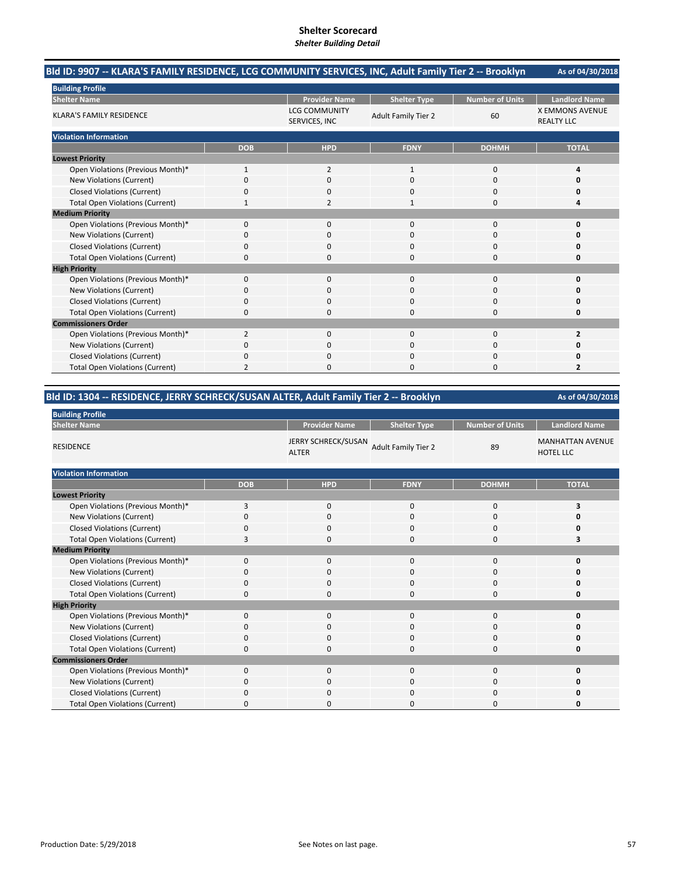#### **As of 04/30/2018 Bld ID: 9907 ‐‐ KLARA'S FAMILY RESIDENCE, LCG COMMUNITY SERVICES, INC, Adult Family Tier 2 ‐‐ Brooklyn**

| <b>Building Profile</b>                |                |                                       |                            |                        |                                             |
|----------------------------------------|----------------|---------------------------------------|----------------------------|------------------------|---------------------------------------------|
| <b>Shelter Name</b>                    |                | <b>Provider Name</b>                  | <b>Shelter Type</b>        | <b>Number of Units</b> | <b>Landlord Name</b>                        |
| <b>KLARA'S FAMILY RESIDENCE</b>        |                | <b>LCG COMMUNITY</b><br>SERVICES, INC | <b>Adult Family Tier 2</b> | 60                     | <b>X EMMONS AVENUE</b><br><b>REALTY LLC</b> |
| <b>Violation Information</b>           |                |                                       |                            |                        |                                             |
|                                        | <b>DOB</b>     | <b>HPD</b>                            | <b>FDNY</b>                | <b>DOHMH</b>           | <b>TOTAL</b>                                |
| <b>Lowest Priority</b>                 |                |                                       |                            |                        |                                             |
| Open Violations (Previous Month)*      | 1              | 2                                     | 1                          | 0                      | 4                                           |
| New Violations (Current)               | $\Omega$       | $\Omega$                              | 0                          | $\Omega$               |                                             |
| <b>Closed Violations (Current)</b>     | 0              | 0                                     | 0                          | 0                      |                                             |
| <b>Total Open Violations (Current)</b> |                | $\overline{\mathbf{c}}$               | 1                          | $\mathbf 0$            |                                             |
| <b>Medium Priority</b>                 |                |                                       |                            |                        |                                             |
| Open Violations (Previous Month)*      | $\Omega$       | $\Omega$                              | $\Omega$                   | 0                      |                                             |
| New Violations (Current)               |                | O                                     | 0                          | 0                      |                                             |
| <b>Closed Violations (Current)</b>     | 0              | $\mathbf 0$                           | 0                          | 0                      |                                             |
| <b>Total Open Violations (Current)</b> | n              | n                                     | O                          | $\Omega$               |                                             |
| <b>High Priority</b>                   |                |                                       |                            |                        |                                             |
| Open Violations (Previous Month)*      | $\Omega$       | $\Omega$                              | 0                          | 0                      |                                             |
| New Violations (Current)               | O              | O                                     | 0                          | 0                      |                                             |
| <b>Closed Violations (Current)</b>     | 0              | 0                                     | 0                          | $\mathbf 0$            |                                             |
| <b>Total Open Violations (Current)</b> | $\Omega$       | $\Omega$                              | 0                          | $\Omega$               |                                             |
| <b>Commissioners Order</b>             |                |                                       |                            |                        |                                             |
| Open Violations (Previous Month)*      | $\overline{2}$ | $\mathbf 0$                           | 0                          | 0                      |                                             |
| New Violations (Current)               | n              | $\Omega$                              | 0                          | $\Omega$               |                                             |
| <b>Closed Violations (Current)</b>     | $\Omega$       | $\Omega$                              | 0                          | 0                      |                                             |
| <b>Total Open Violations (Current)</b> | $\overline{2}$ | $\Omega$                              | 0                          | 0                      | $\overline{2}$                              |

### **Bld ID: 1304 ‐‐ RESIDENCE, JERRY SCHRECK/SUSAN ALTER, Adult Family Tier 2 ‐‐ Brooklyn**

| <b>Building Profile</b>                |              |                                            |                            |                        |                                             |
|----------------------------------------|--------------|--------------------------------------------|----------------------------|------------------------|---------------------------------------------|
| <b>Shelter Name</b>                    |              | <b>Provider Name</b>                       | <b>Shelter Type</b>        | <b>Number of Units</b> | <b>Landlord Name</b>                        |
| <b>RESIDENCE</b>                       |              | <b>JERRY SCHRECK/SUSAN</b><br><b>ALTER</b> | <b>Adult Family Tier 2</b> | 89                     | <b>MANHATTAN AVENUE</b><br><b>HOTEL LLC</b> |
| <b>Violation Information</b>           |              |                                            |                            |                        |                                             |
|                                        | <b>DOB</b>   | <b>HPD</b>                                 | <b>FDNY</b>                | <b>DOHMH</b>           | <b>TOTAL</b>                                |
| <b>Lowest Priority</b>                 |              |                                            |                            |                        |                                             |
| Open Violations (Previous Month)*      | 3            | $\mathbf 0$                                | 0                          | 0                      | 3                                           |
| New Violations (Current)               | $\Omega$     | $\mathbf 0$                                | 0                          | 0                      |                                             |
| <b>Closed Violations (Current)</b>     | $\Omega$     | $\mathbf 0$                                | 0                          | $\mathbf 0$            |                                             |
| <b>Total Open Violations (Current)</b> | 3            | $\mathbf 0$                                | 0                          | 0                      | 3                                           |
| <b>Medium Priority</b>                 |              |                                            |                            |                        |                                             |
| Open Violations (Previous Month)*      | $\mathbf 0$  | $\mathbf 0$                                | 0                          | 0                      |                                             |
| New Violations (Current)               | $\mathbf 0$  | $\mathbf 0$                                | 0                          | $\mathbf 0$            |                                             |
| <b>Closed Violations (Current)</b>     | $\Omega$     | $\mathbf 0$                                | 0                          | $\mathbf 0$            | 0                                           |
| <b>Total Open Violations (Current)</b> | $\mathbf 0$  | 0                                          | 0                          | 0                      | O                                           |
| <b>High Priority</b>                   |              |                                            |                            |                        |                                             |
| Open Violations (Previous Month)*      | $\Omega$     | $\Omega$                                   | 0                          | $\mathbf 0$            |                                             |
| New Violations (Current)               | $\mathbf 0$  | $\mathbf 0$                                | 0                          | 0                      |                                             |
| <b>Closed Violations (Current)</b>     | $\Omega$     | 0                                          | 0                          | $\mathbf 0$            |                                             |
| <b>Total Open Violations (Current)</b> | 0            | $\mathbf 0$                                | 0                          | 0                      | o                                           |
| <b>Commissioners Order</b>             |              |                                            |                            |                        |                                             |
| Open Violations (Previous Month)*      | $\mathbf 0$  | $\mathbf 0$                                | 0                          | 0                      |                                             |
| New Violations (Current)               | $\Omega$     | $\mathbf 0$                                | 0                          | $\mathbf 0$            |                                             |
| <b>Closed Violations (Current)</b>     | $\Omega$     | $\mathbf 0$                                | 0                          | 0                      |                                             |
| <b>Total Open Violations (Current)</b> | <sup>0</sup> | n                                          | ი                          | 0                      |                                             |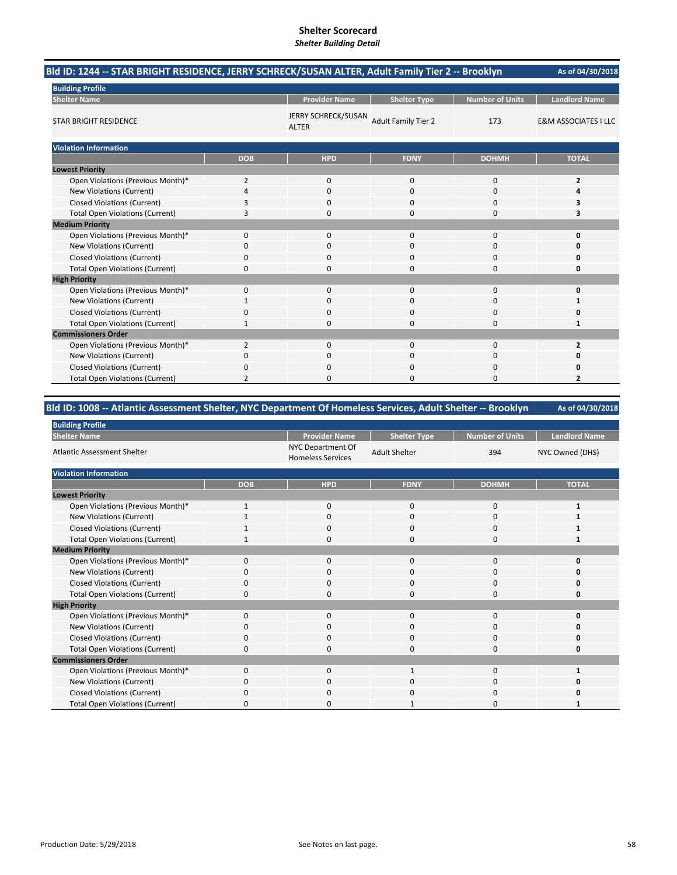# **Shelter Scorecard**

|  | <b>Shelter Building Detail</b> |  |
|--|--------------------------------|--|
|--|--------------------------------|--|

| Bld ID: 1244 -- STAR BRIGHT RESIDENCE, JERRY SCHRECK/SUSAN ALTER, Adult Family Tier 2 -- Brooklyn |                |                                     |                            |                        | As of 04/30/2018                |
|---------------------------------------------------------------------------------------------------|----------------|-------------------------------------|----------------------------|------------------------|---------------------------------|
| <b>Building Profile</b>                                                                           |                |                                     |                            |                        |                                 |
| <b>Shelter Name</b>                                                                               |                | <b>Provider Name</b>                | <b>Shelter Type</b>        | <b>Number of Units</b> | <b>Landlord Name</b>            |
| <b>STAR BRIGHT RESIDENCE</b>                                                                      |                | JERRY SCHRECK/SUSAN<br><b>ALTER</b> | <b>Adult Family Tier 2</b> | 173                    | <b>E&amp;M ASSOCIATES I LLC</b> |
| <b>Violation Information</b>                                                                      |                |                                     |                            |                        |                                 |
|                                                                                                   | <b>DOB</b>     | <b>HPD</b>                          | <b>FDNY</b>                | <b>DOHMH</b>           | <b>TOTAL</b>                    |
| <b>Lowest Priority</b>                                                                            |                |                                     |                            |                        |                                 |
| Open Violations (Previous Month)*                                                                 | 2              | $\mathbf 0$                         | 0                          | $\mathbf 0$            | $\overline{2}$                  |
| New Violations (Current)                                                                          | 4              | 0                                   | 0                          | $\mathbf 0$            | 4                               |
| <b>Closed Violations (Current)</b>                                                                | 3              | $\Omega$                            | 0                          | $\mathbf 0$            | 3                               |
| <b>Total Open Violations (Current)</b>                                                            | 3              | $\Omega$                            | O                          | $\Omega$               | 3                               |
| <b>Medium Priority</b>                                                                            |                |                                     |                            |                        |                                 |
| Open Violations (Previous Month)*                                                                 | $\Omega$       | $\Omega$                            | $\Omega$                   | $\Omega$               | n                               |
| New Violations (Current)                                                                          | 0              | $\Omega$                            | 0                          | 0                      |                                 |
| <b>Closed Violations (Current)</b>                                                                | 0              | $\Omega$                            | $\Omega$                   | $\mathbf 0$            |                                 |
| <b>Total Open Violations (Current)</b>                                                            | 0              | $\Omega$                            | 0                          | 0                      | n                               |
| <b>High Priority</b>                                                                              |                |                                     |                            |                        |                                 |
| Open Violations (Previous Month)*                                                                 | 0              | $\mathbf{0}$                        | 0                          | 0                      | O                               |
| <b>New Violations (Current)</b>                                                                   | 1              | $\Omega$                            | $\Omega$                   | $\Omega$               |                                 |
| <b>Closed Violations (Current)</b>                                                                | 0              | $\Omega$                            | $\Omega$                   | 0                      |                                 |
| <b>Total Open Violations (Current)</b>                                                            | 1              | 0                                   | 0                          | $\mathbf 0$            | 1                               |
| <b>Commissioners Order</b>                                                                        |                |                                     |                            |                        |                                 |
| Open Violations (Previous Month)*                                                                 | $\overline{2}$ | $\Omega$                            | $\Omega$                   | $\Omega$               | $\overline{2}$                  |
| New Violations (Current)                                                                          | 0              | 0                                   | $\Omega$                   | 0                      |                                 |
| <b>Closed Violations (Current)</b>                                                                | 0              | 0                                   | 0                          | 0                      |                                 |
| <b>Total Open Violations (Current)</b>                                                            | 2              | $\Omega$                            | 0                          | $\Omega$               | $\overline{2}$                  |

## **Bld ID: 1008 ‐‐ Atlantic Assessment Shelter, NYC Department Of Homeless Services, Adult Shelter ‐‐ Brooklyn**

| <b>Building Profile</b>                |              |                                               |                      |                 |                      |
|----------------------------------------|--------------|-----------------------------------------------|----------------------|-----------------|----------------------|
| <b>Shelter Name</b>                    |              | <b>Provider Name</b>                          | <b>Shelter Type</b>  | Number of Units | <b>Landlord Name</b> |
| <b>Atlantic Assessment Shelter</b>     |              | NYC Department Of<br><b>Homeless Services</b> | <b>Adult Shelter</b> | 394             | NYC Owned (DHS)      |
| <b>Violation Information</b>           |              |                                               |                      |                 |                      |
|                                        | <b>DOB</b>   | <b>HPD</b>                                    | <b>FDNY</b>          | <b>DOHMH</b>    | <b>TOTAL</b>         |
| <b>Lowest Priority</b>                 |              |                                               |                      |                 |                      |
| Open Violations (Previous Month)*      | $\mathbf{1}$ | $\mathbf{0}$                                  | $\mathbf 0$          | $\mathbf 0$     |                      |
| New Violations (Current)               |              | 0                                             | 0                    | $\mathbf 0$     |                      |
| <b>Closed Violations (Current)</b>     |              | 0                                             | $\mathbf 0$          | $\mathbf 0$     |                      |
| <b>Total Open Violations (Current)</b> | 1            | 0                                             | $\Omega$             | $\mathbf 0$     |                      |
| <b>Medium Priority</b>                 |              |                                               |                      |                 |                      |
| Open Violations (Previous Month)*      | $\Omega$     | $\mathbf{0}$                                  | $\Omega$             | $\mathbf{0}$    |                      |
| New Violations (Current)               | O            | 0                                             | 0                    | 0               |                      |
| <b>Closed Violations (Current)</b>     | 0            | 0                                             | 0                    | $\mathbf 0$     |                      |
| <b>Total Open Violations (Current)</b> | 0            | 0                                             | 0                    | $\mathbf 0$     |                      |
| <b>High Priority</b>                   |              |                                               |                      |                 |                      |
| Open Violations (Previous Month)*      | $\mathbf 0$  | 0                                             | $\mathbf{0}$         | $\mathbf{0}$    | n                    |
| New Violations (Current)               | 0            | 0                                             | $\Omega$             | 0               |                      |
| <b>Closed Violations (Current)</b>     | 0            | 0                                             | $\mathbf 0$          | $\mathbf 0$     |                      |
| <b>Total Open Violations (Current)</b> | O            | 0                                             | 0                    | 0               |                      |
| <b>Commissioners Order</b>             |              |                                               |                      |                 |                      |
| Open Violations (Previous Month)*      | $\Omega$     | 0                                             | $\mathbf{1}$         | $\mathbf 0$     |                      |
| New Violations (Current)               | 0            | 0                                             | 0                    | 0               |                      |
| <b>Closed Violations (Current)</b>     | 0            | 0                                             | $\Omega$             | 0               |                      |
| <b>Total Open Violations (Current)</b> | n            | 0                                             |                      | 0               |                      |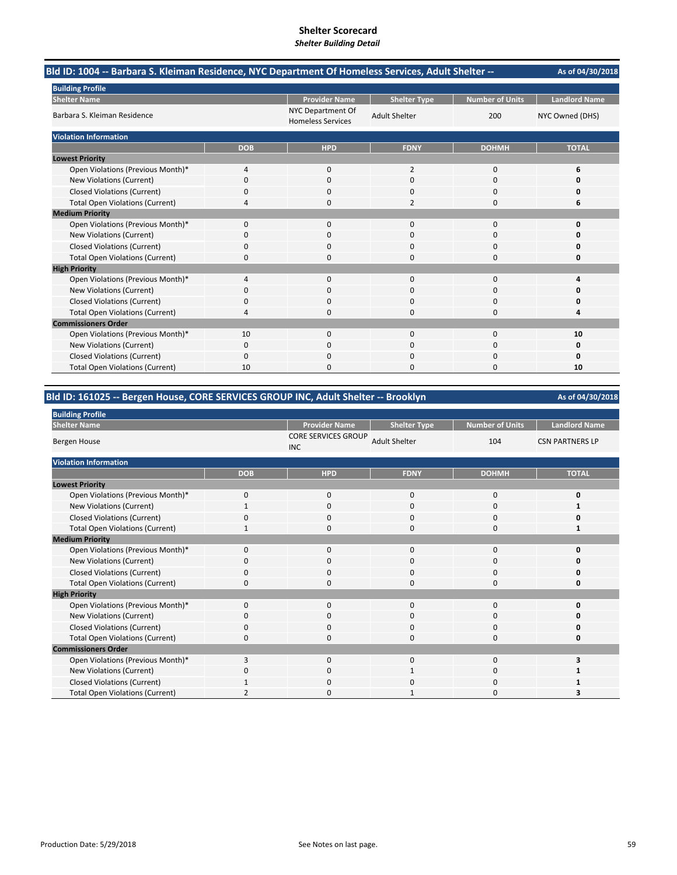| -- Bld ID: 1004 -- Barbara S. Kleiman Residence, NYC Department Of Homeless Services, Adult Shelter |            |                                               |                      |                        | As of 04/30/2018     |
|-----------------------------------------------------------------------------------------------------|------------|-----------------------------------------------|----------------------|------------------------|----------------------|
| <b>Building Profile</b>                                                                             |            |                                               |                      |                        |                      |
| <b>Shelter Name</b>                                                                                 |            | <b>Provider Name</b>                          | <b>Shelter Type</b>  | <b>Number of Units</b> | <b>Landlord Name</b> |
| Barbara S. Kleiman Residence                                                                        |            | NYC Department Of<br><b>Homeless Services</b> | <b>Adult Shelter</b> | 200                    | NYC Owned (DHS)      |
| <b>Violation Information</b>                                                                        |            |                                               |                      |                        |                      |
|                                                                                                     | <b>DOB</b> | <b>HPD</b>                                    | <b>FDNY</b>          | <b>DOHMH</b>           | <b>TOTAL</b>         |
| <b>Lowest Priority</b>                                                                              |            |                                               |                      |                        |                      |
| Open Violations (Previous Month)*                                                                   | 4          | 0                                             | 2                    | 0                      | 6                    |
| New Violations (Current)                                                                            | 0          | 0                                             | $\Omega$             | 0                      | O                    |
| <b>Closed Violations (Current)</b>                                                                  | 0          | $\Omega$                                      | $\Omega$             | $\Omega$               | Ω                    |
| <b>Total Open Violations (Current)</b>                                                              | 4          | 0                                             | 2                    | 0                      | 6                    |
| <b>Medium Priority</b>                                                                              |            |                                               |                      |                        |                      |
| Open Violations (Previous Month)*                                                                   | 0          | $\Omega$                                      | $\Omega$             | $\Omega$               | O                    |
| <b>New Violations (Current)</b>                                                                     | 0          | 0                                             | O                    | 0                      |                      |
| <b>Closed Violations (Current)</b>                                                                  | 0          | $\Omega$                                      | $\Omega$             | $\Omega$               | n                    |
| <b>Total Open Violations (Current)</b>                                                              | 0          | 0                                             | $\Omega$             | 0                      | 0                    |
| <b>High Priority</b>                                                                                |            |                                               |                      |                        |                      |
| Open Violations (Previous Month)*                                                                   | 4          | $\Omega$                                      | $\mathbf 0$          | $\Omega$               | Δ                    |
| New Violations (Current)                                                                            | 0          | 0                                             | $\Omega$             | 0                      |                      |
| <b>Closed Violations (Current)</b>                                                                  | 0          | n                                             | U                    | 0                      | Ω                    |
| <b>Total Open Violations (Current)</b>                                                              | 4          | ŋ                                             | <sup>0</sup>         | 0                      | Δ                    |
| <b>Commissioners Order</b>                                                                          |            |                                               |                      |                        |                      |
| Open Violations (Previous Month)*                                                                   | 10         | 0                                             | 0                    | 0                      | 10                   |
| New Violations (Current)                                                                            | 0          | 0                                             |                      | 0                      | Ω                    |
| <b>Closed Violations (Current)</b>                                                                  | 0          | ŋ                                             | $\Omega$             | 0                      | n                    |
| <b>Total Open Violations (Current)</b>                                                              | 10         | n                                             | n                    | O                      | 10                   |

## **Bld ID: 161025 ‐‐ Bergen House, CORE SERVICES GROUP INC, Adult Shelter ‐‐ Brooklyn**

| <b>Building Profile</b>                |            |                                          |                      |                 |                        |
|----------------------------------------|------------|------------------------------------------|----------------------|-----------------|------------------------|
| <b>Shelter Name</b>                    |            | <b>Provider Name</b>                     | <b>Shelter Type</b>  | Number of Units | <b>Landlord Name</b>   |
| Bergen House                           |            | <b>CORE SERVICES GROUP</b><br><b>INC</b> | <b>Adult Shelter</b> | 104             | <b>CSN PARTNERS LP</b> |
| <b>Violation Information</b>           |            |                                          |                      |                 |                        |
|                                        | <b>DOB</b> | <b>HPD</b>                               | <b>FDNY</b>          | <b>DOHMH</b>    | <b>TOTAL</b>           |
| <b>Lowest Priority</b>                 |            |                                          |                      |                 |                        |
| Open Violations (Previous Month)*      | 0          | 0                                        | 0                    | 0               | 0                      |
| New Violations (Current)               |            | 0                                        | 0                    | 0               |                        |
| <b>Closed Violations (Current)</b>     | 0          | 0                                        | $\mathbf{0}$         | 0               | 0                      |
| <b>Total Open Violations (Current)</b> |            | 0                                        | $\Omega$             | $\mathbf{0}$    |                        |
| <b>Medium Priority</b>                 |            |                                          |                      |                 |                        |
| Open Violations (Previous Month)*      | 0          | 0                                        | $\mathbf{0}$         | 0               | ŋ                      |
| New Violations (Current)               | 0          | 0                                        | 0                    | 0               | n                      |
| <b>Closed Violations (Current)</b>     | 0          | 0                                        | 0                    | 0               | 0                      |
| <b>Total Open Violations (Current)</b> | 0          | 0                                        | $\Omega$             | $\mathbf{0}$    | U                      |
| <b>High Priority</b>                   |            |                                          |                      |                 |                        |
| Open Violations (Previous Month)*      | 0          | $\mathbf 0$                              | $\mathbf{0}$         | $\mathbf{0}$    | 0                      |
| New Violations (Current)               | 0          | 0                                        | 0                    | 0               | ŋ                      |
| <b>Closed Violations (Current)</b>     | 0          | 0                                        | 0                    | 0               | ŋ                      |
| <b>Total Open Violations (Current)</b> | $\Omega$   | 0                                        | 0                    | 0               | 0                      |
| <b>Commissioners Order</b>             |            |                                          |                      |                 |                        |
| Open Violations (Previous Month)*      | 3          | 0                                        | $\mathbf{0}$         | $\mathbf{0}$    |                        |
| New Violations (Current)               | 0          | 0                                        |                      | 0               |                        |
| <b>Closed Violations (Current)</b>     |            | 0                                        | 0                    | 0               |                        |
| <b>Total Open Violations (Current)</b> |            | $\Omega$                                 |                      | 0               |                        |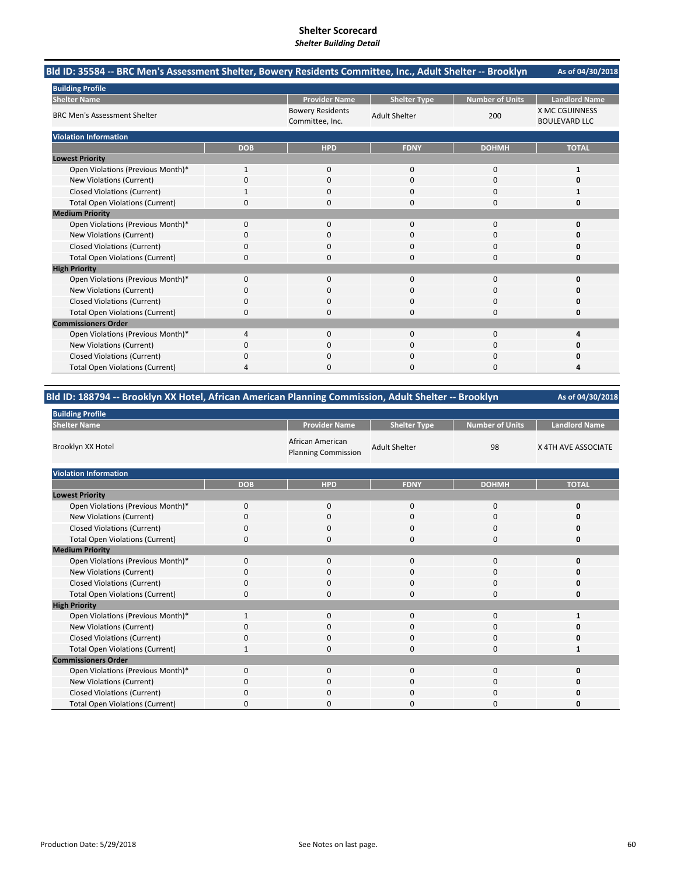| Bld ID: 35584 -- BRC Men's Assessment Shelter, Bowery Residents Committee, Inc., Adult Shelter -- Brooklyn |            |                                            |                      |                        | As of 04/30/2018                              |
|------------------------------------------------------------------------------------------------------------|------------|--------------------------------------------|----------------------|------------------------|-----------------------------------------------|
| <b>Building Profile</b>                                                                                    |            |                                            |                      |                        |                                               |
| <b>Shelter Name</b>                                                                                        |            | <b>Provider Name</b>                       | <b>Shelter Type</b>  | <b>Number of Units</b> | <b>Landlord Name</b>                          |
| <b>BRC Men's Assessment Shelter</b>                                                                        |            | <b>Bowery Residents</b><br>Committee, Inc. | <b>Adult Shelter</b> | 200                    | <b>X MC CGUINNESS</b><br><b>BOULEVARD LLC</b> |
| <b>Violation Information</b>                                                                               |            |                                            |                      |                        |                                               |
|                                                                                                            | <b>DOB</b> | <b>HPD</b>                                 | <b>FDNY</b>          | <b>DOHMH</b>           | <b>TOTAL</b>                                  |
| <b>Lowest Priority</b>                                                                                     |            |                                            |                      |                        |                                               |
| Open Violations (Previous Month)*                                                                          | 1          | $\Omega$                                   | $\Omega$             | $\Omega$               | 1                                             |
| New Violations (Current)                                                                                   | 0          | 0                                          | O                    | $\Omega$               |                                               |
| <b>Closed Violations (Current)</b>                                                                         |            | 0                                          | 0                    | $\Omega$               |                                               |
| <b>Total Open Violations (Current)</b>                                                                     | 0          | 0                                          | 0                    | <sup>0</sup>           | n                                             |
| <b>Medium Priority</b>                                                                                     |            |                                            |                      |                        |                                               |
| Open Violations (Previous Month)*                                                                          | 0          | $\Omega$                                   | $\Omega$             | $\Omega$               | n                                             |
| New Violations (Current)                                                                                   | ŋ          | 0                                          |                      | 0                      |                                               |
| <b>Closed Violations (Current)</b>                                                                         | 0          | $\Omega$                                   | 0                    | $\Omega$               |                                               |
| <b>Total Open Violations (Current)</b>                                                                     | 0          | 0                                          | 0                    | $\Omega$               | ŋ                                             |
| <b>High Priority</b>                                                                                       |            |                                            |                      |                        |                                               |
| Open Violations (Previous Month)*                                                                          | 0          | 0                                          | 0                    | $\Omega$               |                                               |
| New Violations (Current)                                                                                   | 0          | 0                                          | 0                    | $\Omega$               |                                               |
| <b>Closed Violations (Current)</b>                                                                         | 0          | 0                                          | 0                    | $\Omega$               |                                               |
| <b>Total Open Violations (Current)</b>                                                                     | 0          | 0                                          | 0                    | $\Omega$               | ŋ                                             |
| <b>Commissioners Order</b>                                                                                 |            |                                            |                      |                        |                                               |
| Open Violations (Previous Month)*                                                                          | 4          | $\Omega$                                   | $\Omega$             | $\Omega$               |                                               |
| New Violations (Current)                                                                                   |            | 0                                          |                      | 0                      |                                               |
| <b>Closed Violations (Current)</b>                                                                         | 0          | 0                                          | O                    | 0                      |                                               |
| <b>Total Open Violations (Current)</b>                                                                     | 4          | n.                                         | O                    | <sup>0</sup>           |                                               |

| Bld ID: 188794 -- Brooklyn XX Hotel, African American Planning Commission, Adult Shelter -- Brooklyn |  |  |
|------------------------------------------------------------------------------------------------------|--|--|
|                                                                                                      |  |  |

| <b>Building Profile</b>                |              |                                                |                      |                        |                      |
|----------------------------------------|--------------|------------------------------------------------|----------------------|------------------------|----------------------|
| <b>Shelter Name</b>                    |              | <b>Provider Name</b>                           | <b>Shelter Type</b>  | <b>Number of Units</b> | <b>Landlord Name</b> |
| Brooklyn XX Hotel                      |              | African American<br><b>Planning Commission</b> | <b>Adult Shelter</b> | 98                     | X 4TH AVE ASSOCIATE  |
| <b>Violation Information</b>           |              |                                                |                      |                        |                      |
|                                        | <b>DOB</b>   | <b>HPD</b>                                     | <b>FDNY</b>          | <b>DOHMH</b>           | <b>TOTAL</b>         |
| <b>Lowest Priority</b>                 |              |                                                |                      |                        |                      |
| Open Violations (Previous Month)*      | $\Omega$     | $\mathbf 0$                                    | 0                    | $\mathbf 0$            | 0                    |
| New Violations (Current)               | 0            | $\mathbf 0$                                    | 0                    | $\mathbf 0$            | n                    |
| Closed Violations (Current)            | 0            | $\Omega$                                       | $\Omega$             | 0                      |                      |
| <b>Total Open Violations (Current)</b> | 0            | $\mathbf 0$                                    | 0                    | 0                      | Ω                    |
| <b>Medium Priority</b>                 |              |                                                |                      |                        |                      |
| Open Violations (Previous Month)*      | $\mathbf{0}$ | $\mathbf 0$                                    | 0                    | 0                      |                      |
| New Violations (Current)               | 0            | $\mathbf 0$                                    | 0                    | 0                      |                      |
| <b>Closed Violations (Current)</b>     | 0            | $\mathbf 0$                                    | 0                    | $\mathbf 0$            | Ω                    |
| <b>Total Open Violations (Current)</b> | 0            | 0                                              | 0                    | $\mathbf 0$            | 0                    |
| <b>High Priority</b>                   |              |                                                |                      |                        |                      |
| Open Violations (Previous Month)*      | $\mathbf{1}$ | $\mathbf 0$                                    | $\mathbf 0$          | $\bf 0$                | 1                    |
| New Violations (Current)               | 0            | $\mathbf 0$                                    | 0                    | 0                      | n                    |
| <b>Closed Violations (Current)</b>     | 0            | $\mathbf 0$                                    | 0                    | 0                      | Ω                    |
| <b>Total Open Violations (Current)</b> |              | $\Omega$                                       | $\Omega$             | 0                      | 1                    |
| <b>Commissioners Order</b>             |              |                                                |                      |                        |                      |
| Open Violations (Previous Month)*      | $\Omega$     | $\Omega$                                       | 0                    | 0                      | ŋ                    |
| New Violations (Current)               | 0            | 0                                              | 0                    | 0                      | n                    |
| <b>Closed Violations (Current)</b>     | 0            | $\mathbf 0$                                    | 0                    | 0                      |                      |
| <b>Total Open Violations (Current)</b> | n            | $\Omega$                                       | O                    | $\Omega$               |                      |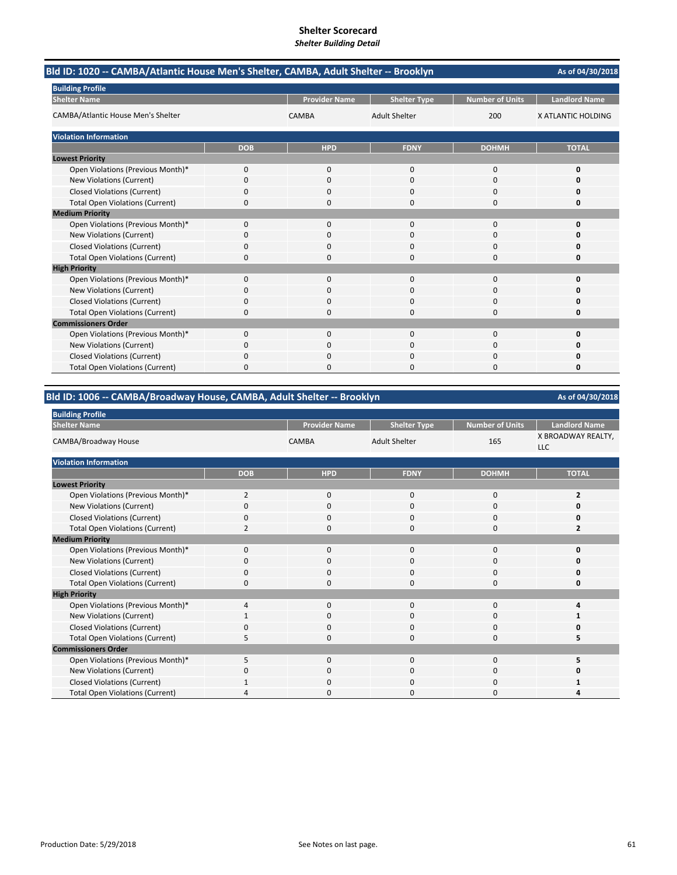| Bld ID: 1020 -- CAMBA/Atlantic House Men's Shelter, CAMBA, Adult Shelter -- Brooklyn |            |                      |                      |                        | As of 04/30/2018     |
|--------------------------------------------------------------------------------------|------------|----------------------|----------------------|------------------------|----------------------|
| <b>Building Profile</b>                                                              |            |                      |                      |                        |                      |
| <b>Shelter Name</b>                                                                  |            | <b>Provider Name</b> | <b>Shelter Type</b>  | <b>Number of Units</b> | <b>Landlord Name</b> |
| CAMBA/Atlantic House Men's Shelter                                                   |            | <b>CAMBA</b>         | <b>Adult Shelter</b> | 200                    | X ATLANTIC HOLDING   |
| <b>Violation Information</b>                                                         |            |                      |                      |                        |                      |
|                                                                                      | <b>DOB</b> | <b>HPD</b>           | <b>FDNY</b>          | <b>DOHMH</b>           | <b>TOTAL</b>         |
| <b>Lowest Priority</b>                                                               |            |                      |                      |                        |                      |
| Open Violations (Previous Month)*                                                    | 0          | $\Omega$             | $\Omega$             | $\Omega$               | 0                    |
| New Violations (Current)                                                             | 0          | $\Omega$             | $\Omega$             | $\Omega$               | Ω                    |
| <b>Closed Violations (Current)</b>                                                   | 0          | 0                    | 0                    | 0                      | 0                    |
| <b>Total Open Violations (Current)</b>                                               | 0          | 0                    | 0                    | $\Omega$               | 0                    |
| <b>Medium Priority</b>                                                               |            |                      |                      |                        |                      |
| Open Violations (Previous Month)*                                                    | 0          | 0                    | $\Omega$             | $\mathbf 0$            | O                    |
| New Violations (Current)                                                             | n          | 0                    | O                    | O                      | n                    |
| <b>Closed Violations (Current)</b>                                                   | 0          | $\Omega$             | 0                    | $\Omega$               | 0                    |
| <b>Total Open Violations (Current)</b>                                               | 0          | $\Omega$             | 0                    | $\Omega$               | 0                    |
| <b>High Priority</b>                                                                 |            |                      |                      |                        |                      |
| Open Violations (Previous Month)*                                                    | 0          | $\Omega$             | $\Omega$             | $\Omega$               | O                    |
| New Violations (Current)                                                             | ŋ          | 0                    | $\Omega$             | 0                      | n                    |
| <b>Closed Violations (Current)</b>                                                   | $\Omega$   | 0                    | 0                    | $\Omega$               | 0                    |
| <b>Total Open Violations (Current)</b>                                               | 0          | 0                    | 0                    | $\Omega$               | 0                    |
| <b>Commissioners Order</b>                                                           |            |                      |                      |                        |                      |
| Open Violations (Previous Month)*                                                    | 0          | $\Omega$             | $\Omega$             | $\Omega$               | 0                    |
| New Violations (Current)                                                             | 0          | 0                    | 0                    | 0                      | n                    |
| <b>Closed Violations (Current)</b>                                                   | 0          | $\Omega$             | 0                    | $\Omega$               | Ω                    |
| <b>Total Open Violations (Current)</b>                                               | 0          | O                    | O                    | $\Omega$               | 0                    |

## **Bld ID: 1006 ‐‐ CAMBA/Broadway House, CAMBA, Adult Shelter ‐‐ Brooklyn**

| <b>Building Profile</b>                |                |                      |                      |                        |                                  |
|----------------------------------------|----------------|----------------------|----------------------|------------------------|----------------------------------|
| <b>Shelter Name</b>                    |                | <b>Provider Name</b> | <b>Shelter Type</b>  | <b>Number of Units</b> | <b>Landlord Name</b>             |
| CAMBA/Broadway House                   |                | <b>CAMBA</b>         | <b>Adult Shelter</b> | 165                    | X BROADWAY REALTY,<br><b>LLC</b> |
| <b>Violation Information</b>           |                |                      |                      |                        |                                  |
|                                        | <b>DOB</b>     | <b>HPD</b>           | <b>FDNY</b>          | <b>DOHMH</b>           | <b>TOTAL</b>                     |
| <b>Lowest Priority</b>                 |                |                      |                      |                        |                                  |
| Open Violations (Previous Month)*      | $\overline{2}$ | $\mathbf 0$          | 0                    | 0                      | $\overline{2}$                   |
| New Violations (Current)               | 0              | 0                    | 0                    | 0                      | 0                                |
| <b>Closed Violations (Current)</b>     | $\Omega$       | 0                    | 0                    | 0                      | O                                |
| <b>Total Open Violations (Current)</b> | 2              | 0                    | 0                    | 0                      | 2                                |
| <b>Medium Priority</b>                 |                |                      |                      |                        |                                  |
| Open Violations (Previous Month)*      | $\Omega$       | $\Omega$             | $\Omega$             | 0                      | O                                |
| New Violations (Current)               | 0              | 0                    | 0                    | 0                      | O                                |
| <b>Closed Violations (Current)</b>     | $\Omega$       | 0                    | 0                    | 0                      | 0                                |
| <b>Total Open Violations (Current)</b> | $\mathbf 0$    | 0                    | $\Omega$             | 0                      | 0                                |
| <b>High Priority</b>                   |                |                      |                      |                        |                                  |
| Open Violations (Previous Month)*      | $\overline{a}$ | $\Omega$             | $\Omega$             | 0                      | Δ                                |
| New Violations (Current)               |                | 0                    | 0                    | 0                      |                                  |
| <b>Closed Violations (Current)</b>     | $\Omega$       | $\Omega$             | $\Omega$             | 0                      | O                                |
| <b>Total Open Violations (Current)</b> | 5              | 0                    | $\Omega$             | 0                      | 5                                |
| <b>Commissioners Order</b>             |                |                      |                      |                        |                                  |
| Open Violations (Previous Month)*      | 5              | 0                    | 0                    | 0                      | 5                                |
| New Violations (Current)               | 0              | 0                    | 0                    | 0                      | Ω                                |
| Closed Violations (Current)            |                | 0                    | O                    | 0                      |                                  |
| <b>Total Open Violations (Current)</b> |                | 0                    | O                    | 0                      |                                  |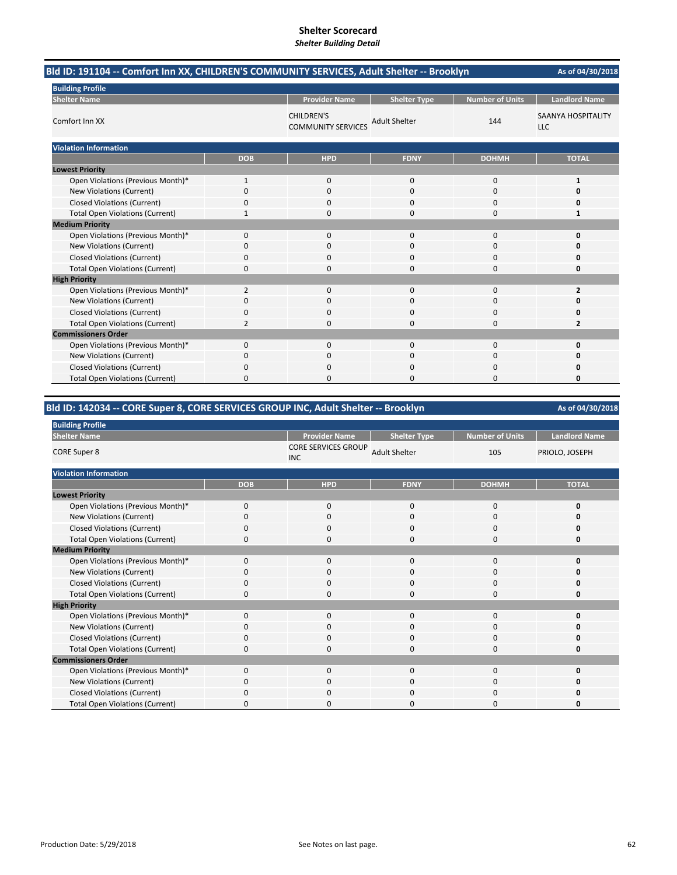| Bld ID: 191104 -- Comfort Inn XX, CHILDREN'S COMMUNITY SERVICES, Adult Shelter -- Brooklyn |                |                                                |                      |                        | As of 04/30/2018                        |
|--------------------------------------------------------------------------------------------|----------------|------------------------------------------------|----------------------|------------------------|-----------------------------------------|
| <b>Building Profile</b>                                                                    |                |                                                |                      |                        |                                         |
| <b>Shelter Name</b>                                                                        |                | <b>Provider Name</b>                           | <b>Shelter Type</b>  | <b>Number of Units</b> | <b>Landlord Name</b>                    |
| Comfort Inn XX                                                                             |                | <b>CHILDREN'S</b><br><b>COMMUNITY SERVICES</b> | <b>Adult Shelter</b> | 144                    | <b>SAANYA HOSPITALITY</b><br><b>LLC</b> |
| <b>Violation Information</b>                                                               |                |                                                |                      |                        |                                         |
|                                                                                            | <b>DOB</b>     | <b>HPD</b>                                     | <b>FDNY</b>          | <b>DOHMH</b>           | <b>TOTAL</b>                            |
| <b>Lowest Priority</b>                                                                     |                |                                                |                      |                        |                                         |
| Open Violations (Previous Month)*                                                          | 1              | 0                                              | 0                    | $\mathbf 0$            | $\mathbf{1}$                            |
| New Violations (Current)                                                                   | 0              | $\Omega$                                       | 0                    | $\Omega$               | ŋ                                       |
| <b>Closed Violations (Current)</b>                                                         | 0              | 0                                              | 0                    | <sup>0</sup>           | ŋ                                       |
| <b>Total Open Violations (Current)</b>                                                     | $\mathbf{1}$   | $\mathbf 0$                                    | 0                    | 0                      | 1                                       |
| <b>Medium Priority</b>                                                                     |                |                                                |                      |                        |                                         |
| Open Violations (Previous Month)*                                                          | 0              | $\mathbf 0$                                    | 0                    | $\mathbf 0$            | 0                                       |
| New Violations (Current)                                                                   | 0              | 0                                              | 0                    | 0                      | ŋ                                       |
| <b>Closed Violations (Current)</b>                                                         | 0              | $\mathbf 0$                                    | 0                    | 0                      | O                                       |
| <b>Total Open Violations (Current)</b>                                                     | 0              | $\mathbf 0$                                    | 0                    | 0                      | 0                                       |
| <b>High Priority</b>                                                                       |                |                                                |                      |                        |                                         |
| Open Violations (Previous Month)*                                                          | $\overline{2}$ | $\Omega$                                       | $\Omega$             | $\Omega$               | $\overline{2}$                          |
| New Violations (Current)                                                                   | 0              | 0                                              | 0                    | 0                      | ŋ                                       |
| <b>Closed Violations (Current)</b>                                                         | 0              | $\mathbf 0$                                    | 0                    | 0                      | O                                       |
| <b>Total Open Violations (Current)</b>                                                     | $\overline{2}$ | $\Omega$                                       | 0                    | O                      | $\overline{2}$                          |
| <b>Commissioners Order</b>                                                                 |                |                                                |                      |                        |                                         |
| Open Violations (Previous Month)*                                                          | 0              | $\mathbf 0$                                    | 0                    | $\Omega$               | ŋ                                       |
| New Violations (Current)                                                                   | 0              | $\Omega$                                       | 0                    | 0                      | O                                       |
| <b>Closed Violations (Current)</b>                                                         | 0              | $\mathbf{0}$                                   | 0                    | 0                      | n                                       |
| <b>Total Open Violations (Current)</b>                                                     | 0              | $\Omega$                                       | 0                    | $\Omega$               | O                                       |

## **Bld ID: 142034 ‐‐ CORE Super 8, CORE SERVICES GROUP INC, Adult Shelter ‐‐ Brooklyn**

| <b>Building Profile</b>                |             |                                          |                      |                        |                      |  |
|----------------------------------------|-------------|------------------------------------------|----------------------|------------------------|----------------------|--|
| <b>Shelter Name</b>                    |             | <b>Provider Name</b>                     | <b>Shelter Type</b>  | <b>Number of Units</b> | <b>Landlord Name</b> |  |
| <b>CORE Super 8</b>                    |             | <b>CORE SERVICES GROUP</b><br><b>INC</b> | <b>Adult Shelter</b> | 105                    | PRIOLO, JOSEPH       |  |
| <b>Violation Information</b>           |             |                                          |                      |                        |                      |  |
|                                        | <b>DOB</b>  | <b>HPD</b>                               | <b>FDNY</b>          | <b>DOHMH</b>           | <b>TOTAL</b>         |  |
| <b>Lowest Priority</b>                 |             |                                          |                      |                        |                      |  |
| Open Violations (Previous Month)*      | $\mathbf 0$ | $\mathbf 0$                              | 0                    | 0                      | 0                    |  |
| New Violations (Current)               | $\Omega$    | $\mathbf 0$                              | $\Omega$             | 0                      |                      |  |
| <b>Closed Violations (Current)</b>     | 0           | $\mathbf 0$                              | 0                    | $\mathbf 0$            | n                    |  |
| <b>Total Open Violations (Current)</b> | $\Omega$    | $\mathbf 0$                              | $\Omega$             | $\mathbf 0$            | Ω                    |  |
| <b>Medium Priority</b>                 |             |                                          |                      |                        |                      |  |
| Open Violations (Previous Month)*      | $\mathbf 0$ | $\mathbf 0$                              | 0                    | 0                      |                      |  |
| New Violations (Current)               | 0           | $\Omega$                                 | 0                    | 0                      |                      |  |
| <b>Closed Violations (Current)</b>     | 0           | $\mathbf 0$                              | 0                    | $\mathbf 0$            |                      |  |
| <b>Total Open Violations (Current)</b> | $\Omega$    | $\Omega$                                 | $\Omega$             | 0                      | ŋ                    |  |
| <b>High Priority</b>                   |             |                                          |                      |                        |                      |  |
| Open Violations (Previous Month)*      | $\mathbf 0$ | $\mathbf 0$                              | 0                    | $\mathbf 0$            |                      |  |
| New Violations (Current)               | 0           | 0                                        | 0                    | 0                      |                      |  |
| <b>Closed Violations (Current)</b>     | 0           | $\mathbf 0$                              | 0                    | 0                      |                      |  |
| <b>Total Open Violations (Current)</b> | 0           | $\mathbf 0$                              | 0                    | $\mathbf 0$            | Ω                    |  |
| <b>Commissioners Order</b>             |             |                                          |                      |                        |                      |  |
| Open Violations (Previous Month)*      | $\Omega$    | $\mathbf 0$                              | 0                    | $\mathbf 0$            | O                    |  |
| New Violations (Current)               | 0           | $\mathbf 0$                              | 0                    | $\mathbf 0$            |                      |  |
| <b>Closed Violations (Current)</b>     | 0           | $\mathbf 0$                              | 0                    | $\mathbf 0$            |                      |  |
| <b>Total Open Violations (Current)</b> | 0           | 0                                        | ŋ                    | $\Omega$               |                      |  |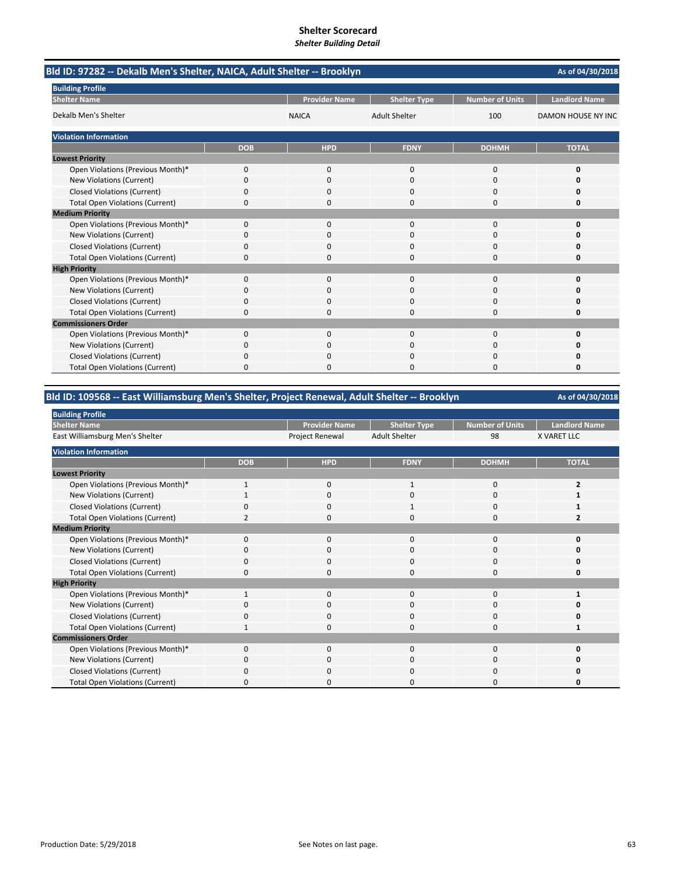| Bld ID: 97282 -- Dekalb Men's Shelter, NAICA, Adult Shelter -- Brooklyn |            |                      |                      |                        | As of 04/30/2018     |
|-------------------------------------------------------------------------|------------|----------------------|----------------------|------------------------|----------------------|
| <b>Building Profile</b>                                                 |            |                      |                      |                        |                      |
| <b>Shelter Name</b>                                                     |            | <b>Provider Name</b> | <b>Shelter Type</b>  | <b>Number of Units</b> | <b>Landlord Name</b> |
| Dekalb Men's Shelter                                                    |            | <b>NAICA</b>         | <b>Adult Shelter</b> | 100                    | DAMON HOUSE NY INC   |
| <b>Violation Information</b>                                            |            |                      |                      |                        |                      |
|                                                                         | <b>DOB</b> | <b>HPD</b>           | <b>FDNY</b>          | <b>DOHMH</b>           | <b>TOTAL</b>         |
| <b>Lowest Priority</b>                                                  |            |                      |                      |                        |                      |
| Open Violations (Previous Month)*                                       | 0          | 0                    | $\mathbf{0}$         | $\mathbf 0$            | 0                    |
| New Violations (Current)                                                | 0          | $\Omega$             | $\Omega$             | $\Omega$               | O                    |
| <b>Closed Violations (Current)</b>                                      | 0          | 0                    | 0                    | 0                      | 0                    |
| <b>Total Open Violations (Current)</b>                                  | 0          | $\Omega$             | 0                    | $\Omega$               | 0                    |
| <b>Medium Priority</b>                                                  |            |                      |                      |                        |                      |
| Open Violations (Previous Month)*                                       | $\Omega$   | $\Omega$             | $\Omega$             | $\Omega$               | $\Omega$             |
| New Violations (Current)                                                | 0          | 0                    | 0                    | $\Omega$               | o                    |
| <b>Closed Violations (Current)</b>                                      | 0          | 0                    | 0                    | 0                      | 0                    |
| <b>Total Open Violations (Current)</b>                                  | $\Omega$   | $\Omega$             | 0                    | $\Omega$               | 0                    |
| <b>High Priority</b>                                                    |            |                      |                      |                        |                      |
| Open Violations (Previous Month)*                                       | $\Omega$   | $\Omega$             | $\Omega$             | $\Omega$               | 0                    |
| New Violations (Current)                                                | 0          | $\Omega$             | $\Omega$             | $\Omega$               | O                    |
| <b>Closed Violations (Current)</b>                                      | 0          | 0                    | 0                    | 0                      | 0                    |
| <b>Total Open Violations (Current)</b>                                  | 0          | 0                    | 0                    | 0                      | 0                    |
| <b>Commissioners Order</b>                                              |            |                      |                      |                        |                      |
| Open Violations (Previous Month)*                                       | $\Omega$   | $\Omega$             | $\Omega$             | $\Omega$               | $\Omega$             |
| New Violations (Current)                                                | 0          | 0                    | 0                    | $\Omega$               | o                    |
| <b>Closed Violations (Current)</b>                                      | 0          | 0                    | 0                    | 0                      | 0                    |
| <b>Total Open Violations (Current)</b>                                  | 0          | O                    | O                    | $\Omega$               | 0                    |

## **Bld ID: 109568 ‐‐ East Williamsburg Men's Shelter, Project Renewal, Adult Shelter ‐‐ Brooklyn**

| <b>Building Profile</b>                |             |                      |                      |                 |                      |
|----------------------------------------|-------------|----------------------|----------------------|-----------------|----------------------|
| <b>Shelter Name</b>                    |             | <b>Provider Name</b> | <b>Shelter Type</b>  | Number of Units | <b>Landlord Name</b> |
| East Williamsburg Men's Shelter        |             | Project Renewal      | <b>Adult Shelter</b> | 98              | <b>X VARET LLC</b>   |
| <b>Violation Information</b>           |             |                      |                      |                 |                      |
|                                        | <b>DOB</b>  | <b>HPD</b>           | <b>FDNY</b>          | <b>DOHMH</b>    | <b>TOTAL</b>         |
| <b>Lowest Priority</b>                 |             |                      |                      |                 |                      |
| Open Violations (Previous Month)*      | 1           | 0                    |                      | 0               |                      |
| New Violations (Current)               |             | $\Omega$             | 0                    | 0               |                      |
| Closed Violations (Current)            | $\Omega$    | $\Omega$             |                      | 0               |                      |
| <b>Total Open Violations (Current)</b> |             | $\Omega$             | 0                    | $\Omega$        |                      |
| <b>Medium Priority</b>                 |             |                      |                      |                 |                      |
| Open Violations (Previous Month)*      | $\Omega$    | $\Omega$             | $\Omega$             | $\Omega$        | ŋ                    |
| New Violations (Current)               | 0           | 0                    | 0                    | 0               | ŋ                    |
| <b>Closed Violations (Current)</b>     | $\Omega$    | $\Omega$             | $\Omega$             | 0               | O                    |
| <b>Total Open Violations (Current)</b> | 0           | $\mathbf 0$          | 0                    | 0               | O                    |
| <b>High Priority</b>                   |             |                      |                      |                 |                      |
| Open Violations (Previous Month)*      | $\mathbf 1$ | $\mathbf 0$          | 0                    | 0               |                      |
| New Violations (Current)               | $\Omega$    | $\Omega$             | $\Omega$             | $\Omega$        | n                    |
| <b>Closed Violations (Current)</b>     | 0           | 0                    | $\Omega$             | 0               | O                    |
| <b>Total Open Violations (Current)</b> |             | $\Omega$             | $\Omega$             | $\Omega$        |                      |
| <b>Commissioners Order</b>             |             |                      |                      |                 |                      |
| Open Violations (Previous Month)*      | $\Omega$    | $\Omega$             | $\Omega$             | $\Omega$        | O                    |
| New Violations (Current)               | O           | $\Omega$             | 0                    | $\Omega$        | 0                    |
| Closed Violations (Current)            | $\Omega$    | $\Omega$             | $\Omega$             | 0               | O                    |
| <b>Total Open Violations (Current)</b> | O           | O                    | 0                    | 0               | O                    |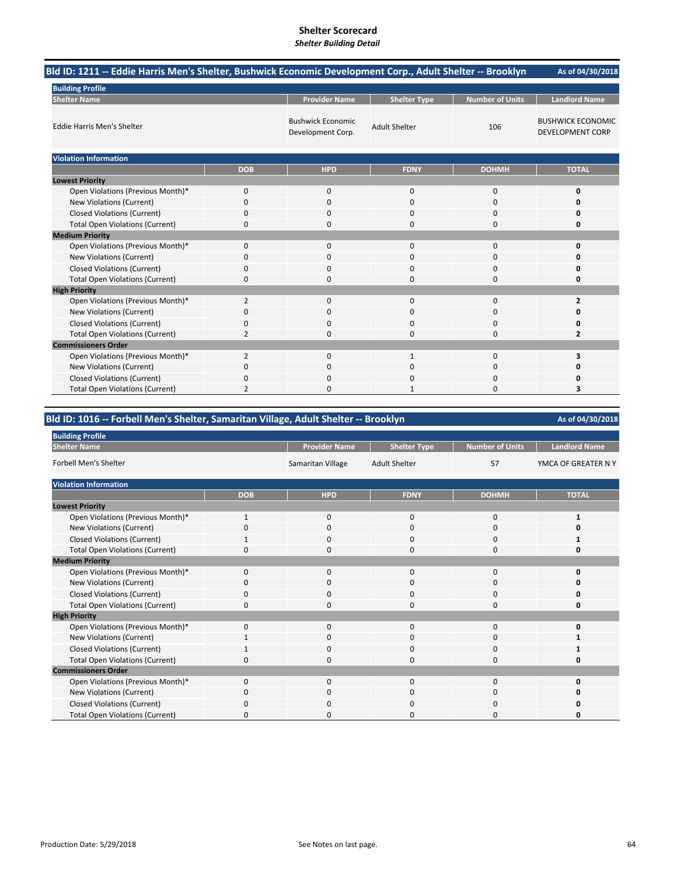# **Shelter Scorecard**

| <b>Shelter Building Detail</b> |  |
|--------------------------------|--|
|--------------------------------|--|

| Bld ID: 1211 -- Eddie Harris Men's Shelter, Bushwick Economic Development Corp., Adult Shelter -- Brooklyn |                |                                               |                      |                        | As of 04/30/2018                                    |
|------------------------------------------------------------------------------------------------------------|----------------|-----------------------------------------------|----------------------|------------------------|-----------------------------------------------------|
| <b>Building Profile</b>                                                                                    |                |                                               |                      |                        |                                                     |
| <b>Shelter Name</b>                                                                                        |                | <b>Provider Name</b>                          | <b>Shelter Type</b>  | <b>Number of Units</b> | <b>Landlord Name</b>                                |
| <b>Eddie Harris Men's Shelter</b>                                                                          |                | <b>Bushwick Economic</b><br>Development Corp. | <b>Adult Shelter</b> | 106                    | <b>BUSHWICK ECONOMIC</b><br><b>DEVELOPMENT CORP</b> |
| <b>Violation Information</b>                                                                               |                |                                               |                      |                        |                                                     |
|                                                                                                            | <b>DOB</b>     | <b>HPD</b>                                    | <b>FDNY</b>          | <b>DOHMH</b>           | <b>TOTAL</b>                                        |
| <b>Lowest Priority</b>                                                                                     |                |                                               |                      |                        |                                                     |
| Open Violations (Previous Month)*                                                                          | 0              | 0                                             | $\mathbf{0}$         | $\mathbf 0$            | 0                                                   |
| New Violations (Current)                                                                                   | 0              | 0                                             | 0                    | $\Omega$               | 0                                                   |
| <b>Closed Violations (Current)</b>                                                                         | 0              | 0                                             | 0                    | $\mathbf 0$            | 0                                                   |
| <b>Total Open Violations (Current)</b>                                                                     | 0              | 0                                             | 0                    | 0                      | 0                                                   |
| <b>Medium Priority</b>                                                                                     |                |                                               |                      |                        |                                                     |
| Open Violations (Previous Month)*                                                                          | 0              | $\Omega$                                      | $\Omega$             | $\Omega$               | 0                                                   |
| New Violations (Current)                                                                                   | 0              | $\Omega$                                      | 0                    | $\Omega$               | 0                                                   |
| <b>Closed Violations (Current)</b>                                                                         | 0              | $\Omega$                                      | 0                    | $\Omega$               | 0                                                   |
| <b>Total Open Violations (Current)</b>                                                                     | 0              | 0                                             | 0                    | $\Omega$               | 0                                                   |
| <b>High Priority</b>                                                                                       |                |                                               |                      |                        |                                                     |
| Open Violations (Previous Month)*                                                                          | $\overline{2}$ | 0                                             | 0                    | $\mathbf 0$            | $\overline{2}$                                      |
| New Violations (Current)                                                                                   | 0              | $\Omega$                                      | 0                    | $\Omega$               | 0                                                   |
| <b>Closed Violations (Current)</b>                                                                         | 0              | $\Omega$                                      | 0                    | 0                      | 0                                                   |
| <b>Total Open Violations (Current)</b>                                                                     | $\overline{2}$ | 0                                             | 0                    | $\mathbf 0$            | 2                                                   |
| <b>Commissioners Order</b>                                                                                 |                |                                               |                      |                        |                                                     |
| Open Violations (Previous Month)*                                                                          | 2              | 0                                             | $\mathbf{1}$         | $\Omega$               | 3                                                   |
| New Violations (Current)                                                                                   | 0              | $\Omega$                                      | 0                    | $\Omega$               | 0                                                   |
| <b>Closed Violations (Current)</b>                                                                         | 0              | $\Omega$                                      | 0                    | 0                      | 0                                                   |
| <b>Total Open Violations (Current)</b>                                                                     | $\overline{2}$ | $\Omega$                                      |                      | $\Omega$               | 3                                                   |

## **Bld ID: 1016 ‐‐ Forbell Men's Shelter, Samaritan Village, Adult Shelter ‐‐ Brooklyn**

| <b>Building Profile</b>                |              |                      |                      |                        |                      |
|----------------------------------------|--------------|----------------------|----------------------|------------------------|----------------------|
| <b>Shelter Name</b>                    |              | <b>Provider Name</b> | <b>Shelter Type</b>  | <b>Number of Units</b> | <b>Landlord Name</b> |
| <b>Forbell Men's Shelter</b>           |              | Samaritan Village    | <b>Adult Shelter</b> | 57                     | YMCA OF GREATER N Y  |
| <b>Violation Information</b>           |              |                      |                      |                        |                      |
|                                        | <b>DOB</b>   | <b>HPD</b>           | <b>FDNY</b>          | <b>DOHMH</b>           | <b>TOTAL</b>         |
| <b>Lowest Priority</b>                 |              |                      |                      |                        |                      |
| Open Violations (Previous Month)*      | $\mathbf{1}$ | $\mathbf 0$          | $\mathbf 0$          | 0                      | 1                    |
| New Violations (Current)               | O            | $\Omega$             | 0                    | 0                      |                      |
| <b>Closed Violations (Current)</b>     | 1            | $\Omega$             | 0                    | 0                      |                      |
| <b>Total Open Violations (Current)</b> | 0            | $\Omega$             | 0                    | $\mathbf 0$            | 0                    |
| <b>Medium Priority</b>                 |              |                      |                      |                        |                      |
| Open Violations (Previous Month)*      | $\Omega$     | $\Omega$             | $\Omega$             | $\Omega$               | O                    |
| New Violations (Current)               | 0            | $\mathbf 0$          | $\mathbf 0$          | 0                      | n                    |
| <b>Closed Violations (Current)</b>     | 0            | $\mathbf 0$          | $\mathbf 0$          | $\mathbf 0$            |                      |
| <b>Total Open Violations (Current)</b> | n            | $\Omega$             | 0                    | 0                      | n                    |
| <b>High Priority</b>                   |              |                      |                      |                        |                      |
| Open Violations (Previous Month)*      | $\Omega$     | $\mathbf 0$          | $\mathbf 0$          | $\mathbf 0$            | $\mathbf{0}$         |
| New Violations (Current)               | 1            | $\Omega$             | $\Omega$             | 0                      | 1                    |
| <b>Closed Violations (Current)</b>     |              | $\mathbf 0$          | $\mathbf 0$          | $\mathbf 0$            |                      |
| <b>Total Open Violations (Current)</b> | 0            | 0                    | 0                    | $\mathbf 0$            | Ω                    |
| <b>Commissioners Order</b>             |              |                      |                      |                        |                      |
| Open Violations (Previous Month)*      | 0            | $\Omega$             | 0                    | $\mathbf 0$            |                      |
| New Violations (Current)               | 0            | $\mathbf 0$          | 0                    | $\mathbf 0$            | n                    |
| Closed Violations (Current)            | O            | $\Omega$             | 0                    | 0                      | n                    |
| <b>Total Open Violations (Current)</b> | 0            | $\Omega$             | 0                    | 0                      |                      |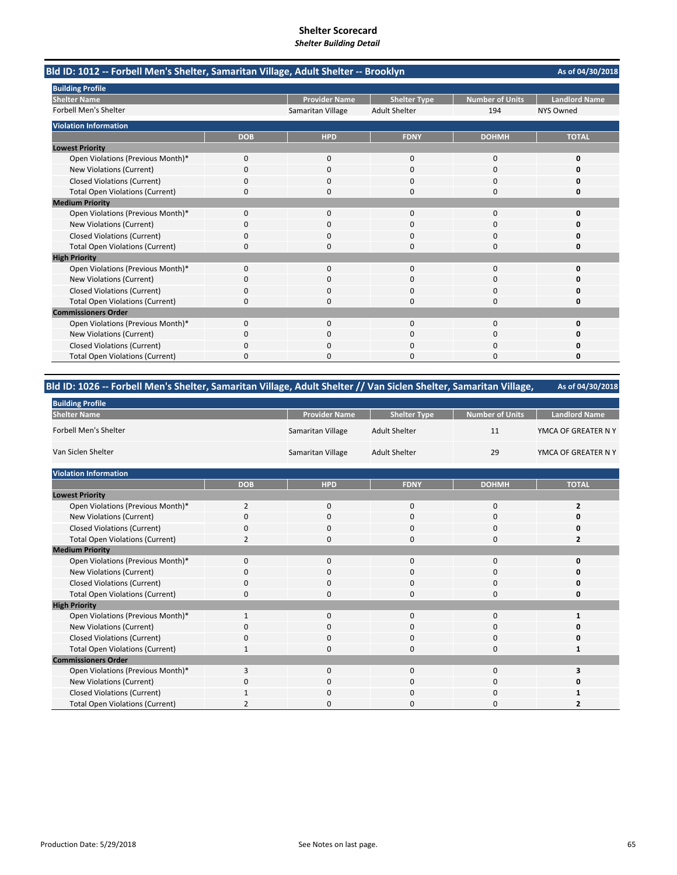| Bld ID: 1012 -- Forbell Men's Shelter, Samaritan Village, Adult Shelter -- Brooklyn |            |                      |                      |                        | As of 04/30/2018     |
|-------------------------------------------------------------------------------------|------------|----------------------|----------------------|------------------------|----------------------|
| <b>Building Profile</b>                                                             |            |                      |                      |                        |                      |
| <b>Shelter Name</b>                                                                 |            | <b>Provider Name</b> | <b>Shelter Type</b>  | <b>Number of Units</b> | <b>Landlord Name</b> |
| <b>Forbell Men's Shelter</b>                                                        |            | Samaritan Village    | <b>Adult Shelter</b> | 194                    | <b>NYS Owned</b>     |
| <b>Violation Information</b>                                                        |            |                      |                      |                        |                      |
|                                                                                     | <b>DOB</b> | <b>HPD</b>           | <b>FDNY</b>          | <b>DOHMH</b>           | <b>TOTAL</b>         |
| <b>Lowest Priority</b>                                                              |            |                      |                      |                        |                      |
| Open Violations (Previous Month)*                                                   | 0          | 0                    | $\mathbf 0$          | 0                      | 0                    |
| <b>New Violations (Current)</b>                                                     | U          | $\Omega$             | $\Omega$             | $\Omega$               | n                    |
| <b>Closed Violations (Current)</b>                                                  | 0          | 0                    | 0                    | 0                      | n                    |
| <b>Total Open Violations (Current)</b>                                              | 0          | O                    | $\Omega$             | $\Omega$               | Ω                    |
| <b>Medium Priority</b>                                                              |            |                      |                      |                        |                      |
| Open Violations (Previous Month)*                                                   | 0          | $\Omega$             | $\Omega$             | $\Omega$               | n                    |
| New Violations (Current)                                                            | 0          | n                    | $\Omega$             | 0                      |                      |
| <b>Closed Violations (Current)</b>                                                  | 0          | O                    | 0                    | 0                      |                      |
| <b>Total Open Violations (Current)</b>                                              | 0          | ŋ                    | $\Omega$             | 0                      | Ω                    |
| <b>High Priority</b>                                                                |            |                      |                      |                        |                      |
| Open Violations (Previous Month)*                                                   | 0          | $\Omega$             | $\Omega$             | $\Omega$               | n                    |
| New Violations (Current)                                                            | 0          | $\Omega$             | $\Omega$             | 0                      |                      |
| <b>Closed Violations (Current)</b>                                                  | 0          | ŋ                    | 0                    | 0                      | n                    |
| <b>Total Open Violations (Current)</b>                                              | 0          | n                    | 0                    | 0                      | n                    |
| <b>Commissioners Order</b>                                                          |            |                      |                      |                        |                      |
| Open Violations (Previous Month)*                                                   | $\Omega$   | $\Omega$             | $\Omega$             | $\Omega$               | O                    |
| New Violations (Current)                                                            | 0          | 0                    | 0                    | 0                      | n                    |
| <b>Closed Violations (Current)</b>                                                  | 0          | n                    | n                    | 0                      |                      |
| <b>Total Open Violations (Current)</b>                                              | 0          |                      | n                    | r                      | n                    |

## **Bld ID: 1026 ‐‐ Forbell Men's Shelter, Samaritan Village, Adult Shelter // Van Siclen Shelter, Samaritan Village,**

| <b>Building Profile</b>                |                |                      |                      |                        |                      |
|----------------------------------------|----------------|----------------------|----------------------|------------------------|----------------------|
| <b>Shelter Name</b>                    |                | <b>Provider Name</b> | <b>Shelter Type</b>  | <b>Number of Units</b> | <b>Landlord Name</b> |
| <b>Forbell Men's Shelter</b>           |                | Samaritan Village    | <b>Adult Shelter</b> | 11                     | YMCA OF GREATER N Y  |
| Van Siclen Shelter                     |                | Samaritan Village    | <b>Adult Shelter</b> | 29                     | YMCA OF GREATER N Y  |
| <b>Violation Information</b>           |                |                      |                      |                        |                      |
|                                        | <b>DOB</b>     | <b>HPD</b>           | <b>FDNY</b>          | <b>DOHMH</b>           | <b>TOTAL</b>         |
| <b>Lowest Priority</b>                 |                |                      |                      |                        |                      |
| Open Violations (Previous Month)*      | $\overline{2}$ | $\mathbf 0$          | $\mathbf{0}$         | 0                      | $\overline{2}$       |
| New Violations (Current)               | 0              | $\mathbf 0$          | $\Omega$             | 0                      | 0                    |
| <b>Closed Violations (Current)</b>     | 0              | $\mathbf 0$          | 0                    | $\mathbf{0}$           | 0                    |
| <b>Total Open Violations (Current)</b> | $\overline{2}$ | 0                    | 0                    | 0                      | $\overline{2}$       |
| <b>Medium Priority</b>                 |                |                      |                      |                        |                      |
| Open Violations (Previous Month)*      | 0              | 0                    | 0                    | 0                      | 0                    |
| New Violations (Current)               | 0              | $\mathbf 0$          | 0                    | 0                      | 0                    |
| <b>Closed Violations (Current)</b>     | O              | 0                    | 0                    | 0                      | U                    |
| <b>Total Open Violations (Current)</b> | 0              | 0                    | $\Omega$             | 0                      | 0                    |
| <b>High Priority</b>                   |                |                      |                      |                        |                      |
| Open Violations (Previous Month)*      | $\mathbf{1}$   | $\mathbf 0$          | $\mathbf 0$          | 0                      | 1                    |
| <b>New Violations (Current)</b>        | 0              | $\mathbf 0$          | 0                    | 0                      | 0                    |
| <b>Closed Violations (Current)</b>     | 0              | 0                    | $\mathbf 0$          | 0                      | 0                    |
| <b>Total Open Violations (Current)</b> | $\mathbf{1}$   | 0                    | $\Omega$             | $\Omega$               | $\mathbf{1}$         |
| <b>Commissioners Order</b>             |                |                      |                      |                        |                      |
| Open Violations (Previous Month)*      | 3              | $\mathbf 0$          | $\mathbf 0$          | $\mathbf{0}$           | 3                    |
| <b>New Violations (Current)</b>        | 0              | 0                    | 0                    | 0                      | n                    |
| <b>Closed Violations (Current)</b>     |                | 0                    | 0                    | 0                      | 1                    |
| <b>Total Open Violations (Current)</b> | 2              | 0                    | $\Omega$             | 0                      | 2                    |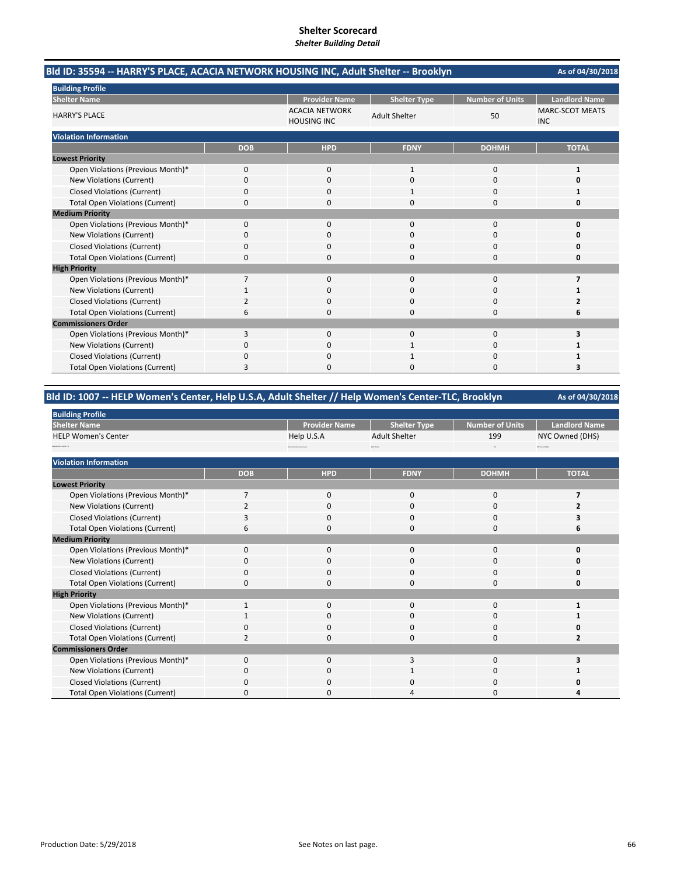| Bld ID: 35594 -- HARRY'S PLACE, ACACIA NETWORK HOUSING INC, Adult Shelter -- Brooklyn |                |                      |                      |                        | As of 04/30/2018                     |
|---------------------------------------------------------------------------------------|----------------|----------------------|----------------------|------------------------|--------------------------------------|
| <b>Building Profile</b>                                                               |                |                      |                      |                        |                                      |
| <b>Shelter Name</b>                                                                   |                | <b>Provider Name</b> | <b>Shelter Type</b>  | <b>Number of Units</b> | <b>Landlord Name</b>                 |
| <b>HARRY'S PLACE</b>                                                                  |                |                      | <b>Adult Shelter</b> | 50                     | <b>MARC-SCOT MEATS</b><br><b>INC</b> |
| <b>Violation Information</b>                                                          |                |                      |                      |                        |                                      |
|                                                                                       | <b>DOB</b>     | <b>HPD</b>           | <b>FDNY</b>          | <b>DOHMH</b>           | <b>TOTAL</b>                         |
| <b>Lowest Priority</b>                                                                |                |                      |                      |                        |                                      |
| Open Violations (Previous Month)*                                                     | 0              | 0                    | $\mathbf{1}$         | $\mathbf 0$            | $\mathbf{1}$                         |
| New Violations (Current)                                                              | 0              | 0                    | $\Omega$             | $\Omega$               | 0                                    |
| <b>Closed Violations (Current)</b>                                                    | 0              | 0                    |                      | 0                      | 1                                    |
| <b>Total Open Violations (Current)</b>                                                | 0              | $\Omega$             | 0                    | $\Omega$               | 0                                    |
| <b>Medium Priority</b>                                                                |                |                      |                      |                        |                                      |
| Open Violations (Previous Month)*                                                     | $\Omega$       | $\Omega$             | $\Omega$             | $\Omega$               | $\Omega$                             |
| New Violations (Current)                                                              | ŋ              | <sup>0</sup>         | O                    | $\Omega$               | n                                    |
| <b>Closed Violations (Current)</b>                                                    | 0              | $\Omega$             | 0                    | $\Omega$               | 0                                    |
| <b>Total Open Violations (Current)</b>                                                | 0              | $\Omega$             | O                    | $\Omega$               | O                                    |
| <b>High Priority</b>                                                                  |                |                      |                      |                        |                                      |
| Open Violations (Previous Month)*                                                     | $\overline{7}$ | $\Omega$             | $\Omega$             | $\Omega$               | 7                                    |
| New Violations (Current)                                                              |                | $\Omega$             | $\Omega$             | $\Omega$               |                                      |
| <b>Closed Violations (Current)</b>                                                    | $\overline{2}$ | $\Omega$             | 0                    | $\Omega$               | $\overline{2}$                       |
| <b>Total Open Violations (Current)</b>                                                | 6              | <sup>0</sup>         | $\Omega$             | $\Omega$               | 6                                    |
| <b>Commissioners Order</b>                                                            |                |                      |                      |                        |                                      |
| Open Violations (Previous Month)*                                                     | 3              | $\Omega$             | $\Omega$             | $\mathbf 0$            | 3                                    |
| New Violations (Current)                                                              | 0              | 0                    |                      | $\Omega$               |                                      |
| <b>Closed Violations (Current)</b>                                                    | 0              | <sup>0</sup>         |                      | $\Omega$               |                                      |
| <b>Total Open Violations (Current)</b>                                                | 3              | O                    | n                    | $\Omega$               | 3                                    |

### **Bld ID: 1007 ‐‐ HELP Women's Center, Help U.S.A, Adult Shelter // Help Women's Center‐TLC, Brooklyn**

| <b>Building Profile</b>                |                |                                    |                      |                        |                         |
|----------------------------------------|----------------|------------------------------------|----------------------|------------------------|-------------------------|
| <b>Shelter Name</b>                    |                | <b>Provider Name</b>               | <b>Shelter Type</b>  | <b>Number of Units</b> | <b>Landlord Name</b>    |
| <b>HELP Women's Center</b>             |                | Help U.S.A                         | <b>Adult Shelter</b> | 199                    | NYC Owned (DHS)         |
| <b>Market Corp. 742</b>                |                | <b>Brandige Community Services</b> | <b>Main Shelter</b>  | $\mathbf{m}$           | <b>ArC Daniel (DHS)</b> |
| <b>Violation Information</b>           |                |                                    |                      |                        |                         |
|                                        | <b>DOB</b>     | <b>HPD</b>                         | <b>FDNY</b>          | <b>DOHMH</b>           | <b>TOTAL</b>            |
| <b>Lowest Priority</b>                 |                |                                    |                      |                        |                         |
| Open Violations (Previous Month)*      | $\overline{7}$ | $\mathbf 0$                        | $\mathbf{0}$         | $\mathbf 0$            | 7                       |
| New Violations (Current)               | 2              | $\mathbf 0$                        | 0                    | 0                      |                         |
| <b>Closed Violations (Current)</b>     | 3              | $\mathbf 0$                        | 0                    | 0                      |                         |
| <b>Total Open Violations (Current)</b> | 6              | $\mathbf 0$                        | $\mathbf{0}$         | 0                      | 6                       |
| <b>Medium Priority</b>                 |                |                                    |                      |                        |                         |
| Open Violations (Previous Month)*      | $\mathbf 0$    | 0                                  | 0                    | 0                      | 0                       |
| New Violations (Current)               | $\Omega$       | $\mathbf 0$                        | 0                    | 0                      | O                       |
| <b>Closed Violations (Current)</b>     | 0              | $\mathbf 0$                        | 0                    | 0                      | O                       |
| <b>Total Open Violations (Current)</b> | $\Omega$       | $\Omega$                           | $\Omega$             | $\Omega$               | O                       |
| <b>High Priority</b>                   |                |                                    |                      |                        |                         |
| Open Violations (Previous Month)*      |                | $\mathbf 0$                        | 0                    | 0                      |                         |
| New Violations (Current)               |                | $\mathbf 0$                        | $\mathbf{0}$         | 0                      |                         |
| <b>Closed Violations (Current)</b>     | $\mathbf 0$    | $\mathbf 0$                        | $\mathbf{0}$         | 0                      | O                       |
| <b>Total Open Violations (Current)</b> | $\mathcal{P}$  | $\Omega$                           | $\Omega$             | $\Omega$               | 2                       |
| <b>Commissioners Order</b>             |                |                                    |                      |                        |                         |
| Open Violations (Previous Month)*      | $\mathbf 0$    | $\mathbf 0$                        | 3                    | 0                      |                         |
| New Violations (Current)               | O              | 0                                  |                      | 0                      |                         |
| <b>Closed Violations (Current)</b>     | $\Omega$       | $\mathbf 0$                        | 0                    | 0                      |                         |
| <b>Total Open Violations (Current)</b> | $\Omega$       | $\Omega$                           | Δ                    | 0                      |                         |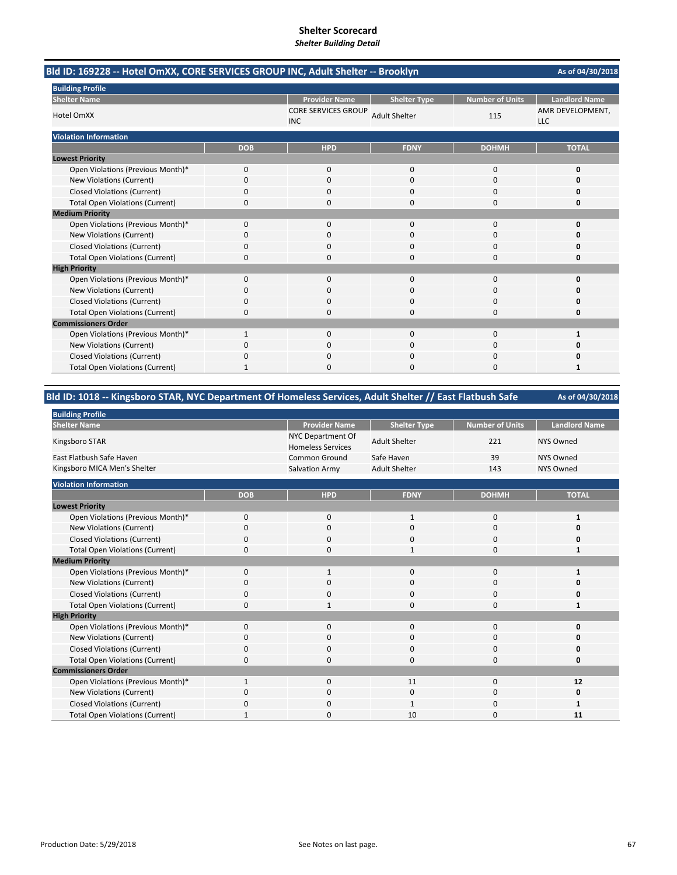| Bld ID: 169228 -- Hotel OmXX, CORE SERVICES GROUP INC, Adult Shelter -- Brooklyn |              |                                          |                      |                        | As of 04/30/2018               |
|----------------------------------------------------------------------------------|--------------|------------------------------------------|----------------------|------------------------|--------------------------------|
| <b>Building Profile</b>                                                          |              |                                          |                      |                        |                                |
| <b>Shelter Name</b>                                                              |              | <b>Provider Name</b>                     | <b>Shelter Type</b>  | <b>Number of Units</b> | <b>Landlord Name</b>           |
| <b>Hotel OmXX</b>                                                                |              | <b>CORE SERVICES GROUP</b><br><b>INC</b> | <b>Adult Shelter</b> | 115                    | AMR DEVELOPMENT,<br><b>LLC</b> |
| <b>Violation Information</b>                                                     |              |                                          |                      |                        |                                |
|                                                                                  | <b>DOB</b>   | <b>HPD</b>                               | <b>FDNY</b>          | <b>DOHMH</b>           | <b>TOTAL</b>                   |
| <b>Lowest Priority</b>                                                           |              |                                          |                      |                        |                                |
| Open Violations (Previous Month)*                                                | $\Omega$     | $\Omega$                                 | $\Omega$             | $\Omega$               | 0                              |
| New Violations (Current)                                                         | 0            | $\Omega$                                 | 0                    | 0                      | O                              |
| <b>Closed Violations (Current)</b>                                               | 0            | 0                                        | 0                    | 0                      | 0                              |
| <b>Total Open Violations (Current)</b>                                           | 0            | 0                                        | 0                    | 0                      | 0                              |
| <b>Medium Priority</b>                                                           |              |                                          |                      |                        |                                |
| Open Violations (Previous Month)*                                                | $\Omega$     | $\Omega$                                 | $\Omega$             | $\Omega$               | $\Omega$                       |
| New Violations (Current)                                                         | 0            | 0                                        | 0                    | 0                      | o                              |
| <b>Closed Violations (Current)</b>                                               | 0            | 0                                        | 0                    | 0                      | Ω                              |
| <b>Total Open Violations (Current)</b>                                           | $\Omega$     | $\Omega$                                 | 0                    | $\Omega$               | 0                              |
| <b>High Priority</b>                                                             |              |                                          |                      |                        |                                |
| Open Violations (Previous Month)*                                                | 0            | 0                                        | $\mathbf 0$          | $\mathbf 0$            | $\Omega$                       |
| New Violations (Current)                                                         | 0            | $\Omega$                                 | $\Omega$             | $\Omega$               | O                              |
| <b>Closed Violations (Current)</b>                                               | 0            | 0                                        | 0                    | 0                      | 0                              |
| <b>Total Open Violations (Current)</b>                                           | 0            | $\Omega$                                 | $\Omega$             | $\Omega$               | 0                              |
| <b>Commissioners Order</b>                                                       |              |                                          |                      |                        |                                |
| Open Violations (Previous Month)*                                                | $\mathbf{1}$ | $\Omega$                                 | $\Omega$             | $\Omega$               | 1                              |
| New Violations (Current)                                                         | 0            | 0                                        | $\Omega$             | $\Omega$               | 0                              |
| <b>Closed Violations (Current)</b>                                               | 0            | 0                                        | 0                    | 0                      | 0                              |
| <b>Total Open Violations (Current)</b>                                           |              | <sup>0</sup>                             | O                    | $\Omega$               | 1                              |

## **Bld ID: 1018 ‐‐ Kingsboro STAR, NYC Department Of Homeless Services, Adult Shelter // East Flatbush Safe**

| <b>Building Profile</b>                |              |                                               |                      |                        |                      |
|----------------------------------------|--------------|-----------------------------------------------|----------------------|------------------------|----------------------|
| <b>Shelter Name</b>                    |              | <b>Provider Name</b>                          | <b>Shelter Type</b>  | <b>Number of Units</b> | <b>Landlord Name</b> |
| Kingsboro STAR                         |              | NYC Department Of<br><b>Homeless Services</b> | <b>Adult Shelter</b> | 221                    | <b>NYS Owned</b>     |
| East Flatbush Safe Haven               |              | <b>Common Ground</b>                          | Safe Haven           | 39                     | <b>NYS Owned</b>     |
| Kingsboro MICA Men's Shelter           |              | <b>Salvation Army</b>                         | <b>Adult Shelter</b> | 143                    | <b>NYS Owned</b>     |
| <b>Violation Information</b>           |              |                                               |                      |                        |                      |
|                                        | <b>DOB</b>   | <b>HPD</b>                                    | <b>FDNY</b>          | <b>DOHMH</b>           | <b>TOTAL</b>         |
|                                        |              |                                               |                      |                        |                      |
| <b>Lowest Priority</b>                 |              |                                               |                      |                        |                      |
| Open Violations (Previous Month)*      | $\mathbf{0}$ | $\mathbf 0$                                   | $\mathbf{1}$         | 0                      | 1                    |
| New Violations (Current)               | 0            | 0                                             | $\mathbf 0$          | 0                      | 0                    |
| <b>Closed Violations (Current)</b>     | 0            | 0                                             | 0                    | 0                      | 0                    |
| <b>Total Open Violations (Current)</b> | $\Omega$     | 0                                             | $\mathbf{1}$         | $\mathbf 0$            | $\mathbf{1}$         |
| <b>Medium Priority</b>                 |              |                                               |                      |                        |                      |
| Open Violations (Previous Month)*      | 0            | $\mathbf{1}$                                  | $\mathbf 0$          | 0                      | $\mathbf{1}$         |
| New Violations (Current)               | $\Omega$     | 0                                             | 0                    | 0                      | 0                    |
| <b>Closed Violations (Current)</b>     | 0            | 0                                             | $\Omega$             | 0                      | 0                    |
| <b>Total Open Violations (Current)</b> | 0            | $\mathbf{1}$                                  | 0                    | 0                      | $\mathbf{1}$         |
| <b>High Priority</b>                   |              |                                               |                      |                        |                      |
| Open Violations (Previous Month)*      | $\Omega$     | $\mathbf{0}$                                  | $\mathbf 0$          | $\mathbf 0$            | 0                    |
| New Violations (Current)               | 0            | $\mathbf{0}$                                  | $\mathbf 0$          | $\mathbf 0$            | 0                    |
| <b>Closed Violations (Current)</b>     | 0            | $\mathbf 0$                                   | $\Omega$             | 0                      | 0                    |
| <b>Total Open Violations (Current)</b> | $\Omega$     | 0                                             | 0                    | $\mathbf 0$            | 0                    |
| <b>Commissioners Order</b>             |              |                                               |                      |                        |                      |
| Open Violations (Previous Month)*      | 1            | $\mathbf 0$                                   | 11                   | $\bf 0$                | 12                   |
| New Violations (Current)               | 0            | 0                                             | $\Omega$             | 0                      | 0                    |
| <b>Closed Violations (Current)</b>     | O            | 0                                             | 1                    | $\Omega$               | 1                    |
| <b>Total Open Violations (Current)</b> | $\mathbf{1}$ | 0                                             | 10                   | 0                      | 11                   |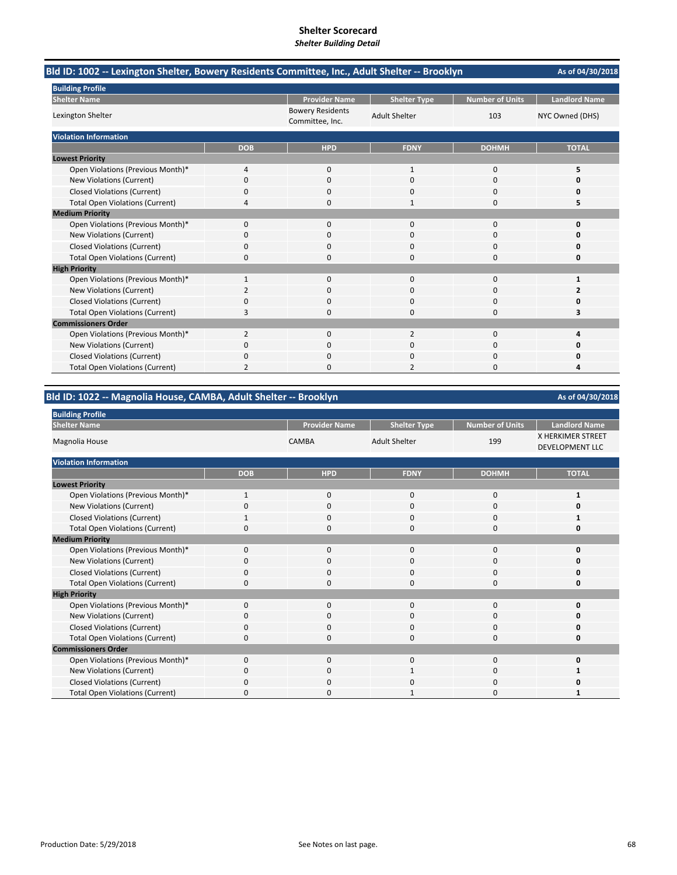| Bld ID: 1002 -- Lexington Shelter, Bowery Residents Committee, Inc., Adult Shelter -- Brooklyn | As of 04/30/2018 |                                            |                      |                        |                      |
|------------------------------------------------------------------------------------------------|------------------|--------------------------------------------|----------------------|------------------------|----------------------|
| <b>Building Profile</b>                                                                        |                  |                                            |                      |                        |                      |
| <b>Shelter Name</b>                                                                            |                  | <b>Provider Name</b>                       | <b>Shelter Type</b>  | <b>Number of Units</b> | <b>Landlord Name</b> |
| Lexington Shelter                                                                              |                  | <b>Bowery Residents</b><br>Committee, Inc. | <b>Adult Shelter</b> | 103                    | NYC Owned (DHS)      |
| <b>Violation Information</b>                                                                   |                  |                                            |                      |                        |                      |
|                                                                                                | <b>DOB</b>       | <b>HPD</b>                                 | <b>FDNY</b>          | <b>DOHMH</b>           | <b>TOTAL</b>         |
| <b>Lowest Priority</b>                                                                         |                  |                                            |                      |                        |                      |
| Open Violations (Previous Month)*                                                              | 4                | $\mathbf{0}$                               | 1                    | 0                      | 5                    |
| New Violations (Current)                                                                       | 0                | $\Omega$                                   | $\Omega$             | $\Omega$               | O                    |
| <b>Closed Violations (Current)</b>                                                             | 0                | 0                                          | 0                    | 0                      | O                    |
| <b>Total Open Violations (Current)</b>                                                         | 4                | 0                                          | 1                    | 0                      | 5                    |
| <b>Medium Priority</b>                                                                         |                  |                                            |                      |                        |                      |
| Open Violations (Previous Month)*                                                              | 0                | $\Omega$                                   | $\Omega$             | $\Omega$               | 0                    |
| New Violations (Current)                                                                       | ŋ                | 0                                          | 0                    | 0                      | O                    |
| <b>Closed Violations (Current)</b>                                                             | 0                | $\Omega$                                   | 0                    | 0                      | Ω                    |
| <b>Total Open Violations (Current)</b>                                                         | 0                | $\Omega$                                   | $\Omega$             | 0                      | 0                    |
| <b>High Priority</b>                                                                           |                  |                                            |                      |                        |                      |
| Open Violations (Previous Month)*                                                              | 1                | 0                                          | $\mathbf{0}$         | $\Omega$               | 1                    |
| New Violations (Current)                                                                       | $\overline{2}$   | 0                                          | $\Omega$             | 0                      |                      |
| <b>Closed Violations (Current)</b>                                                             | 0                | ŋ                                          | $\Omega$             | 0                      | n                    |
| <b>Total Open Violations (Current)</b>                                                         | 3                | O                                          | 0                    | 0                      | 3                    |
| <b>Commissioners Order</b>                                                                     |                  |                                            |                      |                        |                      |
| Open Violations (Previous Month)*                                                              | $\overline{2}$   | $\Omega$                                   | $\overline{2}$       | $\Omega$               | Δ                    |
| New Violations (Current)                                                                       | 0                | 0                                          | ი                    | 0                      |                      |
| <b>Closed Violations (Current)</b>                                                             | 0                | 0                                          | $\Omega$             | 0                      | n                    |
| <b>Total Open Violations (Current)</b>                                                         | 2                | $\Omega$                                   | 2                    | 0                      | 4                    |

## **Bld ID: 1022 ‐‐ Magnolia House, CAMBA, Adult Shelter ‐‐ Brooklyn**

| <b>Building Profile</b>                |              |                      |                      |                        |                                             |
|----------------------------------------|--------------|----------------------|----------------------|------------------------|---------------------------------------------|
| <b>Shelter Name</b>                    |              | <b>Provider Name</b> | <b>Shelter Type</b>  | <b>Number of Units</b> | <b>Landlord Name</b>                        |
| Magnolia House                         |              | <b>CAMBA</b>         | <b>Adult Shelter</b> | 199                    | X HERKIMER STREET<br><b>DEVELOPMENT LLC</b> |
| <b>Violation Information</b>           |              |                      |                      |                        |                                             |
|                                        | <b>DOB</b>   | <b>HPD</b>           | <b>FDNY</b>          | <b>DOHMH</b>           | <b>TOTAL</b>                                |
| <b>Lowest Priority</b>                 |              |                      |                      |                        |                                             |
| Open Violations (Previous Month)*      | $\mathbf{1}$ | $\mathbf{0}$         | $\mathbf{0}$         | $\mathbf 0$            | 1                                           |
| New Violations (Current)               | $\Omega$     | 0                    | $\Omega$             | $\Omega$               |                                             |
| <b>Closed Violations (Current)</b>     | -1           | $\mathbf 0$          | $\Omega$             | $\Omega$               |                                             |
| <b>Total Open Violations (Current)</b> | $\Omega$     | $\Omega$             | $\Omega$             | $\Omega$               | n                                           |
| <b>Medium Priority</b>                 |              |                      |                      |                        |                                             |
| Open Violations (Previous Month)*      | $\Omega$     | $\Omega$             | $\Omega$             | $\Omega$               |                                             |
| New Violations (Current)               | 0            | $\mathbf 0$          | $\mathbf 0$          | 0                      |                                             |
| <b>Closed Violations (Current)</b>     | $\Omega$     | $\mathbf 0$          | $\Omega$             | $\Omega$               |                                             |
| <b>Total Open Violations (Current)</b> | 0            | 0                    | $\mathbf 0$          | 0                      | n                                           |
| <b>High Priority</b>                   |              |                      |                      |                        |                                             |
| Open Violations (Previous Month)*      | 0            | $\mathbf 0$          | $\mathbf 0$          | $\Omega$               |                                             |
| New Violations (Current)               | 0            | 0                    | $\mathbf 0$          | 0                      |                                             |
| <b>Closed Violations (Current)</b>     | $\Omega$     | $\mathbf 0$          | $\mathbf 0$          | 0                      |                                             |
| <b>Total Open Violations (Current)</b> | $\Omega$     | 0                    | 0                    | 0                      | O                                           |
| <b>Commissioners Order</b>             |              |                      |                      |                        |                                             |
| Open Violations (Previous Month)*      | $\Omega$     | $\Omega$             | $\Omega$             | $\Omega$               |                                             |
| New Violations (Current)               | 0            | 0                    |                      | $\Omega$               |                                             |
| <b>Closed Violations (Current)</b>     | 0            | $\Omega$             | O                    | $\Omega$               |                                             |
| <b>Total Open Violations (Current)</b> | $\Omega$     | $\Omega$             | -1                   | $\Omega$               |                                             |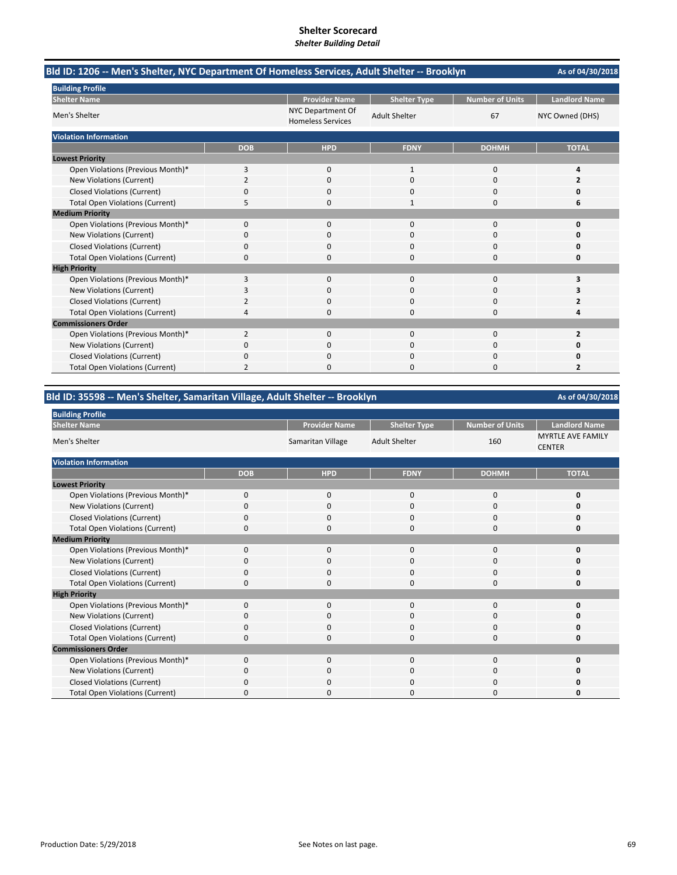| Bld ID: 1206 -- Men's Shelter, NYC Department Of Homeless Services, Adult Shelter -- Brooklyn |                |                                               |                      |                        | As of 04/30/2018     |
|-----------------------------------------------------------------------------------------------|----------------|-----------------------------------------------|----------------------|------------------------|----------------------|
| <b>Building Profile</b>                                                                       |                |                                               |                      |                        |                      |
| <b>Shelter Name</b>                                                                           |                | <b>Provider Name</b>                          | <b>Shelter Type</b>  | <b>Number of Units</b> | <b>Landlord Name</b> |
| Men's Shelter                                                                                 |                | NYC Department Of<br><b>Homeless Services</b> | <b>Adult Shelter</b> | 67                     | NYC Owned (DHS)      |
| <b>Violation Information</b>                                                                  |                |                                               |                      |                        |                      |
|                                                                                               | <b>DOB</b>     | <b>HPD</b>                                    | <b>FDNY</b>          | <b>DOHMH</b>           | <b>TOTAL</b>         |
| <b>Lowest Priority</b>                                                                        |                |                                               |                      |                        |                      |
| Open Violations (Previous Month)*                                                             | 3              | 0                                             | $\mathbf{1}$         | $\mathbf 0$            | Δ                    |
| New Violations (Current)                                                                      | 2              | 0                                             | $\Omega$             | $\Omega$               | 2                    |
| <b>Closed Violations (Current)</b>                                                            | 0              | 0                                             | 0                    | 0                      | 0                    |
| <b>Total Open Violations (Current)</b>                                                        | 5              | 0                                             | 1                    | $\Omega$               | 6                    |
| <b>Medium Priority</b>                                                                        |                |                                               |                      |                        |                      |
| Open Violations (Previous Month)*                                                             | 0              | 0                                             | $\Omega$             | $\Omega$               | $\Omega$             |
| New Violations (Current)                                                                      | ŋ              | 0                                             | O                    | 0                      | n                    |
| <b>Closed Violations (Current)</b>                                                            | 0              | $\Omega$                                      | $\Omega$             | $\Omega$               | O                    |
| <b>Total Open Violations (Current)</b>                                                        | 0              | 0                                             | 0                    | $\Omega$               | 0                    |
| <b>High Priority</b>                                                                          |                |                                               |                      |                        |                      |
| Open Violations (Previous Month)*                                                             | 3              | 0                                             | 0                    | $\mathbf 0$            | 3                    |
| New Violations (Current)                                                                      | 3              | 0                                             | 0                    | $\mathbf 0$            | З                    |
| <b>Closed Violations (Current)</b>                                                            | $\overline{2}$ | <sup>0</sup>                                  | 0                    | $\Omega$               | 2                    |
| <b>Total Open Violations (Current)</b>                                                        | 4              | O                                             | 0                    | $\Omega$               | Δ                    |
| <b>Commissioners Order</b>                                                                    |                |                                               |                      |                        |                      |
| Open Violations (Previous Month)*                                                             | $\overline{2}$ | $\Omega$                                      | $\Omega$             | 0                      | 2                    |
| New Violations (Current)                                                                      | 0              | $\Omega$                                      | $\Omega$             | $\Omega$               | O                    |
| <b>Closed Violations (Current)</b>                                                            | 0              | 0                                             | 0                    | $\Omega$               | O                    |
| <b>Total Open Violations (Current)</b>                                                        | 2              | 0                                             | 0                    | 0                      | 2                    |

# **Bld ID: 35598 ‐‐ Men's Shelter, Samaritan Village, Adult Shelter ‐‐ Brooklyn**

| <b>Building Profile</b>                |            |                      |                      |                        |                                           |
|----------------------------------------|------------|----------------------|----------------------|------------------------|-------------------------------------------|
| <b>Shelter Name</b>                    |            | <b>Provider Name</b> | <b>Shelter Type</b>  | <b>Number of Units</b> | <b>Landlord Name</b>                      |
| Men's Shelter                          |            | Samaritan Village    | <b>Adult Shelter</b> | 160                    | <b>MYRTLE AVE FAMILY</b><br><b>CENTER</b> |
| <b>Violation Information</b>           |            |                      |                      |                        |                                           |
|                                        | <b>DOB</b> | <b>HPD</b>           | <b>FDNY</b>          | <b>DOHMH</b>           | <b>TOTAL</b>                              |
| <b>Lowest Priority</b>                 |            |                      |                      |                        |                                           |
| Open Violations (Previous Month)*      | $\Omega$   | $\mathbf 0$          | $\Omega$             | $\Omega$               | O                                         |
| New Violations (Current)               | $\Omega$   | $\mathbf 0$          | $\Omega$             | $\Omega$               |                                           |
| <b>Closed Violations (Current)</b>     | $\Omega$   | $\mathbf 0$          | $\Omega$             | $\Omega$               |                                           |
| <b>Total Open Violations (Current)</b> | $\Omega$   | $\Omega$             | $\Omega$             | $\Omega$               | n                                         |
| <b>Medium Priority</b>                 |            |                      |                      |                        |                                           |
| Open Violations (Previous Month)*      | $\Omega$   | $\Omega$             | $\Omega$             | $\Omega$               |                                           |
| New Violations (Current)               | $\Omega$   | $\mathbf 0$          | $\mathbf 0$          | $\Omega$               |                                           |
| <b>Closed Violations (Current)</b>     | $\Omega$   | $\Omega$             | $\Omega$             | $\Omega$               |                                           |
| <b>Total Open Violations (Current)</b> | 0          | 0                    | $\Omega$             | $\Omega$               | n                                         |
| <b>High Priority</b>                   |            |                      |                      |                        |                                           |
| Open Violations (Previous Month)*      | $\Omega$   | $\Omega$             | $\Omega$             | $\Omega$               |                                           |
| New Violations (Current)               | 0          | $\mathbf 0$          | $\mathbf 0$          | $\Omega$               |                                           |
| <b>Closed Violations (Current)</b>     | $\Omega$   | $\mathbf 0$          | $\Omega$             | $\Omega$               |                                           |
| <b>Total Open Violations (Current)</b> | $\Omega$   | 0                    | $\Omega$             | $\Omega$               | O                                         |
| <b>Commissioners Order</b>             |            |                      |                      |                        |                                           |
| Open Violations (Previous Month)*      | $\Omega$   | $\Omega$             | $\Omega$             | $\Omega$               |                                           |
| New Violations (Current)               | O          | 0                    | $\Omega$             | $\Omega$               |                                           |
| <b>Closed Violations (Current)</b>     | C          | 0                    | O                    | C                      |                                           |
| <b>Total Open Violations (Current)</b> | $\Omega$   | $\Omega$             | $\Omega$             | $\Omega$               |                                           |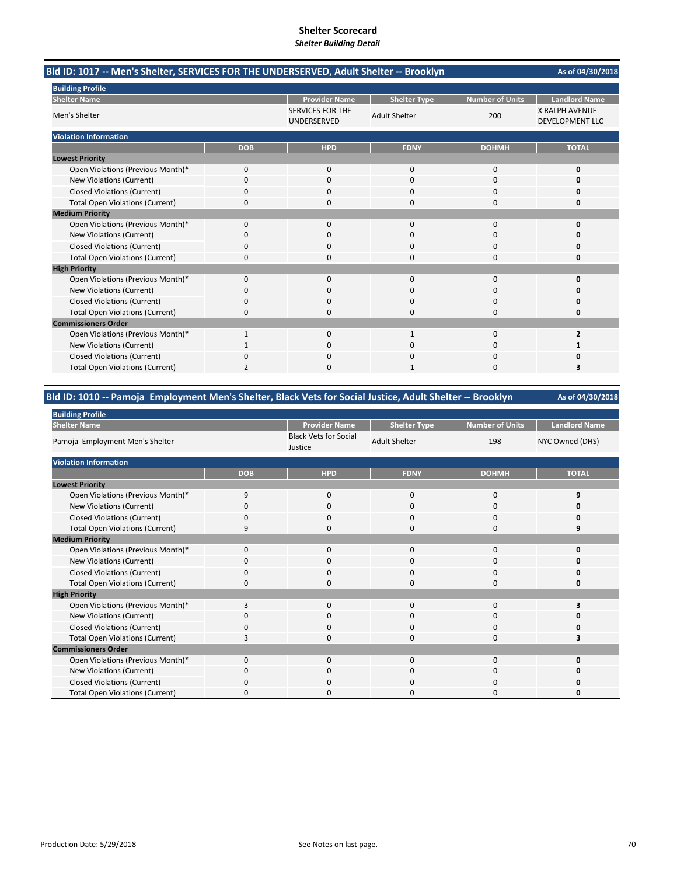| Bld ID: 1017 -- Men's Shelter, SERVICES FOR THE UNDERSERVED, Adult Shelter -- Brooklyn | As of 04/30/2018 |                                        |                      |                        |                                                 |
|----------------------------------------------------------------------------------------|------------------|----------------------------------------|----------------------|------------------------|-------------------------------------------------|
| <b>Building Profile</b>                                                                |                  |                                        |                      |                        |                                                 |
| <b>Shelter Name</b>                                                                    |                  | <b>Provider Name</b>                   | <b>Shelter Type</b>  | <b>Number of Units</b> | <b>Landlord Name</b>                            |
| Men's Shelter                                                                          |                  | <b>SERVICES FOR THE</b><br>UNDERSERVED | <b>Adult Shelter</b> | 200                    | <b>X RALPH AVENUE</b><br><b>DEVELOPMENT LLC</b> |
| <b>Violation Information</b>                                                           |                  |                                        |                      |                        |                                                 |
|                                                                                        | <b>DOB</b>       | <b>HPD</b>                             | <b>FDNY</b>          | <b>DOHMH</b>           | <b>TOTAL</b>                                    |
| <b>Lowest Priority</b>                                                                 |                  |                                        |                      |                        |                                                 |
| Open Violations (Previous Month)*                                                      | 0                | $\mathbf 0$                            | 0                    | 0                      | 0                                               |
| New Violations (Current)                                                               | 0                | $\Omega$                               | $\Omega$             | $\Omega$               | O                                               |
| <b>Closed Violations (Current)</b>                                                     | 0                | 0                                      | 0                    | 0                      | 0                                               |
| <b>Total Open Violations (Current)</b>                                                 | 0                | $\Omega$                               | $\Omega$             | 0                      | 0                                               |
| <b>Medium Priority</b>                                                                 |                  |                                        |                      |                        |                                                 |
| Open Violations (Previous Month)*                                                      | $\Omega$         | $\Omega$                               | $\Omega$             | $\Omega$               | 0                                               |
| New Violations (Current)                                                               | 0                | 0                                      | ი                    | 0                      | O                                               |
| <b>Closed Violations (Current)</b>                                                     | 0                | 0                                      | 0                    | 0                      | Ω                                               |
| <b>Total Open Violations (Current)</b>                                                 | 0                | O                                      | $\Omega$             | $\Omega$               | 0                                               |
| <b>High Priority</b>                                                                   |                  |                                        |                      |                        |                                                 |
| Open Violations (Previous Month)*                                                      | 0                | $\Omega$                               | $\mathbf 0$          | $\Omega$               | 0                                               |
| New Violations (Current)                                                               | 0                | 0                                      | $\Omega$             | $\Omega$               | n                                               |
| <b>Closed Violations (Current)</b>                                                     | 0                | $\Omega$                               | $\Omega$             | 0                      | 0                                               |
| <b>Total Open Violations (Current)</b>                                                 | 0                | $\Omega$                               | $\Omega$             | 0                      | 0                                               |
| <b>Commissioners Order</b>                                                             |                  |                                        |                      |                        |                                                 |
| Open Violations (Previous Month)*                                                      | 1                | $\mathbf 0$                            | $\mathbf{1}$         | 0                      | $\overline{\mathbf{z}}$                         |
| New Violations (Current)                                                               |                  | 0                                      | 0                    | 0                      |                                                 |
| <b>Closed Violations (Current)</b>                                                     | 0                | $\Omega$                               | $\Omega$             | $\Omega$               | n                                               |
| <b>Total Open Violations (Current)</b>                                                 | 2                | O                                      | 1                    | $\Omega$               | 3                                               |

## **Bld ID: 1010 ‐‐ Pamoja Employment Men's Shelter, Black Vets for Social Justice, Adult Shelter ‐‐ Brooklyn**

| <b>Building Profile</b>                |            |                                         |                      |                        |                      |
|----------------------------------------|------------|-----------------------------------------|----------------------|------------------------|----------------------|
| <b>Shelter Name</b>                    |            | <b>Provider Name</b>                    | <b>Shelter Type</b>  | <b>Number of Units</b> | <b>Landlord Name</b> |
| Pamoja Employment Men's Shelter        |            | <b>Black Vets for Social</b><br>Justice | <b>Adult Shelter</b> | 198                    | NYC Owned (DHS)      |
| <b>Violation Information</b>           |            |                                         |                      |                        |                      |
|                                        | <b>DOB</b> | <b>HPD</b>                              | <b>FDNY</b>          | <b>DOHMH</b>           | <b>TOTAL</b>         |
| <b>Lowest Priority</b>                 |            |                                         |                      |                        |                      |
| Open Violations (Previous Month)*      | 9          | $\mathbf 0$                             | 0                    | $\mathbf 0$            | 9                    |
| New Violations (Current)               |            | 0                                       | 0                    | 0                      |                      |
| <b>Closed Violations (Current)</b>     | 0          | $\Omega$                                | 0                    | $\mathbf 0$            |                      |
| <b>Total Open Violations (Current)</b> | 9          | $\Omega$                                | 0                    | 0                      | 9                    |
| <b>Medium Priority</b>                 |            |                                         |                      |                        |                      |
| Open Violations (Previous Month)*      | $\Omega$   | $\mathbf 0$                             | 0                    | 0                      |                      |
| New Violations (Current)               | O          | 0                                       | 0                    | 0                      |                      |
| <b>Closed Violations (Current)</b>     | 0          | 0                                       | 0                    | 0                      |                      |
| <b>Total Open Violations (Current)</b> | 0          | $\Omega$                                | 0                    | 0                      |                      |
| <b>High Priority</b>                   |            |                                         |                      |                        |                      |
| Open Violations (Previous Month)*      | 3          | $\mathbf{0}$                            | 0                    | $\mathbf 0$            | 3                    |
| New Violations (Current)               | 0          | $\mathbf 0$                             | 0                    | 0                      |                      |
| <b>Closed Violations (Current)</b>     | $\Omega$   | $\mathbf 0$                             | 0                    | 0                      |                      |
| <b>Total Open Violations (Current)</b> | З          | 0                                       | 0                    | 0                      | 3                    |
| <b>Commissioners Order</b>             |            |                                         |                      |                        |                      |
| Open Violations (Previous Month)*      | $\Omega$   | $\Omega$                                | $\Omega$             | $\Omega$               | n                    |
| New Violations (Current)               | 0          | $\Omega$                                | 0                    | 0                      |                      |
| <b>Closed Violations (Current)</b>     | 0          | $\Omega$                                | $\Omega$             | 0                      |                      |
| <b>Total Open Violations (Current)</b> | n          | <sup>0</sup>                            | U                    | 0                      |                      |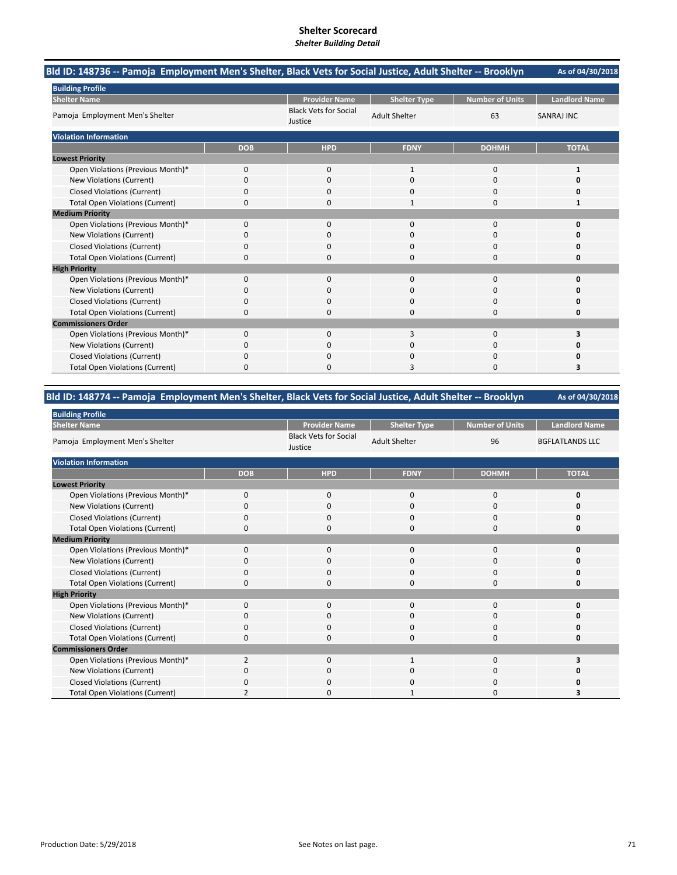| Bld ID: 148736 -- Pamoja Employment Men's Shelter, Black Vets for Social Justice, Adult Shelter -- Brooklyn |            |                                         |                      |                        | As of 04/30/2018     |
|-------------------------------------------------------------------------------------------------------------|------------|-----------------------------------------|----------------------|------------------------|----------------------|
| <b>Building Profile</b>                                                                                     |            |                                         |                      |                        |                      |
| <b>Shelter Name</b>                                                                                         |            | <b>Provider Name</b>                    | <b>Shelter Type</b>  | <b>Number of Units</b> | <b>Landlord Name</b> |
| Pamoja Employment Men's Shelter                                                                             |            | <b>Black Vets for Social</b><br>Justice | <b>Adult Shelter</b> | 63                     | <b>SANRAJ INC</b>    |
| <b>Violation Information</b>                                                                                |            |                                         |                      |                        |                      |
|                                                                                                             | <b>DOB</b> | <b>HPD</b>                              | <b>FDNY</b>          | <b>DOHMH</b>           | <b>TOTAL</b>         |
| <b>Lowest Priority</b>                                                                                      |            |                                         |                      |                        |                      |
| Open Violations (Previous Month)*                                                                           | 0          | $\Omega$                                | 1                    | $\Omega$               | 1                    |
| New Violations (Current)                                                                                    | 0          | $\Omega$                                | $\Omega$             | $\Omega$               | o                    |
| <b>Closed Violations (Current)</b>                                                                          | 0          | 0                                       | 0                    | 0                      | 0                    |
| <b>Total Open Violations (Current)</b>                                                                      | 0          | 0                                       | 1                    | 0                      | 1                    |
| <b>Medium Priority</b>                                                                                      |            |                                         |                      |                        |                      |
| Open Violations (Previous Month)*                                                                           | $\Omega$   | $\Omega$                                | $\Omega$             | $\Omega$               | $\Omega$             |
| New Violations (Current)                                                                                    | 0          | <sup>0</sup>                            | O                    | 0                      | o                    |
| <b>Closed Violations (Current)</b>                                                                          | 0          | 0                                       | 0                    | 0                      | Ω                    |
| <b>Total Open Violations (Current)</b>                                                                      | 0          | O                                       | O                    | $\Omega$               | o                    |
| <b>High Priority</b>                                                                                        |            |                                         |                      |                        |                      |
| Open Violations (Previous Month)*                                                                           | 0          | 0                                       | $\mathbf{0}$         | 0                      | 0                    |
| New Violations (Current)                                                                                    | 0          | $\Omega$                                | $\Omega$             | $\Omega$               | O                    |
| <b>Closed Violations (Current)</b>                                                                          | 0          | 0                                       | O                    | 0                      | o                    |
| <b>Total Open Violations (Current)</b>                                                                      | 0          | $\Omega$                                | $\Omega$             | $\Omega$               | O                    |
| <b>Commissioners Order</b>                                                                                  |            |                                         |                      |                        |                      |
| Open Violations (Previous Month)*                                                                           | $\Omega$   | $\Omega$                                | 3                    | $\Omega$               | 3                    |
| New Violations (Current)                                                                                    | 0          | 0                                       | 0                    | $\Omega$               | O                    |
| <b>Closed Violations (Current)</b>                                                                          | 0          | 0                                       | O                    | $\Omega$               | Ω                    |
| <b>Total Open Violations (Current)</b>                                                                      | ŋ          |                                         |                      | n                      | 3                    |

## **Bld ID: 148774 ‐‐ Pamoja Employment Men's Shelter, Black Vets for Social Justice, Adult Shelter ‐‐ Brooklyn**

| <b>Building Profile</b>                |                |                                         |                      |                        |                        |
|----------------------------------------|----------------|-----------------------------------------|----------------------|------------------------|------------------------|
| <b>Shelter Name</b>                    |                | <b>Provider Name</b>                    | <b>Shelter Type</b>  | <b>Number of Units</b> | <b>Landlord Name</b>   |
| Pamoja Employment Men's Shelter        |                | <b>Black Vets for Social</b><br>Justice | <b>Adult Shelter</b> | 96                     | <b>BGFLATLANDS LLC</b> |
| <b>Violation Information</b>           |                |                                         |                      |                        |                        |
|                                        | <b>DOB</b>     | <b>HPD</b>                              | <b>FDNY</b>          | <b>DOHMH</b>           | <b>TOTAL</b>           |
| <b>Lowest Priority</b>                 |                |                                         |                      |                        |                        |
| Open Violations (Previous Month)*      | $\mathbf 0$    | 0                                       | $\mathbf{0}$         | 0                      | 0                      |
| New Violations (Current)               | O              | 0                                       | 0                    | 0                      | o                      |
| <b>Closed Violations (Current)</b>     | $\Omega$       | $\Omega$                                | 0                    | 0                      | O                      |
| <b>Total Open Violations (Current)</b> | 0              | $\Omega$                                | 0                    | 0                      | 0                      |
| <b>Medium Priority</b>                 |                |                                         |                      |                        |                        |
| Open Violations (Previous Month)*      | $\Omega$       | $\mathbf 0$                             | 0                    | 0                      | ŋ                      |
| New Violations (Current)               | 0              | 0                                       | 0                    | 0                      | O                      |
| <b>Closed Violations (Current)</b>     | 0              | 0                                       | 0                    | 0                      | O                      |
| <b>Total Open Violations (Current)</b> | 0              | $\Omega$                                | 0                    | 0                      | O                      |
| <b>High Priority</b>                   |                |                                         |                      |                        |                        |
| Open Violations (Previous Month)*      | $\Omega$       | $\mathbf{0}$                            | $\mathbf{0}$         | 0                      | 0                      |
| New Violations (Current)               | $\Omega$       | 0                                       | $\Omega$             | 0                      | O                      |
| <b>Closed Violations (Current)</b>     | $\Omega$       | $\mathbf 0$                             | $\Omega$             | 0                      | O                      |
| <b>Total Open Violations (Current)</b> | 0              | 0                                       | 0                    | 0                      | 0                      |
| <b>Commissioners Order</b>             |                |                                         |                      |                        |                        |
| Open Violations (Previous Month)*      | $\overline{2}$ | $\Omega$                                | $\mathbf{1}$         | $\Omega$               |                        |
| New Violations (Current)               | $\Omega$       | $\Omega$                                | 0                    | $\Omega$               |                        |
| Closed Violations (Current)            | $\Omega$       | $\Omega$                                | $\Omega$             | $\Omega$               |                        |
| <b>Total Open Violations (Current)</b> |                | O                                       |                      | $\Omega$               |                        |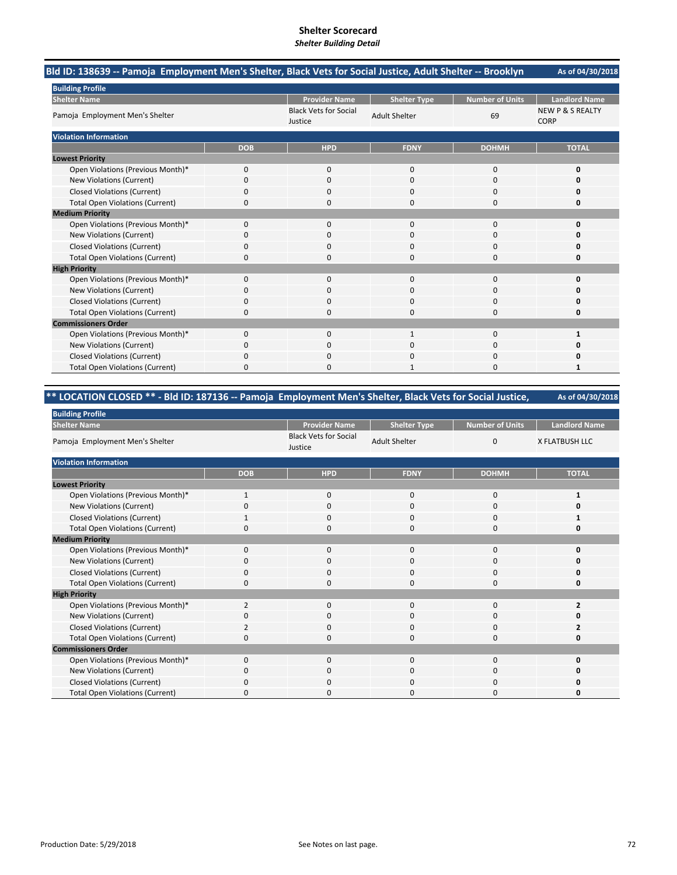| Bld ID: 138639 -- Pamoja Employment Men's Shelter, Black Vets for Social Justice, Adult Shelter -- Brooklyn |            |                                         |                      |                        | As of 04/30/2018                           |
|-------------------------------------------------------------------------------------------------------------|------------|-----------------------------------------|----------------------|------------------------|--------------------------------------------|
| <b>Building Profile</b>                                                                                     |            |                                         |                      |                        |                                            |
| <b>Shelter Name</b>                                                                                         |            | <b>Provider Name</b>                    | <b>Shelter Type</b>  | <b>Number of Units</b> | <b>Landlord Name</b>                       |
| Pamoja Employment Men's Shelter                                                                             |            | <b>Black Vets for Social</b><br>Justice | <b>Adult Shelter</b> | 69                     | <b>NEW P &amp; S REALTY</b><br><b>CORP</b> |
| <b>Violation Information</b>                                                                                |            |                                         |                      |                        |                                            |
|                                                                                                             | <b>DOB</b> | <b>HPD</b>                              | <b>FDNY</b>          | <b>DOHMH</b>           | <b>TOTAL</b>                               |
| <b>Lowest Priority</b>                                                                                      |            |                                         |                      |                        |                                            |
| Open Violations (Previous Month)*                                                                           | 0          | 0                                       | 0                    | 0                      | 0                                          |
| <b>New Violations (Current)</b>                                                                             | $\Omega$   | $\Omega$                                | $\Omega$             | $\Omega$               | O                                          |
| <b>Closed Violations (Current)</b>                                                                          | 0          | 0                                       | O                    | 0                      | 0                                          |
| <b>Total Open Violations (Current)</b>                                                                      | 0          | $\Omega$                                | $\Omega$             | 0                      | O                                          |
| <b>Medium Priority</b>                                                                                      |            |                                         |                      |                        |                                            |
| Open Violations (Previous Month)*                                                                           | $\Omega$   | $\Omega$                                | $\Omega$             | $\Omega$               | 0                                          |
| New Violations (Current)                                                                                    | 0          | $\Omega$                                | 0                    | $\Omega$               | o                                          |
| <b>Closed Violations (Current)</b>                                                                          | $\Omega$   | <sup>0</sup>                            | $\Omega$             | $\Omega$               | o                                          |
| <b>Total Open Violations (Current)</b>                                                                      | 0          | n                                       | $\Omega$             | $\Omega$               | O                                          |
| <b>High Priority</b>                                                                                        |            |                                         |                      |                        |                                            |
| Open Violations (Previous Month)*                                                                           | 0          | 0                                       | $\mathbf{0}$         | $\mathbf 0$            | 0                                          |
| New Violations (Current)                                                                                    | 0          | <sup>0</sup>                            | O                    | $\Omega$               | O                                          |
| <b>Closed Violations (Current)</b>                                                                          | 0          | 0                                       | 0                    | $\Omega$               | 0                                          |
| <b>Total Open Violations (Current)</b>                                                                      | 0          | 0                                       | $\Omega$             | 0                      | 0                                          |
| <b>Commissioners Order</b>                                                                                  |            |                                         |                      |                        |                                            |
| Open Violations (Previous Month)*                                                                           | 0          | $\Omega$                                | $\mathbf{1}$         | $\Omega$               | 1                                          |
| New Violations (Current)                                                                                    | 0          | $\Omega$                                | $\Omega$             | $\Omega$               | n                                          |
| <b>Closed Violations (Current)</b>                                                                          | 0          | 0                                       | O                    | $\Omega$               | n                                          |
| <b>Total Open Violations (Current)</b>                                                                      | 0          | 0                                       |                      | O                      |                                            |

# **\*\* LOCATION CLOSED \*\* ‐ Bld ID: 187136 ‐‐ Pamoja Employment Men's Shelter, Black Vets for Social Justice,**

| <b>Building Profile</b>                |                |                                         |                      |                        |                       |
|----------------------------------------|----------------|-----------------------------------------|----------------------|------------------------|-----------------------|
| <b>Shelter Name</b>                    |                | <b>Provider Name</b>                    | <b>Shelter Type</b>  | <b>Number of Units</b> | <b>Landlord Name</b>  |
| Pamoja Employment Men's Shelter        |                | <b>Black Vets for Social</b><br>Justice | <b>Adult Shelter</b> | $\mathbf{0}$           | <b>X FLATBUSH LLC</b> |
| <b>Violation Information</b>           |                |                                         |                      |                        |                       |
|                                        | <b>DOB</b>     | <b>HPD</b>                              | <b>FDNY</b>          | <b>DOHMH</b>           | <b>TOTAL</b>          |
| <b>Lowest Priority</b>                 |                |                                         |                      |                        |                       |
| Open Violations (Previous Month)*      | $\mathbf{1}$   | 0                                       | 0                    | 0                      |                       |
| New Violations (Current)               |                | $\Omega$                                | 0                    | 0                      |                       |
| <b>Closed Violations (Current)</b>     |                | $\mathbf 0$                             | 0                    | 0                      |                       |
| <b>Total Open Violations (Current)</b> | 0              | $\Omega$                                | 0                    | 0                      |                       |
| <b>Medium Priority</b>                 |                |                                         |                      |                        |                       |
| Open Violations (Previous Month)*      | $\Omega$       | $\mathbf 0$                             | 0                    | 0                      |                       |
| New Violations (Current)               | <sup>0</sup>   | 0                                       | 0                    | 0                      |                       |
| <b>Closed Violations (Current)</b>     | 0              | $\Omega$                                | $\Omega$             | $\mathbf 0$            |                       |
| <b>Total Open Violations (Current)</b> | 0              | $\Omega$                                | 0                    | 0                      | Ω                     |
| <b>High Priority</b>                   |                |                                         |                      |                        |                       |
| Open Violations (Previous Month)*      | $\overline{2}$ | $\Omega$                                | $\Omega$             | $\Omega$               | $\overline{2}$        |
| New Violations (Current)               | 0              | $\mathbf 0$                             | 0                    | $\mathbf 0$            |                       |
| <b>Closed Violations (Current)</b>     | 2              | $\mathbf 0$                             | 0                    | $\mathbf 0$            |                       |
| <b>Total Open Violations (Current)</b> | O              | 0                                       | 0                    | 0                      | 0                     |
| <b>Commissioners Order</b>             |                |                                         |                      |                        |                       |
| Open Violations (Previous Month)*      | $\Omega$       | $\Omega$                                | $\Omega$             | $\Omega$               | Ω                     |
| New Violations (Current)               | 0              | $\mathbf 0$                             | 0                    | 0                      |                       |
| Closed Violations (Current)            | 0              | $\mathbf 0$                             | 0                    | $\mathbf 0$            |                       |
| <b>Total Open Violations (Current)</b> | n              | $\Omega$                                | O                    | $\Omega$               |                       |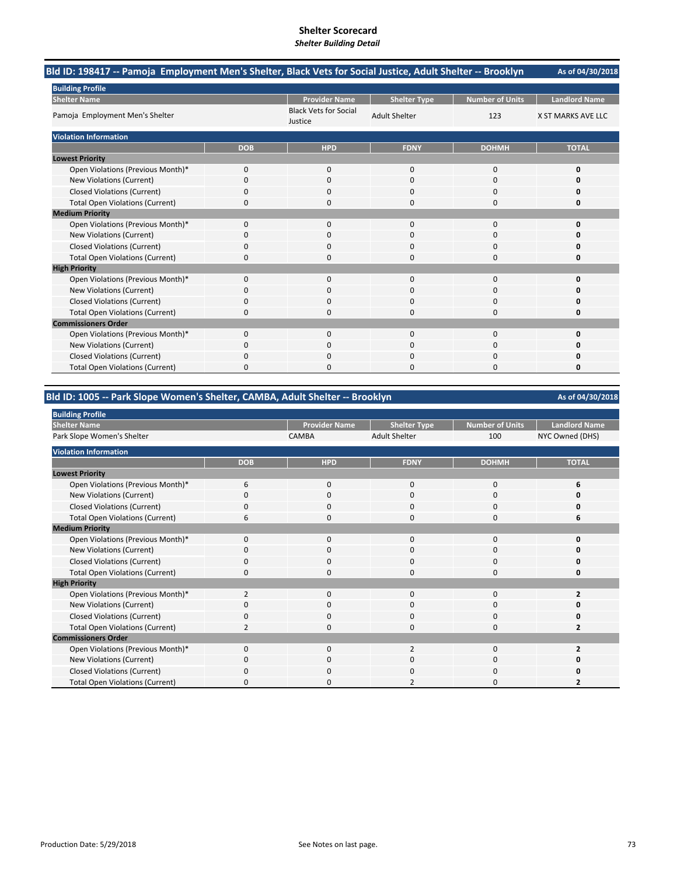| Bld ID: 198417 -- Pamoja Employment Men's Shelter, Black Vets for Social Justice, Adult Shelter -- Brooklyn |              |                                         |                      |                        | As of 04/30/2018     |
|-------------------------------------------------------------------------------------------------------------|--------------|-----------------------------------------|----------------------|------------------------|----------------------|
| <b>Building Profile</b>                                                                                     |              |                                         |                      |                        |                      |
| <b>Shelter Name</b>                                                                                         |              | <b>Provider Name</b>                    | <b>Shelter Type</b>  | <b>Number of Units</b> | <b>Landlord Name</b> |
| Pamoja Employment Men's Shelter                                                                             |              | <b>Black Vets for Social</b><br>Justice | <b>Adult Shelter</b> | 123                    | X ST MARKS AVE LLC   |
| <b>Violation Information</b>                                                                                |              |                                         |                      |                        |                      |
|                                                                                                             | <b>DOB</b>   | <b>HPD</b>                              | <b>FDNY</b>          | <b>DOHMH</b>           | <b>TOTAL</b>         |
| <b>Lowest Priority</b>                                                                                      |              |                                         |                      |                        |                      |
| Open Violations (Previous Month)*                                                                           | 0            | $\mathbf{0}$                            | $\mathbf{0}$         | 0                      | 0                    |
| New Violations (Current)                                                                                    | $\Omega$     | $\Omega$                                | $\Omega$             | 0                      | n                    |
| <b>Closed Violations (Current)</b>                                                                          | 0            | 0                                       | 0                    | 0                      | 0                    |
| <b>Total Open Violations (Current)</b>                                                                      | 0            | $\Omega$                                | $\Omega$             | 0                      | 0                    |
| <b>Medium Priority</b>                                                                                      |              |                                         |                      |                        |                      |
| Open Violations (Previous Month)*                                                                           | $\Omega$     | $\Omega$                                | $\Omega$             | 0                      | 0                    |
| New Violations (Current)                                                                                    | 0            | 0                                       | $\Omega$             | 0                      | 0                    |
| <b>Closed Violations (Current)</b>                                                                          | 0            | 0                                       | $\Omega$             | 0                      |                      |
| <b>Total Open Violations (Current)</b>                                                                      | 0            | n                                       | $\Omega$             | 0                      | O                    |
| <b>High Priority</b>                                                                                        |              |                                         |                      |                        |                      |
| Open Violations (Previous Month)*                                                                           | $\mathbf{0}$ | $\Omega$                                | $\mathbf 0$          | 0                      | 0                    |
| <b>New Violations (Current)</b>                                                                             | 0            | ŋ                                       | $\Omega$             | $\Omega$               | o                    |
| <b>Closed Violations (Current)</b>                                                                          | 0            | ŋ                                       | O                    | 0                      | o                    |
| <b>Total Open Violations (Current)</b>                                                                      | 0            | 0                                       | $\Omega$             | 0                      | $\Omega$             |
| <b>Commissioners Order</b>                                                                                  |              |                                         |                      |                        |                      |
| Open Violations (Previous Month)*                                                                           | $\Omega$     | $\Omega$                                | $\Omega$             | $\mathbf 0$            | 0                    |
| <b>New Violations (Current)</b>                                                                             | 0            | $\Omega$                                | $\Omega$             | 0                      | 0                    |
| <b>Closed Violations (Current)</b>                                                                          | 0            | ŋ                                       | $\Omega$             | 0                      |                      |
| <b>Total Open Violations (Current)</b>                                                                      | U            |                                         | C                    | 0                      | ŋ                    |

#### **Bld ID: 1005 ‐‐ Park Slope Women's Shelter, CAMBA, Adult Shelter ‐‐ Brooklyn**

**Provider Name Shelter Type Number of Units Landlord Name** CAMBA Adult Shelter 100 NYC Owned (DHS) **DOB HPD FDNY DOHMH TOTAL** Open Violations (Previous Month)\* 6000 **6**<br>
0000 0000 **6** New Violations (Current) **0** 0000 **0** 0000 **0** 0000 **0** Closed Violations (Current) 0000 **0** Total Open Violations (Current) 6000 **6** Open Violations (Previous Month)\* 0000 **0** New Violations (Current) 0000 **0** Closed Violations (Current) **0**<br>
Total Open Violations (Current) **0** 0<br>
0<br>
0<br>
0<br>
0<br>
0<br>
0<br>
0<br>
0 Total Open Violations (Current) 0000 **0** Open Violations (Previous Month)\* 2<br>
Open Violations (Current)<br>
Open Violations (Current)<br>
Open Violations (Current)<br>
Open Violations (Current)<br>
Open Violations (Current)<br>
Open Violations (Current) **New Violations (Current)** Closed Violations (Current) 0000 **0** Total Open Violations (Current) 2000 **2** Open Violations (Previous Month)\* 0020 **2** New Violations (Current) 0000 **0** Closed Violations (Current) 0000 **0** Total Open Violations (Current) **0** 0 0 2<br>
2 0 2 **Violation Information Lowest Priority Medium Priority High Priority Commissioners Order Building Profile Shelter Name** Park Slope Women's Shelter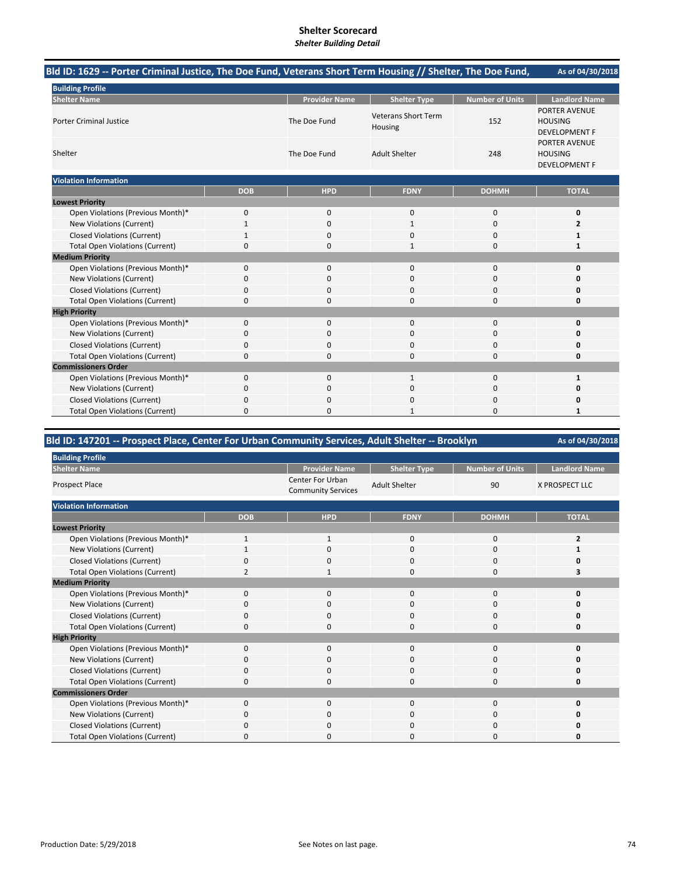## **Shelter Scorecard**

#### *Shelter Building Detail*

| Bld ID: 1629 -- Porter Criminal Justice, The Doe Fund, Veterans Short Term Housing // Shelter, The Doe Fund, |              |                      |                                       |                        | As of 04/30/2018                                               |
|--------------------------------------------------------------------------------------------------------------|--------------|----------------------|---------------------------------------|------------------------|----------------------------------------------------------------|
| <b>Building Profile</b>                                                                                      |              |                      |                                       |                        |                                                                |
| <b>Shelter Name</b>                                                                                          |              | <b>Provider Name</b> | <b>Shelter Type</b>                   | <b>Number of Units</b> | <b>Landlord Name</b>                                           |
| <b>Porter Criminal Justice</b>                                                                               |              | The Doe Fund         | <b>Veterans Short Term</b><br>Housing | 152                    | <b>PORTER AVENUE</b><br><b>HOUSING</b><br><b>DEVELOPMENT F</b> |
| Shelter                                                                                                      |              | The Doe Fund         | <b>Adult Shelter</b>                  | 248                    | PORTER AVENUE<br><b>HOUSING</b><br><b>DEVELOPMENT F</b>        |
| <b>Violation Information</b>                                                                                 |              |                      |                                       |                        |                                                                |
|                                                                                                              | <b>DOB</b>   | <b>HPD</b>           | <b>FDNY</b>                           | <b>DOHMH</b>           | <b>TOTAL</b>                                                   |
| <b>Lowest Priority</b>                                                                                       |              |                      |                                       |                        |                                                                |
| Open Violations (Previous Month)*                                                                            | 0            | $\mathsf 0$          | 0                                     | $\mathbf 0$            | 0                                                              |
| <b>New Violations (Current)</b>                                                                              | $\mathbf{1}$ | $\Omega$             | $\mathbf{1}$                          | $\mathbf 0$            | $\overline{2}$                                                 |
| <b>Closed Violations (Current)</b>                                                                           | 1            | 0                    | 0                                     | $\mathbf 0$            | 1                                                              |
| <b>Total Open Violations (Current)</b>                                                                       | 0            | 0                    | $\mathbf{1}$                          | $\mathbf 0$            | 1                                                              |
| <b>Medium Priority</b>                                                                                       |              |                      |                                       |                        |                                                                |
| Open Violations (Previous Month)*                                                                            | $\mathbf{0}$ | $\mathbf 0$          | 0                                     | $\mathbf 0$            | 0                                                              |
| New Violations (Current)                                                                                     | 0            | $\mathbf{0}$         | 0                                     | $\mathbf 0$            | 0                                                              |
| <b>Closed Violations (Current)</b>                                                                           | 0            | $\Omega$             | 0                                     | $\mathbf 0$            | ŋ                                                              |
| <b>Total Open Violations (Current)</b>                                                                       | $\Omega$     | $\Omega$             | $\Omega$                              | $\Omega$               | 0                                                              |
| <b>High Priority</b>                                                                                         |              |                      |                                       |                        |                                                                |
| Open Violations (Previous Month)*                                                                            | $\mathbf 0$  | $\mathbf 0$          | 0                                     | $\mathbf 0$            | 0                                                              |
| <b>New Violations (Current)</b>                                                                              | 0            | $\Omega$             | $\Omega$                              | 0                      |                                                                |
| <b>Closed Violations (Current)</b>                                                                           | 0            | 0                    | $\Omega$                              | $\mathbf 0$            | Ω                                                              |
| <b>Total Open Violations (Current)</b>                                                                       | 0            | 0                    | 0                                     | $\mathbf 0$            | 0                                                              |
| <b>Commissioners Order</b>                                                                                   |              |                      |                                       |                        |                                                                |
| Open Violations (Previous Month)*                                                                            | $\mathbf 0$  | $\mathbf 0$          | $\mathbf{1}$                          | $\mathbf 0$            | 1                                                              |
| <b>New Violations (Current)</b>                                                                              | 0            | 0                    | 0                                     | $\mathbf 0$            | 0                                                              |
| <b>Closed Violations (Current)</b>                                                                           | 0            | 0                    | 0                                     | 0                      |                                                                |
| <b>Total Open Violations (Current)</b>                                                                       | 0            | $\Omega$             | $\mathbf{1}$                          | $\Omega$               | 1                                                              |

| Bld ID: 147201 -- Prospect Place, Center For Urban Community Services, Adult Shelter -- Brooklyn |            |                                                      |                      |                        | As of 04/30/2018      |  |
|--------------------------------------------------------------------------------------------------|------------|------------------------------------------------------|----------------------|------------------------|-----------------------|--|
| <b>Building Profile</b>                                                                          |            |                                                      |                      |                        |                       |  |
| <b>Shelter Name</b>                                                                              |            | <b>Provider Name</b>                                 | <b>Shelter Type</b>  | <b>Number of Units</b> | <b>Landlord Name</b>  |  |
| <b>Prospect Place</b>                                                                            |            | <b>Center For Urban</b><br><b>Community Services</b> | <b>Adult Shelter</b> | 90                     | <b>X PROSPECT LLC</b> |  |
| <b>Violation Information</b>                                                                     |            |                                                      |                      |                        |                       |  |
|                                                                                                  | <b>DOB</b> | <b>HPD</b>                                           | <b>FDNY</b>          | <b>DOHMH</b>           | <b>TOTAL</b>          |  |
| <b>Lowest Priority</b>                                                                           |            |                                                      |                      |                        |                       |  |
| Open Violations (Previous Month)*                                                                | 1          | $\mathbf{1}$                                         | 0                    | 0                      | 2                     |  |
| New Violations (Current)                                                                         |            | $\Omega$                                             | 0                    | $\Omega$               |                       |  |
| <b>Closed Violations (Current)</b>                                                               | 0          | 0                                                    | 0                    | 0                      | 0                     |  |
| <b>Total Open Violations (Current)</b>                                                           | 2          |                                                      | 0                    | $\Omega$               | 3                     |  |
| <b>Medium Priority</b>                                                                           |            |                                                      |                      |                        |                       |  |
| Open Violations (Previous Month)*                                                                | 0          | 0                                                    | 0                    | $\mathbf 0$            | 0                     |  |
| New Violations (Current)                                                                         | 0          | 0                                                    | 0                    | 0                      | Ω                     |  |
| <b>Closed Violations (Current)</b>                                                               | 0          | 0                                                    | 0                    | 0                      | 0                     |  |
| <b>Total Open Violations (Current)</b>                                                           | 0          | 0                                                    | 0                    | $\Omega$               | 0                     |  |
| <b>High Priority</b>                                                                             |            |                                                      |                      |                        |                       |  |
| Open Violations (Previous Month)*                                                                | 0          | $\mathbf{0}$                                         | 0                    | 0                      | 0                     |  |
| <b>New Violations (Current)</b>                                                                  | 0          | 0                                                    | 0                    | $\Omega$               | ŋ                     |  |
| <b>Closed Violations (Current)</b>                                                               | 0          | <sup>0</sup>                                         | 0                    | 0                      | O                     |  |
| <b>Total Open Violations (Current)</b>                                                           | 0          | 0                                                    | 0                    | $\Omega$               | 0                     |  |
| <b>Commissioners Order</b>                                                                       |            |                                                      |                      |                        |                       |  |
| Open Violations (Previous Month)*                                                                | 0          | 0                                                    | 0                    | $\Omega$               | 0                     |  |
| New Violations (Current)                                                                         | 0          | 0                                                    | 0                    | $\Omega$               | Ω                     |  |
| <b>Closed Violations (Current)</b>                                                               | 0          |                                                      | 0                    | 0                      | 0                     |  |
| <b>Total Open Violations (Current)</b>                                                           | 0          | ŋ                                                    | 0                    | $\Omega$               | 0                     |  |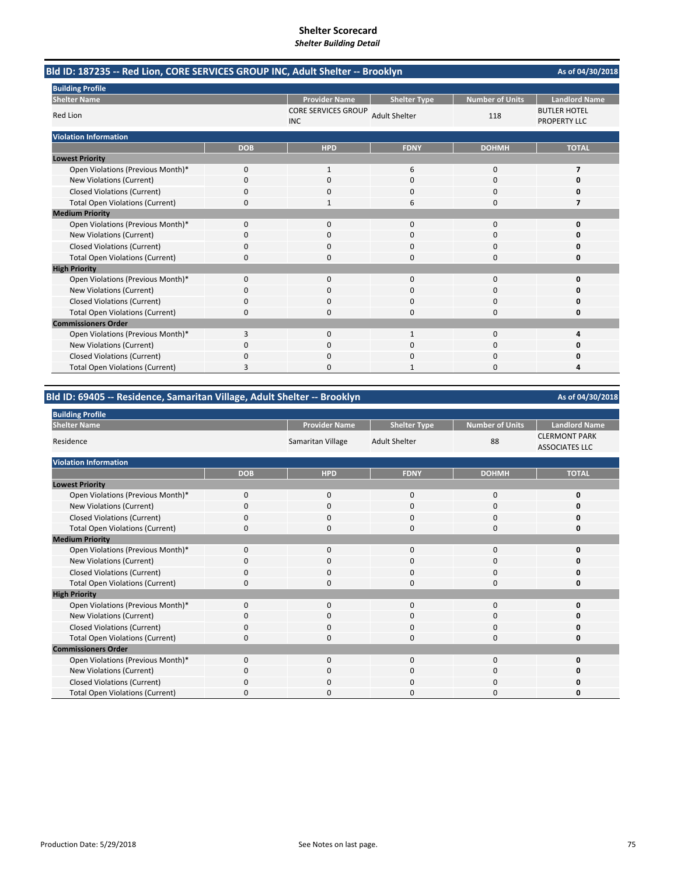| Bld ID: 187235 -- Red Lion, CORE SERVICES GROUP INC, Adult Shelter -- Brooklyn |            |                                          |                      |                        | As of 04/30/2018                           |
|--------------------------------------------------------------------------------|------------|------------------------------------------|----------------------|------------------------|--------------------------------------------|
| <b>Building Profile</b>                                                        |            |                                          |                      |                        |                                            |
| <b>Shelter Name</b>                                                            |            | <b>Provider Name</b>                     | <b>Shelter Type</b>  | <b>Number of Units</b> | <b>Landlord Name</b>                       |
| Red Lion                                                                       |            | <b>CORE SERVICES GROUP</b><br><b>INC</b> | <b>Adult Shelter</b> | 118                    | <b>BUTLER HOTEL</b><br><b>PROPERTY LLC</b> |
| <b>Violation Information</b>                                                   |            |                                          |                      |                        |                                            |
|                                                                                | <b>DOB</b> | <b>HPD</b>                               | <b>FDNY</b>          | <b>DOHMH</b>           | <b>TOTAL</b>                               |
| <b>Lowest Priority</b>                                                         |            |                                          |                      |                        |                                            |
| Open Violations (Previous Month)*                                              | 0          | $\mathbf{1}$                             | 6                    | 0                      | 7                                          |
| New Violations (Current)                                                       | 0          | $\Omega$                                 | $\Omega$             | $\Omega$               | 0                                          |
| <b>Closed Violations (Current)</b>                                             | 0          | O                                        | n                    | 0                      | n                                          |
| <b>Total Open Violations (Current)</b>                                         | 0          |                                          | 6                    | 0                      | 7                                          |
| <b>Medium Priority</b>                                                         |            |                                          |                      |                        |                                            |
| Open Violations (Previous Month)*                                              | $\Omega$   | $\Omega$                                 | $\Omega$             | $\Omega$               | 0                                          |
| New Violations (Current)                                                       | 0          | $\Omega$                                 | $\Omega$             | 0                      | O                                          |
| <b>Closed Violations (Current)</b>                                             | 0          | $\Omega$                                 | $\Omega$             | $\Omega$               | O                                          |
| <b>Total Open Violations (Current)</b>                                         | 0          |                                          | $\Omega$             | $\Omega$               | n                                          |
| <b>High Priority</b>                                                           |            |                                          |                      |                        |                                            |
| Open Violations (Previous Month)*                                              | 0          | $\mathbf{0}$                             | $\mathbf 0$          | 0                      | 0                                          |
| New Violations (Current)                                                       | 0          | 0                                        | $\Omega$             | 0                      | n                                          |
| <b>Closed Violations (Current)</b>                                             | 0          | O                                        | n                    | 0                      | n                                          |
| <b>Total Open Violations (Current)</b>                                         | 0          | $\Omega$                                 | $\Omega$             | 0                      | 0                                          |
| <b>Commissioners Order</b>                                                     |            |                                          |                      |                        |                                            |
| Open Violations (Previous Month)*                                              | 3          | $\Omega$                                 | 1                    | $\Omega$               | Δ                                          |
| New Violations (Current)                                                       | 0          | $\Omega$                                 | $\Omega$             | 0                      | 0                                          |
| <b>Closed Violations (Current)</b>                                             | 0          | n                                        | n                    | 0                      | n                                          |
| <b>Total Open Violations (Current)</b>                                         | 3          |                                          |                      | $\Omega$               |                                            |

**Bld ID: 69405 ‐‐ Residence, Samaritan Village, Adult Shelter ‐‐ Brooklyn**

| <b>Building Profile</b>                |             |                      |                      |                        |                                               |
|----------------------------------------|-------------|----------------------|----------------------|------------------------|-----------------------------------------------|
| <b>Shelter Name</b>                    |             | <b>Provider Name</b> | <b>Shelter Type</b>  | <b>Number of Units</b> | <b>Landlord Name</b>                          |
| Residence                              |             | Samaritan Village    | <b>Adult Shelter</b> | 88                     | <b>CLERMONT PARK</b><br><b>ASSOCIATES LLC</b> |
| <b>Violation Information</b>           |             |                      |                      |                        |                                               |
|                                        | <b>DOB</b>  | <b>HPD</b>           | <b>FDNY</b>          | <b>DOHMH</b>           | <b>TOTAL</b>                                  |
| <b>Lowest Priority</b>                 |             |                      |                      |                        |                                               |
| Open Violations (Previous Month)*      | $\mathbf 0$ | $\mathbf 0$          | 0                    | 0                      | 0                                             |
| New Violations (Current)               | 0           | 0                    | 0                    | 0                      | 0                                             |
| <b>Closed Violations (Current)</b>     | $\Omega$    | 0                    | 0                    | 0                      | O                                             |
| <b>Total Open Violations (Current)</b> | 0           | 0                    | 0                    | 0                      | 0                                             |
| <b>Medium Priority</b>                 |             |                      |                      |                        |                                               |
| Open Violations (Previous Month)*      | $\Omega$    | $\Omega$             | $\Omega$             | 0                      | O                                             |
| New Violations (Current)               | 0           | 0                    | 0                    | 0                      | Ω                                             |
| <b>Closed Violations (Current)</b>     | $\Omega$    | 0                    | 0                    | 0                      | 0                                             |
| <b>Total Open Violations (Current)</b> | $\mathbf 0$ | 0                    | $\Omega$             | 0                      | 0                                             |
| <b>High Priority</b>                   |             |                      |                      |                        |                                               |
| Open Violations (Previous Month)*      | $\Omega$    | $\Omega$             | $\Omega$             | 0                      | 0                                             |
| New Violations (Current)               | 0           | 0                    | 0                    | 0                      | 0                                             |
| <b>Closed Violations (Current)</b>     | $\Omega$    | 0                    | $\Omega$             | 0                      | 0                                             |
| <b>Total Open Violations (Current)</b> | $\Omega$    | 0                    | $\Omega$             | 0                      | 0                                             |
| <b>Commissioners Order</b>             |             |                      |                      |                        |                                               |
| Open Violations (Previous Month)*      | $\Omega$    | 0                    | 0                    | 0                      | O                                             |
| New Violations (Current)               | $\Omega$    | 0                    | 0                    | 0                      | Ω                                             |
| Closed Violations (Current)            | $\Omega$    | O                    | O                    | 0                      | 0                                             |
| <b>Total Open Violations (Current)</b> | $\Omega$    | 0                    | O                    | 0                      | ŋ                                             |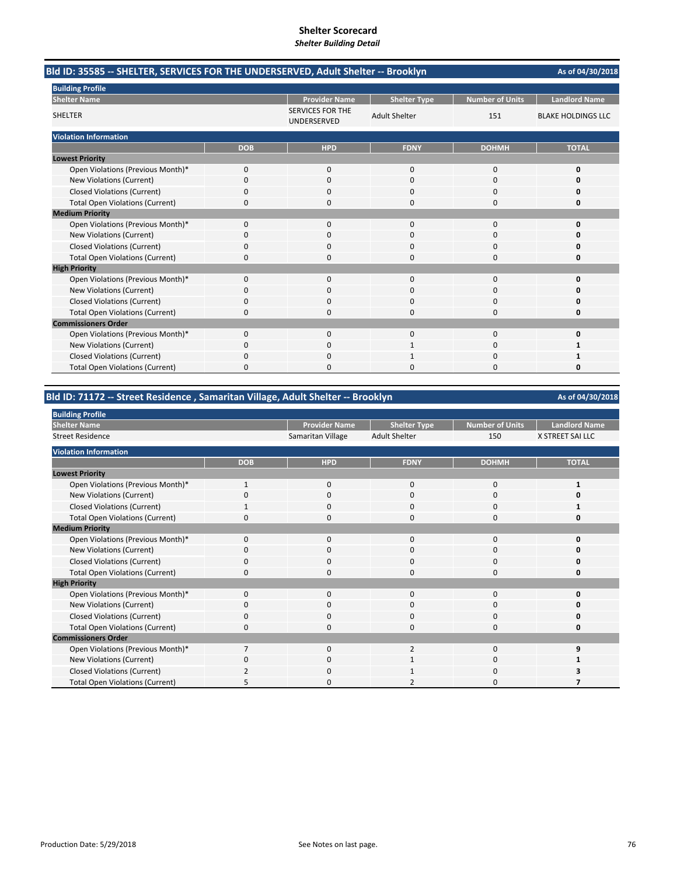| Bld ID: 35585 -- SHELTER, SERVICES FOR THE UNDERSERVED, Adult Shelter -- Brooklyn |            |                                        |                                             |                        | As of 04/30/2018          |
|-----------------------------------------------------------------------------------|------------|----------------------------------------|---------------------------------------------|------------------------|---------------------------|
| <b>Building Profile</b><br><b>Shelter Name</b>                                    |            | <b>Provider Name</b>                   |                                             | <b>Number of Units</b> | <b>Landlord Name</b>      |
| <b>SHELTER</b>                                                                    |            | <b>SERVICES FOR THE</b><br>UNDERSERVED | <b>Shelter Type</b><br><b>Adult Shelter</b> | 151                    | <b>BLAKE HOLDINGS LLC</b> |
| <b>Violation Information</b>                                                      |            |                                        |                                             |                        |                           |
|                                                                                   | <b>DOB</b> | <b>HPD</b>                             | <b>FDNY</b>                                 | <b>DOHMH</b>           | <b>TOTAL</b>              |
| <b>Lowest Priority</b>                                                            |            |                                        |                                             |                        |                           |
| Open Violations (Previous Month)*                                                 | 0          | $\mathbf{0}$                           | $\mathbf{0}$                                | 0                      | 0                         |
| New Violations (Current)                                                          | 0          | $\Omega$                               | $\Omega$                                    | $\Omega$               | 0                         |
| <b>Closed Violations (Current)</b>                                                | 0          | 0                                      | 0                                           | 0                      | 0                         |
| <b>Total Open Violations (Current)</b>                                            | 0          | $\Omega$                               | $\Omega$                                    | $\Omega$               | 0                         |
| <b>Medium Priority</b>                                                            |            |                                        |                                             |                        |                           |
| Open Violations (Previous Month)*                                                 | $\Omega$   | $\Omega$                               | $\Omega$                                    | $\Omega$               | $\Omega$                  |
| New Violations (Current)                                                          | 0          | 0                                      | $\Omega$                                    | $\Omega$               | O                         |
| <b>Closed Violations (Current)</b>                                                | 0          | 0                                      | $\Omega$                                    | 0                      | n                         |
| <b>Total Open Violations (Current)</b>                                            | 0          | n                                      | $\Omega$                                    | $\Omega$               | O                         |
| <b>High Priority</b>                                                              |            |                                        |                                             |                        |                           |
| Open Violations (Previous Month)*                                                 | 0          | $\mathbf{0}$                           | $\mathbf{0}$                                | 0                      | 0                         |
| New Violations (Current)                                                          | 0          | $\Omega$                               | $\Omega$                                    | 0                      | O                         |
| <b>Closed Violations (Current)</b>                                                | 0          | 0                                      | 0                                           | 0                      | Ω                         |
| <b>Total Open Violations (Current)</b>                                            | 0          | $\Omega$                               | $\Omega$                                    | 0                      | 0                         |
| <b>Commissioners Order</b>                                                        |            |                                        |                                             |                        |                           |
| Open Violations (Previous Month)*                                                 | $\Omega$   | $\Omega$                               | $\Omega$                                    | $\Omega$               | 0                         |
| New Violations (Current)                                                          | 0          | 0                                      | 1                                           | 0                      | 1                         |
| <b>Closed Violations (Current)</b>                                                | 0          | 0                                      |                                             | 0                      | 1                         |
| <b>Total Open Violations (Current)</b>                                            | U          |                                        | n                                           | n                      | n                         |

## **Bld ID: 71172 ‐‐ Street Residence , Samaritan Village, Adult Shelter ‐‐ Brooklyn**

**Provider Name Shelter Type Number of Units Landlord Name Shelter Type Number of Units Landlord Name** Samaritan Village Adult Shelter 150 **DOB HPD FDNY DOHMH TOTAL** Open Violations (Previous Month)\* 1 1000 **1** 1000 **1** 1000 **1** New Violations (Current) **0** 0000 **0** 0000 **0** 0000 **0** Closed Violations (Current) 1000 **1** Total Open Violations (Current) 0000 **0** Open Violations (Previous Month)\* 0000 **0** New Violations (Current) 0000 **0** Closed Violations (Current) **0**<br>
Total Open Violations (Current) **0** 0<br>
0<br>
0<br>
0<br>
0<br>
0<br>
0<br>
0<br>
0 Total Open Violations (Current) 0000 **0** Open Violations (Previous Month)\* 0000 **0 New Violations (Current)** Closed Violations (Current) 0000 **0** Total Open Violations (Current) 0000 **0** Open Violations (Previous Month)\* 7 0 0 2 0 9<br>New Violations (Current) 0 0 0 1 0 1 New Violations (Current) 0010 **1** Closed Violations (Current) 2010 **3** Total Open Violations (Current) **5** 2 2 0 **7 Building Profile Shelter Name** Street Residence **Violation Information Lowest Priority High Priority Commissioners Order Medium Priority**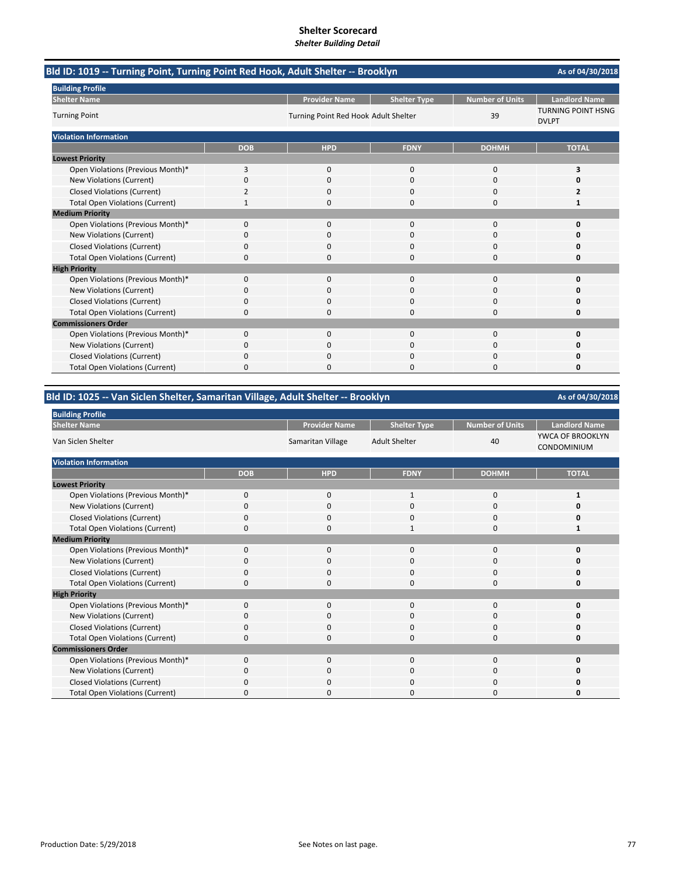| Bld ID: 1019 -- Turning Point, Turning Point Red Hook, Adult Shelter -- Brooklyn | As of 04/30/2018 |                                      |                     |                        |                                           |
|----------------------------------------------------------------------------------|------------------|--------------------------------------|---------------------|------------------------|-------------------------------------------|
| <b>Building Profile</b>                                                          |                  |                                      |                     |                        |                                           |
| <b>Shelter Name</b>                                                              |                  | <b>Provider Name</b>                 | <b>Shelter Type</b> | <b>Number of Units</b> | <b>Landlord Name</b>                      |
| <b>Turning Point</b>                                                             |                  | Turning Point Red Hook Adult Shelter |                     | 39                     | <b>TURNING POINT HSNG</b><br><b>DVLPT</b> |
| <b>Violation Information</b>                                                     |                  |                                      |                     |                        |                                           |
|                                                                                  | <b>DOB</b>       | <b>HPD</b>                           | <b>FDNY</b>         | <b>DOHMH</b>           | <b>TOTAL</b>                              |
| <b>Lowest Priority</b>                                                           |                  |                                      |                     |                        |                                           |
| Open Violations (Previous Month)*                                                | 3                | $\Omega$                             | $\Omega$            | $\Omega$               | 3                                         |
| New Violations (Current)                                                         | 0                | $\Omega$                             | $\Omega$            | $\Omega$               | n                                         |
| <b>Closed Violations (Current)</b>                                               | 2                | 0                                    | 0                   | 0                      | 2                                         |
| <b>Total Open Violations (Current)</b>                                           |                  | 0                                    | 0                   | $\Omega$               | 1                                         |
| <b>Medium Priority</b>                                                           |                  |                                      |                     |                        |                                           |
| Open Violations (Previous Month)*                                                | 0                | 0                                    | $\Omega$            | $\mathbf 0$            | O                                         |
| New Violations (Current)                                                         | n                | 0                                    | O                   | O                      | n                                         |
| <b>Closed Violations (Current)</b>                                               | 0                | $\Omega$                             | 0                   | $\Omega$               | 0                                         |
| <b>Total Open Violations (Current)</b>                                           | 0                | <sup>0</sup>                         | 0                   | $\Omega$               | 0                                         |
| <b>High Priority</b>                                                             |                  |                                      |                     |                        |                                           |
| Open Violations (Previous Month)*                                                | 0                | $\Omega$                             | $\Omega$            | $\Omega$               | O                                         |
| New Violations (Current)                                                         | ŋ                | 0                                    | 0                   | 0                      | n                                         |
| <b>Closed Violations (Current)</b>                                               | $\Omega$         | 0                                    | 0                   | $\Omega$               | 0                                         |
| <b>Total Open Violations (Current)</b>                                           | 0                | 0                                    | $\Omega$            | $\Omega$               | 0                                         |
| <b>Commissioners Order</b>                                                       |                  |                                      |                     |                        |                                           |
| Open Violations (Previous Month)*                                                | 0                | $\Omega$                             | $\Omega$            | $\Omega$               | 0                                         |
| New Violations (Current)                                                         | 0                | 0                                    | 0                   | 0                      | n                                         |
| <b>Closed Violations (Current)</b>                                               | 0                | $\Omega$                             | 0                   | $\Omega$               | Ω                                         |
| <b>Total Open Violations (Current)</b>                                           | 0                | O                                    | O                   | $\Omega$               | 0                                         |

## **Bld ID: 1025 ‐‐ Van Siclen Shelter, Samaritan Village, Adult Shelter ‐‐ Brooklyn**

| <b>Building Profile</b>                |            |                      |                      |                        |                                 |
|----------------------------------------|------------|----------------------|----------------------|------------------------|---------------------------------|
| <b>Shelter Name</b>                    |            | <b>Provider Name</b> | <b>Shelter Type</b>  | <b>Number of Units</b> | <b>Landlord Name</b>            |
| Van Siclen Shelter                     |            | Samaritan Village    | <b>Adult Shelter</b> | 40                     | YWCA OF BROOKLYN<br>CONDOMINIUM |
| <b>Violation Information</b>           |            |                      |                      |                        |                                 |
|                                        | <b>DOB</b> | <b>HPD</b>           | <b>FDNY</b>          | <b>DOHMH</b>           | <b>TOTAL</b>                    |
| <b>Lowest Priority</b>                 |            |                      |                      |                        |                                 |
| Open Violations (Previous Month)*      | $\Omega$   | $\Omega$             | $\mathbf{1}$         | 0                      | 1                               |
| New Violations (Current)               | 0          | 0                    | 0                    | 0                      | 0                               |
| Closed Violations (Current)            | 0          | 0                    | $\Omega$             | 0                      | 0                               |
| <b>Total Open Violations (Current)</b> | 0          | 0                    | 1                    | 0                      | 1                               |
| <b>Medium Priority</b>                 |            |                      |                      |                        |                                 |
| Open Violations (Previous Month)*      | $\Omega$   | 0                    | $\Omega$             | $\Omega$               | n                               |
| New Violations (Current)               | 0          | 0                    | $\Omega$             | 0                      |                                 |
| <b>Closed Violations (Current)</b>     | 0          | 0                    | $\Omega$             | 0                      | Ω                               |
| <b>Total Open Violations (Current)</b> | 0          | 0                    | $\Omega$             | 0                      | 0                               |
| <b>High Priority</b>                   |            |                      |                      |                        |                                 |
| Open Violations (Previous Month)*      | $\Omega$   | $\Omega$             | $\Omega$             | $\Omega$               | Ω                               |
| New Violations (Current)               | 0          | 0                    | $\Omega$             | 0                      | Ω                               |
| <b>Closed Violations (Current)</b>     | 0          | 0                    | $\Omega$             | 0                      | Ω                               |
| <b>Total Open Violations (Current)</b> | 0          | 0                    | $\Omega$             | 0                      | 0                               |
| <b>Commissioners Order</b>             |            |                      |                      |                        |                                 |
| Open Violations (Previous Month)*      | $\Omega$   | $\Omega$             | $\Omega$             | $\Omega$               | Ω                               |
| New Violations (Current)               | 0          | $\Omega$             | $\Omega$             | $\Omega$               |                                 |
| Closed Violations (Current)            | O          | 0                    | O                    | 0                      | Ω                               |
| <b>Total Open Violations (Current)</b> | 0          | 0                    | $\Omega$             | $\Omega$               | n                               |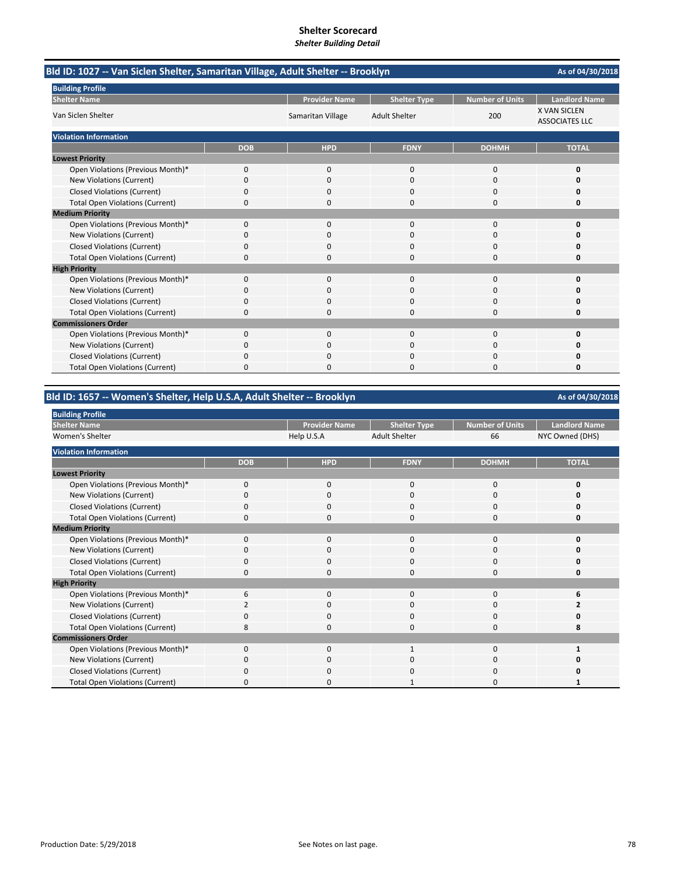| Bld ID: 1027 -- Van Siclen Shelter, Samaritan Village, Adult Shelter -- Brooklyn |            |                      |                      |                        |                                              |  |
|----------------------------------------------------------------------------------|------------|----------------------|----------------------|------------------------|----------------------------------------------|--|
| <b>Building Profile</b>                                                          |            |                      |                      |                        |                                              |  |
| <b>Shelter Name</b>                                                              |            | <b>Provider Name</b> | <b>Shelter Type</b>  | <b>Number of Units</b> | <b>Landlord Name</b>                         |  |
| Van Siclen Shelter                                                               |            | Samaritan Village    | <b>Adult Shelter</b> | 200                    | <b>X VAN SICLEN</b><br><b>ASSOCIATES LLC</b> |  |
| <b>Violation Information</b>                                                     |            |                      |                      |                        |                                              |  |
|                                                                                  | <b>DOB</b> | <b>HPD</b>           | <b>FDNY</b>          | <b>DOHMH</b>           | <b>TOTAL</b>                                 |  |
| <b>Lowest Priority</b>                                                           |            |                      |                      |                        |                                              |  |
| Open Violations (Previous Month)*                                                | 0          | 0                    | $\mathbf{0}$         | $\mathbf 0$            | 0                                            |  |
| New Violations (Current)                                                         | $\Omega$   | $\Omega$             | $\Omega$             | $\Omega$               | O                                            |  |
| <b>Closed Violations (Current)</b>                                               | 0          | <sup>0</sup>         | O                    | $\Omega$               | O                                            |  |
| <b>Total Open Violations (Current)</b>                                           | 0          | $\Omega$             | 0                    | $\Omega$               | 0                                            |  |
| <b>Medium Priority</b>                                                           |            |                      |                      |                        |                                              |  |
| Open Violations (Previous Month)*                                                | 0          | $\Omega$             | $\Omega$             | $\Omega$               | 0                                            |  |
| New Violations (Current)                                                         | 0          | 0                    | 0                    | 0                      | O                                            |  |
| <b>Closed Violations (Current)</b>                                               | $\Omega$   | 0                    | $\Omega$             | $\Omega$               | n                                            |  |
| <b>Total Open Violations (Current)</b>                                           | $\Omega$   | n                    | O                    | $\Omega$               | O                                            |  |
| <b>High Priority</b>                                                             |            |                      |                      |                        |                                              |  |
| Open Violations (Previous Month)*                                                | 0          | 0                    | $\mathbf{0}$         | $\mathbf 0$            | 0                                            |  |
| New Violations (Current)                                                         | 0          | $\Omega$             | 0                    | $\Omega$               | o                                            |  |
| <b>Closed Violations (Current)</b>                                               | 0          | 0                    | O                    | $\Omega$               | Ω                                            |  |
| <b>Total Open Violations (Current)</b>                                           | 0          | $\Omega$             | $\Omega$             | $\Omega$               | 0                                            |  |
| <b>Commissioners Order</b>                                                       |            |                      |                      |                        |                                              |  |
| Open Violations (Previous Month)*                                                | $\Omega$   | $\Omega$             | $\Omega$             | $\Omega$               | $\Omega$                                     |  |
| New Violations (Current)                                                         | 0          | 0                    | 0                    | 0                      | O                                            |  |
| <b>Closed Violations (Current)</b>                                               | 0          | 0                    | 0                    | 0                      | 0                                            |  |
| <b>Total Open Violations (Current)</b>                                           | 0          | $\Omega$             | O                    | $\Omega$               | O                                            |  |

## **Bld ID: 1657 ‐‐ Women's Shelter, Help U.S.A, Adult Shelter ‐‐ Brooklyn**

**Provider Name Shelter Type Number of Units Landlord Name Help U.S.A** Adult Shelter 66 MYC Owned (DHS) Adult Shelter 66 NYC Owned (DHS) **DOB HPD FDNY DOHMH TOTAL** Open Violations (Previous Month)\* 0000 **0** New Violations (Current) **0** 0000 **0** 0000 **0** 0000 **0** Closed Violations (Current) 0000 **0** Total Open Violations (Current) 0000 **0** Open Violations (Previous Month)\* 0000 **0** New Violations (Current) 0000 **0** Closed Violations (Current) **0**<br>
Total Open Violations (Current) **0** 0<br>
0<br>
0<br>
0<br>
0<br>
0<br>
0<br>
0<br>
0 **Total Open Violations (Current)** Open Violations (Previous Month)\*  $\begin{array}{cccccccc} 6 & 0 & 0 & 0 & 0 & 0 & 6 \\ \text{New Violations (Current)} & 2 & 0 & 0 & 0 & 2 \end{array}$ **New Violations (Current)** Closed Violations (Current) 0000 **0** Total Open Violations (Current) **8** and **8** and **8** and **8** and **8** and **8** and **8** and **8** and **8** and **8** and **8** and **8** and **8** and **8** and **8** and **8** and **8** and **8** and **8** and **8** and **8** and **8** and **8** and **8** an Open Violations (Previous Month)\* 0010 **1** New Violations (Current) 0000 **0** Closed Violations (Current) 0000 **0** Total Open Violations (Current) **0** 0000 **1** 0000 **1** 000 **1 Building Profile Shelter Name** Women's Shelter **Violation Information Lowest Priority Medium Priority High Priority Commissioners Order**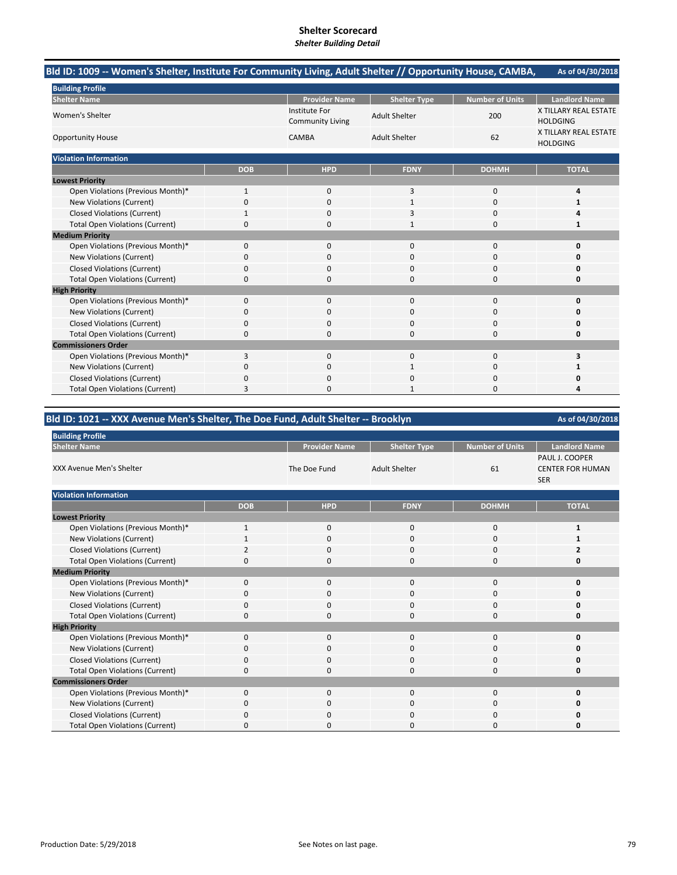# **Shelter Scorecard**

#### *Shelter Building Detail*

| Bld ID: 1009 -- Women's Shelter, Institute For Community Living, Adult Shelter // Opportunity House, CAMBA, |              |                                                 |                      |                        | As of 04/30/2018                         |
|-------------------------------------------------------------------------------------------------------------|--------------|-------------------------------------------------|----------------------|------------------------|------------------------------------------|
| <b>Building Profile</b>                                                                                     |              |                                                 |                      |                        |                                          |
| <b>Shelter Name</b>                                                                                         |              | <b>Provider Name</b>                            | <b>Shelter Type</b>  | <b>Number of Units</b> | <b>Landlord Name</b>                     |
| Women's Shelter                                                                                             |              | <b>Institute For</b><br><b>Community Living</b> | <b>Adult Shelter</b> | 200                    | X TILLARY REAL ESTATE<br><b>HOLDGING</b> |
| <b>Opportunity House</b>                                                                                    |              | CAMBA                                           | <b>Adult Shelter</b> | 62                     | X TILLARY REAL ESTATE<br><b>HOLDGING</b> |
| <b>Violation Information</b>                                                                                |              |                                                 |                      |                        |                                          |
|                                                                                                             | <b>DOB</b>   | <b>HPD</b>                                      | <b>FDNY</b>          | <b>DOHMH</b>           | <b>TOTAL</b>                             |
| <b>Lowest Priority</b>                                                                                      |              |                                                 |                      |                        |                                          |
| Open Violations (Previous Month)*                                                                           | $\mathbf{1}$ | $\mathbf 0$                                     | 3                    | $\mathbf 0$            | 4                                        |
| New Violations (Current)                                                                                    | 0            | $\Omega$                                        | 1                    | $\Omega$               | 1                                        |
| <b>Closed Violations (Current)</b>                                                                          | $\mathbf{1}$ | $\Omega$                                        | 3                    | $\Omega$               | Δ                                        |
| <b>Total Open Violations (Current)</b>                                                                      | 0            | 0                                               | 1                    | 0                      | 1                                        |
| <b>Medium Priority</b>                                                                                      |              |                                                 |                      |                        |                                          |
| Open Violations (Previous Month)*                                                                           | 0            | $\mathbf 0$                                     | $\mathbf{0}$         | $\mathbf 0$            | 0                                        |
| New Violations (Current)                                                                                    | 0            | 0                                               | $\Omega$             | 0                      | 0                                        |
| <b>Closed Violations (Current)</b>                                                                          | 0            | 0                                               | 0                    | 0                      | 0                                        |
| <b>Total Open Violations (Current)</b>                                                                      | 0            | $\Omega$                                        | $\Omega$             | $\Omega$               | 0                                        |
| <b>High Priority</b>                                                                                        |              |                                                 |                      |                        |                                          |
| Open Violations (Previous Month)*                                                                           | 0            | $\mathbf{0}$                                    | $\Omega$             | $\Omega$               | 0                                        |
| New Violations (Current)                                                                                    | 0            | $\mathbf 0$                                     | 0                    | 0                      | O                                        |
| <b>Closed Violations (Current)</b>                                                                          | 0            | $\Omega$                                        | $\Omega$             | $\Omega$               | 0                                        |
| <b>Total Open Violations (Current)</b>                                                                      | 0            | $\Omega$                                        | $\Omega$             | $\Omega$               | 0                                        |
| <b>Commissioners Order</b>                                                                                  |              |                                                 |                      |                        |                                          |
| Open Violations (Previous Month)*                                                                           | 3            | $\mathbf{0}$                                    | $\mathbf{0}$         | 0                      | 3                                        |
| New Violations (Current)                                                                                    | 0            | 0                                               | 1                    | 0                      | 1                                        |
| <b>Closed Violations (Current)</b>                                                                          | 0            | 0                                               | $\Omega$             | 0                      | Ω                                        |
| <b>Total Open Violations (Current)</b>                                                                      | 3            | 0                                               | 1                    | 0                      | Δ                                        |

## **Bld ID: 1021 ‐‐ XXX Avenue Men's Shelter, The Doe Fund, Adult Shelter ‐‐ Brooklyn**

| <b>Building Profile</b>                |            |                      |                      |                        |                                                         |
|----------------------------------------|------------|----------------------|----------------------|------------------------|---------------------------------------------------------|
| <b>Shelter Name</b>                    |            | <b>Provider Name</b> | <b>Shelter Type</b>  | <b>Number of Units</b> | <b>Landlord Name</b>                                    |
| <b>XXX Avenue Men's Shelter</b>        |            | The Doe Fund         | <b>Adult Shelter</b> | 61                     | PAUL J. COOPER<br><b>CENTER FOR HUMAN</b><br><b>SER</b> |
| <b>Violation Information</b>           |            |                      |                      |                        |                                                         |
|                                        | <b>DOB</b> | <b>HPD</b>           | <b>FDNY</b>          | <b>DOHMH</b>           | <b>TOTAL</b>                                            |
| <b>Lowest Priority</b>                 |            |                      |                      |                        |                                                         |
| Open Violations (Previous Month)*      | 1          | $\mathbf 0$          | $\mathbf{0}$         | 0                      | 1                                                       |
| New Violations (Current)               |            | $\mathbf 0$          | 0                    | 0                      | 1                                                       |
| <b>Closed Violations (Current)</b>     | 2          | $\mathbf 0$          | 0                    | 0                      | 2                                                       |
| <b>Total Open Violations (Current)</b> | O          | $\Omega$             | 0                    | $\Omega$               | O                                                       |
| <b>Medium Priority</b>                 |            |                      |                      |                        |                                                         |
| Open Violations (Previous Month)*      | 0          | $\mathbf 0$          | $\Omega$             | 0                      | 0                                                       |
| New Violations (Current)               | O          | 0                    | 0                    | 0                      | O                                                       |
| <b>Closed Violations (Current)</b>     | 0          | $\mathbf 0$          | $\Omega$             | 0                      | O                                                       |
| <b>Total Open Violations (Current)</b> | 0          | $\Omega$             | $\Omega$             | 0                      | 0                                                       |
| <b>High Priority</b>                   |            |                      |                      |                        |                                                         |
| Open Violations (Previous Month)*      | $\Omega$   | $\mathbf 0$          | 0                    | 0                      | 0                                                       |
| New Violations (Current)               | 0          | $\mathbf 0$          | $\Omega$             | 0                      | O                                                       |
| <b>Closed Violations (Current)</b>     | n          | 0                    | 0                    | 0                      | O                                                       |
| <b>Total Open Violations (Current)</b> | 0          | $\mathbf 0$          | $\Omega$             | 0                      | 0                                                       |
| <b>Commissioners Order</b>             |            |                      |                      |                        |                                                         |
| Open Violations (Previous Month)*      | 0          | $\mathbf 0$          | 0                    | 0                      | O                                                       |
| New Violations (Current)               | 0          | $\mathbf 0$          | $\Omega$             | 0                      | 0                                                       |
| <b>Closed Violations (Current)</b>     | n          | $\Omega$             | 0                    | 0                      | 0                                                       |
| <b>Total Open Violations (Current)</b> | ŋ          | $\Omega$             | 0                    | 0                      | 0                                                       |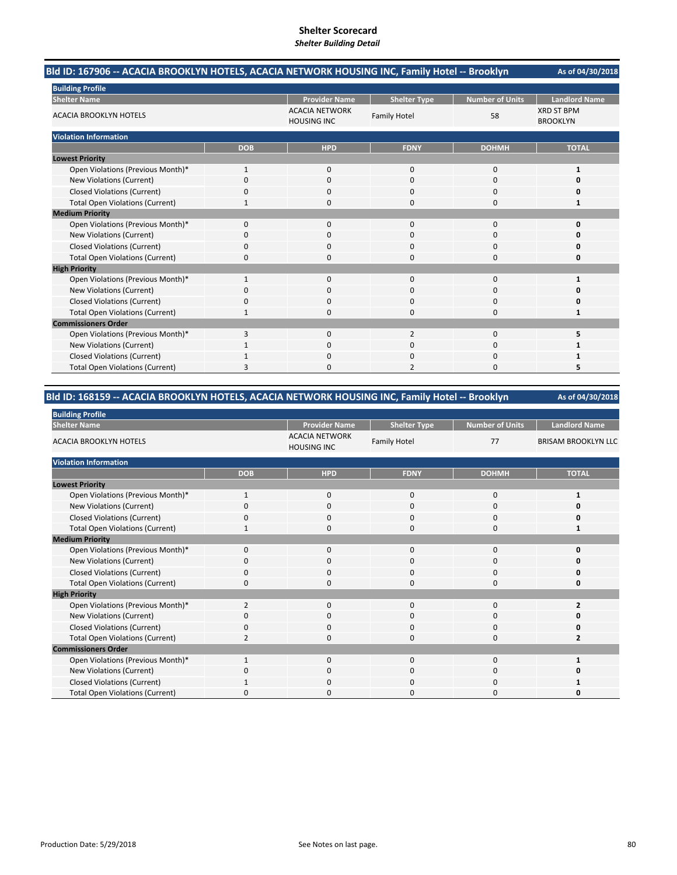| Bld ID: 167906 -- ACACIA BROOKLYN HOTELS, ACACIA NETWORK HOUSING INC, Family Hotel -- Brooklyn |              |                                             |                     |                        | As of 04/30/2018                     |
|------------------------------------------------------------------------------------------------|--------------|---------------------------------------------|---------------------|------------------------|--------------------------------------|
| <b>Building Profile</b>                                                                        |              |                                             |                     |                        |                                      |
| <b>Shelter Name</b>                                                                            |              | <b>Provider Name</b>                        | <b>Shelter Type</b> | <b>Number of Units</b> | <b>Landlord Name</b>                 |
| <b>ACACIA BROOKLYN HOTELS</b>                                                                  |              | <b>ACACIA NETWORK</b><br><b>HOUSING INC</b> | <b>Family Hotel</b> | 58                     | <b>XRD ST BPM</b><br><b>BROOKLYN</b> |
| <b>Violation Information</b>                                                                   |              |                                             |                     |                        |                                      |
|                                                                                                | <b>DOB</b>   | <b>HPD</b>                                  | <b>FDNY</b>         | <b>DOHMH</b>           | <b>TOTAL</b>                         |
| <b>Lowest Priority</b>                                                                         |              |                                             |                     |                        |                                      |
| Open Violations (Previous Month)*                                                              | 1            | $\mathbf{0}$                                | $\mathbf 0$         | 0                      | 1                                    |
| New Violations (Current)                                                                       | 0            | $\Omega$                                    | $\Omega$            | 0                      | O                                    |
| <b>Closed Violations (Current)</b>                                                             | ŋ            | n                                           | n                   | O                      | n                                    |
| <b>Total Open Violations (Current)</b>                                                         | 1            | 0                                           | $\Omega$            | 0                      | 1                                    |
| <b>Medium Priority</b>                                                                         |              |                                             |                     |                        |                                      |
| Open Violations (Previous Month)*                                                              | 0            | $\mathbf{0}$                                | $\Omega$            | 0                      | $\Omega$                             |
| New Violations (Current)                                                                       | 0            | 0                                           | $\Omega$            | 0                      | 0                                    |
| <b>Closed Violations (Current)</b>                                                             | 0            | 0                                           | $\Omega$            | 0                      |                                      |
| <b>Total Open Violations (Current)</b>                                                         | 0            |                                             | n                   | $\Omega$               | n                                    |
| <b>High Priority</b>                                                                           |              |                                             |                     |                        |                                      |
| Open Violations (Previous Month)*                                                              | $\mathbf{1}$ | $\Omega$                                    | $\mathbf{0}$        | 0                      | 1                                    |
| New Violations (Current)                                                                       | ŋ            | O                                           | $\Omega$            | $\Omega$               | n                                    |
| <b>Closed Violations (Current)</b>                                                             | ŋ            | n                                           | n                   | O                      | O                                    |
| <b>Total Open Violations (Current)</b>                                                         | 1            | $\Omega$                                    | $\Omega$            | 0                      | 1                                    |
| <b>Commissioners Order</b>                                                                     |              |                                             |                     |                        |                                      |
| Open Violations (Previous Month)*                                                              | 3            | $\Omega$                                    | $\overline{2}$      | $\Omega$               | 5                                    |
| New Violations (Current)                                                                       |              | $\Omega$                                    | $\Omega$            | $\Omega$               | 1                                    |
| <b>Closed Violations (Current)</b>                                                             |              | 0                                           | $\Omega$            | 0                      |                                      |
| <b>Total Open Violations (Current)</b>                                                         | 3            |                                             |                     | n                      |                                      |

## **Bld ID: 168159 ‐‐ ACACIA BROOKLYN HOTELS, ACACIA NETWORK HOUSING INC, Family Hotel ‐‐ Brooklyn**

| <b>Building Profile</b>                |                |                                             |                     |                        |                            |
|----------------------------------------|----------------|---------------------------------------------|---------------------|------------------------|----------------------------|
| <b>Shelter Name</b>                    |                | <b>Provider Name</b>                        | <b>Shelter Type</b> | <b>Number of Units</b> | <b>Landlord Name</b>       |
| <b>ACACIA BROOKLYN HOTELS</b>          |                | <b>ACACIA NETWORK</b><br><b>HOUSING INC</b> | <b>Family Hotel</b> | 77                     | <b>BRISAM BROOKLYN LLC</b> |
| <b>Violation Information</b>           |                |                                             |                     |                        |                            |
|                                        | <b>DOB</b>     | <b>HPD</b>                                  | <b>FDNY</b>         | <b>DOHMH</b>           | <b>TOTAL</b>               |
| <b>Lowest Priority</b>                 |                |                                             |                     |                        |                            |
| Open Violations (Previous Month)*      | 1              | 0                                           | 0                   | 0                      |                            |
| New Violations (Current)               | O              | $\Omega$                                    | $\Omega$            | $\Omega$               | n                          |
| <b>Closed Violations (Current)</b>     | 0              | 0                                           | 0                   | 0                      | O                          |
| <b>Total Open Violations (Current)</b> |                | $\Omega$                                    | 0                   | 0                      |                            |
| <b>Medium Priority</b>                 |                |                                             |                     |                        |                            |
| Open Violations (Previous Month)*      | $\Omega$       | 0                                           | 0                   | 0                      | n                          |
| New Violations (Current)               | 0              | 0                                           | 0                   | 0                      | n                          |
| <b>Closed Violations (Current)</b>     | 0              | 0                                           | 0                   | 0                      | O                          |
| <b>Total Open Violations (Current)</b> | 0              | $\Omega$                                    | 0                   | 0                      | O                          |
| <b>High Priority</b>                   |                |                                             |                     |                        |                            |
| Open Violations (Previous Month)*      | $\overline{2}$ | $\Omega$                                    | $\mathbf{0}$        | 0                      |                            |
| New Violations (Current)               | $\Omega$       | $\Omega$                                    | 0                   | 0                      | n                          |
| <b>Closed Violations (Current)</b>     | $\Omega$       | $\Omega$                                    | $\Omega$            | $\Omega$               | O                          |
| <b>Total Open Violations (Current)</b> | $\overline{2}$ | $\Omega$                                    | 0                   | $\Omega$               |                            |
| <b>Commissioners Order</b>             |                |                                             |                     |                        |                            |
| Open Violations (Previous Month)*      | $\mathbf 1$    | $\Omega$                                    | $\Omega$            | $\Omega$               |                            |
| New Violations (Current)               | $\Omega$       | 0                                           | 0                   | 0                      | o                          |
| <b>Closed Violations (Current)</b>     |                | $\Omega$                                    | 0                   | $\Omega$               |                            |
| <b>Total Open Violations (Current)</b> |                | O                                           | 0                   | $\Omega$               | Ω                          |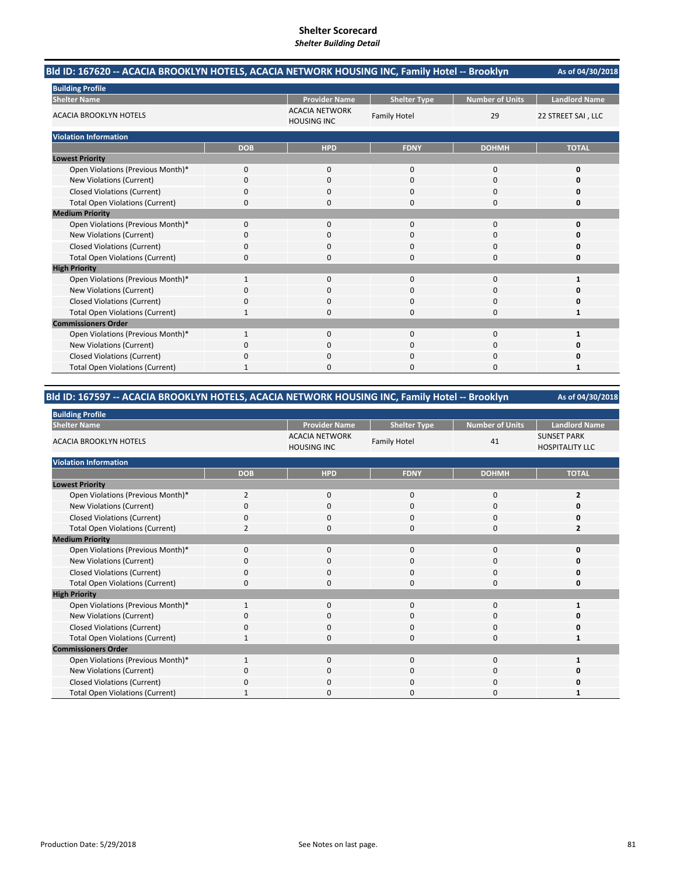| Bld ID: 167620 -- ACACIA BROOKLYN HOTELS, ACACIA NETWORK HOUSING INC, Family Hotel -- Brooklyn |            |                                             |                     |                        | As of 04/30/2018     |
|------------------------------------------------------------------------------------------------|------------|---------------------------------------------|---------------------|------------------------|----------------------|
| <b>Building Profile</b>                                                                        |            |                                             |                     |                        |                      |
| <b>Shelter Name</b>                                                                            |            | <b>Provider Name</b>                        | <b>Shelter Type</b> | <b>Number of Units</b> | <b>Landlord Name</b> |
| <b>ACACIA BROOKLYN HOTELS</b>                                                                  |            | <b>ACACIA NETWORK</b><br><b>HOUSING INC</b> | <b>Family Hotel</b> | 29                     | 22 STREET SAI, LLC   |
| <b>Violation Information</b>                                                                   |            |                                             |                     |                        |                      |
|                                                                                                | <b>DOB</b> | <b>HPD</b>                                  | <b>FDNY</b>         | <b>DOHMH</b>           | <b>TOTAL</b>         |
| <b>Lowest Priority</b>                                                                         |            |                                             |                     |                        |                      |
| Open Violations (Previous Month)*                                                              | 0          | $\Omega$                                    | $\Omega$            | $\Omega$               | 0                    |
| New Violations (Current)                                                                       | 0          | $\Omega$                                    | $\Omega$            | $\Omega$               | Ω                    |
| <b>Closed Violations (Current)</b>                                                             | 0          | 0                                           | 0                   | $\Omega$               | 0                    |
| <b>Total Open Violations (Current)</b>                                                         | 0          | 0                                           | 0                   | $\Omega$               | 0                    |
| <b>Medium Priority</b>                                                                         |            |                                             |                     |                        |                      |
| Open Violations (Previous Month)*                                                              | 0          | 0                                           | $\Omega$            | $\Omega$               | O                    |
| New Violations (Current)                                                                       | n          | 0                                           | O                   | <sup>0</sup>           | n                    |
| <b>Closed Violations (Current)</b>                                                             | 0          | $\Omega$                                    | $\Omega$            | $\Omega$               | 0                    |
| <b>Total Open Violations (Current)</b>                                                         | 0          | <sup>0</sup>                                | 0                   | $\Omega$               | O                    |
| <b>High Priority</b>                                                                           |            |                                             |                     |                        |                      |
| Open Violations (Previous Month)*                                                              | 1          | $\Omega$                                    | $\Omega$            | $\Omega$               |                      |
| New Violations (Current)                                                                       | ŋ          | 0                                           | $\Omega$            | $\Omega$               |                      |
| <b>Closed Violations (Current)</b>                                                             | 0          | 0                                           | 0                   | $\Omega$               | 0                    |
| <b>Total Open Violations (Current)</b>                                                         | 1          | 0                                           | $\Omega$            | $\Omega$               | 1                    |
| <b>Commissioners Order</b>                                                                     |            |                                             |                     |                        |                      |
| Open Violations (Previous Month)*                                                              |            | $\Omega$                                    | $\Omega$            | $\Omega$               |                      |
| New Violations (Current)                                                                       | n          | 0                                           | 0                   | 0                      | n                    |
| <b>Closed Violations (Current)</b>                                                             | 0          | <sup>0</sup>                                | 0                   | $\Omega$               | Ω                    |
| <b>Total Open Violations (Current)</b>                                                         | 1          | ŋ                                           | O                   | $\Omega$               | 1                    |

## **Bld ID: 167597 ‐‐ ACACIA BROOKLYN HOTELS, ACACIA NETWORK HOUSING INC, Family Hotel ‐‐ Brooklyn**

| <b>Building Profile</b>                |                |                                             |                     |                        |                                              |  |  |  |
|----------------------------------------|----------------|---------------------------------------------|---------------------|------------------------|----------------------------------------------|--|--|--|
| <b>Shelter Name</b>                    |                | <b>Provider Name</b>                        | <b>Shelter Type</b> | <b>Number of Units</b> | <b>Landlord Name</b>                         |  |  |  |
| <b>ACACIA BROOKLYN HOTELS</b>          |                | <b>ACACIA NETWORK</b><br><b>HOUSING INC</b> | <b>Family Hotel</b> | 41                     | <b>SUNSET PARK</b><br><b>HOSPITALITY LLC</b> |  |  |  |
| <b>Violation Information</b>           |                |                                             |                     |                        |                                              |  |  |  |
|                                        | <b>DOB</b>     | <b>HPD</b>                                  | <b>FDNY</b>         | <b>DOHMH</b>           | <b>TOTAL</b>                                 |  |  |  |
| <b>Lowest Priority</b>                 |                |                                             |                     |                        |                                              |  |  |  |
| Open Violations (Previous Month)*      | 2              | $\mathbf{0}$                                | 0                   | $\mathbf 0$            | $\overline{2}$                               |  |  |  |
| New Violations (Current)               | 0              | $\mathbf 0$                                 | 0                   | 0                      |                                              |  |  |  |
| <b>Closed Violations (Current)</b>     | $\Omega$       | $\mathbf 0$                                 | 0                   | 0                      |                                              |  |  |  |
| <b>Total Open Violations (Current)</b> | $\overline{2}$ | $\mathbf 0$                                 | 0                   | $\mathbf 0$            | $\overline{2}$                               |  |  |  |
| <b>Medium Priority</b>                 |                |                                             |                     |                        |                                              |  |  |  |
| Open Violations (Previous Month)*      | $\Omega$       | $\Omega$                                    | $\Omega$            | $\Omega$               | O                                            |  |  |  |
| New Violations (Current)               | 0              | $\Omega$                                    | 0                   | 0                      |                                              |  |  |  |
| <b>Closed Violations (Current)</b>     | $\Omega$       | $\mathbf 0$                                 | 0                   | $\mathbf 0$            |                                              |  |  |  |
| <b>Total Open Violations (Current)</b> | 0              | $\Omega$                                    | $\Omega$            | 0                      | o                                            |  |  |  |
| <b>High Priority</b>                   |                |                                             |                     |                        |                                              |  |  |  |
| Open Violations (Previous Month)*      | $\mathbf{1}$   | $\Omega$                                    | $\Omega$            | $\Omega$               |                                              |  |  |  |
| New Violations (Current)               | 0              | $\mathbf 0$                                 | 0                   | 0                      |                                              |  |  |  |
| <b>Closed Violations (Current)</b>     | 0              | $\mathbf 0$                                 | 0                   | $\mathbf 0$            |                                              |  |  |  |
| <b>Total Open Violations (Current)</b> |                | $\Omega$                                    | 0                   | 0                      |                                              |  |  |  |
| <b>Commissioners Order</b>             |                |                                             |                     |                        |                                              |  |  |  |
| Open Violations (Previous Month)*      | $\mathbf{1}$   | $\mathbf{0}$                                | 0                   | $\mathbf 0$            |                                              |  |  |  |
| New Violations (Current)               | 0              | $\mathbf 0$                                 | 0                   | 0                      |                                              |  |  |  |
| <b>Closed Violations (Current)</b>     | O              | $\mathbf 0$                                 | 0                   | 0                      |                                              |  |  |  |
| <b>Total Open Violations (Current)</b> |                | $\Omega$                                    | O                   | $\Omega$               |                                              |  |  |  |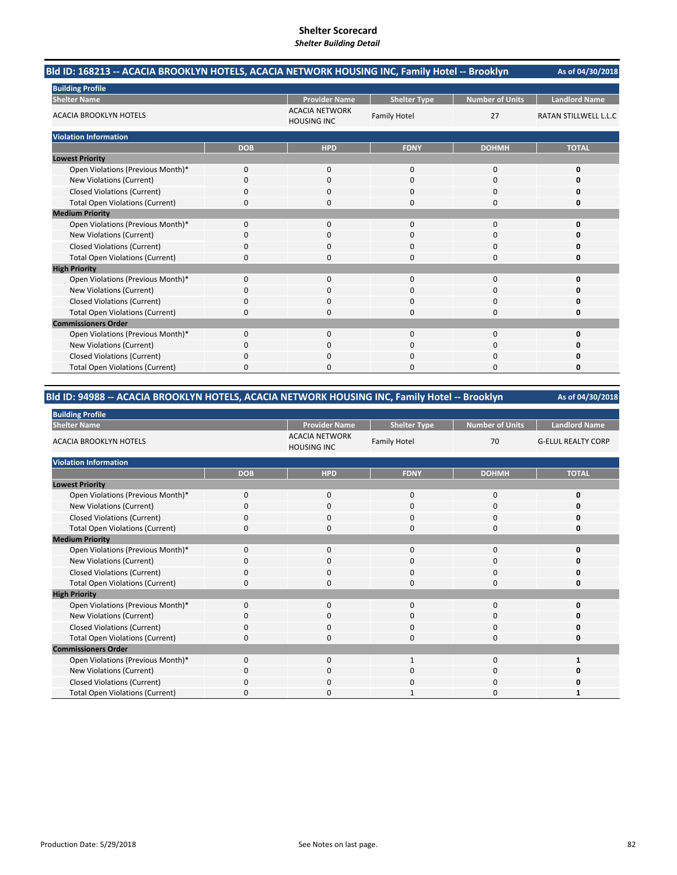| Bld ID: 168213 -- ACACIA BROOKLYN HOTELS, ACACIA NETWORK HOUSING INC, Family Hotel -- Brooklyn |            |                                             |                     |                        | As of 04/30/2018             |
|------------------------------------------------------------------------------------------------|------------|---------------------------------------------|---------------------|------------------------|------------------------------|
| <b>Building Profile</b>                                                                        |            |                                             |                     |                        |                              |
| <b>Shelter Name</b>                                                                            |            | <b>Provider Name</b>                        | <b>Shelter Type</b> | <b>Number of Units</b> | <b>Landlord Name</b>         |
| <b>ACACIA BROOKLYN HOTELS</b>                                                                  |            | <b>ACACIA NETWORK</b><br><b>HOUSING INC</b> | <b>Family Hotel</b> | 27                     | <b>RATAN STILLWELL L.L.C</b> |
| <b>Violation Information</b>                                                                   |            |                                             |                     |                        |                              |
|                                                                                                | <b>DOB</b> | <b>HPD</b>                                  | <b>FDNY</b>         | <b>DOHMH</b>           | <b>TOTAL</b>                 |
| <b>Lowest Priority</b>                                                                         |            |                                             |                     |                        |                              |
| Open Violations (Previous Month)*                                                              | 0          | $\mathbf{0}$                                | $\mathbf{0}$        | $\mathbf 0$            | 0                            |
| New Violations (Current)                                                                       | 0          | <sup>0</sup>                                | $\Omega$            | $\Omega$               | O                            |
| <b>Closed Violations (Current)</b>                                                             | 0          | 0                                           | $\Omega$            | $\Omega$               | O                            |
| <b>Total Open Violations (Current)</b>                                                         | 0          | 0                                           | $\Omega$            | $\Omega$               | 0                            |
| <b>Medium Priority</b>                                                                         |            |                                             |                     |                        |                              |
| Open Violations (Previous Month)*                                                              | 0          | $\Omega$                                    | $\Omega$            | $\Omega$               | $\Omega$                     |
| New Violations (Current)                                                                       | 0          | 0                                           | 0                   | 0                      | n                            |
| <b>Closed Violations (Current)</b>                                                             | 0          | $\Omega$                                    | $\Omega$            | 0                      | Ω                            |
| <b>Total Open Violations (Current)</b>                                                         | 0          | O                                           | $\Omega$            | $\Omega$               | 0                            |
| <b>High Priority</b>                                                                           |            |                                             |                     |                        |                              |
| Open Violations (Previous Month)*                                                              | $\Omega$   | $\Omega$                                    | $\Omega$            | $\Omega$               | O                            |
| New Violations (Current)                                                                       | ŋ          | <sup>0</sup>                                | $\Omega$            | $\Omega$               | O                            |
| <b>Closed Violations (Current)</b>                                                             | 0          | 0                                           | $\Omega$            | 0                      | Ω                            |
| <b>Total Open Violations (Current)</b>                                                         | 0          | 0                                           | $\Omega$            | 0                      | 0                            |
| <b>Commissioners Order</b>                                                                     |            |                                             |                     |                        |                              |
| Open Violations (Previous Month)*                                                              | 0          | $\Omega$                                    | $\mathbf{0}$        | $\Omega$               | O                            |
| New Violations (Current)                                                                       | ŋ          | 0                                           | O                   | 0                      |                              |
| <b>Closed Violations (Current)</b>                                                             | 0          | $\Omega$                                    | 0                   | 0                      | O                            |
| <b>Total Open Violations (Current)</b>                                                         | 0          | <sup>0</sup>                                | $\Omega$            | 0                      | 0                            |

## **Bld ID: 94988 ‐‐ ACACIA BROOKLYN HOTELS, ACACIA NETWORK HOUSING INC, Family Hotel ‐‐ Brooklyn**

| <b>Building Profile</b>                |            |                                             |                     |                        |                           |
|----------------------------------------|------------|---------------------------------------------|---------------------|------------------------|---------------------------|
| <b>Shelter Name</b>                    |            | <b>Provider Name</b>                        | <b>Shelter Type</b> | <b>Number of Units</b> | <b>Landlord Name</b>      |
| <b>ACACIA BROOKLYN HOTELS</b>          |            | <b>ACACIA NETWORK</b><br><b>HOUSING INC</b> | <b>Family Hotel</b> | 70                     | <b>G-ELUL REALTY CORP</b> |
| <b>Violation Information</b>           |            |                                             |                     |                        |                           |
|                                        | <b>DOB</b> | <b>HPD</b>                                  | <b>FDNY</b>         | <b>DOHMH</b>           | <b>TOTAL</b>              |
| <b>Lowest Priority</b>                 |            |                                             |                     |                        |                           |
| Open Violations (Previous Month)*      | $\Omega$   | 0                                           | 0                   | 0                      | ŋ                         |
| New Violations (Current)               | 0          | 0                                           | 0                   | 0                      |                           |
| <b>Closed Violations (Current)</b>     | 0          | $\Omega$                                    | $\mathbf 0$         | $\mathbf 0$            |                           |
| <b>Total Open Violations (Current)</b> | ŋ          | $\Omega$                                    | 0                   | $\mathbf 0$            |                           |
| <b>Medium Priority</b>                 |            |                                             |                     |                        |                           |
| Open Violations (Previous Month)*      | $\Omega$   | $\Omega$                                    | $\mathbf{0}$        | 0                      |                           |
| New Violations (Current)               | O          | 0                                           | 0                   | 0                      |                           |
| <b>Closed Violations (Current)</b>     | 0          | 0                                           | 0                   | 0                      |                           |
| <b>Total Open Violations (Current)</b> | ŋ          | $\Omega$                                    | 0                   | $\mathbf 0$            |                           |
| <b>High Priority</b>                   |            |                                             |                     |                        |                           |
| Open Violations (Previous Month)*      | $\Omega$   | 0                                           | $\mathbf{0}$        | 0                      | ŋ                         |
| New Violations (Current)               | O          | $\Omega$                                    | 0                   | 0                      |                           |
| <b>Closed Violations (Current)</b>     | $\Omega$   | $\mathbf 0$                                 | 0                   | 0                      |                           |
| <b>Total Open Violations (Current)</b> | 0          | $\Omega$                                    | 0                   | $\mathbf 0$            |                           |
| <b>Commissioners Order</b>             |            |                                             |                     |                        |                           |
| Open Violations (Previous Month)*      | $\Omega$   | $\Omega$                                    | $\mathbf{1}$        | $\mathbf 0$            | 1                         |
| New Violations (Current)               | 0          | $\mathbf 0$                                 | 0                   | 0                      |                           |
| <b>Closed Violations (Current)</b>     | 0          | $\Omega$                                    | 0                   | 0                      |                           |
| <b>Total Open Violations (Current)</b> | n          | <sup>0</sup>                                |                     | 0                      |                           |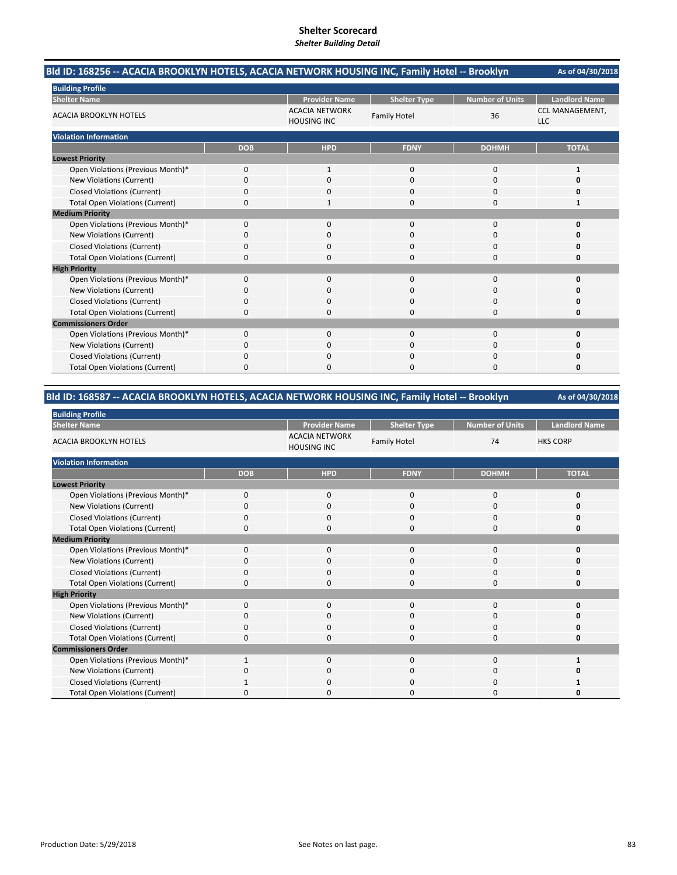| Bld ID: 168256 -- ACACIA BROOKLYN HOTELS, ACACIA NETWORK HOUSING INC, Family Hotel -- Brooklyn |            |                                             |                     |                        | As of 04/30/2018                     |
|------------------------------------------------------------------------------------------------|------------|---------------------------------------------|---------------------|------------------------|--------------------------------------|
| <b>Building Profile</b>                                                                        |            |                                             |                     |                        |                                      |
| <b>Shelter Name</b>                                                                            |            | <b>Provider Name</b>                        | <b>Shelter Type</b> | <b>Number of Units</b> | <b>Landlord Name</b>                 |
| <b>ACACIA BROOKLYN HOTELS</b>                                                                  |            | <b>ACACIA NETWORK</b><br><b>HOUSING INC</b> | <b>Family Hotel</b> | 36                     | <b>CCL MANAGEMENT,</b><br><b>LLC</b> |
| <b>Violation Information</b>                                                                   |            |                                             |                     |                        |                                      |
|                                                                                                | <b>DOB</b> | <b>HPD</b>                                  | <b>FDNY</b>         | <b>DOHMH</b>           | <b>TOTAL</b>                         |
| <b>Lowest Priority</b>                                                                         |            |                                             |                     |                        |                                      |
| Open Violations (Previous Month)*                                                              | 0          | $\mathbf{1}$                                | $\mathbf{0}$        | 0                      | $\mathbf{1}$                         |
| New Violations (Current)                                                                       | 0          | $\Omega$                                    | $\Omega$            | $\Omega$               | O                                    |
| <b>Closed Violations (Current)</b>                                                             | 0          | 0                                           | 0                   | 0                      | 0                                    |
| <b>Total Open Violations (Current)</b>                                                         | 0          |                                             | 0                   | $\Omega$               | 1                                    |
| <b>Medium Priority</b>                                                                         |            |                                             |                     |                        |                                      |
| Open Violations (Previous Month)*                                                              | $\Omega$   | $\Omega$                                    | $\Omega$            | $\Omega$               | 0                                    |
| New Violations (Current)                                                                       | 0          | 0                                           | O                   | $\Omega$               | n                                    |
| <b>Closed Violations (Current)</b>                                                             | 0          | 0                                           | 0                   | 0                      | Ω                                    |
| <b>Total Open Violations (Current)</b>                                                         | $\Omega$   | $\Omega$                                    | O                   | $\Omega$               | o                                    |
| <b>High Priority</b>                                                                           |            |                                             |                     |                        |                                      |
| Open Violations (Previous Month)*                                                              | 0          | $\Omega$                                    | $\Omega$            | $\Omega$               | $\Omega$                             |
| New Violations (Current)                                                                       | 0          | $\Omega$                                    | $\Omega$            | $\Omega$               | n                                    |
| <b>Closed Violations (Current)</b>                                                             | 0          | 0                                           | 0                   | $\Omega$               | 0                                    |
| <b>Total Open Violations (Current)</b>                                                         | 0          | 0                                           | 0                   | 0                      | 0                                    |
| <b>Commissioners Order</b>                                                                     |            |                                             |                     |                        |                                      |
| Open Violations (Previous Month)*                                                              | $\Omega$   | $\Omega$                                    | $\Omega$            | $\Omega$               | 0                                    |
| New Violations (Current)                                                                       | ŋ          | 0                                           | O                   | $\Omega$               | Ω                                    |
| <b>Closed Violations (Current)</b>                                                             | 0          | $\Omega$                                    | 0                   | 0                      | Ω                                    |
| <b>Total Open Violations (Current)</b>                                                         | 0          | <sup>0</sup>                                | 0                   | $\Omega$               | 0                                    |

## **Bld ID: 168587 ‐‐ ACACIA BROOKLYN HOTELS, ACACIA NETWORK HOUSING INC, Family Hotel ‐‐ Brooklyn**

| <b>Building Profile</b>                |              |                                             |                     |                        |                      |  |  |  |  |
|----------------------------------------|--------------|---------------------------------------------|---------------------|------------------------|----------------------|--|--|--|--|
| <b>Shelter Name</b>                    |              | <b>Provider Name</b>                        | <b>Shelter Type</b> | <b>Number of Units</b> | <b>Landlord Name</b> |  |  |  |  |
| <b>ACACIA BROOKLYN HOTELS</b>          |              | <b>ACACIA NETWORK</b><br><b>HOUSING INC</b> | <b>Family Hotel</b> | 74                     | <b>HKS CORP</b>      |  |  |  |  |
| <b>Violation Information</b>           |              |                                             |                     |                        |                      |  |  |  |  |
|                                        | <b>DOB</b>   | <b>HPD</b>                                  | <b>FDNY</b>         | <b>DOHMH</b>           | <b>TOTAL</b>         |  |  |  |  |
| <b>Lowest Priority</b>                 |              |                                             |                     |                        |                      |  |  |  |  |
| Open Violations (Previous Month)*      | $\mathbf{0}$ | $\mathbf 0$                                 | $\mathbf 0$         | 0                      | $\Omega$             |  |  |  |  |
| New Violations (Current)               | O            | 0                                           | 0                   | 0                      |                      |  |  |  |  |
| <b>Closed Violations (Current)</b>     | $\Omega$     | $\mathbf 0$                                 | 0                   | 0                      |                      |  |  |  |  |
| <b>Total Open Violations (Current)</b> | ŋ            | $\Omega$                                    | 0                   | $\mathbf 0$            |                      |  |  |  |  |
| <b>Medium Priority</b>                 |              |                                             |                     |                        |                      |  |  |  |  |
| Open Violations (Previous Month)*      | $\Omega$     | $\Omega$                                    | $\mathbf 0$         | 0                      | n                    |  |  |  |  |
| New Violations (Current)               | 0            | $\Omega$                                    | 0                   | 0                      |                      |  |  |  |  |
| <b>Closed Violations (Current)</b>     | 0            | $\Omega$                                    | 0                   | 0                      |                      |  |  |  |  |
| <b>Total Open Violations (Current)</b> | 0            | $\Omega$                                    | 0                   | $\mathbf 0$            | Ω                    |  |  |  |  |
| <b>High Priority</b>                   |              |                                             |                     |                        |                      |  |  |  |  |
| Open Violations (Previous Month)*      | $\Omega$     | $\Omega$                                    | $\mathbf 0$         | $\mathbf 0$            | U                    |  |  |  |  |
| New Violations (Current)               | 0            | $\mathbf 0$                                 | 0                   | 0                      |                      |  |  |  |  |
| <b>Closed Violations (Current)</b>     | $\Omega$     | $\mathbf 0$                                 | $\mathbf 0$         | $\mathbf 0$            |                      |  |  |  |  |
| <b>Total Open Violations (Current)</b> | ŋ            | $\Omega$                                    | 0                   | $\mathbf 0$            | Ω                    |  |  |  |  |
| <b>Commissioners Order</b>             |              |                                             |                     |                        |                      |  |  |  |  |
| Open Violations (Previous Month)*      | 1            | $\Omega$                                    | 0                   | $\Omega$               |                      |  |  |  |  |
| New Violations (Current)               | 0            | $\mathbf 0$                                 | $\mathbf 0$         | 0                      |                      |  |  |  |  |
| <b>Closed Violations (Current)</b>     |              | $\Omega$                                    | 0                   | $\mathbf 0$            |                      |  |  |  |  |
| <b>Total Open Violations (Current)</b> | n            | <sup>0</sup>                                | ი                   | 0                      |                      |  |  |  |  |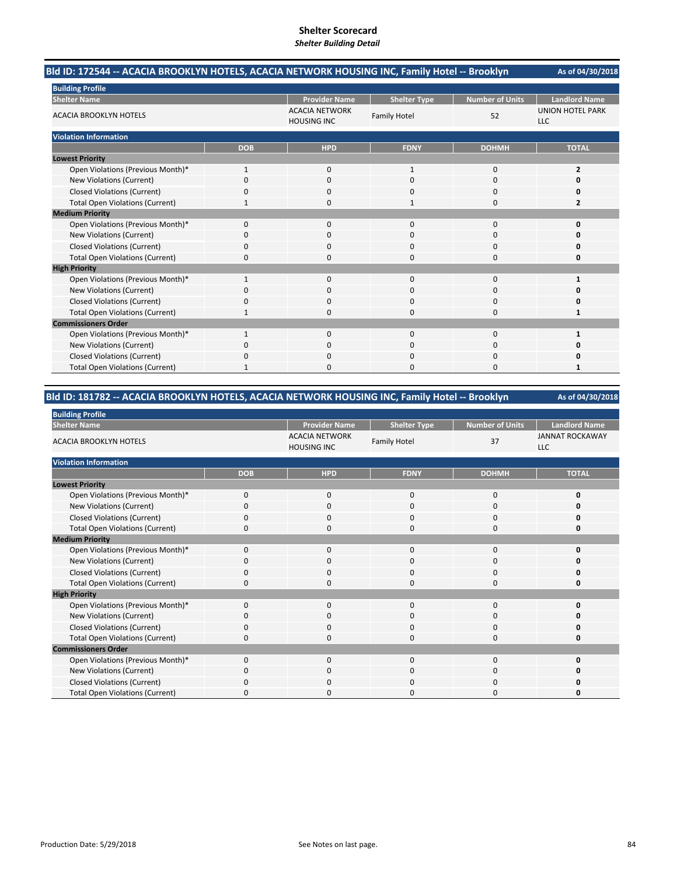| Bld ID: 172544 -- ACACIA BROOKLYN HOTELS, ACACIA NETWORK HOUSING INC, Family Hotel -- Brooklyn |              |                                             |                     |                        | As of 04/30/2018                      |
|------------------------------------------------------------------------------------------------|--------------|---------------------------------------------|---------------------|------------------------|---------------------------------------|
| <b>Building Profile</b>                                                                        |              |                                             |                     |                        |                                       |
| <b>Shelter Name</b>                                                                            |              | <b>Provider Name</b>                        | <b>Shelter Type</b> | <b>Number of Units</b> | <b>Landlord Name</b>                  |
| <b>ACACIA BROOKLYN HOTELS</b>                                                                  |              | <b>ACACIA NETWORK</b><br><b>HOUSING INC</b> | <b>Family Hotel</b> | 52                     | <b>UNION HOTEL PARK</b><br><b>LLC</b> |
| <b>Violation Information</b>                                                                   |              |                                             |                     |                        |                                       |
|                                                                                                | <b>DOB</b>   | <b>HPD</b>                                  | <b>FDNY</b>         | <b>DOHMH</b>           | <b>TOTAL</b>                          |
| <b>Lowest Priority</b>                                                                         |              |                                             |                     |                        |                                       |
| Open Violations (Previous Month)*                                                              | $\mathbf{1}$ | 0                                           | $\mathbf{1}$        | $\Omega$               | 2                                     |
| New Violations (Current)                                                                       | $\Omega$     | $\Omega$                                    | $\Omega$            | $\Omega$               | O                                     |
| <b>Closed Violations (Current)</b>                                                             | 0            | 0                                           | 0                   | 0                      | 0                                     |
| <b>Total Open Violations (Current)</b>                                                         |              | 0                                           | 1                   | $\Omega$               | 2                                     |
| <b>Medium Priority</b>                                                                         |              |                                             |                     |                        |                                       |
| Open Violations (Previous Month)*                                                              | $\Omega$     | $\Omega$                                    | $\Omega$            | $\Omega$               | $\Omega$                              |
| New Violations (Current)                                                                       | 0            | 0                                           | 0                   | 0                      | n                                     |
| <b>Closed Violations (Current)</b>                                                             | 0            | $\Omega$                                    | $\Omega$            | $\Omega$               | 0                                     |
| <b>Total Open Violations (Current)</b>                                                         | $\Omega$     | O                                           | O                   | $\Omega$               | O                                     |
| <b>High Priority</b>                                                                           |              |                                             |                     |                        |                                       |
| Open Violations (Previous Month)*                                                              | $\mathbf{1}$ | $\Omega$                                    | $\Omega$            | $\Omega$               | 1                                     |
| New Violations (Current)                                                                       | 0            | $\Omega$                                    | $\Omega$            | $\Omega$               | Ω                                     |
| <b>Closed Violations (Current)</b>                                                             | $\Omega$     | 0                                           | 0                   | $\Omega$               | 0                                     |
| <b>Total Open Violations (Current)</b>                                                         | 1            | 0                                           | $\Omega$            | $\Omega$               | 1                                     |
| <b>Commissioners Order</b>                                                                     |              |                                             |                     |                        |                                       |
| Open Violations (Previous Month)*                                                              | 1            | 0                                           | $\Omega$            | 0                      | 1                                     |
| New Violations (Current)                                                                       | 0            | 0                                           | 0                   | 0                      | n                                     |
| <b>Closed Violations (Current)</b>                                                             | 0            | $\Omega$                                    | $\Omega$            | $\Omega$               | O                                     |
| <b>Total Open Violations (Current)</b>                                                         | 1            | O                                           | O                   | $\Omega$               | 1                                     |

## **Bld ID: 181782 ‐‐ ACACIA BROOKLYN HOTELS, ACACIA NETWORK HOUSING INC, Family Hotel ‐‐ Brooklyn**

| <b>Building Profile</b>                |             |                                             |                     |                        |                                      |
|----------------------------------------|-------------|---------------------------------------------|---------------------|------------------------|--------------------------------------|
| <b>Shelter Name</b>                    |             | <b>Provider Name</b>                        | <b>Shelter Type</b> | <b>Number of Units</b> | <b>Landlord Name</b>                 |
| <b>ACACIA BROOKLYN HOTELS</b>          |             | <b>ACACIA NETWORK</b><br><b>HOUSING INC</b> | <b>Family Hotel</b> | 37                     | <b>JANNAT ROCKAWAY</b><br><b>LLC</b> |
| <b>Violation Information</b>           |             |                                             |                     |                        |                                      |
|                                        | <b>DOB</b>  | <b>HPD</b>                                  | <b>FDNY</b>         | <b>DOHMH</b>           | <b>TOTAL</b>                         |
| <b>Lowest Priority</b>                 |             |                                             |                     |                        |                                      |
| Open Violations (Previous Month)*      | $\mathbf 0$ | $\mathbf 0$                                 | 0                   | 0                      | n                                    |
| New Violations (Current)               | C           | 0                                           | 0                   | 0                      |                                      |
| <b>Closed Violations (Current)</b>     | 0           | $\Omega$                                    | 0                   | 0                      |                                      |
| <b>Total Open Violations (Current)</b> | $\Omega$    | $\Omega$                                    | 0                   | 0                      | n                                    |
| <b>Medium Priority</b>                 |             |                                             |                     |                        |                                      |
| Open Violations (Previous Month)*      | $\Omega$    | $\Omega$                                    | $\Omega$            | $\Omega$               |                                      |
| New Violations (Current)               | 0           | 0                                           | 0                   | 0                      |                                      |
| <b>Closed Violations (Current)</b>     | 0           | 0                                           | 0                   | 0                      |                                      |
| <b>Total Open Violations (Current)</b> | $\Omega$    | $\Omega$                                    | 0                   | 0                      | Ω                                    |
| <b>High Priority</b>                   |             |                                             |                     |                        |                                      |
| Open Violations (Previous Month)*      | $\mathbf 0$ | $\mathbf{0}$                                | 0                   | 0                      | n                                    |
| New Violations (Current)               | 0           | 0                                           | 0                   | 0                      |                                      |
| <b>Closed Violations (Current)</b>     | 0           | 0                                           | 0                   | 0                      |                                      |
| <b>Total Open Violations (Current)</b> | 0           | $\Omega$                                    | 0                   | 0                      |                                      |
| <b>Commissioners Order</b>             |             |                                             |                     |                        |                                      |
| Open Violations (Previous Month)*      | $\Omega$    | $\Omega$                                    | $\Omega$            | $\Omega$               | n                                    |
| New Violations (Current)               | 0           | 0                                           | 0                   | 0                      |                                      |
| <b>Closed Violations (Current)</b>     | 0           | 0                                           | 0                   | 0                      |                                      |
| <b>Total Open Violations (Current)</b> |             | O                                           | ი                   | 0                      |                                      |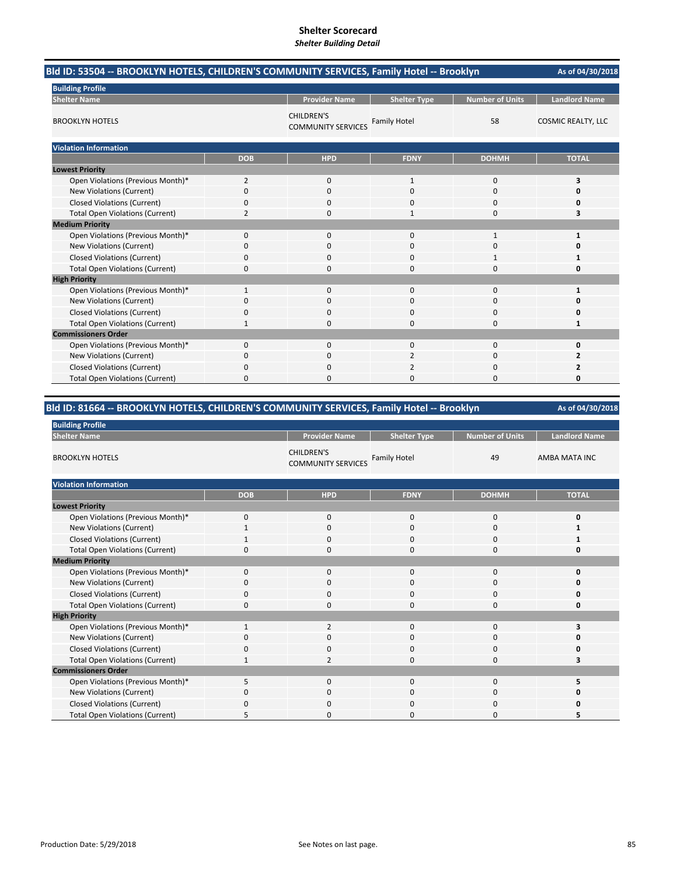| Bld ID: 53504 -- BROOKLYN HOTELS, CHILDREN'S COMMUNITY SERVICES, Family Hotel -- Brooklyn |              |                                                |                     | As of 04/30/2018       |                           |
|-------------------------------------------------------------------------------------------|--------------|------------------------------------------------|---------------------|------------------------|---------------------------|
| <b>Building Profile</b>                                                                   |              |                                                |                     |                        |                           |
| <b>Shelter Name</b>                                                                       |              | <b>Provider Name</b>                           | <b>Shelter Type</b> | <b>Number of Units</b> | <b>Landlord Name</b>      |
| <b>BROOKLYN HOTELS</b>                                                                    |              | <b>CHILDREN'S</b><br><b>COMMUNITY SERVICES</b> | <b>Family Hotel</b> | 58                     | <b>COSMIC REALTY, LLC</b> |
| <b>Violation Information</b>                                                              |              |                                                |                     |                        |                           |
|                                                                                           | <b>DOB</b>   | <b>HPD</b>                                     | <b>FDNY</b>         | <b>DOHMH</b>           | <b>TOTAL</b>              |
| <b>Lowest Priority</b>                                                                    |              |                                                |                     |                        |                           |
| Open Violations (Previous Month)*                                                         | 2            | 0                                              | 1                   | 0                      | 3                         |
| New Violations (Current)                                                                  | 0            | 0                                              | 0                   | 0                      | 0                         |
| <b>Closed Violations (Current)</b>                                                        | 0            | 0                                              | $\Omega$            | 0                      | n                         |
| <b>Total Open Violations (Current)</b>                                                    | 2            | 0                                              |                     | 0                      | 3                         |
| <b>Medium Priority</b>                                                                    |              |                                                |                     |                        |                           |
| Open Violations (Previous Month)*                                                         | 0            | $\mathbf{0}$                                   | $\mathbf{0}$        | $\mathbf{1}$           | 1                         |
| New Violations (Current)                                                                  | $\Omega$     | $\Omega$                                       | $\Omega$            | 0                      | 0                         |
| <b>Closed Violations (Current)</b>                                                        | 0            | 0                                              | 0                   |                        | 1                         |
| <b>Total Open Violations (Current)</b>                                                    | 0            | $\Omega$                                       | $\Omega$            | $\Omega$               | 0                         |
| <b>High Priority</b>                                                                      |              |                                                |                     |                        |                           |
| Open Violations (Previous Month)*                                                         | $\mathbf{1}$ | $\mathbf{0}$                                   | $\Omega$            | $\Omega$               | 1                         |
| New Violations (Current)                                                                  | 0            | 0                                              | 0                   | 0                      | Ω                         |
| <b>Closed Violations (Current)</b>                                                        | 0            | $\Omega$                                       | $\Omega$            | $\Omega$               | 0                         |
| <b>Total Open Violations (Current)</b>                                                    | 1            | O                                              | $\Omega$            | 0                      | 1                         |
| <b>Commissioners Order</b>                                                                |              |                                                |                     |                        |                           |
| Open Violations (Previous Month)*                                                         | 0            | $\Omega$                                       | $\Omega$            | 0                      | 0                         |
| New Violations (Current)                                                                  | 0            | $\Omega$                                       | 2                   | $\Omega$               | 2                         |
| <b>Closed Violations (Current)</b>                                                        | 0            | 0                                              |                     | 0                      | 2                         |
| <b>Total Open Violations (Current)</b>                                                    | 0            | ŋ                                              | n                   | $\Omega$               | n                         |

## **Bld ID: 81664 ‐‐ BROOKLYN HOTELS, CHILDREN'S COMMUNITY SERVICES, Family Hotel ‐‐ Brooklyn**

| <b>Building Profile</b>                |              |                                                |                     |                        |                      |  |  |
|----------------------------------------|--------------|------------------------------------------------|---------------------|------------------------|----------------------|--|--|
| <b>Shelter Name</b>                    |              | <b>Provider Name</b>                           | <b>Shelter Type</b> | <b>Number of Units</b> | <b>Landlord Name</b> |  |  |
| <b>BROOKLYN HOTELS</b>                 |              | <b>CHILDREN'S</b><br><b>COMMUNITY SERVICES</b> | <b>Family Hotel</b> | 49                     | AMBA MATA INC        |  |  |
| <b>Violation Information</b>           |              |                                                |                     |                        |                      |  |  |
|                                        | <b>DOB</b>   | <b>HPD</b>                                     | <b>FDNY</b>         | <b>DOHMH</b>           | <b>TOTAL</b>         |  |  |
| <b>Lowest Priority</b>                 |              |                                                |                     |                        |                      |  |  |
| Open Violations (Previous Month)*      | $\Omega$     | $\mathbf 0$                                    | 0                   | $\mathbf 0$            | 0                    |  |  |
| New Violations (Current)               |              | 0                                              | 0                   | 0                      |                      |  |  |
| <b>Closed Violations (Current)</b>     |              | $\mathbf 0$                                    | 0                   | 0                      |                      |  |  |
| <b>Total Open Violations (Current)</b> | $\Omega$     | $\Omega$                                       | $\Omega$            | $\mathbf 0$            | n                    |  |  |
| <b>Medium Priority</b>                 |              |                                                |                     |                        |                      |  |  |
| Open Violations (Previous Month)*      | $\mathbf 0$  | $\mathbf 0$                                    | 0                   | 0                      |                      |  |  |
| New Violations (Current)               | $\Omega$     | $\Omega$                                       | $\Omega$            | $\Omega$               |                      |  |  |
| <b>Closed Violations (Current)</b>     | $\Omega$     | $\mathbf 0$                                    | 0                   | $\mathbf 0$            |                      |  |  |
| <b>Total Open Violations (Current)</b> | $\Omega$     | $\Omega$                                       | $\Omega$            | $\mathbf 0$            |                      |  |  |
| <b>High Priority</b>                   |              |                                                |                     |                        |                      |  |  |
| Open Violations (Previous Month)*      | $\mathbf{1}$ | $\overline{2}$                                 | 0                   | 0                      |                      |  |  |
| New Violations (Current)               | $\Omega$     | $\Omega$                                       | $\Omega$            | 0                      |                      |  |  |
| <b>Closed Violations (Current)</b>     | 0            | $\mathbf 0$                                    | 0                   | 0                      |                      |  |  |
| <b>Total Open Violations (Current)</b> | 1            | $\overline{2}$                                 | $\Omega$            | 0                      | 3                    |  |  |
| <b>Commissioners Order</b>             |              |                                                |                     |                        |                      |  |  |
| Open Violations (Previous Month)*      | 5            | $\mathbf 0$                                    | 0                   | $\mathbf 0$            | 5                    |  |  |
| New Violations (Current)               | $\Omega$     | $\Omega$                                       | $\Omega$            | 0                      |                      |  |  |
| <b>Closed Violations (Current)</b>     | 0            | 0                                              | 0                   | 0                      |                      |  |  |
| <b>Total Open Violations (Current)</b> | 5            | <sup>0</sup>                                   | $\Omega$            | $\Omega$               |                      |  |  |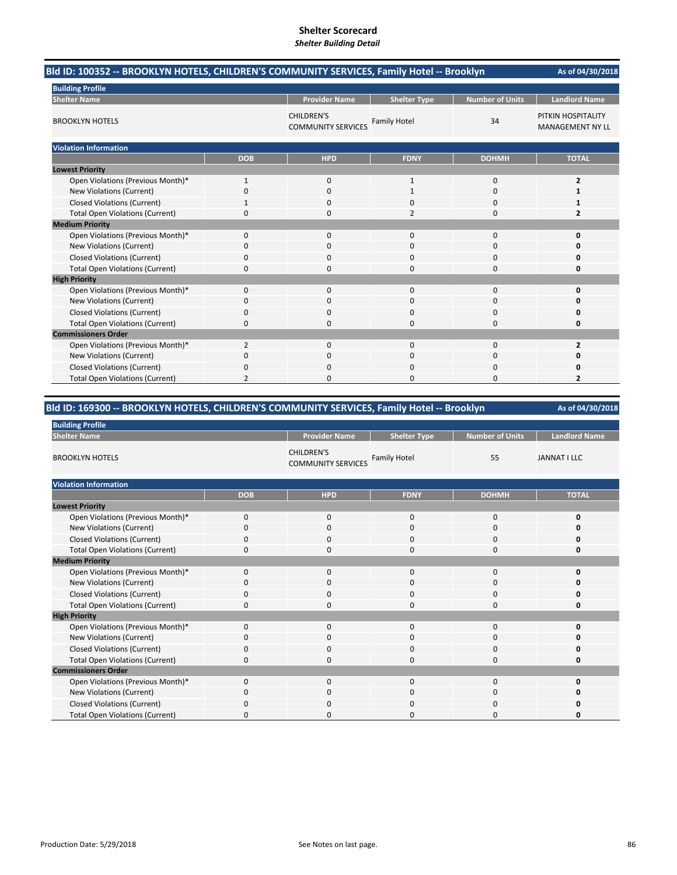| Bld ID: 100352 -- BROOKLYN HOTELS, CHILDREN'S COMMUNITY SERVICES, Family Hotel -- Brooklyn | As of 04/30/2018 |                                                |                     |                        |                                               |
|--------------------------------------------------------------------------------------------|------------------|------------------------------------------------|---------------------|------------------------|-----------------------------------------------|
| <b>Building Profile</b>                                                                    |                  |                                                |                     |                        |                                               |
| <b>Shelter Name</b>                                                                        |                  | <b>Provider Name</b>                           | <b>Shelter Type</b> | <b>Number of Units</b> | <b>Landlord Name</b>                          |
| <b>BROOKLYN HOTELS</b>                                                                     |                  | <b>CHILDREN'S</b><br><b>COMMUNITY SERVICES</b> | <b>Family Hotel</b> | 34                     | PITKIN HOSPITALITY<br><b>MANAGEMENT NY LL</b> |
| <b>Violation Information</b>                                                               |                  |                                                |                     |                        |                                               |
|                                                                                            | <b>DOB</b>       | <b>HPD</b>                                     | <b>FDNY</b>         | <b>DOHMH</b>           | <b>TOTAL</b>                                  |
| <b>Lowest Priority</b>                                                                     |                  |                                                |                     |                        |                                               |
| Open Violations (Previous Month)*                                                          | $\mathbf{1}$     | $\mathbf{0}$                                   | $\mathbf{1}$        | 0                      | 2                                             |
| New Violations (Current)                                                                   | 0                | 0                                              | 1                   | 0                      | 1                                             |
| <b>Closed Violations (Current)</b>                                                         | 1                | $\Omega$                                       | $\Omega$            | 0                      | 1                                             |
| <b>Total Open Violations (Current)</b>                                                     | 0                | <sup>0</sup>                                   | 2                   | 0                      | 2                                             |
| <b>Medium Priority</b>                                                                     |                  |                                                |                     |                        |                                               |
| Open Violations (Previous Month)*                                                          | 0                | $\Omega$                                       | $\Omega$            | $\Omega$               | O                                             |
| New Violations (Current)                                                                   | 0                | $\Omega$                                       | $\Omega$            | 0                      | n                                             |
| <b>Closed Violations (Current)</b>                                                         | 0                | $\Omega$                                       | $\Omega$            | 0                      | O                                             |
| <b>Total Open Violations (Current)</b>                                                     | 0                | 0                                              | 0                   | 0                      | 0                                             |
| <b>High Priority</b>                                                                       |                  |                                                |                     |                        |                                               |
| Open Violations (Previous Month)*                                                          | 0                | $\mathbf 0$                                    | $\mathbf 0$         | $\mathbf 0$            | 0                                             |
| New Violations (Current)                                                                   | 0                | 0                                              | $\Omega$            | 0                      | O                                             |
| <b>Closed Violations (Current)</b>                                                         | 0                | 0                                              | 0                   | 0                      | 0                                             |
| <b>Total Open Violations (Current)</b>                                                     | 0                | O                                              | $\Omega$            | 0                      | 0                                             |
| <b>Commissioners Order</b>                                                                 |                  |                                                |                     |                        |                                               |
| Open Violations (Previous Month)*                                                          | 2                | 0                                              | 0                   | 0                      | 2                                             |
| New Violations (Current)                                                                   | 0                | 0                                              | 0                   | 0                      | O                                             |
| <b>Closed Violations (Current)</b>                                                         | 0                | ŋ                                              | $\Omega$            | 0                      | n                                             |
| <b>Total Open Violations (Current)</b>                                                     |                  | O                                              | ი                   | O                      |                                               |

## **Bld ID: 169300 ‐‐ BROOKLYN HOTELS, CHILDREN'S COMMUNITY SERVICES, Family Hotel ‐‐ Brooklyn**

| <b>Building Profile</b>                |             |                                                |                     |                        |                      |  |  |  |
|----------------------------------------|-------------|------------------------------------------------|---------------------|------------------------|----------------------|--|--|--|
| <b>Shelter Name</b>                    |             | <b>Provider Name</b>                           | <b>Shelter Type</b> | <b>Number of Units</b> | <b>Landlord Name</b> |  |  |  |
| <b>BROOKLYN HOTELS</b>                 |             | <b>CHILDREN'S</b><br><b>COMMUNITY SERVICES</b> | <b>Family Hotel</b> | 55                     | <b>JANNAT I LLC</b>  |  |  |  |
| <b>Violation Information</b>           |             |                                                |                     |                        |                      |  |  |  |
|                                        | <b>DOB</b>  | <b>HPD</b>                                     | <b>FDNY</b>         | <b>DOHMH</b>           | <b>TOTAL</b>         |  |  |  |
| <b>Lowest Priority</b>                 |             |                                                |                     |                        |                      |  |  |  |
| Open Violations (Previous Month)*      | $\mathbf 0$ | $\mathbf 0$                                    | 0                   | $\mathbf 0$            | 0                    |  |  |  |
| New Violations (Current)               | $\Omega$    | 0                                              | 0                   | 0                      | 0                    |  |  |  |
| <b>Closed Violations (Current)</b>     | 0           | 0                                              | 0                   | $\mathbf 0$            | 0                    |  |  |  |
| <b>Total Open Violations (Current)</b> | $\Omega$    | $\Omega$                                       | $\Omega$            | $\Omega$               | 0                    |  |  |  |
| <b>Medium Priority</b>                 |             |                                                |                     |                        |                      |  |  |  |
| Open Violations (Previous Month)*      | $\mathbf 0$ | 0                                              | 0                   | $\mathbf 0$            | 0                    |  |  |  |
| <b>New Violations (Current)</b>        | $\Omega$    | 0                                              | $\Omega$            | $\mathbf 0$            | 0                    |  |  |  |
| <b>Closed Violations (Current)</b>     | $\Omega$    | 0                                              | $\Omega$            | $\mathbf 0$            | 0                    |  |  |  |
| <b>Total Open Violations (Current)</b> | $\Omega$    | 0                                              | $\Omega$            | $\mathbf 0$            | $\Omega$             |  |  |  |
| <b>High Priority</b>                   |             |                                                |                     |                        |                      |  |  |  |
| Open Violations (Previous Month)*      | $\Omega$    | $\Omega$                                       | $\Omega$            | $\Omega$               | 0                    |  |  |  |
| New Violations (Current)               | $\Omega$    | 0                                              | $\Omega$            | $\mathbf 0$            | O                    |  |  |  |
| <b>Closed Violations (Current)</b>     | 0           | 0                                              | 0                   | 0                      | 0                    |  |  |  |
| <b>Total Open Violations (Current)</b> | $\Omega$    | 0                                              | 0                   | $\mathbf 0$            | 0                    |  |  |  |
| <b>Commissioners Order</b>             |             |                                                |                     |                        |                      |  |  |  |
| Open Violations (Previous Month)*      | $\Omega$    | $\Omega$                                       | 0                   | $\mathbf 0$            | 0                    |  |  |  |
| New Violations (Current)               | $\Omega$    | 0                                              | 0                   | $\mathbf 0$            | $\Omega$             |  |  |  |
| <b>Closed Violations (Current)</b>     | 0           | 0                                              | $\Omega$            | 0                      | 0                    |  |  |  |
| <b>Total Open Violations (Current)</b> | $\Omega$    | O                                              | O                   | U                      | O                    |  |  |  |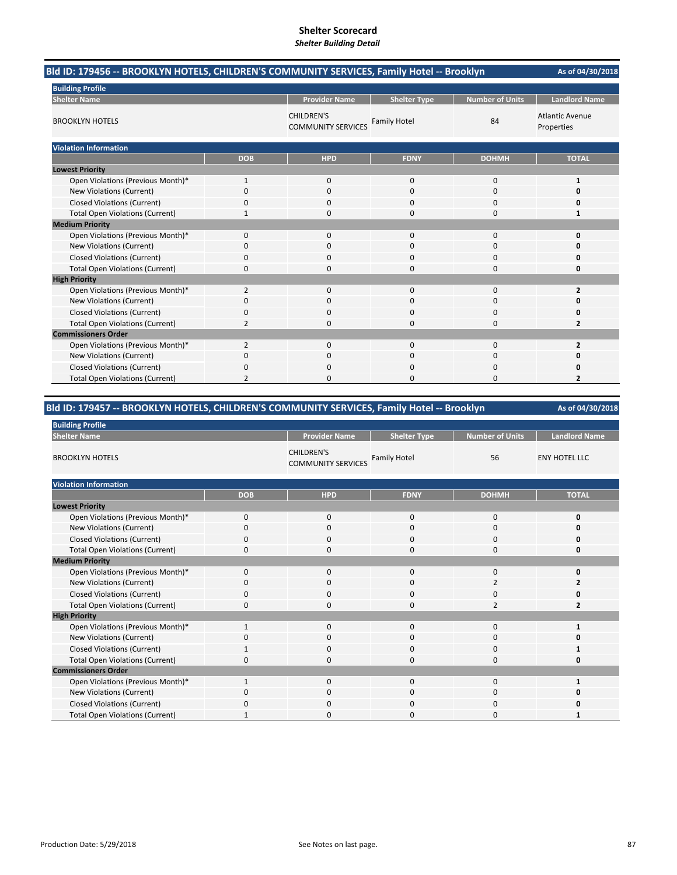| Bld ID: 179456 -- BROOKLYN HOTELS, CHILDREN'S COMMUNITY SERVICES, Family Hotel -- Brooklyn |                |                                                |                     |                        | As of 04/30/2018                     |
|--------------------------------------------------------------------------------------------|----------------|------------------------------------------------|---------------------|------------------------|--------------------------------------|
| <b>Building Profile</b>                                                                    |                |                                                |                     |                        |                                      |
| <b>Shelter Name</b>                                                                        |                | <b>Provider Name</b>                           | <b>Shelter Type</b> | <b>Number of Units</b> | <b>Landlord Name</b>                 |
| <b>BROOKLYN HOTELS</b>                                                                     |                | <b>CHILDREN'S</b><br><b>COMMUNITY SERVICES</b> | <b>Family Hotel</b> | 84                     | <b>Atlantic Avenue</b><br>Properties |
| <b>Violation Information</b>                                                               |                |                                                |                     |                        |                                      |
|                                                                                            | <b>DOB</b>     | <b>HPD</b>                                     | <b>FDNY</b>         | <b>DOHMH</b>           | <b>TOTAL</b>                         |
| <b>Lowest Priority</b>                                                                     |                |                                                |                     |                        |                                      |
| Open Violations (Previous Month)*                                                          | $\mathbf{1}$   | 0                                              | $\mathbf 0$         | 0                      | 1                                    |
| <b>New Violations (Current)</b>                                                            | 0              | 0                                              | 0                   | 0                      | 0                                    |
| <b>Closed Violations (Current)</b>                                                         | 0              | $\Omega$                                       | $\Omega$            | 0                      | Ω                                    |
| <b>Total Open Violations (Current)</b>                                                     | 1              | $\Omega$                                       | $\Omega$            | 0                      | 1                                    |
| <b>Medium Priority</b>                                                                     |                |                                                |                     |                        |                                      |
| Open Violations (Previous Month)*                                                          | 0              | $\Omega$                                       | $\Omega$            | $\Omega$               | 0                                    |
| New Violations (Current)                                                                   | 0              | $\Omega$                                       | $\Omega$            | $\Omega$               | O                                    |
| <b>Closed Violations (Current)</b>                                                         | 0              | 0                                              | $\Omega$            | $\Omega$               | O                                    |
| <b>Total Open Violations (Current)</b>                                                     | 0              | 0                                              | $\Omega$            | 0                      | 0                                    |
| <b>High Priority</b>                                                                       |                |                                                |                     |                        |                                      |
| Open Violations (Previous Month)*                                                          | $\overline{2}$ | $\Omega$                                       | $\Omega$            | $\Omega$               | $\overline{2}$                       |
| New Violations (Current)                                                                   | 0              | 0                                              | 0                   | 0                      | O                                    |
| <b>Closed Violations (Current)</b>                                                         | 0              | 0                                              | 0                   | 0                      | 0                                    |
| <b>Total Open Violations (Current)</b>                                                     | $\overline{2}$ | $\Omega$                                       | $\Omega$            | 0                      | $\overline{2}$                       |
| <b>Commissioners Order</b>                                                                 |                |                                                |                     |                        |                                      |
| Open Violations (Previous Month)*                                                          | $\overline{2}$ | $\Omega$                                       | $\Omega$            | $\Omega$               | $\overline{2}$                       |
| New Violations (Current)                                                                   | 0              | 0                                              | 0                   | 0                      | 0                                    |
| <b>Closed Violations (Current)</b>                                                         | 0              | ŋ                                              | $\Omega$            | 0                      | Ω                                    |
| <b>Total Open Violations (Current)</b>                                                     |                | 0                                              | 0                   | 0                      | 2                                    |

## **Bld ID: 179457 ‐‐ BROOKLYN HOTELS, CHILDREN'S COMMUNITY SERVICES, Family Hotel ‐‐ Brooklyn**

| <b>Building Profile</b>                |              |                                                |                     |                        |                      |  |
|----------------------------------------|--------------|------------------------------------------------|---------------------|------------------------|----------------------|--|
| <b>Shelter Name</b>                    |              | <b>Provider Name</b>                           | <b>Shelter Type</b> | <b>Number of Units</b> | <b>Landlord Name</b> |  |
| <b>BROOKLYN HOTELS</b>                 |              | <b>CHILDREN'S</b><br><b>COMMUNITY SERVICES</b> | <b>Family Hotel</b> | 56                     | <b>ENY HOTEL LLC</b> |  |
| <b>Violation Information</b>           |              |                                                |                     |                        |                      |  |
|                                        | <b>DOB</b>   | <b>HPD</b>                                     | <b>FDNY</b>         | <b>DOHMH</b>           | <b>TOTAL</b>         |  |
| <b>Lowest Priority</b>                 |              |                                                |                     |                        |                      |  |
| Open Violations (Previous Month)*      | $\Omega$     | $\mathbf 0$                                    | 0                   | $\mathbf 0$            | 0                    |  |
| New Violations (Current)               | $\Omega$     | $\Omega$                                       | 0                   | 0                      |                      |  |
| <b>Closed Violations (Current)</b>     | $\Omega$     | $\Omega$                                       | 0                   | $\mathbf 0$            |                      |  |
| <b>Total Open Violations (Current)</b> | $\Omega$     | $\Omega$                                       | 0                   | $\mathbf 0$            | Ω                    |  |
| <b>Medium Priority</b>                 |              |                                                |                     |                        |                      |  |
| Open Violations (Previous Month)*      | $\mathbf 0$  | 0                                              | 0                   | 0                      |                      |  |
| New Violations (Current)               | $\Omega$     | $\mathbf 0$                                    | 0                   | 2                      | 2                    |  |
| <b>Closed Violations (Current)</b>     | $\Omega$     | $\mathbf 0$                                    | 0                   | 0                      |                      |  |
| <b>Total Open Violations (Current)</b> | $\mathbf 0$  | $\mathbf 0$                                    | 0                   | $\overline{2}$         | $\overline{2}$       |  |
| <b>High Priority</b>                   |              |                                                |                     |                        |                      |  |
| Open Violations (Previous Month)*      | $\mathbf{1}$ | $\Omega$                                       | 0                   | 0                      | 1                    |  |
| New Violations (Current)               | $\Omega$     | 0                                              | 0                   | $\mathbf 0$            |                      |  |
| <b>Closed Violations (Current)</b>     |              | $\Omega$                                       | 0                   | $\mathbf 0$            |                      |  |
| <b>Total Open Violations (Current)</b> | $\Omega$     | $\mathbf 0$                                    | 0                   | $\mathbf 0$            |                      |  |
| <b>Commissioners Order</b>             |              |                                                |                     |                        |                      |  |
| Open Violations (Previous Month)*      | 1            | $\mathbf 0$                                    | 0                   | $\mathbf 0$            |                      |  |
| New Violations (Current)               | $\Omega$     | $\mathbf 0$                                    | 0                   | 0                      |                      |  |
| <b>Closed Violations (Current)</b>     | n            | 0                                              | 0                   | 0                      |                      |  |
| <b>Total Open Violations (Current)</b> |              | C                                              | 0                   | $\Omega$               |                      |  |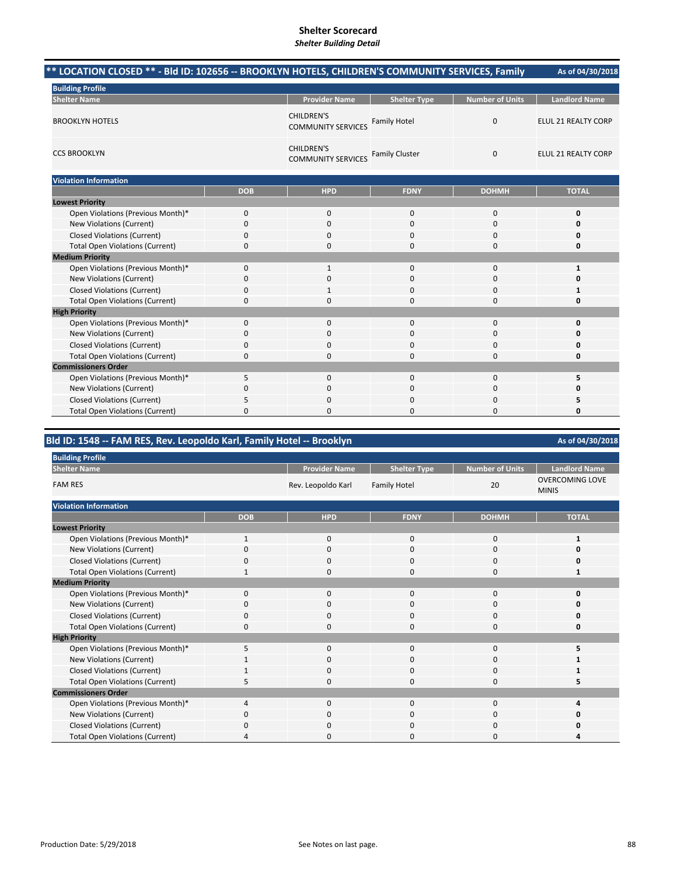| ** LOCATION CLOSED ** - Bld ID: 102656 -- BROOKLYN HOTELS, CHILDREN'S COMMUNITY SERVICES, Family |            |                                                |                       |                        | As of 04/30/2018     |
|--------------------------------------------------------------------------------------------------|------------|------------------------------------------------|-----------------------|------------------------|----------------------|
| <b>Building Profile</b>                                                                          |            |                                                |                       |                        |                      |
| <b>Shelter Name</b>                                                                              |            | <b>Provider Name</b>                           | <b>Shelter Type</b>   | <b>Number of Units</b> | <b>Landlord Name</b> |
| <b>BROOKLYN HOTELS</b>                                                                           |            | <b>CHILDREN'S</b><br><b>COMMUNITY SERVICES</b> | <b>Family Hotel</b>   | $\mathbf{0}$           | ELUL 21 REALTY CORP  |
| <b>CCS BROOKLYN</b>                                                                              |            | <b>CHILDREN'S</b><br><b>COMMUNITY SERVICES</b> | <b>Family Cluster</b> | $\mathbf 0$            | ELUL 21 REALTY CORP  |
| <b>Violation Information</b>                                                                     |            |                                                |                       |                        |                      |
|                                                                                                  | <b>DOB</b> | <b>HPD</b>                                     | <b>FDNY</b>           | <b>DOHMH</b>           | <b>TOTAL</b>         |
| <b>Lowest Priority</b>                                                                           |            |                                                |                       |                        |                      |
| Open Violations (Previous Month)*                                                                | 0          | 0                                              | $\mathbf{0}$          | 0                      | 0                    |
| New Violations (Current)                                                                         | 0          | 0                                              | $\mathbf 0$           | $\mathbf 0$            | 0                    |
| <b>Closed Violations (Current)</b>                                                               | 0          | $\Omega$                                       | $\Omega$              | $\Omega$               | 0                    |
| <b>Total Open Violations (Current)</b>                                                           | 0          | $\Omega$                                       | $\Omega$              | $\Omega$               | 0                    |
| <b>Medium Priority</b>                                                                           |            |                                                |                       |                        |                      |
| Open Violations (Previous Month)*                                                                | 0          | $\mathbf{1}$                                   | $\mathbf{0}$          | $\mathbf 0$            | $\mathbf{1}$         |
| New Violations (Current)                                                                         | 0          | $\Omega$                                       | $\Omega$              | $\Omega$               | 0                    |
| <b>Closed Violations (Current)</b>                                                               | 0          | $\mathbf{1}$                                   | $\Omega$              | $\Omega$               | 1                    |
| <b>Total Open Violations (Current)</b>                                                           | 0          | 0                                              | $\Omega$              | $\mathbf 0$            | 0                    |
| <b>High Priority</b>                                                                             |            |                                                |                       |                        |                      |
| Open Violations (Previous Month)*                                                                | 0          | 0                                              | $\mathbf{0}$          | $\mathbf 0$            | 0                    |
| New Violations (Current)                                                                         | $\Omega$   | 0                                              | 0                     | $\mathbf 0$            | 0                    |
| <b>Closed Violations (Current)</b>                                                               | 0          | $\Omega$                                       | $\Omega$              | $\Omega$               | 0                    |
| <b>Total Open Violations (Current)</b>                                                           | 0          | 0                                              | $\Omega$              | $\Omega$               | 0                    |
| <b>Commissioners Order</b>                                                                       |            |                                                |                       |                        |                      |
| Open Violations (Previous Month)*                                                                | 5          | 0                                              | $\mathbf{0}$          | $\mathbf 0$            | 5                    |
| <b>New Violations (Current)</b>                                                                  | 0          | 0                                              | 0                     | 0                      | 0                    |
| <b>Closed Violations (Current)</b>                                                               | 5          | 0                                              | 0                     | 0                      | 5                    |
| <b>Total Open Violations (Current)</b>                                                           | $\Omega$   | $\Omega$                                       | 0                     | $\Omega$               | 0                    |

## **Bld ID: 1548 ‐‐ FAM RES, Rev. Leopoldo Karl, Family Hotel ‐‐ Brooklyn**

**Provider Name Shelter Type Number of Units Landlord Name Shelter Type Number of Units COVERCOMING LOVE** Rev. Leopoldo Karl Family Hotel 20 MINIS **DOB HPD FDNY DOHMH TOTAL** Open Violations (Previous Month)\* 1000 **1** New Violations (Current) 0000 **0** Closed Violations (Current) 0000 **0** Total Open Violations (Current) 1 0 0 0 0 1 Open Violations (Previous Month)\* 0000 **0** New Violations (Current) **0** 0000 **0** 0000 **0** Closed Violations (Current) 0000 **0** Total Open Violations (Current) 0000 **0** Open Violations (Previous Month)\* 5000 **5** New Violations (Current) **1** 1000 **1** 1000 **1** 1000 **1** Closed Violations (Current) 1000 **1** Total Open Violations (Current) 5000 **5** Open Violations (Previous Month)\* 4000 **4** New Violations (Current) **0** 0000 **0** 0000 **0** 0000 **0** Closed Violations (Current) 0000 **0** Total Open Violations (Current) **4**000 **4**000 **4 High Priority Commissioners Order Medium Priority Building Profile Shelter Name** FAM RES **Violation Information Lowest Priority**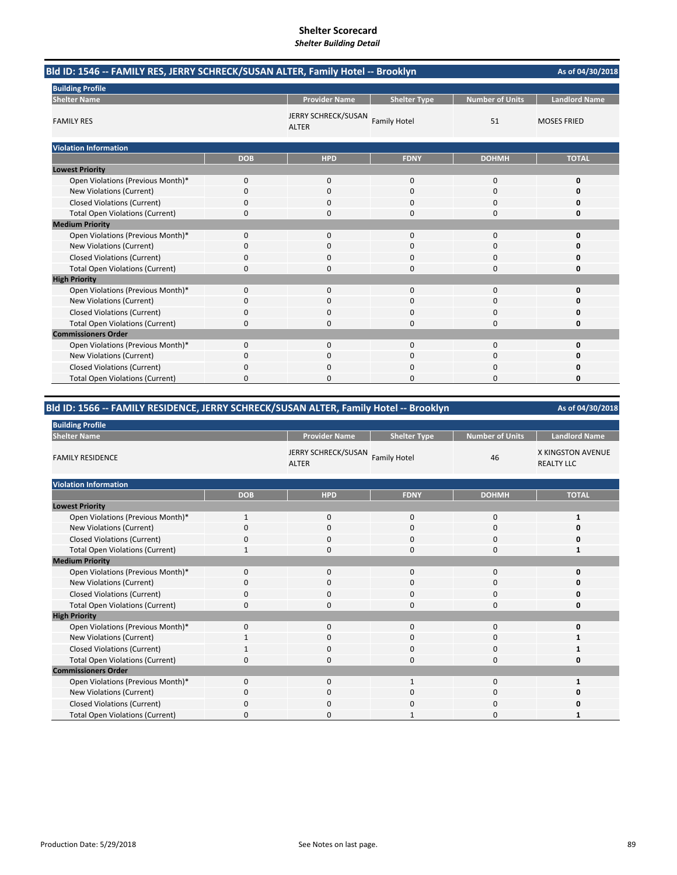| Bld ID: 1546 -- FAMILY RES, JERRY SCHRECK/SUSAN ALTER, Family Hotel -- Brooklyn |            |                                     |                     |                        | As of 04/30/2018     |
|---------------------------------------------------------------------------------|------------|-------------------------------------|---------------------|------------------------|----------------------|
| <b>Building Profile</b>                                                         |            |                                     |                     |                        |                      |
| <b>Shelter Name</b>                                                             |            | <b>Provider Name</b>                | <b>Shelter Type</b> | <b>Number of Units</b> | <b>Landlord Name</b> |
| <b>FAMILY RES</b>                                                               |            | JERRY SCHRECK/SUSAN<br><b>ALTER</b> | <b>Family Hotel</b> | 51                     | <b>MOSES FRIED</b>   |
| <b>Violation Information</b>                                                    |            |                                     |                     |                        |                      |
|                                                                                 | <b>DOB</b> | <b>HPD</b>                          | <b>FDNY</b>         | <b>DOHMH</b>           | <b>TOTAL</b>         |
| <b>Lowest Priority</b>                                                          |            |                                     |                     |                        |                      |
| Open Violations (Previous Month)*                                               | 0          | 0                                   | $\mathbf 0$         | $\mathbf 0$            | 0                    |
| New Violations (Current)                                                        | 0          | 0                                   | 0                   | 0                      | O                    |
| <b>Closed Violations (Current)</b>                                              | 0          | $\Omega$                            | $\Omega$            | $\Omega$               | O                    |
| <b>Total Open Violations (Current)</b>                                          | 0          | $\Omega$                            | 0                   | $\Omega$               | 0                    |
| <b>Medium Priority</b>                                                          |            |                                     |                     |                        |                      |
| Open Violations (Previous Month)*                                               | 0          | 0                                   | $\Omega$            | $\mathbf 0$            | O                    |
| New Violations (Current)                                                        | 0          | $\Omega$                            | 0                   | 0                      | O                    |
| <b>Closed Violations (Current)</b>                                              | 0          | $\Omega$                            | 0                   | $\Omega$               | 0                    |
| <b>Total Open Violations (Current)</b>                                          | 0          | 0                                   | 0                   | $\mathbf 0$            | 0                    |
| <b>High Priority</b>                                                            |            |                                     |                     |                        |                      |
| Open Violations (Previous Month)*                                               | 0          | 0                                   | $\Omega$            | $\mathbf 0$            | 0                    |
| New Violations (Current)                                                        | 0          | 0                                   | $\Omega$            | $\Omega$               | 0                    |
| <b>Closed Violations (Current)</b>                                              | 0          | 0                                   | $\Omega$            | $\Omega$               | n                    |
| <b>Total Open Violations (Current)</b>                                          | $\Omega$   | <sup>n</sup>                        | $\Omega$            | $\Omega$               | O                    |
| <b>Commissioners Order</b>                                                      |            |                                     |                     |                        |                      |
| Open Violations (Previous Month)*                                               | 0          | $\Omega$                            | $\Omega$            | $\Omega$               | 0                    |
| New Violations (Current)                                                        | 0          | 0                                   | 0                   | 0                      | n                    |
| <b>Closed Violations (Current)</b>                                              | 0          | 0                                   | 0                   | 0                      | 0                    |
| <b>Total Open Violations (Current)</b>                                          | 0          | 0                                   | 0                   | $\Omega$               | 0                    |

## **Bld ID: 1566 ‐‐ FAMILY RESIDENCE, JERRY SCHRECK/SUSAN ALTER, Family Hotel ‐‐ Brooklyn**

| <b>Building Profile</b>                |              |                                     |                     |                        |                                               |  |  |  |
|----------------------------------------|--------------|-------------------------------------|---------------------|------------------------|-----------------------------------------------|--|--|--|
| <b>Shelter Name</b>                    |              | <b>Provider Name</b>                | <b>Shelter Type</b> | <b>Number of Units</b> | <b>Landlord Name</b>                          |  |  |  |
| <b>FAMILY RESIDENCE</b>                |              | JERRY SCHRECK/SUSAN<br><b>ALTER</b> | <b>Family Hotel</b> | 46                     | <b>X KINGSTON AVENUE</b><br><b>REALTY LLC</b> |  |  |  |
| <b>Violation Information</b>           |              |                                     |                     |                        |                                               |  |  |  |
|                                        | <b>DOB</b>   | <b>HPD</b>                          | <b>FDNY</b>         | <b>DOHMH</b>           | <b>TOTAL</b>                                  |  |  |  |
| <b>Lowest Priority</b>                 |              |                                     |                     |                        |                                               |  |  |  |
| Open Violations (Previous Month)*      | $\mathbf{1}$ | $\mathbf 0$                         | 0                   | 0                      | 1                                             |  |  |  |
| New Violations (Current)               | $\Omega$     | $\Omega$                            | $\Omega$            | 0                      | Ω                                             |  |  |  |
| <b>Closed Violations (Current)</b>     | $\Omega$     | $\mathbf 0$                         | 0                   | $\mathbf 0$            | 0                                             |  |  |  |
| <b>Total Open Violations (Current)</b> | $\mathbf{1}$ | $\mathbf 0$                         | $\Omega$            | 0                      | 1                                             |  |  |  |
| <b>Medium Priority</b>                 |              |                                     |                     |                        |                                               |  |  |  |
| Open Violations (Previous Month)*      | $\mathbf{0}$ | $\mathbf 0$                         | 0                   | 0                      | 0                                             |  |  |  |
| New Violations (Current)               | $\Omega$     | $\Omega$                            | 0                   | 0                      |                                               |  |  |  |
| <b>Closed Violations (Current)</b>     | 0            | $\mathbf 0$                         | 0                   | 0                      |                                               |  |  |  |
| <b>Total Open Violations (Current)</b> | $\Omega$     | 0                                   | $\Omega$            | 0                      | ŋ                                             |  |  |  |
| <b>High Priority</b>                   |              |                                     |                     |                        |                                               |  |  |  |
| Open Violations (Previous Month)*      | $\Omega$     | $\Omega$                            | 0                   | $\mathbf 0$            |                                               |  |  |  |
| New Violations (Current)               | 1            | $\mathbf 0$                         | 0                   | 0                      |                                               |  |  |  |
| <b>Closed Violations (Current)</b>     |              | $\Omega$                            | $\Omega$            | 0                      |                                               |  |  |  |
| <b>Total Open Violations (Current)</b> | $\Omega$     | $\mathbf 0$                         | 0                   | $\mathbf 0$            | 0                                             |  |  |  |
| <b>Commissioners Order</b>             |              |                                     |                     |                        |                                               |  |  |  |
| Open Violations (Previous Month)*      | $\Omega$     | $\Omega$                            | $\mathbf{1}$        | $\Omega$               | 1                                             |  |  |  |
| New Violations (Current)               | $\Omega$     | $\mathbf 0$                         | 0                   | $\mathbf 0$            | n                                             |  |  |  |
| <b>Closed Violations (Current)</b>     | $\Omega$     | $\mathbf 0$                         | 0                   | 0                      |                                               |  |  |  |
| <b>Total Open Violations (Current)</b> | 0            | $\mathbf 0$                         |                     | 0                      |                                               |  |  |  |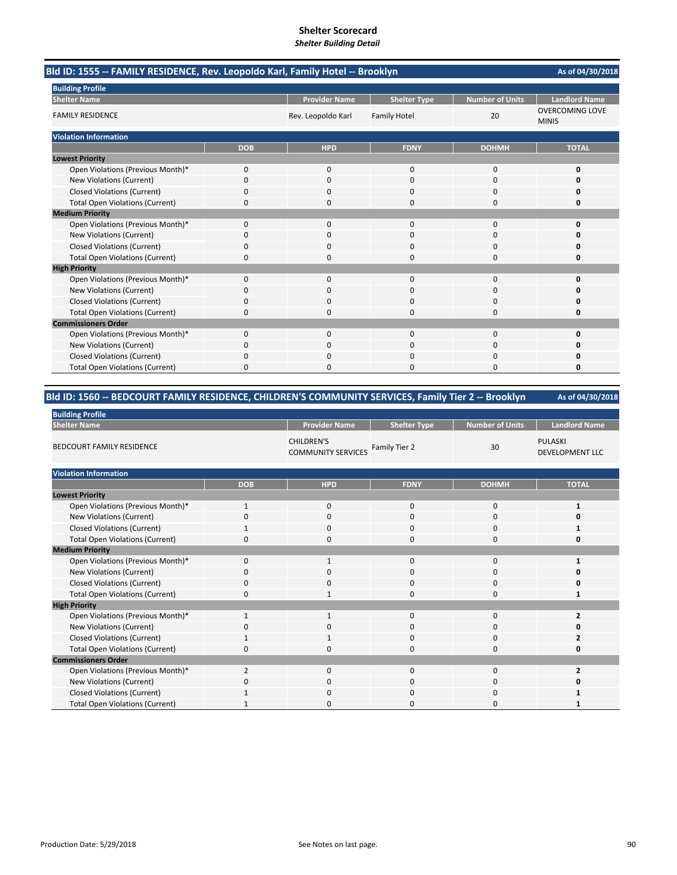| Bld ID: 1555 -- FAMILY RESIDENCE, Rev. Leopoldo Karl, Family Hotel -- Brooklyn |            |                      |                     |                 |                                        |
|--------------------------------------------------------------------------------|------------|----------------------|---------------------|-----------------|----------------------------------------|
| <b>Building Profile</b>                                                        |            |                      |                     |                 |                                        |
| <b>Shelter Name</b>                                                            |            | <b>Provider Name</b> | <b>Shelter Type</b> | Number of Units | <b>Landlord Name</b>                   |
| <b>FAMILY RESIDENCE</b>                                                        |            | Rev. Leopoldo Karl   | <b>Family Hotel</b> | 20              | <b>OVERCOMING LOVE</b><br><b>MINIS</b> |
| <b>Violation Information</b>                                                   |            |                      |                     |                 |                                        |
|                                                                                | <b>DOB</b> | <b>HPD</b>           | <b>FDNY</b>         | <b>DOHMH</b>    | <b>TOTAL</b>                           |
| <b>Lowest Priority</b>                                                         |            |                      |                     |                 |                                        |
| Open Violations (Previous Month)*                                              | 0          | 0                    | $\mathbf{0}$        | $\mathbf 0$     | 0                                      |
| New Violations (Current)                                                       | 0          | $\Omega$             | $\Omega$            | $\Omega$        | O                                      |
| <b>Closed Violations (Current)</b>                                             | 0          | 0                    | 0                   | 0               | o                                      |
| <b>Total Open Violations (Current)</b>                                         | 0          | $\Omega$             | $\Omega$            | $\Omega$        | 0                                      |
| <b>Medium Priority</b>                                                         |            |                      |                     |                 |                                        |
| Open Violations (Previous Month)*                                              | 0          | 0                    | $\Omega$            | $\Omega$        | $\Omega$                               |
| New Violations (Current)                                                       | 0          | 0                    | $\Omega$            | $\Omega$        | O                                      |
| <b>Closed Violations (Current)</b>                                             | 0          | 0                    | $\Omega$            | $\Omega$        | Ω                                      |
| <b>Total Open Violations (Current)</b>                                         | $\Omega$   | n                    | $\Omega$            | $\Omega$        | O                                      |
| <b>High Priority</b>                                                           |            |                      |                     |                 |                                        |
| Open Violations (Previous Month)*                                              | 0          | 0                    | $\mathbf{0}$        | $\mathbf 0$     | 0                                      |
| New Violations (Current)                                                       | 0          | <sup>0</sup>         | 0                   | $\Omega$        | o                                      |
| <b>Closed Violations (Current)</b>                                             | 0          | <sup>0</sup>         | O                   | <sup>0</sup>    | n                                      |
| <b>Total Open Violations (Current)</b>                                         | $\Omega$   | $\Omega$             | $\Omega$            | $\Omega$        | 0                                      |
| <b>Commissioners Order</b>                                                     |            |                      |                     |                 |                                        |
| Open Violations (Previous Month)*                                              | $\Omega$   | $\Omega$             | $\Omega$            | $\Omega$        | 0                                      |
| New Violations (Current)                                                       | 0          | 0                    | $\Omega$            | $\Omega$        | 0                                      |
| <b>Closed Violations (Current)</b>                                             | 0          | $\Omega$             | $\Omega$            | $\Omega$        | Ω                                      |
| <b>Total Open Violations (Current)</b>                                         | ŋ          |                      | U                   | n               | O                                      |

## **Bld ID: 1560 ‐‐ BEDCOURT FAMILY RESIDENCE, CHILDREN'S COMMUNITY SERVICES, Family Tier 2 ‐‐ Brooklyn**

| <b>Building Profile</b>                |                |                                                |                     |                 |                                          |  |  |  |
|----------------------------------------|----------------|------------------------------------------------|---------------------|-----------------|------------------------------------------|--|--|--|
| <b>Shelter Name</b>                    |                | <b>Provider Name</b>                           | <b>Shelter Type</b> | Number of Units | <b>Landlord Name</b>                     |  |  |  |
| <b>BEDCOURT FAMILY RESIDENCE</b>       |                | <b>CHILDREN'S</b><br><b>COMMUNITY SERVICES</b> | Family Tier 2       | 30              | <b>PULASKI</b><br><b>DEVELOPMENT LLC</b> |  |  |  |
| <b>Violation Information</b>           |                |                                                |                     |                 |                                          |  |  |  |
|                                        | <b>DOB</b>     | <b>HPD</b>                                     | <b>FDNY</b>         | <b>DOHMH</b>    | <b>TOTAL</b>                             |  |  |  |
| <b>Lowest Priority</b>                 |                |                                                |                     |                 |                                          |  |  |  |
| Open Violations (Previous Month)*      | $\mathbf{1}$   | $\mathbf 0$                                    | $\mathbf 0$         | 0               | 1                                        |  |  |  |
| New Violations (Current)               | 0              | 0                                              | $\Omega$            | 0               | 0                                        |  |  |  |
| <b>Closed Violations (Current)</b>     | 1              | $\mathbf 0$                                    | $\mathbf 0$         | 0               | 1                                        |  |  |  |
| <b>Total Open Violations (Current)</b> | $\Omega$       | $\Omega$                                       | $\Omega$            | 0               | 0                                        |  |  |  |
| <b>Medium Priority</b>                 |                |                                                |                     |                 |                                          |  |  |  |
| Open Violations (Previous Month)*      | 0              | $\mathbf{1}$                                   | $\mathbf 0$         | 0               | 1                                        |  |  |  |
| New Violations (Current)               | $\Omega$       | $\Omega$                                       | $\Omega$            | 0               | O                                        |  |  |  |
| <b>Closed Violations (Current)</b>     | 0              | $\mathbf 0$                                    | $\Omega$            | 0               | 0                                        |  |  |  |
| <b>Total Open Violations (Current)</b> | $\Omega$       | $\mathbf{1}$                                   | $\Omega$            | 0               | $\mathbf{1}$                             |  |  |  |
| <b>High Priority</b>                   |                |                                                |                     |                 |                                          |  |  |  |
| Open Violations (Previous Month)*      | 1              | $\mathbf{1}$                                   | $\Omega$            | 0               | $\overline{2}$                           |  |  |  |
| New Violations (Current)               | 0              | $\mathbf 0$                                    | $\Omega$            | 0               | 0                                        |  |  |  |
| <b>Closed Violations (Current)</b>     |                | 1                                              | $\Omega$            | 0               | 2                                        |  |  |  |
| <b>Total Open Violations (Current)</b> | 0              | $\mathbf 0$                                    | $\Omega$            | 0               | 0                                        |  |  |  |
| <b>Commissioners Order</b>             |                |                                                |                     |                 |                                          |  |  |  |
| Open Violations (Previous Month)*      | $\overline{2}$ | $\mathbf 0$                                    | $\mathbf 0$         | 0               | 2                                        |  |  |  |
| New Violations (Current)               | $\Omega$       | $\mathbf 0$                                    | $\Omega$            | 0               | 0                                        |  |  |  |
| <b>Closed Violations (Current)</b>     |                | $\mathbf 0$                                    | $\Omega$            | 0               |                                          |  |  |  |
| <b>Total Open Violations (Current)</b> |                | $\Omega$                                       | C                   | 0               |                                          |  |  |  |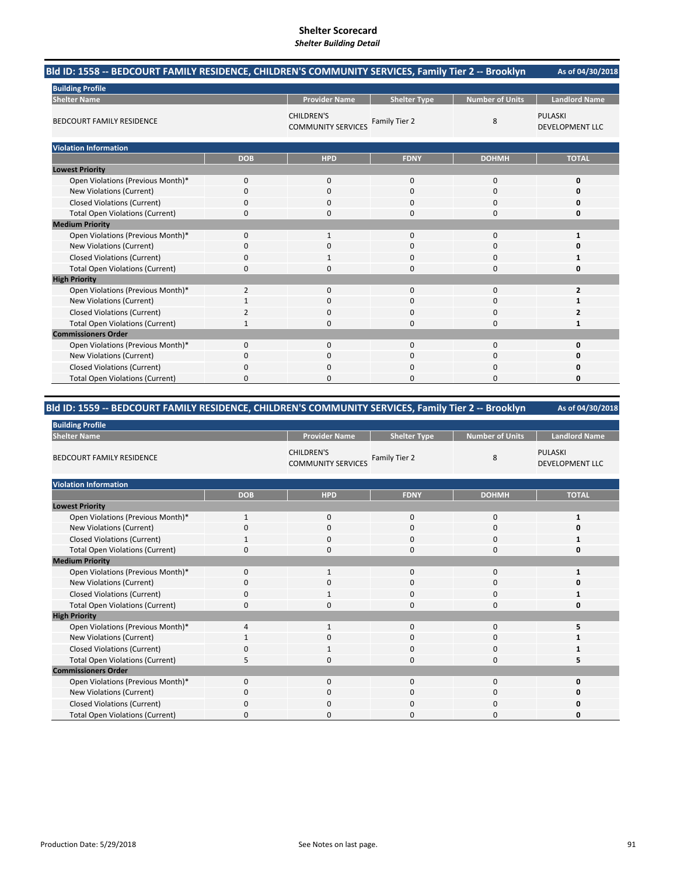| Bld ID: 1558 -- BEDCOURT FAMILY RESIDENCE, CHILDREN'S COMMUNITY SERVICES, Family Tier 2 -- Brooklyn |              |                                                |                     |                        | As of 04/30/2018                         |
|-----------------------------------------------------------------------------------------------------|--------------|------------------------------------------------|---------------------|------------------------|------------------------------------------|
| <b>Building Profile</b>                                                                             |              |                                                |                     |                        |                                          |
| <b>Shelter Name</b>                                                                                 |              | <b>Provider Name</b>                           | <b>Shelter Type</b> | <b>Number of Units</b> | <b>Landlord Name</b>                     |
| <b>BEDCOURT FAMILY RESIDENCE</b>                                                                    |              | <b>CHILDREN'S</b><br><b>COMMUNITY SERVICES</b> | Family Tier 2       | 8                      | <b>PULASKI</b><br><b>DEVELOPMENT LLC</b> |
| <b>Violation Information</b>                                                                        |              |                                                |                     |                        |                                          |
|                                                                                                     | <b>DOB</b>   | <b>HPD</b>                                     | <b>FDNY</b>         | <b>DOHMH</b>           | <b>TOTAL</b>                             |
| <b>Lowest Priority</b>                                                                              |              |                                                |                     |                        |                                          |
| Open Violations (Previous Month)*                                                                   | 0            | 0                                              | $\mathbf 0$         | 0                      | 0                                        |
| New Violations (Current)                                                                            | 0            | 0                                              | $\mathbf 0$         | 0                      | 0                                        |
| <b>Closed Violations (Current)</b>                                                                  | 0            | $\Omega$                                       | $\mathbf 0$         | 0                      | 0                                        |
| <b>Total Open Violations (Current)</b>                                                              | 0            | <sup>0</sup>                                   | $\Omega$            | $\Omega$               | 0                                        |
| <b>Medium Priority</b>                                                                              |              |                                                |                     |                        |                                          |
| Open Violations (Previous Month)*                                                                   | $\mathbf 0$  | $\mathbf{1}$                                   | 0                   | 0                      | 1                                        |
| <b>New Violations (Current)</b>                                                                     | 0            | 0                                              | $\Omega$            | 0                      | 0                                        |
| <b>Closed Violations (Current)</b>                                                                  | 0            |                                                | 0                   | 0                      | 1                                        |
| <b>Total Open Violations (Current)</b>                                                              | 0            | 0                                              | $\Omega$            | 0                      | 0                                        |
| <b>High Priority</b>                                                                                |              |                                                |                     |                        |                                          |
| Open Violations (Previous Month)*                                                                   | 2            | 0                                              | $\Omega$            | 0                      | $\overline{2}$                           |
| <b>New Violations (Current)</b>                                                                     |              | $\Omega$                                       | $\Omega$            | 0                      | 1                                        |
| <b>Closed Violations (Current)</b>                                                                  | 2            | 0                                              | $\Omega$            | 0                      | 2                                        |
| <b>Total Open Violations (Current)</b>                                                              | $\mathbf{1}$ | 0                                              | $\Omega$            | $\Omega$               | 1                                        |
| <b>Commissioners Order</b>                                                                          |              |                                                |                     |                        |                                          |
| Open Violations (Previous Month)*                                                                   | 0            | $\mathbf{0}$                                   | $\mathbf 0$         | 0                      | 0                                        |
| New Violations (Current)                                                                            | 0            | 0                                              | $\Omega$            | $\Omega$               | 0                                        |
| <b>Closed Violations (Current)</b>                                                                  | 0            |                                                | $\Omega$            | 0                      | 0                                        |
| <b>Total Open Violations (Current)</b>                                                              | 0            | O                                              | $\Omega$            | O                      | U                                        |

| Bld ID: 1559 -- BEDCOURT FAMILY RESIDENCE, CHILDREN'S COMMUNITY SERVICES, Family Tier 2 -- Brooklyn | As of 04/30/2018 |
|-----------------------------------------------------------------------------------------------------|------------------|

| <b>Building Profile</b>                |              |                                         |                     |                 |                                          |
|----------------------------------------|--------------|-----------------------------------------|---------------------|-----------------|------------------------------------------|
| <b>Shelter Name</b>                    |              | <b>Provider Name</b>                    | <b>Shelter Type</b> | Number of Units | <b>Landlord Name</b>                     |
| <b>BEDCOURT FAMILY RESIDENCE</b>       |              | CHILDREN'S<br><b>COMMUNITY SERVICES</b> | Family Tier 2       | 8               | <b>PULASKI</b><br><b>DEVELOPMENT LLC</b> |
| <b>Violation Information</b>           |              |                                         |                     |                 |                                          |
|                                        | <b>DOB</b>   | <b>HPD</b>                              | <b>FDNY</b>         | <b>DOHMH</b>    | <b>TOTAL</b>                             |
| <b>Lowest Priority</b>                 |              |                                         |                     |                 |                                          |
| Open Violations (Previous Month)*      | $\mathbf{1}$ | 0                                       | 0                   | 0               | 1                                        |
| New Violations (Current)               | 0            | $\mathbf 0$                             | $\Omega$            | 0               | O                                        |
| <b>Closed Violations (Current)</b>     |              | $\mathbf 0$                             | $\mathbf 0$         | 0               |                                          |
| <b>Total Open Violations (Current)</b> | $\Omega$     | $\mathbf 0$                             | $\Omega$            | 0               | 0                                        |
| <b>Medium Priority</b>                 |              |                                         |                     |                 |                                          |
| Open Violations (Previous Month)*      | $\mathbf{0}$ | $\mathbf{1}$                            | $\mathbf 0$         | 0               | $\mathbf{1}$                             |
| New Violations (Current)               | $\Omega$     | $\Omega$                                | $\Omega$            | 0               | 0                                        |
| <b>Closed Violations (Current)</b>     | 0            | 1                                       | 0                   | 0               | 1                                        |
| <b>Total Open Violations (Current)</b> | 0            | $\mathbf 0$                             | $\mathbf 0$         | 0               | 0                                        |
| <b>High Priority</b>                   |              |                                         |                     |                 |                                          |
| Open Violations (Previous Month)*      | 4            | 1                                       | $\Omega$            | 0               | 5                                        |
| New Violations (Current)               | 1            | 0                                       | $\Omega$            | 0               |                                          |
| <b>Closed Violations (Current)</b>     |              | 1                                       | $\Omega$            | 0               | 1                                        |
| <b>Total Open Violations (Current)</b> | 5            | $\mathbf 0$                             | $\Omega$            | 0               | 5                                        |
| <b>Commissioners Order</b>             |              |                                         |                     |                 |                                          |
| Open Violations (Previous Month)*      | $\Omega$     | $\mathbf 0$                             | $\Omega$            | 0               | 0                                        |
| New Violations (Current)               | 0            | $\mathbf 0$                             | $\mathbf 0$         | 0               | 0                                        |
| <b>Closed Violations (Current)</b>     | 0            | 0                                       | $\Omega$            | 0               | 0                                        |
| <b>Total Open Violations (Current)</b> | 0            | 0                                       | $\Omega$            | 0               | 0                                        |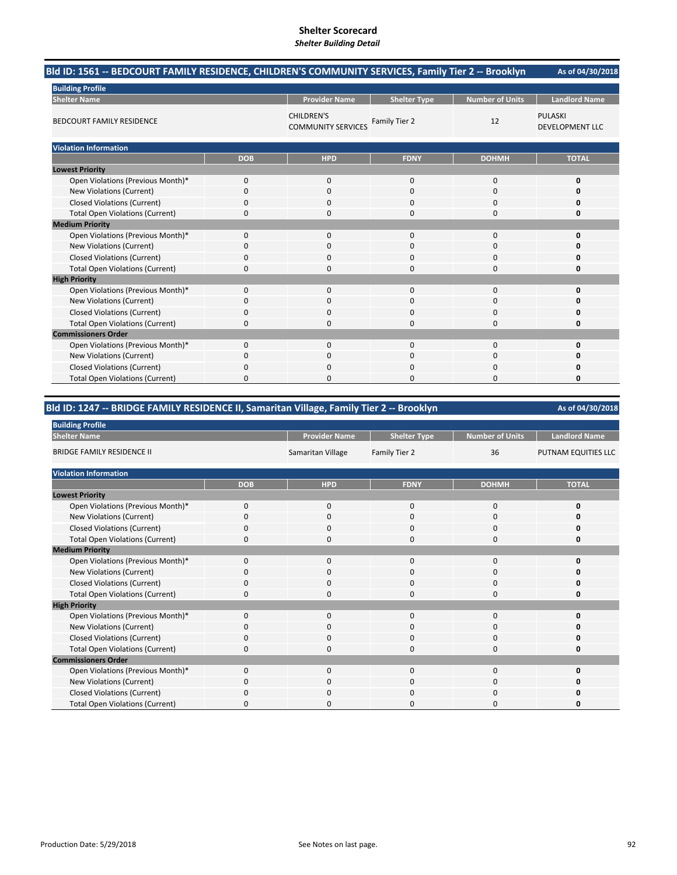| Bld ID: 1561 -- BEDCOURT FAMILY RESIDENCE, CHILDREN'S COMMUNITY SERVICES, Family Tier 2 -- Brooklyn |            |                                                |                     |                        | As of 04/30/2018                         |
|-----------------------------------------------------------------------------------------------------|------------|------------------------------------------------|---------------------|------------------------|------------------------------------------|
| <b>Building Profile</b>                                                                             |            |                                                |                     |                        |                                          |
| <b>Shelter Name</b>                                                                                 |            | <b>Provider Name</b>                           | <b>Shelter Type</b> | <b>Number of Units</b> | <b>Landlord Name</b>                     |
| <b>BEDCOURT FAMILY RESIDENCE</b>                                                                    |            | <b>CHILDREN'S</b><br><b>COMMUNITY SERVICES</b> | Family Tier 2       | 12                     | <b>PULASKI</b><br><b>DEVELOPMENT LLC</b> |
| <b>Violation Information</b>                                                                        |            |                                                |                     |                        |                                          |
|                                                                                                     | <b>DOB</b> | <b>HPD</b>                                     | <b>FDNY</b>         | <b>DOHMH</b>           | <b>TOTAL</b>                             |
| <b>Lowest Priority</b>                                                                              |            |                                                |                     |                        |                                          |
| Open Violations (Previous Month)*                                                                   | 0          | 0                                              | 0                   | $\mathbf 0$            | 0                                        |
| New Violations (Current)                                                                            | 0          | $\Omega$                                       | 0                   | $\Omega$               | 0                                        |
| <b>Closed Violations (Current)</b>                                                                  | 0          | 0                                              | 0                   | 0                      | 0                                        |
| <b>Total Open Violations (Current)</b>                                                              | 0          | 0                                              | 0                   | $\Omega$               | 0                                        |
| <b>Medium Priority</b>                                                                              |            |                                                |                     |                        |                                          |
| Open Violations (Previous Month)*                                                                   | 0          | 0                                              | $\Omega$            | $\mathbf 0$            | 0                                        |
| New Violations (Current)                                                                            | 0          | 0                                              | 0                   | $\Omega$               | 0                                        |
| <b>Closed Violations (Current)</b>                                                                  | 0          | 0                                              | 0                   | 0                      | $\Omega$                                 |
| <b>Total Open Violations (Current)</b>                                                              | 0          | $\Omega$                                       | 0                   | $\Omega$               | 0                                        |
| <b>High Priority</b>                                                                                |            |                                                |                     |                        |                                          |
| Open Violations (Previous Month)*                                                                   | 0          | 0                                              | 0                   | $\Omega$               | 0                                        |
| New Violations (Current)                                                                            | 0          | 0                                              | 0                   | 0                      | $\Omega$                                 |
| <b>Closed Violations (Current)</b>                                                                  | 0          | 0                                              | 0                   | 0                      | 0                                        |
| <b>Total Open Violations (Current)</b>                                                              | 0          | 0                                              | 0                   | $\Omega$               | 0                                        |
| <b>Commissioners Order</b>                                                                          |            |                                                |                     |                        |                                          |
| Open Violations (Previous Month)*                                                                   | 0          | $\mathbf 0$                                    | $\mathbf{0}$        | $\mathbf 0$            | 0                                        |
| New Violations (Current)                                                                            | 0          | 0                                              | 0                   | $\Omega$               | O                                        |
| <b>Closed Violations (Current)</b>                                                                  | 0          | 0                                              | 0                   | 0                      | 0                                        |
| <b>Total Open Violations (Current)</b>                                                              | 0          | 0                                              | O                   | $\Omega$               | O                                        |

## **Bld ID: 1247 ‐‐ BRIDGE FAMILY RESIDENCE II, Samaritan Village, Family Tier 2 ‐‐ Brooklyn**

| <b>Building Profile</b>                                                                                                                                                                                                                                                                                                                                                                                                                                                                                                                                                         |            |                      |                     |                        |                      |
|---------------------------------------------------------------------------------------------------------------------------------------------------------------------------------------------------------------------------------------------------------------------------------------------------------------------------------------------------------------------------------------------------------------------------------------------------------------------------------------------------------------------------------------------------------------------------------|------------|----------------------|---------------------|------------------------|----------------------|
| <b>Shelter Name</b>                                                                                                                                                                                                                                                                                                                                                                                                                                                                                                                                                             |            | <b>Provider Name</b> | <b>Shelter Type</b> | <b>Number of Units</b> | <b>Landlord Name</b> |
| <b>BRIDGE FAMILY RESIDENCE II</b>                                                                                                                                                                                                                                                                                                                                                                                                                                                                                                                                               |            | Samaritan Village    | Family Tier 2       | 36                     | PUTNAM EQUITIES LLC  |
| <b>Violation Information</b>                                                                                                                                                                                                                                                                                                                                                                                                                                                                                                                                                    |            |                      |                     |                        |                      |
|                                                                                                                                                                                                                                                                                                                                                                                                                                                                                                                                                                                 | <b>DOB</b> | <b>HPD</b>           | <b>FDNY</b>         | <b>DOHMH</b>           | <b>TOTAL</b>         |
| <b>Lowest Priority</b>                                                                                                                                                                                                                                                                                                                                                                                                                                                                                                                                                          |            |                      |                     |                        |                      |
| Open Violations (Previous Month)*                                                                                                                                                                                                                                                                                                                                                                                                                                                                                                                                               | $\Omega$   | $\mathbf{0}$         | $\Omega$            | 0                      | 0                    |
| New Violations (Current)                                                                                                                                                                                                                                                                                                                                                                                                                                                                                                                                                        | 0          | 0                    | $\mathbf{0}$        | 0                      |                      |
| <b>Closed Violations (Current)</b>                                                                                                                                                                                                                                                                                                                                                                                                                                                                                                                                              | $\Omega$   | 0                    | $\mathbf{0}$        | 0                      | O                    |
| <b>Total Open Violations (Current)</b>                                                                                                                                                                                                                                                                                                                                                                                                                                                                                                                                          | $\Omega$   | 0                    | 0                   | 0                      | 0                    |
| <b>Medium Priority</b>                                                                                                                                                                                                                                                                                                                                                                                                                                                                                                                                                          |            |                      |                     |                        |                      |
| Open Violations (Previous Month)*                                                                                                                                                                                                                                                                                                                                                                                                                                                                                                                                               | $\Omega$   | $\mathbf{0}$         | $\Omega$            | 0                      | ŋ                    |
| New Violations (Current)                                                                                                                                                                                                                                                                                                                                                                                                                                                                                                                                                        | $\Omega$   | $\mathbf{0}$         | $\mathbf{0}$        | 0                      |                      |
| <b>Closed Violations (Current)</b>                                                                                                                                                                                                                                                                                                                                                                                                                                                                                                                                              | $\Omega$   | $\mathbf{0}$         | $\mathbf{0}$        | 0                      | O                    |
| <b>Total Open Violations (Current)</b>                                                                                                                                                                                                                                                                                                                                                                                                                                                                                                                                          | $\Omega$   | $\mathbf{0}$         | 0                   | 0                      | O                    |
| <b>High Priority</b><br>Open Violations (Previous Month)*<br>$\Omega$<br>$\mathbf{0}$<br>$\mathbf{0}$<br>0<br>New Violations (Current)<br>0<br>$\mathbf{0}$<br>0<br>$\Omega$<br><b>Closed Violations (Current)</b><br>$\mathbf{0}$<br>0<br>$\Omega$<br>$\Omega$<br><b>Total Open Violations (Current)</b><br>0<br>$\Omega$<br>$\Omega$<br>0<br>Open Violations (Previous Month)*<br>$\Omega$<br>$\mathbf{0}$<br>$\mathbf{0}$<br>0<br>New Violations (Current)<br>$\mathbf{0}$<br>0<br>0<br>$\Omega$<br><b>Closed Violations (Current)</b><br>0<br>$\Omega$<br>0<br><sup>0</sup> |            |                      |                     |                        |                      |
|                                                                                                                                                                                                                                                                                                                                                                                                                                                                                                                                                                                 |            |                      |                     |                        | O                    |
|                                                                                                                                                                                                                                                                                                                                                                                                                                                                                                                                                                                 |            |                      |                     |                        | O                    |
|                                                                                                                                                                                                                                                                                                                                                                                                                                                                                                                                                                                 |            |                      |                     |                        | O                    |
|                                                                                                                                                                                                                                                                                                                                                                                                                                                                                                                                                                                 |            |                      |                     |                        | Ω                    |
| <b>Commissioners Order</b>                                                                                                                                                                                                                                                                                                                                                                                                                                                                                                                                                      |            |                      |                     |                        |                      |
|                                                                                                                                                                                                                                                                                                                                                                                                                                                                                                                                                                                 |            |                      |                     |                        | O                    |
|                                                                                                                                                                                                                                                                                                                                                                                                                                                                                                                                                                                 |            |                      |                     |                        | O                    |
|                                                                                                                                                                                                                                                                                                                                                                                                                                                                                                                                                                                 |            |                      |                     |                        | ŋ                    |
| <b>Total Open Violations (Current)</b>                                                                                                                                                                                                                                                                                                                                                                                                                                                                                                                                          | $\Omega$   | $\Omega$             | $\Omega$            | 0                      | n                    |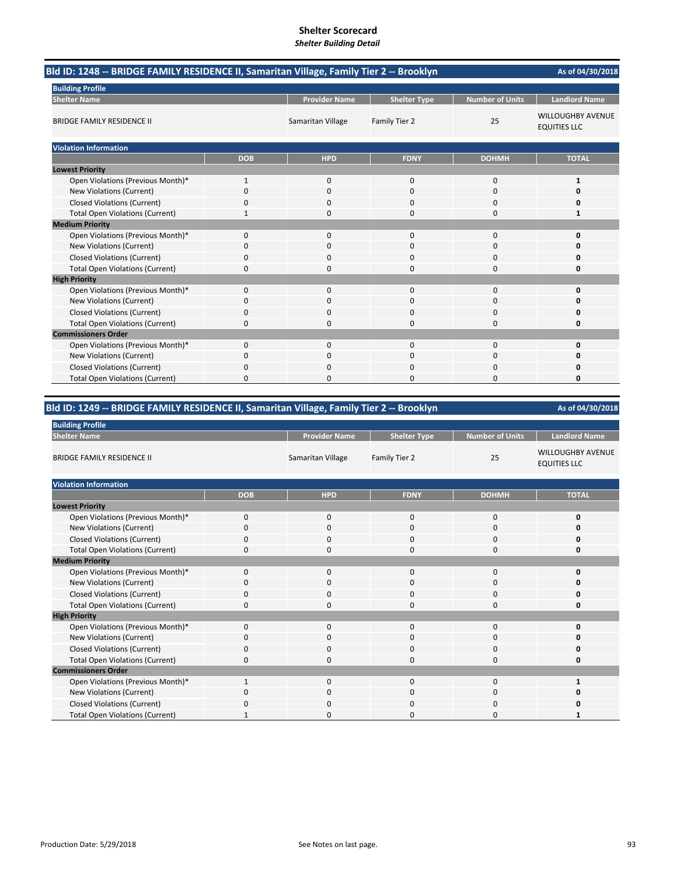| Bld ID: 1248 -- BRIDGE FAMILY RESIDENCE II, Samaritan Village, Family Tier 2 -- Brooklyn<br>As of 04/30/2018 |              |                      |                     |                        |                                                 |  |  |
|--------------------------------------------------------------------------------------------------------------|--------------|----------------------|---------------------|------------------------|-------------------------------------------------|--|--|
| <b>Building Profile</b>                                                                                      |              |                      |                     |                        |                                                 |  |  |
| <b>Shelter Name</b>                                                                                          |              | <b>Provider Name</b> | <b>Shelter Type</b> | <b>Number of Units</b> | <b>Landlord Name</b>                            |  |  |
| <b>BRIDGE FAMILY RESIDENCE II</b>                                                                            |              | Samaritan Village    | Family Tier 2       | 25                     | <b>WILLOUGHBY AVENUE</b><br><b>EQUITIES LLC</b> |  |  |
| <b>Violation Information</b>                                                                                 |              |                      |                     |                        |                                                 |  |  |
|                                                                                                              | <b>DOB</b>   | <b>HPD</b>           | <b>FDNY</b>         | <b>DOHMH</b>           | <b>TOTAL</b>                                    |  |  |
| <b>Lowest Priority</b>                                                                                       |              |                      |                     |                        |                                                 |  |  |
| Open Violations (Previous Month)*                                                                            | $\mathbf{1}$ | $\mathbf{0}$         | $\mathbf{0}$        | 0                      | 1                                               |  |  |
| <b>New Violations (Current)</b>                                                                              | 0            | $\Omega$             | $\Omega$            | 0                      |                                                 |  |  |
| <b>Closed Violations (Current)</b>                                                                           | 0            | $\Omega$             | $\Omega$            | 0                      |                                                 |  |  |
| <b>Total Open Violations (Current)</b>                                                                       | 1            | <sup>0</sup>         | $\Omega$            | 0                      | 1                                               |  |  |
| <b>Medium Priority</b>                                                                                       |              |                      |                     |                        |                                                 |  |  |
| Open Violations (Previous Month)*                                                                            | 0            | $\Omega$             | $\Omega$            | 0                      |                                                 |  |  |
| New Violations (Current)                                                                                     | 0            | $\Omega$             | $\Omega$            | 0                      |                                                 |  |  |
| <b>Closed Violations (Current)</b>                                                                           | 0            | <sup>0</sup>         | $\Omega$            | 0                      |                                                 |  |  |
| <b>Total Open Violations (Current)</b>                                                                       | 0            | 0                    | 0                   | 0                      |                                                 |  |  |
| <b>High Priority</b>                                                                                         |              |                      |                     |                        |                                                 |  |  |
| Open Violations (Previous Month)*                                                                            | $\Omega$     | $\Omega$             | $\Omega$            | $\Omega$               | O                                               |  |  |
| <b>New Violations (Current)</b>                                                                              | 0            | 0                    | $\Omega$            | 0                      |                                                 |  |  |
| <b>Closed Violations (Current)</b>                                                                           | 0            | $\Omega$             | $\mathbf 0$         | 0                      |                                                 |  |  |
| <b>Total Open Violations (Current)</b>                                                                       | 0            | $\Omega$             | O                   | 0                      |                                                 |  |  |
| <b>Commissioners Order</b>                                                                                   |              |                      |                     |                        |                                                 |  |  |
| Open Violations (Previous Month)*                                                                            | 0            | $\Omega$             | $\Omega$            | 0                      |                                                 |  |  |
| New Violations (Current)                                                                                     | 0            | $\mathbf{0}$         | $\mathbf{0}$        | 0                      |                                                 |  |  |
| <b>Closed Violations (Current)</b>                                                                           | 0            | ŋ                    | 0                   | 0                      |                                                 |  |  |
| <b>Total Open Violations (Current)</b>                                                                       | 0            | 0                    | $\Omega$            | 0                      | O                                               |  |  |

## **Bld ID: 1249 ‐‐ BRIDGE FAMILY RESIDENCE II, Samaritan Village, Family Tier 2 ‐‐ Brooklyn**

| <b>Building Profile</b>                |              |                      |                     |                 |                                                 |
|----------------------------------------|--------------|----------------------|---------------------|-----------------|-------------------------------------------------|
| <b>Shelter Name</b>                    |              | <b>Provider Name</b> | <b>Shelter Type</b> | Number of Units | <b>Landlord Name</b>                            |
| <b>BRIDGE FAMILY RESIDENCE II</b>      |              | Samaritan Village    | Family Tier 2       | 25              | <b>WILLOUGHBY AVENUE</b><br><b>EQUITIES LLC</b> |
| <b>Violation Information</b>           |              |                      |                     |                 |                                                 |
|                                        | <b>DOB</b>   | <b>HPD</b>           | <b>FDNY</b>         | <b>DOHMH</b>    | <b>TOTAL</b>                                    |
| <b>Lowest Priority</b>                 |              |                      |                     |                 |                                                 |
| Open Violations (Previous Month)*      | $\Omega$     | $\mathbf 0$          | $\mathbf{0}$        | $\mathbf 0$     | 0                                               |
| <b>New Violations (Current)</b>        | 0            | 0                    | 0                   | $\mathbf 0$     | 0                                               |
| <b>Closed Violations (Current)</b>     | $\Omega$     | $\mathbf 0$          | 0                   | $\mathbf 0$     | 0                                               |
| <b>Total Open Violations (Current)</b> | 0            | $\mathbf 0$          | 0                   | $\mathbf 0$     | 0                                               |
| <b>Medium Priority</b>                 |              |                      |                     |                 |                                                 |
| Open Violations (Previous Month)*      | $\Omega$     | $\mathbf 0$          | $\mathbf{0}$        | $\mathbf 0$     | 0                                               |
| New Violations (Current)               | $\Omega$     | $\mathbf 0$          | 0                   | 0               | $\Omega$                                        |
| <b>Closed Violations (Current)</b>     | $\Omega$     | $\mathbf 0$          | $\mathbf 0$         | $\mathbf 0$     | 0                                               |
| <b>Total Open Violations (Current)</b> | $\Omega$     | $\mathbf 0$          | 0                   | $\mathbf 0$     | $\Omega$                                        |
| <b>High Priority</b>                   |              |                      |                     |                 |                                                 |
| Open Violations (Previous Month)*      | $\Omega$     | $\mathbf 0$          | $\mathbf{0}$        | $\mathbf 0$     | 0                                               |
| <b>New Violations (Current)</b>        | $\Omega$     | $\mathbf 0$          | 0                   | 0               | 0                                               |
| <b>Closed Violations (Current)</b>     | 0            | $\mathbf 0$          | 0                   | $\mathbf 0$     | 0                                               |
| <b>Total Open Violations (Current)</b> | $\Omega$     | $\mathbf 0$          | 0                   | $\mathbf 0$     | 0                                               |
| <b>Commissioners Order</b>             |              |                      |                     |                 |                                                 |
| Open Violations (Previous Month)*      | 1            | $\mathbf 0$          | $\mathbf 0$         | $\mathbf 0$     | 1                                               |
| New Violations (Current)               | $\Omega$     | $\mathbf 0$          | 0                   | 0               | Ω                                               |
| <b>Closed Violations (Current)</b>     | 0            | $\mathbf 0$          | 0                   | 0               | 0                                               |
| <b>Total Open Violations (Current)</b> | $\mathbf{1}$ | $\mathbf 0$          | 0                   | 0               |                                                 |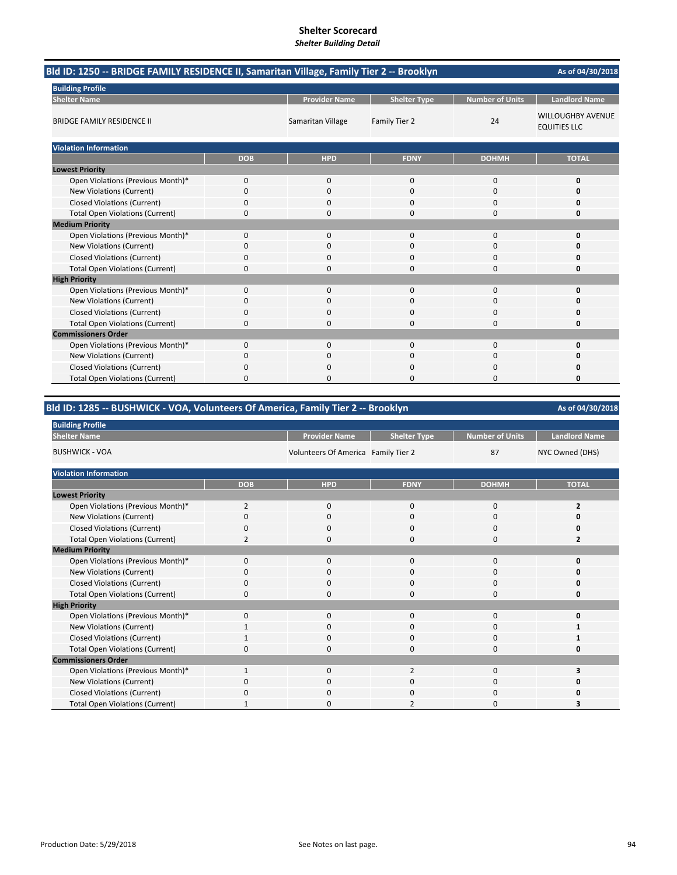| Bld ID: 1250 -- BRIDGE FAMILY RESIDENCE II, Samaritan Village, Family Tier 2 -- Brooklyn<br>As of 04/30/2018 |            |                      |                     |                        |                                                 |  |  |
|--------------------------------------------------------------------------------------------------------------|------------|----------------------|---------------------|------------------------|-------------------------------------------------|--|--|
| <b>Building Profile</b>                                                                                      |            |                      |                     |                        |                                                 |  |  |
| <b>Shelter Name</b>                                                                                          |            | <b>Provider Name</b> | <b>Shelter Type</b> | <b>Number of Units</b> | <b>Landlord Name</b>                            |  |  |
| <b>BRIDGE FAMILY RESIDENCE II</b>                                                                            |            | Samaritan Village    | Family Tier 2       | 24                     | <b>WILLOUGHBY AVENUE</b><br><b>EQUITIES LLC</b> |  |  |
| <b>Violation Information</b>                                                                                 |            |                      |                     |                        |                                                 |  |  |
|                                                                                                              | <b>DOB</b> | <b>HPD</b>           | <b>FDNY</b>         | <b>DOHMH</b>           | <b>TOTAL</b>                                    |  |  |
| <b>Lowest Priority</b>                                                                                       |            |                      |                     |                        |                                                 |  |  |
| Open Violations (Previous Month)*                                                                            | 0          | $\mathbf{0}$         | $\mathbf 0$         | $\mathbf 0$            | 0                                               |  |  |
| New Violations (Current)                                                                                     | $\Omega$   | $\Omega$             | $\Omega$            | $\mathbf 0$            | n                                               |  |  |
| <b>Closed Violations (Current)</b>                                                                           | 0          | 0                    | $\mathbf 0$         | 0                      | Ω                                               |  |  |
| <b>Total Open Violations (Current)</b>                                                                       | 0          | 0                    | $\Omega$            | $\Omega$               | 0                                               |  |  |
| <b>Medium Priority</b>                                                                                       |            |                      |                     |                        |                                                 |  |  |
| Open Violations (Previous Month)*                                                                            | 0          | $\Omega$             | 0                   | 0                      | 0                                               |  |  |
| New Violations (Current)                                                                                     | 0          | 0                    | $\Omega$            | $\mathbf 0$            | n                                               |  |  |
| <b>Closed Violations (Current)</b>                                                                           | 0          | 0                    | $\Omega$            | $\mathbf 0$            | Ω                                               |  |  |
| <b>Total Open Violations (Current)</b>                                                                       | 0          | 0                    | $\Omega$            | 0                      | 0                                               |  |  |
| <b>High Priority</b>                                                                                         |            |                      |                     |                        |                                                 |  |  |
| Open Violations (Previous Month)*                                                                            | 0          | $\Omega$             | $\Omega$            | $\mathbf 0$            | 0                                               |  |  |
| New Violations (Current)                                                                                     | 0          | 0                    | $\Omega$            | 0                      | Ω                                               |  |  |
| <b>Closed Violations (Current)</b>                                                                           | 0          | 0                    | $\mathbf 0$         | $\mathbf 0$            | Ω                                               |  |  |
| <b>Total Open Violations (Current)</b>                                                                       | 0          | $\Omega$             | $\Omega$            | $\mathbf 0$            | O                                               |  |  |
| <b>Commissioners Order</b>                                                                                   |            |                      |                     |                        |                                                 |  |  |
| Open Violations (Previous Month)*                                                                            | 0          | 0                    | $\mathbf 0$         | $\mathbf 0$            | 0                                               |  |  |
| New Violations (Current)                                                                                     | 0          | 0                    | $\mathbf 0$         | $\mathbf 0$            | Ω                                               |  |  |
| <b>Closed Violations (Current)</b>                                                                           | 0          | O                    | O                   | 0                      | n                                               |  |  |
| <b>Total Open Violations (Current)</b>                                                                       | 0          |                      | O                   | 0                      | Ω                                               |  |  |

# **Bld ID: 1285 ‐‐ BUSHWICK ‐ VOA, Volunteers Of America, Family Tier 2 ‐‐ Brooklyn**

| <b>Building Profile</b>                |                |                                     |                     |                        |                      |
|----------------------------------------|----------------|-------------------------------------|---------------------|------------------------|----------------------|
| <b>Shelter Name</b>                    |                | <b>Provider Name</b>                | <b>Shelter Type</b> | <b>Number of Units</b> | <b>Landlord Name</b> |
| <b>BUSHWICK - VOA</b>                  |                | Volunteers Of America Family Tier 2 |                     | 87                     | NYC Owned (DHS)      |
| <b>Violation Information</b>           |                |                                     |                     |                        |                      |
|                                        | <b>DOB</b>     | <b>HPD</b>                          | <b>FDNY</b>         | <b>DOHMH</b>           | <b>TOTAL</b>         |
| <b>Lowest Priority</b>                 |                |                                     |                     |                        |                      |
| Open Violations (Previous Month)*      | $\overline{2}$ | $\mathbf{0}$                        | $\mathbf{0}$        | $\mathbf 0$            | $\overline{2}$       |
| New Violations (Current)               | $\Omega$       | 0                                   | 0                   | 0                      |                      |
| <b>Closed Violations (Current)</b>     | 0              | 0                                   | 0                   | 0                      | 0                    |
| <b>Total Open Violations (Current)</b> | 2              | $\Omega$                            | $\Omega$            | 0                      |                      |
| <b>Medium Priority</b>                 |                |                                     |                     |                        |                      |
| Open Violations (Previous Month)*      | $\Omega$       | 0                                   | $\mathbf{0}$        | $\mathbf{0}$           | ŋ                    |
| New Violations (Current)               | O              | 0                                   | 0                   | 0                      |                      |
| <b>Closed Violations (Current)</b>     | 0              | 0                                   | 0                   | 0                      | U                    |
| <b>Total Open Violations (Current)</b> | $\Omega$       | 0                                   | $\Omega$            | 0                      | U                    |
| <b>High Priority</b>                   |                |                                     |                     |                        |                      |
| Open Violations (Previous Month)*      | 0              | 0                                   | $\mathbf{0}$        | $\mathbf{0}$           | 0                    |
| New Violations (Current)               |                | 0                                   | $\Omega$            | 0                      |                      |
| <b>Closed Violations (Current)</b>     |                | 0                                   | 0                   | 0                      |                      |
| <b>Total Open Violations (Current)</b> | $\Omega$       | 0                                   | $\Omega$            | 0                      | ŋ                    |
| <b>Commissioners Order</b>             |                |                                     |                     |                        |                      |
| Open Violations (Previous Month)*      | 1              | 0                                   | $\overline{2}$      | $\mathbf 0$            |                      |
| New Violations (Current)               | O              | 0                                   | 0                   | 0                      | n                    |
| <b>Closed Violations (Current)</b>     | $\Omega$       | 0                                   | 0                   | 0                      | ŋ                    |
| <b>Total Open Violations (Current)</b> |                | 0                                   | $\overline{2}$      | $\Omega$               | 3                    |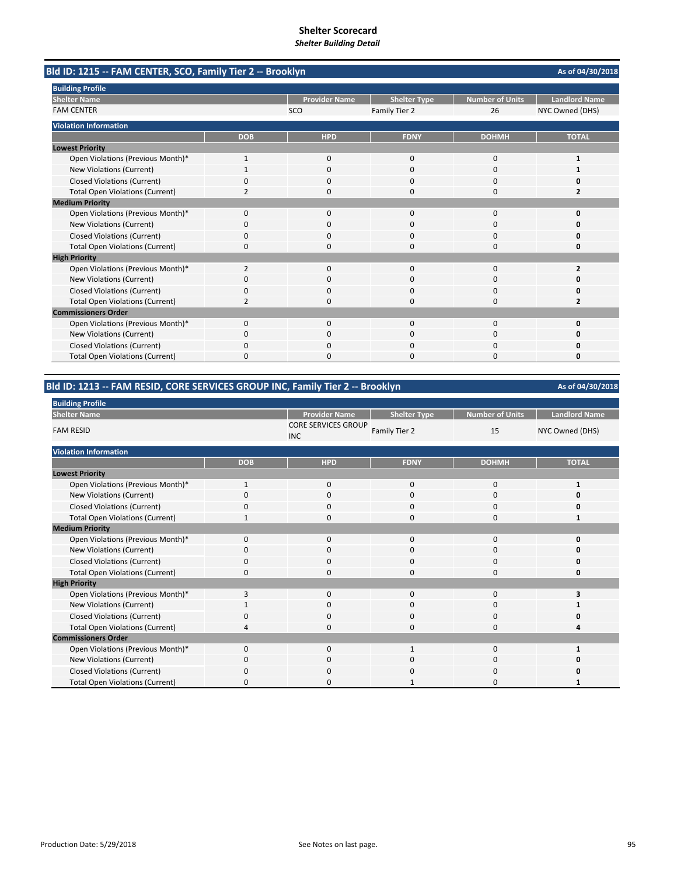| Bld ID: 1215 -- FAM CENTER, SCO, Family Tier 2 -- Brooklyn | As of 04/30/2018 |                      |                     |                        |                      |
|------------------------------------------------------------|------------------|----------------------|---------------------|------------------------|----------------------|
| <b>Building Profile</b>                                    |                  |                      |                     |                        |                      |
| <b>Shelter Name</b>                                        |                  | <b>Provider Name</b> | <b>Shelter Type</b> | <b>Number of Units</b> | <b>Landlord Name</b> |
| <b>FAM CENTER</b>                                          |                  | SCO                  | Family Tier 2       | 26                     | NYC Owned (DHS)      |
| <b>Violation Information</b>                               |                  |                      |                     |                        |                      |
|                                                            | <b>DOB</b>       | <b>HPD</b>           | <b>FDNY</b>         | <b>DOHMH</b>           | <b>TOTAL</b>         |
| <b>Lowest Priority</b>                                     |                  |                      |                     |                        |                      |
| Open Violations (Previous Month)*                          | 1                | 0                    | $\mathbf 0$         | $\mathbf 0$            | 1                    |
| New Violations (Current)                                   |                  | $\Omega$             | $\Omega$            | $\Omega$               |                      |
| <b>Closed Violations (Current)</b>                         | 0                | $\Omega$             | $\Omega$            | $\Omega$               | 0                    |
| <b>Total Open Violations (Current)</b>                     | 2                | 0                    | $\Omega$            | $\Omega$               | 2                    |
| <b>Medium Priority</b>                                     |                  |                      |                     |                        |                      |
| Open Violations (Previous Month)*                          | 0                | $\Omega$             | $\Omega$            | $\Omega$               | O                    |
| New Violations (Current)                                   | 0                | 0                    | 0                   | 0                      | 0                    |
| <b>Closed Violations (Current)</b>                         | 0                | $\Omega$             | $\Omega$            | $\Omega$               | O                    |
| <b>Total Open Violations (Current)</b>                     | 0                | $\Omega$             | 0                   | $\Omega$               | 0                    |
| <b>High Priority</b>                                       |                  |                      |                     |                        |                      |
| Open Violations (Previous Month)*                          | $\overline{2}$   | $\Omega$             | $\Omega$            | $\Omega$               | $\overline{2}$       |
| New Violations (Current)                                   | 0                | 0                    | 0                   | 0                      | o                    |
| <b>Closed Violations (Current)</b>                         | 0                | 0                    | 0                   | 0                      | 0                    |
| <b>Total Open Violations (Current)</b>                     | $\overline{2}$   | n                    | $\Omega$            | $\Omega$               | 2                    |
| <b>Commissioners Order</b>                                 |                  |                      |                     |                        |                      |
| Open Violations (Previous Month)*                          | 0                | 0                    | $\mathbf 0$         | $\mathbf 0$            | 0                    |
| New Violations (Current)                                   | 0                | $\Omega$             | 0                   | $\Omega$               | o                    |
| <b>Closed Violations (Current)</b>                         | 0                | 0                    | O                   | $\Omega$               | 0                    |
| <b>Total Open Violations (Current)</b>                     | $\Omega$         | $\Omega$             | $\Omega$            | $\Omega$               | 0                    |

## **Bld ID: 1213 ‐‐ FAM RESID, CORE SERVICES GROUP INC, Family Tier 2 ‐‐ Brooklyn**

| <b>Building Profile</b>                |             |                                          |                     |                        |                      |  |
|----------------------------------------|-------------|------------------------------------------|---------------------|------------------------|----------------------|--|
| <b>Shelter Name</b>                    |             | <b>Provider Name</b>                     | <b>Shelter Type</b> | <b>Number of Units</b> | <b>Landlord Name</b> |  |
| <b>FAM RESID</b>                       |             | <b>CORE SERVICES GROUP</b><br><b>INC</b> | Family Tier 2       | 15                     | NYC Owned (DHS)      |  |
| <b>Violation Information</b>           |             |                                          |                     |                        |                      |  |
|                                        | <b>DOB</b>  | <b>HPD</b>                               | <b>FDNY</b>         | <b>DOHMH</b>           | <b>TOTAL</b>         |  |
| <b>Lowest Priority</b>                 |             |                                          |                     |                        |                      |  |
| Open Violations (Previous Month)*      | 1           | $\mathbf 0$                              | $\mathbf 0$         | 0                      |                      |  |
| New Violations (Current)               | $\Omega$    | $\mathbf 0$                              | 0                   | 0                      | Ω                    |  |
| <b>Closed Violations (Current)</b>     | $\mathbf 0$ | $\mathbf 0$                              | $\mathbf 0$         | 0                      | 0                    |  |
| <b>Total Open Violations (Current)</b> | 1           | $\mathbf 0$                              | 0                   | $\mathbf 0$            | 1                    |  |
| <b>Medium Priority</b>                 |             |                                          |                     |                        |                      |  |
| Open Violations (Previous Month)*      | $\mathbf 0$ | $\mathbf 0$                              | $\mathbf 0$         | 0                      | O                    |  |
| New Violations (Current)               | O           | $\mathbf 0$                              | 0                   | 0                      | o                    |  |
| <b>Closed Violations (Current)</b>     | $\Omega$    | $\mathbf 0$                              | 0                   | 0                      | O                    |  |
| <b>Total Open Violations (Current)</b> | O           | 0                                        | 0                   | 0                      | 0                    |  |
| <b>High Priority</b>                   |             |                                          |                     |                        |                      |  |
| Open Violations (Previous Month)*      | 3           | $\mathbf 0$                              | $\Omega$            | 0                      | 3                    |  |
| New Violations (Current)               |             | 0                                        | 0                   | 0                      |                      |  |
| <b>Closed Violations (Current)</b>     | $\Omega$    | $\mathbf 0$                              | $\mathbf{0}$        | 0                      | O                    |  |
| <b>Total Open Violations (Current)</b> | 4           | $\mathbf 0$                              | $\mathbf{0}$        | 0                      | Δ                    |  |
| <b>Commissioners Order</b>             |             |                                          |                     |                        |                      |  |
| Open Violations (Previous Month)*      | $\Omega$    | $\mathbf 0$                              | $\mathbf{1}$        | 0                      |                      |  |
| New Violations (Current)               | 0           | $\mathbf 0$                              | $\mathbf{0}$        | 0                      |                      |  |
| <b>Closed Violations (Current)</b>     | $\Omega$    | $\Omega$                                 | 0                   | $\Omega$               | Ω                    |  |
| <b>Total Open Violations (Current)</b> | $\Omega$    | $\Omega$                                 |                     | $\Omega$               |                      |  |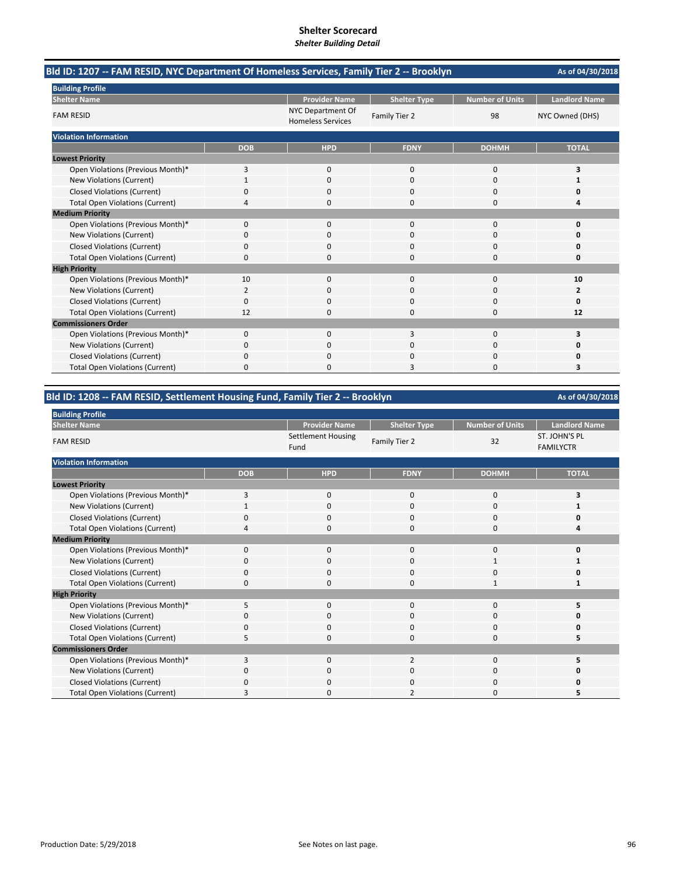| Bld ID: 1207 -- FAM RESID, NYC Department Of Homeless Services, Family Tier 2 -- Brooklyn |                |                                               |                     |                        | As of 04/30/2018     |
|-------------------------------------------------------------------------------------------|----------------|-----------------------------------------------|---------------------|------------------------|----------------------|
| <b>Building Profile</b>                                                                   |                |                                               |                     |                        |                      |
| <b>Shelter Name</b>                                                                       |                | <b>Provider Name</b>                          | <b>Shelter Type</b> | <b>Number of Units</b> | <b>Landlord Name</b> |
| <b>FAM RESID</b>                                                                          |                | NYC Department Of<br><b>Homeless Services</b> | Family Tier 2       | 98                     | NYC Owned (DHS)      |
| <b>Violation Information</b>                                                              |                |                                               |                     |                        |                      |
|                                                                                           | <b>DOB</b>     | <b>HPD</b>                                    | <b>FDNY</b>         | <b>DOHMH</b>           | <b>TOTAL</b>         |
| <b>Lowest Priority</b>                                                                    |                |                                               |                     |                        |                      |
| Open Violations (Previous Month)*                                                         | 3              | $\mathbf{0}$                                  | $\mathbf{0}$        | 0                      | 3                    |
| New Violations (Current)                                                                  | $\mathbf{1}$   | $\Omega$                                      | $\Omega$            | $\Omega$               | 1                    |
| <b>Closed Violations (Current)</b>                                                        | 0              | 0                                             | 0                   | 0                      | 0                    |
| <b>Total Open Violations (Current)</b>                                                    | 4              | 0                                             | $\Omega$            | 0                      | 4                    |
| <b>Medium Priority</b>                                                                    |                |                                               |                     |                        |                      |
| Open Violations (Previous Month)*                                                         | $\Omega$       | $\Omega$                                      | $\Omega$            | $\Omega$               | 0                    |
| New Violations (Current)                                                                  | 0              | 0                                             | $\Omega$            | 0                      | Ω                    |
| <b>Closed Violations (Current)</b>                                                        | 0              | 0                                             | 0                   | 0                      | 0                    |
| <b>Total Open Violations (Current)</b>                                                    | 0              | $\Omega$                                      | $\Omega$            | $\Omega$               | 0                    |
| <b>High Priority</b>                                                                      |                |                                               |                     |                        |                      |
| Open Violations (Previous Month)*                                                         | 10             | $\Omega$                                      | $\Omega$            | $\Omega$               | 10                   |
| New Violations (Current)                                                                  | $\overline{2}$ | $\Omega$                                      | $\Omega$            | 0                      | 2                    |
| <b>Closed Violations (Current)</b>                                                        | 0              | $\Omega$                                      | $\Omega$            | $\Omega$               | 0                    |
| <b>Total Open Violations (Current)</b>                                                    | 12             | $\Omega$                                      | $\Omega$            | 0                      | 12                   |
| <b>Commissioners Order</b>                                                                |                |                                               |                     |                        |                      |
| Open Violations (Previous Month)*                                                         | 0              | $\Omega$                                      |                     | 0                      | 3                    |
| New Violations (Current)                                                                  | 0              | 0                                             | ი                   | 0                      |                      |
| <b>Closed Violations (Current)</b>                                                        | 0              | $\Omega$                                      | $\Omega$            | $\Omega$               | n                    |
| <b>Total Open Violations (Current)</b>                                                    | 0              | n                                             | 3                   | O                      | 3                    |

## **Bld ID: 1208 ‐‐ FAM RESID, Settlement Housing Fund, Family Tier 2 ‐‐ Brooklyn**

| <b>Building Profile</b>                |            |                            |                          |                 |                                          |
|----------------------------------------|------------|----------------------------|--------------------------|-----------------|------------------------------------------|
| <b>Shelter Name</b>                    |            | <b>Provider Name</b>       | <b>Shelter Type</b>      | Number of Units | <b>Landlord Name</b>                     |
| <b>FAM RESID</b>                       |            | Settlement Housing<br>Fund | Family Tier 2            | 32              | <b>ST. JOHN'S PL</b><br><b>FAMILYCTR</b> |
| <b>Violation Information</b>           |            |                            |                          |                 |                                          |
|                                        | <b>DOB</b> | <b>HPD</b>                 | <b>FDNY</b>              | <b>DOHMH</b>    | <b>TOTAL</b>                             |
| <b>Lowest Priority</b>                 |            |                            |                          |                 |                                          |
| Open Violations (Previous Month)*      | 3          | $\mathbf{0}$               | $\mathbf{0}$             | 0               | 3                                        |
| New Violations (Current)               |            | $\mathbf 0$                | $\Omega$                 | 0               |                                          |
| <b>Closed Violations (Current)</b>     | 0          | $\mathbf 0$                | $\Omega$                 | 0               | U                                        |
| <b>Total Open Violations (Current)</b> |            | $\Omega$                   | $\Omega$                 | 0               | 4                                        |
| <b>Medium Priority</b>                 |            |                            |                          |                 |                                          |
| Open Violations (Previous Month)*      | $\Omega$   | $\Omega$                   | $\Omega$                 | 0               | 0                                        |
| New Violations (Current)               | 0          | 0                          | 0                        | 1               |                                          |
| <b>Closed Violations (Current)</b>     | $\Omega$   | $\mathbf 0$                | $\Omega$                 | 0               | ŋ                                        |
| <b>Total Open Violations (Current)</b> | 0          | 0                          | $\Omega$                 |                 |                                          |
| <b>High Priority</b>                   |            |                            |                          |                 |                                          |
| Open Violations (Previous Month)*      | 5          | $\mathbf 0$                | $\Omega$                 | 0               | 5                                        |
| New Violations (Current)               | 0          | $\mathbf 0$                | 0                        | 0               | ŋ                                        |
| <b>Closed Violations (Current)</b>     | $\Omega$   | $\mathbf 0$                | $\Omega$                 | 0               | ŋ                                        |
| <b>Total Open Violations (Current)</b> | 5          | $\mathbf 0$                | $\Omega$                 | 0               | 5                                        |
| <b>Commissioners Order</b>             |            |                            |                          |                 |                                          |
| Open Violations (Previous Month)*      | 3          | $\Omega$                   | $\overline{\phantom{0}}$ | $\Omega$        |                                          |
| New Violations (Current)               | 0          | $\Omega$                   | $\Omega$                 | 0               | n                                        |
| <b>Closed Violations (Current)</b>     | C          | $\Omega$                   | n                        | $\Omega$        | ŋ                                        |
| <b>Total Open Violations (Current)</b> | 3          | $\Omega$                   | $\overline{2}$           | $\Omega$        | 5                                        |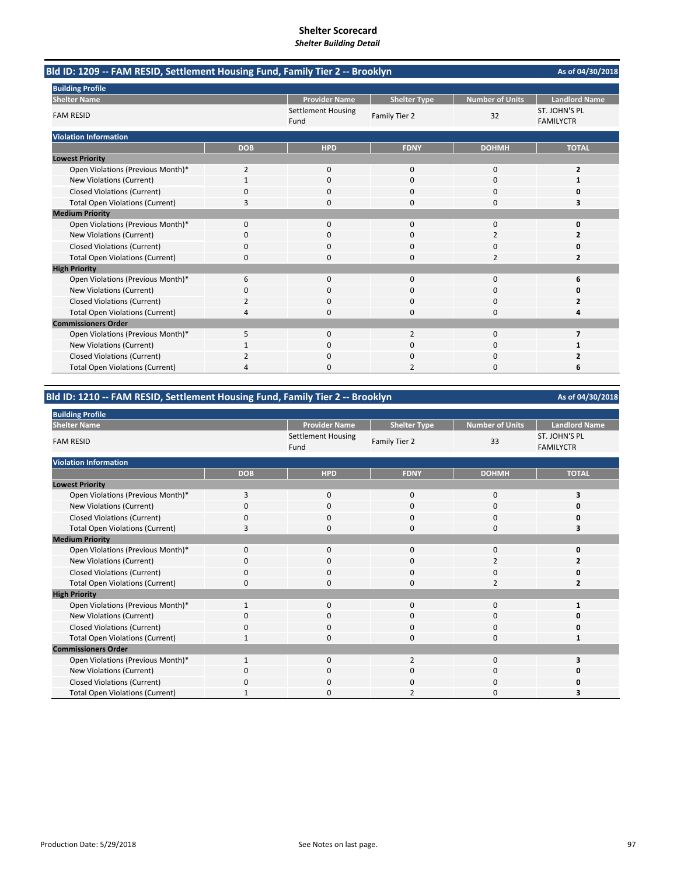| Bld ID: 1209 -- FAM RESID, Settlement Housing Fund, Family Tier 2 -- Brooklyn | As of 04/30/2018 |                            |                     |                         |                                   |
|-------------------------------------------------------------------------------|------------------|----------------------------|---------------------|-------------------------|-----------------------------------|
| <b>Building Profile</b>                                                       |                  |                            |                     |                         |                                   |
| <b>Shelter Name</b>                                                           |                  | <b>Provider Name</b>       | <b>Shelter Type</b> | <b>Number of Units</b>  | <b>Landlord Name</b>              |
| <b>FAM RESID</b>                                                              |                  | Settlement Housing<br>Fund | Family Tier 2       | 32                      | ST. JOHN'S PL<br><b>FAMILYCTR</b> |
| <b>Violation Information</b>                                                  |                  |                            |                     |                         |                                   |
|                                                                               | <b>DOB</b>       | <b>HPD</b>                 | <b>FDNY</b>         | <b>DOHMH</b>            | <b>TOTAL</b>                      |
| <b>Lowest Priority</b>                                                        |                  |                            |                     |                         |                                   |
| Open Violations (Previous Month)*                                             | 2                | $\mathbf{0}$               | $\mathbf{0}$        | 0                       | $\overline{2}$                    |
| New Violations (Current)                                                      |                  | $\Omega$                   | $\Omega$            | $\Omega$                | 1                                 |
| <b>Closed Violations (Current)</b>                                            | ŋ                | O                          | n                   | O                       | n                                 |
| <b>Total Open Violations (Current)</b>                                        | 3                | 0                          | 0                   | 0                       | 3                                 |
| <b>Medium Priority</b>                                                        |                  |                            |                     |                         |                                   |
| Open Violations (Previous Month)*                                             | 0                | 0                          | $\Omega$            | $\Omega$                | 0                                 |
| New Violations (Current)                                                      | 0                | 0                          | $\Omega$            | $\overline{\mathbf{c}}$ | 2                                 |
| <b>Closed Violations (Current)</b>                                            | 0                | 0                          | $\Omega$            | $\Omega$                | n                                 |
| <b>Total Open Violations (Current)</b>                                        | 0                | O                          | $\Omega$            | $\overline{2}$          | $\overline{2}$                    |
| <b>High Priority</b>                                                          |                  |                            |                     |                         |                                   |
| Open Violations (Previous Month)*                                             | 6                | $\mathbf{0}$               | $\mathbf{0}$        | 0                       | 6                                 |
| New Violations (Current)                                                      | ŋ                | 0                          | $\Omega$            | 0                       | n                                 |
| <b>Closed Violations (Current)</b>                                            |                  | 0                          | 0                   | 0                       |                                   |
| <b>Total Open Violations (Current)</b>                                        | 4                | $\Omega$                   | $\Omega$            | 0                       |                                   |
| <b>Commissioners Order</b>                                                    |                  |                            |                     |                         |                                   |
| Open Violations (Previous Month)*                                             | 5                | $\Omega$                   | $\overline{2}$      | $\Omega$                | 7                                 |
| New Violations (Current)                                                      |                  | $\Omega$                   | $\Omega$            | $\Omega$                | 1                                 |
| <b>Closed Violations (Current)</b>                                            | 2                | 0                          | $\Omega$            | 0                       | 2                                 |
| <b>Total Open Violations (Current)</b>                                        | 4                |                            |                     | $\Omega$                | 6                                 |

## **Bld ID: 1210 ‐‐ FAM RESID, Settlement Housing Fund, Family Tier 2 ‐‐ Brooklyn**

| <b>Building Profile</b>                |                |                                   |                     |                        |                                   |
|----------------------------------------|----------------|-----------------------------------|---------------------|------------------------|-----------------------------------|
| <b>Shelter Name</b>                    |                | <b>Provider Name</b>              | <b>Shelter Type</b> | <b>Number of Units</b> | <b>Landlord Name</b>              |
| <b>FAM RESID</b>                       |                | <b>Settlement Housing</b><br>Fund | Family Tier 2       | 33                     | ST. JOHN'S PL<br><b>FAMILYCTR</b> |
| <b>Violation Information</b>           |                |                                   |                     |                        |                                   |
|                                        | <b>DOB</b>     | <b>HPD</b>                        | <b>FDNY</b>         | <b>DOHMH</b>           | <b>TOTAL</b>                      |
| <b>Lowest Priority</b>                 |                |                                   |                     |                        |                                   |
| Open Violations (Previous Month)*      | $\overline{3}$ | $\mathbf 0$                       | 0                   | $\mathbf 0$            | 3                                 |
| New Violations (Current)               | $\Omega$       | 0                                 | 0                   | 0                      | 0                                 |
| <b>Closed Violations (Current)</b>     | $\Omega$       | 0                                 | 0                   | $\mathbf 0$            | 0                                 |
| <b>Total Open Violations (Current)</b> | 3              | 0                                 | $\Omega$            | $\Omega$               | 3                                 |
| <b>Medium Priority</b>                 |                |                                   |                     |                        |                                   |
| Open Violations (Previous Month)*      | $\Omega$       | $\Omega$                          | $\Omega$            | 0                      | 0                                 |
| New Violations (Current)               | 0              | 0                                 | 0                   | $\overline{2}$         | $\overline{2}$                    |
| <b>Closed Violations (Current)</b>     | $\Omega$       | $\Omega$                          | $\Omega$            | 0                      | 0                                 |
| <b>Total Open Violations (Current)</b> | 0              | 0                                 | $\Omega$            | $\overline{2}$         | $\overline{2}$                    |
| <b>High Priority</b>                   |                |                                   |                     |                        |                                   |
| Open Violations (Previous Month)*      |                | $\mathbf 0$                       | 0                   | 0                      |                                   |
| New Violations (Current)               | $\Omega$       | 0                                 | 0                   | 0                      | 0                                 |
| <b>Closed Violations (Current)</b>     | $\Omega$       | 0                                 | 0                   | 0                      | $\Omega$                          |
| <b>Total Open Violations (Current)</b> |                | 0                                 | 0                   | 0                      | 1                                 |
| <b>Commissioners Order</b>             |                |                                   |                     |                        |                                   |
| Open Violations (Previous Month)*      |                | $\Omega$                          | $\overline{2}$      | 0                      | 3                                 |
| New Violations (Current)               | $\Omega$       | $\Omega$                          | 0                   | 0                      |                                   |
| <b>Closed Violations (Current)</b>     | $\Omega$       | 0                                 | 0                   | 0                      | Ω                                 |
| <b>Total Open Violations (Current)</b> | -1             | 0                                 | $\overline{2}$      | 0                      | 3                                 |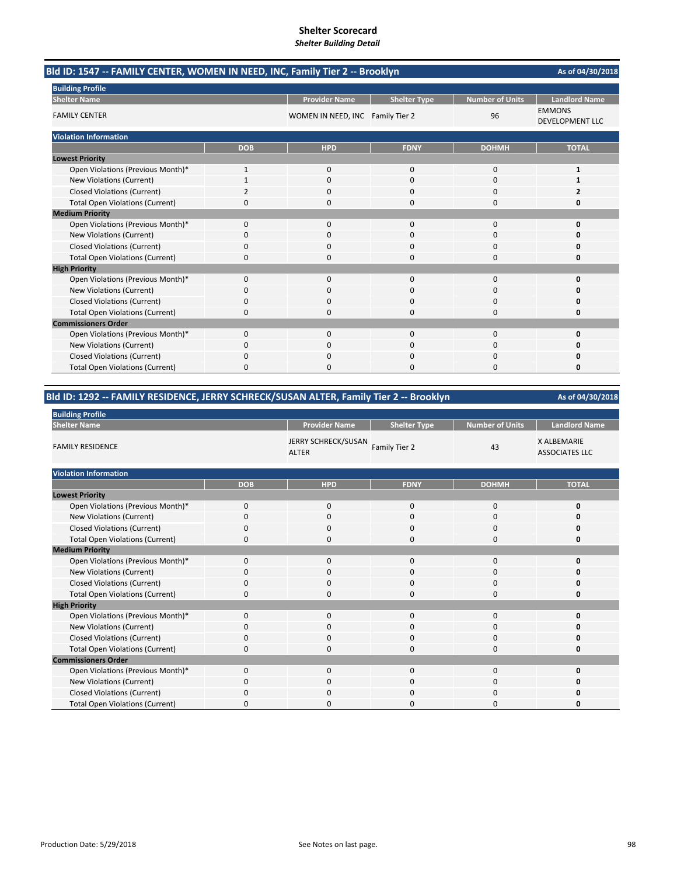| Bld ID: 1547 -- FAMILY CENTER, WOMEN IN NEED, INC, Family Tier 2 -- Brooklyn |              |                                  |                     |                        |                                         |  |
|------------------------------------------------------------------------------|--------------|----------------------------------|---------------------|------------------------|-----------------------------------------|--|
| <b>Building Profile</b>                                                      |              |                                  |                     |                        |                                         |  |
| <b>Shelter Name</b>                                                          |              | <b>Provider Name</b>             | <b>Shelter Type</b> | <b>Number of Units</b> | <b>Landlord Name</b>                    |  |
| <b>FAMILY CENTER</b>                                                         |              | WOMEN IN NEED, INC Family Tier 2 |                     | 96                     | <b>EMMONS</b><br><b>DEVELOPMENT LLC</b> |  |
| <b>Violation Information</b>                                                 |              |                                  |                     |                        |                                         |  |
|                                                                              | <b>DOB</b>   | <b>HPD</b>                       | <b>FDNY</b>         | <b>DOHMH</b>           | <b>TOTAL</b>                            |  |
| <b>Lowest Priority</b>                                                       |              |                                  |                     |                        |                                         |  |
| Open Violations (Previous Month)*                                            | $\mathbf{1}$ | $\mathbf{0}$                     | $\mathbf 0$         | 0                      | 1                                       |  |
| New Violations (Current)                                                     |              | $\Omega$                         | $\Omega$            | $\Omega$               | 1                                       |  |
| <b>Closed Violations (Current)</b>                                           |              | 0                                | O                   | 0                      |                                         |  |
| <b>Total Open Violations (Current)</b>                                       | 0            | $\Omega$                         | $\Omega$            | 0                      | Ω                                       |  |
| <b>Medium Priority</b>                                                       |              |                                  |                     |                        |                                         |  |
| Open Violations (Previous Month)*                                            | $\Omega$     | $\Omega$                         | $\Omega$            | $\Omega$               | 0                                       |  |
| New Violations (Current)                                                     | 0            | $\Omega$                         | $\Omega$            | 0                      | O                                       |  |
| <b>Closed Violations (Current)</b>                                           | 0            | $\Omega$                         | $\Omega$            | $\Omega$               | O                                       |  |
| <b>Total Open Violations (Current)</b>                                       | 0            |                                  | $\Omega$            | $\Omega$               | n                                       |  |
| <b>High Priority</b>                                                         |              |                                  |                     |                        |                                         |  |
| Open Violations (Previous Month)*                                            | 0            | $\mathbf{0}$                     | $\mathbf 0$         | 0                      | 0                                       |  |
| New Violations (Current)                                                     | 0            | 0                                | $\Omega$            | 0                      | n                                       |  |
| <b>Closed Violations (Current)</b>                                           | 0            | <sup>0</sup>                     | n                   | 0                      | n                                       |  |
| <b>Total Open Violations (Current)</b>                                       | 0            | $\Omega$                         | $\Omega$            | 0                      | 0                                       |  |
| <b>Commissioners Order</b>                                                   |              |                                  |                     |                        |                                         |  |
| Open Violations (Previous Month)*                                            | $\Omega$     | $\Omega$                         | $\Omega$            | $\Omega$               | 0                                       |  |
| New Violations (Current)                                                     | 0            | $\Omega$                         | $\Omega$            | 0                      | 0                                       |  |
| <b>Closed Violations (Current)</b>                                           | 0            | n                                | n                   | 0                      | n                                       |  |
| <b>Total Open Violations (Current)</b>                                       | 0            |                                  | ∩                   | $\Omega$               | n                                       |  |

## **Bld ID: 1292 ‐‐ FAMILY RESIDENCE, JERRY SCHRECK/SUSAN ALTER, Family Tier 2 ‐‐ Brooklyn**

| <b>Building Profile</b>                |            |                                     |                     |                        |                                             |
|----------------------------------------|------------|-------------------------------------|---------------------|------------------------|---------------------------------------------|
| <b>Shelter Name</b>                    |            | <b>Provider Name</b>                | <b>Shelter Type</b> | <b>Number of Units</b> | <b>Landlord Name</b>                        |
| <b>FAMILY RESIDENCE</b>                |            | JERRY SCHRECK/SUSAN<br><b>ALTER</b> | Family Tier 2       | 43                     | <b>X ALBEMARIE</b><br><b>ASSOCIATES LLC</b> |
| <b>Violation Information</b>           |            |                                     |                     |                        |                                             |
|                                        | <b>DOB</b> | <b>HPD</b>                          | <b>FDNY</b>         | <b>DOHMH</b>           | <b>TOTAL</b>                                |
| <b>Lowest Priority</b>                 |            |                                     |                     |                        |                                             |
| Open Violations (Previous Month)*      | 0          | $\mathbf 0$                         | 0                   | $\mathbf 0$            | 0                                           |
| New Violations (Current)               | 0          | $\mathbf 0$                         | 0                   | $\mathbf 0$            |                                             |
| Closed Violations (Current)            | 0          | $\mathbf 0$                         | 0                   | 0                      |                                             |
| <b>Total Open Violations (Current)</b> | 0          | 0                                   | 0                   | 0                      | O                                           |
| <b>Medium Priority</b>                 |            |                                     |                     |                        |                                             |
| Open Violations (Previous Month)*      | 0          | $\mathbf 0$                         | 0                   | 0                      |                                             |
| New Violations (Current)               | 0          | $\mathbf 0$                         | 0                   | $\mathbf 0$            |                                             |
| <b>Closed Violations (Current)</b>     | 0          | 0                                   | 0                   | 0                      |                                             |
| <b>Total Open Violations (Current)</b> | 0          | 0                                   | 0                   | 0                      | n                                           |
| <b>High Priority</b>                   |            |                                     |                     |                        |                                             |
| Open Violations (Previous Month)*      | $\Omega$   | $\mathbf 0$                         | 0                   | $\mathbf 0$            |                                             |
| New Violations (Current)               | 0          | 0                                   | 0                   | 0                      |                                             |
| <b>Closed Violations (Current)</b>     | $\Omega$   | $\mathbf 0$                         | $\Omega$            | $\mathbf 0$            |                                             |
| <b>Total Open Violations (Current)</b> | 0          | $\mathbf 0$                         | 0                   | $\mathbf 0$            | 0                                           |
| <b>Commissioners Order</b>             |            |                                     |                     |                        |                                             |
| Open Violations (Previous Month)*      | $\Omega$   | $\mathbf 0$                         | $\mathbf 0$         | $\mathbf 0$            | 0                                           |
| New Violations (Current)               | 0          | $\mathbf 0$                         | 0                   | 0                      |                                             |
| <b>Closed Violations (Current)</b>     | 0          | $\mathbf 0$                         | 0                   | $\mathbf 0$            |                                             |
| <b>Total Open Violations (Current)</b> | O          | $\Omega$                            | 0                   | 0                      |                                             |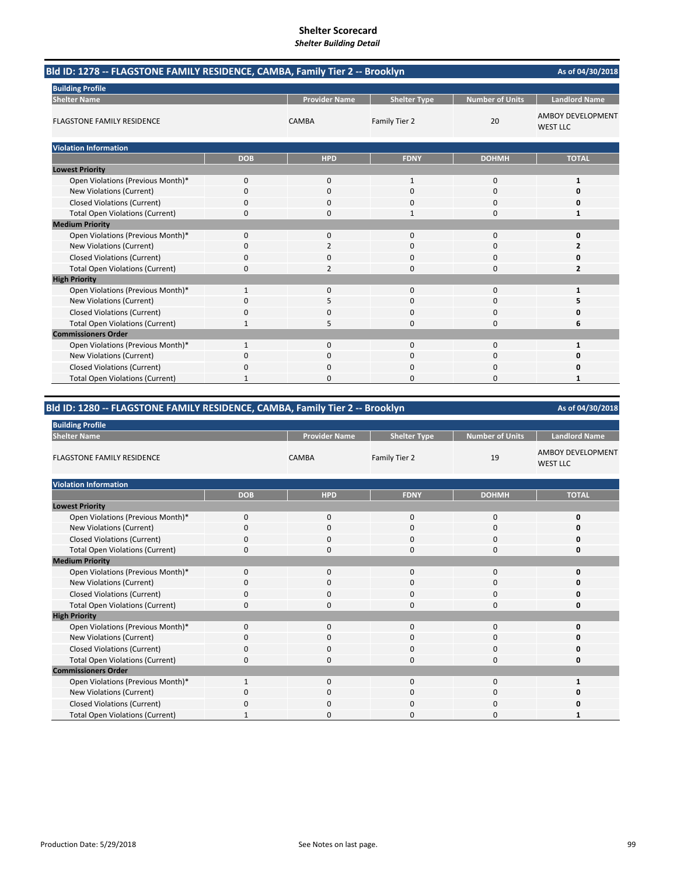| Bld ID: 1278 -- FLAGSTONE FAMILY RESIDENCE, CAMBA, Family Tier 2 -- Brooklyn |              |                      |                     |                        | As of 04/30/2018                            |
|------------------------------------------------------------------------------|--------------|----------------------|---------------------|------------------------|---------------------------------------------|
| <b>Building Profile</b>                                                      |              |                      |                     |                        |                                             |
| <b>Shelter Name</b>                                                          |              | <b>Provider Name</b> | <b>Shelter Type</b> | <b>Number of Units</b> | <b>Landlord Name</b>                        |
| <b>FLAGSTONE FAMILY RESIDENCE</b>                                            |              | CAMBA                | Family Tier 2       | 20                     | <b>AMBOY DEVELOPMENT</b><br><b>WEST LLC</b> |
| <b>Violation Information</b>                                                 |              |                      |                     |                        |                                             |
|                                                                              | <b>DOB</b>   | <b>HPD</b>           | <b>FDNY</b>         | <b>DOHMH</b>           | <b>TOTAL</b>                                |
| <b>Lowest Priority</b>                                                       |              |                      |                     |                        |                                             |
| Open Violations (Previous Month)*                                            | 0            | $\mathbf{0}$         | 1                   | 0                      | 1                                           |
| New Violations (Current)                                                     | 0            | 0                    | $\Omega$            | 0                      | $\Omega$                                    |
| <b>Closed Violations (Current)</b>                                           | 0            | 0                    | 0                   | 0                      | 0                                           |
| <b>Total Open Violations (Current)</b>                                       | 0            | 0                    | 1                   | 0                      | 1                                           |
| <b>Medium Priority</b>                                                       |              |                      |                     |                        |                                             |
| Open Violations (Previous Month)*                                            | 0            | 0                    | 0                   | 0                      | 0                                           |
| New Violations (Current)                                                     | 0            | 2                    | 0                   | $\Omega$               | $\overline{2}$                              |
| <b>Closed Violations (Current)</b>                                           | 0            | 0                    | 0                   | $\Omega$               | 0                                           |
| <b>Total Open Violations (Current)</b>                                       | 0            | 2                    | 0                   | 0                      | $\overline{2}$                              |
| <b>High Priority</b>                                                         |              |                      |                     |                        |                                             |
| Open Violations (Previous Month)*                                            | $\mathbf{1}$ | 0                    | $\Omega$            | 0                      | $\mathbf{1}$                                |
| New Violations (Current)                                                     | 0            | 5                    | 0                   | 0                      | 5                                           |
| <b>Closed Violations (Current)</b>                                           | 0            | 0                    | 0                   | 0                      | O                                           |
| <b>Total Open Violations (Current)</b>                                       | $\mathbf{1}$ | 5                    | 0                   | $\Omega$               | 6                                           |
| <b>Commissioners Order</b>                                                   |              |                      |                     |                        |                                             |
| Open Violations (Previous Month)*                                            | 1            | 0                    | 0                   | 0                      | $\mathbf{1}$                                |
| New Violations (Current)                                                     | 0            | 0                    | $\Omega$            | 0                      | 0                                           |
| <b>Closed Violations (Current)</b>                                           | 0            | 0                    | 0                   | 0                      | 0                                           |
| <b>Total Open Violations (Current)</b>                                       | 1            | 0                    | O                   | O                      |                                             |

## **Bld ID: 1280 ‐‐ FLAGSTONE FAMILY RESIDENCE, CAMBA, Family Tier 2 ‐‐ Brooklyn**

| <b>Building Profile</b>                |             |                      |                     |                        |                                      |
|----------------------------------------|-------------|----------------------|---------------------|------------------------|--------------------------------------|
| <b>Shelter Name</b>                    |             | <b>Provider Name</b> | <b>Shelter Type</b> | <b>Number of Units</b> | <b>Landlord Name</b>                 |
| <b>FLAGSTONE FAMILY RESIDENCE</b>      |             | <b>CAMBA</b>         | Family Tier 2       | 19                     | AMBOY DEVELOPMENT<br><b>WEST LLC</b> |
| <b>Violation Information</b>           |             |                      |                     |                        |                                      |
|                                        | <b>DOB</b>  | <b>HPD</b>           | <b>FDNY</b>         | <b>DOHMH</b>           | <b>TOTAL</b>                         |
| <b>Lowest Priority</b>                 |             |                      |                     |                        |                                      |
| Open Violations (Previous Month)*      | $\mathbf 0$ | $\mathbf{0}$         | $\mathbf 0$         | $\bf 0$                | 0                                    |
| New Violations (Current)               | $\Omega$    | $\mathbf 0$          | 0                   | $\mathbf 0$            | Ω                                    |
| <b>Closed Violations (Current)</b>     | $\Omega$    | $\mathbf 0$          | 0                   | $\mathbf 0$            |                                      |
| <b>Total Open Violations (Current)</b> | $\Omega$    | $\mathbf 0$          | 0                   | $\mathbf 0$            | 0                                    |
| <b>Medium Priority</b>                 |             |                      |                     |                        |                                      |
| Open Violations (Previous Month)*      | $\Omega$    | $\mathbf 0$          | $\mathbf 0$         | 0                      | O                                    |
| New Violations (Current)               | 0           | 0                    | 0                   | 0                      |                                      |
| <b>Closed Violations (Current)</b>     | $\Omega$    | $\mathbf 0$          | 0                   | 0                      |                                      |
| <b>Total Open Violations (Current)</b> | $\Omega$    | $\Omega$             | $\Omega$            | $\mathbf 0$            | o                                    |
| <b>High Priority</b>                   |             |                      |                     |                        |                                      |
| Open Violations (Previous Month)*      | $\mathbf 0$ | $\mathbf{0}$         | 0                   | 0                      | Ω                                    |
| New Violations (Current)               | $\Omega$    | $\Omega$             | $\Omega$            | $\Omega$               |                                      |
| <b>Closed Violations (Current)</b>     | $\Omega$    | $\mathbf 0$          | 0                   | 0                      | n                                    |
| <b>Total Open Violations (Current)</b> | $\Omega$    | $\mathbf 0$          | 0                   | $\mathbf 0$            | 0                                    |
| <b>Commissioners Order</b>             |             |                      |                     |                        |                                      |
| Open Violations (Previous Month)*      |             | $\Omega$             | 0                   | 0                      |                                      |
| New Violations (Current)               | 0           | $\mathbf 0$          | 0                   | $\mathbf 0$            |                                      |
| <b>Closed Violations (Current)</b>     | 0           | $\Omega$             | 0                   | 0                      |                                      |
| <b>Total Open Violations (Current)</b> |             | $\Omega$             | $\Omega$            | $\Omega$               |                                      |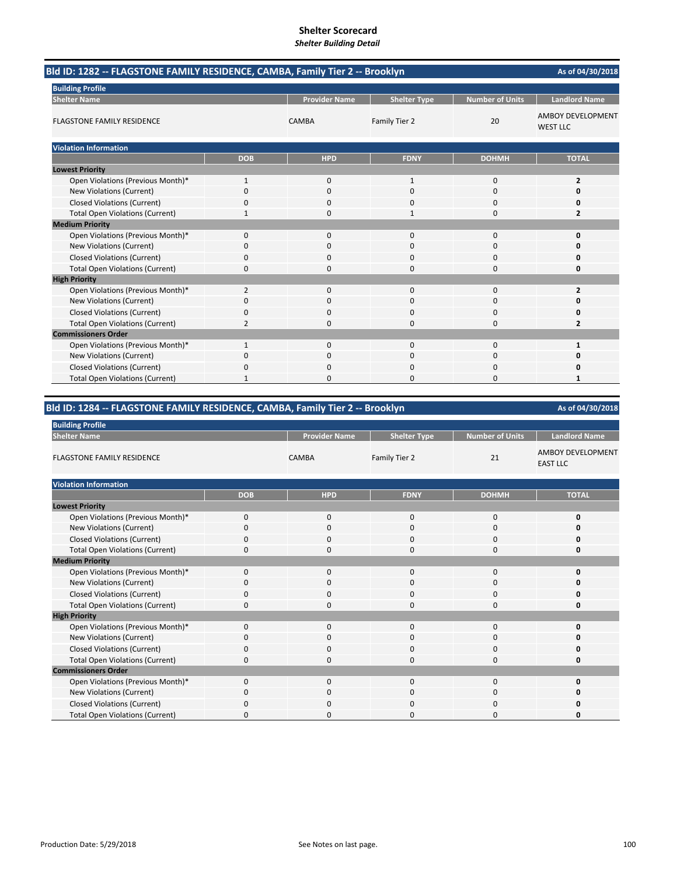| Bld ID: 1282 -- FLAGSTONE FAMILY RESIDENCE, CAMBA, Family Tier 2 -- Brooklyn |                |                      |                     |                        | As of 04/30/2018                            |
|------------------------------------------------------------------------------|----------------|----------------------|---------------------|------------------------|---------------------------------------------|
| <b>Building Profile</b>                                                      |                |                      |                     |                        |                                             |
| <b>Shelter Name</b>                                                          |                | <b>Provider Name</b> | <b>Shelter Type</b> | <b>Number of Units</b> | <b>Landlord Name</b>                        |
| <b>FLAGSTONE FAMILY RESIDENCE</b>                                            |                | <b>CAMBA</b>         | Family Tier 2       | 20                     | <b>AMBOY DEVELOPMENT</b><br><b>WEST LLC</b> |
| <b>Violation Information</b>                                                 |                |                      |                     |                        |                                             |
|                                                                              | <b>DOB</b>     | <b>HPD</b>           | <b>FDNY</b>         | <b>DOHMH</b>           | <b>TOTAL</b>                                |
| <b>Lowest Priority</b>                                                       |                |                      |                     |                        |                                             |
| Open Violations (Previous Month)*                                            | $\mathbf{1}$   | $\mathbf{0}$         | 1                   | 0                      | $\overline{2}$                              |
| <b>New Violations (Current)</b>                                              | 0              | $\Omega$             | $\Omega$            | $\Omega$               | 0                                           |
| <b>Closed Violations (Current)</b>                                           | 0              | 0                    | $\Omega$            | 0                      | 0                                           |
| <b>Total Open Violations (Current)</b>                                       | 1              | 0                    | 1                   | $\Omega$               | $\overline{2}$                              |
| <b>Medium Priority</b>                                                       |                |                      |                     |                        |                                             |
| Open Violations (Previous Month)*                                            | 0              | 0                    | $\Omega$            | 0                      | 0                                           |
| New Violations (Current)                                                     | 0              | 0                    | $\Omega$            | 0                      | 0                                           |
| <b>Closed Violations (Current)</b>                                           | 0              | 0                    | $\Omega$            | $\Omega$               | 0                                           |
| <b>Total Open Violations (Current)</b>                                       | 0              | 0                    | $\Omega$            | 0                      | 0                                           |
| <b>High Priority</b>                                                         |                |                      |                     |                        |                                             |
| Open Violations (Previous Month)*                                            | $\overline{2}$ | $\mathbf{0}$         | $\Omega$            | $\Omega$               | $\overline{2}$                              |
| New Violations (Current)                                                     | 0              | 0                    | $\Omega$            | 0                      | 0                                           |
| <b>Closed Violations (Current)</b>                                           | 0              | 0                    | $\Omega$            | 0                      | 0                                           |
| <b>Total Open Violations (Current)</b>                                       | 2              | $\Omega$             | $\Omega$            | $\Omega$               | $\overline{2}$                              |
| <b>Commissioners Order</b>                                                   |                |                      |                     |                        |                                             |
| Open Violations (Previous Month)*                                            | 1              | 0                    | $\Omega$            | 0                      | 1                                           |
| New Violations (Current)                                                     | 0              | 0                    | 0                   | 0                      | 0                                           |
| <b>Closed Violations (Current)</b>                                           | O              | ŋ                    | $\Omega$            | 0                      | O                                           |
| <b>Total Open Violations (Current)</b>                                       |                | ŋ                    | ŋ                   | O                      |                                             |

## **Bld ID: 1284 ‐‐ FLAGSTONE FAMILY RESIDENCE, CAMBA, Family Tier 2 ‐‐ Brooklyn**

| <b>Building Profile</b>                |             |                      |                     |                        |                                      |
|----------------------------------------|-------------|----------------------|---------------------|------------------------|--------------------------------------|
| <b>Shelter Name</b>                    |             | <b>Provider Name</b> | <b>Shelter Type</b> | <b>Number of Units</b> | <b>Landlord Name</b>                 |
| <b>FLAGSTONE FAMILY RESIDENCE</b>      |             | CAMBA                | Family Tier 2       | 21                     | AMBOY DEVELOPMENT<br><b>EAST LLC</b> |
| <b>Violation Information</b>           |             |                      |                     |                        |                                      |
|                                        | <b>DOB</b>  | <b>HPD</b>           | <b>FDNY</b>         | <b>DOHMH</b>           | <b>TOTAL</b>                         |
| <b>Lowest Priority</b>                 |             |                      |                     |                        |                                      |
| Open Violations (Previous Month)*      | $\mathbf 0$ | $\mathbf{0}$         | 0                   | 0                      | 0                                    |
| New Violations (Current)               | $\Omega$    | $\mathbf 0$          | 0                   | $\mathbf 0$            |                                      |
| <b>Closed Violations (Current)</b>     | $\mathbf 0$ | 0                    | 0                   | $\mathbf 0$            |                                      |
| <b>Total Open Violations (Current)</b> | 0           | $\Omega$             | 0                   | 0                      | o                                    |
| <b>Medium Priority</b>                 |             |                      |                     |                        |                                      |
| Open Violations (Previous Month)*      | $\mathbf 0$ | 0                    | 0                   | 0                      | Ω                                    |
| New Violations (Current)               | O           | 0                    | 0                   | 0                      |                                      |
| <b>Closed Violations (Current)</b>     | 0           | $\mathbf 0$          | 0                   | 0                      |                                      |
| <b>Total Open Violations (Current)</b> | $\Omega$    | $\Omega$             | 0                   | $\mathbf 0$            |                                      |
| <b>High Priority</b>                   |             |                      |                     |                        |                                      |
| Open Violations (Previous Month)*      | $\mathbf 0$ | $\mathbf{0}$         | 0                   | 0                      |                                      |
| New Violations (Current)               | $\Omega$    | $\Omega$             | 0                   | 0                      |                                      |
| <b>Closed Violations (Current)</b>     | 0           | $\mathbf 0$          | 0                   | 0                      |                                      |
| <b>Total Open Violations (Current)</b> | $\Omega$    | $\Omega$             | 0                   | $\mathbf 0$            | n                                    |
| <b>Commissioners Order</b>             |             |                      |                     |                        |                                      |
| Open Violations (Previous Month)*      | $\Omega$    | 0                    | 0                   | 0                      | 0                                    |
| New Violations (Current)               | $\Omega$    | $\Omega$             | 0                   | 0                      |                                      |
| <b>Closed Violations (Current)</b>     | 0           | 0                    | 0                   | 0                      |                                      |
| <b>Total Open Violations (Current)</b> | $\Omega$    | $\Omega$             | 0                   | 0                      |                                      |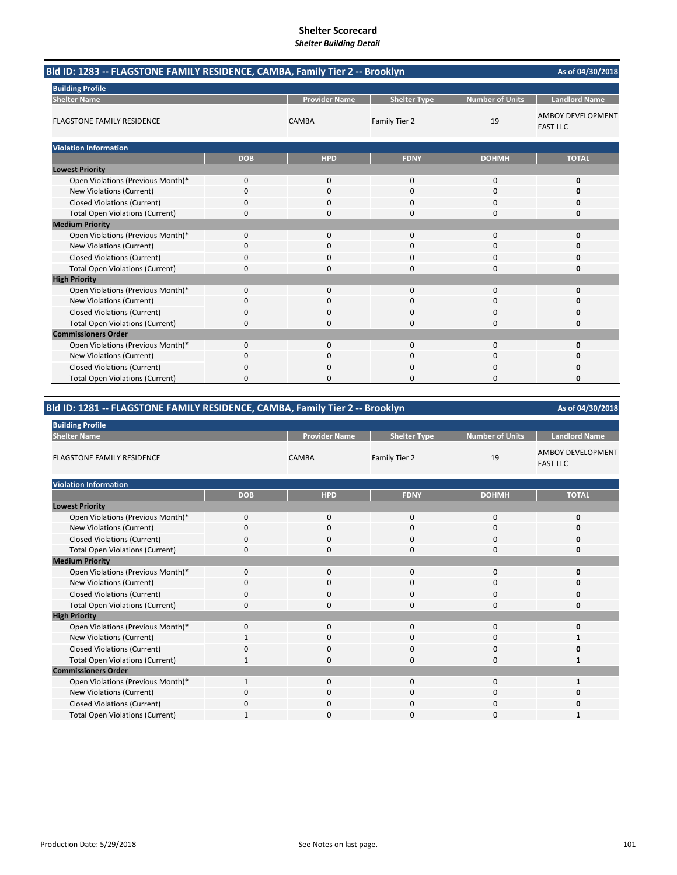| Bld ID: 1283 -- FLAGSTONE FAMILY RESIDENCE, CAMBA, Family Tier 2 -- Brooklyn |             |                      |                     |                        | As of 04/30/2018                            |
|------------------------------------------------------------------------------|-------------|----------------------|---------------------|------------------------|---------------------------------------------|
| <b>Building Profile</b>                                                      |             |                      |                     |                        |                                             |
| <b>Shelter Name</b>                                                          |             | <b>Provider Name</b> | <b>Shelter Type</b> | <b>Number of Units</b> | <b>Landlord Name</b>                        |
| <b>FLAGSTONE FAMILY RESIDENCE</b>                                            |             | CAMBA                | Family Tier 2       | 19                     | <b>AMBOY DEVELOPMENT</b><br><b>EAST LLC</b> |
| <b>Violation Information</b>                                                 |             |                      |                     |                        |                                             |
|                                                                              | <b>DOB</b>  | <b>HPD</b>           | <b>FDNY</b>         | <b>DOHMH</b>           | <b>TOTAL</b>                                |
| <b>Lowest Priority</b>                                                       |             |                      |                     |                        |                                             |
| Open Violations (Previous Month)*                                            | 0           | $\mathbf{0}$         | $\Omega$            | $\Omega$               | 0                                           |
| New Violations (Current)                                                     | 0           | 0                    | $\Omega$            | 0                      | O                                           |
| <b>Closed Violations (Current)</b>                                           | 0           | $\Omega$             | $\Omega$            | $\Omega$               | 0                                           |
| <b>Total Open Violations (Current)</b>                                       | 0           | <sup>0</sup>         | $\Omega$            | $\Omega$               | 0                                           |
| <b>Medium Priority</b>                                                       |             |                      |                     |                        |                                             |
| Open Violations (Previous Month)*                                            | 0           | $\Omega$             | $\Omega$            | 0                      | O                                           |
| New Violations (Current)                                                     | 0           | $\Omega$             | $\Omega$            | $\Omega$               | O                                           |
| <b>Closed Violations (Current)</b>                                           | 0           | $\Omega$             | $\Omega$            | $\Omega$               | O                                           |
| <b>Total Open Violations (Current)</b>                                       | 0           | 0                    | $\Omega$            | 0                      | 0                                           |
| <b>High Priority</b>                                                         |             |                      |                     |                        |                                             |
| Open Violations (Previous Month)*                                            | $\mathbf 0$ | $\mathbf 0$          | $\Omega$            | $\mathbf 0$            | 0                                           |
| New Violations (Current)                                                     | 0           | 0                    | $\Omega$            | 0                      | 0                                           |
| <b>Closed Violations (Current)</b>                                           | 0           | 0                    | 0                   | 0                      | 0                                           |
| <b>Total Open Violations (Current)</b>                                       | $\Omega$    | $\Omega$             | $\Omega$            | $\Omega$               | 0                                           |
| <b>Commissioners Order</b>                                                   |             |                      |                     |                        |                                             |
| Open Violations (Previous Month)*                                            | 0           | 0                    | 0                   | 0                      | 0                                           |
| New Violations (Current)                                                     | 0           | 0                    | $\Omega$            | 0                      | 0                                           |
| <b>Closed Violations (Current)</b>                                           | 0           | ŋ                    | 0                   | $\Omega$               | 0                                           |
| <b>Total Open Violations (Current)</b>                                       | 0           | 0                    | 0                   | O                      | 0                                           |

## **Bld ID: 1281 ‐‐ FLAGSTONE FAMILY RESIDENCE, CAMBA, Family Tier 2 ‐‐ Brooklyn**

| <b>Building Profile</b>                |              |                      |                     |                        |                                      |
|----------------------------------------|--------------|----------------------|---------------------|------------------------|--------------------------------------|
| <b>Shelter Name</b>                    |              | <b>Provider Name</b> | <b>Shelter Type</b> | <b>Number of Units</b> | <b>Landlord Name</b>                 |
| <b>FLAGSTONE FAMILY RESIDENCE</b>      |              | <b>CAMBA</b>         | Family Tier 2       | 19                     | AMBOY DEVELOPMENT<br><b>EAST LLC</b> |
| <b>Violation Information</b>           |              |                      |                     |                        |                                      |
|                                        | <b>DOB</b>   | <b>HPD</b>           | <b>FDNY</b>         | <b>DOHMH</b>           | <b>TOTAL</b>                         |
| <b>Lowest Priority</b>                 |              |                      |                     |                        |                                      |
| Open Violations (Previous Month)*      | $\mathbf 0$  | $\mathbf 0$          | $\mathbf{0}$        | 0                      | 0                                    |
| New Violations (Current)               | $\Omega$     | $\mathbf 0$          | 0                   | $\mathbf 0$            | Ω                                    |
| <b>Closed Violations (Current)</b>     | $\Omega$     | $\mathbf 0$          | 0                   | $\mathbf 0$            |                                      |
| <b>Total Open Violations (Current)</b> | $\Omega$     | 0                    | 0                   | $\mathbf 0$            | 0                                    |
| <b>Medium Priority</b>                 |              |                      |                     |                        |                                      |
| Open Violations (Previous Month)*      | $\Omega$     | $\mathbf 0$          | $\mathbf{0}$        | 0                      | <sup>0</sup>                         |
| New Violations (Current)               | 0            | 0                    | 0                   | 0                      |                                      |
| <b>Closed Violations (Current)</b>     | 0            | $\mathbf 0$          | 0                   | $\mathbf 0$            |                                      |
| <b>Total Open Violations (Current)</b> | $\Omega$     | $\Omega$             | $\Omega$            | $\mathbf 0$            | n                                    |
| <b>High Priority</b>                   |              |                      |                     |                        |                                      |
| Open Violations (Previous Month)*      | $\mathbf 0$  | $\mathbf 0$          | $\mathbf{0}$        | $\mathbf 0$            | O                                    |
| New Violations (Current)               |              | $\Omega$             | $\Omega$            | $\mathbf 0$            |                                      |
| <b>Closed Violations (Current)</b>     | 0            | $\mathbf 0$          | 0                   | $\mathbf 0$            |                                      |
| <b>Total Open Violations (Current)</b> | $\mathbf{1}$ | $\mathbf 0$          | 0                   | $\mathbf 0$            | 1                                    |
| <b>Commissioners Order</b>             |              |                      |                     |                        |                                      |
| Open Violations (Previous Month)*      | $\mathbf{1}$ | $\mathbf 0$          | 0                   | 0                      | 1                                    |
| New Violations (Current)               | $\Omega$     | $\Omega$             | $\Omega$            | 0                      |                                      |
| <b>Closed Violations (Current)</b>     | 0            | 0                    | 0                   | 0                      |                                      |
| <b>Total Open Violations (Current)</b> | 1            | $\Omega$             | $\Omega$            | 0                      |                                      |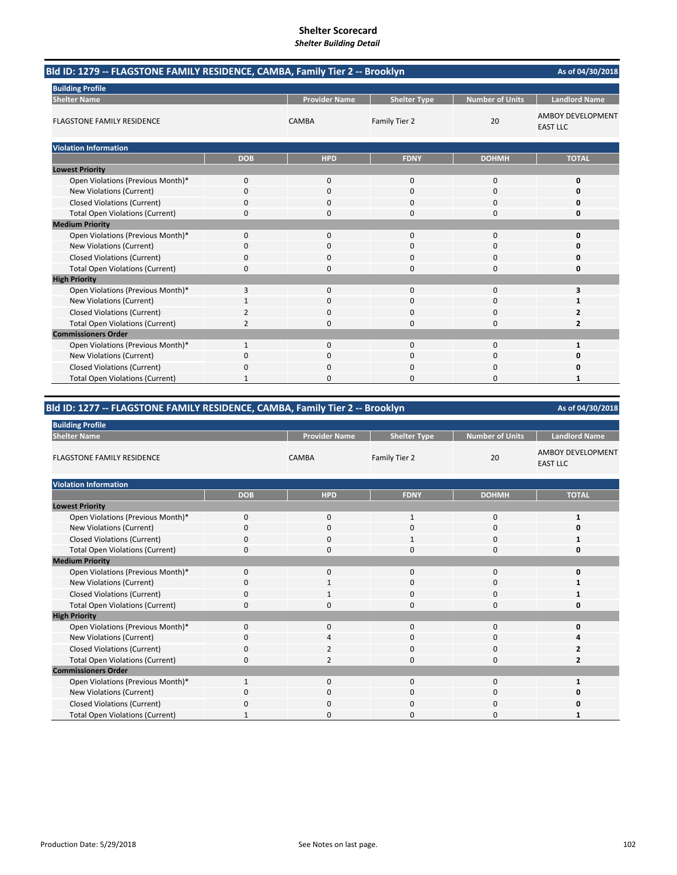| Bld ID: 1279 -- FLAGSTONE FAMILY RESIDENCE, CAMBA, Family Tier 2 -- Brooklyn |                |                      |                     |                        | As of 04/30/2018                            |
|------------------------------------------------------------------------------|----------------|----------------------|---------------------|------------------------|---------------------------------------------|
| <b>Building Profile</b>                                                      |                |                      |                     |                        |                                             |
| <b>Shelter Name</b>                                                          |                | <b>Provider Name</b> | <b>Shelter Type</b> | <b>Number of Units</b> | <b>Landlord Name</b>                        |
| <b>FLAGSTONE FAMILY RESIDENCE</b>                                            |                | CAMBA                | Family Tier 2       | 20                     | <b>AMBOY DEVELOPMENT</b><br><b>EAST LLC</b> |
| <b>Violation Information</b>                                                 |                |                      |                     |                        |                                             |
|                                                                              | <b>DOB</b>     | <b>HPD</b>           | <b>FDNY</b>         | <b>DOHMH</b>           | <b>TOTAL</b>                                |
| <b>Lowest Priority</b>                                                       |                |                      |                     |                        |                                             |
| Open Violations (Previous Month)*                                            | 0              | $\mathbf{0}$         | $\Omega$            | $\Omega$               | 0                                           |
| New Violations (Current)                                                     | 0              | 0                    | $\Omega$            | 0                      | O                                           |
| <b>Closed Violations (Current)</b>                                           | 0              | $\Omega$             | $\Omega$            | $\Omega$               | 0                                           |
| <b>Total Open Violations (Current)</b>                                       | 0              | <sup>0</sup>         | $\Omega$            | $\Omega$               | 0                                           |
| <b>Medium Priority</b>                                                       |                |                      |                     |                        |                                             |
| Open Violations (Previous Month)*                                            | 0              | $\Omega$             | $\Omega$            | 0                      | O                                           |
| New Violations (Current)                                                     | 0              | $\Omega$             | $\Omega$            | 0                      | O                                           |
| <b>Closed Violations (Current)</b>                                           | 0              | $\Omega$             | $\Omega$            | 0                      | O                                           |
| <b>Total Open Violations (Current)</b>                                       | 0              | 0                    | $\Omega$            | 0                      | 0                                           |
| <b>High Priority</b>                                                         |                |                      |                     |                        |                                             |
| Open Violations (Previous Month)*                                            | 3              | $\mathbf 0$          | $\Omega$            | $\mathbf 0$            | 3                                           |
| New Violations (Current)                                                     | 1              | 0                    | $\Omega$            | 0                      | 1                                           |
| <b>Closed Violations (Current)</b>                                           | $\overline{2}$ | 0                    | 0                   | 0                      | 2                                           |
| <b>Total Open Violations (Current)</b>                                       | $\overline{2}$ | $\Omega$             | $\Omega$            | $\Omega$               | $\overline{2}$                              |
| <b>Commissioners Order</b>                                                   |                |                      |                     |                        |                                             |
| Open Violations (Previous Month)*                                            | 1              | 0                    | 0                   | 0                      | 1                                           |
| New Violations (Current)                                                     | 0              | 0                    | $\Omega$            | 0                      | 0                                           |
| <b>Closed Violations (Current)</b>                                           | 0              | ŋ                    | 0                   | $\Omega$               | Ω                                           |
| <b>Total Open Violations (Current)</b>                                       |                | 0                    | 0                   | O                      |                                             |

## **Bld ID: 1277 ‐‐ FLAGSTONE FAMILY RESIDENCE, CAMBA, Family Tier 2 ‐‐ Brooklyn**

| <b>Building Profile</b>                |             |                      |                     |                        |                                      |
|----------------------------------------|-------------|----------------------|---------------------|------------------------|--------------------------------------|
| <b>Shelter Name</b>                    |             | <b>Provider Name</b> | <b>Shelter Type</b> | <b>Number of Units</b> | <b>Landlord Name</b>                 |
| <b>FLAGSTONE FAMILY RESIDENCE</b>      |             | <b>CAMBA</b>         | Family Tier 2       | 20                     | AMBOY DEVELOPMENT<br><b>EAST LLC</b> |
| <b>Violation Information</b>           |             |                      |                     |                        |                                      |
|                                        | <b>DOB</b>  | <b>HPD</b>           | <b>FDNY</b>         | <b>DOHMH</b>           | <b>TOTAL</b>                         |
| <b>Lowest Priority</b>                 |             |                      |                     |                        |                                      |
| Open Violations (Previous Month)*      | $\mathbf 0$ | $\mathbf{0}$         | 1                   | 0                      | 1                                    |
| New Violations (Current)               | $\Omega$    | $\mathbf 0$          | 0                   | $\mathbf 0$            | o                                    |
| <b>Closed Violations (Current)</b>     | $\mathbf 0$ | $\mathbf{0}$         | $\mathbf{1}$        | $\mathbf 0$            |                                      |
| <b>Total Open Violations (Current)</b> | $\mathbf 0$ | $\mathbf 0$          | 0                   | $\mathbf 0$            | 0                                    |
| <b>Medium Priority</b>                 |             |                      |                     |                        |                                      |
| Open Violations (Previous Month)*      | $\Omega$    | 0                    | $\mathbf 0$         | 0                      | O                                    |
| New Violations (Current)               | 0           | 1                    | 0                   | 0                      |                                      |
| <b>Closed Violations (Current)</b>     | 0           | $\mathbf{1}$         | 0                   | $\mathbf 0$            |                                      |
| <b>Total Open Violations (Current)</b> | $\Omega$    | $\Omega$             | 0                   | $\mathbf 0$            |                                      |
| <b>High Priority</b>                   |             |                      |                     |                        |                                      |
| Open Violations (Previous Month)*      | $\mathbf 0$ | $\mathbf{0}$         | 0                   | 0                      | Ω                                    |
| New Violations (Current)               | $\Omega$    | Δ                    | 0                   | $\mathbf 0$            |                                      |
| <b>Closed Violations (Current)</b>     | 0           | 2                    | 0                   | $\mathbf 0$            |                                      |
| <b>Total Open Violations (Current)</b> | $\Omega$    | $\overline{2}$       | 0                   | $\mathbf 0$            | $\overline{2}$                       |
| <b>Commissioners Order</b>             |             |                      |                     |                        |                                      |
| Open Violations (Previous Month)*      | 1           | $\mathbf{0}$         | 0                   | $\mathbf 0$            | 1                                    |
| New Violations (Current)               | $\Omega$    | $\Omega$             | 0                   | 0                      |                                      |
| <b>Closed Violations (Current)</b>     | 0           | 0                    | 0                   | 0                      |                                      |
| <b>Total Open Violations (Current)</b> | 1           | $\Omega$             | 0                   | 0                      |                                      |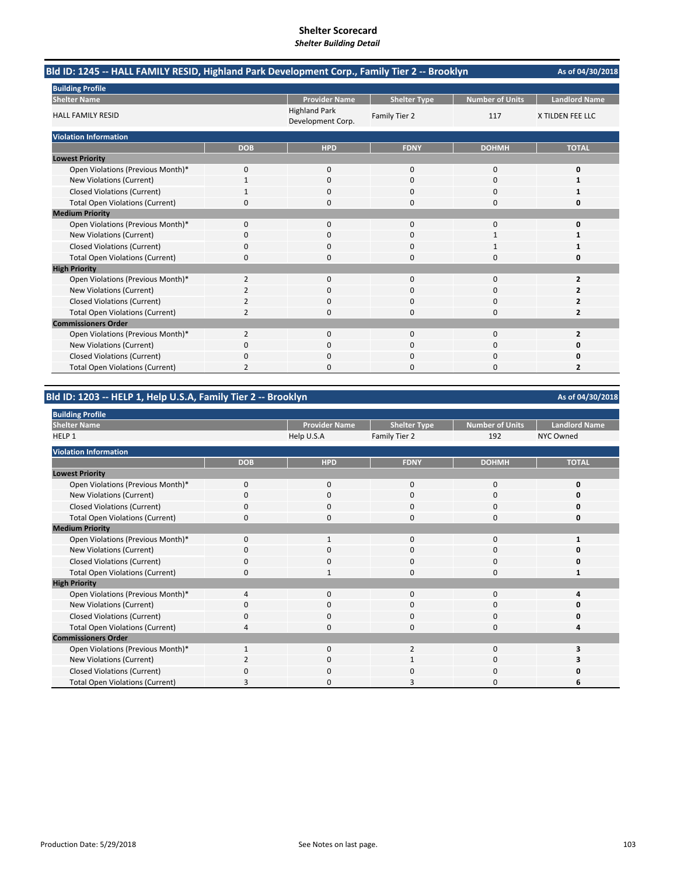| Bld ID: 1245 -- HALL FAMILY RESID, Highland Park Development Corp., Family Tier 2 -- Brooklyn |                |                                           |                     |                        | As of 04/30/2018     |
|-----------------------------------------------------------------------------------------------|----------------|-------------------------------------------|---------------------|------------------------|----------------------|
| <b>Building Profile</b>                                                                       |                |                                           |                     |                        |                      |
| <b>Shelter Name</b>                                                                           |                | <b>Provider Name</b>                      | <b>Shelter Type</b> | <b>Number of Units</b> | <b>Landlord Name</b> |
| <b>HALL FAMILY RESID</b>                                                                      |                | <b>Highland Park</b><br>Development Corp. | Family Tier 2       | 117                    | X TILDEN FEE LLC     |
| <b>Violation Information</b>                                                                  |                |                                           |                     |                        |                      |
|                                                                                               | <b>DOB</b>     | <b>HPD</b>                                | <b>FDNY</b>         | <b>DOHMH</b>           | <b>TOTAL</b>         |
| <b>Lowest Priority</b>                                                                        |                |                                           |                     |                        |                      |
| Open Violations (Previous Month)*                                                             | 0              | 0                                         | $\mathbf{0}$        | 0                      | 0                    |
| New Violations (Current)                                                                      |                | $\Omega$                                  | $\Omega$            | $\Omega$               |                      |
| <b>Closed Violations (Current)</b>                                                            |                | 0                                         | O                   | 0                      | 1                    |
| <b>Total Open Violations (Current)</b>                                                        | 0              | $\Omega$                                  | $\Omega$            | $\Omega$               | 0                    |
| <b>Medium Priority</b>                                                                        |                |                                           |                     |                        |                      |
| Open Violations (Previous Month)*                                                             | $\Omega$       | $\Omega$                                  | $\Omega$            | $\Omega$               | O                    |
| New Violations (Current)                                                                      | 0              | 0                                         | O                   | 1                      |                      |
| <b>Closed Violations (Current)</b>                                                            | 0              | 0                                         | $\Omega$            | 1                      |                      |
| <b>Total Open Violations (Current)</b>                                                        | 0              | $\Omega$                                  | 0                   | $\Omega$               | O                    |
| <b>High Priority</b>                                                                          |                |                                           |                     |                        |                      |
| Open Violations (Previous Month)*                                                             | 2              | $\Omega$                                  | $\Omega$            | $\Omega$               | $\overline{2}$       |
| New Violations (Current)                                                                      | 2              | $\Omega$                                  | $\Omega$            | $\Omega$               | 2                    |
| <b>Closed Violations (Current)</b>                                                            | $\overline{2}$ | 0                                         | 0                   | $\Omega$               | 2                    |
| <b>Total Open Violations (Current)</b>                                                        | 2              | $\Omega$                                  | $\Omega$            | $\Omega$               | 2                    |
| <b>Commissioners Order</b>                                                                    |                |                                           |                     |                        |                      |
| Open Violations (Previous Month)*                                                             | $\overline{2}$ | $\Omega$                                  | $\Omega$            | $\Omega$               | $\overline{2}$       |
| New Violations (Current)                                                                      | 0              | 0                                         | 0                   | 0                      | Ω                    |
| <b>Closed Violations (Current)</b>                                                            | 0              | $\Omega$                                  | $\Omega$            | 0                      | 0                    |
| <b>Total Open Violations (Current)</b>                                                        | $\overline{2}$ | $\Omega$                                  | O                   | $\Omega$               | 2                    |

## **Bld ID: 1203 ‐‐ HELP 1, Help U.S.A, Family Tier 2 ‐‐ Brooklyn**

| <b>Building Profile</b>                |             |                      |                     |                        |                      |
|----------------------------------------|-------------|----------------------|---------------------|------------------------|----------------------|
| <b>Shelter Name</b>                    |             | <b>Provider Name</b> | <b>Shelter Type</b> | <b>Number of Units</b> | <b>Landlord Name</b> |
| HELP <sub>1</sub>                      |             | Help U.S.A           | Family Tier 2       | 192                    | <b>NYC Owned</b>     |
| <b>Violation Information</b>           |             |                      |                     |                        |                      |
|                                        | <b>DOB</b>  | <b>HPD</b>           | <b>FDNY</b>         | <b>DOHMH</b>           | <b>TOTAL</b>         |
| <b>Lowest Priority</b>                 |             |                      |                     |                        |                      |
| Open Violations (Previous Month)*      | $\mathbf 0$ | $\mathbf{0}$         | $\mathbf{0}$        | 0                      | 0                    |
| New Violations (Current)               | $\Omega$    | 0                    | 0                   | 0                      | ŋ                    |
| <b>Closed Violations (Current)</b>     | 0           | $\mathbf 0$          | $\Omega$            | 0                      | 0                    |
| <b>Total Open Violations (Current)</b> | 0           | 0                    | 0                   | 0                      | 0                    |
| <b>Medium Priority</b>                 |             |                      |                     |                        |                      |
| Open Violations (Previous Month)*      | $\Omega$    |                      | 0                   | 0                      |                      |
| New Violations (Current)               | $\Omega$    | $\mathbf 0$          | $\Omega$            | $\Omega$               | ŋ                    |
| <b>Closed Violations (Current)</b>     | $\Omega$    | $\mathbf 0$          | $\Omega$            | 0                      | ŋ                    |
| <b>Total Open Violations (Current)</b> | $\Omega$    | 1                    | $\Omega$            | $\Omega$               | 1                    |
| <b>High Priority</b>                   |             |                      |                     |                        |                      |
| Open Violations (Previous Month)*      | Δ           | $\mathbf 0$          | $\Omega$            | 0                      |                      |
| New Violations (Current)               | O           | 0                    | C                   | 0                      |                      |
| <b>Closed Violations (Current)</b>     | $\Omega$    | $\Omega$             | $\Omega$            | 0                      | Ω                    |
| <b>Total Open Violations (Current)</b> |             | O                    | O                   | 0                      |                      |
| <b>Commissioners Order</b>             |             |                      |                     |                        |                      |
| Open Violations (Previous Month)*      |             | $\Omega$             | $\overline{2}$      | $\Omega$               | ર                    |
| New Violations (Current)               |             | $\mathbf 0$          | 1                   | 0                      |                      |
| <b>Closed Violations (Current)</b>     | n           | $\Omega$             | n                   | O                      | n                    |
| <b>Total Open Violations (Current)</b> |             | 0                    |                     | 0                      | 6                    |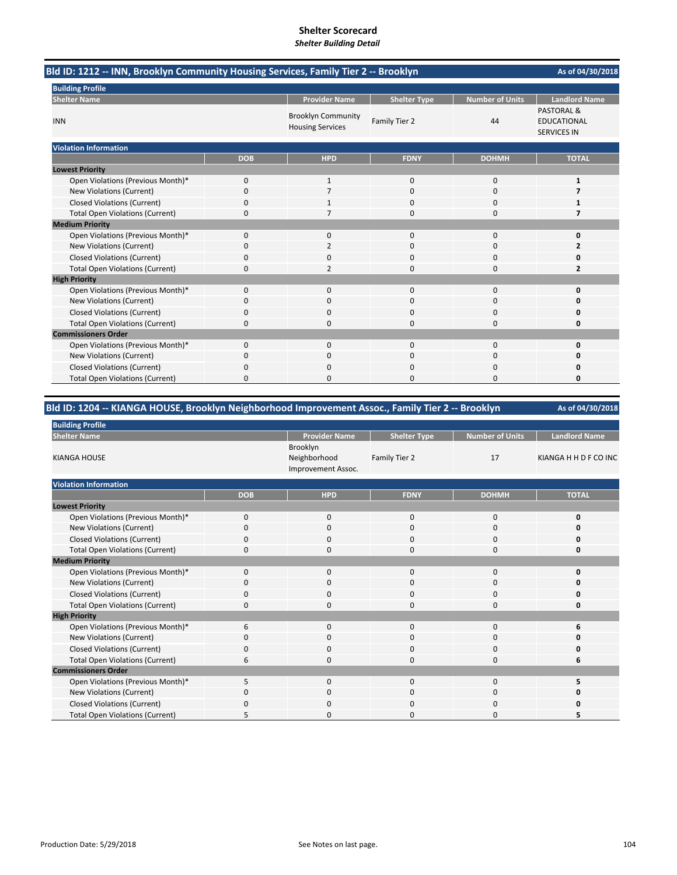# **Shelter Scorecard**

| <b>Shelter Building Detail</b> |  |
|--------------------------------|--|
|--------------------------------|--|

| Bld ID: 1212 -- INN, Brooklyn Community Housing Services, Family Tier 2 -- Brooklyn<br>As of 04/30/2018 |             |                                                      |                     |                        |                                                                   |
|---------------------------------------------------------------------------------------------------------|-------------|------------------------------------------------------|---------------------|------------------------|-------------------------------------------------------------------|
| <b>Building Profile</b>                                                                                 |             |                                                      |                     |                        |                                                                   |
| <b>Shelter Name</b>                                                                                     |             | <b>Provider Name</b>                                 | <b>Shelter Type</b> | <b>Number of Units</b> | <b>Landlord Name</b>                                              |
| <b>INN</b>                                                                                              |             | <b>Brooklyn Community</b><br><b>Housing Services</b> | Family Tier 2       | 44                     | <b>PASTORAL &amp;</b><br><b>EDUCATIONAL</b><br><b>SERVICES IN</b> |
| <b>Violation Information</b>                                                                            |             |                                                      |                     |                        |                                                                   |
|                                                                                                         | <b>DOB</b>  | <b>HPD</b>                                           | <b>FDNY</b>         | <b>DOHMH</b>           | <b>TOTAL</b>                                                      |
| <b>Lowest Priority</b>                                                                                  |             |                                                      |                     |                        |                                                                   |
| Open Violations (Previous Month)*                                                                       | $\mathbf 0$ | $\mathbf{1}$                                         | $\mathbf{0}$        | $\bf 0$                | $\mathbf{1}$                                                      |
| New Violations (Current)                                                                                | 0           | 7                                                    | 0                   | 0                      | 7                                                                 |
| <b>Closed Violations (Current)</b>                                                                      | 0           | 1                                                    | 0                   | 0                      | 1                                                                 |
| <b>Total Open Violations (Current)</b>                                                                  | 0           | 7                                                    | $\Omega$            | $\mathbf 0$            | 7                                                                 |
| <b>Medium Priority</b>                                                                                  |             |                                                      |                     |                        |                                                                   |
| Open Violations (Previous Month)*                                                                       | 0           | $\mathbf{0}$                                         | $\Omega$            | 0                      | 0                                                                 |
| New Violations (Current)                                                                                | 0           | $\overline{2}$                                       | 0                   | 0                      | 2                                                                 |
| <b>Closed Violations (Current)</b>                                                                      | 0           | 0                                                    | $\Omega$            | 0                      | Ω                                                                 |
| <b>Total Open Violations (Current)</b>                                                                  | 0           | $\overline{2}$                                       | $\Omega$            | $\bf 0$                | $\overline{2}$                                                    |
| <b>High Priority</b>                                                                                    |             |                                                      |                     |                        |                                                                   |
| Open Violations (Previous Month)*                                                                       | 0           | $\mathbf{0}$                                         | $\mathbf 0$         | 0                      | 0                                                                 |
| <b>New Violations (Current)</b>                                                                         | 0           | 0                                                    | $\Omega$            | 0                      | Ω                                                                 |
| <b>Closed Violations (Current)</b>                                                                      | 0           | 0                                                    | 0                   | 0                      | 0                                                                 |
| <b>Total Open Violations (Current)</b>                                                                  | 0           | 0                                                    | 0                   | $\mathbf 0$            | 0                                                                 |
| <b>Commissioners Order</b>                                                                              |             |                                                      |                     |                        |                                                                   |
| Open Violations (Previous Month)*                                                                       | 0           | $\mathbf{0}$                                         | $\mathbf 0$         | $\mathbf 0$            | 0                                                                 |
| New Violations (Current)                                                                                | 0           | 0                                                    | $\Omega$            | 0                      | 0                                                                 |
| <b>Closed Violations (Current)</b>                                                                      | 0           | $\mathbf{0}$                                         | 0                   | 0                      | 0                                                                 |
| <b>Total Open Violations (Current)</b>                                                                  | 0           | $\mathbf{0}$                                         | $\Omega$            | $\mathbf 0$            | 0                                                                 |

| Bld ID: 1204 -- KIANGA HOUSE, Brooklyn Neighborhood Improvement Assoc., Family Tier 2 -- Brooklyn |                      |                     |                        |                      |
|---------------------------------------------------------------------------------------------------|----------------------|---------------------|------------------------|----------------------|
| <b>Building Profile</b>                                                                           |                      |                     |                        |                      |
| <b>Shelter Name</b>                                                                               | <b>Provider Name</b> | <b>Shelter Type</b> | <b>Number of Units</b> | <b>Landlord Name</b> |
|                                                                                                   | Brooklyn             |                     |                        |                      |

| <b>KIANGA HOUSE</b>                    |             | <b>PIUUNI</b> II<br>Neighborhood<br>Improvement Assoc. | Family Tier 2 | 17           | KIANGA H H D F CO INC |
|----------------------------------------|-------------|--------------------------------------------------------|---------------|--------------|-----------------------|
| <b>Violation Information</b>           |             |                                                        |               |              |                       |
|                                        | <b>DOB</b>  | <b>HPD</b>                                             | <b>FDNY</b>   | <b>DOHMH</b> | <b>TOTAL</b>          |
| <b>Lowest Priority</b>                 |             |                                                        |               |              |                       |
| Open Violations (Previous Month)*      | $\mathbf 0$ | $\mathbf{0}$                                           | 0             | $\mathbf 0$  |                       |
| New Violations (Current)               | $\Omega$    | $\mathbf 0$                                            | 0             | 0            |                       |
| <b>Closed Violations (Current)</b>     |             | $\Omega$                                               | 0             | 0            |                       |
| <b>Total Open Violations (Current)</b> | 0           | 0                                                      | 0             | 0            |                       |
| <b>Medium Priority</b>                 |             |                                                        |               |              |                       |
| Open Violations (Previous Month)*      | $\Omega$    | 0                                                      | 0             | $\mathbf 0$  |                       |
| New Violations (Current)               |             | O                                                      | 0             | 0            |                       |
| <b>Closed Violations (Current)</b>     | O           | 0                                                      | 0             | 0            |                       |
| <b>Total Open Violations (Current)</b> |             | $\Omega$                                               | 0             | $\Omega$     |                       |
| <b>High Priority</b>                   |             |                                                        |               |              |                       |
| Open Violations (Previous Month)*      | 6           | $\Omega$                                               | 0             | 0            |                       |
| New Violations (Current)               | O           | $\Omega$                                               | 0             | 0            |                       |
| <b>Closed Violations (Current)</b>     | 0           | 0                                                      | 0             | 0            |                       |
| <b>Total Open Violations (Current)</b> | 6           | $\mathbf 0$                                            | 0             | $\mathbf 0$  | 6                     |
| <b>Commissioners Order</b>             |             |                                                        |               |              |                       |
| Open Violations (Previous Month)*      | 5           | $\mathbf 0$                                            | 0             | 0            |                       |
| New Violations (Current)               |             | 0                                                      | 0             | 0            |                       |
| <b>Closed Violations (Current)</b>     | O           | $\mathbf 0$                                            | 0             | 0            |                       |
| <b>Total Open Violations (Current)</b> |             | 0                                                      | 0             | 0            |                       |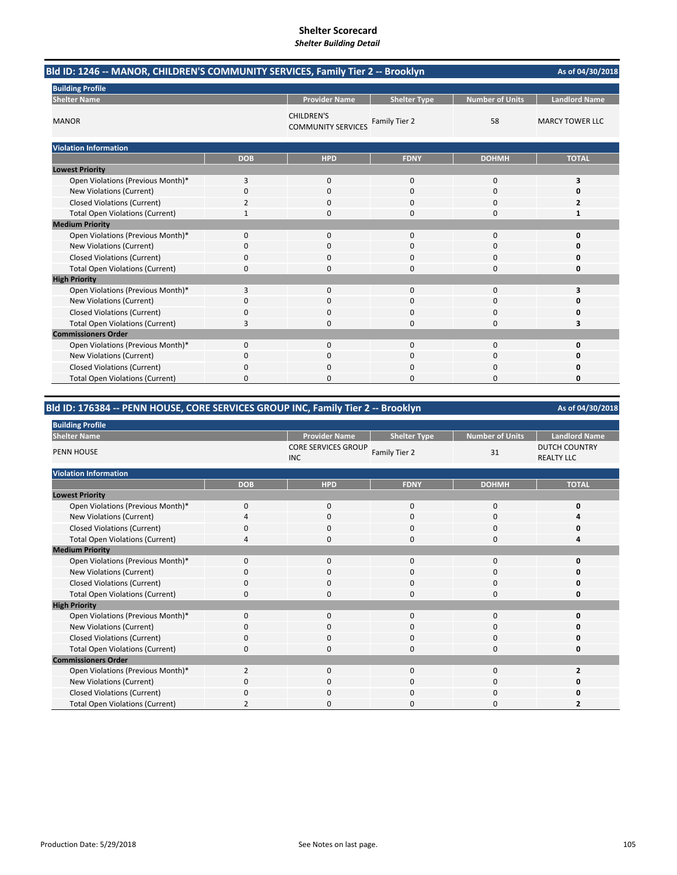| Bld ID: 1246 -- MANOR, CHILDREN'S COMMUNITY SERVICES, Family Tier 2 -- Brooklyn |              |                                                |                     |                        | As of 04/30/2018       |
|---------------------------------------------------------------------------------|--------------|------------------------------------------------|---------------------|------------------------|------------------------|
| <b>Building Profile</b>                                                         |              |                                                |                     |                        |                        |
| <b>Shelter Name</b>                                                             |              | <b>Provider Name</b>                           | <b>Shelter Type</b> | <b>Number of Units</b> | <b>Landlord Name</b>   |
| <b>MANOR</b>                                                                    |              | <b>CHILDREN'S</b><br><b>COMMUNITY SERVICES</b> | Family Tier 2       | 58                     | <b>MARCY TOWER LLC</b> |
| <b>Violation Information</b>                                                    |              |                                                |                     |                        |                        |
|                                                                                 | <b>DOB</b>   | <b>HPD</b>                                     | <b>FDNY</b>         | <b>DOHMH</b>           | <b>TOTAL</b>           |
| <b>Lowest Priority</b>                                                          |              |                                                |                     |                        |                        |
| Open Violations (Previous Month)*                                               | 3            | $\mathbf{0}$                                   | $\mathbf 0$         | 0                      | 3                      |
| New Violations (Current)                                                        | 0            | 0                                              | 0                   | 0                      | 0                      |
| <b>Closed Violations (Current)</b>                                              | 2            | $\Omega$                                       | $\Omega$            | $\Omega$               | 2                      |
| <b>Total Open Violations (Current)</b>                                          | $\mathbf{1}$ | 0                                              | 0                   | 0                      | 1                      |
| <b>Medium Priority</b>                                                          |              |                                                |                     |                        |                        |
| Open Violations (Previous Month)*                                               | 0            | $\mathbf{0}$                                   | $\mathbf 0$         | 0                      | 0                      |
| New Violations (Current)                                                        | 0            | 0                                              | 0                   | $\Omega$               | O                      |
| <b>Closed Violations (Current)</b>                                              | 0            | 0                                              | 0                   | 0                      | 0                      |
| <b>Total Open Violations (Current)</b>                                          | 0            | 0                                              | $\Omega$            | $\Omega$               | 0                      |
| <b>High Priority</b>                                                            |              |                                                |                     |                        |                        |
| Open Violations (Previous Month)*                                               | 3            | 0                                              | 0                   | 0                      | 3                      |
| <b>New Violations (Current)</b>                                                 | 0            | 0                                              | $\Omega$            | 0                      | Ω                      |
| <b>Closed Violations (Current)</b>                                              | 0            | 0                                              | $\Omega$            | 0                      | n                      |
| <b>Total Open Violations (Current)</b>                                          | 3            | 0                                              | $\Omega$            | 0                      | 3                      |
| <b>Commissioners Order</b>                                                      |              |                                                |                     |                        |                        |
| Open Violations (Previous Month)*                                               | 0            | $\mathbf{0}$                                   | $\mathbf 0$         | $\mathbf 0$            | 0                      |
| New Violations (Current)                                                        | 0            | 0                                              | 0                   | 0                      | 0                      |
| <b>Closed Violations (Current)</b>                                              | 0            | 0                                              | $\Omega$            | 0                      | 0                      |
| <b>Total Open Violations (Current)</b>                                          | 0            | O                                              | $\Omega$            | 0                      | 0                      |

# **Bld ID: 176384 ‐‐ PENN HOUSE, CORE SERVICES GROUP INC, Family Tier 2 ‐‐ Brooklyn**

| <b>Building Profile</b>                |                |                                          |                     |                        |                                           |
|----------------------------------------|----------------|------------------------------------------|---------------------|------------------------|-------------------------------------------|
| <b>Shelter Name</b>                    |                | <b>Provider Name</b>                     | <b>Shelter Type</b> | <b>Number of Units</b> | <b>Landlord Name</b>                      |
| <b>PENN HOUSE</b>                      |                | <b>CORE SERVICES GROUP</b><br><b>INC</b> | Family Tier 2       | 31                     | <b>DUTCH COUNTRY</b><br><b>REALTY LLC</b> |
| <b>Violation Information</b>           |                |                                          |                     |                        |                                           |
|                                        | <b>DOB</b>     | <b>HPD</b>                               | <b>FDNY</b>         | <b>DOHMH</b>           | <b>TOTAL</b>                              |
| <b>Lowest Priority</b>                 |                |                                          |                     |                        |                                           |
| Open Violations (Previous Month)*      | $\mathbf 0$    | $\mathbf 0$                              | 0                   | 0                      |                                           |
| New Violations (Current)               |                | $\Omega$                                 | 0                   | 0                      |                                           |
| <b>Closed Violations (Current)</b>     | 0              | $\Omega$                                 | 0                   | 0                      |                                           |
| <b>Total Open Violations (Current)</b> | Δ              | $\Omega$                                 | $\Omega$            | $\Omega$               |                                           |
| <b>Medium Priority</b>                 |                |                                          |                     |                        |                                           |
| Open Violations (Previous Month)*      | $\Omega$       | $\Omega$                                 | $\Omega$            | 0                      |                                           |
| New Violations (Current)               | 0              | 0                                        | 0                   | 0                      |                                           |
| <b>Closed Violations (Current)</b>     | $\Omega$       | $\Omega$                                 | $\Omega$            | $\mathbf 0$            |                                           |
| <b>Total Open Violations (Current)</b> | 0              | $\Omega$                                 | 0                   | $\mathbf 0$            |                                           |
| <b>High Priority</b>                   |                |                                          |                     |                        |                                           |
| Open Violations (Previous Month)*      | $\Omega$       | $\Omega$                                 | $\mathbf 0$         | $\mathbf 0$            |                                           |
| New Violations (Current)               | $\Omega$       | $\Omega$                                 | 0                   | 0                      |                                           |
| <b>Closed Violations (Current)</b>     | $\Omega$       | $\Omega$                                 | 0                   | 0                      |                                           |
| <b>Total Open Violations (Current)</b> | 0              | 0                                        | 0                   | 0                      |                                           |
| <b>Commissioners Order</b>             |                |                                          |                     |                        |                                           |
| Open Violations (Previous Month)*      | $\overline{2}$ | $\Omega$                                 | $\Omega$            | $\Omega$               | $\overline{2}$                            |
| New Violations (Current)               | 0              | $\mathbf 0$                              | 0                   | 0                      |                                           |
| <b>Closed Violations (Current)</b>     | $\Omega$       | 0                                        | 0                   | $\mathbf 0$            |                                           |
| <b>Total Open Violations (Current)</b> |                | <sup>0</sup>                             | ŋ                   | $\Omega$               |                                           |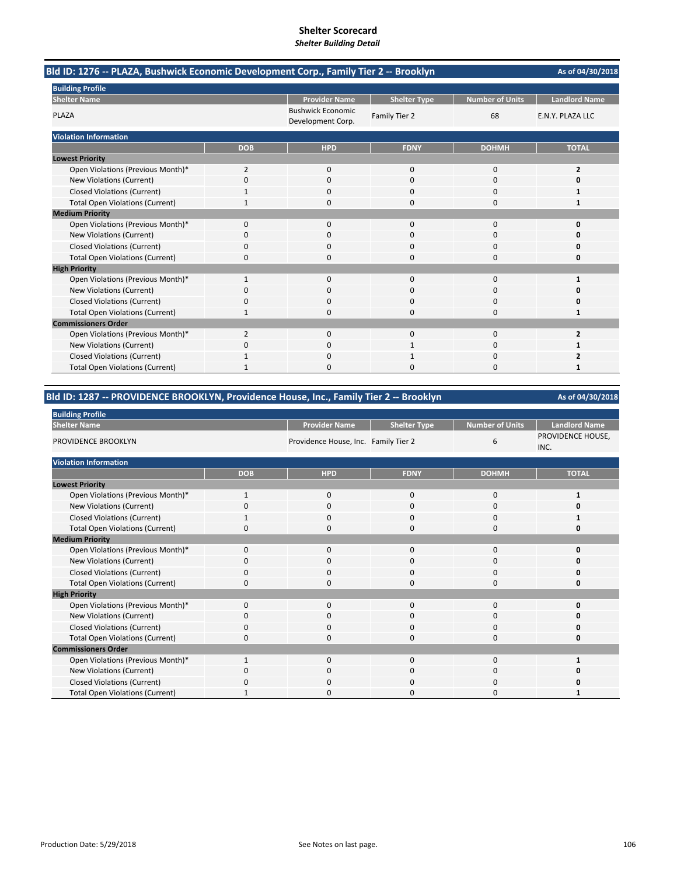| Bld ID: 1276 -- PLAZA, Bushwick Economic Development Corp., Family Tier 2 -- Brooklyn |                |                                               |                     |                        | As of 04/30/2018     |
|---------------------------------------------------------------------------------------|----------------|-----------------------------------------------|---------------------|------------------------|----------------------|
| <b>Building Profile</b>                                                               |                |                                               |                     |                        |                      |
| <b>Shelter Name</b>                                                                   |                | <b>Provider Name</b>                          | <b>Shelter Type</b> | <b>Number of Units</b> | <b>Landlord Name</b> |
| PLAZA                                                                                 |                | <b>Bushwick Economic</b><br>Development Corp. | Family Tier 2       | 68                     | E.N.Y. PLAZA LLC     |
| <b>Violation Information</b>                                                          |                |                                               |                     |                        |                      |
|                                                                                       | <b>DOB</b>     | <b>HPD</b>                                    | <b>FDNY</b>         | <b>DOHMH</b>           | <b>TOTAL</b>         |
| <b>Lowest Priority</b>                                                                |                |                                               |                     |                        |                      |
| Open Violations (Previous Month)*                                                     | $\overline{2}$ | $\mathbf{0}$                                  | $\mathbf 0$         | 0                      | $\overline{2}$       |
| New Violations (Current)                                                              | 0              | $\Omega$                                      | $\Omega$            | $\Omega$               | 0                    |
| <b>Closed Violations (Current)</b>                                                    |                | 0                                             | 0                   | 0                      | 1                    |
| <b>Total Open Violations (Current)</b>                                                |                | $\Omega$                                      | $\Omega$            | 0                      | 1                    |
| <b>Medium Priority</b>                                                                |                |                                               |                     |                        |                      |
| Open Violations (Previous Month)*                                                     | $\Omega$       | $\Omega$                                      | $\Omega$            | $\Omega$               | $\Omega$             |
| New Violations (Current)                                                              | 0              | 0                                             | 0                   | 0                      | n                    |
| <b>Closed Violations (Current)</b>                                                    | 0              | 0                                             | 0                   | 0                      | 0                    |
| <b>Total Open Violations (Current)</b>                                                | $\Omega$       | $\Omega$                                      | $\Omega$            | $\Omega$               | 0                    |
| <b>High Priority</b>                                                                  |                |                                               |                     |                        |                      |
| Open Violations (Previous Month)*                                                     | $\mathbf{1}$   | $\Omega$                                      | $\Omega$            | $\Omega$               | 1                    |
| New Violations (Current)                                                              | 0              | $\Omega$                                      | $\Omega$            | $\Omega$               | O                    |
| <b>Closed Violations (Current)</b>                                                    | 0              | 0                                             | $\Omega$            | 0                      | 0                    |
| <b>Total Open Violations (Current)</b>                                                | 1              | 0                                             | 0                   | 0                      | 1                    |
| <b>Commissioners Order</b>                                                            |                |                                               |                     |                        |                      |
| Open Violations (Previous Month)*                                                     | $\overline{2}$ | $\Omega$                                      | $\Omega$            | $\Omega$               | $\overline{2}$       |
| New Violations (Current)                                                              | 0              | 0                                             |                     | $\Omega$               | 1                    |
| <b>Closed Violations (Current)</b>                                                    |                | 0                                             |                     | 0                      |                      |
| <b>Total Open Violations (Current)</b>                                                |                | n                                             | ი                   | O                      | 1                    |

## **Bld ID: 1287 ‐‐ PROVIDENCE BROOKLYN, Providence House, Inc., Family Tier 2 ‐‐ Brooklyn**

| <b>Building Profile</b>                |             |                                      |                     |                        |                           |  |  |  |  |  |
|----------------------------------------|-------------|--------------------------------------|---------------------|------------------------|---------------------------|--|--|--|--|--|
| <b>Shelter Name</b>                    |             | <b>Provider Name</b>                 | <b>Shelter Type</b> | <b>Number of Units</b> | <b>Landlord Name</b>      |  |  |  |  |  |
| PROVIDENCE BROOKLYN                    |             | Providence House, Inc. Family Tier 2 |                     | 6                      | PROVIDENCE HOUSE,<br>INC. |  |  |  |  |  |
| <b>Violation Information</b>           |             |                                      |                     |                        |                           |  |  |  |  |  |
|                                        | <b>DOB</b>  | <b>HPD</b>                           | <b>FDNY</b>         | <b>DOHMH</b>           | <b>TOTAL</b>              |  |  |  |  |  |
| <b>Lowest Priority</b>                 |             |                                      |                     |                        |                           |  |  |  |  |  |
| Open Violations (Previous Month)*      |             | 0                                    | 0                   | 0                      | 1                         |  |  |  |  |  |
| New Violations (Current)               | $\Omega$    | $\mathbf 0$                          | 0                   | 0                      | 0                         |  |  |  |  |  |
| <b>Closed Violations (Current)</b>     |             | $\mathbf 0$                          | $\Omega$            | 0                      |                           |  |  |  |  |  |
| <b>Total Open Violations (Current)</b> | $\Omega$    | $\mathbf 0$                          | $\Omega$            | $\Omega$               | 0                         |  |  |  |  |  |
| <b>Medium Priority</b>                 |             |                                      |                     |                        |                           |  |  |  |  |  |
| Open Violations (Previous Month)*      | $\mathbf 0$ | $\mathbf 0$                          | $\mathbf 0$         | 0                      | O                         |  |  |  |  |  |
| New Violations (Current)               | $\Omega$    | $\mathbf 0$                          | $\Omega$            | 0                      | O                         |  |  |  |  |  |
| <b>Closed Violations (Current)</b>     | $\Omega$    | $\mathbf 0$                          | $\mathbf 0$         | 0                      | O                         |  |  |  |  |  |
| <b>Total Open Violations (Current)</b> | $\Omega$    | $\Omega$                             | $\Omega$            | 0                      | O                         |  |  |  |  |  |
| <b>High Priority</b>                   |             |                                      |                     |                        |                           |  |  |  |  |  |
| Open Violations (Previous Month)*      | $\mathbf 0$ | $\mathbf 0$                          | $\mathbf 0$         | 0                      | O                         |  |  |  |  |  |
| New Violations (Current)               | O           | $\mathbf 0$                          | $\mathbf 0$         | 0                      | Ω                         |  |  |  |  |  |
| <b>Closed Violations (Current)</b>     | 0           | $\mathbf 0$                          | $\mathbf 0$         | 0                      | Ω                         |  |  |  |  |  |
| <b>Total Open Violations (Current)</b> | $\Omega$    | $\Omega$                             | $\Omega$            | $\Omega$               | O                         |  |  |  |  |  |
| <b>Commissioners Order</b>             |             |                                      |                     |                        |                           |  |  |  |  |  |
| Open Violations (Previous Month)*      |             | $\mathbf 0$                          | $\mathbf 0$         | 0                      |                           |  |  |  |  |  |
| New Violations (Current)               | O           | $\mathbf 0$                          | 0                   | 0                      | o                         |  |  |  |  |  |
| <b>Closed Violations (Current)</b>     | 0           | $\mathbf 0$                          | 0                   | 0                      | 0                         |  |  |  |  |  |
| <b>Total Open Violations (Current)</b> |             | 0                                    | $\Omega$            | $\Omega$               |                           |  |  |  |  |  |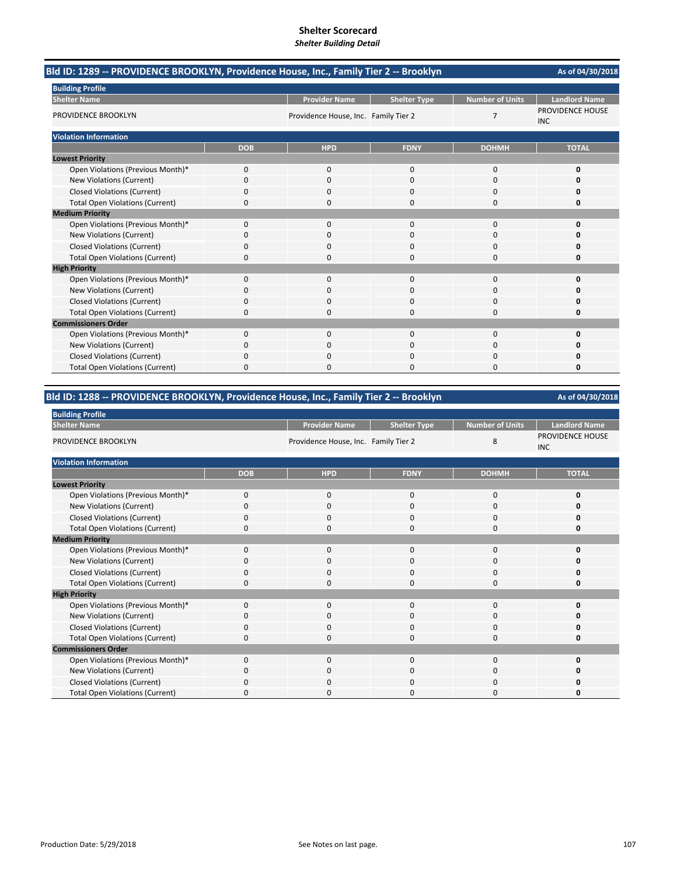| Bld ID: 1289 -- PROVIDENCE BROOKLYN, Providence House, Inc., Family Tier 2 -- Brooklyn |              |                                      |                     |                        | As of 04/30/2018               |
|----------------------------------------------------------------------------------------|--------------|--------------------------------------|---------------------|------------------------|--------------------------------|
| <b>Building Profile</b>                                                                |              |                                      |                     |                        |                                |
| <b>Shelter Name</b>                                                                    |              | <b>Provider Name</b>                 | <b>Shelter Type</b> | <b>Number of Units</b> | <b>Landlord Name</b>           |
| PROVIDENCE BROOKLYN                                                                    |              | Providence House, Inc. Family Tier 2 |                     | $\overline{7}$         | PROVIDENCE HOUSE<br><b>INC</b> |
| <b>Violation Information</b>                                                           |              |                                      |                     |                        |                                |
|                                                                                        | <b>DOB</b>   | <b>HPD</b>                           | <b>FDNY</b>         | <b>DOHMH</b>           | <b>TOTAL</b>                   |
| <b>Lowest Priority</b>                                                                 |              |                                      |                     |                        |                                |
| Open Violations (Previous Month)*                                                      | $\mathbf{0}$ | $\Omega$                             | $\mathbf 0$         | 0                      | 0                              |
| New Violations (Current)                                                               | 0            | $\Omega$                             | $\Omega$            | 0                      |                                |
| <b>Closed Violations (Current)</b>                                                     | 0            | 0                                    | $\Omega$            | 0                      | 0                              |
| <b>Total Open Violations (Current)</b>                                                 | 0            | 0                                    | $\Omega$            | 0                      | 0                              |
| <b>Medium Priority</b>                                                                 |              |                                      |                     |                        |                                |
| Open Violations (Previous Month)*                                                      | $\Omega$     | $\Omega$                             | $\Omega$            | 0                      | 0                              |
| <b>New Violations (Current)</b>                                                        | 0            | Ω                                    | C                   | 0                      |                                |
| <b>Closed Violations (Current)</b>                                                     | 0            | 0                                    | $\mathbf 0$         | 0                      |                                |
| <b>Total Open Violations (Current)</b>                                                 | 0            | 0                                    | $\Omega$            | 0                      | O                              |
| <b>High Priority</b>                                                                   |              |                                      |                     |                        |                                |
| Open Violations (Previous Month)*                                                      | 0            | 0                                    | $\mathbf 0$         | 0                      | O                              |
| New Violations (Current)                                                               | 0            | 0                                    | $\mathbf 0$         | 0                      |                                |
| <b>Closed Violations (Current)</b>                                                     | 0            | ŋ                                    | $\Omega$            | 0                      | O                              |
| <b>Total Open Violations (Current)</b>                                                 | 0            | ŋ                                    | $\Omega$            | 0                      | O                              |
| <b>Commissioners Order</b>                                                             |              |                                      |                     |                        |                                |
| Open Violations (Previous Month)*                                                      | 0            | $\Omega$                             | $\Omega$            | 0                      | 0                              |
| <b>New Violations (Current)</b>                                                        | 0            |                                      | $\sqrt{ }$          | 0                      |                                |
| <b>Closed Violations (Current)</b>                                                     | 0            | ŋ                                    | $\Omega$            | $\Omega$               |                                |
| <b>Total Open Violations (Current)</b>                                                 | 0            | n                                    | $\sqrt{ }$          | 0                      | O                              |

## **Bld ID: 1288 ‐‐ PROVIDENCE BROOKLYN, Providence House, Inc., Family Tier 2 ‐‐ Brooklyn**

| <b>Building Profile</b>                |             |                                      |                     |                 |                                |  |  |
|----------------------------------------|-------------|--------------------------------------|---------------------|-----------------|--------------------------------|--|--|
| <b>Shelter Name</b>                    |             | <b>Provider Name</b>                 | <b>Shelter Type</b> | Number of Units | <b>Landlord Name</b>           |  |  |
| PROVIDENCE BROOKLYN                    |             | Providence House, Inc. Family Tier 2 |                     | 8               | PROVIDENCE HOUSE<br><b>INC</b> |  |  |
| <b>Violation Information</b>           |             |                                      |                     |                 |                                |  |  |
|                                        | <b>DOB</b>  | <b>HPD</b>                           | <b>FDNY</b>         | <b>DOHMH</b>    | <b>TOTAL</b>                   |  |  |
| <b>Lowest Priority</b>                 |             |                                      |                     |                 |                                |  |  |
| Open Violations (Previous Month)*      | $\mathbf 0$ | $\mathbf{0}$                         | 0                   | 0               | 0                              |  |  |
| New Violations (Current)               | $\Omega$    | $\Omega$                             | $\Omega$            | 0               | Ω                              |  |  |
| <b>Closed Violations (Current)</b>     | $\mathbf 0$ | $\mathbf 0$                          | $\Omega$            | 0               | ŋ                              |  |  |
| <b>Total Open Violations (Current)</b> | $\Omega$    | $\Omega$                             | 0                   | 0               | Ω                              |  |  |
| <b>Medium Priority</b>                 |             |                                      |                     |                 |                                |  |  |
| Open Violations (Previous Month)*      | $\mathbf 0$ | $\mathbf 0$                          | 0                   | $\mathbf{0}$    | n                              |  |  |
| New Violations (Current)               | 0           | $\Omega$                             | 0                   | 0               |                                |  |  |
| Closed Violations (Current)            | 0           | $\mathbf 0$                          | 0                   | 0               | Ω                              |  |  |
| <b>Total Open Violations (Current)</b> | $\Omega$    | $\Omega$                             | 0                   | 0               | O                              |  |  |
| <b>High Priority</b>                   |             |                                      |                     |                 |                                |  |  |
| Open Violations (Previous Month)*      | $\mathbf 0$ | 0                                    | 0                   | 0               |                                |  |  |
| New Violations (Current)               | 0           | 0                                    | 0                   | 0               |                                |  |  |
| <b>Closed Violations (Current)</b>     | 0           | $\mathbf 0$                          | 0                   | 0               |                                |  |  |
| <b>Total Open Violations (Current)</b> | 0           | $\Omega$                             | 0                   | 0               | 0                              |  |  |
| <b>Commissioners Order</b>             |             |                                      |                     |                 |                                |  |  |
| Open Violations (Previous Month)*      | $\mathbf 0$ | $\mathbf 0$                          | 0                   | 0               | O                              |  |  |
| New Violations (Current)               | 0           | $\mathbf 0$                          | 0                   | 0               | n                              |  |  |
| <b>Closed Violations (Current)</b>     | $\Omega$    | $\mathbf 0$                          | 0                   | 0               |                                |  |  |
| <b>Total Open Violations (Current)</b> | 0           | 0                                    | 0                   | $\Omega$        | n                              |  |  |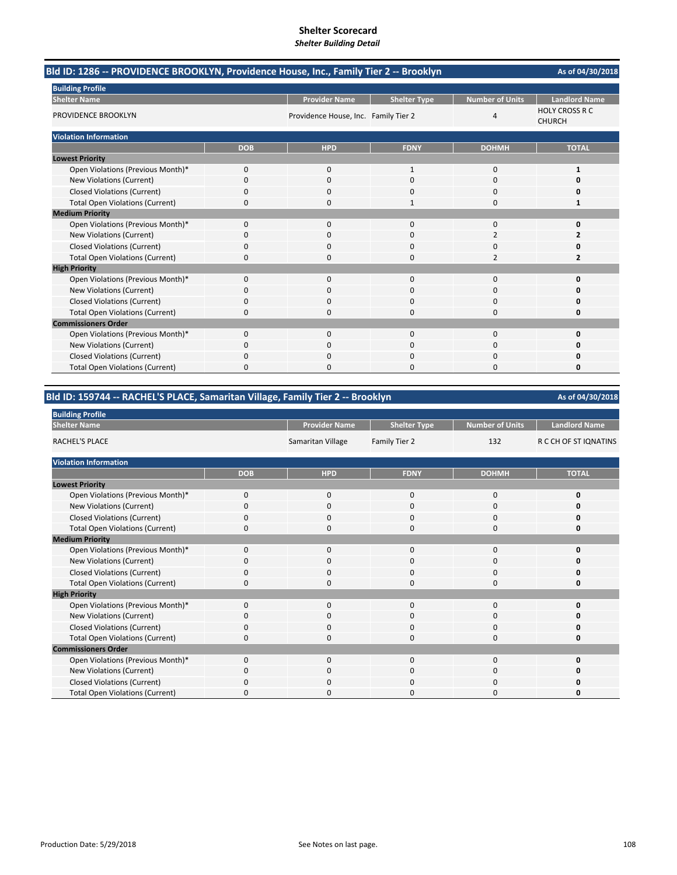| Bld ID: 1286 -- PROVIDENCE BROOKLYN, Providence House, Inc., Family Tier 2 -- Brooklyn |              |                                      |                     |                        | As of 04/30/2018                       |
|----------------------------------------------------------------------------------------|--------------|--------------------------------------|---------------------|------------------------|----------------------------------------|
| <b>Building Profile</b>                                                                |              |                                      |                     |                        |                                        |
| <b>Shelter Name</b>                                                                    |              | <b>Provider Name</b>                 | <b>Shelter Type</b> | <b>Number of Units</b> | <b>Landlord Name</b>                   |
| <b>PROVIDENCE BROOKLYN</b>                                                             |              | Providence House, Inc. Family Tier 2 |                     | 4                      | <b>HOLY CROSS R C</b><br><b>CHURCH</b> |
| <b>Violation Information</b>                                                           |              |                                      |                     |                        |                                        |
|                                                                                        | <b>DOB</b>   | <b>HPD</b>                           | <b>FDNY</b>         | <b>DOHMH</b>           | <b>TOTAL</b>                           |
| <b>Lowest Priority</b>                                                                 |              |                                      |                     |                        |                                        |
| Open Violations (Previous Month)*                                                      | $\mathbf{0}$ | $\mathbf{0}$                         | 1                   | 0                      |                                        |
| New Violations (Current)                                                               | 0            | $\Omega$                             | $\Omega$            | 0                      | n                                      |
| <b>Closed Violations (Current)</b>                                                     | 0            | $\Omega$                             | 0                   | 0                      | o                                      |
| <b>Total Open Violations (Current)</b>                                                 | 0            | $\Omega$                             | 1                   | 0                      | 1                                      |
| <b>Medium Priority</b>                                                                 |              |                                      |                     |                        |                                        |
| Open Violations (Previous Month)*                                                      | $\Omega$     | $\Omega$                             | $\Omega$            | 0                      | $\Omega$                               |
| New Violations (Current)                                                               | ი            | 0                                    | 0                   | 2                      |                                        |
| <b>Closed Violations (Current)</b>                                                     | 0            | $\Omega$                             | 0                   | 0                      | n                                      |
| <b>Total Open Violations (Current)</b>                                                 | 0            | $\Omega$                             | 0                   | $\overline{2}$         | 2                                      |
| <b>High Priority</b>                                                                   |              |                                      |                     |                        |                                        |
| Open Violations (Previous Month)*                                                      | $\Omega$     | $\Omega$                             | $\Omega$            | $\Omega$               | O                                      |
| New Violations (Current)                                                               | ი            | $\Omega$                             | O                   | 0                      | n                                      |
| <b>Closed Violations (Current)</b>                                                     | ი            | $\Omega$                             | $\Omega$            | 0                      | Ω                                      |
| <b>Total Open Violations (Current)</b>                                                 | 0            | $\Omega$                             | $\Omega$            | 0                      | 0                                      |
| <b>Commissioners Order</b>                                                             |              |                                      |                     |                        |                                        |
| Open Violations (Previous Month)*                                                      | $\Omega$     | $\Omega$                             | $\Omega$            | 0                      | O                                      |
| New Violations (Current)                                                               | O            | 0                                    | U                   | 0                      | n                                      |
| <b>Closed Violations (Current)</b>                                                     | 0            | $\Omega$                             | 0                   | 0                      |                                        |
| <b>Total Open Violations (Current)</b>                                                 | 0            | O                                    | 0                   | $\Omega$               | 0                                      |

| Bld ID: 159744 -- RACHEL'S PLACE, Samaritan Village, Family Tier 2 -- Brooklyn | As of 04/30/2018 |                      |                     |                        |                       |
|--------------------------------------------------------------------------------|------------------|----------------------|---------------------|------------------------|-----------------------|
| <b>Building Profile</b>                                                        |                  |                      |                     |                        |                       |
| <b>Shelter Name</b>                                                            |                  | <b>Provider Name</b> | <b>Shelter Type</b> | <b>Number of Units</b> | <b>Landlord Name</b>  |
| RACHEL'S PLACE                                                                 |                  | Samaritan Village    | Family Tier 2       | 132                    | R C CH OF ST IQNATINS |
| <b>Violation Information</b>                                                   |                  |                      |                     |                        |                       |
|                                                                                | <b>DOB</b>       | <b>HPD</b>           | <b>FDNY</b>         | <b>DOHMH</b>           | <b>TOTAL</b>          |
| <b>Lowest Priority</b>                                                         |                  |                      |                     |                        |                       |
| Open Violations (Previous Month)*                                              | 0                | 0                    | $\Omega$            | 0                      | 0                     |
| New Violations (Current)                                                       | 0                | 0                    | $\mathbf{0}$        | 0                      | 0                     |
| <b>Closed Violations (Current)</b>                                             | 0                | 0                    | 0                   | 0                      | 0                     |
| <b>Total Open Violations (Current)</b>                                         | 0                |                      | $\Omega$            | O                      | 0                     |
| <b>Medium Priority</b>                                                         |                  |                      |                     |                        |                       |
| Open Violations (Previous Month)*                                              | 0                | $\mathbf{0}$         | $\Omega$            | $\Omega$               | 0                     |
| New Violations (Current)                                                       | 0                | 0                    | $\Omega$            | 0                      | 0                     |
| <b>Closed Violations (Current)</b>                                             | 0                | 0                    | 0                   | 0                      | 0                     |
| <b>Total Open Violations (Current)</b>                                         | 0                | n                    | $\Omega$            | $\Omega$               | 0                     |
| <b>High Priority</b>                                                           |                  |                      |                     |                        |                       |
| Open Violations (Previous Month)*                                              | 0                | 0                    | $\mathbf{0}$        | 0                      | 0                     |
| New Violations (Current)                                                       | 0                | <sup>0</sup>         | $\Omega$            | $\Omega$               | 0                     |
| <b>Closed Violations (Current)</b>                                             | 0                | 0                    | 0                   | 0                      | 0                     |
| <b>Total Open Violations (Current)</b>                                         | 0                | 0                    | $\Omega$            | 0                      | 0                     |
| <b>Commissioners Order</b>                                                     |                  |                      |                     |                        |                       |
| Open Violations (Previous Month)*                                              | 0                | 0                    | $\mathbf 0$         | 0                      | 0                     |
| New Violations (Current)                                                       | 0                | 0                    | 0                   | 0                      | 0                     |
| <b>Closed Violations (Current)</b>                                             | 0                |                      | $\Omega$            | 0                      | 0                     |
| <b>Total Open Violations (Current)</b>                                         | 0                | <sup>0</sup>         | $\Omega$            | $\Omega$               | 0                     |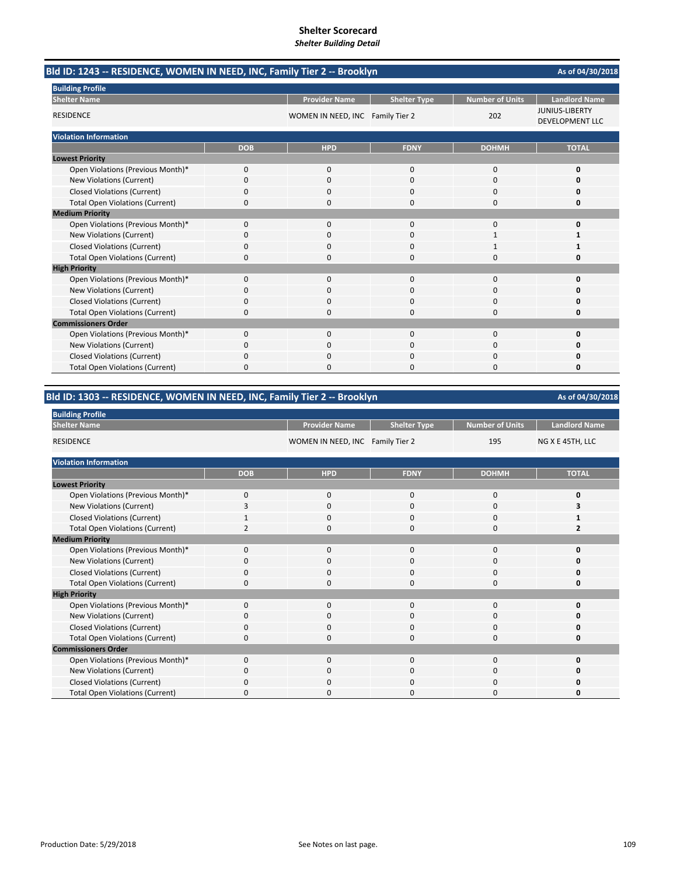|                                        | Bld ID: 1243 -- RESIDENCE, WOMEN IN NEED, INC, Family Tier 2 -- Brooklyn |                                  |                     |                        |                                                 |  |
|----------------------------------------|--------------------------------------------------------------------------|----------------------------------|---------------------|------------------------|-------------------------------------------------|--|
| <b>Building Profile</b>                |                                                                          |                                  |                     |                        |                                                 |  |
| <b>Shelter Name</b>                    |                                                                          | <b>Provider Name</b>             | <b>Shelter Type</b> | <b>Number of Units</b> | <b>Landlord Name</b>                            |  |
| <b>RESIDENCE</b>                       |                                                                          | WOMEN IN NEED, INC Family Tier 2 |                     | 202                    | <b>JUNIUS-LIBERTY</b><br><b>DEVELOPMENT LLC</b> |  |
| <b>Violation Information</b>           |                                                                          |                                  |                     |                        |                                                 |  |
|                                        | <b>DOB</b>                                                               | <b>HPD</b>                       | <b>FDNY</b>         | <b>DOHMH</b>           | <b>TOTAL</b>                                    |  |
| <b>Lowest Priority</b>                 |                                                                          |                                  |                     |                        |                                                 |  |
| Open Violations (Previous Month)*      | 0                                                                        | $\mathbf{0}$                     | $\mathbf{0}$        | 0                      | 0                                               |  |
| New Violations (Current)               | 0                                                                        | $\Omega$                         | $\Omega$            | 0                      | O                                               |  |
| <b>Closed Violations (Current)</b>     | 0                                                                        | O                                | n                   | O                      | Ω                                               |  |
| <b>Total Open Violations (Current)</b> | 0                                                                        | 0                                | $\Omega$            | 0                      | 0                                               |  |
| <b>Medium Priority</b>                 |                                                                          |                                  |                     |                        |                                                 |  |
| Open Violations (Previous Month)*      | 0                                                                        | $\mathbf{0}$                     | $\mathbf{0}$        | 0                      | $\Omega$                                        |  |
| New Violations (Current)               | 0                                                                        | 0                                | $\Omega$            | $\mathbf 1$            | 1                                               |  |
| <b>Closed Violations (Current)</b>     | 0                                                                        | $\Omega$                         | $\Omega$            |                        |                                                 |  |
| <b>Total Open Violations (Current)</b> | 0                                                                        | $\Omega$                         | $\Omega$            | $\Omega$               | n                                               |  |
| <b>High Priority</b>                   |                                                                          |                                  |                     |                        |                                                 |  |
| Open Violations (Previous Month)*      | 0                                                                        | $\mathbf 0$                      | 0                   | 0                      | O                                               |  |
| New Violations (Current)               | 0                                                                        | $\Omega$                         | $\Omega$            | 0                      | O                                               |  |
| <b>Closed Violations (Current)</b>     | 0                                                                        | 0                                | 0                   | 0                      | 0                                               |  |
| <b>Total Open Violations (Current)</b> | 0                                                                        | 0                                | $\Omega$            | 0                      | 0                                               |  |
| <b>Commissioners Order</b>             |                                                                          |                                  |                     |                        |                                                 |  |
| Open Violations (Previous Month)*      | $\Omega$                                                                 | $\Omega$                         | $\Omega$            | $\Omega$               | O                                               |  |
| New Violations (Current)               | 0                                                                        | 0                                | 0                   | 0                      | n                                               |  |
| <b>Closed Violations (Current)</b>     | 0                                                                        | 0                                | $\Omega$            | 0                      |                                                 |  |
| <b>Total Open Violations (Current)</b> | 0                                                                        | n                                | $\Omega$            | $\Omega$               | O                                               |  |

### **Bld ID: 1303 ‐‐ RESIDENCE, WOMEN IN NEED, INC, Family Tier 2 ‐‐ Brooklyn**

| <b>Building Profile</b>                |             |                                  |                     |                        |                      |
|----------------------------------------|-------------|----------------------------------|---------------------|------------------------|----------------------|
| <b>Shelter Name</b>                    |             | <b>Provider Name</b>             | <b>Shelter Type</b> | <b>Number of Units</b> | <b>Landlord Name</b> |
| <b>RESIDENCE</b>                       |             | WOMEN IN NEED, INC Family Tier 2 |                     | 195                    | NG X E 45TH, LLC     |
| <b>Violation Information</b>           |             |                                  |                     |                        |                      |
|                                        | <b>DOB</b>  | <b>HPD</b>                       | <b>FDNY</b>         | <b>DOHMH</b>           | <b>TOTAL</b>         |
| <b>Lowest Priority</b>                 |             |                                  |                     |                        |                      |
| Open Violations (Previous Month)*      | $\mathbf 0$ | $\mathbf 0$                      | 0                   | $\mathbf 0$            | 0                    |
| New Violations (Current)               | 3           | 0                                | 0                   | 0                      | 3                    |
| <b>Closed Violations (Current)</b>     |             | $\mathbf 0$                      | 0                   | $\mathbf 0$            |                      |
| <b>Total Open Violations (Current)</b> |             | 0                                | U                   | 0                      | 2                    |
| <b>Medium Priority</b>                 |             |                                  |                     |                        |                      |
| Open Violations (Previous Month)*      | $\Omega$    | $\mathbf 0$                      | $\Omega$            | $\mathbf 0$            | 0                    |
| New Violations (Current)               | $\Omega$    | 0                                | $\Omega$            | 0                      | ŋ                    |
| <b>Closed Violations (Current)</b>     | $\Omega$    | $\mathbf 0$                      | $\Omega$            | 0                      | 0                    |
| <b>Total Open Violations (Current)</b> | 0           | 0                                | $\Omega$            | 0                      | 0                    |
| <b>High Priority</b>                   |             |                                  |                     |                        |                      |
| Open Violations (Previous Month)*      | $\Omega$    | $\Omega$                         | $\Omega$            | 0                      | 0                    |
| New Violations (Current)               | $\mathbf 0$ | 0                                | 0                   | 0                      | ŋ                    |
| <b>Closed Violations (Current)</b>     | $\Omega$    | $\Omega$                         | $\Omega$            | 0                      | 0                    |
| <b>Total Open Violations (Current)</b> | $\mathbf 0$ | 0                                | $\Omega$            | 0                      | 0                    |
| <b>Commissioners Order</b>             |             |                                  |                     |                        |                      |
| Open Violations (Previous Month)*      | $\Omega$    | $\Omega$                         | $\Omega$            | 0                      | 0                    |
| New Violations (Current)               | O           | $\Omega$                         | $\Omega$            | $\mathbf 0$            | Ω                    |
| <b>Closed Violations (Current)</b>     | O           | $\Omega$                         | O                   | $\Omega$               | 0                    |
| <b>Total Open Violations (Current)</b> | 0           | 0                                | O                   | 0                      | ŋ                    |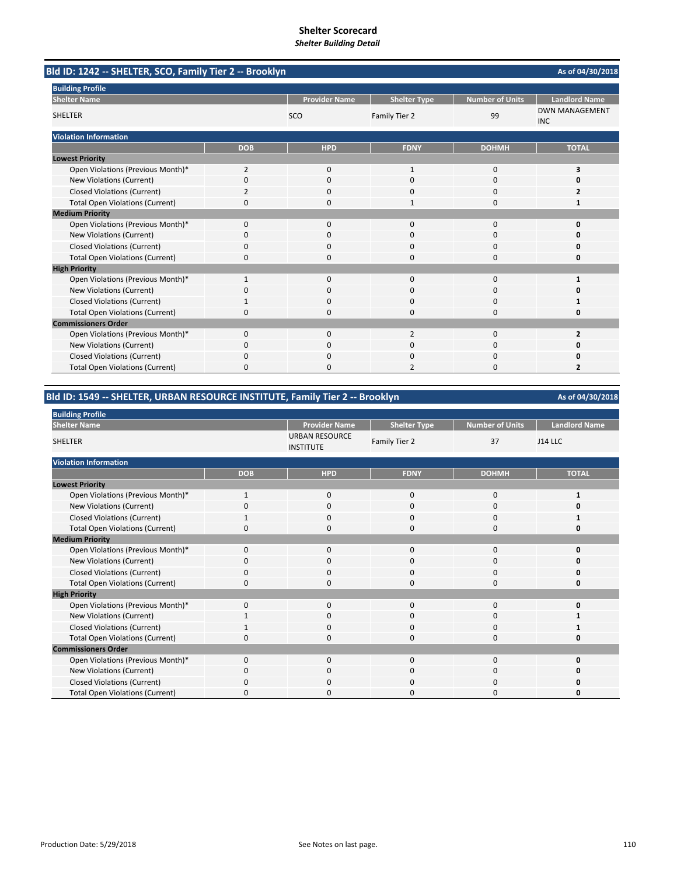| Bld ID: 1242 -- SHELTER, SCO, Family Tier 2 -- Brooklyn |                |                      |                     |                        | As of 04/30/2018                    |
|---------------------------------------------------------|----------------|----------------------|---------------------|------------------------|-------------------------------------|
| <b>Building Profile</b>                                 |                |                      |                     |                        |                                     |
| <b>Shelter Name</b>                                     |                | <b>Provider Name</b> | <b>Shelter Type</b> | <b>Number of Units</b> | <b>Landlord Name</b>                |
| <b>SHELTER</b>                                          |                | SCO                  | Family Tier 2       | 99                     | <b>DWN MANAGEMENT</b><br><b>INC</b> |
| <b>Violation Information</b>                            |                |                      |                     |                        |                                     |
|                                                         | <b>DOB</b>     | <b>HPD</b>           | <b>FDNY</b>         | <b>DOHMH</b>           | <b>TOTAL</b>                        |
| <b>Lowest Priority</b>                                  |                |                      |                     |                        |                                     |
| Open Violations (Previous Month)*                       | $\overline{2}$ | $\mathbf{0}$         | $\mathbf{1}$        | 0                      | 3                                   |
| <b>New Violations (Current)</b>                         | 0              | $\Omega$             | $\Omega$            | 0                      | 0                                   |
| <b>Closed Violations (Current)</b>                      | 2              | 0                    | $\Omega$            | 0                      | 2                                   |
| <b>Total Open Violations (Current)</b>                  | 0              | 0                    | -1                  | 0                      | 1                                   |
| <b>Medium Priority</b>                                  |                |                      |                     |                        |                                     |
| Open Violations (Previous Month)*                       | $\Omega$       | $\Omega$             | $\Omega$            | $\Omega$               | $\mathbf 0$                         |
| <b>New Violations (Current)</b>                         | 0              | 0                    | $\Omega$            | O                      | O                                   |
| <b>Closed Violations (Current)</b>                      | 0              | $\Omega$             | $\Omega$            | 0                      | 0                                   |
| <b>Total Open Violations (Current)</b>                  | 0              | 0                    | $\Omega$            | $\Omega$               | 0                                   |
| <b>High Priority</b>                                    |                |                      |                     |                        |                                     |
| Open Violations (Previous Month)*                       | 1              | 0                    | 0                   | 0                      | 1                                   |
| <b>New Violations (Current)</b>                         | 0              | $\Omega$             | $\Omega$            | $\Omega$               | Ω                                   |
| <b>Closed Violations (Current)</b>                      |                | <sup>0</sup>         | $\Omega$            | 0                      |                                     |
| <b>Total Open Violations (Current)</b>                  | 0              | <sup>0</sup>         | $\Omega$            | 0                      | 0                                   |
| <b>Commissioners Order</b>                              |                |                      |                     |                        |                                     |
| Open Violations (Previous Month)*                       | 0              | 0                    | 2                   | 0                      | $\overline{2}$                      |
| <b>New Violations (Current)</b>                         | 0              | 0                    | $\Omega$            | $\Omega$               | 0                                   |
| <b>Closed Violations (Current)</b>                      | 0              | 0                    | $\Omega$            | $\Omega$               | 0                                   |
| <b>Total Open Violations (Current)</b>                  | 0              | 0                    | $\overline{2}$      | 0                      | $\overline{2}$                      |

### **Bld ID: 1549 ‐‐ SHELTER, URBAN RESOURCE INSTITUTE, Family Tier 2 ‐‐ Brooklyn**

| <b>Building Profile</b>                |              |                                           |                     |                        |                      |
|----------------------------------------|--------------|-------------------------------------------|---------------------|------------------------|----------------------|
| <b>Shelter Name</b>                    |              | <b>Provider Name</b>                      | <b>Shelter Type</b> | <b>Number of Units</b> | <b>Landlord Name</b> |
| <b>SHELTER</b>                         |              | <b>URBAN RESOURCE</b><br><b>INSTITUTE</b> | Family Tier 2       | 37                     | <b>J14 LLC</b>       |
| <b>Violation Information</b>           |              |                                           |                     |                        |                      |
|                                        | <b>DOB</b>   | <b>HPD</b>                                | <b>FDNY</b>         | <b>DOHMH</b>           | <b>TOTAL</b>         |
| <b>Lowest Priority</b>                 |              |                                           |                     |                        |                      |
| Open Violations (Previous Month)*      | $\mathbf{1}$ | $\mathbf 0$                               | 0                   | 0                      | 1                    |
| New Violations (Current)               | O            | 0                                         | 0                   | 0                      | ŋ                    |
| <b>Closed Violations (Current)</b>     |              | 0                                         | $\Omega$            | 0                      |                      |
| <b>Total Open Violations (Current)</b> | $\Omega$     | 0                                         | $\Omega$            | 0                      | 0                    |
| <b>Medium Priority</b>                 |              |                                           |                     |                        |                      |
| Open Violations (Previous Month)*      | $\Omega$     | $\Omega$                                  | $\Omega$            | 0                      | U                    |
| New Violations (Current)               | $\Omega$     | 0                                         | 0                   | 0                      | ŋ                    |
| <b>Closed Violations (Current)</b>     | O            | $\Omega$                                  | 0                   | $\Omega$               | ŋ                    |
| <b>Total Open Violations (Current)</b> | $\Omega$     | 0                                         | $\Omega$            | 0                      | 0                    |
| <b>High Priority</b>                   |              |                                           |                     |                        |                      |
| Open Violations (Previous Month)*      | $\Omega$     | $\Omega$                                  | $\Omega$            | 0                      | U                    |
| New Violations (Current)               |              | 0                                         | 0                   | 0                      |                      |
| <b>Closed Violations (Current)</b>     |              | $\Omega$                                  | 0                   | 0                      |                      |
| <b>Total Open Violations (Current)</b> | $\Omega$     | 0                                         | $\Omega$            | 0                      | 0                    |
| <b>Commissioners Order</b>             |              |                                           |                     |                        |                      |
| Open Violations (Previous Month)*      | $\Omega$     | $\Omega$                                  | $\Omega$            | 0                      | 0                    |
| New Violations (Current)               | O            | 0                                         | O                   | 0                      | n                    |
| <b>Closed Violations (Current)</b>     | O            | 0                                         | O                   | 0                      | 0                    |
| <b>Total Open Violations (Current)</b> | $\Omega$     | 0                                         | n                   | 0                      | ŋ                    |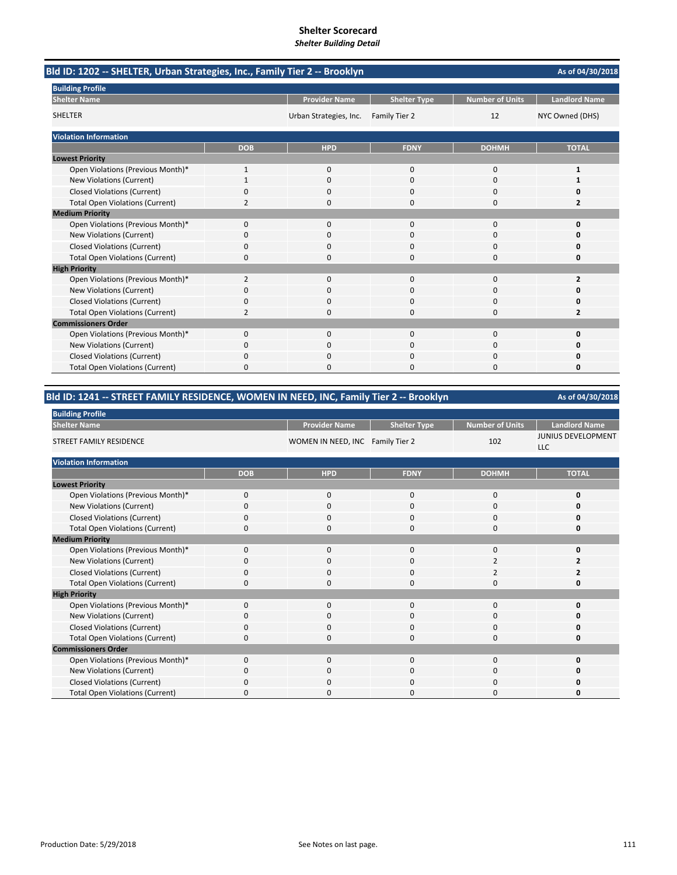| Bld ID: 1202 -- SHELTER, Urban Strategies, Inc., Family Tier 2 -- Brooklyn |                |                        |                     |                        | As of 04/30/2018     |
|----------------------------------------------------------------------------|----------------|------------------------|---------------------|------------------------|----------------------|
| <b>Building Profile</b>                                                    |                |                        |                     |                        |                      |
| <b>Shelter Name</b>                                                        |                | <b>Provider Name</b>   | <b>Shelter Type</b> | <b>Number of Units</b> | <b>Landlord Name</b> |
| <b>SHELTER</b>                                                             |                | Urban Strategies, Inc. | Family Tier 2       | 12                     | NYC Owned (DHS)      |
| <b>Violation Information</b>                                               |                |                        |                     |                        |                      |
|                                                                            | <b>DOB</b>     | <b>HPD</b>             | <b>FDNY</b>         | <b>DOHMH</b>           | <b>TOTAL</b>         |
| <b>Lowest Priority</b>                                                     |                |                        |                     |                        |                      |
| Open Violations (Previous Month)*                                          | 1              | 0                      | $\mathbf{0}$        | $\mathbf 0$            | 1                    |
| New Violations (Current)                                                   | 1              | $\Omega$               | $\Omega$            | $\Omega$               | 1                    |
| <b>Closed Violations (Current)</b>                                         | 0              | 0                      | 0                   | 0                      | 0                    |
| <b>Total Open Violations (Current)</b>                                     | 2              | 0                      | 0                   | $\Omega$               | 2                    |
| <b>Medium Priority</b>                                                     |                |                        |                     |                        |                      |
| Open Violations (Previous Month)*                                          | 0              | $\Omega$               | $\Omega$            | $\Omega$               | $\Omega$             |
| New Violations (Current)                                                   | 0              | 0                      | 0                   | 0                      | n                    |
| <b>Closed Violations (Current)</b>                                         | 0              | 0                      | 0                   | 0                      | 0                    |
| <b>Total Open Violations (Current)</b>                                     | 0              | $\Omega$               | 0                   | $\Omega$               | 0                    |
| <b>High Priority</b>                                                       |                |                        |                     |                        |                      |
| Open Violations (Previous Month)*                                          | $\overline{2}$ | $\Omega$               | $\Omega$            | $\Omega$               | $\overline{2}$       |
| New Violations (Current)                                                   | 0              | $\Omega$               | $\Omega$            | $\Omega$               | n                    |
| <b>Closed Violations (Current)</b>                                         | 0              | 0                      | 0                   | $\Omega$               | 0                    |
| <b>Total Open Violations (Current)</b>                                     | $\overline{2}$ | $\Omega$               | 0                   | $\Omega$               | 2                    |
| <b>Commissioners Order</b>                                                 |                |                        |                     |                        |                      |
| Open Violations (Previous Month)*                                          | 0              | 0                      | $\Omega$            | $\Omega$               | $\Omega$             |
| New Violations (Current)                                                   | n              | 0                      | O                   | 0                      | Ω                    |
| <b>Closed Violations (Current)</b>                                         | 0              | $\Omega$               | 0                   | 0                      | Ω                    |
| <b>Total Open Violations (Current)</b>                                     | 0              | $\Omega$               | 0                   | $\Omega$               | 0                    |

### **Bld ID: 1241 ‐‐ STREET FAMILY RESIDENCE, WOMEN IN NEED, INC, Family Tier 2 ‐‐ Brooklyn**

| <b>Building Profile</b>                |            |                                  |                     |                        |                                         |
|----------------------------------------|------------|----------------------------------|---------------------|------------------------|-----------------------------------------|
| <b>Shelter Name</b>                    |            | <b>Provider Name</b>             | <b>Shelter Type</b> | <b>Number of Units</b> | <b>Landlord Name</b>                    |
| <b>STREET FAMILY RESIDENCE</b>         |            | WOMEN IN NEED, INC Family Tier 2 |                     | 102                    | <b>JUNIUS DEVELOPMENT</b><br><b>LLC</b> |
| <b>Violation Information</b>           |            |                                  |                     |                        |                                         |
|                                        | <b>DOB</b> | <b>HPD</b>                       | <b>FDNY</b>         | <b>DOHMH</b>           | <b>TOTAL</b>                            |
| <b>Lowest Priority</b>                 |            |                                  |                     |                        |                                         |
| Open Violations (Previous Month)*      | 0          | 0                                | 0                   | $\mathbf 0$            | 0                                       |
| New Violations (Current)               | 0          | 0                                | 0                   | $\mathbf 0$            | 0                                       |
| <b>Closed Violations (Current)</b>     | 0          | $\mathbf{0}$                     | 0                   | $\mathbf 0$            | 0                                       |
| <b>Total Open Violations (Current)</b> | 0          | $\mathbf 0$                      | 0                   | 0                      | 0                                       |
| <b>Medium Priority</b>                 |            |                                  |                     |                        |                                         |
| Open Violations (Previous Month)*      | 0          | $\mathbf 0$                      | 0                   | 0                      | O                                       |
| New Violations (Current)               | 0          | $\mathbf 0$                      | 0                   | $\overline{2}$         | 2                                       |
| <b>Closed Violations (Current)</b>     | 0          | $\mathbf{0}$                     | 0                   | $\overline{2}$         | 2                                       |
| <b>Total Open Violations (Current)</b> | 0          | 0                                | 0                   | 0                      | 0                                       |
| <b>High Priority</b>                   |            |                                  |                     |                        |                                         |
| Open Violations (Previous Month)*      | 0          | $\mathbf{0}$                     | 0                   | 0                      | O                                       |
| New Violations (Current)               | 0          | 0                                | 0                   | $\mathbf 0$            | O                                       |
| <b>Closed Violations (Current)</b>     | 0          | $\mathbf 0$                      | 0                   | 0                      | 0                                       |
| <b>Total Open Violations (Current)</b> | 0          | $\mathbf 0$                      | 0                   | 0                      | 0                                       |
| <b>Commissioners Order</b>             |            |                                  |                     |                        |                                         |
| Open Violations (Previous Month)*      | 0          | $\mathbf 0$                      | 0                   | 0                      | 0                                       |
| New Violations (Current)               | 0          | $\mathbf 0$                      | 0                   | $\mathbf 0$            | n                                       |
| <b>Closed Violations (Current)</b>     | 0          | 0                                | 0                   | $\Omega$               | 0                                       |
| <b>Total Open Violations (Current)</b> | 0          | 0                                | 0                   | 0                      | o                                       |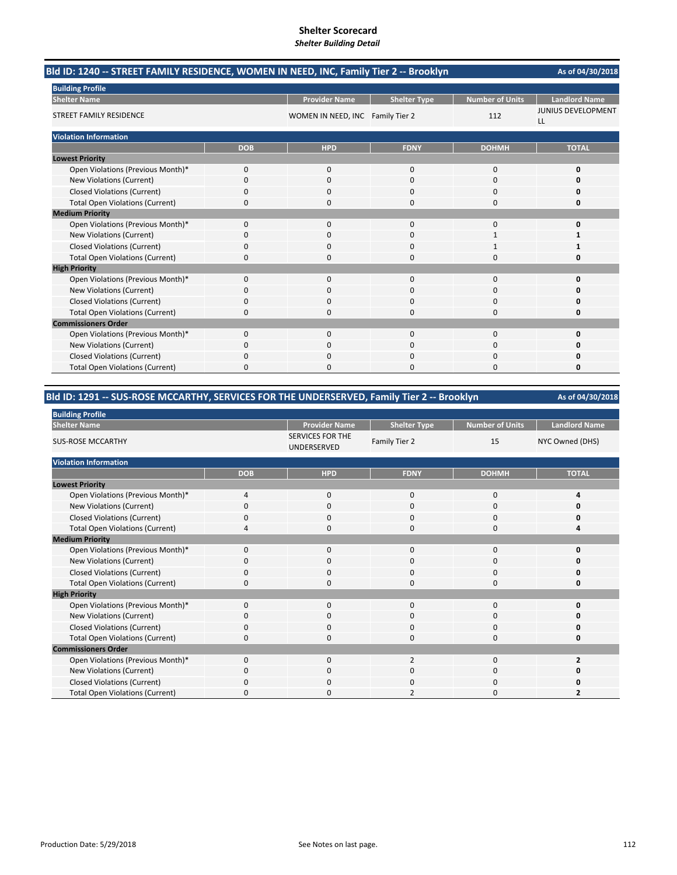| Bld ID: 1240 -- STREET FAMILY RESIDENCE, WOMEN IN NEED, INC, Family Tier 2 -- Brooklyn |            |                                  |                     |                        | As of 04/30/2018                |
|----------------------------------------------------------------------------------------|------------|----------------------------------|---------------------|------------------------|---------------------------------|
| <b>Building Profile</b>                                                                |            |                                  |                     |                        |                                 |
| <b>Shelter Name</b>                                                                    |            | <b>Provider Name</b>             | <b>Shelter Type</b> | <b>Number of Units</b> | <b>Landlord Name</b>            |
| STREET FAMILY RESIDENCE                                                                |            | WOMEN IN NEED, INC Family Tier 2 |                     | 112                    | <b>JUNIUS DEVELOPMENT</b><br>LL |
| <b>Violation Information</b>                                                           |            |                                  |                     |                        |                                 |
|                                                                                        | <b>DOB</b> | <b>HPD</b>                       | <b>FDNY</b>         | <b>DOHMH</b>           | <b>TOTAL</b>                    |
| <b>Lowest Priority</b>                                                                 |            |                                  |                     |                        |                                 |
| Open Violations (Previous Month)*                                                      | 0          | 0                                | $\mathbf 0$         | $\mathbf 0$            | $\Omega$                        |
| New Violations (Current)                                                               | 0          | $\Omega$                         | $\Omega$            | $\Omega$               | 0                               |
| <b>Closed Violations (Current)</b>                                                     | 0          | 0                                | 0                   | 0                      | 0                               |
| <b>Total Open Violations (Current)</b>                                                 | 0          | $\Omega$                         | $\Omega$            | $\Omega$               | o                               |
| <b>Medium Priority</b>                                                                 |            |                                  |                     |                        |                                 |
| Open Violations (Previous Month)*                                                      | $\Omega$   | $\Omega$                         | $\Omega$            | $\Omega$               | $\Omega$                        |
| New Violations (Current)                                                               | 0          | 0                                | 0                   | 1                      |                                 |
| <b>Closed Violations (Current)</b>                                                     | 0          | 0                                | 0                   |                        |                                 |
| <b>Total Open Violations (Current)</b>                                                 | $\Omega$   | n                                | $\Omega$            | $\Omega$               | o                               |
| <b>High Priority</b>                                                                   |            |                                  |                     |                        |                                 |
| Open Violations (Previous Month)*                                                      | 0          | 0                                | 0                   | 0                      | 0                               |
| New Violations (Current)                                                               | 0          | <sup>0</sup>                     | $\Omega$            | $\Omega$               | O                               |
| <b>Closed Violations (Current)</b>                                                     | 0          | 0                                | 0                   | $\Omega$               | 0                               |
| <b>Total Open Violations (Current)</b>                                                 | 0          | $\Omega$                         | $\Omega$            | $\Omega$               | 0                               |
| <b>Commissioners Order</b>                                                             |            |                                  |                     |                        |                                 |
| Open Violations (Previous Month)*                                                      | 0          | $\Omega$                         | $\Omega$            | $\Omega$               | $\Omega$                        |
| New Violations (Current)                                                               | 0          | 0                                | $\Omega$            | $\Omega$               | O                               |
| <b>Closed Violations (Current)</b>                                                     | 0          | 0                                | <sup>0</sup>        | $\Omega$               | Ω                               |
| <b>Total Open Violations (Current)</b>                                                 | ŋ          |                                  | U                   | n                      | O                               |

### **Bld ID: 1291 ‐‐ SUS‐ROSE MCCARTHY, SERVICES FOR THE UNDERSERVED, Family Tier 2 ‐‐ Brooklyn**

| <b>Building Profile</b>                |                |                                        |                     |                        |                      |
|----------------------------------------|----------------|----------------------------------------|---------------------|------------------------|----------------------|
| <b>Shelter Name</b>                    |                | <b>Provider Name</b>                   | <b>Shelter Type</b> | <b>Number of Units</b> | <b>Landlord Name</b> |
| <b>SUS-ROSE MCCARTHY</b>               |                | <b>SERVICES FOR THE</b><br>UNDERSERVED | Family Tier 2       | 15                     | NYC Owned (DHS)      |
| <b>Violation Information</b>           |                |                                        |                     |                        |                      |
|                                        | <b>DOB</b>     | <b>HPD</b>                             | <b>FDNY</b>         | <b>DOHMH</b>           | <b>TOTAL</b>         |
| <b>Lowest Priority</b>                 |                |                                        |                     |                        |                      |
| Open Violations (Previous Month)*      | $\overline{4}$ | $\mathbf 0$                            | $\mathbf 0$         | $\mathbf 0$            |                      |
| New Violations (Current)               | $\Omega$       | $\mathbf 0$                            | $\mathbf 0$         | 0                      |                      |
| <b>Closed Violations (Current)</b>     | $\mathbf 0$    | $\mathbf 0$                            | $\mathbf 0$         | 0                      | O                    |
| <b>Total Open Violations (Current)</b> | $\overline{a}$ | $\Omega$                               | $\Omega$            | $\Omega$               | Δ                    |
| <b>Medium Priority</b>                 |                |                                        |                     |                        |                      |
| Open Violations (Previous Month)*      | $\Omega$       | $\mathbf 0$                            | $\mathbf{0}$        | $\Omega$               | O                    |
| New Violations (Current)               | O              | 0                                      | 0                   | $\Omega$               |                      |
| <b>Closed Violations (Current)</b>     | $\mathbf 0$    | $\mathbf 0$                            | $\mathbf 0$         | 0                      | 0                    |
| <b>Total Open Violations (Current)</b> | $\Omega$       | $\Omega$                               | $\Omega$            | $\Omega$               | O                    |
| <b>High Priority</b>                   |                |                                        |                     |                        |                      |
| Open Violations (Previous Month)*      | $\Omega$       | $\mathbf 0$                            | $\mathbf 0$         | 0                      | O                    |
| New Violations (Current)               | O              | 0                                      | 0                   | 0                      | n                    |
| <b>Closed Violations (Current)</b>     | $\Omega$       | $\mathbf 0$                            | $\mathbf 0$         | 0                      | O                    |
| <b>Total Open Violations (Current)</b> | $\Omega$       | $\Omega$                               | $\Omega$            | $\Omega$               | O                    |
| <b>Commissioners Order</b>             |                |                                        |                     |                        |                      |
| Open Violations (Previous Month)*      | $\Omega$       | $\Omega$                               | $\overline{2}$      | $\Omega$               |                      |
| New Violations (Current)               | O              | $\mathbf 0$                            | 0                   | 0                      | o                    |
| <b>Closed Violations (Current)</b>     | 0              | $\mathbf 0$                            | $\mathbf 0$         | 0                      | Ω                    |
| <b>Total Open Violations (Current)</b> | $\Omega$       | $\Omega$                               | 2                   | $\Omega$               | 2                    |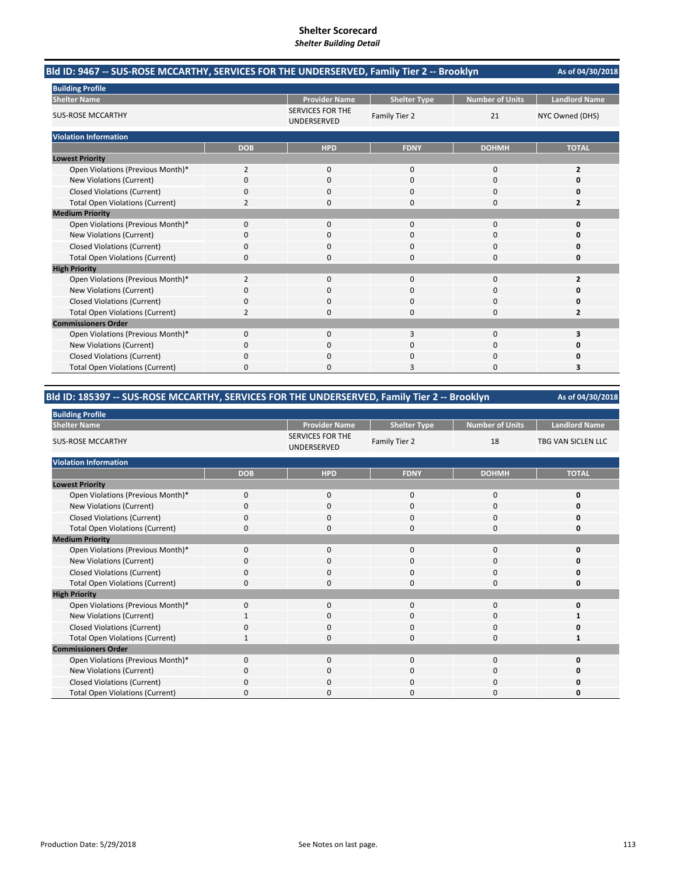| Bld ID: 9467 -- SUS-ROSE MCCARTHY, SERVICES FOR THE UNDERSERVED, Family Tier 2 -- Brooklyn | As of 04/30/2018 |                                        |                     |                        |                      |
|--------------------------------------------------------------------------------------------|------------------|----------------------------------------|---------------------|------------------------|----------------------|
| <b>Building Profile</b>                                                                    |                  |                                        |                     |                        |                      |
| <b>Shelter Name</b>                                                                        |                  | <b>Provider Name</b>                   | <b>Shelter Type</b> | <b>Number of Units</b> | <b>Landlord Name</b> |
| <b>SUS-ROSE MCCARTHY</b>                                                                   |                  | <b>SERVICES FOR THE</b><br>UNDERSERVED | Family Tier 2       | 21                     | NYC Owned (DHS)      |
| <b>Violation Information</b>                                                               |                  |                                        |                     |                        |                      |
|                                                                                            | <b>DOB</b>       | <b>HPD</b>                             | <b>FDNY</b>         | <b>DOHMH</b>           | <b>TOTAL</b>         |
| <b>Lowest Priority</b>                                                                     |                  |                                        |                     |                        |                      |
| Open Violations (Previous Month)*                                                          | $\overline{2}$   | 0                                      | $\mathbf{0}$        | $\mathbf 0$            | 2                    |
| New Violations (Current)                                                                   | 0                | <sup>0</sup>                           | $\Omega$            | $\Omega$               | n                    |
| <b>Closed Violations (Current)</b>                                                         | 0                | 0                                      | 0                   | $\Omega$               | 0                    |
| <b>Total Open Violations (Current)</b>                                                     | $\overline{2}$   | $\Omega$                               | 0                   | $\Omega$               | 2                    |
| <b>Medium Priority</b>                                                                     |                  |                                        |                     |                        |                      |
| Open Violations (Previous Month)*                                                          | $\Omega$         | $\Omega$                               | $\Omega$            | $\Omega$               | $\Omega$             |
| New Violations (Current)                                                                   | n                | 0                                      | O                   | <sup>0</sup>           | n                    |
| <b>Closed Violations (Current)</b>                                                         | 0                | 0                                      | 0                   | 0                      | O                    |
| <b>Total Open Violations (Current)</b>                                                     | $\Omega$         | $\Omega$                               | 0                   | $\Omega$               | 0                    |
| <b>High Priority</b>                                                                       |                  |                                        |                     |                        |                      |
| Open Violations (Previous Month)*                                                          | $\overline{2}$   | $\Omega$                               | $\Omega$            | $\Omega$               | 2                    |
| New Violations (Current)                                                                   | 0                | 0                                      | $\Omega$            | $\Omega$               | n                    |
| <b>Closed Violations (Current)</b>                                                         | 0                | 0                                      | 0                   | $\Omega$               | 0                    |
| <b>Total Open Violations (Current)</b>                                                     | 2                | $\Omega$                               | $\Omega$            | $\Omega$               | 2                    |
| <b>Commissioners Order</b>                                                                 |                  |                                        |                     |                        |                      |
| Open Violations (Previous Month)*                                                          | 0                | $\Omega$                               | 3                   | $\Omega$               | 3                    |
| New Violations (Current)                                                                   | 0                | 0                                      | 0                   | 0                      | n                    |
| <b>Closed Violations (Current)</b>                                                         | 0                | $\Omega$                               | 0                   | 0                      | Ω                    |
| <b>Total Open Violations (Current)</b>                                                     | 0                | <sup>0</sup>                           | З                   | $\Omega$               | 3                    |

### **Bld ID: 185397 ‐‐ SUS‐ROSE MCCARTHY, SERVICES FOR THE UNDERSERVED, Family Tier 2 ‐‐ Brooklyn**

| <b>Building Profile</b>                |            |                                        |                     |                        |                      |
|----------------------------------------|------------|----------------------------------------|---------------------|------------------------|----------------------|
| <b>Shelter Name</b>                    |            | <b>Provider Name</b>                   | <b>Shelter Type</b> | <b>Number of Units</b> | <b>Landlord Name</b> |
| <b>SUS-ROSE MCCARTHY</b>               |            | <b>SERVICES FOR THE</b><br>UNDERSERVED | Family Tier 2       | 18                     | TBG VAN SICLEN LLC   |
| <b>Violation Information</b>           |            |                                        |                     |                        |                      |
|                                        | <b>DOB</b> | <b>HPD</b>                             | <b>FDNY</b>         | <b>DOHMH</b>           | <b>TOTAL</b>         |
| <b>Lowest Priority</b>                 |            |                                        |                     |                        |                      |
| Open Violations (Previous Month)*      | 0          | $\mathbf{0}$                           | $\mathbf{0}$        | 0                      | 0                    |
| New Violations (Current)               | 0          | 0                                      | 0                   | 0                      |                      |
| <b>Closed Violations (Current)</b>     | 0          | 0                                      | 0                   | 0                      |                      |
| <b>Total Open Violations (Current)</b> | $\Omega$   | $\Omega$                               | $\Omega$            | $\Omega$               | n                    |
| <b>Medium Priority</b>                 |            |                                        |                     |                        |                      |
| Open Violations (Previous Month)*      | $\Omega$   | 0                                      | $\mathbf{0}$        | 0                      | n                    |
| New Violations (Current)               | O          | 0                                      | 0                   | 0                      |                      |
| <b>Closed Violations (Current)</b>     | 0          | 0                                      | $\mathbf{0}$        | 0                      |                      |
| <b>Total Open Violations (Current)</b> | 0          | $\Omega$                               | $\Omega$            | $\Omega$               | O                    |
| <b>High Priority</b>                   |            |                                        |                     |                        |                      |
| Open Violations (Previous Month)*      | $\Omega$   | 0                                      | $\mathbf{0}$        | 0                      | n                    |
| New Violations (Current)               |            | 0                                      | 0                   | 0                      |                      |
| <b>Closed Violations (Current)</b>     | 0          | 0                                      | 0                   | 0                      |                      |
| <b>Total Open Violations (Current)</b> | -1         | $\Omega$                               | $\Omega$            | $\Omega$               |                      |
| <b>Commissioners Order</b>             |            |                                        |                     |                        |                      |
| Open Violations (Previous Month)*      | $\Omega$   | 0                                      | $\Omega$            | $\mathbf{0}$           | n                    |
| New Violations (Current)               | 0          | 0                                      | 0                   | 0                      | Ω                    |
| <b>Closed Violations (Current)</b>     | 0          | 0                                      | 0                   | 0                      |                      |
| <b>Total Open Violations (Current)</b> | $\Omega$   | 0                                      | $\Omega$            | 0                      | O                    |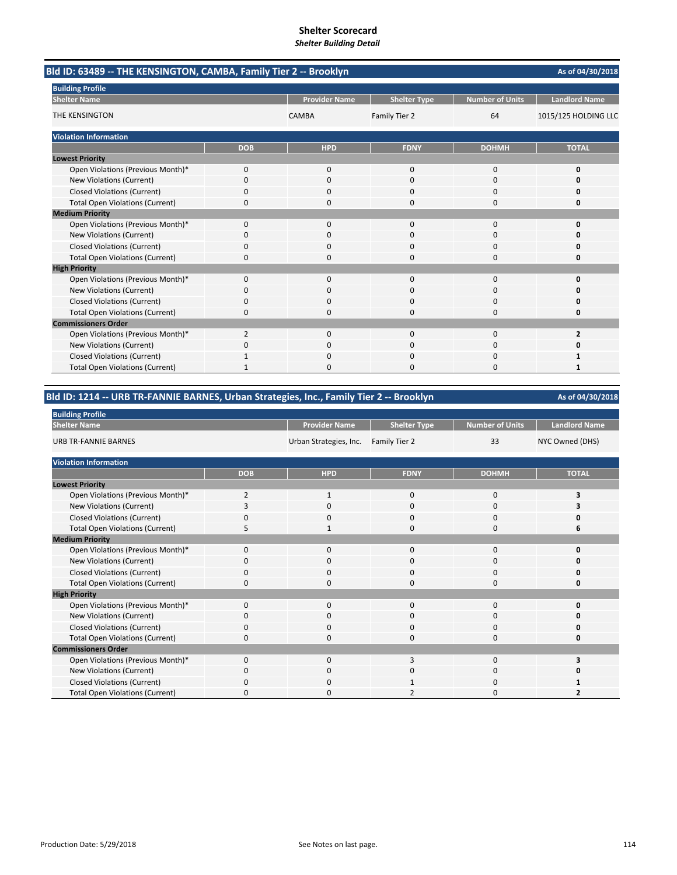| Bld ID: 63489 -- THE KENSINGTON, CAMBA, Family Tier 2 -- Brooklyn |            |                      |                     |                        | As of 04/30/2018     |
|-------------------------------------------------------------------|------------|----------------------|---------------------|------------------------|----------------------|
| <b>Building Profile</b>                                           |            |                      |                     |                        |                      |
| <b>Shelter Name</b>                                               |            | <b>Provider Name</b> | <b>Shelter Type</b> | <b>Number of Units</b> | <b>Landlord Name</b> |
| THE KENSINGTON                                                    |            | CAMBA                | Family Tier 2       | 64                     | 1015/125 HOLDING LLC |
| <b>Violation Information</b>                                      |            |                      |                     |                        |                      |
|                                                                   | <b>DOB</b> | <b>HPD</b>           | <b>FDNY</b>         | <b>DOHMH</b>           | <b>TOTAL</b>         |
| <b>Lowest Priority</b>                                            |            |                      |                     |                        |                      |
| Open Violations (Previous Month)*                                 | 0          | $\mathbf{0}$         | $\mathbf 0$         | $\Omega$               | 0                    |
| New Violations (Current)                                          | 0          | $\Omega$             | $\Omega$            | $\Omega$               | $\Omega$             |
| <b>Closed Violations (Current)</b>                                | 0          | $\Omega$             | 0                   | 0                      | 0                    |
| <b>Total Open Violations (Current)</b>                            | 0          | 0                    | $\Omega$            | $\Omega$               | 0                    |
| <b>Medium Priority</b>                                            |            |                      |                     |                        |                      |
| Open Violations (Previous Month)*                                 | 0          | 0                    | $\mathbf 0$         | 0                      | 0                    |
| New Violations (Current)                                          | 0          |                      | 0                   | 0                      | 0                    |
| <b>Closed Violations (Current)</b>                                | 0          | $\Omega$             | $\mathbf 0$         | 0                      | $\Omega$             |
| <b>Total Open Violations (Current)</b>                            | 0          | <sup>0</sup>         | $\Omega$            | $\Omega$               | 0                    |
| <b>High Priority</b>                                              |            |                      |                     |                        |                      |
| Open Violations (Previous Month)*                                 | 0          | 0                    | 0                   | 0                      | 0                    |
| New Violations (Current)                                          | 0          | 0                    | $\mathbf 0$         | 0                      | 0                    |
| <b>Closed Violations (Current)</b>                                | 0          | O                    | $\Omega$            | O                      | O                    |
| <b>Total Open Violations (Current)</b>                            | 0          | O                    | $\Omega$            | O                      | 0                    |
| <b>Commissioners Order</b>                                        |            |                      |                     |                        |                      |
| Open Violations (Previous Month)*                                 | 2          | $\Omega$             | $\mathbf 0$         | 0                      | $\overline{2}$       |
| <b>New Violations (Current)</b>                                   | 0          | 0                    | $\Omega$            | $\Omega$               | 0                    |
| <b>Closed Violations (Current)</b>                                |            | 0                    | $\mathbf 0$         | 0                      |                      |
| <b>Total Open Violations (Current)</b>                            |            | $\Omega$             | $\Omega$            | $\Omega$               | $\mathbf{1}$         |

| Bld ID: 1214 -- URB TR-FANNIE BARNES, Urban Strategies, Inc., Family Tier 2 -- Brooklyn<br>As of 04/30/2018 |                |                        |                     |                        |                      |  |  |
|-------------------------------------------------------------------------------------------------------------|----------------|------------------------|---------------------|------------------------|----------------------|--|--|
| <b>Building Profile</b>                                                                                     |                |                        |                     |                        |                      |  |  |
| <b>Shelter Name</b>                                                                                         |                | <b>Provider Name</b>   | <b>Shelter Type</b> | <b>Number of Units</b> | <b>Landlord Name</b> |  |  |
| <b>URB TR-FANNIE BARNES</b>                                                                                 |                | Urban Strategies, Inc. | Family Tier 2       | 33                     | NYC Owned (DHS)      |  |  |
| <b>Violation Information</b>                                                                                |                |                        |                     |                        |                      |  |  |
|                                                                                                             | <b>DOB</b>     | <b>HPD</b>             | <b>FDNY</b>         | <b>DOHMH</b>           | <b>TOTAL</b>         |  |  |
| <b>Lowest Priority</b>                                                                                      |                |                        |                     |                        |                      |  |  |
| Open Violations (Previous Month)*                                                                           | $\overline{2}$ | $\mathbf{1}$           | $\mathbf 0$         | $\mathbf 0$            | 3                    |  |  |
| New Violations (Current)                                                                                    | 3              | 0                      | 0                   | $\mathbf 0$            | 3                    |  |  |
| <b>Closed Violations (Current)</b>                                                                          | 0              | 0                      | 0                   | 0                      | 0                    |  |  |
| <b>Total Open Violations (Current)</b>                                                                      | 5              | 1                      | $\Omega$            | 0                      | 6                    |  |  |
| <b>Medium Priority</b>                                                                                      |                |                        |                     |                        |                      |  |  |
| Open Violations (Previous Month)*                                                                           | 0              | $\mathbf 0$            | $\Omega$            | 0                      | 0                    |  |  |
| New Violations (Current)                                                                                    | 0              | $\mathbf{0}$           | $\Omega$            | $\mathbf 0$            | O                    |  |  |
| <b>Closed Violations (Current)</b>                                                                          | 0              | 0                      | $\Omega$            | $\mathbf 0$            | n                    |  |  |
| <b>Total Open Violations (Current)</b>                                                                      | 0              | 0                      | $\Omega$            | 0                      | 0                    |  |  |
| <b>High Priority</b>                                                                                        |                |                        |                     |                        |                      |  |  |
| Open Violations (Previous Month)*                                                                           | 0              | $\mathbf 0$            | $\Omega$            | 0                      | O                    |  |  |
| New Violations (Current)                                                                                    | 0              | 0                      | $\Omega$            | 0                      | Ω                    |  |  |
| <b>Closed Violations (Current)</b>                                                                          | 0              | $\mathbf{0}$           | $\Omega$            | $\mathbf 0$            | O                    |  |  |
| <b>Total Open Violations (Current)</b>                                                                      | 0              | 0                      | $\Omega$            | $\mathbf 0$            | O                    |  |  |
| <b>Commissioners Order</b>                                                                                  |                |                        |                     |                        |                      |  |  |
| Open Violations (Previous Month)*                                                                           | 0              | $\mathbf{0}$           | 3                   | 0                      | 3                    |  |  |
| New Violations (Current)                                                                                    | 0              | $\Omega$               | $\Omega$            | 0                      |                      |  |  |
| <b>Closed Violations (Current)</b>                                                                          | 0              | 0                      |                     | 0                      |                      |  |  |
| <b>Total Open Violations (Current)</b>                                                                      | 0              | $\Omega$               | $\overline{2}$      | 0                      | 2                    |  |  |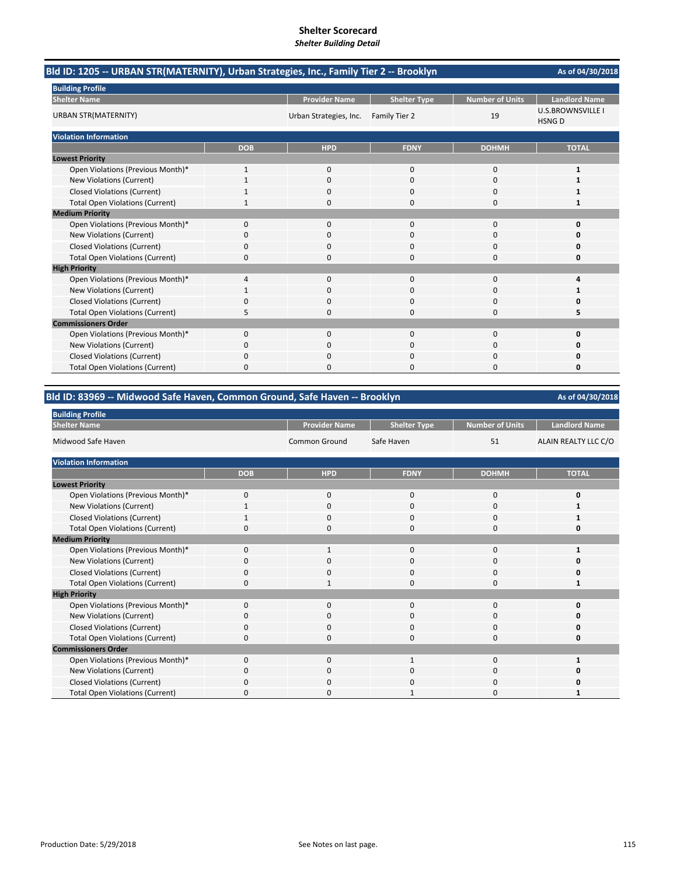| Bld ID: 1205 -- URBAN STR(MATERNITY), Urban Strategies, Inc., Family Tier 2 -- Brooklyn | As of 04/30/2018 |                        |                     |                        |                                          |
|-----------------------------------------------------------------------------------------|------------------|------------------------|---------------------|------------------------|------------------------------------------|
| <b>Building Profile</b>                                                                 |                  |                        |                     |                        |                                          |
| <b>Shelter Name</b>                                                                     |                  | <b>Provider Name</b>   | <b>Shelter Type</b> | <b>Number of Units</b> | <b>Landlord Name</b>                     |
| <b>URBAN STR(MATERNITY)</b>                                                             |                  | Urban Strategies, Inc. | Family Tier 2       | 19                     | <b>U.S.BROWNSVILLE I</b><br><b>HSNGD</b> |
| <b>Violation Information</b>                                                            |                  |                        |                     |                        |                                          |
|                                                                                         | <b>DOB</b>       | <b>HPD</b>             | <b>FDNY</b>         | <b>DOHMH</b>           | <b>TOTAL</b>                             |
| <b>Lowest Priority</b>                                                                  |                  |                        |                     |                        |                                          |
| Open Violations (Previous Month)*                                                       | $\mathbf{1}$     | $\Omega$               | $\Omega$            | $\Omega$               | $\mathbf{1}$                             |
| New Violations (Current)                                                                |                  | $\Omega$               | $\Omega$            | 0                      |                                          |
| <b>Closed Violations (Current)</b>                                                      |                  | 0                      | 0                   | 0                      | 1                                        |
| <b>Total Open Violations (Current)</b>                                                  |                  | 0                      | 0                   | 0                      | 1                                        |
| <b>Medium Priority</b>                                                                  |                  |                        |                     |                        |                                          |
| Open Violations (Previous Month)*                                                       | $\Omega$         | $\Omega$               | $\Omega$            | $\Omega$               | $\Omega$                                 |
| New Violations (Current)                                                                | 0                | 0                      | 0                   | 0                      | o                                        |
| <b>Closed Violations (Current)</b>                                                      | 0                | 0                      | 0                   | 0                      | Ω                                        |
| <b>Total Open Violations (Current)</b>                                                  | $\Omega$         | $\Omega$               | 0                   | $\Omega$               | 0                                        |
| <b>High Priority</b>                                                                    |                  |                        |                     |                        |                                          |
| Open Violations (Previous Month)*                                                       | 4                | 0                      | $\mathbf{0}$        | $\mathbf 0$            | 4                                        |
| New Violations (Current)                                                                |                  | <sup>0</sup>           | $\Omega$            | $\Omega$               |                                          |
| <b>Closed Violations (Current)</b>                                                      | 0                | 0                      | 0                   | 0                      | Ω                                        |
| <b>Total Open Violations (Current)</b>                                                  | 5                | $\Omega$               | $\Omega$            | $\Omega$               | 5                                        |
| <b>Commissioners Order</b>                                                              |                  |                        |                     |                        |                                          |
| Open Violations (Previous Month)*                                                       | $\Omega$         | $\Omega$               | $\Omega$            | $\Omega$               | O                                        |
| New Violations (Current)                                                                | 0                | 0                      | $\Omega$            | $\Omega$               | 0                                        |
| <b>Closed Violations (Current)</b>                                                      | 0                | 0                      | 0                   | 0                      | Ω                                        |
| <b>Total Open Violations (Current)</b>                                                  | 0                | $\Omega$               | O                   | $\Omega$               | 0                                        |

### **Bld ID: 83969 ‐‐ Midwood Safe Haven, Common Ground, Safe Haven ‐‐ Brooklyn**

| <b>Building Profile</b>                |              |                      |                     |                 |                      |
|----------------------------------------|--------------|----------------------|---------------------|-----------------|----------------------|
| <b>Shelter Name</b>                    |              | <b>Provider Name</b> | <b>Shelter Type</b> | Number of Units | <b>Landlord Name</b> |
| Midwood Safe Haven                     |              | <b>Common Ground</b> | Safe Haven          | 51              | ALAIN REALTY LLC C/O |
| <b>Violation Information</b>           |              |                      |                     |                 |                      |
|                                        | <b>DOB</b>   | <b>HPD</b>           | <b>FDNY</b>         | <b>DOHMH</b>    | <b>TOTAL</b>         |
| <b>Lowest Priority</b>                 |              |                      |                     |                 |                      |
| Open Violations (Previous Month)*      | $\mathbf 0$  | $\mathbf{0}$         | 0                   | 0               | 0                    |
| New Violations (Current)               | 1            | $\mathbf 0$          | 0                   | 0               |                      |
| <b>Closed Violations (Current)</b>     | 1            | $\Omega$             | $\Omega$            | $\Omega$        |                      |
| <b>Total Open Violations (Current)</b> | $\Omega$     | $\Omega$             | $\Omega$            | 0               | 0                    |
| <b>Medium Priority</b>                 |              |                      |                     |                 |                      |
| Open Violations (Previous Month)*      | $\Omega$     | $\mathbf{1}$         | $\Omega$            | 0               |                      |
| New Violations (Current)               | $\Omega$     | $\mathbf 0$          | 0                   | 0               | ŋ                    |
| <b>Closed Violations (Current)</b>     | $\Omega$     | $\Omega$             | $\Omega$            | 0               | ŋ                    |
| <b>Total Open Violations (Current)</b> | 0            | $\mathbf{1}$         | 0                   | 0               | 1                    |
| <b>High Priority</b>                   |              |                      |                     |                 |                      |
| Open Violations (Previous Month)*      | $\Omega$     | $\mathbf 0$          | 0                   | 0               | U                    |
| New Violations (Current)               | 0            | $\mathbf 0$          | 0                   | 0               | ŋ                    |
| <b>Closed Violations (Current)</b>     | $\Omega$     | $\mathbf 0$          | 0                   | 0               | ŋ                    |
| <b>Total Open Violations (Current)</b> | 0            | $\mathbf 0$          | 0                   | 0               | 0                    |
| <b>Commissioners Order</b>             |              |                      |                     |                 |                      |
| Open Violations (Previous Month)*      | $\Omega$     | $\Omega$             | 1                   | 0               |                      |
| New Violations (Current)               | $\Omega$     | $\mathbf{0}$         | 0                   | 0               | ŋ                    |
| <b>Closed Violations (Current)</b>     | <sup>0</sup> | $\Omega$             | O                   | 0               | Ω                    |
| <b>Total Open Violations (Current)</b> | <sup>0</sup> | 0                    |                     | 0               |                      |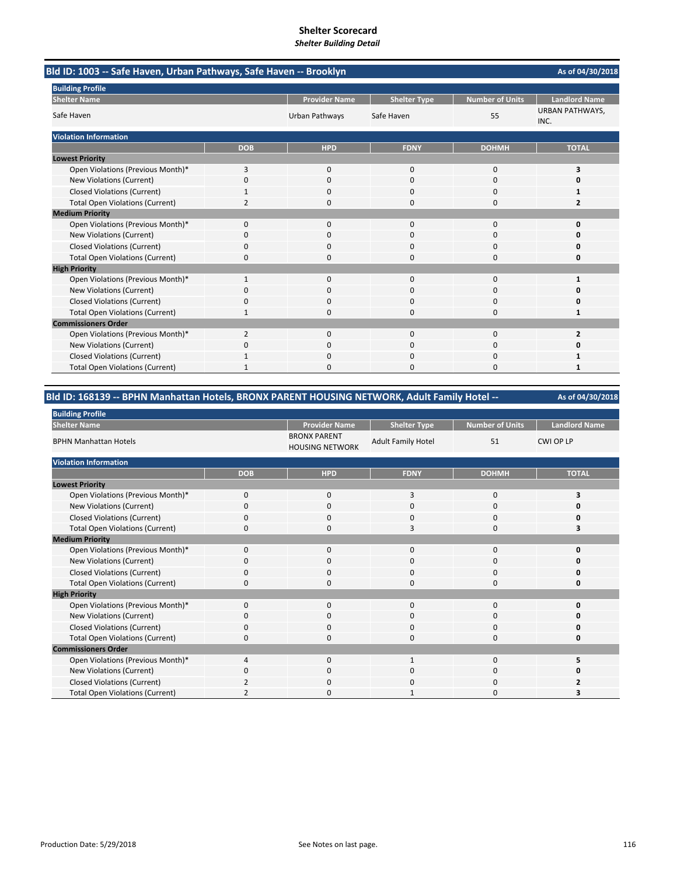|                                        | Bld ID: 1003 -- Safe Haven, Urban Pathways, Safe Haven -- Brooklyn |                      |                     |                 |                                |  |  |
|----------------------------------------|--------------------------------------------------------------------|----------------------|---------------------|-----------------|--------------------------------|--|--|
| <b>Building Profile</b>                |                                                                    |                      |                     |                 |                                |  |  |
| <b>Shelter Name</b>                    |                                                                    | <b>Provider Name</b> | <b>Shelter Type</b> | Number of Units | <b>Landlord Name</b>           |  |  |
| Safe Haven                             |                                                                    | Urban Pathways       | Safe Haven          | 55              | <b>URBAN PATHWAYS,</b><br>INC. |  |  |
| <b>Violation Information</b>           |                                                                    |                      |                     |                 |                                |  |  |
|                                        | <b>DOB</b>                                                         | <b>HPD</b>           | <b>FDNY</b>         | <b>DOHMH</b>    | <b>TOTAL</b>                   |  |  |
| <b>Lowest Priority</b>                 |                                                                    |                      |                     |                 |                                |  |  |
| Open Violations (Previous Month)*      | 3                                                                  | $\Omega$             | $\Omega$            | $\Omega$        | 3                              |  |  |
| New Violations (Current)               | 0                                                                  | $\Omega$             | $\Omega$            | 0               | $\Omega$                       |  |  |
| <b>Closed Violations (Current)</b>     |                                                                    | 0                    | $\Omega$            | 0               | 1                              |  |  |
| <b>Total Open Violations (Current)</b> | 2                                                                  | 0                    | $\mathbf 0$         | 0               | 2                              |  |  |
| <b>Medium Priority</b>                 |                                                                    |                      |                     |                 |                                |  |  |
| Open Violations (Previous Month)*      | 0                                                                  | $\Omega$             | $\Omega$            | 0               | $\mathbf 0$                    |  |  |
| <b>New Violations (Current)</b>        | ი                                                                  | 0                    | 0                   | O               | n                              |  |  |
| <b>Closed Violations (Current)</b>     | 0                                                                  | $\Omega$             | $\mathbf 0$         | 0               | $\Omega$                       |  |  |
| <b>Total Open Violations (Current)</b> | 0                                                                  | 0                    | $\Omega$            | $\Omega$        | 0                              |  |  |
| <b>High Priority</b>                   |                                                                    |                      |                     |                 |                                |  |  |
| Open Violations (Previous Month)*      | 1                                                                  | $\Omega$             | 0                   | 0               | 1                              |  |  |
| <b>New Violations (Current)</b>        | 0                                                                  | 0                    | $\Omega$            | 0               | 0                              |  |  |
| <b>Closed Violations (Current)</b>     | U                                                                  |                      | $\Omega$            | 0               | $\Omega$                       |  |  |
| <b>Total Open Violations (Current)</b> |                                                                    | <sup>n</sup>         | $\Omega$            | $\Omega$        | 1                              |  |  |
| <b>Commissioners Order</b>             |                                                                    |                      |                     |                 |                                |  |  |
| Open Violations (Previous Month)*      | 2                                                                  | $\Omega$             | $\Omega$            | 0               | $\overline{2}$                 |  |  |
| <b>New Violations (Current)</b>        | 0                                                                  | 0                    | O                   | $\Omega$        | 0                              |  |  |
| <b>Closed Violations (Current)</b>     |                                                                    | 0                    | $\Omega$            | $\Omega$        |                                |  |  |
| <b>Total Open Violations (Current)</b> | 1                                                                  | O                    | $\Omega$            | $\Omega$        | 1                              |  |  |

### **As of 04/30/2018 Bld ID: 168139 ‐‐ BPHN Manhattan Hotels, BRONX PARENT HOUSING NETWORK, Adult Family Hotel ‐‐**

| <b>Building Profile</b>                |             |                                               |                           |                        |                      |
|----------------------------------------|-------------|-----------------------------------------------|---------------------------|------------------------|----------------------|
| <b>Shelter Name</b>                    |             | <b>Provider Name</b>                          | <b>Shelter Type</b>       | <b>Number of Units</b> | <b>Landlord Name</b> |
| <b>BPHN Manhattan Hotels</b>           |             | <b>BRONX PARENT</b><br><b>HOUSING NETWORK</b> | <b>Adult Family Hotel</b> | 51                     | <b>CWI OP LP</b>     |
| <b>Violation Information</b>           |             |                                               |                           |                        |                      |
|                                        | <b>DOB</b>  | <b>HPD</b>                                    | <b>FDNY</b>               | <b>DOHMH</b>           | <b>TOTAL</b>         |
| <b>Lowest Priority</b>                 |             |                                               |                           |                        |                      |
| Open Violations (Previous Month)*      | $\mathbf 0$ | $\mathbf 0$                                   | 3                         | 0                      | 3                    |
| New Violations (Current)               | $\Omega$    | $\mathbf 0$                                   | $\mathbf 0$               | 0                      |                      |
| Closed Violations (Current)            | $\mathbf 0$ | $\mathbf 0$                                   | $\mathbf 0$               | 0                      | O                    |
| <b>Total Open Violations (Current)</b> | $\Omega$    | $\Omega$                                      | 3                         | $\Omega$               |                      |
| <b>Medium Priority</b>                 |             |                                               |                           |                        |                      |
| Open Violations (Previous Month)*      | $\Omega$    | $\mathbf 0$                                   | $\mathbf{0}$              | 0                      | O                    |
| New Violations (Current)               | 0           | 0                                             | 0                         | 0                      | n                    |
| <b>Closed Violations (Current)</b>     | $\mathbf 0$ | $\mathbf 0$                                   | $\mathbf 0$               | 0                      | 0                    |
| <b>Total Open Violations (Current)</b> | $\Omega$    | $\Omega$                                      | $\Omega$                  | $\Omega$               | O                    |
| <b>High Priority</b>                   |             |                                               |                           |                        |                      |
| Open Violations (Previous Month)*      | $\Omega$    | $\mathbf 0$                                   | 0                         | 0                      | O                    |
| New Violations (Current)               | O           | 0                                             | 0                         | 0                      | o                    |
| <b>Closed Violations (Current)</b>     | $\mathbf 0$ | $\mathbf 0$                                   | $\mathbf 0$               | 0                      | 0                    |
| <b>Total Open Violations (Current)</b> | $\Omega$    | $\Omega$                                      | $\mathbf 0$               | 0                      | 0                    |
| <b>Commissioners Order</b>             |             |                                               |                           |                        |                      |
| Open Violations (Previous Month)*      | 4           | $\mathbf 0$                                   | 1                         | 0                      |                      |
| New Violations (Current)               | 0           | $\mathbf 0$                                   | 0                         | 0                      | 0                    |
| <b>Closed Violations (Current)</b>     |             | $\mathbf 0$                                   | 0                         | 0                      |                      |
| <b>Total Open Violations (Current)</b> |             | $\Omega$                                      |                           | $\Omega$               |                      |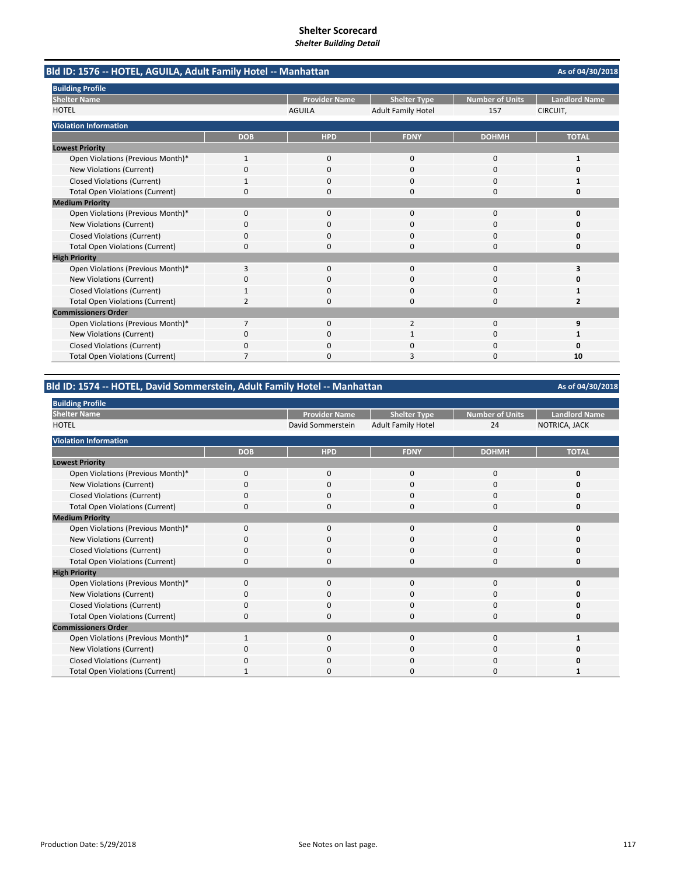| Bld ID: 1576 -- HOTEL, AGUILA, Adult Family Hotel -- Manhattan |                |                      |                           |                        | As of 04/30/2018        |
|----------------------------------------------------------------|----------------|----------------------|---------------------------|------------------------|-------------------------|
| <b>Building Profile</b>                                        |                |                      |                           |                        |                         |
| <b>Shelter Name</b>                                            |                | <b>Provider Name</b> | <b>Shelter Type</b>       | <b>Number of Units</b> | <b>Landlord Name</b>    |
| <b>HOTEL</b>                                                   |                | <b>AGUILA</b>        | <b>Adult Family Hotel</b> | 157                    | CIRCUIT,                |
| <b>Violation Information</b>                                   |                |                      |                           |                        |                         |
|                                                                | <b>DOB</b>     | <b>HPD</b>           | <b>FDNY</b>               | <b>DOHMH</b>           | <b>TOTAL</b>            |
| <b>Lowest Priority</b>                                         |                |                      |                           |                        |                         |
| Open Violations (Previous Month)*                              | $\mathbf{1}$   | 0                    | $\mathbf 0$               | 0                      | 1                       |
| New Violations (Current)                                       | 0              | $\Omega$             | $\Omega$                  | 0                      | O                       |
| <b>Closed Violations (Current)</b>                             |                | 0                    | $\Omega$                  | 0                      | 1                       |
| <b>Total Open Violations (Current)</b>                         | 0              | 0                    | 0                         | 0                      | 0                       |
| <b>Medium Priority</b>                                         |                |                      |                           |                        |                         |
| Open Violations (Previous Month)*                              | 0              | 0                    | $\Omega$                  | 0                      | O                       |
| New Violations (Current)                                       | 0              | 0                    | 0                         | 0                      | Ω                       |
| <b>Closed Violations (Current)</b>                             | 0              | $\Omega$             | $\Omega$                  | 0                      | Ω                       |
| <b>Total Open Violations (Current)</b>                         | 0              | 0                    | $\Omega$                  | 0                      | 0                       |
| <b>High Priority</b>                                           |                |                      |                           |                        |                         |
| Open Violations (Previous Month)*                              | 3              | $\Omega$             | $\Omega$                  | $\Omega$               | 3                       |
| New Violations (Current)                                       | 0              | 0                    | 0                         | 0                      | Ω                       |
| <b>Closed Violations (Current)</b>                             |                | 0                    | 0                         | 0                      | 1                       |
| <b>Total Open Violations (Current)</b>                         | 2              | $\Omega$             | $\Omega$                  | $\Omega$               | $\overline{\mathbf{z}}$ |
| <b>Commissioners Order</b>                                     |                |                      |                           |                        |                         |
| Open Violations (Previous Month)*                              | $\overline{7}$ | 0                    | $\overline{2}$            | 0                      | 9                       |
| New Violations (Current)                                       | 0              | 0                    |                           | 0                      | 1                       |
| <b>Closed Violations (Current)</b>                             | 0              | 0                    | $\Omega$                  | 0                      | O                       |
| <b>Total Open Violations (Current)</b>                         | 7              | 0                    | 3                         | 0                      | 10                      |

# **Bld ID: 1574 ‐‐ HOTEL, David Sommerstein, Adult Family Hotel ‐‐ Manhattan**

| <b>Building Profile</b>                |             |                      |                           |                 |                      |
|----------------------------------------|-------------|----------------------|---------------------------|-----------------|----------------------|
| <b>Shelter Name</b>                    |             | <b>Provider Name</b> | <b>Shelter Type</b>       | Number of Units | <b>Landlord Name</b> |
| <b>HOTEL</b>                           |             | David Sommerstein    | <b>Adult Family Hotel</b> | 24              | NOTRICA, JACK        |
| <b>Violation Information</b>           |             |                      |                           |                 |                      |
|                                        | <b>DOB</b>  | <b>HPD</b>           | <b>FDNY</b>               | <b>DOHMH</b>    | <b>TOTAL</b>         |
| <b>Lowest Priority</b>                 |             |                      |                           |                 |                      |
| Open Violations (Previous Month)*      | $\mathbf 0$ | 0                    | 0                         | 0               | O                    |
| New Violations (Current)               | $\Omega$    | 0                    | 0                         | 0               |                      |
| <b>Closed Violations (Current)</b>     | O           | 0                    | 0                         | 0               |                      |
| <b>Total Open Violations (Current)</b> |             | 0                    | 0                         | 0               | Ω                    |
| <b>Medium Priority</b>                 |             |                      |                           |                 |                      |
| Open Violations (Previous Month)*      | $\Omega$    | 0                    | $\mathbf{0}$              | 0               | O                    |
| New Violations (Current)               | 0           | 0                    | 0                         | 0               | O                    |
| <b>Closed Violations (Current)</b>     | O           | 0                    | 0                         | 0               | o                    |
| <b>Total Open Violations (Current)</b> | $\mathbf 0$ | 0                    | 0                         | 0               | 0                    |
| <b>High Priority</b>                   |             |                      |                           |                 |                      |
| Open Violations (Previous Month)*      | $\mathbf 0$ | 0                    | $\mathbf{0}$              | $\mathbf 0$     | 0                    |
| New Violations (Current)               | $\Omega$    | 0                    | 0                         | 0               | o                    |
| <b>Closed Violations (Current)</b>     | 0           | 0                    | 0                         | 0               | 0                    |
| <b>Total Open Violations (Current)</b> | $\Omega$    | 0                    | $\mathbf 0$               | 0               | 0                    |
| <b>Commissioners Order</b>             |             |                      |                           |                 |                      |
| Open Violations (Previous Month)*      |             | $\Omega$             | $\Omega$                  | $\Omega$        |                      |
| New Violations (Current)               | O           | 0                    | 0                         | 0               | n                    |
| <b>Closed Violations (Current)</b>     | $\Omega$    | 0                    | $\Omega$                  | 0               | o                    |
| <b>Total Open Violations (Current)</b> |             | 0                    | 0                         | 0               |                      |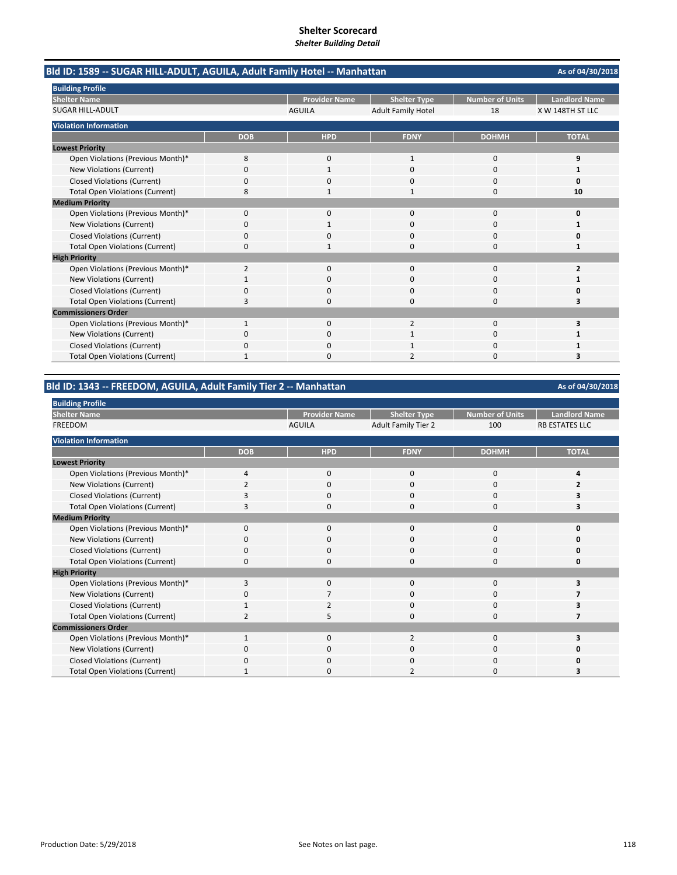**As of 04/30/2018 Provider Name Shelter Type Number of Units Landlord Name** AGUILA Adult Family Hotel 18 X W 148TH ST LLC **DOB HPD FDNY DOHMH TOTAL** Open Violations (Previous Month)\*  $\begin{array}{cccccccc} 8 & 0 & 1 & 0 & 9 \\ \text{New Violations (Current)} & 0 & 1 & 0 & 1 \end{array}$ New Violations (Current) 0100 **1** Closed Violations (Current) 0000 **0** Total Open Violations (Current) **8** 1 1 1 1 0 10 Open Violations (Previous Month)\* 0000 **0** New Violations (Current) 0100 **1** Closed Violations (Current) 0000 **0** Total Open Violations (Current) 0100 **1** Open Violations (Previous Month)\* 2000 **2** New Violations (Current) 1000 **1** Closed Violations (Current) 0000 **0** Total Open Violations (Current) **3** 3 3 3 3 3 3 3 3 3 3 3 3 4 3 3 3 3 4 3 3 4 3 3 4 3 3 4 3 4 3 3 4 3 4 3 3 4 3 4  $\frac{1}{2}$ Open Violations (Previous Month)\* 1 0 3<br>
2 0 3 New Violations (Current) **0**<br>  $\begin{array}{ccccccc}\n0 & 0 & 1 & 0 & 1 \\
0 & 0 & 1 & 0 & 1\n\end{array}$ Closed Violations (Current) **0** 0000 **1** 0000 **1** Total Open Violations (Current) 1020 **3 Shelter Name** SUGAR HILL‐ADULT **Commissioners Order Bld ID: 1589 ‐‐ SUGAR HILL‐ADULT, AGUILA, Adult Family Hotel ‐‐ Manhattan Building Profile Violation Information Lowest Priority Medium Priority High Priority**

### **Bld ID: 1343 ‐‐ FREEDOM, AGUILA, Adult Family Tier 2 ‐‐ Manhattan**

Provider Name | Shelter Type | Number of Units | Landlord Name AGUILA Adult Family Tier 2 100 RB ESTATES LLC **DOB HPD FDNY DOHMH TOTAL** Open Violations (Previous Month)\* 4000 **4**<br>  $\begin{array}{ccc} 4 & 0 & 0 & 0 \\ 0 & 4 & 4 & 0 \\ 0 & 0 & 4 & 4 \end{array}$ New Violations (Current) 2000 **2** Closed Violations (Current) 3000 **3** Total Open Violations (Current) **3** 3 3 3 3 3 3 3 3 3 3 3 4 3 3 3 3 3 4 3 3 3 3 3 4 3 3 3 3 4 3 3 3 3 4 3 3 3 3 4  $\sqrt{3}$ Open Violations (Previous Month)\* 0000 **0** New Violations (Current) 0000 **0** Closed Violations (Current) 0000 **0** Total Open Violations (Current) 0000 **0** Open Violations (Previous Month)\* 3000 **3** New Violations (Current) **0** 0 7 0 0 0 **7** Closed Violations (Current) 1 1 2 0 0 0 3 Total Open Violations (Current) **2** 2 5000 **7**<br>1 Open Violations (Previous Month)\* 1 0 3<br>
2 0 3 New Violations (Current) 0000 **0** Closed Violations (Current) **0** 0000 **0** 0000 **0** 0000 **0** Total Open Violations (Current) **1** 1 0 2 0 3 **High Priority Commissioners Order Building Profile Shelter Name** FREEDOM **Violation Information Lowest Priority Medium Priority**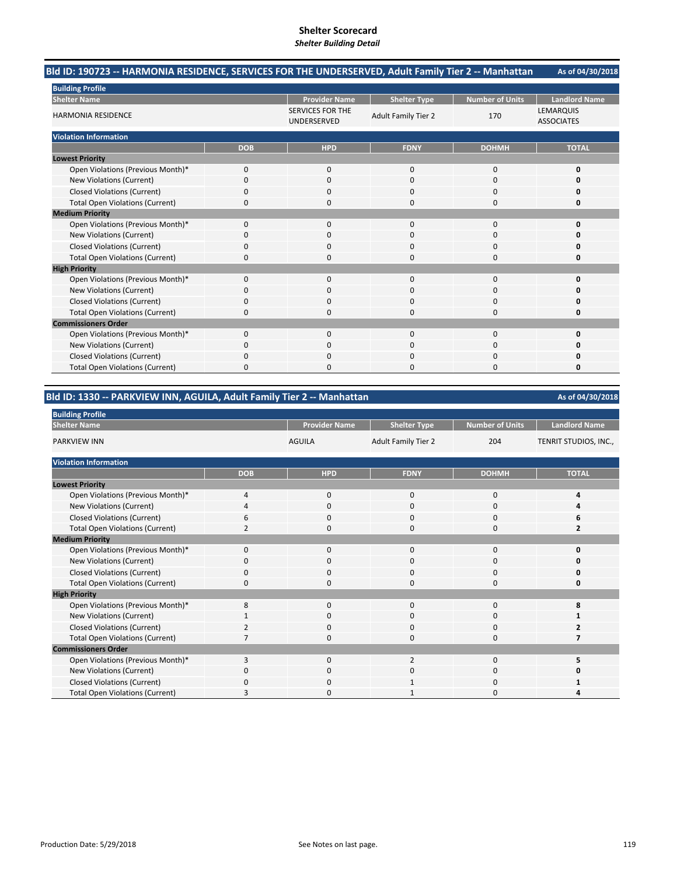#### **As of 04/30/2018 Bld ID: 190723 ‐‐ HARMONIA RESIDENCE, SERVICES FOR THE UNDERSERVED, Adult Family Tier 2 ‐‐ Manhattan**

| <b>Building Profile</b>                |            |                                        |                            |                        |                                       |
|----------------------------------------|------------|----------------------------------------|----------------------------|------------------------|---------------------------------------|
| <b>Shelter Name</b>                    |            | <b>Provider Name</b>                   | <b>Shelter Type</b>        | <b>Number of Units</b> | <b>Landlord Name</b>                  |
| <b>HARMONIA RESIDENCE</b>              |            | <b>SERVICES FOR THE</b><br>UNDERSERVED | <b>Adult Family Tier 2</b> | 170                    | <b>LEMARQUIS</b><br><b>ASSOCIATES</b> |
| <b>Violation Information</b>           |            |                                        |                            |                        |                                       |
|                                        | <b>DOB</b> | <b>HPD</b>                             | <b>FDNY</b>                | <b>DOHMH</b>           | <b>TOTAL</b>                          |
| <b>Lowest Priority</b>                 |            |                                        |                            |                        |                                       |
| Open Violations (Previous Month)*      | $\Omega$   | $\mathbf 0$                            | $\Omega$                   | 0                      | 0                                     |
| New Violations (Current)               | $\Omega$   | $\Omega$                               | U                          | 0                      | O                                     |
| <b>Closed Violations (Current)</b>     | $\Omega$   | $\Omega$                               | 0                          | 0                      | O                                     |
| <b>Total Open Violations (Current)</b> | $\Omega$   | $\Omega$                               | 0                          | 0                      | 0                                     |
| <b>Medium Priority</b>                 |            |                                        |                            |                        |                                       |
| Open Violations (Previous Month)*      | $\Omega$   | $\Omega$                               | $\Omega$                   | 0                      | O                                     |
| New Violations (Current)               | 0          | 0                                      | U                          | 0                      |                                       |
| <b>Closed Violations (Current)</b>     | 0          | $\mathbf 0$                            | 0                          | 0                      | O                                     |
| <b>Total Open Violations (Current)</b> | $\Omega$   | $\Omega$                               | U                          | 0                      | n                                     |
| <b>High Priority</b>                   |            |                                        |                            |                        |                                       |
| Open Violations (Previous Month)*      | $\Omega$   | $\Omega$                               | $\Omega$                   | 0                      | ŋ                                     |
| <b>New Violations (Current)</b>        | O          | 0                                      | O                          | 0                      |                                       |
| <b>Closed Violations (Current)</b>     | 0          | $\mathbf 0$                            | 0                          | 0                      | O                                     |
| <b>Total Open Violations (Current)</b> | $\Omega$   | $\Omega$                               | O                          | 0                      | O                                     |
| <b>Commissioners Order</b>             |            |                                        |                            |                        |                                       |
| Open Violations (Previous Month)*      | $\Omega$   | $\Omega$                               | $\Omega$                   | 0                      | O                                     |
| New Violations (Current)               | n          | $\Omega$                               | O                          | 0                      |                                       |
| <b>Closed Violations (Current)</b>     | $\Omega$   | $\mathbf 0$                            | O                          | 0                      | ŋ                                     |
| <b>Total Open Violations (Current)</b> | 0          | $\Omega$                               | U                          | 0                      | 0                                     |

**Bld ID: 1330 ‐‐ PARKVIEW INN, AGUILA, Adult Family Tier 2 ‐‐ Manhattan**

| <b>Building Profile</b>                |               |                      |                            |                        |                       |
|----------------------------------------|---------------|----------------------|----------------------------|------------------------|-----------------------|
| <b>Shelter Name</b>                    |               | <b>Provider Name</b> | <b>Shelter Type</b>        | <b>Number of Units</b> | <b>Landlord Name</b>  |
| <b>PARKVIEW INN</b>                    |               | <b>AGUILA</b>        | <b>Adult Family Tier 2</b> | 204                    | TENRIT STUDIOS, INC., |
| <b>Violation Information</b>           |               |                      |                            |                        |                       |
|                                        | <b>DOB</b>    | <b>HPD</b>           | <b>FDNY</b>                | <b>DOHMH</b>           | <b>TOTAL</b>          |
| <b>Lowest Priority</b>                 |               |                      |                            |                        |                       |
| Open Violations (Previous Month)*      | 4             | $\mathbf 0$          | 0                          | $\mathbf 0$            | 4                     |
| New Violations (Current)               | 4             | 0                    | 0                          | 0                      | 4                     |
| <b>Closed Violations (Current)</b>     | 6             | 0                    | 0                          | $\mathbf 0$            | 6                     |
| <b>Total Open Violations (Current)</b> | 2             | 0                    | $\Omega$                   | $\Omega$               | $\overline{2}$        |
| <b>Medium Priority</b>                 |               |                      |                            |                        |                       |
| Open Violations (Previous Month)*      | $\Omega$      | $\Omega$             | $\Omega$                   | 0                      | 0                     |
| New Violations (Current)               | 0             | 0                    | 0                          | 0                      | $\Omega$              |
| <b>Closed Violations (Current)</b>     | $\Omega$      | $\Omega$             | $\Omega$                   | 0                      | 0                     |
| <b>Total Open Violations (Current)</b> | 0             | 0                    | $\Omega$                   | 0                      | 0                     |
| <b>High Priority</b>                   |               |                      |                            |                        |                       |
| Open Violations (Previous Month)*      | 8             | $\mathbf 0$          | 0                          | 0                      | 8                     |
| New Violations (Current)               |               | 0                    | 0                          | 0                      |                       |
| <b>Closed Violations (Current)</b>     | $\mathcal{P}$ | 0                    | 0                          | 0                      | 2                     |
| <b>Total Open Violations (Current)</b> |               | 0                    | 0                          | 0                      | 7                     |
| <b>Commissioners Order</b>             |               |                      |                            |                        |                       |
| Open Violations (Previous Month)*      | 3             | $\Omega$             | $\overline{2}$             | 0                      | 5                     |
| New Violations (Current)               | 0             | $\Omega$             | 0                          | 0                      | Ω                     |
| <b>Closed Violations (Current)</b>     | O             | 0                    |                            | 0                      |                       |
| <b>Total Open Violations (Current)</b> | 3             | 0                    | 1                          | 0                      | Δ                     |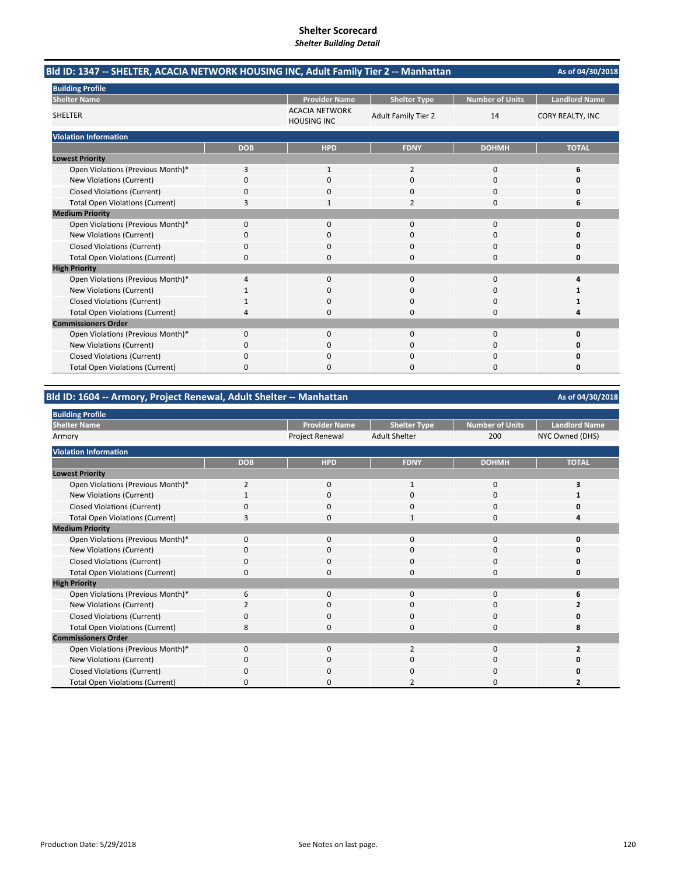| Bld ID: 1347 -- SHELTER, ACACIA NETWORK HOUSING INC, Adult Family Tier 2 -- Manhattan |            |                                             |                            |                        | As of 04/30/2018        |
|---------------------------------------------------------------------------------------|------------|---------------------------------------------|----------------------------|------------------------|-------------------------|
| <b>Building Profile</b><br><b>Shelter Name</b>                                        |            | <b>Provider Name</b>                        | <b>Shelter Type</b>        | <b>Number of Units</b> | <b>Landlord Name</b>    |
| <b>SHELTER</b>                                                                        |            | <b>ACACIA NETWORK</b><br><b>HOUSING INC</b> | <b>Adult Family Tier 2</b> | 14                     | <b>CORY REALTY, INC</b> |
| <b>Violation Information</b>                                                          |            |                                             |                            |                        |                         |
|                                                                                       | <b>DOB</b> | <b>HPD</b>                                  | <b>FDNY</b>                | <b>DOHMH</b>           | <b>TOTAL</b>            |
| <b>Lowest Priority</b>                                                                |            |                                             |                            |                        |                         |
| Open Violations (Previous Month)*                                                     | 3          | 1                                           | $\overline{2}$             | 0                      | 6                       |
| New Violations (Current)                                                              | 0          | $\Omega$                                    | $\Omega$                   | 0                      | O                       |
| <b>Closed Violations (Current)</b>                                                    | 0          |                                             | n                          | O                      | n                       |
| <b>Total Open Violations (Current)</b>                                                | 3          |                                             | $\overline{2}$             | 0                      | 6                       |
| <b>Medium Priority</b>                                                                |            |                                             |                            |                        |                         |
| Open Violations (Previous Month)*                                                     | 0          | $\mathbf{0}$                                | $\Omega$                   | 0                      | 0                       |
| New Violations (Current)                                                              | 0          | 0                                           | 0                          | 0                      | O                       |
| <b>Closed Violations (Current)</b>                                                    | 0          | $\Omega$                                    | $\Omega$                   | $\Omega$               | Ω                       |
| <b>Total Open Violations (Current)</b>                                                | 0          | n                                           | $\Omega$                   | $\Omega$               | 0                       |
| <b>High Priority</b>                                                                  |            |                                             |                            |                        |                         |
| Open Violations (Previous Month)*                                                     | 4          | $\mathbf{0}$                                | $\mathbf{0}$               | 0                      | Δ                       |
| New Violations (Current)                                                              |            | O                                           | $\Omega$                   | $\Omega$               | 1                       |
| <b>Closed Violations (Current)</b>                                                    |            | <sup>0</sup>                                | $\Omega$                   | 0                      |                         |
| <b>Total Open Violations (Current)</b>                                                | 4          | $\Omega$                                    | $\Omega$                   | 0                      |                         |
| <b>Commissioners Order</b>                                                            |            |                                             |                            |                        |                         |
| Open Violations (Previous Month)*                                                     | 0          | $\Omega$                                    | $\Omega$                   | $\Omega$               | 0                       |
| New Violations (Current)                                                              | 0          | $\Omega$                                    | $\Omega$                   | $\Omega$               | n                       |
| <b>Closed Violations (Current)</b>                                                    | 0          | 0                                           | 0                          | 0                      | Ω                       |
| <b>Total Open Violations (Current)</b>                                                | 0          |                                             | 0                          | 0                      | 0                       |

# **Bld ID: 1604 ‐‐ Armory, Project Renewal, Adult Shelter ‐‐ Manhattan**

| <b>Building Profile</b>                |                |                      |                      |                        |                          |
|----------------------------------------|----------------|----------------------|----------------------|------------------------|--------------------------|
| <b>Shelter Name</b>                    |                | <b>Provider Name</b> | <b>Shelter Type</b>  | <b>Number of Units</b> | <b>Landlord Name</b>     |
| Armory                                 |                | Project Renewal      | <b>Adult Shelter</b> | 200                    | NYC Owned (DHS)          |
| <b>Violation Information</b>           |                |                      |                      |                        |                          |
|                                        | <b>DOB</b>     | <b>HPD</b>           | <b>FDNY</b>          | <b>DOHMH</b>           | <b>TOTAL</b>             |
| <b>Lowest Priority</b>                 |                |                      |                      |                        |                          |
| Open Violations (Previous Month)*      | $\overline{2}$ | $\mathbf 0$          |                      | 0                      | 3                        |
| New Violations (Current)               |                | 0                    | 0                    | 0                      |                          |
| <b>Closed Violations (Current)</b>     |                | $\mathbf{0}$         | $\Omega$             | 0                      |                          |
| <b>Total Open Violations (Current)</b> | 3              | 0                    | 1                    | 0                      |                          |
| <b>Medium Priority</b>                 |                |                      |                      |                        |                          |
| Open Violations (Previous Month)*      | 0              | $\mathbf 0$          | $\Omega$             | $\Omega$               | ŋ                        |
| New Violations (Current)               | 0              | $\Omega$             | $\Omega$             | 0                      |                          |
| <b>Closed Violations (Current)</b>     | 0              | 0                    | $\Omega$             | 0                      | n                        |
| <b>Total Open Violations (Current)</b> | $\Omega$       | $\Omega$             | $\Omega$             | $\Omega$               | Ω                        |
| <b>High Priority</b>                   |                |                      |                      |                        |                          |
| Open Violations (Previous Month)*      | 6              | 0                    | $\Omega$             | $\Omega$               |                          |
| New Violations (Current)               |                | 0                    | 0                    | 0                      |                          |
| <b>Closed Violations (Current)</b>     | O              | $\Omega$             | $\Omega$             | 0                      |                          |
| <b>Total Open Violations (Current)</b> | 8              | 0                    | O                    | C                      | 8                        |
| <b>Commissioners Order</b>             |                |                      |                      |                        |                          |
| Open Violations (Previous Month)*      | $\Omega$       | $\Omega$             | $\overline{2}$       | $\Omega$               | $\overline{\phantom{a}}$ |
| New Violations (Current)               | n              | $\Omega$             | $\Omega$             | 0                      |                          |
| <b>Closed Violations (Current)</b>     |                | $\Omega$             | $\Omega$             | O                      |                          |
| <b>Total Open Violations (Current)</b> | n              | ი                    |                      | O                      |                          |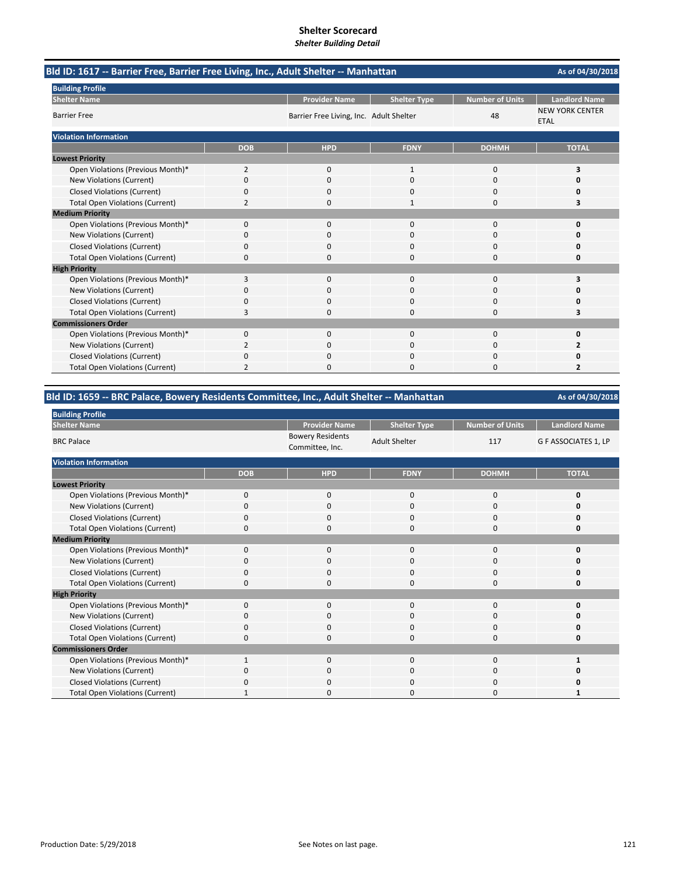| Bld ID: 1617 -- Barrier Free, Barrier Free Living, Inc., Adult Shelter -- Manhattan | As of 04/30/2018 |                                         |                     |                        |                                       |
|-------------------------------------------------------------------------------------|------------------|-----------------------------------------|---------------------|------------------------|---------------------------------------|
| <b>Building Profile</b>                                                             |                  |                                         |                     |                        |                                       |
| <b>Shelter Name</b>                                                                 |                  | <b>Provider Name</b>                    | <b>Shelter Type</b> | <b>Number of Units</b> | <b>Landlord Name</b>                  |
| <b>Barrier Free</b>                                                                 |                  | Barrier Free Living, Inc. Adult Shelter |                     | 48                     | <b>NEW YORK CENTER</b><br><b>ETAL</b> |
| <b>Violation Information</b>                                                        |                  |                                         |                     |                        |                                       |
|                                                                                     | <b>DOB</b>       | <b>HPD</b>                              | <b>FDNY</b>         | <b>DOHMH</b>           | <b>TOTAL</b>                          |
| <b>Lowest Priority</b>                                                              |                  |                                         |                     |                        |                                       |
| Open Violations (Previous Month)*                                                   | $\overline{2}$   | $\mathbf{0}$                            | $\mathbf{1}$        | 0                      | 3                                     |
| New Violations (Current)                                                            | 0                | $\Omega$                                | $\Omega$            | $\Omega$               | O                                     |
| <b>Closed Violations (Current)</b>                                                  | 0                | 0                                       | O                   | 0                      | Ω                                     |
| <b>Total Open Violations (Current)</b>                                              | $\overline{2}$   | $\Omega$                                | 1                   | 0                      | 3                                     |
| <b>Medium Priority</b>                                                              |                  |                                         |                     |                        |                                       |
| Open Violations (Previous Month)*                                                   | $\Omega$         | $\Omega$                                | $\Omega$            | $\Omega$               | $\Omega$                              |
| New Violations (Current)                                                            | 0                | 0                                       | $\Omega$            | 0                      | O                                     |
| <b>Closed Violations (Current)</b>                                                  | 0                | 0                                       | $\Omega$            | 0                      | O                                     |
| <b>Total Open Violations (Current)</b>                                              | 0                | O                                       | $\Omega$            | $\Omega$               | O                                     |
| <b>High Priority</b>                                                                |                  |                                         |                     |                        |                                       |
| Open Violations (Previous Month)*                                                   | 3                | $\mathbf{0}$                            | $\mathbf{0}$        | 0                      | 3                                     |
| New Violations (Current)                                                            | 0                | 0                                       | $\Omega$            | 0                      | O                                     |
| <b>Closed Violations (Current)</b>                                                  | 0                | 0                                       | 0                   | 0                      | 0                                     |
| <b>Total Open Violations (Current)</b>                                              | 3                | $\Omega$                                | $\Omega$            | 0                      | 3                                     |
| <b>Commissioners Order</b>                                                          |                  |                                         |                     |                        |                                       |
| Open Violations (Previous Month)*                                                   | $\Omega$         | $\Omega$                                | $\Omega$            | $\Omega$               | $\Omega$                              |
| New Violations (Current)                                                            | 2                | 0                                       | 0                   | 0                      | 2                                     |
| <b>Closed Violations (Current)</b>                                                  | 0                | 0                                       | 0                   | 0                      | 0                                     |
| <b>Total Open Violations (Current)</b>                                              | $\overline{2}$   | O                                       | $\Omega$            | $\Omega$               | 2                                     |

### **Bld ID: 1659 ‐‐ BRC Palace, Bowery Residents Committee, Inc., Adult Shelter ‐‐ Manhattan**

| <b>Building Profile</b>                |              |                                            |                      |                        |                      |
|----------------------------------------|--------------|--------------------------------------------|----------------------|------------------------|----------------------|
| <b>Shelter Name</b>                    |              | <b>Provider Name</b>                       | <b>Shelter Type</b>  | <b>Number of Units</b> | <b>Landlord Name</b> |
| <b>BRC Palace</b>                      |              | <b>Bowery Residents</b><br>Committee, Inc. | <b>Adult Shelter</b> | 117                    | G F ASSOCIATES 1, LP |
| <b>Violation Information</b>           |              |                                            |                      |                        |                      |
|                                        | <b>DOB</b>   | <b>HPD</b>                                 | <b>FDNY</b>          | <b>DOHMH</b>           | <b>TOTAL</b>         |
| <b>Lowest Priority</b>                 |              |                                            |                      |                        |                      |
| Open Violations (Previous Month)*      | $\mathbf 0$  | $\mathbf 0$                                | 0                    | 0                      | 0                    |
| New Violations (Current)               | O            | 0                                          | 0                    | 0                      | O                    |
| <b>Closed Violations (Current)</b>     | 0            | $\mathbf 0$                                | $\mathbf 0$          | 0                      | O                    |
| <b>Total Open Violations (Current)</b> | $\Omega$     | $\mathbf 0$                                | $\mathbf 0$          | 0                      | 0                    |
| <b>Medium Priority</b>                 |              |                                            |                      |                        |                      |
| Open Violations (Previous Month)*      | $\Omega$     | $\mathbf 0$                                | $\mathbf 0$          | 0                      | O                    |
| New Violations (Current)               | 0            | $\mathbf 0$                                | 0                    | 0                      | O                    |
| <b>Closed Violations (Current)</b>     | $\Omega$     | $\mathbf 0$                                | $\mathbf 0$          | 0                      | O                    |
| <b>Total Open Violations (Current)</b> | $\Omega$     | $\Omega$                                   | $\mathbf 0$          | 0                      | 0                    |
| <b>High Priority</b>                   |              |                                            |                      |                        |                      |
| Open Violations (Previous Month)*      | $\Omega$     | $\Omega$                                   | $\Omega$             | $\Omega$               | 0                    |
| New Violations (Current)               | $\Omega$     | $\mathbf 0$                                | $\mathbf 0$          | 0                      | O                    |
| <b>Closed Violations (Current)</b>     | $\Omega$     | 0                                          | $\mathbf 0$          | 0                      | O                    |
| <b>Total Open Violations (Current)</b> | 0            | 0                                          | 0                    | 0                      | 0                    |
| <b>Commissioners Order</b>             |              |                                            |                      |                        |                      |
| Open Violations (Previous Month)*      | $\mathbf{1}$ | $\Omega$                                   | $\Omega$             | $\Omega$               |                      |
| New Violations (Current)               | 0            | $\mathbf 0$                                | 0                    | 0                      | n                    |
| <b>Closed Violations (Current)</b>     | $\Omega$     | $\mathbf 0$                                | $\mathbf 0$          | 0                      | n                    |
| <b>Total Open Violations (Current)</b> |              | $\Omega$                                   | $\Omega$             | $\Omega$               |                      |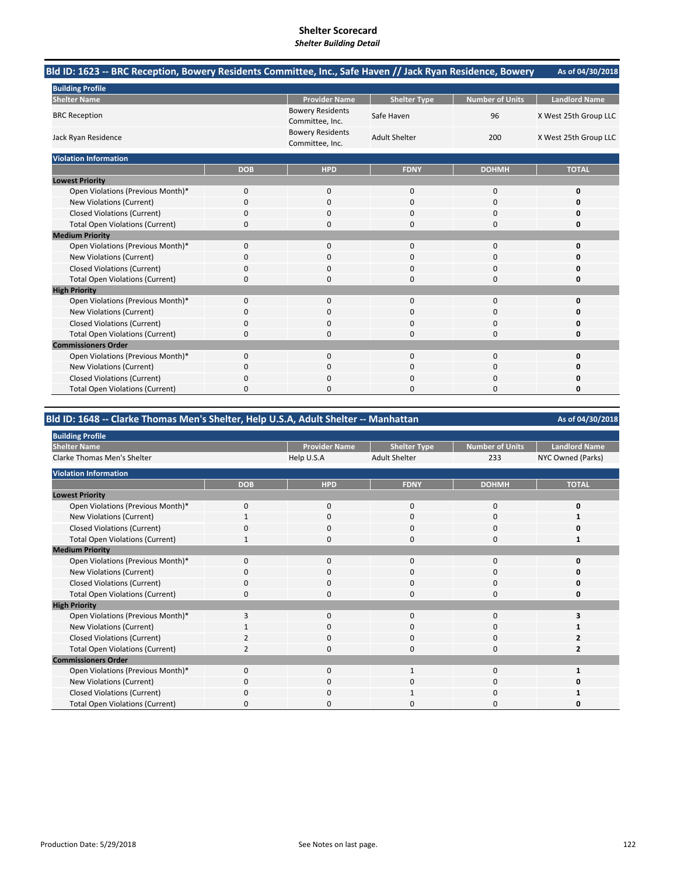# **Shelter Scorecard**

### *Shelter Building Detail*

| Bld ID: 1623 -- BRC Reception, Bowery Residents Committee, Inc., Safe Haven // Jack Ryan Residence, Bowery |            |                                            |                      |                        | As of 04/30/2018      |
|------------------------------------------------------------------------------------------------------------|------------|--------------------------------------------|----------------------|------------------------|-----------------------|
| <b>Building Profile</b>                                                                                    |            |                                            |                      |                        |                       |
| <b>Shelter Name</b>                                                                                        |            | <b>Provider Name</b>                       | <b>Shelter Type</b>  | <b>Number of Units</b> | <b>Landlord Name</b>  |
| <b>BRC Reception</b>                                                                                       |            | <b>Bowery Residents</b><br>Committee, Inc. | Safe Haven           | 96                     | X West 25th Group LLC |
| Jack Ryan Residence                                                                                        |            | <b>Bowery Residents</b><br>Committee, Inc. | <b>Adult Shelter</b> | 200                    | X West 25th Group LLC |
| <b>Violation Information</b>                                                                               |            |                                            |                      |                        |                       |
|                                                                                                            | <b>DOB</b> | <b>HPD</b>                                 | <b>FDNY</b>          | <b>DOHMH</b>           | <b>TOTAL</b>          |
| <b>Lowest Priority</b>                                                                                     |            |                                            |                      |                        |                       |
| Open Violations (Previous Month)*                                                                          | 0          | $\mathbf{0}$                               | $\mathbf{0}$         | 0                      | 0                     |
| New Violations (Current)                                                                                   | 0          | 0                                          | 0                    | 0                      | O                     |
| <b>Closed Violations (Current)</b>                                                                         | 0          | 0                                          | 0                    | 0                      | 0                     |
| <b>Total Open Violations (Current)</b>                                                                     | 0          | $\Omega$                                   | $\Omega$             | 0                      | 0                     |
| <b>Medium Priority</b>                                                                                     |            |                                            |                      |                        |                       |
| Open Violations (Previous Month)*                                                                          | 0          | $\Omega$                                   | $\Omega$             | $\Omega$               | 0                     |
| New Violations (Current)                                                                                   | 0          | 0                                          | $\Omega$             | 0                      | Ω                     |
| <b>Closed Violations (Current)</b>                                                                         | 0          | 0                                          | $\Omega$             | $\Omega$               | n                     |
| <b>Total Open Violations (Current)</b>                                                                     | 0          | $\Omega$                                   | $\Omega$             | $\Omega$               | O                     |
| <b>High Priority</b>                                                                                       |            |                                            |                      |                        |                       |
| Open Violations (Previous Month)*                                                                          | 0          | $\mathbf{0}$                               | $\mathbf{0}$         | 0                      | 0                     |
| New Violations (Current)                                                                                   | 0          | 0                                          | 0                    | 0                      | Ω                     |
| <b>Closed Violations (Current)</b>                                                                         | 0          | 0                                          | $\Omega$             | 0                      | Ω                     |
| <b>Total Open Violations (Current)</b>                                                                     | 0          | $\Omega$                                   | $\Omega$             | 0                      | 0                     |
| <b>Commissioners Order</b>                                                                                 |            |                                            |                      |                        |                       |
| Open Violations (Previous Month)*                                                                          | 0          | $\mathbf{0}$                               | $\mathbf 0$          | 0                      | $\Omega$              |
| New Violations (Current)                                                                                   | 0          | 0                                          | $\Omega$             | $\Omega$               | n                     |
| <b>Closed Violations (Current)</b>                                                                         | 0          |                                            | 0                    | 0                      | Ω                     |
| <b>Total Open Violations (Current)</b>                                                                     | 0          | 0                                          | n                    | 0                      | Ω                     |

# **Bld ID: 1648 ‐‐ Clarke Thomas Men's Shelter, Help U.S.A, Adult Shelter ‐‐ Manhattan**

| <b>Building Profile</b>                |                         |                      |                      |                        |                      |
|----------------------------------------|-------------------------|----------------------|----------------------|------------------------|----------------------|
| <b>Shelter Name</b>                    |                         | <b>Provider Name</b> | <b>Shelter Type</b>  | <b>Number of Units</b> | <b>Landlord Name</b> |
| <b>Clarke Thomas Men's Shelter</b>     |                         | Help U.S.A           | <b>Adult Shelter</b> | 233                    | NYC Owned (Parks)    |
| <b>Violation Information</b>           |                         |                      |                      |                        |                      |
|                                        | <b>DOB</b>              | <b>HPD</b>           | <b>FDNY</b>          | <b>DOHMH</b>           | <b>TOTAL</b>         |
| <b>Lowest Priority</b>                 |                         |                      |                      |                        |                      |
| Open Violations (Previous Month)*      | 0                       | $\mathbf{0}$         | $\mathbf{0}$         | 0                      | 0                    |
| New Violations (Current)               |                         | 0                    | $\Omega$             | 0                      |                      |
| <b>Closed Violations (Current)</b>     | 0                       | 0                    | 0                    | 0                      | ŋ                    |
| <b>Total Open Violations (Current)</b> |                         | $\mathbf 0$          | $\Omega$             | $\Omega$               |                      |
| <b>Medium Priority</b>                 |                         |                      |                      |                        |                      |
| Open Violations (Previous Month)*      | 0                       | $\mathbf 0$          | $\mathbf{0}$         | $\Omega$               | U                    |
| New Violations (Current)               | 0                       | 0                    | 0                    | 0                      | n                    |
| <b>Closed Violations (Current)</b>     | 0                       | $\mathbf 0$          | 0                    | 0                      | 0                    |
| <b>Total Open Violations (Current)</b> | 0                       | 0                    | 0                    | 0                      | 0                    |
| <b>High Priority</b>                   |                         |                      |                      |                        |                      |
| Open Violations (Previous Month)*      | 3                       | $\mathbf{0}$         | $\mathbf{0}$         | 0                      |                      |
| New Violations (Current)               |                         | 0                    | 0                    | 0                      |                      |
| <b>Closed Violations (Current)</b>     | $\overline{\mathbf{c}}$ | $\mathbf{0}$         | 0                    | 0                      |                      |
| <b>Total Open Violations (Current)</b> | $\mathcal{P}$           | $\mathbf 0$          | $\Omega$             | O                      |                      |
| <b>Commissioners Order</b>             |                         |                      |                      |                        |                      |
| Open Violations (Previous Month)*      | $\Omega$                | $\mathbf{0}$         |                      | 0                      |                      |
| New Violations (Current)               | 0                       | 0                    | 0                    | 0                      | Ω                    |
| <b>Closed Violations (Current)</b>     | 0                       | $\mathbf 0$          |                      | 0                      |                      |
| <b>Total Open Violations (Current)</b> | O                       | 0                    | 0                    | 0                      | ŋ                    |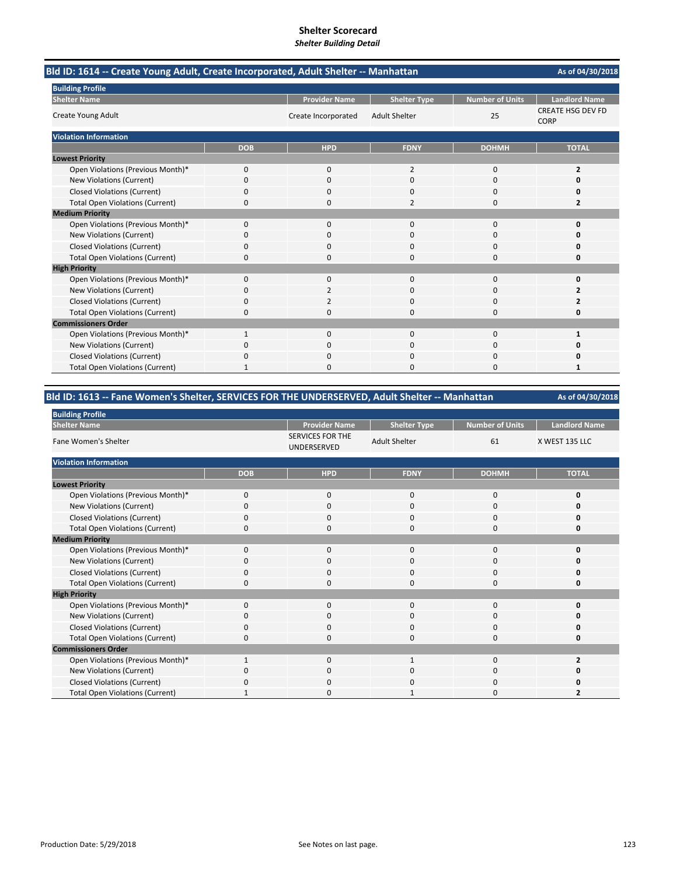| Bld ID: 1614 -- Create Young Adult, Create Incorporated, Adult Shelter -- Manhattan |              |                      |                      |                        | As of 04/30/2018                        |
|-------------------------------------------------------------------------------------|--------------|----------------------|----------------------|------------------------|-----------------------------------------|
| <b>Building Profile</b>                                                             |              |                      |                      |                        |                                         |
| <b>Shelter Name</b>                                                                 |              | <b>Provider Name</b> | <b>Shelter Type</b>  | <b>Number of Units</b> | <b>Landlord Name</b>                    |
| Create Young Adult                                                                  |              | Create Incorporated  | <b>Adult Shelter</b> | 25                     | <b>CREATE HSG DEV FD</b><br><b>CORP</b> |
| <b>Violation Information</b>                                                        |              |                      |                      |                        |                                         |
|                                                                                     | <b>DOB</b>   | <b>HPD</b>           | <b>FDNY</b>          | <b>DOHMH</b>           | <b>TOTAL</b>                            |
| <b>Lowest Priority</b>                                                              |              |                      |                      |                        |                                         |
| Open Violations (Previous Month)*                                                   | 0            | 0                    | $\overline{2}$       | 0                      | $\overline{2}$                          |
| New Violations (Current)                                                            | 0            | $\Omega$             | $\Omega$             | 0                      | $\Omega$                                |
| <b>Closed Violations (Current)</b>                                                  | 0            | 0                    | 0                    | 0                      | 0                                       |
| <b>Total Open Violations (Current)</b>                                              | 0            | $\Omega$             | $\overline{2}$       | $\Omega$               | $\overline{2}$                          |
| <b>Medium Priority</b>                                                              |              |                      |                      |                        |                                         |
| Open Violations (Previous Month)*                                                   | $\Omega$     | $\Omega$             | $\Omega$             | $\Omega$               | 0                                       |
| New Violations (Current)                                                            | 0            | 0                    | $\Omega$             | $\Omega$               | O                                       |
| <b>Closed Violations (Current)</b>                                                  | 0            | 0                    | 0                    | 0                      | 0                                       |
| <b>Total Open Violations (Current)</b>                                              | 0            | O                    | $\Omega$             | $\Omega$               | 0                                       |
| <b>High Priority</b>                                                                |              |                      |                      |                        |                                         |
| Open Violations (Previous Month)*                                                   | 0            | $\Omega$             | $\mathbf 0$          | $\Omega$               | 0                                       |
| New Violations (Current)                                                            | 0            | 2                    | $\Omega$             | $\Omega$               | $\overline{2}$                          |
| <b>Closed Violations (Current)</b>                                                  | 0            | 2                    | $\Omega$             | $\Omega$               | 2                                       |
| <b>Total Open Violations (Current)</b>                                              | 0            | 0                    | 0                    | 0                      | 0                                       |
| <b>Commissioners Order</b>                                                          |              |                      |                      |                        |                                         |
| Open Violations (Previous Month)*                                                   | $\mathbf{1}$ | $\Omega$             | $\Omega$             | $\Omega$               | 1                                       |
| <b>New Violations (Current)</b>                                                     | 0            | 0                    | $\Omega$             | O                      | O                                       |
| <b>Closed Violations (Current)</b>                                                  | 0            | 0                    | $\mathbf 0$          | 0                      | 0                                       |
| <b>Total Open Violations (Current)</b>                                              |              | <sup>0</sup>         | $\Omega$             | $\Omega$               | 1                                       |

### **Bld ID: 1613 ‐‐ Fane Women's Shelter, SERVICES FOR THE UNDERSERVED, Adult Shelter ‐‐ Manhattan**

| <b>Building Profile</b>                |             |                                        |                      |                        |                      |  |  |  |
|----------------------------------------|-------------|----------------------------------------|----------------------|------------------------|----------------------|--|--|--|
| <b>Shelter Name</b>                    |             | <b>Provider Name</b>                   | <b>Shelter Type</b>  | <b>Number of Units</b> | <b>Landlord Name</b> |  |  |  |
| Fane Women's Shelter                   |             | <b>SERVICES FOR THE</b><br>UNDERSERVED | <b>Adult Shelter</b> | 61                     | X WEST 135 LLC       |  |  |  |
| <b>Violation Information</b>           |             |                                        |                      |                        |                      |  |  |  |
|                                        | <b>DOB</b>  | <b>HPD</b>                             | <b>FDNY</b>          | <b>DOHMH</b>           | <b>TOTAL</b>         |  |  |  |
| <b>Lowest Priority</b>                 |             |                                        |                      |                        |                      |  |  |  |
| Open Violations (Previous Month)*      | $\mathbf 0$ | $\mathbf{0}$                           | 0                    | 0                      | 0                    |  |  |  |
| New Violations (Current)               | 0           | $\Omega$                               | 0                    | 0                      |                      |  |  |  |
| <b>Closed Violations (Current)</b>     | 0           | $\Omega$                               | $\Omega$             | $\mathbf 0$            |                      |  |  |  |
| <b>Total Open Violations (Current)</b> | O           | $\Omega$                               | $\Omega$             | $\mathbf 0$            |                      |  |  |  |
| <b>Medium Priority</b>                 |             |                                        |                      |                        |                      |  |  |  |
| Open Violations (Previous Month)*      | $\Omega$    | $\Omega$                               | 0                    | 0                      |                      |  |  |  |
| New Violations (Current)               | O           | 0                                      | 0                    | 0                      |                      |  |  |  |
| <b>Closed Violations (Current)</b>     | 0           | $\mathbf 0$                            | 0                    | $\mathbf 0$            |                      |  |  |  |
| <b>Total Open Violations (Current)</b> | 0           | $\Omega$                               | 0                    | 0                      |                      |  |  |  |
| <b>High Priority</b>                   |             |                                        |                      |                        |                      |  |  |  |
| Open Violations (Previous Month)*      | $\Omega$    | $\Omega$                               | $\Omega$             | $\mathbf 0$            | n                    |  |  |  |
| New Violations (Current)               | 0           | 0                                      | 0                    | 0                      |                      |  |  |  |
| <b>Closed Violations (Current)</b>     | 0           | $\Omega$                               | $\Omega$             | 0                      |                      |  |  |  |
| <b>Total Open Violations (Current)</b> | 0           | $\Omega$                               | 0                    | 0                      |                      |  |  |  |
| <b>Commissioners Order</b>             |             |                                        |                      |                        |                      |  |  |  |
| Open Violations (Previous Month)*      |             | $\Omega$                               |                      | $\Omega$               | 2                    |  |  |  |
| New Violations (Current)               | 0           | 0                                      | 0                    | 0                      |                      |  |  |  |
| <b>Closed Violations (Current)</b>     | 0           | 0                                      | 0                    | 0                      |                      |  |  |  |
| <b>Total Open Violations (Current)</b> |             | $\Omega$                               |                      | $\Omega$               |                      |  |  |  |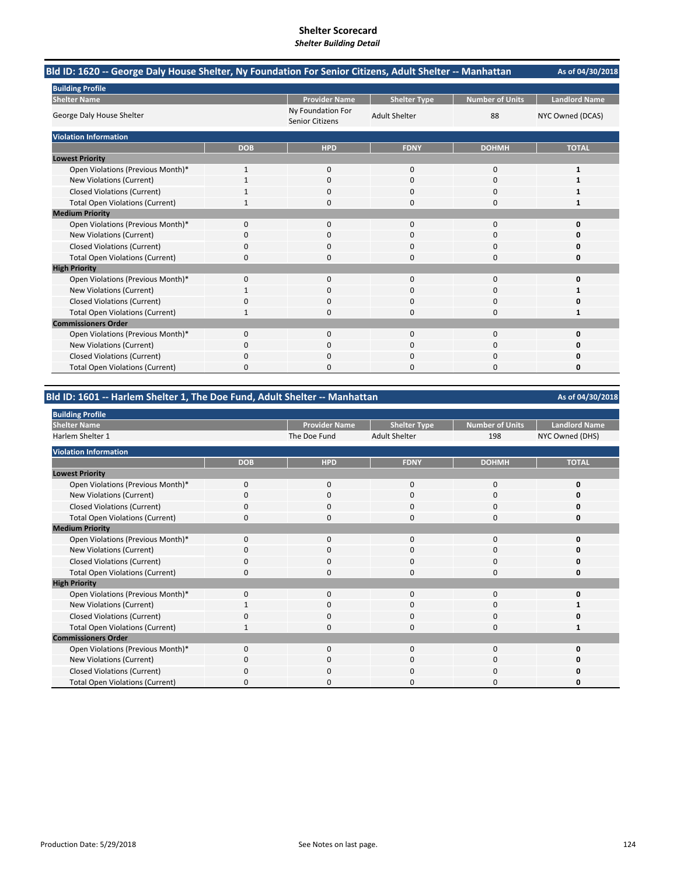| Bld ID: 1620 -- George Daly House Shelter, Ny Foundation For Senior Citizens, Adult Shelter -- Manhattan |              |                                      |                      |                        | As of 04/30/2018     |
|----------------------------------------------------------------------------------------------------------|--------------|--------------------------------------|----------------------|------------------------|----------------------|
| <b>Building Profile</b>                                                                                  |              |                                      |                      |                        |                      |
| <b>Shelter Name</b>                                                                                      |              | <b>Provider Name</b>                 | <b>Shelter Type</b>  | <b>Number of Units</b> | <b>Landlord Name</b> |
| George Daly House Shelter                                                                                |              | Ny Foundation For<br>Senior Citizens | <b>Adult Shelter</b> | 88                     | NYC Owned (DCAS)     |
| <b>Violation Information</b>                                                                             |              |                                      |                      |                        |                      |
|                                                                                                          | <b>DOB</b>   | <b>HPD</b>                           | <b>FDNY</b>          | <b>DOHMH</b>           | <b>TOTAL</b>         |
| <b>Lowest Priority</b>                                                                                   |              |                                      |                      |                        |                      |
| Open Violations (Previous Month)*                                                                        | $\mathbf{1}$ | $\mathbf{0}$                         | $\mathbf 0$          | 0                      | 1                    |
| New Violations (Current)                                                                                 |              | $\Omega$                             | $\Omega$             | 0                      |                      |
| <b>Closed Violations (Current)</b>                                                                       |              | 0                                    | $\Omega$             | 0                      |                      |
| <b>Total Open Violations (Current)</b>                                                                   |              | 0                                    | $\Omega$             | 0                      |                      |
| <b>Medium Priority</b>                                                                                   |              |                                      |                      |                        |                      |
| Open Violations (Previous Month)*                                                                        | $\Omega$     | $\Omega$                             | $\Omega$             | 0                      | $\Omega$             |
| <b>New Violations (Current)</b>                                                                          | 0            | 0                                    | C                    | 0                      |                      |
| <b>Closed Violations (Current)</b>                                                                       | 0            | 0                                    | $\mathbf 0$          | 0                      | O                    |
| <b>Total Open Violations (Current)</b>                                                                   | 0            | 0                                    | $\Omega$             | $\Omega$               | 0                    |
| <b>High Priority</b>                                                                                     |              |                                      |                      |                        |                      |
| Open Violations (Previous Month)*                                                                        | 0            | $\Omega$                             | 0                    | 0                      | O                    |
| <b>New Violations (Current)</b>                                                                          |              | 0                                    | $\Omega$             | 0                      |                      |
| <b>Closed Violations (Current)</b>                                                                       | 0            | 0                                    | $\Omega$             | 0                      |                      |
| <b>Total Open Violations (Current)</b>                                                                   | 1            | 0                                    | $\Omega$             | 0                      | 1                    |
| <b>Commissioners Order</b>                                                                               |              |                                      |                      |                        |                      |
| Open Violations (Previous Month)*                                                                        | 0            | $\Omega$                             | $\Omega$             | 0                      | O                    |
| <b>New Violations (Current)</b>                                                                          | 0            |                                      | C                    | 0                      |                      |
| <b>Closed Violations (Current)</b>                                                                       | 0            | ŋ                                    | $\Omega$             | 0                      |                      |
| <b>Total Open Violations (Current)</b>                                                                   | 0            | n                                    | $\sqrt{ }$           | $\Omega$               | O                    |

### **Bld ID: 1601 ‐‐ Harlem Shelter 1, The Doe Fund, Adult Shelter ‐‐ Manhattan**

**Provider Name Shelter Type Number of Units | Landlord Name** The Doe Fund Adult Shelter 198 NYC Owned (DHS) **DOB HPD FDNY DOHMH TOTAL** Open Violations (Previous Month)\* 0000 **0** New Violations (Current) **0** 0000 **0** 0000 **0** 0000 **0** Closed Violations (Current) 0000 **0** Total Open Violations (Current) 0000 **0** Open Violations (Previous Month)\* 0000 **0** New Violations (Current) 0000 **0** Closed Violations (Current) **0**<br>
Total Open Violations (Current) **0** 0<br>
0<br>
0<br>
0<br>
0<br>
0<br>
0<br>
0<br>
0 **Total Open Violations (Current)** Open Violations (Previous Month)\* 0000 **0 New Violations (Current)** Closed Violations (Current) 0000 **0** Total Open Violations (Current) **1** 1000 **1** 1000 **1** 1000 **1** 1000 **1** 1000 **1** Open Violations (Previous Month)\* 0000 **0** New Violations (Current) 0000 **0** Closed Violations (Current) 0000 **0** Total Open Violations (Current) 0000 **0 Medium Priority High Priority Commissioners Order Building Profile Shelter Name** Harlem Shelter 1 **Violation Information Lowest Priority**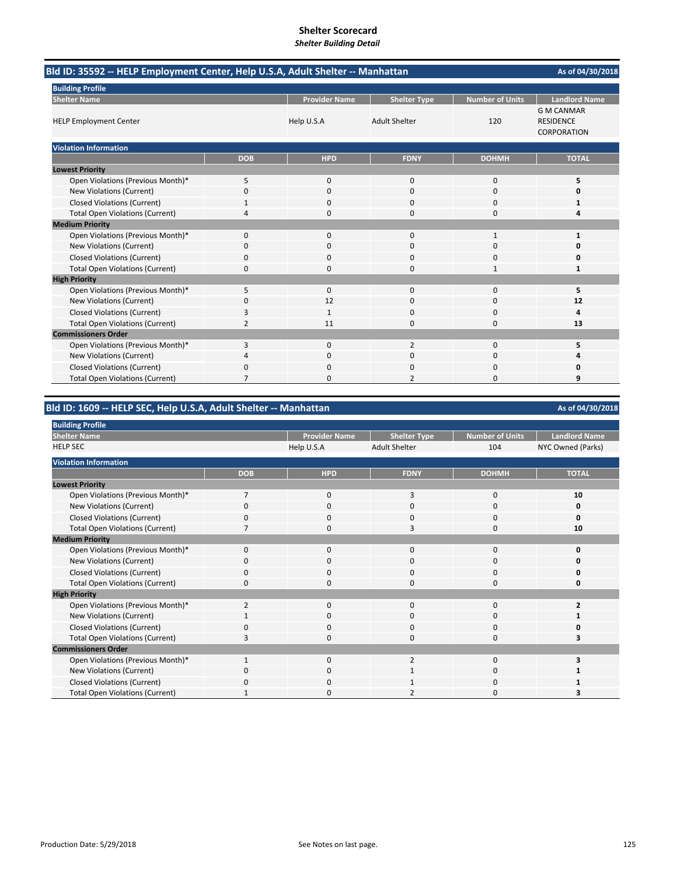| Bld ID: 35592 -- HELP Employment Center, Help U.S.A, Adult Shelter -- Manhattan |                |                      |                      |                        | As of 04/30/2018                                            |
|---------------------------------------------------------------------------------|----------------|----------------------|----------------------|------------------------|-------------------------------------------------------------|
| <b>Building Profile</b>                                                         |                |                      |                      |                        |                                                             |
| <b>Shelter Name</b>                                                             |                | <b>Provider Name</b> | <b>Shelter Type</b>  | <b>Number of Units</b> | <b>Landlord Name</b>                                        |
| <b>HELP Employment Center</b>                                                   |                | Help U.S.A           | <b>Adult Shelter</b> | 120                    | <b>G M CANMAR</b><br><b>RESIDENCE</b><br><b>CORPORATION</b> |
| <b>Violation Information</b>                                                    |                |                      |                      |                        |                                                             |
|                                                                                 | <b>DOB</b>     | <b>HPD</b>           | <b>FDNY</b>          | <b>DOHMH</b>           | <b>TOTAL</b>                                                |
| <b>Lowest Priority</b>                                                          |                |                      |                      |                        |                                                             |
| Open Violations (Previous Month)*                                               | 5              | $\mathbf{0}$         | $\mathbf 0$          | $\mathbf 0$            | 5                                                           |
| New Violations (Current)                                                        | 0              | $\Omega$             | $\mathbf 0$          | 0                      | O                                                           |
| <b>Closed Violations (Current)</b>                                              |                | $\Omega$             | $\mathbf 0$          | 0                      | 1                                                           |
| <b>Total Open Violations (Current)</b>                                          | 4              | 0                    | $\mathbf 0$          | 0                      | 4                                                           |
| <b>Medium Priority</b>                                                          |                |                      |                      |                        |                                                             |
| Open Violations (Previous Month)*                                               | $\mathbf{0}$   | $\mathbf{0}$         | $\mathbf 0$          | $\mathbf{1}$           | $\mathbf{1}$                                                |
| <b>New Violations (Current)</b>                                                 | 0              | 0                    | 0                    | 0                      | 0                                                           |
| <b>Closed Violations (Current)</b>                                              | 0              | 0                    | $\Omega$             | 0                      | 0                                                           |
| <b>Total Open Violations (Current)</b>                                          | 0              | 0                    | $\Omega$             | 1                      | 1                                                           |
| <b>High Priority</b>                                                            |                |                      |                      |                        |                                                             |
| Open Violations (Previous Month)*                                               | 5              | $\mathbf{0}$         | $\mathbf 0$          | 0                      | 5                                                           |
| <b>New Violations (Current)</b>                                                 | 0              | 12                   | $\mathbf 0$          | 0                      | 12                                                          |
| <b>Closed Violations (Current)</b>                                              | 3              | 1                    | $\Omega$             | 0                      | 4                                                           |
| <b>Total Open Violations (Current)</b>                                          | $\overline{2}$ | 11                   | $\Omega$             | $\Omega$               | 13                                                          |
| <b>Commissioners Order</b>                                                      |                |                      |                      |                        |                                                             |
| Open Violations (Previous Month)*                                               | 3              | $\mathbf 0$          | $\overline{2}$       | 0                      | 5                                                           |
| New Violations (Current)                                                        | 4              | $\Omega$             | $\Omega$             | 0                      |                                                             |
| <b>Closed Violations (Current)</b>                                              | 0              | 0                    | $\Omega$             | 0                      | O                                                           |
| <b>Total Open Violations (Current)</b>                                          |                | O                    | $\overline{2}$       | 0                      | 9                                                           |

### **Bld ID: 1609 ‐‐ HELP SEC, Help U.S.A, Adult Shelter ‐‐ Manhattan**

### **Provider Name Shelter Type Number of Units Landlord Name Help U.S.A** Adult Shelter 104 104 NYC Owned (Parks) Adult Shelter 104 NYC Owned (Parks) **DOB HPD FDNY DOHMH TOTAL** Open Violations (Previous Month)\* 7030 **10 New Violations (Current)** Closed Violations (Current) **0**<br>
Total Open Violations (Current) 7 0 3 0 10<br>
10 **Total Open Violations (Current)** Open Violations (Previous Month)\* 0000 **0 New Violations (Current)** Closed Violations (Current) 0000 **0** Total Open Violations (Current) 0000 **0** Open Violations (Previous Month)\* 2 0 0 0 0 2<br>New Violations (Current) 1 0 0 0 1 New Violations (Current) **1** 1000 **1** 1000 **1** 1000 **1** 1000 **1** Closed Violations (Current) 0000 **0** Total Open Violations (Current) **3** 0 0 0 0 3 Open Violations (Previous Month)\* 1 0 2 0 3 New Violations (Current) **0** 0000 **1** 0000 **1** Closed Violations (Current) **0** 0000 **1** 0000 **1** Total Open Violations (Current) 1 0 3<br>
2 0 3 **Building Profile Shelter Name** HELP SEC **Violation Information Lowest Priority Medium Priority High Priority Commissioners Order**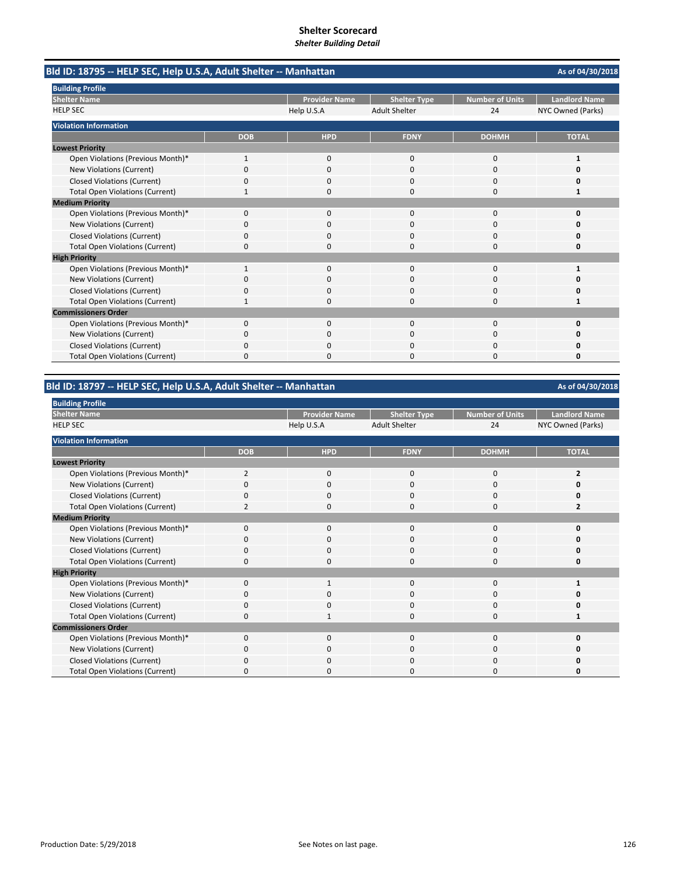| Bld ID: 18795 -- HELP SEC, Help U.S.A, Adult Shelter -- Manhattan |              |                      |                      |                        | As of 04/30/2018     |
|-------------------------------------------------------------------|--------------|----------------------|----------------------|------------------------|----------------------|
| <b>Building Profile</b>                                           |              |                      |                      |                        |                      |
| <b>Shelter Name</b>                                               |              | <b>Provider Name</b> | <b>Shelter Type</b>  | <b>Number of Units</b> | <b>Landlord Name</b> |
| <b>HELP SEC</b>                                                   |              | Help U.S.A           | <b>Adult Shelter</b> | 24                     | NYC Owned (Parks)    |
| <b>Violation Information</b>                                      |              |                      |                      |                        |                      |
|                                                                   | <b>DOB</b>   | <b>HPD</b>           | <b>FDNY</b>          | <b>DOHMH</b>           | <b>TOTAL</b>         |
| <b>Lowest Priority</b>                                            |              |                      |                      |                        |                      |
| Open Violations (Previous Month)*                                 | 1            | 0                    | $\mathbf 0$          | $\mathbf 0$            | 1                    |
| New Violations (Current)                                          | 0            | $\Omega$             | $\Omega$             | $\Omega$               | O                    |
| <b>Closed Violations (Current)</b>                                | 0            | 0                    | 0                    | 0                      | 0                    |
| <b>Total Open Violations (Current)</b>                            | 1            | 0                    | $\Omega$             | $\Omega$               | 1                    |
| <b>Medium Priority</b>                                            |              |                      |                      |                        |                      |
| Open Violations (Previous Month)*                                 | 0            | $\Omega$             | $\Omega$             | $\Omega$               | O                    |
| New Violations (Current)                                          | 0            | 0                    | 0                    | 0                      | Ω                    |
| <b>Closed Violations (Current)</b>                                | $\Omega$     | $\Omega$             | 0                    | $\Omega$               | O                    |
| <b>Total Open Violations (Current)</b>                            | 0            | 0                    | 0                    | $\Omega$               | 0                    |
| <b>High Priority</b>                                              |              |                      |                      |                        |                      |
| Open Violations (Previous Month)*                                 | $\mathbf{1}$ | $\Omega$             | $\Omega$             | $\Omega$               | 1                    |
| New Violations (Current)                                          | 0            | 0                    | O                    | $\Omega$               | n                    |
| <b>Closed Violations (Current)</b>                                | 0            | $\Omega$             | 0                    | $\Omega$               | Ω                    |
| <b>Total Open Violations (Current)</b>                            | 1            | <sup>n</sup>         | $\Omega$             | $\Omega$               |                      |
| <b>Commissioners Order</b>                                        |              |                      |                      |                        |                      |
| Open Violations (Previous Month)*                                 | 0            | 0                    | $\mathbf 0$          | $\mathbf 0$            | 0                    |
| New Violations (Current)                                          | 0            | $\Omega$             | 0                    | $\Omega$               | o                    |
| <b>Closed Violations (Current)</b>                                | 0            | 0                    | O                    | $\Omega$               | 0                    |
| <b>Total Open Violations (Current)</b>                            | $\Omega$     | $\Omega$             | 0                    | $\Omega$               | 0                    |

# **Bld ID: 18797 ‐‐ HELP SEC, Help U.S.A, Adult Shelter ‐‐ Manhattan**

| <b>Building Profile</b>                |                |                      |                      |                        |                      |
|----------------------------------------|----------------|----------------------|----------------------|------------------------|----------------------|
| <b>Shelter Name</b>                    |                | <b>Provider Name</b> | <b>Shelter Type</b>  | <b>Number of Units</b> | <b>Landlord Name</b> |
| <b>HELP SEC</b>                        |                | Help U.S.A           | <b>Adult Shelter</b> | 24                     | NYC Owned (Parks)    |
| <b>Violation Information</b>           |                |                      |                      |                        |                      |
|                                        | <b>DOB</b>     | <b>HPD</b>           | <b>FDNY</b>          | <b>DOHMH</b>           | <b>TOTAL</b>         |
| <b>Lowest Priority</b>                 |                |                      |                      |                        |                      |
| Open Violations (Previous Month)*      | $\overline{2}$ | 0                    | 0                    | 0                      | $\overline{2}$       |
| <b>New Violations (Current)</b>        | 0              | 0                    | 0                    | $\mathbf 0$            |                      |
| <b>Closed Violations (Current)</b>     | 0              | $\mathbf{0}$         | 0                    | $\mathbf 0$            |                      |
| <b>Total Open Violations (Current)</b> | $\overline{2}$ | $\mathbf{0}$         | $\Omega$             | $\mathbf 0$            | 2                    |
| <b>Medium Priority</b>                 |                |                      |                      |                        |                      |
| Open Violations (Previous Month)*      | $\Omega$       | 0                    | $\Omega$             | 0                      | n                    |
| New Violations (Current)               | 0              | 0                    | $\Omega$             | 0                      |                      |
| <b>Closed Violations (Current)</b>     | 0              | $\mathbf{0}$         | $\Omega$             | $\mathbf 0$            | n                    |
| <b>Total Open Violations (Current)</b> | 0              | 0                    | 0                    | 0                      | Ω                    |
| <b>High Priority</b>                   |                |                      |                      |                        |                      |
| Open Violations (Previous Month)*      | 0              |                      | 0                    | 0                      |                      |
| New Violations (Current)               | $\Omega$       | $\mathbf{0}$         | $\Omega$             | $\mathbf 0$            |                      |
| <b>Closed Violations (Current)</b>     | 0              | 0                    | 0                    | $\mathbf 0$            |                      |
| <b>Total Open Violations (Current)</b> | $\Omega$       | $\mathbf{1}$         | $\Omega$             | $\mathbf 0$            |                      |
| <b>Commissioners Order</b>             |                |                      |                      |                        |                      |
| Open Violations (Previous Month)*      | 0              | $\mathbf{0}$         | 0                    | $\mathbf 0$            |                      |
| New Violations (Current)               | 0              | 0                    | 0                    | 0                      | Ω                    |
| <b>Closed Violations (Current)</b>     | 0              | $\mathbf{0}$         | $\Omega$             | 0                      | n                    |
| <b>Total Open Violations (Current)</b> | ŋ              | 0                    | 0                    | 0                      | o                    |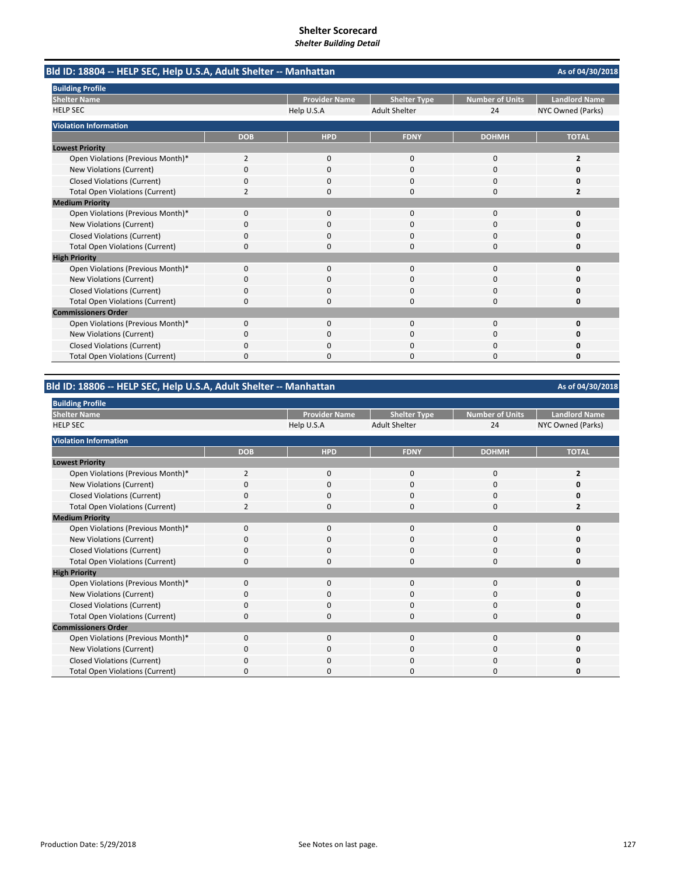| Bld ID: 18804 -- HELP SEC, Help U.S.A, Adult Shelter -- Manhattan |            |                      |                      |                        | As of 04/30/2018     |
|-------------------------------------------------------------------|------------|----------------------|----------------------|------------------------|----------------------|
| <b>Building Profile</b>                                           |            |                      |                      |                        |                      |
| <b>Shelter Name</b>                                               |            | <b>Provider Name</b> | <b>Shelter Type</b>  | <b>Number of Units</b> | <b>Landlord Name</b> |
| <b>HELP SEC</b>                                                   |            | Help U.S.A           | <b>Adult Shelter</b> | 24                     | NYC Owned (Parks)    |
| <b>Violation Information</b>                                      |            |                      |                      |                        |                      |
|                                                                   | <b>DOB</b> | <b>HPD</b>           | <b>FDNY</b>          | <b>DOHMH</b>           | <b>TOTAL</b>         |
| <b>Lowest Priority</b>                                            |            |                      |                      |                        |                      |
| Open Violations (Previous Month)*                                 | 2          | 0                    | $\mathbf 0$          | 0                      | $\overline{2}$       |
| New Violations (Current)                                          | $\Omega$   | <sup>0</sup>         | $\Omega$             | $\Omega$               | o                    |
| <b>Closed Violations (Current)</b>                                | 0          | 0                    | 0                    | 0                      | o                    |
| <b>Total Open Violations (Current)</b>                            | 2          | 0                    | $\Omega$             | $\Omega$               | 2                    |
| <b>Medium Priority</b>                                            |            |                      |                      |                        |                      |
| Open Violations (Previous Month)*                                 | 0          | $\Omega$             | $\Omega$             | $\Omega$               | O                    |
| New Violations (Current)                                          | 0          | 0                    | 0                    | 0                      | 0                    |
| <b>Closed Violations (Current)</b>                                | $\Omega$   | <sup>0</sup>         | $\Omega$             | $\Omega$               | O                    |
| <b>Total Open Violations (Current)</b>                            | 0          | <sup>0</sup>         | O                    | $\Omega$               | 0                    |
| <b>High Priority</b>                                              |            |                      |                      |                        |                      |
| Open Violations (Previous Month)*                                 | $\Omega$   | $\Omega$             | $\Omega$             | $\Omega$               | O                    |
| New Violations (Current)                                          | 0          | 0                    | 0                    | $\Omega$               | n                    |
| <b>Closed Violations (Current)</b>                                | 0          | 0                    | 0                    | 0                      | Ω                    |
| <b>Total Open Violations (Current)</b>                            | $\Omega$   | O                    | O                    | $\Omega$               | O                    |
| <b>Commissioners Order</b>                                        |            |                      |                      |                        |                      |
| Open Violations (Previous Month)*                                 | 0          | 0                    | $\mathbf 0$          | $\Omega$               | 0                    |
| <b>New Violations (Current)</b>                                   | 0          | <sup>0</sup>         | 0                    | $\Omega$               | o                    |
| <b>Closed Violations (Current)</b>                                | 0          | 0                    | O                    | 0                      | o                    |
| <b>Total Open Violations (Current)</b>                            | $\Omega$   | $\Omega$             | 0                    | $\Omega$               | 0                    |

# **Bld ID: 18806 ‐‐ HELP SEC, Help U.S.A, Adult Shelter ‐‐ Manhattan**

| <b>Building Profile</b>                |                |                      |                      |                        |                      |
|----------------------------------------|----------------|----------------------|----------------------|------------------------|----------------------|
| <b>Shelter Name</b>                    |                | <b>Provider Name</b> | <b>Shelter Type</b>  | <b>Number of Units</b> | <b>Landlord Name</b> |
| <b>HELP SEC</b>                        |                | Help U.S.A           | <b>Adult Shelter</b> | 24                     | NYC Owned (Parks)    |
| <b>Violation Information</b>           |                |                      |                      |                        |                      |
|                                        | <b>DOB</b>     | <b>HPD</b>           | <b>FDNY</b>          | <b>DOHMH</b>           | <b>TOTAL</b>         |
| <b>Lowest Priority</b>                 |                |                      |                      |                        |                      |
| Open Violations (Previous Month)*      | $\overline{2}$ | 0                    | 0                    | 0                      |                      |
| New Violations (Current)               |                | $\mathbf 0$          | 0                    | 0                      |                      |
| <b>Closed Violations (Current)</b>     | 0              | 0                    | 0                    | 0                      |                      |
| <b>Total Open Violations (Current)</b> |                | $\mathbf 0$          | 0                    | $\mathbf 0$            |                      |
| <b>Medium Priority</b>                 |                |                      |                      |                        |                      |
| Open Violations (Previous Month)*      | $\Omega$       | $\mathbf 0$          | 0                    | 0                      |                      |
| New Violations (Current)               | 0              | 0                    | 0                    | 0                      |                      |
| <b>Closed Violations (Current)</b>     | 0              | $\mathbf 0$          | 0                    | $\mathbf 0$            |                      |
| <b>Total Open Violations (Current)</b> | 0              | 0                    | 0                    | 0                      |                      |
| <b>High Priority</b>                   |                |                      |                      |                        |                      |
| Open Violations (Previous Month)*      | $\Omega$       | $\mathbf{0}$         | 0                    | $\mathbf{0}$           | n                    |
| New Violations (Current)               | 0              | $\mathbf 0$          | $\Omega$             | $\mathbf 0$            |                      |
| <b>Closed Violations (Current)</b>     | 0              | $\mathbf 0$          | $\Omega$             | $\mathbf 0$            |                      |
| <b>Total Open Violations (Current)</b> | $\Omega$       | $\Omega$             | $\Omega$             | $\Omega$               | O                    |
| <b>Commissioners Order</b>             |                |                      |                      |                        |                      |
| Open Violations (Previous Month)*      | 0              | $\mathbf{0}$         | 0                    | $\mathbf 0$            |                      |
| New Violations (Current)               | 0              | 0                    | 0                    | 0                      |                      |
| <b>Closed Violations (Current)</b>     | $\Omega$       | 0                    | $\Omega$             | 0                      |                      |
| <b>Total Open Violations (Current)</b> | n              | 0                    | O                    | 0                      |                      |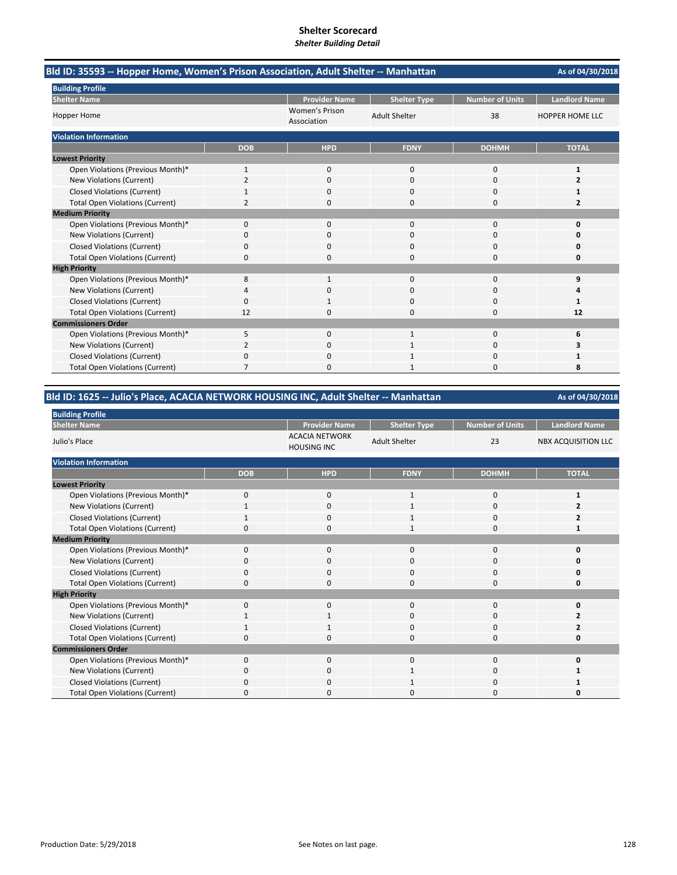| Bld ID: 35593 -- Hopper Home, Women's Prison Association, Adult Shelter -- Manhattan |                |                               |                      |                        | As of 04/30/2018       |
|--------------------------------------------------------------------------------------|----------------|-------------------------------|----------------------|------------------------|------------------------|
| <b>Building Profile</b>                                                              |                |                               |                      |                        |                        |
| <b>Shelter Name</b>                                                                  |                | <b>Provider Name</b>          | <b>Shelter Type</b>  | <b>Number of Units</b> | <b>Landlord Name</b>   |
| <b>Hopper Home</b>                                                                   |                | Women's Prison<br>Association | <b>Adult Shelter</b> | 38                     | <b>HOPPER HOME LLC</b> |
| <b>Violation Information</b>                                                         |                |                               |                      |                        |                        |
|                                                                                      | <b>DOB</b>     | <b>HPD</b>                    | <b>FDNY</b>          | <b>DOHMH</b>           | <b>TOTAL</b>           |
| <b>Lowest Priority</b>                                                               |                |                               |                      |                        |                        |
| Open Violations (Previous Month)*                                                    | 1              | $\mathbf{0}$                  | $\mathbf 0$          | 0                      | 1                      |
| New Violations (Current)                                                             | $\overline{2}$ | $\Omega$                      | $\Omega$             | 0                      | 2                      |
| <b>Closed Violations (Current)</b>                                                   |                | n                             | n                    | O                      |                        |
| <b>Total Open Violations (Current)</b>                                               | $\overline{2}$ | $\Omega$                      | $\Omega$             | 0                      | $\overline{2}$         |
| <b>Medium Priority</b>                                                               |                |                               |                      |                        |                        |
| Open Violations (Previous Month)*                                                    | 0              | $\mathbf{0}$                  | $\Omega$             | 0                      | 0                      |
| New Violations (Current)                                                             | 0              | 0                             | $\Omega$             | 0                      | 0                      |
| <b>Closed Violations (Current)</b>                                                   | 0              | 0                             | $\Omega$             | $\Omega$               | n                      |
| <b>Total Open Violations (Current)</b>                                               | 0              |                               | n                    | $\Omega$               | n                      |
| <b>High Priority</b>                                                                 |                |                               |                      |                        |                        |
| Open Violations (Previous Month)*                                                    | 8              | $\mathbf{1}$                  | $\mathbf{0}$         | 0                      | 9                      |
| New Violations (Current)                                                             | 4              | ŋ                             | $\Omega$             | 0                      | Δ                      |
| <b>Closed Violations (Current)</b>                                                   | 0              |                               | n                    | O                      | 1                      |
| <b>Total Open Violations (Current)</b>                                               | 12             | 0                             | $\Omega$             | 0                      | 12                     |
| <b>Commissioners Order</b>                                                           |                |                               |                      |                        |                        |
| Open Violations (Previous Month)*                                                    | 5              | $\Omega$                      | $\mathbf{1}$         | $\Omega$               | 6                      |
| New Violations (Current)                                                             | 2              | $\Omega$                      |                      | $\Omega$               | 3                      |
| <b>Closed Violations (Current)</b>                                                   | 0              | 0                             |                      | 0                      |                        |
| <b>Total Open Violations (Current)</b>                                               |                |                               |                      | n                      | 8                      |

### **Bld ID: 1625 ‐‐ Julio's Place, ACACIA NETWORK HOUSING INC, Adult Shelter ‐‐ Manhattan**

| <b>Building Profile</b>                |              |                                             |                      |                        |                            |
|----------------------------------------|--------------|---------------------------------------------|----------------------|------------------------|----------------------------|
| <b>Shelter Name</b>                    |              | <b>Provider Name</b>                        | <b>Shelter Type</b>  | <b>Number of Units</b> | <b>Landlord Name</b>       |
| Julio's Place                          |              | <b>ACACIA NETWORK</b><br><b>HOUSING INC</b> | <b>Adult Shelter</b> | 23                     | <b>NBX ACQUISITION LLC</b> |
| <b>Violation Information</b>           |              |                                             |                      |                        |                            |
|                                        | <b>DOB</b>   | <b>HPD</b>                                  | <b>FDNY</b>          | <b>DOHMH</b>           | <b>TOTAL</b>               |
| <b>Lowest Priority</b>                 |              |                                             |                      |                        |                            |
| Open Violations (Previous Month)*      | $\mathbf 0$  | 0                                           | 1                    | 0                      |                            |
| New Violations (Current)               |              | 0                                           | $\mathbf{1}$         | 0                      |                            |
| <b>Closed Violations (Current)</b>     |              | 0                                           | 1                    | 0                      | 2                          |
| <b>Total Open Violations (Current)</b> | $\Omega$     | $\Omega$                                    | $\mathbf{1}$         | $\mathbf 0$            |                            |
| <b>Medium Priority</b>                 |              |                                             |                      |                        |                            |
| Open Violations (Previous Month)*      | $\Omega$     | $\mathbf 0$                                 | $\mathbf{0}$         | 0                      | O                          |
| New Violations (Current)               | O            | 0                                           | 0                    | 0                      | n                          |
| <b>Closed Violations (Current)</b>     | 0            | 0                                           | 0                    | 0                      | 0                          |
| <b>Total Open Violations (Current)</b> | $\Omega$     | $\mathbf 0$                                 | $\Omega$             | 0                      | 0                          |
| <b>High Priority</b>                   |              |                                             |                      |                        |                            |
| Open Violations (Previous Month)*      | $\Omega$     | $\mathbf 0$                                 | $\mathbf{0}$         | $\mathbf 0$            | O                          |
| New Violations (Current)               |              | 1                                           | 0                    | 0                      |                            |
| <b>Closed Violations (Current)</b>     | 1            | 1                                           | 0                    | 0                      |                            |
| <b>Total Open Violations (Current)</b> | 0            | $\Omega$                                    | $\mathbf 0$          | 0                      | 0                          |
| <b>Commissioners Order</b>             |              |                                             |                      |                        |                            |
| Open Violations (Previous Month)*      | $\mathbf 0$  | $\mathbf 0$                                 | $\mathbf 0$          | $\mathbf 0$            | 0                          |
| New Violations (Current)               | 0            | $\mathbf 0$                                 |                      | 0                      |                            |
| <b>Closed Violations (Current)</b>     | $\Omega$     | $\mathbf 0$                                 |                      | 0                      |                            |
| <b>Total Open Violations (Current)</b> | <sup>0</sup> | $\Omega$                                    | 0                    | $\Omega$               | O                          |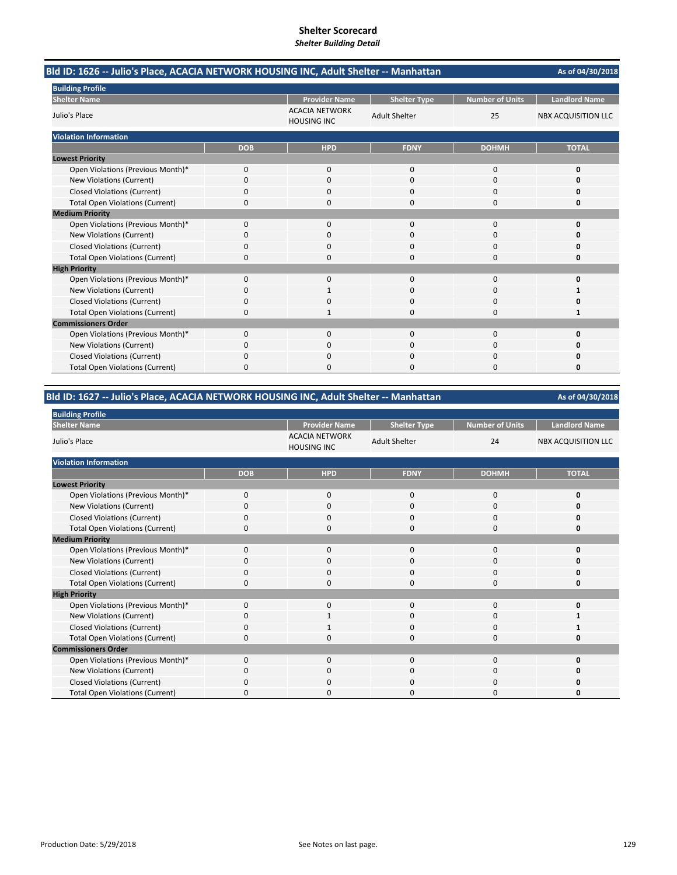| Bld ID: 1626 -- Julio's Place, ACACIA NETWORK HOUSING INC, Adult Shelter -- Manhattan |            |                                             |                                             |                        | As of 04/30/2018           |
|---------------------------------------------------------------------------------------|------------|---------------------------------------------|---------------------------------------------|------------------------|----------------------------|
| <b>Building Profile</b>                                                               |            | <b>Provider Name</b>                        |                                             | <b>Number of Units</b> | <b>Landlord Name</b>       |
| <b>Shelter Name</b><br>Julio's Place                                                  |            | <b>ACACIA NETWORK</b><br><b>HOUSING INC</b> | <b>Shelter Type</b><br><b>Adult Shelter</b> | 25                     | <b>NBX ACQUISITION LLC</b> |
| <b>Violation Information</b>                                                          |            |                                             |                                             |                        |                            |
|                                                                                       | <b>DOB</b> | <b>HPD</b>                                  | <b>FDNY</b>                                 | <b>DOHMH</b>           | <b>TOTAL</b>               |
| <b>Lowest Priority</b>                                                                |            |                                             |                                             |                        |                            |
| Open Violations (Previous Month)*                                                     | 0          | 0                                           | $\mathbf{0}$                                | 0                      | 0                          |
| New Violations (Current)                                                              | 0          | $\Omega$                                    | $\Omega$                                    | 0                      | O                          |
| <b>Closed Violations (Current)</b>                                                    | 0          | n                                           | n                                           | O                      | n                          |
| <b>Total Open Violations (Current)</b>                                                | 0          | 0                                           | $\Omega$                                    | 0                      | 0                          |
| <b>Medium Priority</b>                                                                |            |                                             |                                             |                        |                            |
| Open Violations (Previous Month)*                                                     | 0          | $\mathbf{0}$                                | $\Omega$                                    | 0                      | 0                          |
| New Violations (Current)                                                              | 0          | 0                                           | $\Omega$                                    | 0                      | O                          |
| <b>Closed Violations (Current)</b>                                                    | 0          | $\Omega$                                    | $\Omega$                                    | $\Omega$               | Ω                          |
| <b>Total Open Violations (Current)</b>                                                | 0          | n                                           | $\Omega$                                    | $\Omega$               | 0                          |
| <b>High Priority</b>                                                                  |            |                                             |                                             |                        |                            |
| Open Violations (Previous Month)*                                                     | 0          | $\mathbf{0}$                                | $\mathbf 0$                                 | 0                      | 0                          |
| New Violations (Current)                                                              | 0          |                                             | $\Omega$                                    | $\Omega$               | 1                          |
| <b>Closed Violations (Current)</b>                                                    | 0          | <sup>0</sup>                                | $\Omega$                                    | 0                      | O                          |
| <b>Total Open Violations (Current)</b>                                                | 0          |                                             | $\Omega$                                    | 0                      | 1                          |
| <b>Commissioners Order</b>                                                            |            |                                             |                                             |                        |                            |
| Open Violations (Previous Month)*                                                     | 0          | $\Omega$                                    | $\Omega$                                    | $\Omega$               | 0                          |
| New Violations (Current)                                                              | 0          | $\Omega$                                    | $\Omega$                                    | $\Omega$               | n                          |
| <b>Closed Violations (Current)</b>                                                    | 0          | 0                                           | 0                                           | 0                      | Ω                          |
| <b>Total Open Violations (Current)</b>                                                | 0          |                                             | 0                                           | 0                      | 0                          |

### **Bld ID: 1627 ‐‐ Julio's Place, ACACIA NETWORK HOUSING INC, Adult Shelter ‐‐ Manhattan**

| <b>Building Profile</b>                |            |                                             |                      |                 |                            |
|----------------------------------------|------------|---------------------------------------------|----------------------|-----------------|----------------------------|
| <b>Shelter Name</b>                    |            | <b>Provider Name</b>                        | <b>Shelter Type</b>  | Number of Units | <b>Landlord Name</b>       |
| Julio's Place                          |            | <b>ACACIA NETWORK</b><br><b>HOUSING INC</b> | <b>Adult Shelter</b> | 24              | <b>NBX ACQUISITION LLC</b> |
| <b>Violation Information</b>           |            |                                             |                      |                 |                            |
|                                        | <b>DOB</b> | <b>HPD</b>                                  | <b>FDNY</b>          | <b>DOHMH</b>    | <b>TOTAL</b>               |
| <b>Lowest Priority</b>                 |            |                                             |                      |                 |                            |
| Open Violations (Previous Month)*      | 0          | 0                                           | 0                    | 0               | 0                          |
| New Violations (Current)               | $\Omega$   | 0                                           | 0                    | 0               | 0                          |
| <b>Closed Violations (Current)</b>     | 0          | 0                                           | $\mathbf{0}$         | 0               | 0                          |
| <b>Total Open Violations (Current)</b> | $\Omega$   | 0                                           | $\Omega$             | $\mathbf{0}$    | U                          |
| <b>Medium Priority</b>                 |            |                                             |                      |                 |                            |
| Open Violations (Previous Month)*      | $\Omega$   | 0                                           | $\mathbf{0}$         | 0               | ŋ                          |
| New Violations (Current)               | 0          | 0                                           | 0                    | 0               | n                          |
| <b>Closed Violations (Current)</b>     | 0          | 0                                           | 0                    | 0               | 0                          |
| <b>Total Open Violations (Current)</b> | 0          | 0                                           | $\Omega$             | $\mathbf{0}$    | U                          |
| <b>High Priority</b>                   |            |                                             |                      |                 |                            |
| Open Violations (Previous Month)*      | 0          | 0                                           | $\mathbf{0}$         | $\mathbf{0}$    | U                          |
| New Violations (Current)               | 0          | 1                                           | 0                    | 0               |                            |
| <b>Closed Violations (Current)</b>     | 0          | 1                                           | 0                    | 0               |                            |
| <b>Total Open Violations (Current)</b> | $\Omega$   | 0                                           | 0                    | 0               | Ω                          |
| <b>Commissioners Order</b>             |            |                                             |                      |                 |                            |
| Open Violations (Previous Month)*      | 0          | 0                                           | $\mathbf{0}$         | $\mathbf{0}$    | 0                          |
| New Violations (Current)               | 0          | 0                                           | 0                    | 0               | 0                          |
| <b>Closed Violations (Current)</b>     | 0          | 0                                           | 0                    | 0               | n                          |
| <b>Total Open Violations (Current)</b> | C          | $\Omega$                                    | ი                    | 0               | 0                          |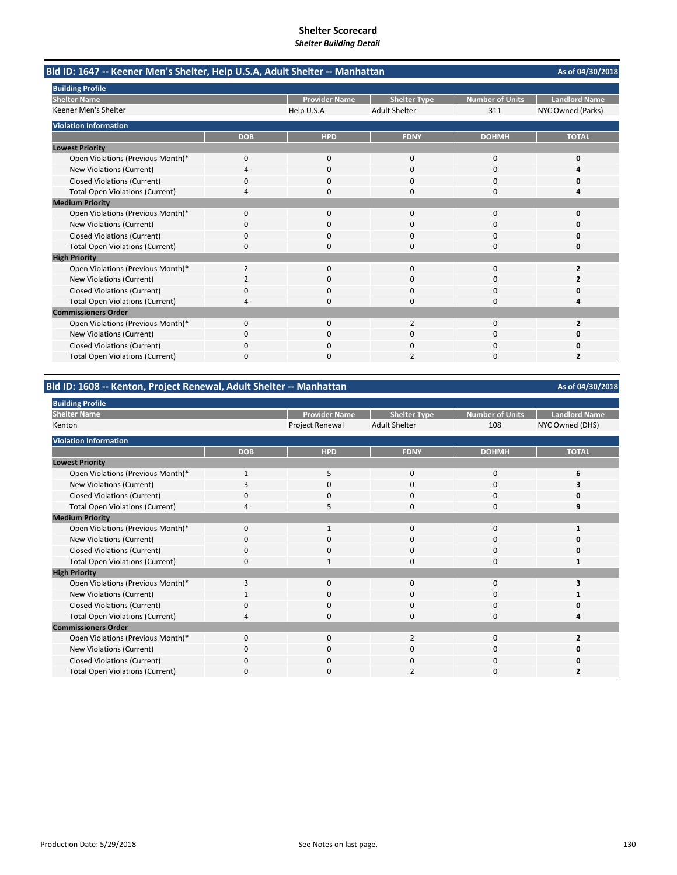**As of 04/30/2018 Provider Name | Shelter Type | Number of Units | Landlord Name** Help U.S.A Adult Shelter 311 NYC Owned (Parks) **DOB HPD FDNY DOHMH TOTAL** Open Violations (Previous Month)\* 0000 **0 New Violations (Current)** Closed Violations (Current) 0000 **0** Total Open Violations (Current) 4000 **4** Open Violations (Previous Month)\* 0000 **0** New Violations (Current) 0000 **0** Closed Violations (Current) 0000 **0** Total Open Violations (Current) 0000 **0** Open Violations (Previous Month)<sup>\*</sup> 2000 **2**<br>
2000 **2** New Violations (Current) 2000 **2** Closed Violations (Current) 0000 **0** Total Open Violations (Current) 4000 **4** Open Violations (Previous Month)\* 0 0 0 2<br>
2 New Violations (Current) 0000 **0 Closed Violations (Current)** Total Open Violations (Current) 0020 **2 Lowest Priority Medium Priority High Priority Building Profile Shelter Name** Keener Men's Shelter **Bld ID: 1647 ‐‐ Keener Men's Shelter, Help U.S.A, Adult Shelter ‐‐ Manhattan Commissioners Order Violation Information**

### **Bld ID: 1608 ‐‐ Kenton, Project Renewal, Adult Shelter ‐‐ Manhattan**

| <b>Building Profile</b>                |              |                      |                      |                        |                      |
|----------------------------------------|--------------|----------------------|----------------------|------------------------|----------------------|
| <b>Shelter Name</b>                    |              | <b>Provider Name</b> | <b>Shelter Type</b>  | <b>Number of Units</b> | <b>Landlord Name</b> |
| Kenton                                 |              | Project Renewal      | <b>Adult Shelter</b> | 108                    | NYC Owned (DHS)      |
| <b>Violation Information</b>           |              |                      |                      |                        |                      |
|                                        | <b>DOB</b>   | <b>HPD</b>           | <b>FDNY</b>          | <b>DOHMH</b>           | <b>TOTAL</b>         |
| <b>Lowest Priority</b>                 |              |                      |                      |                        |                      |
| Open Violations (Previous Month)*      |              | 5                    | 0                    | 0                      |                      |
| New Violations (Current)               |              | 0                    | 0                    | 0                      |                      |
| <b>Closed Violations (Current)</b>     | O            | 0                    | $\Omega$             | 0                      |                      |
| <b>Total Open Violations (Current)</b> |              | 5                    | $\Omega$             | 0                      |                      |
| <b>Medium Priority</b>                 |              |                      |                      |                        |                      |
| Open Violations (Previous Month)*      | $\Omega$     |                      | $\Omega$             | 0                      |                      |
| New Violations (Current)               | $\Omega$     | 0                    | 0                    | 0                      |                      |
| <b>Closed Violations (Current)</b>     | <sup>0</sup> | 0                    | $\Omega$             | 0                      |                      |
| <b>Total Open Violations (Current)</b> | 0            | $\mathbf{1}$         | 0                    | 0                      |                      |
| <b>High Priority</b>                   |              |                      |                      |                        |                      |
| Open Violations (Previous Month)*      | 3            | 0                    | 0                    | 0                      |                      |
| New Violations (Current)               |              | 0                    | 0                    | 0                      |                      |
| <b>Closed Violations (Current)</b>     | 0            | 0                    | 0                    | $\mathbf 0$            |                      |
| <b>Total Open Violations (Current)</b> | Δ            | $\mathbf 0$          | $\Omega$             | $\mathbf 0$            |                      |
| <b>Commissioners Order</b>             |              |                      |                      |                        |                      |
| Open Violations (Previous Month)*      | $\Omega$     | $\mathbf{0}$         | $\overline{2}$       | 0                      |                      |
| New Violations (Current)               | $\Omega$     | 0                    | 0                    | 0                      |                      |
| <b>Closed Violations (Current)</b>     | $\Omega$     | $\mathbf{0}$         | 0                    | 0                      |                      |
| <b>Total Open Violations (Current)</b> | <sup>0</sup> | 0                    | 2                    | 0                      |                      |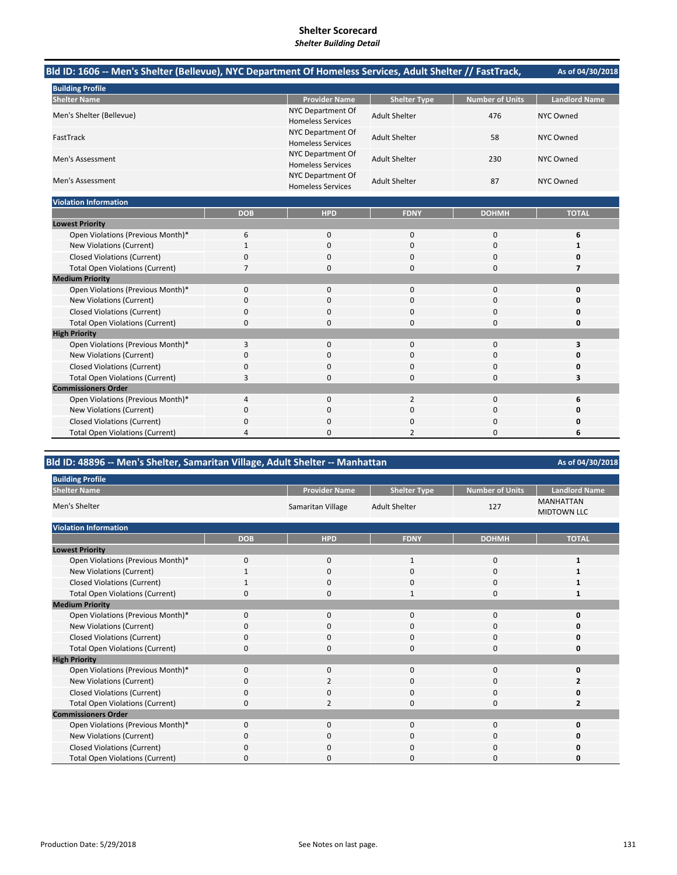| Bld ID: 1606 -- Men's Shelter (Bellevue), NYC Department Of Homeless Services, Adult Shelter // FastTrack, |              |                                               |                      |                        | As of 04/30/2018     |
|------------------------------------------------------------------------------------------------------------|--------------|-----------------------------------------------|----------------------|------------------------|----------------------|
| <b>Building Profile</b>                                                                                    |              |                                               |                      |                        |                      |
| <b>Shelter Name</b>                                                                                        |              | <b>Provider Name</b>                          | <b>Shelter Type</b>  | <b>Number of Units</b> | <b>Landlord Name</b> |
| Men's Shelter (Bellevue)                                                                                   |              | NYC Department Of<br><b>Homeless Services</b> | <b>Adult Shelter</b> | 476                    | NYC Owned            |
| FastTrack                                                                                                  |              | NYC Department Of<br><b>Homeless Services</b> | <b>Adult Shelter</b> | 58                     | <b>NYC Owned</b>     |
| Men's Assessment                                                                                           |              | NYC Department Of<br><b>Homeless Services</b> | <b>Adult Shelter</b> | 230                    | <b>NYC Owned</b>     |
| Men's Assessment                                                                                           |              | NYC Department Of<br><b>Homeless Services</b> | <b>Adult Shelter</b> | 87                     | <b>NYC Owned</b>     |
| <b>Violation Information</b>                                                                               |              |                                               |                      |                        |                      |
|                                                                                                            | <b>DOB</b>   | <b>HPD</b>                                    | <b>FDNY</b>          | <b>DOHMH</b>           | <b>TOTAL</b>         |
| <b>Lowest Priority</b>                                                                                     |              |                                               |                      |                        |                      |
| Open Violations (Previous Month)*                                                                          | 6            | 0                                             | 0                    | $\bf 0$                | 6                    |
| New Violations (Current)                                                                                   | $\mathbf{1}$ | $\mathbf 0$                                   | 0                    | $\mathbf 0$            | 1                    |
| <b>Closed Violations (Current)</b>                                                                         | 0            | 0                                             | 0                    | $\mathbf 0$            | 0                    |
| <b>Total Open Violations (Current)</b>                                                                     | 7            | 0                                             | $\Omega$             | $\Omega$               | $\overline{7}$       |
| <b>Medium Priority</b>                                                                                     |              |                                               |                      |                        |                      |
| Open Violations (Previous Month)*                                                                          | 0            | $\mathbf 0$                                   | 0                    | $\mathbf 0$            | 0                    |
| <b>New Violations (Current)</b>                                                                            | 0            | 0                                             | $\Omega$             | $\Omega$               | Ω                    |
| <b>Closed Violations (Current)</b>                                                                         | 0            | 0                                             | $\Omega$             | $\mathbf 0$            | O                    |
| <b>Total Open Violations (Current)</b>                                                                     | 0            | $\Omega$                                      | $\Omega$             | $\Omega$               | 0                    |
| <b>High Priority</b>                                                                                       |              |                                               |                      |                        |                      |
| Open Violations (Previous Month)*                                                                          | 3            | $\mathbf{0}$                                  | $\Omega$             | $\Omega$               | 3                    |
| New Violations (Current)                                                                                   | 0            | 0                                             | $\Omega$             | $\Omega$               | O                    |
| <b>Closed Violations (Current)</b>                                                                         | 0            | 0                                             | 0                    | $\mathbf 0$            | $\Omega$             |
| <b>Total Open Violations (Current)</b>                                                                     | 3            | 0                                             | $\Omega$             | $\mathbf 0$            | 3                    |
| <b>Commissioners Order</b>                                                                                 |              |                                               |                      |                        |                      |
| Open Violations (Previous Month)*                                                                          | 4            | $\mathbf 0$                                   | $\overline{2}$       | $\mathbf 0$            | 6                    |
| New Violations (Current)                                                                                   | 0            | 0                                             | 0                    | 0                      | 0                    |
| <b>Closed Violations (Current)</b>                                                                         | 0            | 0                                             | 0                    | 0                      | O                    |
| <b>Total Open Violations (Current)</b>                                                                     | 4            | 0                                             | $\overline{2}$       | $\Omega$               | 6                    |

### **Bld ID: 48896 ‐‐ Men's Shelter, Samaritan Village, Adult Shelter ‐‐ Manhattan**

| <b>Building Profile</b>                |              |                      |                      |                        |                                        |
|----------------------------------------|--------------|----------------------|----------------------|------------------------|----------------------------------------|
| <b>Shelter Name</b>                    |              | <b>Provider Name</b> | <b>Shelter Type</b>  | <b>Number of Units</b> | <b>Landlord Name</b>                   |
| Men's Shelter                          |              | Samaritan Village    | <b>Adult Shelter</b> | 127                    | <b>MANHATTAN</b><br><b>MIDTOWN LLC</b> |
| <b>Violation Information</b>           |              |                      |                      |                        |                                        |
|                                        | <b>DOB</b>   | <b>HPD</b>           | <b>FDNY</b>          | <b>DOHMH</b>           | <b>TOTAL</b>                           |
| <b>Lowest Priority</b>                 |              |                      |                      |                        |                                        |
| Open Violations (Previous Month)*      | 0            | 0                    | 1                    | 0                      |                                        |
| New Violations (Current)               | $\mathbf{1}$ | $\mathbf 0$          | $\mathbf 0$          | 0                      |                                        |
| <b>Closed Violations (Current)</b>     |              | $\mathbf 0$          | $\mathbf{0}$         | 0                      |                                        |
| <b>Total Open Violations (Current)</b> | 0            | $\mathbf{0}$         | $\mathbf{1}$         | 0                      |                                        |
| <b>Medium Priority</b>                 |              |                      |                      |                        |                                        |
| Open Violations (Previous Month)*      | 0            | $\mathbf{0}$         | $\mathbf{0}$         | 0                      | 0                                      |
| New Violations (Current)               | $\Omega$     | 0                    | 0                    | 0                      | O                                      |
| <b>Closed Violations (Current)</b>     | $\Omega$     | $\mathbf{0}$         | 0                    | 0                      | 0                                      |
| <b>Total Open Violations (Current)</b> | $\Omega$     | $\mathbf{0}$         | $\Omega$             | 0                      | O                                      |
| <b>High Priority</b>                   |              |                      |                      |                        |                                        |
| Open Violations (Previous Month)*      | 0            | 0                    | $\mathbf{0}$         | 0                      | O                                      |
| New Violations (Current)               | $\Omega$     | 2                    | 0                    | 0                      | 2                                      |
| <b>Closed Violations (Current)</b>     | $\Omega$     | 0                    | 0                    | 0                      | O                                      |
| <b>Total Open Violations (Current)</b> | $\Omega$     | $\overline{2}$       | $\Omega$             | $\Omega$               | 2                                      |
| <b>Commissioners Order</b>             |              |                      |                      |                        |                                        |
| Open Violations (Previous Month)*      | 0            | 0                    | $\mathbf{0}$         | 0                      | O                                      |
| New Violations (Current)               | $\Omega$     | 0                    | $\mathbf{0}$         | 0                      | Ω                                      |
| <b>Closed Violations (Current)</b>     | $\Omega$     | 0                    | $\mathbf{0}$         | 0                      | O                                      |
| <b>Total Open Violations (Current)</b> | <sup>0</sup> | 0                    | 0                    | 0                      | O                                      |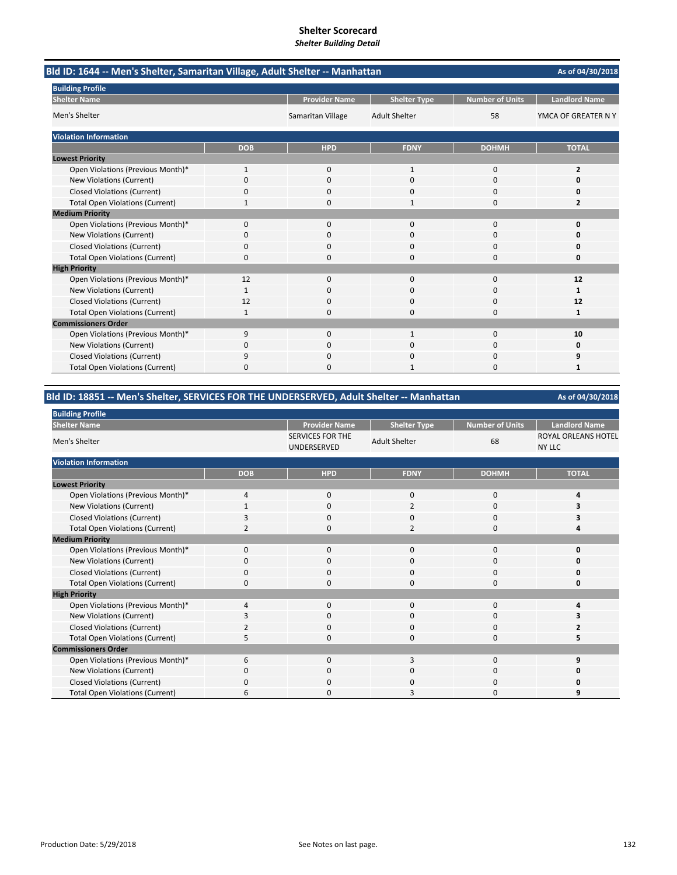| Bld ID: 1644 -- Men's Shelter, Samaritan Village, Adult Shelter -- Manhattan |            |                      |                      |                 | As of 04/30/2018     |
|------------------------------------------------------------------------------|------------|----------------------|----------------------|-----------------|----------------------|
| <b>Building Profile</b>                                                      |            |                      |                      |                 | <b>Landlord Name</b> |
| <b>Shelter Name</b>                                                          |            | <b>Provider Name</b> | <b>Shelter Type</b>  | Number of Units |                      |
| Men's Shelter                                                                |            | Samaritan Village    | <b>Adult Shelter</b> | 58              | YMCA OF GREATER N Y  |
| <b>Violation Information</b>                                                 |            |                      |                      |                 |                      |
|                                                                              | <b>DOB</b> | <b>HPD</b>           | <b>FDNY</b>          | <b>DOHMH</b>    | <b>TOTAL</b>         |
| <b>Lowest Priority</b>                                                       |            |                      |                      |                 |                      |
| Open Violations (Previous Month)*                                            | 1          | 0                    | 1                    | $\mathbf 0$     | $\overline{2}$       |
| New Violations (Current)                                                     | 0          | 0                    | $\Omega$             | $\Omega$        | 0                    |
| <b>Closed Violations (Current)</b>                                           | 0          | 0                    | 0                    | 0               | 0                    |
| <b>Total Open Violations (Current)</b>                                       | 1          | $\Omega$             | $\mathbf{1}$         | $\Omega$        | 2                    |
| <b>Medium Priority</b>                                                       |            |                      |                      |                 |                      |
| Open Violations (Previous Month)*                                            | $\Omega$   | $\Omega$             | $\Omega$             | $\Omega$        | 0                    |
| New Violations (Current)                                                     | 0          | $\Omega$             | $\Omega$             | $\Omega$        | O                    |
| <b>Closed Violations (Current)</b>                                           | 0          | $\Omega$             | $\Omega$             | $\Omega$        | Ω                    |
| <b>Total Open Violations (Current)</b>                                       | $\Omega$   | $\Omega$             | $\Omega$             | $\Omega$        | 0                    |
| <b>High Priority</b>                                                         |            |                      |                      |                 |                      |
| Open Violations (Previous Month)*                                            | 12         | 0                    | $\mathbf{0}$         | $\mathbf 0$     | 12                   |
| New Violations (Current)                                                     | 1          | $\Omega$             | $\Omega$             | $\Omega$        | 1                    |
| <b>Closed Violations (Current)</b>                                           | 12         | 0                    | 0                    | $\Omega$        | 12                   |
| <b>Total Open Violations (Current)</b>                                       | 1          | $\Omega$             | $\Omega$             | $\Omega$        | 1                    |
| <b>Commissioners Order</b>                                                   |            |                      |                      |                 |                      |
| Open Violations (Previous Month)*                                            | 9          | $\Omega$             | $\mathbf{1}$         | $\Omega$        | 10                   |
| New Violations (Current)                                                     | 0          | 0                    | 0                    | 0               | 0                    |
| <b>Closed Violations (Current)</b>                                           | 9          | $\Omega$             | $\Omega$             | $\Omega$        | 9                    |
| <b>Total Open Violations (Current)</b>                                       | 0          | n                    |                      | n               | 1                    |

### **Bld ID: 18851 ‐‐ Men's Shelter, SERVICES FOR THE UNDERSERVED, Adult Shelter ‐‐ Manhattan**

| <b>Building Profile</b>                |                |                                        |                      |                 |                                             |
|----------------------------------------|----------------|----------------------------------------|----------------------|-----------------|---------------------------------------------|
| <b>Shelter Name</b>                    |                | <b>Provider Name</b>                   | <b>Shelter Type</b>  | Number of Units | <b>Landlord Name</b>                        |
| Men's Shelter                          |                | <b>SERVICES FOR THE</b><br>UNDERSERVED | <b>Adult Shelter</b> | 68              | <b>ROYAL ORLEANS HOTEL</b><br><b>NY LLC</b> |
| <b>Violation Information</b>           |                |                                        |                      |                 |                                             |
|                                        | <b>DOB</b>     | <b>HPD</b>                             | <b>FDNY</b>          | <b>DOHMH</b>    | <b>TOTAL</b>                                |
| <b>Lowest Priority</b>                 |                |                                        |                      |                 |                                             |
| Open Violations (Previous Month)*      | 4              | 0                                      | $\mathbf{0}$         | 0               | Δ                                           |
| New Violations (Current)               |                | 0                                      | 2                    | 0               |                                             |
| <b>Closed Violations (Current)</b>     | 3              | 0                                      | 0                    | 0               |                                             |
| <b>Total Open Violations (Current)</b> | $\overline{2}$ | 0                                      | $\overline{2}$       | 0               |                                             |
| <b>Medium Priority</b>                 |                |                                        |                      |                 |                                             |
| Open Violations (Previous Month)*      | 0              | 0                                      | 0                    | 0               | O                                           |
| New Violations (Current)               | $\Omega$       | 0                                      | 0                    | 0               | O                                           |
| <b>Closed Violations (Current)</b>     | $\Omega$       | 0                                      | 0                    | 0               | $\Omega$                                    |
| <b>Total Open Violations (Current)</b> | $\Omega$       | 0                                      | $\Omega$             | 0               | $\Omega$                                    |
| <b>High Priority</b>                   |                |                                        |                      |                 |                                             |
| Open Violations (Previous Month)*      | $\overline{4}$ | 0                                      | $\mathbf{0}$         | 0               |                                             |
| New Violations (Current)               |                | 0                                      | 0                    | 0               |                                             |
| <b>Closed Violations (Current)</b>     | 2              | 0                                      | 0                    | 0               |                                             |
| <b>Total Open Violations (Current)</b> | 5              | $\Omega$                               | $\Omega$             | 0               |                                             |
| <b>Commissioners Order</b>             |                |                                        |                      |                 |                                             |
| Open Violations (Previous Month)*      | 6              | 0                                      | 3                    | 0               |                                             |
| New Violations (Current)               | 0              | 0                                      | 0                    | 0               |                                             |
| <b>Closed Violations (Current)</b>     | 0              | 0                                      | 0                    | 0               |                                             |
| <b>Total Open Violations (Current)</b> | 6              | 0                                      | З                    | 0               | q                                           |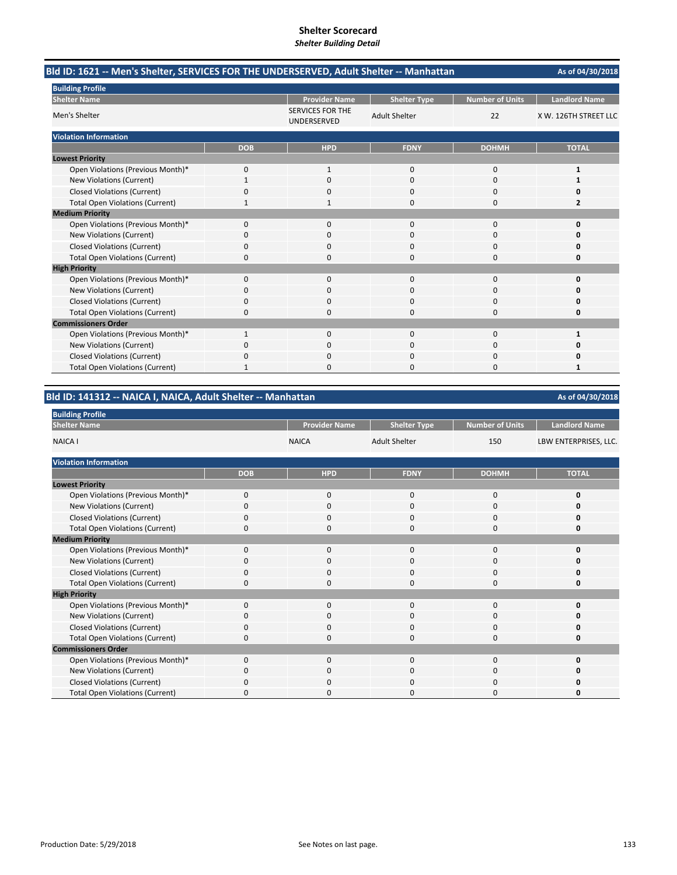| Bld ID: 1621 -- Men's Shelter, SERVICES FOR THE UNDERSERVED, Adult Shelter -- Manhattan |              |                                        |                      |                        | As of 04/30/2018      |
|-----------------------------------------------------------------------------------------|--------------|----------------------------------------|----------------------|------------------------|-----------------------|
| <b>Building Profile</b>                                                                 |              |                                        |                      |                        |                       |
| <b>Shelter Name</b>                                                                     |              | <b>Provider Name</b>                   | <b>Shelter Type</b>  | <b>Number of Units</b> | <b>Landlord Name</b>  |
| Men's Shelter                                                                           |              | <b>SERVICES FOR THE</b><br>UNDERSERVED | <b>Adult Shelter</b> | 22                     | X W. 126TH STREET LLC |
| <b>Violation Information</b>                                                            |              |                                        |                      |                        |                       |
|                                                                                         | <b>DOB</b>   | <b>HPD</b>                             | <b>FDNY</b>          | <b>DOHMH</b>           | <b>TOTAL</b>          |
| <b>Lowest Priority</b>                                                                  |              |                                        |                      |                        |                       |
| Open Violations (Previous Month)*                                                       | 0            | $\mathbf{1}$                           | $\mathbf 0$          | 0                      | 1                     |
| New Violations (Current)                                                                |              | $\Omega$                               | $\Omega$             | $\Omega$               |                       |
| <b>Closed Violations (Current)</b>                                                      | 0            | 0                                      | $\Omega$             | $\Omega$               | ŋ                     |
| <b>Total Open Violations (Current)</b>                                                  | 1            | 1                                      | $\Omega$             | 0                      | $\overline{2}$        |
| <b>Medium Priority</b>                                                                  |              |                                        |                      |                        |                       |
| Open Violations (Previous Month)*                                                       | $\Omega$     | 0                                      | $\Omega$             | $\Omega$               | $\mathbf 0$           |
| New Violations (Current)                                                                | 0            | 0                                      | $\Omega$             | $\Omega$               | 0                     |
| <b>Closed Violations (Current)</b>                                                      | 0            | 0                                      | $\Omega$             | $\Omega$               | 0                     |
| <b>Total Open Violations (Current)</b>                                                  | 0            | n                                      | $\Omega$             | O                      | $\Omega$              |
| <b>High Priority</b>                                                                    |              |                                        |                      |                        |                       |
| Open Violations (Previous Month)*                                                       | 0            | 0                                      | $\mathbf 0$          | 0                      | $\mathbf 0$           |
| New Violations (Current)                                                                | 0            | $\Omega$                               | $\Omega$             | $\Omega$               | O                     |
| <b>Closed Violations (Current)</b>                                                      | 0            | 0                                      | $\Omega$             | 0                      | 0                     |
| <b>Total Open Violations (Current)</b>                                                  | 0            | 0                                      | $\Omega$             | $\Omega$               | 0                     |
| <b>Commissioners Order</b>                                                              |              |                                        |                      |                        |                       |
| Open Violations (Previous Month)*                                                       | $\mathbf{1}$ | $\Omega$                               | $\Omega$             | $\Omega$               | $\mathbf{1}$          |
| New Violations (Current)                                                                | 0            | 0                                      | $\Omega$             | $\Omega$               | 0                     |
| <b>Closed Violations (Current)</b>                                                      | 0            | 0                                      | $\mathbf 0$          | 0                      | 0                     |
| <b>Total Open Violations (Current)</b>                                                  |              | O                                      | O                    | O                      | 1                     |

# **Bld ID: 141312 ‐‐ NAICA I, NAICA, Adult Shelter ‐‐ Manhattan**

| <b>Building Profile</b>                |             |                      |                      |                        |                       |
|----------------------------------------|-------------|----------------------|----------------------|------------------------|-----------------------|
| <b>Shelter Name</b>                    |             | <b>Provider Name</b> | <b>Shelter Type</b>  | <b>Number of Units</b> | <b>Landlord Name</b>  |
| <b>NAICA I</b>                         |             | <b>NAICA</b>         | <b>Adult Shelter</b> | 150                    | LBW ENTERPRISES, LLC. |
| <b>Violation Information</b>           |             |                      |                      |                        |                       |
|                                        | <b>DOB</b>  | <b>HPD</b>           | <b>FDNY</b>          | <b>DOHMH</b>           | <b>TOTAL</b>          |
| <b>Lowest Priority</b>                 |             |                      |                      |                        |                       |
| Open Violations (Previous Month)*      | $\mathbf 0$ | $\mathbf 0$          | 0                    | 0                      | $\mathbf 0$           |
| New Violations (Current)               | $\Omega$    | 0                    | $\Omega$             | 0                      | 0                     |
| <b>Closed Violations (Current)</b>     | 0           | $\mathbf 0$          | 0                    | $\mathbf 0$            | 0                     |
| <b>Total Open Violations (Current)</b> | $\Omega$    | 0                    | 0                    | 0                      | 0                     |
| <b>Medium Priority</b>                 |             |                      |                      |                        |                       |
| Open Violations (Previous Month)*      | $\Omega$    | $\Omega$             | $\Omega$             | 0                      | 0                     |
| New Violations (Current)               | 0           | 0                    | 0                    | 0                      | $\Omega$              |
| <b>Closed Violations (Current)</b>     | $\Omega$    | 0                    | $\Omega$             | 0                      | 0                     |
| <b>Total Open Violations (Current)</b> | 0           | 0                    | 0                    | 0                      | 0                     |
| <b>High Priority</b>                   |             |                      |                      |                        |                       |
| Open Violations (Previous Month)*      | $\Omega$    | $\mathbf 0$          | 0                    | 0                      | 0                     |
| New Violations (Current)               | 0           | 0                    | 0                    | 0                      | $\Omega$              |
| <b>Closed Violations (Current)</b>     | $\Omega$    | 0                    | $\Omega$             | 0                      | 0                     |
| <b>Total Open Violations (Current)</b> | 0           | 0                    | 0                    | 0                      | 0                     |
| <b>Commissioners Order</b>             |             |                      |                      |                        |                       |
| Open Violations (Previous Month)*      | $\Omega$    | $\Omega$             | $\Omega$             | $\Omega$               | 0                     |
| New Violations (Current)               | $\Omega$    | $\Omega$             | 0                    | 0                      | Ω                     |
| <b>Closed Violations (Current)</b>     | $\Omega$    | 0                    | 0                    | 0                      | 0                     |
| <b>Total Open Violations (Current)</b> | $\Omega$    | 0                    | O                    | 0                      | n                     |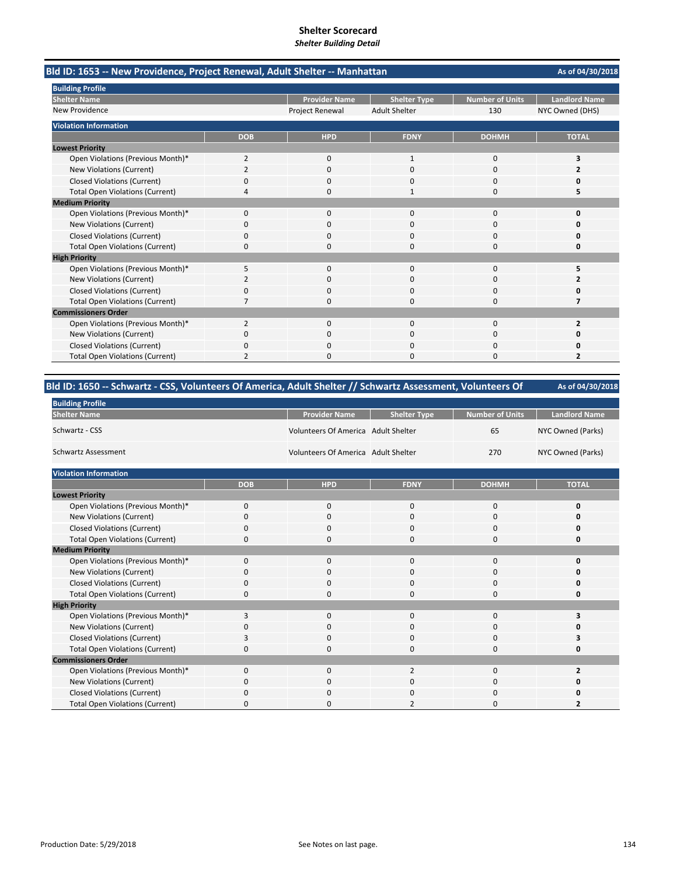| Bld ID: 1653 -- New Providence, Project Renewal, Adult Shelter -- Manhattan |            |                        |                      |                        |                      |
|-----------------------------------------------------------------------------|------------|------------------------|----------------------|------------------------|----------------------|
| <b>Building Profile</b>                                                     |            |                        |                      |                        |                      |
| <b>Shelter Name</b>                                                         |            | <b>Provider Name</b>   | <b>Shelter Type</b>  | <b>Number of Units</b> | <b>Landlord Name</b> |
| New Providence                                                              |            | <b>Project Renewal</b> | <b>Adult Shelter</b> | 130                    | NYC Owned (DHS)      |
| <b>Violation Information</b>                                                |            |                        |                      |                        |                      |
|                                                                             | <b>DOB</b> | <b>HPD</b>             | <b>FDNY</b>          | <b>DOHMH</b>           | <b>TOTAL</b>         |
| <b>Lowest Priority</b>                                                      |            |                        |                      |                        |                      |
| Open Violations (Previous Month)*                                           | 2          | 0                      | $\mathbf{1}$         | 0                      | 3                    |
| New Violations (Current)                                                    | 2          | 0                      | O                    | 0                      |                      |
| <b>Closed Violations (Current)</b>                                          | 0          | 0                      | 0                    | 0                      | O                    |
| <b>Total Open Violations (Current)</b>                                      | 4          | n                      | 1                    | $\Omega$               |                      |
| <b>Medium Priority</b>                                                      |            |                        |                      |                        |                      |
| Open Violations (Previous Month)*                                           | 0          | $\Omega$               | $\Omega$             | $\Omega$               | O                    |
| New Violations (Current)                                                    | 0          | 0                      | $\Omega$             | 0                      | n                    |
| <b>Closed Violations (Current)</b>                                          | 0          | $\Omega$               | $\Omega$             | $\Omega$               | n                    |
| <b>Total Open Violations (Current)</b>                                      | 0          | <sup>0</sup>           | $\Omega$             | 0                      | 0                    |
| <b>High Priority</b>                                                        |            |                        |                      |                        |                      |
| Open Violations (Previous Month)*                                           | 5          | $\mathbf{0}$           | $\mathbf{0}$         | 0                      | 5                    |
| New Violations (Current)                                                    | 2          | 0                      | $\Omega$             | 0                      | 7                    |
| <b>Closed Violations (Current)</b>                                          | 0          | O                      | $\Omega$             | 0                      | Ω                    |
| <b>Total Open Violations (Current)</b>                                      | 7          | 0                      | $\Omega$             | 0                      | 7                    |
| <b>Commissioners Order</b>                                                  |            |                        |                      |                        |                      |
| Open Violations (Previous Month)*                                           | 2          | 0                      | 0                    | $\Omega$               | 2                    |
| New Violations (Current)                                                    | 0          | 0                      | 0                    | 0                      |                      |
| <b>Closed Violations (Current)</b>                                          | ŋ          |                        |                      | C                      |                      |
| <b>Total Open Violations (Current)</b>                                      | 2          | O                      | O                    | O                      |                      |

| Bld ID: 1650 -- Schwartz - CSS, Volunteers Of America, Adult Shelter // Schwartz Assessment, Volunteers Of | As of 04/30/2018 |
|------------------------------------------------------------------------------------------------------------|------------------|

| <b>Building Profile</b>                |            |                                     |                     |                        |                      |
|----------------------------------------|------------|-------------------------------------|---------------------|------------------------|----------------------|
| <b>Shelter Name</b>                    |            | <b>Provider Name</b>                | <b>Shelter Type</b> | <b>Number of Units</b> | <b>Landlord Name</b> |
| Schwartz - CSS                         |            | Volunteers Of America Adult Shelter |                     | 65                     | NYC Owned (Parks)    |
| Schwartz Assessment                    |            | Volunteers Of America Adult Shelter |                     | 270                    | NYC Owned (Parks)    |
| <b>Violation Information</b>           |            |                                     |                     |                        |                      |
|                                        | <b>DOB</b> | <b>HPD</b>                          | <b>FDNY</b>         | <b>DOHMH</b>           | <b>TOTAL</b>         |
| <b>Lowest Priority</b>                 |            |                                     |                     |                        |                      |
| Open Violations (Previous Month)*      | 0          | 0                                   | $\mathbf{0}$        | $\mathbf 0$            | 0                    |
| New Violations (Current)               | 0          | 0                                   | 0                   | 0                      | 0                    |
| <b>Closed Violations (Current)</b>     | 0          | 0                                   | 0                   | 0                      | 0                    |
| <b>Total Open Violations (Current)</b> | 0          | 0                                   | $\mathbf 0$         | 0                      | 0                    |
| <b>Medium Priority</b>                 |            |                                     |                     |                        |                      |
| Open Violations (Previous Month)*      | 0          | 0                                   | $\mathbf 0$         | 0                      | 0                    |
| New Violations (Current)               | 0          | 0                                   | $\mathbf 0$         | 0                      | 0                    |
| <b>Closed Violations (Current)</b>     | 0          | $\Omega$                            | $\Omega$            | 0                      | 0                    |
| <b>Total Open Violations (Current)</b> | 0          | 0                                   | $\Omega$            | 0                      | 0                    |
| <b>High Priority</b>                   |            |                                     |                     |                        |                      |
| Open Violations (Previous Month)*      | 3          | $\mathbf{0}$                        | $\Omega$            | 0                      | 3                    |
| New Violations (Current)               | 0          | 0                                   | $\Omega$            | 0                      | 0                    |
| <b>Closed Violations (Current)</b>     | 3          | $\mathbf{0}$                        | $\mathbf 0$         | 0                      | 3                    |
| <b>Total Open Violations (Current)</b> | 0          | $\Omega$                            | $\Omega$            | 0                      | 0                    |
| <b>Commissioners Order</b>             |            |                                     |                     |                        |                      |
| Open Violations (Previous Month)*      | 0          | 0                                   | $\overline{2}$      | $\mathbf 0$            | $\overline{2}$       |
| New Violations (Current)               | 0          | $\Omega$                            | $\Omega$            | 0                      | O                    |
| <b>Closed Violations (Current)</b>     | 0          | 0                                   | 0                   | $\Omega$               | 0                    |
| <b>Total Open Violations (Current)</b> | 0          | $\Omega$                            | $\overline{2}$      | $\Omega$               | $\overline{2}$       |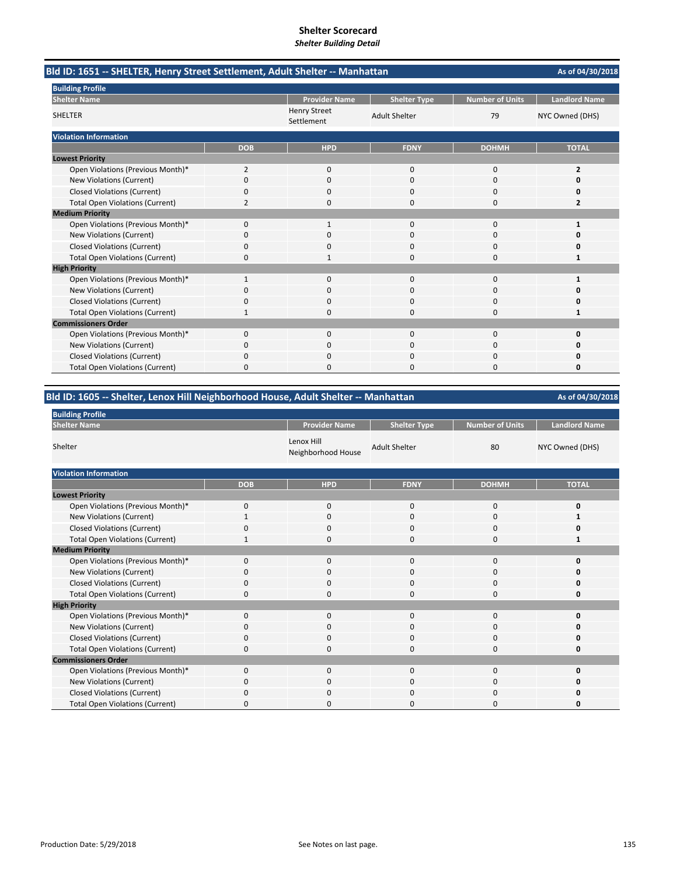| Bld ID: 1651 -- SHELTER, Henry Street Settlement, Adult Shelter -- Manhattan |                |                                   |                      |                        |                      |  |
|------------------------------------------------------------------------------|----------------|-----------------------------------|----------------------|------------------------|----------------------|--|
| <b>Building Profile</b>                                                      |                |                                   |                      |                        |                      |  |
| <b>Shelter Name</b>                                                          |                | <b>Provider Name</b>              | <b>Shelter Type</b>  | <b>Number of Units</b> | <b>Landlord Name</b> |  |
| <b>SHELTER</b>                                                               |                | <b>Henry Street</b><br>Settlement | <b>Adult Shelter</b> | 79                     | NYC Owned (DHS)      |  |
| <b>Violation Information</b>                                                 |                |                                   |                      |                        |                      |  |
|                                                                              | <b>DOB</b>     | <b>HPD</b>                        | <b>FDNY</b>          | <b>DOHMH</b>           | <b>TOTAL</b>         |  |
| <b>Lowest Priority</b>                                                       |                |                                   |                      |                        |                      |  |
| Open Violations (Previous Month)*                                            | $\overline{2}$ | 0                                 | $\mathbf 0$          | $\mathbf 0$            | 2                    |  |
| New Violations (Current)                                                     | 0              | $\Omega$                          | $\Omega$             | $\Omega$               | O                    |  |
| <b>Closed Violations (Current)</b>                                           | 0              | 0                                 | 0                    | 0                      | 0                    |  |
| <b>Total Open Violations (Current)</b>                                       | 2              | 0                                 | 0                    | $\Omega$               | 2                    |  |
| <b>Medium Priority</b>                                                       |                |                                   |                      |                        |                      |  |
| Open Violations (Previous Month)*                                            | 0              | $\mathbf{1}$                      | $\Omega$             | $\Omega$               | 1                    |  |
| New Violations (Current)                                                     | 0              | 0                                 | 0                    | 0                      | n                    |  |
| <b>Closed Violations (Current)</b>                                           | 0              | 0                                 | 0                    | 0                      | 0                    |  |
| <b>Total Open Violations (Current)</b>                                       | 0              |                                   | 0                    | $\Omega$               | 1                    |  |
| <b>High Priority</b>                                                         |                |                                   |                      |                        |                      |  |
| Open Violations (Previous Month)*                                            | $\mathbf{1}$   | $\Omega$                          | $\Omega$             | $\Omega$               | 1                    |  |
| New Violations (Current)                                                     | ŋ              | <sup>0</sup>                      | $\Omega$             | $\Omega$               | n                    |  |
| <b>Closed Violations (Current)</b>                                           | 0              | 0                                 | 0                    | $\Omega$               | 0                    |  |
| <b>Total Open Violations (Current)</b>                                       |                | $\Omega$                          | 0                    | $\Omega$               | 1                    |  |
| <b>Commissioners Order</b>                                                   |                |                                   |                      |                        |                      |  |
| Open Violations (Previous Month)*                                            | 0              | 0                                 | $\Omega$             | $\mathbf 0$            | $\Omega$             |  |
| New Violations (Current)                                                     | n              | 0                                 | O                    | 0                      | n                    |  |
| <b>Closed Violations (Current)</b>                                           | 0              | $\Omega$                          | 0                    | 0                      | Ω                    |  |
| <b>Total Open Violations (Current)</b>                                       | 0              | <sup>0</sup>                      | 0                    | $\Omega$               | 0                    |  |

### **Bld ID: 1605 ‐‐ Shelter, Lenox Hill Neighborhood House, Adult Shelter ‐‐ Manhattan**

| <b>Building Profile</b>                |              |                                  |                      |                 |                      |
|----------------------------------------|--------------|----------------------------------|----------------------|-----------------|----------------------|
| <b>Shelter Name</b>                    |              | <b>Provider Name</b>             | <b>Shelter Type</b>  | Number of Units | <b>Landlord Name</b> |
| Shelter                                |              | Lenox Hill<br>Neighborhood House | <b>Adult Shelter</b> | 80              | NYC Owned (DHS)      |
| <b>Violation Information</b>           |              |                                  |                      |                 |                      |
|                                        | <b>DOB</b>   | <b>HPD</b>                       | <b>FDNY</b>          | <b>DOHMH</b>    | <b>TOTAL</b>         |
| <b>Lowest Priority</b>                 |              |                                  |                      |                 |                      |
| Open Violations (Previous Month)*      | 0            | $\mathbf 0$                      | 0                    | 0               | 0                    |
| New Violations (Current)               | $\mathbf{1}$ | $\mathbf 0$                      | 0                    | 0               | 1                    |
| <b>Closed Violations (Current)</b>     | 0            | 0                                | 0                    | 0               | O                    |
| <b>Total Open Violations (Current)</b> | $\mathbf{1}$ | $\mathbf 0$                      | 0                    | 0               | 1                    |
| <b>Medium Priority</b>                 |              |                                  |                      |                 |                      |
| Open Violations (Previous Month)*      | 0            | $\mathbf 0$                      | 0                    | 0               | 0                    |
| New Violations (Current)               | $\Omega$     | $\mathbf 0$                      | 0                    | $\Omega$        | 0                    |
| <b>Closed Violations (Current)</b>     | 0            | $\mathbf 0$                      | 0                    | 0               | 0                    |
| <b>Total Open Violations (Current)</b> | $\Omega$     | $\mathbf 0$                      | 0                    | $\Omega$        | 0                    |
| <b>High Priority</b>                   |              |                                  |                      |                 |                      |
| Open Violations (Previous Month)*      | 0            | $\mathbf 0$                      | 0                    | 0               | 0                    |
| New Violations (Current)               | 0            | $\mathbf 0$                      | $\Omega$             | $\Omega$        | 0                    |
| <b>Closed Violations (Current)</b>     | 0            | 0                                | 0                    | 0               | 0                    |
| <b>Total Open Violations (Current)</b> | 0            | $\Omega$                         | 0                    | 0               | 0                    |
| <b>Commissioners Order</b>             |              |                                  |                      |                 |                      |
| Open Violations (Previous Month)*      | 0            | $\mathbf 0$                      | 0                    | 0               | 0                    |
| New Violations (Current)               | O            | 0                                | 0                    | $\Omega$        | 0                    |
| <b>Closed Violations (Current)</b>     | 0            | 0                                | 0                    | $\Omega$        | 0                    |

Total Open Violations (Current) 0000 **0**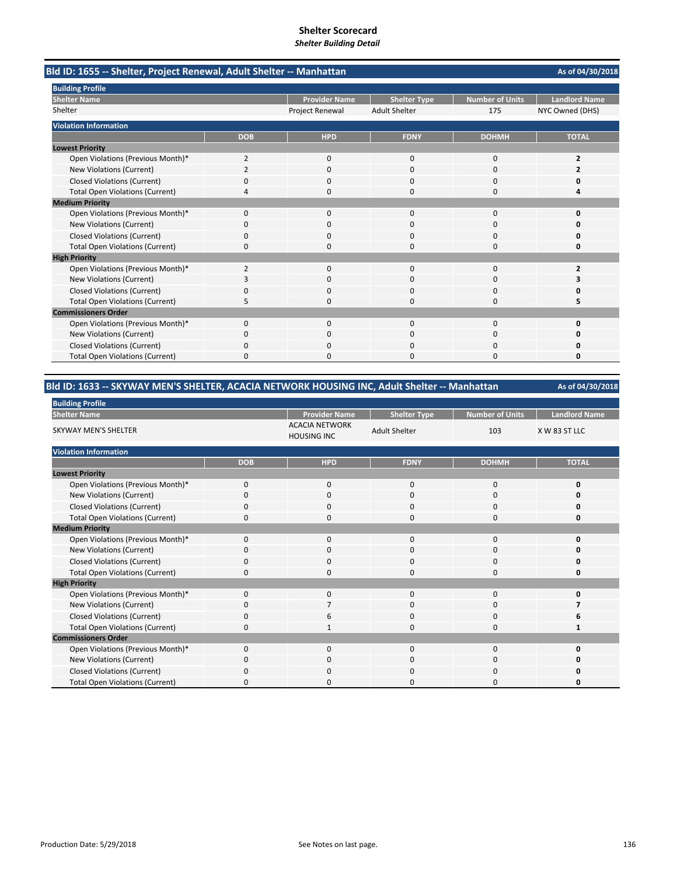| Bld ID: 1655 -- Shelter, Project Renewal, Adult Shelter -- Manhattan |                |                        |                      |                        | As of 04/30/2018     |
|----------------------------------------------------------------------|----------------|------------------------|----------------------|------------------------|----------------------|
| <b>Building Profile</b>                                              |                |                        |                      |                        |                      |
| <b>Shelter Name</b>                                                  |                | <b>Provider Name</b>   | <b>Shelter Type</b>  | <b>Number of Units</b> | <b>Landlord Name</b> |
| Shelter                                                              |                | <b>Project Renewal</b> | <b>Adult Shelter</b> | 175                    | NYC Owned (DHS)      |
| <b>Violation Information</b>                                         |                |                        |                      |                        |                      |
|                                                                      | <b>DOB</b>     | <b>HPD</b>             | <b>FDNY</b>          | <b>DOHMH</b>           | <b>TOTAL</b>         |
| <b>Lowest Priority</b>                                               |                |                        |                      |                        |                      |
| Open Violations (Previous Month)*                                    | 2              | 0                      | $\mathbf 0$          | $\mathbf 0$            | 2                    |
| <b>New Violations (Current)</b>                                      | $\overline{2}$ | $\Omega$               | $\Omega$             | $\Omega$               |                      |
| <b>Closed Violations (Current)</b>                                   | 0              | 0                      | 0                    | $\Omega$               | o                    |
| <b>Total Open Violations (Current)</b>                               | 4              | 0                      | $\Omega$             | $\Omega$               | 4                    |
| <b>Medium Priority</b>                                               |                |                        |                      |                        |                      |
| Open Violations (Previous Month)*                                    | 0              | ŋ                      | O                    | $\Omega$               | Ω                    |
| New Violations (Current)                                             | 0              | 0                      | 0                    | 0                      | o                    |
| <b>Closed Violations (Current)</b>                                   | $\Omega$       | <sup>0</sup>           | $\Omega$             | $\Omega$               | o                    |
| <b>Total Open Violations (Current)</b>                               | $\Omega$       | 0                      | 0                    | $\Omega$               | 0                    |
| <b>High Priority</b>                                                 |                |                        |                      |                        |                      |
| Open Violations (Previous Month)*                                    | $\overline{2}$ | $\Omega$               | $\Omega$             | $\Omega$               | 2                    |
| New Violations (Current)                                             | 3              | 0                      | 0                    | $\Omega$               | 3                    |
| <b>Closed Violations (Current)</b>                                   | 0              | 0                      | 0                    | 0                      | Ω                    |
| <b>Total Open Violations (Current)</b>                               | 5              | <sup>n</sup>           | $\Omega$             | $\Omega$               | 5                    |
| <b>Commissioners Order</b>                                           |                |                        |                      |                        |                      |
| Open Violations (Previous Month)*                                    | 0              | 0                      | $\mathbf 0$          | $\mathbf 0$            | 0                    |
| New Violations (Current)                                             | 0              | O                      | O                    | $\Omega$               | o                    |
| <b>Closed Violations (Current)</b>                                   | 0              | 0                      | 0                    | $\Omega$               | 0                    |
| <b>Total Open Violations (Current)</b>                               | 0              | $\Omega$               | 0                    | $\Omega$               | 0                    |

| , Bld ID: 1633 -- SKYWAY MEN'S SHELTER, ACACIA NETWORK HOUSING INC, Adult Shelter -- Manhattan |
|------------------------------------------------------------------------------------------------|
|------------------------------------------------------------------------------------------------|

**As of 04/30/2018**

| <b>Dunuing Frome</b>                   |             |                                             |                      |                        |                      |  |  |  |
|----------------------------------------|-------------|---------------------------------------------|----------------------|------------------------|----------------------|--|--|--|
| <b>Shelter Name</b>                    |             | <b>Provider Name</b>                        | <b>Shelter Type</b>  | <b>Number of Units</b> | <b>Landlord Name</b> |  |  |  |
| SKYWAY MEN'S SHELTER                   |             | <b>ACACIA NETWORK</b><br><b>HOUSING INC</b> | <b>Adult Shelter</b> | 103                    | X W 83 ST LLC        |  |  |  |
| <b>Violation Information</b>           |             |                                             |                      |                        |                      |  |  |  |
|                                        | <b>DOB</b>  | <b>HPD</b>                                  | <b>FDNY</b>          | <b>DOHMH</b>           | <b>TOTAL</b>         |  |  |  |
| <b>Lowest Priority</b>                 |             |                                             |                      |                        |                      |  |  |  |
| Open Violations (Previous Month)*      | $\Omega$    | $\mathbf{0}$                                | $\mathbf 0$          | 0                      | 0                    |  |  |  |
| New Violations (Current)               | 0           | $\mathbf 0$                                 | 0                    | 0                      | O                    |  |  |  |
| <b>Closed Violations (Current)</b>     | 0           | $\Omega$                                    | $\Omega$             | 0                      | 0                    |  |  |  |
| <b>Total Open Violations (Current)</b> | $\Omega$    | $\mathbf 0$                                 | 0                    | 0                      | 0                    |  |  |  |
| <b>Medium Priority</b>                 |             |                                             |                      |                        |                      |  |  |  |
| Open Violations (Previous Month)*      | $\mathbf 0$ | $\mathbf{0}$                                | $\mathbf 0$          | 0                      | 0                    |  |  |  |
| New Violations (Current)               | $\Omega$    | $\Omega$                                    | $\Omega$             | 0                      | O                    |  |  |  |
| <b>Closed Violations (Current)</b>     | 0           | 0                                           | 0                    | 0                      | O                    |  |  |  |
| <b>Total Open Violations (Current)</b> | $\Omega$    | $\Omega$                                    | $\Omega$             | $\Omega$               | 0                    |  |  |  |
| <b>High Priority</b>                   |             |                                             |                      |                        |                      |  |  |  |
| Open Violations (Previous Month)*      | $\Omega$    | 0                                           | $\mathbf 0$          | 0                      | O                    |  |  |  |
| New Violations (Current)               | $\Omega$    |                                             | $\Omega$             | 0                      |                      |  |  |  |
| <b>Closed Violations (Current)</b>     | 0           | 6                                           | 0                    | 0                      | 6                    |  |  |  |
| <b>Total Open Violations (Current)</b> | $\Omega$    | $\mathbf{1}$                                | 0                    | 0                      | 1                    |  |  |  |
| <b>Commissioners Order</b>             |             |                                             |                      |                        |                      |  |  |  |
| Open Violations (Previous Month)*      | $\Omega$    | $\mathbf 0$                                 | $\mathbf 0$          | 0                      | 0                    |  |  |  |
| New Violations (Current)               | $\Omega$    | $\mathbf 0$                                 | $\mathbf 0$          | 0                      | O                    |  |  |  |
| <b>Closed Violations (Current)</b>     | $\Omega$    | $\Omega$                                    | $\Omega$             | $\Omega$               | 0                    |  |  |  |
| <b>Total Open Violations (Current)</b> | $\Omega$    | $\Omega$                                    | 0                    | $\Omega$               | O                    |  |  |  |

**Building Profile**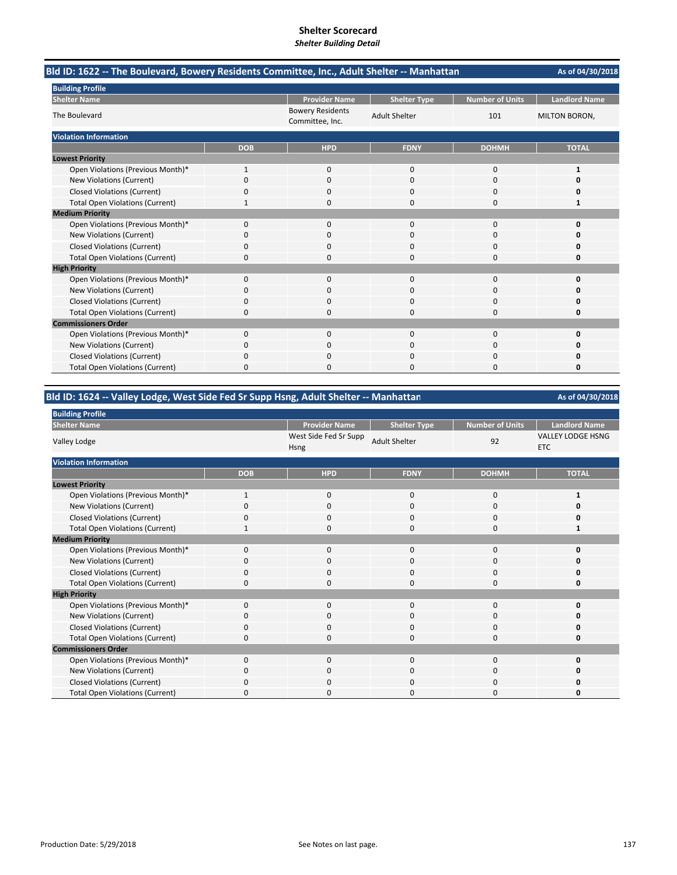| Bld ID: 1622 -- The Boulevard, Bowery Residents Committee, Inc., Adult Shelter -- Manhattan | As of 04/30/2018 |                                            |                      |                        |                      |
|---------------------------------------------------------------------------------------------|------------------|--------------------------------------------|----------------------|------------------------|----------------------|
| <b>Building Profile</b>                                                                     |                  |                                            |                      |                        |                      |
| <b>Shelter Name</b>                                                                         |                  | <b>Provider Name</b>                       | <b>Shelter Type</b>  | <b>Number of Units</b> | <b>Landlord Name</b> |
| The Boulevard                                                                               |                  | <b>Bowery Residents</b><br>Committee, Inc. | <b>Adult Shelter</b> | 101                    | <b>MILTON BORON,</b> |
| <b>Violation Information</b>                                                                |                  |                                            |                      |                        |                      |
|                                                                                             | <b>DOB</b>       | <b>HPD</b>                                 | <b>FDNY</b>          | <b>DOHMH</b>           | <b>TOTAL</b>         |
| <b>Lowest Priority</b>                                                                      |                  |                                            |                      |                        |                      |
| Open Violations (Previous Month)*                                                           | 1                | 0                                          | $\mathbf 0$          | 0                      | $\mathbf{1}$         |
| New Violations (Current)                                                                    | 0                | 0                                          | $\Omega$             | $\Omega$               | 0                    |
| <b>Closed Violations (Current)</b>                                                          | 0                | 0                                          | 0                    | 0                      | 0                    |
| <b>Total Open Violations (Current)</b>                                                      |                  | $\Omega$                                   | 0                    | $\Omega$               | 1                    |
| <b>Medium Priority</b>                                                                      |                  |                                            |                      |                        |                      |
| Open Violations (Previous Month)*                                                           | $\Omega$         | $\Omega$                                   | $\Omega$             | $\Omega$               | $\Omega$             |
| New Violations (Current)                                                                    | ŋ                | <sup>0</sup>                               | O                    | $\Omega$               | n                    |
| <b>Closed Violations (Current)</b>                                                          | 0                | $\Omega$                                   | 0                    | $\Omega$               | Ω                    |
| <b>Total Open Violations (Current)</b>                                                      | 0                | $\Omega$                                   | O                    | $\Omega$               | O                    |
| <b>High Priority</b>                                                                        |                  |                                            |                      |                        |                      |
| Open Violations (Previous Month)*                                                           | 0                | $\Omega$                                   | $\Omega$             | $\Omega$               | 0                    |
| New Violations (Current)                                                                    | 0                | $\Omega$                                   | $\Omega$             | $\Omega$               | n                    |
| <b>Closed Violations (Current)</b>                                                          | $\Omega$         | $\Omega$                                   | 0                    | $\Omega$               | 0                    |
| <b>Total Open Violations (Current)</b>                                                      | 0                | $\Omega$                                   | 0                    | $\Omega$               | 0                    |
| <b>Commissioners Order</b>                                                                  |                  |                                            |                      |                        |                      |
| Open Violations (Previous Month)*                                                           | 0                | $\Omega$                                   | $\Omega$             | 0                      | O                    |
| New Violations (Current)                                                                    | 0                | 0                                          | 0                    | $\Omega$               | Ω                    |
| <b>Closed Violations (Current)</b>                                                          | 0                | $\Omega$                                   | O                    | $\Omega$               | n                    |
| <b>Total Open Violations (Current)</b>                                                      | 0                | O                                          | O                    | $\Omega$               | 0                    |

# **Bld ID: 1624 ‐‐ Valley Lodge, West Side Fed Sr Supp Hsng, Adult Shelter ‐‐ Manhattan**

| <b>Building Profile</b>                |              |                                      |                      |                        |                                        |
|----------------------------------------|--------------|--------------------------------------|----------------------|------------------------|----------------------------------------|
| <b>Shelter Name</b>                    |              | <b>Provider Name</b>                 | <b>Shelter Type</b>  | <b>Number of Units</b> | <b>Landlord Name</b>                   |
| Valley Lodge                           |              | West Side Fed Sr Supp<br><b>Hsng</b> | <b>Adult Shelter</b> | 92                     | <b>VALLEY LODGE HSNG</b><br><b>ETC</b> |
| <b>Violation Information</b>           |              |                                      |                      |                        |                                        |
|                                        | <b>DOB</b>   | <b>HPD</b>                           | <b>FDNY</b>          | <b>DOHMH</b>           | <b>TOTAL</b>                           |
| <b>Lowest Priority</b>                 |              |                                      |                      |                        |                                        |
| Open Violations (Previous Month)*      | $\mathbf{1}$ | $\mathbf{0}$                         | $\mathbf 0$          | $\mathbf{0}$           | 1                                      |
| New Violations (Current)               | $\Omega$     | $\mathbf 0$                          | 0                    | 0                      | 0                                      |
| <b>Closed Violations (Current)</b>     | 0            | $\mathbf 0$                          | 0                    | 0                      | 0                                      |
| <b>Total Open Violations (Current)</b> | $\mathbf{1}$ | $\mathbf 0$                          | $\mathbf{0}$         | $\mathbf{0}$           | 1                                      |
| <b>Medium Priority</b>                 |              |                                      |                      |                        |                                        |
| Open Violations (Previous Month)*      | 0            | 0                                    | $\mathbf{0}$         | 0                      | 0                                      |
| New Violations (Current)               | 0            | $\mathbf 0$                          | $\mathbf{0}$         | 0                      | 0                                      |
| <b>Closed Violations (Current)</b>     | 0            | 0                                    | $\mathbf{0}$         | 0                      | U                                      |
| <b>Total Open Violations (Current)</b> | 0            | $\mathbf 0$                          | $\Omega$             | $\Omega$               | 0                                      |
| <b>High Priority</b>                   |              |                                      |                      |                        |                                        |
| Open Violations (Previous Month)*      | $\Omega$     | $\mathbf 0$                          | $\mathbf{0}$         | 0                      | 0                                      |
| New Violations (Current)               | O            | 0                                    | 0                    | 0                      | 0                                      |
| <b>Closed Violations (Current)</b>     | 0            | 0                                    | 0                    | 0                      | 0                                      |
| <b>Total Open Violations (Current)</b> | O            | $\mathbf 0$                          | 0                    | 0                      | U                                      |
| <b>Commissioners Order</b>             |              |                                      |                      |                        |                                        |
| Open Violations (Previous Month)*      | $\Omega$     | $\mathbf 0$                          | $\mathbf{0}$         | 0                      | U                                      |
| New Violations (Current)               | 0            | 0                                    | 0                    | 0                      | 0                                      |
| <b>Closed Violations (Current)</b>     | 0            | 0                                    | 0                    | 0                      | ŋ                                      |
| <b>Total Open Violations (Current)</b> | n            | $\Omega$                             | 0                    | 0                      | 0                                      |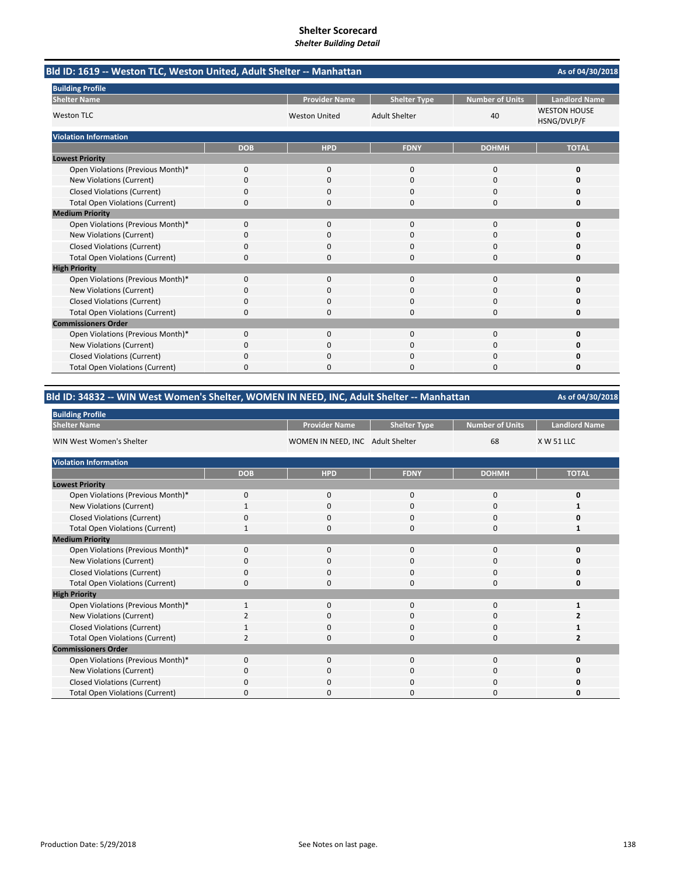| Bld ID: 1619 -- Weston TLC, Weston United, Adult Shelter -- Manhattan |            | As of 04/30/2018     |                      |                        |                                    |
|-----------------------------------------------------------------------|------------|----------------------|----------------------|------------------------|------------------------------------|
| <b>Building Profile</b>                                               |            |                      |                      |                        |                                    |
| <b>Shelter Name</b>                                                   |            | <b>Provider Name</b> | <b>Shelter Type</b>  | <b>Number of Units</b> | <b>Landlord Name</b>               |
| <b>Weston TLC</b>                                                     |            | <b>Weston United</b> | <b>Adult Shelter</b> | 40                     | <b>WESTON HOUSE</b><br>HSNG/DVLP/F |
| <b>Violation Information</b>                                          |            |                      |                      |                        |                                    |
|                                                                       | <b>DOB</b> | <b>HPD</b>           | <b>FDNY</b>          | <b>DOHMH</b>           | <b>TOTAL</b>                       |
| <b>Lowest Priority</b>                                                |            |                      |                      |                        |                                    |
| Open Violations (Previous Month)*                                     | 0          | 0                    | $\mathbf{0}$         | $\mathbf 0$            | 0                                  |
| New Violations (Current)                                              | 0          | 0                    | $\Omega$             | $\Omega$               | O                                  |
| <b>Closed Violations (Current)</b>                                    | 0          | 0                    | 0                    | 0                      | 0                                  |
| <b>Total Open Violations (Current)</b>                                | 0          | 0                    | 0                    | 0                      | 0                                  |
| <b>Medium Priority</b>                                                |            |                      |                      |                        |                                    |
| Open Violations (Previous Month)*                                     | $\Omega$   | $\Omega$             | $\Omega$             | $\Omega$               | 0                                  |
| New Violations (Current)                                              | ŋ          | 0                    | O                    | 0                      | n                                  |
| <b>Closed Violations (Current)</b>                                    | 0          | 0                    | $\Omega$             | $\Omega$               | 0                                  |
| <b>Total Open Violations (Current)</b>                                | 0          | <sup>0</sup>         | $\Omega$             | $\Omega$               | 0                                  |
| <b>High Priority</b>                                                  |            |                      |                      |                        |                                    |
| Open Violations (Previous Month)*                                     | 0          | $\Omega$             | $\Omega$             | $\Omega$               | 0                                  |
| New Violations (Current)                                              | 0          | 0                    | $\Omega$             | 0                      | Ω                                  |
| <b>Closed Violations (Current)</b>                                    | 0          | $\Omega$             | 0                    | $\Omega$               | O                                  |
| <b>Total Open Violations (Current)</b>                                | 0          | <sup>0</sup>         | O                    | 0                      | o                                  |
| <b>Commissioners Order</b>                                            |            |                      |                      |                        |                                    |
| Open Violations (Previous Month)*                                     | 0          | $\Omega$             | $\Omega$             | $\Omega$               | 0                                  |
| New Violations (Current)                                              | 0          | 0                    | 0                    | $\Omega$               | o                                  |
| <b>Closed Violations (Current)</b>                                    | 0          | $\Omega$             | $\Omega$             | $\Omega$               | n                                  |
| <b>Total Open Violations (Current)</b>                                | 0          | $\Omega$             | $\Omega$             | $\Omega$               | 0                                  |

### **Bld ID: 34832 ‐‐ WIN West Women's Shelter, WOMEN IN NEED, INC, Adult Shelter ‐‐ Manhattan**

| <b>Building Profile</b>                |                |                                  |                     |                        |                      |
|----------------------------------------|----------------|----------------------------------|---------------------|------------------------|----------------------|
| <b>Shelter Name</b>                    |                | <b>Provider Name</b>             | <b>Shelter Type</b> | <b>Number of Units</b> | <b>Landlord Name</b> |
| WIN West Women's Shelter               |                | WOMEN IN NEED, INC Adult Shelter |                     | 68                     | <b>X W 51 LLC</b>    |
| <b>Violation Information</b>           |                |                                  |                     |                        |                      |
|                                        | <b>DOB</b>     | <b>HPD</b>                       | <b>FDNY</b>         | <b>DOHMH</b>           | <b>TOTAL</b>         |
| <b>Lowest Priority</b>                 |                |                                  |                     |                        |                      |
| Open Violations (Previous Month)*      | 0              | 0                                | 0                   | 0                      | 0                    |
| New Violations (Current)               | $\mathbf{1}$   | $\mathbf 0$                      | 0                   | 0                      |                      |
| <b>Closed Violations (Current)</b>     | 0              | $\mathbf 0$                      | 0                   | 0                      | O                    |
| <b>Total Open Violations (Current)</b> | $\mathbf{1}$   | $\mathbf 0$                      | 0                   | 0                      |                      |
| <b>Medium Priority</b>                 |                |                                  |                     |                        |                      |
| Open Violations (Previous Month)*      | $\mathbf 0$    | $\mathbf 0$                      | 0                   | 0                      | O                    |
| New Violations (Current)               | 0              | $\Omega$                         | 0                   | 0                      |                      |
| <b>Closed Violations (Current)</b>     | 0              | $\mathbf 0$                      | 0                   | 0                      | 0                    |
| <b>Total Open Violations (Current)</b> | $\Omega$       | $\Omega$                         | $\Omega$            | 0                      | O                    |
| <b>High Priority</b>                   |                |                                  |                     |                        |                      |
| Open Violations (Previous Month)*      | $\mathbf{1}$   | 0                                | 0                   | 0                      |                      |
| New Violations (Current)               |                | 0                                | 0                   | 0                      |                      |
| <b>Closed Violations (Current)</b>     | 1              | $\mathbf 0$                      | 0                   | 0                      |                      |
| <b>Total Open Violations (Current)</b> | $\overline{2}$ | $\Omega$                         | 0                   | 0                      | 2                    |
| <b>Commissioners Order</b>             |                |                                  |                     |                        |                      |
| Open Violations (Previous Month)*      | $\Omega$       | $\mathbf 0$                      | $\mathbf{0}$        | 0                      | 0                    |
| New Violations (Current)               | $\Omega$       | 0                                | 0                   | 0                      | 0                    |
| Closed Violations (Current)            | $\Omega$       | $\mathbf 0$                      | 0                   | 0                      | n                    |
| <b>Total Open Violations (Current)</b> | O              | $\Omega$                         | 0                   | $\Omega$               | O                    |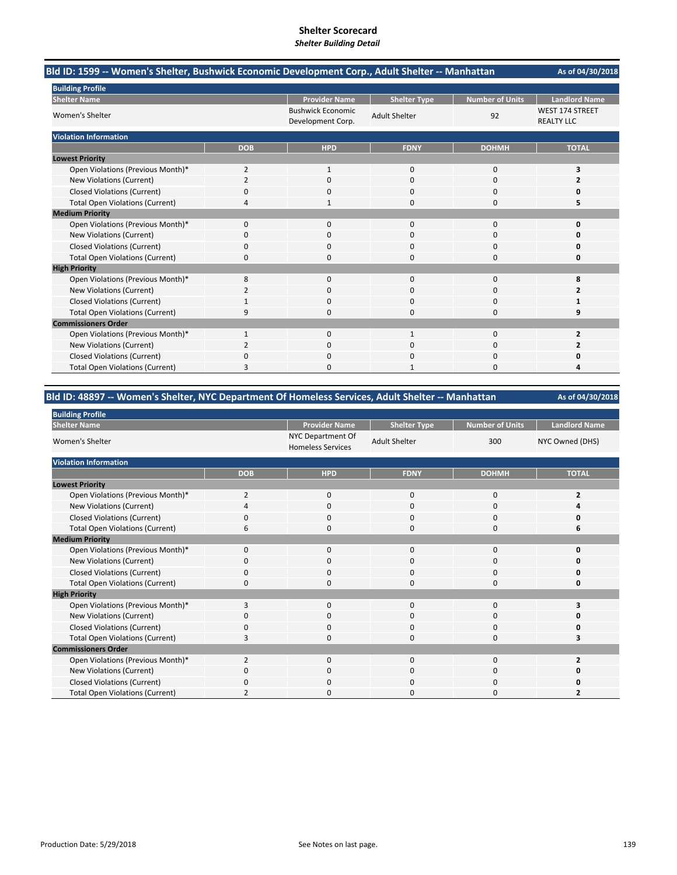| Bld ID: 1599 -- Women's Shelter, Bushwick Economic Development Corp., Adult Shelter -- Manhattan |                |                                               |                      |                 | As of 04/30/2018                     |
|--------------------------------------------------------------------------------------------------|----------------|-----------------------------------------------|----------------------|-----------------|--------------------------------------|
| <b>Building Profile</b>                                                                          |                |                                               |                      |                 |                                      |
| <b>Shelter Name</b>                                                                              |                | <b>Provider Name</b>                          | <b>Shelter Type</b>  | Number of Units | <b>Landlord Name</b>                 |
| Women's Shelter                                                                                  |                | <b>Bushwick Economic</b><br>Development Corp. | <b>Adult Shelter</b> | 92              | WEST 174 STREET<br><b>REALTY LLC</b> |
| <b>Violation Information</b>                                                                     |                |                                               |                      |                 |                                      |
|                                                                                                  | <b>DOB</b>     | <b>HPD</b>                                    | <b>FDNY</b>          | <b>DOHMH</b>    | <b>TOTAL</b>                         |
| <b>Lowest Priority</b>                                                                           |                |                                               |                      |                 |                                      |
| Open Violations (Previous Month)*                                                                | $\overline{2}$ | $\mathbf{1}$                                  | $\mathbf{0}$         | $\mathbf 0$     | 3                                    |
| New Violations (Current)                                                                         | $\overline{2}$ | $\Omega$                                      | $\Omega$             | $\Omega$        | 2                                    |
| <b>Closed Violations (Current)</b>                                                               | 0              | 0                                             | 0                    | 0               | 0                                    |
| <b>Total Open Violations (Current)</b>                                                           | 4              |                                               | 0                    | 0               | 5                                    |
| <b>Medium Priority</b>                                                                           |                |                                               |                      |                 |                                      |
| Open Violations (Previous Month)*                                                                | 0              | 0                                             | $\Omega$             | $\Omega$        | $\Omega$                             |
| New Violations (Current)                                                                         | n              | 0                                             | 0                    | 0               | Ω                                    |
| <b>Closed Violations (Current)</b>                                                               | 0              | $\Omega$                                      | $\Omega$             | 0               | 0                                    |
| <b>Total Open Violations (Current)</b>                                                           | 0              | <sup>0</sup>                                  | 0                    | 0               | 0                                    |
| <b>High Priority</b>                                                                             |                |                                               |                      |                 |                                      |
| Open Violations (Previous Month)*                                                                | 8              | 0                                             | $\Omega$             | $\Omega$        | 8                                    |
| New Violations (Current)                                                                         | 2              | 0                                             | 0                    | 0               | 2                                    |
| <b>Closed Violations (Current)</b>                                                               |                | ŋ                                             | O                    | $\Omega$        |                                      |
| <b>Total Open Violations (Current)</b>                                                           | 9              | O                                             | 0                    | $\Omega$        | 9                                    |
| <b>Commissioners Order</b>                                                                       |                |                                               |                      |                 |                                      |
| Open Violations (Previous Month)*                                                                | $\mathbf{1}$   | $\Omega$                                      | $\mathbf{1}$         | $\Omega$        | $\overline{2}$                       |
| New Violations (Current)                                                                         | 2              | $\Omega$                                      | 0                    | $\Omega$        | 2                                    |
| <b>Closed Violations (Current)</b>                                                               | 0              | 0                                             | 0                    | 0               | Ω                                    |
| <b>Total Open Violations (Current)</b>                                                           | 3              | $\Omega$                                      |                      | $\Omega$        | 4                                    |

### **Bld ID: 48897 ‐‐ Women's Shelter, NYC Department Of Homeless Services, Adult Shelter ‐‐ Manhattan**

| <b>Building Profile</b>                |            |                                               |                      |                        |                      |
|----------------------------------------|------------|-----------------------------------------------|----------------------|------------------------|----------------------|
| <b>Shelter Name</b>                    |            | <b>Provider Name</b>                          | <b>Shelter Type</b>  | <b>Number of Units</b> | <b>Landlord Name</b> |
| Women's Shelter                        |            | NYC Department Of<br><b>Homeless Services</b> | <b>Adult Shelter</b> | 300                    | NYC Owned (DHS)      |
| <b>Violation Information</b>           |            |                                               |                      |                        |                      |
|                                        | <b>DOB</b> | <b>HPD</b>                                    | <b>FDNY</b>          | <b>DOHMH</b>           | <b>TOTAL</b>         |
| <b>Lowest Priority</b>                 |            |                                               |                      |                        |                      |
| Open Violations (Previous Month)*      | 2          | 0                                             | 0                    | 0                      | 2                    |
| New Violations (Current)               |            | 0                                             | 0                    | 0                      |                      |
| <b>Closed Violations (Current)</b>     | 0          | $\Omega$                                      | $\mathbf 0$          | $\mathbf 0$            |                      |
| <b>Total Open Violations (Current)</b> | 6          | $\Omega$                                      | 0                    | $\mathbf 0$            | 6                    |
| <b>Medium Priority</b>                 |            |                                               |                      |                        |                      |
| Open Violations (Previous Month)*      | $\Omega$   | $\Omega$                                      | 0                    | 0                      |                      |
| New Violations (Current)               | O          | 0                                             | 0                    | 0                      |                      |
| <b>Closed Violations (Current)</b>     | 0          | $\mathbf 0$                                   | 0                    | 0                      |                      |
| <b>Total Open Violations (Current)</b> | ŋ          | $\Omega$                                      | 0                    | $\mathbf 0$            |                      |
| <b>High Priority</b>                   |            |                                               |                      |                        |                      |
| Open Violations (Previous Month)*      | 3          | 0                                             | $\mathbf 0$          | 0                      |                      |
| New Violations (Current)               | O          | $\Omega$                                      | 0                    | 0                      |                      |
| <b>Closed Violations (Current)</b>     | $\Omega$   | $\Omega$                                      | 0                    | 0                      |                      |
| <b>Total Open Violations (Current)</b> | 3          | $\Omega$                                      | 0                    | $\mathbf 0$            |                      |
| <b>Commissioners Order</b>             |            |                                               |                      |                        |                      |
| Open Violations (Previous Month)*      | 2          | $\Omega$                                      | $\mathbf 0$          | $\mathbf 0$            | 2                    |
| New Violations (Current)               | 0          | $\Omega$                                      | 0                    | 0                      |                      |
| Closed Violations (Current)            | O          | $\Omega$                                      | 0                    | 0                      |                      |
| <b>Total Open Violations (Current)</b> |            | <sup>0</sup>                                  | 0                    | 0                      |                      |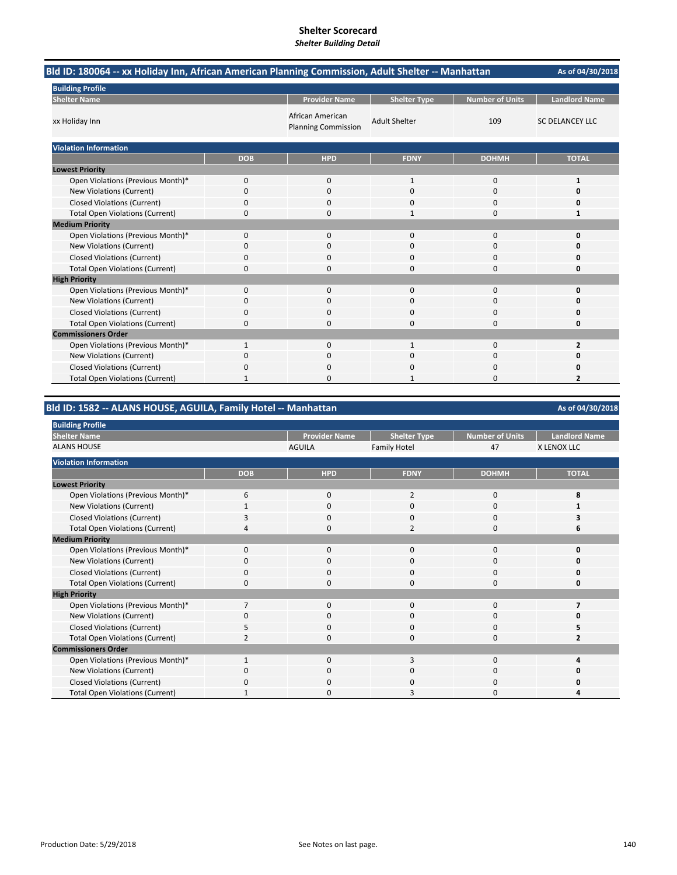| Bld ID: 180064 -- xx Holiday Inn, African American Planning Commission, Adult Shelter -- Manhattan | As of 04/30/2018 |                                                |                      |                 |                        |
|----------------------------------------------------------------------------------------------------|------------------|------------------------------------------------|----------------------|-----------------|------------------------|
| <b>Building Profile</b>                                                                            |                  |                                                |                      |                 |                        |
| <b>Shelter Name</b>                                                                                |                  | <b>Provider Name</b>                           | <b>Shelter Type</b>  | Number of Units | <b>Landlord Name</b>   |
| xx Holiday Inn                                                                                     |                  | African American<br><b>Planning Commission</b> | <b>Adult Shelter</b> | 109             | <b>SC DELANCEY LLC</b> |
| <b>Violation Information</b>                                                                       |                  |                                                |                      |                 |                        |
|                                                                                                    | <b>DOB</b>       | <b>HPD</b>                                     | <b>FDNY</b>          | <b>DOHMH</b>    | <b>TOTAL</b>           |
| <b>Lowest Priority</b>                                                                             |                  |                                                |                      |                 |                        |
| Open Violations (Previous Month)*                                                                  | 0                | 0                                              | 1                    | $\mathbf 0$     | 1                      |
| New Violations (Current)                                                                           | 0                | 0                                              | 0                    | 0               | 0                      |
| <b>Closed Violations (Current)</b>                                                                 | 0                | $\Omega$                                       | $\Omega$             | $\Omega$        | o                      |
| <b>Total Open Violations (Current)</b>                                                             | 0                | $\Omega$                                       | $\mathbf{1}$         | $\Omega$        | $\mathbf{1}$           |
| <b>Medium Priority</b>                                                                             |                  |                                                |                      |                 |                        |
| Open Violations (Previous Month)*                                                                  | 0                | $\Omega$                                       | $\Omega$             | $\Omega$        | O                      |
| New Violations (Current)                                                                           | 0                | $\Omega$                                       | $\Omega$             | $\Omega$        | n                      |
| <b>Closed Violations (Current)</b>                                                                 | $\Omega$         | $\Omega$                                       | $\Omega$             | $\Omega$        | O                      |
| <b>Total Open Violations (Current)</b>                                                             | 0                | $\Omega$                                       | $\Omega$             | $\Omega$        | 0                      |
| <b>High Priority</b>                                                                               |                  |                                                |                      |                 |                        |
| Open Violations (Previous Month)*                                                                  | 0                | 0                                              | $\mathbf 0$          | $\mathbf 0$     | 0                      |
| New Violations (Current)                                                                           | 0                | $\Omega$                                       | 0                    | 0               | o                      |
| <b>Closed Violations (Current)</b>                                                                 | 0                | 0                                              | O                    | 0               | Ω                      |
| <b>Total Open Violations (Current)</b>                                                             | 0                | 0                                              | $\Omega$             | 0               | 0                      |
| <b>Commissioners Order</b>                                                                         |                  |                                                |                      |                 |                        |
| Open Violations (Previous Month)*                                                                  | $\mathbf{1}$     | 0                                              | $\mathbf{1}$         | $\mathbf 0$     | 2                      |
| New Violations (Current)                                                                           | 0                | 0                                              | 0                    | 0               | 0                      |
| <b>Closed Violations (Current)</b>                                                                 | 0                | 0                                              | 0                    | 0               | O                      |
| <b>Total Open Violations (Current)</b>                                                             |                  | $\Omega$                                       |                      | $\Omega$        | 2                      |

# **Bld ID: 1582 ‐‐ ALANS HOUSE, AGUILA, Family Hotel ‐‐ Manhattan**

### **Provider Name Shelter Type Number of Units Landlord Name AGUILA**<br>AGUILA Family Hotel 47 X LENOX LLC Family Hotel **DOB HPD FDNY DOHMH TOTAL** Open Violations (Previous Month)\* **6**<br>
1 0 2000 **8**<br>
New Violations (Current) 1 0 0 0 0 1 New Violations (Current) **1** 1000 **1** 1000 **1** 1000 **1** Closed Violations (Current) **3** 0 0 0 0 3<br>
Total Open Violations (Current) 4 0 2 0 6 Total Open Violations (Current) 4 Open Violations (Previous Month)\* 0000 **0 New Violations (Current)** Closed Violations (Current) 0000 **0** Total Open Violations (Current) 0000 **0** Open Violations (Previous Month)\* 7000 **7** New Violations (Current) 0000 **0** Closed Violations (Current) 5000 **5**<br>
5000 **5**<br>
5000 **5** Total Open Violations (Current) 2000 **2** Open Violations (Previous Month)<sup>\*</sup> 1030 **4**<br>1030 **4** New Violations (Current) **0** 0000 **0** 0000 **0** Closed Violations (Current) 0000 **0** Total Open Violations (Current) 1 0 3 0 4 **Building Profile Shelter Name Medium Priority High Priority Commissioners Order** ALANS HOUSE **Violation Information Lowest Priority**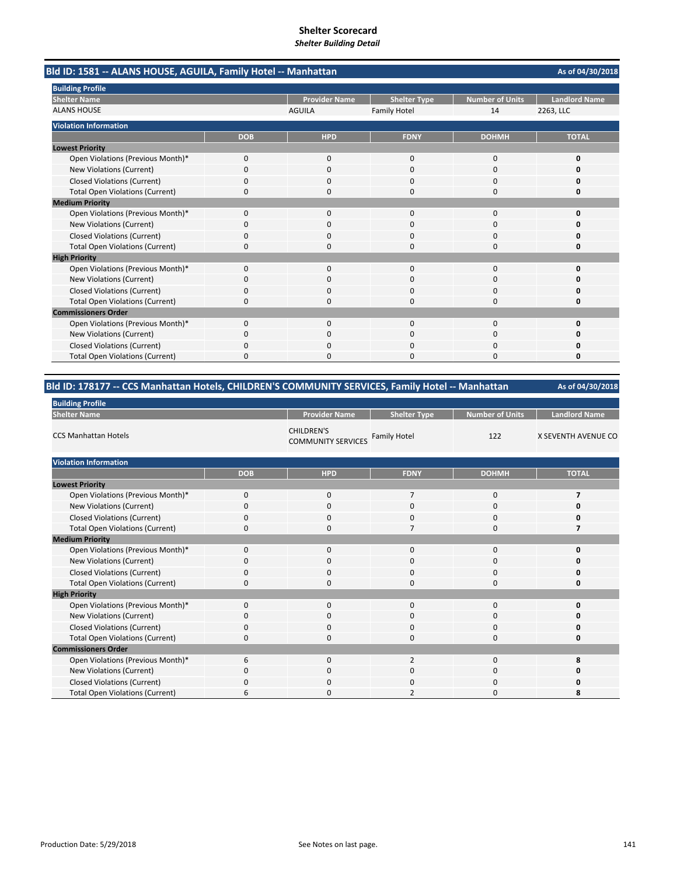| Bld ID: 1581 -- ALANS HOUSE, AGUILA, Family Hotel -- Manhattan |            |                      |                     |                        | As of 04/30/2018     |
|----------------------------------------------------------------|------------|----------------------|---------------------|------------------------|----------------------|
| <b>Building Profile</b>                                        |            |                      |                     |                        |                      |
| <b>Shelter Name</b>                                            |            | <b>Provider Name</b> | <b>Shelter Type</b> | <b>Number of Units</b> | <b>Landlord Name</b> |
| <b>ALANS HOUSE</b>                                             |            | <b>AGUILA</b>        | <b>Family Hotel</b> | 14                     | 2263, LLC            |
| <b>Violation Information</b>                                   |            |                      |                     |                        |                      |
|                                                                | <b>DOB</b> | <b>HPD</b>           | <b>FDNY</b>         | <b>DOHMH</b>           | <b>TOTAL</b>         |
| <b>Lowest Priority</b>                                         |            |                      |                     |                        |                      |
| Open Violations (Previous Month)*                              | 0          | 0                    | $\mathbf 0$         | $\mathbf 0$            | 0                    |
| New Violations (Current)                                       | 0          | $\Omega$             | $\Omega$            | $\Omega$               | O                    |
| <b>Closed Violations (Current)</b>                             | 0          | $\Omega$             | $\Omega$            | 0                      | 0                    |
| <b>Total Open Violations (Current)</b>                         | 0          | 0                    | $\Omega$            | $\Omega$               | 0                    |
| <b>Medium Priority</b>                                         |            |                      |                     |                        |                      |
| Open Violations (Previous Month)*                              | 0          | $\Omega$             | $\Omega$            | $\Omega$               | O                    |
| New Violations (Current)                                       | 0          | 0                    | 0                   | 0                      | 0                    |
| <b>Closed Violations (Current)</b>                             | 0          | $\Omega$             | $\Omega$            | $\Omega$               | O                    |
| <b>Total Open Violations (Current)</b>                         | 0          | $\Omega$             | 0                   | $\Omega$               | 0                    |
| <b>High Priority</b>                                           |            |                      |                     |                        |                      |
| Open Violations (Previous Month)*                              | $\Omega$   | $\Omega$             | $\Omega$            | $\Omega$               | O                    |
| New Violations (Current)                                       | 0          | 0                    | 0                   | 0                      | o                    |
| <b>Closed Violations (Current)</b>                             | 0          | 0                    | 0                   | 0                      | Ω                    |
| <b>Total Open Violations (Current)</b>                         | $\Omega$   | n                    | $\Omega$            | $\Omega$               | O                    |
| <b>Commissioners Order</b>                                     |            |                      |                     |                        |                      |
| Open Violations (Previous Month)*                              | 0          | 0                    | $\mathbf 0$         | $\mathbf 0$            | 0                    |
| New Violations (Current)                                       | 0          | $\Omega$             | 0                   | $\Omega$               | o                    |
| <b>Closed Violations (Current)</b>                             | 0          | 0                    | O                   | $\Omega$               | 0                    |
| <b>Total Open Violations (Current)</b>                         | 0          | $\Omega$             | 0                   | $\Omega$               | 0                    |

# **Bld ID: 178177 ‐‐ CCS Manhattan Hotels, CHILDREN'S COMMUNITY SERVICES, Family Hotel ‐‐ Manhattan**

| <b>Building Profile</b>                |             |                                                |                     |                        |                            |
|----------------------------------------|-------------|------------------------------------------------|---------------------|------------------------|----------------------------|
| <b>Shelter Name</b>                    |             | <b>Provider Name</b>                           | <b>Shelter Type</b> | <b>Number of Units</b> | <b>Landlord Name</b>       |
| <b>CCS Manhattan Hotels</b>            |             | <b>CHILDREN'S</b><br><b>COMMUNITY SERVICES</b> | <b>Family Hotel</b> | 122                    | <b>X SEVENTH AVENUE CO</b> |
| <b>Violation Information</b>           |             |                                                |                     |                        |                            |
|                                        | <b>DOB</b>  | <b>HPD</b>                                     | <b>FDNY</b>         | <b>DOHMH</b>           | <b>TOTAL</b>               |
| <b>Lowest Priority</b>                 |             |                                                |                     |                        |                            |
| Open Violations (Previous Month)*      | $\mathbf 0$ | 0                                              | $\overline{7}$      | 0                      | 7                          |
| <b>New Violations (Current)</b>        | $\Omega$    | $\mathbf 0$                                    | $\mathbf 0$         | 0                      | 0                          |
| <b>Closed Violations (Current)</b>     | 0           | $\mathbf 0$                                    | 0                   | 0                      | 0                          |
| <b>Total Open Violations (Current)</b> | $\Omega$    | $\mathbf 0$                                    | $\overline{7}$      | 0                      | 7                          |
| <b>Medium Priority</b>                 |             |                                                |                     |                        |                            |
| Open Violations (Previous Month)*      | $\Omega$    | $\mathbf 0$                                    | $\mathbf 0$         | $\mathbf 0$            | 0                          |
| New Violations (Current)               | $\Omega$    | 0                                              | $\Omega$            | 0                      | O                          |
| <b>Closed Violations (Current)</b>     | 0           | $\mathbf 0$                                    | 0                   | 0                      | 0                          |
| <b>Total Open Violations (Current)</b> | $\mathbf 0$ | 0                                              | $\mathbf 0$         | 0                      | 0                          |
| <b>High Priority</b>                   |             |                                                |                     |                        |                            |
| Open Violations (Previous Month)*      | $\Omega$    | 0                                              | 0                   | 0                      | 0                          |
| New Violations (Current)               | $\mathbf 0$ | $\mathbf 0$                                    | $\mathbf 0$         | 0                      | 0                          |
| <b>Closed Violations (Current)</b>     | 0           | $\mathbf 0$                                    | $\mathbf 0$         | 0                      | 0                          |
| <b>Total Open Violations (Current)</b> | $\mathbf 0$ | $\mathbf 0$                                    | $\mathbf 0$         | 0                      | 0                          |
| <b>Commissioners Order</b>             |             |                                                |                     |                        |                            |
| Open Violations (Previous Month)*      | 6           | $\mathbf 0$                                    | $\overline{2}$      | 0                      | 8                          |
| New Violations (Current)               | $\mathbf 0$ | 0                                              | $\mathbf 0$         | 0                      | 0                          |
| <b>Closed Violations (Current)</b>     | O           | $\mathbf 0$                                    | $\Omega$            | 0                      | 0                          |
| <b>Total Open Violations (Current)</b> | 6           | $\Omega$                                       | 2                   | 0                      | 8                          |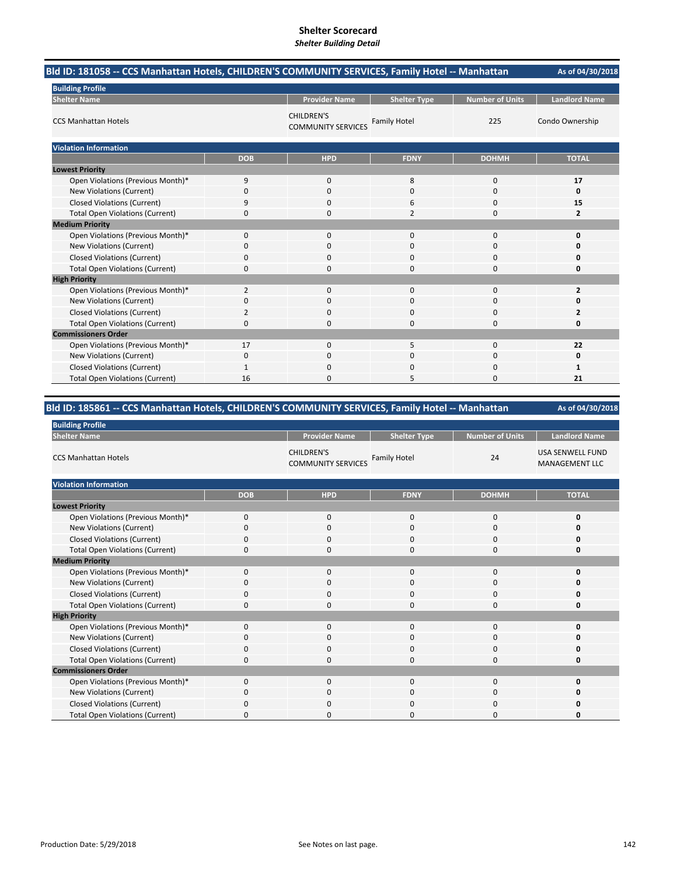| Bld ID: 181058 -- CCS Manhattan Hotels, CHILDREN'S COMMUNITY SERVICES, Family Hotel -- Manhattan |            |                                                |                     |                        | As of 04/30/2018     |
|--------------------------------------------------------------------------------------------------|------------|------------------------------------------------|---------------------|------------------------|----------------------|
| <b>Building Profile</b>                                                                          |            |                                                |                     |                        |                      |
| <b>Shelter Name</b>                                                                              |            | <b>Provider Name</b>                           | <b>Shelter Type</b> | <b>Number of Units</b> | <b>Landlord Name</b> |
| <b>CCS Manhattan Hotels</b>                                                                      |            | <b>CHILDREN'S</b><br><b>COMMUNITY SERVICES</b> | <b>Family Hotel</b> | 225                    | Condo Ownership      |
| <b>Violation Information</b>                                                                     |            |                                                |                     |                        |                      |
|                                                                                                  | <b>DOB</b> | <b>HPD</b>                                     | <b>FDNY</b>         | <b>DOHMH</b>           | <b>TOTAL</b>         |
| <b>Lowest Priority</b>                                                                           |            |                                                |                     |                        |                      |
| Open Violations (Previous Month)*                                                                | 9          | $\mathbf{0}$                                   | 8                   | 0                      | 17                   |
| New Violations (Current)                                                                         | 0          | $\mathbf{0}$                                   | $\mathbf 0$         | $\mathbf 0$            | 0                    |
| <b>Closed Violations (Current)</b>                                                               | 9          | 0                                              | 6                   | 0                      | 15                   |
| <b>Total Open Violations (Current)</b>                                                           | 0          | 0                                              | $\overline{2}$      | 0                      | $\overline{2}$       |
| <b>Medium Priority</b>                                                                           |            |                                                |                     |                        |                      |
| Open Violations (Previous Month)*                                                                | 0          | $\mathbf{0}$                                   | $\mathbf{0}$        | 0                      | 0                    |
| New Violations (Current)                                                                         | 0          | $\Omega$                                       | $\Omega$            | 0                      | 0                    |
| <b>Closed Violations (Current)</b>                                                               | 0          | 0                                              | $\Omega$            | 0                      | 0                    |
| <b>Total Open Violations (Current)</b>                                                           | 0          | 0                                              | $\Omega$            | 0                      | 0                    |
| <b>High Priority</b>                                                                             |            |                                                |                     |                        |                      |
| Open Violations (Previous Month)*                                                                | 2          | $\mathbf{0}$                                   | $\Omega$            | 0                      | $\overline{2}$       |
| <b>New Violations (Current)</b>                                                                  | 0          | 0                                              | 0                   | 0                      | 0                    |
| <b>Closed Violations (Current)</b>                                                               | 2          | $\Omega$                                       | $\mathbf 0$         | 0                      | 2                    |
| <b>Total Open Violations (Current)</b>                                                           | 0          | $\Omega$                                       | $\Omega$            | 0                      | 0                    |
| <b>Commissioners Order</b>                                                                       |            |                                                |                     |                        |                      |
| Open Violations (Previous Month)*                                                                | 17         | $\mathbf{0}$                                   | 5                   | 0                      | 22                   |
| New Violations (Current)                                                                         | 0          | 0                                              | $\mathbf 0$         | 0                      | 0                    |
| <b>Closed Violations (Current)</b>                                                               | 1          | $\Omega$                                       | $\Omega$            | 0                      | 1                    |
| <b>Total Open Violations (Current)</b>                                                           | 16         | ŋ                                              | 5                   | $\Omega$               | 21                   |

# **Bld ID: 185861 ‐‐ CCS Manhattan Hotels, CHILDREN'S COMMUNITY SERVICES, Family Hotel ‐‐ Manhattan**

**As of 04/30/2018**

| <b>Bullding Profile</b>                |            |                                                |                     |                        |                                                  |
|----------------------------------------|------------|------------------------------------------------|---------------------|------------------------|--------------------------------------------------|
| <b>Shelter Name</b>                    |            | <b>Provider Name</b>                           | <b>Shelter Type</b> | <b>Number of Units</b> | <b>Landlord Name</b>                             |
| <b>CCS Manhattan Hotels</b>            |            | <b>CHILDREN'S</b><br><b>COMMUNITY SERVICES</b> | <b>Family Hotel</b> | 24                     | <b>USA SENWELL FUND</b><br><b>MANAGEMENT LLC</b> |
| <b>Violation Information</b>           |            |                                                |                     |                        |                                                  |
|                                        | <b>DOB</b> | <b>HPD</b>                                     | <b>FDNY</b>         | <b>DOHMH</b>           | <b>TOTAL</b>                                     |
| <b>Lowest Priority</b>                 |            |                                                |                     |                        |                                                  |
| Open Violations (Previous Month)*      | 0          | $\mathbf 0$                                    | 0                   | 0                      |                                                  |
| New Violations (Current)               | 0          | 0                                              | 0                   | 0                      |                                                  |
| <b>Closed Violations (Current)</b>     | 0          | 0                                              | 0                   | 0                      |                                                  |
| <b>Total Open Violations (Current)</b> | 0          | $\mathbf 0$                                    | 0                   | $\mathbf 0$            | O                                                |
| <b>Medium Priority</b>                 |            |                                                |                     |                        |                                                  |
| Open Violations (Previous Month)*      | $\Omega$   | $\mathbf 0$                                    | 0                   | 0                      |                                                  |
| New Violations (Current)               | 0          | 0                                              | 0                   | 0                      |                                                  |
| <b>Closed Violations (Current)</b>     | 0          | $\mathbf 0$                                    | 0                   | 0                      |                                                  |
| <b>Total Open Violations (Current)</b> | 0          | $\mathbf 0$                                    | 0                   | $\mathbf 0$            | 0                                                |
| <b>High Priority</b>                   |            |                                                |                     |                        |                                                  |
| Open Violations (Previous Month)*      | $\Omega$   | $\mathbf 0$                                    | $\Omega$            | $\mathbf 0$            |                                                  |
| New Violations (Current)               | 0          | $\mathbf 0$                                    | 0                   | 0                      |                                                  |
| <b>Closed Violations (Current)</b>     | $\Omega$   | $\mathbf 0$                                    | 0                   | $\mathbf 0$            |                                                  |
| <b>Total Open Violations (Current)</b> | 0          | $\mathbf 0$                                    | $\Omega$            | $\mathbf 0$            | o                                                |
| <b>Commissioners Order</b>             |            |                                                |                     |                        |                                                  |
| Open Violations (Previous Month)*      | $\Omega$   | $\mathbf 0$                                    | 0                   | 0                      |                                                  |
| New Violations (Current)               | 0          | $\mathbf 0$                                    | 0                   | $\mathbf 0$            |                                                  |
| <b>Closed Violations (Current)</b>     | 0          | $\mathbf 0$                                    | 0                   | 0                      |                                                  |
| <b>Total Open Violations (Current)</b> | 0          | O                                              | 0                   | 0                      |                                                  |

**Building Profile**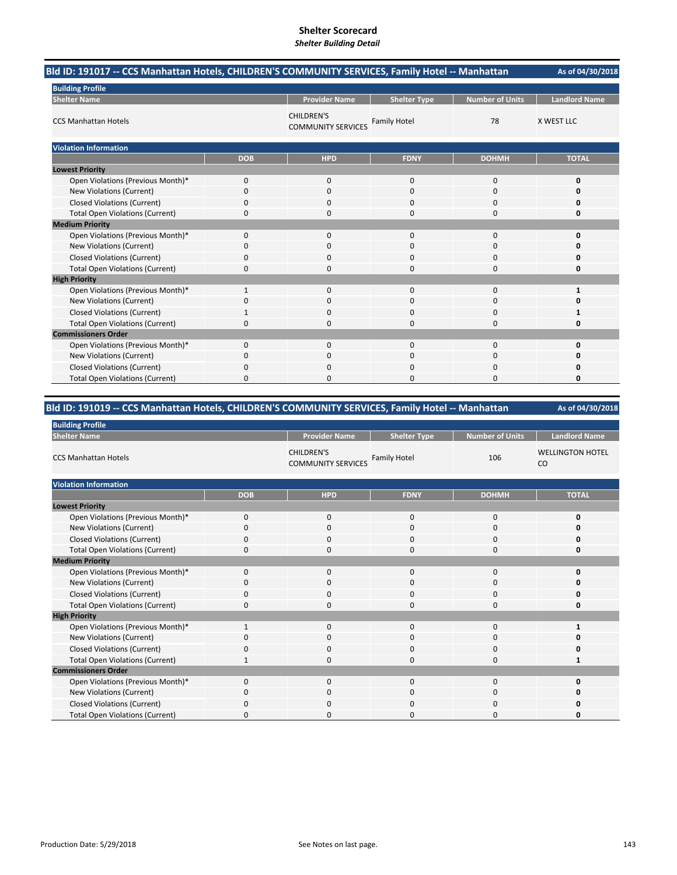| Bld ID: 191017 -- CCS Manhattan Hotels, CHILDREN'S COMMUNITY SERVICES, Family Hotel -- Manhattan |              |                                                |                     |                        | As of 04/30/2018     |
|--------------------------------------------------------------------------------------------------|--------------|------------------------------------------------|---------------------|------------------------|----------------------|
| <b>Building Profile</b>                                                                          |              |                                                |                     |                        |                      |
| <b>Shelter Name</b>                                                                              |              | <b>Provider Name</b>                           | <b>Shelter Type</b> | <b>Number of Units</b> | <b>Landlord Name</b> |
| <b>CCS Manhattan Hotels</b>                                                                      |              | <b>CHILDREN'S</b><br><b>COMMUNITY SERVICES</b> | <b>Family Hotel</b> | 78                     | <b>X WEST LLC</b>    |
| <b>Violation Information</b>                                                                     |              |                                                |                     |                        |                      |
|                                                                                                  | <b>DOB</b>   | <b>HPD</b>                                     | <b>FDNY</b>         | <b>DOHMH</b>           | <b>TOTAL</b>         |
| <b>Lowest Priority</b>                                                                           |              |                                                |                     |                        |                      |
| Open Violations (Previous Month)*                                                                | 0            | 0                                              | $\mathbf 0$         | $\mathbf 0$            | 0                    |
| New Violations (Current)                                                                         | 0            | 0                                              | 0                   | 0                      | 0                    |
| <b>Closed Violations (Current)</b>                                                               | 0            | $\Omega$                                       | $\Omega$            | $\Omega$               | 0                    |
| <b>Total Open Violations (Current)</b>                                                           | 0            | 0                                              | $\Omega$            | $\Omega$               | 0                    |
| <b>Medium Priority</b>                                                                           |              |                                                |                     |                        |                      |
| Open Violations (Previous Month)*                                                                | 0            | 0                                              | $\mathbf 0$         | $\mathbf 0$            | 0                    |
| New Violations (Current)                                                                         | 0            | 0                                              | $\Omega$            | $\Omega$               | 0                    |
| <b>Closed Violations (Current)</b>                                                               | 0            | 0                                              | 0                   | 0                      | 0                    |
| <b>Total Open Violations (Current)</b>                                                           | 0            | $\Omega$                                       | 0                   | $\Omega$               | 0                    |
| <b>High Priority</b>                                                                             |              |                                                |                     |                        |                      |
| Open Violations (Previous Month)*                                                                | $\mathbf{1}$ | 0                                              | 0                   | $\mathbf 0$            | 1                    |
| New Violations (Current)                                                                         | 0            | 0                                              | 0                   | 0                      | 0                    |
| <b>Closed Violations (Current)</b>                                                               |              | 0                                              | 0                   | 0                      |                      |
| <b>Total Open Violations (Current)</b>                                                           | 0            | 0                                              | $\Omega$            | 0                      | 0                    |
| <b>Commissioners Order</b>                                                                       |              |                                                |                     |                        |                      |
| Open Violations (Previous Month)*                                                                | 0            | 0                                              | $\Omega$            | $\Omega$               | 0                    |
| New Violations (Current)                                                                         | 0            | 0                                              | 0                   | 0                      | 0                    |
| <b>Closed Violations (Current)</b>                                                               | 0            | 0                                              | 0                   | 0                      | Ω                    |
| <b>Total Open Violations (Current)</b>                                                           | $\Omega$     | $\Omega$                                       | O                   | $\Omega$               | 0                    |

# **Bld ID: 191019 ‐‐ CCS Manhattan Hotels, CHILDREN'S COMMUNITY SERVICES, Family Hotel ‐‐ Manhattan**

| <b>Building Profile</b>                |              |                                                |                     |                        |                               |  |
|----------------------------------------|--------------|------------------------------------------------|---------------------|------------------------|-------------------------------|--|
| <b>Shelter Name</b>                    |              | <b>Provider Name</b>                           | <b>Shelter Type</b> | <b>Number of Units</b> | <b>Landlord Name</b>          |  |
| <b>CCS Manhattan Hotels</b>            |              | <b>CHILDREN'S</b><br><b>COMMUNITY SERVICES</b> | <b>Family Hotel</b> | 106                    | <b>WELLINGTON HOTEL</b><br>CO |  |
| <b>Violation Information</b>           |              |                                                |                     |                        |                               |  |
|                                        | <b>DOB</b>   | <b>HPD</b>                                     | <b>FDNY</b>         | <b>DOHMH</b>           | <b>TOTAL</b>                  |  |
| <b>Lowest Priority</b>                 |              |                                                |                     |                        |                               |  |
| Open Violations (Previous Month)*      | $\mathbf 0$  | $\mathbf{0}$                                   | 0                   | $\mathbf 0$            | O                             |  |
| New Violations (Current)               | $\Omega$     | $\Omega$                                       | $\Omega$            | 0                      |                               |  |
| Closed Violations (Current)            | $\Omega$     | $\mathbf 0$                                    | 0                   | 0                      |                               |  |
| <b>Total Open Violations (Current)</b> | 0            | $\mathbf 0$                                    | 0                   | $\mathbf 0$            | Ω                             |  |
| <b>Medium Priority</b>                 |              |                                                |                     |                        |                               |  |
| Open Violations (Previous Month)*      | $\Omega$     | $\mathbf 0$                                    | 0                   | 0                      |                               |  |
| New Violations (Current)               | $\Omega$     | 0                                              | 0                   | $\mathbf 0$            |                               |  |
| <b>Closed Violations (Current)</b>     | $\Omega$     | $\mathbf 0$                                    | 0                   | $\mathbf 0$            |                               |  |
| <b>Total Open Violations (Current)</b> | $\mathbf 0$  | $\mathbf 0$                                    | 0                   | $\mathbf 0$            | n                             |  |
| <b>High Priority</b>                   |              |                                                |                     |                        |                               |  |
| Open Violations (Previous Month)*      | $\mathbf{1}$ | $\mathbf 0$                                    | 0                   | $\mathbf 0$            | 1                             |  |
| New Violations (Current)               | $\Omega$     | $\Omega$                                       | $\Omega$            | 0                      |                               |  |
| <b>Closed Violations (Current)</b>     | O            | 0                                              | 0                   | 0                      |                               |  |
| <b>Total Open Violations (Current)</b> | 1            | $\mathbf 0$                                    | 0                   | $\mathbf 0$            | 1                             |  |
| <b>Commissioners Order</b>             |              |                                                |                     |                        |                               |  |
| Open Violations (Previous Month)*      | $\Omega$     | $\Omega$                                       | 0                   | 0                      |                               |  |
| New Violations (Current)               | $\Omega$     | $\mathbf 0$                                    | 0                   | 0                      |                               |  |
| <b>Closed Violations (Current)</b>     | $\Omega$     | $\Omega$                                       | 0                   | $\Omega$               |                               |  |
| <b>Total Open Violations (Current)</b> | 0            | 0                                              | 0                   | $\Omega$               |                               |  |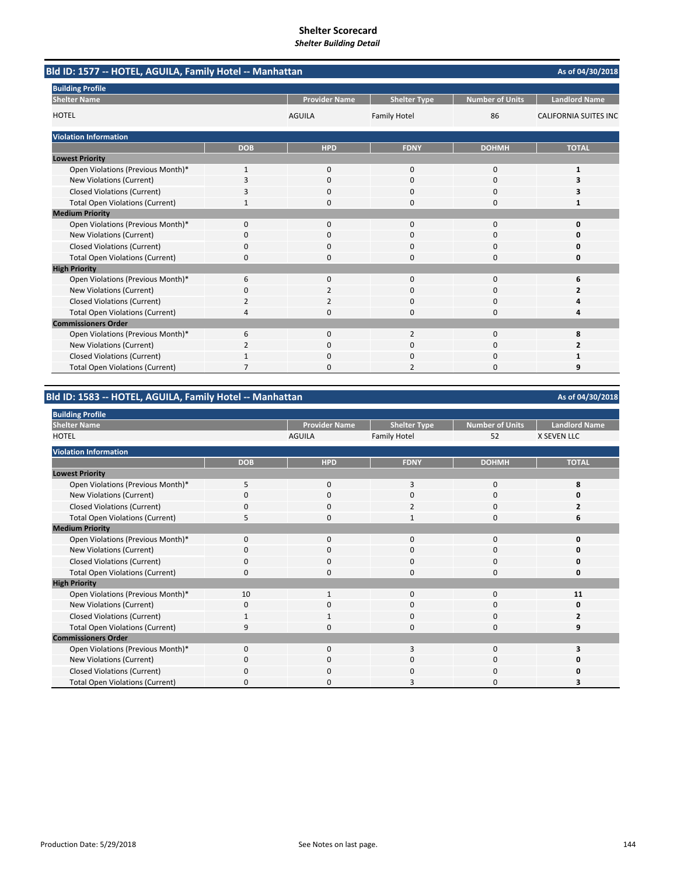| Bld ID: 1577 -- HOTEL, AGUILA, Family Hotel -- Manhattan<br>As of 04/30/2018 |            |                      |                     |                        |                              |
|------------------------------------------------------------------------------|------------|----------------------|---------------------|------------------------|------------------------------|
| <b>Building Profile</b>                                                      |            |                      |                     |                        |                              |
| <b>Shelter Name</b>                                                          |            | <b>Provider Name</b> | <b>Shelter Type</b> | <b>Number of Units</b> | <b>Landlord Name</b>         |
| <b>HOTEL</b>                                                                 |            | <b>AGUILA</b>        | <b>Family Hotel</b> | 86                     | <b>CALIFORNIA SUITES INC</b> |
| <b>Violation Information</b>                                                 |            |                      |                     |                        |                              |
|                                                                              | <b>DOB</b> | <b>HPD</b>           | <b>FDNY</b>         | <b>DOHMH</b>           | <b>TOTAL</b>                 |
| <b>Lowest Priority</b>                                                       |            |                      |                     |                        |                              |
| Open Violations (Previous Month)*                                            | 1          | $\mathbf{0}$         | $\mathbf 0$         | 0                      | $\mathbf{1}$                 |
| <b>New Violations (Current)</b>                                              | 3          | $\Omega$             | $\Omega$            | 0                      |                              |
| <b>Closed Violations (Current)</b>                                           | 3          | $\Omega$             | $\Omega$            | 0                      |                              |
| <b>Total Open Violations (Current)</b>                                       |            | $\Omega$             | $\Omega$            | 0                      | 1                            |
| <b>Medium Priority</b>                                                       |            |                      |                     |                        |                              |
| Open Violations (Previous Month)*                                            | $\Omega$   | $\Omega$             | $\Omega$            | $\Omega$               | $\Omega$                     |
| New Violations (Current)                                                     | 0          | 0                    | $\Omega$            | 0                      | O                            |
| <b>Closed Violations (Current)</b>                                           | 0          | $\Omega$             | $\Omega$            | 0                      | 0                            |
| <b>Total Open Violations (Current)</b>                                       | 0          | 0                    | $\Omega$            | $\Omega$               | 0                            |
| <b>High Priority</b>                                                         |            |                      |                     |                        |                              |
| Open Violations (Previous Month)*                                            | 6          | 0                    | $\mathbf 0$         | 0                      | 6                            |
| New Violations (Current)                                                     | 0          | 2                    | $\Omega$            | $\Omega$               | 2                            |
| <b>Closed Violations (Current)</b>                                           | 2          | 2                    | $\mathbf 0$         | 0                      |                              |
| <b>Total Open Violations (Current)</b>                                       | 4          | 0                    | $\Omega$            | 0                      | 4                            |
| <b>Commissioners Order</b>                                                   |            |                      |                     |                        |                              |
| Open Violations (Previous Month)*                                            | 6          | $\Omega$             | 2                   | 0                      | 8                            |
| New Violations (Current)                                                     | 2          | 0                    | C                   | 0                      | 2                            |
| <b>Closed Violations (Current)</b>                                           |            | ŋ                    | $\Omega$            | 0                      |                              |
| <b>Total Open Violations (Current)</b>                                       | 7          | n                    | $\overline{2}$      | $\Omega$               | q                            |

**Bld ID: 1583 ‐‐ HOTEL, AGUILA, Family Hotel ‐‐ Manhattan**

| <b>Building Profile</b>                |              |                      |                     |                        |                      |
|----------------------------------------|--------------|----------------------|---------------------|------------------------|----------------------|
| <b>Shelter Name</b>                    |              | <b>Provider Name</b> | <b>Shelter Type</b> | <b>Number of Units</b> | <b>Landlord Name</b> |
| <b>HOTEL</b>                           |              | <b>AGUILA</b>        | <b>Family Hotel</b> | 52                     | <b>X SEVEN LLC</b>   |
| <b>Violation Information</b>           |              |                      |                     |                        |                      |
|                                        | <b>DOB</b>   | <b>HPD</b>           | <b>FDNY</b>         | <b>DOHMH</b>           | <b>TOTAL</b>         |
| <b>Lowest Priority</b>                 |              |                      |                     |                        |                      |
| Open Violations (Previous Month)*      | 5            | $\Omega$             | 3                   | 0                      | 8                    |
| New Violations (Current)               | 0            | 0                    | 0                   | 0                      | 0                    |
| <b>Closed Violations (Current)</b>     |              | $\mathbf 0$          | $\overline{2}$      | 0                      |                      |
| <b>Total Open Violations (Current)</b> | 5            | $\mathbf 0$          | $\mathbf{1}$        | 0                      | 6                    |
| <b>Medium Priority</b>                 |              |                      |                     |                        |                      |
| Open Violations (Previous Month)*      | $\mathbf{0}$ | 0                    | $\mathbf{0}$        | 0                      | 0                    |
| New Violations (Current)               | $\Omega$     | $\mathbf 0$          | $\Omega$            | 0                      | $\Omega$             |
| <b>Closed Violations (Current)</b>     | 0            | $\mathbf 0$          | $\Omega$            | 0                      | 0                    |
| <b>Total Open Violations (Current)</b> | 0            | $\mathbf 0$          | $\Omega$            | 0                      | 0                    |
| <b>High Priority</b>                   |              |                      |                     |                        |                      |
| Open Violations (Previous Month)*      | 10           |                      | $\Omega$            | 0                      | 11                   |
| New Violations (Current)               | 0            | 0                    | O                   | 0                      | 0                    |
| <b>Closed Violations (Current)</b>     |              | -1                   | $\Omega$            | 0                      |                      |
| <b>Total Open Violations (Current)</b> | q            | O                    | n                   | 0                      | q                    |
| <b>Commissioners Order</b>             |              |                      |                     |                        |                      |
| Open Violations (Previous Month)*      | $\Omega$     | $\mathbf 0$          | 3                   | 0                      | 3                    |
| New Violations (Current)               | 0            | $\mathbf 0$          | $\Omega$            | 0                      | ŋ                    |
| <b>Closed Violations (Current)</b>     | O            | $\Omega$             | $\Omega$            | 0                      | ი                    |
| <b>Total Open Violations (Current)</b> | O            | 0                    | 3                   | 0                      |                      |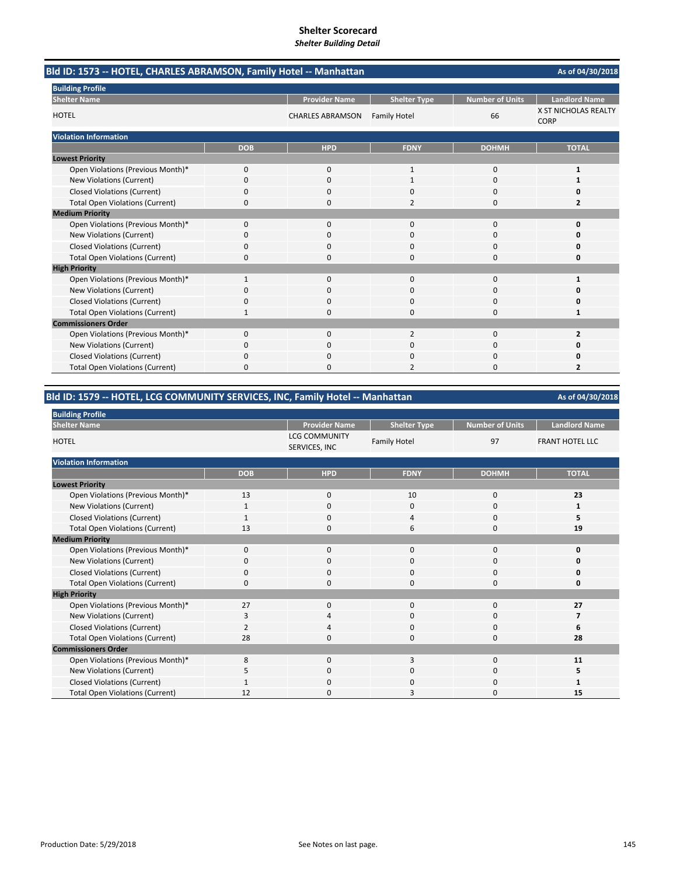| Bld ID: 1573 -- HOTEL, CHARLES ABRAMSON, Family Hotel -- Manhattan |                         | As of 04/30/2018     |                     |                        |                                     |
|--------------------------------------------------------------------|-------------------------|----------------------|---------------------|------------------------|-------------------------------------|
| <b>Building Profile</b>                                            |                         |                      |                     |                        |                                     |
| <b>Shelter Name</b>                                                |                         | <b>Provider Name</b> | <b>Shelter Type</b> | <b>Number of Units</b> | <b>Landlord Name</b>                |
| <b>HOTEL</b>                                                       | <b>CHARLES ABRAMSON</b> |                      | <b>Family Hotel</b> | 66                     | X ST NICHOLAS REALTY<br><b>CORP</b> |
| <b>Violation Information</b>                                       |                         |                      |                     |                        |                                     |
|                                                                    | <b>DOB</b>              | <b>HPD</b>           | <b>FDNY</b>         | <b>DOHMH</b>           | <b>TOTAL</b>                        |
| <b>Lowest Priority</b>                                             |                         |                      |                     |                        |                                     |
| Open Violations (Previous Month)*                                  | 0                       | $\Omega$             | $\mathbf{1}$        | $\Omega$               | 1                                   |
| New Violations (Current)                                           | 0                       | $\Omega$             | $\mathbf{1}$        | $\Omega$               |                                     |
| <b>Closed Violations (Current)</b>                                 | 0                       | 0                    | 0                   | 0                      | 0                                   |
| <b>Total Open Violations (Current)</b>                             | 0                       | 0                    | $\overline{2}$      | $\Omega$               | 2                                   |
| <b>Medium Priority</b>                                             |                         |                      |                     |                        |                                     |
| Open Violations (Previous Month)*                                  | 0                       | 0                    | $\mathbf 0$         | $\mathbf 0$            | $\Omega$                            |
| New Violations (Current)                                           | n                       | 0                    | O                   | <sup>0</sup>           | n                                   |
| <b>Closed Violations (Current)</b>                                 | 0                       | $\Omega$             | $\Omega$            | $\Omega$               | 0                                   |
| <b>Total Open Violations (Current)</b>                             | 0                       | <sup>0</sup>         | 0                   | $\Omega$               | 0                                   |
| <b>High Priority</b>                                               |                         |                      |                     |                        |                                     |
| Open Violations (Previous Month)*                                  | 1                       | $\Omega$             | $\Omega$            | $\Omega$               |                                     |
| New Violations (Current)                                           | ŋ                       | 0                    | $\Omega$            | $\Omega$               | n                                   |
| <b>Closed Violations (Current)</b>                                 | 0                       | 0                    | 0                   | $\Omega$               | 0                                   |
| <b>Total Open Violations (Current)</b>                             | 1                       | $\Omega$             | $\Omega$            | $\Omega$               | 1                                   |
| <b>Commissioners Order</b>                                         |                         |                      |                     |                        |                                     |
| Open Violations (Previous Month)*                                  | 0                       | $\Omega$             | $\overline{2}$      | $\Omega$               | 2                                   |
| New Violations (Current)                                           | 0                       | 0                    | 0                   | 0                      | n                                   |
| <b>Closed Violations (Current)</b>                                 | 0                       | $\Omega$             | 0                   | $\Omega$               | O                                   |
| <b>Total Open Violations (Current)</b>                             | 0                       | O                    | $\overline{2}$      | $\Omega$               | 2                                   |

# **Bld ID: 1579 ‐‐ HOTEL, LCG COMMUNITY SERVICES, INC, Family Hotel ‐‐ Manhattan**

| ld ID: 1579 -- HOTEL, LCG COMMUNITY SERVICES, INC, Family Hotel -- Manhattan<br>As of 04/30/2018 |            |                                       |                     |                        |                        |  |
|--------------------------------------------------------------------------------------------------|------------|---------------------------------------|---------------------|------------------------|------------------------|--|
| <b>Building Profile</b>                                                                          |            |                                       |                     |                        |                        |  |
| <b>Shelter Name</b>                                                                              |            | <b>Provider Name</b>                  | <b>Shelter Type</b> | <b>Number of Units</b> | <b>Landlord Name</b>   |  |
| HOTEL                                                                                            |            | <b>LCG COMMUNITY</b><br>SERVICES, INC | <b>Family Hotel</b> | 97                     | <b>FRANT HOTEL LLC</b> |  |
| <b>Violation Information</b>                                                                     |            |                                       |                     |                        |                        |  |
|                                                                                                  | <b>DOB</b> | <b>HPD</b>                            | <b>FDNY</b>         | <b>DOHMH</b>           | <b>TOTAL</b>           |  |
| <b>Lowest Priority</b>                                                                           |            |                                       |                     |                        |                        |  |
| Open Violations (Previous Month)*                                                                | 13         | 0                                     | 10                  | 0                      | 23                     |  |
| New Violations (Current)                                                                         | 1          | 0                                     | $\Omega$            | $\mathbf 0$            |                        |  |
| <b>Closed Violations (Current)</b>                                                               |            | 0                                     | Δ                   | 0                      | 5                      |  |
| <b>Total Open Violations (Current)</b>                                                           | 13         | 0                                     | 6                   | 0                      | 19                     |  |
| <b>Medium Priority</b>                                                                           |            |                                       |                     |                        |                        |  |
| Open Violations (Previous Month)*                                                                | 0          | 0                                     | $\mathbf{0}$        | 0                      | 0                      |  |
| <b>New Violations (Current)</b>                                                                  | 0          | 0                                     | $\mathbf 0$         | 0                      | 0                      |  |
| <b>Closed Violations (Current)</b>                                                               | $\Omega$   | 0                                     | 0                   | 0                      | 0                      |  |
| <b>Total Open Violations (Current)</b>                                                           | $\Omega$   | 0                                     | 0                   | 0                      | 0                      |  |
| <b>High Priority</b>                                                                             |            |                                       |                     |                        |                        |  |
| Open Violations (Previous Month)*                                                                | 27         | 0                                     | 0                   | 0                      | 27                     |  |
| New Violations (Current)                                                                         | 3          | 4                                     | 0                   | 0                      |                        |  |
| <b>Closed Violations (Current)</b>                                                               | 2          | 4                                     | $\mathbf 0$         | 0                      | 6                      |  |
| <b>Total Open Violations (Current)</b>                                                           | 28         | 0                                     | $\Omega$            | $\mathbf 0$            | 28                     |  |
| <b>Commissioners Order</b>                                                                       |            |                                       |                     |                        |                        |  |
| Open Violations (Previous Month)*                                                                | 8          | 0                                     | 3                   | 0                      | 11                     |  |
| <b>New Violations (Current)</b>                                                                  | 5          | $\mathbf 0$                           | 0                   | $\mathbf 0$            | 5                      |  |
| <b>Closed Violations (Current)</b>                                                               |            | 0                                     | 0                   | 0                      |                        |  |
| <b>Total Open Violations (Current)</b>                                                           | 12         | 0                                     | 3                   | 0                      | 15                     |  |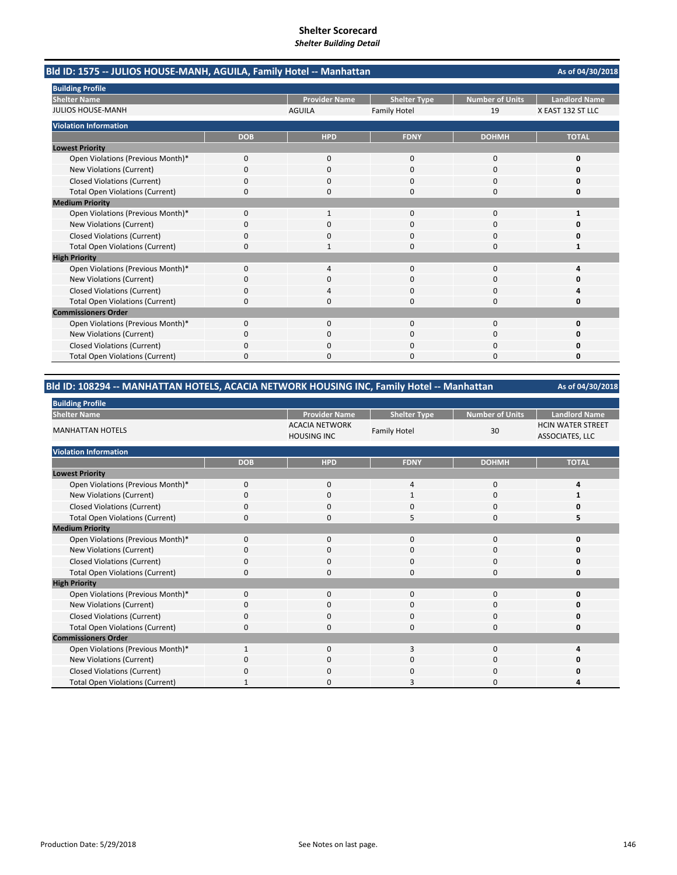| Bld ID: 1575 -- JULIOS HOUSE-MANH, AGUILA, Family Hotel -- Manhattan |            |                      |                     |                        | As of 04/30/2018     |
|----------------------------------------------------------------------|------------|----------------------|---------------------|------------------------|----------------------|
| <b>Building Profile</b>                                              |            |                      |                     |                        |                      |
| <b>Shelter Name</b>                                                  |            | <b>Provider Name</b> | <b>Shelter Type</b> | <b>Number of Units</b> | <b>Landlord Name</b> |
| <b>JULIOS HOUSE-MANH</b>                                             |            | <b>AGUILA</b>        | <b>Family Hotel</b> | 19                     | X EAST 132 ST LLC    |
| <b>Violation Information</b>                                         |            |                      |                     |                        |                      |
|                                                                      | <b>DOB</b> | <b>HPD</b>           | <b>FDNY</b>         | <b>DOHMH</b>           | <b>TOTAL</b>         |
| <b>Lowest Priority</b>                                               |            |                      |                     |                        |                      |
| Open Violations (Previous Month)*                                    | 0          | 0                    | 0                   | 0                      | 0                    |
| New Violations (Current)                                             | 0          | 0                    | 0                   | 0                      | Ω                    |
| <b>Closed Violations (Current)</b>                                   | 0          | 0                    | $\Omega$            | 0                      | O                    |
| <b>Total Open Violations (Current)</b>                               | 0          | n                    | $\Omega$            | $\Omega$               | O                    |
| <b>Medium Priority</b>                                               |            |                      |                     |                        |                      |
| Open Violations (Previous Month)*                                    | 0          |                      | $\Omega$            | $\Omega$               | 1                    |
| New Violations (Current)                                             | 0          |                      | $\Omega$            | 0                      | n                    |
| <b>Closed Violations (Current)</b>                                   | 0          | 0                    | $\Omega$            | $\Omega$               | Ω                    |
| <b>Total Open Violations (Current)</b>                               | 0          |                      | $\Omega$            | $\Omega$               | 1                    |
| <b>High Priority</b>                                                 |            |                      |                     |                        |                      |
| Open Violations (Previous Month)*                                    | 0          | 4                    | $\mathbf 0$         | 0                      | Δ                    |
| New Violations (Current)                                             | 0          | 0                    | $\Omega$            | 0                      | Ω                    |
| <b>Closed Violations (Current)</b>                                   | 0          |                      | $\Omega$            | 0                      | Δ                    |
| <b>Total Open Violations (Current)</b>                               | 0          | 0                    | $\Omega$            | 0                      | 0                    |
| <b>Commissioners Order</b>                                           |            |                      |                     |                        |                      |
| Open Violations (Previous Month)*                                    | 0          | 0                    | $\mathbf{0}$        | 0                      | 0                    |
| New Violations (Current)                                             | 0          | n                    | 0                   | 0                      |                      |
| <b>Closed Violations (Current)</b>                                   |            |                      |                     | C                      |                      |
| <b>Total Open Violations (Current)</b>                               | 0          |                      | n                   | n                      | n                    |

# **Bld ID: 108294 ‐‐ MANHATTAN HOTELS, ACACIA NETWORK HOUSING INC, Family Hotel ‐‐ Manhattan**

| <b>Building Profile</b>                |              |                                             |                     |                        |                                             |
|----------------------------------------|--------------|---------------------------------------------|---------------------|------------------------|---------------------------------------------|
| <b>Shelter Name</b>                    |              | <b>Provider Name</b>                        | <b>Shelter Type</b> | <b>Number of Units</b> | <b>Landlord Name</b>                        |
| <b>MANHATTAN HOTELS</b>                |              | <b>ACACIA NETWORK</b><br><b>HOUSING INC</b> | <b>Family Hotel</b> | 30                     | <b>HCIN WATER STREET</b><br>ASSOCIATES, LLC |
| <b>Violation Information</b>           |              |                                             |                     |                        |                                             |
|                                        | <b>DOB</b>   | <b>HPD</b>                                  | <b>FDNY</b>         | <b>DOHMH</b>           | <b>TOTAL</b>                                |
| <b>Lowest Priority</b>                 |              |                                             |                     |                        |                                             |
| Open Violations (Previous Month)*      | 0            | 0                                           | 4                   | 0                      |                                             |
| New Violations (Current)               | 0            | $\mathbf 0$                                 | 1                   | 0                      |                                             |
| <b>Closed Violations (Current)</b>     | 0            | $\mathbf 0$                                 | 0                   | 0                      | n                                           |
| <b>Total Open Violations (Current)</b> | 0            | $\Omega$                                    | 5                   | 0                      |                                             |
| <b>Medium Priority</b>                 |              |                                             |                     |                        |                                             |
| Open Violations (Previous Month)*      | $\Omega$     | $\mathbf 0$                                 | $\mathbf{0}$        | 0                      | n                                           |
| New Violations (Current)               | O            | 0                                           | 0                   | 0                      |                                             |
| <b>Closed Violations (Current)</b>     | 0            | $\mathbf 0$                                 | $\mathbf 0$         | 0                      |                                             |
| <b>Total Open Violations (Current)</b> | 0            | $\mathbf 0$                                 | 0                   | 0                      | Ω                                           |
| <b>High Priority</b>                   |              |                                             |                     |                        |                                             |
| Open Violations (Previous Month)*      | 0            | $\mathbf 0$                                 | $\mathbf{0}$        | 0                      | U                                           |
| New Violations (Current)               | $\Omega$     | $\mathbf 0$                                 | $\mathbf 0$         | 0                      |                                             |
| <b>Closed Violations (Current)</b>     | 0            | 0                                           | $\mathbf 0$         | 0                      |                                             |
| <b>Total Open Violations (Current)</b> | 0            | $\mathbf 0$                                 | 0                   | 0                      | Ω                                           |
| <b>Commissioners Order</b>             |              |                                             |                     |                        |                                             |
| Open Violations (Previous Month)*      | $\mathbf{1}$ | $\Omega$                                    | 3                   | 0                      |                                             |
| New Violations (Current)               | 0            | $\mathbf 0$                                 | 0                   | 0                      | n                                           |
| <b>Closed Violations (Current)</b>     | 0            | $\mathbf 0$                                 | 0                   | 0                      | Ω                                           |
| <b>Total Open Violations (Current)</b> |              | $\mathbf 0$                                 | 3                   | $\Omega$               |                                             |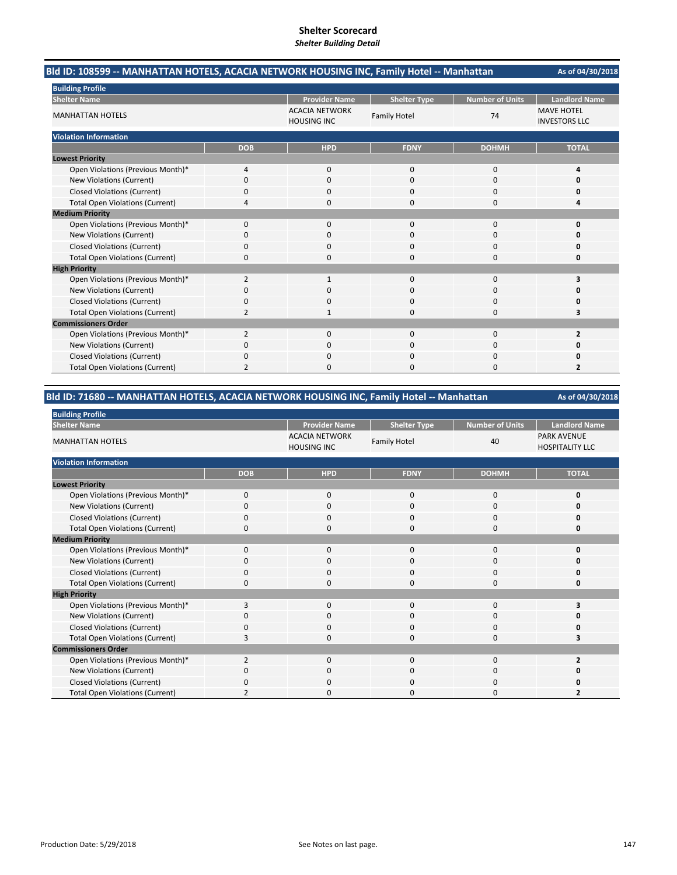| Bld ID: 108599 -- MANHATTAN HOTELS, ACACIA NETWORK HOUSING INC, Family Hotel -- Manhattan | As of 04/30/2018 |                                             |                     |                        |                                           |
|-------------------------------------------------------------------------------------------|------------------|---------------------------------------------|---------------------|------------------------|-------------------------------------------|
| <b>Building Profile</b>                                                                   |                  |                                             |                     |                        |                                           |
| <b>Shelter Name</b>                                                                       |                  | <b>Provider Name</b>                        | <b>Shelter Type</b> | <b>Number of Units</b> | <b>Landlord Name</b>                      |
| <b>MANHATTAN HOTELS</b>                                                                   |                  | <b>ACACIA NETWORK</b><br><b>HOUSING INC</b> | <b>Family Hotel</b> | 74                     | <b>MAVE HOTEL</b><br><b>INVESTORS LLC</b> |
| <b>Violation Information</b>                                                              |                  |                                             |                     |                        |                                           |
|                                                                                           | <b>DOB</b>       | <b>HPD</b>                                  | <b>FDNY</b>         | <b>DOHMH</b>           | <b>TOTAL</b>                              |
| <b>Lowest Priority</b>                                                                    |                  |                                             |                     |                        |                                           |
| Open Violations (Previous Month)*                                                         | 4                | $\mathbf{0}$                                | $\mathbf 0$         | 0                      | Δ                                         |
| New Violations (Current)                                                                  | 0                | $\Omega$                                    | $\Omega$            | $\Omega$               | 0                                         |
| <b>Closed Violations (Current)</b>                                                        | 0                | 0                                           | 0                   | 0                      | 0                                         |
| <b>Total Open Violations (Current)</b>                                                    | 4                | 0                                           | $\Omega$            | 0                      | 4                                         |
| <b>Medium Priority</b>                                                                    |                  |                                             |                     |                        |                                           |
| Open Violations (Previous Month)*                                                         | $\Omega$         | $\Omega$                                    | $\Omega$            | $\Omega$               | 0                                         |
| New Violations (Current)                                                                  | 0                | 0                                           | 0                   | $\Omega$               | O                                         |
| <b>Closed Violations (Current)</b>                                                        | 0                | 0                                           | 0                   | 0                      | Ω                                         |
| <b>Total Open Violations (Current)</b>                                                    | $\Omega$         | O                                           | $\Omega$            | $\Omega$               | O                                         |
| <b>High Priority</b>                                                                      |                  |                                             |                     |                        |                                           |
| Open Violations (Previous Month)*                                                         | $\overline{2}$   | $\mathbf{1}$                                | $\mathbf 0$         | 0                      | 3                                         |
| New Violations (Current)                                                                  | 0                | $\Omega$                                    | $\Omega$            | $\Omega$               | O                                         |
| <b>Closed Violations (Current)</b>                                                        | 0                | 0                                           | 0                   | 0                      | 0                                         |
| <b>Total Open Violations (Current)</b>                                                    | $\overline{2}$   |                                             | $\Omega$            | 0                      | 3                                         |
| <b>Commissioners Order</b>                                                                |                  |                                             |                     |                        |                                           |
| Open Violations (Previous Month)*                                                         | $\overline{2}$   | $\Omega$                                    | $\Omega$            | $\Omega$               | $\overline{2}$                            |
| New Violations (Current)                                                                  | 0                | 0                                           | $\Omega$            | $\Omega$               | 0                                         |
| <b>Closed Violations (Current)</b>                                                        | 0                | 0                                           | $\Omega$            | 0                      | 0                                         |
| <b>Total Open Violations (Current)</b>                                                    | 2                | n                                           | $\Omega$            | $\Omega$               | 2                                         |

# **Bld ID: 71680 ‐‐ MANHATTAN HOTELS, ACACIA NETWORK HOUSING INC, Family Hotel ‐‐ Manhattan**

| <b>Building Profile</b>                |                |                                             |                     |                 |                                              |
|----------------------------------------|----------------|---------------------------------------------|---------------------|-----------------|----------------------------------------------|
| <b>Shelter Name</b>                    |                | <b>Provider Name</b>                        | <b>Shelter Type</b> | Number of Units | <b>Landlord Name</b>                         |
| <b>MANHATTAN HOTELS</b>                |                | <b>ACACIA NETWORK</b><br><b>HOUSING INC</b> | <b>Family Hotel</b> | 40              | <b>PARK AVENUE</b><br><b>HOSPITALITY LLC</b> |
| <b>Violation Information</b>           |                |                                             |                     |                 |                                              |
|                                        | <b>DOB</b>     | <b>HPD</b>                                  | <b>FDNY</b>         | <b>DOHMH</b>    | <b>TOTAL</b>                                 |
| <b>Lowest Priority</b>                 |                |                                             |                     |                 |                                              |
| Open Violations (Previous Month)*      | 0              | 0                                           | 0                   | 0               | 0                                            |
| New Violations (Current)               | $\Omega$       | 0                                           | 0                   | 0               | U                                            |
| <b>Closed Violations (Current)</b>     | $\Omega$       | 0                                           | 0                   | 0               | U                                            |
| <b>Total Open Violations (Current)</b> | $\Omega$       | 0                                           | $\Omega$            | $\mathbf 0$     | 0                                            |
| <b>Medium Priority</b>                 |                |                                             |                     |                 |                                              |
| Open Violations (Previous Month)*      | 0              | 0                                           | $\mathbf{0}$        | $\mathbf{0}$    | ŋ                                            |
| New Violations (Current)               | O              | 0                                           | 0                   | 0               |                                              |
| <b>Closed Violations (Current)</b>     | 0              | 0                                           | 0                   | 0               | U                                            |
| <b>Total Open Violations (Current)</b> | $\Omega$       | 0                                           | $\Omega$            | $\mathbf{0}$    | U                                            |
| <b>High Priority</b>                   |                |                                             |                     |                 |                                              |
| Open Violations (Previous Month)*      | 3              | 0                                           | $\mathbf{0}$        | $\mathbf{0}$    |                                              |
| New Violations (Current)               |                | 0                                           | 0                   | 0               |                                              |
| <b>Closed Violations (Current)</b>     | 0              | 0                                           | 0                   | 0               | Ω                                            |
| <b>Total Open Violations (Current)</b> | З              | $\Omega$                                    | $\Omega$            | $\Omega$        |                                              |
| <b>Commissioners Order</b>             |                |                                             |                     |                 |                                              |
| Open Violations (Previous Month)*      | $\overline{2}$ | 0                                           | $\mathbf{0}$        | 0               |                                              |
| New Violations (Current)               | 0              | 0                                           | 0                   | 0               | ŋ                                            |
| <b>Closed Violations (Current)</b>     | 0              | 0                                           | 0                   | 0               | ი                                            |
| <b>Total Open Violations (Current)</b> | ς              | 0                                           | $\Omega$            | 0               | 2                                            |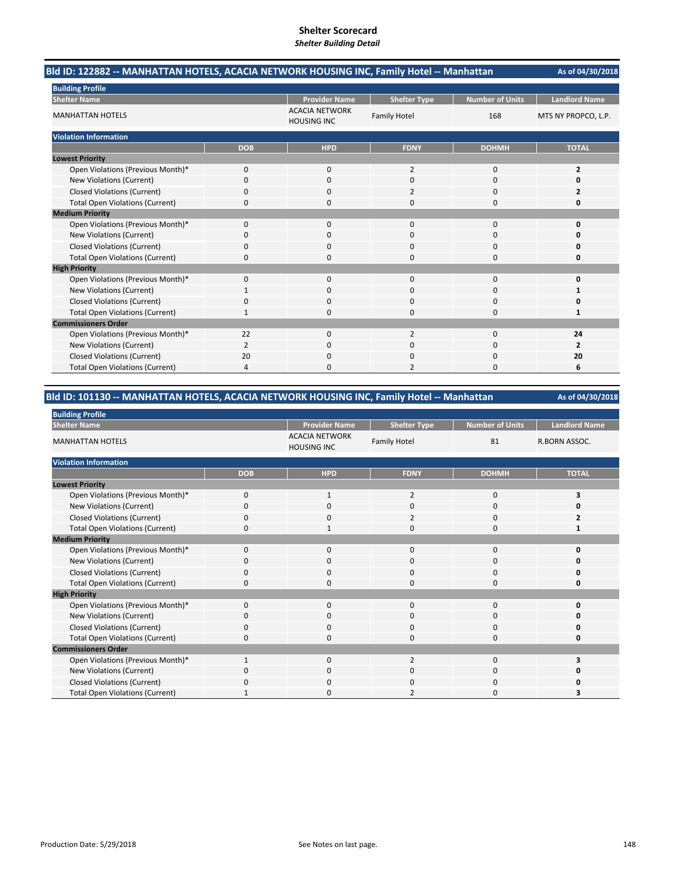| Bld ID: 122882 -- MANHATTAN HOTELS, ACACIA NETWORK HOUSING INC, Family Hotel -- Manhattan |            | As of 04/30/2018                            |                     |                        |                      |
|-------------------------------------------------------------------------------------------|------------|---------------------------------------------|---------------------|------------------------|----------------------|
| <b>Building Profile</b>                                                                   |            |                                             |                     |                        |                      |
| <b>Shelter Name</b>                                                                       |            | <b>Provider Name</b>                        | <b>Shelter Type</b> | <b>Number of Units</b> | <b>Landlord Name</b> |
| <b>MANHATTAN HOTELS</b>                                                                   |            | <b>ACACIA NETWORK</b><br><b>HOUSING INC</b> | <b>Family Hotel</b> | 168                    | MTS NY PROPCO, L.P.  |
| <b>Violation Information</b>                                                              |            |                                             |                     |                        |                      |
|                                                                                           | <b>DOB</b> | <b>HPD</b>                                  | <b>FDNY</b>         | <b>DOHMH</b>           | <b>TOTAL</b>         |
| <b>Lowest Priority</b>                                                                    |            |                                             |                     |                        |                      |
| Open Violations (Previous Month)*                                                         | 0          | 0                                           | 2                   | $\mathbf 0$            | 2                    |
| New Violations (Current)                                                                  | 0          | $\Omega$                                    | $\Omega$            | $\Omega$               | 0                    |
| <b>Closed Violations (Current)</b>                                                        | 0          | 0                                           | 2                   | 0                      | 2                    |
| <b>Total Open Violations (Current)</b>                                                    | 0          | $\Omega$                                    | 0                   | $\Omega$               | 0                    |
| <b>Medium Priority</b>                                                                    |            |                                             |                     |                        |                      |
| Open Violations (Previous Month)*                                                         | $\Omega$   | $\Omega$                                    | $\Omega$            | $\Omega$               | $\Omega$             |
| New Violations (Current)                                                                  | 0          | 0                                           | 0                   | $\Omega$               | o                    |
| <b>Closed Violations (Current)</b>                                                        | 0          | 0                                           | $\Omega$            | 0                      | 0                    |
| <b>Total Open Violations (Current)</b>                                                    | $\Omega$   | $\Omega$                                    | 0                   | $\Omega$               | 0                    |
| <b>High Priority</b>                                                                      |            |                                             |                     |                        |                      |
| Open Violations (Previous Month)*                                                         | $\Omega$   | $\Omega$                                    | $\Omega$            | $\Omega$               | 0                    |
| New Violations (Current)                                                                  | 1          | $\Omega$                                    | $\Omega$            | $\Omega$               | 1                    |
| <b>Closed Violations (Current)</b>                                                        | 0          | 0                                           | 0                   | 0                      | 0                    |
| <b>Total Open Violations (Current)</b>                                                    | 1          | 0                                           | $\Omega$            | 0                      | 1                    |
| <b>Commissioners Order</b>                                                                |            |                                             |                     |                        |                      |
| Open Violations (Previous Month)*                                                         | 22         | $\Omega$                                    | $\overline{2}$      | $\Omega$               | 24                   |
| New Violations (Current)                                                                  | 2          | 0                                           | $\Omega$            | $\Omega$               | $\overline{2}$       |
| <b>Closed Violations (Current)</b>                                                        | 20         | 0                                           | 0                   | 0                      | 20                   |
| <b>Total Open Violations (Current)</b>                                                    | 4          | O                                           | 2                   | $\Omega$               | 6                    |

# **Bld ID: 101130 ‐‐ MANHATTAN HOTELS, ACACIA NETWORK HOUSING INC, Family Hotel ‐‐ Manhattan**

| <b>Building Profile</b>                |              |                                             |                     |                        |                      |  |  |
|----------------------------------------|--------------|---------------------------------------------|---------------------|------------------------|----------------------|--|--|
| <b>Shelter Name</b>                    |              | <b>Provider Name</b>                        | <b>Shelter Type</b> | <b>Number of Units</b> | <b>Landlord Name</b> |  |  |
| <b>MANHATTAN HOTELS</b>                |              | <b>ACACIA NETWORK</b><br><b>HOUSING INC</b> | <b>Family Hotel</b> | 81                     | R.BORN ASSOC.        |  |  |
| <b>Violation Information</b>           |              |                                             |                     |                        |                      |  |  |
|                                        | <b>DOB</b>   | <b>HPD</b>                                  | <b>FDNY</b>         | <b>DOHMH</b>           | <b>TOTAL</b>         |  |  |
| <b>Lowest Priority</b>                 |              |                                             |                     |                        |                      |  |  |
| Open Violations (Previous Month)*      | $\mathbf{0}$ | 1                                           | 2                   | 0                      | 3                    |  |  |
| New Violations (Current)               | 0            | 0                                           | 0                   | 0                      |                      |  |  |
| <b>Closed Violations (Current)</b>     | 0            | 0                                           | $\overline{2}$      | $\mathbf 0$            |                      |  |  |
| <b>Total Open Violations (Current)</b> | 0            |                                             | 0                   | $\mathbf 0$            |                      |  |  |
| <b>Medium Priority</b>                 |              |                                             |                     |                        |                      |  |  |
| Open Violations (Previous Month)*      | $\mathbf{0}$ | $\Omega$                                    | 0                   | 0                      |                      |  |  |
| New Violations (Current)               | <sup>0</sup> | 0                                           | 0                   | 0                      |                      |  |  |
| <b>Closed Violations (Current)</b>     | 0            | 0                                           | 0                   | $\mathbf 0$            |                      |  |  |
| <b>Total Open Violations (Current)</b> | 0            | $\Omega$                                    | 0                   | 0                      |                      |  |  |
| <b>High Priority</b>                   |              |                                             |                     |                        |                      |  |  |
| Open Violations (Previous Month)*      | $\mathbf{0}$ | $\mathbf 0$                                 | $\mathbf{0}$        | 0                      | ŋ                    |  |  |
| New Violations (Current)               | 0            | 0                                           | 0                   | 0                      |                      |  |  |
| <b>Closed Violations (Current)</b>     | 0            | $\mathbf 0$                                 | 0                   | 0                      |                      |  |  |
| <b>Total Open Violations (Current)</b> | 0            | $\mathbf 0$                                 | 0                   | 0                      |                      |  |  |
| <b>Commissioners Order</b>             |              |                                             |                     |                        |                      |  |  |
| Open Violations (Previous Month)*      | $\mathbf{1}$ | $\Omega$                                    | $\overline{2}$      | $\mathbf 0$            |                      |  |  |
| New Violations (Current)               | 0            | $\mathbf 0$                                 | 0                   | 0                      |                      |  |  |
| <b>Closed Violations (Current)</b>     | O            | $\Omega$                                    | $\Omega$            | 0                      |                      |  |  |
| <b>Total Open Violations (Current)</b> |              | <sup>0</sup>                                |                     | 0                      |                      |  |  |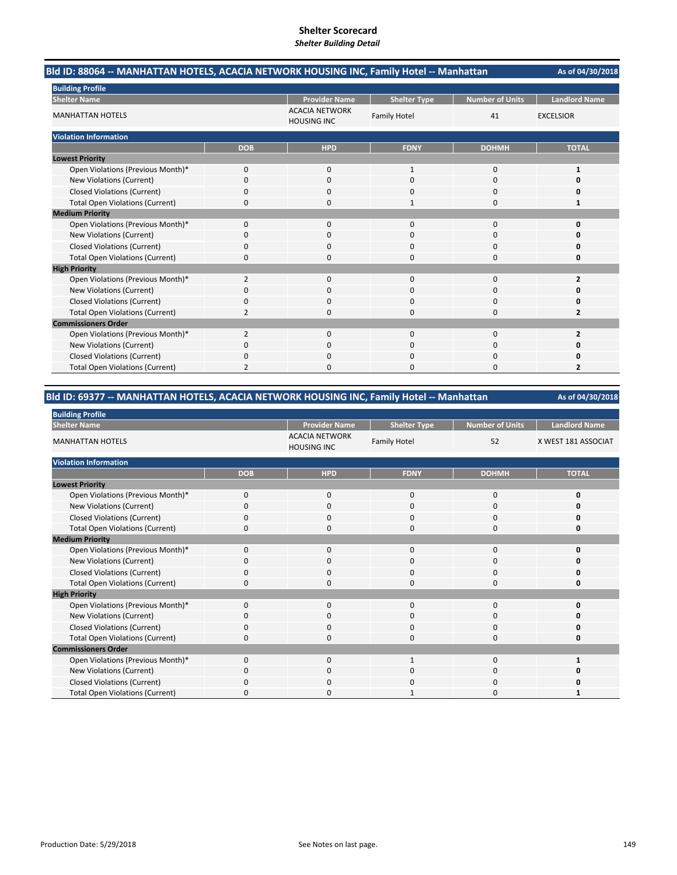|                                        | Bld ID: 88064 -- MANHATTAN HOTELS, ACACIA NETWORK HOUSING INC, Family Hotel -- Manhattan |                                             |                     |                        |                         |  |
|----------------------------------------|------------------------------------------------------------------------------------------|---------------------------------------------|---------------------|------------------------|-------------------------|--|
| <b>Building Profile</b>                |                                                                                          |                                             |                     |                        |                         |  |
| <b>Shelter Name</b>                    |                                                                                          | <b>Provider Name</b>                        | <b>Shelter Type</b> | <b>Number of Units</b> | <b>Landlord Name</b>    |  |
| <b>MANHATTAN HOTELS</b>                |                                                                                          | <b>ACACIA NETWORK</b><br><b>HOUSING INC</b> | <b>Family Hotel</b> | 41                     | <b>EXCELSIOR</b>        |  |
| <b>Violation Information</b>           |                                                                                          |                                             |                     |                        |                         |  |
|                                        | <b>DOB</b>                                                                               | <b>HPD</b>                                  | <b>FDNY</b>         | <b>DOHMH</b>           | <b>TOTAL</b>            |  |
| <b>Lowest Priority</b>                 |                                                                                          |                                             |                     |                        |                         |  |
| Open Violations (Previous Month)*      | 0                                                                                        | $\mathbf{0}$                                | $\mathbf{1}$        | 0                      | 1                       |  |
| New Violations (Current)               | 0                                                                                        | $\Omega$                                    | $\Omega$            | $\Omega$               | Ω                       |  |
| <b>Closed Violations (Current)</b>     | 0                                                                                        | $\Omega$                                    | $\Omega$            | 0                      | 0                       |  |
| <b>Total Open Violations (Current)</b> | 0                                                                                        | $\Omega$                                    | 1                   | 0                      | 1                       |  |
| <b>Medium Priority</b>                 |                                                                                          |                                             |                     |                        |                         |  |
| Open Violations (Previous Month)*      | 0                                                                                        | $\Omega$                                    | $\Omega$            | $\Omega$               | 0                       |  |
| <b>New Violations (Current)</b>        | 0                                                                                        | 0                                           | 0                   | 0                      |                         |  |
| <b>Closed Violations (Current)</b>     | 0                                                                                        | $\Omega$                                    | 0                   | 0                      | n                       |  |
| <b>Total Open Violations (Current)</b> | $\Omega$                                                                                 | $\Omega$                                    | $\Omega$            | 0                      | 0                       |  |
| <b>High Priority</b>                   |                                                                                          |                                             |                     |                        |                         |  |
| Open Violations (Previous Month)*      | 2                                                                                        | 0                                           | 0                   | 0                      | 2                       |  |
| New Violations (Current)               | 0                                                                                        | 0                                           | $\Omega$            | 0                      | O                       |  |
| <b>Closed Violations (Current)</b>     | 0                                                                                        | 0                                           | $\Omega$            | 0                      | Ω                       |  |
| <b>Total Open Violations (Current)</b> | 2                                                                                        | <sup>0</sup>                                | $\Omega$            | 0                      | $\overline{2}$          |  |
| <b>Commissioners Order</b>             |                                                                                          |                                             |                     |                        |                         |  |
| Open Violations (Previous Month)*      | 2                                                                                        | $\Omega$                                    | $\Omega$            | $\Omega$               | $\overline{\mathbf{z}}$ |  |
| New Violations (Current)               | 0                                                                                        | 0                                           | ი                   | 0                      |                         |  |
| <b>Closed Violations (Current)</b>     | 0                                                                                        | ŋ                                           | $\Omega$            | 0                      | n                       |  |
| <b>Total Open Violations (Current)</b> | $\overline{2}$                                                                           | n                                           | $\Omega$            | O                      | 2                       |  |

# **Bld ID: 69377 ‐‐ MANHATTAN HOTELS, ACACIA NETWORK HOUSING INC, Family Hotel ‐‐ Manhattan**

| <b>Building Profile</b>                |            |                                             |                     |                        |                      |
|----------------------------------------|------------|---------------------------------------------|---------------------|------------------------|----------------------|
| <b>Shelter Name</b>                    |            | <b>Provider Name</b>                        | <b>Shelter Type</b> | <b>Number of Units</b> | <b>Landlord Name</b> |
| <b>MANHATTAN HOTELS</b>                |            | <b>ACACIA NETWORK</b><br><b>HOUSING INC</b> | <b>Family Hotel</b> | 52                     | X WEST 181 ASSOCIAT  |
| <b>Violation Information</b>           |            |                                             |                     |                        |                      |
|                                        | <b>DOB</b> | <b>HPD</b>                                  | <b>FDNY</b>         | <b>DOHMH</b>           | <b>TOTAL</b>         |
| <b>Lowest Priority</b>                 |            |                                             |                     |                        |                      |
| Open Violations (Previous Month)*      | 0          | 0                                           | 0                   | 0                      | O                    |
| New Violations (Current)               | 0          | 0                                           | 0                   | 0                      | ŋ                    |
| <b>Closed Violations (Current)</b>     | 0          | 0                                           | $\mathbf{0}$        | 0                      | $\Omega$             |
| <b>Total Open Violations (Current)</b> | 0          | 0                                           | $\Omega$            | 0                      | O                    |
| <b>Medium Priority</b>                 |            |                                             |                     |                        |                      |
| Open Violations (Previous Month)*      | 0          | 0                                           | $\mathbf{0}$        | 0                      | n                    |
| New Violations (Current)               | O          | 0                                           | 0                   | 0                      |                      |
| <b>Closed Violations (Current)</b>     | 0          | 0                                           | 0                   | 0                      | ŋ                    |
| <b>Total Open Violations (Current)</b> | 0          | $\Omega$                                    | $\Omega$            | $\Omega$               | $\Omega$             |
| <b>High Priority</b>                   |            |                                             |                     |                        |                      |
| Open Violations (Previous Month)*      | $\Omega$   | 0                                           | $\mathbf{0}$        | 0                      | ŋ                    |
| New Violations (Current)               | O          | 0                                           | 0                   | 0                      |                      |
| <b>Closed Violations (Current)</b>     | 0          | 0                                           | $\mathbf{0}$        | 0                      |                      |
| <b>Total Open Violations (Current)</b> | $\Omega$   | 0                                           | $\Omega$            | $\Omega$               | ŋ                    |
| <b>Commissioners Order</b>             |            |                                             |                     |                        |                      |
| Open Violations (Previous Month)*      | $\Omega$   | 0                                           | 1                   | 0                      |                      |
| New Violations (Current)               | 0          | 0                                           | 0                   | 0                      |                      |
| <b>Closed Violations (Current)</b>     | 0          | 0                                           | 0                   | 0                      |                      |
| <b>Total Open Violations (Current)</b> | $\Omega$   | $\Omega$                                    |                     | $\Omega$               |                      |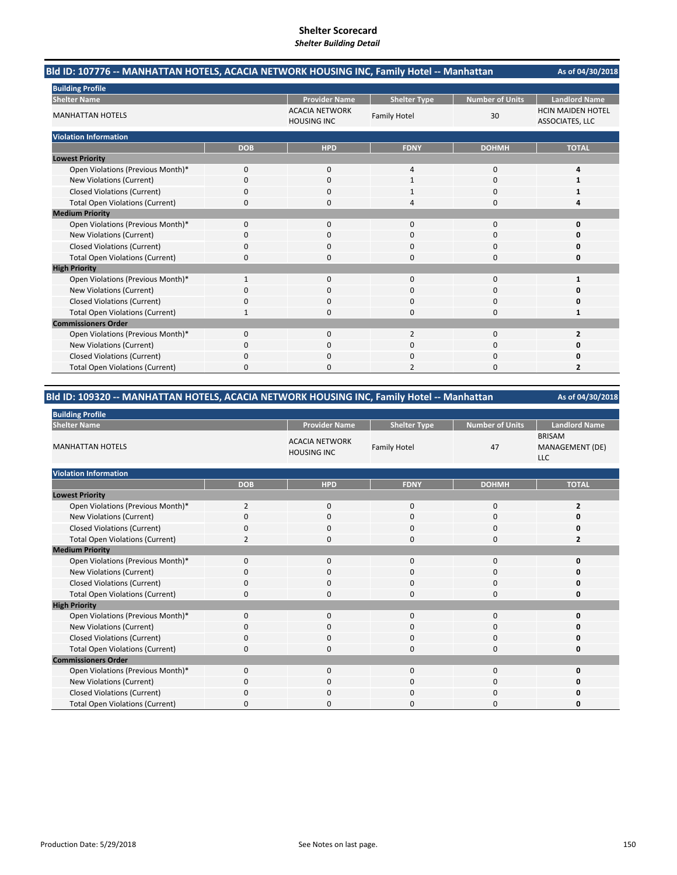| Bld ID: 107776 -- MANHATTAN HOTELS, ACACIA NETWORK HOUSING INC, Family Hotel -- Manhattan |              |                                             |                     |                        | As of 04/30/2018                            |
|-------------------------------------------------------------------------------------------|--------------|---------------------------------------------|---------------------|------------------------|---------------------------------------------|
| <b>Building Profile</b>                                                                   |              |                                             |                     |                        |                                             |
| <b>Shelter Name</b>                                                                       |              | <b>Provider Name</b>                        | <b>Shelter Type</b> | <b>Number of Units</b> | <b>Landlord Name</b>                        |
| <b>MANHATTAN HOTELS</b>                                                                   |              | <b>ACACIA NETWORK</b><br><b>HOUSING INC</b> | <b>Family Hotel</b> | 30                     | <b>HCIN MAIDEN HOTEL</b><br>ASSOCIATES, LLC |
| <b>Violation Information</b>                                                              |              |                                             |                     |                        |                                             |
|                                                                                           | <b>DOB</b>   | <b>HPD</b>                                  | <b>FDNY</b>         | <b>DOHMH</b>           | <b>TOTAL</b>                                |
| <b>Lowest Priority</b>                                                                    |              |                                             |                     |                        |                                             |
| Open Violations (Previous Month)*                                                         | 0            | 0                                           | 4                   | 0                      | 4                                           |
| New Violations (Current)                                                                  | 0            | $\Omega$                                    | $\mathbf{1}$        | $\Omega$               | 1                                           |
| <b>Closed Violations (Current)</b>                                                        | 0            | 0                                           |                     | $\Omega$               | 1                                           |
| <b>Total Open Violations (Current)</b>                                                    | 0            | $\Omega$                                    | 4                   | $\Omega$               | 4                                           |
| <b>Medium Priority</b>                                                                    |              |                                             |                     |                        |                                             |
| Open Violations (Previous Month)*                                                         | $\Omega$     | $\Omega$                                    | $\Omega$            | $\Omega$               | 0                                           |
| New Violations (Current)                                                                  | 0            | 0                                           | 0                   | $\Omega$               | O                                           |
| <b>Closed Violations (Current)</b>                                                        | 0            | 0                                           | 0                   | 0                      | 0                                           |
| <b>Total Open Violations (Current)</b>                                                    | $\Omega$     | $\Omega$                                    | $\Omega$            | $\Omega$               | O                                           |
| <b>High Priority</b>                                                                      |              |                                             |                     |                        |                                             |
| Open Violations (Previous Month)*                                                         | $\mathbf{1}$ | 0                                           | $\mathbf{0}$        | 0                      | $\mathbf{1}$                                |
| New Violations (Current)                                                                  | $\Omega$     | $\Omega$                                    | $\Omega$            | $\Omega$               | O                                           |
| <b>Closed Violations (Current)</b>                                                        | 0            | 0                                           | 0                   | 0                      | 0                                           |
| <b>Total Open Violations (Current)</b>                                                    | 1            | $\Omega$                                    | $\Omega$            | $\Omega$               | 1                                           |
| <b>Commissioners Order</b>                                                                |              |                                             |                     |                        |                                             |
| Open Violations (Previous Month)*                                                         | $\Omega$     | $\Omega$                                    | $\overline{2}$      | $\Omega$               | $\overline{2}$                              |
| New Violations (Current)                                                                  | 0            | 0                                           | 0                   | $\Omega$               | 0                                           |
| <b>Closed Violations (Current)</b>                                                        | 0            | 0                                           | 0                   | 0                      | 0                                           |
| <b>Total Open Violations (Current)</b>                                                    | 0            | $\Omega$                                    | 2                   | $\Omega$               | 2                                           |

# **Bld ID: 109320 ‐‐ MANHATTAN HOTELS, ACACIA NETWORK HOUSING INC, Family Hotel ‐‐ Manhattan**

| <b>Building Profile</b>                |                |                                             |                     |                        |                                                |
|----------------------------------------|----------------|---------------------------------------------|---------------------|------------------------|------------------------------------------------|
| <b>Shelter Name</b>                    |                | <b>Provider Name</b>                        | <b>Shelter Type</b> | <b>Number of Units</b> | <b>Landlord Name</b>                           |
| <b>MANHATTAN HOTELS</b>                |                | <b>ACACIA NETWORK</b><br><b>HOUSING INC</b> | <b>Family Hotel</b> | 47                     | <b>BRISAM</b><br>MANAGEMENT (DE)<br><b>LLC</b> |
| <b>Violation Information</b>           |                |                                             |                     |                        |                                                |
|                                        | <b>DOB</b>     | <b>HPD</b>                                  | <b>FDNY</b>         | <b>DOHMH</b>           | <b>TOTAL</b>                                   |
| <b>Lowest Priority</b>                 |                |                                             |                     |                        |                                                |
| Open Violations (Previous Month)*      | 2              | $\mathbf 0$                                 | 0                   | $\mathbf 0$            | $\overline{2}$                                 |
| <b>New Violations (Current)</b>        | $\Omega$       | $\mathbf 0$                                 | 0                   | $\mathbf 0$            |                                                |
| <b>Closed Violations (Current)</b>     | $\Omega$       | $\mathbf 0$                                 | 0                   | $\mathbf 0$            | 0                                              |
| <b>Total Open Violations (Current)</b> | $\overline{2}$ | $\mathbf 0$                                 | $\Omega$            | $\mathbf 0$            | $\overline{2}$                                 |
| <b>Medium Priority</b>                 |                |                                             |                     |                        |                                                |
| Open Violations (Previous Month)*      | $\mathbf 0$    | $\mathbf{0}$                                | 0                   | $\mathbf 0$            | 0                                              |
| <b>New Violations (Current)</b>        | 0              | $\mathbf 0$                                 | $\Omega$            | 0                      |                                                |
| <b>Closed Violations (Current)</b>     | 0              | $\mathbf 0$                                 | 0                   | 0                      | n                                              |
| <b>Total Open Violations (Current)</b> | 0              | $\mathbf 0$                                 | 0                   | $\mathbf 0$            | 0                                              |
| <b>High Priority</b>                   |                |                                             |                     |                        |                                                |
| Open Violations (Previous Month)*      | $\Omega$       | $\mathbf 0$                                 | 0                   | $\mathbf 0$            | Ω                                              |
| New Violations (Current)               | 0              | 0                                           | 0                   | 0                      |                                                |
| <b>Closed Violations (Current)</b>     | 0              | $\mathbf 0$                                 | 0                   | 0                      | 0                                              |
| <b>Total Open Violations (Current)</b> | 0              | 0                                           | 0                   | 0                      | 0                                              |
| <b>Commissioners Order</b>             |                |                                             |                     |                        |                                                |
| Open Violations (Previous Month)*      | $\Omega$       | $\mathbf 0$                                 | 0                   | $\mathbf 0$            | 0                                              |
| New Violations (Current)               | $\Omega$       | $\mathbf 0$                                 | 0                   | $\mathbf 0$            |                                                |
| <b>Closed Violations (Current)</b>     | 0              | 0                                           | 0                   | $\mathbf 0$            |                                                |
| <b>Total Open Violations (Current)</b> | n              | <sup>0</sup>                                | U                   | 0                      |                                                |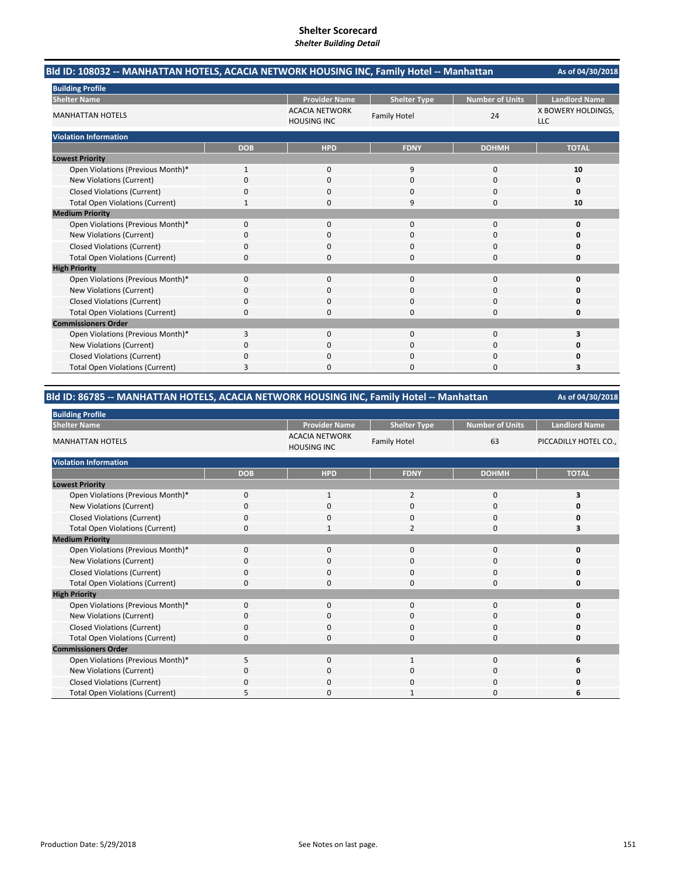| Bld ID: 108032 -- MANHATTAN HOTELS, ACACIA NETWORK HOUSING INC, Family Hotel -- Manhattan | As of 04/30/2018 |                                             |                     |                        |                                  |
|-------------------------------------------------------------------------------------------|------------------|---------------------------------------------|---------------------|------------------------|----------------------------------|
| <b>Building Profile</b>                                                                   |                  |                                             |                     |                        |                                  |
| <b>Shelter Name</b>                                                                       |                  | <b>Provider Name</b>                        | <b>Shelter Type</b> | <b>Number of Units</b> | <b>Landlord Name</b>             |
| <b>MANHATTAN HOTELS</b>                                                                   |                  | <b>ACACIA NETWORK</b><br><b>HOUSING INC</b> | <b>Family Hotel</b> | 24                     | X BOWERY HOLDINGS,<br><b>LLC</b> |
| <b>Violation Information</b>                                                              |                  |                                             |                     |                        |                                  |
|                                                                                           | <b>DOB</b>       | <b>HPD</b>                                  | <b>FDNY</b>         | <b>DOHMH</b>           | <b>TOTAL</b>                     |
| <b>Lowest Priority</b>                                                                    |                  |                                             |                     |                        |                                  |
| Open Violations (Previous Month)*                                                         | $\mathbf{1}$     | 0                                           | 9                   | $\mathbf 0$            | 10                               |
| New Violations (Current)                                                                  | $\Omega$         | $\Omega$                                    | $\Omega$            | $\Omega$               | 0                                |
| <b>Closed Violations (Current)</b>                                                        | 0                | 0                                           | 0                   | 0                      | 0                                |
| <b>Total Open Violations (Current)</b>                                                    |                  | $\Omega$                                    | 9                   | $\Omega$               | 10                               |
| <b>Medium Priority</b>                                                                    |                  |                                             |                     |                        |                                  |
| Open Violations (Previous Month)*                                                         | $\Omega$         | $\Omega$                                    | $\Omega$            | $\Omega$               | $\Omega$                         |
| New Violations (Current)                                                                  | 0                | 0                                           | 0                   | $\Omega$               | 0                                |
| <b>Closed Violations (Current)</b>                                                        | 0                | 0                                           | $\Omega$            | 0                      | 0                                |
| <b>Total Open Violations (Current)</b>                                                    | $\Omega$         | $\Omega$                                    | 0                   | $\Omega$               | 0                                |
| <b>High Priority</b>                                                                      |                  |                                             |                     |                        |                                  |
| Open Violations (Previous Month)*                                                         | $\Omega$         | $\Omega$                                    | $\Omega$            | $\Omega$               | 0                                |
| <b>New Violations (Current)</b>                                                           | 0                | $\Omega$                                    | $\Omega$            | $\Omega$               | O                                |
| <b>Closed Violations (Current)</b>                                                        | 0                | 0                                           | 0                   | 0                      | 0                                |
| <b>Total Open Violations (Current)</b>                                                    | 0                | 0                                           | $\Omega$            | 0                      | 0                                |
| <b>Commissioners Order</b>                                                                |                  |                                             |                     |                        |                                  |
| Open Violations (Previous Month)*                                                         | 3                | $\Omega$                                    | $\Omega$            | $\Omega$               | 3                                |
| New Violations (Current)                                                                  | 0                | 0                                           | $\Omega$            | $\Omega$               | o                                |
| <b>Closed Violations (Current)</b>                                                        | 0                | 0                                           | 0                   | 0                      | 0                                |
| <b>Total Open Violations (Current)</b>                                                    | 3                | O                                           | O                   | $\Omega$               | 3                                |

# **Bld ID: 86785 ‐‐ MANHATTAN HOTELS, ACACIA NETWORK HOUSING INC, Family Hotel ‐‐ Manhattan**

| <b>Building Profile</b>                |             |                                             |                     |                        |                       |
|----------------------------------------|-------------|---------------------------------------------|---------------------|------------------------|-----------------------|
| <b>Shelter Name</b>                    |             | <b>Provider Name</b>                        | <b>Shelter Type</b> | <b>Number of Units</b> | <b>Landlord Name</b>  |
| <b>MANHATTAN HOTELS</b>                |             | <b>ACACIA NETWORK</b><br><b>HOUSING INC</b> | <b>Family Hotel</b> | 63                     | PICCADILLY HOTEL CO., |
| <b>Violation Information</b>           |             |                                             |                     |                        |                       |
|                                        | <b>DOB</b>  | <b>HPD</b>                                  | <b>FDNY</b>         | <b>DOHMH</b>           | <b>TOTAL</b>          |
| <b>Lowest Priority</b>                 |             |                                             |                     |                        |                       |
| Open Violations (Previous Month)*      | $\mathbf 0$ | 1                                           | 2                   | 0                      | 3                     |
| New Violations (Current)               | 0           | 0                                           | 0                   | $\Omega$               | n                     |
| <b>Closed Violations (Current)</b>     | 0           | 0                                           | 0                   | 0                      | ŋ                     |
| <b>Total Open Violations (Current)</b> | $\Omega$    | $\mathbf{1}$                                | 2                   | 0                      |                       |
| <b>Medium Priority</b>                 |             |                                             |                     |                        |                       |
| Open Violations (Previous Month)*      | $\Omega$    | 0                                           | 0                   | 0                      | n                     |
| New Violations (Current)               | 0           | 0                                           | 0                   | 0                      | n                     |
| <b>Closed Violations (Current)</b>     | 0           | 0                                           | 0                   | 0                      | O                     |
| <b>Total Open Violations (Current)</b> | 0           | $\Omega$                                    | 0                   | 0                      | O                     |
| <b>High Priority</b>                   |             |                                             |                     |                        |                       |
| Open Violations (Previous Month)*      | $\Omega$    | $\mathbf 0$                                 | $\mathbf{0}$        | 0                      | O                     |
| New Violations (Current)               | $\Omega$    | $\Omega$                                    | 0                   | 0                      | n                     |
| <b>Closed Violations (Current)</b>     | $\Omega$    | $\Omega$                                    | $\Omega$            | $\Omega$               | O                     |
| <b>Total Open Violations (Current)</b> | 0           | $\Omega$                                    | 0                   | $\Omega$               | 0                     |
| <b>Commissioners Order</b>             |             |                                             |                     |                        |                       |
| Open Violations (Previous Month)*      | 5           | $\Omega$                                    | $\mathbf{1}$        | $\Omega$               | 6                     |
| New Violations (Current)               | $\Omega$    | $\Omega$                                    | 0                   | $\Omega$               | o                     |
| <b>Closed Violations (Current)</b>     | $\Omega$    | $\Omega$                                    | 0                   | $\Omega$               |                       |
| <b>Total Open Violations (Current)</b> |             | O                                           |                     | $\Omega$               | 6                     |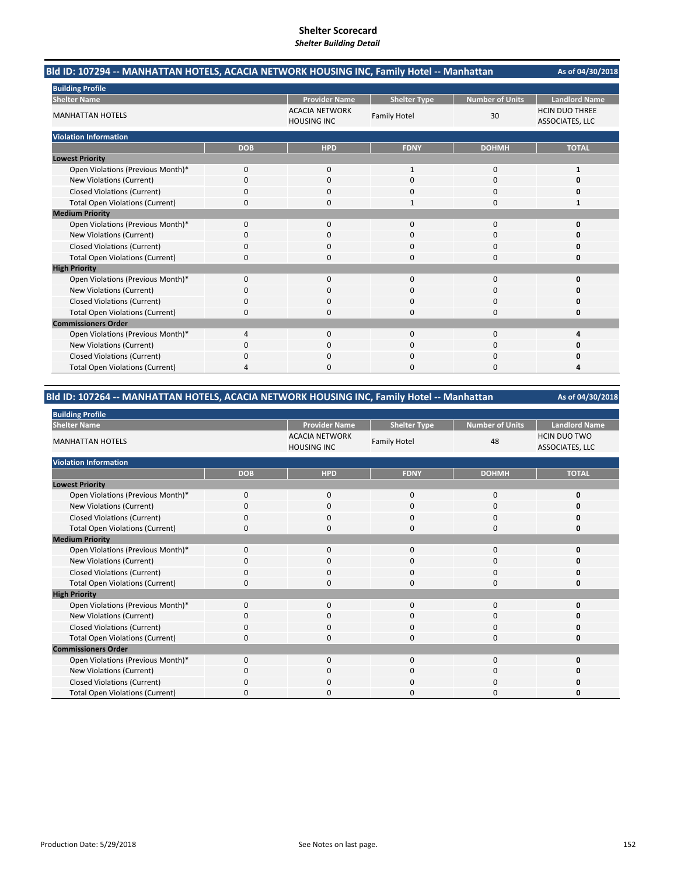|                                        | Bld ID: 107294 -- MANHATTAN HOTELS, ACACIA NETWORK HOUSING INC, Family Hotel -- Manhattan |                                             |                     |                        |                                          |  |
|----------------------------------------|-------------------------------------------------------------------------------------------|---------------------------------------------|---------------------|------------------------|------------------------------------------|--|
| <b>Building Profile</b>                |                                                                                           |                                             |                     |                        |                                          |  |
| <b>Shelter Name</b>                    |                                                                                           | <b>Provider Name</b>                        | <b>Shelter Type</b> | <b>Number of Units</b> | <b>Landlord Name</b>                     |  |
| <b>MANHATTAN HOTELS</b>                |                                                                                           | <b>ACACIA NETWORK</b><br><b>HOUSING INC</b> | <b>Family Hotel</b> | 30                     | <b>HCIN DUO THREE</b><br>ASSOCIATES, LLC |  |
| <b>Violation Information</b>           |                                                                                           |                                             |                     |                        |                                          |  |
|                                        | <b>DOB</b>                                                                                | <b>HPD</b>                                  | <b>FDNY</b>         | <b>DOHMH</b>           | <b>TOTAL</b>                             |  |
| <b>Lowest Priority</b>                 |                                                                                           |                                             |                     |                        |                                          |  |
| Open Violations (Previous Month)*      | 0                                                                                         | $\mathbf 0$                                 | $\mathbf{1}$        | 0                      | 1                                        |  |
| New Violations (Current)               | 0                                                                                         | $\Omega$                                    | $\Omega$            | $\Omega$               | 0                                        |  |
| <b>Closed Violations (Current)</b>     | 0                                                                                         | 0                                           | 0                   | 0                      | 0                                        |  |
| <b>Total Open Violations (Current)</b> | 0                                                                                         | 0                                           | 1                   | 0                      | 1                                        |  |
| <b>Medium Priority</b>                 |                                                                                           |                                             |                     |                        |                                          |  |
| Open Violations (Previous Month)*      | $\Omega$                                                                                  | $\Omega$                                    | $\Omega$            | $\Omega$               | O                                        |  |
| New Violations (Current)               | 0                                                                                         | 0                                           | 0                   | $\Omega$               | O                                        |  |
| <b>Closed Violations (Current)</b>     | 0                                                                                         | 0                                           | 0                   | 0                      | O                                        |  |
| <b>Total Open Violations (Current)</b> | 0                                                                                         | O                                           | $\Omega$            | $\Omega$               | O                                        |  |
| <b>High Priority</b>                   |                                                                                           |                                             |                     |                        |                                          |  |
| Open Violations (Previous Month)*      | 0                                                                                         | $\mathbf 0$                                 | $\mathbf 0$         | 0                      | $\Omega$                                 |  |
| New Violations (Current)               | 0                                                                                         | 0                                           | $\Omega$            | $\Omega$               | O                                        |  |
| <b>Closed Violations (Current)</b>     | 0                                                                                         | 0                                           | 0                   | 0                      | 0                                        |  |
| <b>Total Open Violations (Current)</b> | 0                                                                                         | $\Omega$                                    | $\Omega$            | 0                      | 0                                        |  |
| <b>Commissioners Order</b>             |                                                                                           |                                             |                     |                        |                                          |  |
| Open Violations (Previous Month)*      | 4                                                                                         | $\Omega$                                    | $\Omega$            | $\Omega$               | 4                                        |  |
| New Violations (Current)               | 0                                                                                         | 0                                           | $\Omega$            | 0                      | n                                        |  |
| <b>Closed Violations (Current)</b>     | 0                                                                                         | $\Omega$                                    | $\Omega$            | 0                      |                                          |  |
| <b>Total Open Violations (Current)</b> | 4                                                                                         | n                                           | $\Omega$            | $\Omega$               | Δ                                        |  |

# **Bld ID: 107264 ‐‐ MANHATTAN HOTELS, ACACIA NETWORK HOUSING INC, Family Hotel ‐‐ Manhattan**

| <b>Building Profile</b>                |             |                                             |                     |                        |                                        |  |
|----------------------------------------|-------------|---------------------------------------------|---------------------|------------------------|----------------------------------------|--|
| <b>Shelter Name</b>                    |             | <b>Provider Name</b>                        | <b>Shelter Type</b> | <b>Number of Units</b> | <b>Landlord Name</b>                   |  |
| <b>MANHATTAN HOTELS</b>                |             | <b>ACACIA NETWORK</b><br><b>HOUSING INC</b> | <b>Family Hotel</b> | 48                     | <b>HCIN DUO TWO</b><br>ASSOCIATES, LLC |  |
| <b>Violation Information</b>           |             |                                             |                     |                        |                                        |  |
|                                        | <b>DOB</b>  | <b>HPD</b>                                  | <b>FDNY</b>         | <b>DOHMH</b>           | <b>TOTAL</b>                           |  |
| <b>Lowest Priority</b>                 |             |                                             |                     |                        |                                        |  |
| Open Violations (Previous Month)*      | $\mathbf 0$ | 0                                           | 0                   | 0                      | 0                                      |  |
| New Violations (Current)               | $\Omega$    | $\mathbf 0$                                 | $\mathbf 0$         | 0                      | O                                      |  |
| <b>Closed Violations (Current)</b>     | $\mathbf 0$ | $\mathbf 0$                                 | $\mathbf 0$         | 0                      | O                                      |  |
| <b>Total Open Violations (Current)</b> | $\Omega$    | $\mathbf 0$                                 | $\Omega$            | $\mathbf 0$            | 0                                      |  |
| <b>Medium Priority</b>                 |             |                                             |                     |                        |                                        |  |
| Open Violations (Previous Month)*      | $\mathbf 0$ | $\mathbf 0$                                 | $\mathbf 0$         | $\mathbf 0$            | O                                      |  |
| New Violations (Current)               | $\Omega$    | $\mathbf 0$                                 | 0                   | 0                      |                                        |  |
| <b>Closed Violations (Current)</b>     | $\mathbf 0$ | $\mathbf 0$                                 | $\mathbf 0$         | 0                      | O                                      |  |
| <b>Total Open Violations (Current)</b> | $\Omega$    | $\Omega$                                    | $\Omega$            | $\Omega$               | O                                      |  |
| <b>High Priority</b>                   |             |                                             |                     |                        |                                        |  |
| Open Violations (Previous Month)*      | $\Omega$    | $\mathbf 0$                                 | $\mathbf{0}$        | $\mathbf 0$            | O                                      |  |
| <b>New Violations (Current)</b>        | O           | 0                                           | 0                   | 0                      | n                                      |  |
| <b>Closed Violations (Current)</b>     | 0           | $\mathbf 0$                                 | $\mathbf 0$         | 0                      | 0                                      |  |
| <b>Total Open Violations (Current)</b> | $\Omega$    | $\Omega$                                    | $\Omega$            | $\Omega$               | ŋ                                      |  |
| <b>Commissioners Order</b>             |             |                                             |                     |                        |                                        |  |
| Open Violations (Previous Month)*      | $\Omega$    | $\mathbf 0$                                 | $\mathbf{0}$        | 0                      | O                                      |  |
| New Violations (Current)               | O           | $\mathbf 0$                                 | 0                   | 0                      | O                                      |  |
| <b>Closed Violations (Current)</b>     | 0           | $\mathbf 0$                                 | $\mathbf 0$         | 0                      | ი                                      |  |
| <b>Total Open Violations (Current)</b> | $\Omega$    | $\Omega$                                    | $\Omega$            | $\Omega$               | O                                      |  |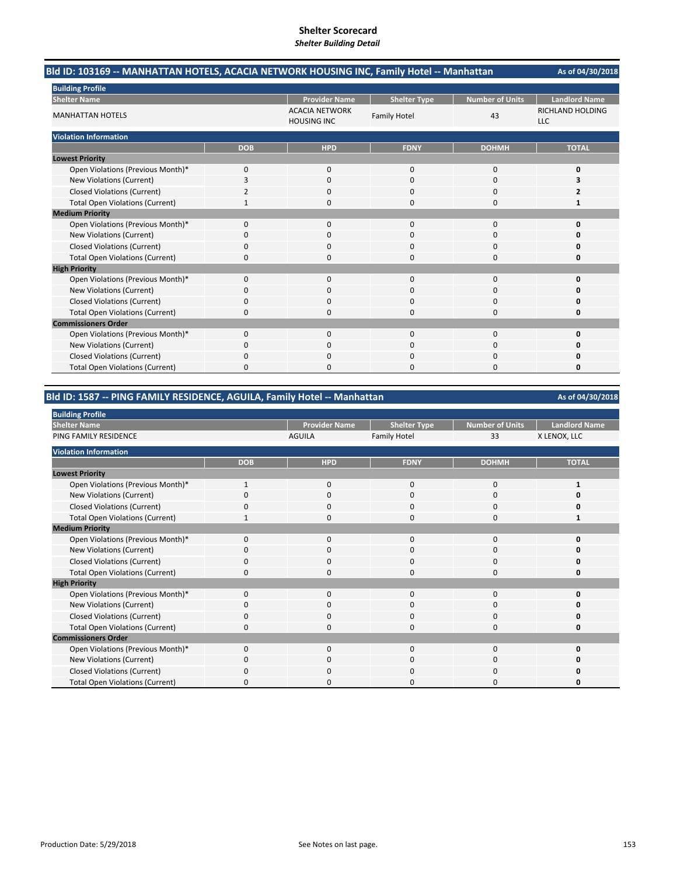| Bld ID: 103169 -- MANHATTAN HOTELS, ACACIA NETWORK HOUSING INC, Family Hotel -- Manhattan |            |                                             |                     |                 | As of 04/30/2018               |
|-------------------------------------------------------------------------------------------|------------|---------------------------------------------|---------------------|-----------------|--------------------------------|
| <b>Building Profile</b>                                                                   |            |                                             |                     |                 |                                |
| <b>Shelter Name</b>                                                                       |            | <b>Provider Name</b>                        | <b>Shelter Type</b> | Number of Units | <b>Landlord Name</b>           |
| <b>MANHATTAN HOTELS</b>                                                                   |            | <b>ACACIA NETWORK</b><br><b>HOUSING INC</b> | <b>Family Hotel</b> | 43              | RICHLAND HOLDING<br><b>LLC</b> |
| <b>Violation Information</b>                                                              |            |                                             |                     |                 |                                |
|                                                                                           | <b>DOB</b> | <b>HPD</b>                                  | <b>FDNY</b>         | <b>DOHMH</b>    | <b>TOTAL</b>                   |
| <b>Lowest Priority</b>                                                                    |            |                                             |                     |                 |                                |
| Open Violations (Previous Month)*                                                         | 0          | 0                                           | $\mathbf{0}$        | 0               | 0                              |
| New Violations (Current)                                                                  | 3          | $\Omega$                                    | $\Omega$            | $\Omega$        | 3                              |
| <b>Closed Violations (Current)</b>                                                        | 2          | 0                                           | 0                   | 0               | 2                              |
| <b>Total Open Violations (Current)</b>                                                    |            | $\Omega$                                    | 0                   | $\Omega$        | 1                              |
| <b>Medium Priority</b>                                                                    |            |                                             |                     |                 |                                |
| Open Violations (Previous Month)*                                                         | $\Omega$   | $\Omega$                                    | $\Omega$            | $\Omega$        | 0                              |
| New Violations (Current)                                                                  | 0          | 0                                           | O                   | $\Omega$        | n                              |
| <b>Closed Violations (Current)</b>                                                        | 0          | 0                                           | 0                   | 0               | Ω                              |
| <b>Total Open Violations (Current)</b>                                                    | $\Omega$   | $\Omega$                                    | O                   | $\Omega$        | O                              |
| <b>High Priority</b>                                                                      |            |                                             |                     |                 |                                |
| Open Violations (Previous Month)*                                                         | 0          | $\Omega$                                    | $\Omega$            | $\Omega$        | $\Omega$                       |
| New Violations (Current)                                                                  | 0          | $\Omega$                                    | $\Omega$            | $\Omega$        | n                              |
| <b>Closed Violations (Current)</b>                                                        | 0          | 0                                           | 0                   | $\Omega$        | 0                              |
| <b>Total Open Violations (Current)</b>                                                    | 0          | 0                                           | 0                   | 0               | 0                              |
| <b>Commissioners Order</b>                                                                |            |                                             |                     |                 |                                |
| Open Violations (Previous Month)*                                                         | $\Omega$   | $\Omega$                                    | $\Omega$            | $\Omega$        | 0                              |
| New Violations (Current)                                                                  | ŋ          | 0                                           | 0                   | $\Omega$        | Ω                              |
| <b>Closed Violations (Current)</b>                                                        | 0          | $\Omega$                                    | 0                   | 0               | Ω                              |
| <b>Total Open Violations (Current)</b>                                                    | 0          | <sup>0</sup>                                | 0                   | $\Omega$        | 0                              |

#### **Bld ID: 1587 ‐‐ PING FAMILY RESIDENCE, AGUILA, Family Hotel ‐‐ Manhattan**

**Provider Name Shelter Type Number of Units | Landlord Name** AGUILA Family Hotel 33 X LENOX, LLC **DOB HPD FDNY DOHMH TOTAL** Open Violations (Previous Month)\* 1 1000 **1** 1000 **1** 1000 **1** New Violations (Current) **0** 0000 **0** 0000 **0** 0000 **0** Closed Violations (Current) 0000 **0** Total Open Violations (Current) **1** 1000 **1** 1000 **1** 1000 **1** 1000 **1** 1000 **1** Open Violations (Previous Month)\* 0000 **0** New Violations (Current) 0000 **0** Closed Violations (Current) **0**<br>
Total Open Violations (Current) **0** 0<br>
0<br>
0<br>
0<br>
0<br>
0<br>
0<br>
0<br>
0 Total Open Violations (Current) 0000 **0** Open Violations (Previous Month)\* 0000 **0 New Violations (Current)** Closed Violations (Current) 0000 **0** Total Open Violations (Current) 0000 **0** Open Violations (Previous Month)\* 0000 **0** New Violations (Current) 0000 **0** Closed Violations (Current) 0000 **0** Total Open Violations (Current) 0000 **0 Building Profile Shelter Name** PING FAMILY RESIDENCE **Violation Information Lowest Priority Medium Priority High Priority Commissioners Order**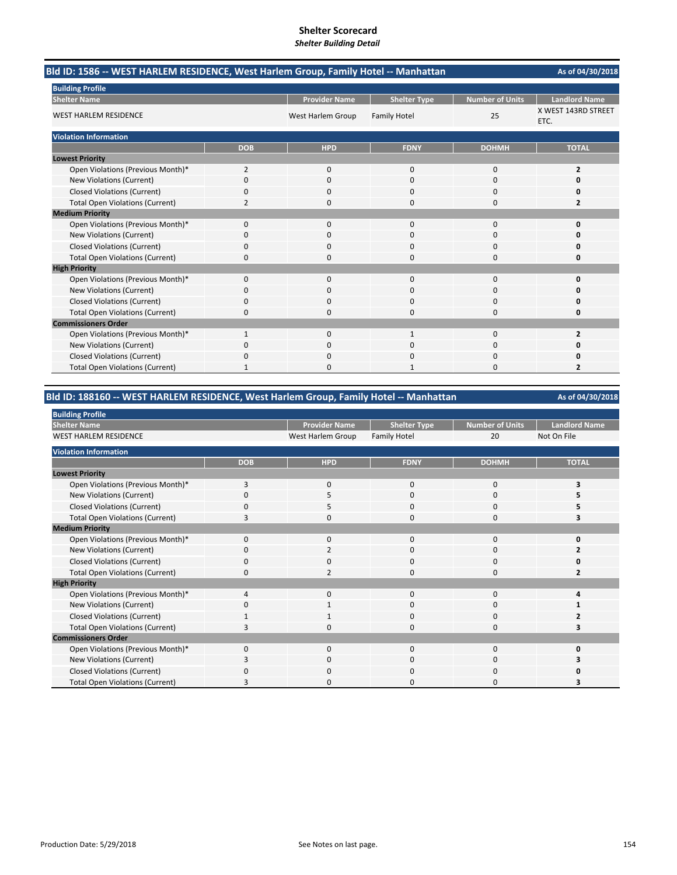| Bld ID: 1586 -- WEST HARLEM RESIDENCE, West Harlem Group, Family Hotel -- Manhattan |              |                      |                     |                        | As of 04/30/2018            |
|-------------------------------------------------------------------------------------|--------------|----------------------|---------------------|------------------------|-----------------------------|
| <b>Building Profile</b>                                                             |              |                      |                     |                        |                             |
| <b>Shelter Name</b>                                                                 |              | <b>Provider Name</b> | <b>Shelter Type</b> | <b>Number of Units</b> | <b>Landlord Name</b>        |
| <b>WEST HARLEM RESIDENCE</b>                                                        |              | West Harlem Group    | <b>Family Hotel</b> | 25                     | X WEST 143RD STREET<br>ETC. |
| <b>Violation Information</b>                                                        |              |                      |                     |                        |                             |
|                                                                                     | <b>DOB</b>   | <b>HPD</b>           | <b>FDNY</b>         | <b>DOHMH</b>           | <b>TOTAL</b>                |
| <b>Lowest Priority</b>                                                              |              |                      |                     |                        |                             |
| Open Violations (Previous Month)*                                                   | 2            | $\mathbf{0}$         | $\Omega$            | 0                      | $\overline{2}$              |
| <b>New Violations (Current)</b>                                                     | $\Omega$     | $\Omega$             | $\Omega$            | 0                      | O                           |
| <b>Closed Violations (Current)</b>                                                  | 0            | 0                    | $\mathbf 0$         | 0                      | 0                           |
| <b>Total Open Violations (Current)</b>                                              | 2            | 0                    | $\Omega$            | 0                      | $\overline{2}$              |
| <b>Medium Priority</b>                                                              |              |                      |                     |                        |                             |
| Open Violations (Previous Month)*                                                   | $\Omega$     | $\Omega$             | $\Omega$            | 0                      | $\Omega$                    |
| <b>New Violations (Current)</b>                                                     | 0            | 0                    | 0                   | 0                      |                             |
| <b>Closed Violations (Current)</b>                                                  | 0            | 0                    | $\mathbf 0$         | 0                      | O                           |
| <b>Total Open Violations (Current)</b>                                              | 0            | ŋ                    | $\Omega$            | $\Omega$               | O                           |
| <b>High Priority</b>                                                                |              |                      |                     |                        |                             |
| Open Violations (Previous Month)*                                                   | 0            | $\Omega$             | $\Omega$            | 0                      | 0                           |
| <b>New Violations (Current)</b>                                                     | 0            | $\Omega$             | $\Omega$            | 0                      |                             |
| <b>Closed Violations (Current)</b>                                                  | 0            | 0                    | $\mathbf 0$         | 0                      | 0                           |
| <b>Total Open Violations (Current)</b>                                              | 0            | 0                    | $\Omega$            | 0                      | 0                           |
| <b>Commissioners Order</b>                                                          |              |                      |                     |                        |                             |
| Open Violations (Previous Month)*                                                   | 1            | $\Omega$             |                     | 0                      | $\overline{2}$              |
| <b>New Violations (Current)</b>                                                     | n            | 0                    | C                   | 0                      |                             |
| <b>Closed Violations (Current)</b>                                                  | 0            | 0                    | $\Omega$            | 0                      |                             |
| <b>Total Open Violations (Current)</b>                                              | $\mathbf{1}$ | ŋ                    |                     | 0                      | $\overline{2}$              |

# **Bld ID: 188160 ‐‐ WEST HARLEM RESIDENCE, West Harlem Group, Family Hotel ‐‐ Manhattan**

| <b>Building Profile</b>                |            |                      |                     |                        |                      |
|----------------------------------------|------------|----------------------|---------------------|------------------------|----------------------|
| <b>Shelter Name</b>                    |            | <b>Provider Name</b> | <b>Shelter Type</b> | <b>Number of Units</b> | <b>Landlord Name</b> |
| <b>WEST HARLEM RESIDENCE</b>           |            | West Harlem Group    | <b>Family Hotel</b> | 20                     | Not On File          |
| <b>Violation Information</b>           |            |                      |                     |                        |                      |
|                                        | <b>DOB</b> | <b>HPD</b>           | <b>FDNY</b>         | <b>DOHMH</b>           | <b>TOTAL</b>         |
| <b>Lowest Priority</b>                 |            |                      |                     |                        |                      |
| Open Violations (Previous Month)*      | 3          | $\mathbf 0$          | 0                   | 0                      |                      |
| New Violations (Current)               | O          | 5                    | 0                   | $\Omega$               |                      |
| <b>Closed Violations (Current)</b>     | O          | 5                    | 0                   | 0                      |                      |
| <b>Total Open Violations (Current)</b> |            | <sup>0</sup>         | 0                   | $\Omega$               |                      |
| <b>Medium Priority</b>                 |            |                      |                     |                        |                      |
| Open Violations (Previous Month)*      | $\Omega$   | $\Omega$             | 0                   | $\Omega$               | ŋ                    |
| New Violations (Current)               | 0          | $\overline{2}$       | 0                   | 0                      |                      |
| <b>Closed Violations (Current)</b>     |            | $\Omega$             | 0                   | 0                      |                      |
| <b>Total Open Violations (Current)</b> | 0          | $\overline{2}$       | 0                   | 0                      | 2                    |
| <b>High Priority</b>                   |            |                      |                     |                        |                      |
| Open Violations (Previous Month)*      | 4          | $\mathbf 0$          | 0                   | 0                      | Δ                    |
| <b>New Violations (Current)</b>        | $\Omega$   | -1                   | $\Omega$            | 0                      |                      |
| <b>Closed Violations (Current)</b>     | 1          | $\mathbf{1}$         | 0                   | 0                      |                      |
| <b>Total Open Violations (Current)</b> | З          | $\Omega$             | 0                   | $\Omega$               |                      |
| <b>Commissioners Order</b>             |            |                      |                     |                        |                      |
| Open Violations (Previous Month)*      | $\Omega$   | $\mathbf 0$          | 0                   | 0                      | ŋ                    |
| New Violations (Current)               | 3          | 0                    | 0                   | 0                      |                      |
| <b>Closed Violations (Current)</b>     | 0          | $\Omega$             | 0                   | 0                      |                      |
| <b>Total Open Violations (Current)</b> |            | <sup>0</sup>         | ი                   | O                      |                      |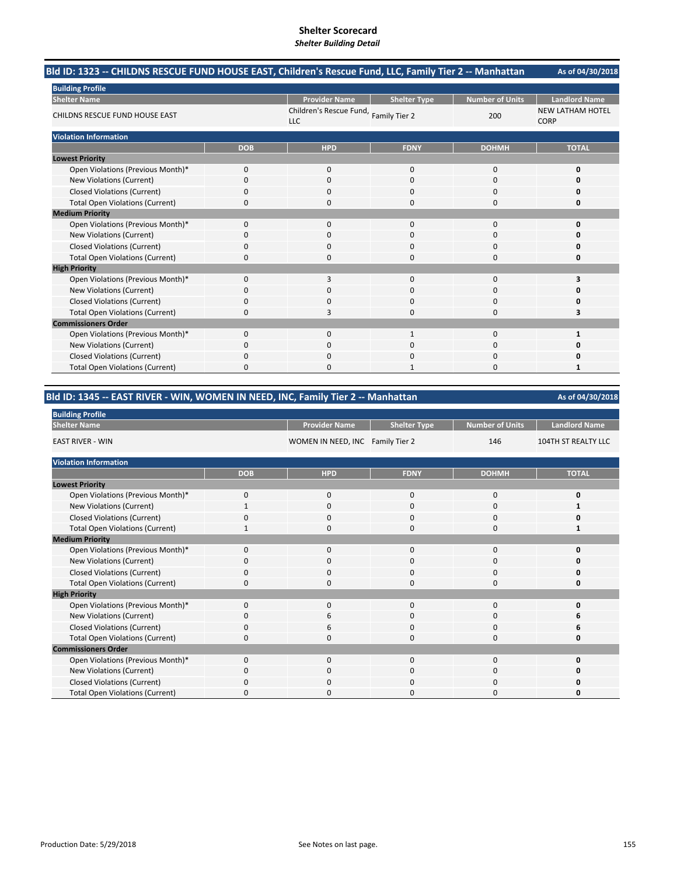| Bld ID: 1323 -- CHILDNS RESCUE FUND HOUSE EAST, Children's Rescue Fund, LLC, Family Tier 2 -- Manhattan |            |                                       |                     |                        | As of 04/30/2018                       |
|---------------------------------------------------------------------------------------------------------|------------|---------------------------------------|---------------------|------------------------|----------------------------------------|
| <b>Building Profile</b>                                                                                 |            |                                       |                     |                        |                                        |
| <b>Shelter Name</b>                                                                                     |            | <b>Provider Name</b>                  | <b>Shelter Type</b> | <b>Number of Units</b> | <b>Landlord Name</b>                   |
| <b>CHILDNS RESCUE FUND HOUSE EAST</b>                                                                   |            | Children's Rescue Fund,<br><b>LLC</b> | Family Tier 2       | 200                    | <b>NEW LATHAM HOTEL</b><br><b>CORP</b> |
| <b>Violation Information</b>                                                                            |            |                                       |                     |                        |                                        |
|                                                                                                         | <b>DOB</b> | <b>HPD</b>                            | <b>FDNY</b>         | <b>DOHMH</b>           | <b>TOTAL</b>                           |
| <b>Lowest Priority</b>                                                                                  |            |                                       |                     |                        |                                        |
| Open Violations (Previous Month)*                                                                       | $\Omega$   | $\Omega$                              | $\Omega$            | $\Omega$               | 0                                      |
| New Violations (Current)                                                                                | $\Omega$   | $\Omega$                              | $\Omega$            | $\Omega$               | O                                      |
| <b>Closed Violations (Current)</b>                                                                      | 0          | 0                                     | 0                   | 0                      | 0                                      |
| <b>Total Open Violations (Current)</b>                                                                  | 0          | 0                                     | 0                   | $\Omega$               | 0                                      |
| <b>Medium Priority</b>                                                                                  |            |                                       |                     |                        |                                        |
| Open Violations (Previous Month)*                                                                       | $\Omega$   | $\Omega$                              | $\Omega$            | $\Omega$               | $\Omega$                               |
| New Violations (Current)                                                                                | 0          | 0                                     | 0                   | 0                      | n                                      |
| <b>Closed Violations (Current)</b>                                                                      | 0          | $\Omega$                              | $\Omega$            | $\Omega$               | 0                                      |
| <b>Total Open Violations (Current)</b>                                                                  | $\Omega$   | O                                     | O                   | $\Omega$               | O                                      |
| <b>High Priority</b>                                                                                    |            |                                       |                     |                        |                                        |
| Open Violations (Previous Month)*                                                                       | 0          | 3                                     | $\Omega$            | $\Omega$               | 3                                      |
| <b>New Violations (Current)</b>                                                                         | 0          | $\Omega$                              | $\Omega$            | $\Omega$               | n                                      |
| <b>Closed Violations (Current)</b>                                                                      | 0          | 0                                     | 0                   | $\Omega$               | 0                                      |
| <b>Total Open Violations (Current)</b>                                                                  | 0          | 3                                     | $\Omega$            | $\Omega$               | 3                                      |
| <b>Commissioners Order</b>                                                                              |            |                                       |                     |                        |                                        |
| Open Violations (Previous Month)*                                                                       | 0          | $\Omega$                              | $\mathbf{1}$        | 0                      | 1                                      |
| New Violations (Current)                                                                                | 0          | 0                                     | 0                   | 0                      | n                                      |
| <b>Closed Violations (Current)</b>                                                                      | 0          | $\Omega$                              | $\Omega$            | $\Omega$               | O                                      |
| <b>Total Open Violations (Current)</b>                                                                  | 0          | O                                     | 1                   | $\Omega$               | 1                                      |

| Bld ID: 1345 -- EAST RIVER - WIN, WOMEN IN NEED, INC, Family Tier 2 -- Manhattan |              |                                  |                     |                        |                      |
|----------------------------------------------------------------------------------|--------------|----------------------------------|---------------------|------------------------|----------------------|
| <b>Building Profile</b>                                                          |              |                                  |                     |                        |                      |
| <b>Shelter Name</b>                                                              |              | <b>Provider Name</b>             | <b>Shelter Type</b> | <b>Number of Units</b> | <b>Landlord Name</b> |
| <b>EAST RIVER - WIN</b>                                                          |              | WOMEN IN NEED, INC Family Tier 2 |                     | 146                    | 104TH ST REALTY LLC  |
| <b>Violation Information</b>                                                     |              |                                  |                     |                        |                      |
|                                                                                  | <b>DOB</b>   | <b>HPD</b>                       | <b>FDNY</b>         | <b>DOHMH</b>           | <b>TOTAL</b>         |
| <b>Lowest Priority</b>                                                           |              |                                  |                     |                        |                      |
| Open Violations (Previous Month)*                                                | 0            | $\mathbf 0$                      | $\mathbf 0$         | $\Omega$               | 0                    |
| New Violations (Current)                                                         | $\mathbf{1}$ | 0                                | 0                   | 0                      | 1                    |
| <b>Closed Violations (Current)</b>                                               | 0            | $\Omega$                         | $\Omega$            | $\Omega$               | O                    |
| <b>Total Open Violations (Current)</b>                                           | 1            | 0                                | 0                   | 0                      | 1                    |
| <b>Medium Priority</b>                                                           |              |                                  |                     |                        |                      |
| Open Violations (Previous Month)*                                                | 0            | $\Omega$                         | $\Omega$            | 0                      | O                    |
| New Violations (Current)                                                         | 0            | 0                                | 0                   | 0                      | O                    |
| <b>Closed Violations (Current)</b>                                               | 0            | 0                                | 0                   | 0                      | O                    |
| <b>Total Open Violations (Current)</b>                                           | 0            | <sup>0</sup>                     | $\Omega$            | 0                      | 0                    |
| <b>High Priority</b>                                                             |              |                                  |                     |                        |                      |
| Open Violations (Previous Month)*                                                | 0            | 0                                | $\mathbf{0}$        | 0                      | 0                    |
| New Violations (Current)                                                         | 0            | 6                                | $\Omega$            | 0                      |                      |
| <b>Closed Violations (Current)</b>                                               | 0            | 6                                | 0                   | 0                      | 6                    |
| <b>Total Open Violations (Current)</b>                                           | 0            | 0                                | $\Omega$            | 0                      | 0                    |
| <b>Commissioners Order</b>                                                       |              |                                  |                     |                        |                      |
| Open Violations (Previous Month)*                                                | 0            | 0                                | 0                   | 0                      | 0                    |
| New Violations (Current)                                                         | 0            | 0                                | 0                   | 0                      | O                    |
| <b>Closed Violations (Current)</b>                                               | 0            |                                  |                     | 0                      | 0                    |
| <b>Total Open Violations (Current)</b>                                           | 0            | ŋ                                | 0                   | 0                      | 0                    |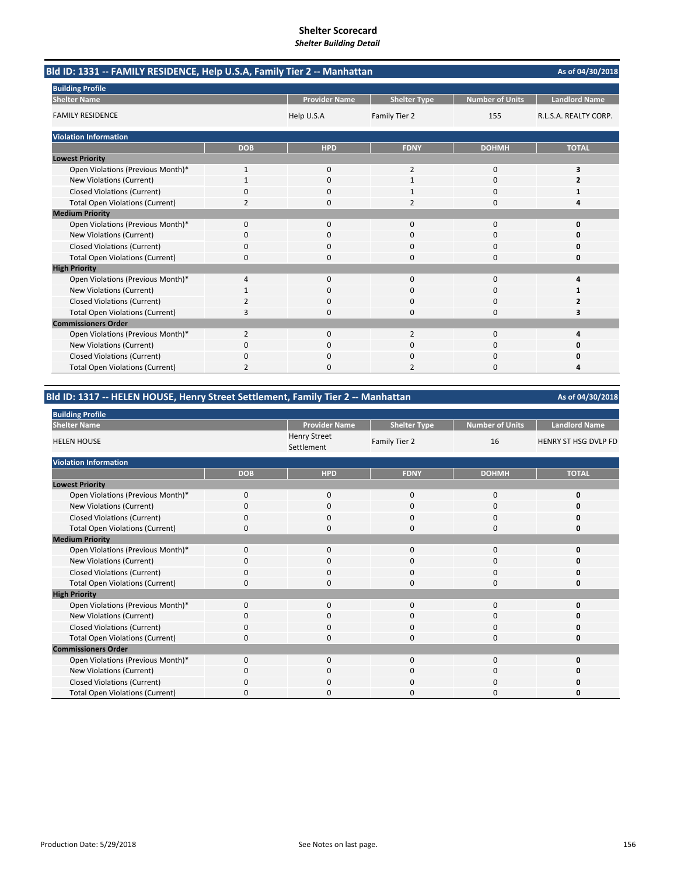| Bld ID: 1331 -- FAMILY RESIDENCE, Help U.S.A, Family Tier 2 -- Manhattan |                |                      |                     |                        | As of 04/30/2018      |
|--------------------------------------------------------------------------|----------------|----------------------|---------------------|------------------------|-----------------------|
| <b>Building Profile</b>                                                  |                |                      |                     |                        |                       |
| <b>Shelter Name</b>                                                      |                | <b>Provider Name</b> | <b>Shelter Type</b> | <b>Number of Units</b> | <b>Landlord Name</b>  |
| <b>FAMILY RESIDENCE</b>                                                  |                | Help U.S.A           | Family Tier 2       | 155                    | R.L.S.A. REALTY CORP. |
| <b>Violation Information</b>                                             |                |                      |                     |                        |                       |
|                                                                          | <b>DOB</b>     | <b>HPD</b>           | <b>FDNY</b>         | <b>DOHMH</b>           | <b>TOTAL</b>          |
| <b>Lowest Priority</b>                                                   |                |                      |                     |                        |                       |
| Open Violations (Previous Month)*                                        | 1              | 0                    | $\overline{2}$      | $\mathbf 0$            | 3                     |
| New Violations (Current)                                                 |                | $\Omega$             | $\mathbf{1}$        | $\Omega$               | 2                     |
| <b>Closed Violations (Current)</b>                                       | 0              | 0                    |                     | $\Omega$               |                       |
| <b>Total Open Violations (Current)</b>                                   | 2              | $\Omega$             | 2                   | $\Omega$               | Δ                     |
| <b>Medium Priority</b>                                                   |                |                      |                     |                        |                       |
| Open Violations (Previous Month)*                                        | $\Omega$       | $\Omega$             | $\Omega$            | $\Omega$               | 0                     |
| <b>New Violations (Current)</b>                                          | 0              | $\Omega$             | $\Omega$            | $\Omega$               | O                     |
| <b>Closed Violations (Current)</b>                                       | 0              | $\Omega$             | $\Omega$            | $\Omega$               | Ω                     |
| <b>Total Open Violations (Current)</b>                                   | $\Omega$       | ŋ                    | O                   | $\Omega$               | O                     |
| <b>High Priority</b>                                                     |                |                      |                     |                        |                       |
| Open Violations (Previous Month)*                                        | 4              | 0                    | $\mathbf{0}$        | $\mathbf 0$            | 4                     |
| New Violations (Current)                                                 |                | $\Omega$             | 0                   | $\Omega$               |                       |
| <b>Closed Violations (Current)</b>                                       | 2              | 0                    | O                   | $\Omega$               | 2                     |
| <b>Total Open Violations (Current)</b>                                   | 3              | 0                    | $\Omega$            | 0                      | 3                     |
| <b>Commissioners Order</b>                                               |                |                      |                     |                        |                       |
| Open Violations (Previous Month)*                                        | $\overline{2}$ | 0                    | $\overline{2}$      | $\Omega$               | 4                     |
| New Violations (Current)                                                 | 0              | 0                    | 0                   | 0                      | 0                     |
| <b>Closed Violations (Current)</b>                                       | 0              | 0                    | 0                   | $\Omega$               | n                     |
| <b>Total Open Violations (Current)</b>                                   | $\overline{2}$ |                      | 2                   | n                      | л                     |

# **Bld ID: 1317 ‐‐ HELEN HOUSE, Henry Street Settlement, Family Tier 2 ‐‐ Manhattan**

| <b>Building Profile</b>                |            |                                   |                     |                        |                             |
|----------------------------------------|------------|-----------------------------------|---------------------|------------------------|-----------------------------|
| <b>Shelter Name</b>                    |            | <b>Provider Name</b>              | <b>Shelter Type</b> | <b>Number of Units</b> | <b>Landlord Name</b>        |
| <b>HELEN HOUSE</b>                     |            | <b>Henry Street</b><br>Settlement | Family Tier 2       | 16                     | <b>HENRY ST HSG DVLP FD</b> |
| <b>Violation Information</b>           |            |                                   |                     |                        |                             |
|                                        | <b>DOB</b> | <b>HPD</b>                        | <b>FDNY</b>         | <b>DOHMH</b>           | <b>TOTAL</b>                |
| <b>Lowest Priority</b>                 |            |                                   |                     |                        |                             |
| Open Violations (Previous Month)*      | $\Omega$   | $\mathbf 0$                       | $\mathbf 0$         | $\mathbf 0$            | $\mathbf 0$                 |
| New Violations (Current)               | 0          | 0                                 | 0                   | 0                      | 0                           |
| <b>Closed Violations (Current)</b>     | $\Omega$   | $\mathbf 0$                       | 0                   | $\mathbf 0$            | 0                           |
| <b>Total Open Violations (Current)</b> | $\Omega$   | $\mathbf 0$                       | 0                   | 0                      | 0                           |
| <b>Medium Priority</b>                 |            |                                   |                     |                        |                             |
| Open Violations (Previous Month)*      | $\Omega$   | $\mathbf 0$                       | 0                   | $\mathbf 0$            | 0                           |
| New Violations (Current)               | $\Omega$   | $\mathbf 0$                       | 0                   | $\mathbf 0$            | 0                           |
| <b>Closed Violations (Current)</b>     | $\Omega$   | $\mathbf 0$                       | 0                   | $\mathbf 0$            | 0                           |
| <b>Total Open Violations (Current)</b> | $\Omega$   | $\mathbf 0$                       | 0                   | $\mathbf 0$            | 0                           |
| <b>High Priority</b>                   |            |                                   |                     |                        |                             |
| Open Violations (Previous Month)*      | $\Omega$   | $\mathbf 0$                       | 0                   | $\mathbf 0$            | 0                           |
| New Violations (Current)               | 0          | 0                                 | 0                   | 0                      | 0                           |
| <b>Closed Violations (Current)</b>     | $\Omega$   | $\mathbf 0$                       | 0                   | $\mathbf 0$            | 0                           |
| <b>Total Open Violations (Current)</b> | $\Omega$   | $\mathbf 0$                       | 0                   | $\mathbf 0$            | 0                           |
| <b>Commissioners Order</b>             |            |                                   |                     |                        |                             |
| Open Violations (Previous Month)*      | $\Omega$   | $\mathbf 0$                       | 0                   | 0                      | 0                           |
| New Violations (Current)               | $\Omega$   | $\mathbf 0$                       | 0                   | $\mathbf 0$            | 0                           |
| Closed Violations (Current)            | $\Omega$   | $\Omega$                          | 0                   | $\Omega$               | 0                           |
| <b>Total Open Violations (Current)</b> | O          | $\Omega$                          | 0                   | 0                      | O                           |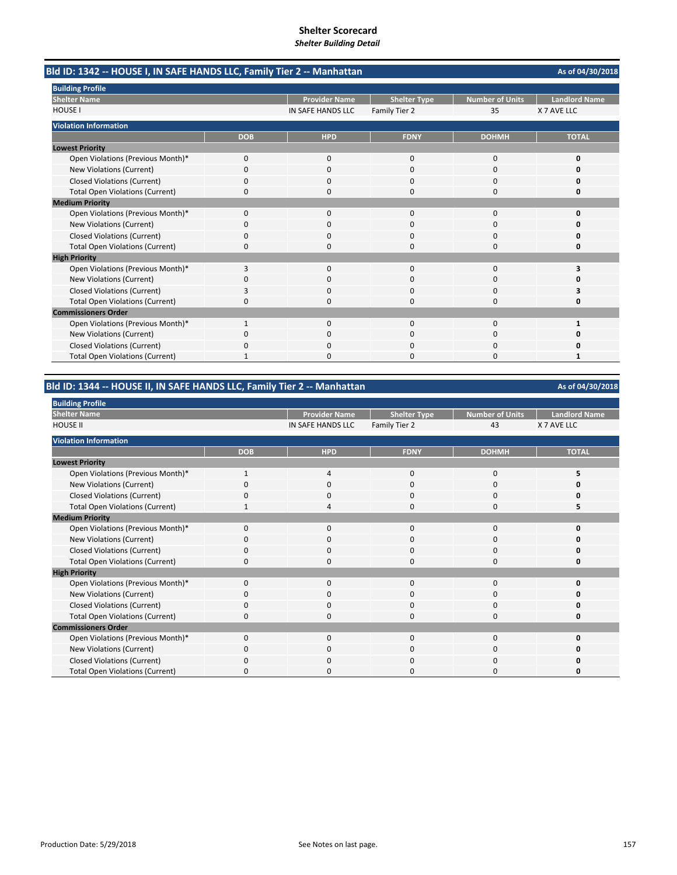|                                        | Bld ID: 1342 -- HOUSE I, IN SAFE HANDS LLC, Family Tier 2 -- Manhattan |                      |                     |                 |                      |  |
|----------------------------------------|------------------------------------------------------------------------|----------------------|---------------------|-----------------|----------------------|--|
| <b>Building Profile</b>                |                                                                        |                      |                     |                 |                      |  |
| <b>Shelter Name</b>                    |                                                                        | <b>Provider Name</b> | <b>Shelter Type</b> | Number of Units | <b>Landlord Name</b> |  |
| <b>HOUSE I</b>                         |                                                                        | IN SAFE HANDS LLC    | Family Tier 2       | 35              | X 7 AVE LLC          |  |
| <b>Violation Information</b>           |                                                                        |                      |                     |                 |                      |  |
|                                        | <b>DOB</b>                                                             | <b>HPD</b>           | <b>FDNY</b>         | <b>DOHMH</b>    | <b>TOTAL</b>         |  |
| <b>Lowest Priority</b>                 |                                                                        |                      |                     |                 |                      |  |
| Open Violations (Previous Month)*      | 0                                                                      | $\mathbf{0}$         | 0                   | $\mathbf 0$     | O                    |  |
| New Violations (Current)               | 0                                                                      | $\Omega$             | 0                   | $\Omega$        | n                    |  |
| <b>Closed Violations (Current)</b>     | 0                                                                      | O.                   | O                   | $\Omega$        |                      |  |
| <b>Total Open Violations (Current)</b> | 0                                                                      | 0                    | 0                   | 0               |                      |  |
| <b>Medium Priority</b>                 |                                                                        |                      |                     |                 |                      |  |
| Open Violations (Previous Month)*      | 0                                                                      | $\Omega$             | $\Omega$            | $\Omega$        |                      |  |
| New Violations (Current)               | 0                                                                      | 0                    | 0                   | 0               |                      |  |
| Closed Violations (Current)            | 0                                                                      | $\Omega$             | 0                   | $\Omega$        |                      |  |
| <b>Total Open Violations (Current)</b> | 0                                                                      | 0                    | 0                   | $\Omega$        | n                    |  |
| <b>High Priority</b>                   |                                                                        |                      |                     |                 |                      |  |
| Open Violations (Previous Month)*      | 3                                                                      | $\Omega$             | <sup>0</sup>        | $\Omega$        | ٦                    |  |
| New Violations (Current)               | 0                                                                      | 0                    | O                   | $\Omega$        |                      |  |
| <b>Closed Violations (Current)</b>     | 3                                                                      | 0                    | U                   | $\Omega$        |                      |  |
| <b>Total Open Violations (Current)</b> | 0                                                                      | U                    | O                   | n               |                      |  |
| <b>Commissioners Order</b>             |                                                                        |                      |                     |                 |                      |  |
| Open Violations (Previous Month)*      | 1                                                                      | $\Omega$             | $\Omega$            | $\Omega$        |                      |  |
| New Violations (Current)               | ŋ                                                                      | 0                    | O                   | $\Omega$        |                      |  |
| <b>Closed Violations (Current)</b>     | 0                                                                      | 0                    | 0                   | $\Omega$        |                      |  |
| <b>Total Open Violations (Current)</b> |                                                                        | 0                    | O                   | $\Omega$        | 1                    |  |

# **Bld ID: 1344 ‐‐ HOUSE II, IN SAFE HANDS LLC, Family Tier 2 ‐‐ Manhattan**

| <b>Building Profile</b>                |            |                      |                     |                 |                      |
|----------------------------------------|------------|----------------------|---------------------|-----------------|----------------------|
| <b>Shelter Name</b>                    |            | <b>Provider Name</b> | <b>Shelter Type</b> | Number of Units | <b>Landlord Name</b> |
| <b>HOUSE II</b>                        |            | IN SAFE HANDS LLC    | Family Tier 2       | 43              | X 7 AVE LLC          |
| <b>Violation Information</b>           |            |                      |                     |                 |                      |
|                                        | <b>DOB</b> | <b>HPD</b>           | <b>FDNY</b>         | <b>DOHMH</b>    | <b>TOTAL</b>         |
| <b>Lowest Priority</b>                 |            |                      |                     |                 |                      |
| Open Violations (Previous Month)*      |            | 4                    | 0                   | $\mathbf 0$     | 5                    |
| New Violations (Current)               | $\Omega$   | 0                    | 0                   | 0               |                      |
| Closed Violations (Current)            | $\Omega$   | 0                    | 0                   | 0               |                      |
| <b>Total Open Violations (Current)</b> |            | 4                    | $\Omega$            | 0               |                      |
| <b>Medium Priority</b>                 |            |                      |                     |                 |                      |
| Open Violations (Previous Month)*      | $\Omega$   | $\mathbf 0$          | $\mathbf{0}$        | 0               | ŋ                    |
| New Violations (Current)               | $\Omega$   | $\mathbf{0}$         | 0                   | 0               | o                    |
| Closed Violations (Current)            | $\Omega$   | 0                    | 0                   | $\mathbf 0$     | o                    |
| <b>Total Open Violations (Current)</b> | 0          | 0                    | 0                   | 0               | n                    |
| <b>High Priority</b>                   |            |                      |                     |                 |                      |
| Open Violations (Previous Month)*      | $\Omega$   | $\mathbf 0$          | 0                   | 0               | Ω                    |
| New Violations (Current)               | $\Omega$   | $\mathbf{0}$         | $\Omega$            | 0               |                      |
| <b>Closed Violations (Current)</b>     | $\Omega$   | $\mathbf 0$          | $\Omega$            | $\mathbf 0$     |                      |
| <b>Total Open Violations (Current)</b> | $\Omega$   | $\mathbf 0$          | $\Omega$            | 0               |                      |
| <b>Commissioners Order</b>             |            |                      |                     |                 |                      |
| Open Violations (Previous Month)*      | 0          | $\mathbf{0}$         | 0                   | $\mathbf 0$     |                      |
| New Violations (Current)               | $\Omega$   | 0                    | 0                   | $\mathbf 0$     |                      |
| <b>Closed Violations (Current)</b>     | $\Omega$   | 0                    | 0                   | 0               |                      |
| <b>Total Open Violations (Current)</b> | 0          | 0                    | 0                   | $\Omega$        |                      |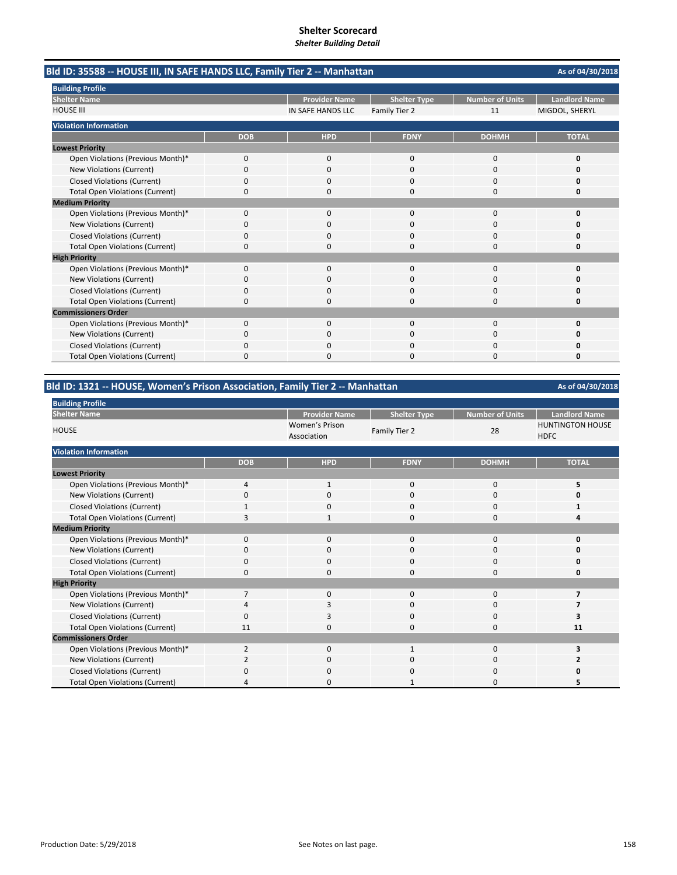| Bld ID: 35588 -- HOUSE III, IN SAFE HANDS LLC, Family Tier 2 -- Manhattan | As of 04/30/2018 |                      |                     |                        |                      |
|---------------------------------------------------------------------------|------------------|----------------------|---------------------|------------------------|----------------------|
| <b>Building Profile</b>                                                   |                  |                      |                     |                        |                      |
| <b>Shelter Name</b>                                                       |                  | <b>Provider Name</b> | <b>Shelter Type</b> | <b>Number of Units</b> | <b>Landlord Name</b> |
| <b>HOUSE III</b>                                                          |                  | IN SAFE HANDS LLC    | Family Tier 2       | 11                     | MIGDOL, SHERYL       |
| <b>Violation Information</b>                                              |                  |                      |                     |                        |                      |
|                                                                           | <b>DOB</b>       | <b>HPD</b>           | <b>FDNY</b>         | <b>DOHMH</b>           | <b>TOTAL</b>         |
| <b>Lowest Priority</b>                                                    |                  |                      |                     |                        |                      |
| Open Violations (Previous Month)*                                         | 0                | 0                    | 0                   | 0                      | 0                    |
| New Violations (Current)                                                  | 0                | 0                    | O                   | 0                      | n                    |
| Closed Violations (Current)                                               | 0                | 0                    | 0                   | $\Omega$               | O                    |
| <b>Total Open Violations (Current)</b>                                    | 0                | O                    | n                   | $\Omega$               | n                    |
| <b>Medium Priority</b>                                                    |                  |                      |                     |                        |                      |
| Open Violations (Previous Month)*                                         | 0                | $\Omega$             | $\Omega$            | $\Omega$               | n                    |
| New Violations (Current)                                                  | 0                | 0                    | 0                   | $\Omega$               |                      |
| <b>Closed Violations (Current)</b>                                        | 0                | $\Omega$             | 0                   | $\Omega$               |                      |
| <b>Total Open Violations (Current)</b>                                    | $\Omega$         | $\Omega$             | 0                   | $\Omega$               | 0                    |
| <b>High Priority</b>                                                      |                  |                      |                     |                        |                      |
| Open Violations (Previous Month)*                                         | 0                | $\mathbf{0}$         | 0                   | $\mathbf 0$            | O                    |
| <b>New Violations (Current)</b>                                           | 0                | 0                    | O                   | <sup>0</sup>           | n                    |
| <b>Closed Violations (Current)</b>                                        | 0                | $\Omega$             | 0                   | $\Omega$               | 0                    |
| <b>Total Open Violations (Current)</b>                                    | 0                | 0                    | $\Omega$            | $\Omega$               | 0                    |
| <b>Commissioners Order</b>                                                |                  |                      |                     |                        |                      |
| Open Violations (Previous Month)*                                         | 0                | 0                    | 0                   | 0                      | Ω                    |
| New Violations (Current)                                                  | 0                | 0                    | n                   | 0                      |                      |
| <b>Closed Violations (Current)</b>                                        |                  |                      |                     | O                      |                      |
| <b>Total Open Violations (Current)</b>                                    | 0                | ŋ                    | n                   | <sup>0</sup>           |                      |

# **Bld ID: 1321 ‐‐ HOUSE, Women's Prison Association, Family Tier 2 ‐‐ Manhattan**

| <b>Building Profile</b>                |                |                               |                     |                        |                                        |
|----------------------------------------|----------------|-------------------------------|---------------------|------------------------|----------------------------------------|
| <b>Shelter Name</b>                    |                | <b>Provider Name</b>          | <b>Shelter Type</b> | <b>Number of Units</b> | <b>Landlord Name</b>                   |
| <b>HOUSE</b>                           |                | Women's Prison<br>Association | Family Tier 2       | 28                     | <b>HUNTINGTON HOUSE</b><br><b>HDFC</b> |
| <b>Violation Information</b>           |                |                               |                     |                        |                                        |
|                                        | <b>DOB</b>     | <b>HPD</b>                    | <b>FDNY</b>         | <b>DOHMH</b>           | <b>TOTAL</b>                           |
| <b>Lowest Priority</b>                 |                |                               |                     |                        |                                        |
| Open Violations (Previous Month)*      | $\overline{4}$ | $\mathbf{1}$                  | $\mathbf{0}$        | 0                      | 5                                      |
| New Violations (Current)               | $\Omega$       | 0                             | 0                   | 0                      | O                                      |
| <b>Closed Violations (Current)</b>     |                | $\mathbf 0$                   | $\mathbf{0}$        | 0                      |                                        |
| <b>Total Open Violations (Current)</b> | 3              | 1                             | $\Omega$            | 0                      | Δ                                      |
| <b>Medium Priority</b>                 |                |                               |                     |                        |                                        |
| Open Violations (Previous Month)*      | $\Omega$       | 0                             | $\mathbf{0}$        | 0                      | 0                                      |
| New Violations (Current)               | O              | 0                             | 0                   | 0                      | 0                                      |
| <b>Closed Violations (Current)</b>     | $\mathbf 0$    | $\mathbf 0$                   | $\mathbf{0}$        | 0                      | 0                                      |
| <b>Total Open Violations (Current)</b> | 0              | $\mathbf 0$                   | $\mathbf{0}$        | 0                      | 0                                      |
| <b>High Priority</b>                   |                |                               |                     |                        |                                        |
| Open Violations (Previous Month)*      | $\overline{7}$ | $\mathbf 0$                   | $\mathbf{0}$        | $\mathbf 0$            | 7                                      |
| New Violations (Current)               | 4              | 3                             | $\mathbf{0}$        | 0                      |                                        |
| <b>Closed Violations (Current)</b>     | $\Omega$       | 3                             | $\mathbf 0$         | 0                      |                                        |
| <b>Total Open Violations (Current)</b> | 11             | $\mathbf 0$                   | 0                   | 0                      | 11                                     |
| <b>Commissioners Order</b>             |                |                               |                     |                        |                                        |
| Open Violations (Previous Month)*      | $\overline{2}$ | $\mathbf 0$                   | 1                   | 0                      |                                        |
| New Violations (Current)               | 2              | $\mathbf 0$                   | 0                   | 0                      |                                        |
| Closed Violations (Current)            | $\Omega$       | $\Omega$                      | $\Omega$            | $\Omega$               | O                                      |
| <b>Total Open Violations (Current)</b> | Δ              | $\Omega$                      |                     | 0                      |                                        |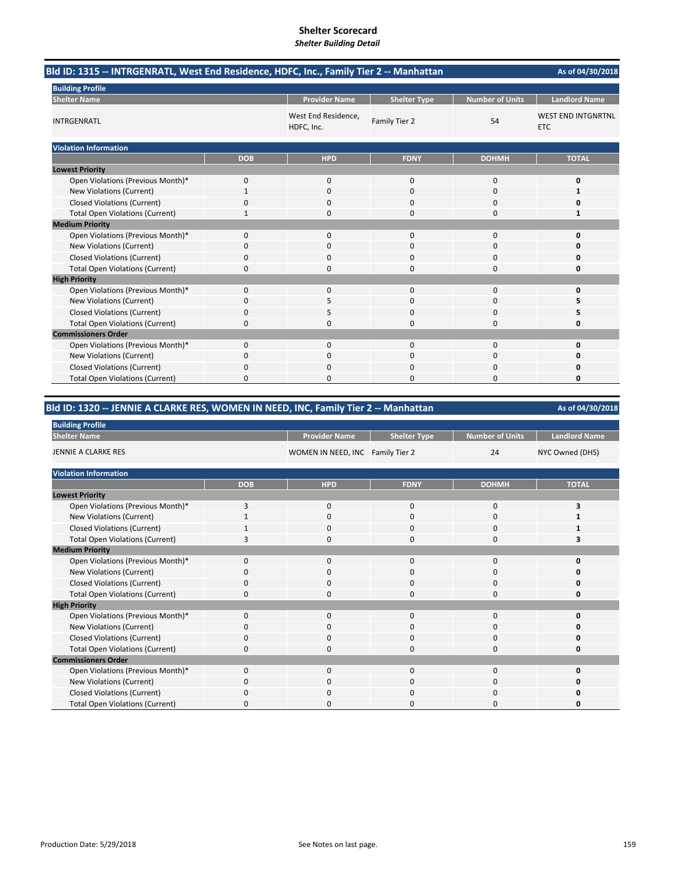| Bld ID: 1315 -- INTRGENRATL, West End Residence, HDFC, Inc., Family Tier 2 -- Manhattan |              |                                   |                     |                        | As of 04/30/2018                        |
|-----------------------------------------------------------------------------------------|--------------|-----------------------------------|---------------------|------------------------|-----------------------------------------|
| <b>Building Profile</b>                                                                 |              |                                   |                     |                        |                                         |
| <b>Shelter Name</b>                                                                     |              | <b>Provider Name</b>              | <b>Shelter Type</b> | <b>Number of Units</b> | <b>Landlord Name</b>                    |
| <b>INTRGENRATL</b>                                                                      |              | West End Residence,<br>HDFC, Inc. | Family Tier 2       | 54                     | <b>WEST END INTGNRTNL</b><br><b>ETC</b> |
| <b>Violation Information</b>                                                            |              |                                   |                     |                        |                                         |
|                                                                                         | <b>DOB</b>   | <b>HPD</b>                        | <b>FDNY</b>         | <b>DOHMH</b>           | <b>TOTAL</b>                            |
| <b>Lowest Priority</b>                                                                  |              |                                   |                     |                        |                                         |
| Open Violations (Previous Month)*                                                       | 0            | 0                                 | $\mathbf 0$         | $\mathbf 0$            | 0                                       |
| New Violations (Current)                                                                | $\mathbf{1}$ | 0                                 | 0                   | 0                      | 1                                       |
| <b>Closed Violations (Current)</b>                                                      | 0            | 0                                 | 0                   | $\Omega$               | 0                                       |
| <b>Total Open Violations (Current)</b>                                                  |              | 0                                 | 0                   | $\Omega$               | 1                                       |
| <b>Medium Priority</b>                                                                  |              |                                   |                     |                        |                                         |
| Open Violations (Previous Month)*                                                       | 0            | 0                                 | 0                   | $\mathbf 0$            | 0                                       |
| New Violations (Current)                                                                | 0            | $\Omega$                          | $\Omega$            | $\Omega$               | o                                       |
| <b>Closed Violations (Current)</b>                                                      | 0            | 0                                 | 0                   | 0                      | 0                                       |
| <b>Total Open Violations (Current)</b>                                                  | 0            | $\Omega$                          | $\Omega$            | $\Omega$               | 0                                       |
| <b>High Priority</b>                                                                    |              |                                   |                     |                        |                                         |
| Open Violations (Previous Month)*                                                       | 0            | 0                                 | $\mathbf{0}$        | $\mathbf 0$            | 0                                       |
| New Violations (Current)                                                                | 0            | 5                                 | 0                   | $\Omega$               | 5                                       |
| <b>Closed Violations (Current)</b>                                                      | $\Omega$     | 5                                 | $\Omega$            | $\Omega$               | 5                                       |
| <b>Total Open Violations (Current)</b>                                                  | 0            | $\Omega$                          | $\Omega$            | $\Omega$               | O                                       |
| <b>Commissioners Order</b>                                                              |              |                                   |                     |                        |                                         |
| Open Violations (Previous Month)*                                                       | 0            | $\Omega$                          | $\Omega$            | $\Omega$               | 0                                       |
| <b>New Violations (Current)</b>                                                         | 0            | 0                                 | $\Omega$            | 0                      | O                                       |
| <b>Closed Violations (Current)</b>                                                      | 0            | 0                                 | 0                   | $\Omega$               | 0                                       |
| <b>Total Open Violations (Current)</b>                                                  | 0            | n.                                | O                   | $\Omega$               | O                                       |

# **Bld ID: 1320 ‐‐ JENNIE A CLARKE RES, WOMEN IN NEED, INC, Family Tier 2 ‐‐ Manhattan**

| <b>Building Profile</b>                |            |                                  |                     |                 |                      |
|----------------------------------------|------------|----------------------------------|---------------------|-----------------|----------------------|
| <b>Shelter Name</b>                    |            | <b>Provider Name</b>             | <b>Shelter Type</b> | Number of Units | <b>Landlord Name</b> |
| JENNIE A CLARKE RES                    |            | WOMEN IN NEED, INC Family Tier 2 |                     | 24              | NYC Owned (DHS)      |
| <b>Violation Information</b>           |            |                                  |                     |                 |                      |
|                                        | <b>DOB</b> | <b>HPD</b>                       | <b>FDNY</b>         | <b>DOHMH</b>    | <b>TOTAL</b>         |
| <b>Lowest Priority</b>                 |            |                                  |                     |                 |                      |
| Open Violations (Previous Month)*      | 3          | 0                                | 0                   | 0               | 3                    |
| New Violations (Current)               |            | 0                                | 0                   | 0               |                      |
| <b>Closed Violations (Current)</b>     |            | 0                                | 0                   | 0               |                      |
| <b>Total Open Violations (Current)</b> | В          | 0                                | $\Omega$            | $\Omega$        |                      |
| <b>Medium Priority</b>                 |            |                                  |                     |                 |                      |
| Open Violations (Previous Month)*      | $\Omega$   | 0                                | $\mathbf{0}$        | $\mathbf{0}$    | ŋ                    |
| New Violations (Current)               | O          | 0                                | 0                   | 0               |                      |
| <b>Closed Violations (Current)</b>     | 0          | 0                                | 0                   | 0               | U                    |
| <b>Total Open Violations (Current)</b> | $\Omega$   | $\Omega$                         | $\Omega$            | $\Omega$        | ŋ                    |
| <b>High Priority</b>                   |            |                                  |                     |                 |                      |
| Open Violations (Previous Month)*      | 0          | 0                                | 0                   | 0               | U                    |
| New Violations (Current)               | C          | 0                                | 0                   | 0               | Ω                    |
| <b>Closed Violations (Current)</b>     | 0          | 0                                | 0                   | 0               | 0                    |
| <b>Total Open Violations (Current)</b> | $\Omega$   | 0                                | $\Omega$            | 0               | U                    |
| <b>Commissioners Order</b>             |            |                                  |                     |                 |                      |
| Open Violations (Previous Month)*      | 0          | 0                                | $\mathbf{0}$        | 0               | ŋ                    |
| New Violations (Current)               | 0          | 0                                | 0                   | 0               | 0                    |
| <b>Closed Violations (Current)</b>     | 0          | 0                                | 0                   | 0               | Ω                    |
| <b>Total Open Violations (Current)</b> | C          | 0                                | 0                   | 0               | 0                    |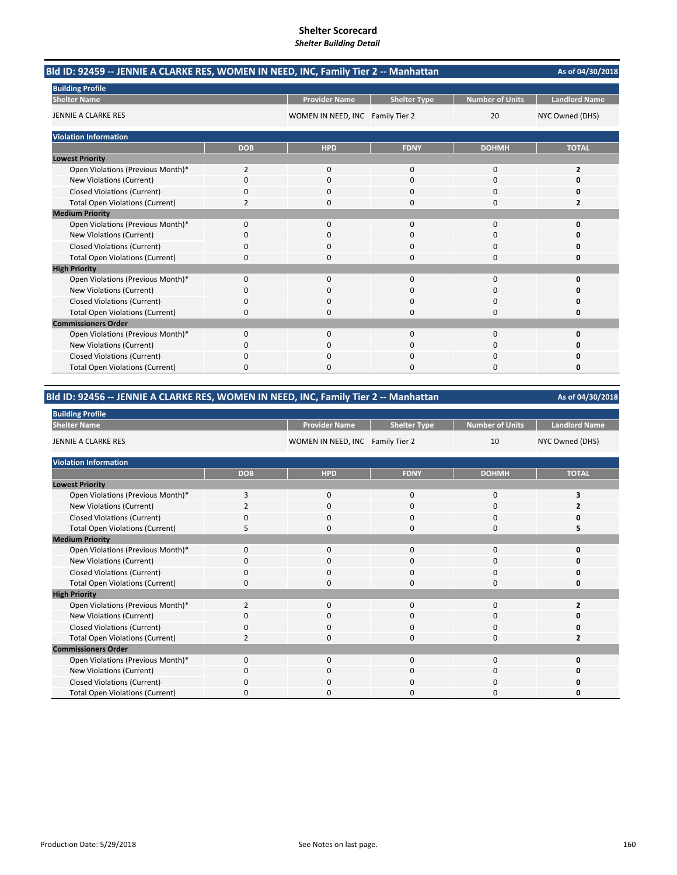| Bld ID: 92459 -- JENNIE A CLARKE RES, WOMEN IN NEED, INC, Family Tier 2 -- Manhattan |                |                                  |                     |                 |                      |  |
|--------------------------------------------------------------------------------------|----------------|----------------------------------|---------------------|-----------------|----------------------|--|
| <b>Building Profile</b>                                                              |                |                                  |                     |                 |                      |  |
| <b>Shelter Name</b>                                                                  |                | <b>Provider Name</b>             | <b>Shelter Type</b> | Number of Units | <b>Landlord Name</b> |  |
| JENNIE A CLARKE RES                                                                  |                | WOMEN IN NEED, INC Family Tier 2 |                     | 20              | NYC Owned (DHS)      |  |
| <b>Violation Information</b>                                                         |                |                                  |                     |                 |                      |  |
|                                                                                      | <b>DOB</b>     | <b>HPD</b>                       | <b>FDNY</b>         | <b>DOHMH</b>    | <b>TOTAL</b>         |  |
| <b>Lowest Priority</b>                                                               |                |                                  |                     |                 |                      |  |
| Open Violations (Previous Month)*                                                    | $\overline{2}$ | 0                                | 0                   | 0               | 2                    |  |
| New Violations (Current)                                                             | 0              | 0                                | $\Omega$            | $\Omega$        | n                    |  |
| <b>Closed Violations (Current)</b>                                                   | 0              | 0                                | 0                   | $\Omega$        | 0                    |  |
| <b>Total Open Violations (Current)</b>                                               | 2              | 0                                | 0                   | $\Omega$        | 2                    |  |
| <b>Medium Priority</b>                                                               |                |                                  |                     |                 |                      |  |
| Open Violations (Previous Month)*                                                    | 0              | 0                                | $\Omega$            | $\Omega$        | 0                    |  |
| <b>New Violations (Current)</b>                                                      | n              | 0                                | O                   | 0               | Ω                    |  |
| <b>Closed Violations (Current)</b>                                                   | 0              | $\Omega$                         | 0                   | $\Omega$        | O                    |  |
| <b>Total Open Violations (Current)</b>                                               | 0              | <sup>0</sup>                     | 0                   | $\Omega$        | 0                    |  |
| <b>High Priority</b>                                                                 |                |                                  |                     |                 |                      |  |
| Open Violations (Previous Month)*                                                    | 0              | $\Omega$                         | $\Omega$            | $\Omega$        | O                    |  |
| New Violations (Current)                                                             | 0              | $\Omega$                         | $\Omega$            | $\Omega$        | n                    |  |
| <b>Closed Violations (Current)</b>                                                   | 0              | 0                                | 0                   | $\Omega$        | 0                    |  |
| <b>Total Open Violations (Current)</b>                                               | 0              | 0                                | 0                   | 0               | 0                    |  |
| <b>Commissioners Order</b>                                                           |                |                                  |                     |                 |                      |  |
| Open Violations (Previous Month)*                                                    | $\Omega$       | $\Omega$                         | $\Omega$            | $\Omega$        | 0                    |  |
| New Violations (Current)                                                             | n              | 0                                | 0                   | 0               | n                    |  |
| <b>Closed Violations (Current)</b>                                                   | 0              | 0                                | 0                   | 0               | Ω                    |  |
| <b>Total Open Violations (Current)</b>                                               | 0              | <sup>0</sup>                     | 0                   | $\Omega$        | 0                    |  |

# **Bld ID: 92456 ‐‐ JENNIE A CLARKE RES, WOMEN IN NEED, INC, Family Tier 2 ‐‐ Manhattan**

| <b>Building Profile</b>                |                |                                  |                     |                        |                      |
|----------------------------------------|----------------|----------------------------------|---------------------|------------------------|----------------------|
| <b>Shelter Name</b>                    |                | <b>Provider Name</b>             | <b>Shelter Type</b> | <b>Number of Units</b> | <b>Landlord Name</b> |
| <b>JENNIE A CLARKE RES</b>             |                | WOMEN IN NEED, INC Family Tier 2 |                     | 10                     | NYC Owned (DHS)      |
| <b>Violation Information</b>           |                |                                  |                     |                        |                      |
|                                        | <b>DOB</b>     | <b>HPD</b>                       | <b>FDNY</b>         | <b>DOHMH</b>           | <b>TOTAL</b>         |
| <b>Lowest Priority</b>                 |                |                                  |                     |                        |                      |
| Open Violations (Previous Month)*      | 3              | $\mathbf 0$                      | 0                   | 0                      | 3                    |
| <b>New Violations (Current)</b>        |                | 0                                | 0                   | 0                      |                      |
| <b>Closed Violations (Current)</b>     | 0              | $\mathbf 0$                      | 0                   | 0                      |                      |
| <b>Total Open Violations (Current)</b> | 5              | $\Omega$                         | 0                   | $\Omega$               |                      |
| <b>Medium Priority</b>                 |                |                                  |                     |                        |                      |
| Open Violations (Previous Month)*      | $\Omega$       | $\Omega$                         | $\Omega$            | $\Omega$               | O                    |
| New Violations (Current)               | O              | 0                                | 0                   | 0                      | n                    |
| <b>Closed Violations (Current)</b>     | 0              | $\mathbf 0$                      | 0                   | 0                      | ი                    |
| <b>Total Open Violations (Current)</b> | 0              | $\Omega$                         | 0                   | $\Omega$               | 0                    |
| <b>High Priority</b>                   |                |                                  |                     |                        |                      |
| Open Violations (Previous Month)*      | $\overline{2}$ | $\mathbf 0$                      | 0                   | 0                      | ,                    |
| New Violations (Current)               | O              | 0                                | 0                   | 0                      | n                    |
| <b>Closed Violations (Current)</b>     | $\Omega$       | $\Omega$                         | 0                   | 0                      | o                    |
| <b>Total Open Violations (Current)</b> | $\overline{2}$ | $\Omega$                         | 0                   | 0                      | 2                    |
| <b>Commissioners Order</b>             |                |                                  |                     |                        |                      |
| Open Violations (Previous Month)*      | $\Omega$       | $\Omega$                         | $\Omega$            | 0                      | O                    |
| New Violations (Current)               | 0              | $\Omega$                         | 0                   | 0                      | O                    |
| <b>Closed Violations (Current)</b>     | O              | 0                                | 0                   | 0                      |                      |
| <b>Total Open Violations (Current)</b> |                | <sup>0</sup>                     | ი                   | O                      | O                    |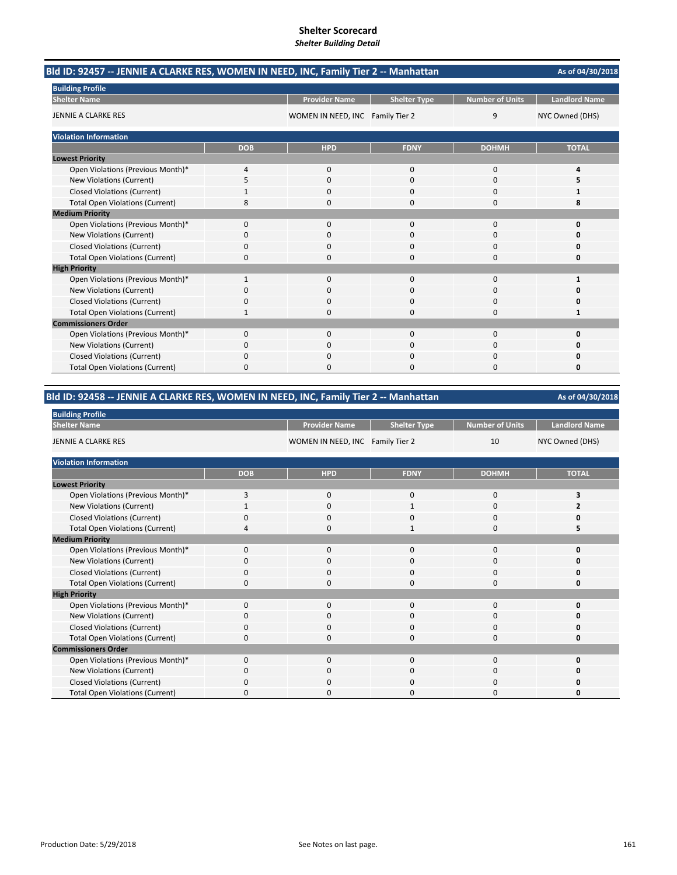| Bld ID: 92457 -- JENNIE A CLARKE RES, WOMEN IN NEED, INC, Family Tier 2 -- Manhattan |            |                                  |                     |                        | As of 04/30/2018     |
|--------------------------------------------------------------------------------------|------------|----------------------------------|---------------------|------------------------|----------------------|
| <b>Building Profile</b>                                                              |            |                                  |                     |                        |                      |
| <b>Shelter Name</b>                                                                  |            | <b>Provider Name</b>             | <b>Shelter Type</b> | <b>Number of Units</b> | <b>Landlord Name</b> |
| JENNIE A CLARKE RES                                                                  |            | WOMEN IN NEED, INC Family Tier 2 |                     | 9                      | NYC Owned (DHS)      |
| <b>Violation Information</b>                                                         |            |                                  |                     |                        |                      |
|                                                                                      | <b>DOB</b> | <b>HPD</b>                       | <b>FDNY</b>         | <b>DOHMH</b>           | <b>TOTAL</b>         |
| <b>Lowest Priority</b>                                                               |            |                                  |                     |                        |                      |
| Open Violations (Previous Month)*                                                    | 4          | $\mathbf{0}$                     | $\mathbf 0$         | 0                      | 4                    |
| New Violations (Current)                                                             | 5          | $\Omega$                         | $\Omega$            | $\Omega$               | 5                    |
| <b>Closed Violations (Current)</b>                                                   |            | 0                                | 0                   | 0                      | 1                    |
| <b>Total Open Violations (Current)</b>                                               | 8          | 0                                | 0                   | 0                      | 8                    |
| <b>Medium Priority</b>                                                               |            |                                  |                     |                        |                      |
| Open Violations (Previous Month)*                                                    | $\Omega$   | $\Omega$                         | $\Omega$            | $\Omega$               | $\Omega$             |
| New Violations (Current)                                                             | 0          | 0                                | 0                   | 0                      | O                    |
| <b>Closed Violations (Current)</b>                                                   | 0          | 0                                | 0                   | 0                      |                      |
| <b>Total Open Violations (Current)</b>                                               | 0          | n                                | $\Omega$            | $\Omega$               | O                    |
| <b>High Priority</b>                                                                 |            |                                  |                     |                        |                      |
| Open Violations (Previous Month)*                                                    | 1          | $\mathbf{0}$                     | $\mathbf 0$         | 0                      | 1                    |
| <b>New Violations (Current)</b>                                                      | 0          | 0                                | $\Omega$            | 0                      | O                    |
| <b>Closed Violations (Current)</b>                                                   | 0          | 0                                | 0                   | 0                      | 0                    |
| <b>Total Open Violations (Current)</b>                                               | 1          | 0                                | $\Omega$            | 0                      | 1                    |
| <b>Commissioners Order</b>                                                           |            |                                  |                     |                        |                      |
| Open Violations (Previous Month)*                                                    | 0          | $\Omega$                         | $\Omega$            | $\Omega$               | $\Omega$             |
| New Violations (Current)                                                             | 0          | 0                                | 0                   | 0                      | O                    |
| <b>Closed Violations (Current)</b>                                                   | 0          | 0                                | O                   | 0                      | O                    |
| <b>Total Open Violations (Current)</b>                                               | U          |                                  | n                   | n                      | n                    |

# **Bld ID: 92458 ‐‐ JENNIE A CLARKE RES, WOMEN IN NEED, INC, Family Tier 2 ‐‐ Manhattan**

| <b>Building Profile</b>                |            |                                  |                     |                       |                      |
|----------------------------------------|------------|----------------------------------|---------------------|-----------------------|----------------------|
| <b>Shelter Name</b>                    |            | <b>Provider Name</b>             | <b>Shelter Type</b> | Number of Units       | <b>Landlord Name</b> |
| JENNIE A CLARKE RES                    |            | WOMEN IN NEED, INC Family Tier 2 |                     | NYC Owned (DHS)<br>10 |                      |
| <b>Violation Information</b>           |            |                                  |                     |                       |                      |
|                                        | <b>DOB</b> | <b>HPD</b>                       | <b>FDNY</b>         | <b>DOHMH</b>          | <b>TOTAL</b>         |
| <b>Lowest Priority</b>                 |            |                                  |                     |                       |                      |
| Open Violations (Previous Month)*      | 3          | $\mathbf 0$                      | 0                   | 0                     | 3                    |
| New Violations (Current)               |            | $\mathbf 0$                      |                     | 0                     |                      |
| <b>Closed Violations (Current)</b>     | $\Omega$   | $\mathbf 0$                      | 0                   | 0                     | ŋ                    |
| <b>Total Open Violations (Current)</b> | 4          | $\Omega$                         | 1                   | 0                     |                      |
| <b>Medium Priority</b>                 |            |                                  |                     |                       |                      |
| Open Violations (Previous Month)*      | $\Omega$   | $\mathbf 0$                      | 0                   | 0                     | O                    |
| New Violations (Current)               | n          | $\Omega$                         | 0                   | 0                     |                      |
| <b>Closed Violations (Current)</b>     | 0          | $\mathbf 0$                      | 0                   | 0                     | O                    |
| <b>Total Open Violations (Current)</b> | $\Omega$   | 0                                | 0                   | 0                     | O                    |
| <b>High Priority</b>                   |            |                                  |                     |                       |                      |
| Open Violations (Previous Month)*      | $\Omega$   | $\mathbf 0$                      | 0                   | 0                     | O                    |
| New Violations (Current)               | 0          | 0                                | 0                   | 0                     | O                    |
| Closed Violations (Current)            | 0          | $\mathbf 0$                      | 0                   | 0                     | O                    |
| <b>Total Open Violations (Current)</b> | 0          | $\Omega$                         | 0                   | 0                     | 0                    |
| <b>Commissioners Order</b>             |            |                                  |                     |                       |                      |
| Open Violations (Previous Month)*      | $\Omega$   | $\mathbf 0$                      | 0                   | 0                     | 0                    |
| New Violations (Current)               | 0          | $\mathbf 0$                      | 0                   | 0                     | O                    |
| <b>Closed Violations (Current)</b>     | 0          | $\Omega$                         | 0                   | 0                     |                      |
| <b>Total Open Violations (Current)</b> |            | $\Omega$                         | ი                   | O                     | O                    |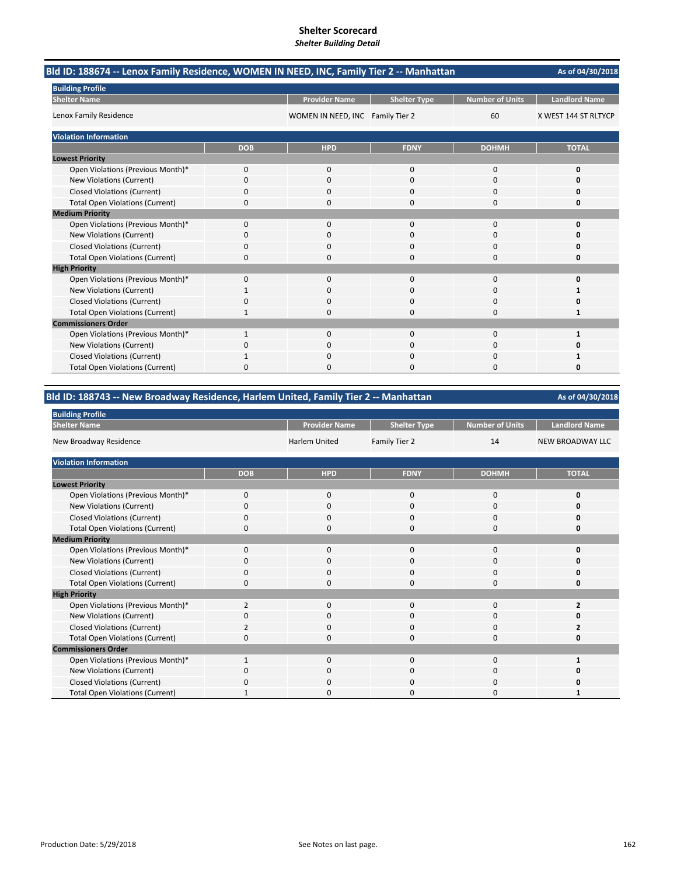| Bld ID: 188674 -- Lenox Family Residence, WOMEN IN NEED, INC, Family Tier 2 -- Manhattan |            |                                  |                     |                        | As of 04/30/2018     |
|------------------------------------------------------------------------------------------|------------|----------------------------------|---------------------|------------------------|----------------------|
| <b>Building Profile</b>                                                                  |            |                                  |                     |                        |                      |
| <b>Shelter Name</b>                                                                      |            | <b>Provider Name</b>             | <b>Shelter Type</b> | <b>Number of Units</b> | <b>Landlord Name</b> |
| Lenox Family Residence                                                                   |            | WOMEN IN NEED, INC Family Tier 2 |                     | 60                     | X WEST 144 ST RLTYCP |
| <b>Violation Information</b>                                                             |            |                                  |                     |                        |                      |
|                                                                                          | <b>DOB</b> | <b>HPD</b>                       | <b>FDNY</b>         | <b>DOHMH</b>           | <b>TOTAL</b>         |
| <b>Lowest Priority</b>                                                                   |            |                                  |                     |                        |                      |
| Open Violations (Previous Month)*                                                        | 0          | $\mathbf{0}$                     | $\mathbf 0$         | $\mathbf 0$            | 0                    |
| New Violations (Current)                                                                 | 0          | $\Omega$                         | 0                   | 0                      | O                    |
| <b>Closed Violations (Current)</b>                                                       | 0          | 0                                | 0                   | 0                      | 0                    |
| <b>Total Open Violations (Current)</b>                                                   | 0          | 0                                | 0                   | 0                      | 0                    |
| <b>Medium Priority</b>                                                                   |            |                                  |                     |                        |                      |
| Open Violations (Previous Month)*                                                        | $\Omega$   | $\Omega$                         | $\Omega$            | $\Omega$               | O                    |
| New Violations (Current)                                                                 | 0          | 0                                | 0                   | $\Omega$               | O                    |
| <b>Closed Violations (Current)</b>                                                       | 0          | 0                                | $\Omega$            | $\Omega$               |                      |
| <b>Total Open Violations (Current)</b>                                                   | 0          | O                                | $\Omega$            | $\Omega$               | O                    |
| <b>High Priority</b>                                                                     |            |                                  |                     |                        |                      |
| Open Violations (Previous Month)*                                                        | 0          | $\mathbf{0}$                     | $\mathbf 0$         | 0                      | 0                    |
| New Violations (Current)                                                                 | 1          | $\Omega$                         | $\Omega$            | $\Omega$               | 1                    |
| <b>Closed Violations (Current)</b>                                                       | 0          | 0                                | 0                   | 0                      | Ω                    |
| <b>Total Open Violations (Current)</b>                                                   | 1          | 0                                | $\Omega$            | 0                      | 1                    |
| <b>Commissioners Order</b>                                                               |            |                                  |                     |                        |                      |
| Open Violations (Previous Month)*                                                        | 1          | $\Omega$                         | $\Omega$            | $\Omega$               | 1                    |
| New Violations (Current)                                                                 | 0          | 0                                | 0                   | 0                      | 0                    |
| <b>Closed Violations (Current)</b>                                                       |            | 0                                | 0                   | 0                      |                      |
| <b>Total Open Violations (Current)</b>                                                   | 0          | O                                | $\Omega$            | $\Omega$               | 0                    |

# **Bld ID: 188743 ‐‐ New Broadway Residence, Harlem United, Family Tier 2 ‐‐ Manhattan**

| <b>Building Profile</b>                |                |                      |                     |                        |                         |
|----------------------------------------|----------------|----------------------|---------------------|------------------------|-------------------------|
| <b>Shelter Name</b>                    |                | <b>Provider Name</b> | <b>Shelter Type</b> | <b>Number of Units</b> | <b>Landlord Name</b>    |
| New Broadway Residence                 |                | <b>Harlem United</b> | Family Tier 2       | 14                     | <b>NEW BROADWAY LLC</b> |
| <b>Violation Information</b>           |                |                      |                     |                        |                         |
|                                        | <b>DOB</b>     | <b>HPD</b>           | <b>FDNY</b>         | <b>DOHMH</b>           | <b>TOTAL</b>            |
| <b>Lowest Priority</b>                 |                |                      |                     |                        |                         |
| Open Violations (Previous Month)*      | $\mathbf 0$    | $\mathbf 0$          | 0                   | 0                      |                         |
| New Violations (Current)               | O              | 0                    | 0                   | 0                      |                         |
| <b>Closed Violations (Current)</b>     | 0              | $\mathbf 0$          | 0                   | $\mathbf 0$            |                         |
| <b>Total Open Violations (Current)</b> | $\Omega$       | $\Omega$             | 0                   | 0                      |                         |
| <b>Medium Priority</b>                 |                |                      |                     |                        |                         |
| Open Violations (Previous Month)*      | $\Omega$       | $\Omega$             | $\Omega$            | 0                      |                         |
| New Violations (Current)               | 0              | 0                    | 0                   | 0                      |                         |
| <b>Closed Violations (Current)</b>     | 0              | $\mathbf 0$          | 0                   | 0                      |                         |
| <b>Total Open Violations (Current)</b> | $\Omega$       | $\Omega$             | 0                   | 0                      | Ω                       |
| <b>High Priority</b>                   |                |                      |                     |                        |                         |
| Open Violations (Previous Month)*      | $\overline{2}$ | $\mathbf 0$          | $\mathbf 0$         | 0                      | 2                       |
| New Violations (Current)               | 0              | 0                    | 0                   | 0                      |                         |
| <b>Closed Violations (Current)</b>     | $\overline{2}$ | $\Omega$             | 0                   | 0                      |                         |
| <b>Total Open Violations (Current)</b> | 0              | $\Omega$             | 0                   | 0                      |                         |
| <b>Commissioners Order</b>             |                |                      |                     |                        |                         |
| Open Violations (Previous Month)*      | $\mathbf 1$    | $\Omega$             | $\Omega$            | $\Omega$               |                         |
| New Violations (Current)               | <sup>0</sup>   | 0                    | 0                   | 0                      |                         |
| <b>Closed Violations (Current)</b>     | 0              | 0                    | $\Omega$            | 0                      |                         |
| <b>Total Open Violations (Current)</b> |                | <sup>0</sup>         | O                   | 0                      |                         |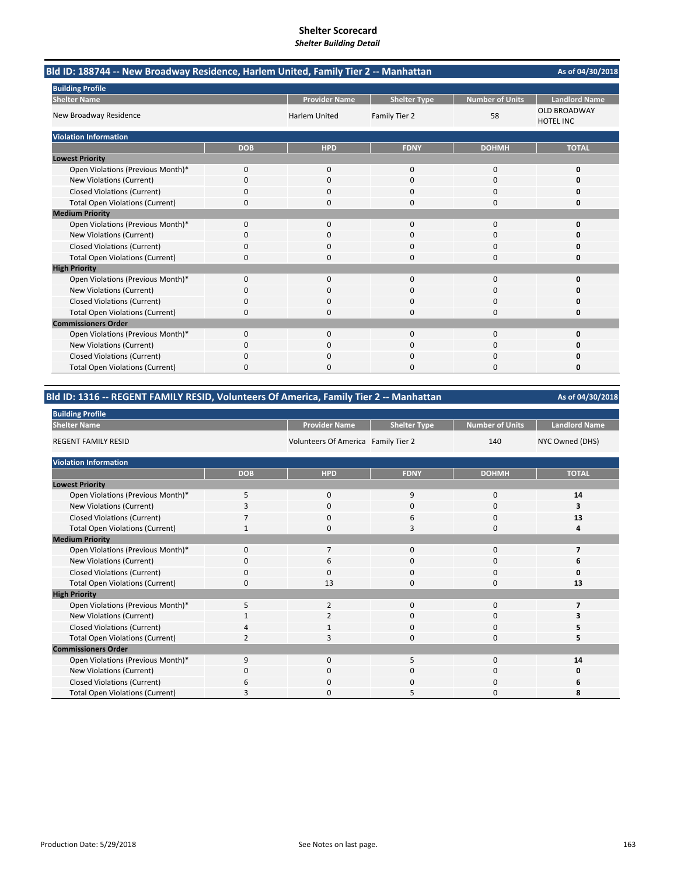| Bld ID: 188744 -- New Broadway Residence, Harlem United, Family Tier 2 -- Manhattan |            |                      |                     |                        |                                         |  |
|-------------------------------------------------------------------------------------|------------|----------------------|---------------------|------------------------|-----------------------------------------|--|
| <b>Building Profile</b>                                                             |            |                      |                     |                        |                                         |  |
| <b>Shelter Name</b>                                                                 |            | <b>Provider Name</b> | <b>Shelter Type</b> | <b>Number of Units</b> | <b>Landlord Name</b>                    |  |
| New Broadway Residence                                                              |            | <b>Harlem United</b> | Family Tier 2       | 58                     | <b>OLD BROADWAY</b><br><b>HOTEL INC</b> |  |
| <b>Violation Information</b>                                                        |            |                      |                     |                        |                                         |  |
|                                                                                     | <b>DOB</b> | <b>HPD</b>           | <b>FDNY</b>         | <b>DOHMH</b>           | <b>TOTAL</b>                            |  |
| <b>Lowest Priority</b>                                                              |            |                      |                     |                        |                                         |  |
| Open Violations (Previous Month)*                                                   | 0          | 0                    | $\mathbf 0$         | $\mathbf 0$            | 0                                       |  |
| New Violations (Current)                                                            | 0          | <sup>0</sup>         | $\Omega$            | $\Omega$               | n                                       |  |
| <b>Closed Violations (Current)</b>                                                  | 0          | 0                    | 0                   | $\Omega$               | 0                                       |  |
| <b>Total Open Violations (Current)</b>                                              | 0          | 0                    | 0                   | $\Omega$               | 0                                       |  |
| <b>Medium Priority</b>                                                              |            |                      |                     |                        |                                         |  |
| Open Violations (Previous Month)*                                                   | $\Omega$   | $\Omega$             | $\Omega$            | $\Omega$               | O                                       |  |
| New Violations (Current)                                                            | n          | 0                    | O                   | O                      | n                                       |  |
| <b>Closed Violations (Current)</b>                                                  | 0          | 0                    | 0                   | 0                      | o                                       |  |
| <b>Total Open Violations (Current)</b>                                              | $\Omega$   | 0                    | 0                   | $\Omega$               | 0                                       |  |
| <b>High Priority</b>                                                                |            |                      |                     |                        |                                         |  |
| Open Violations (Previous Month)*                                                   | 0          | $\Omega$             | $\Omega$            | $\Omega$               | O                                       |  |
| New Violations (Current)                                                            | 0          | 0                    | $\Omega$            | $\Omega$               | n                                       |  |
| <b>Closed Violations (Current)</b>                                                  | 0          | 0                    | 0                   | $\Omega$               | 0                                       |  |
| <b>Total Open Violations (Current)</b>                                              | 0          | $\Omega$             | 0                   | $\Omega$               | 0                                       |  |
| <b>Commissioners Order</b>                                                          |            |                      |                     |                        |                                         |  |
| Open Violations (Previous Month)*                                                   | 0          | $\Omega$             | $\Omega$            | $\Omega$               | O                                       |  |
| New Violations (Current)                                                            | 0          | 0                    | 0                   | 0                      | n                                       |  |
| <b>Closed Violations (Current)</b>                                                  | 0          | 0                    | 0                   | 0                      | Ω                                       |  |
| <b>Total Open Violations (Current)</b>                                              | 0          | <sup>0</sup>         | 0                   | $\Omega$               | 0                                       |  |

# **Bld ID: 1316 ‐‐ REGENT FAMILY RESID, Volunteers Of America, Family Tier 2 ‐‐ Manhattan**

| <b>Building Profile</b>                |                |                                     |                     |                        |                      |
|----------------------------------------|----------------|-------------------------------------|---------------------|------------------------|----------------------|
| <b>Shelter Name</b>                    |                | <b>Provider Name</b>                | <b>Shelter Type</b> | <b>Number of Units</b> | <b>Landlord Name</b> |
| <b>REGENT FAMILY RESID</b>             |                | Volunteers Of America Family Tier 2 |                     | 140                    | NYC Owned (DHS)      |
| <b>Violation Information</b>           |                |                                     |                     |                        |                      |
|                                        | <b>DOB</b>     | <b>HPD</b>                          | <b>FDNY</b>         | <b>DOHMH</b>           | <b>TOTAL</b>         |
| <b>Lowest Priority</b>                 |                |                                     |                     |                        |                      |
| Open Violations (Previous Month)*      | 5              | $\mathbf 0$                         | 9                   | $\mathbf 0$            | 14                   |
| New Violations (Current)               |                | $\mathbf 0$                         | $\mathbf 0$         | 0                      | 3                    |
| <b>Closed Violations (Current)</b>     |                | $\mathbf 0$                         | 6                   | 0                      | 13                   |
| <b>Total Open Violations (Current)</b> |                | $\Omega$                            | 3                   | $\Omega$               | Δ                    |
| <b>Medium Priority</b>                 |                |                                     |                     |                        |                      |
| Open Violations (Previous Month)*      | $\Omega$       | 7                                   | $\mathbf{0}$        | $\Omega$               |                      |
| New Violations (Current)               | O              | 6                                   | 0                   | $\Omega$               | ь                    |
| <b>Closed Violations (Current)</b>     | $\mathbf 0$    | $\Omega$                            | $\mathbf 0$         | 0                      | 0                    |
| <b>Total Open Violations (Current)</b> | $\Omega$       | 13                                  | $\Omega$            | $\Omega$               | 13                   |
| <b>High Priority</b>                   |                |                                     |                     |                        |                      |
| Open Violations (Previous Month)*      | 5              | $\overline{2}$                      | $\mathbf 0$         | 0                      |                      |
| New Violations (Current)               |                | $\overline{2}$                      | 0                   | 0                      |                      |
| <b>Closed Violations (Current)</b>     | 4              | 1                                   | $\mathbf 0$         | 0                      | 5                    |
| <b>Total Open Violations (Current)</b> | $\overline{2}$ | 3                                   | $\Omega$            | $\Omega$               |                      |
| <b>Commissioners Order</b>             |                |                                     |                     |                        |                      |
| Open Violations (Previous Month)*      | 9              | $\Omega$                            | 5                   | $\Omega$               | 14                   |
| New Violations (Current)               | O              | $\mathbf 0$                         | 0                   | 0                      | 0                    |
| <b>Closed Violations (Current)</b>     | 6              | $\mathbf 0$                         | $\mathbf 0$         | 0                      | 6                    |
| <b>Total Open Violations (Current)</b> | з              | $\Omega$                            | 5                   | $\Omega$               | 8                    |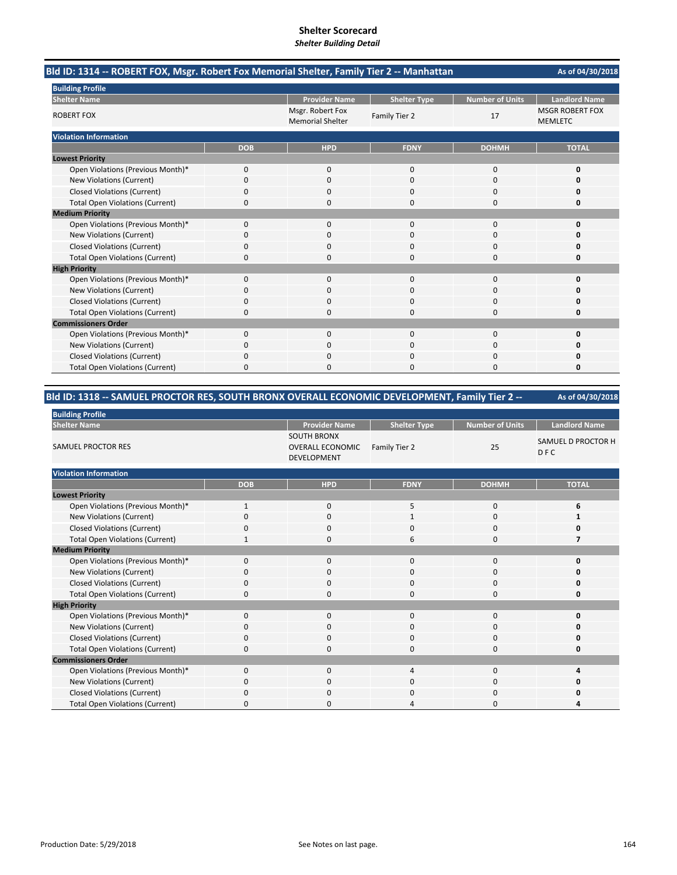| Bld ID: 1314 -- ROBERT FOX, Msgr. Robert Fox Memorial Shelter, Family Tier 2 -- Manhattan |            |                                             |                     |                        | As of 04/30/2018                         |
|-------------------------------------------------------------------------------------------|------------|---------------------------------------------|---------------------|------------------------|------------------------------------------|
| <b>Building Profile</b>                                                                   |            |                                             |                     |                        |                                          |
| <b>Shelter Name</b>                                                                       |            | <b>Provider Name</b>                        | <b>Shelter Type</b> | <b>Number of Units</b> | <b>Landlord Name</b>                     |
| <b>ROBERT FOX</b>                                                                         |            | Msgr. Robert Fox<br><b>Memorial Shelter</b> | Family Tier 2       | 17                     | <b>MSGR ROBERT FOX</b><br><b>MEMLETC</b> |
| <b>Violation Information</b>                                                              |            |                                             |                     |                        |                                          |
|                                                                                           | <b>DOB</b> | <b>HPD</b>                                  | <b>FDNY</b>         | <b>DOHMH</b>           | <b>TOTAL</b>                             |
| <b>Lowest Priority</b>                                                                    |            |                                             |                     |                        |                                          |
| Open Violations (Previous Month)*                                                         | 0          | 0                                           | 0                   | 0                      | 0                                        |
| New Violations (Current)                                                                  | $\Omega$   | $\Omega$                                    | $\Omega$            | $\Omega$               | O                                        |
| <b>Closed Violations (Current)</b>                                                        | 0          | 0                                           | O                   | 0                      | 0                                        |
| <b>Total Open Violations (Current)</b>                                                    | 0          | $\Omega$                                    | 0                   | $\Omega$               | 0                                        |
| <b>Medium Priority</b>                                                                    |            |                                             |                     |                        |                                          |
| Open Violations (Previous Month)*                                                         | $\Omega$   | $\Omega$                                    | $\Omega$            | $\Omega$               | $\Omega$                                 |
| New Violations (Current)                                                                  | ŋ          | <sup>0</sup>                                | O                   | $\Omega$               | Ω                                        |
| <b>Closed Violations (Current)</b>                                                        | 0          | 0                                           | 0                   | 0                      | Ω                                        |
| <b>Total Open Violations (Current)</b>                                                    | 0          | $\Omega$                                    | 0                   | $\Omega$               | 0                                        |
| <b>High Priority</b>                                                                      |            |                                             |                     |                        |                                          |
| Open Violations (Previous Month)*                                                         | 0          | $\Omega$                                    | $\mathbf 0$         | $\Omega$               | O                                        |
| New Violations (Current)                                                                  | 0          | 0                                           | $\Omega$            | $\Omega$               | n                                        |
| <b>Closed Violations (Current)</b>                                                        | 0          | 0                                           | 0                   | $\Omega$               | 0                                        |
| <b>Total Open Violations (Current)</b>                                                    | 0          | $\Omega$                                    | $\Omega$            | $\Omega$               | 0                                        |
| <b>Commissioners Order</b>                                                                |            |                                             |                     |                        |                                          |
| Open Violations (Previous Month)*                                                         | 0          | 0                                           | 0                   | $\mathbf 0$            | O                                        |
| New Violations (Current)                                                                  | 0          | 0                                           | 0                   | 0                      | n                                        |
| <b>Closed Violations (Current)</b>                                                        | 0          | $\Omega$                                    | $\Omega$            | 0                      | O                                        |
| <b>Total Open Violations (Current)</b>                                                    | 0          | $\Omega$                                    | O                   | $\Omega$               | 0                                        |

# **Bld ID: 1318 ‐‐ SAMUEL PROCTOR RES, SOUTH BRONX OVERALL ECONOMIC DEVELOPMENT, Family Tier 2 ‐‐**

| <b>Building Profile</b>                |              |                                                              |                     |                        |                           |
|----------------------------------------|--------------|--------------------------------------------------------------|---------------------|------------------------|---------------------------|
| <b>Shelter Name</b>                    |              | <b>Provider Name</b>                                         | <b>Shelter Type</b> | <b>Number of Units</b> | <b>Landlord Name</b>      |
| SAMUEL PROCTOR RES                     |              | <b>SOUTH BRONX</b><br><b>OVERALL ECONOMIC</b><br>DEVELOPMENT | Family Tier 2       | 25                     | SAMUEL D PROCTOR H<br>DFC |
| <b>Violation Information</b>           |              |                                                              |                     |                        |                           |
|                                        | <b>DOB</b>   | <b>HPD</b>                                                   | <b>FDNY</b>         | <b>DOHMH</b>           | <b>TOTAL</b>              |
| <b>Lowest Priority</b>                 |              |                                                              |                     |                        |                           |
| Open Violations (Previous Month)*      | $\mathbf{1}$ | $\mathbf 0$                                                  | 5                   | $\mathbf 0$            | 6                         |
| New Violations (Current)               | 0            | $\mathbf 0$                                                  | 1                   | $\mathbf 0$            |                           |
| <b>Closed Violations (Current)</b>     | 0            | $\mathbf 0$                                                  | $\Omega$            | $\mathbf 0$            | O                         |
| <b>Total Open Violations (Current)</b> | $\mathbf{1}$ | $\Omega$                                                     | 6                   | $\mathbf 0$            |                           |
| <b>Medium Priority</b>                 |              |                                                              |                     |                        |                           |
| Open Violations (Previous Month)*      | $\mathbf{0}$ | $\mathbf 0$                                                  | 0                   | $\mathbf 0$            | O                         |
| New Violations (Current)               | $\Omega$     | $\Omega$                                                     | $\Omega$            | $\mathbf 0$            |                           |
| <b>Closed Violations (Current)</b>     | 0            | $\Omega$                                                     | $\Omega$            | 0                      | n                         |
| <b>Total Open Violations (Current)</b> | 0            | 0                                                            | $\Omega$            | $\mathbf 0$            | 0                         |
| <b>High Priority</b>                   |              |                                                              |                     |                        |                           |
| Open Violations (Previous Month)*      | $\mathbf{0}$ | $\mathbf 0$                                                  | $\mathbf 0$         | $\mathbf 0$            | O                         |
| New Violations (Current)               | 0            | $\mathbf 0$                                                  | 0                   | $\mathbf 0$            |                           |
| <b>Closed Violations (Current)</b>     |              | $\mathbf 0$                                                  | $\Omega$            | 0                      | 0                         |
| <b>Total Open Violations (Current)</b> | 0            | 0                                                            | $\Omega$            | 0                      | O                         |
| <b>Commissioners Order</b>             |              |                                                              |                     |                        |                           |
| Open Violations (Previous Month)*      | $\Omega$     | $\Omega$                                                     | 4                   | $\mathbf 0$            |                           |
| New Violations (Current)               | 0            | $\mathbf 0$                                                  | 0                   | 0                      |                           |
| <b>Closed Violations (Current)</b>     | O            | $\mathbf 0$                                                  | $\Omega$            | $\mathbf 0$            |                           |
| <b>Total Open Violations (Current)</b> | <sup>0</sup> | 0                                                            |                     | 0                      |                           |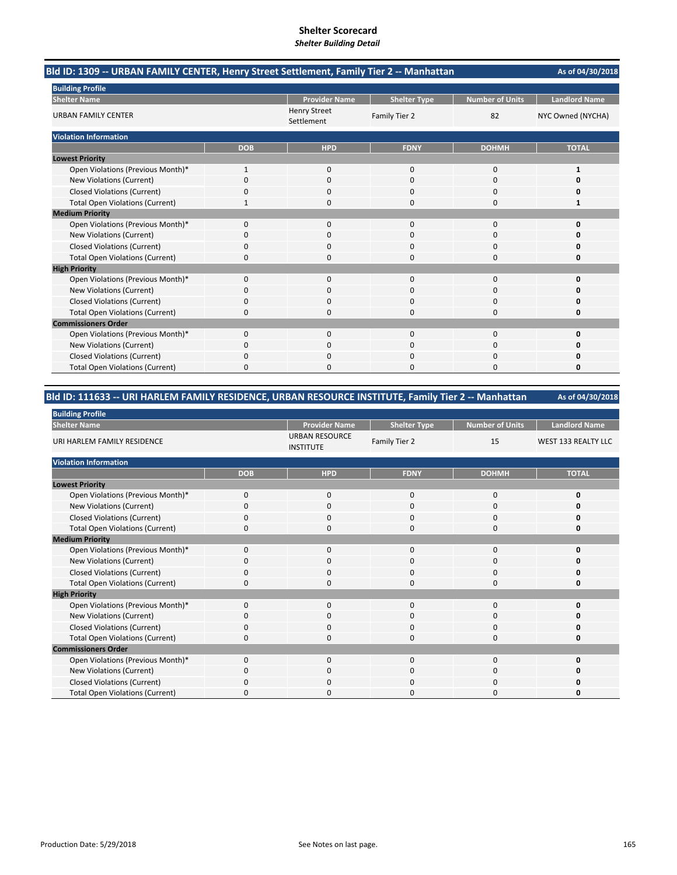| Bld ID: 1309 -- URBAN FAMILY CENTER, Henry Street Settlement, Family Tier 2 -- Manhattan |            |                                   |                     |                        | As of 04/30/2018     |
|------------------------------------------------------------------------------------------|------------|-----------------------------------|---------------------|------------------------|----------------------|
| <b>Building Profile</b>                                                                  |            |                                   |                     |                        |                      |
| <b>Shelter Name</b>                                                                      |            | <b>Provider Name</b>              | <b>Shelter Type</b> | <b>Number of Units</b> | <b>Landlord Name</b> |
| <b>URBAN FAMILY CENTER</b>                                                               |            | <b>Henry Street</b><br>Settlement | Family Tier 2       | 82                     | NYC Owned (NYCHA)    |
| <b>Violation Information</b>                                                             |            |                                   |                     |                        |                      |
|                                                                                          | <b>DOB</b> | <b>HPD</b>                        | <b>FDNY</b>         | <b>DOHMH</b>           | <b>TOTAL</b>         |
| <b>Lowest Priority</b>                                                                   |            |                                   |                     |                        |                      |
| Open Violations (Previous Month)*                                                        | 1          | 0                                 | $\mathbf{0}$        | 0                      | 1                    |
| New Violations (Current)                                                                 | 0          | $\Omega$                          | $\Omega$            | $\Omega$               | O                    |
| <b>Closed Violations (Current)</b>                                                       | 0          | 0                                 | 0                   | 0                      | 0                    |
| <b>Total Open Violations (Current)</b>                                                   |            | $\Omega$                          | 0                   | $\Omega$               | 1                    |
| <b>Medium Priority</b>                                                                   |            |                                   |                     |                        |                      |
| Open Violations (Previous Month)*                                                        | $\Omega$   | $\Omega$                          | $\Omega$            | $\Omega$               | 0                    |
| New Violations (Current)                                                                 | 0          | 0                                 | O                   | $\Omega$               | n                    |
| <b>Closed Violations (Current)</b>                                                       | 0          | 0                                 | 0                   | 0                      | Ω                    |
| <b>Total Open Violations (Current)</b>                                                   | $\Omega$   | $\Omega$                          | O                   | $\Omega$               | o                    |
| <b>High Priority</b>                                                                     |            |                                   |                     |                        |                      |
| Open Violations (Previous Month)*                                                        | 0          | $\Omega$                          | $\Omega$            | $\Omega$               | $\Omega$             |
| New Violations (Current)                                                                 | 0          | 0                                 | $\Omega$            | $\Omega$               | n                    |
| <b>Closed Violations (Current)</b>                                                       | 0          | 0                                 | 0                   | $\Omega$               | 0                    |
| <b>Total Open Violations (Current)</b>                                                   | 0          | 0                                 | 0                   | 0                      | 0                    |
| <b>Commissioners Order</b>                                                               |            |                                   |                     |                        |                      |
| Open Violations (Previous Month)*                                                        | $\Omega$   | $\Omega$                          | $\Omega$            | $\Omega$               | 0                    |
| New Violations (Current)                                                                 | ŋ          | 0                                 | O                   | $\Omega$               | n                    |
| <b>Closed Violations (Current)</b>                                                       | 0          | $\Omega$                          | 0                   | 0                      | Ω                    |
| <b>Total Open Violations (Current)</b>                                                   | 0          | <sup>0</sup>                      | 0                   | $\Omega$               | 0                    |

# **Bld ID: 111633 ‐‐ URI HARLEM FAMILY RESIDENCE, URBAN RESOURCE INSTITUTE, Family Tier 2 ‐‐ Manhattan**

| <b>Building Profile</b>                |             |                                           |                     |                        |                            |
|----------------------------------------|-------------|-------------------------------------------|---------------------|------------------------|----------------------------|
| <b>Shelter Name</b>                    |             | <b>Provider Name</b>                      | <b>Shelter Type</b> | <b>Number of Units</b> | <b>Landlord Name</b>       |
| URI HARLEM FAMILY RESIDENCE            |             | <b>URBAN RESOURCE</b><br><b>INSTITUTE</b> | Family Tier 2       | 15                     | <b>WEST 133 REALTY LLC</b> |
| <b>Violation Information</b>           |             |                                           |                     |                        |                            |
|                                        | <b>DOB</b>  | <b>HPD</b>                                | <b>FDNY</b>         | <b>DOHMH</b>           | <b>TOTAL</b>               |
| <b>Lowest Priority</b>                 |             |                                           |                     |                        |                            |
| Open Violations (Previous Month)*      | $\mathbf 0$ | $\mathbf 0$                               | $\mathbf{0}$        | 0                      | 0                          |
| New Violations (Current)               | O           | 0                                         | $\mathbf 0$         | 0                      | Ω                          |
| <b>Closed Violations (Current)</b>     | 0           | $\mathbf 0$                               | $\mathbf 0$         | 0                      | O                          |
| <b>Total Open Violations (Current)</b> | $\Omega$    | $\Omega$                                  | $\Omega$            | $\mathbf 0$            | O                          |
| <b>Medium Priority</b>                 |             |                                           |                     |                        |                            |
| Open Violations (Previous Month)*      | $\Omega$    | $\mathbf 0$                               | $\mathbf{0}$        | 0                      | O                          |
| New Violations (Current)               | O           | 0                                         | 0                   | 0                      | o                          |
| <b>Closed Violations (Current)</b>     | 0           | $\mathbf 0$                               | $\mathbf{0}$        | 0                      | 0                          |
| <b>Total Open Violations (Current)</b> | $\Omega$    | $\mathbf 0$                               | $\mathbf{0}$        | 0                      | 0                          |
| <b>High Priority</b>                   |             |                                           |                     |                        |                            |
| Open Violations (Previous Month)*      | $\Omega$    | $\mathbf 0$                               | $\mathbf{0}$        | $\mathbf 0$            | 0                          |
| New Violations (Current)               | $\Omega$    | $\mathbf 0$                               | 0                   | 0                      | O                          |
| <b>Closed Violations (Current)</b>     | 0           | $\mathbf 0$                               | 0                   | 0                      | O                          |
| <b>Total Open Violations (Current)</b> | O           | $\mathbf 0$                               | $\Omega$            | 0                      | 0                          |
| <b>Commissioners Order</b>             |             |                                           |                     |                        |                            |
| Open Violations (Previous Month)*      | $\Omega$    | $\Omega$                                  | $\mathbf{0}$        | $\Omega$               | O                          |
| New Violations (Current)               | 0           | $\mathbf 0$                               | $\mathbf{0}$        | 0                      | O                          |
| <b>Closed Violations (Current)</b>     | $\Omega$    | $\mathbf 0$                               | $\mathbf{0}$        | 0                      | 0                          |
| <b>Total Open Violations (Current)</b> | O           | O                                         | 0                   | $\Omega$               | O                          |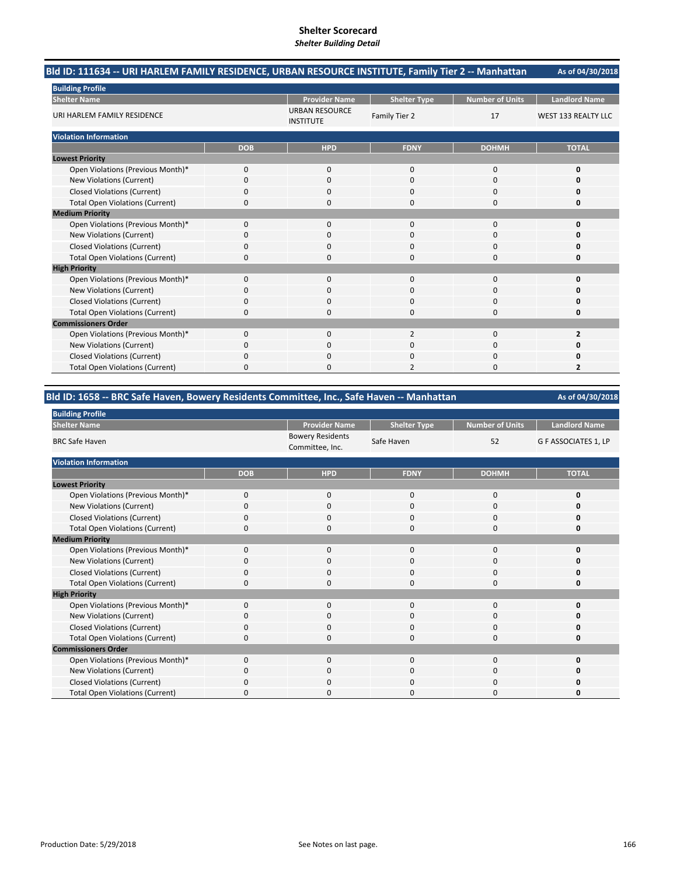| Bld ID: 111634 -- URI HARLEM FAMILY RESIDENCE, URBAN RESOURCE INSTITUTE, Family Tier 2 -- Manhattan |            |                                           |                     |                        | As of 04/30/2018           |
|-----------------------------------------------------------------------------------------------------|------------|-------------------------------------------|---------------------|------------------------|----------------------------|
| <b>Building Profile</b>                                                                             |            |                                           |                     |                        |                            |
| <b>Shelter Name</b>                                                                                 |            | <b>Provider Name</b>                      | <b>Shelter Type</b> | <b>Number of Units</b> | <b>Landlord Name</b>       |
| URI HARLEM FAMILY RESIDENCE                                                                         |            | <b>URBAN RESOURCE</b><br><b>INSTITUTE</b> | Family Tier 2       | 17                     | <b>WEST 133 REALTY LLC</b> |
| <b>Violation Information</b>                                                                        |            |                                           |                     |                        |                            |
|                                                                                                     | <b>DOB</b> | <b>HPD</b>                                | <b>FDNY</b>         | <b>DOHMH</b>           | <b>TOTAL</b>               |
| <b>Lowest Priority</b>                                                                              |            |                                           |                     |                        |                            |
| Open Violations (Previous Month)*                                                                   | $\Omega$   | $\mathbf{0}$                              | $\mathbf 0$         | 0                      | 0                          |
| New Violations (Current)                                                                            | 0          | $\Omega$                                  | $\Omega$            | $\Omega$               | 0                          |
| <b>Closed Violations (Current)</b>                                                                  | 0          | 0                                         | $\Omega$            | 0                      | 0                          |
| <b>Total Open Violations (Current)</b>                                                              | 0          | $\Omega$                                  | $\Omega$            | $\Omega$               | 0                          |
| <b>Medium Priority</b>                                                                              |            |                                           |                     |                        |                            |
| Open Violations (Previous Month)*                                                                   | $\Omega$   | $\Omega$                                  | $\Omega$            | $\Omega$               | $\Omega$                   |
| New Violations (Current)                                                                            | 0          | 0                                         | $\Omega$            | $\Omega$               | 0                          |
| <b>Closed Violations (Current)</b>                                                                  | 0          | 0                                         | 0                   | 0                      | 0                          |
| <b>Total Open Violations (Current)</b>                                                              | 0          | O                                         | $\Omega$            | $\Omega$               | 0                          |
| <b>High Priority</b>                                                                                |            |                                           |                     |                        |                            |
| Open Violations (Previous Month)*                                                                   | $\Omega$   | $\Omega$                                  | $\Omega$            | $\Omega$               | 0                          |
| <b>New Violations (Current)</b>                                                                     | 0          | $\Omega$                                  | $\Omega$            | $\Omega$               | $\Omega$                   |
| <b>Closed Violations (Current)</b>                                                                  | 0          | 0                                         | 0                   | 0                      | 0                          |
| <b>Total Open Violations (Current)</b>                                                              | 0          | 0                                         | $\Omega$            | 0                      | 0                          |
| <b>Commissioners Order</b>                                                                          |            |                                           |                     |                        |                            |
| Open Violations (Previous Month)*                                                                   | $\Omega$   | $\Omega$                                  | $\overline{2}$      | $\Omega$               | $\overline{2}$             |
| New Violations (Current)                                                                            | 0          | 0                                         | $\Omega$            | $\Omega$               | 0                          |
| <b>Closed Violations (Current)</b>                                                                  | 0          | 0                                         | $\mathbf 0$         | 0                      | 0                          |
| <b>Total Open Violations (Current)</b>                                                              | 0          | <sup>0</sup>                              | 2                   | O                      | 2                          |

# **Bld ID: 1658 ‐‐ BRC Safe Haven, Bowery Residents Committee, Inc., Safe Haven ‐‐ Manhattan**

**Provider Name | Shelter Type | Number of Units | Landlord Name** Bowery Residents<br>Committee, Inc. Safe Haven 52 G F ASSOCIATES 1, LP **DOB HPD FDNY DOHMH TOTAL**

**As of 04/30/2018**

| .                                      |          |             |             |             |   |
|----------------------------------------|----------|-------------|-------------|-------------|---|
| Open Violations (Previous Month)*      |          | $\Omega$    | ი           | $\Omega$    |   |
| New Violations (Current)               |          | $\Omega$    | 0           | 0           |   |
| <b>Closed Violations (Current)</b>     |          | O           | $\Omega$    | $\Omega$    |   |
| <b>Total Open Violations (Current)</b> | n        | O           | 0           | 0           |   |
| <b>Medium Priority</b>                 |          |             |             |             |   |
| Open Violations (Previous Month)*      | 0        | $\mathbf 0$ | $\mathbf 0$ | $\mathbf 0$ | 0 |
| New Violations (Current)               | $\Omega$ | 0           | 0           | 0           |   |
| <b>Closed Violations (Current)</b>     | 0        | $\Omega$    | 0           | 0           |   |
| <b>Total Open Violations (Current)</b> | 0        | $\Omega$    | 0           | 0           | 0 |
| <b>High Priority</b>                   |          |             |             |             |   |
| Open Violations (Previous Month)*      | O        | $\Omega$    | $\Omega$    | $\Omega$    | O |
| New Violations (Current)               | 0        | $\Omega$    | 0           | 0           | 0 |
| <b>Closed Violations (Current)</b>     | O        | $\Omega$    | $\Omega$    | $\Omega$    | O |
| <b>Total Open Violations (Current)</b> | O        | $\Omega$    | $\Omega$    | 0           | o |
| <b>Commissioners Order</b>             |          |             |             |             |   |
| Open Violations (Previous Month)*      | $\Omega$ | $\Omega$    | $\Omega$    | $\Omega$    | n |
| New Violations (Current)               | $\Omega$ | $\Omega$    | $\Omega$    | $\Omega$    | n |
| <b>Closed Violations (Current)</b>     | $\Omega$ | $\Omega$    | $\Omega$    | $\mathbf 0$ | 0 |
| <b>Total Open Violations (Current)</b> | $\Omega$ | $\Omega$    | 0           | 0           | 0 |
|                                        |          |             |             |             |   |

**Building Profile Shelter Name** BRC Safe Haven

**Lowest Priority**

**Violation Information**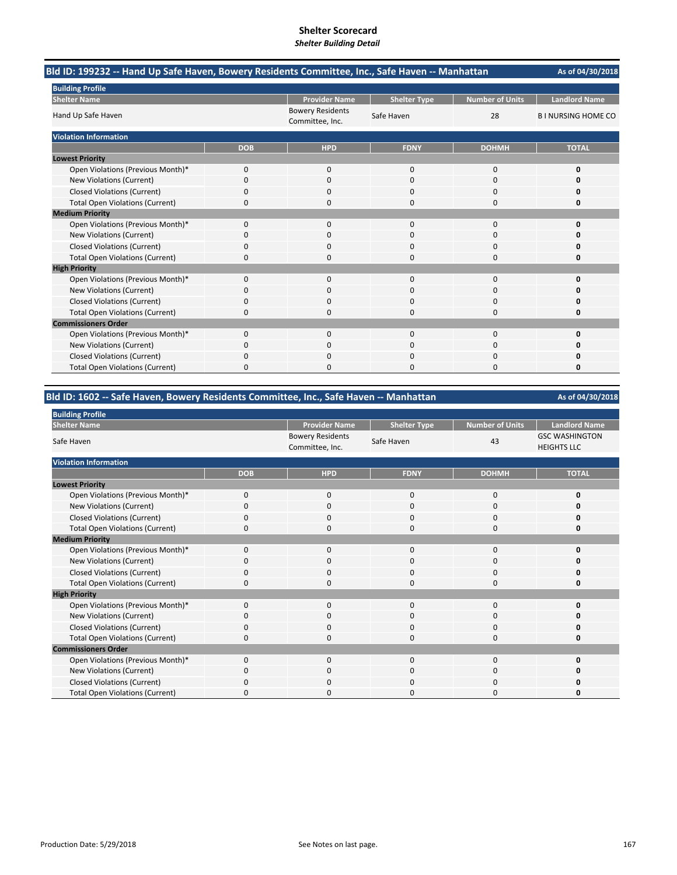| Bld ID: 199232 -- Hand Up Safe Haven, Bowery Residents Committee, Inc., Safe Haven -- Manhattan |            |                                            |                     |                        | As of 04/30/2018         |
|-------------------------------------------------------------------------------------------------|------------|--------------------------------------------|---------------------|------------------------|--------------------------|
| <b>Building Profile</b>                                                                         |            |                                            |                     |                        |                          |
| <b>Shelter Name</b>                                                                             |            | <b>Provider Name</b>                       | <b>Shelter Type</b> | <b>Number of Units</b> | <b>Landlord Name</b>     |
| Hand Up Safe Haven                                                                              |            | <b>Bowery Residents</b><br>Committee, Inc. | Safe Haven          | 28                     | <b>BINURSING HOME CO</b> |
| <b>Violation Information</b>                                                                    |            |                                            |                     |                        |                          |
|                                                                                                 | <b>DOB</b> | <b>HPD</b>                                 | <b>FDNY</b>         | <b>DOHMH</b>           | <b>TOTAL</b>             |
| <b>Lowest Priority</b>                                                                          |            |                                            |                     |                        |                          |
| Open Violations (Previous Month)*                                                               | 0          | 0                                          | $\mathbf 0$         | $\mathbf 0$            | 0                        |
| New Violations (Current)                                                                        | 0          | $\Omega$                                   | $\Omega$            | $\Omega$               | n                        |
| <b>Closed Violations (Current)</b>                                                              | 0          | $\Omega$                                   | 0                   | $\Omega$               | 0                        |
| <b>Total Open Violations (Current)</b>                                                          | 0          | 0                                          | 0                   | $\Omega$               | 0                        |
| <b>Medium Priority</b>                                                                          |            |                                            |                     |                        |                          |
| Open Violations (Previous Month)*                                                               | 0          | $\Omega$                                   | $\Omega$            | $\Omega$               | 0                        |
| <b>New Violations (Current)</b>                                                                 | n          | 0                                          | O                   | 0                      | Ω                        |
| <b>Closed Violations (Current)</b>                                                              | 0          | $\Omega$                                   | 0                   | $\Omega$               | O                        |
| <b>Total Open Violations (Current)</b>                                                          | 0          | $\Omega$                                   | $\Omega$            | $\Omega$               | O                        |
| <b>High Priority</b>                                                                            |            |                                            |                     |                        |                          |
| Open Violations (Previous Month)*                                                               | 0          | $\Omega$                                   | $\Omega$            | $\Omega$               | 0                        |
| New Violations (Current)                                                                        | 0          | 0                                          | 0                   | 0                      | Ω                        |
| <b>Closed Violations (Current)</b>                                                              | 0          | ŋ                                          | O                   | $\Omega$               | n                        |
| <b>Total Open Violations (Current)</b>                                                          | 0          | ŋ                                          | O                   | $\Omega$               | o                        |
| <b>Commissioners Order</b>                                                                      |            |                                            |                     |                        |                          |
| Open Violations (Previous Month)*                                                               | 0          | $\Omega$                                   | $\Omega$            | $\Omega$               | O                        |
| New Violations (Current)                                                                        | 0          | $\Omega$                                   | O                   | $\Omega$               | o                        |
| <b>Closed Violations (Current)</b>                                                              | 0          | 0                                          | 0                   | 0                      | Ω                        |
| <b>Total Open Violations (Current)</b>                                                          | 0          | $\Omega$                                   | 0                   | $\Omega$               | 0                        |

# **Bld ID: 1602 ‐‐ Safe Haven, Bowery Residents Committee, Inc., Safe Haven ‐‐ Manhattan**

| <b>Building Profile</b>                |             |                                            |                     |                        |                                             |
|----------------------------------------|-------------|--------------------------------------------|---------------------|------------------------|---------------------------------------------|
| <b>Shelter Name</b>                    |             | <b>Provider Name</b>                       | <b>Shelter Type</b> | <b>Number of Units</b> | <b>Landlord Name</b>                        |
| Safe Haven                             |             | <b>Bowery Residents</b><br>Committee, Inc. | Safe Haven          | 43                     | <b>GSC WASHINGTON</b><br><b>HEIGHTS LLC</b> |
| <b>Violation Information</b>           |             |                                            |                     |                        |                                             |
|                                        | <b>DOB</b>  | <b>HPD</b>                                 | <b>FDNY</b>         | <b>DOHMH</b>           | <b>TOTAL</b>                                |
| <b>Lowest Priority</b>                 |             |                                            |                     |                        |                                             |
| Open Violations (Previous Month)*      | $\mathbf 0$ | 0                                          | $\mathbf 0$         | 0                      | 0                                           |
| New Violations (Current)               | $\Omega$    | $\mathbf 0$                                | $\mathbf 0$         | 0                      | 0                                           |
| <b>Closed Violations (Current)</b>     | $\mathbf 0$ | $\mathbf 0$                                | $\mathbf 0$         | 0                      | 0                                           |
| <b>Total Open Violations (Current)</b> | $\Omega$    | $\Omega$                                   | $\Omega$            | 0                      | O                                           |
| <b>Medium Priority</b>                 |             |                                            |                     |                        |                                             |
| Open Violations (Previous Month)*      | $\Omega$    | $\mathbf 0$                                | $\mathbf 0$         | $\Omega$               | O                                           |
| New Violations (Current)               | O           | 0                                          | 0                   | 0                      | n                                           |
| <b>Closed Violations (Current)</b>     | $\mathbf 0$ | $\mathbf 0$                                | $\mathbf 0$         | 0                      | O                                           |
| <b>Total Open Violations (Current)</b> | $\Omega$    | $\mathbf 0$                                | $\Omega$            | 0                      | O                                           |
| <b>High Priority</b>                   |             |                                            |                     |                        |                                             |
| Open Violations (Previous Month)*      | $\Omega$    | $\mathbf{0}$                               | $\mathbf{0}$        | 0                      | O                                           |
| New Violations (Current)               | O           | 0                                          | $\Omega$            | 0                      | O                                           |
| <b>Closed Violations (Current)</b>     | $\mathbf 0$ | $\mathbf 0$                                | 0                   | 0                      | O                                           |
| <b>Total Open Violations (Current)</b> | $\Omega$    | $\Omega$                                   | $\mathbf 0$         | $\Omega$               | 0                                           |
| <b>Commissioners Order</b>             |             |                                            |                     |                        |                                             |
| Open Violations (Previous Month)*      | $\Omega$    | $\mathbf 0$                                | $\mathbf 0$         | 0                      | 0                                           |
| New Violations (Current)               | 0           | $\mathbf 0$                                | 0                   | 0                      | O                                           |
| <b>Closed Violations (Current)</b>     | $\Omega$    | $\mathbf 0$                                | $\Omega$            | $\Omega$               | n                                           |
| <b>Total Open Violations (Current)</b> |             | O                                          | ი                   | $\Omega$               | O                                           |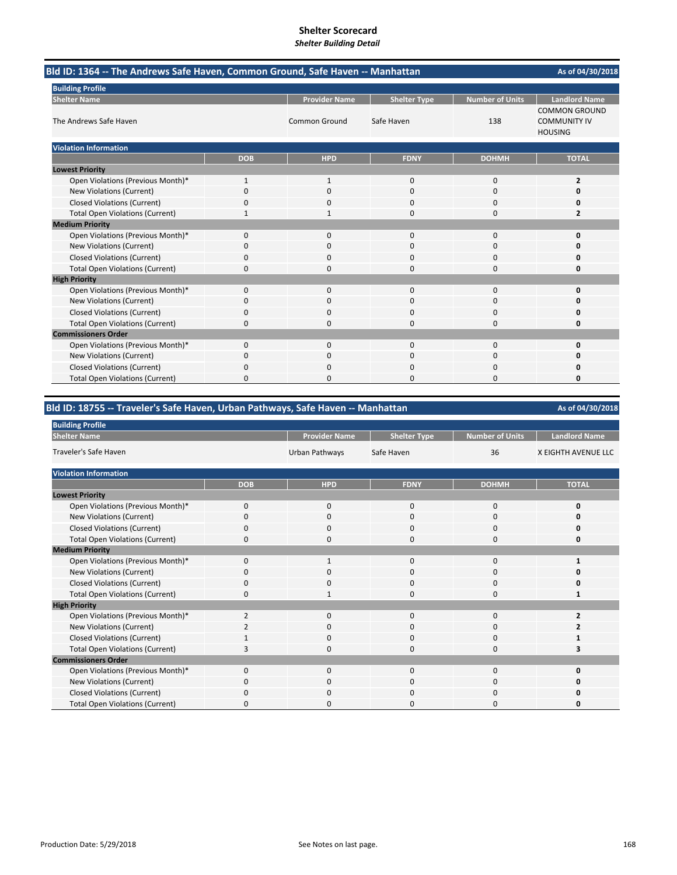| Shener Building Detail |  |  |  |  |  |  |  |
|------------------------|--|--|--|--|--|--|--|
|                        |  |  |  |  |  |  |  |
|                        |  |  |  |  |  |  |  |

| Bld ID: 1364 -- The Andrews Safe Haven, Common Ground, Safe Haven -- Manhattan |              |                      |                     |                        | As of 04/30/2018                                              |  |
|--------------------------------------------------------------------------------|--------------|----------------------|---------------------|------------------------|---------------------------------------------------------------|--|
| <b>Building Profile</b>                                                        |              |                      |                     |                        |                                                               |  |
| <b>Shelter Name</b>                                                            |              | <b>Provider Name</b> | <b>Shelter Type</b> | <b>Number of Units</b> | <b>Landlord Name</b>                                          |  |
| The Andrews Safe Haven                                                         |              | Common Ground        | Safe Haven          | 138                    | <b>COMMON GROUND</b><br><b>COMMUNITY IV</b><br><b>HOUSING</b> |  |
| <b>Violation Information</b>                                                   |              |                      |                     |                        |                                                               |  |
|                                                                                | <b>DOB</b>   | <b>HPD</b>           | <b>FDNY</b>         | <b>DOHMH</b>           | <b>TOTAL</b>                                                  |  |
| <b>Lowest Priority</b>                                                         |              |                      |                     |                        |                                                               |  |
| Open Violations (Previous Month)*                                              | $\mathbf{1}$ | $\mathbf 1$          | $\mathbf{0}$        | 0                      | $\overline{2}$                                                |  |
| New Violations (Current)                                                       | 0            | 0                    | $\Omega$            | 0                      | 0                                                             |  |
| <b>Closed Violations (Current)</b>                                             | 0            | $\Omega$             | $\mathbf 0$         | 0                      | 0                                                             |  |
| <b>Total Open Violations (Current)</b>                                         | $\mathbf{1}$ | 1                    | $\Omega$            | $\Omega$               | $\overline{2}$                                                |  |
| <b>Medium Priority</b>                                                         |              |                      |                     |                        |                                                               |  |
| Open Violations (Previous Month)*                                              | 0            | $\Omega$             | $\Omega$            | 0                      | 0                                                             |  |
| New Violations (Current)                                                       | 0            | 0                    | $\mathbf 0$         | 0                      | 0                                                             |  |
| <b>Closed Violations (Current)</b>                                             | 0            | $\Omega$             | 0                   | 0                      | 0                                                             |  |
| <b>Total Open Violations (Current)</b>                                         | 0            | 0                    | $\Omega$            | 0                      | 0                                                             |  |
| <b>High Priority</b>                                                           |              |                      |                     |                        |                                                               |  |
| Open Violations (Previous Month)*                                              | $\mathbf{0}$ | $\mathbf{0}$         | $\mathbf{0}$        | 0                      | 0                                                             |  |
| New Violations (Current)                                                       | 0            | $\Omega$             | 0                   | 0                      | 0                                                             |  |
| <b>Closed Violations (Current)</b>                                             | 0            | 0                    | $\Omega$            | $\Omega$               | 0                                                             |  |
| <b>Total Open Violations (Current)</b>                                         | 0            | 0                    | 0                   | 0                      | 0                                                             |  |
| <b>Commissioners Order</b>                                                     |              |                      |                     |                        |                                                               |  |
| Open Violations (Previous Month)*                                              | $\Omega$     | $\Omega$             | $\Omega$            | $\Omega$               | $\mathbf 0$                                                   |  |
| New Violations (Current)                                                       | 0            | 0                    | $\Omega$            | 0                      | O                                                             |  |
| <b>Closed Violations (Current)</b>                                             | 0            | 0                    | $\mathbf 0$         | 0                      | 0                                                             |  |
| <b>Total Open Violations (Current)</b>                                         | 0            | 0                    | 0                   | 0                      | 0                                                             |  |

# **Bld ID: 18755 ‐‐ Traveler's Safe Haven, Urban Pathways, Safe Haven ‐‐ Manhattan**

| <b>Building Profile</b>                |                |                      |                     |                        |                      |
|----------------------------------------|----------------|----------------------|---------------------|------------------------|----------------------|
| <b>Shelter Name</b>                    |                | <b>Provider Name</b> | <b>Shelter Type</b> | <b>Number of Units</b> | <b>Landlord Name</b> |
| <b>Traveler's Safe Haven</b>           |                | Urban Pathways       | Safe Haven          | 36                     | X EIGHTH AVENUE LLC  |
| <b>Violation Information</b>           |                |                      |                     |                        |                      |
|                                        | <b>DOB</b>     | <b>HPD</b>           | <b>FDNY</b>         | <b>DOHMH</b>           | <b>TOTAL</b>         |
| <b>Lowest Priority</b>                 |                |                      |                     |                        |                      |
| Open Violations (Previous Month)*      | $\mathbf 0$    | 0                    | 0                   | 0                      | 0                    |
| New Violations (Current)               | 0              | 0                    | 0                   | 0                      | ŋ                    |
| <b>Closed Violations (Current)</b>     | 0              | 0                    | 0                   | 0                      | ŋ                    |
| <b>Total Open Violations (Current)</b> | $\Omega$       | 0                    | 0                   | 0                      | 0                    |
| <b>Medium Priority</b>                 |                |                      |                     |                        |                      |
| Open Violations (Previous Month)*      | $\Omega$       | $\mathbf{1}$         | $\mathbf{0}$        | $\mathbf{0}$           | 1                    |
| New Violations (Current)               | $\Omega$       | 0                    | 0                   | 0                      | ŋ                    |
| <b>Closed Violations (Current)</b>     | $\Omega$       | 0                    | $\mathbf{0}$        | 0                      | ŋ                    |
| <b>Total Open Violations (Current)</b> | 0              | 1                    | 0                   | 0                      | 1                    |
| <b>High Priority</b>                   |                |                      |                     |                        |                      |
| Open Violations (Previous Month)*      | $\overline{2}$ | $\Omega$             | $\Omega$            | $\Omega$               | 2                    |
| New Violations (Current)               | $\overline{2}$ | $\mathbf 0$          | $\mathbf{0}$        | 0                      |                      |
| <b>Closed Violations (Current)</b>     |                | $\mathbf 0$          | $\mathbf{0}$        | 0                      |                      |
| <b>Total Open Violations (Current)</b> |                | 0                    | 0                   | 0                      |                      |
| <b>Commissioners Order</b>             |                |                      |                     |                        |                      |
| Open Violations (Previous Month)*      | $\Omega$       | 0                    | $\mathbf{0}$        | $\Omega$               | O                    |
| New Violations (Current)               | $\Omega$       | 0                    | 0                   | 0                      | ŋ                    |
| <b>Closed Violations (Current)</b>     | $\Omega$       | 0                    | 0                   | 0                      | 0                    |
| <b>Total Open Violations (Current)</b> | O              | 0                    | 0                   | 0                      | ŋ                    |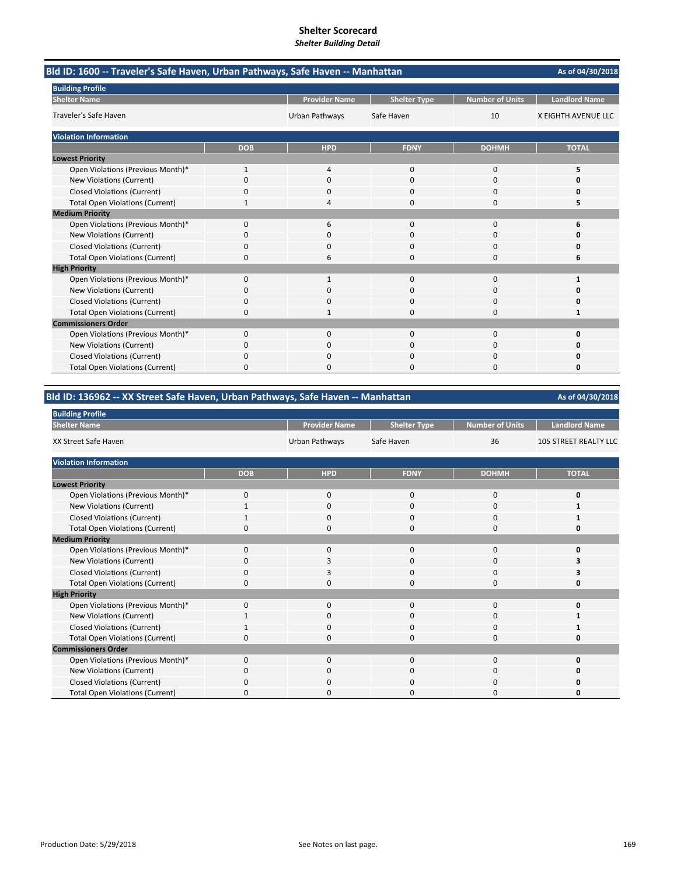| Bld ID: 1600 -- Traveler's Safe Haven, Urban Pathways, Safe Haven -- Manhattan |            |                      |                     |                        | As of 04/30/2018     |
|--------------------------------------------------------------------------------|------------|----------------------|---------------------|------------------------|----------------------|
| <b>Building Profile</b>                                                        |            |                      |                     |                        |                      |
| <b>Shelter Name</b>                                                            |            | <b>Provider Name</b> | <b>Shelter Type</b> | <b>Number of Units</b> | <b>Landlord Name</b> |
| Traveler's Safe Haven                                                          |            | Urban Pathways       | Safe Haven          | 10                     | X EIGHTH AVENUE LLC  |
| <b>Violation Information</b>                                                   |            |                      |                     |                        |                      |
|                                                                                | <b>DOB</b> | <b>HPD</b>           | <b>FDNY</b>         | <b>DOHMH</b>           | <b>TOTAL</b>         |
| <b>Lowest Priority</b>                                                         |            |                      |                     |                        |                      |
| Open Violations (Previous Month)*                                              | 1          | 4                    | $\Omega$            | $\Omega$               | 5                    |
| New Violations (Current)                                                       | 0          | $\Omega$             | $\Omega$            | $\Omega$               | n                    |
| <b>Closed Violations (Current)</b>                                             | 0          | $\Omega$             | 0                   | $\Omega$               | 0                    |
| <b>Total Open Violations (Current)</b>                                         |            | 4                    | 0                   | $\Omega$               | 5                    |
| <b>Medium Priority</b>                                                         |            |                      |                     |                        |                      |
| Open Violations (Previous Month)*                                              | 0          | 6                    | $\Omega$            | $\Omega$               | 6                    |
| New Violations (Current)                                                       | n          | <sup>0</sup>         | O                   | 0                      | n                    |
| <b>Closed Violations (Current)</b>                                             | 0          | 0                    | 0                   | 0                      | Ω                    |
| <b>Total Open Violations (Current)</b>                                         | $\Omega$   | 6                    | 0                   | $\Omega$               | 6                    |
| <b>High Priority</b>                                                           |            |                      |                     |                        |                      |
| Open Violations (Previous Month)*                                              | 0          | $\mathbf{1}$         | $\mathbf{0}$        | $\Omega$               | 1                    |
| New Violations (Current)                                                       | 0          | <sup>0</sup>         | $\Omega$            | $\Omega$               | n                    |
| <b>Closed Violations (Current)</b>                                             | 0          | 0                    | 0                   | 0                      | 0                    |
| <b>Total Open Violations (Current)</b>                                         | 0          |                      | 0                   | $\Omega$               | 1                    |
| <b>Commissioners Order</b>                                                     |            |                      |                     |                        |                      |
| Open Violations (Previous Month)*                                              | $\Omega$   | $\Omega$             | $\Omega$            | $\Omega$               | $\Omega$             |
| New Violations (Current)                                                       | 0          | 0                    | 0                   | $\Omega$               | o                    |
| <b>Closed Violations (Current)</b>                                             | 0          | 0                    | 0                   | 0                      | Ω                    |
| <b>Total Open Violations (Current)</b>                                         | 0          | O                    | O                   | $\Omega$               | O                    |

#### **Provider Name | Shelter Type | Number of Units | Landlord Name** Urban Pathways Safe Haven 36 105 STREET REALTY LLC **DOB HPD FDNY DOHMH TOTAL** Open Violations (Previous Month)\* 0000 **0** New Violations (Current) **Shelter Name Building Profile Lowest Priority** XX Street Safe Haven **Violation Information**

**Bld ID: 136962 ‐‐ XX Street Safe Haven, Urban Pathways, Safe Haven ‐‐ Manhattan**

| <b>IVEW VIOLATIONS (CUTTEIN)</b>       |          |              | U        | v        |  |
|----------------------------------------|----------|--------------|----------|----------|--|
| <b>Closed Violations (Current)</b>     |          | $\Omega$     | $\Omega$ | $\Omega$ |  |
| <b>Total Open Violations (Current)</b> |          | 0            | 0        | 0        |  |
| <b>Medium Priority</b>                 |          |              |          |          |  |
| Open Violations (Previous Month)*      | O        | 0            | 0        | $\Omega$ |  |
| New Violations (Current)               |          | 3            | 0        |          |  |
| <b>Closed Violations (Current)</b>     |          | 3            | 0        | $\Omega$ |  |
| <b>Total Open Violations (Current)</b> | $\Omega$ | 0            | $\Omega$ | 0        |  |
| <b>High Priority</b>                   |          |              |          |          |  |
| Open Violations (Previous Month)*      | $\Omega$ | 0            | $\Omega$ | 0        |  |
| New Violations (Current)               |          | 0            | $\Omega$ | $\Omega$ |  |
| <b>Closed Violations (Current)</b>     |          | 0            | 0        | $\Omega$ |  |
| <b>Total Open Violations (Current)</b> |          | 0            | 0        | 0        |  |
| <b>Commissioners Order</b>             |          |              |          |          |  |
| Open Violations (Previous Month)*      | $\Omega$ | $\mathbf{0}$ | 0        | 0        |  |
| New Violations (Current)               | C        | $\Omega$     | $\Omega$ | $\Omega$ |  |
| <b>Closed Violations (Current)</b>     |          | 0            | $\Omega$ | $\Omega$ |  |
| <b>Total Open Violations (Current)</b> |          | 0            | ი        |          |  |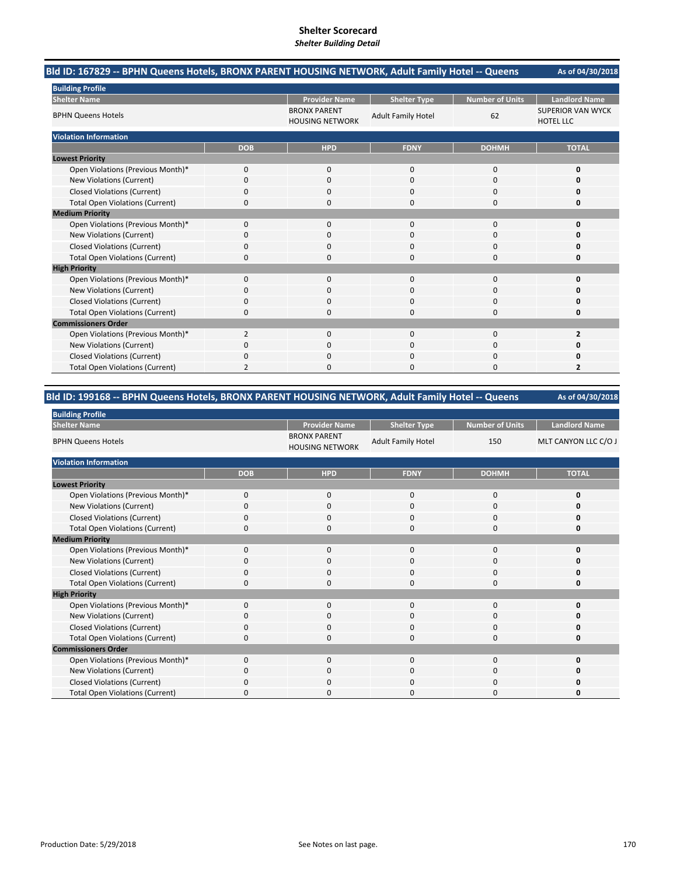| Bld ID: 167829 -- BPHN Queens Hotels, BRONX PARENT HOUSING NETWORK, Adult Family Hotel -- Queens |                |                                               |                           |                        | As of 04/30/2018                             |
|--------------------------------------------------------------------------------------------------|----------------|-----------------------------------------------|---------------------------|------------------------|----------------------------------------------|
| <b>Building Profile</b>                                                                          |                |                                               |                           |                        |                                              |
| <b>Shelter Name</b>                                                                              |                | <b>Provider Name</b>                          | <b>Shelter Type</b>       | <b>Number of Units</b> | <b>Landlord Name</b>                         |
| <b>BPHN Queens Hotels</b>                                                                        |                | <b>BRONX PARENT</b><br><b>HOUSING NETWORK</b> | <b>Adult Family Hotel</b> | 62                     | <b>SUPERIOR VAN WYCK</b><br><b>HOTEL LLC</b> |
| <b>Violation Information</b>                                                                     |                |                                               |                           |                        |                                              |
|                                                                                                  | <b>DOB</b>     | <b>HPD</b>                                    | <b>FDNY</b>               | <b>DOHMH</b>           | <b>TOTAL</b>                                 |
| <b>Lowest Priority</b>                                                                           |                |                                               |                           |                        |                                              |
| Open Violations (Previous Month)*                                                                | 0              | 0                                             | $\Omega$                  | $\Omega$               | 0                                            |
| <b>New Violations (Current)</b>                                                                  | 0              | 0                                             | $\Omega$                  | 0                      | 0                                            |
| <b>Closed Violations (Current)</b>                                                               | 0              | 0                                             | $\Omega$                  | 0                      | 0                                            |
| <b>Total Open Violations (Current)</b>                                                           | $\mathbf 0$    | 0                                             | $\Omega$                  | 0                      | 0                                            |
| <b>Medium Priority</b>                                                                           |                |                                               |                           |                        |                                              |
| Open Violations (Previous Month)*                                                                | $\mathbf 0$    | 0                                             | $\mathbf{0}$              | $\mathbf 0$            | 0                                            |
| New Violations (Current)                                                                         | $\Omega$       | 0                                             | $\Omega$                  | 0                      | 0                                            |
| <b>Closed Violations (Current)</b>                                                               | 0              | 0                                             | 0                         | 0                      | 0                                            |
| <b>Total Open Violations (Current)</b>                                                           | 0              | 0                                             | 0                         | $\mathbf 0$            | 0                                            |
| <b>High Priority</b>                                                                             |                |                                               |                           |                        |                                              |
| Open Violations (Previous Month)*                                                                | $\mathbf 0$    | $\Omega$                                      | $\Omega$                  | $\Omega$               | 0                                            |
| <b>New Violations (Current)</b>                                                                  | 0              | 0                                             | $\Omega$                  | 0                      | 0                                            |
| <b>Closed Violations (Current)</b>                                                               | $\mathbf 0$    | 0                                             | 0                         | 0                      | 0                                            |
| <b>Total Open Violations (Current)</b>                                                           | $\mathbf 0$    | 0                                             | $\Omega$                  | 0                      | 0                                            |
| <b>Commissioners Order</b>                                                                       |                |                                               |                           |                        |                                              |
| Open Violations (Previous Month)*                                                                | $\overline{2}$ | $\Omega$                                      | $\mathbf 0$               | $\Omega$               | $\overline{2}$                               |
| <b>New Violations (Current)</b>                                                                  | 0              | O                                             | $\Omega$                  | O                      | 0                                            |
| <b>Closed Violations (Current)</b>                                                               | 0              | 0                                             | O                         | 0                      | 0                                            |

Total Open Violations (Current) 2000 **2**

# **Bld ID: 199168 ‐‐ BPHN Queens Hotels, BRONX PARENT HOUSING NETWORK, Adult Family Hotel ‐‐ Queens**

| <b>Building Profile</b>                |             |                                               |                           |                        |                      |
|----------------------------------------|-------------|-----------------------------------------------|---------------------------|------------------------|----------------------|
| <b>Shelter Name</b>                    |             | <b>Provider Name</b>                          | <b>Shelter Type</b>       | <b>Number of Units</b> | <b>Landlord Name</b> |
| <b>BPHN Queens Hotels</b>              |             | <b>BRONX PARENT</b><br><b>HOUSING NETWORK</b> | <b>Adult Family Hotel</b> | 150                    | MLT CANYON LLC C/O J |
| <b>Violation Information</b>           |             |                                               |                           |                        |                      |
|                                        | <b>DOB</b>  | <b>HPD</b>                                    | <b>FDNY</b>               | <b>DOHMH</b>           | <b>TOTAL</b>         |
| <b>Lowest Priority</b>                 |             |                                               |                           |                        |                      |
| Open Violations (Previous Month)*      | $\mathbf 0$ | 0                                             | $\mathbf 0$               | 0                      | 0                    |
| New Violations (Current)               | O           | 0                                             | 0                         | 0                      | o                    |
| <b>Closed Violations (Current)</b>     | $\Omega$    | $\Omega$                                      | 0                         | 0                      | O                    |
| <b>Total Open Violations (Current)</b> | 0           | $\Omega$                                      | 0                         | 0                      | 0                    |
| <b>Medium Priority</b>                 |             |                                               |                           |                        |                      |
| Open Violations (Previous Month)*      | $\Omega$    | $\mathbf 0$                                   | 0                         | 0                      | ŋ                    |
| New Violations (Current)               | 0           | 0                                             | 0                         | 0                      | O                    |
| <b>Closed Violations (Current)</b>     | 0           | 0                                             | 0                         | 0                      | O                    |
| <b>Total Open Violations (Current)</b> | 0           | $\Omega$                                      | 0                         | 0                      | O                    |
| <b>High Priority</b>                   |             |                                               |                           |                        |                      |
| Open Violations (Previous Month)*      | $\Omega$    | $\mathbf{0}$                                  | $\mathbf 0$               | 0                      | 0                    |
| New Violations (Current)               | $\Omega$    | 0                                             | 0                         | 0                      | O                    |
| <b>Closed Violations (Current)</b>     | $\Omega$    | $\mathbf 0$                                   | $\Omega$                  | 0                      | O                    |
| <b>Total Open Violations (Current)</b> | 0           | 0                                             | 0                         | 0                      | 0                    |
| <b>Commissioners Order</b>             |             |                                               |                           |                        |                      |
| Open Violations (Previous Month)*      | $\Omega$    | $\Omega$                                      | $\Omega$                  | $\Omega$               | O                    |
| New Violations (Current)               | $\Omega$    | $\Omega$                                      | 0                         | $\Omega$               | O                    |
| <b>Closed Violations (Current)</b>     | $\Omega$    | 0                                             | $\Omega$                  | $\Omega$               | n                    |
| <b>Total Open Violations (Current)</b> | O           | O                                             | 0                         | $\Omega$               | O                    |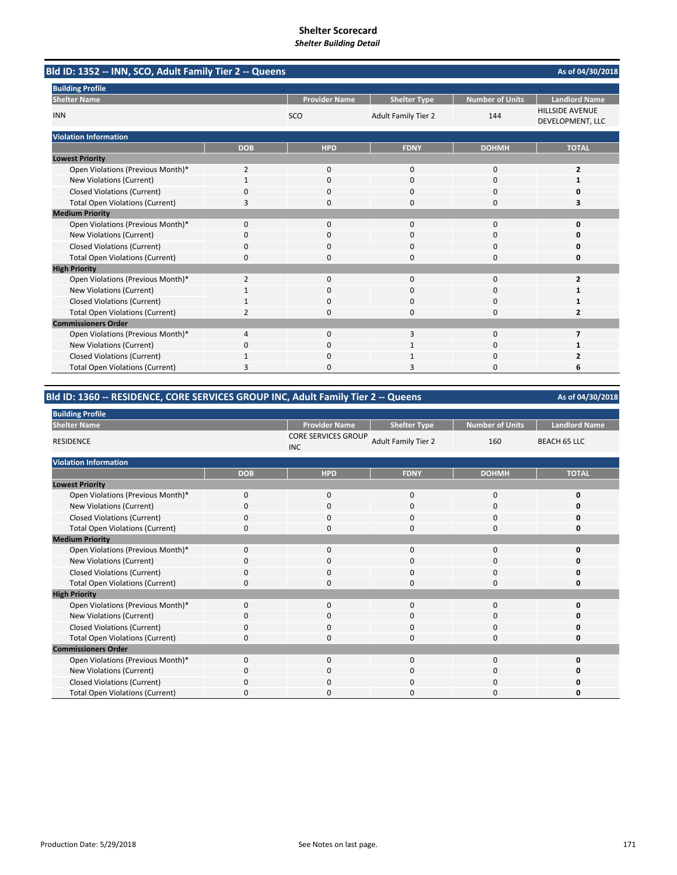|                                        | Bld ID: 1352 -- INN, SCO, Adult Family Tier 2 -- Queens |                      |                            |                        |                                            |  |  |
|----------------------------------------|---------------------------------------------------------|----------------------|----------------------------|------------------------|--------------------------------------------|--|--|
| <b>Building Profile</b>                |                                                         |                      |                            |                        |                                            |  |  |
| <b>Shelter Name</b>                    |                                                         | <b>Provider Name</b> | <b>Shelter Type</b>        | <b>Number of Units</b> | <b>Landlord Name</b>                       |  |  |
| <b>INN</b>                             |                                                         | <b>SCO</b>           | <b>Adult Family Tier 2</b> | 144                    | <b>HILLSIDE AVENUE</b><br>DEVELOPMENT, LLC |  |  |
| <b>Violation Information</b>           |                                                         |                      |                            |                        |                                            |  |  |
|                                        | <b>DOB</b>                                              | <b>HPD</b>           | <b>FDNY</b>                | <b>DOHMH</b>           | <b>TOTAL</b>                               |  |  |
| <b>Lowest Priority</b>                 |                                                         |                      |                            |                        |                                            |  |  |
| Open Violations (Previous Month)*      | $\overline{2}$                                          | 0                    | $\mathbf{0}$               | $\mathbf 0$            | $\overline{2}$                             |  |  |
| New Violations (Current)               |                                                         | 0                    | $\Omega$                   | $\Omega$               | 1                                          |  |  |
| <b>Closed Violations (Current)</b>     | 0                                                       | 0                    | 0                          | $\Omega$               | 0                                          |  |  |
| <b>Total Open Violations (Current)</b> | 3                                                       | $\Omega$             | $\Omega$                   | $\Omega$               | 3                                          |  |  |
| <b>Medium Priority</b>                 |                                                         |                      |                            |                        |                                            |  |  |
| Open Violations (Previous Month)*      | $\Omega$                                                | $\Omega$             | $\Omega$                   | $\Omega$               | $\Omega$                                   |  |  |
| New Violations (Current)               | ŋ                                                       | <sup>0</sup>         | O                          | $\Omega$               | n                                          |  |  |
| <b>Closed Violations (Current)</b>     | 0                                                       | 0                    | $\Omega$                   | $\Omega$               | 0                                          |  |  |
| <b>Total Open Violations (Current)</b> | $\Omega$                                                | $\Omega$             | 0                          | $\Omega$               | 0                                          |  |  |
| <b>High Priority</b>                   |                                                         |                      |                            |                        |                                            |  |  |
| Open Violations (Previous Month)*      | $\overline{2}$                                          | 0                    | 0                          | $\Omega$               | 2                                          |  |  |
| New Violations (Current)               |                                                         | $\Omega$             | $\Omega$                   | $\Omega$               |                                            |  |  |
| <b>Closed Violations (Current)</b>     |                                                         | $\Omega$             | 0                          | $\Omega$               |                                            |  |  |
| <b>Total Open Violations (Current)</b> | 2                                                       | <sup>0</sup>         | O                          | $\Omega$               | 2                                          |  |  |
| <b>Commissioners Order</b>             |                                                         |                      |                            |                        |                                            |  |  |
| Open Violations (Previous Month)*      | 4                                                       | $\Omega$             | 3                          | $\mathbf 0$            | 7                                          |  |  |
| New Violations (Current)               | 0                                                       | $\Omega$             |                            | $\Omega$               |                                            |  |  |
| <b>Closed Violations (Current)</b>     |                                                         | $\Omega$             |                            | $\Omega$               | 2                                          |  |  |
| <b>Total Open Violations (Current)</b> | 3                                                       | $\Omega$             | 3                          | $\Omega$               | 6                                          |  |  |

# **Bld ID: 1360 ‐‐ RESIDENCE, CORE SERVICES GROUP INC, Adult Family Tier 2 ‐‐ Queens**

| <b>Building Profile</b>                |            |                                          |                            |                        |                      |  |
|----------------------------------------|------------|------------------------------------------|----------------------------|------------------------|----------------------|--|
| <b>Shelter Name</b>                    |            | <b>Provider Name</b>                     | <b>Shelter Type</b>        | <b>Number of Units</b> | <b>Landlord Name</b> |  |
| <b>RESIDENCE</b>                       |            | <b>CORE SERVICES GROUP</b><br><b>INC</b> | <b>Adult Family Tier 2</b> | 160                    | <b>BEACH 65 LLC</b>  |  |
| <b>Violation Information</b>           |            |                                          |                            |                        |                      |  |
|                                        | <b>DOB</b> | <b>HPD</b>                               | <b>FDNY</b>                | <b>DOHMH</b>           | <b>TOTAL</b>         |  |
| <b>Lowest Priority</b>                 |            |                                          |                            |                        |                      |  |
| Open Violations (Previous Month)*      | $\Omega$   | $\mathbf 0$                              | $\mathbf 0$                | $\mathbf 0$            | $\mathbf 0$          |  |
| New Violations (Current)               | $\Omega$   | $\mathbf 0$                              | 0                          | 0                      | 0                    |  |
| <b>Closed Violations (Current)</b>     | $\Omega$   | $\mathbf 0$                              | $\mathbf 0$                | 0                      | 0                    |  |
| <b>Total Open Violations (Current)</b> | $\Omega$   | $\mathbf 0$                              | 0                          | $\mathbf 0$            | 0                    |  |
| <b>Medium Priority</b>                 |            |                                          |                            |                        |                      |  |
| Open Violations (Previous Month)*      | $\Omega$   | $\mathbf 0$                              | $\mathbf 0$                | $\mathbf 0$            | $\mathbf 0$          |  |
| New Violations (Current)               | $\Omega$   | $\mathbf 0$                              | 0                          | $\mathbf 0$            | 0                    |  |
| <b>Closed Violations (Current)</b>     | $\Omega$   | $\mathbf 0$                              | 0                          | $\mathbf 0$            | 0                    |  |
| <b>Total Open Violations (Current)</b> | 0          | $\mathbf 0$                              | 0                          | $\mathbf 0$            | 0                    |  |
| <b>High Priority</b>                   |            |                                          |                            |                        |                      |  |
| Open Violations (Previous Month)*      | $\Omega$   | $\mathbf 0$                              | $\mathbf 0$                | $\mathbf 0$            | 0                    |  |
| New Violations (Current)               | $\Omega$   | $\mathbf 0$                              | 0                          | $\mathbf 0$            | 0                    |  |
| <b>Closed Violations (Current)</b>     | $\Omega$   | $\mathbf 0$                              | 0                          | $\mathbf 0$            | 0                    |  |
| <b>Total Open Violations (Current)</b> | $\Omega$   | $\mathbf 0$                              | 0                          | $\mathbf 0$            | 0                    |  |
| <b>Commissioners Order</b>             |            |                                          |                            |                        |                      |  |
| Open Violations (Previous Month)*      | $\Omega$   | $\mathbf 0$                              | $\mathbf 0$                | $\mathbf 0$            | 0                    |  |
| New Violations (Current)               | $\Omega$   | $\mathbf 0$                              | $\mathbf 0$                | $\mathbf 0$            | 0                    |  |
| <b>Closed Violations (Current)</b>     | $\Omega$   | $\mathbf 0$                              | 0                          | 0                      | 0                    |  |
| <b>Total Open Violations (Current)</b> | $\Omega$   | $\mathbf 0$                              | 0                          | 0                      | $\Omega$             |  |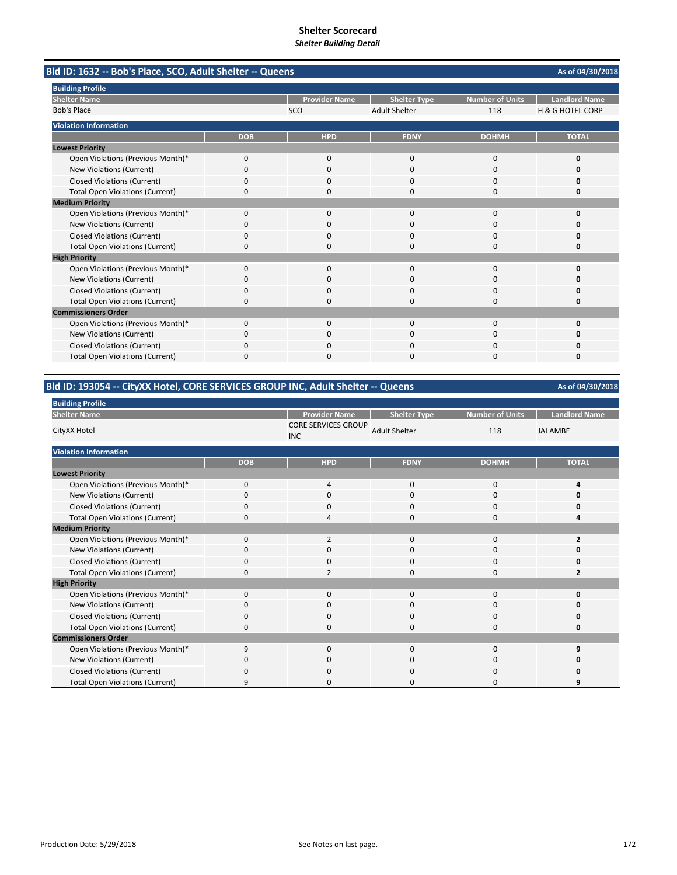|                                        | Bld ID: 1632 -- Bob's Place, SCO, Adult Shelter -- Queens |                      |                      |                        |                             |  |  |
|----------------------------------------|-----------------------------------------------------------|----------------------|----------------------|------------------------|-----------------------------|--|--|
| <b>Building Profile</b>                |                                                           |                      |                      |                        |                             |  |  |
| <b>Shelter Name</b>                    |                                                           | <b>Provider Name</b> | <b>Shelter Type</b>  | <b>Number of Units</b> | <b>Landlord Name</b>        |  |  |
| <b>Bob's Place</b>                     |                                                           | SCO                  | <b>Adult Shelter</b> | 118                    | <b>H &amp; G HOTEL CORP</b> |  |  |
| <b>Violation Information</b>           |                                                           |                      |                      |                        |                             |  |  |
|                                        | <b>DOB</b>                                                | <b>HPD</b>           | <b>FDNY</b>          | <b>DOHMH</b>           | <b>TOTAL</b>                |  |  |
| <b>Lowest Priority</b>                 |                                                           |                      |                      |                        |                             |  |  |
| Open Violations (Previous Month)*      | 0                                                         | 0                    | $\mathbf{0}$         | $\mathbf 0$            | 0                           |  |  |
| New Violations (Current)               | $\Omega$                                                  | $\Omega$             | $\Omega$             | $\Omega$               | o                           |  |  |
| <b>Closed Violations (Current)</b>     | 0                                                         | 0                    | 0                    | $\Omega$               | 0                           |  |  |
| <b>Total Open Violations (Current)</b> | 0                                                         | 0                    | $\Omega$             | $\Omega$               | 0                           |  |  |
| <b>Medium Priority</b>                 |                                                           |                      |                      |                        |                             |  |  |
| Open Violations (Previous Month)*      | 0                                                         | $\Omega$             | $\Omega$             | $\Omega$               | O                           |  |  |
| New Violations (Current)               | 0                                                         | 0                    | 0                    | 0                      | O                           |  |  |
| <b>Closed Violations (Current)</b>     | 0                                                         | $\Omega$             | O                    | $\Omega$               | O                           |  |  |
| <b>Total Open Violations (Current)</b> | 0                                                         | $\Omega$             | 0                    | $\Omega$               | 0                           |  |  |
| <b>High Priority</b>                   |                                                           |                      |                      |                        |                             |  |  |
| Open Violations (Previous Month)*      | $\Omega$                                                  | $\Omega$             | $\Omega$             | $\Omega$               | $\Omega$                    |  |  |
| New Violations (Current)               | 0                                                         | 0                    | 0                    | 0                      | o                           |  |  |
| <b>Closed Violations (Current)</b>     | 0                                                         | 0                    | 0                    | 0                      | Ω                           |  |  |
| <b>Total Open Violations (Current)</b> | $\Omega$                                                  | $\Omega$             | $\Omega$             | $\Omega$               | O                           |  |  |
| <b>Commissioners Order</b>             |                                                           |                      |                      |                        |                             |  |  |
| Open Violations (Previous Month)*      | 0                                                         | 0                    | 0                    | $\mathbf 0$            | 0                           |  |  |
| New Violations (Current)               | 0                                                         | $\Omega$             | 0                    | $\Omega$               | o                           |  |  |
| <b>Closed Violations (Current)</b>     | 0                                                         | $\Omega$             | 0                    | 0                      | O                           |  |  |
| <b>Total Open Violations (Current)</b> | 0                                                         | 0                    | 0                    | $\Omega$               | 0                           |  |  |

# **Bld ID: 193054 ‐‐ CityXX Hotel, CORE SERVICES GROUP INC, Adult Shelter ‐‐ Queens**

**As of 04/30/2018**

| <b>DUILDING</b> Profile                |             |                                          |                      |                        |                         |
|----------------------------------------|-------------|------------------------------------------|----------------------|------------------------|-------------------------|
| <b>Shelter Name</b>                    |             | <b>Provider Name</b>                     | <b>Shelter Type</b>  | <b>Number of Units</b> | <b>Landlord Name</b>    |
| CityXX Hotel                           |             | <b>CORE SERVICES GROUP</b><br><b>INC</b> | <b>Adult Shelter</b> | 118                    | <b>JAI AMBE</b>         |
| <b>Violation Information</b>           |             |                                          |                      |                        |                         |
|                                        | <b>DOB</b>  | <b>HPD</b>                               | <b>FDNY</b>          | <b>DOHMH</b>           | <b>TOTAL</b>            |
| <b>Lowest Priority</b>                 |             |                                          |                      |                        |                         |
| Open Violations (Previous Month)*      | $\mathbf 0$ | $\overline{4}$                           | 0                    | 0                      | 4                       |
| New Violations (Current)               | $\Omega$    | 0                                        | $\mathbf 0$          | 0                      | 0                       |
| <b>Closed Violations (Current)</b>     | $\Omega$    | 0                                        | 0                    | 0                      | 0                       |
| <b>Total Open Violations (Current)</b> | $\mathbf 0$ | $\overline{4}$                           | 0                    | 0                      | 4                       |
| <b>Medium Priority</b>                 |             |                                          |                      |                        |                         |
| Open Violations (Previous Month)*      | $\mathbf 0$ | $\overline{2}$                           | 0                    | 0                      | 2                       |
| New Violations (Current)               | $\Omega$    | $\Omega$                                 | $\Omega$             | 0                      | ŋ                       |
| <b>Closed Violations (Current)</b>     | 0           | $\mathbf 0$                              | $\mathbf 0$          | 0                      | 0                       |
| <b>Total Open Violations (Current)</b> | $\Omega$    | $\overline{2}$                           | $\Omega$             | $\Omega$               | $\overline{\mathbf{z}}$ |
| <b>High Priority</b>                   |             |                                          |                      |                        |                         |
| Open Violations (Previous Month)*      | $\Omega$    | $\mathbf 0$                              | $\mathbf{0}$         | 0                      | O                       |
| New Violations (Current)               | $\Omega$    | $\mathbf 0$                              | 0                    | 0                      | 0                       |
| <b>Closed Violations (Current)</b>     | $\Omega$    | $\mathbf 0$                              | 0                    | 0                      | 0                       |
| <b>Total Open Violations (Current)</b> | 0           | 0                                        | 0                    | 0                      | 0                       |
| <b>Commissioners Order</b>             |             |                                          |                      |                        |                         |
| Open Violations (Previous Month)*      | 9           | $\mathbf 0$                              | $\mathbf 0$          | 0                      | 9                       |
| New Violations (Current)               | 0           | $\mathbf 0$                              | 0                    | 0                      | 0                       |
| <b>Closed Violations (Current)</b>     | $\Omega$    | $\mathbf 0$                              | 0                    | 0                      | 0                       |
| <b>Total Open Violations (Current)</b> | 9           | $\Omega$                                 | $\Omega$             | 0                      | 9                       |

**Building Profile**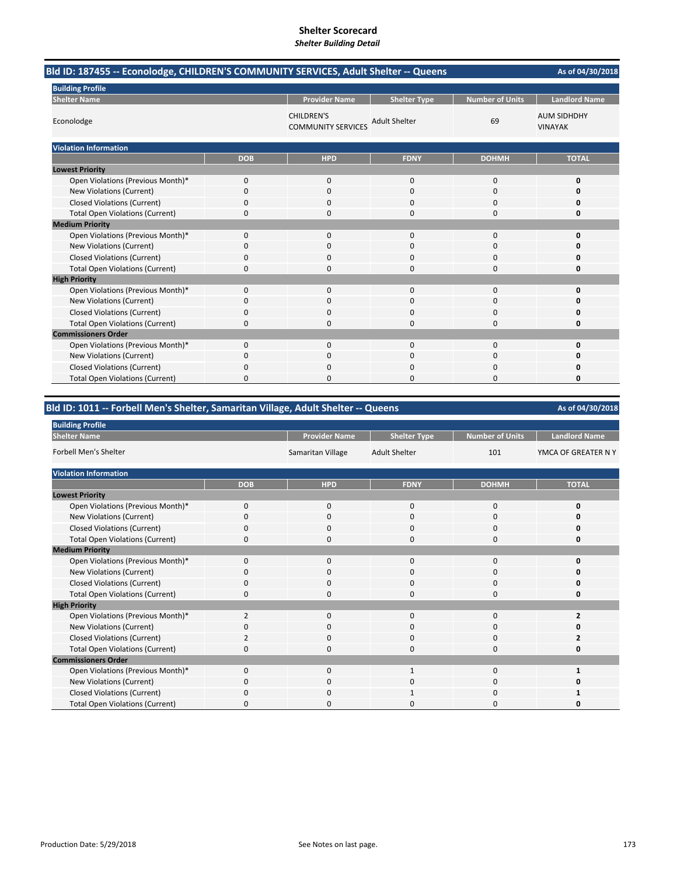| Bld ID: 187455 -- Econolodge, CHILDREN'S COMMUNITY SERVICES, Adult Shelter -- Queens |            |                                                |                      |                        |                                      |  |
|--------------------------------------------------------------------------------------|------------|------------------------------------------------|----------------------|------------------------|--------------------------------------|--|
| <b>Building Profile</b>                                                              |            |                                                |                      |                        |                                      |  |
| <b>Shelter Name</b>                                                                  |            | <b>Provider Name</b>                           | <b>Shelter Type</b>  | <b>Number of Units</b> | <b>Landlord Name</b>                 |  |
| Econolodge                                                                           |            | <b>CHILDREN'S</b><br><b>COMMUNITY SERVICES</b> | <b>Adult Shelter</b> | 69                     | <b>AUM SIDHDHY</b><br><b>VINAYAK</b> |  |
| <b>Violation Information</b>                                                         |            |                                                |                      |                        |                                      |  |
|                                                                                      | <b>DOB</b> | <b>HPD</b>                                     | <b>FDNY</b>          | <b>DOHMH</b>           | <b>TOTAL</b>                         |  |
| <b>Lowest Priority</b>                                                               |            |                                                |                      |                        |                                      |  |
| Open Violations (Previous Month)*                                                    | 0          | $\mathbf{0}$                                   | $\mathbf 0$          | 0                      | 0                                    |  |
| New Violations (Current)                                                             | 0          | 0                                              | $\Omega$             | 0                      | O                                    |  |
| <b>Closed Violations (Current)</b>                                                   | 0          | $\Omega$                                       | $\Omega$             | 0                      | O                                    |  |
| <b>Total Open Violations (Current)</b>                                               | 0          | 0                                              | $\Omega$             | $\Omega$               | 0                                    |  |
| <b>Medium Priority</b>                                                               |            |                                                |                      |                        |                                      |  |
| Open Violations (Previous Month)*                                                    | 0          | $\Omega$                                       | $\Omega$             | $\Omega$               | 0                                    |  |
| New Violations (Current)                                                             | 0          | $\Omega$                                       | $\Omega$             | $\Omega$               | n                                    |  |
| <b>Closed Violations (Current)</b>                                                   | 0          | 0                                              | $\Omega$             | 0                      | 0                                    |  |
| <b>Total Open Violations (Current)</b>                                               | 0          | $\Omega$                                       | $\Omega$             | 0                      | 0                                    |  |
| <b>High Priority</b>                                                                 |            |                                                |                      |                        |                                      |  |
| Open Violations (Previous Month)*                                                    | 0          | 0                                              | $\Omega$             | 0                      | 0                                    |  |
| New Violations (Current)                                                             | 0          | $\Omega$                                       | $\Omega$             | $\Omega$               | n                                    |  |
| <b>Closed Violations (Current)</b>                                                   | 0          | 0                                              | $\Omega$             | 0                      | O                                    |  |
| <b>Total Open Violations (Current)</b>                                               | 0          | 0                                              | $\Omega$             | 0                      | 0                                    |  |
| <b>Commissioners Order</b>                                                           |            |                                                |                      |                        |                                      |  |
| Open Violations (Previous Month)*                                                    | $\Omega$   | $\Omega$                                       | $\Omega$             | $\Omega$               | 0                                    |  |
| New Violations (Current)                                                             | 0          | 0                                              | $\Omega$             | $\Omega$               | O                                    |  |
| <b>Closed Violations (Current)</b>                                                   | 0          | $\Omega$                                       | $\Omega$             | 0                      | Ω                                    |  |
| <b>Total Open Violations (Current)</b>                                               | $\Omega$   | $\Omega$                                       | ი                    | $\Omega$               | 0                                    |  |

# **Bld ID: 1011 ‐‐ Forbell Men's Shelter, Samaritan Village, Adult Shelter ‐‐ Queens**

| <b>Building Profile</b>                |                |                      |                      |                        |                      |  |  |  |
|----------------------------------------|----------------|----------------------|----------------------|------------------------|----------------------|--|--|--|
| <b>Shelter Name</b>                    |                | <b>Provider Name</b> | <b>Shelter Type</b>  | <b>Number of Units</b> | <b>Landlord Name</b> |  |  |  |
| <b>Forbell Men's Shelter</b>           |                | Samaritan Village    | <b>Adult Shelter</b> | 101                    | YMCA OF GREATER N Y  |  |  |  |
| <b>Violation Information</b>           |                |                      |                      |                        |                      |  |  |  |
|                                        | <b>DOB</b>     | <b>HPD</b>           | <b>FDNY</b>          | <b>DOHMH</b>           | <b>TOTAL</b>         |  |  |  |
| <b>Lowest Priority</b>                 |                |                      |                      |                        |                      |  |  |  |
| Open Violations (Previous Month)*      | $\mathbf 0$    | $\mathbf 0$          | $\mathbf{0}$         | $\mathbf{0}$           | 0                    |  |  |  |
| New Violations (Current)               | 0              | 0                    | 0                    | 0                      | ŋ                    |  |  |  |
| <b>Closed Violations (Current)</b>     | 0              | 0                    | 0                    | 0                      | ŋ                    |  |  |  |
| <b>Total Open Violations (Current)</b> | $\Omega$       | 0                    | 0                    | 0                      | 0                    |  |  |  |
| <b>Medium Priority</b>                 |                |                      |                      |                        |                      |  |  |  |
| Open Violations (Previous Month)*      | $\Omega$       | $\mathbf 0$          | $\mathbf{0}$         | $\mathbf{0}$           | 0                    |  |  |  |
| New Violations (Current)               | $\Omega$       | 0                    | 0                    | 0                      | ŋ                    |  |  |  |
| <b>Closed Violations (Current)</b>     | $\Omega$       | $\mathbf 0$          | $\Omega$             | 0                      | ŋ                    |  |  |  |
| <b>Total Open Violations (Current)</b> | 0              | 0                    | $\Omega$             | 0                      | 0                    |  |  |  |
| <b>High Priority</b>                   |                |                      |                      |                        |                      |  |  |  |
| Open Violations (Previous Month)*      | $\overline{2}$ | 0                    | $\Omega$             | $\mathbf{0}$           |                      |  |  |  |
| New Violations (Current)               | $\Omega$       | 0                    | 0                    | 0                      | ŋ                    |  |  |  |
| <b>Closed Violations (Current)</b>     | $\overline{2}$ | 0                    | $\Omega$             | 0                      |                      |  |  |  |
| <b>Total Open Violations (Current)</b> | O              | 0                    | 0                    | 0                      | 0                    |  |  |  |
| <b>Commissioners Order</b>             |                |                      |                      |                        |                      |  |  |  |
| Open Violations (Previous Month)*      | $\Omega$       | $\Omega$             | $\mathbf{1}$         | $\Omega$               |                      |  |  |  |
| New Violations (Current)               | $\Omega$       | 0                    | 0                    | 0                      | n                    |  |  |  |
| <b>Closed Violations (Current)</b>     | $\Omega$       | 0                    |                      | 0                      |                      |  |  |  |
| <b>Total Open Violations (Current)</b> | n              | 0                    | ი                    | 0                      | ŋ                    |  |  |  |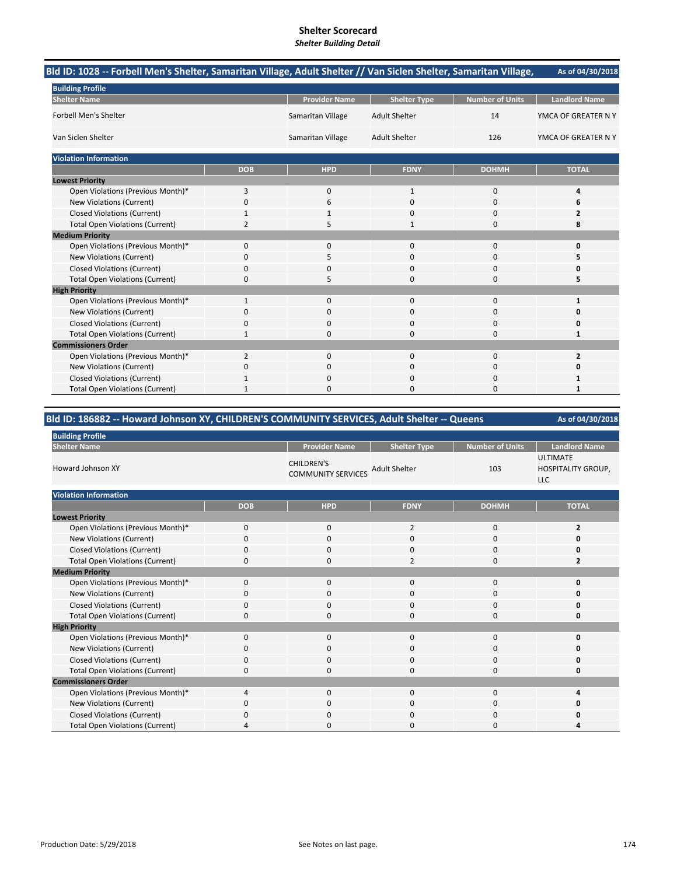# **Shelter Scorecard**

*Shelter Building Detail*

| Bld ID: 1028 -- Forbell Men's Shelter, Samaritan Village, Adult Shelter // Van Siclen Shelter, Samaritan Village, |                |                      |                      |                        | As of 04/30/2018     |
|-------------------------------------------------------------------------------------------------------------------|----------------|----------------------|----------------------|------------------------|----------------------|
| <b>Building Profile</b>                                                                                           |                |                      |                      |                        |                      |
| <b>Shelter Name</b>                                                                                               |                | <b>Provider Name</b> | <b>Shelter Type</b>  | <b>Number of Units</b> | <b>Landlord Name</b> |
| <b>Forbell Men's Shelter</b>                                                                                      |                | Samaritan Village    | <b>Adult Shelter</b> | 14                     | YMCA OF GREATER N Y  |
| Van Siclen Shelter                                                                                                |                | Samaritan Village    | <b>Adult Shelter</b> | 126                    | YMCA OF GREATER N Y  |
| <b>Violation Information</b>                                                                                      |                |                      |                      |                        |                      |
|                                                                                                                   | <b>DOB</b>     | <b>HPD</b>           | <b>FDNY</b>          | <b>DOHMH</b>           | <b>TOTAL</b>         |
| <b>Lowest Priority</b>                                                                                            |                |                      |                      |                        |                      |
| Open Violations (Previous Month)*                                                                                 | 3              | 0                    | 1                    | 0                      | 4                    |
| New Violations (Current)                                                                                          | 0              | 6                    | $\Omega$             | $\Omega$               | 6                    |
| <b>Closed Violations (Current)</b>                                                                                | 1              |                      | $\Omega$             | $\Omega$               | 2                    |
| <b>Total Open Violations (Current)</b>                                                                            | $\overline{2}$ |                      | 1                    | $\Omega$               | 8                    |
| <b>Medium Priority</b>                                                                                            |                |                      |                      |                        |                      |
| Open Violations (Previous Month)*                                                                                 | 0              | 0                    | 0                    | $\mathbf 0$            | 0                    |
| New Violations (Current)                                                                                          | 0              | 5                    | 0                    | 0                      | 5                    |
| <b>Closed Violations (Current)</b>                                                                                | 0              | $\Omega$             | 0                    | $\Omega$               | o                    |
| <b>Total Open Violations (Current)</b>                                                                            | $\Omega$       | 5                    | $\Omega$             | $\Omega$               | 5                    |
| <b>High Priority</b>                                                                                              |                |                      |                      |                        |                      |
| Open Violations (Previous Month)*                                                                                 | 1              | 0                    | $\mathbf{0}$         | $\mathbf 0$            | 1                    |
| New Violations (Current)                                                                                          | 0              | 0                    | 0                    | $\mathbf 0$            | 0                    |
| <b>Closed Violations (Current)</b>                                                                                | 0              | $\Omega$             | 0                    | $\Omega$               | 0                    |
| <b>Total Open Violations (Current)</b>                                                                            | $\mathbf{1}$   | $\Omega$             | 0                    | $\Omega$               | $\mathbf{1}$         |
| <b>Commissioners Order</b>                                                                                        |                |                      |                      |                        |                      |
| Open Violations (Previous Month)*                                                                                 | $\overline{2}$ | $\Omega$             | $\Omega$             | $\Omega$               | $\overline{2}$       |
| New Violations (Current)                                                                                          | 0              | 0                    | $\Omega$             | $\Omega$               | Ω                    |
| <b>Closed Violations (Current)</b>                                                                                |                |                      | O                    | $\Omega$               |                      |
| <b>Total Open Violations (Current)</b>                                                                            |                | 0                    | 0                    | $\Omega$               |                      |

# **Bld ID: 186882 ‐‐ Howard Johnson XY, CHILDREN'S COMMUNITY SERVICES, Adult Shelter ‐‐ Queens**

| <b>Building Profile</b>                |            |                                                |                      |                        |                                                            |  |  |
|----------------------------------------|------------|------------------------------------------------|----------------------|------------------------|------------------------------------------------------------|--|--|
| <b>Shelter Name</b>                    |            | <b>Provider Name</b>                           | <b>Shelter Type</b>  | <b>Number of Units</b> | <b>Landlord Name</b>                                       |  |  |
| <b>Howard Johnson XY</b>               |            | <b>CHILDREN'S</b><br><b>COMMUNITY SERVICES</b> | <b>Adult Shelter</b> | 103                    | <b>ULTIMATE</b><br><b>HOSPITALITY GROUP,</b><br><b>LLC</b> |  |  |
| <b>Violation Information</b>           |            |                                                |                      |                        |                                                            |  |  |
|                                        | <b>DOB</b> | <b>HPD</b>                                     | <b>FDNY</b>          | <b>DOHMH</b>           | <b>TOTAL</b>                                               |  |  |
| <b>Lowest Priority</b>                 |            |                                                |                      |                        |                                                            |  |  |
| Open Violations (Previous Month)*      | 0          | 0                                              | 2                    | 0                      | 2                                                          |  |  |
| New Violations (Current)               | $\Omega$   | 0                                              | $\Omega$             | $\mathbf{0}$           | 0                                                          |  |  |
| <b>Closed Violations (Current)</b>     | 0          | 0                                              | 0                    | 0                      | 0                                                          |  |  |
| <b>Total Open Violations (Current)</b> | 0          | 0                                              | $\overline{2}$       | $\mathbf{0}$           | $\overline{2}$                                             |  |  |
| <b>Medium Priority</b>                 |            |                                                |                      |                        |                                                            |  |  |
| Open Violations (Previous Month)*      | 0          | 0                                              | $\mathbf{0}$         | 0                      | 0                                                          |  |  |
| New Violations (Current)               | $\Omega$   | $\mathbf{0}$                                   | $\Omega$             | $\mathbf{0}$           | 0                                                          |  |  |
| <b>Closed Violations (Current)</b>     | 0          | 0                                              | 0                    | 0                      | 0                                                          |  |  |
| <b>Total Open Violations (Current)</b> | 0          | 0                                              | 0                    | 0                      | 0                                                          |  |  |
| <b>High Priority</b>                   |            |                                                |                      |                        |                                                            |  |  |
| Open Violations (Previous Month)*      | 0          | 0                                              | 0                    | $\mathbf{0}$           | 0                                                          |  |  |
| New Violations (Current)               | 0          | 0                                              | 0                    | 0                      | ŋ                                                          |  |  |
| <b>Closed Violations (Current)</b>     | 0          | 0                                              | 0                    | 0                      | 0                                                          |  |  |
| <b>Total Open Violations (Current)</b> | 0          | 0                                              | $\mathbf{0}$         | $\mathbf 0$            | 0                                                          |  |  |
| <b>Commissioners Order</b>             |            |                                                |                      |                        |                                                            |  |  |
| Open Violations (Previous Month)*      | 4          | 0                                              | 0                    | 0                      | 4                                                          |  |  |
| New Violations (Current)               | 0          | 0                                              | 0                    | 0                      | 0                                                          |  |  |
| <b>Closed Violations (Current)</b>     | C          | 0                                              | 0                    | 0                      | 0                                                          |  |  |
| <b>Total Open Violations (Current)</b> | 4          | 0                                              | $\Omega$             | 0                      | Δ                                                          |  |  |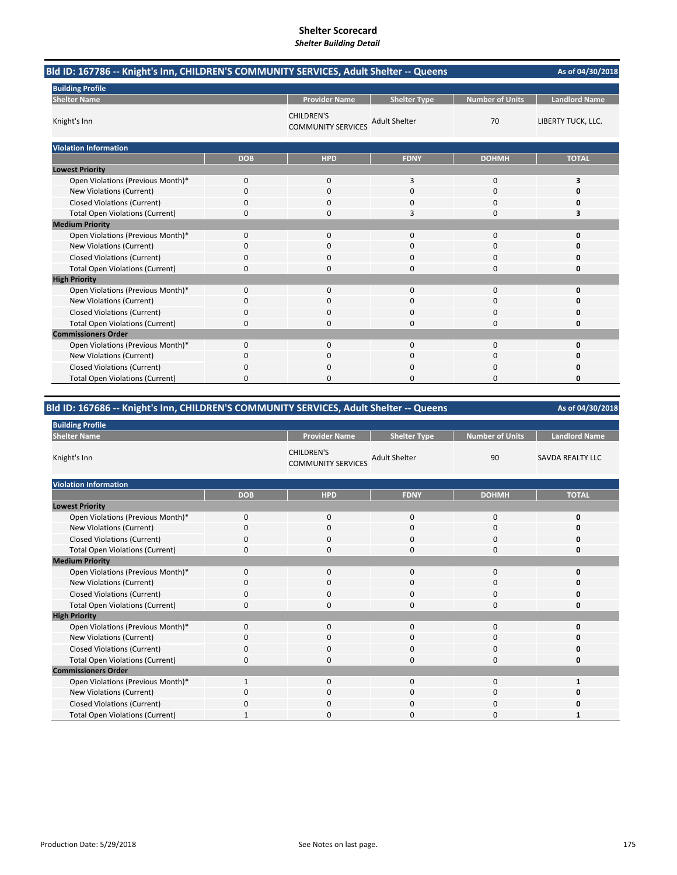| Bld ID: 167786 -- Knight's Inn, CHILDREN'S COMMUNITY SERVICES, Adult Shelter -- Queens |            |                                                |                      |                        |                      |  |
|----------------------------------------------------------------------------------------|------------|------------------------------------------------|----------------------|------------------------|----------------------|--|
| <b>Building Profile</b>                                                                |            |                                                |                      |                        |                      |  |
| <b>Shelter Name</b>                                                                    |            | <b>Provider Name</b>                           | <b>Shelter Type</b>  | <b>Number of Units</b> | <b>Landlord Name</b> |  |
| Knight's Inn                                                                           |            | <b>CHILDREN'S</b><br><b>COMMUNITY SERVICES</b> | <b>Adult Shelter</b> | 70                     | LIBERTY TUCK, LLC.   |  |
| <b>Violation Information</b>                                                           |            |                                                |                      |                        |                      |  |
|                                                                                        | <b>DOB</b> | <b>HPD</b>                                     | <b>FDNY</b>          | <b>DOHMH</b>           | <b>TOTAL</b>         |  |
| <b>Lowest Priority</b>                                                                 |            |                                                |                      |                        |                      |  |
| Open Violations (Previous Month)*                                                      | 0          | $\mathbf{0}$                                   | 3                    | $\mathbf 0$            | 3                    |  |
| New Violations (Current)                                                               | 0          | 0                                              | 0                    | $\mathbf 0$            | O                    |  |
| <b>Closed Violations (Current)</b>                                                     | 0          | 0                                              | 0                    | $\Omega$               | ŋ                    |  |
| <b>Total Open Violations (Current)</b>                                                 | 0          | 0                                              | 3                    | $\Omega$               | 3                    |  |
| <b>Medium Priority</b>                                                                 |            |                                                |                      |                        |                      |  |
| Open Violations (Previous Month)*                                                      | 0          | $\mathbf{0}$                                   | 0                    | $\mathbf 0$            | $\Omega$             |  |
| New Violations (Current)                                                               | 0          | $\Omega$                                       | $\Omega$             | $\Omega$               | ŋ                    |  |
| <b>Closed Violations (Current)</b>                                                     | 0          | 0                                              | 0                    | 0                      | Ω                    |  |
| <b>Total Open Violations (Current)</b>                                                 | 0          | 0                                              | 0                    | $\Omega$               | Ω                    |  |
| <b>High Priority</b>                                                                   |            |                                                |                      |                        |                      |  |
| Open Violations (Previous Month)*                                                      | 0          | $\mathbf{0}$                                   | $\Omega$             | 0                      | O                    |  |
| New Violations (Current)                                                               | 0          | 0                                              | <sup>0</sup>         | $\mathbf 0$            |                      |  |
| <b>Closed Violations (Current)</b>                                                     | 0          | 0                                              | 0                    | 0                      | ŋ                    |  |
| <b>Total Open Violations (Current)</b>                                                 | 0          | 0                                              | $\Omega$             | 0                      | O                    |  |
| <b>Commissioners Order</b>                                                             |            |                                                |                      |                        |                      |  |
| Open Violations (Previous Month)*                                                      | 0          | $\Omega$                                       | $\Omega$             | $\Omega$               | $\Omega$             |  |
| New Violations (Current)                                                               | 0          | 0                                              | $\Omega$             | 0                      | ŋ                    |  |
| <b>Closed Violations (Current)</b>                                                     | 0          | 0                                              | 0                    | 0                      |                      |  |
| <b>Total Open Violations (Current)</b>                                                 | 0          | 0                                              | 0                    | $\Omega$               | O                    |  |

# **Bld ID: 167686 ‐‐ Knight's Inn, CHILDREN'S COMMUNITY SERVICES, Adult Shelter ‐‐ Queens**

# **As of 04/30/2018**

| <b>Building Profile</b>                |             |                                                |                      |                        |                         |
|----------------------------------------|-------------|------------------------------------------------|----------------------|------------------------|-------------------------|
| <b>Shelter Name</b>                    |             | <b>Provider Name</b>                           | <b>Shelter Type</b>  | <b>Number of Units</b> | <b>Landlord Name</b>    |
| Knight's Inn                           |             | <b>CHILDREN'S</b><br><b>COMMUNITY SERVICES</b> | <b>Adult Shelter</b> | 90                     | <b>SAVDA REALTY LLC</b> |
| <b>Violation Information</b>           |             |                                                |                      |                        |                         |
|                                        | <b>DOB</b>  | <b>HPD</b>                                     | <b>FDNY</b>          | <b>DOHMH</b>           | <b>TOTAL</b>            |
| <b>Lowest Priority</b>                 |             |                                                |                      |                        |                         |
| Open Violations (Previous Month)*      | $\mathbf 0$ | $\mathbf 0$                                    | $\mathbf 0$          | $\mathbf 0$            | 0                       |
| New Violations (Current)               | $\Omega$    | $\mathbf 0$                                    | 0                    | 0                      | n                       |
| <b>Closed Violations (Current)</b>     | 0           | 0                                              | $\mathbf 0$          | 0                      | 0                       |
| <b>Total Open Violations (Current)</b> | $\mathbf 0$ | $\mathbf 0$                                    | $\mathbf 0$          | 0                      | 0                       |
| <b>Medium Priority</b>                 |             |                                                |                      |                        |                         |
| Open Violations (Previous Month)*      | $\Omega$    | $\mathbf 0$                                    | 0                    | 0                      | n                       |
| New Violations (Current)               | 0           | $\mathbf 0$                                    | $\mathbf 0$          | 0                      | Ω                       |
| <b>Closed Violations (Current)</b>     | 0           | $\mathbf 0$                                    | 0                    | 0                      | 0                       |
| <b>Total Open Violations (Current)</b> | 0           | $\mathbf 0$                                    | 0                    | 0                      | 0                       |
| <b>High Priority</b>                   |             |                                                |                      |                        |                         |
| Open Violations (Previous Month)*      | $\Omega$    | $\mathbf 0$                                    | $\mathbf{0}$         | $\mathbf 0$            | Ω                       |
| New Violations (Current)               | 0           | $\mathbf 0$                                    | 0                    | 0                      | Ω                       |
| <b>Closed Violations (Current)</b>     | 0           | $\Omega$                                       | 0                    | $\mathbf 0$            | 0                       |
| <b>Total Open Violations (Current)</b> | 0           | $\mathbf 0$                                    | 0                    | 0                      | 0                       |
| <b>Commissioners Order</b>             |             |                                                |                      |                        |                         |
| Open Violations (Previous Month)*      |             | $\mathbf 0$                                    | $\mathbf{0}$         | 0                      |                         |
| New Violations (Current)               | 0           | $\mathbf 0$                                    | 0                    | 0                      | n                       |
| <b>Closed Violations (Current)</b>     | 0           | $\mathbf 0$                                    | 0                    | 0                      | Ω                       |
| <b>Total Open Violations (Current)</b> |             | 0                                              | 0                    | 0                      | 1                       |

**Building Profile**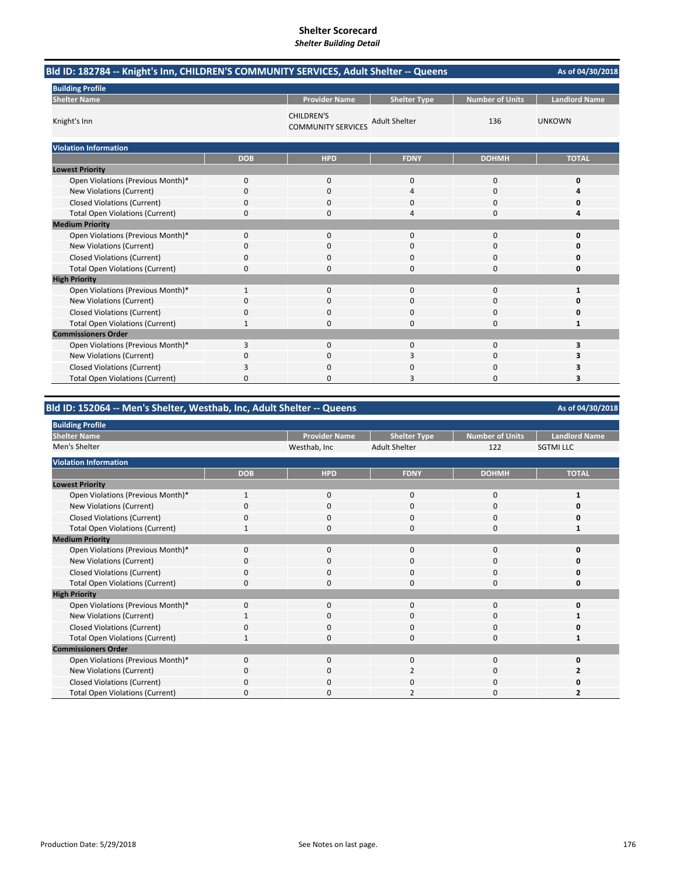| Bld ID: 182784 -- Knight's Inn, CHILDREN'S COMMUNITY SERVICES, Adult Shelter -- Queens |            |                                                |                      |                        |                      |  |
|----------------------------------------------------------------------------------------|------------|------------------------------------------------|----------------------|------------------------|----------------------|--|
| <b>Building Profile</b>                                                                |            |                                                |                      |                        |                      |  |
| <b>Shelter Name</b>                                                                    |            | <b>Provider Name</b>                           | <b>Shelter Type</b>  | <b>Number of Units</b> | <b>Landlord Name</b> |  |
| Knight's Inn                                                                           |            | <b>CHILDREN'S</b><br><b>COMMUNITY SERVICES</b> | <b>Adult Shelter</b> | 136                    | <b>UNKOWN</b>        |  |
| <b>Violation Information</b>                                                           |            |                                                |                      |                        |                      |  |
|                                                                                        | <b>DOB</b> | <b>HPD</b>                                     | <b>FDNY</b>          | <b>DOHMH</b>           | <b>TOTAL</b>         |  |
| <b>Lowest Priority</b>                                                                 |            |                                                |                      |                        |                      |  |
| Open Violations (Previous Month)*                                                      | 0          | 0                                              | 0                    | $\mathbf 0$            | 0                    |  |
| New Violations (Current)                                                               | 0          | 0                                              | 4                    | $\mathbf 0$            | Δ                    |  |
| <b>Closed Violations (Current)</b>                                                     | 0          | 0                                              | 0                    | $\Omega$               |                      |  |
| <b>Total Open Violations (Current)</b>                                                 | 0          | 0                                              | 4                    | $\Omega$               | Δ                    |  |
| <b>Medium Priority</b>                                                                 |            |                                                |                      |                        |                      |  |
| Open Violations (Previous Month)*                                                      | 0          | 0                                              | $\Omega$             | $\mathbf 0$            | O                    |  |
| New Violations (Current)                                                               | 0          | 0                                              | 0                    | 0                      |                      |  |
| <b>Closed Violations (Current)</b>                                                     | 0          | 0                                              | 0                    | $\Omega$               | n                    |  |
| <b>Total Open Violations (Current)</b>                                                 | 0          | 0                                              | $\Omega$             | $\Omega$               | O                    |  |
| <b>High Priority</b>                                                                   |            |                                                |                      |                        |                      |  |
| Open Violations (Previous Month)*                                                      | 1          | $\mathbf{0}$                                   | 0                    | $\mathbf 0$            | 1                    |  |
| New Violations (Current)                                                               | 0          | 0                                              | 0                    | $\Omega$               | ŋ                    |  |
| <b>Closed Violations (Current)</b>                                                     | 0          | 0                                              | 0                    | 0                      | Ω                    |  |
| <b>Total Open Violations (Current)</b>                                                 | 1          | 0                                              | $\Omega$             | 0                      | 1                    |  |
| <b>Commissioners Order</b>                                                             |            |                                                |                      |                        |                      |  |
| Open Violations (Previous Month)*                                                      | 3          | $\mathbf{0}$                                   | $\Omega$             | $\Omega$               | 3                    |  |
| New Violations (Current)                                                               | 0          | $\Omega$                                       | 3                    | $\Omega$               | 3                    |  |
| <b>Closed Violations (Current)</b>                                                     | 3          | 0                                              | 0                    | $\Omega$               | 3                    |  |
| <b>Total Open Violations (Current)</b>                                                 | 0          | $\Omega$                                       | 3                    | $\Omega$               | 3                    |  |

# **Bld ID: 152064 ‐‐ Men's Shelter, Westhab, Inc, Adult Shelter ‐‐ Queens**

#### Provider Name | Shelter Type | Number of Units | Landlord Name<br>Vesthab. Inc | Adult Shelter | 122 | SGTMI LLC Westhab, Inc Adult Shelter 122 **DOB HPD FDNY DOHMH TOTAL** Open Violations (Previous Month)\* 1000 **1 New Violations (Current)** Closed Violations (Current) 0000 **0** Total Open Violations (Current) 1 0 0 0 0 1 Open Violations (Previous Month)\* 0000 **0 New Violations (Current)** Closed Violations (Current) 0000 **0** Total Open Violations (Current) 0000 **0** Open Violations (Previous Month)\* 0000 **0** New Violations (Current) **1** 1000 **1** 1000 **1** 1000 **1** 1000 **1** Closed Violations (Current) 0000 **0** Total Open Violations (Current) 1000 **1** Open Violations (Previous Month)\* 0000 **0** New Violations (Current) **0** 0 0 2 0 2 Closed Violations (Current) 0000 **0** Total Open Violations (Current) 0020 **2 Lowest Priority Building Profile Medium Priority High Priority Commissioners Order Violation Information Shelter Name** Men's Shelter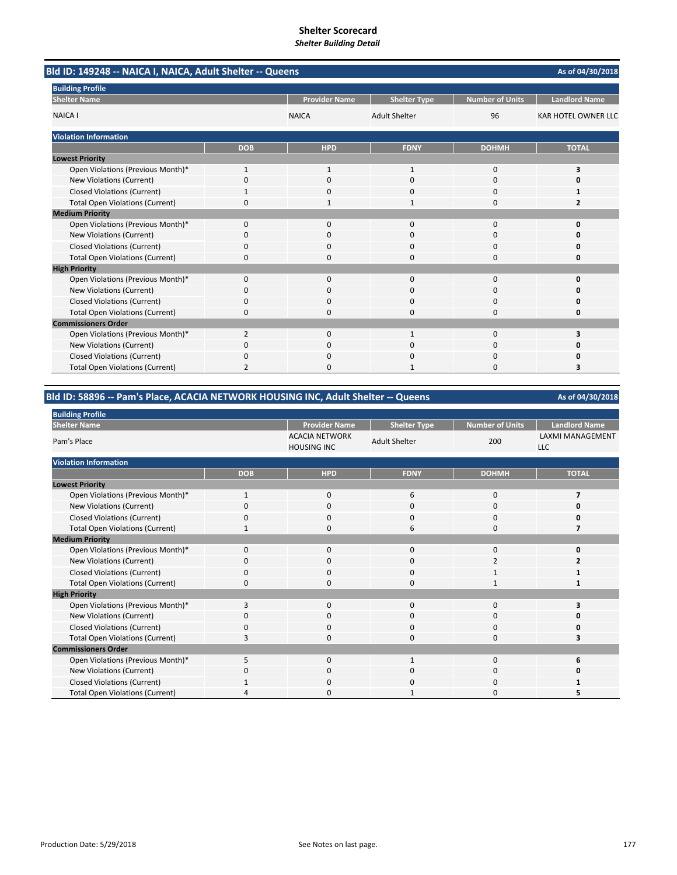| Bld ID: 149248 -- NAICA I, NAICA, Adult Shelter -- Queens<br>As of 04/30/2018 |                |                      |                      |                        |                            |  |
|-------------------------------------------------------------------------------|----------------|----------------------|----------------------|------------------------|----------------------------|--|
| <b>Building Profile</b>                                                       |                |                      |                      |                        |                            |  |
| <b>Shelter Name</b>                                                           |                | <b>Provider Name</b> | <b>Shelter Type</b>  | <b>Number of Units</b> | <b>Landlord Name</b>       |  |
| <b>NAICA I</b>                                                                |                | <b>NAICA</b>         | <b>Adult Shelter</b> | 96                     | <b>KAR HOTEL OWNER LLC</b> |  |
| <b>Violation Information</b>                                                  |                |                      |                      |                        |                            |  |
|                                                                               | <b>DOB</b>     | <b>HPD</b>           | <b>FDNY</b>          | <b>DOHMH</b>           | <b>TOTAL</b>               |  |
| <b>Lowest Priority</b>                                                        |                |                      |                      |                        |                            |  |
| Open Violations (Previous Month)*                                             | $\mathbf{1}$   | $\mathbf{1}$         | 1                    | 0                      | 3                          |  |
| New Violations (Current)                                                      | 0              | $\Omega$             | $\Omega$             | 0                      |                            |  |
| <b>Closed Violations (Current)</b>                                            |                | 0                    | 0                    | 0                      |                            |  |
| <b>Total Open Violations (Current)</b>                                        | 0              | 1                    | 1                    | 0                      | 2                          |  |
| <b>Medium Priority</b>                                                        |                |                      |                      |                        |                            |  |
| Open Violations (Previous Month)*                                             | $\Omega$       | $\Omega$             | $\Omega$             | 0                      | 0                          |  |
| <b>New Violations (Current)</b>                                               | 0              | 0                    | C                    | 0                      |                            |  |
| <b>Closed Violations (Current)</b>                                            | 0              | 0                    | $\mathbf 0$          | 0                      | 0                          |  |
| <b>Total Open Violations (Current)</b>                                        | 0              | $\Omega$             | $\Omega$             | 0                      | 0                          |  |
| <b>High Priority</b>                                                          |                |                      |                      |                        |                            |  |
| Open Violations (Previous Month)*                                             | 0              | $\Omega$             | $\Omega$             | 0                      | 0                          |  |
| New Violations (Current)                                                      | 0              | $\Omega$             | $\mathbf 0$          | 0                      |                            |  |
| <b>Closed Violations (Current)</b>                                            | 0              | 0                    | $\Omega$             | 0                      | O                          |  |
| <b>Total Open Violations (Current)</b>                                        | 0              | ŋ                    | $\Omega$             | 0                      | O                          |  |
| <b>Commissioners Order</b>                                                    |                |                      |                      |                        |                            |  |
| Open Violations (Previous Month)*                                             | $\overline{2}$ | $\Omega$             | 1                    | 0                      | 3                          |  |
| New Violations (Current)                                                      | 0              | 0                    | $\sqrt{ }$           | 0                      |                            |  |
| <b>Closed Violations (Current)</b>                                            | 0              | $\Omega$             | $\Omega$             | 0                      | O                          |  |
| <b>Total Open Violations (Current)</b>                                        | 2              | $\Omega$             |                      | 0                      | 3                          |  |

# **Bld ID: 58896 ‐‐ Pam's Place, ACACIA NETWORK HOUSING INC, Adult Shelter ‐‐ Queens**

| ' Provider Name       | <b>Shelter Type</b> | Number of Units | Landlord Name    |
|-----------------------|---------------------|-----------------|------------------|
| <b>ACACIA NETWORK</b> | $A$ dult Chalter    | ∩∩ר             | LAXMI MANAGEMENT |

**As of 04/30/2018**

| Pam's Place                            |              | <b>ACACIA NETWORK</b><br><b>HOUSING INC</b> | <b>Adult Shelter</b> | 200          | <b>LAXMI MANAGEMENT</b><br><b>LLC</b> |  |  |  |  |  |
|----------------------------------------|--------------|---------------------------------------------|----------------------|--------------|---------------------------------------|--|--|--|--|--|
| <b>Violation Information</b>           |              |                                             |                      |              |                                       |  |  |  |  |  |
|                                        | <b>DOB</b>   | <b>HPD</b>                                  | <b>FDNY</b>          | <b>DOHMH</b> | <b>TOTAL</b>                          |  |  |  |  |  |
| <b>Lowest Priority</b>                 |              |                                             |                      |              |                                       |  |  |  |  |  |
| Open Violations (Previous Month)*      | 1            | 0                                           | 6                    | $\mathbf{0}$ |                                       |  |  |  |  |  |
| New Violations (Current)               | $\lceil$     | 0                                           | 0                    | 0            | Ω                                     |  |  |  |  |  |
| <b>Closed Violations (Current)</b>     | 0            | 0                                           | 0                    | 0            | ŋ                                     |  |  |  |  |  |
| <b>Total Open Violations (Current)</b> |              | 0                                           | 6                    | 0            |                                       |  |  |  |  |  |
| <b>Medium Priority</b>                 |              |                                             |                      |              |                                       |  |  |  |  |  |
| Open Violations (Previous Month)*      | 0            | 0                                           | 0                    | 0            | n                                     |  |  |  |  |  |
| New Violations (Current)               | $\Omega$     | 0                                           | 0                    | 2            |                                       |  |  |  |  |  |
| <b>Closed Violations (Current)</b>     | 0            | 0                                           | 0                    | $\mathbf{1}$ |                                       |  |  |  |  |  |
| <b>Total Open Violations (Current)</b> | $\Omega$     | 0                                           | $\Omega$             |              |                                       |  |  |  |  |  |
| <b>High Priority</b>                   |              |                                             |                      |              |                                       |  |  |  |  |  |
| Open Violations (Previous Month)*      | 3            | 0                                           | 0                    | $\mathbf{0}$ |                                       |  |  |  |  |  |
| New Violations (Current)               | O            | 0                                           | 0                    | 0            | n                                     |  |  |  |  |  |
| <b>Closed Violations (Current)</b>     | <sup>0</sup> | 0                                           | 0                    | 0            | ŋ                                     |  |  |  |  |  |
| <b>Total Open Violations (Current)</b> | 3            | 0                                           | 0                    | 0            |                                       |  |  |  |  |  |
| <b>Commissioners Order</b>             |              |                                             |                      |              |                                       |  |  |  |  |  |
| Open Violations (Previous Month)*      | 5            | 0                                           | 1                    | 0            | 6                                     |  |  |  |  |  |
| New Violations (Current)               | n            | 0                                           | 0                    | 0            |                                       |  |  |  |  |  |
| <b>Closed Violations (Current)</b>     |              | 0                                           | 0                    | 0            |                                       |  |  |  |  |  |
| <b>Total Open Violations (Current)</b> |              | 0                                           |                      | 0            |                                       |  |  |  |  |  |

**Building Profile Shelter Name**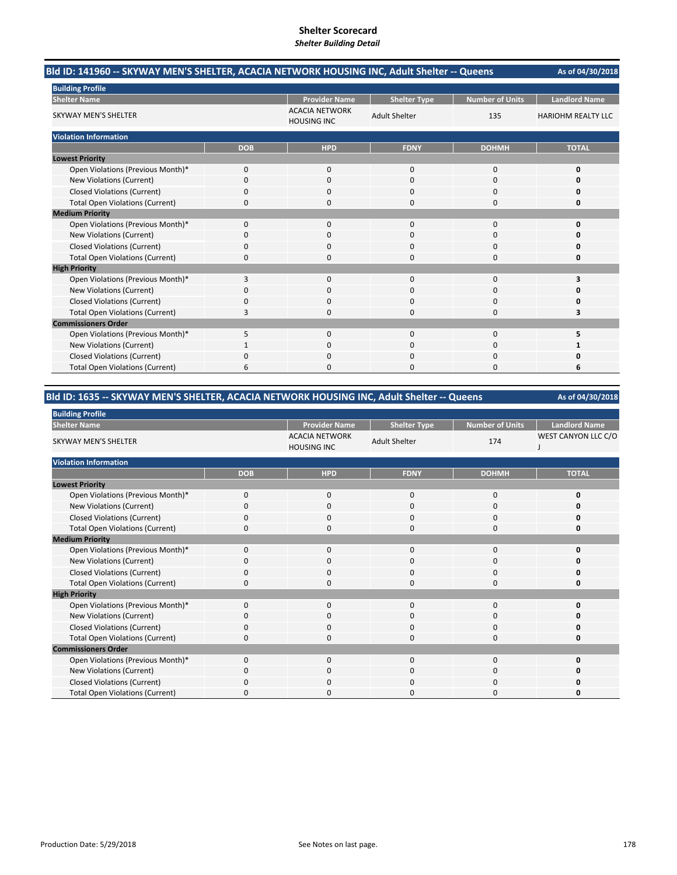| Bld ID: 141960 -- SKYWAY MEN'S SHELTER, ACACIA NETWORK HOUSING INC, Adult Shelter -- Queens |            |                                             |                      |                        | As of 04/30/2018          |  |
|---------------------------------------------------------------------------------------------|------------|---------------------------------------------|----------------------|------------------------|---------------------------|--|
| <b>Building Profile</b>                                                                     |            |                                             |                      |                        |                           |  |
| <b>Shelter Name</b>                                                                         |            | <b>Provider Name</b>                        | <b>Shelter Type</b>  | <b>Number of Units</b> | <b>Landlord Name</b>      |  |
| <b>SKYWAY MEN'S SHELTER</b>                                                                 |            | <b>ACACIA NETWORK</b><br><b>HOUSING INC</b> | <b>Adult Shelter</b> | 135                    | <b>HARIOHM REALTY LLC</b> |  |
| <b>Violation Information</b>                                                                |            |                                             |                      |                        |                           |  |
|                                                                                             | <b>DOB</b> | <b>HPD</b>                                  | <b>FDNY</b>          | <b>DOHMH</b>           | <b>TOTAL</b>              |  |
| <b>Lowest Priority</b>                                                                      |            |                                             |                      |                        |                           |  |
| Open Violations (Previous Month)*                                                           | 0          | 0                                           | 0                    | 0                      | 0                         |  |
| New Violations (Current)                                                                    | 0          | $\Omega$                                    | $\Omega$             | $\Omega$               | Ω                         |  |
| <b>Closed Violations (Current)</b>                                                          | 0          | $\Omega$                                    | 0                    | $\Omega$               | 0                         |  |
| <b>Total Open Violations (Current)</b>                                                      | 0          | 0                                           | 0                    | $\Omega$               | 0                         |  |
| <b>Medium Priority</b>                                                                      |            |                                             |                      |                        |                           |  |
| Open Violations (Previous Month)*                                                           | 0          | 0                                           | $\Omega$             | $\Omega$               | 0                         |  |
| New Violations (Current)                                                                    | 0          | 0                                           | 0                    | 0                      | n                         |  |
| <b>Closed Violations (Current)</b>                                                          | 0          | $\Omega$                                    | 0                    | $\Omega$               | 0                         |  |
| <b>Total Open Violations (Current)</b>                                                      | 0          | $\Omega$                                    | 0                    | $\Omega$               | 0                         |  |
| <b>High Priority</b>                                                                        |            |                                             |                      |                        |                           |  |
| Open Violations (Previous Month)*                                                           | 3          | $\Omega$                                    | $\Omega$             | $\Omega$               | 3                         |  |
| New Violations (Current)                                                                    | 0          | <sup>0</sup>                                | $\Omega$             | $\Omega$               | n                         |  |
| <b>Closed Violations (Current)</b>                                                          | 0          | 0                                           | 0                    | 0                      | 0                         |  |
| <b>Total Open Violations (Current)</b>                                                      | 3          | 0                                           | 0                    | 0                      | 3                         |  |
| <b>Commissioners Order</b>                                                                  |            |                                             |                      |                        |                           |  |
| Open Violations (Previous Month)*                                                           | 5          | $\Omega$                                    | $\Omega$             | $\Omega$               | 5                         |  |
| New Violations (Current)                                                                    |            | 0                                           | 0                    | 0                      |                           |  |
| <b>Closed Violations (Current)</b>                                                          | 0          | 0                                           | 0                    | 0                      | Ω                         |  |
| <b>Total Open Violations (Current)</b>                                                      | 6          | O                                           | O                    | $\Omega$               | 6                         |  |

# **Bld ID: 1635 ‐‐ SKYWAY MEN'S SHELTER, ACACIA NETWORK HOUSING INC, Adult Shelter ‐‐ Queens**

| <b>Building Profile</b>                |            |                                             |                      |                        |                      |
|----------------------------------------|------------|---------------------------------------------|----------------------|------------------------|----------------------|
| <b>Shelter Name</b>                    |            | <b>Provider Name</b>                        | <b>Shelter Type</b>  | <b>Number of Units</b> | <b>Landlord Name</b> |
| SKYWAY MEN'S SHELTER                   |            | <b>ACACIA NETWORK</b><br><b>HOUSING INC</b> | <b>Adult Shelter</b> | 174                    | WEST CANYON LLC C/O  |
| <b>Violation Information</b>           |            |                                             |                      |                        |                      |
|                                        | <b>DOB</b> | <b>HPD</b>                                  | <b>FDNY</b>          | <b>DOHMH</b>           | <b>TOTAL</b>         |
| <b>Lowest Priority</b>                 |            |                                             |                      |                        |                      |
| Open Violations (Previous Month)*      | 0          | 0                                           | 0                    | 0                      | O                    |
| New Violations (Current)               | $\Omega$   | 0                                           | 0                    | 0                      | ŋ                    |
| <b>Closed Violations (Current)</b>     | 0          | 0                                           | $\mathbf 0$          | 0                      | O                    |
| <b>Total Open Violations (Current)</b> | 0          | 0                                           | $\Omega$             | 0                      | O                    |
| <b>Medium Priority</b>                 |            |                                             |                      |                        |                      |
| Open Violations (Previous Month)*      | $\Omega$   | 0                                           | $\mathbf 0$          | 0                      | n                    |
| New Violations (Current)               | O          | 0                                           | 0                    | 0                      |                      |
| <b>Closed Violations (Current)</b>     | 0          | 0                                           | 0                    | 0                      |                      |
| <b>Total Open Violations (Current)</b> | 0          | 0                                           | $\Omega$             | 0                      | O                    |
| <b>High Priority</b>                   |            |                                             |                      |                        |                      |
| Open Violations (Previous Month)*      | $\Omega$   | 0                                           | 0                    | 0                      | n                    |
| New Violations (Current)               | C          | 0                                           | 0                    | 0                      |                      |
| <b>Closed Violations (Current)</b>     | 0          | 0                                           | 0                    | 0                      |                      |
| <b>Total Open Violations (Current)</b> | O          | 0                                           | 0                    | 0                      |                      |
| <b>Commissioners Order</b>             |            |                                             |                      |                        |                      |
| Open Violations (Previous Month)*      | $\Omega$   | 0                                           | $\mathbf 0$          | 0                      | n                    |
| New Violations (Current)               | 0          | 0                                           | 0                    | 0                      | n                    |
| <b>Closed Violations (Current)</b>     | 0          | 0                                           | $\Omega$             | 0                      |                      |
| <b>Total Open Violations (Current)</b> |            | 0                                           | ŋ                    | 0                      | Ω                    |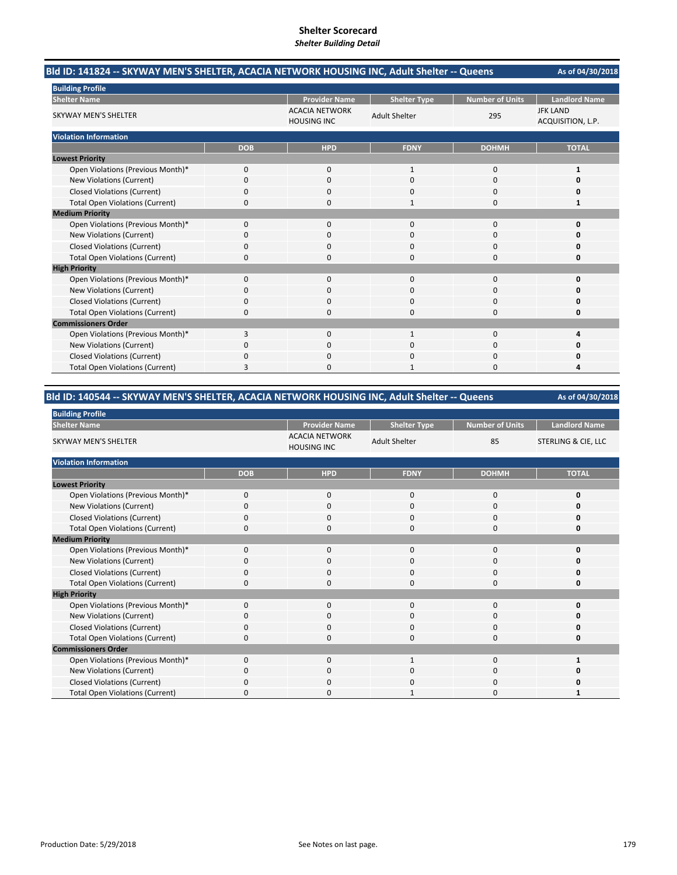| Bld ID: 141824 -- SKYWAY MEN'S SHELTER, ACACIA NETWORK HOUSING INC, Adult Shelter -- Queens |            |                                             |                      |                        | As of 04/30/2018                     |
|---------------------------------------------------------------------------------------------|------------|---------------------------------------------|----------------------|------------------------|--------------------------------------|
| <b>Building Profile</b>                                                                     |            |                                             |                      |                        |                                      |
| <b>Shelter Name</b>                                                                         |            | <b>Provider Name</b>                        | <b>Shelter Type</b>  | <b>Number of Units</b> | <b>Landlord Name</b>                 |
| <b>SKYWAY MEN'S SHELTER</b>                                                                 |            | <b>ACACIA NETWORK</b><br><b>HOUSING INC</b> | <b>Adult Shelter</b> | 295                    | <b>JFK LAND</b><br>ACQUISITION, L.P. |
| <b>Violation Information</b>                                                                |            |                                             |                      |                        |                                      |
|                                                                                             | <b>DOB</b> | <b>HPD</b>                                  | <b>FDNY</b>          | <b>DOHMH</b>           | <b>TOTAL</b>                         |
| <b>Lowest Priority</b>                                                                      |            |                                             |                      |                        |                                      |
| Open Violations (Previous Month)*                                                           | $\Omega$   | $\Omega$                                    | $\mathbf{1}$         | $\Omega$               | 1                                    |
| New Violations (Current)                                                                    | 0          | $\Omega$                                    | $\Omega$             | 0                      | O                                    |
| <b>Closed Violations (Current)</b>                                                          | 0          | 0                                           | 0                    | 0                      | 0                                    |
| <b>Total Open Violations (Current)</b>                                                      | 0          | 0                                           | 1                    | 0                      | 1                                    |
| <b>Medium Priority</b>                                                                      |            |                                             |                      |                        |                                      |
| Open Violations (Previous Month)*                                                           | $\Omega$   | $\Omega$                                    | $\Omega$             | $\Omega$               | $\Omega$                             |
| New Violations (Current)                                                                    | 0          | 0                                           | 0                    | 0                      | O                                    |
| <b>Closed Violations (Current)</b>                                                          | 0          | 0                                           | 0                    | 0                      | Ω                                    |
| <b>Total Open Violations (Current)</b>                                                      | 0          | 0                                           | $\Omega$             | 0                      | 0                                    |
| <b>High Priority</b>                                                                        |            |                                             |                      |                        |                                      |
| Open Violations (Previous Month)*                                                           | 0          | $\mathbf{0}$                                | $\mathbf{0}$         | 0                      | $\Omega$                             |
| New Violations (Current)                                                                    | 0          | 0                                           | $\Omega$             | $\Omega$               | O                                    |
| <b>Closed Violations (Current)</b>                                                          | 0          | 0                                           | 0                    | 0                      | 0                                    |
| <b>Total Open Violations (Current)</b>                                                      | 0          | 0                                           | $\Omega$             | 0                      | 0                                    |
| <b>Commissioners Order</b>                                                                  |            |                                             |                      |                        |                                      |
| Open Violations (Previous Month)*                                                           | 3          | $\Omega$                                    | $\mathbf{1}$         | $\Omega$               | Δ                                    |
| New Violations (Current)                                                                    | 0          | 0                                           | 0                    | 0                      | 0                                    |
| <b>Closed Violations (Current)</b>                                                          | 0          | 0                                           | 0                    | 0                      | O                                    |
| <b>Total Open Violations (Current)</b>                                                      | 3          | ŋ                                           |                      | $\Omega$               | Δ                                    |

# **Bld ID: 140544 ‐‐ SKYWAY MEN'S SHELTER, ACACIA NETWORK HOUSING INC, Adult Shelter ‐‐ Queens**

| <b>Building Profile</b>                |             |                                             |                      |                        |                                |
|----------------------------------------|-------------|---------------------------------------------|----------------------|------------------------|--------------------------------|
| <b>Shelter Name</b>                    |             | <b>Provider Name</b>                        | <b>Shelter Type</b>  | <b>Number of Units</b> | <b>Landlord Name</b>           |
| <b>SKYWAY MEN'S SHELTER</b>            |             | <b>ACACIA NETWORK</b><br><b>HOUSING INC</b> | <b>Adult Shelter</b> | 85                     | <b>STERLING &amp; CIE, LLC</b> |
| <b>Violation Information</b>           |             |                                             |                      |                        |                                |
|                                        | <b>DOB</b>  | <b>HPD</b>                                  | <b>FDNY</b>          | <b>DOHMH</b>           | <b>TOTAL</b>                   |
| <b>Lowest Priority</b>                 |             |                                             |                      |                        |                                |
| Open Violations (Previous Month)*      | $\mathbf 0$ | $\mathbf 0$                                 | $\mathbf{0}$         | $\mathbf 0$            | 0                              |
| New Violations (Current)               | $\Omega$    | $\mathbf 0$                                 | $\mathbf{0}$         | 0                      | 0                              |
| <b>Closed Violations (Current)</b>     | $\mathbf 0$ | 0                                           | $\mathbf{0}$         | 0                      | O                              |
| <b>Total Open Violations (Current)</b> | $\Omega$    | $\Omega$                                    | $\Omega$             | 0                      | 0                              |
| <b>Medium Priority</b>                 |             |                                             |                      |                        |                                |
| Open Violations (Previous Month)*      | $\Omega$    | $\mathbf 0$                                 | $\mathbf 0$          | 0                      | O                              |
| New Violations (Current)               | Ω           | $\Omega$                                    | 0                    | 0                      |                                |
| <b>Closed Violations (Current)</b>     | $\mathbf 0$ | $\mathbf 0$                                 | $\mathbf{0}$         | 0                      | 0                              |
| <b>Total Open Violations (Current)</b> | $\Omega$    | $\Omega$                                    | $\Omega$             | $\Omega$               | O                              |
| <b>High Priority</b>                   |             |                                             |                      |                        |                                |
| Open Violations (Previous Month)*      | $\Omega$    | $\mathbf 0$                                 | $\mathbf{0}$         | 0                      | O                              |
| New Violations (Current)               | O           | $\Omega$                                    | 0                    | 0                      | Ω                              |
| <b>Closed Violations (Current)</b>     | 0           | $\mathbf 0$                                 | $\mathbf{0}$         | 0                      | 0                              |
| <b>Total Open Violations (Current)</b> | $\Omega$    | $\Omega$                                    | $\Omega$             | $\Omega$               | ŋ                              |
| <b>Commissioners Order</b>             |             |                                             |                      |                        |                                |
| Open Violations (Previous Month)*      | $\Omega$    | $\mathbf{0}$                                |                      | 0                      |                                |
| New Violations (Current)               | O           | $\mathbf 0$                                 | 0                    | 0                      | o                              |
| <b>Closed Violations (Current)</b>     | $\Omega$    | $\mathbf 0$                                 | $\mathbf{0}$         | 0                      | Ω                              |
| <b>Total Open Violations (Current)</b> | $\Omega$    | $\Omega$                                    |                      | $\Omega$               |                                |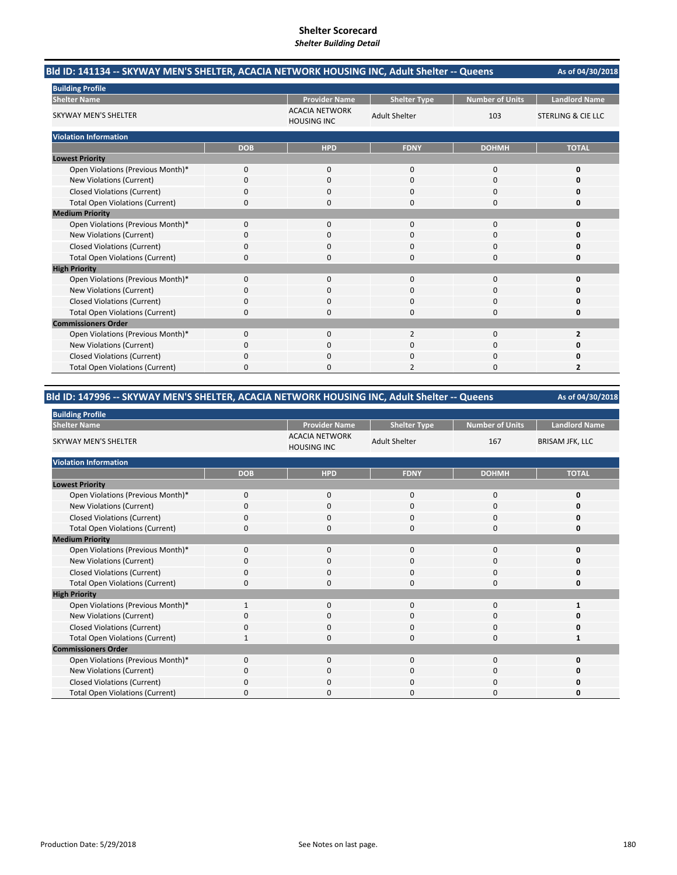| Bld ID: 141134 -- SKYWAY MEN'S SHELTER, ACACIA NETWORK HOUSING INC, Adult Shelter -- Queens |            |                                             |                      |                        | As of 04/30/2018              |
|---------------------------------------------------------------------------------------------|------------|---------------------------------------------|----------------------|------------------------|-------------------------------|
| <b>Building Profile</b>                                                                     |            |                                             |                      |                        |                               |
| <b>Shelter Name</b>                                                                         |            | <b>Provider Name</b>                        | <b>Shelter Type</b>  | <b>Number of Units</b> | <b>Landlord Name</b>          |
| <b>SKYWAY MEN'S SHELTER</b>                                                                 |            | <b>ACACIA NETWORK</b><br><b>HOUSING INC</b> | <b>Adult Shelter</b> | 103                    | <b>STERLING &amp; CIE LLC</b> |
| <b>Violation Information</b>                                                                |            |                                             |                      |                        |                               |
|                                                                                             | <b>DOB</b> | <b>HPD</b>                                  | <b>FDNY</b>          | <b>DOHMH</b>           | <b>TOTAL</b>                  |
| <b>Lowest Priority</b>                                                                      |            |                                             |                      |                        |                               |
| Open Violations (Previous Month)*                                                           | 0          | $\Omega$                                    | $\Omega$             | $\Omega$               | 0                             |
| New Violations (Current)                                                                    | 0          | $\Omega$                                    | $\Omega$             | $\Omega$               | o                             |
| <b>Closed Violations (Current)</b>                                                          | 0          | $\Omega$                                    | 0                    | $\Omega$               | 0                             |
| <b>Total Open Violations (Current)</b>                                                      | 0          | $\Omega$                                    | 0                    | $\Omega$               | 0                             |
| <b>Medium Priority</b>                                                                      |            |                                             |                      |                        |                               |
| Open Violations (Previous Month)*                                                           | 0          | $\Omega$                                    | $\Omega$             | $\Omega$               | $\Omega$                      |
| New Violations (Current)                                                                    | 0          | 0                                           | O                    | 0                      | Ω                             |
| <b>Closed Violations (Current)</b>                                                          | 0          | 0                                           | 0                    | 0                      | 0                             |
| <b>Total Open Violations (Current)</b>                                                      | $\Omega$   | $\Omega$                                    | 0                    | $\Omega$               | 0                             |
| <b>High Priority</b>                                                                        |            |                                             |                      |                        |                               |
| Open Violations (Previous Month)*                                                           | 0          | $\Omega$                                    | $\mathbf{0}$         | $\Omega$               | $\Omega$                      |
| New Violations (Current)                                                                    | $\Omega$   | <sup>0</sup>                                | $\Omega$             | $\Omega$               | o                             |
| <b>Closed Violations (Current)</b>                                                          | 0          | 0                                           | 0                    | 0                      | 0                             |
| <b>Total Open Violations (Current)</b>                                                      | 0          | 0                                           | 0                    | $\Omega$               | 0                             |
| <b>Commissioners Order</b>                                                                  |            |                                             |                      |                        |                               |
| Open Violations (Previous Month)*                                                           | $\Omega$   | $\Omega$                                    | $\overline{2}$       | $\Omega$               | $\overline{2}$                |
| New Violations (Current)                                                                    | 0          | 0                                           | $\Omega$             | $\Omega$               | o                             |
| <b>Closed Violations (Current)</b>                                                          | 0          | 0                                           | 0                    | 0                      | 0                             |
| <b>Total Open Violations (Current)</b>                                                      | 0          | O                                           | 2                    | $\Omega$               | 2                             |

# **Bld ID: 147996 ‐‐ SKYWAY MEN'S SHELTER, ACACIA NETWORK HOUSING INC, Adult Shelter ‐‐ Queens**

| <b>Building Profile</b>                |              |                                             |                      |                        |                        |
|----------------------------------------|--------------|---------------------------------------------|----------------------|------------------------|------------------------|
| <b>Shelter Name</b>                    |              | <b>Provider Name</b>                        | <b>Shelter Type</b>  | <b>Number of Units</b> | <b>Landlord Name</b>   |
| <b>SKYWAY MEN'S SHELTER</b>            |              | <b>ACACIA NETWORK</b><br><b>HOUSING INC</b> | <b>Adult Shelter</b> | 167                    | <b>BRISAM JFK, LLC</b> |
| <b>Violation Information</b>           |              |                                             |                      |                        |                        |
|                                        | <b>DOB</b>   | <b>HPD</b>                                  | <b>FDNY</b>          | <b>DOHMH</b>           | <b>TOTAL</b>           |
| <b>Lowest Priority</b>                 |              |                                             |                      |                        |                        |
| Open Violations (Previous Month)*      | $\mathbf 0$  | $\mathbf 0$                                 | 0                    | $\mathbf 0$            | n                      |
| New Violations (Current)               | 0            | $\mathbf 0$                                 | 0                    | $\mathbf 0$            |                        |
| <b>Closed Violations (Current)</b>     | 0            | $\mathbf 0$                                 | 0                    | 0                      |                        |
| <b>Total Open Violations (Current)</b> | 0            | $\Omega$                                    | $\Omega$             | $\mathbf 0$            | n                      |
| <b>Medium Priority</b>                 |              |                                             |                      |                        |                        |
| Open Violations (Previous Month)*      | $\Omega$     | $\Omega$                                    | 0                    | $\mathbf 0$            | n                      |
| New Violations (Current)               | 0            | $\Omega$                                    | 0                    | 0                      |                        |
| <b>Closed Violations (Current)</b>     | 0            | $\mathbf 0$                                 | 0                    | $\mathbf 0$            |                        |
| <b>Total Open Violations (Current)</b> | $\Omega$     | $\Omega$                                    | $\Omega$             | $\Omega$               | n                      |
| <b>High Priority</b>                   |              |                                             |                      |                        |                        |
| Open Violations (Previous Month)*      | $\mathbf{1}$ | $\mathbf 0$                                 | 0                    | $\mathbf 0$            |                        |
| New Violations (Current)               |              | 0                                           | 0                    | 0                      |                        |
| <b>Closed Violations (Current)</b>     | 0            | $\mathbf 0$                                 | 0                    | 0                      |                        |
| <b>Total Open Violations (Current)</b> | 1            | $\Omega$                                    | $\Omega$             | $\mathbf 0$            | 1                      |
| <b>Commissioners Order</b>             |              |                                             |                      |                        |                        |
| Open Violations (Previous Month)*      | $\Omega$     | $\Omega$                                    | $\Omega$             | $\mathbf 0$            |                        |
| New Violations (Current)               | 0            | 0                                           | 0                    | 0                      |                        |
| <b>Closed Violations (Current)</b>     | 0            | $\mathbf 0$                                 | 0                    | 0                      |                        |
| <b>Total Open Violations (Current)</b> | U            | $\Omega$                                    | $\Omega$             | $\mathbf 0$            | Ω                      |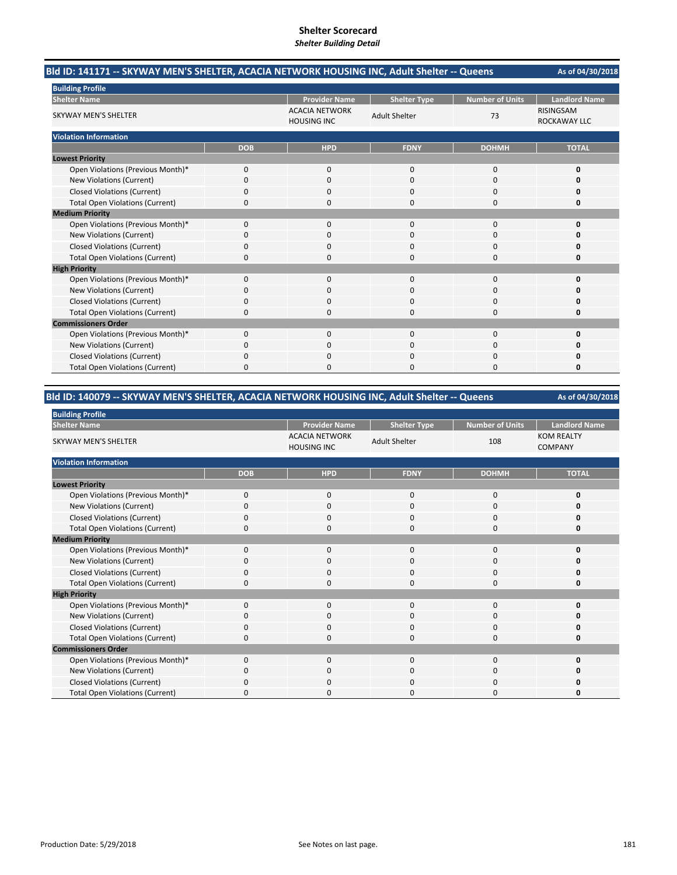| Bld ID: 141171 -- SKYWAY MEN'S SHELTER, ACACIA NETWORK HOUSING INC, Adult Shelter -- Queens |            |                                             |                      |                        | As of 04/30/2018                        |
|---------------------------------------------------------------------------------------------|------------|---------------------------------------------|----------------------|------------------------|-----------------------------------------|
| <b>Building Profile</b>                                                                     |            |                                             |                      |                        |                                         |
| <b>Shelter Name</b>                                                                         |            | <b>Provider Name</b>                        | <b>Shelter Type</b>  | <b>Number of Units</b> | <b>Landlord Name</b>                    |
| <b>SKYWAY MEN'S SHELTER</b>                                                                 |            | <b>ACACIA NETWORK</b><br><b>HOUSING INC</b> | <b>Adult Shelter</b> | 73                     | <b>RISINGSAM</b><br><b>ROCKAWAY LLC</b> |
| <b>Violation Information</b>                                                                |            |                                             |                      |                        |                                         |
|                                                                                             | <b>DOB</b> | <b>HPD</b>                                  | <b>FDNY</b>          | <b>DOHMH</b>           | <b>TOTAL</b>                            |
| <b>Lowest Priority</b>                                                                      |            |                                             |                      |                        |                                         |
| Open Violations (Previous Month)*                                                           | 0          | $\mathbf{0}$                                | $\mathbf 0$          | 0                      | 0                                       |
| New Violations (Current)                                                                    | 0          | $\Omega$                                    | $\Omega$             | $\Omega$               | O                                       |
| <b>Closed Violations (Current)</b>                                                          | 0          | 0                                           | 0                    | 0                      | 0                                       |
| <b>Total Open Violations (Current)</b>                                                      | 0          | $\Omega$                                    | $\Omega$             | 0                      | 0                                       |
| <b>Medium Priority</b>                                                                      |            |                                             |                      |                        |                                         |
| Open Violations (Previous Month)*                                                           | $\Omega$   | $\Omega$                                    | $\Omega$             | $\Omega$               | $\Omega$                                |
| New Violations (Current)                                                                    | 0          | 0                                           | 0                    | 0                      | n                                       |
| <b>Closed Violations (Current)</b>                                                          | 0          | 0                                           | 0                    | 0                      | Ω                                       |
| <b>Total Open Violations (Current)</b>                                                      | $\Omega$   | $\Omega$                                    | $\Omega$             | $\Omega$               | 0                                       |
| <b>High Priority</b>                                                                        |            |                                             |                      |                        |                                         |
| Open Violations (Previous Month)*                                                           | $\Omega$   | $\Omega$                                    | $\Omega$             | $\Omega$               | 0                                       |
| New Violations (Current)                                                                    | 0          | $\Omega$                                    | $\Omega$             | $\Omega$               | O                                       |
| <b>Closed Violations (Current)</b>                                                          | 0          | 0                                           | $\Omega$             | 0                      | 0                                       |
| <b>Total Open Violations (Current)</b>                                                      | 0          | 0                                           | $\Omega$             | 0                      | 0                                       |
| <b>Commissioners Order</b>                                                                  |            |                                             |                      |                        |                                         |
| Open Violations (Previous Month)*                                                           | $\Omega$   | $\Omega$                                    | $\Omega$             | $\Omega$               | 0                                       |
| New Violations (Current)                                                                    | 0          | 0                                           | $\Omega$             | $\Omega$               | O                                       |
| <b>Closed Violations (Current)</b>                                                          | 0          | 0                                           | 0                    | 0                      |                                         |
| <b>Total Open Violations (Current)</b>                                                      | 0          | n                                           | O                    | O                      | O                                       |

### **Bld ID: 140079 ‐‐ SKYWAY MEN'S SHELTER, ACACIA NETWORK HOUSING INC, Adult Shelter ‐‐ Queens**

| <b>Building Profile</b>                |             |                                             |                      |                        |                                     |  |
|----------------------------------------|-------------|---------------------------------------------|----------------------|------------------------|-------------------------------------|--|
| <b>Shelter Name</b>                    |             | <b>Provider Name</b>                        | <b>Shelter Type</b>  | <b>Number of Units</b> | <b>Landlord Name</b>                |  |
| <b>SKYWAY MEN'S SHELTER</b>            |             | <b>ACACIA NETWORK</b><br><b>HOUSING INC</b> | <b>Adult Shelter</b> | 108                    | <b>KOM REALTY</b><br><b>COMPANY</b> |  |
| <b>Violation Information</b>           |             |                                             |                      |                        |                                     |  |
|                                        | <b>DOB</b>  | <b>HPD</b>                                  | <b>FDNY</b>          | <b>DOHMH</b>           | <b>TOTAL</b>                        |  |
| <b>Lowest Priority</b>                 |             |                                             |                      |                        |                                     |  |
| Open Violations (Previous Month)*      | $\mathbf 0$ | 0                                           | 0                    | 0                      | 0                                   |  |
| New Violations (Current)               | $\Omega$    | $\mathbf 0$                                 | $\Omega$             | 0                      | 0                                   |  |
| <b>Closed Violations (Current)</b>     | $\Omega$    | $\mathbf 0$                                 | $\Omega$             | 0                      | 0                                   |  |
| <b>Total Open Violations (Current)</b> | $\Omega$    | $\mathbf 0$                                 | $\Omega$             | 0                      | 0                                   |  |
| <b>Medium Priority</b>                 |             |                                             |                      |                        |                                     |  |
| Open Violations (Previous Month)*      | $\mathbf 0$ | $\mathbf 0$                                 | $\mathbf 0$          | 0                      | 0                                   |  |
| New Violations (Current)               | $\Omega$    | $\mathbf 0$                                 | $\Omega$             | 0                      | O                                   |  |
| <b>Closed Violations (Current)</b>     | $\Omega$    | $\mathbf 0$                                 | $\mathbf 0$          | 0                      | O                                   |  |
| <b>Total Open Violations (Current)</b> | $\Omega$    | $\Omega$                                    | $\Omega$             | $\mathbf 0$            | 0                                   |  |
| <b>High Priority</b>                   |             |                                             |                      |                        |                                     |  |
| Open Violations (Previous Month)*      | $\Omega$    | $\mathbf 0$                                 | $\mathbf{0}$         | $\mathbf 0$            | O                                   |  |
| New Violations (Current)               | $\Omega$    | $\mathbf 0$                                 | $\mathbf 0$          | 0                      | Ω                                   |  |
| <b>Closed Violations (Current)</b>     | $\mathbf 0$ | $\mathbf 0$                                 | $\mathbf 0$          | 0                      | 0                                   |  |
| <b>Total Open Violations (Current)</b> | $\Omega$    | $\Omega$                                    | $\Omega$             | 0                      | O                                   |  |
| <b>Commissioners Order</b>             |             |                                             |                      |                        |                                     |  |
| Open Violations (Previous Month)*      | $\Omega$    | $\mathbf{0}$                                | $\mathbf{0}$         | 0                      | O                                   |  |
| New Violations (Current)               | 0           | $\mathbf 0$                                 | 0                    | 0                      | 0                                   |  |
| <b>Closed Violations (Current)</b>     | 0           | $\mathbf 0$                                 | $\mathbf 0$          | 0                      | O                                   |  |
| <b>Total Open Violations (Current)</b> | $\Omega$    | $\Omega$                                    | $\Omega$             | 0                      | O                                   |  |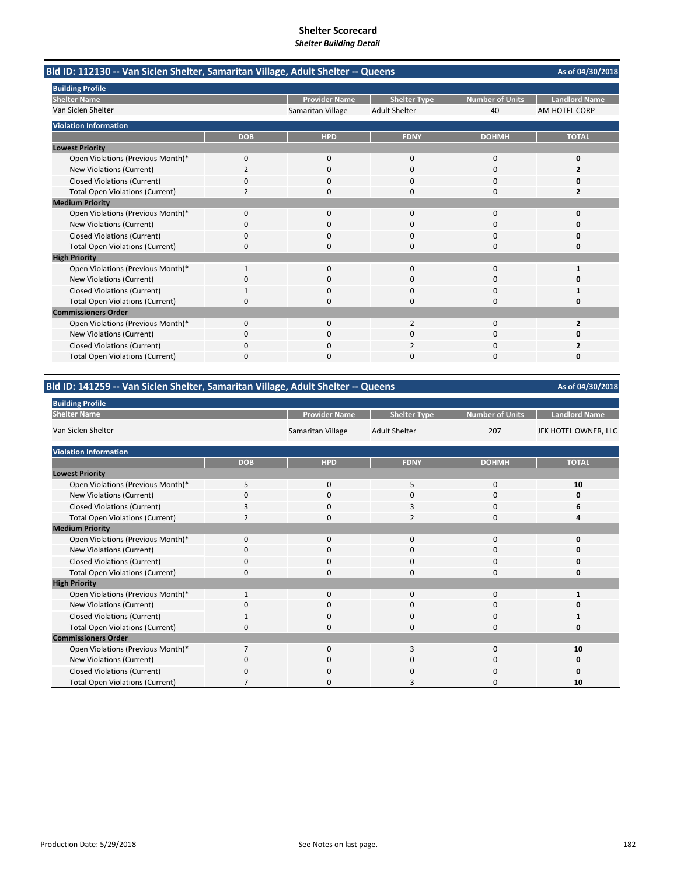| Bld ID: 112130 -- Van Siclen Shelter, Samaritan Village, Adult Shelter -- Queens |                |                      |                      |                        | As of 04/30/2018     |
|----------------------------------------------------------------------------------|----------------|----------------------|----------------------|------------------------|----------------------|
| <b>Building Profile</b>                                                          |                |                      |                      |                        |                      |
| <b>Shelter Name</b>                                                              |                | <b>Provider Name</b> | <b>Shelter Type</b>  | <b>Number of Units</b> | <b>Landlord Name</b> |
| Van Siclen Shelter                                                               |                | Samaritan Village    | <b>Adult Shelter</b> | 40                     | AM HOTEL CORP        |
| <b>Violation Information</b>                                                     |                |                      |                      |                        |                      |
|                                                                                  | <b>DOB</b>     | <b>HPD</b>           | <b>FDNY</b>          | <b>DOHMH</b>           | <b>TOTAL</b>         |
| <b>Lowest Priority</b>                                                           |                |                      |                      |                        |                      |
| Open Violations (Previous Month)*                                                | 0              | $\mathbf{0}$         | 0                    | 0                      | 0                    |
| New Violations (Current)                                                         | $\overline{2}$ | $\Omega$             | $\Omega$             | 0                      | 2                    |
| <b>Closed Violations (Current)</b>                                               | 0              | 0                    | $\Omega$             | 0                      | O                    |
| <b>Total Open Violations (Current)</b>                                           | 2              | 0                    | 0                    | 0                      | 2                    |
| <b>Medium Priority</b>                                                           |                |                      |                      |                        |                      |
| Open Violations (Previous Month)*                                                | 0              | 0                    | 0                    | 0                      | 0                    |
| New Violations (Current)                                                         | 0              | 0                    | 0                    | 0                      | O                    |
| <b>Closed Violations (Current)</b>                                               | 0              | ŋ                    | 0                    | 0                      | Ω                    |
| <b>Total Open Violations (Current)</b>                                           | 0              | 0                    | 0                    | 0                      | 0                    |
| <b>High Priority</b>                                                             |                |                      |                      |                        |                      |
| Open Violations (Previous Month)*                                                |                | 0                    | $\Omega$             | $\Omega$               |                      |
| New Violations (Current)                                                         | 0              | 0                    | $\Omega$             | 0                      | Ω                    |
| <b>Closed Violations (Current)</b>                                               |                | 0                    | $\Omega$             | 0                      |                      |
| <b>Total Open Violations (Current)</b>                                           | 0              | ŋ                    | 0                    | O                      | Ω                    |
| <b>Commissioners Order</b>                                                       |                |                      |                      |                        |                      |
| Open Violations (Previous Month)*                                                | $\Omega$       | $\Omega$             |                      | $\Omega$               | 2                    |
| New Violations (Current)                                                         | 0              | ŋ                    | ი                    | 0                      |                      |
| <b>Closed Violations (Current)</b>                                               | 0              | 0                    |                      | 0                      |                      |
| <b>Total Open Violations (Current)</b>                                           | ŋ              |                      | n                    | n                      | n                    |

# **Bld ID: 141259 ‐‐ Van Siclen Shelter, Samaritan Village, Adult Shelter ‐‐ Queens**

**As of 04/30/2018**

| <b>Bullding Profile</b>                |                |                      |                      |                 |                      |
|----------------------------------------|----------------|----------------------|----------------------|-----------------|----------------------|
| <b>Shelter Name</b>                    |                | <b>Provider Name</b> | <b>Shelter Type</b>  | Number of Units | <b>Landlord Name</b> |
| Van Siclen Shelter                     |                | Samaritan Village    | <b>Adult Shelter</b> | 207             | JFK HOTEL OWNER, LLC |
| <b>Violation Information</b>           |                |                      |                      |                 |                      |
|                                        | <b>DOB</b>     | <b>HPD</b>           | <b>FDNY</b>          | <b>DOHMH</b>    | <b>TOTAL</b>         |
| <b>Lowest Priority</b>                 |                |                      |                      |                 |                      |
| Open Violations (Previous Month)*      | 5              | $\mathbf{0}$         | 5                    | 0               | 10                   |
| New Violations (Current)               | $\Omega$       | $\mathbf{0}$         | 0                    | 0               | 0                    |
| <b>Closed Violations (Current)</b>     |                | 0                    | 3                    | $\mathbf{0}$    | 6                    |
| <b>Total Open Violations (Current)</b> | 2              | 0                    | $\overline{2}$       | $\mathbf{0}$    | 4                    |
| <b>Medium Priority</b>                 |                |                      |                      |                 |                      |
| Open Violations (Previous Month)*      | 0              | 0                    | 0                    | 0               | 0                    |
| New Violations (Current)               | $\Omega$       | 0                    | $\Omega$             | 0               | ŋ                    |
| <b>Closed Violations (Current)</b>     | 0              | 0                    | 0                    | 0               | 0                    |
| <b>Total Open Violations (Current)</b> | $\Omega$       | 0                    | $\Omega$             | $\mathbf{0}$    | ŋ                    |
| <b>High Priority</b>                   |                |                      |                      |                 |                      |
| Open Violations (Previous Month)*      |                | 0                    | 0                    | $\mathbf{0}$    |                      |
| New Violations (Current)               | 0              | 0                    | 0                    | 0               | 0                    |
| Closed Violations (Current)            |                | 0                    | $\mathbf{0}$         | 0               |                      |
| <b>Total Open Violations (Current)</b> | 0              | 0                    | 0                    | 0               | 0                    |
| <b>Commissioners Order</b>             |                |                      |                      |                 |                      |
| Open Violations (Previous Month)*      | $\overline{7}$ | 0                    | 3                    | 0               | 10                   |
| New Violations (Current)               | 0              | 0                    | 0                    | 0               | 0                    |
| <b>Closed Violations (Current)</b>     | $\Omega$       | 0                    | 0                    | 0               | 0                    |
| <b>Total Open Violations (Current)</b> |                | 0                    | 3                    | 0               | 10                   |

**Building Profile**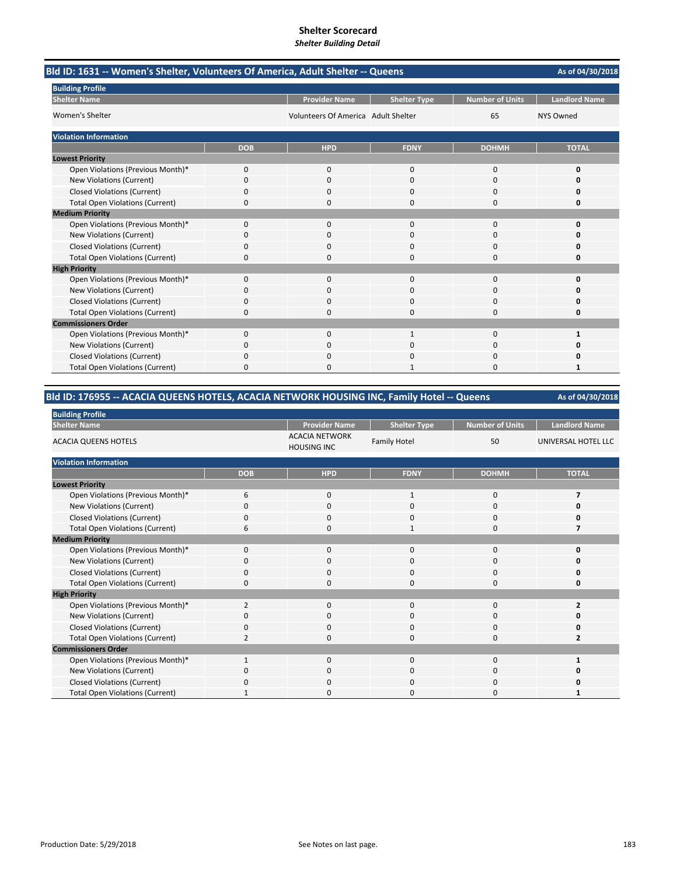|                                        | Bld ID: 1631 -- Women's Shelter, Volunteers Of America, Adult Shelter -- Queens |                                     |                     |                        |                      |  |  |
|----------------------------------------|---------------------------------------------------------------------------------|-------------------------------------|---------------------|------------------------|----------------------|--|--|
| <b>Building Profile</b>                |                                                                                 |                                     |                     |                        |                      |  |  |
| <b>Shelter Name</b>                    |                                                                                 | <b>Provider Name</b>                | <b>Shelter Type</b> | <b>Number of Units</b> | <b>Landlord Name</b> |  |  |
| Women's Shelter                        |                                                                                 | Volunteers Of America Adult Shelter |                     | 65                     | <b>NYS Owned</b>     |  |  |
| <b>Violation Information</b>           |                                                                                 |                                     |                     |                        |                      |  |  |
|                                        | <b>DOB</b>                                                                      | <b>HPD</b>                          | <b>FDNY</b>         | <b>DOHMH</b>           | <b>TOTAL</b>         |  |  |
| <b>Lowest Priority</b>                 |                                                                                 |                                     |                     |                        |                      |  |  |
| Open Violations (Previous Month)*      | 0                                                                               | 0                                   | 0                   | 0                      | 0                    |  |  |
| New Violations (Current)               | 0                                                                               | 0                                   | $\Omega$            | $\Omega$               | n                    |  |  |
| <b>Closed Violations (Current)</b>     | 0                                                                               | 0                                   | 0                   | $\Omega$               | o                    |  |  |
| <b>Total Open Violations (Current)</b> | 0                                                                               | 0                                   | 0                   | $\Omega$               | O                    |  |  |
| <b>Medium Priority</b>                 |                                                                                 |                                     |                     |                        |                      |  |  |
| Open Violations (Previous Month)*      | 0                                                                               | 0                                   | $\Omega$            | $\Omega$               | O                    |  |  |
| New Violations (Current)               | n                                                                               | 0                                   | O                   | 0                      |                      |  |  |
| <b>Closed Violations (Current)</b>     | 0                                                                               | $\Omega$                            | 0                   | $\Omega$               | O                    |  |  |
| <b>Total Open Violations (Current)</b> | 0                                                                               | $\Omega$                            | 0                   | $\Omega$               | 0                    |  |  |
| <b>High Priority</b>                   |                                                                                 |                                     |                     |                        |                      |  |  |
| Open Violations (Previous Month)*      | 0                                                                               | $\Omega$                            | $\Omega$            | $\Omega$               | O                    |  |  |
| New Violations (Current)               | 0                                                                               | $\Omega$                            | $\Omega$            | $\Omega$               | n                    |  |  |
| <b>Closed Violations (Current)</b>     | 0                                                                               | 0                                   | 0                   | $\Omega$               | 0                    |  |  |
| <b>Total Open Violations (Current)</b> | 0                                                                               | 0                                   | 0                   | 0                      | 0                    |  |  |
| <b>Commissioners Order</b>             |                                                                                 |                                     |                     |                        |                      |  |  |
| Open Violations (Previous Month)*      | $\Omega$                                                                        | $\Omega$                            | $\mathbf{1}$        | $\Omega$               | 1                    |  |  |
| New Violations (Current)               | n                                                                               | 0                                   | 0                   | 0                      |                      |  |  |
| <b>Closed Violations (Current)</b>     | 0                                                                               | 0                                   | 0                   | 0                      | Ω                    |  |  |
| <b>Total Open Violations (Current)</b> | 0                                                                               | <sup>0</sup>                        |                     | $\Omega$               | 1                    |  |  |

### **Bld ID: 176955 ‐‐ ACACIA QUEENS HOTELS, ACACIA NETWORK HOUSING INC, Family Hotel ‐‐ Queens**

| <b>Building Profile</b>                |                |                                             |                     |                 |                      |
|----------------------------------------|----------------|---------------------------------------------|---------------------|-----------------|----------------------|
| <b>Shelter Name</b>                    |                | <b>Provider Name</b>                        | <b>Shelter Type</b> | Number of Units | <b>Landlord Name</b> |
| <b>ACACIA QUEENS HOTELS</b>            |                | <b>ACACIA NETWORK</b><br><b>HOUSING INC</b> | <b>Family Hotel</b> | 50              | UNIVERSAL HOTEL LLC  |
| <b>Violation Information</b>           |                |                                             |                     |                 |                      |
|                                        | <b>DOB</b>     | <b>HPD</b>                                  | <b>FDNY</b>         | <b>DOHMH</b>    | <b>TOTAL</b>         |
| <b>Lowest Priority</b>                 |                |                                             |                     |                 |                      |
| Open Violations (Previous Month)*      | 6              | $\mathbf 0$                                 | $\mathbf{1}$        | $\mathbf 0$     | 7                    |
| New Violations (Current)               | ŋ              | $\mathbf 0$                                 | 0                   | $\mathbf 0$     |                      |
| <b>Closed Violations (Current)</b>     | 0              | $\mathbf 0$                                 | 0                   | 0               |                      |
| <b>Total Open Violations (Current)</b> | 6              | $\Omega$                                    | $\mathbf{1}$        | $\mathbf 0$     |                      |
| <b>Medium Priority</b>                 |                |                                             |                     |                 |                      |
| Open Violations (Previous Month)*      | $\Omega$       | $\Omega$                                    | $\mathbf 0$         | $\mathbf 0$     |                      |
| New Violations (Current)               | 0              | $\Omega$                                    | 0                   | 0               |                      |
| <b>Closed Violations (Current)</b>     | 0              | $\mathbf 0$                                 | 0                   | $\mathbf 0$     |                      |
| <b>Total Open Violations (Current)</b> | 0              | $\Omega$                                    | 0                   | $\mathbf 0$     | 0                    |
| <b>High Priority</b>                   |                |                                             |                     |                 |                      |
| Open Violations (Previous Month)*      | 2              | $\Omega$                                    | $\mathbf 0$         | $\mathbf 0$     | 2                    |
| New Violations (Current)               | 0              | $\Omega$                                    | 0                   | 0               |                      |
| <b>Closed Violations (Current)</b>     | $\Omega$       | $\Omega$                                    | $\mathbf 0$         | $\mathbf 0$     |                      |
| <b>Total Open Violations (Current)</b> | $\overline{2}$ | $\Omega$                                    | 0                   | $\mathbf 0$     | 2                    |
| <b>Commissioners Order</b>             |                |                                             |                     |                 |                      |
| Open Violations (Previous Month)*      | $\mathbf{1}$   | $\mathbf 0$                                 | $\mathbf 0$         | 0               |                      |
| New Violations (Current)               | O              | $\mathbf 0$                                 | 0                   | 0               |                      |
| Closed Violations (Current)            | O              | $\Omega$                                    | 0                   | 0               |                      |
| <b>Total Open Violations (Current)</b> |                | $\Omega$                                    | 0                   | 0               |                      |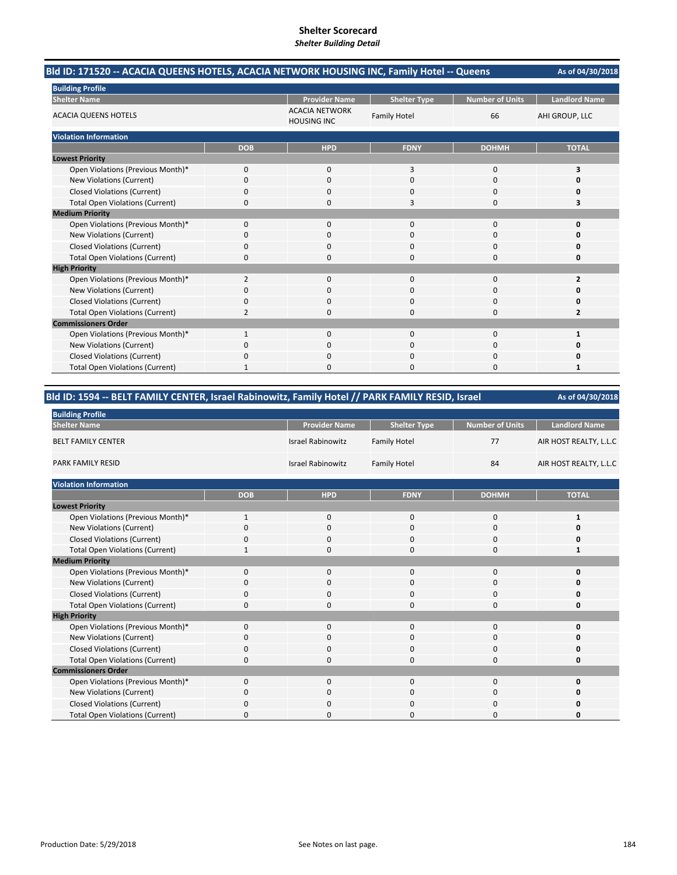| Bld ID: 171520 -- ACACIA QUEENS HOTELS, ACACIA NETWORK HOUSING INC, Family Hotel -- Queens |                |                                             |                     |                        | As of 04/30/2018     |
|--------------------------------------------------------------------------------------------|----------------|---------------------------------------------|---------------------|------------------------|----------------------|
| <b>Building Profile</b>                                                                    |                |                                             |                     |                        |                      |
| <b>Shelter Name</b>                                                                        |                | <b>Provider Name</b>                        | <b>Shelter Type</b> | <b>Number of Units</b> | <b>Landlord Name</b> |
| <b>ACACIA QUEENS HOTELS</b>                                                                |                | <b>ACACIA NETWORK</b><br><b>HOUSING INC</b> | <b>Family Hotel</b> | 66                     | AHI GROUP, LLC       |
| <b>Violation Information</b>                                                               |                |                                             |                     |                        |                      |
|                                                                                            | <b>DOB</b>     | <b>HPD</b>                                  | <b>FDNY</b>         | <b>DOHMH</b>           | <b>TOTAL</b>         |
| <b>Lowest Priority</b>                                                                     |                |                                             |                     |                        |                      |
| Open Violations (Previous Month)*                                                          | $\mathbf{0}$   | $\Omega$                                    | 3                   | 0                      | 3                    |
| <b>New Violations (Current)</b>                                                            | 0              | $\Omega$                                    | 0                   | 0                      | n                    |
| <b>Closed Violations (Current)</b>                                                         | 0              | $\Omega$                                    | $\Omega$            | $\Omega$               | O                    |
| <b>Total Open Violations (Current)</b>                                                     | 0              | $\Omega$                                    | 3                   | 0                      |                      |
| <b>Medium Priority</b>                                                                     |                |                                             |                     |                        |                      |
| Open Violations (Previous Month)*                                                          | $\Omega$       | $\Omega$                                    | $\Omega$            | 0                      | 0                    |
| New Violations (Current)                                                                   | O              | 0                                           | O                   | 0                      | n                    |
| <b>Closed Violations (Current)</b>                                                         | 0              | $\Omega$                                    | 0                   | 0                      | n                    |
| <b>Total Open Violations (Current)</b>                                                     | 0              | $\Omega$                                    | $\Omega$            | 0                      | o                    |
| <b>High Priority</b>                                                                       |                |                                             |                     |                        |                      |
| Open Violations (Previous Month)*                                                          | $\overline{2}$ | $\Omega$                                    | 0                   | 0                      |                      |
| <b>New Violations (Current)</b>                                                            | 0              | $\Omega$                                    | 0                   | 0                      | n                    |
| <b>Closed Violations (Current)</b>                                                         | 0              | $\Omega$                                    | $\Omega$            | 0                      | n                    |
| <b>Total Open Violations (Current)</b>                                                     | 2              | $\Omega$                                    | $\Omega$            | 0                      | 2                    |
| <b>Commissioners Order</b>                                                                 |                |                                             |                     |                        |                      |
| Open Violations (Previous Month)*                                                          |                | $\Omega$                                    | $\Omega$            | 0                      |                      |
| <b>New Violations (Current)</b>                                                            |                | 0                                           | 0                   | 0                      | Ω                    |
| <b>Closed Violations (Current)</b>                                                         | 0              | $\Omega$                                    | 0                   | 0                      |                      |
| <b>Total Open Violations (Current)</b>                                                     |                | n                                           | O                   | 0                      |                      |

| Bld ID: 1594 -- BELT FAMILY CENTER, Israel Rabinowitz, Family Hotel // PARK FAMILY RESID, Israel |              |                          |                     |                        | As of 04/30/2018       |
|--------------------------------------------------------------------------------------------------|--------------|--------------------------|---------------------|------------------------|------------------------|
| <b>Building Profile</b>                                                                          |              |                          |                     |                        |                        |
| <b>Shelter Name</b>                                                                              |              | <b>Provider Name</b>     | <b>Shelter Type</b> | <b>Number of Units</b> | <b>Landlord Name</b>   |
| <b>BELT FAMILY CENTER</b>                                                                        |              | <b>Israel Rabinowitz</b> | <b>Family Hotel</b> | 77                     | AIR HOST REALTY, L.L.C |
| <b>PARK FAMILY RESID</b>                                                                         |              |                          | <b>Family Hotel</b> | 84                     | AIR HOST REALTY, L.L.C |
| <b>Violation Information</b>                                                                     |              |                          |                     |                        |                        |
|                                                                                                  | <b>DOB</b>   | <b>HPD</b>               | <b>FDNY</b>         | <b>DOHMH</b>           | <b>TOTAL</b>           |
| <b>Lowest Priority</b>                                                                           |              |                          |                     |                        |                        |
| Open Violations (Previous Month)*                                                                | $\mathbf{1}$ | $\mathbf{0}$             | $\mathbf 0$         | 0                      | 1                      |
| <b>New Violations (Current)</b>                                                                  | 0            | 0                        | $\mathbf 0$         | 0                      | 0                      |
| <b>Closed Violations (Current)</b>                                                               | 0            | 0                        | 0                   | 0                      | 0                      |
| <b>Total Open Violations (Current)</b>                                                           | 1            | 0                        | $\mathbf 0$         | 0                      | 1                      |
| <b>Medium Priority</b>                                                                           |              |                          |                     |                        |                        |
| Open Violations (Previous Month)*                                                                | $\mathbf{0}$ | $\mathbf{0}$             | $\mathbf 0$         | $\mathbf 0$            | 0                      |
| New Violations (Current)                                                                         | 0            | 0                        | $\mathbf 0$         | 0                      | 0                      |
| <b>Closed Violations (Current)</b>                                                               | 0            | 0                        | 0                   | 0                      | 0                      |
| <b>Total Open Violations (Current)</b>                                                           | 0            | 0                        | $\Omega$            | 0                      | 0                      |
| <b>High Priority</b>                                                                             |              |                          |                     |                        |                        |
| Open Violations (Previous Month)*                                                                | $\mathbf{0}$ | $\mathbf{0}$             | $\mathbf 0$         | 0                      | 0                      |
| New Violations (Current)                                                                         | 0            | 0                        | $\mathbf 0$         | 0                      | 0                      |
| <b>Closed Violations (Current)</b>                                                               | 0            | 0                        | 0                   | 0                      | 0                      |
| <b>Total Open Violations (Current)</b>                                                           | 0            | ŋ                        | $\Omega$            | 0                      | 0                      |
| <b>Commissioners Order</b>                                                                       |              |                          |                     |                        |                        |
| Open Violations (Previous Month)*                                                                | 0            | $\mathbf{0}$             | 0                   | 0                      | 0                      |
| New Violations (Current)                                                                         | 0            | ŋ                        | $\Omega$            | 0                      | 0                      |
| <b>Closed Violations (Current)</b>                                                               | 0            | ŋ                        | 0                   | 0                      | O                      |
| <b>Total Open Violations (Current)</b>                                                           | 0            | 0                        | $\Omega$            | 0                      | O                      |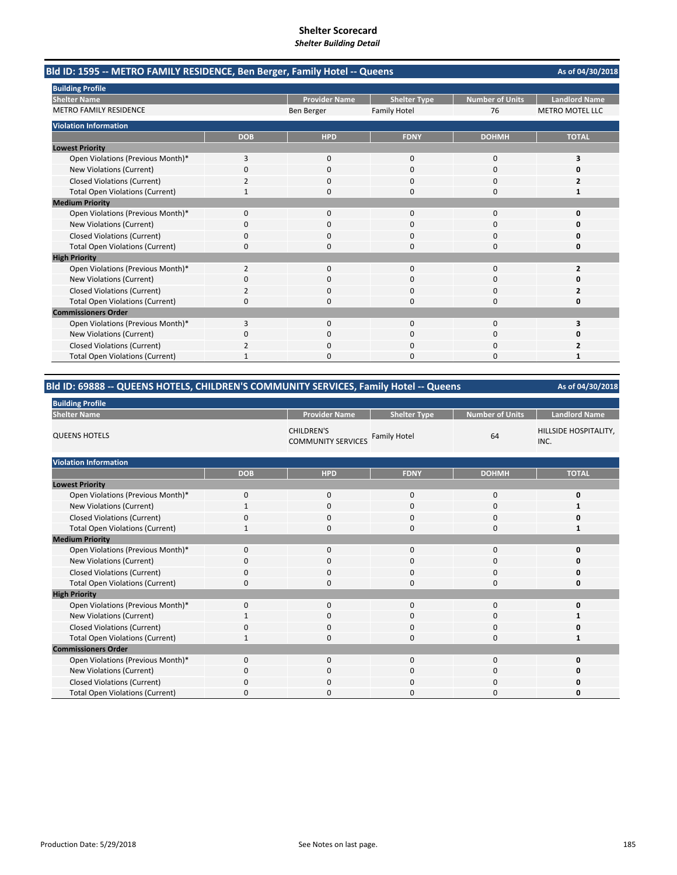| Bld ID: 1595 -- METRO FAMILY RESIDENCE, Ben Berger, Family Hotel -- Queens |            |                      |                     |                        | As of 04/30/2018       |
|----------------------------------------------------------------------------|------------|----------------------|---------------------|------------------------|------------------------|
| <b>Building Profile</b>                                                    |            |                      |                     |                        |                        |
| <b>Shelter Name</b>                                                        |            | <b>Provider Name</b> | <b>Shelter Type</b> | <b>Number of Units</b> | <b>Landlord Name</b>   |
| <b>METRO FAMILY RESIDENCE</b>                                              |            | Ben Berger           | <b>Family Hotel</b> | 76                     | <b>METRO MOTEL LLC</b> |
| <b>Violation Information</b>                                               |            |                      |                     |                        |                        |
|                                                                            | <b>DOB</b> | <b>HPD</b>           | <b>FDNY</b>         | <b>DOHMH</b>           | <b>TOTAL</b>           |
| <b>Lowest Priority</b>                                                     |            |                      |                     |                        |                        |
| Open Violations (Previous Month)*                                          | 3          | 0                    | $\mathbf 0$         | 0                      | 3                      |
| New Violations (Current)                                                   | 0          | 0                    | ი                   | $\Omega$               |                        |
| <b>Closed Violations (Current)</b>                                         | 2          | $\Omega$             | $\Omega$            | $\Omega$               | 2                      |
| <b>Total Open Violations (Current)</b>                                     | 1          | O                    | $\Omega$            | O                      | 1                      |
| <b>Medium Priority</b>                                                     |            |                      |                     |                        |                        |
| Open Violations (Previous Month)*                                          | 0          | 0                    | 0                   | 0                      | 0                      |
| New Violations (Current)                                                   | 0          | $\Omega$             | $\Omega$            | 0                      | Ω                      |
| <b>Closed Violations (Current)</b>                                         | 0          | 0                    | $\Omega$            | 0                      | 0                      |
| <b>Total Open Violations (Current)</b>                                     | 0          | 0                    | $\Omega$            | 0                      | 0                      |
| <b>High Priority</b>                                                       |            |                      |                     |                        |                        |
| Open Violations (Previous Month)*                                          | 2          | $\Omega$             | $\Omega$            | 0                      | 2                      |
| New Violations (Current)                                                   | 0          | 0                    | $\Omega$            | 0                      | O                      |
| <b>Closed Violations (Current)</b>                                         | 2          | 0                    | ი                   | 0                      |                        |
| <b>Total Open Violations (Current)</b>                                     | 0          | 0                    | $\Omega$            | 0                      | Ω                      |
| <b>Commissioners Order</b>                                                 |            |                      |                     |                        |                        |
| Open Violations (Previous Month)*                                          | 3          | $\Omega$             | $\Omega$            | $\Omega$               | 3                      |
| New Violations (Current)                                                   | 0          | $\Omega$             | $\Omega$            | $\Omega$               | n                      |
| <b>Closed Violations (Current)</b>                                         |            | n                    | O                   | 0                      |                        |
| <b>Total Open Violations (Current)</b>                                     |            | ŋ                    | n                   | O                      | 1                      |

# **Bld ID: 69888 ‐‐ QUEENS HOTELS, CHILDREN'S COMMUNITY SERVICES, Family Hotel ‐‐ Queens**

| <b>Building Profile</b>                |              |                                                |                     |                        |                               |  |  |  |
|----------------------------------------|--------------|------------------------------------------------|---------------------|------------------------|-------------------------------|--|--|--|
| <b>Shelter Name</b>                    |              | <b>Provider Name</b>                           | <b>Shelter Type</b> | <b>Number of Units</b> | <b>Landlord Name</b>          |  |  |  |
| <b>QUEENS HOTELS</b>                   |              | <b>CHILDREN'S</b><br><b>COMMUNITY SERVICES</b> | <b>Family Hotel</b> | 64                     | HILLSIDE HOSPITALITY,<br>INC. |  |  |  |
| <b>Violation Information</b>           |              |                                                |                     |                        |                               |  |  |  |
|                                        | <b>DOB</b>   | <b>HPD</b>                                     | <b>FDNY</b>         | <b>DOHMH</b>           | <b>TOTAL</b>                  |  |  |  |
| <b>Lowest Priority</b>                 |              |                                                |                     |                        |                               |  |  |  |
| Open Violations (Previous Month)*      | 0            | 0                                              | 0                   | 0                      | 0                             |  |  |  |
| <b>New Violations (Current)</b>        | $\mathbf{1}$ | $\mathbf 0$                                    | 0                   | 0                      |                               |  |  |  |
| <b>Closed Violations (Current)</b>     | 0            | $\mathbf 0$                                    | $\mathbf 0$         | 0                      | 0                             |  |  |  |
| <b>Total Open Violations (Current)</b> | 1            | 0                                              | $\mathbf 0$         | 0                      | 1                             |  |  |  |
| <b>Medium Priority</b>                 |              |                                                |                     |                        |                               |  |  |  |
| Open Violations (Previous Month)*      | 0            | $\mathbf 0$                                    | 0                   | 0                      | 0                             |  |  |  |
| New Violations (Current)               | $\Omega$     | $\mathbf 0$                                    | 0                   | 0                      |                               |  |  |  |
| <b>Closed Violations (Current)</b>     | 0            | 0                                              | 0                   | 0                      | 0                             |  |  |  |
| <b>Total Open Violations (Current)</b> | 0            | 0                                              | $\mathbf 0$         | 0                      | 0                             |  |  |  |
| <b>High Priority</b>                   |              |                                                |                     |                        |                               |  |  |  |
| Open Violations (Previous Month)*      | 0            | $\mathbf 0$                                    | $\mathbf 0$         | 0                      | O                             |  |  |  |
| New Violations (Current)               | 1            | 0                                              | 0                   | 0                      |                               |  |  |  |
| <b>Closed Violations (Current)</b>     | $\Omega$     | $\mathbf 0$                                    | $\Omega$            | 0                      | 0                             |  |  |  |
| <b>Total Open Violations (Current)</b> |              | $\mathbf 0$                                    | 0                   | 0                      | 1                             |  |  |  |
| <b>Commissioners Order</b>             |              |                                                |                     |                        |                               |  |  |  |
| Open Violations (Previous Month)*      | $\Omega$     | $\mathbf 0$                                    | $\mathbf 0$         | 0                      | 0                             |  |  |  |
| New Violations (Current)               | $\Omega$     | $\mathbf 0$                                    | $\Omega$            | 0                      | O                             |  |  |  |
| <b>Closed Violations (Current)</b>     | 0            | $\mathbf 0$                                    | $\mathbf 0$         | 0                      | Ω                             |  |  |  |
| <b>Total Open Violations (Current)</b> | n            | $\Omega$                                       | 0                   | 0                      | n                             |  |  |  |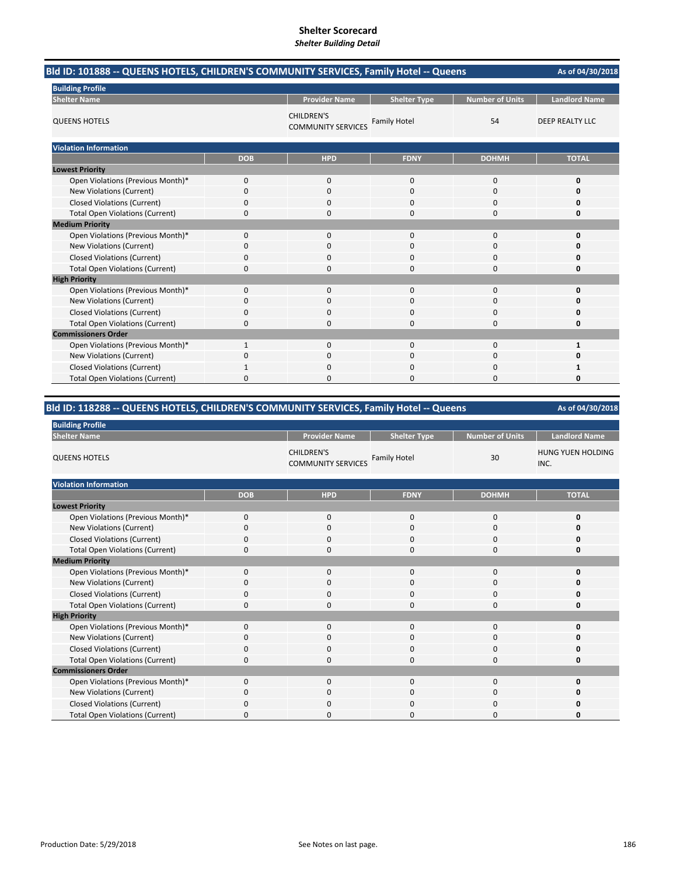| Bld ID: 101888 -- QUEENS HOTELS, CHILDREN'S COMMUNITY SERVICES, Family Hotel -- Queens |            |                                                |                     |                        |                        |  |
|----------------------------------------------------------------------------------------|------------|------------------------------------------------|---------------------|------------------------|------------------------|--|
| <b>Building Profile</b>                                                                |            |                                                |                     |                        |                        |  |
| <b>Shelter Name</b>                                                                    |            | <b>Provider Name</b>                           | <b>Shelter Type</b> | <b>Number of Units</b> | <b>Landlord Name</b>   |  |
| <b>QUEENS HOTELS</b>                                                                   |            | <b>CHILDREN'S</b><br><b>COMMUNITY SERVICES</b> | <b>Family Hotel</b> | 54                     | <b>DEEP REALTY LLC</b> |  |
| <b>Violation Information</b>                                                           |            |                                                |                     |                        |                        |  |
|                                                                                        | <b>DOB</b> | <b>HPD</b>                                     | <b>FDNY</b>         | <b>DOHMH</b>           | <b>TOTAL</b>           |  |
| <b>Lowest Priority</b>                                                                 |            |                                                |                     |                        |                        |  |
| Open Violations (Previous Month)*                                                      | 0          | 0                                              | 0                   | 0                      | O                      |  |
| New Violations (Current)                                                               | 0          | 0                                              | 0                   | $\mathbf 0$            | O                      |  |
| <b>Closed Violations (Current)</b>                                                     | 0          | 0                                              | 0                   | $\Omega$               |                        |  |
| <b>Total Open Violations (Current)</b>                                                 | 0          | 0                                              | 0                   | $\Omega$               |                        |  |
| <b>Medium Priority</b>                                                                 |            |                                                |                     |                        |                        |  |
| Open Violations (Previous Month)*                                                      | 0          | 0                                              | $\Omega$            | $\mathbf 0$            | O                      |  |
| New Violations (Current)                                                               | 0          | 0                                              | 0                   | $\Omega$               | n                      |  |
| <b>Closed Violations (Current)</b>                                                     | 0          | 0                                              | O                   | 0                      |                        |  |
| <b>Total Open Violations (Current)</b>                                                 | 0          | 0                                              | 0                   | $\Omega$               | ŋ                      |  |
| <b>High Priority</b>                                                                   |            |                                                |                     |                        |                        |  |
| Open Violations (Previous Month)*                                                      | 0          | $\mathbf{0}$                                   | 0                   | $\mathbf 0$            | $\Omega$               |  |
| New Violations (Current)                                                               | 0          | 0                                              |                     | 0                      |                        |  |
| <b>Closed Violations (Current)</b>                                                     | 0          | 0                                              | $\Omega$            | $\Omega$               |                        |  |
| <b>Total Open Violations (Current)</b>                                                 | 0          | 0                                              | $\Omega$            | $\Omega$               | Ω                      |  |
| <b>Commissioners Order</b>                                                             |            |                                                |                     |                        |                        |  |
| Open Violations (Previous Month)*                                                      | 1          | $\Omega$                                       | $\Omega$            | $\Omega$               | 1                      |  |
| New Violations (Current)                                                               | 0          | 0                                              | $\Omega$            | 0                      | ŋ                      |  |
| <b>Closed Violations (Current)</b>                                                     |            | 0                                              | 0                   | $\Omega$               | 1                      |  |
| <b>Total Open Violations (Current)</b>                                                 | 0          | 0                                              | O                   | $\Omega$               | O                      |  |

# **Bld ID: 118288 ‐‐ QUEENS HOTELS, CHILDREN'S COMMUNITY SERVICES, Family Hotel ‐‐ Queens**

| <b>Building Profile</b>                |             |                                                |                     |                        |                                  |  |  |
|----------------------------------------|-------------|------------------------------------------------|---------------------|------------------------|----------------------------------|--|--|
| <b>Shelter Name</b>                    |             | <b>Provider Name</b>                           | <b>Shelter Type</b> | <b>Number of Units</b> | <b>Landlord Name</b>             |  |  |
| <b>QUEENS HOTELS</b>                   |             | <b>CHILDREN'S</b><br><b>COMMUNITY SERVICES</b> | <b>Family Hotel</b> | 30                     | <b>HUNG YUEN HOLDING</b><br>INC. |  |  |
| <b>Violation Information</b>           |             |                                                |                     |                        |                                  |  |  |
|                                        | <b>DOB</b>  | <b>HPD</b>                                     | <b>FDNY</b>         | <b>DOHMH</b>           | <b>TOTAL</b>                     |  |  |
| <b>Lowest Priority</b>                 |             |                                                |                     |                        |                                  |  |  |
| Open Violations (Previous Month)*      | $\mathbf 0$ | $\mathbf{0}$                                   | $\mathbf 0$         | 0                      | 0                                |  |  |
| <b>New Violations (Current)</b>        | $\mathbf 0$ | $\mathbf{0}$                                   | $\mathbf 0$         | 0                      | 0                                |  |  |
| <b>Closed Violations (Current)</b>     | $\Omega$    | $\mathbf 0$                                    | 0                   | 0                      | 0                                |  |  |
| <b>Total Open Violations (Current)</b> | 0           | $\mathbf 0$                                    | 0                   | 0                      | 0                                |  |  |
| <b>Medium Priority</b>                 |             |                                                |                     |                        |                                  |  |  |
| Open Violations (Previous Month)*      | $\mathbf 0$ | $\mathbf{0}$                                   | $\mathbf 0$         | 0                      | 0                                |  |  |
| New Violations (Current)               | $\mathbf 0$ | $\mathbf 0$                                    | 0                   | 0                      | O                                |  |  |
| <b>Closed Violations (Current)</b>     | $\Omega$    | $\mathbf 0$                                    | 0                   | 0                      | 0                                |  |  |
| <b>Total Open Violations (Current)</b> | 0           | 0                                              | 0                   | 0                      | 0                                |  |  |
| <b>High Priority</b>                   |             |                                                |                     |                        |                                  |  |  |
| Open Violations (Previous Month)*      | $\Omega$    | $\Omega$                                       | $\Omega$            | $\Omega$               | O                                |  |  |
| New Violations (Current)               | 0           | $\mathbf 0$                                    | $\mathbf{0}$        | 0                      | 0                                |  |  |
| <b>Closed Violations (Current)</b>     | 0           | 0                                              | 0                   | 0                      | 0                                |  |  |
| <b>Total Open Violations (Current)</b> | 0           | $\mathbf 0$                                    | 0                   | 0                      | 0                                |  |  |
| <b>Commissioners Order</b>             |             |                                                |                     |                        |                                  |  |  |
| Open Violations (Previous Month)*      | 0           | $\mathbf 0$                                    | $\mathbf 0$         | 0                      | 0                                |  |  |
| New Violations (Current)               | 0           | $\mathbf{0}$                                   | 0                   | 0                      | 0                                |  |  |
| Closed Violations (Current)            | $\Omega$    | $\mathbf 0$                                    | 0                   | 0                      | 0                                |  |  |
| <b>Total Open Violations (Current)</b> | 0           | $\Omega$                                       | 0                   | $\Omega$               | O                                |  |  |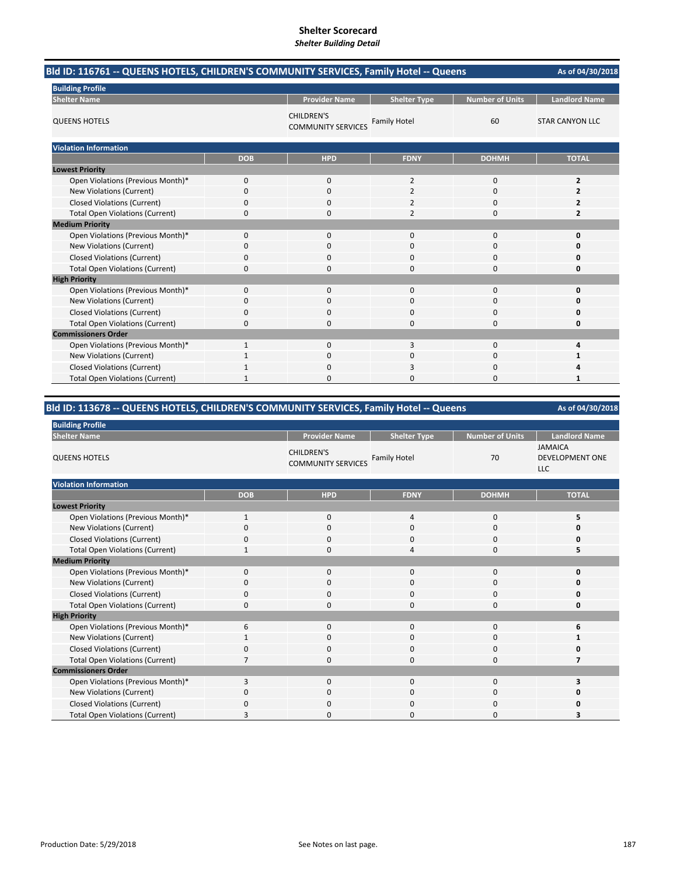| Bld ID: 116761 -- QUEENS HOTELS, CHILDREN'S COMMUNITY SERVICES, Family Hotel -- Queens | As of 04/30/2018 |                                                |                     |                        |                        |
|----------------------------------------------------------------------------------------|------------------|------------------------------------------------|---------------------|------------------------|------------------------|
| <b>Building Profile</b>                                                                |                  |                                                |                     |                        |                        |
| <b>Shelter Name</b>                                                                    |                  | <b>Provider Name</b>                           | <b>Shelter Type</b> | <b>Number of Units</b> | <b>Landlord Name</b>   |
| <b>QUEENS HOTELS</b>                                                                   |                  | <b>CHILDREN'S</b><br><b>COMMUNITY SERVICES</b> | <b>Family Hotel</b> | 60                     | <b>STAR CANYON LLC</b> |
| <b>Violation Information</b>                                                           |                  |                                                |                     |                        |                        |
|                                                                                        | <b>DOB</b>       | <b>HPD</b>                                     | <b>FDNY</b>         | <b>DOHMH</b>           | <b>TOTAL</b>           |
| <b>Lowest Priority</b>                                                                 |                  |                                                |                     |                        |                        |
| Open Violations (Previous Month)*                                                      | 0                | 0                                              | 2                   | 0                      | $\overline{2}$         |
| New Violations (Current)                                                               | 0                | 0                                              | $\overline{2}$      | 0                      | $\overline{2}$         |
| <b>Closed Violations (Current)</b>                                                     | 0                | 0                                              | $\overline{2}$      | 0                      |                        |
| <b>Total Open Violations (Current)</b>                                                 | 0                | 0                                              | $\overline{2}$      | 0                      | 2                      |
| <b>Medium Priority</b>                                                                 |                  |                                                |                     |                        |                        |
| Open Violations (Previous Month)*                                                      | 0                | $\mathbf{0}$                                   | $\mathbf 0$         | 0                      | 0                      |
| New Violations (Current)                                                               | 0                | $\Omega$                                       | $\Omega$            | $\Omega$               | O                      |
| <b>Closed Violations (Current)</b>                                                     | 0                | 0                                              | 0                   | 0                      | Ω                      |
| <b>Total Open Violations (Current)</b>                                                 | 0                | 0                                              | $\Omega$            | $\Omega$               | 0                      |
| <b>High Priority</b>                                                                   |                  |                                                |                     |                        |                        |
| Open Violations (Previous Month)*                                                      | 0                | $\mathbf{0}$                                   | $\mathbf 0$         | 0                      | 0                      |
| <b>New Violations (Current)</b>                                                        | 0                | 0                                              | 0                   | 0                      | n                      |
| <b>Closed Violations (Current)</b>                                                     | 0                | $\Omega$                                       | $\Omega$            | $\Omega$               | Ω                      |
| <b>Total Open Violations (Current)</b>                                                 | 0                | $\Omega$                                       | $\Omega$            | 0                      | 0                      |
| <b>Commissioners Order</b>                                                             |                  |                                                |                     |                        |                        |
| Open Violations (Previous Month)*                                                      |                  | $\Omega$                                       | 3                   | $\Omega$               | Δ                      |
| New Violations (Current)                                                               |                  | 0                                              | $\Omega$            | 0                      | 1                      |
| <b>Closed Violations (Current)</b>                                                     |                  | 0                                              | 3                   | 0                      | Δ                      |
| <b>Total Open Violations (Current)</b>                                                 | 1                | $\Omega$                                       | $\Omega$            | $\Omega$               | 1                      |

# **Bld ID: 113678 ‐‐ QUEENS HOTELS, CHILDREN'S COMMUNITY SERVICES, Family Hotel ‐‐ Queens**

| <b>Building Profile</b>                |              |                                                |                     |                        |                                                        |
|----------------------------------------|--------------|------------------------------------------------|---------------------|------------------------|--------------------------------------------------------|
| <b>Shelter Name</b>                    |              | <b>Provider Name</b>                           | <b>Shelter Type</b> | <b>Number of Units</b> | <b>Landlord Name</b>                                   |
| <b>QUEENS HOTELS</b>                   |              | <b>CHILDREN'S</b><br><b>COMMUNITY SERVICES</b> | <b>Family Hotel</b> | 70                     | <b>JAMAICA</b><br><b>DEVELOPMENT ONE</b><br><b>LLC</b> |
| <b>Violation Information</b>           |              |                                                |                     |                        |                                                        |
|                                        | <b>DOB</b>   | <b>HPD</b>                                     | <b>FDNY</b>         | <b>DOHMH</b>           | <b>TOTAL</b>                                           |
| <b>Lowest Priority</b>                 |              |                                                |                     |                        |                                                        |
| Open Violations (Previous Month)*      | $\mathbf{1}$ | $\mathbf 0$                                    | 4                   | 0                      | 5                                                      |
| New Violations (Current)               | $\Omega$     | $\mathbf 0$                                    | 0                   | $\mathbf 0$            |                                                        |
| <b>Closed Violations (Current)</b>     | 0            | $\mathbf 0$                                    | 0                   | $\mathbf 0$            | 0                                                      |
| <b>Total Open Violations (Current)</b> | $\mathbf{1}$ | $\mathbf 0$                                    | 4                   | $\mathbf 0$            | 5                                                      |
| <b>Medium Priority</b>                 |              |                                                |                     |                        |                                                        |
| Open Violations (Previous Month)*      | $\mathbf 0$  | $\mathbf 0$                                    | 0                   | $\mathbf 0$            | O                                                      |
| New Violations (Current)               | $\Omega$     | $\mathbf 0$                                    | $\mathbf 0$         | $\mathbf 0$            |                                                        |
| <b>Closed Violations (Current)</b>     | $\Omega$     | 0                                              | 0                   | 0                      |                                                        |
| <b>Total Open Violations (Current)</b> | 0            | $\mathbf 0$                                    | 0                   | 0                      | 0                                                      |
| <b>High Priority</b>                   |              |                                                |                     |                        |                                                        |
| Open Violations (Previous Month)*      | 6            | $\Omega$                                       | 0                   | 0                      | 6                                                      |
| New Violations (Current)               |              | $\mathbf 0$                                    | 0                   | 0                      |                                                        |
| <b>Closed Violations (Current)</b>     | 0            | $\mathbf 0$                                    | 0                   | $\mathbf 0$            |                                                        |
| <b>Total Open Violations (Current)</b> |              | $\mathbf 0$                                    | 0                   | $\mathbf 0$            | 7                                                      |
| <b>Commissioners Order</b>             |              |                                                |                     |                        |                                                        |
| Open Violations (Previous Month)*      | 3            | $\mathbf 0$                                    | 0                   | $\mathbf 0$            | 3                                                      |
| New Violations (Current)               | $\Omega$     | $\Omega$                                       | 0                   | $\mathbf 0$            |                                                        |
| <b>Closed Violations (Current)</b>     | $\Omega$     | $\mathbf 0$                                    | 0                   | $\mathbf 0$            |                                                        |
| <b>Total Open Violations (Current)</b> | З            | <sup>0</sup>                                   | O                   | $\Omega$               | 3                                                      |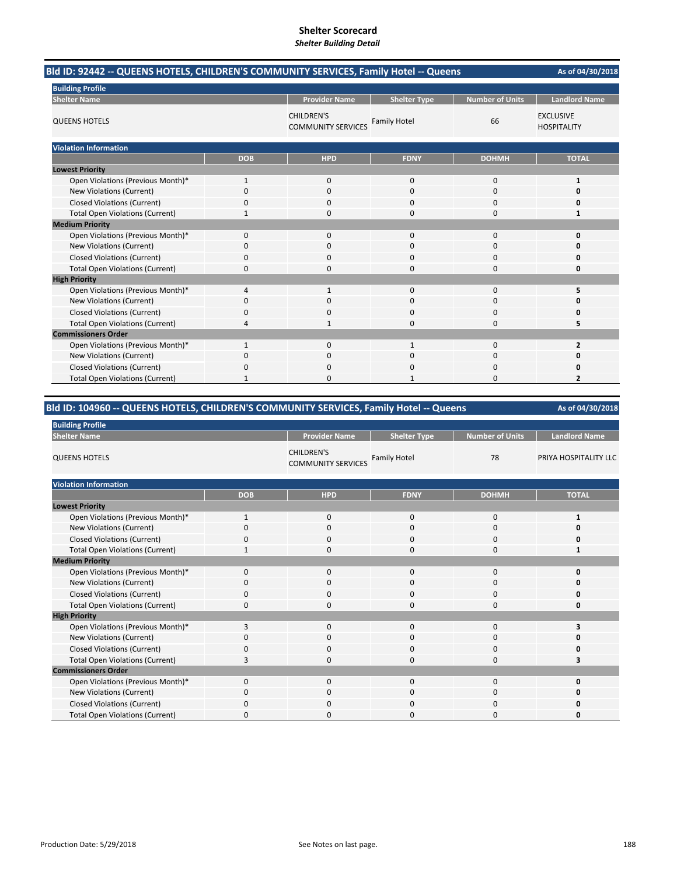| Bld ID: 92442 -- QUEENS HOTELS, CHILDREN'S COMMUNITY SERVICES, Family Hotel -- Queens | As of 04/30/2018 |                                                |                     |                        |                                        |
|---------------------------------------------------------------------------------------|------------------|------------------------------------------------|---------------------|------------------------|----------------------------------------|
| <b>Building Profile</b>                                                               |                  |                                                |                     |                        |                                        |
| <b>Shelter Name</b>                                                                   |                  | <b>Provider Name</b>                           | <b>Shelter Type</b> | <b>Number of Units</b> | <b>Landlord Name</b>                   |
| <b>QUEENS HOTELS</b>                                                                  |                  | <b>CHILDREN'S</b><br><b>COMMUNITY SERVICES</b> | <b>Family Hotel</b> | 66                     | <b>EXCLUSIVE</b><br><b>HOSPITALITY</b> |
| <b>Violation Information</b>                                                          |                  |                                                |                     |                        |                                        |
|                                                                                       | <b>DOB</b>       | <b>HPD</b>                                     | <b>FDNY</b>         | <b>DOHMH</b>           | <b>TOTAL</b>                           |
| <b>Lowest Priority</b>                                                                |                  |                                                |                     |                        |                                        |
| Open Violations (Previous Month)*                                                     | $\mathbf{1}$     | $\mathbf{0}$                                   | $\mathbf{0}$        | 0                      | 1                                      |
| New Violations (Current)                                                              | 0                | 0                                              | 0                   | 0                      | 0                                      |
| <b>Closed Violations (Current)</b>                                                    | 0                | 0                                              | $\Omega$            | 0                      | n                                      |
| <b>Total Open Violations (Current)</b>                                                | 1                | 0                                              | $\Omega$            | 0                      | 1                                      |
| <b>Medium Priority</b>                                                                |                  |                                                |                     |                        |                                        |
| Open Violations (Previous Month)*                                                     | 0                | $\mathbf{0}$                                   | $\mathbf{0}$        | 0                      | 0                                      |
| New Violations (Current)                                                              | 0                | $\Omega$                                       | $\Omega$            | 0                      | O                                      |
| <b>Closed Violations (Current)</b>                                                    | 0                | 0                                              | $\Omega$            | 0                      | Ω                                      |
| <b>Total Open Violations (Current)</b>                                                | 0                | 0                                              | $\Omega$            | 0                      | O                                      |
| <b>High Priority</b>                                                                  |                  |                                                |                     |                        |                                        |
| Open Violations (Previous Month)*                                                     | 4                | $\mathbf{1}$                                   | $\Omega$            | $\Omega$               | 5                                      |
| New Violations (Current)                                                              | 0                | 0                                              | 0                   | 0                      |                                        |
| <b>Closed Violations (Current)</b>                                                    | 0                | $\Omega$                                       | $\Omega$            | 0                      | n                                      |
| <b>Total Open Violations (Current)</b>                                                | 4                |                                                | $\Omega$            | $\Omega$               | 5                                      |
| <b>Commissioners Order</b>                                                            |                  |                                                |                     |                        |                                        |
| Open Violations (Previous Month)*                                                     |                  | $\Omega$                                       |                     | 0                      | 2                                      |
| New Violations (Current)                                                              | 0                | $\Omega$                                       | $\Omega$            | $\Omega$               | n                                      |
| <b>Closed Violations (Current)</b>                                                    | 0                | 0                                              | 0                   | 0                      | Ω                                      |
| <b>Total Open Violations (Current)</b>                                                |                  | n                                              |                     | $\Omega$               | $\overline{\mathbf{z}}$                |

# **Bld ID: 104960 ‐‐ QUEENS HOTELS, CHILDREN'S COMMUNITY SERVICES, Family Hotel ‐‐ Queens**

| <b>Building Profile</b>                |              |                                                |                     |                        |                       |
|----------------------------------------|--------------|------------------------------------------------|---------------------|------------------------|-----------------------|
| <b>Shelter Name</b>                    |              | <b>Provider Name</b>                           | <b>Shelter Type</b> | <b>Number of Units</b> | <b>Landlord Name</b>  |
| <b>QUEENS HOTELS</b>                   |              | <b>CHILDREN'S</b><br><b>COMMUNITY SERVICES</b> | <b>Family Hotel</b> | 78                     | PRIYA HOSPITALITY LLC |
| <b>Violation Information</b>           |              |                                                |                     |                        |                       |
|                                        | <b>DOB</b>   | <b>HPD</b>                                     | <b>FDNY</b>         | <b>DOHMH</b>           | <b>TOTAL</b>          |
| <b>Lowest Priority</b>                 |              |                                                |                     |                        |                       |
| Open Violations (Previous Month)*      | 1            | $\mathbf 0$                                    | 0                   | 0                      | 1                     |
| New Violations (Current)               | $\Omega$     | $\mathbf 0$                                    | 0                   | 0                      | 0                     |
| <b>Closed Violations (Current)</b>     | 0            | $\mathbf 0$                                    | 0                   | 0                      | 0                     |
| <b>Total Open Violations (Current)</b> | 1            | $\mathbf 0$                                    | 0                   | 0                      | 1                     |
| <b>Medium Priority</b>                 |              |                                                |                     |                        |                       |
| Open Violations (Previous Month)*      | $\mathbf{0}$ | $\mathbf 0$                                    | 0                   | 0                      | 0                     |
| New Violations (Current)               | 0            | $\mathbf 0$                                    | 0                   | 0                      | O                     |
| <b>Closed Violations (Current)</b>     | 0            | $\mathbf 0$                                    | 0                   | 0                      | 0                     |
| <b>Total Open Violations (Current)</b> | 0            | $\mathbf 0$                                    | 0                   | 0                      | 0                     |
| <b>High Priority</b>                   |              |                                                |                     |                        |                       |
| Open Violations (Previous Month)*      | 3            | $\mathbf 0$                                    | 0                   | 0                      |                       |
| New Violations (Current)               | 0            | $\mathbf 0$                                    | 0                   | 0                      | O                     |
| <b>Closed Violations (Current)</b>     | 0            | $\Omega$                                       | 0                   | 0                      | 0                     |
| <b>Total Open Violations (Current)</b> | 3            | 0                                              | 0                   | 0                      |                       |
| <b>Commissioners Order</b>             |              |                                                |                     |                        |                       |
| Open Violations (Previous Month)*      | $\Omega$     | $\mathbf 0$                                    | 0                   | 0                      | 0                     |
| New Violations (Current)               | 0            | $\mathbf 0$                                    | 0                   | 0                      | 0                     |
| <b>Closed Violations (Current)</b>     | 0            | $\mathbf 0$                                    | 0                   | 0                      | O                     |
| <b>Total Open Violations (Current)</b> | O            | 0                                              | 0                   | 0                      | 0                     |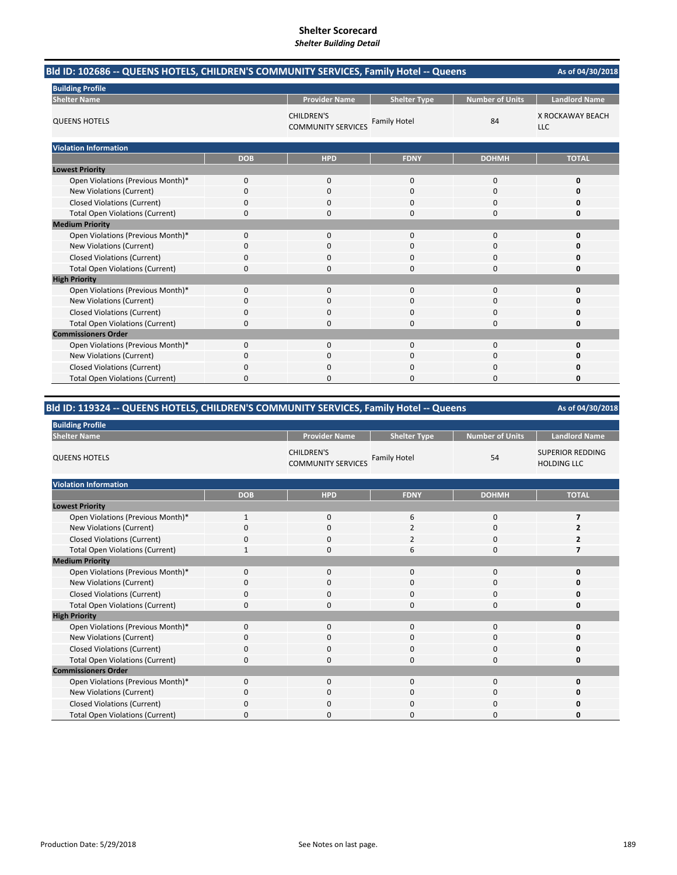| Bld ID: 102686 -- QUEENS HOTELS, CHILDREN'S COMMUNITY SERVICES, Family Hotel -- Queens | As of 04/30/2018 |                                                |                     |                        |                                |
|----------------------------------------------------------------------------------------|------------------|------------------------------------------------|---------------------|------------------------|--------------------------------|
| <b>Building Profile</b>                                                                |                  |                                                |                     |                        |                                |
| <b>Shelter Name</b>                                                                    |                  | <b>Provider Name</b>                           | <b>Shelter Type</b> | <b>Number of Units</b> | <b>Landlord Name</b>           |
| <b>QUEENS HOTELS</b>                                                                   |                  | <b>CHILDREN'S</b><br><b>COMMUNITY SERVICES</b> | <b>Family Hotel</b> | 84                     | X ROCKAWAY BEACH<br><b>LLC</b> |
| <b>Violation Information</b>                                                           |                  |                                                |                     |                        |                                |
|                                                                                        | <b>DOB</b>       | <b>HPD</b>                                     | <b>FDNY</b>         | <b>DOHMH</b>           | <b>TOTAL</b>                   |
| <b>Lowest Priority</b>                                                                 |                  |                                                |                     |                        |                                |
| Open Violations (Previous Month)*                                                      | 0                | $\mathbf{0}$                                   | $\mathbf 0$         | 0                      | 0                              |
| New Violations (Current)                                                               | 0                | 0                                              | 0                   | 0                      | 0                              |
| <b>Closed Violations (Current)</b>                                                     | 0                | 0                                              | $\Omega$            | 0                      | Ω                              |
| <b>Total Open Violations (Current)</b>                                                 | 0                | 0                                              | $\Omega$            | 0                      | Ω                              |
| <b>Medium Priority</b>                                                                 |                  |                                                |                     |                        |                                |
| Open Violations (Previous Month)*                                                      | 0                | $\mathbf{0}$                                   | $\mathbf{0}$        | 0                      | 0                              |
| New Violations (Current)                                                               | 0                | $\Omega$                                       | $\Omega$            | 0                      | Ω                              |
| <b>Closed Violations (Current)</b>                                                     | 0                | 0                                              | 0                   | 0                      | Ω                              |
| <b>Total Open Violations (Current)</b>                                                 | 0                | 0                                              | $\Omega$            | 0                      | 0                              |
| <b>High Priority</b>                                                                   |                  |                                                |                     |                        |                                |
| Open Violations (Previous Month)*                                                      | 0                | $\mathbf{0}$                                   | $\mathbf{0}$        | 0                      | 0                              |
| New Violations (Current)                                                               | 0                | 0                                              | 0                   | 0                      | Ω                              |
| <b>Closed Violations (Current)</b>                                                     | 0                | $\Omega$                                       | $\Omega$            | $\Omega$               | n                              |
| <b>Total Open Violations (Current)</b>                                                 | 0                | 0                                              | $\Omega$            | 0                      | 0                              |
| <b>Commissioners Order</b>                                                             |                  |                                                |                     |                        |                                |
| Open Violations (Previous Month)*                                                      | 0                | $\Omega$                                       | $\Omega$            | $\Omega$               | 0                              |
| New Violations (Current)                                                               | 0                | 0                                              | 0                   | 0                      | 0                              |
| <b>Closed Violations (Current)</b>                                                     | 0                | $\Omega$                                       | $\Omega$            | 0                      | 0                              |
| <b>Total Open Violations (Current)</b>                                                 | 0                | O                                              | $\Omega$            | $\Omega$               | 0                              |

# **Bld ID: 119324 ‐‐ QUEENS HOTELS, CHILDREN'S COMMUNITY SERVICES, Family Hotel ‐‐ Queens**

| <b>Building Profile</b>                |              |                                                |                     |                        |                                               |  |  |
|----------------------------------------|--------------|------------------------------------------------|---------------------|------------------------|-----------------------------------------------|--|--|
| <b>Shelter Name</b>                    |              | <b>Provider Name</b>                           | <b>Shelter Type</b> | <b>Number of Units</b> | <b>Landlord Name</b>                          |  |  |
| <b>QUEENS HOTELS</b>                   |              | <b>CHILDREN'S</b><br><b>COMMUNITY SERVICES</b> | <b>Family Hotel</b> | 54                     | <b>SUPERIOR REDDING</b><br><b>HOLDING LLC</b> |  |  |
| <b>Violation Information</b>           |              |                                                |                     |                        |                                               |  |  |
|                                        | <b>DOB</b>   | <b>HPD</b>                                     | <b>FDNY</b>         | <b>DOHMH</b>           | <b>TOTAL</b>                                  |  |  |
| <b>Lowest Priority</b>                 |              |                                                |                     |                        |                                               |  |  |
| Open Violations (Previous Month)*      | $\mathbf{1}$ | $\mathbf{0}$                                   | 6                   | $\mathbf 0$            | $\overline{7}$                                |  |  |
| New Violations (Current)               | 0            | 0                                              | 2                   | 0                      | 2                                             |  |  |
| <b>Closed Violations (Current)</b>     | $\Omega$     | 0                                              | $\overline{2}$      | 0                      | 2                                             |  |  |
| <b>Total Open Violations (Current)</b> | $\mathbf{1}$ | $\mathbf 0$                                    | 6                   | $\Omega$               | 7                                             |  |  |
| <b>Medium Priority</b>                 |              |                                                |                     |                        |                                               |  |  |
| Open Violations (Previous Month)*      | 0            | 0                                              | $\mathbf{0}$        | $\mathbf{0}$           | U                                             |  |  |
| New Violations (Current)               | $\Omega$     | 0                                              | 0                   | 0                      | U                                             |  |  |
| <b>Closed Violations (Current)</b>     | $\Omega$     | 0                                              | $\Omega$            | $\mathbf{0}$           | 0                                             |  |  |
| <b>Total Open Violations (Current)</b> | 0            | 0                                              | $\Omega$            | $\mathbf 0$            | 0                                             |  |  |
| <b>High Priority</b>                   |              |                                                |                     |                        |                                               |  |  |
| Open Violations (Previous Month)*      | $\Omega$     | $\Omega$                                       | 0                   | $\mathbf{0}$           | O                                             |  |  |
| New Violations (Current)               | $\Omega$     | 0                                              | $\Omega$            | 0                      | ŋ                                             |  |  |
| <b>Closed Violations (Current)</b>     | 0            | $\mathbf 0$                                    | 0                   | 0                      | 0                                             |  |  |
| <b>Total Open Violations (Current)</b> | $\Omega$     | 0                                              | $\Omega$            | 0                      | 0                                             |  |  |
| <b>Commissioners Order</b>             |              |                                                |                     |                        |                                               |  |  |
| Open Violations (Previous Month)*      | $\Omega$     | $\mathbf 0$                                    | $\mathbf{0}$        | 0                      | 0                                             |  |  |
| New Violations (Current)               | 0            | 0                                              | 0                   | 0                      | U                                             |  |  |
| <b>Closed Violations (Current)</b>     | 0            | 0                                              | $\Omega$            | 0                      | 0                                             |  |  |
| <b>Total Open Violations (Current)</b> | <sup>0</sup> | 0                                              | <sup>0</sup>        | O                      | U                                             |  |  |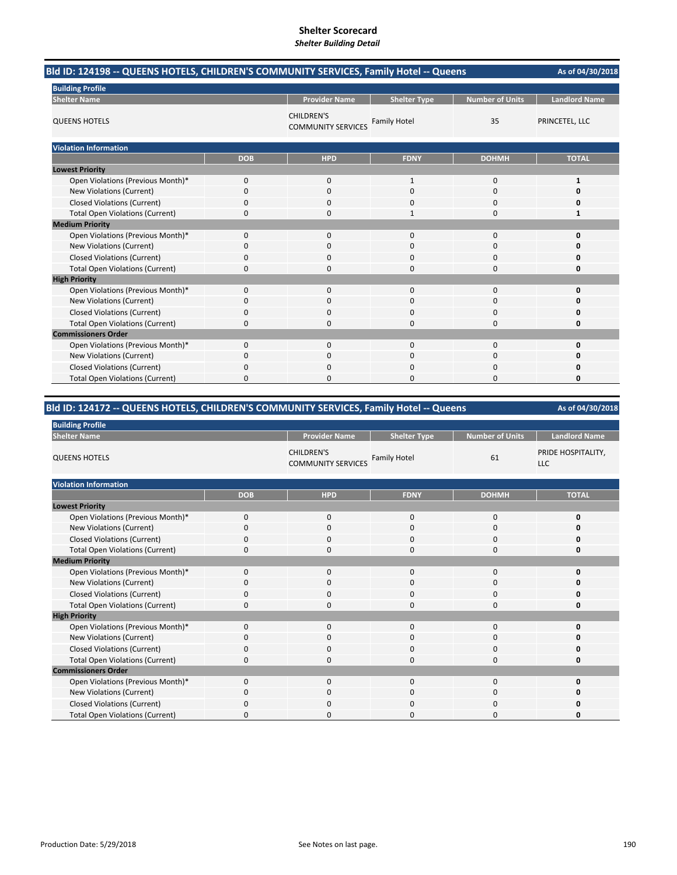| Bld ID: 124198 -- QUEENS HOTELS, CHILDREN'S COMMUNITY SERVICES, Family Hotel -- Queens | As of 04/30/2018 |                                                |                     |                        |                      |
|----------------------------------------------------------------------------------------|------------------|------------------------------------------------|---------------------|------------------------|----------------------|
| <b>Building Profile</b>                                                                |                  |                                                |                     |                        |                      |
| <b>Shelter Name</b>                                                                    |                  | <b>Provider Name</b>                           | <b>Shelter Type</b> | <b>Number of Units</b> | <b>Landlord Name</b> |
| <b>QUEENS HOTELS</b>                                                                   |                  | <b>CHILDREN'S</b><br><b>COMMUNITY SERVICES</b> | <b>Family Hotel</b> | 35                     | PRINCETEL, LLC       |
| <b>Violation Information</b>                                                           |                  |                                                |                     |                        |                      |
|                                                                                        | <b>DOB</b>       | <b>HPD</b>                                     | <b>FDNY</b>         | <b>DOHMH</b>           | <b>TOTAL</b>         |
| <b>Lowest Priority</b>                                                                 |                  |                                                |                     |                        |                      |
| Open Violations (Previous Month)*                                                      | 0                | $\mathbf{0}$                                   | 1                   | 0                      | 1                    |
| New Violations (Current)                                                               | 0                | 0                                              | 0                   | 0                      | 0                    |
| <b>Closed Violations (Current)</b>                                                     | 0                | 0                                              | $\Omega$            | 0                      | Ω                    |
| <b>Total Open Violations (Current)</b>                                                 | 0                | 0                                              |                     | 0                      | 1                    |
| <b>Medium Priority</b>                                                                 |                  |                                                |                     |                        |                      |
| Open Violations (Previous Month)*                                                      | 0                | $\mathbf{0}$                                   | $\mathbf{0}$        | 0                      | 0                    |
| New Violations (Current)                                                               | 0                | $\Omega$                                       | $\Omega$            | 0                      | O                    |
| <b>Closed Violations (Current)</b>                                                     | 0                | 0                                              | 0                   | 0                      | Ω                    |
| <b>Total Open Violations (Current)</b>                                                 | 0                | 0                                              | $\Omega$            | 0                      | 0                    |
| <b>High Priority</b>                                                                   |                  |                                                |                     |                        |                      |
| Open Violations (Previous Month)*                                                      | 0                | $\mathbf{0}$                                   | $\mathbf{0}$        | 0                      | 0                    |
| New Violations (Current)                                                               | 0                | 0                                              | 0                   | 0                      | Ω                    |
| <b>Closed Violations (Current)</b>                                                     | 0                | $\Omega$                                       | $\Omega$            | $\Omega$               | n                    |
| <b>Total Open Violations (Current)</b>                                                 | 0                | 0                                              | $\Omega$            | 0                      | 0                    |
| <b>Commissioners Order</b>                                                             |                  |                                                |                     |                        |                      |
| Open Violations (Previous Month)*                                                      | 0                | $\Omega$                                       | $\Omega$            | $\Omega$               | 0                    |
| New Violations (Current)                                                               | 0                | 0                                              | 0                   | 0                      | 0                    |
| <b>Closed Violations (Current)</b>                                                     | 0                | $\Omega$                                       | $\Omega$            | 0                      | 0                    |
| <b>Total Open Violations (Current)</b>                                                 | 0                | O                                              | $\Omega$            | $\Omega$               | 0                    |

# **Bld ID: 124172 ‐‐ QUEENS HOTELS, CHILDREN'S COMMUNITY SERVICES, Family Hotel ‐‐ Queens**

| <b>Building Profile</b>                |             |                                                |                     |                        |                                  |  |  |
|----------------------------------------|-------------|------------------------------------------------|---------------------|------------------------|----------------------------------|--|--|
| <b>Shelter Name</b>                    |             | <b>Provider Name</b>                           | <b>Shelter Type</b> | <b>Number of Units</b> | <b>Landlord Name</b>             |  |  |
| <b>QUEENS HOTELS</b>                   |             | <b>CHILDREN'S</b><br><b>COMMUNITY SERVICES</b> | <b>Family Hotel</b> | 61                     | PRIDE HOSPITALITY,<br><b>LLC</b> |  |  |
| <b>Violation Information</b>           |             |                                                |                     |                        |                                  |  |  |
|                                        | <b>DOB</b>  | <b>HPD</b>                                     | <b>FDNY</b>         | <b>DOHMH</b>           | <b>TOTAL</b>                     |  |  |
| <b>Lowest Priority</b>                 |             |                                                |                     |                        |                                  |  |  |
| Open Violations (Previous Month)*      | $\mathbf 0$ | $\mathbf 0$                                    | $\mathbf{0}$        | $\mathbf 0$            | 0                                |  |  |
| <b>New Violations (Current)</b>        | $\Omega$    | $\mathbf 0$                                    | $\mathbf 0$         | 0                      | 0                                |  |  |
| <b>Closed Violations (Current)</b>     | $\Omega$    | 0                                              | 0                   | 0                      | 0                                |  |  |
| <b>Total Open Violations (Current)</b> | $\mathbf 0$ | 0                                              | $\mathbf{0}$        | $\mathbf 0$            | 0                                |  |  |
| <b>Medium Priority</b>                 |             |                                                |                     |                        |                                  |  |  |
| Open Violations (Previous Month)*      | 0           | $\mathbf 0$                                    | 0                   | 0                      | 0                                |  |  |
| New Violations (Current)               | $\Omega$    | $\mathbf 0$                                    | $\mathbf{0}$        | 0                      | O                                |  |  |
| <b>Closed Violations (Current)</b>     | $\Omega$    | $\mathbf 0$                                    | 0                   | 0                      | 0                                |  |  |
| <b>Total Open Violations (Current)</b> | $\mathbf 0$ | 0                                              | $\mathbf{0}$        | 0                      | 0                                |  |  |
| <b>High Priority</b>                   |             |                                                |                     |                        |                                  |  |  |
| Open Violations (Previous Month)*      | $\Omega$    | $\mathbf 0$                                    | $\mathbf{0}$        | 0                      | 0                                |  |  |
| New Violations (Current)               | $\mathbf 0$ | $\mathbf 0$                                    | $\mathbf{0}$        | 0                      | 0                                |  |  |
| <b>Closed Violations (Current)</b>     | $\Omega$    | 0                                              | $\mathbf{0}$        | 0                      | 0                                |  |  |
| <b>Total Open Violations (Current)</b> | $\mathbf 0$ | $\mathbf 0$                                    | $\mathbf{0}$        | 0                      | 0                                |  |  |
| <b>Commissioners Order</b>             |             |                                                |                     |                        |                                  |  |  |
| Open Violations (Previous Month)*      | $\Omega$    | $\mathbf 0$                                    | 0                   | 0                      | 0                                |  |  |
| New Violations (Current)               | $\Omega$    | $\mathbf 0$                                    | $\mathbf 0$         | 0                      | 0                                |  |  |
| <b>Closed Violations (Current)</b>     | $\Omega$    | $\mathbf 0$                                    | 0                   | 0                      | 0                                |  |  |
| <b>Total Open Violations (Current)</b> | $\Omega$    | $\Omega$                                       | $\Omega$            | $\Omega$               | O                                |  |  |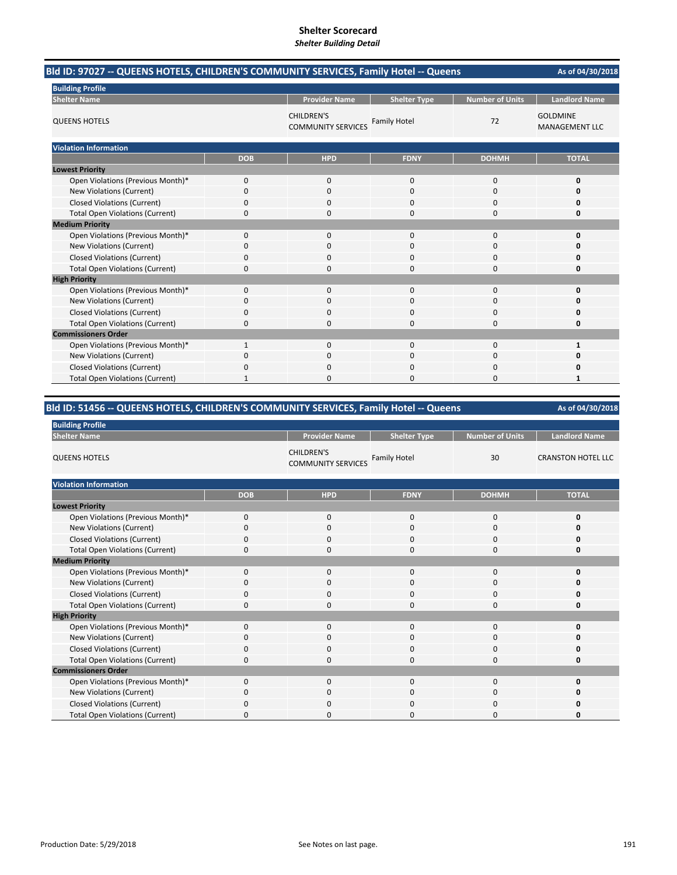| Bld ID: 97027 -- QUEENS HOTELS, CHILDREN'S COMMUNITY SERVICES, Family Hotel -- Queens |            |                                                |                     |                        | As of 04/30/2018                         |  |
|---------------------------------------------------------------------------------------|------------|------------------------------------------------|---------------------|------------------------|------------------------------------------|--|
| <b>Building Profile</b>                                                               |            |                                                |                     |                        |                                          |  |
| <b>Shelter Name</b>                                                                   |            | <b>Provider Name</b>                           | <b>Shelter Type</b> | <b>Number of Units</b> | <b>Landlord Name</b>                     |  |
| <b>QUEENS HOTELS</b>                                                                  |            | <b>CHILDREN'S</b><br><b>COMMUNITY SERVICES</b> | <b>Family Hotel</b> | 72                     | <b>GOLDMINE</b><br><b>MANAGEMENT LLC</b> |  |
| <b>Violation Information</b>                                                          |            |                                                |                     |                        |                                          |  |
|                                                                                       | <b>DOB</b> | <b>HPD</b>                                     | <b>FDNY</b>         | <b>DOHMH</b>           | <b>TOTAL</b>                             |  |
| <b>Lowest Priority</b>                                                                |            |                                                |                     |                        |                                          |  |
| Open Violations (Previous Month)*                                                     | 0          | 0                                              | 0                   | $\mathbf 0$            | 0                                        |  |
| New Violations (Current)                                                              | 0          | 0                                              | 0                   | $\mathbf 0$            | 0                                        |  |
| <b>Closed Violations (Current)</b>                                                    | 0          | 0                                              | $\Omega$            | $\Omega$               | n                                        |  |
| <b>Total Open Violations (Current)</b>                                                | 0          | 0                                              | 0                   | $\Omega$               | Ω                                        |  |
| <b>Medium Priority</b>                                                                |            |                                                |                     |                        |                                          |  |
| Open Violations (Previous Month)*                                                     | 0          | 0                                              | 0                   | $\mathbf 0$            | 0                                        |  |
| <b>New Violations (Current)</b>                                                       | 0          | 0                                              | $\Omega$            | $\Omega$               | Ω                                        |  |
| <b>Closed Violations (Current)</b>                                                    | 0          | 0                                              | 0                   | 0                      | Ω                                        |  |
| <b>Total Open Violations (Current)</b>                                                | 0          | $\Omega$                                       | $\Omega$            | $\Omega$               | 0                                        |  |
| <b>High Priority</b>                                                                  |            |                                                |                     |                        |                                          |  |
| Open Violations (Previous Month)*                                                     | 0          | $\mathbf{0}$                                   | $\Omega$            | $\Omega$               | 0                                        |  |
| <b>New Violations (Current)</b>                                                       | 0          | 0                                              | ŋ                   | 0                      | O                                        |  |
| <b>Closed Violations (Current)</b>                                                    | 0          | $\Omega$                                       | $\Omega$            | $\Omega$               | n                                        |  |
| <b>Total Open Violations (Current)</b>                                                | 0          | 0                                              | $\Omega$            | $\Omega$               | 0                                        |  |
| <b>Commissioners Order</b>                                                            |            |                                                |                     |                        |                                          |  |
| Open Violations (Previous Month)*                                                     |            | 0                                              | $\Omega$            | $\Omega$               | 1                                        |  |
| New Violations (Current)                                                              | 0          | $\Omega$                                       | $\Omega$            | $\Omega$               | n                                        |  |
| <b>Closed Violations (Current)</b>                                                    | 0          | 0                                              | n                   | $\Omega$               | n                                        |  |
| <b>Total Open Violations (Current)</b>                                                |            | U                                              | ŋ                   | n                      | 1                                        |  |

# **Bld ID: 51456 ‐‐ QUEENS HOTELS, CHILDREN'S COMMUNITY SERVICES, Family Hotel ‐‐ Queens**

| <b>Building Profile</b>                |             |                                                |                     |                        |                           |  |  |
|----------------------------------------|-------------|------------------------------------------------|---------------------|------------------------|---------------------------|--|--|
| <b>Shelter Name</b>                    |             | <b>Provider Name</b>                           | <b>Shelter Type</b> | <b>Number of Units</b> | <b>Landlord Name</b>      |  |  |
| <b>QUEENS HOTELS</b>                   |             | <b>CHILDREN'S</b><br><b>COMMUNITY SERVICES</b> | <b>Family Hotel</b> | 30                     | <b>CRANSTON HOTEL LLC</b> |  |  |
| <b>Violation Information</b>           |             |                                                |                     |                        |                           |  |  |
|                                        | <b>DOB</b>  | <b>HPD</b>                                     | <b>FDNY</b>         | <b>DOHMH</b>           | <b>TOTAL</b>              |  |  |
| <b>Lowest Priority</b>                 |             |                                                |                     |                        |                           |  |  |
| Open Violations (Previous Month)*      | $\Omega$    | $\mathbf 0$                                    | $\mathbf{0}$        | $\mathbf 0$            | 0                         |  |  |
| New Violations (Current)               | $\Omega$    | $\mathbf 0$                                    | 0                   | 0                      | O                         |  |  |
| <b>Closed Violations (Current)</b>     | $\Omega$    | $\mathbf 0$                                    | 0                   | 0                      | 0                         |  |  |
| <b>Total Open Violations (Current)</b> | $\Omega$    | $\mathbf 0$                                    | $\Omega$            | $\Omega$               | 0                         |  |  |
| <b>Medium Priority</b>                 |             |                                                |                     |                        |                           |  |  |
| Open Violations (Previous Month)*      | $\Omega$    | $\mathbf 0$                                    | $\Omega$            | $\mathbf 0$            | 0                         |  |  |
| <b>New Violations (Current)</b>        | $\Omega$    | $\mathbf 0$                                    | $\mathbf 0$         | 0                      | 0                         |  |  |
| <b>Closed Violations (Current)</b>     | $\Omega$    | $\mathbf 0$                                    | $\Omega$            | 0                      | 0                         |  |  |
| <b>Total Open Violations (Current)</b> | $\Omega$    | $\mathbf 0$                                    | $\Omega$            | 0                      | O                         |  |  |
| <b>High Priority</b>                   |             |                                                |                     |                        |                           |  |  |
| Open Violations (Previous Month)*      | $\Omega$    | $\Omega$                                       | $\mathbf 0$         | 0                      | O                         |  |  |
| New Violations (Current)               | $\Omega$    | $\mathbf 0$                                    | $\Omega$            | 0                      | O                         |  |  |
| <b>Closed Violations (Current)</b>     | $\Omega$    | $\mathbf 0$                                    | 0                   | 0                      | O                         |  |  |
| <b>Total Open Violations (Current)</b> | $\mathbf 0$ | $\mathbf 0$                                    | $\mathbf 0$         | 0                      | 0                         |  |  |
| <b>Commissioners Order</b>             |             |                                                |                     |                        |                           |  |  |
| Open Violations (Previous Month)*      | $\Omega$    | $\mathbf 0$                                    | $\mathbf 0$         | 0                      | O                         |  |  |
| New Violations (Current)               | $\Omega$    | 0                                              | $\mathbf 0$         | 0                      | 0                         |  |  |
| <b>Closed Violations (Current)</b>     | $\Omega$    | $\Omega$                                       | $\Omega$            | 0                      | O                         |  |  |
| <b>Total Open Violations (Current)</b> | O           | $\Omega$                                       | $\Omega$            | $\Omega$               | O                         |  |  |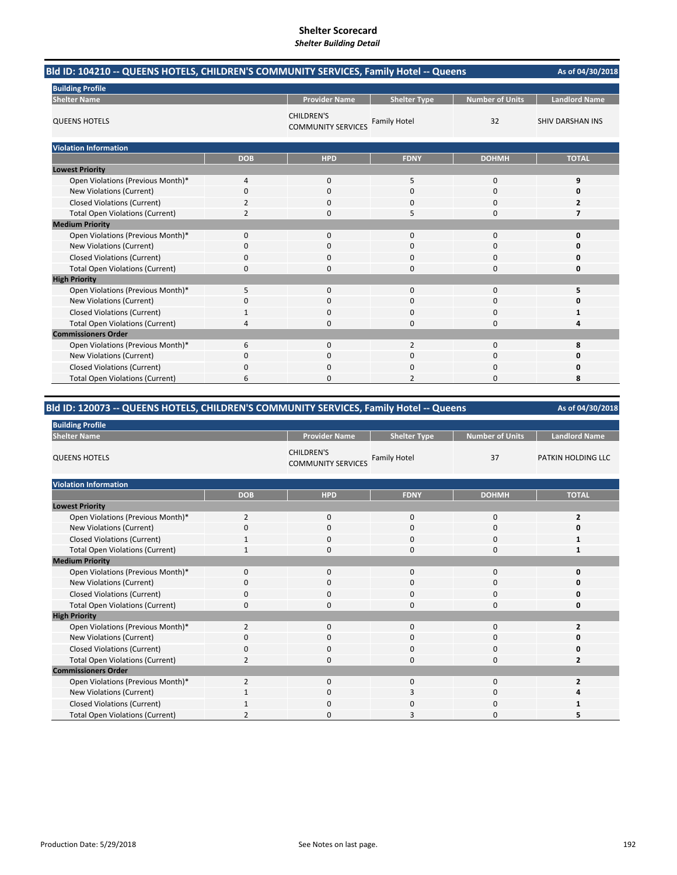| Bld ID: 104210 -- QUEENS HOTELS, CHILDREN'S COMMUNITY SERVICES, Family Hotel -- Queens |            |                                                |                     | As of 04/30/2018       |                         |
|----------------------------------------------------------------------------------------|------------|------------------------------------------------|---------------------|------------------------|-------------------------|
| <b>Building Profile</b>                                                                |            |                                                |                     |                        |                         |
| <b>Shelter Name</b>                                                                    |            | <b>Provider Name</b>                           | <b>Shelter Type</b> | <b>Number of Units</b> | <b>Landlord Name</b>    |
| <b>QUEENS HOTELS</b>                                                                   |            | <b>CHILDREN'S</b><br><b>COMMUNITY SERVICES</b> | <b>Family Hotel</b> | 32                     | <b>SHIV DARSHAN INS</b> |
| <b>Violation Information</b>                                                           |            |                                                |                     |                        |                         |
|                                                                                        | <b>DOB</b> | <b>HPD</b>                                     | <b>FDNY</b>         | <b>DOHMH</b>           | <b>TOTAL</b>            |
| <b>Lowest Priority</b>                                                                 |            |                                                |                     |                        |                         |
| Open Violations (Previous Month)*                                                      | 4          | 0                                              | 5                   | 0                      | 9                       |
| New Violations (Current)                                                               | 0          | 0                                              | 0                   | 0                      | 0                       |
| <b>Closed Violations (Current)</b>                                                     | 2          | 0                                              | $\Omega$            | 0                      | 2                       |
| <b>Total Open Violations (Current)</b>                                                 | 2          | 0                                              | 5                   | 0                      | 7                       |
| <b>Medium Priority</b>                                                                 |            |                                                |                     |                        |                         |
| Open Violations (Previous Month)*                                                      | 0          | $\mathbf{0}$                                   | $\mathbf{0}$        | 0                      | 0                       |
| New Violations (Current)                                                               | 0          | $\Omega$                                       | $\Omega$            | 0                      | O                       |
| <b>Closed Violations (Current)</b>                                                     | 0          | 0                                              | 0                   | 0                      | 0                       |
| <b>Total Open Violations (Current)</b>                                                 | 0          | $\Omega$                                       | $\Omega$            | 0                      | 0                       |
| <b>High Priority</b>                                                                   |            |                                                |                     |                        |                         |
| Open Violations (Previous Month)*                                                      | 5          | $\mathbf{0}$                                   | $\mathbf{0}$        | 0                      | 5                       |
| New Violations (Current)                                                               | 0          | 0                                              | $\Omega$            | 0                      | O                       |
| <b>Closed Violations (Current)</b>                                                     | 1          | $\Omega$                                       | $\Omega$            | $\Omega$               | 1                       |
| <b>Total Open Violations (Current)</b>                                                 | 4          | $\Omega$                                       | $\Omega$            | 0                      | 4                       |
| <b>Commissioners Order</b>                                                             |            |                                                |                     |                        |                         |
| Open Violations (Previous Month)*                                                      | 6          | $\Omega$                                       | $\overline{2}$      | $\Omega$               | 8                       |
| New Violations (Current)                                                               | 0          | 0                                              | 0                   | 0                      | 0                       |
| <b>Closed Violations (Current)</b>                                                     | 0          | $\Omega$                                       | $\Omega$            | $\Omega$               | Ω                       |
| <b>Total Open Violations (Current)</b>                                                 | 6          | $\Omega$                                       | 2                   | $\Omega$               | 8                       |

# **Bld ID: 120073 ‐‐ QUEENS HOTELS, CHILDREN'S COMMUNITY SERVICES, Family Hotel ‐‐ Queens**

| <b>Building Profile</b>                |                |                                                |                     |                        |                      |
|----------------------------------------|----------------|------------------------------------------------|---------------------|------------------------|----------------------|
| <b>Shelter Name</b>                    |                | <b>Provider Name</b>                           | <b>Shelter Type</b> | <b>Number of Units</b> | <b>Landlord Name</b> |
| <b>QUEENS HOTELS</b>                   |                | <b>CHILDREN'S</b><br><b>COMMUNITY SERVICES</b> | <b>Family Hotel</b> | 37                     | PATKIN HOLDING LLC   |
| <b>Violation Information</b>           |                |                                                |                     |                        |                      |
|                                        | <b>DOB</b>     | <b>HPD</b>                                     | <b>FDNY</b>         | <b>DOHMH</b>           | <b>TOTAL</b>         |
| <b>Lowest Priority</b>                 |                |                                                |                     |                        |                      |
| Open Violations (Previous Month)*      | $\overline{2}$ | $\mathbf 0$                                    | $\mathbf{0}$        | 0                      | $\overline{2}$       |
| New Violations (Current)               | $\Omega$       | 0                                              | $\mathbf 0$         | 0                      | 0                    |
| <b>Closed Violations (Current)</b>     |                | $\mathbf 0$                                    | 0                   | 0                      | 1                    |
| <b>Total Open Violations (Current)</b> | $\mathbf{1}$   | $\mathbf 0$                                    | 0                   | 0                      | 1                    |
| <b>Medium Priority</b>                 |                |                                                |                     |                        |                      |
| Open Violations (Previous Month)*      | $\mathbf 0$    | $\mathbf 0$                                    | $\mathbf{0}$        | 0                      | 0                    |
| New Violations (Current)               | 0              | $\mathbf 0$                                    | 0                   | 0                      | O                    |
| <b>Closed Violations (Current)</b>     | $\Omega$       | $\mathbf 0$                                    | 0                   | 0                      | 0                    |
| <b>Total Open Violations (Current)</b> | $\Omega$       | $\mathbf 0$                                    | 0                   | 0                      | 0                    |
| <b>High Priority</b>                   |                |                                                |                     |                        |                      |
| Open Violations (Previous Month)*      | $\overline{2}$ | $\mathbf 0$                                    | 0                   | 0                      | 2                    |
| New Violations (Current)               | 0              | $\mathbf 0$                                    | $\mathbf 0$         | 0                      | 0                    |
| <b>Closed Violations (Current)</b>     | $\Omega$       | $\mathbf 0$                                    | $\Omega$            | 0                      | 0                    |
| <b>Total Open Violations (Current)</b> | $\overline{2}$ | $\Omega$                                       | 0                   | 0                      | 2                    |
| <b>Commissioners Order</b>             |                |                                                |                     |                        |                      |
| Open Violations (Previous Month)*      | $\overline{2}$ | $\mathbf{0}$                                   | $\mathbf{0}$        | 0                      | $\overline{2}$       |
| New Violations (Current)               |                | $\mathbf 0$                                    | 3                   | 0                      |                      |
| Closed Violations (Current)            |                | $\mathbf 0$                                    | 0                   | 0                      |                      |
| <b>Total Open Violations (Current)</b> |                | $\Omega$                                       | 3                   | 0                      | 5                    |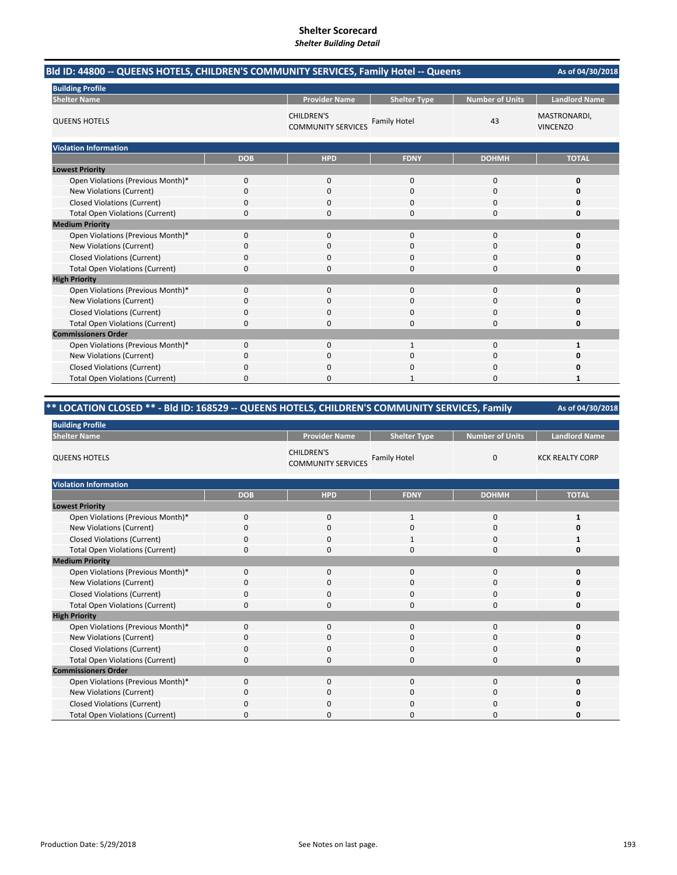| Bld ID: 44800 -- QUEENS HOTELS, CHILDREN'S COMMUNITY SERVICES, Family Hotel -- Queens |            |                                                |                     |                        | As of 04/30/2018                |
|---------------------------------------------------------------------------------------|------------|------------------------------------------------|---------------------|------------------------|---------------------------------|
| <b>Building Profile</b>                                                               |            |                                                |                     |                        |                                 |
| <b>Shelter Name</b>                                                                   |            | <b>Provider Name</b>                           | <b>Shelter Type</b> | <b>Number of Units</b> | <b>Landlord Name</b>            |
| <b>QUEENS HOTELS</b>                                                                  |            | <b>CHILDREN'S</b><br><b>COMMUNITY SERVICES</b> | <b>Family Hotel</b> | 43                     | MASTRONARDI,<br><b>VINCENZO</b> |
| <b>Violation Information</b>                                                          |            |                                                |                     |                        |                                 |
|                                                                                       | <b>DOB</b> | <b>HPD</b>                                     | <b>FDNY</b>         | <b>DOHMH</b>           | <b>TOTAL</b>                    |
| <b>Lowest Priority</b>                                                                |            |                                                |                     |                        |                                 |
| Open Violations (Previous Month)*                                                     | 0          | 0                                              | 0                   | 0                      | 0                               |
| New Violations (Current)                                                              | 0          | 0                                              | 0                   | $\mathbf 0$            | 0                               |
| <b>Closed Violations (Current)</b>                                                    | 0          | 0                                              | 0                   | $\Omega$               | o                               |
| <b>Total Open Violations (Current)</b>                                                | $\Omega$   | $\Omega$                                       | 0                   | $\Omega$               | 0                               |
| <b>Medium Priority</b>                                                                |            |                                                |                     |                        |                                 |
| Open Violations (Previous Month)*                                                     | 0          | 0                                              | 0                   | $\mathbf 0$            | 0                               |
| New Violations (Current)                                                              | 0          | $\Omega$                                       | $\Omega$            | $\Omega$               | o                               |
| <b>Closed Violations (Current)</b>                                                    | 0          | 0                                              | 0                   | $\Omega$               | 0                               |
| <b>Total Open Violations (Current)</b>                                                | 0          | $\Omega$                                       | $\Omega$            | $\Omega$               | 0                               |
| <b>High Priority</b>                                                                  |            |                                                |                     |                        |                                 |
| Open Violations (Previous Month)*                                                     | 0          | 0                                              | $\Omega$            | $\mathbf 0$            | 0                               |
| New Violations (Current)                                                              | 0          | 0                                              | 0                   | 0                      | o                               |
| <b>Closed Violations (Current)</b>                                                    | $\Omega$   | $\Omega$                                       | $\Omega$            | $\Omega$               | O                               |
| <b>Total Open Violations (Current)</b>                                                | 0          | <sup>0</sup>                                   | $\Omega$            | $\Omega$               | 0                               |
| <b>Commissioners Order</b>                                                            |            |                                                |                     |                        |                                 |
| Open Violations (Previous Month)*                                                     | $\Omega$   | $\Omega$                                       | $\mathbf{1}$        | $\Omega$               | 1                               |
| New Violations (Current)                                                              | 0          | 0                                              | $\Omega$            | $\Omega$               | O                               |
| <b>Closed Violations (Current)</b>                                                    | 0          | $\Omega$                                       | $\Omega$            | $\Omega$               | 0                               |
| <b>Total Open Violations (Current)</b>                                                | 0          | <sup>0</sup>                                   | 1                   | $\Omega$               | 1                               |

#### **As of 04/30/2018 Provider Name | Shelter Type | Number of Units | Landlord Name** CHILDREN'S COMMUNITY SERVICES Family Hotel 0 KCK REALTY CORP **DOB HPD FDNY DOHMH TOTAL** Open Violations (Previous Month)\* 0 0 0 1 1 0 1 New Violations (Current) 0000 **0** Closed Violations (Current) 0 0 0 1 0 1 Total Open Violations (Current) 0000 **0** Open Violations (Previous Month)\* 0000 **0** New Violations (Current) 0000 **0** Closed Violations (Current) 0000 **0** Total Open Violations (Current) 0000 **0** Open Violations (Previous Month)\* 0000 **0** New Violations (Current) 0000 **0** Closed Violations (Current) 0000 **0** Total Open Violations (Current) 0000 **0** Open Violations (Previous Month)\* 0000 **0 New Violations (Current)** Closed Violations (Current) 0000 **0** Total Open Violations (Current) 0000 **0 Violation Information \*\* LOCATION CLOSED \*\* ‐ Bld ID: 168529 ‐‐ QUEENS HOTELS, CHILDREN'S COMMUNITY SERVICES, Family Building Profile Shelter Name Lowest Priority Medium Priority High Priority Commissioners Order** QUEENS HOTELS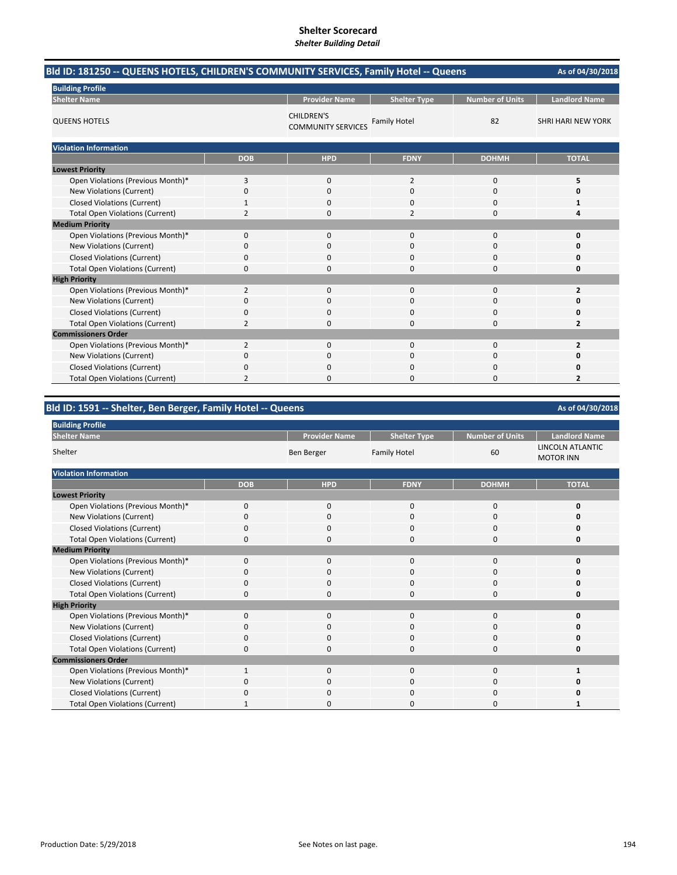| Bld ID: 181250 -- QUEENS HOTELS, CHILDREN'S COMMUNITY SERVICES, Family Hotel -- Queens |                |                                                |                     |                        | As of 04/30/2018          |
|----------------------------------------------------------------------------------------|----------------|------------------------------------------------|---------------------|------------------------|---------------------------|
| <b>Building Profile</b>                                                                |                |                                                |                     |                        |                           |
| <b>Shelter Name</b>                                                                    |                | <b>Provider Name</b>                           | <b>Shelter Type</b> | <b>Number of Units</b> | <b>Landlord Name</b>      |
| <b>QUEENS HOTELS</b>                                                                   |                | <b>CHILDREN'S</b><br><b>COMMUNITY SERVICES</b> | <b>Family Hotel</b> | 82                     | <b>SHRI HARI NEW YORK</b> |
| <b>Violation Information</b>                                                           |                |                                                |                     |                        |                           |
|                                                                                        | <b>DOB</b>     | <b>HPD</b>                                     | <b>FDNY</b>         | <b>DOHMH</b>           | <b>TOTAL</b>              |
| <b>Lowest Priority</b>                                                                 |                |                                                |                     |                        |                           |
| Open Violations (Previous Month)*                                                      | 3              | $\mathbf{0}$                                   | 2                   | $\mathbf 0$            | 5                         |
| New Violations (Current)                                                               | 0              | $\Omega$                                       | 0                   | $\Omega$               | $\Omega$                  |
| <b>Closed Violations (Current)</b>                                                     | $\mathbf{1}$   | 0                                              | 0                   | $\Omega$               | 1                         |
| <b>Total Open Violations (Current)</b>                                                 | $\overline{2}$ | $\Omega$                                       | 2                   | $\Omega$               | Δ                         |
| <b>Medium Priority</b>                                                                 |                |                                                |                     |                        |                           |
| Open Violations (Previous Month)*                                                      | $\mathbf{0}$   | $\Omega$                                       | 0                   | $\Omega$               | 0                         |
| New Violations (Current)                                                               | 0              | $\Omega$                                       | 0                   | $\Omega$               | 0                         |
| <b>Closed Violations (Current)</b>                                                     | 0              | $\Omega$                                       | 0                   | $\Omega$               | 0                         |
| <b>Total Open Violations (Current)</b>                                                 | $\mathbf{0}$   | $\mathbf{0}$                                   | 0                   | $\Omega$               | 0                         |
| <b>High Priority</b>                                                                   |                |                                                |                     |                        |                           |
| Open Violations (Previous Month)*                                                      | 2              | $\Omega$                                       | $\Omega$            | $\Omega$               | $\overline{2}$            |
| New Violations (Current)                                                               | 0              | $\Omega$                                       | 0                   | $\Omega$               | 0                         |
| <b>Closed Violations (Current)</b>                                                     | 0              | $\mathbf{0}$                                   | 0                   | $\Omega$               | 0                         |
| <b>Total Open Violations (Current)</b>                                                 | $\overline{2}$ | $\Omega$                                       | 0                   | $\Omega$               | $\overline{2}$            |
| <b>Commissioners Order</b>                                                             |                |                                                |                     |                        |                           |
| Open Violations (Previous Month)*                                                      | $\overline{2}$ | $\mathbf 0$                                    | 0                   | $\Omega$               | $\overline{2}$            |
| New Violations (Current)                                                               | 0              | $\mathbf 0$                                    | 0                   | 0                      | 0                         |
| <b>Closed Violations (Current)</b>                                                     | 0              | 0                                              | 0                   | $\Omega$               | 0                         |
| <b>Total Open Violations (Current)</b>                                                 | $\overline{2}$ | $\Omega$                                       | 0                   | U                      | $\overline{2}$            |

# **Bld ID: 1591 ‐‐ Shelter, Ben Berger, Family Hotel ‐‐ Queens**

| <b>Building Profile</b>                |             |                      |                     |                        |                                      |
|----------------------------------------|-------------|----------------------|---------------------|------------------------|--------------------------------------|
| <b>Shelter Name</b>                    |             | <b>Provider Name</b> | <b>Shelter Type</b> | <b>Number of Units</b> | <b>Landlord Name</b>                 |
| Shelter                                |             | Ben Berger           | <b>Family Hotel</b> | 60                     | LINCOLN ATLANTIC<br><b>MOTOR INN</b> |
| <b>Violation Information</b>           |             |                      |                     |                        |                                      |
|                                        | <b>DOB</b>  | <b>HPD</b>           | <b>FDNY</b>         | <b>DOHMH</b>           | <b>TOTAL</b>                         |
| <b>Lowest Priority</b>                 |             |                      |                     |                        |                                      |
| Open Violations (Previous Month)*      | $\mathbf 0$ | $\mathbf 0$          | 0                   | $\mathbf 0$            | O                                    |
| New Violations (Current)               | $\Omega$    | 0                    | $\Omega$            | $\Omega$               |                                      |
| <b>Closed Violations (Current)</b>     | $\Omega$    | $\mathbf 0$          | $\Omega$            | $\Omega$               |                                      |
| <b>Total Open Violations (Current)</b> | $\Omega$    | $\Omega$             | 0                   | $\Omega$               | n                                    |
| <b>Medium Priority</b>                 |             |                      |                     |                        |                                      |
| Open Violations (Previous Month)*      | $\Omega$    | $\Omega$             | $\Omega$            | $\Omega$               |                                      |
| New Violations (Current)               | $\mathbf 0$ | $\mathbf 0$          | 0                   | 0                      |                                      |
| <b>Closed Violations (Current)</b>     | $\Omega$    | $\mathbf 0$          | $\Omega$            | $\Omega$               |                                      |
| <b>Total Open Violations (Current)</b> | 0           | $\mathbf 0$          | 0                   | 0                      | n                                    |
| <b>High Priority</b>                   |             |                      |                     |                        |                                      |
| Open Violations (Previous Month)*      | $\Omega$    | $\mathbf 0$          | $\Omega$            | $\Omega$               |                                      |
| New Violations (Current)               | $\Omega$    | $\mathbf 0$          | 0                   | $\Omega$               |                                      |
| <b>Closed Violations (Current)</b>     | O           | $\mathbf 0$          | 0                   | 0                      |                                      |
| <b>Total Open Violations (Current)</b> | $\Omega$    | 0                    | 0                   | $\Omega$               | O                                    |
| <b>Commissioners Order</b>             |             |                      |                     |                        |                                      |
| Open Violations (Previous Month)*      |             | $\Omega$             | 0                   | $\Omega$               |                                      |
| New Violations (Current)               | O           | $\Omega$             | 0                   | $\Omega$               |                                      |
| <b>Closed Violations (Current)</b>     |             | $\Omega$             | C                   | $\Omega$               |                                      |
| <b>Total Open Violations (Current)</b> |             | $\Omega$             | n                   | $\Omega$               |                                      |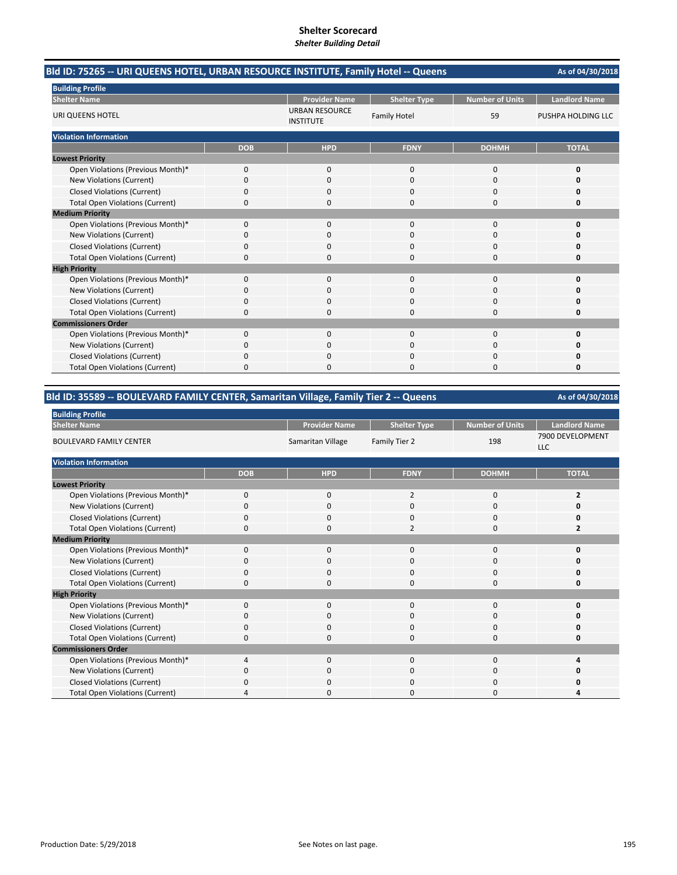| Bld ID: 75265 -- URI QUEENS HOTEL, URBAN RESOURCE INSTITUTE, Family Hotel -- Queens |            |                                           |                     |                        | As of 04/30/2018     |
|-------------------------------------------------------------------------------------|------------|-------------------------------------------|---------------------|------------------------|----------------------|
| <b>Building Profile</b>                                                             |            |                                           |                     |                        |                      |
| <b>Shelter Name</b>                                                                 |            | <b>Provider Name</b>                      | <b>Shelter Type</b> | <b>Number of Units</b> | <b>Landlord Name</b> |
| URI QUEENS HOTEL                                                                    |            | <b>URBAN RESOURCE</b><br><b>INSTITUTE</b> | <b>Family Hotel</b> | 59                     | PUSHPA HOLDING LLC   |
| <b>Violation Information</b>                                                        |            |                                           |                     |                        |                      |
|                                                                                     | <b>DOB</b> | <b>HPD</b>                                | <b>FDNY</b>         | <b>DOHMH</b>           | <b>TOTAL</b>         |
| <b>Lowest Priority</b>                                                              |            |                                           |                     |                        |                      |
| Open Violations (Previous Month)*                                                   | 0          | $\mathbf 0$                               | $\mathbf 0$         | 0                      | 0                    |
| New Violations (Current)                                                            | 0          | $\Omega$                                  | $\Omega$            | $\Omega$               | n                    |
| <b>Closed Violations (Current)</b>                                                  | 0          | $\Omega$                                  | $\Omega$            | 0                      | 0                    |
| <b>Total Open Violations (Current)</b>                                              | 0          | $\Omega$                                  | $\Omega$            | 0                      | 0                    |
| <b>Medium Priority</b>                                                              |            |                                           |                     |                        |                      |
| Open Violations (Previous Month)*                                                   | 0          | $\Omega$                                  | $\Omega$            | $\Omega$               | O                    |
| <b>New Violations (Current)</b>                                                     | 0          | 0                                         | 0                   | 0                      |                      |
| <b>Closed Violations (Current)</b>                                                  | 0          | $\Omega$                                  | 0                   | 0                      | n                    |
| <b>Total Open Violations (Current)</b>                                              | $\Omega$   | $\Omega$                                  | $\Omega$            | 0                      | 0                    |
| <b>High Priority</b>                                                                |            |                                           |                     |                        |                      |
| Open Violations (Previous Month)*                                                   | 0          | 0                                         | 0                   | 0                      | 0                    |
| New Violations (Current)                                                            | 0          | 0                                         | $\Omega$            | 0                      | n                    |
| <b>Closed Violations (Current)</b>                                                  | 0          | ŋ                                         | $\Omega$            | 0                      | n                    |
| <b>Total Open Violations (Current)</b>                                              | 0          | <sup>0</sup>                              | $\Omega$            | 0                      | 0                    |
| <b>Commissioners Order</b>                                                          |            |                                           |                     |                        |                      |
| Open Violations (Previous Month)*                                                   | 0          | $\Omega$                                  | $\Omega$            | $\Omega$               | 0                    |
| New Violations (Current)                                                            | 0          | 0                                         |                     | 0                      |                      |
| <b>Closed Violations (Current)</b>                                                  | 0          | n                                         | $\Omega$            | 0                      |                      |
| <b>Total Open Violations (Current)</b>                                              | 0          | n                                         | n                   | O                      | n                    |

# **Bld ID: 35589 ‐‐ BOULEVARD FAMILY CENTER, Samaritan Village, Family Tier 2 ‐‐ Queens**

| <b>Building Profile</b>                |             |                      |                     |                        |                                |
|----------------------------------------|-------------|----------------------|---------------------|------------------------|--------------------------------|
| <b>Shelter Name</b>                    |             | <b>Provider Name</b> | <b>Shelter Type</b> | <b>Number of Units</b> | <b>Landlord Name</b>           |
| <b>BOULEVARD FAMILY CENTER</b>         |             | Samaritan Village    | Family Tier 2       | 198                    | 7900 DEVELOPMENT<br><b>LLC</b> |
| <b>Violation Information</b>           |             |                      |                     |                        |                                |
|                                        | <b>DOB</b>  | <b>HPD</b>           | <b>FDNY</b>         | <b>DOHMH</b>           | <b>TOTAL</b>                   |
| <b>Lowest Priority</b>                 |             |                      |                     |                        |                                |
| Open Violations (Previous Month)*      | $\mathbf 0$ | $\mathbf 0$          | $\overline{2}$      | 0                      | 2                              |
| New Violations (Current)               | 0           | $\mathbf 0$          | 0                   | 0                      | Ω                              |
| <b>Closed Violations (Current)</b>     | 0           | $\mathbf 0$          | $\mathbf{0}$        | 0                      | 0                              |
| <b>Total Open Violations (Current)</b> | O           | $\mathbf{0}$         | $\overline{2}$      | $\Omega$               | 7                              |
| <b>Medium Priority</b>                 |             |                      |                     |                        |                                |
| Open Violations (Previous Month)*      | $\Omega$    | $\mathbf{0}$         | $\mathbf{0}$        | $\mathbf{0}$           | U                              |
| New Violations (Current)               | O           | 0                    | 0                   | 0                      | Ω                              |
| <b>Closed Violations (Current)</b>     | 0           | $\mathbf 0$          | 0                   | 0                      | 0                              |
| <b>Total Open Violations (Current)</b> | 0           | $\mathbf 0$          | $\mathbf{0}$        | $\mathbf{0}$           | 0                              |
| <b>High Priority</b>                   |             |                      |                     |                        |                                |
| Open Violations (Previous Month)*      | $\Omega$    | $\mathbf{0}$         | $\mathbf{0}$        | $\mathbf{0}$           | ŋ                              |
| New Violations (Current)               | O           | 0                    | 0                   | 0                      | Ω                              |
| <b>Closed Violations (Current)</b>     | 0           | $\mathbf{0}$         | $\mathbf{0}$        | 0                      | ŋ                              |
| <b>Total Open Violations (Current)</b> | 0           | 0                    | 0                   | $\Omega$               | 0                              |
| <b>Commissioners Order</b>             |             |                      |                     |                        |                                |
| Open Violations (Previous Month)*      | 4           | $\mathbf{0}$         | $\mathbf{0}$        | 0                      |                                |
| New Violations (Current)               | 0           | 0                    | 0                   | 0                      | Ω                              |
| <b>Closed Violations (Current)</b>     | 0           | 0                    | $\Omega$            | 0                      |                                |
| <b>Total Open Violations (Current)</b> |             | $\Omega$             | 0                   | 0                      |                                |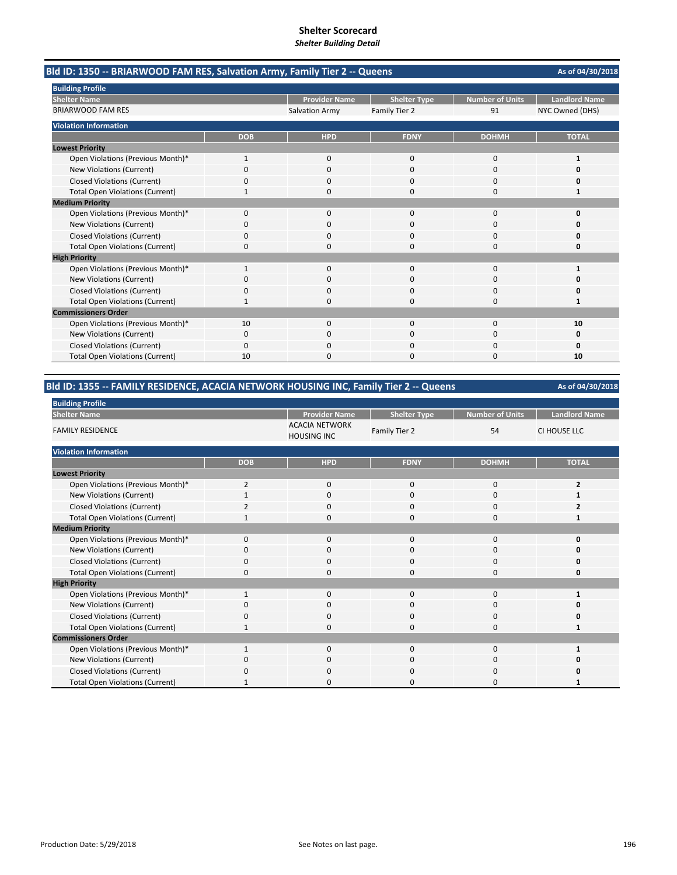| Bld ID: 1350 -- BRIARWOOD FAM RES, Salvation Army, Family Tier 2 -- Queens |              |                       |                     |                        | As of 04/30/2018     |
|----------------------------------------------------------------------------|--------------|-----------------------|---------------------|------------------------|----------------------|
| <b>Building Profile</b>                                                    |              |                       |                     |                        |                      |
| <b>Shelter Name</b>                                                        |              | <b>Provider Name</b>  | <b>Shelter Type</b> | <b>Number of Units</b> | <b>Landlord Name</b> |
| <b>BRIARWOOD FAM RES</b>                                                   |              | <b>Salvation Army</b> | Family Tier 2       | 91                     | NYC Owned (DHS)      |
| <b>Violation Information</b>                                               |              |                       |                     |                        |                      |
|                                                                            | <b>DOB</b>   | <b>HPD</b>            | <b>FDNY</b>         | <b>DOHMH</b>           | <b>TOTAL</b>         |
| <b>Lowest Priority</b>                                                     |              |                       |                     |                        |                      |
| Open Violations (Previous Month)*                                          | 1            | 0                     | 0                   | 0                      | 1                    |
| New Violations (Current)                                                   | 0            | 0                     | 0                   | 0                      |                      |
| <b>Closed Violations (Current)</b>                                         | 0            | 0                     | 0                   | 0                      | Ω                    |
| <b>Total Open Violations (Current)</b>                                     | 1            | O                     | $\Omega$            | $\Omega$               | 1                    |
| <b>Medium Priority</b>                                                     |              |                       |                     |                        |                      |
| Open Violations (Previous Month)*                                          | 0            | $\mathbf{0}$          | $\mathbf 0$         | 0                      | O                    |
| New Violations (Current)                                                   | 0            | O                     | $\Omega$            | $\Omega$               | n                    |
| <b>Closed Violations (Current)</b>                                         | 0            | 0                     | $\Omega$            | $\Omega$               | O                    |
| <b>Total Open Violations (Current)</b>                                     | 0            | $\Omega$              | $\Omega$            | 0                      | 0                    |
| <b>High Priority</b>                                                       |              |                       |                     |                        |                      |
| Open Violations (Previous Month)*                                          | 1            | $\Omega$              | $\Omega$            | $\Omega$               | 1                    |
| New Violations (Current)                                                   | 0            | 0                     | $\Omega$            | 0                      | O                    |
| <b>Closed Violations (Current)</b>                                         | 0            | O                     | O                   | 0                      | Ω                    |
| <b>Total Open Violations (Current)</b>                                     | $\mathbf{1}$ | 0                     | $\Omega$            | 0                      | 1                    |
| <b>Commissioners Order</b>                                                 |              |                       |                     |                        |                      |
| Open Violations (Previous Month)*                                          | 10           | 0                     | 0                   | 0                      | 10                   |
| New Violations (Current)                                                   | 0            | 0                     | 0                   | 0                      | 0                    |
| <b>Closed Violations (Current)</b>                                         | 0            |                       |                     | C                      | Ω                    |
| <b>Total Open Violations (Current)</b>                                     | 10           |                       | O                   | 0                      | 10                   |

# **Bld ID: 1355 ‐‐ FAMILY RESIDENCE, ACACIA NETWORK HOUSING INC, Family Tier 2 ‐‐ Queens**

**As of 04/30/2018**

| <b>DUTION &amp; LOTTE</b>              |                |                                             |                     |                        |                      |
|----------------------------------------|----------------|---------------------------------------------|---------------------|------------------------|----------------------|
| <b>Shelter Name</b>                    |                | <b>Provider Name</b>                        | <b>Shelter Type</b> | <b>Number of Units</b> | <b>Landlord Name</b> |
| <b>FAMILY RESIDENCE</b>                |                | <b>ACACIA NETWORK</b><br><b>HOUSING INC</b> | Family Tier 2       | 54                     | CI HOUSE LLC         |
| <b>Violation Information</b>           |                |                                             |                     |                        |                      |
|                                        | <b>DOB</b>     | <b>HPD</b>                                  | <b>FDNY</b>         | <b>DOHMH</b>           | <b>TOTAL</b>         |
| <b>Lowest Priority</b>                 |                |                                             |                     |                        |                      |
| Open Violations (Previous Month)*      | $\overline{2}$ | $\mathbf{0}$                                | $\mathbf{0}$        | $\mathbf 0$            | 2                    |
| New Violations (Current)               |                | 0                                           | 0                   | 0                      |                      |
| <b>Closed Violations (Current)</b>     |                | 0                                           | $\Omega$            | $\mathbf{0}$           |                      |
| <b>Total Open Violations (Current)</b> | 1              | 0                                           | 0                   | $\mathbf{0}$           | 1                    |
| <b>Medium Priority</b>                 |                |                                             |                     |                        |                      |
| Open Violations (Previous Month)*      | 0              | 0                                           | 0                   | 0                      | 0                    |
| New Violations (Current)               | $\Omega$       | 0                                           | $\Omega$            | 0                      | ŋ                    |
| <b>Closed Violations (Current)</b>     | 0              | 0                                           | 0                   | 0                      | 0                    |
| <b>Total Open Violations (Current)</b> | $\Omega$       | $\Omega$                                    | $\Omega$            | $\Omega$               | O                    |
| <b>High Priority</b>                   |                |                                             |                     |                        |                      |
| Open Violations (Previous Month)*      |                | $\mathbf{0}$                                | $\mathbf{0}$        | $\mathbf{0}$           |                      |
| New Violations (Current)               | 0              | 0                                           | 0                   | 0                      | ŋ                    |
| <b>Closed Violations (Current)</b>     | $\Omega$       | 0                                           | $\mathbf{0}$        | $\mathbf{0}$           | ŋ                    |
| <b>Total Open Violations (Current)</b> |                | 0                                           | 0                   | $\mathbf{0}$           | 1                    |
| <b>Commissioners Order</b>             |                |                                             |                     |                        |                      |
| Open Violations (Previous Month)*      |                | 0                                           | 0                   | 0                      |                      |
| New Violations (Current)               | $\Omega$       | 0                                           | 0                   | 0                      | ŋ                    |
| <b>Closed Violations (Current)</b>     | O              | 0                                           | 0                   | 0                      | 0                    |
| <b>Total Open Violations (Current)</b> | 1              | 0                                           | 0                   | 0                      |                      |

**Building Profile**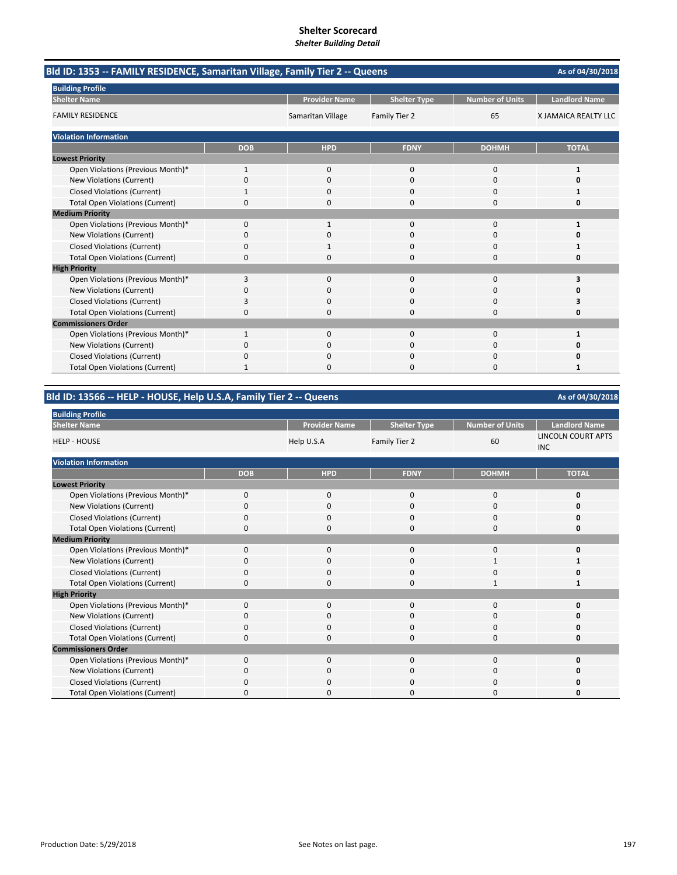| Bld ID: 1353 -- FAMILY RESIDENCE, Samaritan Village, Family Tier 2 -- Queens |              |                      |                     |                        | As of 04/30/2018     |
|------------------------------------------------------------------------------|--------------|----------------------|---------------------|------------------------|----------------------|
| <b>Building Profile</b>                                                      |              |                      |                     |                        |                      |
| <b>Shelter Name</b>                                                          |              | <b>Provider Name</b> | <b>Shelter Type</b> | <b>Number of Units</b> | <b>Landlord Name</b> |
| <b>FAMILY RESIDENCE</b>                                                      |              | Samaritan Village    | Family Tier 2       | 65                     | X JAMAICA REALTY LLC |
| <b>Violation Information</b>                                                 |              |                      |                     |                        |                      |
|                                                                              | <b>DOB</b>   | <b>HPD</b>           | <b>FDNY</b>         | <b>DOHMH</b>           | <b>TOTAL</b>         |
| <b>Lowest Priority</b>                                                       |              |                      |                     |                        |                      |
| Open Violations (Previous Month)*                                            | $\mathbf{1}$ | $\mathbf{0}$         | 0                   | 0                      | 1                    |
| New Violations (Current)                                                     | $\Omega$     | $\Omega$             | $\Omega$            | 0                      | U                    |
| <b>Closed Violations (Current)</b>                                           | 1            | 0                    | 0                   | 0                      |                      |
| <b>Total Open Violations (Current)</b>                                       | 0            | 0                    | $\Omega$            | 0                      | 0                    |
| <b>Medium Priority</b>                                                       |              |                      |                     |                        |                      |
| Open Violations (Previous Month)*                                            | $\Omega$     | 1                    | $\Omega$            | $\Omega$               |                      |
| New Violations (Current)                                                     | 0            | 0                    | 0                   | 0                      | n                    |
| <b>Closed Violations (Current)</b>                                           | 0            |                      | O                   | 0                      |                      |
| <b>Total Open Violations (Current)</b>                                       | $\Omega$     | 0                    | 0                   | 0                      | 0                    |
| <b>High Priority</b>                                                         |              |                      |                     |                        |                      |
| Open Violations (Previous Month)*                                            | 3            | $\mathbf{0}$         | $\Omega$            | 0                      | 3                    |
| New Violations (Current)                                                     | $\Omega$     | 0                    |                     | 0                      | n                    |
| <b>Closed Violations (Current)</b>                                           | 3            | $\Omega$             | $\Omega$            | $\Omega$               | 3                    |
| <b>Total Open Violations (Current)</b>                                       | $\Omega$     | $\Omega$             | O                   | 0                      | 0                    |
| <b>Commissioners Order</b>                                                   |              |                      |                     |                        |                      |
| Open Violations (Previous Month)*                                            | 1            | 0                    | 0                   | 0                      |                      |
| New Violations (Current)                                                     | $\Omega$     | $\Omega$             | ŋ                   | 0                      |                      |
| <b>Closed Violations (Current)</b>                                           | $\Omega$     | 0                    |                     | 0                      | Ω                    |
| <b>Total Open Violations (Current)</b>                                       |              | 0                    | ŋ                   | 0                      |                      |

|  | Bld ID: 13566 -- HELP - HOUSE, Help U.S.A, Family Tier 2 -- Queens |
|--|--------------------------------------------------------------------|
|  |                                                                    |

| <b>Building Profile</b>                |             |                      |                     |                        |                                         |
|----------------------------------------|-------------|----------------------|---------------------|------------------------|-----------------------------------------|
| <b>Shelter Name</b>                    |             | <b>Provider Name</b> | <b>Shelter Type</b> | <b>Number of Units</b> | <b>Landlord Name</b>                    |
| <b>HELP - HOUSE</b>                    |             | Help U.S.A           | Family Tier 2       | 60                     | <b>LINCOLN COURT APTS</b><br><b>INC</b> |
| <b>Violation Information</b>           |             |                      |                     |                        |                                         |
|                                        | <b>DOB</b>  | <b>HPD</b>           | <b>FDNY</b>         | <b>DOHMH</b>           | <b>TOTAL</b>                            |
| <b>Lowest Priority</b>                 |             |                      |                     |                        |                                         |
| Open Violations (Previous Month)*      | $\mathbf 0$ | $\mathbf 0$          | 0                   | $\mathbf 0$            | 0                                       |
| New Violations (Current)               | $\Omega$    | $\mathbf 0$          | 0                   | 0                      |                                         |
| <b>Closed Violations (Current)</b>     | 0           | $\mathbf 0$          | 0                   | $\mathbf 0$            |                                         |
| <b>Total Open Violations (Current)</b> | $\Omega$    | $\Omega$             | 0                   | 0                      |                                         |
| <b>Medium Priority</b>                 |             |                      |                     |                        |                                         |
| Open Violations (Previous Month)*      | $\Omega$    | $\mathbf 0$          | 0                   | $\mathbf 0$            |                                         |
| New Violations (Current)               | 0           | $\mathbf 0$          | 0                   | 1                      |                                         |
| <b>Closed Violations (Current)</b>     | $\Omega$    | $\mathbf 0$          | 0                   | $\mathbf 0$            |                                         |
| <b>Total Open Violations (Current)</b> | 0           | $\mathbf 0$          | 0                   | 1                      |                                         |
| <b>High Priority</b>                   |             |                      |                     |                        |                                         |
| Open Violations (Previous Month)*      | $\Omega$    | $\mathbf 0$          | 0                   | $\mathbf 0$            |                                         |
| New Violations (Current)               | 0           | $\mathbf 0$          | 0                   | 0                      |                                         |
| <b>Closed Violations (Current)</b>     | $\Omega$    | $\mathbf 0$          | 0                   | $\mathbf 0$            |                                         |
| <b>Total Open Violations (Current)</b> | 0           | $\mathbf 0$          | 0                   | 0                      | Ω                                       |
| <b>Commissioners Order</b>             |             |                      |                     |                        |                                         |
| Open Violations (Previous Month)*      | $\Omega$    | $\Omega$             | 0                   | 0                      |                                         |
| New Violations (Current)               | 0           | $\Omega$             | 0                   | $\mathbf 0$            |                                         |
| <b>Closed Violations (Current)</b>     | $\Omega$    | $\Omega$             | 0                   | 0                      |                                         |
| <b>Total Open Violations (Current)</b> | $\Omega$    | $\Omega$             | 0                   | 0                      |                                         |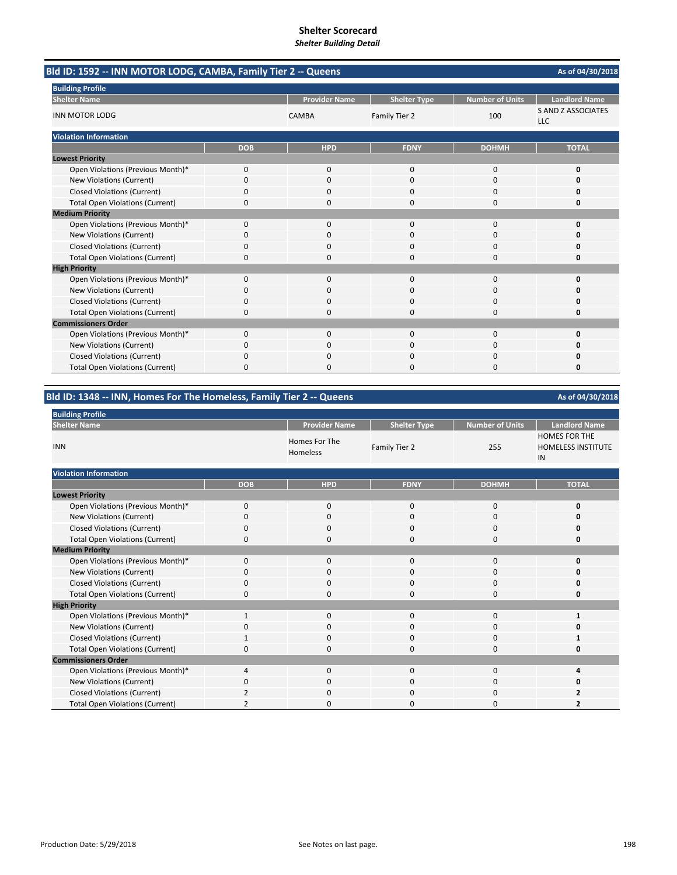| Bld ID: 1592 -- INN MOTOR LODG, CAMBA, Family Tier 2 -- Queens |            |                      |                     |                 | As of 04/30/2018                        |
|----------------------------------------------------------------|------------|----------------------|---------------------|-----------------|-----------------------------------------|
| <b>Building Profile</b>                                        |            |                      |                     |                 |                                         |
| <b>Shelter Name</b>                                            |            | <b>Provider Name</b> | <b>Shelter Type</b> | Number of Units | <b>Landlord Name</b>                    |
| <b>INN MOTOR LODG</b>                                          |            | <b>CAMBA</b>         | Family Tier 2       | 100             | <b>S AND Z ASSOCIATES</b><br><b>LLC</b> |
| <b>Violation Information</b>                                   |            |                      |                     |                 |                                         |
|                                                                | <b>DOB</b> | <b>HPD</b>           | <b>FDNY</b>         | <b>DOHMH</b>    | <b>TOTAL</b>                            |
| <b>Lowest Priority</b>                                         |            |                      |                     |                 |                                         |
| Open Violations (Previous Month)*                              | 0          | 0                    | $\mathbf{0}$        | $\Omega$        | 0                                       |
| New Violations (Current)                                       | 0          | $\Omega$             | $\Omega$            | $\Omega$        | o                                       |
| <b>Closed Violations (Current)</b>                             | 0          | 0                    | 0                   | $\Omega$        | 0                                       |
| <b>Total Open Violations (Current)</b>                         | 0          | $\Omega$             | 0                   | $\Omega$        | 0                                       |
| <b>Medium Priority</b>                                         |            |                      |                     |                 |                                         |
| Open Violations (Previous Month)*                              | 0          | 0                    | 0                   | $\mathbf 0$     | O                                       |
| New Violations (Current)                                       | 0          | 0                    | 0                   | 0               | n                                       |
| <b>Closed Violations (Current)</b>                             | 0          | $\Omega$             | $\Omega$            | 0               | O                                       |
| <b>Total Open Violations (Current)</b>                         | $\Omega$   | $\Omega$             | $\Omega$            | $\Omega$        | 0                                       |
| <b>High Priority</b>                                           |            |                      |                     |                 |                                         |
| Open Violations (Previous Month)*                              | 0          | 0                    | 0                   | $\mathbf 0$     | 0                                       |
| New Violations (Current)                                       | 0          | 0                    | 0                   | 0               | Ω                                       |
| <b>Closed Violations (Current)</b>                             | 0          | O                    | O                   | $\Omega$        | n                                       |
| <b>Total Open Violations (Current)</b>                         | 0          | O                    | O                   | $\Omega$        | 0                                       |
| <b>Commissioners Order</b>                                     |            |                      |                     |                 |                                         |
| Open Violations (Previous Month)*                              | 0          | $\Omega$             | $\Omega$            | 0               | O                                       |
| New Violations (Current)                                       | 0          | $\Omega$             | 0                   | $\Omega$        | O                                       |
| <b>Closed Violations (Current)</b>                             | 0          | 0                    | 0                   | 0               | o                                       |
| <b>Total Open Violations (Current)</b>                         | $\Omega$   | $\Omega$             | 0                   | $\Omega$        | 0                                       |

**Bld ID: 1348 ‐‐ INN, Homes For The Homeless, Family Tier 2 ‐‐ Queens**

| <b>Building Profile</b>                |             |                           |                     |                        |                                                         |
|----------------------------------------|-------------|---------------------------|---------------------|------------------------|---------------------------------------------------------|
| <b>Shelter Name</b>                    |             | <b>Provider Name</b>      | <b>Shelter Type</b> | <b>Number of Units</b> | <b>Landlord Name</b>                                    |
| <b>INN</b>                             |             | Homes For The<br>Homeless | Family Tier 2       | 255                    | <b>HOMES FOR THE</b><br><b>HOMELESS INSTITUTE</b><br>IN |
| <b>Violation Information</b>           |             |                           |                     |                        |                                                         |
|                                        | <b>DOB</b>  | <b>HPD</b>                | <b>FDNY</b>         | <b>DOHMH</b>           | <b>TOTAL</b>                                            |
| <b>Lowest Priority</b>                 |             |                           |                     |                        |                                                         |
| Open Violations (Previous Month)*      | $\mathbf 0$ | $\mathbf 0$               | 0                   | 0                      | 0                                                       |
| New Violations (Current)               | 0           | 0                         | 0                   | 0                      | 0                                                       |
| <b>Closed Violations (Current)</b>     | $\mathbf 0$ | 0                         | 0                   | $\mathbf 0$            | $\Omega$                                                |
| <b>Total Open Violations (Current)</b> | 0           | $\mathbf 0$               | 0                   | 0                      | 0                                                       |
| <b>Medium Priority</b>                 |             |                           |                     |                        |                                                         |
| Open Violations (Previous Month)*      | $\Omega$    | 0                         | 0                   | 0                      | 0                                                       |
| <b>New Violations (Current)</b>        | O           | 0                         | 0                   | 0                      | 0                                                       |
| <b>Closed Violations (Current)</b>     | 0           | 0                         | 0                   | 0                      | 0                                                       |
| <b>Total Open Violations (Current)</b> | $\Omega$    | $\Omega$                  | $\Omega$            | $\Omega$               | 0                                                       |
| <b>High Priority</b>                   |             |                           |                     |                        |                                                         |
| Open Violations (Previous Month)*      | 1           | $\mathbf 0$               | 0                   | 0                      | 1                                                       |
| <b>New Violations (Current)</b>        | $\Omega$    | $\Omega$                  | $\Omega$            | $\Omega$               | O                                                       |
| <b>Closed Violations (Current)</b>     |             | 0                         | 0                   | 0                      |                                                         |
| <b>Total Open Violations (Current)</b> | $\Omega$    | 0                         | 0                   | 0                      | 0                                                       |
| <b>Commissioners Order</b>             |             |                           |                     |                        |                                                         |
| Open Violations (Previous Month)*      | 4           | $\mathbf 0$               | 0                   | 0                      | 4                                                       |
| New Violations (Current)               | $\Omega$    | $\Omega$                  | 0                   | 0                      | n                                                       |
| <b>Closed Violations (Current)</b>     |             | 0                         | 0                   | 0                      | 2                                                       |
| <b>Total Open Violations (Current)</b> | 2           | 0                         | O                   | 0                      | 2                                                       |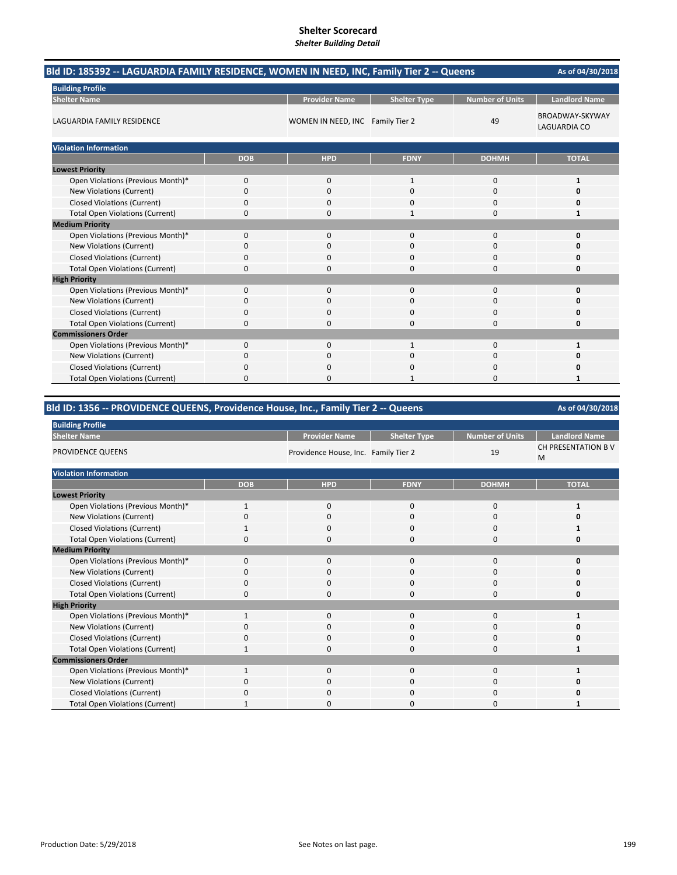|                                        | Bld ID: 185392 -- LAGUARDIA FAMILY RESIDENCE, WOMEN IN NEED, INC, Family Tier 2 -- Queens |                                  |                     |                        |                                        |  |
|----------------------------------------|-------------------------------------------------------------------------------------------|----------------------------------|---------------------|------------------------|----------------------------------------|--|
| <b>Building Profile</b>                |                                                                                           |                                  |                     |                        |                                        |  |
| <b>Shelter Name</b>                    |                                                                                           | <b>Provider Name</b>             | <b>Shelter Type</b> | <b>Number of Units</b> | <b>Landlord Name</b>                   |  |
| LAGUARDIA FAMILY RESIDENCE             |                                                                                           | WOMEN IN NEED, INC Family Tier 2 |                     | 49                     | BROADWAY-SKYWAY<br><b>LAGUARDIA CO</b> |  |
| <b>Violation Information</b>           |                                                                                           |                                  |                     |                        |                                        |  |
|                                        | <b>DOB</b>                                                                                | <b>HPD</b>                       | <b>FDNY</b>         | <b>DOHMH</b>           | <b>TOTAL</b>                           |  |
| <b>Lowest Priority</b>                 |                                                                                           |                                  |                     |                        |                                        |  |
| Open Violations (Previous Month)*      | 0                                                                                         | $\mathbf{0}$                     | $\mathbf{1}$        | 0                      | 1                                      |  |
| New Violations (Current)               | 0                                                                                         | $\Omega$                         | $\Omega$            | 0                      | 0                                      |  |
| <b>Closed Violations (Current)</b>     | 0                                                                                         | 0                                | $\Omega$            | 0                      | 0                                      |  |
| <b>Total Open Violations (Current)</b> | 0                                                                                         | $\Omega$                         | 1                   | $\Omega$               | 1                                      |  |
| <b>Medium Priority</b>                 |                                                                                           |                                  |                     |                        |                                        |  |
| Open Violations (Previous Month)*      | 0                                                                                         | $\mathbf{0}$                     | $\Omega$            | 0                      | $\mathbf 0$                            |  |
| New Violations (Current)               | 0                                                                                         | 0                                | $\mathbf 0$         | 0                      | 0                                      |  |
| <b>Closed Violations (Current)</b>     | 0                                                                                         | $\Omega$                         | $\Omega$            | 0                      | 0                                      |  |
| <b>Total Open Violations (Current)</b> | 0                                                                                         | 0                                | $\Omega$            | $\Omega$               | 0                                      |  |
| <b>High Priority</b>                   |                                                                                           |                                  |                     |                        |                                        |  |
| Open Violations (Previous Month)*      | 0                                                                                         | $\Omega$                         | $\Omega$            | 0                      | 0                                      |  |
| New Violations (Current)               | 0                                                                                         | $\Omega$                         | $\Omega$            | $\Omega$               | 0                                      |  |
| <b>Closed Violations (Current)</b>     | 0                                                                                         | 0                                | $\Omega$            | $\Omega$               | 0                                      |  |
| <b>Total Open Violations (Current)</b> | 0                                                                                         | $\Omega$                         | $\Omega$            | $\Omega$               | 0                                      |  |
| <b>Commissioners Order</b>             |                                                                                           |                                  |                     |                        |                                        |  |
| Open Violations (Previous Month)*      | 0                                                                                         | $\mathbf{0}$                     | $\mathbf{1}$        | 0                      | 1                                      |  |
| New Violations (Current)               | 0                                                                                         | $\Omega$                         | $\Omega$            | 0                      | 0                                      |  |
| <b>Closed Violations (Current)</b>     | 0                                                                                         |                                  | O                   | 0                      | 0                                      |  |
| <b>Total Open Violations (Current)</b> | 0                                                                                         | 0                                |                     | $\Omega$               | 1                                      |  |

# **Bld ID: 1356 ‐‐ PROVIDENCE QUEENS, Providence House, Inc., Family Tier 2 ‐‐ Queens**

| <b>Building Profile</b>                |              |                                      |                     |                        |                          |
|----------------------------------------|--------------|--------------------------------------|---------------------|------------------------|--------------------------|
| <b>Shelter Name</b>                    |              | <b>Provider Name</b>                 | <b>Shelter Type</b> | <b>Number of Units</b> | <b>Landlord Name</b>     |
| PROVIDENCE QUEENS                      |              | Providence House, Inc. Family Tier 2 |                     | 19                     | CH PRESENTATION B V<br>M |
| <b>Violation Information</b>           |              |                                      |                     |                        |                          |
|                                        | <b>DOB</b>   | <b>HPD</b>                           | <b>FDNY</b>         | <b>DOHMH</b>           | <b>TOTAL</b>             |
| <b>Lowest Priority</b>                 |              |                                      |                     |                        |                          |
| Open Violations (Previous Month)*      | 1            | 0                                    | 0                   | 0                      |                          |
| New Violations (Current)               | O            | 0                                    | 0                   | 0                      |                          |
| <b>Closed Violations (Current)</b>     |              | $\mathbf 0$                          | 0                   | 0                      |                          |
| <b>Total Open Violations (Current)</b> | $\Omega$     | $\Omega$                             | $\Omega$            | $\Omega$               | n                        |
| <b>Medium Priority</b>                 |              |                                      |                     |                        |                          |
| Open Violations (Previous Month)*      | $\Omega$     | $\mathbf{0}$                         | $\Omega$            | 0                      | n                        |
| New Violations (Current)               | O            | 0                                    | 0                   | 0                      |                          |
| <b>Closed Violations (Current)</b>     | $\Omega$     | 0                                    | 0                   | 0                      |                          |
| <b>Total Open Violations (Current)</b> | $\Omega$     | $\Omega$                             | $\Omega$            | $\Omega$               | n                        |
| <b>High Priority</b>                   |              |                                      |                     |                        |                          |
| Open Violations (Previous Month)*      | $\mathbf{1}$ | $\mathbf{0}$                         | $\Omega$            | 0                      |                          |
| New Violations (Current)               | $\Omega$     | 0                                    | $\Omega$            | 0                      |                          |
| <b>Closed Violations (Current)</b>     | $\Omega$     | 0                                    | $\mathbf 0$         | 0                      |                          |
| <b>Total Open Violations (Current)</b> |              | $\Omega$                             | $\Omega$            | $\Omega$               |                          |
| <b>Commissioners Order</b>             |              |                                      |                     |                        |                          |
| Open Violations (Previous Month)*      | $\mathbf{1}$ | $\mathbf{0}$                         | $\mathbf{0}$        | 0                      |                          |
| New Violations (Current)               | $\Omega$     | 0                                    | 0                   | $\Omega$               |                          |
| <b>Closed Violations (Current)</b>     | $\Omega$     | 0                                    | $\mathbf 0$         | 0                      |                          |
| <b>Total Open Violations (Current)</b> |              | $\Omega$                             | $\Omega$            | $\Omega$               |                          |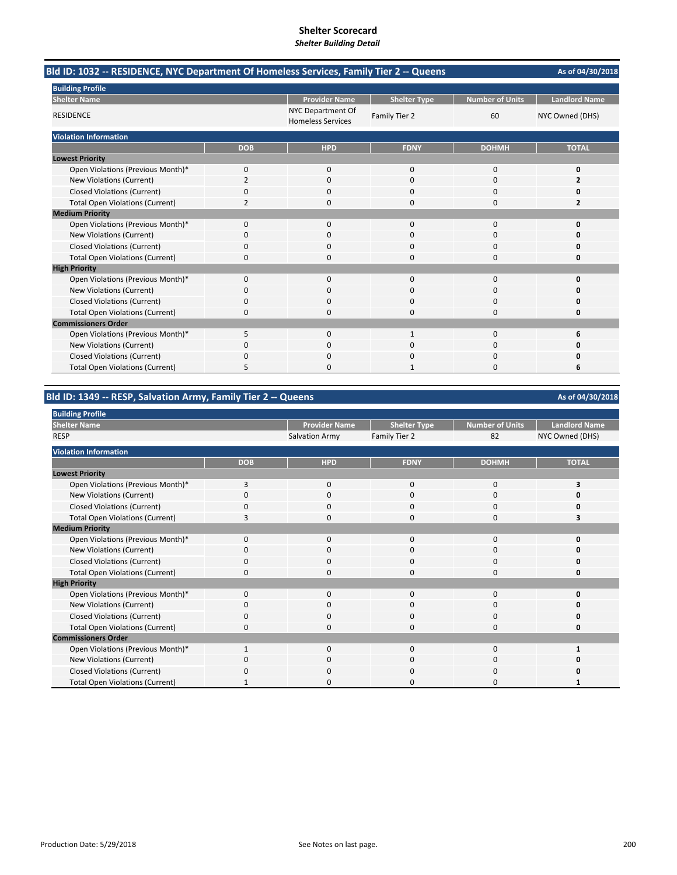| Bld ID: 1032 -- RESIDENCE, NYC Department Of Homeless Services, Family Tier 2 -- Queens |                |                                               |                     |                        | As of 04/30/2018     |
|-----------------------------------------------------------------------------------------|----------------|-----------------------------------------------|---------------------|------------------------|----------------------|
| <b>Building Profile</b>                                                                 |                |                                               |                     |                        |                      |
| <b>Shelter Name</b>                                                                     |                | <b>Provider Name</b>                          | <b>Shelter Type</b> | <b>Number of Units</b> | <b>Landlord Name</b> |
| <b>RESIDENCE</b>                                                                        |                | NYC Department Of<br><b>Homeless Services</b> | Family Tier 2       | 60                     | NYC Owned (DHS)      |
| <b>Violation Information</b>                                                            |                |                                               |                     |                        |                      |
|                                                                                         | <b>DOB</b>     | <b>HPD</b>                                    | <b>FDNY</b>         | <b>DOHMH</b>           | <b>TOTAL</b>         |
| <b>Lowest Priority</b>                                                                  |                |                                               |                     |                        |                      |
| Open Violations (Previous Month)*                                                       | 0              | $\mathbf{0}$                                  | $\mathbf 0$         | 0                      | 0                    |
| New Violations (Current)                                                                | $\overline{2}$ | $\Omega$                                      | $\Omega$            | $\Omega$               | 2                    |
| <b>Closed Violations (Current)</b>                                                      | 0              | 0                                             | <sup>0</sup>        | 0                      | Ω                    |
| <b>Total Open Violations (Current)</b>                                                  | 2              | $\Omega$                                      | $\Omega$            | 0                      | 2                    |
| <b>Medium Priority</b>                                                                  |                |                                               |                     |                        |                      |
| Open Violations (Previous Month)*                                                       | $\Omega$       | $\Omega$                                      | $\Omega$            | $\Omega$               | O                    |
| New Violations (Current)                                                                | 0              | 0                                             | O                   | 0                      | O                    |
| <b>Closed Violations (Current)</b>                                                      | 0              | 0                                             | 0                   | 0                      | Ω                    |
| <b>Total Open Violations (Current)</b>                                                  | $\Omega$       | $\Omega$                                      | $\Omega$            | $\Omega$               | O                    |
| <b>High Priority</b>                                                                    |                |                                               |                     |                        |                      |
| Open Violations (Previous Month)*                                                       | 0              | $\Omega$                                      | $\Omega$            | $\Omega$               | 0                    |
| New Violations (Current)                                                                | 0              | <sup>0</sup>                                  | $\Omega$            | $\Omega$               | O                    |
| <b>Closed Violations (Current)</b>                                                      | 0              | 0                                             | $\Omega$            | 0                      | Ω                    |
| <b>Total Open Violations (Current)</b>                                                  | 0              | 0                                             | $\Omega$            | 0                      | 0                    |
| <b>Commissioners Order</b>                                                              |                |                                               |                     |                        |                      |
| Open Violations (Previous Month)*                                                       | 5              | $\Omega$                                      | $\mathbf{1}$        | $\Omega$               | 6                    |
| New Violations (Current)                                                                | 0              | 0                                             | 0                   | 0                      |                      |
| <b>Closed Violations (Current)</b>                                                      | 0              | $\Omega$                                      | $\Omega$            | 0                      | n                    |
| <b>Total Open Violations (Current)</b>                                                  | 5              | $\Omega$                                      | 1                   | $\Omega$               | 6                    |

# **Bld ID: 1349 ‐‐ RESP, Salvation Army, Family Tier 2 ‐‐ Queens**

| <b>Building Profile</b>                |            |                       |                     |                 |                      |
|----------------------------------------|------------|-----------------------|---------------------|-----------------|----------------------|
| <b>Shelter Name</b>                    |            | <b>Provider Name</b>  | <b>Shelter Type</b> | Number of Units | <b>Landlord Name</b> |
| <b>RESP</b>                            |            | <b>Salvation Army</b> | Family Tier 2       | 82              | NYC Owned (DHS)      |
| <b>Violation Information</b>           |            |                       |                     |                 |                      |
|                                        | <b>DOB</b> | <b>HPD</b>            | <b>FDNY</b>         | <b>DOHMH</b>    | <b>TOTAL</b>         |
| <b>Lowest Priority</b>                 |            |                       |                     |                 |                      |
| Open Violations (Previous Month)*      | 3          | $\mathbf{0}$          | $\mathbf{0}$        | 0               | э                    |
| New Violations (Current)               | O          | 0                     | 0                   | 0               |                      |
| <b>Closed Violations (Current)</b>     | O          | $\Omega$              | $\Omega$            | $\Omega$        |                      |
| <b>Total Open Violations (Current)</b> |            | $\Omega$              | $\mathbf 0$         | 0               |                      |
| <b>Medium Priority</b>                 |            |                       |                     |                 |                      |
| Open Violations (Previous Month)*      | 0          | 0                     | 0                   | 0               |                      |
| New Violations (Current)               | O          | 0                     | 0                   | 0               |                      |
| <b>Closed Violations (Current)</b>     | 0          | 0                     | $\Omega$            | 0               |                      |
| <b>Total Open Violations (Current)</b> | $\Omega$   | $\Omega$              | $\Omega$            | 0               | n                    |
| <b>High Priority</b>                   |            |                       |                     |                 |                      |
| Open Violations (Previous Month)*      | $\Omega$   | 0                     | $\Omega$            | $\Omega$        |                      |
| New Violations (Current)               |            | 0                     | U                   |                 |                      |
| <b>Closed Violations (Current)</b>     |            | 0                     | $\Omega$            | 0               |                      |
| <b>Total Open Violations (Current)</b> |            |                       | U                   | ſ               |                      |
| <b>Commissioners Order</b>             |            |                       |                     |                 |                      |
| Open Violations (Previous Month)*      |            | $\Omega$              | $\Omega$            | $\Omega$        |                      |
| New Violations (Current)               | n          | $\Omega$              | 0                   | 0               |                      |
| <b>Closed Violations (Current)</b>     |            | $\Omega$              | $\Omega$            | O               |                      |
| <b>Total Open Violations (Current)</b> |            | ი                     | O                   | O               |                      |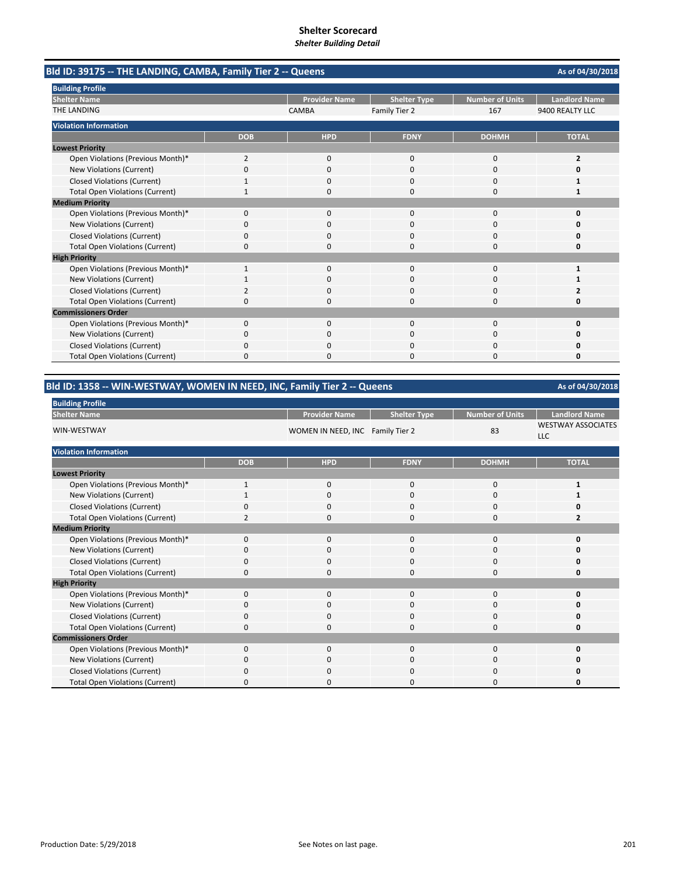| Bld ID: 39175 -- THE LANDING, CAMBA, Family Tier 2 -- Queens |              |                      |                     |                        | As of 04/30/2018     |
|--------------------------------------------------------------|--------------|----------------------|---------------------|------------------------|----------------------|
| <b>Building Profile</b>                                      |              |                      |                     |                        |                      |
| <b>Shelter Name</b>                                          |              | <b>Provider Name</b> | <b>Shelter Type</b> | <b>Number of Units</b> | <b>Landlord Name</b> |
| <b>THE LANDING</b>                                           |              | <b>CAMBA</b>         | Family Tier 2       | 167                    | 9400 REALTY LLC      |
| <b>Violation Information</b>                                 |              |                      |                     |                        |                      |
|                                                              | <b>DOB</b>   | <b>HPD</b>           | <b>FDNY</b>         | <b>DOHMH</b>           | <b>TOTAL</b>         |
| <b>Lowest Priority</b>                                       |              |                      |                     |                        |                      |
| Open Violations (Previous Month)*                            | 2            | 0                    | $\mathbf 0$         | $\mathbf 0$            | 2                    |
| New Violations (Current)                                     | $\Omega$     | $\Omega$             | $\Omega$            | $\Omega$               | O                    |
| <b>Closed Violations (Current)</b>                           |              | 0                    | 0                   | $\Omega$               |                      |
| <b>Total Open Violations (Current)</b>                       | 1            | 0                    | $\Omega$            | $\Omega$               | 1                    |
| <b>Medium Priority</b>                                       |              |                      |                     |                        |                      |
| Open Violations (Previous Month)*                            | 0            | $\Omega$             | $\Omega$            | $\Omega$               | O                    |
| New Violations (Current)                                     | 0            | 0                    | 0                   | 0                      | Ω                    |
| <b>Closed Violations (Current)</b>                           | 0            | $\Omega$             | 0                   | $\Omega$               | O                    |
| <b>Total Open Violations (Current)</b>                       | 0            | $\Omega$             | 0                   | $\Omega$               | 0                    |
| <b>High Priority</b>                                         |              |                      |                     |                        |                      |
| Open Violations (Previous Month)*                            | $\mathbf{1}$ | $\Omega$             | $\Omega$            | $\Omega$               | 1                    |
| New Violations (Current)                                     |              | 0                    | 0                   | $\Omega$               |                      |
| <b>Closed Violations (Current)</b>                           | 2            | 0                    | 0                   | 0                      |                      |
| <b>Total Open Violations (Current)</b>                       | $\Omega$     | <sup>n</sup>         | U                   | $\Omega$               | O                    |
| <b>Commissioners Order</b>                                   |              |                      |                     |                        |                      |
| Open Violations (Previous Month)*                            | 0            | 0                    | 0                   | $\mathbf 0$            | 0                    |
| New Violations (Current)                                     | 0            | <sup>0</sup>         | O                   | $\Omega$               | o                    |
| <b>Closed Violations (Current)</b>                           | 0            | 0                    | 0                   | 0                      | O                    |
| <b>Total Open Violations (Current)</b>                       | 0            | 0                    | 0                   | $\Omega$               | 0                    |

# **Bld ID: 1358 ‐‐ WIN‐WESTWAY, WOMEN IN NEED, INC, Family Tier 2 ‐‐ Queens**

**As of 04/30/2018**

| <b>DUILDING</b> Profile                |                |                                  |                     |                        |                                         |
|----------------------------------------|----------------|----------------------------------|---------------------|------------------------|-----------------------------------------|
| <b>Shelter Name</b>                    |                | <b>Provider Name</b>             | <b>Shelter Type</b> | <b>Number of Units</b> | <b>Landlord Name</b>                    |
| WIN-WESTWAY                            |                | WOMEN IN NEED, INC Family Tier 2 |                     | 83                     | <b>WESTWAY ASSOCIATES</b><br><b>LLC</b> |
| <b>Violation Information</b>           |                |                                  |                     |                        |                                         |
|                                        | <b>DOB</b>     | <b>HPD</b>                       | <b>FDNY</b>         | <b>DOHMH</b>           | <b>TOTAL</b>                            |
| <b>Lowest Priority</b>                 |                |                                  |                     |                        |                                         |
| Open Violations (Previous Month)*      |                | $\mathbf 0$                      | 0                   | 0                      |                                         |
| New Violations (Current)               |                | 0                                | 0                   | 0                      |                                         |
| <b>Closed Violations (Current)</b>     | O              | 0                                | 0                   | 0                      |                                         |
| <b>Total Open Violations (Current)</b> | $\overline{2}$ | 0                                | 0                   | 0                      | 2                                       |
| <b>Medium Priority</b>                 |                |                                  |                     |                        |                                         |
| Open Violations (Previous Month)*      | 0              | 0                                | 0                   | 0                      | O                                       |
| New Violations (Current)               | O              | 0                                | 0                   | 0                      |                                         |
| <b>Closed Violations (Current)</b>     | 0              | 0                                | 0                   | 0                      | O                                       |
| <b>Total Open Violations (Current)</b> | O              | $\Omega$                         | $\Omega$            | $\Omega$               | O                                       |
| <b>High Priority</b>                   |                |                                  |                     |                        |                                         |
| Open Violations (Previous Month)*      | $\Omega$       | $\mathbf 0$                      | $\mathbf 0$         | 0                      | n                                       |
| New Violations (Current)               | $\Omega$       | 0                                | 0                   | 0                      | O                                       |
| <b>Closed Violations (Current)</b>     | $\Omega$       | $\mathbf 0$                      | 0                   | 0                      |                                         |
| <b>Total Open Violations (Current)</b> | 0              | 0                                | 0                   | 0                      | 0                                       |
| <b>Commissioners Order</b>             |                |                                  |                     |                        |                                         |
| Open Violations (Previous Month)*      | $\Omega$       | 0                                | 0                   | 0                      | Ω                                       |
| New Violations (Current)               | 0              | 0                                | 0                   | 0                      | n                                       |
| <b>Closed Violations (Current)</b>     | O              | 0                                | 0                   | 0                      | 0                                       |
| <b>Total Open Violations (Current)</b> | O              | 0                                | 0                   | 0                      | n                                       |

**Building Profile**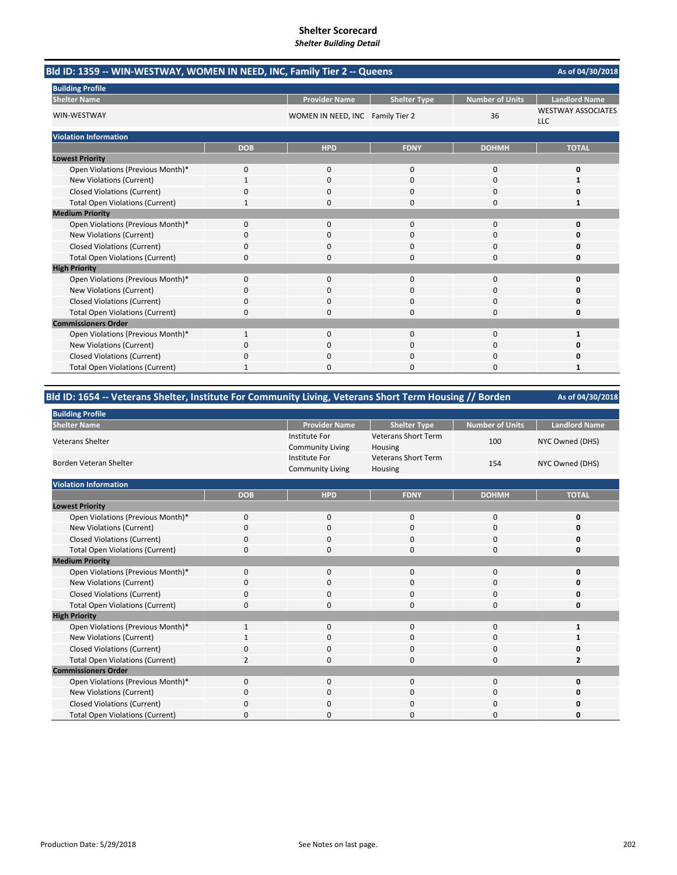| Bld ID: 1359 -- WIN-WESTWAY, WOMEN IN NEED, INC, Family Tier 2 -- Queens<br>As of 04/30/2018 |            |                                  |                     |                 |                                         |  |
|----------------------------------------------------------------------------------------------|------------|----------------------------------|---------------------|-----------------|-----------------------------------------|--|
| <b>Building Profile</b>                                                                      |            |                                  |                     |                 |                                         |  |
| <b>Shelter Name</b>                                                                          |            | <b>Provider Name</b>             | <b>Shelter Type</b> | Number of Units | <b>Landlord Name</b>                    |  |
| WIN-WESTWAY                                                                                  |            | WOMEN IN NEED, INC Family Tier 2 |                     | 36              | <b>WESTWAY ASSOCIATES</b><br><b>LLC</b> |  |
| <b>Violation Information</b>                                                                 |            |                                  |                     |                 |                                         |  |
|                                                                                              | <b>DOB</b> | <b>HPD</b>                       | <b>FDNY</b>         | <b>DOHMH</b>    | <b>TOTAL</b>                            |  |
| <b>Lowest Priority</b>                                                                       |            |                                  |                     |                 |                                         |  |
| Open Violations (Previous Month)*                                                            | 0          | $\mathbf 0$                      | 0                   | $\mathbf 0$     | O                                       |  |
| <b>New Violations (Current)</b>                                                              |            | 0                                | 0                   | 0               |                                         |  |
| <b>Closed Violations (Current)</b>                                                           | 0          | $\Omega$                         | 0                   | $\mathbf 0$     |                                         |  |
| <b>Total Open Violations (Current)</b>                                                       |            | 0                                | 0                   | $\Omega$        |                                         |  |
| <b>Medium Priority</b>                                                                       |            |                                  |                     |                 |                                         |  |
| Open Violations (Previous Month)*                                                            | 0          | $\Omega$                         | $\Omega$            | $\mathbf 0$     | n                                       |  |
| <b>New Violations (Current)</b>                                                              | ŋ          | 0                                | 0                   | 0               |                                         |  |
| <b>Closed Violations (Current)</b>                                                           | 0          | $\Omega$                         | 0                   | $\mathbf 0$     |                                         |  |
| <b>Total Open Violations (Current)</b>                                                       | 0          | $\Omega$                         | 0                   | $\Omega$        |                                         |  |
| <b>High Priority</b>                                                                         |            |                                  |                     |                 |                                         |  |
| Open Violations (Previous Month)*                                                            | 0          | 0                                | 0                   | $\mathbf 0$     |                                         |  |
| <b>New Violations (Current)</b>                                                              | 0          | $\Omega$                         | 0                   | 0               |                                         |  |
| <b>Closed Violations (Current)</b>                                                           | 0          | $\Omega$                         | $\Omega$            | $\mathbf 0$     |                                         |  |
| <b>Total Open Violations (Current)</b>                                                       | 0          | $\Omega$                         | 0                   | 0               |                                         |  |
| <b>Commissioners Order</b>                                                                   |            |                                  |                     |                 |                                         |  |
| Open Violations (Previous Month)*                                                            | 1          | $\Omega$                         | $\Omega$            | $\mathbf 0$     | 1                                       |  |
| <b>New Violations (Current)</b>                                                              | O          | 0                                | 0                   | $\Omega$        |                                         |  |
| <b>Closed Violations (Current)</b>                                                           | 0          | $\Omega$                         | $\Omega$            | $\mathbf 0$     |                                         |  |
| <b>Total Open Violations (Current)</b>                                                       |            | O                                | O                   | $\Omega$        | 1                                       |  |

| Bld ID: 1654 -- Veterans Shelter, Institute For Community Living, Veterans Short Term Housing // Borden | As of 04/30/2018 |                                                 |                                       |                        |                      |
|---------------------------------------------------------------------------------------------------------|------------------|-------------------------------------------------|---------------------------------------|------------------------|----------------------|
| <b>Building Profile</b>                                                                                 |                  |                                                 |                                       |                        |                      |
| <b>Shelter Name</b>                                                                                     |                  | <b>Provider Name</b>                            | <b>Shelter Type</b>                   | <b>Number of Units</b> | <b>Landlord Name</b> |
| <b>Veterans Shelter</b>                                                                                 |                  | <b>Institute For</b><br><b>Community Living</b> | <b>Veterans Short Term</b><br>Housing | 100                    | NYC Owned (DHS)      |
| Borden Veteran Shelter                                                                                  |                  | Institute For<br><b>Community Living</b>        | <b>Veterans Short Term</b><br>Housing | 154                    | NYC Owned (DHS)      |
| <b>Violation Information</b>                                                                            |                  |                                                 |                                       |                        |                      |
|                                                                                                         | <b>DOB</b>       | <b>HPD</b>                                      | <b>FDNY</b>                           | <b>DOHMH</b>           | <b>TOTAL</b>         |
| <b>Lowest Priority</b>                                                                                  |                  |                                                 |                                       |                        |                      |
| Open Violations (Previous Month)*                                                                       | $\mathbf{0}$     | $\mathbf{0}$                                    | $\mathbf{0}$                          | 0                      | 0                    |
| <b>New Violations (Current)</b>                                                                         | 0                | 0                                               | $\mathbf 0$                           | 0                      | 0                    |
| <b>Closed Violations (Current)</b>                                                                      | 0                | 0                                               | $\Omega$                              | 0                      | 0                    |
| <b>Total Open Violations (Current)</b>                                                                  | 0                | 0                                               | $\mathbf 0$                           | 0                      | 0                    |
| <b>Medium Priority</b>                                                                                  |                  |                                                 |                                       |                        |                      |
| Open Violations (Previous Month)*                                                                       | $\mathbf{0}$     | $\mathbf{0}$                                    | $\mathbf{0}$                          | $\mathbf 0$            | 0                    |
| New Violations (Current)                                                                                | 0                | 0                                               | $\Omega$                              | 0                      | 0                    |
| <b>Closed Violations (Current)</b>                                                                      | 0                | 0                                               | 0                                     | 0                      | 0                    |
| <b>Total Open Violations (Current)</b>                                                                  | 0                | ŋ                                               | $\Omega$                              | 0                      | 0                    |
| <b>High Priority</b>                                                                                    |                  |                                                 |                                       |                        |                      |
| Open Violations (Previous Month)*                                                                       | 1                | $\mathbf{0}$                                    | $\mathbf{0}$                          | 0                      | $\mathbf{1}$         |
| New Violations (Current)                                                                                | 1                | 0                                               | $\mathbf 0$                           | 0                      |                      |
| <b>Closed Violations (Current)</b>                                                                      | 0                | 0                                               | 0                                     | 0                      | O                    |
| <b>Total Open Violations (Current)</b>                                                                  | 2                | ŋ                                               | $\Omega$                              | 0                      | $\overline{2}$       |
| <b>Commissioners Order</b>                                                                              |                  |                                                 |                                       |                        |                      |
| Open Violations (Previous Month)*                                                                       | 0                | $\mathbf{0}$                                    | 0                                     | 0                      | 0                    |
| New Violations (Current)                                                                                | 0                | ŋ                                               | $\Omega$                              | 0                      | 0                    |
| <b>Closed Violations (Current)</b>                                                                      | 0                | ŋ                                               | O                                     | 0                      | O                    |
| <b>Total Open Violations (Current)</b>                                                                  | 0                | 0                                               | $\Omega$                              | 0                      | O                    |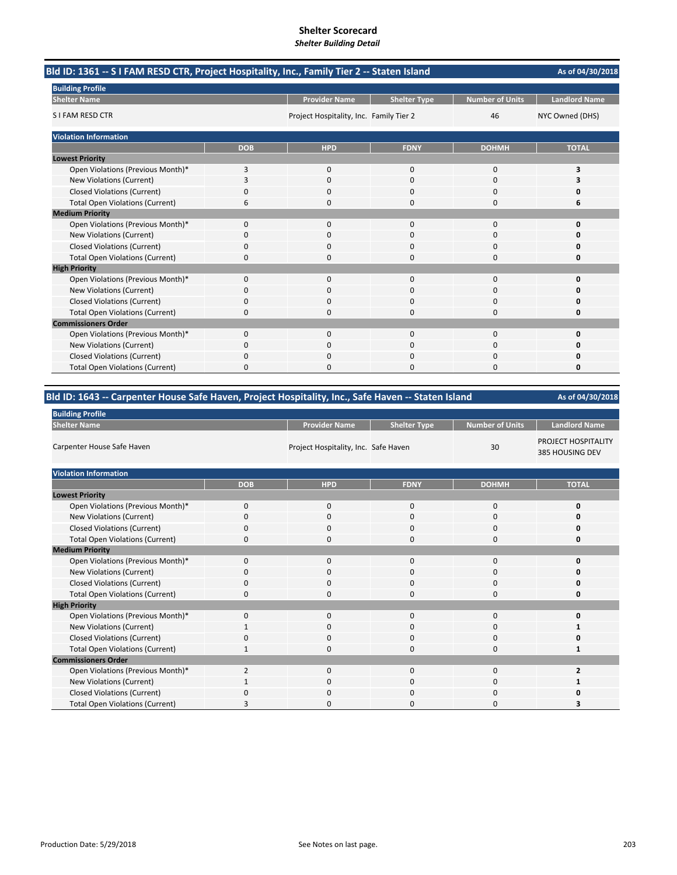| Bld ID: 1361 -- S I FAM RESD CTR, Project Hospitality, Inc., Family Tier 2 -- Staten Island |            |                                         |                     |                        | As of 04/30/2018     |
|---------------------------------------------------------------------------------------------|------------|-----------------------------------------|---------------------|------------------------|----------------------|
| <b>Building Profile</b>                                                                     |            |                                         |                     |                        |                      |
| <b>Shelter Name</b>                                                                         |            | <b>Provider Name</b>                    | <b>Shelter Type</b> | <b>Number of Units</b> | <b>Landlord Name</b> |
| S I FAM RESD CTR                                                                            |            | Project Hospitality, Inc. Family Tier 2 |                     | 46                     | NYC Owned (DHS)      |
| <b>Violation Information</b>                                                                |            |                                         |                     |                        |                      |
|                                                                                             | <b>DOB</b> | <b>HPD</b>                              | <b>FDNY</b>         | <b>DOHMH</b>           | <b>TOTAL</b>         |
| <b>Lowest Priority</b>                                                                      |            |                                         |                     |                        |                      |
| Open Violations (Previous Month)*                                                           | 3          | $\Omega$                                | $\Omega$            | $\Omega$               | 3                    |
| New Violations (Current)                                                                    | 3          | $\Omega$                                | $\Omega$            | $\Omega$               | 3                    |
| <b>Closed Violations (Current)</b>                                                          | 0          | 0                                       | 0                   | $\Omega$               | 0                    |
| <b>Total Open Violations (Current)</b>                                                      | 6          | 0                                       | 0                   | $\Omega$               | 6                    |
| <b>Medium Priority</b>                                                                      |            |                                         |                     |                        |                      |
| Open Violations (Previous Month)*                                                           | 0          | 0                                       | $\Omega$            | $\mathbf 0$            | O                    |
| New Violations (Current)                                                                    | ŋ          | 0                                       | O                   | O                      | n                    |
| <b>Closed Violations (Current)</b>                                                          | 0          | $\Omega$                                | $\Omega$            | $\Omega$               | 0                    |
| <b>Total Open Violations (Current)</b>                                                      | 0          | $\Omega$                                | 0                   | $\Omega$               | 0                    |
| <b>High Priority</b>                                                                        |            |                                         |                     |                        |                      |
| Open Violations (Previous Month)*                                                           | 0          | $\Omega$                                | $\Omega$            | $\Omega$               | O                    |
| New Violations (Current)                                                                    | ŋ          | 0                                       | $\Omega$            | 0                      | n                    |
| <b>Closed Violations (Current)</b>                                                          | $\Omega$   | 0                                       | 0                   | $\Omega$               | 0                    |
| <b>Total Open Violations (Current)</b>                                                      | 0          | 0                                       | $\Omega$            | $\Omega$               | 0                    |
| <b>Commissioners Order</b>                                                                  |            |                                         |                     |                        |                      |
| Open Violations (Previous Month)*                                                           | 0          | $\Omega$                                | $\Omega$            | $\Omega$               | 0                    |
| New Violations (Current)                                                                    | 0          | 0                                       | 0                   | 0                      | n                    |
| <b>Closed Violations (Current)</b>                                                          | $\Omega$   | $\Omega$                                | 0                   | $\Omega$               | Ω                    |
| <b>Total Open Violations (Current)</b>                                                      | 0          | O                                       | O                   | $\Omega$               | 0                    |

# **Bld ID: 1643 ‐‐ Carpenter House Safe Haven, Project Hospitality, Inc., Safe Haven ‐‐ Staten Island**

| <b>Building Profile</b>                |                |                                      |                     |                 |                                        |  |  |
|----------------------------------------|----------------|--------------------------------------|---------------------|-----------------|----------------------------------------|--|--|
| <b>Shelter Name</b>                    |                | <b>Provider Name</b>                 | <b>Shelter Type</b> | Number of Units | <b>Landlord Name</b>                   |  |  |
| Carpenter House Safe Haven             |                | Project Hospitality, Inc. Safe Haven |                     | 30              | PROJECT HOSPITALITY<br>385 HOUSING DEV |  |  |
| <b>Violation Information</b>           |                |                                      |                     |                 |                                        |  |  |
|                                        | <b>DOB</b>     | <b>HPD</b>                           | <b>FDNY</b>         | <b>DOHMH</b>    | <b>TOTAL</b>                           |  |  |
| <b>Lowest Priority</b>                 |                |                                      |                     |                 |                                        |  |  |
| Open Violations (Previous Month)*      | $\mathbf 0$    | $\mathbf 0$                          | $\mathbf 0$         | 0               | 0                                      |  |  |
| New Violations (Current)               | 0              | $\Omega$                             | $\Omega$            | 0               |                                        |  |  |
| <b>Closed Violations (Current)</b>     | 0              | $\mathbf 0$                          | 0                   | $\mathbf 0$     |                                        |  |  |
| <b>Total Open Violations (Current)</b> | $\Omega$       | $\Omega$                             | $\Omega$            | $\Omega$        |                                        |  |  |
| <b>Medium Priority</b>                 |                |                                      |                     |                 |                                        |  |  |
| Open Violations (Previous Month)*      | $\mathbf 0$    | $\mathbf 0$                          | 0                   | 0               |                                        |  |  |
| New Violations (Current)               | $\Omega$       | $\Omega$                             | $\Omega$            | $\Omega$        |                                        |  |  |
| <b>Closed Violations (Current)</b>     | $\Omega$       | $\mathbf 0$                          | 0                   | $\mathbf 0$     |                                        |  |  |
| <b>Total Open Violations (Current)</b> | $\Omega$       | $\Omega$                             | 0                   | $\mathbf 0$     |                                        |  |  |
| <b>High Priority</b>                   |                |                                      |                     |                 |                                        |  |  |
| Open Violations (Previous Month)*      | $\Omega$       | $\mathbf 0$                          | 0                   | $\mathbf 0$     | Ω                                      |  |  |
| New Violations (Current)               |                | $\Omega$                             | 0                   | 0               |                                        |  |  |
| <b>Closed Violations (Current)</b>     | 0              | $\mathbf 0$                          | 0                   | 0               |                                        |  |  |
| <b>Total Open Violations (Current)</b> | 1              | $\mathbf 0$                          | 0                   | 0               |                                        |  |  |
| <b>Commissioners Order</b>             |                |                                      |                     |                 |                                        |  |  |
| Open Violations (Previous Month)*      | $\overline{2}$ | $\mathbf 0$                          | $\mathbf 0$         | $\mathbf 0$     | $\overline{2}$                         |  |  |
| New Violations (Current)               |                | $\Omega$                             | $\Omega$            | 0               |                                        |  |  |
| <b>Closed Violations (Current)</b>     | O              | 0                                    | 0                   | 0               |                                        |  |  |
| <b>Total Open Violations (Current)</b> |                | <sup>0</sup>                         | O                   | $\Omega$        |                                        |  |  |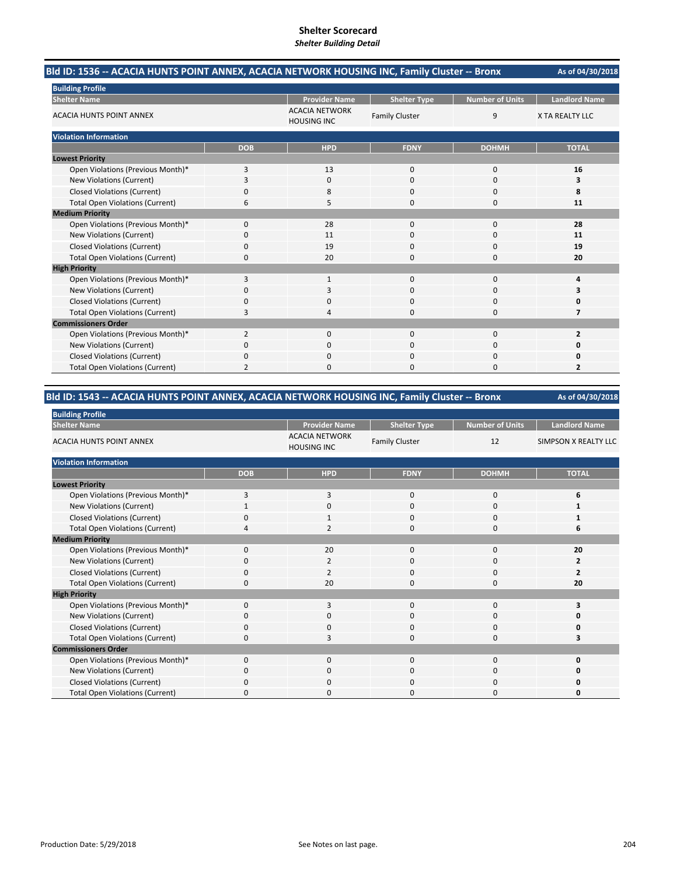| Bld ID: 1536 -- ACACIA HUNTS POINT ANNEX, ACACIA NETWORK HOUSING INC, Family Cluster -- Bronx | As of 04/30/2018 |                                             |                       |                        |                        |
|-----------------------------------------------------------------------------------------------|------------------|---------------------------------------------|-----------------------|------------------------|------------------------|
| <b>Building Profile</b>                                                                       |                  |                                             |                       |                        |                        |
| <b>Shelter Name</b>                                                                           |                  | <b>Provider Name</b>                        | <b>Shelter Type</b>   | <b>Number of Units</b> | <b>Landlord Name</b>   |
| <b>ACACIA HUNTS POINT ANNEX</b>                                                               |                  | <b>ACACIA NETWORK</b><br><b>HOUSING INC</b> | <b>Family Cluster</b> | 9                      | <b>X TA REALTY LLC</b> |
| <b>Violation Information</b>                                                                  |                  |                                             |                       |                        |                        |
|                                                                                               | <b>DOB</b>       | <b>HPD</b>                                  | <b>FDNY</b>           | <b>DOHMH</b>           | <b>TOTAL</b>           |
| <b>Lowest Priority</b>                                                                        |                  |                                             |                       |                        |                        |
| Open Violations (Previous Month)*                                                             | 3                | 13                                          | $\mathbf 0$           | $\mathbf 0$            | 16                     |
| New Violations (Current)                                                                      | 3                | 0                                           | $\Omega$              | $\Omega$               | 3                      |
| <b>Closed Violations (Current)</b>                                                            | 0                | 8                                           | $\Omega$              | 0                      | 8                      |
| <b>Total Open Violations (Current)</b>                                                        | 6                | 5                                           | $\Omega$              | 0                      | 11                     |
| <b>Medium Priority</b>                                                                        |                  |                                             |                       |                        |                        |
| Open Violations (Previous Month)*                                                             | 0                | 28                                          | $\Omega$              | 0                      | 28                     |
| New Violations (Current)                                                                      | 0                | 11                                          | 0                     | 0                      | 11                     |
| <b>Closed Violations (Current)</b>                                                            | 0                | 19                                          | 0                     | 0                      | 19                     |
| <b>Total Open Violations (Current)</b>                                                        | $\Omega$         | 20                                          | $\Omega$              | 0                      | 20                     |
| <b>High Priority</b>                                                                          |                  |                                             |                       |                        |                        |
| Open Violations (Previous Month)*                                                             | 3                | $\mathbf{1}$                                | $\Omega$              | $\Omega$               | 4                      |
| New Violations (Current)                                                                      | 0                | 3                                           | $\Omega$              | $\Omega$               | 3                      |
| <b>Closed Violations (Current)</b>                                                            | 0                | 0                                           | $\Omega$              | 0                      | 0                      |
| <b>Total Open Violations (Current)</b>                                                        | 3                | 4                                           | $\Omega$              | $\Omega$               | 7                      |
| <b>Commissioners Order</b>                                                                    |                  |                                             |                       |                        |                        |
| Open Violations (Previous Month)*                                                             | $\overline{2}$   | $\mathbf{0}$                                | $\mathbf 0$           | 0                      | $\overline{2}$         |
| New Violations (Current)                                                                      | 0                | 0                                           | 0                     | 0                      | Ω                      |
| <b>Closed Violations (Current)</b>                                                            | 0                | $\Omega$                                    | 0                     | 0                      | 0                      |
| <b>Total Open Violations (Current)</b>                                                        | 2                | $\Omega$                                    | $\Omega$              | 0                      | $\overline{2}$         |

### **Bld ID: 1543 ‐‐ ACACIA HUNTS POINT ANNEX, ACACIA NETWORK HOUSING INC, Family Cluster ‐‐ Bronx**

| <b>Building Profile</b>                |            |                                             |                       |                        |                         |
|----------------------------------------|------------|---------------------------------------------|-----------------------|------------------------|-------------------------|
| <b>Shelter Name</b>                    |            | <b>Provider Name</b>                        | <b>Shelter Type</b>   | <b>Number of Units</b> | <b>Landlord Name</b>    |
| <b>ACACIA HUNTS POINT ANNEX</b>        |            | <b>ACACIA NETWORK</b><br><b>HOUSING INC</b> | <b>Family Cluster</b> | 12                     | SIMPSON X REALTY LLC    |
| <b>Violation Information</b>           |            |                                             |                       |                        |                         |
|                                        | <b>DOB</b> | <b>HPD</b>                                  | <b>FDNY</b>           | <b>DOHMH</b>           | <b>TOTAL</b>            |
| <b>Lowest Priority</b>                 |            |                                             |                       |                        |                         |
| Open Violations (Previous Month)*      | 3          | 3                                           | 0                     | 0                      | 6                       |
| New Violations (Current)               |            | 0                                           | $\mathbf 0$           | 0                      |                         |
| <b>Closed Violations (Current)</b>     | $\Omega$   | $\mathbf{1}$                                | $\mathbf 0$           | 0                      |                         |
| <b>Total Open Violations (Current)</b> | 4          | $\overline{2}$                              | $\Omega$              | 0                      | 6                       |
| <b>Medium Priority</b>                 |            |                                             |                       |                        |                         |
| Open Violations (Previous Month)*      | 0          | 20                                          | $\mathbf 0$           | 0                      | 20                      |
| New Violations (Current)               | O          | $\overline{2}$                              | 0                     | 0                      |                         |
| <b>Closed Violations (Current)</b>     | 0          | $\overline{2}$                              | 0                     | 0                      | $\overline{\mathbf{z}}$ |
| <b>Total Open Violations (Current)</b> | $\Omega$   | 20                                          | $\Omega$              | 0                      | 20                      |
| <b>High Priority</b>                   |            |                                             |                       |                        |                         |
| Open Violations (Previous Month)*      | $\Omega$   | 3                                           | $\mathbf 0$           | 0                      |                         |
| <b>New Violations (Current)</b>        | O          | 0                                           | 0                     | 0                      |                         |
| <b>Closed Violations (Current)</b>     | 0          | 0                                           | 0                     | 0                      |                         |
| <b>Total Open Violations (Current)</b> | $\Omega$   | 3                                           | $\Omega$              | $\Omega$               |                         |
| <b>Commissioners Order</b>             |            |                                             |                       |                        |                         |
| Open Violations (Previous Month)*      | $\Omega$   | 0                                           | $\mathbf 0$           | 0                      | n                       |
| New Violations (Current)               | 0          | 0                                           | 0                     | 0                      | o                       |
| <b>Closed Violations (Current)</b>     | 0          | 0                                           | 0                     | 0                      |                         |
| <b>Total Open Violations (Current)</b> | $\Omega$   | 0                                           | $\Omega$              | 0                      | O                       |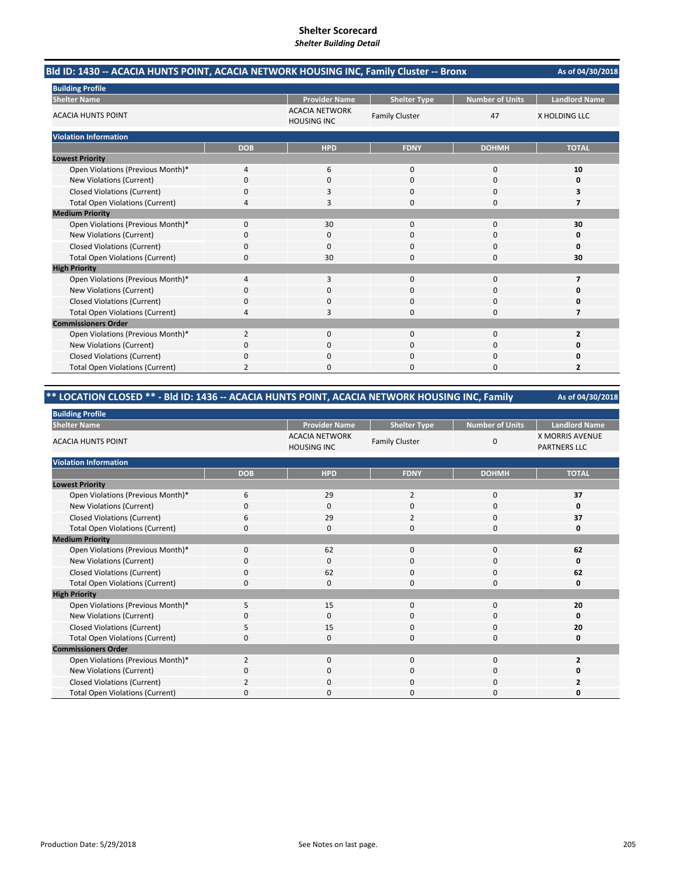| Bld ID: 1430 -- ACACIA HUNTS POINT, ACACIA NETWORK HOUSING INC, Family Cluster -- Bronx | As of 04/30/2018 |                                             |                       |                        |                         |
|-----------------------------------------------------------------------------------------|------------------|---------------------------------------------|-----------------------|------------------------|-------------------------|
| <b>Building Profile</b>                                                                 |                  |                                             |                       |                        |                         |
| <b>Shelter Name</b>                                                                     |                  | <b>Provider Name</b>                        | <b>Shelter Type</b>   | <b>Number of Units</b> | <b>Landlord Name</b>    |
| <b>ACACIA HUNTS POINT</b>                                                               |                  | <b>ACACIA NETWORK</b><br><b>HOUSING INC</b> | <b>Family Cluster</b> | 47                     | X HOLDING LLC           |
| <b>Violation Information</b>                                                            |                  |                                             |                       |                        |                         |
|                                                                                         | <b>DOB</b>       | <b>HPD</b>                                  | <b>FDNY</b>           | <b>DOHMH</b>           | <b>TOTAL</b>            |
| <b>Lowest Priority</b>                                                                  |                  |                                             |                       |                        |                         |
| Open Violations (Previous Month)*                                                       | 4                | 6                                           | $\mathbf{0}$          | 0                      | 10                      |
| New Violations (Current)                                                                | $\Omega$         | $\Omega$                                    | $\Omega$              | $\Omega$               | 0                       |
| <b>Closed Violations (Current)</b>                                                      | 0                |                                             | $\Omega$              | $\Omega$               | 3                       |
| <b>Total Open Violations (Current)</b>                                                  | 4                | 3                                           | $\Omega$              | 0                      | 7                       |
| <b>Medium Priority</b>                                                                  |                  |                                             |                       |                        |                         |
| Open Violations (Previous Month)*                                                       | 0                | 30                                          | $\mathbf 0$           | 0                      | 30                      |
| New Violations (Current)                                                                | 0                | 0                                           | 0                     | 0                      | 0                       |
| <b>Closed Violations (Current)</b>                                                      | 0                | $\Omega$                                    | 0                     | 0                      | 0                       |
| <b>Total Open Violations (Current)</b>                                                  | 0                | 30                                          | $\Omega$              | 0                      | 30                      |
| <b>High Priority</b>                                                                    |                  |                                             |                       |                        |                         |
| Open Violations (Previous Month)*                                                       | 4                | 3                                           | $\mathbf{0}$          | $\Omega$               | 7                       |
| New Violations (Current)                                                                | 0                | 0                                           | 0                     | 0                      | Ω                       |
| <b>Closed Violations (Current)</b>                                                      | 0                | ŋ                                           | $\Omega$              | 0                      | 0                       |
| <b>Total Open Violations (Current)</b>                                                  | 4                | 3                                           | $\Omega$              | 0                      | 7                       |
| <b>Commissioners Order</b>                                                              |                  |                                             |                       |                        |                         |
| Open Violations (Previous Month)*                                                       | 2                | $\Omega$                                    | $\Omega$              | $\Omega$               | $\overline{\mathbf{z}}$ |
| <b>New Violations (Current)</b>                                                         | 0                | 0                                           | ი                     | 0                      |                         |
| <b>Closed Violations (Current)</b>                                                      | 0                | O                                           | $\Omega$              | 0                      | n                       |
| <b>Total Open Violations (Current)</b>                                                  | $\overline{2}$   | n                                           | $\Omega$              | O                      | 2                       |

### **\*\* LOCATION CLOSED \*\* ‐ Bld ID: 1436 ‐‐ ACACIA HUNTS POINT, ACACIA NETWORK HOUSING INC, Family**

| <b>Building Profile</b>                |                |                                             |                       |                        |                                               |
|----------------------------------------|----------------|---------------------------------------------|-----------------------|------------------------|-----------------------------------------------|
| <b>Shelter Name</b>                    |                | <b>Provider Name</b>                        | <b>Shelter Type</b>   | <b>Number of Units</b> | <b>Landlord Name</b>                          |
| <b>ACACIA HUNTS POINT</b>              |                | <b>ACACIA NETWORK</b><br><b>HOUSING INC</b> | <b>Family Cluster</b> | 0                      | <b>X MORRIS AVENUE</b><br><b>PARTNERS LLC</b> |
| <b>Violation Information</b>           |                |                                             |                       |                        |                                               |
|                                        | <b>DOB</b>     | <b>HPD</b>                                  | <b>FDNY</b>           | <b>DOHMH</b>           | <b>TOTAL</b>                                  |
| <b>Lowest Priority</b>                 |                |                                             |                       |                        |                                               |
| Open Violations (Previous Month)*      | 6              | 29                                          | $\overline{2}$        | 0                      | 37                                            |
| New Violations (Current)               | $\Omega$       | $\mathbf 0$                                 | 0                     | $\mathbf 0$            | 0                                             |
| <b>Closed Violations (Current)</b>     | 6              | 29                                          | $\overline{2}$        | $\mathbf 0$            | 37                                            |
| <b>Total Open Violations (Current)</b> | $\Omega$       | 0                                           | 0                     | $\mathbf 0$            | 0                                             |
| <b>Medium Priority</b>                 |                |                                             |                       |                        |                                               |
| Open Violations (Previous Month)*      | $\mathbf 0$    | 62                                          | 0                     | $\mathbf 0$            | 62                                            |
| New Violations (Current)               | 0              | $\mathbf 0$                                 | 0                     | 0                      | 0                                             |
| <b>Closed Violations (Current)</b>     | 0              | 62                                          | 0                     | 0                      | 62                                            |
| <b>Total Open Violations (Current)</b> | $\Omega$       | $\Omega$                                    | $\Omega$              | $\Omega$               | 0                                             |
| <b>High Priority</b>                   |                |                                             |                       |                        |                                               |
| Open Violations (Previous Month)*      | 5              | 15                                          | 0                     | 0                      | 20                                            |
| New Violations (Current)               | O              | $\Omega$                                    | 0                     | 0                      | 0                                             |
| <b>Closed Violations (Current)</b>     | 5              | 15                                          | 0                     | $\mathbf 0$            | 20                                            |
| <b>Total Open Violations (Current)</b> | O              | $\mathbf 0$                                 | 0                     | $\mathbf 0$            | 0                                             |
| <b>Commissioners Order</b>             |                |                                             |                       |                        |                                               |
| Open Violations (Previous Month)*      | $\overline{2}$ | $\mathbf 0$                                 | 0                     | $\mathbf 0$            | $\overline{2}$                                |
| New Violations (Current)               | $\Omega$       | $\mathbf 0$                                 | 0                     | 0                      |                                               |
| <b>Closed Violations (Current)</b>     | 2              | $\Omega$                                    | $\Omega$              | 0                      |                                               |
| <b>Total Open Violations (Current)</b> | ŋ              | $\Omega$                                    | O                     | 0                      |                                               |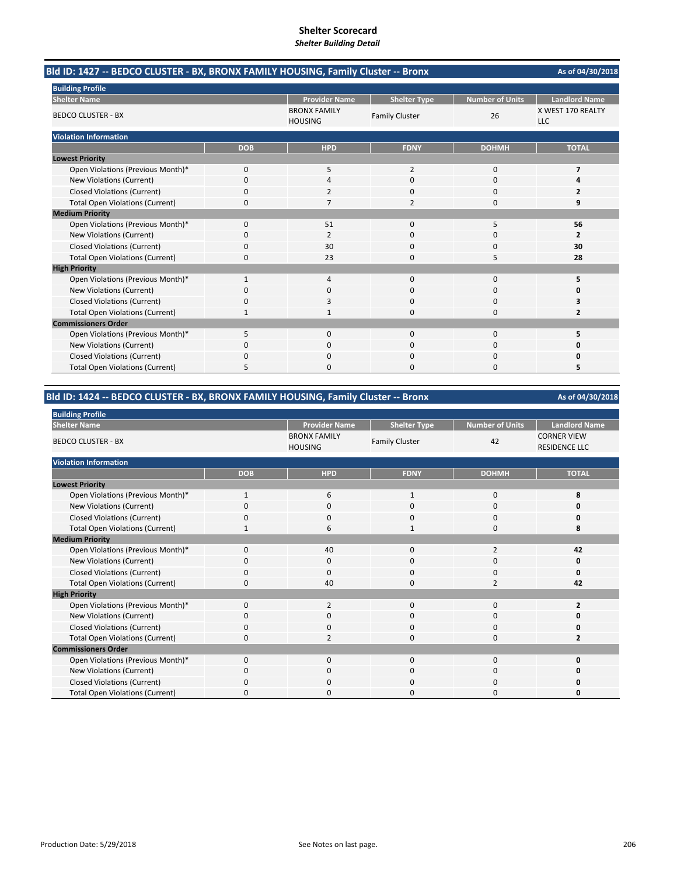| Bld ID: 1427 -- BEDCO CLUSTER - BX, BRONX FAMILY HOUSING, Family Cluster -- Bronx |              |                                       |                       |                        | As of 04/30/2018                |
|-----------------------------------------------------------------------------------|--------------|---------------------------------------|-----------------------|------------------------|---------------------------------|
| <b>Building Profile</b>                                                           |              |                                       |                       |                        |                                 |
| <b>Shelter Name</b>                                                               |              | <b>Provider Name</b>                  | <b>Shelter Type</b>   | <b>Number of Units</b> | <b>Landlord Name</b>            |
| <b>BEDCO CLUSTER - BX</b>                                                         |              | <b>BRONX FAMILY</b><br><b>HOUSING</b> | <b>Family Cluster</b> | 26                     | X WEST 170 REALTY<br><b>LLC</b> |
| <b>Violation Information</b>                                                      |              |                                       |                       |                        |                                 |
|                                                                                   | <b>DOB</b>   | <b>HPD</b>                            | <b>FDNY</b>           | <b>DOHMH</b>           | <b>TOTAL</b>                    |
| <b>Lowest Priority</b>                                                            |              |                                       |                       |                        |                                 |
| Open Violations (Previous Month)*                                                 | 0            | 5                                     | $\overline{2}$        | $\Omega$               | 7                               |
| New Violations (Current)                                                          | 0            |                                       | $\Omega$              | $\Omega$               | Δ                               |
| <b>Closed Violations (Current)</b>                                                | $\Omega$     |                                       | $\Omega$              | $\Omega$               | 2                               |
| <b>Total Open Violations (Current)</b>                                            | 0            |                                       | 2                     | $\Omega$               | 9                               |
| <b>Medium Priority</b>                                                            |              |                                       |                       |                        |                                 |
| Open Violations (Previous Month)*                                                 | 0            | 51                                    | $\Omega$              | 5                      | 56                              |
| <b>New Violations (Current)</b>                                                   | ŋ            | 2                                     | 0                     | 0                      | 2                               |
| <b>Closed Violations (Current)</b>                                                | 0            | 30                                    | $\Omega$              | $\Omega$               | 30                              |
| <b>Total Open Violations (Current)</b>                                            | $\Omega$     | 23                                    | $\Omega$              | 5                      | 28                              |
| <b>High Priority</b>                                                              |              |                                       |                       |                        |                                 |
| Open Violations (Previous Month)*                                                 | $\mathbf{1}$ | 4                                     | 0                     | $\mathbf 0$            | 5                               |
| New Violations (Current)                                                          | 0            | 0                                     | 0                     | 0                      | 0                               |
| <b>Closed Violations (Current)</b>                                                | 0            |                                       | O                     | $\Omega$               | 3                               |
| <b>Total Open Violations (Current)</b>                                            |              |                                       | O                     | O                      | 2                               |
| <b>Commissioners Order</b>                                                        |              |                                       |                       |                        |                                 |
| Open Violations (Previous Month)*                                                 | 5            | $\Omega$                              | $\Omega$              | $\mathbf 0$            | 5                               |
| <b>New Violations (Current)</b>                                                   | 0            | 0                                     | 0                     | $\Omega$               | Ω                               |
| <b>Closed Violations (Current)</b>                                                | 0            | $\Omega$                              | 0                     | $\Omega$               | n                               |
| <b>Total Open Violations (Current)</b>                                            | 5            | O                                     | $\Omega$              | $\Omega$               | 5                               |

### **Bld ID: 1424 ‐‐ BEDCO CLUSTER ‐ BX, BRONX FAMILY HOUSING, Family Cluster ‐‐ Bronx**

| <b>Building Profile</b>                |              |                                       |                       |                        |                                            |
|----------------------------------------|--------------|---------------------------------------|-----------------------|------------------------|--------------------------------------------|
| <b>Shelter Name</b>                    |              | <b>Provider Name</b>                  | <b>Shelter Type</b>   | <b>Number of Units</b> | <b>Landlord Name</b>                       |
| <b>BEDCO CLUSTER - BX</b>              |              | <b>BRONX FAMILY</b><br><b>HOUSING</b> | <b>Family Cluster</b> | 42                     | <b>CORNER VIEW</b><br><b>RESIDENCE LLC</b> |
| <b>Violation Information</b>           |              |                                       |                       |                        |                                            |
|                                        | <b>DOB</b>   | <b>HPD</b>                            | <b>FDNY</b>           | <b>DOHMH</b>           | <b>TOTAL</b>                               |
| <b>Lowest Priority</b>                 |              |                                       |                       |                        |                                            |
| Open Violations (Previous Month)*      | $\mathbf{1}$ | 6                                     | 1                     | $\mathbf{0}$           | 8                                          |
| New Violations (Current)               | O            | 0                                     | 0                     | 0                      | 0                                          |
| <b>Closed Violations (Current)</b>     | 0            | 0                                     | 0                     | 0                      | 0                                          |
| <b>Total Open Violations (Current)</b> |              | 6                                     | $\mathbf{1}$          | 0                      | 8                                          |
| <b>Medium Priority</b>                 |              |                                       |                       |                        |                                            |
| Open Violations (Previous Month)*      | 0            | 40                                    | $\mathbf{0}$          | 2                      | 42                                         |
| New Violations (Current)               | 0            | 0                                     | 0                     | 0                      | 0                                          |
| <b>Closed Violations (Current)</b>     | 0            | 0                                     | $\mathbf{0}$          | 0                      | 0                                          |
| <b>Total Open Violations (Current)</b> | $\Omega$     | 40                                    | 0                     | $\overline{2}$         | 42                                         |
| <b>High Priority</b>                   |              |                                       |                       |                        |                                            |
| Open Violations (Previous Month)*      | $\Omega$     | $\overline{2}$                        | $\Omega$              | $\mathbf{0}$           | 2                                          |
| New Violations (Current)               | $\Omega$     | 0                                     | 0                     | 0                      | 0                                          |
| <b>Closed Violations (Current)</b>     | $\Omega$     | 0                                     | $\mathbf{0}$          | $\mathbf 0$            | ŋ                                          |
| <b>Total Open Violations (Current)</b> | 0            | $\overline{2}$                        | 0                     | 0                      | 2                                          |
| <b>Commissioners Order</b>             |              |                                       |                       |                        |                                            |
| Open Violations (Previous Month)*      | $\Omega$     | $\Omega$                              | $\Omega$              | $\Omega$               | O                                          |
| New Violations (Current)               | 0            | 0                                     | 0                     | 0                      | 0                                          |
| <b>Closed Violations (Current)</b>     | $\Omega$     | 0                                     | $\mathbf{0}$          | 0                      | 0                                          |
| <b>Total Open Violations (Current)</b> | 0            | 0                                     | 0                     | 0                      | U                                          |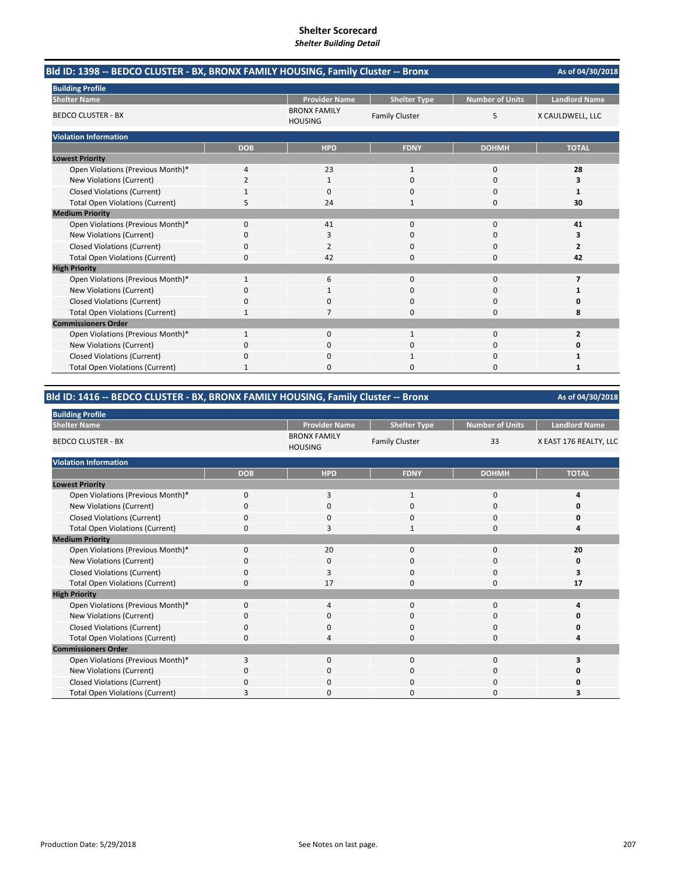| Bld ID: 1398 -- BEDCO CLUSTER - BX, BRONX FAMILY HOUSING, Family Cluster -- Bronx |                |                                       |                       |                        | As of 04/30/2018        |
|-----------------------------------------------------------------------------------|----------------|---------------------------------------|-----------------------|------------------------|-------------------------|
| <b>Building Profile</b>                                                           |                |                                       |                       |                        |                         |
| <b>Shelter Name</b>                                                               |                | <b>Provider Name</b>                  | <b>Shelter Type</b>   | <b>Number of Units</b> | <b>Landlord Name</b>    |
| <b>BEDCO CLUSTER - BX</b>                                                         |                | <b>BRONX FAMILY</b><br><b>HOUSING</b> | <b>Family Cluster</b> | 5                      | X CAULDWELL, LLC        |
| <b>Violation Information</b>                                                      |                |                                       |                       |                        |                         |
|                                                                                   | <b>DOB</b>     | <b>HPD</b>                            | <b>FDNY</b>           | <b>DOHMH</b>           | <b>TOTAL</b>            |
| <b>Lowest Priority</b>                                                            |                |                                       |                       |                        |                         |
| Open Violations (Previous Month)*                                                 | 4              | 23                                    | $\mathbf{1}$          | $\mathbf 0$            | 28                      |
| New Violations (Current)                                                          | $\overline{2}$ | 1                                     | $\Omega$              | $\Omega$               | 3                       |
| <b>Closed Violations (Current)</b>                                                |                | $\Omega$                              | 0                     | $\Omega$               | 1                       |
| <b>Total Open Violations (Current)</b>                                            | 5              | 24                                    |                       | $\Omega$               | 30                      |
| <b>Medium Priority</b>                                                            |                |                                       |                       |                        |                         |
| Open Violations (Previous Month)*                                                 | 0              | 41                                    | $\Omega$              | $\Omega$               | 41                      |
| New Violations (Current)                                                          | ŋ              | 3                                     | U                     | 0                      | з                       |
| <b>Closed Violations (Current)</b>                                                | 0              | 2                                     | 0                     | $\mathbf 0$            | $\overline{2}$          |
| <b>Total Open Violations (Current)</b>                                            | 0              | 42                                    | 0                     | $\Omega$               | 42                      |
| <b>High Priority</b>                                                              |                |                                       |                       |                        |                         |
| Open Violations (Previous Month)*                                                 | 1              | 6                                     | 0                     | 0                      | 7                       |
| New Violations (Current)                                                          | 0              |                                       | 0                     | 0                      |                         |
| <b>Closed Violations (Current)</b>                                                | 0              | 0                                     | 0                     | $\Omega$               | ŋ                       |
| <b>Total Open Violations (Current)</b>                                            | 1              |                                       | 0                     | $\Omega$               | 8                       |
| <b>Commissioners Order</b>                                                        |                |                                       |                       |                        |                         |
| Open Violations (Previous Month)*                                                 | 1              | $\Omega$                              | 1                     | $\Omega$               | $\overline{\mathbf{z}}$ |
| New Violations (Current)                                                          | 0              | 0                                     |                       | 0                      |                         |
| <b>Closed Violations (Current)</b>                                                | 0              | 0                                     |                       | $\Omega$               | 1                       |
| <b>Total Open Violations (Current)</b>                                            | 1              | 0                                     | 0                     | $\Omega$               | 1                       |

#### **Bld ID: 1416 ‐‐ BEDCO CLUSTER ‐ BX, BRONX FAMILY HOUSING, Family Cluster ‐‐ Bronx**

**As of 04/30/2018 Building Profile Provider Name | Shelter Type | Number of Units | Landlord Name Shelter Name** BRONX FAMILY<br>HOUSING BEDCO CLUSTER ‐ BX Family Cluster 33 X EAST 176 REALTY, LLC **Violation Information DOB HPD FDNY DOHMH TOTAL Lowest Priority** Open Violations (Previous Month)\* 0310 **4** New Violations (Current) 0000 **0** Closed Violations (Current) 0000 **0 Total Open Violations (Current)** Open Violations (Previous Month)\* 0 20 0 0 **20** New Violations (Current) 0000 **0** Closed Violations (Current) 0300 **3** Total Open Violations (Current) 0 17 0 0 **17** Open Violations (Previous Month)\* 0400 **4**

| <b>Medium Priority</b>                 |          |          |          |          |    |
|----------------------------------------|----------|----------|----------|----------|----|
| Open Violations (Previous Month)*      | $\Omega$ | 20       | $\Omega$ | $\Omega$ | 21 |
| New Violations (Current)               | 0        | 0        |          |          |    |
| <b>Closed Violations (Current)</b>     | 0        |          | 0        | O        |    |
| <b>Total Open Violations (Current)</b> | 0        | 17       | 0        | 0        |    |
| <b>High Priority</b>                   |          |          |          |          |    |
| Open Violations (Previous Month)*      | $\Omega$ | 4        | $\Omega$ | $\Omega$ |    |
| New Violations (Current)               | 0        | 0        | 0        | $\Omega$ |    |
| <b>Closed Violations (Current)</b>     | $\Omega$ | $\Omega$ | 0        | $\Omega$ |    |
| <b>Total Open Violations (Current)</b> | 0        |          |          |          |    |
| <b>Commissioners Order</b>             |          |          |          |          |    |
| Open Violations (Previous Month)*      | 3        | $\Omega$ | $\Omega$ | $\Omega$ |    |
| New Violations (Current)               | $\Omega$ | $\Omega$ |          |          |    |
| <b>Closed Violations (Current)</b>     |          |          |          |          |    |

Total Open Violations (Current) 3 0 0 0 3 3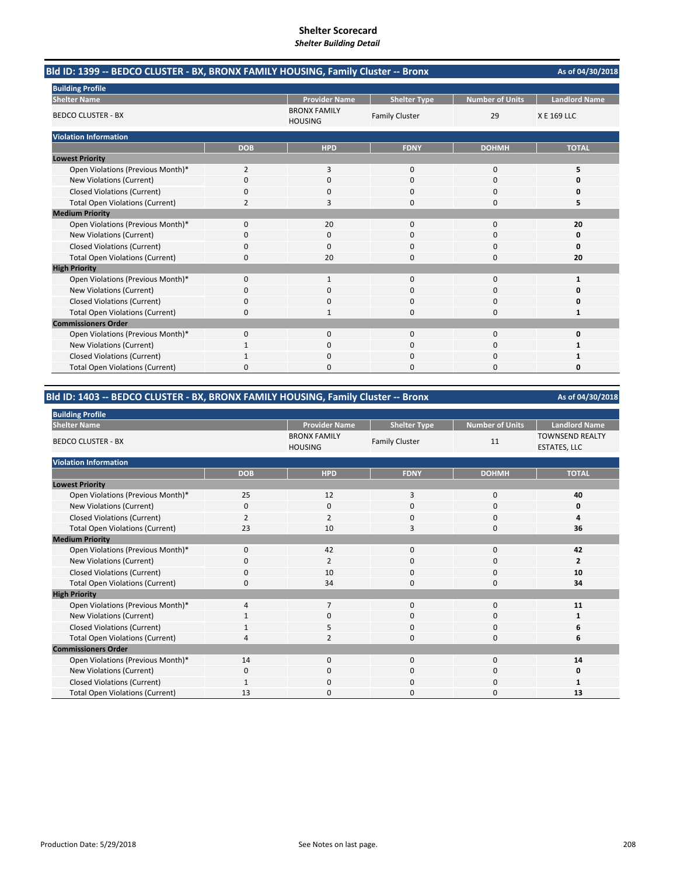| Bld ID: 1399 -- BEDCO CLUSTER - BX, BRONX FAMILY HOUSING, Family Cluster -- Bronx |                |                                       |                       |                        |                      |  |  |
|-----------------------------------------------------------------------------------|----------------|---------------------------------------|-----------------------|------------------------|----------------------|--|--|
| <b>Building Profile</b>                                                           |                |                                       |                       |                        |                      |  |  |
| <b>Shelter Name</b>                                                               |                | <b>Provider Name</b>                  | <b>Shelter Type</b>   | <b>Number of Units</b> | <b>Landlord Name</b> |  |  |
| <b>BEDCO CLUSTER - BX</b>                                                         |                | <b>BRONX FAMILY</b><br><b>HOUSING</b> | <b>Family Cluster</b> | 29                     | X E 169 LLC          |  |  |
| <b>Violation Information</b>                                                      |                |                                       |                       |                        |                      |  |  |
|                                                                                   | <b>DOB</b>     | <b>HPD</b>                            | <b>FDNY</b>           | <b>DOHMH</b>           | <b>TOTAL</b>         |  |  |
| <b>Lowest Priority</b>                                                            |                |                                       |                       |                        |                      |  |  |
| Open Violations (Previous Month)*                                                 | 2              | 3                                     | $\Omega$              | 0                      | 5                    |  |  |
| <b>New Violations (Current)</b>                                                   | $\Omega$       | $\Omega$                              | $\Omega$              | $\Omega$               | O                    |  |  |
| <b>Closed Violations (Current)</b>                                                | 0              | 0                                     | $\Omega$              | 0                      | 0                    |  |  |
| <b>Total Open Violations (Current)</b>                                            | $\overline{2}$ | 3                                     | $\Omega$              | 0                      | 5                    |  |  |
| <b>Medium Priority</b>                                                            |                |                                       |                       |                        |                      |  |  |
| Open Violations (Previous Month)*                                                 | 0              | 20                                    | $\Omega$              | $\Omega$               | 20                   |  |  |
| New Violations (Current)                                                          | 0              | 0                                     | 0                     | 0                      | 0                    |  |  |
| <b>Closed Violations (Current)</b>                                                | 0              | $\Omega$                              | $\Omega$              | 0                      | 0                    |  |  |
| <b>Total Open Violations (Current)</b>                                            | 0              | 20                                    | $\Omega$              | 0                      | 20                   |  |  |
| <b>High Priority</b>                                                              |                |                                       |                       |                        |                      |  |  |
| Open Violations (Previous Month)*                                                 | 0              | $\mathbf{1}$                          | $\Omega$              | $\Omega$               | 1                    |  |  |
| New Violations (Current)                                                          | 0              | $\Omega$                              | $\Omega$              | $\Omega$               | 0                    |  |  |
| <b>Closed Violations (Current)</b>                                                | 0              | $\Omega$                              | $\Omega$              | 0                      | 0                    |  |  |
| <b>Total Open Violations (Current)</b>                                            | 0              |                                       | $\Omega$              | 0                      | 1                    |  |  |
| <b>Commissioners Order</b>                                                        |                |                                       |                       |                        |                      |  |  |
| Open Violations (Previous Month)*                                                 | 0              | $\Omega$                              | $\Omega$              | 0                      | O                    |  |  |
| New Violations (Current)                                                          |                | 0                                     | 0                     | 0                      | 1                    |  |  |
| <b>Closed Violations (Current)</b>                                                | 1              | $\Omega$                              | $\Omega$              | 0                      | 1                    |  |  |
| <b>Total Open Violations (Current)</b>                                            | 0              | <sup>0</sup>                          | O                     | $\Omega$               | 0                    |  |  |

### **Bld ID: 1403 ‐‐ BEDCO CLUSTER ‐ BX, BRONX FAMILY HOUSING, Family Cluster ‐‐ Bronx**

| <b>Building Profile</b>                |            |                                       |                       |                 |                                               |
|----------------------------------------|------------|---------------------------------------|-----------------------|-----------------|-----------------------------------------------|
| <b>Shelter Name</b>                    |            | <b>Provider Name</b>                  | <b>Shelter Type</b>   | Number of Units | <b>Landlord Name</b>                          |
| <b>BEDCO CLUSTER - BX</b>              |            | <b>BRONX FAMILY</b><br><b>HOUSING</b> | <b>Family Cluster</b> | 11              | <b>TOWNSEND REALTY</b><br><b>ESTATES, LLC</b> |
| <b>Violation Information</b>           |            |                                       |                       |                 |                                               |
|                                        | <b>DOB</b> | <b>HPD</b>                            | <b>FDNY</b>           | <b>DOHMH</b>    | <b>TOTAL</b>                                  |
| <b>Lowest Priority</b>                 |            |                                       |                       |                 |                                               |
| Open Violations (Previous Month)*      | 25         | 12                                    | 3                     | $\mathbf{0}$    | 40                                            |
| New Violations (Current)               | 0          | 0                                     | 0                     | 0               | 0                                             |
| <b>Closed Violations (Current)</b>     | 2          | $\overline{2}$                        | 0                     | 0               | 4                                             |
| <b>Total Open Violations (Current)</b> | 23         | 10                                    | 3                     | $\Omega$        | 36                                            |
| <b>Medium Priority</b>                 |            |                                       |                       |                 |                                               |
| Open Violations (Previous Month)*      | $\Omega$   | 42                                    | $\Omega$              | $\mathbf{0}$    | 42                                            |
| New Violations (Current)               | 0          | $\overline{2}$                        | $\Omega$              | 0               | $\overline{2}$                                |
| <b>Closed Violations (Current)</b>     | 0          | 10                                    | $\mathbf{0}$          | 0               | 10                                            |
| <b>Total Open Violations (Current)</b> | 0          | 34                                    | $\mathbf{0}$          | 0               | 34                                            |
| <b>High Priority</b>                   |            |                                       |                       |                 |                                               |
| Open Violations (Previous Month)*      | 4          | $\overline{7}$                        | $\Omega$              | $\mathbf 0$     | 11                                            |
| New Violations (Current)               |            | 0                                     | 0                     | 0               | 1                                             |
| <b>Closed Violations (Current)</b>     |            | 5                                     | $\mathbf{0}$          | 0               | 6                                             |
| <b>Total Open Violations (Current)</b> | $\Delta$   | $\overline{2}$                        | 0                     | 0               | 6                                             |
| <b>Commissioners Order</b>             |            |                                       |                       |                 |                                               |
| Open Violations (Previous Month)*      | 14         | $\mathbf 0$                           | $\mathbf{0}$          | $\mathbf{0}$    | 14                                            |
| New Violations (Current)               | 0          | 0                                     | 0                     | 0               | 0                                             |
| <b>Closed Violations (Current)</b>     | 1          | 0                                     | 0                     | 0               | 1                                             |
| <b>Total Open Violations (Current)</b> | 13         | 0                                     | 0                     | 0               | 13                                            |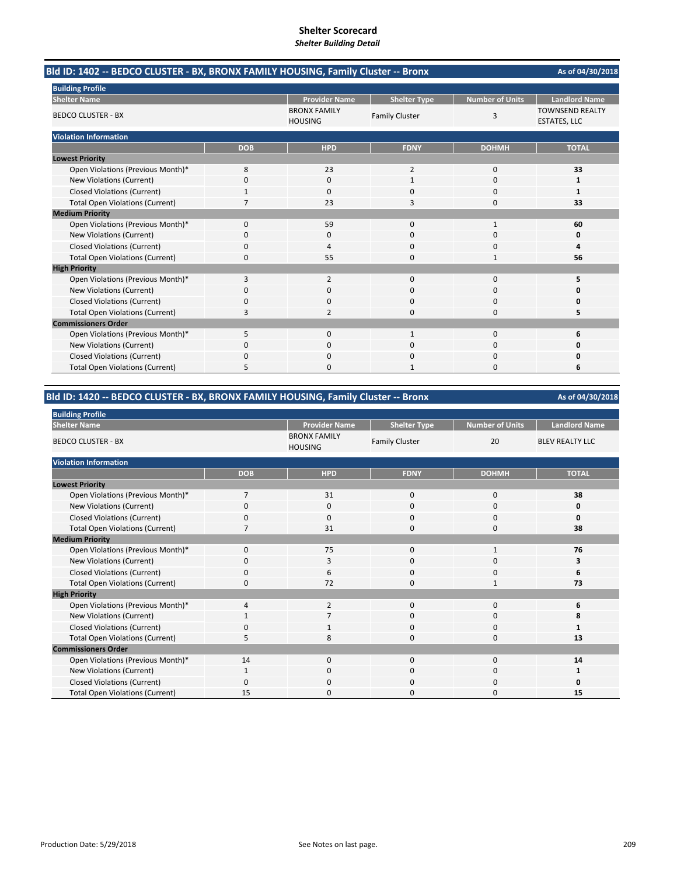| Bld ID: 1402 -- BEDCO CLUSTER - BX, BRONX FAMILY HOUSING, Family Cluster -- Bronx |            |                                       |                       |                        | As of 04/30/2018                              |
|-----------------------------------------------------------------------------------|------------|---------------------------------------|-----------------------|------------------------|-----------------------------------------------|
| <b>Building Profile</b>                                                           |            |                                       |                       |                        |                                               |
| <b>Shelter Name</b>                                                               |            | <b>Provider Name</b>                  | <b>Shelter Type</b>   | <b>Number of Units</b> | <b>Landlord Name</b>                          |
| <b>BEDCO CLUSTER - BX</b>                                                         |            | <b>BRONX FAMILY</b><br><b>HOUSING</b> | <b>Family Cluster</b> | 3                      | <b>TOWNSEND REALTY</b><br><b>ESTATES, LLC</b> |
| <b>Violation Information</b>                                                      |            |                                       |                       |                        |                                               |
|                                                                                   | <b>DOB</b> | <b>HPD</b>                            | <b>FDNY</b>           | <b>DOHMH</b>           | <b>TOTAL</b>                                  |
| <b>Lowest Priority</b>                                                            |            |                                       |                       |                        |                                               |
| Open Violations (Previous Month)*                                                 | 8          | 23                                    | $\overline{2}$        | 0                      | 33                                            |
| New Violations (Current)                                                          | 0          | $\Omega$                              | $\mathbf{1}$          | $\Omega$               | 1                                             |
| <b>Closed Violations (Current)</b>                                                |            | 0                                     | $\Omega$              | 0                      | 1                                             |
| <b>Total Open Violations (Current)</b>                                            |            | 23                                    | 3                     | 0                      | 33                                            |
| <b>Medium Priority</b>                                                            |            |                                       |                       |                        |                                               |
| Open Violations (Previous Month)*                                                 | 0          | 59                                    | $\Omega$              | $\mathbf{1}$           | 60                                            |
| New Violations (Current)                                                          | 0          | 0                                     | 0                     | 0                      | 0                                             |
| <b>Closed Violations (Current)</b>                                                | 0          | 4                                     | $\Omega$              | 0                      | 4                                             |
| <b>Total Open Violations (Current)</b>                                            | 0          | 55                                    | $\Omega$              |                        | 56                                            |
| <b>High Priority</b>                                                              |            |                                       |                       |                        |                                               |
| Open Violations (Previous Month)*                                                 | 3          | 2                                     | $\Omega$              | $\Omega$               | 5                                             |
| New Violations (Current)                                                          | 0          | $\Omega$                              | $\Omega$              | $\Omega$               | Ω                                             |
| <b>Closed Violations (Current)</b>                                                | 0          | $\Omega$                              | $\Omega$              | 0                      | 0                                             |
| <b>Total Open Violations (Current)</b>                                            | 3          | 2                                     | $\Omega$              | 0                      | 5                                             |
| <b>Commissioners Order</b>                                                        |            |                                       |                       |                        |                                               |
| Open Violations (Previous Month)*                                                 | 5          | $\mathbf 0$                           | 1                     | 0                      | 6                                             |
| New Violations (Current)                                                          | 0          | 0                                     | 0                     | 0                      | Ω                                             |
| <b>Closed Violations (Current)</b>                                                | 0          | $\Omega$                              | $\Omega$              | 0                      | Ω                                             |
| <b>Total Open Violations (Current)</b>                                            | 5          | <sup>0</sup>                          | 1                     | $\Omega$               | 6                                             |

### **Bld ID: 1420 ‐‐ BEDCO CLUSTER ‐ BX, BRONX FAMILY HOUSING, Family Cluster ‐‐ Bronx**

| <b>Building Profile</b>                |                |                                       |                       |                 |                        |
|----------------------------------------|----------------|---------------------------------------|-----------------------|-----------------|------------------------|
| <b>Shelter Name</b>                    |                | <b>Provider Name</b>                  | <b>Shelter Type</b>   | Number of Units | <b>Landlord Name</b>   |
| <b>BEDCO CLUSTER - BX</b>              |                | <b>BRONX FAMILY</b><br><b>HOUSING</b> | <b>Family Cluster</b> | 20              | <b>BLEV REALTY LLC</b> |
| <b>Violation Information</b>           |                |                                       |                       |                 |                        |
|                                        | <b>DOB</b>     | <b>HPD</b>                            | <b>FDNY</b>           | <b>DOHMH</b>    | <b>TOTAL</b>           |
| <b>Lowest Priority</b>                 |                |                                       |                       |                 |                        |
| Open Violations (Previous Month)*      | $\overline{7}$ | 31                                    | $\mathbf{0}$          | $\mathbf 0$     | 38                     |
| New Violations (Current)               | 0              | 0                                     | 0                     | 0               | 0                      |
| <b>Closed Violations (Current)</b>     | 0              | $\mathbf{0}$                          | 0                     | 0               | 0                      |
| <b>Total Open Violations (Current)</b> | $\overline{7}$ | 31                                    | $\Omega$              | $\mathbf 0$     | 38                     |
| <b>Medium Priority</b>                 |                |                                       |                       |                 |                        |
| Open Violations (Previous Month)*      | $\Omega$       | 75                                    | $\Omega$              | 1               | 76                     |
| New Violations (Current)               | 0              | 3                                     | 0                     | 0               | з                      |
| <b>Closed Violations (Current)</b>     | 0              | 6                                     | 0                     | 0               | 6                      |
| <b>Total Open Violations (Current)</b> | 0              | 72                                    | 0                     | 1               | 73                     |
| <b>High Priority</b>                   |                |                                       |                       |                 |                        |
| Open Violations (Previous Month)*      | 4              | $\overline{2}$                        | $\mathbf{0}$          | $\mathbf{0}$    | 6                      |
| New Violations (Current)               |                | 7                                     | 0                     | 0               | 8                      |
| <b>Closed Violations (Current)</b>     | 0              | 1                                     | $\mathbf{0}$          | $\mathbf{0}$    | 1                      |
| <b>Total Open Violations (Current)</b> | 5              | 8                                     | 0                     | 0               | 13                     |
| <b>Commissioners Order</b>             |                |                                       |                       |                 |                        |
| Open Violations (Previous Month)*      | 14             | 0                                     | $\mathbf{0}$          | $\mathbf{0}$    | 14                     |
| New Violations (Current)               | 1              | 0                                     | 0                     | 0               | 1                      |
| <b>Closed Violations (Current)</b>     | $\Omega$       | 0                                     | $\mathbf{0}$          | 0               | 0                      |
| <b>Total Open Violations (Current)</b> | 15             | 0                                     | $\Omega$              | 0               | 15                     |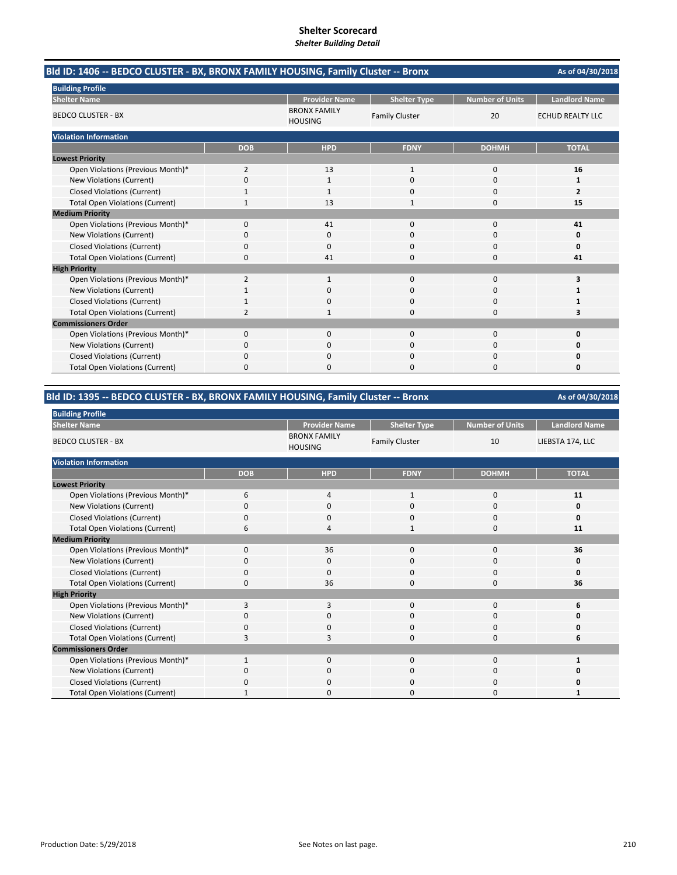| Bld ID: 1406 -- BEDCO CLUSTER - BX, BRONX FAMILY HOUSING, Family Cluster -- Bronx |                |                                       |                       |                        | As of 04/30/2018        |
|-----------------------------------------------------------------------------------|----------------|---------------------------------------|-----------------------|------------------------|-------------------------|
| <b>Building Profile</b>                                                           |                |                                       |                       |                        |                         |
| <b>Shelter Name</b>                                                               |                | <b>Provider Name</b>                  | <b>Shelter Type</b>   | <b>Number of Units</b> | <b>Landlord Name</b>    |
| <b>BEDCO CLUSTER - BX</b>                                                         |                | <b>BRONX FAMILY</b><br><b>HOUSING</b> | <b>Family Cluster</b> | 20                     | <b>ECHUD REALTY LLC</b> |
| <b>Violation Information</b>                                                      |                |                                       |                       |                        |                         |
|                                                                                   | <b>DOB</b>     | <b>HPD</b>                            | <b>FDNY</b>           | <b>DOHMH</b>           | <b>TOTAL</b>            |
| <b>Lowest Priority</b>                                                            |                |                                       |                       |                        |                         |
| Open Violations (Previous Month)*                                                 | $\overline{2}$ | 13                                    | $\mathbf{1}$          | 0                      | 16                      |
| New Violations (Current)                                                          | 0              | 1                                     | $\Omega$              | $\Omega$               | 1                       |
| <b>Closed Violations (Current)</b>                                                |                | 1                                     | <sup>0</sup>          | 0                      | $\overline{2}$          |
| <b>Total Open Violations (Current)</b>                                            | 1              | 13                                    | 1                     | 0                      | 15                      |
| <b>Medium Priority</b>                                                            |                |                                       |                       |                        |                         |
| Open Violations (Previous Month)*                                                 | 0              | 41                                    | $\mathbf{0}$          | 0                      | 41                      |
| New Violations (Current)                                                          | 0              | 0                                     | $\Omega$              | 0                      | 0                       |
| <b>Closed Violations (Current)</b>                                                | 0              | $\Omega$                              | $\Omega$              | $\Omega$               | 0                       |
| <b>Total Open Violations (Current)</b>                                            | 0              | 41                                    | $\Omega$              | 0                      | 41                      |
| <b>High Priority</b>                                                              |                |                                       |                       |                        |                         |
| Open Violations (Previous Month)*                                                 | $\overline{2}$ | $\mathbf{1}$                          | $\mathbf 0$           | 0                      | 3                       |
| New Violations (Current)                                                          |                | $\Omega$                              | $\Omega$              | 0                      | 1                       |
| <b>Closed Violations (Current)</b>                                                |                | <sup>0</sup>                          | $\Omega$              | 0                      | 1                       |
| <b>Total Open Violations (Current)</b>                                            | $\overline{2}$ |                                       | $\Omega$              | 0                      | 3                       |
| <b>Commissioners Order</b>                                                        |                |                                       |                       |                        |                         |
| Open Violations (Previous Month)*                                                 | 0              | $\mathbf{0}$                          | $\mathbf 0$           | 0                      | 0                       |
| New Violations (Current)                                                          | 0              | $\Omega$                              | $\Omega$              | $\Omega$               | O                       |
| <b>Closed Violations (Current)</b>                                                | 0              | $\Omega$                              | $\Omega$              | 0                      | 0                       |
| <b>Total Open Violations (Current)</b>                                            | 0              | 0                                     | $\Omega$              | 0                      | 0                       |

### **Bld ID: 1395 ‐‐ BEDCO CLUSTER ‐ BX, BRONX FAMILY HOUSING, Family Cluster ‐‐ Bronx**

| <b>Building Profile</b>                |              |                                       |                       |                        |                      |  |  |  |
|----------------------------------------|--------------|---------------------------------------|-----------------------|------------------------|----------------------|--|--|--|
| <b>Shelter Name</b>                    |              | <b>Provider Name</b>                  | <b>Shelter Type</b>   | <b>Number of Units</b> | <b>Landlord Name</b> |  |  |  |
| <b>BEDCO CLUSTER - BX</b>              |              | <b>BRONX FAMILY</b><br><b>HOUSING</b> | <b>Family Cluster</b> | 10                     | LIEBSTA 174, LLC     |  |  |  |
| <b>Violation Information</b>           |              |                                       |                       |                        |                      |  |  |  |
|                                        | <b>DOB</b>   | <b>HPD</b>                            | <b>FDNY</b>           | <b>DOHMH</b>           | <b>TOTAL</b>         |  |  |  |
| <b>Lowest Priority</b>                 |              |                                       |                       |                        |                      |  |  |  |
| Open Violations (Previous Month)*      | 6            | 4                                     | $\mathbf{1}$          | $\mathbf{0}$           | 11                   |  |  |  |
| New Violations (Current)               | 0            | 0                                     | 0                     | 0                      | 0                    |  |  |  |
| <b>Closed Violations (Current)</b>     | $\Omega$     | 0                                     | 0                     | 0                      | 0                    |  |  |  |
| <b>Total Open Violations (Current)</b> | 6            | 4                                     | $\mathbf{1}$          | 0                      | 11                   |  |  |  |
| <b>Medium Priority</b>                 |              |                                       |                       |                        |                      |  |  |  |
| Open Violations (Previous Month)*      | 0            | 36                                    | $\mathbf{0}$          | $\mathbf{0}$           | 36                   |  |  |  |
| New Violations (Current)               | 0            | 0                                     | 0                     | 0                      | 0                    |  |  |  |
| <b>Closed Violations (Current)</b>     | $\Omega$     | 0                                     | 0                     | 0                      | 0                    |  |  |  |
| <b>Total Open Violations (Current)</b> | $\Omega$     | 36                                    | 0                     | 0                      | 36                   |  |  |  |
| <b>High Priority</b>                   |              |                                       |                       |                        |                      |  |  |  |
| Open Violations (Previous Month)*      | 3            | 3                                     | $\mathbf{0}$          | $\mathbf{0}$           | 6                    |  |  |  |
| New Violations (Current)               | <sup>0</sup> | 0                                     | 0                     | 0                      | ŋ                    |  |  |  |
| <b>Closed Violations (Current)</b>     | $\Omega$     | 0                                     | 0                     | $\mathbf{0}$           | Ω                    |  |  |  |
| <b>Total Open Violations (Current)</b> | 3            | 3                                     | 0                     | 0                      | 6                    |  |  |  |
| <b>Commissioners Order</b>             |              |                                       |                       |                        |                      |  |  |  |
| Open Violations (Previous Month)*      | $\mathbf{1}$ | $\mathbf{0}$                          | $\mathbf{0}$          | $\mathbf{0}$           |                      |  |  |  |
| New Violations (Current)               | 0            | 0                                     | 0                     | 0                      | ŋ                    |  |  |  |
| <b>Closed Violations (Current)</b>     | $\Omega$     | 0                                     | 0                     | 0                      |                      |  |  |  |
| <b>Total Open Violations (Current)</b> |              | $\Omega$                              | ი                     | 0                      |                      |  |  |  |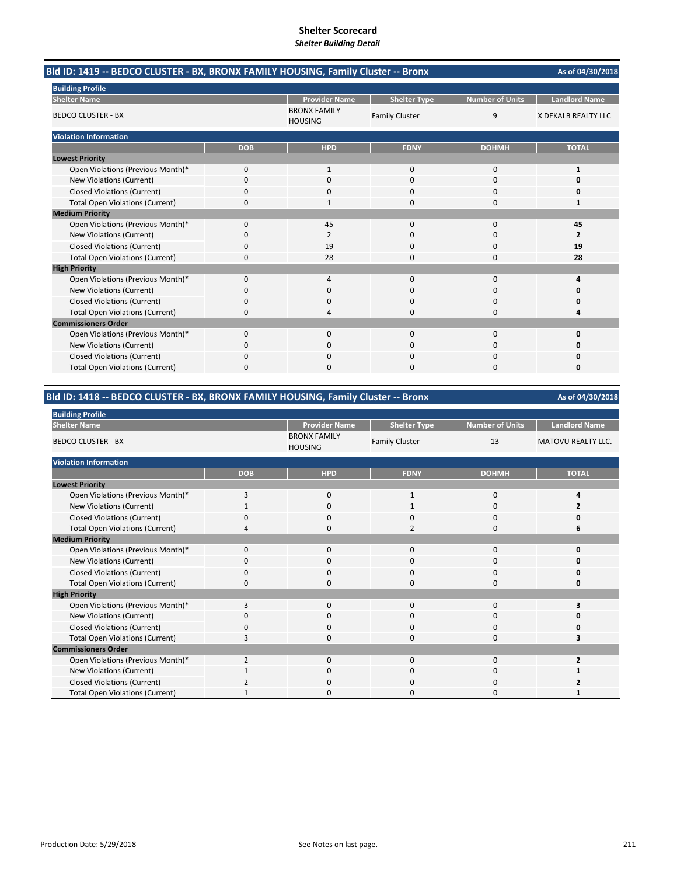| Bld ID: 1419 -- BEDCO CLUSTER - BX, BRONX FAMILY HOUSING, Family Cluster -- Bronx |            |                                       |                       |                        |                      |
|-----------------------------------------------------------------------------------|------------|---------------------------------------|-----------------------|------------------------|----------------------|
| <b>Building Profile</b>                                                           |            |                                       |                       |                        |                      |
| <b>Shelter Name</b>                                                               |            | <b>Provider Name</b>                  | <b>Shelter Type</b>   | <b>Number of Units</b> | <b>Landlord Name</b> |
| <b>BEDCO CLUSTER - BX</b>                                                         |            | <b>BRONX FAMILY</b><br><b>HOUSING</b> | <b>Family Cluster</b> | 9                      | X DEKALB REALTY LLC  |
| <b>Violation Information</b>                                                      |            |                                       |                       |                        |                      |
|                                                                                   | <b>DOB</b> | <b>HPD</b>                            | <b>FDNY</b>           | <b>DOHMH</b>           | <b>TOTAL</b>         |
| <b>Lowest Priority</b>                                                            |            |                                       |                       |                        |                      |
| Open Violations (Previous Month)*                                                 | 0          | 1                                     | 0                     | $\mathbf 0$            | 1                    |
| New Violations (Current)                                                          | 0          | 0                                     | 0                     | $\Omega$               |                      |
| <b>Closed Violations (Current)</b>                                                | 0          | 0                                     | 0                     | $\Omega$               | ŋ                    |
| <b>Total Open Violations (Current)</b>                                            | 0          |                                       | 0                     | $\Omega$               | 1                    |
| <b>Medium Priority</b>                                                            |            |                                       |                       |                        |                      |
| Open Violations (Previous Month)*                                                 | 0          | 45                                    | $\Omega$              | $\mathbf 0$            | 45                   |
| <b>New Violations (Current)</b>                                                   | 0          | 2                                     |                       | 0                      |                      |
| <b>Closed Violations (Current)</b>                                                | 0          | 19                                    | 0                     | $\mathbf 0$            | 19                   |
| <b>Total Open Violations (Current)</b>                                            | 0          | 28                                    | 0                     | $\Omega$               | 28                   |
| <b>High Priority</b>                                                              |            |                                       |                       |                        |                      |
| Open Violations (Previous Month)*                                                 | 0          | 4                                     | $\Omega$              | $\Omega$               | Δ                    |
| New Violations (Current)                                                          | 0          | 0                                     | 0                     | $\Omega$               |                      |
| <b>Closed Violations (Current)</b>                                                | 0          | 0                                     | <sup>0</sup>          | $\Omega$               |                      |
| <b>Total Open Violations (Current)</b>                                            | 0          | 4                                     | 0                     | <sup>0</sup>           |                      |
| <b>Commissioners Order</b>                                                        |            |                                       |                       |                        |                      |
| Open Violations (Previous Month)*                                                 | 0          | 0                                     | 0                     | 0                      | n                    |
| New Violations (Current)                                                          | 0          | 0                                     |                       | 0                      |                      |
| <b>Closed Violations (Current)</b>                                                | 0          | 0                                     | 0                     | $\Omega$               |                      |
| <b>Total Open Violations (Current)</b>                                            | 0          | 0                                     | O                     | $\Omega$               | ŋ                    |

### **Bld ID: 1418 ‐‐ BEDCO CLUSTER ‐ BX, BRONX FAMILY HOUSING, Family Cluster ‐‐ Bronx**

| <b>Building Profile</b>                |                |                                       |                       |                        |                           |
|----------------------------------------|----------------|---------------------------------------|-----------------------|------------------------|---------------------------|
| <b>Shelter Name</b>                    |                | <b>Provider Name</b>                  | <b>Shelter Type</b>   | <b>Number of Units</b> | <b>Landlord Name</b>      |
| <b>BEDCO CLUSTER - BX</b>              |                | <b>BRONX FAMILY</b><br><b>HOUSING</b> | <b>Family Cluster</b> | 13                     | <b>MATOVU REALTY LLC.</b> |
| <b>Violation Information</b>           |                |                                       |                       |                        |                           |
|                                        | <b>DOB</b>     | <b>HPD</b>                            | <b>FDNY</b>           | <b>DOHMH</b>           | <b>TOTAL</b>              |
| <b>Lowest Priority</b>                 |                |                                       |                       |                        |                           |
| Open Violations (Previous Month)*      | 3              | 0                                     | 1                     | 0                      |                           |
| New Violations (Current)               | $\mathbf{1}$   | $\mathbf 0$                           | $\mathbf{1}$          | 0                      | 7                         |
| <b>Closed Violations (Current)</b>     | 0              | 0                                     | $\mathbf 0$           | 0                      | O                         |
| <b>Total Open Violations (Current)</b> | 4              | $\mathbf 0$                           | $\overline{2}$        | 0                      | 6                         |
| <b>Medium Priority</b>                 |                |                                       |                       |                        |                           |
| Open Violations (Previous Month)*      | 0              | $\mathbf{0}$                          | 0                     | 0                      | ŋ                         |
| New Violations (Current)               | O              | $\mathbf 0$                           | 0                     | 0                      |                           |
| <b>Closed Violations (Current)</b>     | 0              | 0                                     | $\mathbf 0$           | 0                      | O                         |
| <b>Total Open Violations (Current)</b> | $\Omega$       | $\mathbf{0}$                          | $\Omega$              | 0                      | $\Omega$                  |
| <b>High Priority</b>                   |                |                                       |                       |                        |                           |
| Open Violations (Previous Month)*      | 3              | $\mathbf{0}$                          | $\Omega$              | 0                      |                           |
| <b>New Violations (Current)</b>        | O              | $\mathbf 0$                           | $\mathbf 0$           | 0                      |                           |
| <b>Closed Violations (Current)</b>     | 0              | 0                                     | $\mathbf 0$           | 0                      |                           |
| <b>Total Open Violations (Current)</b> | 3              | $\mathbf 0$                           | $\Omega$              | $\Omega$               |                           |
| <b>Commissioners Order</b>             |                |                                       |                       |                        |                           |
| Open Violations (Previous Month)*      | $\overline{2}$ | $\mathbf{0}$                          | $\mathbf{0}$          | 0                      |                           |
| New Violations (Current)               |                | 0                                     | 0                     | 0                      |                           |
| <b>Closed Violations (Current)</b>     | 2              | 0                                     | $\mathbf 0$           | 0                      |                           |
| <b>Total Open Violations (Current)</b> |                | 0                                     | 0                     | 0                      |                           |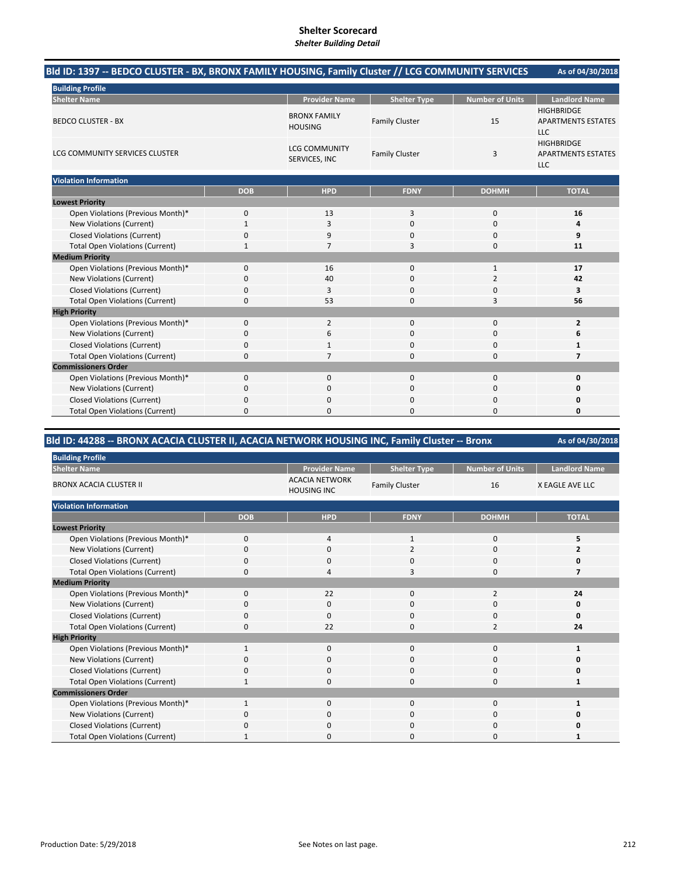# **Shelter Scorecard**

#### *Shelter Building Detail*

| <b>Building Profile</b><br><b>Provider Name</b><br><b>Number of Units</b><br><b>Landlord Name</b><br><b>Shelter Name</b><br><b>Shelter Type</b><br><b>HIGHBRIDGE</b><br><b>BRONX FAMILY</b><br><b>BEDCO CLUSTER - BX</b><br><b>Family Cluster</b><br>15<br><b>APARTMENTS ESTATES</b><br><b>HOUSING</b><br><b>LLC</b><br><b>HIGHBRIDGE</b><br><b>LCG COMMUNITY</b><br>LCG COMMUNITY SERVICES CLUSTER<br><b>Family Cluster</b><br>3<br><b>APARTMENTS ESTATES</b><br>SERVICES, INC<br><b>LLC</b><br><b>Violation Information</b><br><b>TOTAL</b><br><b>DOB</b><br><b>HPD</b><br><b>FDNY</b><br><b>DOHMH</b><br><b>Lowest Priority</b><br>Open Violations (Previous Month)*<br>0<br>13<br>3<br>$\mathbf 0$<br>16<br>New Violations (Current)<br>$\Omega$<br>$\mathbf 0$<br>1<br>3<br>4<br><b>Closed Violations (Current)</b><br>0<br>9<br>9<br>$\Omega$<br>$\Omega$<br><b>Total Open Violations (Current)</b><br>3<br>$\Omega$<br>11<br>$\mathbf{1}$<br>$\overline{7}$<br><b>Medium Priority</b><br>Open Violations (Previous Month)*<br>17<br>0<br>16<br>$\Omega$<br>$\mathbf{1}$<br>New Violations (Current)<br>0<br>40<br>$\Omega$<br>$\overline{2}$<br>42<br><b>Closed Violations (Current)</b><br>0<br>$\mathbf 0$<br>0<br>3<br>3<br><b>Total Open Violations (Current)</b><br>0<br>53<br>56<br>$\Omega$<br>3<br><b>High Priority</b><br>Open Violations (Previous Month)*<br>$\Omega$<br>$\overline{2}$<br>$\Omega$<br>$\Omega$<br>$\overline{2}$<br>New Violations (Current)<br>$\Omega$<br>$\Omega$<br>6<br>0<br>6<br><b>Closed Violations (Current)</b><br>0<br>$\Omega$<br>$\Omega$<br>1<br><b>Total Open Violations (Current)</b><br>0<br>$\overline{7}$<br>$\Omega$<br>$\mathbf 0$<br>7<br><b>Commissioners Order</b><br>Open Violations (Previous Month)*<br>0<br>0<br>$\mathbf{0}$<br>$\mathbf 0$<br>0<br>New Violations (Current)<br>0<br>0<br>0<br>0<br>0<br><b>Closed Violations (Current)</b><br>0<br>0<br>0<br>0<br>0<br><b>Total Open Violations (Current)</b><br>0<br>$\Omega$<br>$\Omega$<br>$\Omega$<br>0 | Bld ID: 1397 -- BEDCO CLUSTER - BX, BRONX FAMILY HOUSING, Family Cluster // LCG COMMUNITY SERVICES |  |  | As of 04/30/2018 |
|------------------------------------------------------------------------------------------------------------------------------------------------------------------------------------------------------------------------------------------------------------------------------------------------------------------------------------------------------------------------------------------------------------------------------------------------------------------------------------------------------------------------------------------------------------------------------------------------------------------------------------------------------------------------------------------------------------------------------------------------------------------------------------------------------------------------------------------------------------------------------------------------------------------------------------------------------------------------------------------------------------------------------------------------------------------------------------------------------------------------------------------------------------------------------------------------------------------------------------------------------------------------------------------------------------------------------------------------------------------------------------------------------------------------------------------------------------------------------------------------------------------------------------------------------------------------------------------------------------------------------------------------------------------------------------------------------------------------------------------------------------------------------------------------------------------------------------------------------------------------------------------------------------------------------------------------------------------------------------------------------------------------------|----------------------------------------------------------------------------------------------------|--|--|------------------|
|                                                                                                                                                                                                                                                                                                                                                                                                                                                                                                                                                                                                                                                                                                                                                                                                                                                                                                                                                                                                                                                                                                                                                                                                                                                                                                                                                                                                                                                                                                                                                                                                                                                                                                                                                                                                                                                                                                                                                                                                                              |                                                                                                    |  |  |                  |
|                                                                                                                                                                                                                                                                                                                                                                                                                                                                                                                                                                                                                                                                                                                                                                                                                                                                                                                                                                                                                                                                                                                                                                                                                                                                                                                                                                                                                                                                                                                                                                                                                                                                                                                                                                                                                                                                                                                                                                                                                              |                                                                                                    |  |  |                  |
|                                                                                                                                                                                                                                                                                                                                                                                                                                                                                                                                                                                                                                                                                                                                                                                                                                                                                                                                                                                                                                                                                                                                                                                                                                                                                                                                                                                                                                                                                                                                                                                                                                                                                                                                                                                                                                                                                                                                                                                                                              |                                                                                                    |  |  |                  |
|                                                                                                                                                                                                                                                                                                                                                                                                                                                                                                                                                                                                                                                                                                                                                                                                                                                                                                                                                                                                                                                                                                                                                                                                                                                                                                                                                                                                                                                                                                                                                                                                                                                                                                                                                                                                                                                                                                                                                                                                                              |                                                                                                    |  |  |                  |
|                                                                                                                                                                                                                                                                                                                                                                                                                                                                                                                                                                                                                                                                                                                                                                                                                                                                                                                                                                                                                                                                                                                                                                                                                                                                                                                                                                                                                                                                                                                                                                                                                                                                                                                                                                                                                                                                                                                                                                                                                              |                                                                                                    |  |  |                  |
|                                                                                                                                                                                                                                                                                                                                                                                                                                                                                                                                                                                                                                                                                                                                                                                                                                                                                                                                                                                                                                                                                                                                                                                                                                                                                                                                                                                                                                                                                                                                                                                                                                                                                                                                                                                                                                                                                                                                                                                                                              |                                                                                                    |  |  |                  |
|                                                                                                                                                                                                                                                                                                                                                                                                                                                                                                                                                                                                                                                                                                                                                                                                                                                                                                                                                                                                                                                                                                                                                                                                                                                                                                                                                                                                                                                                                                                                                                                                                                                                                                                                                                                                                                                                                                                                                                                                                              |                                                                                                    |  |  |                  |
|                                                                                                                                                                                                                                                                                                                                                                                                                                                                                                                                                                                                                                                                                                                                                                                                                                                                                                                                                                                                                                                                                                                                                                                                                                                                                                                                                                                                                                                                                                                                                                                                                                                                                                                                                                                                                                                                                                                                                                                                                              |                                                                                                    |  |  |                  |
|                                                                                                                                                                                                                                                                                                                                                                                                                                                                                                                                                                                                                                                                                                                                                                                                                                                                                                                                                                                                                                                                                                                                                                                                                                                                                                                                                                                                                                                                                                                                                                                                                                                                                                                                                                                                                                                                                                                                                                                                                              |                                                                                                    |  |  |                  |
|                                                                                                                                                                                                                                                                                                                                                                                                                                                                                                                                                                                                                                                                                                                                                                                                                                                                                                                                                                                                                                                                                                                                                                                                                                                                                                                                                                                                                                                                                                                                                                                                                                                                                                                                                                                                                                                                                                                                                                                                                              |                                                                                                    |  |  |                  |
|                                                                                                                                                                                                                                                                                                                                                                                                                                                                                                                                                                                                                                                                                                                                                                                                                                                                                                                                                                                                                                                                                                                                                                                                                                                                                                                                                                                                                                                                                                                                                                                                                                                                                                                                                                                                                                                                                                                                                                                                                              |                                                                                                    |  |  |                  |
|                                                                                                                                                                                                                                                                                                                                                                                                                                                                                                                                                                                                                                                                                                                                                                                                                                                                                                                                                                                                                                                                                                                                                                                                                                                                                                                                                                                                                                                                                                                                                                                                                                                                                                                                                                                                                                                                                                                                                                                                                              |                                                                                                    |  |  |                  |
|                                                                                                                                                                                                                                                                                                                                                                                                                                                                                                                                                                                                                                                                                                                                                                                                                                                                                                                                                                                                                                                                                                                                                                                                                                                                                                                                                                                                                                                                                                                                                                                                                                                                                                                                                                                                                                                                                                                                                                                                                              |                                                                                                    |  |  |                  |
|                                                                                                                                                                                                                                                                                                                                                                                                                                                                                                                                                                                                                                                                                                                                                                                                                                                                                                                                                                                                                                                                                                                                                                                                                                                                                                                                                                                                                                                                                                                                                                                                                                                                                                                                                                                                                                                                                                                                                                                                                              |                                                                                                    |  |  |                  |
|                                                                                                                                                                                                                                                                                                                                                                                                                                                                                                                                                                                                                                                                                                                                                                                                                                                                                                                                                                                                                                                                                                                                                                                                                                                                                                                                                                                                                                                                                                                                                                                                                                                                                                                                                                                                                                                                                                                                                                                                                              |                                                                                                    |  |  |                  |
|                                                                                                                                                                                                                                                                                                                                                                                                                                                                                                                                                                                                                                                                                                                                                                                                                                                                                                                                                                                                                                                                                                                                                                                                                                                                                                                                                                                                                                                                                                                                                                                                                                                                                                                                                                                                                                                                                                                                                                                                                              |                                                                                                    |  |  |                  |
|                                                                                                                                                                                                                                                                                                                                                                                                                                                                                                                                                                                                                                                                                                                                                                                                                                                                                                                                                                                                                                                                                                                                                                                                                                                                                                                                                                                                                                                                                                                                                                                                                                                                                                                                                                                                                                                                                                                                                                                                                              |                                                                                                    |  |  |                  |
|                                                                                                                                                                                                                                                                                                                                                                                                                                                                                                                                                                                                                                                                                                                                                                                                                                                                                                                                                                                                                                                                                                                                                                                                                                                                                                                                                                                                                                                                                                                                                                                                                                                                                                                                                                                                                                                                                                                                                                                                                              |                                                                                                    |  |  |                  |
|                                                                                                                                                                                                                                                                                                                                                                                                                                                                                                                                                                                                                                                                                                                                                                                                                                                                                                                                                                                                                                                                                                                                                                                                                                                                                                                                                                                                                                                                                                                                                                                                                                                                                                                                                                                                                                                                                                                                                                                                                              |                                                                                                    |  |  |                  |
|                                                                                                                                                                                                                                                                                                                                                                                                                                                                                                                                                                                                                                                                                                                                                                                                                                                                                                                                                                                                                                                                                                                                                                                                                                                                                                                                                                                                                                                                                                                                                                                                                                                                                                                                                                                                                                                                                                                                                                                                                              |                                                                                                    |  |  |                  |
|                                                                                                                                                                                                                                                                                                                                                                                                                                                                                                                                                                                                                                                                                                                                                                                                                                                                                                                                                                                                                                                                                                                                                                                                                                                                                                                                                                                                                                                                                                                                                                                                                                                                                                                                                                                                                                                                                                                                                                                                                              |                                                                                                    |  |  |                  |
|                                                                                                                                                                                                                                                                                                                                                                                                                                                                                                                                                                                                                                                                                                                                                                                                                                                                                                                                                                                                                                                                                                                                                                                                                                                                                                                                                                                                                                                                                                                                                                                                                                                                                                                                                                                                                                                                                                                                                                                                                              |                                                                                                    |  |  |                  |
|                                                                                                                                                                                                                                                                                                                                                                                                                                                                                                                                                                                                                                                                                                                                                                                                                                                                                                                                                                                                                                                                                                                                                                                                                                                                                                                                                                                                                                                                                                                                                                                                                                                                                                                                                                                                                                                                                                                                                                                                                              |                                                                                                    |  |  |                  |
|                                                                                                                                                                                                                                                                                                                                                                                                                                                                                                                                                                                                                                                                                                                                                                                                                                                                                                                                                                                                                                                                                                                                                                                                                                                                                                                                                                                                                                                                                                                                                                                                                                                                                                                                                                                                                                                                                                                                                                                                                              |                                                                                                    |  |  |                  |
|                                                                                                                                                                                                                                                                                                                                                                                                                                                                                                                                                                                                                                                                                                                                                                                                                                                                                                                                                                                                                                                                                                                                                                                                                                                                                                                                                                                                                                                                                                                                                                                                                                                                                                                                                                                                                                                                                                                                                                                                                              |                                                                                                    |  |  |                  |
|                                                                                                                                                                                                                                                                                                                                                                                                                                                                                                                                                                                                                                                                                                                                                                                                                                                                                                                                                                                                                                                                                                                                                                                                                                                                                                                                                                                                                                                                                                                                                                                                                                                                                                                                                                                                                                                                                                                                                                                                                              |                                                                                                    |  |  |                  |

# **Bld ID: 44288 ‐‐ BRONX ACACIA CLUSTER II, ACACIA NETWORK HOUSING INC, Family Cluster ‐‐ Bronx**

| <b>Building Profile</b>                |              |                                             |                       |                 |                        |
|----------------------------------------|--------------|---------------------------------------------|-----------------------|-----------------|------------------------|
| <b>Shelter Name</b>                    |              | <b>Provider Name</b>                        | <b>Shelter Type</b>   | Number of Units | <b>Landlord Name</b>   |
| <b>BRONX ACACIA CLUSTER II</b>         |              | <b>ACACIA NETWORK</b><br><b>HOUSING INC</b> | <b>Family Cluster</b> | 16              | <b>X EAGLE AVE LLC</b> |
| <b>Violation Information</b>           |              |                                             |                       |                 |                        |
|                                        | <b>DOB</b>   | <b>HPD</b>                                  | <b>FDNY</b>           | <b>DOHMH</b>    | <b>TOTAL</b>           |
| <b>Lowest Priority</b>                 |              |                                             |                       |                 |                        |
| Open Violations (Previous Month)*      | $\mathbf 0$  | $\overline{4}$                              | 1                     | $\mathbf{0}$    | 5                      |
| New Violations (Current)               | $\Omega$     | $\mathbf 0$                                 | $\overline{2}$        | 0               |                        |
| <b>Closed Violations (Current)</b>     | 0            | $\mathbf{0}$                                | 0                     | 0               | 0                      |
| <b>Total Open Violations (Current)</b> | $\mathbf 0$  | $\overline{4}$                              | 3                     | $\mathbf{0}$    |                        |
| <b>Medium Priority</b>                 |              |                                             |                       |                 |                        |
| Open Violations (Previous Month)*      | 0            | 22                                          | $\mathbf 0$           | 2               | 24                     |
| New Violations (Current)               | 0            | $\mathbf{0}$                                | $\mathbf 0$           | 0               | 0                      |
| <b>Closed Violations (Current)</b>     | 0            | $\mathbf{0}$                                | $\mathbf 0$           | 0               | $\Omega$               |
| <b>Total Open Violations (Current)</b> | 0            | 22                                          | $\Omega$              | $\overline{2}$  | 24                     |
| <b>High Priority</b>                   |              |                                             |                       |                 |                        |
| Open Violations (Previous Month)*      | $\mathbf{1}$ | $\mathbf{0}$                                | $\mathbf 0$           | 0               |                        |
| New Violations (Current)               | O            | 0                                           | 0                     | 0               | ŋ                      |
| <b>Closed Violations (Current)</b>     | 0            | 0                                           | 0                     | 0               | 0                      |
| <b>Total Open Violations (Current)</b> | $\mathbf{1}$ | $\mathbf{0}$                                | 0                     | 0               |                        |
| <b>Commissioners Order</b>             |              |                                             |                       |                 |                        |
| Open Violations (Previous Month)*      |              | $\mathbf{0}$                                | $\mathbf 0$           | 0               |                        |
| New Violations (Current)               | 0            | 0                                           | 0                     | 0               | 0                      |
| Closed Violations (Current)            | 0            | 0                                           | 0                     | 0               | ŋ                      |
| <b>Total Open Violations (Current)</b> |              | $\Omega$                                    | 0                     | 0               |                        |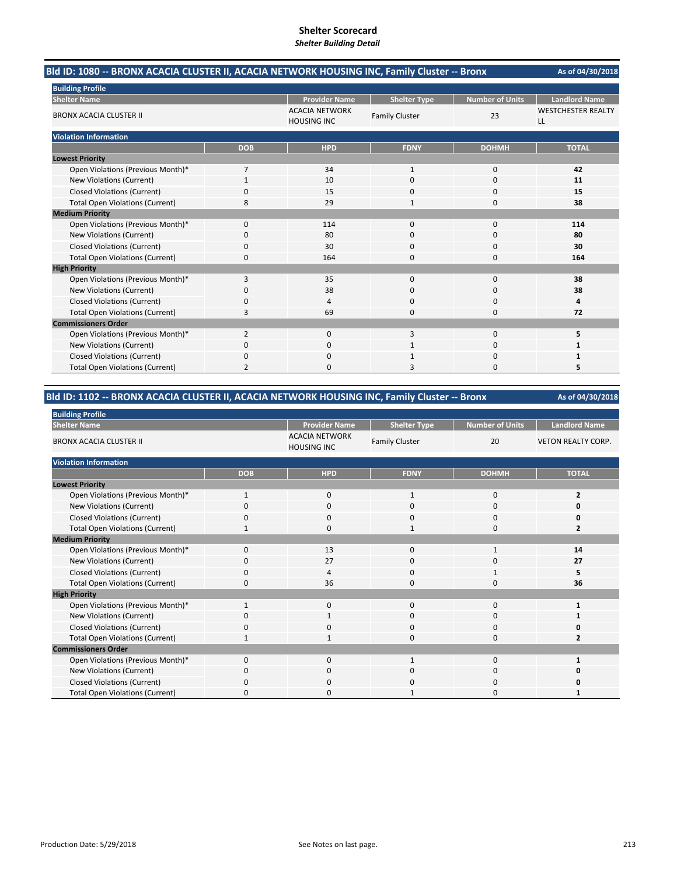| Bld ID: 1080 -- BRONX ACACIA CLUSTER II, ACACIA NETWORK HOUSING INC, Family Cluster -- Bronx |                |                                             |                       |                        | As of 04/30/2018                |
|----------------------------------------------------------------------------------------------|----------------|---------------------------------------------|-----------------------|------------------------|---------------------------------|
| <b>Building Profile</b>                                                                      |                |                                             |                       |                        |                                 |
| <b>Shelter Name</b>                                                                          |                | <b>Provider Name</b>                        | <b>Shelter Type</b>   | <b>Number of Units</b> | <b>Landlord Name</b>            |
| <b>BRONX ACACIA CLUSTER II</b>                                                               |                | <b>ACACIA NETWORK</b><br><b>HOUSING INC</b> | <b>Family Cluster</b> | 23                     | <b>WESTCHESTER REALTY</b><br>LL |
| <b>Violation Information</b>                                                                 |                |                                             |                       |                        |                                 |
|                                                                                              | <b>DOB</b>     | <b>HPD</b>                                  | <b>FDNY</b>           | <b>DOHMH</b>           | <b>TOTAL</b>                    |
| <b>Lowest Priority</b>                                                                       |                |                                             |                       |                        |                                 |
| Open Violations (Previous Month)*                                                            | 7              | 34                                          | $\mathbf{1}$          | 0                      | 42                              |
| New Violations (Current)                                                                     | 1              | 10                                          | $\Omega$              | $\Omega$               | 11                              |
| <b>Closed Violations (Current)</b>                                                           | 0              | 15                                          | $\Omega$              | $\Omega$               | 15                              |
| <b>Total Open Violations (Current)</b>                                                       | 8              | 29                                          | $\mathbf{1}$          | $\Omega$               | 38                              |
| <b>Medium Priority</b>                                                                       |                |                                             |                       |                        |                                 |
| Open Violations (Previous Month)*                                                            | 0              | 114                                         | $\Omega$              | 0                      | 114                             |
| <b>New Violations (Current)</b>                                                              | 0              | 80                                          | 0                     | $\Omega$               | 80                              |
| <b>Closed Violations (Current)</b>                                                           | 0              | 30                                          | $\Omega$              | 0                      | 30                              |
| <b>Total Open Violations (Current)</b>                                                       | 0              | 164                                         | $\Omega$              | 0                      | 164                             |
| <b>High Priority</b>                                                                         |                |                                             |                       |                        |                                 |
| Open Violations (Previous Month)*                                                            | 3              | 35                                          | 0                     | 0                      | 38                              |
| <b>New Violations (Current)</b>                                                              | 0              | 38                                          | $\Omega$              | 0                      | 38                              |
| <b>Closed Violations (Current)</b>                                                           | 0              | 4                                           | $\Omega$              | 0                      | 4                               |
| <b>Total Open Violations (Current)</b>                                                       | 3              | 69                                          | 0                     | 0                      | 72                              |
| <b>Commissioners Order</b>                                                                   |                |                                             |                       |                        |                                 |
| Open Violations (Previous Month)*                                                            | 2              | 0                                           | 3                     | $\mathbf 0$            | 5                               |
| New Violations (Current)                                                                     | 0              | 0                                           |                       | 0                      |                                 |
| <b>Closed Violations (Current)</b>                                                           | 0              | $\Omega$                                    |                       | $\Omega$               |                                 |
| <b>Total Open Violations (Current)</b>                                                       | $\overline{2}$ | $\Omega$                                    | 3                     | $\Omega$               | 5                               |

### **Bld ID: 1102 ‐‐ BRONX ACACIA CLUSTER II, ACACIA NETWORK HOUSING INC, Family Cluster ‐‐ Bronx**

| <b>Building Profile</b>                |              |                                             |                       |                        |                           |
|----------------------------------------|--------------|---------------------------------------------|-----------------------|------------------------|---------------------------|
| <b>Shelter Name</b>                    |              | <b>Provider Name</b>                        | <b>Shelter Type</b>   | <b>Number of Units</b> | <b>Landlord Name</b>      |
| <b>BRONX ACACIA CLUSTER II</b>         |              | <b>ACACIA NETWORK</b><br><b>HOUSING INC</b> | <b>Family Cluster</b> | 20                     | <b>VETON REALTY CORP.</b> |
| <b>Violation Information</b>           |              |                                             |                       |                        |                           |
|                                        | <b>DOB</b>   | <b>HPD</b>                                  | <b>FDNY</b>           | <b>DOHMH</b>           | <b>TOTAL</b>              |
| <b>Lowest Priority</b>                 |              |                                             |                       |                        |                           |
| Open Violations (Previous Month)*      | $\mathbf{1}$ | $\mathbf 0$                                 | $\mathbf{1}$          | 0                      | $\overline{2}$            |
| New Violations (Current)               | ŋ            | $\mathbf 0$                                 | 0                     | 0                      | Ω                         |
| <b>Closed Violations (Current)</b>     | 0            | $\mathbf 0$                                 | 0                     | 0                      | 0                         |
| <b>Total Open Violations (Current)</b> | $\mathbf{1}$ | $\Omega$                                    | $\mathbf{1}$          | $\Omega$               | $\overline{2}$            |
| <b>Medium Priority</b>                 |              |                                             |                       |                        |                           |
| Open Violations (Previous Month)*      | $\Omega$     | 13                                          | 0                     | 1                      | 14                        |
| New Violations (Current)               | n            | 27                                          | 0                     | 0                      | 27                        |
| <b>Closed Violations (Current)</b>     | 0            | $\overline{4}$                              | 0                     | 1                      | 5                         |
| <b>Total Open Violations (Current)</b> | $\Omega$     | 36                                          | 0                     | $\Omega$               | 36                        |
| <b>High Priority</b>                   |              |                                             |                       |                        |                           |
| Open Violations (Previous Month)*      | 1            | $\mathbf 0$                                 | 0                     | 0                      |                           |
| New Violations (Current)               |              |                                             | 0                     | 0                      |                           |
| <b>Closed Violations (Current)</b>     | 0            | 0                                           | 0                     | 0                      | ი                         |
| <b>Total Open Violations (Current)</b> | 1            | -1                                          | 0                     | $\Omega$               | $\overline{\mathbf{z}}$   |
| <b>Commissioners Order</b>             |              |                                             |                       |                        |                           |
| Open Violations (Previous Month)*      | $\Omega$     | $\Omega$                                    |                       | $\Omega$               |                           |
| New Violations (Current)               | 0            | 0                                           | 0                     | 0                      | o                         |
| <b>Closed Violations (Current)</b>     | 0            | $\mathbf 0$                                 | 0                     | 0                      | O                         |
| <b>Total Open Violations (Current)</b> | O            | $\Omega$                                    |                       | 0                      |                           |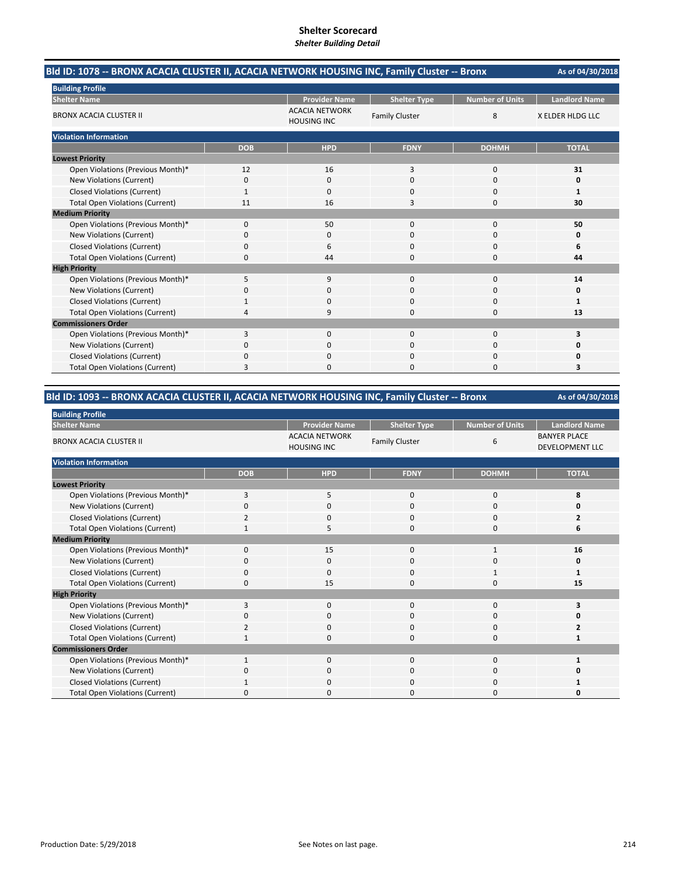| Bld ID: 1078 -- BRONX ACACIA CLUSTER II, ACACIA NETWORK HOUSING INC, Family Cluster -- Bronx |            |                                             |                       |                        | As of 04/30/2018     |
|----------------------------------------------------------------------------------------------|------------|---------------------------------------------|-----------------------|------------------------|----------------------|
| <b>Building Profile</b>                                                                      |            |                                             |                       |                        |                      |
| <b>Shelter Name</b>                                                                          |            | <b>Provider Name</b>                        | <b>Shelter Type</b>   | <b>Number of Units</b> | <b>Landlord Name</b> |
| <b>BRONX ACACIA CLUSTER II</b>                                                               |            | <b>ACACIA NETWORK</b><br><b>HOUSING INC</b> | <b>Family Cluster</b> | 8                      | X ELDER HLDG LLC     |
| <b>Violation Information</b>                                                                 |            |                                             |                       |                        |                      |
|                                                                                              | <b>DOB</b> | <b>HPD</b>                                  | <b>FDNY</b>           | <b>DOHMH</b>           | <b>TOTAL</b>         |
| <b>Lowest Priority</b>                                                                       |            |                                             |                       |                        |                      |
| Open Violations (Previous Month)*                                                            | 12         | 16                                          | 3                     | $\mathbf 0$            | 31                   |
| New Violations (Current)                                                                     | 0          | 0                                           | $\Omega$              | $\Omega$               | O                    |
| <b>Closed Violations (Current)</b>                                                           | 1          | 0                                           | 0                     | 0                      | $\mathbf{1}$         |
| <b>Total Open Violations (Current)</b>                                                       | 11         | 16                                          | 3                     | $\Omega$               | 30                   |
| <b>Medium Priority</b>                                                                       |            |                                             |                       |                        |                      |
| Open Violations (Previous Month)*                                                            | 0          | 50                                          | $\Omega$              | $\Omega$               | 50                   |
| New Violations (Current)                                                                     | 0          | 0                                           | $\Omega$              | 0                      | 0                    |
| <b>Closed Violations (Current)</b>                                                           | 0          | 6                                           | 0                     | 0                      | 6                    |
| <b>Total Open Violations (Current)</b>                                                       | 0          | 44                                          | 0                     | $\Omega$               | 44                   |
| <b>High Priority</b>                                                                         |            |                                             |                       |                        |                      |
| Open Violations (Previous Month)*                                                            | 5          | 9                                           | $\Omega$              | $\Omega$               | 14                   |
| New Violations (Current)                                                                     | 0          | $\Omega$                                    | $\Omega$              | $\Omega$               | 0                    |
| <b>Closed Violations (Current)</b>                                                           |            | 0                                           | 0                     | $\Omega$               | $\mathbf{1}$         |
| <b>Total Open Violations (Current)</b>                                                       | 4          | 9                                           | $\Omega$              | $\Omega$               | 13                   |
| <b>Commissioners Order</b>                                                                   |            |                                             |                       |                        |                      |
| Open Violations (Previous Month)*                                                            | 3          | 0                                           | $\Omega$              | $\Omega$               | 3                    |
| New Violations (Current)                                                                     | 0          | 0                                           | 0                     | 0                      | Ω                    |
| <b>Closed Violations (Current)</b>                                                           | 0          | $\Omega$                                    | $\Omega$              | 0                      | 0                    |
| <b>Total Open Violations (Current)</b>                                                       | 3          | $\Omega$                                    | 0                     | $\Omega$               | 3                    |

### **Bld ID: 1093 ‐‐ BRONX ACACIA CLUSTER II, ACACIA NETWORK HOUSING INC, Family Cluster ‐‐ Bronx**

| <b>Building Profile</b>                |                |                                             |                       |                 |                                               |
|----------------------------------------|----------------|---------------------------------------------|-----------------------|-----------------|-----------------------------------------------|
| <b>Shelter Name</b>                    |                | <b>Provider Name</b>                        | <b>Shelter Type</b>   | Number of Units | <b>Landlord Name</b>                          |
| <b>BRONX ACACIA CLUSTER II</b>         |                | <b>ACACIA NETWORK</b><br><b>HOUSING INC</b> | <b>Family Cluster</b> | 6               | <b>BANYER PLACE</b><br><b>DEVELOPMENT LLC</b> |
| <b>Violation Information</b>           |                |                                             |                       |                 |                                               |
|                                        | <b>DOB</b>     | <b>HPD</b>                                  | <b>FDNY</b>           | <b>DOHMH</b>    | <b>TOTAL</b>                                  |
| <b>Lowest Priority</b>                 |                |                                             |                       |                 |                                               |
| Open Violations (Previous Month)*      | 3              | 5                                           | 0                     | 0               | 8                                             |
| New Violations (Current)               | $\Omega$       | 0                                           | 0                     | 0               | U                                             |
| <b>Closed Violations (Current)</b>     | $\overline{2}$ | 0                                           | $\mathbf{0}$          | 0               | 2                                             |
| <b>Total Open Violations (Current)</b> | -1             | 5                                           | $\Omega$              | $\mathbf 0$     | 6                                             |
| <b>Medium Priority</b>                 |                |                                             |                       |                 |                                               |
| Open Violations (Previous Month)*      | 0              | 15                                          | $\mathbf{0}$          | 1               | 16                                            |
| New Violations (Current)               | O              | 0                                           | 0                     | 0               | 0                                             |
| <b>Closed Violations (Current)</b>     | 0              | 0                                           | 0                     | 1               |                                               |
| <b>Total Open Violations (Current)</b> | $\Omega$       | 15                                          | $\Omega$              | $\Omega$        | 15                                            |
| <b>High Priority</b>                   |                |                                             |                       |                 |                                               |
| Open Violations (Previous Month)*      | 3              | $\mathbf 0$                                 | $\mathbf{0}$          | $\mathbf{0}$    |                                               |
| New Violations (Current)               | C              | 0                                           | 0                     | 0               |                                               |
| <b>Closed Violations (Current)</b>     | $\overline{2}$ | 0                                           | 0                     | 0               |                                               |
| <b>Total Open Violations (Current)</b> | $\mathbf{1}$   | 0                                           | $\Omega$              | $\Omega$        |                                               |
| <b>Commissioners Order</b>             |                |                                             |                       |                 |                                               |
| Open Violations (Previous Month)*      | $\mathbf{1}$   | $\mathbf 0$                                 | $\mathbf{0}$          | 0               |                                               |
| New Violations (Current)               | 0              | 0                                           | 0                     | 0               | 0                                             |
| <b>Closed Violations (Current)</b>     |                | 0                                           | 0                     | 0               |                                               |
| <b>Total Open Violations (Current)</b> | $\Omega$       | 0                                           | $\Omega$              | 0               | U                                             |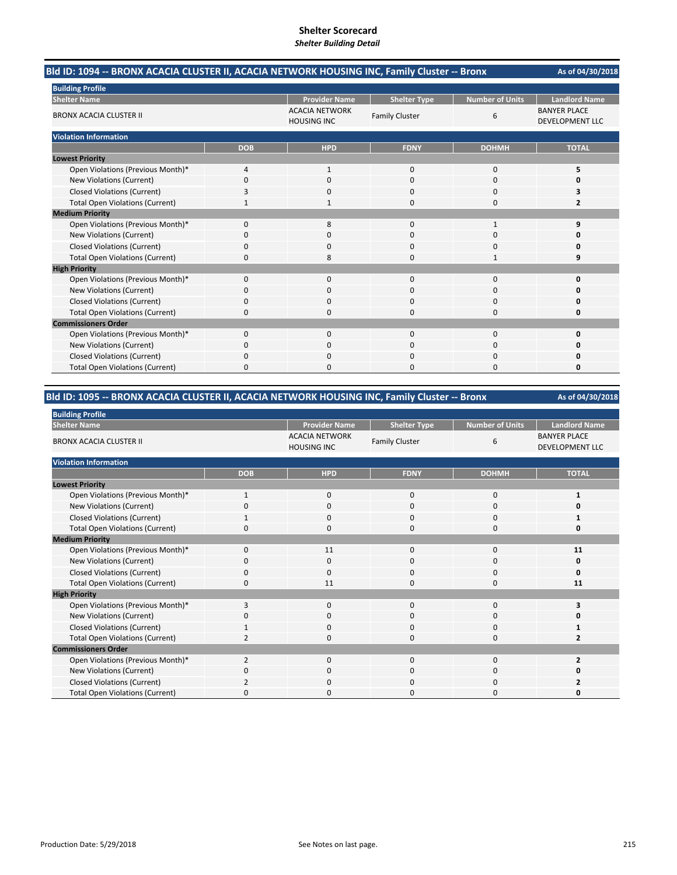| Bld ID: 1094 -- BRONX ACACIA CLUSTER II, ACACIA NETWORK HOUSING INC, Family Cluster -- Bronx |            |                                             |                       |                        | As of 04/30/2018                              |
|----------------------------------------------------------------------------------------------|------------|---------------------------------------------|-----------------------|------------------------|-----------------------------------------------|
| <b>Building Profile</b>                                                                      |            |                                             |                       |                        |                                               |
| <b>Shelter Name</b>                                                                          |            | <b>Provider Name</b>                        | <b>Shelter Type</b>   | <b>Number of Units</b> | <b>Landlord Name</b>                          |
| <b>BRONX ACACIA CLUSTER II</b>                                                               |            | <b>ACACIA NETWORK</b><br><b>HOUSING INC</b> | <b>Family Cluster</b> | 6                      | <b>BANYER PLACE</b><br><b>DEVELOPMENT LLC</b> |
| <b>Violation Information</b>                                                                 |            |                                             |                       |                        |                                               |
|                                                                                              | <b>DOB</b> | <b>HPD</b>                                  | <b>FDNY</b>           | <b>DOHMH</b>           | <b>TOTAL</b>                                  |
| <b>Lowest Priority</b>                                                                       |            |                                             |                       |                        |                                               |
| Open Violations (Previous Month)*                                                            | 4          | $\mathbf{1}$                                | $\mathbf{0}$          | $\mathbf 0$            | 5                                             |
| New Violations (Current)                                                                     | 0          | $\Omega$                                    | $\Omega$              | $\Omega$               | o                                             |
| <b>Closed Violations (Current)</b>                                                           | 3          | 0                                           | 0                     | 0                      | 3                                             |
| <b>Total Open Violations (Current)</b>                                                       |            |                                             | 0                     | $\Omega$               | 2                                             |
| <b>Medium Priority</b>                                                                       |            |                                             |                       |                        |                                               |
| Open Violations (Previous Month)*                                                            | $\Omega$   | 8                                           | $\Omega$              | $\mathbf{1}$           | 9                                             |
| New Violations (Current)                                                                     | 0          | 0                                           | 0                     | 0                      | n                                             |
| <b>Closed Violations (Current)</b>                                                           | 0          | $\Omega$                                    | 0                     | 0                      | 0                                             |
| <b>Total Open Violations (Current)</b>                                                       | 0          | 8                                           | O                     | -1                     | 9                                             |
| <b>High Priority</b>                                                                         |            |                                             |                       |                        |                                               |
| Open Violations (Previous Month)*                                                            | $\Omega$   | $\Omega$                                    | $\Omega$              | $\Omega$               | 0                                             |
| New Violations (Current)                                                                     | 0          | <sup>0</sup>                                | $\Omega$              | $\Omega$               | n                                             |
| <b>Closed Violations (Current)</b>                                                           | 0          | 0                                           | 0                     | $\Omega$               | 0                                             |
| <b>Total Open Violations (Current)</b>                                                       | 0          | $\Omega$                                    | 0                     | $\Omega$               | 0                                             |
| <b>Commissioners Order</b>                                                                   |            |                                             |                       |                        |                                               |
| Open Violations (Previous Month)*                                                            | 0          | $\Omega$                                    | $\Omega$              | $\Omega$               | $\Omega$                                      |
| New Violations (Current)                                                                     | n          | 0                                           | O                     | <sup>0</sup>           | n                                             |
| <b>Closed Violations (Current)</b>                                                           | 0          | $\Omega$                                    | 0                     | 0                      | Ω                                             |
| <b>Total Open Violations (Current)</b>                                                       | 0          | <sup>0</sup>                                | O                     | $\Omega$               | 0                                             |

### **Bld ID: 1095 ‐‐ BRONX ACACIA CLUSTER II, ACACIA NETWORK HOUSING INC, Family Cluster ‐‐ Bronx**

| <b>Building Profile</b>                |                |                                             |                       |                 |                                               |
|----------------------------------------|----------------|---------------------------------------------|-----------------------|-----------------|-----------------------------------------------|
| <b>Shelter Name</b>                    |                | <b>Provider Name</b>                        | <b>Shelter Type</b>   | Number of Units | <b>Landlord Name</b>                          |
| <b>BRONX ACACIA CLUSTER II</b>         |                | <b>ACACIA NETWORK</b><br><b>HOUSING INC</b> | <b>Family Cluster</b> | 6               | <b>BANYER PLACE</b><br><b>DEVELOPMENT LLC</b> |
| <b>Violation Information</b>           |                |                                             |                       |                 |                                               |
|                                        | <b>DOB</b>     | <b>HPD</b>                                  | <b>FDNY</b>           | <b>DOHMH</b>    | <b>TOTAL</b>                                  |
| <b>Lowest Priority</b>                 |                |                                             |                       |                 |                                               |
| Open Violations (Previous Month)*      | $\mathbf{1}$   | 0                                           | 0                     | 0               |                                               |
| New Violations (Current)               | $\Omega$       | 0                                           | 0                     | 0               | U                                             |
| <b>Closed Violations (Current)</b>     | 1              | 0                                           | $\mathbf{0}$          | 0               |                                               |
| <b>Total Open Violations (Current)</b> | $\Omega$       | 0                                           | $\Omega$              | $\mathbf 0$     | 0                                             |
| <b>Medium Priority</b>                 |                |                                             |                       |                 |                                               |
| Open Violations (Previous Month)*      | 0              | 11                                          | $\mathbf{0}$          | $\mathbf{0}$    | 11                                            |
| New Violations (Current)               | O              | $\mathbf{0}$                                | 0                     | 0               | 0                                             |
| <b>Closed Violations (Current)</b>     | 0              | 0                                           | 0                     | 0               | O                                             |
| <b>Total Open Violations (Current)</b> | $\Omega$       | 11                                          | $\Omega$              | $\mathbf{0}$    | 11                                            |
| <b>High Priority</b>                   |                |                                             |                       |                 |                                               |
| Open Violations (Previous Month)*      | 3              | $\mathbf{0}$                                | $\mathbf{0}$          | $\mathbf{0}$    |                                               |
| New Violations (Current)               | C              | 0                                           | 0                     | 0               |                                               |
| <b>Closed Violations (Current)</b>     |                | 0                                           | 0                     | 0               |                                               |
| <b>Total Open Violations (Current)</b> | $\overline{2}$ | 0                                           | $\Omega$              | $\Omega$        | 7                                             |
| <b>Commissioners Order</b>             |                |                                             |                       |                 |                                               |
| Open Violations (Previous Month)*      | $\overline{2}$ | $\mathbf{0}$                                | $\mathbf{0}$          | 0               | 2                                             |
| New Violations (Current)               | 0              | 0                                           | 0                     | 0               | ŋ                                             |
| <b>Closed Violations (Current)</b>     | 2              | 0                                           | 0                     | 0               |                                               |
| <b>Total Open Violations (Current)</b> | $\Omega$       | 0                                           | $\Omega$              | 0               | U                                             |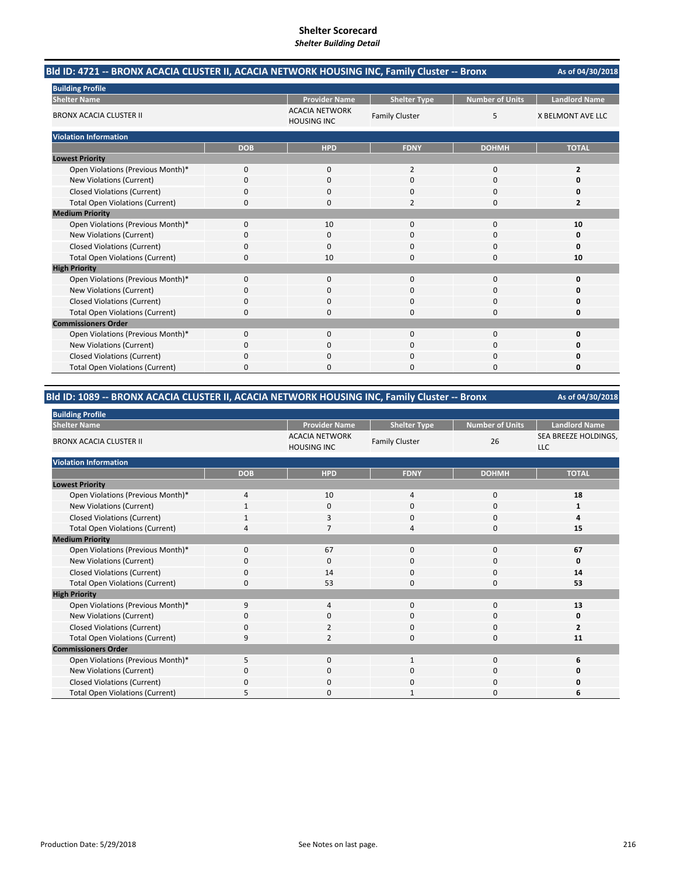| Bld ID: 4721 -- BRONX ACACIA CLUSTER II, ACACIA NETWORK HOUSING INC, Family Cluster -- Bronx |            |                                             |                       |                        | As of 04/30/2018         |
|----------------------------------------------------------------------------------------------|------------|---------------------------------------------|-----------------------|------------------------|--------------------------|
| <b>Building Profile</b>                                                                      |            |                                             |                       |                        |                          |
| <b>Shelter Name</b>                                                                          |            | <b>Provider Name</b>                        | <b>Shelter Type</b>   | <b>Number of Units</b> | <b>Landlord Name</b>     |
| <b>BRONX ACACIA CLUSTER II</b>                                                               |            | <b>ACACIA NETWORK</b><br><b>HOUSING INC</b> | <b>Family Cluster</b> | 5                      | <b>X BELMONT AVE LLC</b> |
| <b>Violation Information</b>                                                                 |            |                                             |                       |                        |                          |
|                                                                                              | <b>DOB</b> | <b>HPD</b>                                  | <b>FDNY</b>           | <b>DOHMH</b>           | <b>TOTAL</b>             |
| <b>Lowest Priority</b>                                                                       |            |                                             |                       |                        |                          |
| Open Violations (Previous Month)*                                                            | 0          | 0                                           | $\overline{2}$        | 0                      | 2                        |
| New Violations (Current)                                                                     | 0          | 0                                           | $\Omega$              | $\Omega$               | o                        |
| <b>Closed Violations (Current)</b>                                                           | 0          | 0                                           | 0                     | $\Omega$               | 0                        |
| <b>Total Open Violations (Current)</b>                                                       | 0          | $\Omega$                                    | $\overline{2}$        | $\Omega$               | 2                        |
| <b>Medium Priority</b>                                                                       |            |                                             |                       |                        |                          |
| Open Violations (Previous Month)*                                                            | $\Omega$   | 10                                          | $\Omega$              | $\Omega$               | 10                       |
| New Violations (Current)                                                                     | n          | 0                                           | O                     | 0                      | O                        |
| <b>Closed Violations (Current)</b>                                                           | 0          | 0                                           | 0                     | 0                      | $\Omega$                 |
| <b>Total Open Violations (Current)</b>                                                       | $\Omega$   | 10                                          | 0                     | $\Omega$               | 10                       |
| <b>High Priority</b>                                                                         |            |                                             |                       |                        |                          |
| Open Violations (Previous Month)*                                                            | 0          | $\Omega$                                    | $\Omega$              | $\Omega$               | O                        |
| New Violations (Current)                                                                     | 0          | 0                                           | $\Omega$              | $\Omega$               | n                        |
| <b>Closed Violations (Current)</b>                                                           | 0          | 0                                           | 0                     | $\Omega$               | 0                        |
| <b>Total Open Violations (Current)</b>                                                       | 0          | $\Omega$                                    | $\Omega$              | $\Omega$               | 0                        |
| <b>Commissioners Order</b>                                                                   |            |                                             |                       |                        |                          |
| Open Violations (Previous Month)*                                                            | 0          | $\Omega$                                    | $\Omega$              | $\Omega$               | $\Omega$                 |
| New Violations (Current)                                                                     | 0          | 0                                           | 0                     | 0                      | n                        |
| <b>Closed Violations (Current)</b>                                                           | 0          | $\Omega$                                    | 0                     | 0                      | Ω                        |
| <b>Total Open Violations (Current)</b>                                                       | 0          | <sup>0</sup>                                | 0                     | $\Omega$               | 0                        |

### **Bld ID: 1089 ‐‐ BRONX ACACIA CLUSTER II, ACACIA NETWORK HOUSING INC, Family Cluster ‐‐ Bronx**

| <b>Building Profile</b>                |                |                                             |                       |                        |                                    |
|----------------------------------------|----------------|---------------------------------------------|-----------------------|------------------------|------------------------------------|
| <b>Shelter Name</b>                    |                | <b>Provider Name</b>                        | <b>Shelter Type</b>   | <b>Number of Units</b> | <b>Landlord Name</b>               |
| <b>BRONX ACACIA CLUSTER II</b>         |                | <b>ACACIA NETWORK</b><br><b>HOUSING INC</b> | <b>Family Cluster</b> | 26                     | SEA BREEZE HOLDINGS,<br><b>LLC</b> |
| <b>Violation Information</b>           |                |                                             |                       |                        |                                    |
|                                        | <b>DOB</b>     | <b>HPD</b>                                  | <b>FDNY</b>           | <b>DOHMH</b>           | <b>TOTAL</b>                       |
| <b>Lowest Priority</b>                 |                |                                             |                       |                        |                                    |
| Open Violations (Previous Month)*      | 4              | 10                                          | 4                     | 0                      | 18                                 |
| <b>New Violations (Current)</b>        | $\mathbf{1}$   | 0                                           | 0                     | 0                      |                                    |
| <b>Closed Violations (Current)</b>     | 1              | 3                                           | $\mathbf 0$           | 0                      | Δ                                  |
| <b>Total Open Violations (Current)</b> | $\overline{4}$ | $\overline{7}$                              | 4                     | 0                      | 15                                 |
| <b>Medium Priority</b>                 |                |                                             |                       |                        |                                    |
| Open Violations (Previous Month)*      | $\Omega$       | 67                                          | $\mathbf 0$           | 0                      | 67                                 |
| New Violations (Current)               | $\Omega$       | $\mathbf 0$                                 | 0                     | 0                      | 0                                  |
| <b>Closed Violations (Current)</b>     | 0              | 14                                          | 0                     | 0                      | 14                                 |
| <b>Total Open Violations (Current)</b> | $\Omega$       | 53                                          | $\Omega$              | 0                      | 53                                 |
| <b>High Priority</b>                   |                |                                             |                       |                        |                                    |
| Open Violations (Previous Month)*      | 9              | $\overline{4}$                              | $\mathbf 0$           | 0                      | 13                                 |
| New Violations (Current)               | O              | 0                                           | 0                     | 0                      | 0                                  |
| <b>Closed Violations (Current)</b>     | 0              | $\overline{2}$                              | $\mathbf 0$           | 0                      | $\overline{2}$                     |
| <b>Total Open Violations (Current)</b> | 9              | $\overline{2}$                              | $\mathbf 0$           | 0                      | 11                                 |
| <b>Commissioners Order</b>             |                |                                             |                       |                        |                                    |
| Open Violations (Previous Month)*      | 5              | $\mathbf{0}$                                | 1                     | 0                      | 6                                  |
| New Violations (Current)               | 0              | 0                                           | 0                     | 0                      | 0                                  |
| <b>Closed Violations (Current)</b>     | $\Omega$       | $\mathbf{0}$                                | $\mathbf 0$           | 0                      | o                                  |
| <b>Total Open Violations (Current)</b> |                | 0                                           |                       | 0                      | 6                                  |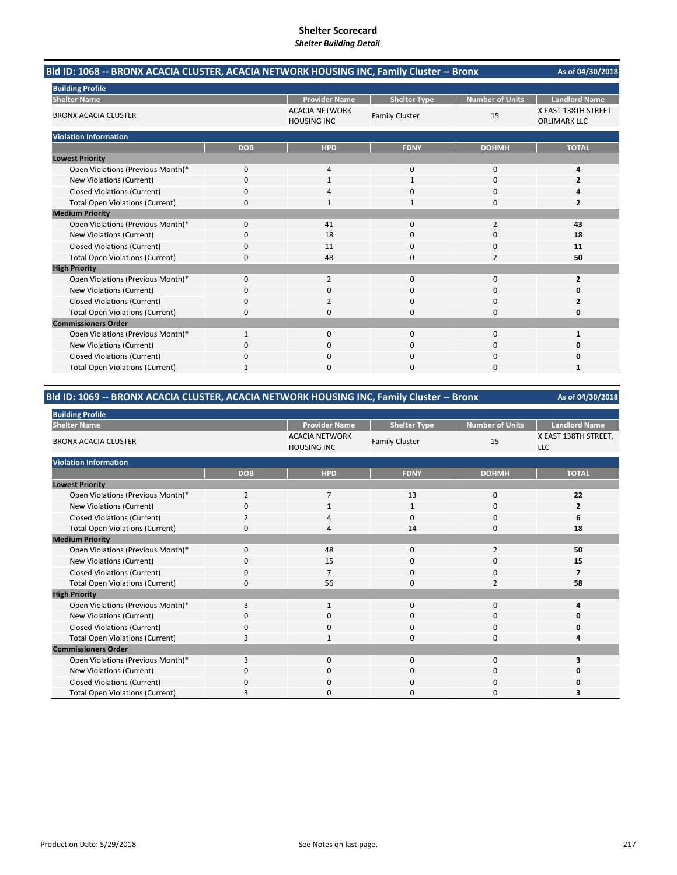| Bld ID: 1068 -- BRONX ACACIA CLUSTER, ACACIA NETWORK HOUSING INC, Family Cluster -- Bronx | As of 04/30/2018 |                                             |                       |                        |                                            |
|-------------------------------------------------------------------------------------------|------------------|---------------------------------------------|-----------------------|------------------------|--------------------------------------------|
| <b>Building Profile</b>                                                                   |                  |                                             |                       |                        |                                            |
| <b>Shelter Name</b>                                                                       |                  | <b>Provider Name</b>                        | <b>Shelter Type</b>   | <b>Number of Units</b> | <b>Landlord Name</b>                       |
| <b>BRONX ACACIA CLUSTER</b>                                                               |                  | <b>ACACIA NETWORK</b><br><b>HOUSING INC</b> | <b>Family Cluster</b> | 15                     | X EAST 138TH STREET<br><b>ORLIMARK LLC</b> |
| <b>Violation Information</b>                                                              |                  |                                             |                       |                        |                                            |
|                                                                                           | <b>DOB</b>       | <b>HPD</b>                                  | <b>FDNY</b>           | <b>DOHMH</b>           | <b>TOTAL</b>                               |
| <b>Lowest Priority</b>                                                                    |                  |                                             |                       |                        |                                            |
| Open Violations (Previous Month)*                                                         | 0                | 4                                           | $\mathbf{0}$          | 0                      | 4                                          |
| New Violations (Current)                                                                  | 0                |                                             | $\mathbf{1}$          | $\Omega$               | $\overline{2}$                             |
| <b>Closed Violations (Current)</b>                                                        | 0                |                                             | 0                     | 0                      | 4                                          |
| <b>Total Open Violations (Current)</b>                                                    | 0                |                                             | 1                     | $\Omega$               | 2                                          |
| <b>Medium Priority</b>                                                                    |                  |                                             |                       |                        |                                            |
| Open Violations (Previous Month)*                                                         | $\Omega$         | 41                                          | $\Omega$              | $\overline{2}$         | 43                                         |
| New Violations (Current)                                                                  | 0                | 18                                          | 0                     | $\Omega$               | 18                                         |
| <b>Closed Violations (Current)</b>                                                        | 0                | 11                                          | 0                     | 0                      | 11                                         |
| <b>Total Open Violations (Current)</b>                                                    | $\Omega$         | 48                                          | O                     | $\overline{2}$         | 50                                         |
| <b>High Priority</b>                                                                      |                  |                                             |                       |                        |                                            |
| Open Violations (Previous Month)*                                                         | 0                | $\overline{2}$                              | $\Omega$              | $\Omega$               | 2                                          |
| New Violations (Current)                                                                  | 0                | $\Omega$                                    | $\Omega$              | $\Omega$               | 0                                          |
| <b>Closed Violations (Current)</b>                                                        | 0                | 2                                           | 0                     | $\Omega$               | 2                                          |
| <b>Total Open Violations (Current)</b>                                                    | 0                | 0                                           | 0                     | 0                      | 0                                          |
| <b>Commissioners Order</b>                                                                |                  |                                             |                       |                        |                                            |
| Open Violations (Previous Month)*                                                         | $\mathbf{1}$     | $\Omega$                                    | $\Omega$              | $\Omega$               | 1                                          |
| New Violations (Current)                                                                  | ŋ                | $\Omega$                                    | $\Omega$              | $\Omega$               | Ω                                          |
| <b>Closed Violations (Current)</b>                                                        | 0                | $\Omega$                                    | $\Omega$              | 0                      | 0                                          |
| <b>Total Open Violations (Current)</b>                                                    |                  | $\Omega$                                    | 0                     | $\Omega$               | 1                                          |

# **Bld ID: 1069 ‐‐ BRONX ACACIA CLUSTER, ACACIA NETWORK HOUSING INC, Family Cluster ‐‐ Bronx**

| <b>Building Profile</b>                |                |                                             |                       |                        |                                    |
|----------------------------------------|----------------|---------------------------------------------|-----------------------|------------------------|------------------------------------|
| <b>Shelter Name</b>                    |                | <b>Provider Name</b>                        | <b>Shelter Type</b>   | <b>Number of Units</b> | <b>Landlord Name</b>               |
| <b>BRONX ACACIA CLUSTER</b>            |                | <b>ACACIA NETWORK</b><br><b>HOUSING INC</b> | <b>Family Cluster</b> | 15                     | X EAST 138TH STREET,<br><b>LLC</b> |
| <b>Violation Information</b>           |                |                                             |                       |                        |                                    |
|                                        | <b>DOB</b>     | <b>HPD</b>                                  | <b>FDNY</b>           | <b>DOHMH</b>           | <b>TOTAL</b>                       |
| <b>Lowest Priority</b>                 |                |                                             |                       |                        |                                    |
| Open Violations (Previous Month)*      | $\overline{2}$ | $\overline{7}$                              | 13                    | 0                      | 22                                 |
| <b>New Violations (Current)</b>        | 0              | 1                                           | $\mathbf{1}$          | 0                      | $\overline{2}$                     |
| <b>Closed Violations (Current)</b>     | 2              | 4                                           | $\Omega$              | 0                      | 6                                  |
| <b>Total Open Violations (Current)</b> | 0              | 4                                           | 14                    | 0                      | 18                                 |
| <b>Medium Priority</b>                 |                |                                             |                       |                        |                                    |
| Open Violations (Previous Month)*      | 0              | 48                                          | $\mathbf 0$           | $\overline{2}$         | 50                                 |
| New Violations (Current)               | O              | 15                                          | 0                     | 0                      | 15                                 |
| <b>Closed Violations (Current)</b>     | 0              | 7                                           | $\mathbf 0$           | 0                      | 7                                  |
| <b>Total Open Violations (Current)</b> | 0              | 56                                          | $\Omega$              | $\overline{2}$         | 58                                 |
| <b>High Priority</b>                   |                |                                             |                       |                        |                                    |
| Open Violations (Previous Month)*      | 3              | $\mathbf{1}$                                | $\mathbf 0$           | 0                      |                                    |
| New Violations (Current)               | O              | 0                                           | 0                     | 0                      |                                    |
| <b>Closed Violations (Current)</b>     | 0              | 0                                           | 0                     | 0                      | O                                  |
| <b>Total Open Violations (Current)</b> | 3              | $\mathbf{1}$                                | 0                     | 0                      |                                    |
| <b>Commissioners Order</b>             |                |                                             |                       |                        |                                    |
| Open Violations (Previous Month)*      | 3              | 0                                           | $\mathbf 0$           | 0                      |                                    |
| New Violations (Current)               | 0              | 0                                           | 0                     | 0                      | 0                                  |
| <b>Closed Violations (Current)</b>     | 0              | 0                                           | 0                     | 0                      |                                    |
| <b>Total Open Violations (Current)</b> |                | 0                                           | 0                     | 0                      |                                    |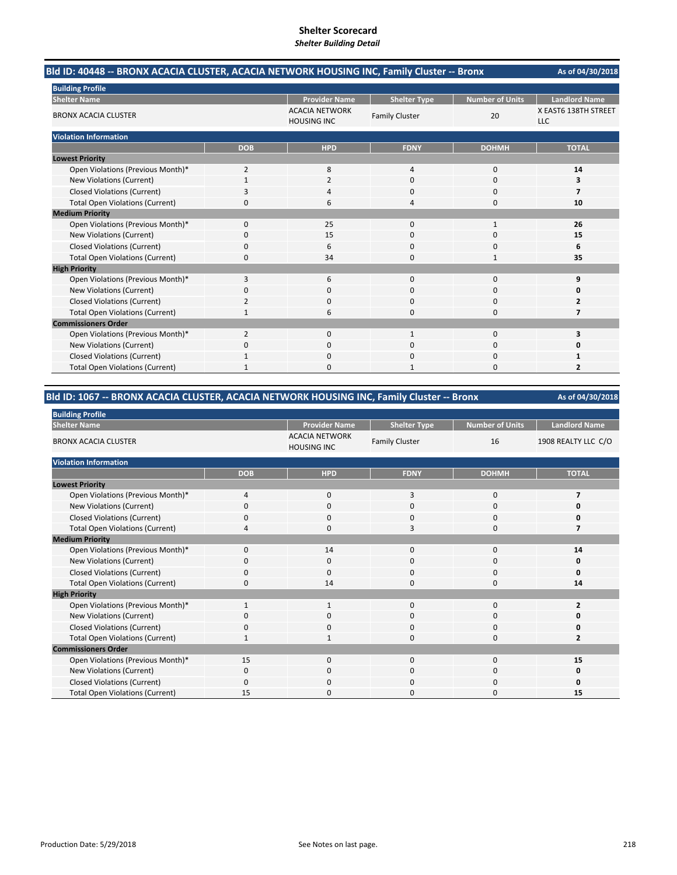| Bld ID: 40448 -- BRONX ACACIA CLUSTER, ACACIA NETWORK HOUSING INC, Family Cluster -- Bronx | As of 04/30/2018 |                                             |                       |                        |                                    |
|--------------------------------------------------------------------------------------------|------------------|---------------------------------------------|-----------------------|------------------------|------------------------------------|
| <b>Building Profile</b>                                                                    |                  |                                             |                       |                        |                                    |
| <b>Shelter Name</b>                                                                        |                  | <b>Provider Name</b>                        | <b>Shelter Type</b>   | <b>Number of Units</b> | <b>Landlord Name</b>               |
| <b>BRONX ACACIA CLUSTER</b>                                                                |                  | <b>ACACIA NETWORK</b><br><b>HOUSING INC</b> | <b>Family Cluster</b> | 20                     | X EAST6 138TH STREET<br><b>LLC</b> |
| <b>Violation Information</b>                                                               |                  |                                             |                       |                        |                                    |
|                                                                                            | <b>DOB</b>       | <b>HPD</b>                                  | <b>FDNY</b>           | <b>DOHMH</b>           | <b>TOTAL</b>                       |
| <b>Lowest Priority</b>                                                                     |                  |                                             |                       |                        |                                    |
| Open Violations (Previous Month)*                                                          | 2                | 8                                           | 4                     | $\mathbf 0$            | 14                                 |
| New Violations (Current)                                                                   | $\mathbf{1}$     | 2                                           | $\Omega$              | $\Omega$               | 3                                  |
| <b>Closed Violations (Current)</b>                                                         | 3                |                                             | 0                     | 0                      | 7                                  |
| <b>Total Open Violations (Current)</b>                                                     | 0                | 6                                           | 4                     | $\Omega$               | 10                                 |
| <b>Medium Priority</b>                                                                     |                  |                                             |                       |                        |                                    |
| Open Violations (Previous Month)*                                                          | $\Omega$         | 25                                          | $\Omega$              | $\mathbf{1}$           | 26                                 |
| New Violations (Current)                                                                   | 0                | 15                                          | 0                     | 0                      | 15                                 |
| <b>Closed Violations (Current)</b>                                                         | 0                | 6                                           | $\Omega$              | 0                      | 6                                  |
| <b>Total Open Violations (Current)</b>                                                     | 0                | 34                                          | O                     | 1                      | 35                                 |
| <b>High Priority</b>                                                                       |                  |                                             |                       |                        |                                    |
| Open Violations (Previous Month)*                                                          | 3                | 6                                           | $\Omega$              | $\Omega$               | 9                                  |
| New Violations (Current)                                                                   | 0                | $\Omega$                                    | $\Omega$              | $\Omega$               | O                                  |
| <b>Closed Violations (Current)</b>                                                         | $\overline{2}$   | 0                                           | 0                     | $\Omega$               | 2                                  |
| <b>Total Open Violations (Current)</b>                                                     | 1                | 6                                           | $\Omega$              | $\Omega$               | $\overline{7}$                     |
| <b>Commissioners Order</b>                                                                 |                  |                                             |                       |                        |                                    |
| Open Violations (Previous Month)*                                                          | $\overline{2}$   | 0                                           | $\mathbf{1}$          | $\mathbf 0$            | 3                                  |
| New Violations (Current)                                                                   | 0                | 0                                           | 0                     | $\Omega$               | n                                  |
| <b>Closed Violations (Current)</b>                                                         | $\mathbf{1}$     | $\Omega$                                    | $\Omega$              | 0                      | 1                                  |
| <b>Total Open Violations (Current)</b>                                                     | 1                | <sup>0</sup>                                | 1                     | $\Omega$               | 2                                  |

# **Bld ID: 1067 ‐‐ BRONX ACACIA CLUSTER, ACACIA NETWORK HOUSING INC, Family Cluster ‐‐ Bronx**

| <b>Building Profile</b>                |              |                                             |                       |                        |                      |
|----------------------------------------|--------------|---------------------------------------------|-----------------------|------------------------|----------------------|
| <b>Shelter Name</b>                    |              | <b>Provider Name</b>                        | <b>Shelter Type</b>   | <b>Number of Units</b> | <b>Landlord Name</b> |
| <b>BRONX ACACIA CLUSTER</b>            |              | <b>ACACIA NETWORK</b><br><b>HOUSING INC</b> | <b>Family Cluster</b> | 16                     | 1908 REALTY LLC C/O  |
| <b>Violation Information</b>           |              |                                             |                       |                        |                      |
|                                        | <b>DOB</b>   | <b>HPD</b>                                  | <b>FDNY</b>           | <b>DOHMH</b>           | <b>TOTAL</b>         |
| <b>Lowest Priority</b>                 |              |                                             |                       |                        |                      |
| Open Violations (Previous Month)*      | 4            | $\mathbf{0}$                                | 3                     | $\mathbf{0}$           | 7                    |
| New Violations (Current)               | $\Omega$     | 0                                           | 0                     | 0                      | Ω                    |
| <b>Closed Violations (Current)</b>     | 0            | 0                                           | 0                     | 0                      | 0                    |
| <b>Total Open Violations (Current)</b> | Δ            | 0                                           | 3                     | $\Omega$               |                      |
| <b>Medium Priority</b>                 |              |                                             |                       |                        |                      |
| Open Violations (Previous Month)*      | $\Omega$     | 14                                          | $\Omega$              | 0                      | 14                   |
| New Violations (Current)               | 0            | 0                                           | 0                     | 0                      | 0                    |
| <b>Closed Violations (Current)</b>     | 0            | 0                                           | 0                     | 0                      | 0                    |
| <b>Total Open Violations (Current)</b> | $\Omega$     | 14                                          | 0                     | 0                      | 14                   |
| <b>High Priority</b>                   |              |                                             |                       |                        |                      |
| Open Violations (Previous Month)*      | $\mathbf{1}$ | 1                                           | $\mathbf{0}$          | $\mathbf 0$            | 2                    |
| New Violations (Current)               | 0            | 0                                           | 0                     | 0                      | 0                    |
| <b>Closed Violations (Current)</b>     | $\Omega$     | 0                                           | $\mathbf{0}$          | 0                      | 0                    |
| <b>Total Open Violations (Current)</b> |              |                                             | 0                     | 0                      | 2                    |
| <b>Commissioners Order</b>             |              |                                             |                       |                        |                      |
| Open Violations (Previous Month)*      | 15           | $\mathbf{0}$                                | $\mathbf{0}$          | $\mathbf{0}$           | 15                   |
| New Violations (Current)               | 0            | 0                                           | 0                     | 0                      | 0                    |
| <b>Closed Violations (Current)</b>     | $\Omega$     | 0                                           | 0                     | 0                      | 0                    |
| <b>Total Open Violations (Current)</b> | 15           | $\Omega$                                    | ი                     | 0                      | 15                   |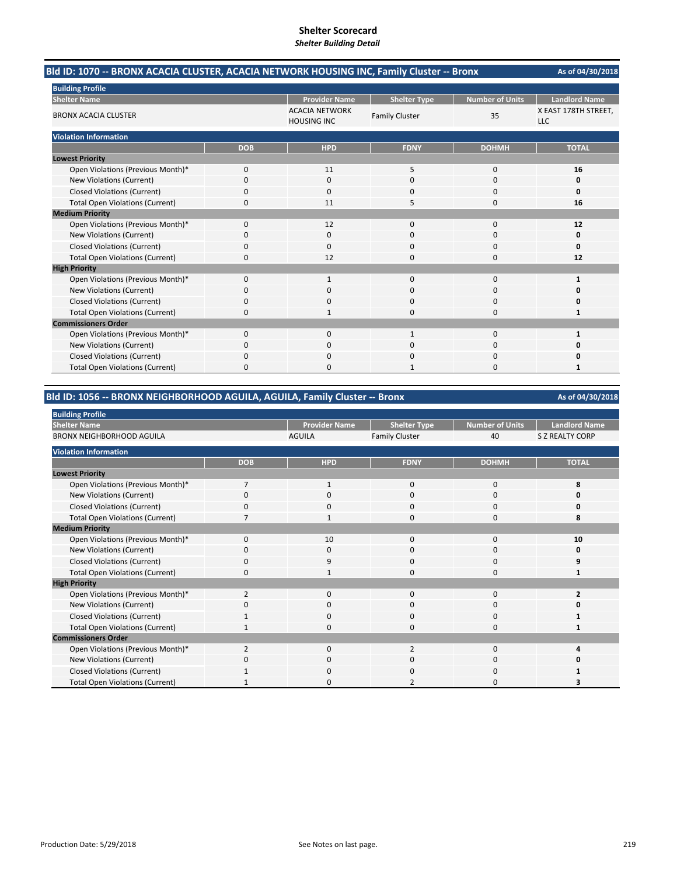| Bld ID: 1070 -- BRONX ACACIA CLUSTER, ACACIA NETWORK HOUSING INC, Family Cluster -- Bronx | As of 04/30/2018 |                                             |                       |                        |                                    |  |
|-------------------------------------------------------------------------------------------|------------------|---------------------------------------------|-----------------------|------------------------|------------------------------------|--|
| <b>Building Profile</b>                                                                   |                  |                                             |                       |                        |                                    |  |
| <b>Shelter Name</b>                                                                       |                  | <b>Provider Name</b>                        | <b>Shelter Type</b>   | <b>Number of Units</b> | <b>Landlord Name</b>               |  |
| <b>BRONX ACACIA CLUSTER</b>                                                               |                  | <b>ACACIA NETWORK</b><br><b>HOUSING INC</b> | <b>Family Cluster</b> | 35                     | X EAST 178TH STREET,<br><b>LLC</b> |  |
| <b>Violation Information</b>                                                              |                  |                                             |                       |                        |                                    |  |
|                                                                                           | <b>DOB</b>       | <b>HPD</b>                                  | <b>FDNY</b>           | <b>DOHMH</b>           | <b>TOTAL</b>                       |  |
| <b>Lowest Priority</b>                                                                    |                  |                                             |                       |                        |                                    |  |
| Open Violations (Previous Month)*                                                         | 0                | 11                                          | 5                     | $\mathbf 0$            | 16                                 |  |
| New Violations (Current)                                                                  | 0                | 0                                           | $\Omega$              | $\Omega$               | 0                                  |  |
| <b>Closed Violations (Current)</b>                                                        | 0                | 0                                           | 0                     | $\Omega$               | 0                                  |  |
| <b>Total Open Violations (Current)</b>                                                    | 0                | 11                                          | 5                     | 0                      | 16                                 |  |
| <b>Medium Priority</b>                                                                    |                  |                                             |                       |                        |                                    |  |
| Open Violations (Previous Month)*                                                         | 0                | 12                                          | $\Omega$              | $\mathbf 0$            | 12                                 |  |
| New Violations (Current)                                                                  | 0                | 0                                           | 0                     | 0                      | 0                                  |  |
| <b>Closed Violations (Current)</b>                                                        | 0                | 0                                           | $\Omega$              | $\Omega$               | 0                                  |  |
| <b>Total Open Violations (Current)</b>                                                    | $\Omega$         | 12                                          | O                     | $\Omega$               | 12                                 |  |
| <b>High Priority</b>                                                                      |                  |                                             |                       |                        |                                    |  |
| Open Violations (Previous Month)*                                                         | 0                |                                             | $\Omega$              | $\Omega$               | 1                                  |  |
| <b>New Violations (Current)</b>                                                           | 0                | 0                                           | $\Omega$              | 0                      | Ω                                  |  |
| <b>Closed Violations (Current)</b>                                                        | 0                | O.                                          | 0                     | $\Omega$               | O                                  |  |
| <b>Total Open Violations (Current)</b>                                                    | 0                | 1                                           | 0                     | $\Omega$               | 1                                  |  |
| <b>Commissioners Order</b>                                                                |                  |                                             |                       |                        |                                    |  |
| Open Violations (Previous Month)*                                                         | 0                | $\Omega$                                    | 1                     | $\Omega$               | 1                                  |  |
| <b>New Violations (Current)</b>                                                           | 0                | 0                                           | 0                     | 0                      | Ω                                  |  |
| <b>Closed Violations (Current)</b>                                                        | 0                | <sup>0</sup>                                | O                     | $\Omega$               | n                                  |  |
| <b>Total Open Violations (Current)</b>                                                    | 0                | n                                           | 1                     | n                      | 1                                  |  |

#### **Bld ID: 1056 ‐‐ BRONX NEIGHBORHOOD AGUILA, AGUILA, Family Cluster ‐‐ Bronx**

**As of 04/30/2018 Provider Name Shelter Type Number of Units Landlord Name** AGUILA Family Cluster 10 40 S Z REALTY CORP **DOB HPD FDNY DOHMH TOTAL** Open Violations (Previous Month)\* 7 1 0 0 0 8 New Violations (Current) **0** 0000 **0** 0000 **0** 0000 **0** Closed Violations (Current) 0000 **0** Total Open Violations (Current) 7100 **8100 8100 8100 8100 8100 8100 8100 8100 8100 8100 8100 8100 8100 8100 8100 8100 8100 8100 8100 8100 8100 8100 8100 8100 8100 8100 8** Open Violations (Previous Month)\* 0 10 0 0 **10** New Violations (Current) 0000 **0** Closed Violations (Current) **0**<br>
Total Open Violations (Current) **0** 9<br>
1 0 0 1 Total Open Violations (Current) 0100 **1** Open Violations (Previous Month)\* 2<br>
Open Violations (Current)<br>
Open Violations (Current)<br>
Open Violations (Current)<br>
Open Violations (Current)<br>
Open Violations (Current)<br>
Open Violations (Current) **New Violations (Current)** Closed Violations (Current) 1000 **1** 1000 **1** 1000 **1** 1000 **1** Total Open Violations (Current) **1** 1000 **1** 1000 **1** 1000 **1** 1000 **1** 1000 **1** Open Violations (Previous Month)\* 2 0 2 0 2<br>
New Violations (Current) 0 0 0 0 0 0 0 0 New Violations (Current) 0000 **0** Closed Violations (Current) 1000 **1** 1000 **1** 1000 **1** 1000 **1** Total Open Violations (Current) 1 0 3<br>
1020 **3 Building Profile Shelter Name Medium Priority High Priority Commissioners Order Violation Information Lowest Priority** BRONX NEIGHBORHOOD AGUILA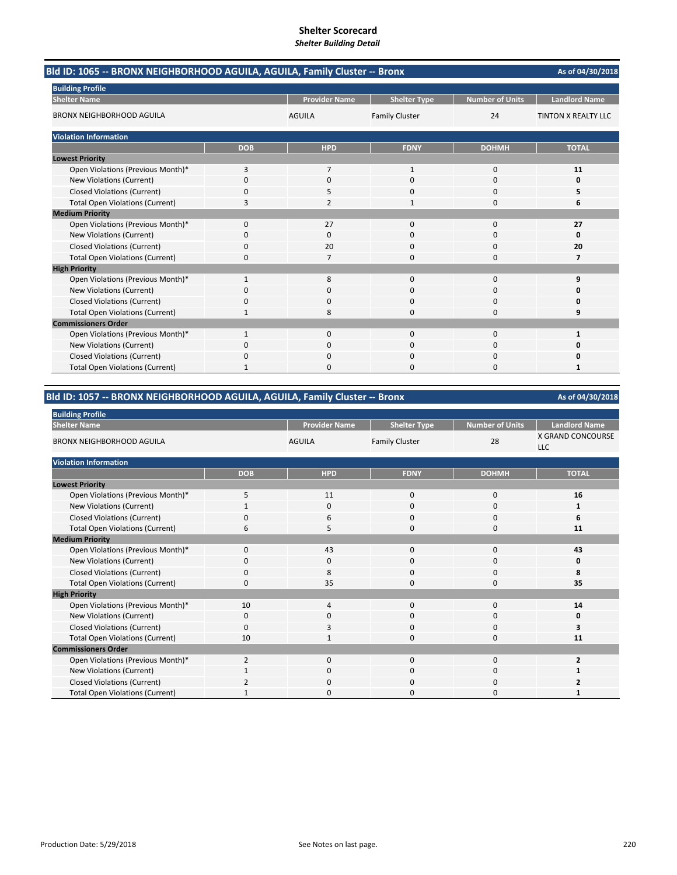| Bld ID: 1065 -- BRONX NEIGHBORHOOD AGUILA, AGUILA, Family Cluster -- Bronx<br>As of 04/30/2018 |              |                      |                       |                        |                      |
|------------------------------------------------------------------------------------------------|--------------|----------------------|-----------------------|------------------------|----------------------|
| <b>Building Profile</b>                                                                        |              |                      |                       |                        |                      |
| <b>Shelter Name</b>                                                                            |              | <b>Provider Name</b> | <b>Shelter Type</b>   | <b>Number of Units</b> | <b>Landlord Name</b> |
| <b>BRONX NEIGHBORHOOD AGUILA</b>                                                               |              | <b>AGUILA</b>        | <b>Family Cluster</b> | 24                     | TINTON X REALTY LLC  |
| <b>Violation Information</b>                                                                   |              |                      |                       |                        |                      |
|                                                                                                | <b>DOB</b>   | <b>HPD</b>           | <b>FDNY</b>           | <b>DOHMH</b>           | <b>TOTAL</b>         |
| <b>Lowest Priority</b>                                                                         |              |                      |                       |                        |                      |
| Open Violations (Previous Month)*                                                              | 3            | $\overline{7}$       | $\mathbf{1}$          | $\mathbf 0$            | 11                   |
| New Violations (Current)                                                                       | 0            | 0                    | $\Omega$              | $\Omega$               | 0                    |
| <b>Closed Violations (Current)</b>                                                             | 0            | ь                    | $\Omega$              | 0                      | 5                    |
| <b>Total Open Violations (Current)</b>                                                         | 3            | 2                    | 1                     | $\Omega$               | 6                    |
| <b>Medium Priority</b>                                                                         |              |                      |                       |                        |                      |
| Open Violations (Previous Month)*                                                              | $\Omega$     | 27                   | $\Omega$              | $\Omega$               | 27                   |
| New Violations (Current)                                                                       | 0            | 0                    | 0                     | $\Omega$               | 0                    |
| <b>Closed Violations (Current)</b>                                                             | 0            | 20                   | 0                     | 0                      | 20                   |
| <b>Total Open Violations (Current)</b>                                                         | $\Omega$     | 7                    | 0                     | $\Omega$               | 7                    |
| <b>High Priority</b>                                                                           |              |                      |                       |                        |                      |
| Open Violations (Previous Month)*                                                              | 1            | 8                    | $\Omega$              | $\Omega$               | 9                    |
| New Violations (Current)                                                                       | 0            | $\Omega$             | $\Omega$              | 0                      | O                    |
| <b>Closed Violations (Current)</b>                                                             | 0            | 0                    | 0                     | 0                      | 0                    |
| <b>Total Open Violations (Current)</b>                                                         | 1            | 8                    | $\Omega$              | 0                      | 9                    |
| <b>Commissioners Order</b>                                                                     |              |                      |                       |                        |                      |
| Open Violations (Previous Month)*                                                              | $\mathbf{1}$ | $\Omega$             | $\Omega$              | $\Omega$               | $\mathbf{1}$         |
| New Violations (Current)                                                                       | 0            | $\Omega$             | $\Omega$              | $\Omega$               | 0                    |
| <b>Closed Violations (Current)</b>                                                             | 0            | 0                    | 0                     | 0                      | 0                    |
| <b>Total Open Violations (Current)</b>                                                         |              | O                    | O                     | $\Omega$               | 1                    |

# **Bld ID: 1057 ‐‐ BRONX NEIGHBORHOOD AGUILA, AGUILA, Family Cluster ‐‐ Bronx**

| <b>Building Profile</b>                |                |                      |                       |                        |                                 |
|----------------------------------------|----------------|----------------------|-----------------------|------------------------|---------------------------------|
| <b>Shelter Name</b>                    |                | <b>Provider Name</b> | <b>Shelter Type</b>   | <b>Number of Units</b> | <b>Landlord Name</b>            |
| <b>BRONX NEIGHBORHOOD AGUILA</b>       |                | <b>AGUILA</b>        | <b>Family Cluster</b> | 28                     | X GRAND CONCOURSE<br><b>LLC</b> |
| <b>Violation Information</b>           |                |                      |                       |                        |                                 |
|                                        | <b>DOB</b>     | <b>HPD</b>           | <b>FDNY</b>           | <b>DOHMH</b>           | <b>TOTAL</b>                    |
| <b>Lowest Priority</b>                 |                |                      |                       |                        |                                 |
| Open Violations (Previous Month)*      | 5              | 11                   | 0                     | 0                      | 16                              |
| New Violations (Current)               |                | 0                    | 0                     | 0                      |                                 |
| <b>Closed Violations (Current)</b>     | $\Omega$       | 6                    | $\Omega$              | 0                      | 6                               |
| <b>Total Open Violations (Current)</b> | 6              | 5                    | $\Omega$              | 0                      | 11                              |
| <b>Medium Priority</b>                 |                |                      |                       |                        |                                 |
| Open Violations (Previous Month)*      | $\Omega$       | 43                   | $\Omega$              | 0                      | 43                              |
| New Violations (Current)               | $\Omega$       | 0                    | 0                     | 0                      | 0                               |
| <b>Closed Violations (Current)</b>     | $\Omega$       | 8                    | $\Omega$              | $\Omega$               | 8                               |
| <b>Total Open Violations (Current)</b> | $\Omega$       | 35                   | $\Omega$              | 0                      | 35                              |
| <b>High Priority</b>                   |                |                      |                       |                        |                                 |
| Open Violations (Previous Month)*      | 10             | 4                    | 0                     | 0                      | 14                              |
| New Violations (Current)               | $\mathbf 0$    | 0                    | 0                     | 0                      | 0                               |
| <b>Closed Violations (Current)</b>     | $\Omega$       | 3                    | $\Omega$              | 0                      | 3                               |
| <b>Total Open Violations (Current)</b> | 10             | 1                    | 0                     | 0                      | 11                              |
| <b>Commissioners Order</b>             |                |                      |                       |                        |                                 |
| Open Violations (Previous Month)*      | $\overline{2}$ | $\Omega$             | 0                     | 0                      | $\overline{2}$                  |
| New Violations (Current)               |                | 0                    | 0                     | 0                      |                                 |
| <b>Closed Violations (Current)</b>     | $\overline{2}$ | 0                    | 0                     | 0                      | 2                               |
| <b>Total Open Violations (Current)</b> | -1             | 0                    | O                     | 0                      |                                 |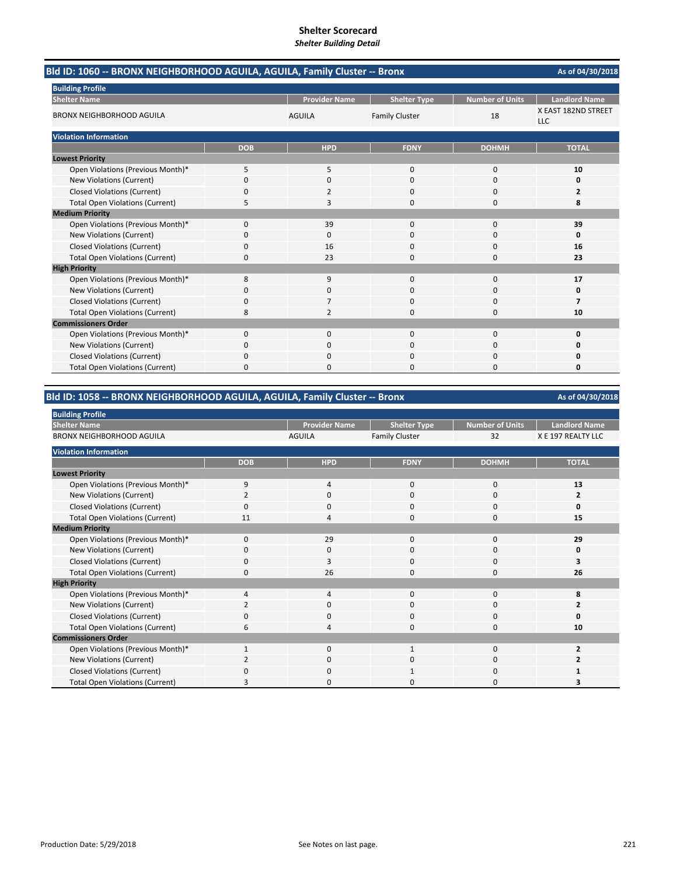| Bld ID: 1060 -- BRONX NEIGHBORHOOD AGUILA, AGUILA, Family Cluster -- Bronx<br>As of 04/30/2018 |            |                      |                       |                        |                                   |
|------------------------------------------------------------------------------------------------|------------|----------------------|-----------------------|------------------------|-----------------------------------|
| <b>Building Profile</b>                                                                        |            |                      |                       |                        |                                   |
| <b>Shelter Name</b>                                                                            |            | <b>Provider Name</b> | <b>Shelter Type</b>   | <b>Number of Units</b> | <b>Landlord Name</b>              |
| <b>BRONX NEIGHBORHOOD AGUILA</b>                                                               |            | <b>AGUILA</b>        | <b>Family Cluster</b> | 18                     | X EAST 182ND STREET<br><b>LLC</b> |
| <b>Violation Information</b>                                                                   |            |                      |                       |                        |                                   |
|                                                                                                | <b>DOB</b> | <b>HPD</b>           | <b>FDNY</b>           | <b>DOHMH</b>           | <b>TOTAL</b>                      |
| <b>Lowest Priority</b>                                                                         |            |                      |                       |                        |                                   |
| Open Violations (Previous Month)*                                                              | 5          | 5                    | $\mathbf 0$           | 0                      | 10                                |
| New Violations (Current)                                                                       | 0          | $\Omega$             | $\Omega$              | 0                      | 0                                 |
| <b>Closed Violations (Current)</b>                                                             | 0          | 2                    | 0                     | 0                      | $\overline{2}$                    |
| <b>Total Open Violations (Current)</b>                                                         | 5          | 3                    | $\Omega$              | 0                      | 8                                 |
| <b>Medium Priority</b>                                                                         |            |                      |                       |                        |                                   |
| Open Violations (Previous Month)*                                                              | $\Omega$   | 39                   | $\Omega$              | $\Omega$               | 39                                |
| New Violations (Current)                                                                       | 0          | 0                    | $\Omega$              | $\Omega$               | 0                                 |
| <b>Closed Violations (Current)</b>                                                             | 0          | 16                   | $\Omega$              | 0                      | 16                                |
| <b>Total Open Violations (Current)</b>                                                         | 0          | 23                   | $\Omega$              | $\Omega$               | 23                                |
| <b>High Priority</b>                                                                           |            |                      |                       |                        |                                   |
| Open Violations (Previous Month)*                                                              | 8          | 9                    | $\mathbf 0$           | 0                      | 17                                |
| <b>New Violations (Current)</b>                                                                | 0          | $\Omega$             | $\Omega$              | $\Omega$               | 0                                 |
| <b>Closed Violations (Current)</b>                                                             | 0          |                      | $\Omega$              | $\Omega$               | 7                                 |
| <b>Total Open Violations (Current)</b>                                                         | 8          | 2                    | $\Omega$              | $\Omega$               | 10                                |
| <b>Commissioners Order</b>                                                                     |            |                      |                       |                        |                                   |
| Open Violations (Previous Month)*                                                              | $\Omega$   | $\Omega$             | $\Omega$              | $\Omega$               | 0                                 |
| <b>New Violations (Current)</b>                                                                | 0          | 0                    | 0                     | 0                      | 0                                 |
| <b>Closed Violations (Current)</b>                                                             | 0          | $\Omega$             | $\mathbf 0$           | 0                      | 0                                 |
| <b>Total Open Violations (Current)</b>                                                         | U          |                      | ŋ                     | C                      | $\Omega$                          |

#### **Bld ID: 1058 ‐‐ BRONX NEIGHBORHOOD AGUILA, AGUILA, Family Cluster ‐‐ Bronx**

**As of 04/30/2018** Provider Name **Shelter Type** Number of Units | Landlord Name AGUILA Family Cluster 32 X E 197 REALTY LLC **DOB HPD FDNY DOHMH TOTAL** Open Violations (Previous Month)\* 9<br>
13 New Violations (Current) 2000 **2** Closed Violations (Current) **0** 0 0 0 0 0 0 0 0 0 0 15 Total Open Violations (Current) 11 4 0 0 **15** Open Violations (Previous Month)\* 0 29 0 0 **29** New Violations (Current) 0000 **0** Closed Violations (Current) **0** 3<br>
Total Open Violations (Current) 0 3<br>
26 0 0 26 **Total Open Violations (Current)** Open Violations (Previous Month)\* 4400 **8 New Violations (Current)** Closed Violations (Current) 0000 **0** Total Open Violations (Current) **6** 10<br>
10 Open Violations (Previous Month)\* 1010 **2** New Violations (Current) 2000 **2** Closed Violations (Current) 0 0 0 1 0 1 Total Open Violations (Current) **3** 0 0 0 0 3 **Commissioners Order** BRONX NEIGHBORHOOD AGUILA **Violation Information Medium Priority High Priority Lowest Priority Building Profile Shelter Name**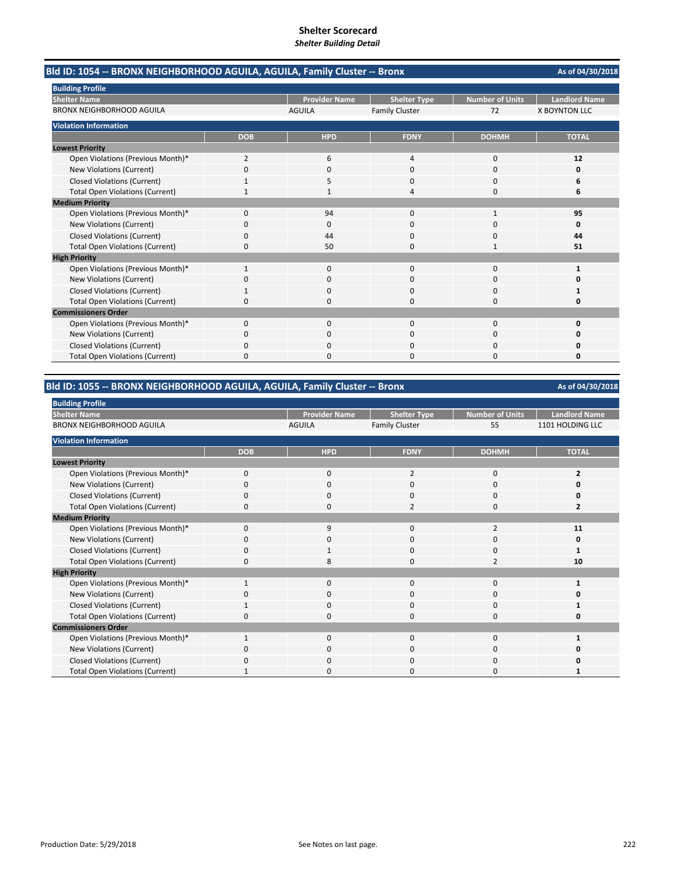**As of 04/30/2018 Provider Name | Shelter Type | Number of Units | Landlord Name** AGUILA Family Cluster 72 X BOYNTON LLC **DOB HPD FDNY DOHMH TOTAL** Open Violations (Previous Month)\* 2640 **12 New Violations (Current)** Closed Violations (Current) 1 1 5 0 0 0 6 Total Open Violations (Current) **1** 1 1 4 0 **6** Open Violations (Previous Month)\* 0 94 0 1 **95** New Violations (Current) 0000 **0** Closed Violations (Current) 0 0 44 0 0 0 44<br>
Total Open Violations (Current) 0 50 0 1 51 Total Open Violations (Current) 0 50 0 1 51 Open Violations (Previous Month)\* 1 1000 **1** 1000 **1** 1000 **1** 1000 **1** New Violations (Current) 0000 **0** Closed Violations (Current) 1000 **1** 1000 **1** 1000 **1** 1000 **1** 1000 **1** Total Open Violations (Current) 0000 **0** Open Violations (Previous Month)\* 0000 **0** New Violations (Current) 0000 **0 Closed Violations (Current)** Total Open Violations (Current) 0000 **0 Medium Priority High Priority Commissioners Order Violation Information Lowest Priority** BRONX NEIGHBORHOOD AGUILA **Bld ID: 1054 ‐‐ BRONX NEIGHBORHOOD AGUILA, AGUILA, Family Cluster ‐‐ Bronx Building Profile Shelter Name**

#### **Bld ID: 1055 ‐‐ BRONX NEIGHBORHOOD AGUILA, AGUILA, Family Cluster ‐‐ Bronx**

| <b>Building Profile</b>                |            |                      |                       |                 |                      |
|----------------------------------------|------------|----------------------|-----------------------|-----------------|----------------------|
| <b>Shelter Name</b>                    |            | <b>Provider Name</b> | <b>Shelter Type</b>   | Number of Units | <b>Landlord Name</b> |
| <b>BRONX NEIGHBORHOOD AGUILA</b>       |            | <b>AGUILA</b>        | <b>Family Cluster</b> | 55              | 1101 HOLDING LLC     |
| <b>Violation Information</b>           |            |                      |                       |                 |                      |
|                                        | <b>DOB</b> | <b>HPD</b>           | <b>FDNY</b>           | <b>DOHMH</b>    | <b>TOTAL</b>         |
| <b>Lowest Priority</b>                 |            |                      |                       |                 |                      |
| Open Violations (Previous Month)*      | 0          | $\mathbf 0$          | 2                     | 0               | $\overline{2}$       |
| New Violations (Current)               | 0          | $\mathbf 0$          | 0                     | 0               |                      |
| <b>Closed Violations (Current)</b>     | 0          | $\mathbf 0$          | 0                     | 0               |                      |
| <b>Total Open Violations (Current)</b> | $\Omega$   | $\mathbf 0$          | $\mathcal{P}$         | 0               |                      |
| <b>Medium Priority</b>                 |            |                      |                       |                 |                      |
| Open Violations (Previous Month)*      | $\Omega$   | 9                    | 0                     | $\overline{2}$  | 11                   |
| New Violations (Current)               | 0          | 0                    | 0                     | 0               | O                    |
| <b>Closed Violations (Current)</b>     | 0          | 1                    | 0                     | $\mathbf 0$     |                      |
| <b>Total Open Violations (Current)</b> | 0          | 8                    | 0                     | 2               | 10                   |
| <b>High Priority</b>                   |            |                      |                       |                 |                      |
| Open Violations (Previous Month)*      |            | 0                    | 0                     | 0               |                      |
| New Violations (Current)               | $\Omega$   | $\mathbf 0$          | $\Omega$              | 0               |                      |
| <b>Closed Violations (Current)</b>     |            | $\mathbf 0$          | 0                     | $\mathbf 0$     |                      |
| <b>Total Open Violations (Current)</b> | $\Omega$   | $\mathbf 0$          | $\Omega$              | $\mathbf 0$     |                      |
| <b>Commissioners Order</b>             |            |                      |                       |                 |                      |
| Open Violations (Previous Month)*      |            | 0                    | 0                     | 0               |                      |
| New Violations (Current)               | 0          | $\mathbf 0$          | 0                     | $\mathbf 0$     |                      |
| <b>Closed Violations (Current)</b>     | 0          | 0                    | 0                     | 0               |                      |
| <b>Total Open Violations (Current)</b> |            | 0                    | 0                     | 0               |                      |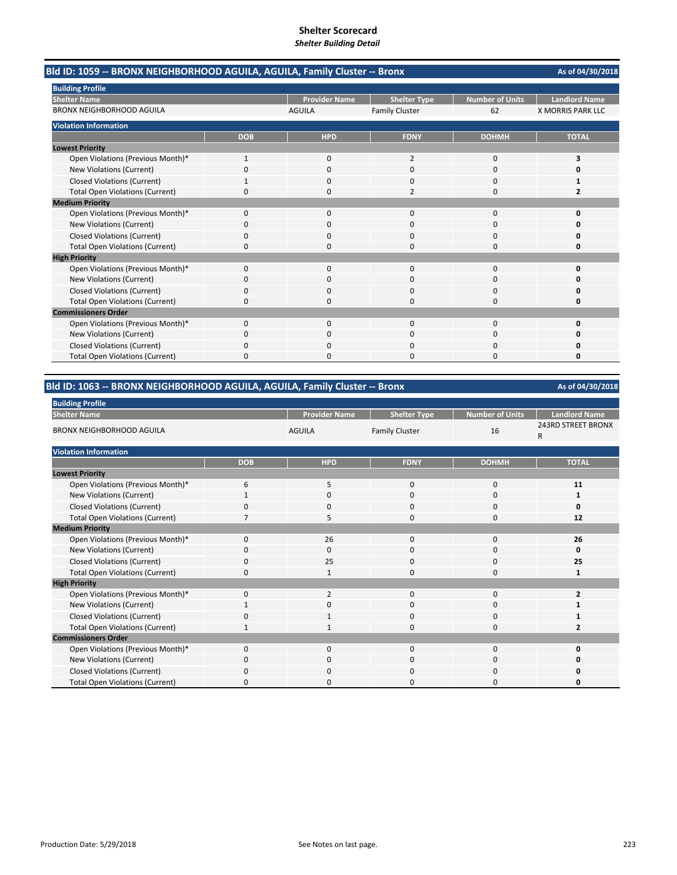**As of 04/30/2018 Provider Name | Shelter Type | Number of Units | Landlord Name** AGUILA Family Cluster 62 X MORRIS PARK LLC **DOB HPD FDNY DOHMH TOTAL** Open Violations (Previous Month)\* 1020 **3 New Violations (Current)** Closed Violations (Current) 1000 **1** 1000 **1** 1000 **1** 1000 **1** Total Open Violations (Current) **0** 0 0 2<br> **2** 0 2 Open Violations (Previous Month)\* 0000 **0** New Violations (Current) 0000 **0** Closed Violations (Current) 0000 **0** Total Open Violations (Current) 0000 **0** Open Violations (Previous Month)\* 0000 **0** New Violations (Current) 0000 **0** Closed Violations (Current) 0000 **0** Total Open Violations (Current) 0000 **0** Open Violations (Previous Month)\* 0000 **0** New Violations (Current) 0000 **0 Closed Violations (Current)** Total Open Violations (Current) 0000 **0 Shelter Name** BRONX NEIGHBORHOOD AGUILA **Bld ID: 1059 ‐‐ BRONX NEIGHBORHOOD AGUILA, AGUILA, Family Cluster ‐‐ Bronx Building Profile Violation Information Lowest Priority Medium Priority High Priority Commissioners Order**

#### **Bld ID: 1063 ‐‐ BRONX NEIGHBORHOOD AGUILA, AGUILA, Family Cluster ‐‐ Bronx**

| <b>Building Profile</b>                |            |                      |                       |                        |                                           |  |  |  |
|----------------------------------------|------------|----------------------|-----------------------|------------------------|-------------------------------------------|--|--|--|
| <b>Shelter Name</b>                    |            | <b>Provider Name</b> | <b>Shelter Type</b>   | <b>Number of Units</b> | <b>Landlord Name</b>                      |  |  |  |
| <b>BRONX NEIGHBORHOOD AGUILA</b>       |            | <b>AGUILA</b>        | <b>Family Cluster</b> | 16                     | <b>243RD STREET BRONX</b><br>$\mathsf{R}$ |  |  |  |
| <b>Violation Information</b>           |            |                      |                       |                        |                                           |  |  |  |
|                                        | <b>DOB</b> | <b>HPD</b>           | <b>FDNY</b>           | <b>DOHMH</b>           | <b>TOTAL</b>                              |  |  |  |
| <b>Lowest Priority</b>                 |            |                      |                       |                        |                                           |  |  |  |
| Open Violations (Previous Month)*      | 6          | 5                    | $\mathbf 0$           | 0                      | 11                                        |  |  |  |
| New Violations (Current)               |            | 0                    | 0                     | 0                      |                                           |  |  |  |
| <b>Closed Violations (Current)</b>     | 0          | 0                    | $\mathbf 0$           | 0                      | $\Omega$                                  |  |  |  |
| <b>Total Open Violations (Current)</b> | 7          | 5                    | $\Omega$              | 0                      | 12                                        |  |  |  |
| <b>Medium Priority</b>                 |            |                      |                       |                        |                                           |  |  |  |
| Open Violations (Previous Month)*      | $\Omega$   | 26                   | 0                     | 0                      | 26                                        |  |  |  |
| New Violations (Current)               | O          | 0                    | 0                     | 0                      | 0                                         |  |  |  |
| <b>Closed Violations (Current)</b>     | 0          | 25                   | 0                     | 0                      | 25                                        |  |  |  |
| <b>Total Open Violations (Current)</b> | 0          | 1                    | 0                     | 0                      | 1                                         |  |  |  |
| <b>High Priority</b>                   |            |                      |                       |                        |                                           |  |  |  |
| Open Violations (Previous Month)*      | $\Omega$   | $\overline{2}$       | $\Omega$              | 0                      | $\overline{\mathbf{z}}$                   |  |  |  |
| New Violations (Current)               | 1          | 0                    | 0                     | 0                      |                                           |  |  |  |
| <b>Closed Violations (Current)</b>     | 0          |                      | $\mathbf 0$           | 0                      |                                           |  |  |  |
| <b>Total Open Violations (Current)</b> | 1          | 1                    | 0                     | 0                      | 2                                         |  |  |  |
| <b>Commissioners Order</b>             |            |                      |                       |                        |                                           |  |  |  |
| Open Violations (Previous Month)*      | $\Omega$   | $\mathbf 0$          | $\mathbf 0$           | 0                      | Ω                                         |  |  |  |
| New Violations (Current)               | 0          | 0                    | 0                     | 0                      | O                                         |  |  |  |
| <b>Closed Violations (Current)</b>     | O          | 0                    | 0                     | 0                      | 0                                         |  |  |  |
| <b>Total Open Violations (Current)</b> | 0          | 0                    | 0                     | 0                      | O                                         |  |  |  |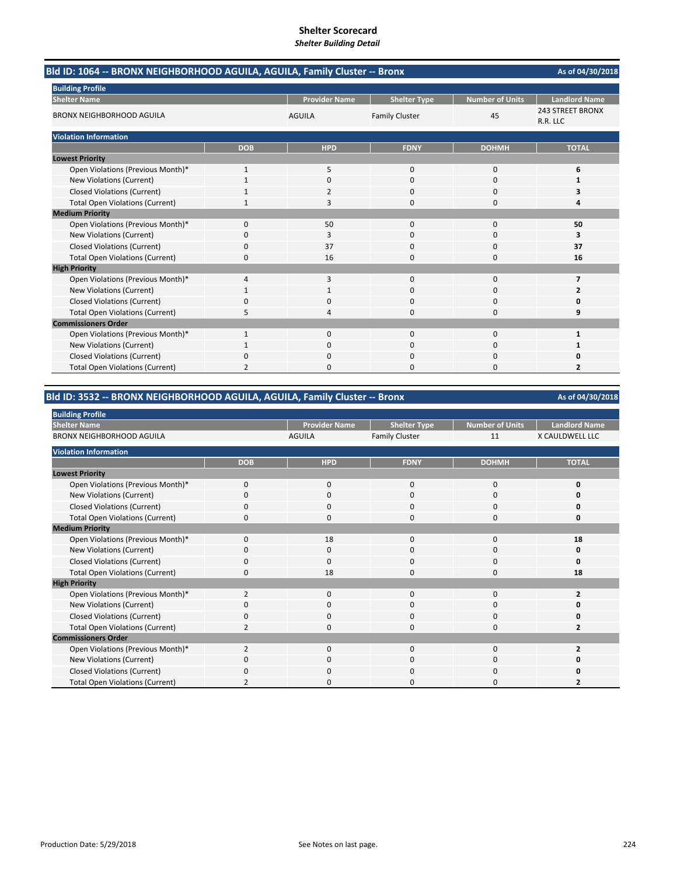| Bld ID: 1064 -- BRONX NEIGHBORHOOD AGUILA, AGUILA, Family Cluster -- Bronx<br>As of 04/30/2018 |                |                      |                       |                        |                                     |  |
|------------------------------------------------------------------------------------------------|----------------|----------------------|-----------------------|------------------------|-------------------------------------|--|
| <b>Building Profile</b>                                                                        |                |                      |                       |                        |                                     |  |
| <b>Shelter Name</b>                                                                            |                | <b>Provider Name</b> | <b>Shelter Type</b>   | <b>Number of Units</b> | <b>Landlord Name</b>                |  |
| <b>BRONX NEIGHBORHOOD AGUILA</b>                                                               |                | <b>AGUILA</b>        | <b>Family Cluster</b> | 45                     | <b>243 STREET BRONX</b><br>R.R. LLC |  |
| <b>Violation Information</b>                                                                   |                |                      |                       |                        |                                     |  |
|                                                                                                | <b>DOB</b>     | <b>HPD</b>           | <b>FDNY</b>           | <b>DOHMH</b>           | <b>TOTAL</b>                        |  |
| <b>Lowest Priority</b>                                                                         |                |                      |                       |                        |                                     |  |
| Open Violations (Previous Month)*                                                              | 1              | 5                    | $\mathbf 0$           | $\mathbf 0$            | 6                                   |  |
| New Violations (Current)                                                                       |                | 0                    | $\Omega$              | $\Omega$               | 1                                   |  |
| <b>Closed Violations (Current)</b>                                                             |                | 2                    | 0                     | 0                      | 3                                   |  |
| <b>Total Open Violations (Current)</b>                                                         |                | 3                    | $\Omega$              | $\Omega$               | 4                                   |  |
| <b>Medium Priority</b>                                                                         |                |                      |                       |                        |                                     |  |
| Open Violations (Previous Month)*                                                              | $\Omega$       | 50                   | $\Omega$              | $\Omega$               | 50                                  |  |
| New Violations (Current)                                                                       | 0              | 3                    | $\Omega$              | $\Omega$               | 3                                   |  |
| <b>Closed Violations (Current)</b>                                                             | 0              | 37                   | $\Omega$              | $\Omega$               | 37                                  |  |
| <b>Total Open Violations (Current)</b>                                                         | $\Omega$       | 16                   | $\Omega$              | $\Omega$               | 16                                  |  |
| <b>High Priority</b>                                                                           |                |                      |                       |                        |                                     |  |
| Open Violations (Previous Month)*                                                              | 4              | 3                    | $\mathbf 0$           | $\mathbf 0$            | $\overline{7}$                      |  |
| New Violations (Current)                                                                       |                |                      | $\Omega$              | $\Omega$               | 2                                   |  |
| <b>Closed Violations (Current)</b>                                                             | ŋ              | 0                    | $\Omega$              | $\Omega$               | 0                                   |  |
| <b>Total Open Violations (Current)</b>                                                         | 5              | 4                    | $\Omega$              | $\Omega$               | 9                                   |  |
| <b>Commissioners Order</b>                                                                     |                |                      |                       |                        |                                     |  |
| Open Violations (Previous Month)*                                                              | $\mathbf{1}$   | $\Omega$             | $\Omega$              | $\Omega$               | 1                                   |  |
| New Violations (Current)                                                                       |                | 0                    | 0                     | 0                      | 1                                   |  |
| <b>Closed Violations (Current)</b>                                                             | 0              | $\Omega$             | $\Omega$              | $\Omega$               | Ω                                   |  |
| <b>Total Open Violations (Current)</b>                                                         | $\mathfrak{p}$ | n                    | U                     | n                      | 2                                   |  |

# **Bld ID: 3532 ‐‐ BRONX NEIGHBORHOOD AGUILA, AGUILA, Family Cluster ‐‐ Bronx**

| <b>Building Profile</b>                |                         |                      |                       |                        |                        |
|----------------------------------------|-------------------------|----------------------|-----------------------|------------------------|------------------------|
| <b>Shelter Name</b>                    |                         | <b>Provider Name</b> | <b>Shelter Type</b>   | <b>Number of Units</b> | <b>Landlord Name</b>   |
| <b>BRONX NEIGHBORHOOD AGUILA</b>       |                         | <b>AGUILA</b>        | <b>Family Cluster</b> | 11                     | <b>X CAULDWELL LLC</b> |
| <b>Violation Information</b>           |                         |                      |                       |                        |                        |
|                                        | <b>DOB</b>              | <b>HPD</b>           | <b>FDNY</b>           | <b>DOHMH</b>           | <b>TOTAL</b>           |
| <b>Lowest Priority</b>                 |                         |                      |                       |                        |                        |
| Open Violations (Previous Month)*      | $\Omega$                | $\Omega$             | $\Omega$              | 0                      | 0                      |
| New Violations (Current)               | 0                       | 0                    | 0                     | 0                      | Ω                      |
| <b>Closed Violations (Current)</b>     | O                       | 0                    | O                     | 0                      | 0                      |
| <b>Total Open Violations (Current)</b> | 0                       | 0                    | 0                     | 0                      | 0                      |
| <b>Medium Priority</b>                 |                         |                      |                       |                        |                        |
| Open Violations (Previous Month)*      | 0                       | 18                   | 0                     | 0                      | 18                     |
| New Violations (Current)               | $\Omega$                | $\Omega$             | $\Omega$              | $\Omega$               | 0                      |
| <b>Closed Violations (Current)</b>     | $\Omega$                | $\Omega$             | 0                     | 0                      | $\Omega$               |
| <b>Total Open Violations (Current)</b> | $\Omega$                | 18                   | $\Omega$              | 0                      | 18                     |
| <b>High Priority</b>                   |                         |                      |                       |                        |                        |
| Open Violations (Previous Month)*      | $\overline{2}$          | 0                    | $\Omega$              | 0                      | 2                      |
| New Violations (Current)               | O                       | 0                    | 0                     | 0                      | n                      |
| <b>Closed Violations (Current)</b>     | $\Omega$                | $\Omega$             | $\Omega$              | 0                      | U                      |
| <b>Total Open Violations (Current)</b> | $\overline{2}$          | O                    | O                     | 0                      | 2                      |
| <b>Commissioners Order</b>             |                         |                      |                       |                        |                        |
| Open Violations (Previous Month)*      | $\overline{\mathbf{c}}$ | $\Omega$             | $\Omega$              | 0                      |                        |
| New Violations (Current)               | O                       | 0                    | U                     | 0                      | Ω                      |
| <b>Closed Violations (Current)</b>     | 0                       | 0                    | 0                     | 0                      | n                      |
| <b>Total Open Violations (Current)</b> |                         | O                    | C                     | 0                      | 2                      |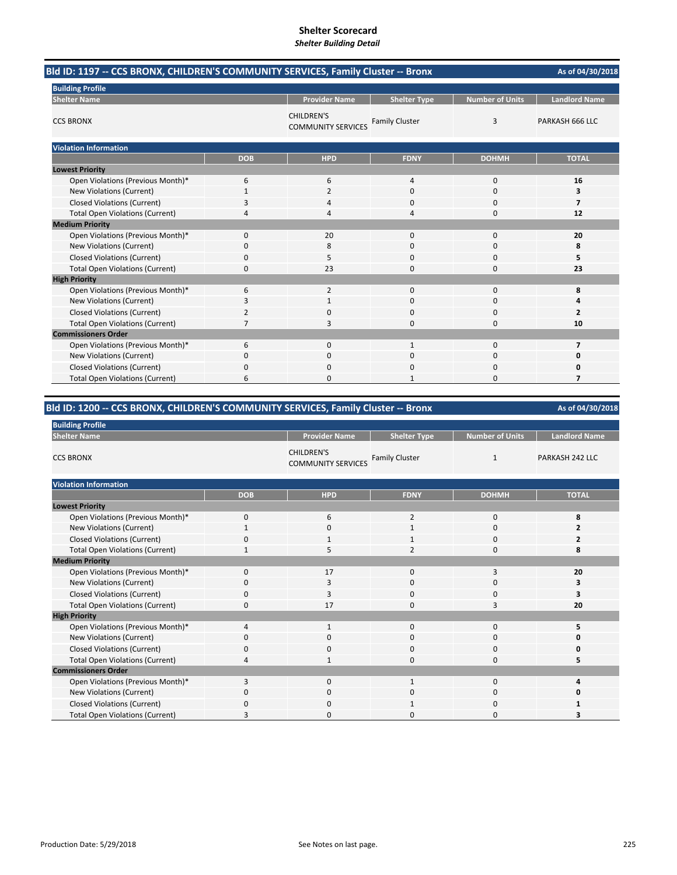| Bld ID: 1197 -- CCS BRONX, CHILDREN'S COMMUNITY SERVICES, Family Cluster -- Bronx |            |                                                |                       |                        | As of 04/30/2018        |
|-----------------------------------------------------------------------------------|------------|------------------------------------------------|-----------------------|------------------------|-------------------------|
| <b>Building Profile</b>                                                           |            |                                                |                       |                        |                         |
| <b>Shelter Name</b>                                                               |            | <b>Provider Name</b>                           | <b>Shelter Type</b>   | <b>Number of Units</b> | <b>Landlord Name</b>    |
| <b>CCS BRONX</b>                                                                  |            | <b>CHILDREN'S</b><br><b>COMMUNITY SERVICES</b> | <b>Family Cluster</b> | 3                      | PARKASH 666 LLC         |
| <b>Violation Information</b>                                                      |            |                                                |                       |                        |                         |
|                                                                                   | <b>DOB</b> | <b>HPD</b>                                     | <b>FDNY</b>           | <b>DOHMH</b>           | <b>TOTAL</b>            |
| <b>Lowest Priority</b>                                                            |            |                                                |                       |                        |                         |
| Open Violations (Previous Month)*                                                 | 6          | 6                                              | 4                     | $\mathbf 0$            | 16                      |
| New Violations (Current)                                                          | 1          | $\overline{2}$                                 | 0                     | $\mathbf 0$            | 3                       |
| <b>Closed Violations (Current)</b>                                                | 3          | 4                                              | $\Omega$              | $\Omega$               | 7                       |
| <b>Total Open Violations (Current)</b>                                            | 4          | 4                                              | 4                     | $\Omega$               | 12                      |
| <b>Medium Priority</b>                                                            |            |                                                |                       |                        |                         |
| Open Violations (Previous Month)*                                                 | 0          | 20                                             | 0                     | $\mathbf 0$            | 20                      |
| New Violations (Current)                                                          | 0          | 8                                              | $\Omega$              | $\Omega$               | 8                       |
| <b>Closed Violations (Current)</b>                                                | 0          | 5                                              | 0                     | 0                      | 5                       |
| <b>Total Open Violations (Current)</b>                                            | 0          | 23                                             | 0                     | 0                      | 23                      |
| <b>High Priority</b>                                                              |            |                                                |                       |                        |                         |
| Open Violations (Previous Month)*                                                 | 6          | $\overline{2}$                                 | 0                     | 0                      | 8                       |
| New Violations (Current)                                                          | 3          |                                                | 0                     | 0                      |                         |
| <b>Closed Violations (Current)</b>                                                | 2          | 0                                              | $\Omega$              | 0                      | $\overline{\mathbf{z}}$ |
| <b>Total Open Violations (Current)</b>                                            | 7          | 3                                              | 0                     | $\Omega$               | 10                      |
| <b>Commissioners Order</b>                                                        |            |                                                |                       |                        |                         |
| Open Violations (Previous Month)*                                                 | 6          | 0                                              | $\mathbf{1}$          | $\mathbf 0$            | 7                       |
| New Violations (Current)                                                          | 0          | 0                                              | $\Omega$              | $\mathbf 0$            | 0                       |
| <b>Closed Violations (Current)</b>                                                | 0          | 0                                              | 0                     | 0                      | Ω                       |
| <b>Total Open Violations (Current)</b>                                            | 6          | 0                                              |                       | $\Omega$               | 7                       |

# **Bld ID: 1200 ‐‐ CCS BRONX, CHILDREN'S COMMUNITY SERVICES, Family Cluster ‐‐ Bronx**

| <b>Building Profile</b>                |              |                                                |                       |                        |                      |  |  |
|----------------------------------------|--------------|------------------------------------------------|-----------------------|------------------------|----------------------|--|--|
| <b>Shelter Name</b>                    |              | <b>Provider Name</b>                           | <b>Shelter Type</b>   | <b>Number of Units</b> | <b>Landlord Name</b> |  |  |
| <b>CCS BRONX</b>                       |              | <b>CHILDREN'S</b><br><b>COMMUNITY SERVICES</b> | <b>Family Cluster</b> | $\mathbf{1}$           | PARKASH 242 LLC      |  |  |
| <b>Violation Information</b>           |              |                                                |                       |                        |                      |  |  |
|                                        | <b>DOB</b>   | <b>HPD</b>                                     | <b>FDNY</b>           | <b>DOHMH</b>           | <b>TOTAL</b>         |  |  |
| <b>Lowest Priority</b>                 |              |                                                |                       |                        |                      |  |  |
| Open Violations (Previous Month)*      | $\mathbf 0$  | 6                                              | $\overline{2}$        | $\mathbf 0$            | 8                    |  |  |
| New Violations (Current)               | $\mathbf{1}$ | $\mathbf 0$                                    | $\mathbf{1}$          | $\mathbf 0$            | $\overline{2}$       |  |  |
| <b>Closed Violations (Current)</b>     | 0            | 1                                              |                       | 0                      | $\overline{2}$       |  |  |
| <b>Total Open Violations (Current)</b> | $\mathbf{1}$ | 5                                              | $\overline{2}$        | 0                      | 8                    |  |  |
| <b>Medium Priority</b>                 |              |                                                |                       |                        |                      |  |  |
| Open Violations (Previous Month)*      | $\mathbf{0}$ | 17                                             | 0                     | 3                      | 20                   |  |  |
| New Violations (Current)               | 0            | 3                                              | 0                     | 0                      | 3                    |  |  |
| <b>Closed Violations (Current)</b>     | 0            | 3                                              | 0                     | 0                      | 3                    |  |  |
| <b>Total Open Violations (Current)</b> | 0            | 17                                             | $\Omega$              | 3                      | 20                   |  |  |
| <b>High Priority</b>                   |              |                                                |                       |                        |                      |  |  |
| Open Violations (Previous Month)*      | 4            | $\mathbf{1}$                                   | 0                     | $\mathbf 0$            | 5                    |  |  |
| New Violations (Current)               | 0            | 0                                              | 0                     | 0                      | 0                    |  |  |
| <b>Closed Violations (Current)</b>     | 0            | $\mathbf 0$                                    | 0                     | 0                      | 0                    |  |  |
| <b>Total Open Violations (Current)</b> | 4            | $\mathbf{1}$                                   | 0                     | $\mathbf 0$            | 5                    |  |  |
| <b>Commissioners Order</b>             |              |                                                |                       |                        |                      |  |  |
| Open Violations (Previous Month)*      | 3            | $\mathbf{0}$                                   | $\mathbf{1}$          | $\mathbf 0$            | 4                    |  |  |
| New Violations (Current)               | 0            | $\mathbf 0$                                    | 0                     | 0                      | 0                    |  |  |
| <b>Closed Violations (Current)</b>     | 0            | $\mathbf 0$                                    | 1                     | 0                      |                      |  |  |
| <b>Total Open Violations (Current)</b> | 3            | $\Omega$                                       | 0                     | 0                      | 3                    |  |  |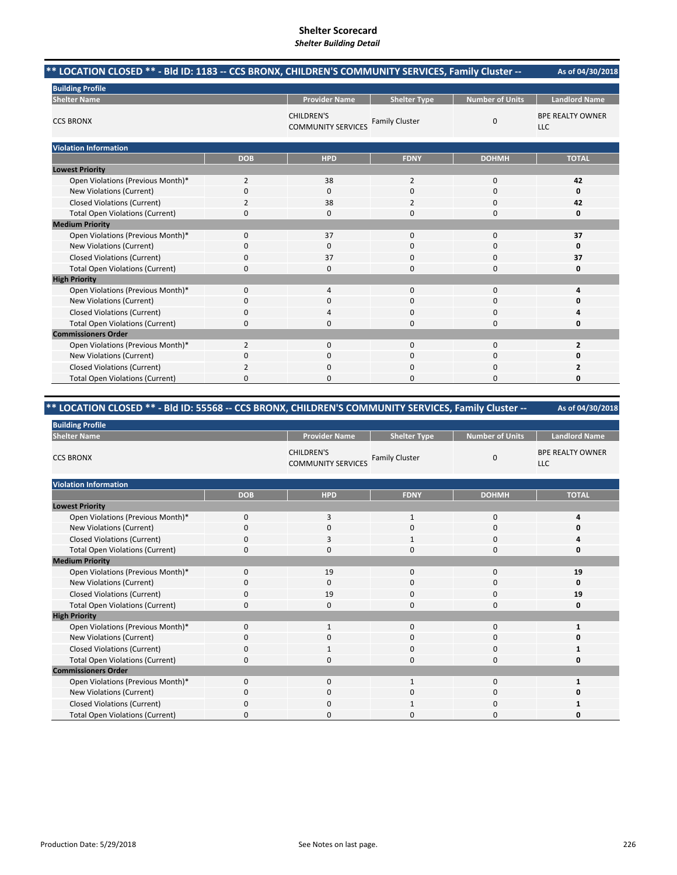| ** LOCATION CLOSED ** - Bld ID: 1183 -- CCS BRONX, CHILDREN'S COMMUNITY SERVICES, Family Cluster -- |                |                                                |                       |                        | As of 04/30/2018                      |
|-----------------------------------------------------------------------------------------------------|----------------|------------------------------------------------|-----------------------|------------------------|---------------------------------------|
| <b>Building Profile</b>                                                                             |                |                                                |                       |                        |                                       |
| <b>Shelter Name</b>                                                                                 |                | <b>Provider Name</b>                           | <b>Shelter Type</b>   | <b>Number of Units</b> | <b>Landlord Name</b>                  |
| <b>CCS BRONX</b>                                                                                    |                | <b>CHILDREN'S</b><br><b>COMMUNITY SERVICES</b> | <b>Family Cluster</b> | $\mathbf 0$            | <b>BPE REALTY OWNER</b><br><b>LLC</b> |
| <b>Violation Information</b>                                                                        |                |                                                |                       |                        |                                       |
|                                                                                                     | <b>DOB</b>     | <b>HPD</b>                                     | <b>FDNY</b>           | <b>DOHMH</b>           | <b>TOTAL</b>                          |
| <b>Lowest Priority</b>                                                                              |                |                                                |                       |                        |                                       |
| Open Violations (Previous Month)*                                                                   | $\overline{2}$ | 38                                             | 2                     | $\mathbf 0$            | 42                                    |
| New Violations (Current)                                                                            | 0              | 0                                              | 0                     | $\mathbf 0$            | 0                                     |
| <b>Closed Violations (Current)</b>                                                                  | $\overline{2}$ | 38                                             | 2                     | 0                      | 42                                    |
| <b>Total Open Violations (Current)</b>                                                              | 0              | 0                                              | 0                     | $\Omega$               | 0                                     |
| <b>Medium Priority</b>                                                                              |                |                                                |                       |                        |                                       |
| Open Violations (Previous Month)*                                                                   | 0              | 37                                             | $\mathbf{0}$          | $\mathbf 0$            | 37                                    |
| New Violations (Current)                                                                            | 0              | 0                                              | $\Omega$              | $\Omega$               | 0                                     |
| <b>Closed Violations (Current)</b>                                                                  | 0              | 37                                             | 0                     | 0                      | 37                                    |
| <b>Total Open Violations (Current)</b>                                                              | 0              | 0                                              | 0                     | $\Omega$               | 0                                     |
| <b>High Priority</b>                                                                                |                |                                                |                       |                        |                                       |
| Open Violations (Previous Month)*                                                                   | 0              | 4                                              | $\Omega$              | $\mathbf 0$            | 4                                     |
| New Violations (Current)                                                                            | 0              | 0                                              | 0                     | 0                      | 0                                     |
| <b>Closed Violations (Current)</b>                                                                  | 0              | 4                                              | $\Omega$              | 0                      | Δ                                     |
| <b>Total Open Violations (Current)</b>                                                              | 0              | 0                                              | $\Omega$              | 0                      | 0                                     |
| <b>Commissioners Order</b>                                                                          |                |                                                |                       |                        |                                       |
| Open Violations (Previous Month)*                                                                   | $\overline{2}$ | 0                                              | $\Omega$              | $\mathbf 0$            | 2                                     |
| New Violations (Current)                                                                            | 0              | 0                                              | $\Omega$              | 0                      | 0                                     |
| <b>Closed Violations (Current)</b>                                                                  | 2              | $\Omega$                                       | $\Omega$              | $\Omega$               | 2                                     |
| <b>Total Open Violations (Current)</b>                                                              | $\Omega$       | <sup>0</sup>                                   | O                     | $\Omega$               | 0                                     |

# **\*\* LOCATION CLOSED \*\* ‐ Bld ID: 55568 ‐‐ CCS BRONX, CHILDREN'S COMMUNITY SERVICES, Family Cluster ‐‐**

| <b>Building Profile</b>                |              |                                                |                       |                        |                                |  |  |
|----------------------------------------|--------------|------------------------------------------------|-----------------------|------------------------|--------------------------------|--|--|
| <b>Shelter Name</b>                    |              | <b>Provider Name</b>                           | <b>Shelter Type</b>   | <b>Number of Units</b> | <b>Landlord Name</b>           |  |  |
| <b>CCS BRONX</b>                       |              | <b>CHILDREN'S</b><br><b>COMMUNITY SERVICES</b> | <b>Family Cluster</b> | $\mathbf 0$            | <b>BPE REALTY OWNER</b><br>LLC |  |  |
| <b>Violation Information</b>           |              |                                                |                       |                        |                                |  |  |
|                                        | <b>DOB</b>   | <b>HPD</b>                                     | <b>FDNY</b>           | <b>DOHMH</b>           | <b>TOTAL</b>                   |  |  |
| <b>Lowest Priority</b>                 |              |                                                |                       |                        |                                |  |  |
| Open Violations (Previous Month)*      | $\Omega$     | 3                                              | $\mathbf{1}$          | $\mathbf 0$            | 4                              |  |  |
| New Violations (Current)               | $\Omega$     | 0                                              | 0                     | 0                      | 0                              |  |  |
| <b>Closed Violations (Current)</b>     | $\Omega$     | 3                                              | 1                     | $\mathbf 0$            |                                |  |  |
| <b>Total Open Violations (Current)</b> | $\Omega$     | $\Omega$                                       | $\Omega$              | $\Omega$               | 0                              |  |  |
| <b>Medium Priority</b>                 |              |                                                |                       |                        |                                |  |  |
| Open Violations (Previous Month)*      | $\Omega$     | 19                                             | $\Omega$              | $\mathbf 0$            | 19                             |  |  |
| New Violations (Current)               | $\Omega$     | $\mathbf 0$                                    | 0                     | $\mathbf 0$            | 0                              |  |  |
| <b>Closed Violations (Current)</b>     | $\Omega$     | 19                                             | $\Omega$              | $\mathbf 0$            | 19                             |  |  |
| <b>Total Open Violations (Current)</b> | $\Omega$     | $\mathbf 0$                                    | $\Omega$              | $\mathbf 0$            | 0                              |  |  |
| <b>High Priority</b>                   |              |                                                |                       |                        |                                |  |  |
| Open Violations (Previous Month)*      | $\Omega$     | $\mathbf{1}$                                   | $\Omega$              | $\Omega$               | $\mathbf{1}$                   |  |  |
| New Violations (Current)               | $\Omega$     | $\Omega$                                       | $\Omega$              | $\mathbf 0$            | 0                              |  |  |
| <b>Closed Violations (Current)</b>     | <sup>0</sup> | -1                                             | 0                     | 0                      | 1                              |  |  |
| <b>Total Open Violations (Current)</b> | $\Omega$     | $\mathbf 0$                                    | 0                     | $\mathbf 0$            | 0                              |  |  |
| <b>Commissioners Order</b>             |              |                                                |                       |                        |                                |  |  |
| Open Violations (Previous Month)*      | $\Omega$     | $\Omega$                                       | $\mathbf{1}$          | $\mathbf 0$            | 1                              |  |  |
| New Violations (Current)               | $\Omega$     | $\mathbf 0$                                    | 0                     | 0                      | 0                              |  |  |
| <b>Closed Violations (Current)</b>     | U            | $\Omega$                                       | 1                     | 0                      |                                |  |  |
| <b>Total Open Violations (Current)</b> | U            | 0                                              | U                     | 0                      | 0                              |  |  |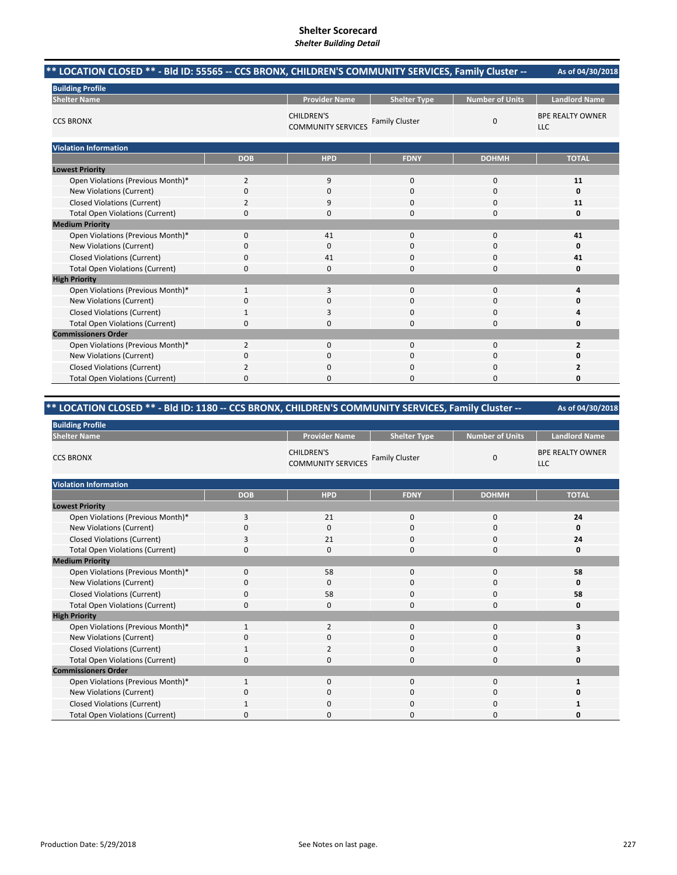| ** LOCATION CLOSED ** - Bld ID: 55565 -- CCS BRONX, CHILDREN'S COMMUNITY SERVICES, Family Cluster -- |                |                                                |                       |                        | As of 04/30/2018                      |
|------------------------------------------------------------------------------------------------------|----------------|------------------------------------------------|-----------------------|------------------------|---------------------------------------|
| <b>Building Profile</b>                                                                              |                |                                                |                       |                        |                                       |
| <b>Shelter Name</b>                                                                                  |                | <b>Provider Name</b>                           | <b>Shelter Type</b>   | <b>Number of Units</b> | <b>Landlord Name</b>                  |
| <b>CCS BRONX</b>                                                                                     |                | <b>CHILDREN'S</b><br><b>COMMUNITY SERVICES</b> | <b>Family Cluster</b> | $\mathbf 0$            | <b>BPE REALTY OWNER</b><br><b>LLC</b> |
| <b>Violation Information</b>                                                                         |                |                                                |                       |                        |                                       |
|                                                                                                      | <b>DOB</b>     | <b>HPD</b>                                     | <b>FDNY</b>           | <b>DOHMH</b>           | <b>TOTAL</b>                          |
| <b>Lowest Priority</b>                                                                               |                |                                                |                       |                        |                                       |
| Open Violations (Previous Month)*                                                                    | $\overline{2}$ | 9                                              | $\Omega$              | $\mathbf 0$            | 11                                    |
| New Violations (Current)                                                                             | 0              | 0                                              | $\Omega$              | 0                      | 0                                     |
| <b>Closed Violations (Current)</b>                                                                   | $\overline{2}$ | 9                                              | $\Omega$              | $\Omega$               | 11                                    |
| <b>Total Open Violations (Current)</b>                                                               | $\Omega$       | <sup>0</sup>                                   | $\Omega$              | $\Omega$               | 0                                     |
| <b>Medium Priority</b>                                                                               |                |                                                |                       |                        |                                       |
| Open Violations (Previous Month)*                                                                    | $\Omega$       | 41                                             | $\Omega$              | $\Omega$               | 41                                    |
| New Violations (Current)                                                                             | 0              | 0                                              | $\Omega$              | $\Omega$               | 0                                     |
| <b>Closed Violations (Current)</b>                                                                   | 0              | 41                                             | $\Omega$              | $\Omega$               | 41                                    |
| <b>Total Open Violations (Current)</b>                                                               | 0              | 0                                              | 0                     | $\Omega$               | 0                                     |
| <b>High Priority</b>                                                                                 |                |                                                |                       |                        |                                       |
| Open Violations (Previous Month)*                                                                    | 1              | 3                                              | $\Omega$              | $\mathbf 0$            | 4                                     |
| <b>New Violations (Current)</b>                                                                      | $\Omega$       | $\Omega$                                       | $\Omega$              | $\Omega$               | O                                     |
| <b>Closed Violations (Current)</b>                                                                   | 1              | 3                                              | $\Omega$              | $\Omega$               | 4                                     |
| <b>Total Open Violations (Current)</b>                                                               | 0              | 0                                              | $\Omega$              | $\mathbf 0$            | 0                                     |
| <b>Commissioners Order</b>                                                                           |                |                                                |                       |                        |                                       |
| Open Violations (Previous Month)*                                                                    | $\overline{2}$ | $\Omega$                                       | $\Omega$              | $\Omega$               | $\overline{2}$                        |
| New Violations (Current)                                                                             | 0              | 0                                              | $\Omega$              | $\Omega$               | 0                                     |
| <b>Closed Violations (Current)</b>                                                                   | 2              | 0                                              | 0                     | $\mathbf 0$            | 2                                     |
| <b>Total Open Violations (Current)</b>                                                               | $\Omega$       | $\Omega$                                       | 0                     | $\Omega$               | 0                                     |

# **\*\* LOCATION CLOSED \*\* ‐ Bld ID: 1180 ‐‐ CCS BRONX, CHILDREN'S COMMUNITY SERVICES, Family Cluster ‐‐**

| <b>Building Profile</b>                |              |                                                |                       |                        |                                       |  |  |
|----------------------------------------|--------------|------------------------------------------------|-----------------------|------------------------|---------------------------------------|--|--|
| <b>Shelter Name</b>                    |              | <b>Provider Name</b>                           | <b>Shelter Type</b>   | <b>Number of Units</b> | <b>Landlord Name</b>                  |  |  |
| <b>CCS BRONX</b>                       |              | <b>CHILDREN'S</b><br><b>COMMUNITY SERVICES</b> | <b>Family Cluster</b> | 0                      | <b>BPE REALTY OWNER</b><br><b>LLC</b> |  |  |
| <b>Violation Information</b>           |              |                                                |                       |                        |                                       |  |  |
|                                        | <b>DOB</b>   | <b>HPD</b>                                     | <b>FDNY</b>           | <b>DOHMH</b>           | <b>TOTAL</b>                          |  |  |
| <b>Lowest Priority</b>                 |              |                                                |                       |                        |                                       |  |  |
| Open Violations (Previous Month)*      | 3            | 21                                             | 0                     | $\mathbf 0$            | 24                                    |  |  |
| New Violations (Current)               | O            | $\Omega$                                       | 0                     | 0                      | 0                                     |  |  |
| <b>Closed Violations (Current)</b>     | 3            | 21                                             | 0                     | 0                      | 24                                    |  |  |
| <b>Total Open Violations (Current)</b> | $\Omega$     | $\Omega$                                       | 0                     | $\mathbf 0$            | 0                                     |  |  |
| <b>Medium Priority</b>                 |              |                                                |                       |                        |                                       |  |  |
| Open Violations (Previous Month)*      | $\mathbf 0$  | 58                                             | 0                     | 0                      | 58                                    |  |  |
| New Violations (Current)               | $\Omega$     | $\Omega$                                       | 0                     | 0                      | 0                                     |  |  |
| <b>Closed Violations (Current)</b>     | $\Omega$     | 58                                             | 0                     | $\mathbf 0$            | 58                                    |  |  |
| <b>Total Open Violations (Current)</b> | $\mathbf 0$  | $\mathbf 0$                                    | 0                     | $\mathbf 0$            | Ω                                     |  |  |
| <b>High Priority</b>                   |              |                                                |                       |                        |                                       |  |  |
| Open Violations (Previous Month)*      | $\mathbf{1}$ | $\overline{2}$                                 | 0                     | $\mathbf 0$            | 3                                     |  |  |
| New Violations (Current)               | $\Omega$     | $\mathbf 0$                                    | 0                     | $\mathbf 0$            |                                       |  |  |
| <b>Closed Violations (Current)</b>     |              | 2                                              | 0                     | $\mathbf 0$            | з                                     |  |  |
| <b>Total Open Violations (Current)</b> | $\Omega$     | $\mathbf 0$                                    | 0                     | $\mathbf 0$            |                                       |  |  |
| <b>Commissioners Order</b>             |              |                                                |                       |                        |                                       |  |  |
| Open Violations (Previous Month)*      | 1            | $\mathbf 0$                                    | 0                     | $\mathbf 0$            |                                       |  |  |
| New Violations (Current)               | 0            | $\mathbf 0$                                    | 0                     | 0                      |                                       |  |  |
| <b>Closed Violations (Current)</b>     |              | $\Omega$                                       | 0                     | 0                      |                                       |  |  |
| <b>Total Open Violations (Current)</b> | $\Omega$     | C                                              | 0                     | $\Omega$               |                                       |  |  |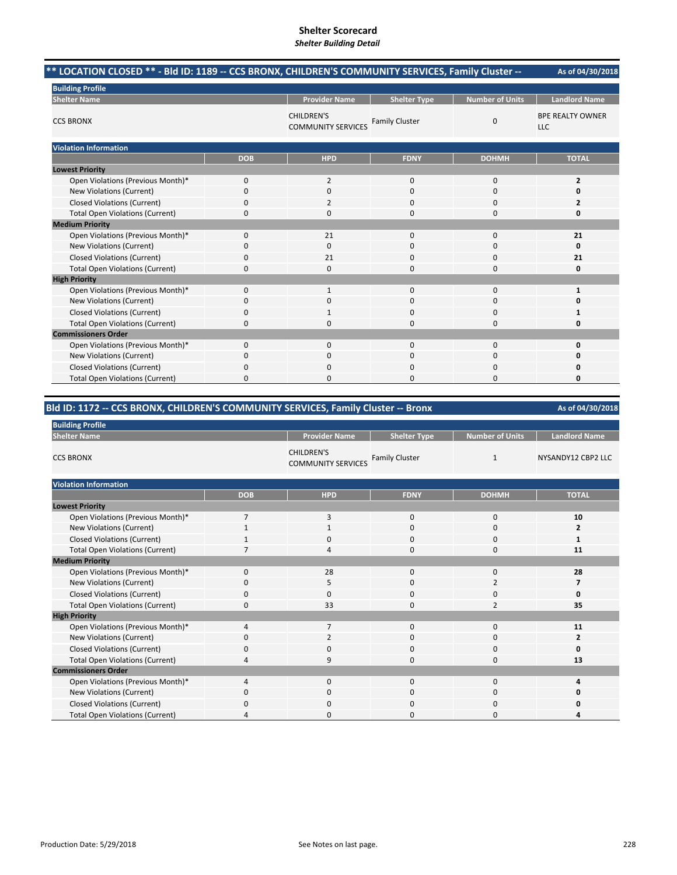| ** LOCATION CLOSED ** - Bld ID: 1189 -- CCS BRONX, CHILDREN'S COMMUNITY SERVICES, Family Cluster -- |            |                                                |                       |                        | As of 04/30/2018                      |
|-----------------------------------------------------------------------------------------------------|------------|------------------------------------------------|-----------------------|------------------------|---------------------------------------|
| <b>Building Profile</b>                                                                             |            |                                                |                       |                        |                                       |
| <b>Shelter Name</b>                                                                                 |            | <b>Provider Name</b>                           | <b>Shelter Type</b>   | <b>Number of Units</b> | <b>Landlord Name</b>                  |
| <b>CCS BRONX</b>                                                                                    |            | <b>CHILDREN'S</b><br><b>COMMUNITY SERVICES</b> | <b>Family Cluster</b> | $\mathbf 0$            | <b>BPE REALTY OWNER</b><br><b>LLC</b> |
| <b>Violation Information</b>                                                                        |            |                                                |                       |                        |                                       |
|                                                                                                     | <b>DOB</b> | <b>HPD</b>                                     | <b>FDNY</b>           | <b>DOHMH</b>           | <b>TOTAL</b>                          |
| <b>Lowest Priority</b>                                                                              |            |                                                |                       |                        |                                       |
| Open Violations (Previous Month)*                                                                   | 0          | 2                                              | 0                     | 0                      | $\overline{2}$                        |
| New Violations (Current)                                                                            | 0          | 0                                              | 0                     | 0                      | 0                                     |
| <b>Closed Violations (Current)</b>                                                                  | 0          | 2                                              | $\Omega$              | 0                      |                                       |
| <b>Total Open Violations (Current)</b>                                                              | 0          | 0                                              | $\Omega$              | 0                      | 0                                     |
| <b>Medium Priority</b>                                                                              |            |                                                |                       |                        |                                       |
| Open Violations (Previous Month)*                                                                   | 0          | 21                                             | $\mathbf{0}$          | 0                      | 21                                    |
| New Violations (Current)                                                                            | 0          | $\mathbf{0}$                                   | $\Omega$              | $\Omega$               | O                                     |
| <b>Closed Violations (Current)</b>                                                                  | 0          | 21                                             | $\Omega$              | 0                      | 21                                    |
| <b>Total Open Violations (Current)</b>                                                              | 0          | 0                                              | $\Omega$              | $\Omega$               | 0                                     |
| <b>High Priority</b>                                                                                |            |                                                |                       |                        |                                       |
| Open Violations (Previous Month)*                                                                   | 0          | $\mathbf{1}$                                   | $\mathbf{0}$          | 0                      | 1                                     |
| New Violations (Current)                                                                            | 0          | 0                                              | 0                     | 0                      | Ω                                     |
| <b>Closed Violations (Current)</b>                                                                  | 0          | $\mathbf{1}$                                   | $\Omega$              | $\Omega$               | 1                                     |
| <b>Total Open Violations (Current)</b>                                                              | 0          | $\Omega$                                       | $\Omega$              | 0                      | 0                                     |
| <b>Commissioners Order</b>                                                                          |            |                                                |                       |                        |                                       |
| Open Violations (Previous Month)*                                                                   | 0          | $\Omega$                                       | $\Omega$              | $\Omega$               | 0                                     |
| New Violations (Current)                                                                            | 0          | 0                                              | $\Omega$              | 0                      | 0                                     |
| <b>Closed Violations (Current)</b>                                                                  | 0          | 0                                              | $\Omega$              | $\Omega$               | Ω                                     |
| <b>Total Open Violations (Current)</b>                                                              | 0          | $\Omega$                                       | $\Omega$              | $\Omega$               | $\Omega$                              |

# **Bld ID: 1172 ‐‐ CCS BRONX, CHILDREN'S COMMUNITY SERVICES, Family Cluster ‐‐ Bronx**

| <b>Building Profile</b>                |                |                                                |                       |                        |                      |
|----------------------------------------|----------------|------------------------------------------------|-----------------------|------------------------|----------------------|
| <b>Shelter Name</b>                    |                | <b>Provider Name</b>                           | <b>Shelter Type</b>   | <b>Number of Units</b> | <b>Landlord Name</b> |
| <b>CCS BRONX</b>                       |                | <b>CHILDREN'S</b><br><b>COMMUNITY SERVICES</b> | <b>Family Cluster</b> | 1                      | NYSANDY12 CBP2 LLC   |
| <b>Violation Information</b>           |                |                                                |                       |                        |                      |
|                                        | <b>DOB</b>     | <b>HPD</b>                                     | <b>FDNY</b>           | <b>DOHMH</b>           | <b>TOTAL</b>         |
| <b>Lowest Priority</b>                 |                |                                                |                       |                        |                      |
| Open Violations (Previous Month)*      | $\overline{7}$ | 3                                              | 0                     | $\mathbf 0$            | 10                   |
| New Violations (Current)               | 1              | $\mathbf{1}$                                   | $\Omega$              | $\mathbf 0$            | $\overline{2}$       |
| <b>Closed Violations (Current)</b>     |                | $\Omega$                                       | $\Omega$              | 0                      | 1                    |
| <b>Total Open Violations (Current)</b> | 7              | 4                                              | 0                     | $\bf 0$                | 11                   |
| <b>Medium Priority</b>                 |                |                                                |                       |                        |                      |
| Open Violations (Previous Month)*      | $\Omega$       | 28                                             | 0                     | 0                      | 28                   |
| New Violations (Current)               | 0              | 5                                              | 0                     | $\overline{2}$         | 7                    |
| <b>Closed Violations (Current)</b>     | 0              | $\mathbf 0$                                    | 0                     | 0                      | 0                    |
| <b>Total Open Violations (Current)</b> | 0              | 33                                             | 0                     | $\overline{2}$         | 35                   |
| <b>High Priority</b>                   |                |                                                |                       |                        |                      |
| Open Violations (Previous Month)*      | 4              | $\overline{7}$                                 | 0                     | $\mathbf 0$            | 11                   |
| New Violations (Current)               | 0              | $\overline{2}$                                 | 0                     | $\mathbf 0$            | $\mathbf{z}$         |
| <b>Closed Violations (Current)</b>     | 0              | $\mathbf 0$                                    | 0                     | 0                      | 0                    |
| <b>Total Open Violations (Current)</b> | Δ              | 9                                              | 0                     | 0                      | 13                   |
| <b>Commissioners Order</b>             |                |                                                |                       |                        |                      |
| Open Violations (Previous Month)*      | 4              | $\Omega$                                       | $\Omega$              | $\mathbf 0$            | 4                    |
| New Violations (Current)               | 0              | $\mathbf 0$                                    | 0                     | 0                      | 0                    |
| <b>Closed Violations (Current)</b>     | 0              | $\mathbf 0$                                    | 0                     | $\mathbf 0$            |                      |
| <b>Total Open Violations (Current)</b> | Δ              | $\mathbf 0$                                    | 0                     | 0                      |                      |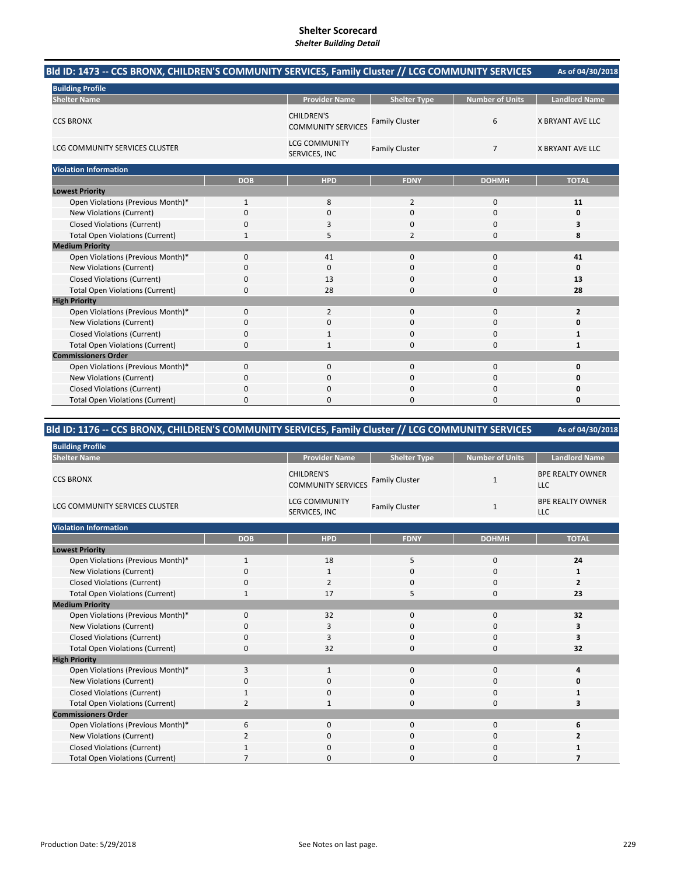# **Shelter Scorecard**

### *Shelter Building Detail*

| Bld ID: 1473 -- CCS BRONX, CHILDREN'S COMMUNITY SERVICES, Family Cluster // LCG COMMUNITY SERVICES |              |                                                |                       |                        | As of 04/30/2018        |
|----------------------------------------------------------------------------------------------------|--------------|------------------------------------------------|-----------------------|------------------------|-------------------------|
| <b>Building Profile</b>                                                                            |              |                                                |                       |                        |                         |
| <b>Shelter Name</b>                                                                                |              | <b>Provider Name</b>                           | <b>Shelter Type</b>   | <b>Number of Units</b> | <b>Landlord Name</b>    |
| <b>CCS BRONX</b>                                                                                   |              | <b>CHILDREN'S</b><br><b>COMMUNITY SERVICES</b> | <b>Family Cluster</b> | 6                      | <b>X BRYANT AVE LLC</b> |
| LCG COMMUNITY SERVICES CLUSTER                                                                     |              | <b>LCG COMMUNITY</b><br>SERVICES, INC          | <b>Family Cluster</b> | $\overline{7}$         | <b>X BRYANT AVE LLC</b> |
| <b>Violation Information</b>                                                                       |              |                                                |                       |                        |                         |
|                                                                                                    | <b>DOB</b>   | <b>HPD</b>                                     | <b>FDNY</b>           | <b>DOHMH</b>           | <b>TOTAL</b>            |
| <b>Lowest Priority</b>                                                                             |              |                                                |                       |                        |                         |
| Open Violations (Previous Month)*                                                                  | $\mathbf{1}$ | 8                                              | 2                     | $\mathbf 0$            | 11                      |
| New Violations (Current)                                                                           | 0            | 0                                              | $\Omega$              | 0                      | 0                       |
| <b>Closed Violations (Current)</b>                                                                 | 0            | 3                                              | $\Omega$              | $\Omega$               | 3                       |
| <b>Total Open Violations (Current)</b>                                                             | 1            | 5                                              | $\overline{2}$        | $\Omega$               | 8                       |
| <b>Medium Priority</b>                                                                             |              |                                                |                       |                        |                         |
| Open Violations (Previous Month)*                                                                  | 0            | 41                                             | $\mathbf{0}$          | $\mathbf 0$            | 41                      |
| New Violations (Current)                                                                           | 0            | 0                                              | $\Omega$              | $\Omega$               | 0                       |
| <b>Closed Violations (Current)</b>                                                                 | 0            | 13                                             | $\Omega$              | 0                      | 13                      |
| <b>Total Open Violations (Current)</b>                                                             | 0            | 28                                             | 0                     | 0                      | 28                      |
| <b>High Priority</b>                                                                               |              |                                                |                       |                        |                         |
| Open Violations (Previous Month)*                                                                  | 0            | $\overline{2}$                                 | $\Omega$              | $\mathbf 0$            | $\overline{2}$          |
| New Violations (Current)                                                                           | 0            | 0                                              | 0                     | $\mathbf 0$            | 0                       |
| <b>Closed Violations (Current)</b>                                                                 | 0            |                                                | $\Omega$              | 0                      | $\mathbf{1}$            |
| <b>Total Open Violations (Current)</b>                                                             | 0            | 1                                              | 0                     | 0                      | 1                       |
| <b>Commissioners Order</b>                                                                         |              |                                                |                       |                        |                         |
| Open Violations (Previous Month)*                                                                  | 0            | 0                                              | $\mathbf{0}$          | $\mathbf 0$            | 0                       |
| New Violations (Current)                                                                           | 0            | 0                                              | $\Omega$              | $\Omega$               | 0                       |
| <b>Closed Violations (Current)</b>                                                                 | 0            | $\Omega$                                       | $\Omega$              | 0                      | 0                       |
| <b>Total Open Violations (Current)</b>                                                             | 0            | $\Omega$                                       | 0                     | $\Omega$               | 0                       |

**Bld ID: 1176 ‐‐ CCS BRONX, CHILDREN'S COMMUNITY SERVICES, Family Cluster // LCG COMMUNITY SERVICES** 

| <b>Building Profile</b>                |                |                                                |                       |                        |                                       |  |  |
|----------------------------------------|----------------|------------------------------------------------|-----------------------|------------------------|---------------------------------------|--|--|
| <b>Shelter Name</b>                    |                | <b>Provider Name</b>                           | <b>Shelter Type</b>   | <b>Number of Units</b> | <b>Landlord Name</b>                  |  |  |
| <b>CCS BRONX</b>                       |                | <b>CHILDREN'S</b><br><b>COMMUNITY SERVICES</b> | <b>Family Cluster</b> | 1                      | <b>BPE REALTY OWNER</b><br><b>LLC</b> |  |  |
| LCG COMMUNITY SERVICES CLUSTER         |                | <b>LCG COMMUNITY</b><br>SERVICES, INC          | <b>Family Cluster</b> | $\mathbf{1}$           | <b>BPE REALTY OWNER</b><br>LLC        |  |  |
| <b>Violation Information</b>           |                |                                                |                       |                        |                                       |  |  |
|                                        | <b>DOB</b>     | <b>HPD</b>                                     | <b>FDNY</b>           | <b>DOHMH</b>           | <b>TOTAL</b>                          |  |  |
| <b>Lowest Priority</b>                 |                |                                                |                       |                        |                                       |  |  |
| Open Violations (Previous Month)*      | $\mathbf{1}$   | 18                                             | 5                     | 0                      | 24                                    |  |  |
| <b>New Violations (Current)</b>        | $\Omega$       | 1                                              | $\mathbf 0$           | 0                      | 1                                     |  |  |
| <b>Closed Violations (Current)</b>     | 0              | $\overline{2}$                                 | $\mathbf 0$           | 0                      | $\overline{2}$                        |  |  |
| <b>Total Open Violations (Current)</b> | 1              | 17                                             | 5                     | 0                      | 23                                    |  |  |
| <b>Medium Priority</b>                 |                |                                                |                       |                        |                                       |  |  |
| Open Violations (Previous Month)*      | $\Omega$       | 32                                             | $\mathbf 0$           | $\mathbf 0$            | 32                                    |  |  |
| <b>New Violations (Current)</b>        | $\Omega$       | 3                                              | 0                     | 0                      | 3                                     |  |  |
| <b>Closed Violations (Current)</b>     | $\Omega$       | 3                                              | $\mathbf 0$           | 0                      | 3                                     |  |  |
| <b>Total Open Violations (Current)</b> | $\Omega$       | 32                                             | $\Omega$              | 0                      | 32                                    |  |  |
| <b>High Priority</b>                   |                |                                                |                       |                        |                                       |  |  |
| Open Violations (Previous Month)*      | 3              | 1                                              | $\mathbf 0$           | 0                      | 4                                     |  |  |
| New Violations (Current)               | 0              | 0                                              | $\mathbf 0$           | 0                      | 0                                     |  |  |
| <b>Closed Violations (Current)</b>     | 1              | 0                                              | $\mathbf{0}$          | 0                      | 1                                     |  |  |
| <b>Total Open Violations (Current)</b> | $\overline{2}$ | $\mathbf{1}$                                   | $\mathbf{0}$          | 0                      | 3                                     |  |  |
| <b>Commissioners Order</b>             |                |                                                |                       |                        |                                       |  |  |
| Open Violations (Previous Month)*      | 6              | $\mathbf 0$                                    | $\mathbf{0}$          | $\mathbf{0}$           | 6                                     |  |  |
| New Violations (Current)               | $\overline{2}$ | 0                                              | $\mathbf 0$           | 0                      | 2                                     |  |  |
| <b>Closed Violations (Current)</b>     |                | 0                                              | $\mathbf{0}$          | 0                      | 1                                     |  |  |
| <b>Total Open Violations (Current)</b> | 7              | 0                                              | $\mathbf{0}$          | 0                      | 7                                     |  |  |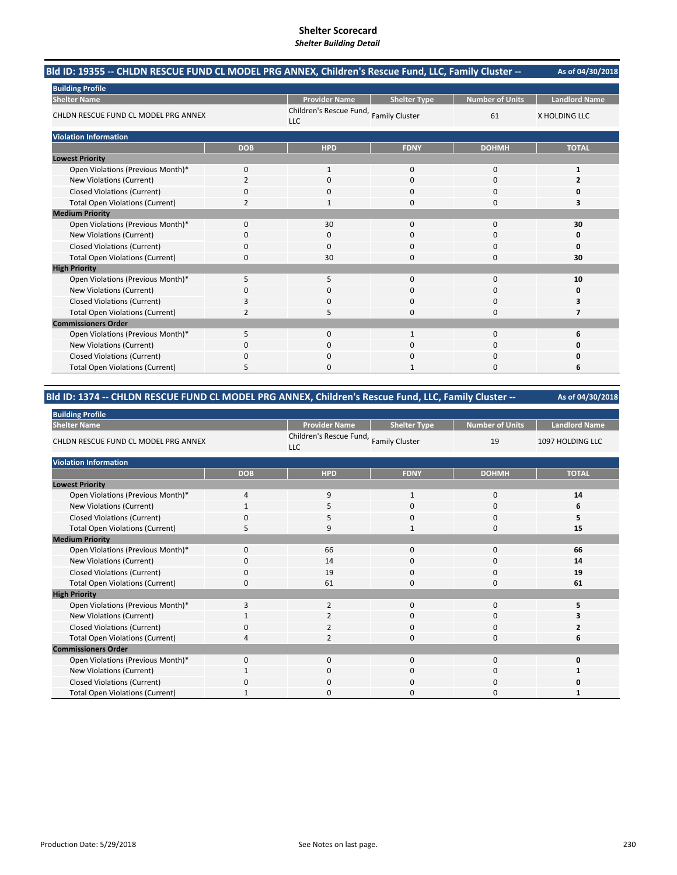| Bld ID: 19355 -- CHLDN RESCUE FUND CL MODEL PRG ANNEX, Children's Rescue Fund, LLC, Family Cluster -- |              |                                               |                     |                        | As of 04/30/2018     |
|-------------------------------------------------------------------------------------------------------|--------------|-----------------------------------------------|---------------------|------------------------|----------------------|
| <b>Building Profile</b>                                                                               |              |                                               |                     |                        |                      |
| <b>Shelter Name</b>                                                                                   |              | <b>Provider Name</b>                          | <b>Shelter Type</b> | <b>Number of Units</b> | <b>Landlord Name</b> |
| CHLDN RESCUE FUND CL MODEL PRG ANNEX                                                                  |              | Children's Rescue Fund, Family Cluster<br>LLC |                     | 61                     | X HOLDING LLC        |
| <b>Violation Information</b>                                                                          |              |                                               |                     |                        |                      |
|                                                                                                       | <b>DOB</b>   | <b>HPD</b>                                    | <b>FDNY</b>         | <b>DOHMH</b>           | <b>TOTAL</b>         |
| <b>Lowest Priority</b>                                                                                |              |                                               |                     |                        |                      |
| Open Violations (Previous Month)*                                                                     | $\Omega$     | $\mathbf{1}$                                  | $\Omega$            | 0                      | $\mathbf{1}$         |
| <b>New Violations (Current)</b>                                                                       | 2            | $\Omega$                                      | $\Omega$            | 0                      | $\overline{2}$       |
| <b>Closed Violations (Current)</b>                                                                    | 0            | 0                                             | $\mathbf 0$         | 0                      | 0                    |
| <b>Total Open Violations (Current)</b>                                                                | 2            |                                               | $\Omega$            | 0                      | з                    |
| <b>Medium Priority</b>                                                                                |              |                                               |                     |                        |                      |
| Open Violations (Previous Month)*                                                                     | $\mathbf{0}$ | 30                                            | $\Omega$            | 0                      | 30                   |
| New Violations (Current)                                                                              | 0            | 0                                             | C                   | 0                      | O                    |
| <b>Closed Violations (Current)</b>                                                                    | 0            | $\Omega$                                      | $\mathbf 0$         | 0                      | 0                    |
| <b>Total Open Violations (Current)</b>                                                                | 0            | 30                                            | $\Omega$            | $\Omega$               | 30                   |
| <b>High Priority</b>                                                                                  |              |                                               |                     |                        |                      |
| Open Violations (Previous Month)*                                                                     | 5            | 5                                             | $\Omega$            | $\Omega$               | 10                   |
| <b>New Violations (Current)</b>                                                                       | 0            | 0                                             | $\Omega$            | 0                      | 0                    |
| <b>Closed Violations (Current)</b>                                                                    | 3            | 0                                             | $\Omega$            | 0                      |                      |
| <b>Total Open Violations (Current)</b>                                                                | 2            | 5                                             | $\Omega$            | 0                      | 7                    |
| <b>Commissioners Order</b>                                                                            |              |                                               |                     |                        |                      |
| Open Violations (Previous Month)*                                                                     | 5            | $\Omega$                                      |                     | 0                      | 6                    |
| <b>New Violations (Current)</b>                                                                       | 0            | 0                                             | C                   | 0                      |                      |
| <b>Closed Violations (Current)</b>                                                                    | 0            | 0                                             | $\Omega$            | 0                      |                      |
| <b>Total Open Violations (Current)</b>                                                                | 5            | ŋ                                             |                     | 0                      | 6                    |

#### **As of 04/30/2018 Bld ID: 1374 ‐‐ CHLDN RESCUE FUND CL MODEL PRG ANNEX, Children's Rescue Fund, LLC, Family Cluster ‐‐**

| <b>Building Profile</b>                |                |                                                      |                     |                        |                      |  |  |  |
|----------------------------------------|----------------|------------------------------------------------------|---------------------|------------------------|----------------------|--|--|--|
| <b>Shelter Name</b>                    |                | <b>Provider Name</b>                                 | <b>Shelter Type</b> | <b>Number of Units</b> | <b>Landlord Name</b> |  |  |  |
| CHLDN RESCUE FUND CL MODEL PRG ANNEX   |                | Children's Rescue Fund, Family Cluster<br><b>LLC</b> |                     | 19                     | 1097 HOLDING LLC     |  |  |  |
| <b>Violation Information</b>           |                |                                                      |                     |                        |                      |  |  |  |
|                                        | <b>DOB</b>     | <b>HPD</b>                                           | <b>FDNY</b>         | <b>DOHMH</b>           | <b>TOTAL</b>         |  |  |  |
| <b>Lowest Priority</b>                 |                |                                                      |                     |                        |                      |  |  |  |
| Open Violations (Previous Month)*      | $\overline{4}$ | 9                                                    | $\mathbf{1}$        | $\mathbf 0$            | 14                   |  |  |  |
| New Violations (Current)               |                | 5                                                    | $\mathbf{0}$        | 0                      | 6                    |  |  |  |
| <b>Closed Violations (Current)</b>     | 0              | 5                                                    | 0                   | 0                      | 5                    |  |  |  |
| <b>Total Open Violations (Current)</b> | 5              | 9                                                    | 1                   | $\Omega$               | 15                   |  |  |  |
| <b>Medium Priority</b>                 |                |                                                      |                     |                        |                      |  |  |  |
| Open Violations (Previous Month)*      | $\Omega$       | 66                                                   | $\mathbf{0}$        | 0                      | 66                   |  |  |  |
| New Violations (Current)               | 0              | 14                                                   | 0                   | 0                      | 14                   |  |  |  |
| <b>Closed Violations (Current)</b>     | $\mathbf 0$    | 19                                                   | $\mathbf{0}$        | 0                      | 19                   |  |  |  |
| <b>Total Open Violations (Current)</b> | $\Omega$       | 61                                                   | $\Omega$            | $\Omega$               | 61                   |  |  |  |
| <b>High Priority</b>                   |                |                                                      |                     |                        |                      |  |  |  |
| Open Violations (Previous Month)*      | 3              | $\overline{2}$                                       | $\mathbf 0$         | 0                      | 5                    |  |  |  |
| New Violations (Current)               |                | $\overline{2}$                                       | 0                   | 0                      |                      |  |  |  |
| <b>Closed Violations (Current)</b>     | 0              | 2                                                    | $\mathbf{0}$        | 0                      |                      |  |  |  |
| <b>Total Open Violations (Current)</b> | Δ              | $\overline{2}$                                       | $\Omega$            | $\Omega$               | 6                    |  |  |  |
| <b>Commissioners Order</b>             |                |                                                      |                     |                        |                      |  |  |  |
| Open Violations (Previous Month)*      | $\Omega$       | $\Omega$                                             | $\Omega$            | $\Omega$               | O                    |  |  |  |
| New Violations (Current)               |                | $\mathbf 0$                                          | 0                   | 0                      |                      |  |  |  |
| <b>Closed Violations (Current)</b>     | $\Omega$       | $\mathbf 0$                                          | $\mathbf{0}$        | 0                      | Ω                    |  |  |  |
| <b>Total Open Violations (Current)</b> |                | $\Omega$                                             | $\Omega$            | 0                      |                      |  |  |  |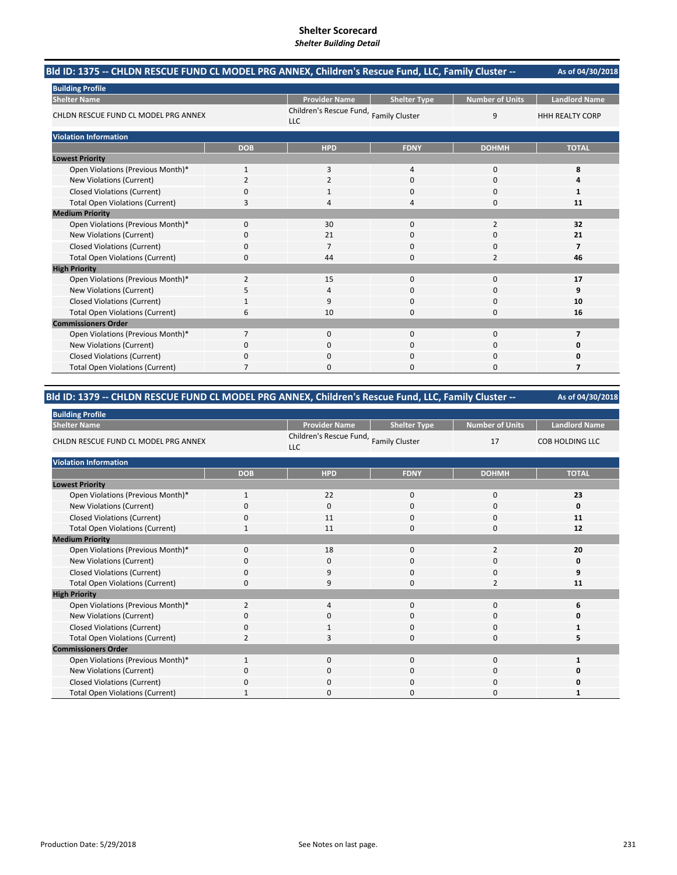| Bld ID: 1375 -- CHLDN RESCUE FUND CL MODEL PRG ANNEX, Children's Rescue Fund, LLC, Family Cluster -- |              |                                                      |                     |                        | As of 04/30/2018         |
|------------------------------------------------------------------------------------------------------|--------------|------------------------------------------------------|---------------------|------------------------|--------------------------|
| <b>Building Profile</b>                                                                              |              |                                                      |                     |                        |                          |
| <b>Shelter Name</b>                                                                                  |              | <b>Provider Name</b>                                 | <b>Shelter Type</b> | <b>Number of Units</b> | <b>Landlord Name</b>     |
| CHLDN RESCUE FUND CL MODEL PRG ANNEX                                                                 |              | Children's Rescue Fund, Family Cluster<br><b>LLC</b> |                     | 9                      | <b>HHH REALTY CORP</b>   |
| <b>Violation Information</b>                                                                         |              |                                                      |                     |                        |                          |
|                                                                                                      | <b>DOB</b>   | <b>HPD</b>                                           | <b>FDNY</b>         | <b>DOHMH</b>           | <b>TOTAL</b>             |
| <b>Lowest Priority</b>                                                                               |              |                                                      |                     |                        |                          |
| Open Violations (Previous Month)*                                                                    | $\mathbf{1}$ | 3                                                    | $\overline{4}$      | $\Omega$               | 8                        |
| <b>New Violations (Current)</b>                                                                      | 2            | 2                                                    | $\Omega$            | $\Omega$               | 4                        |
| <b>Closed Violations (Current)</b>                                                                   | 0            |                                                      | 0                   | 0                      | $\mathbf{1}$             |
| <b>Total Open Violations (Current)</b>                                                               | 3            |                                                      | Δ                   | $\Omega$               | 11                       |
| <b>Medium Priority</b>                                                                               |              |                                                      |                     |                        |                          |
| Open Violations (Previous Month)*                                                                    | 0            | 30                                                   | $\Omega$            | $\overline{2}$         | 32                       |
| New Violations (Current)                                                                             | 0            | 21                                                   | 0                   | O                      | 21                       |
| <b>Closed Violations (Current)</b>                                                                   | 0            | $\overline{7}$                                       | $\Omega$            | 0                      | $\overline{\phantom{a}}$ |
| <b>Total Open Violations (Current)</b>                                                               | 0            | 44                                                   | $\Omega$            | $\overline{2}$         | 46                       |
| <b>High Priority</b>                                                                                 |              |                                                      |                     |                        |                          |
| Open Violations (Previous Month)*                                                                    | 2            | 15                                                   | $\Omega$            | $\Omega$               | 17                       |
| New Violations (Current)                                                                             | 5            | 4                                                    | $\Omega$            | 0                      | 9                        |
| <b>Closed Violations (Current)</b>                                                                   |              | 9                                                    | $\Omega$            | 0                      | 10                       |
| <b>Total Open Violations (Current)</b>                                                               | 6            | 10                                                   | $\Omega$            | $\Omega$               | 16                       |
| <b>Commissioners Order</b>                                                                           |              |                                                      |                     |                        |                          |
| Open Violations (Previous Month)*                                                                    | 7            | $\Omega$                                             | $\Omega$            | 0                      | $\overline{7}$           |
| <b>New Violations (Current)</b>                                                                      | 0            | 0                                                    | $\Omega$            | 0                      | 0                        |
| <b>Closed Violations (Current)</b>                                                                   | 0            | $\Omega$                                             | $\Omega$            | 0                      | 0                        |
| <b>Total Open Violations (Current)</b>                                                               | 7            | <sup>0</sup>                                         | $\Omega$            | $\Omega$               | 7                        |

#### **As of 04/30/2018 Bld ID: 1379 ‐‐ CHLDN RESCUE FUND CL MODEL PRG ANNEX, Children's Rescue Fund, LLC, Family Cluster ‐‐**

| <b>Building Profile</b>                |                |                                                      |                     |                        |                        |  |  |  |  |
|----------------------------------------|----------------|------------------------------------------------------|---------------------|------------------------|------------------------|--|--|--|--|
| <b>Shelter Name</b>                    |                | <b>Provider Name</b>                                 | <b>Shelter Type</b> | <b>Number of Units</b> | <b>Landlord Name</b>   |  |  |  |  |
| CHLDN RESCUE FUND CL MODEL PRG ANNEX   |                | Children's Rescue Fund, Family Cluster<br><b>LLC</b> |                     | 17                     | <b>COB HOLDING LLC</b> |  |  |  |  |
| <b>Violation Information</b>           |                |                                                      |                     |                        |                        |  |  |  |  |
|                                        | <b>DOB</b>     | <b>HPD</b>                                           | <b>FDNY</b>         | <b>DOHMH</b>           | <b>TOTAL</b>           |  |  |  |  |
| <b>Lowest Priority</b>                 |                |                                                      |                     |                        |                        |  |  |  |  |
| Open Violations (Previous Month)*      | $\mathbf{1}$   | 22                                                   | $\Omega$            | 0                      | 23                     |  |  |  |  |
| New Violations (Current)               | O              | $\Omega$                                             | 0                   | 0                      | 0                      |  |  |  |  |
| <b>Closed Violations (Current)</b>     | 0              | 11                                                   | 0                   | 0                      | 11                     |  |  |  |  |
| <b>Total Open Violations (Current)</b> |                | 11                                                   | 0                   | 0                      | 12                     |  |  |  |  |
| <b>Medium Priority</b>                 |                |                                                      |                     |                        |                        |  |  |  |  |
| Open Violations (Previous Month)*      | $\Omega$       | 18                                                   | $\Omega$            | $\overline{2}$         | 20                     |  |  |  |  |
| New Violations (Current)               | 0              | $\mathbf 0$                                          | 0                   | 0                      | 0                      |  |  |  |  |
| <b>Closed Violations (Current)</b>     | $\Omega$       | 9                                                    | 0                   | 0                      | 9                      |  |  |  |  |
| <b>Total Open Violations (Current)</b> | 0              | 9                                                    | 0                   | $\overline{2}$         | 11                     |  |  |  |  |
| <b>High Priority</b>                   |                |                                                      |                     |                        |                        |  |  |  |  |
| Open Violations (Previous Month)*      | $\overline{2}$ | 4                                                    | $\Omega$            | $\Omega$               | 6                      |  |  |  |  |
| New Violations (Current)               | 0              | $\mathbf 0$                                          | 0                   | $\mathbf 0$            |                        |  |  |  |  |
| <b>Closed Violations (Current)</b>     | $\Omega$       | -1                                                   | $\Omega$            | $\mathbf 0$            |                        |  |  |  |  |
| <b>Total Open Violations (Current)</b> |                | З                                                    | $\Omega$            | 0                      | 5                      |  |  |  |  |
| <b>Commissioners Order</b>             |                |                                                      |                     |                        |                        |  |  |  |  |
| Open Violations (Previous Month)*      | $\mathbf{1}$   | $\Omega$                                             | $\Omega$            | $\Omega$               |                        |  |  |  |  |
| New Violations (Current)               | 0              | 0                                                    | 0                   | 0                      |                        |  |  |  |  |
| <b>Closed Violations (Current)</b>     | <sup>0</sup>   | $\mathbf 0$                                          | 0                   | $\mathbf 0$            |                        |  |  |  |  |
| <b>Total Open Violations (Current)</b> |                | $\Omega$                                             | O                   | $\Omega$               |                        |  |  |  |  |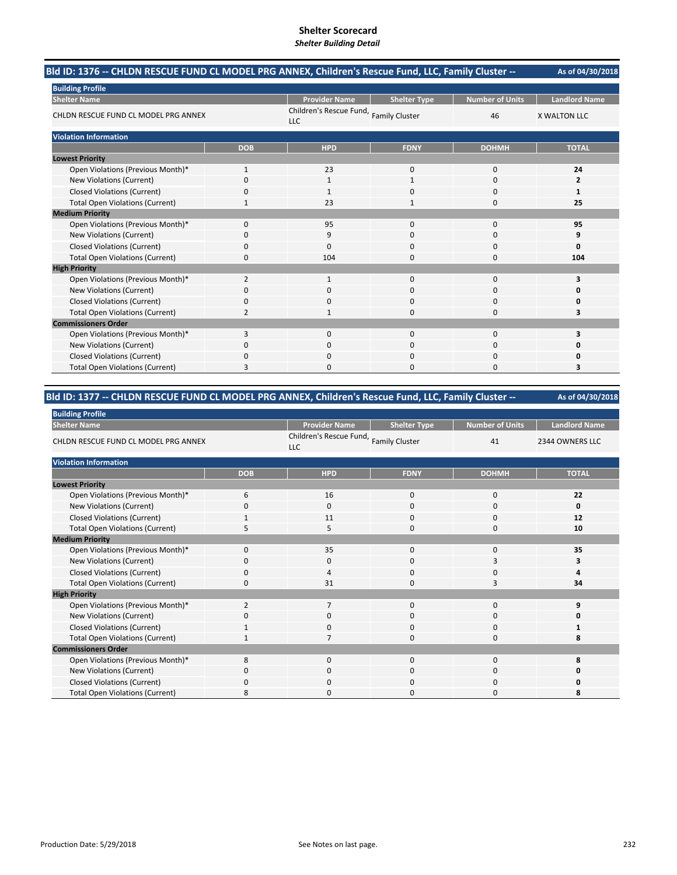| -- Bld ID: 1376 -- CHLDN RESCUE FUND CL MODEL PRG ANNEX, Children's Rescue Fund, LLC, Family Cluster |              |                                       |                       |                 | As of 04/30/2018     |
|------------------------------------------------------------------------------------------------------|--------------|---------------------------------------|-----------------------|-----------------|----------------------|
| <b>Building Profile</b>                                                                              |              |                                       |                       |                 |                      |
| <b>Shelter Name</b>                                                                                  |              | <b>Provider Name</b>                  | <b>Shelter Type</b>   | Number of Units | <b>Landlord Name</b> |
| CHLDN RESCUE FUND CL MODEL PRG ANNEX                                                                 |              | Children's Rescue Fund,<br><b>LLC</b> | <b>Family Cluster</b> | 46              | <b>X WALTON LLC</b>  |
| <b>Violation Information</b>                                                                         |              |                                       |                       |                 |                      |
|                                                                                                      | <b>DOB</b>   | <b>HPD</b>                            | <b>FDNY</b>           | <b>DOHMH</b>    | <b>TOTAL</b>         |
| <b>Lowest Priority</b>                                                                               |              |                                       |                       |                 |                      |
| Open Violations (Previous Month)*                                                                    | $\mathbf{1}$ | 23                                    | $\mathbf 0$           | $\Omega$        | 24                   |
| <b>New Violations (Current)</b>                                                                      | 0            | 1                                     | $\mathbf{1}$          | $\Omega$        | $\overline{2}$       |
| <b>Closed Violations (Current)</b>                                                                   | 0            | 1                                     | 0                     | 0               | 1                    |
| <b>Total Open Violations (Current)</b>                                                               | 1            | 23                                    | 1                     | 0               | 25                   |
| <b>Medium Priority</b>                                                                               |              |                                       |                       |                 |                      |
| Open Violations (Previous Month)*                                                                    | $\Omega$     | 95                                    | $\Omega$              | $\Omega$        | 95                   |
| <b>New Violations (Current)</b>                                                                      | 0            | 9                                     | $\Omega$              | O               | 9                    |
| <b>Closed Violations (Current)</b>                                                                   | 0            | $\Omega$                              | $\Omega$              | 0               | 0                    |
| <b>Total Open Violations (Current)</b>                                                               | 0            | 104                                   | $\Omega$              | $\Omega$        | 104                  |
| <b>High Priority</b>                                                                                 |              |                                       |                       |                 |                      |
| Open Violations (Previous Month)*                                                                    | 2            | $\mathbf{1}$                          | $\Omega$              | $\Omega$        | 3                    |
| <b>New Violations (Current)</b>                                                                      | 0            | $\Omega$                              | $\Omega$              | $\Omega$        | 0                    |
| <b>Closed Violations (Current)</b>                                                                   | 0            | $\Omega$                              | $\Omega$              | 0               | 0                    |
| <b>Total Open Violations (Current)</b>                                                               | 2            | 1                                     | $\Omega$              | $\Omega$        | 3                    |
| <b>Commissioners Order</b>                                                                           |              |                                       |                       |                 |                      |
| Open Violations (Previous Month)*                                                                    | 3            | $\Omega$                              | $\Omega$              | 0               | 3                    |
| New Violations (Current)                                                                             | 0            | 0                                     | $\Omega$              | 0               | 0                    |
| <b>Closed Violations (Current)</b>                                                                   | 0            | $\Omega$                              | $\Omega$              | 0               | 0                    |
| <b>Total Open Violations (Current)</b>                                                               | 3            | <sup>0</sup>                          | $\Omega$              | $\Omega$        | 3                    |

#### **As of 04/30/2018 Bld ID: 1377 ‐‐ CHLDN RESCUE FUND CL MODEL PRG ANNEX, Children's Rescue Fund, LLC, Family Cluster ‐‐**

| <b>Building Profile</b>                |            |                                                      |                     |                        |                      |  |  |  |
|----------------------------------------|------------|------------------------------------------------------|---------------------|------------------------|----------------------|--|--|--|
| <b>Shelter Name</b>                    |            | <b>Provider Name</b>                                 | <b>Shelter Type</b> | <b>Number of Units</b> | <b>Landlord Name</b> |  |  |  |
| CHLDN RESCUE FUND CL MODEL PRG ANNEX   |            | Children's Rescue Fund, Family Cluster<br><b>LLC</b> |                     | 41                     | 2344 OWNERS LLC      |  |  |  |
| <b>Violation Information</b>           |            |                                                      |                     |                        |                      |  |  |  |
|                                        | <b>DOB</b> | <b>HPD</b>                                           | <b>FDNY</b>         | <b>DOHMH</b>           | <b>TOTAL</b>         |  |  |  |
| <b>Lowest Priority</b>                 |            |                                                      |                     |                        |                      |  |  |  |
| Open Violations (Previous Month)*      | 6          | 16                                                   | $\mathbf 0$         | $\mathbf 0$            | 22                   |  |  |  |
| New Violations (Current)               | 0          | $\Omega$                                             | 0                   | 0                      | 0                    |  |  |  |
| <b>Closed Violations (Current)</b>     |            | 11                                                   | $\mathbf 0$         | $\mathbf 0$            | 12                   |  |  |  |
| <b>Total Open Violations (Current)</b> | 5          | 5                                                    | 0                   | $\mathbf 0$            | 10                   |  |  |  |
| <b>Medium Priority</b>                 |            |                                                      |                     |                        |                      |  |  |  |
| Open Violations (Previous Month)*      | $\Omega$   | 35                                                   | $\mathbf 0$         | 0                      | 35                   |  |  |  |
| New Violations (Current)               | O          | 0                                                    | 0                   | 3                      | з                    |  |  |  |
| <b>Closed Violations (Current)</b>     | 0          | $\overline{4}$                                       | $\mathbf 0$         | 0                      |                      |  |  |  |
| <b>Total Open Violations (Current)</b> | 0          | 31                                                   | 0                   | 3                      | 34                   |  |  |  |
| <b>High Priority</b>                   |            |                                                      |                     |                        |                      |  |  |  |
| Open Violations (Previous Month)*      | 2          | $\overline{7}$                                       | $\mathbf 0$         | $\mathbf 0$            | 9                    |  |  |  |
| New Violations (Current)               | 0          | $\mathbf 0$                                          | 0                   | 0                      | n                    |  |  |  |
| <b>Closed Violations (Current)</b>     | 1          | $\mathbf 0$                                          | 0                   | 0                      | 1                    |  |  |  |
| <b>Total Open Violations (Current)</b> |            | 7                                                    | 0                   | $\mathbf 0$            | 8                    |  |  |  |
| <b>Commissioners Order</b>             |            |                                                      |                     |                        |                      |  |  |  |
| Open Violations (Previous Month)*      | 8          | $\Omega$                                             | $\Omega$            | $\Omega$               | 8                    |  |  |  |
| New Violations (Current)               | 0          | $\Omega$                                             | $\mathbf 0$         | 0                      | Ω                    |  |  |  |
| <b>Closed Violations (Current)</b>     | 0          | $\mathbf 0$                                          | 0                   | 0                      |                      |  |  |  |
| <b>Total Open Violations (Current)</b> | 8          | $\Omega$                                             | 0                   | 0                      | 8                    |  |  |  |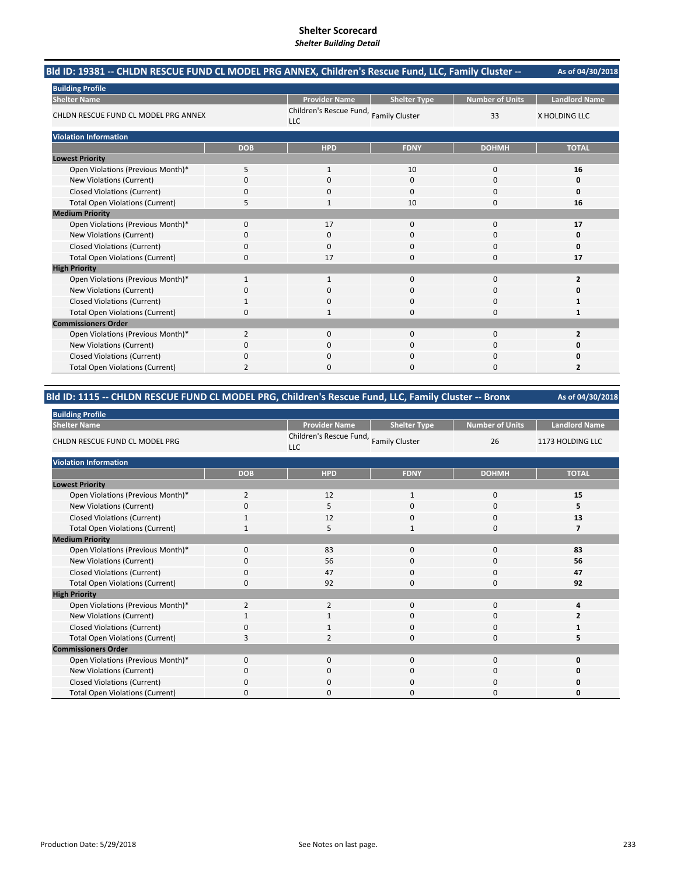| -- Bld ID: 19381 -- CHLDN RESCUE FUND CL MODEL PRG ANNEX, Children's Rescue Fund, LLC, Family Cluster |                |                                               |                     |                        | As of 04/30/2018     |
|-------------------------------------------------------------------------------------------------------|----------------|-----------------------------------------------|---------------------|------------------------|----------------------|
| <b>Building Profile</b>                                                                               |                |                                               |                     |                        |                      |
| <b>Shelter Name</b>                                                                                   |                | <b>Provider Name</b>                          | <b>Shelter Type</b> | <b>Number of Units</b> | <b>Landlord Name</b> |
| CHLDN RESCUE FUND CL MODEL PRG ANNEX                                                                  |                | Children's Rescue Fund, Family Cluster<br>LLC |                     | 33                     | <b>X HOLDING LLC</b> |
| <b>Violation Information</b>                                                                          |                |                                               |                     |                        |                      |
|                                                                                                       | <b>DOB</b>     | <b>HPD</b>                                    | <b>FDNY</b>         | <b>DOHMH</b>           | <b>TOTAL</b>         |
| <b>Lowest Priority</b>                                                                                |                |                                               |                     |                        |                      |
| Open Violations (Previous Month)*                                                                     | 5              | 1                                             | 10                  | 0                      | 16                   |
| New Violations (Current)                                                                              | 0              | $\Omega$                                      | $\Omega$            | 0                      | 0                    |
| <b>Closed Violations (Current)</b>                                                                    | 0              | 0                                             | $\Omega$            | 0                      | 0                    |
| <b>Total Open Violations (Current)</b>                                                                | 5              | 1                                             | 10                  | 0                      | 16                   |
| <b>Medium Priority</b>                                                                                |                |                                               |                     |                        |                      |
| Open Violations (Previous Month)*                                                                     | $\Omega$       | 17                                            | $\Omega$            | 0                      | 17                   |
| <b>New Violations (Current)</b>                                                                       | 0              | 0                                             | C                   | 0                      | 0                    |
| <b>Closed Violations (Current)</b>                                                                    | 0              | $\Omega$                                      | $\mathbf 0$         | 0                      | 0                    |
| <b>Total Open Violations (Current)</b>                                                                | 0              | 17                                            | $\Omega$            | 0                      | 17                   |
| <b>High Priority</b>                                                                                  |                |                                               |                     |                        |                      |
| Open Violations (Previous Month)*                                                                     | 1              | 1                                             | $\mathbf 0$         | 0                      | $\overline{2}$       |
| New Violations (Current)                                                                              | 0              | 0                                             | $\mathbf 0$         | 0                      |                      |
| <b>Closed Violations (Current)</b>                                                                    |                | ŋ                                             | $\Omega$            | 0                      |                      |
| <b>Total Open Violations (Current)</b>                                                                | 0              |                                               | $\Omega$            | 0                      | 1                    |
| <b>Commissioners Order</b>                                                                            |                |                                               |                     |                        |                      |
| Open Violations (Previous Month)*                                                                     | 2              | $\Omega$                                      | $\Omega$            | 0                      | $\overline{2}$       |
| <b>New Violations (Current)</b>                                                                       | 0              | 0                                             | C                   | 0                      | 0                    |
| <b>Closed Violations (Current)</b>                                                                    | 0              | 0                                             | $\Omega$            | 0                      |                      |
| <b>Total Open Violations (Current)</b>                                                                | $\overline{2}$ | n                                             | $\sqrt{ }$          | 0                      | $\overline{2}$       |

# **Bld ID: 1115 ‐‐ CHLDN RESCUE FUND CL MODEL PRG, Children's Rescue Fund, LLC, Family Cluster ‐‐ Bronx**

| <b>Building Profile</b>                |                |                                                      |                     |                        |                      |
|----------------------------------------|----------------|------------------------------------------------------|---------------------|------------------------|----------------------|
| <b>Shelter Name</b>                    |                | <b>Provider Name</b>                                 | <b>Shelter Type</b> | <b>Number of Units</b> | <b>Landlord Name</b> |
| CHLDN RESCUE FUND CL MODEL PRG         |                | Children's Rescue Fund, Family Cluster<br><b>LLC</b> |                     | 26                     | 1173 HOLDING LLC     |
| <b>Violation Information</b>           |                |                                                      |                     |                        |                      |
|                                        | <b>DOB</b>     | <b>HPD</b>                                           | <b>FDNY</b>         | <b>DOHMH</b>           | <b>TOTAL</b>         |
| <b>Lowest Priority</b>                 |                |                                                      |                     |                        |                      |
| Open Violations (Previous Month)*      | 2              | 12                                                   | $\mathbf{1}$        | 0                      | 15                   |
| New Violations (Current)               | 0              | 5                                                    | 0                   | 0                      | 5                    |
| <b>Closed Violations (Current)</b>     |                | 12                                                   | 0                   | $\mathbf 0$            | 13                   |
| <b>Total Open Violations (Current)</b> | $\mathbf{1}$   | 5                                                    | $\mathbf{1}$        | $\mathbf 0$            | 7                    |
| <b>Medium Priority</b>                 |                |                                                      |                     |                        |                      |
| Open Violations (Previous Month)*      | $\Omega$       | 83                                                   | $\Omega$            | 0                      | 83                   |
| New Violations (Current)               | 0              | 56                                                   | 0                   | 0                      | 56                   |
| <b>Closed Violations (Current)</b>     | $\Omega$       | 47                                                   | 0                   | 0                      | 47                   |
| <b>Total Open Violations (Current)</b> | $\Omega$       | 92                                                   | 0                   | $\mathbf 0$            | 92                   |
| <b>High Priority</b>                   |                |                                                      |                     |                        |                      |
| Open Violations (Previous Month)*      | $\overline{2}$ | $\overline{2}$                                       | 0                   | 0                      | 4                    |
| New Violations (Current)               |                | 1                                                    | 0                   | 0                      |                      |
| <b>Closed Violations (Current)</b>     | $\Omega$       | 1                                                    | 0                   | 0                      |                      |
| <b>Total Open Violations (Current)</b> | 3              | $\overline{2}$                                       | 0                   | 0                      | 5                    |
| <b>Commissioners Order</b>             |                |                                                      |                     |                        |                      |
| Open Violations (Previous Month)*      | $\Omega$       | $\Omega$                                             | $\Omega$            | $\Omega$               | O                    |
| New Violations (Current)               | 0              | $\mathbf 0$                                          | 0                   | 0                      |                      |
| <b>Closed Violations (Current)</b>     | 0              | $\Omega$                                             | $\Omega$            | 0                      |                      |
| <b>Total Open Violations (Current)</b> |                | $\Omega$                                             | O                   | 0                      |                      |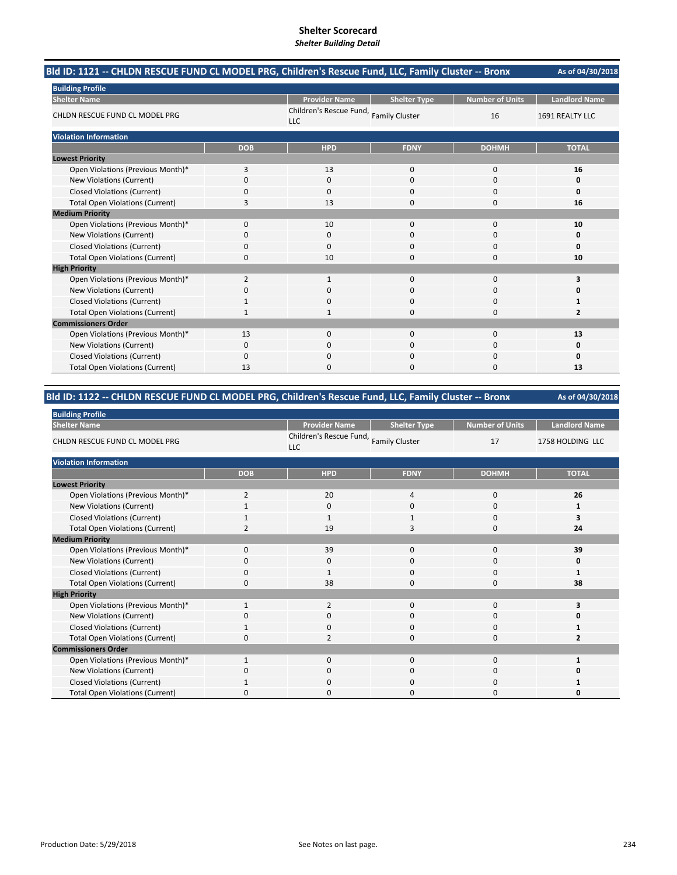| Bld ID: 1121 -- CHLDN RESCUE FUND CL MODEL PRG, Children's Rescue Fund, LLC, Family Cluster -- Bronx |            |                                               |                     |                        | As of 04/30/2018     |
|------------------------------------------------------------------------------------------------------|------------|-----------------------------------------------|---------------------|------------------------|----------------------|
| <b>Building Profile</b>                                                                              |            |                                               |                     |                        |                      |
| <b>Shelter Name</b>                                                                                  |            | <b>Provider Name</b>                          | <b>Shelter Type</b> | <b>Number of Units</b> | <b>Landlord Name</b> |
| CHLDN RESCUE FUND CL MODEL PRG                                                                       |            | Children's Rescue Fund, Family Cluster<br>LLC |                     | 16                     | 1691 REALTY LLC      |
| <b>Violation Information</b>                                                                         |            |                                               |                     |                        |                      |
|                                                                                                      | <b>DOB</b> | <b>HPD</b>                                    | <b>FDNY</b>         | <b>DOHMH</b>           | <b>TOTAL</b>         |
| <b>Lowest Priority</b>                                                                               |            |                                               |                     |                        |                      |
| Open Violations (Previous Month)*                                                                    | 3          | 13                                            | $\mathbf 0$         | 0                      | 16                   |
| New Violations (Current)                                                                             | 0          | $\mathbf{0}$                                  | $\Omega$            | 0                      | 0                    |
| <b>Closed Violations (Current)</b>                                                                   | 0          | $\Omega$                                      | $\Omega$            | 0                      | 0                    |
| <b>Total Open Violations (Current)</b>                                                               | 3          | 13                                            | $\Omega$            | 0                      | 16                   |
| <b>Medium Priority</b>                                                                               |            |                                               |                     |                        |                      |
| Open Violations (Previous Month)*                                                                    | $\Omega$   | 10                                            | $\Omega$            | 0                      | 10                   |
| <b>New Violations (Current)</b>                                                                      | 0          | 0                                             | C                   | 0                      | 0                    |
| <b>Closed Violations (Current)</b>                                                                   | 0          | $\Omega$                                      | $\mathbf 0$         | 0                      | 0                    |
| <b>Total Open Violations (Current)</b>                                                               | 0          | 10                                            | $\Omega$            | 0                      | 10                   |
| <b>High Priority</b>                                                                                 |            |                                               |                     |                        |                      |
| Open Violations (Previous Month)*                                                                    | 2          | 1                                             | 0                   | 0                      | 3                    |
| New Violations (Current)                                                                             | 0          | 0                                             | $\mathbf 0$         | 0                      |                      |
| <b>Closed Violations (Current)</b>                                                                   |            | ŋ                                             | $\Omega$            | 0                      |                      |
| <b>Total Open Violations (Current)</b>                                                               |            |                                               | $\Omega$            | 0                      | $\overline{2}$       |
| <b>Commissioners Order</b>                                                                           |            |                                               |                     |                        |                      |
| Open Violations (Previous Month)*                                                                    | 13         | $\Omega$                                      | $\Omega$            | 0                      | 13                   |
| <b>New Violations (Current)</b>                                                                      | 0          | 0                                             | C                   | 0                      | 0                    |
| <b>Closed Violations (Current)</b>                                                                   | 0          | 0                                             | $\Omega$            | 0                      | 0                    |
| <b>Total Open Violations (Current)</b>                                                               | 13         | n                                             | $\Omega$            | 0                      | 13                   |

# **Bld ID: 1122 ‐‐ CHLDN RESCUE FUND CL MODEL PRG, Children's Rescue Fund, LLC, Family Cluster ‐‐ Bronx**

| <b>Building Profile</b>                |                |                                                      |                     |                        |                      |
|----------------------------------------|----------------|------------------------------------------------------|---------------------|------------------------|----------------------|
| <b>Shelter Name</b>                    |                | <b>Provider Name</b>                                 | <b>Shelter Type</b> | <b>Number of Units</b> | <b>Landlord Name</b> |
| CHLDN RESCUE FUND CL MODEL PRG         |                | Children's Rescue Fund, Family Cluster<br><b>LLC</b> |                     | 17                     | 1758 HOLDING LLC     |
| <b>Violation Information</b>           |                |                                                      |                     |                        |                      |
|                                        | <b>DOB</b>     | <b>HPD</b>                                           | <b>FDNY</b>         | <b>DOHMH</b>           | <b>TOTAL</b>         |
| <b>Lowest Priority</b>                 |                |                                                      |                     |                        |                      |
| Open Violations (Previous Month)*      | $\overline{2}$ | 20                                                   | 4                   | $\mathbf 0$            | 26                   |
| New Violations (Current)               |                | $\mathbf 0$                                          | 0                   | 0                      | 1                    |
| <b>Closed Violations (Current)</b>     | $\mathbf{1}$   | $\mathbf{1}$                                         | 1                   | $\mathbf 0$            | 3                    |
| <b>Total Open Violations (Current)</b> | $\overline{2}$ | 19                                                   | 3                   | $\mathbf 0$            | 24                   |
| <b>Medium Priority</b>                 |                |                                                      |                     |                        |                      |
| Open Violations (Previous Month)*      | $\mathbf{0}$   | 39                                                   | 0                   | 0                      | 39                   |
| New Violations (Current)               | <sup>0</sup>   | 0                                                    | 0                   | 0                      | 0                    |
| <b>Closed Violations (Current)</b>     | 0              | 1                                                    | 0                   | 0                      | 1                    |
| <b>Total Open Violations (Current)</b> | 0              | 38                                                   | 0                   | $\mathbf 0$            | 38                   |
| <b>High Priority</b>                   |                |                                                      |                     |                        |                      |
| Open Violations (Previous Month)*      | $\mathbf{1}$   | $\overline{2}$                                       | 0                   | $\mathbf 0$            | 3                    |
| New Violations (Current)               | 0              | $\mathbf 0$                                          | 0                   | 0                      |                      |
| <b>Closed Violations (Current)</b>     |                | 0                                                    | 0                   | $\mathbf 0$            |                      |
| <b>Total Open Violations (Current)</b> | 0              | $\overline{2}$                                       | 0                   | 0                      | 2                    |
| <b>Commissioners Order</b>             |                |                                                      |                     |                        |                      |
| Open Violations (Previous Month)*      | 1              | $\Omega$                                             | $\Omega$            | $\Omega$               |                      |
| New Violations (Current)               | 0              | $\mathbf 0$                                          | 0                   | 0                      |                      |
| <b>Closed Violations (Current)</b>     |                | $\mathbf 0$                                          | $\Omega$            | 0                      |                      |
| <b>Total Open Violations (Current)</b> | O              | 0                                                    | O                   | $\Omega$               |                      |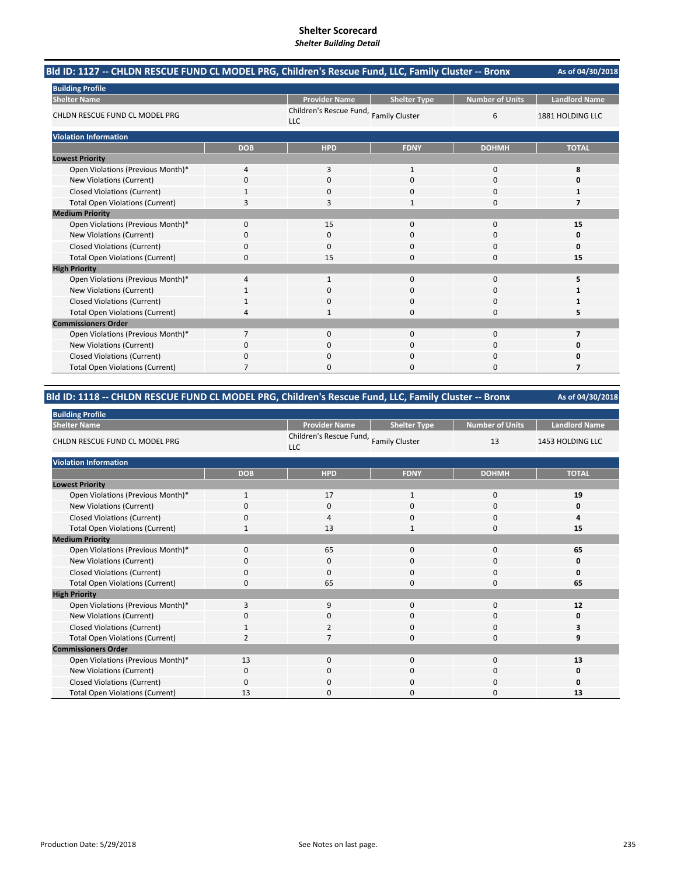| Bld ID: 1127 -- CHLDN RESCUE FUND CL MODEL PRG, Children's Rescue Fund, LLC, Family Cluster -- Bronx |            |                                                      |                     |                        | As of 04/30/2018     |
|------------------------------------------------------------------------------------------------------|------------|------------------------------------------------------|---------------------|------------------------|----------------------|
| <b>Building Profile</b>                                                                              |            |                                                      |                     |                        |                      |
| <b>Shelter Name</b>                                                                                  |            | <b>Provider Name</b>                                 | <b>Shelter Type</b> | <b>Number of Units</b> | <b>Landlord Name</b> |
| CHLDN RESCUE FUND CL MODEL PRG                                                                       |            | Children's Rescue Fund, Family Cluster<br><b>LLC</b> |                     | 6                      | 1881 HOLDING LLC     |
| <b>Violation Information</b>                                                                         |            |                                                      |                     |                        |                      |
|                                                                                                      | <b>DOB</b> | <b>HPD</b>                                           | <b>FDNY</b>         | <b>DOHMH</b>           | <b>TOTAL</b>         |
| <b>Lowest Priority</b>                                                                               |            |                                                      |                     |                        |                      |
| Open Violations (Previous Month)*                                                                    | 4          | 3                                                    | $\mathbf{1}$        | $\Omega$               | 8                    |
| New Violations (Current)                                                                             | 0          | $\Omega$                                             | $\Omega$            | $\Omega$               | n                    |
| <b>Closed Violations (Current)</b>                                                                   |            | 0                                                    | 0                   | $\Omega$               |                      |
| <b>Total Open Violations (Current)</b>                                                               | 3          | 3                                                    | $\mathbf{1}$        | $\Omega$               | 7                    |
| <b>Medium Priority</b>                                                                               |            |                                                      |                     |                        |                      |
| Open Violations (Previous Month)*                                                                    | 0          | 15                                                   | $\Omega$            | $\Omega$               | 15                   |
| New Violations (Current)                                                                             | ŋ          | 0                                                    | O                   | 0                      | Ω                    |
| <b>Closed Violations (Current)</b>                                                                   | 0          | 0                                                    | $\Omega$            | 0                      | 0                    |
| <b>Total Open Violations (Current)</b>                                                               | $\Omega$   | 15                                                   | 0                   | $\Omega$               | 15                   |
| <b>High Priority</b>                                                                                 |            |                                                      |                     |                        |                      |
| Open Violations (Previous Month)*                                                                    | 4          |                                                      | 0                   | 0                      | 5                    |
| New Violations (Current)                                                                             |            | 0                                                    | $\Omega$            | 0                      |                      |
| <b>Closed Violations (Current)</b>                                                                   |            | ŋ                                                    | 0                   | $\Omega$               |                      |
| <b>Total Open Violations (Current)</b>                                                               | 4          |                                                      | O                   | $\Omega$               | 5                    |
| <b>Commissioners Order</b>                                                                           |            |                                                      |                     |                        |                      |
| Open Violations (Previous Month)*                                                                    | 7          | 0                                                    | $\Omega$            | $\Omega$               | 7                    |
| <b>New Violations (Current)</b>                                                                      | 0          |                                                      | 0                   | $\Omega$               | Ω                    |
| <b>Closed Violations (Current)</b>                                                                   | 0          | $\Omega$                                             | 0                   | $\Omega$               | n                    |
| <b>Total Open Violations (Current)</b>                                                               | 7          | n                                                    | n                   | n                      | 7                    |

# **Bld ID: 1118 ‐‐ CHLDN RESCUE FUND CL MODEL PRG, Children's Rescue Fund, LLC, Family Cluster ‐‐ Bronx**

| <b>Building Profile</b>                |              |                                                      |                     |                        |                      |
|----------------------------------------|--------------|------------------------------------------------------|---------------------|------------------------|----------------------|
| <b>Shelter Name</b>                    |              | <b>Provider Name</b>                                 | <b>Shelter Type</b> | <b>Number of Units</b> | <b>Landlord Name</b> |
| CHLDN RESCUE FUND CL MODEL PRG         |              | Children's Rescue Fund, Family Cluster<br><b>LLC</b> |                     | 13                     | 1453 HOLDING LLC     |
| <b>Violation Information</b>           |              |                                                      |                     |                        |                      |
|                                        | <b>DOB</b>   | <b>HPD</b>                                           | <b>FDNY</b>         | <b>DOHMH</b>           | <b>TOTAL</b>         |
| <b>Lowest Priority</b>                 |              |                                                      |                     |                        |                      |
| Open Violations (Previous Month)*      | $\mathbf{1}$ | 17                                                   | $\mathbf{1}$        | 0                      | 19                   |
| New Violations (Current)               | 0            | $\mathbf 0$                                          | 0                   | 0                      | 0                    |
| <b>Closed Violations (Current)</b>     | 0            | $\overline{a}$                                       | 0                   | $\mathbf 0$            | 4                    |
| <b>Total Open Violations (Current)</b> | $\mathbf{1}$ | 13                                                   | $\mathbf{1}$        | $\mathbf 0$            | 15                   |
| <b>Medium Priority</b>                 |              |                                                      |                     |                        |                      |
| Open Violations (Previous Month)*      | $\Omega$     | 65                                                   | 0                   | 0                      | 65                   |
| New Violations (Current)               | 0            | 0                                                    | 0                   | 0                      | 0                    |
| <b>Closed Violations (Current)</b>     | 0            | $\Omega$                                             | $\Omega$            | $\mathbf 0$            | 0                    |
| <b>Total Open Violations (Current)</b> | 0            | 65                                                   | 0                   | $\mathbf 0$            | 65                   |
| <b>High Priority</b>                   |              |                                                      |                     |                        |                      |
| Open Violations (Previous Month)*      | 3            | 9                                                    | $\Omega$            | $\Omega$               | 12                   |
| New Violations (Current)               | 0            | $\mathbf 0$                                          | 0                   | $\mathbf 0$            | 0                    |
| <b>Closed Violations (Current)</b>     |              | $\overline{2}$                                       | 0                   | $\mathbf 0$            | 3                    |
| <b>Total Open Violations (Current)</b> |              |                                                      | 0                   | 0                      | 9                    |
| <b>Commissioners Order</b>             |              |                                                      |                     |                        |                      |
| Open Violations (Previous Month)*      | 13           | $\Omega$                                             | $\Omega$            | $\Omega$               | 13                   |
| New Violations (Current)               | 0            | 0                                                    | 0                   | 0                      | 0                    |
| <b>Closed Violations (Current)</b>     | $\Omega$     | $\mathbf 0$                                          | 0                   | $\mathbf 0$            | 0                    |
| <b>Total Open Violations (Current)</b> | 13           | $\Omega$                                             | 0                   | $\Omega$               | 13                   |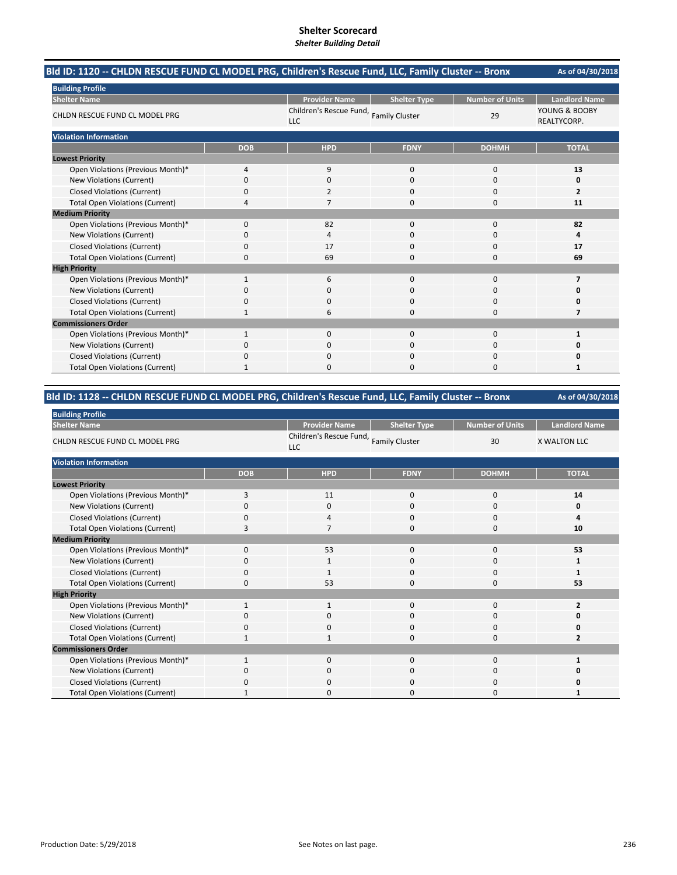| Bld ID: 1120 -- CHLDN RESCUE FUND CL MODEL PRG, Children's Rescue Fund, LLC, Family Cluster -- Bronx |              |                                       |                       |                        | As of 04/30/2018             |
|------------------------------------------------------------------------------------------------------|--------------|---------------------------------------|-----------------------|------------------------|------------------------------|
| <b>Building Profile</b>                                                                              |              |                                       |                       |                        |                              |
| <b>Shelter Name</b>                                                                                  |              | <b>Provider Name</b>                  | <b>Shelter Type</b>   | <b>Number of Units</b> | <b>Landlord Name</b>         |
| CHLDN RESCUE FUND CL MODEL PRG                                                                       |              | Children's Rescue Fund,<br><b>LLC</b> | <b>Family Cluster</b> | 29                     | YOUNG & BOOBY<br>REALTYCORP. |
| <b>Violation Information</b>                                                                         |              |                                       |                       |                        |                              |
|                                                                                                      | <b>DOB</b>   | <b>HPD</b>                            | <b>FDNY</b>           | <b>DOHMH</b>           | <b>TOTAL</b>                 |
| <b>Lowest Priority</b>                                                                               |              |                                       |                       |                        |                              |
| Open Violations (Previous Month)*                                                                    | 4            | 9                                     | $\Omega$              | $\mathbf 0$            | 13                           |
| New Violations (Current)                                                                             | 0            | $\Omega$                              | $\Omega$              | $\Omega$               | 0                            |
| <b>Closed Violations (Current)</b>                                                                   | 0            | 2                                     | 0                     | $\Omega$               | $\overline{2}$               |
| <b>Total Open Violations (Current)</b>                                                               | 4            |                                       | 0                     | $\Omega$               | 11                           |
| <b>Medium Priority</b>                                                                               |              |                                       |                       |                        |                              |
| Open Violations (Previous Month)*                                                                    | 0            | 82                                    | $\Omega$              | $\Omega$               | 82                           |
| New Violations (Current)                                                                             | 0            | 4                                     | 0                     | 0                      | 4                            |
| <b>Closed Violations (Current)</b>                                                                   | 0            | 17                                    | $\Omega$              | $\Omega$               | 17                           |
| <b>Total Open Violations (Current)</b>                                                               | $\Omega$     | 69                                    | O                     | $\Omega$               | 69                           |
| <b>High Priority</b>                                                                                 |              |                                       |                       |                        |                              |
| Open Violations (Previous Month)*                                                                    | 1            | 6                                     | $\Omega$              | $\Omega$               | 7                            |
| <b>New Violations (Current)</b>                                                                      | 0            | 0                                     | $\Omega$              | 0                      | 0                            |
| <b>Closed Violations (Current)</b>                                                                   | 0            | 0                                     | 0                     | $\Omega$               | O                            |
| <b>Total Open Violations (Current)</b>                                                               | 1            | 6                                     | 0                     | $\Omega$               | 7                            |
| <b>Commissioners Order</b>                                                                           |              |                                       |                       |                        |                              |
| Open Violations (Previous Month)*                                                                    | 1            | $\Omega$                              | $\Omega$              | $\Omega$               | 1                            |
| <b>New Violations (Current)</b>                                                                      | 0            | 0                                     | 0                     | 0                      | Ω                            |
| <b>Closed Violations (Current)</b>                                                                   | 0            | $\Omega$                              | O                     | $\Omega$               | n                            |
| <b>Total Open Violations (Current)</b>                                                               | $\mathbf{1}$ | n                                     | n                     | $\Omega$               | 1                            |

# **Bld ID: 1128 ‐‐ CHLDN RESCUE FUND CL MODEL PRG, Children's Rescue Fund, LLC, Family Cluster ‐‐ Bronx**

| <b>Building Profile</b>                |             |                                                      |                     |                        |                         |
|----------------------------------------|-------------|------------------------------------------------------|---------------------|------------------------|-------------------------|
| <b>Shelter Name</b>                    |             | <b>Provider Name</b>                                 | <b>Shelter Type</b> | <b>Number of Units</b> | <b>Landlord Name</b>    |
| CHLDN RESCUE FUND CL MODEL PRG         |             | Children's Rescue Fund, Family Cluster<br><b>LLC</b> |                     | 30                     | <b>X WALTON LLC</b>     |
| <b>Violation Information</b>           |             |                                                      |                     |                        |                         |
|                                        | <b>DOB</b>  | <b>HPD</b>                                           | <b>FDNY</b>         | <b>DOHMH</b>           | <b>TOTAL</b>            |
| <b>Lowest Priority</b>                 |             |                                                      |                     |                        |                         |
| Open Violations (Previous Month)*      | 3           | 11                                                   | 0                   | 0                      | 14                      |
| New Violations (Current)               | $\Omega$    | $\mathbf 0$                                          | $\mathbf{0}$        | 0                      | 0                       |
| <b>Closed Violations (Current)</b>     | $\mathbf 0$ | $\overline{4}$                                       | $\Omega$            | 0                      | 4                       |
| <b>Total Open Violations (Current)</b> | 3           | 7                                                    | $\Omega$            | $\mathbf 0$            | 10                      |
| <b>Medium Priority</b>                 |             |                                                      |                     |                        |                         |
| Open Violations (Previous Month)*      | $\mathbf 0$ | 53                                                   | $\mathbf 0$         | $\mathbf 0$            | 53                      |
| New Violations (Current)               | $\Omega$    | 1                                                    | $\mathbf{0}$        | 0                      |                         |
| <b>Closed Violations (Current)</b>     | $\mathbf 0$ | $\mathbf{1}$                                         | $\mathbf{0}$        | 0                      |                         |
| <b>Total Open Violations (Current)</b> | $\Omega$    | 53                                                   | $\Omega$            | 0                      | 53                      |
| <b>High Priority</b>                   |             |                                                      |                     |                        |                         |
| Open Violations (Previous Month)*      | 1           | $\mathbf{1}$                                         | $\mathbf 0$         | $\mathbf 0$            | $\overline{2}$          |
| <b>New Violations (Current)</b>        | 0           | $\mathbf 0$                                          | 0                   | 0                      | Ω                       |
| <b>Closed Violations (Current)</b>     | $\mathbf 0$ | 0                                                    | $\mathbf{0}$        | 0                      | 0                       |
| <b>Total Open Violations (Current)</b> | -1          | $\mathbf{1}$                                         | $\Omega$            | $\Omega$               | $\overline{\mathbf{z}}$ |
| <b>Commissioners Order</b>             |             |                                                      |                     |                        |                         |
| Open Violations (Previous Month)*      |             | $\mathbf{0}$                                         | $\mathbf{0}$        | 0                      |                         |
| New Violations (Current)               | O           | $\mathbf 0$                                          | 0                   | 0                      | 0                       |
| <b>Closed Violations (Current)</b>     | 0           | $\mathbf 0$                                          | $\mathbf{0}$        | 0                      | 0                       |
| <b>Total Open Violations (Current)</b> |             | $\Omega$                                             | $\Omega$            | $\Omega$               |                         |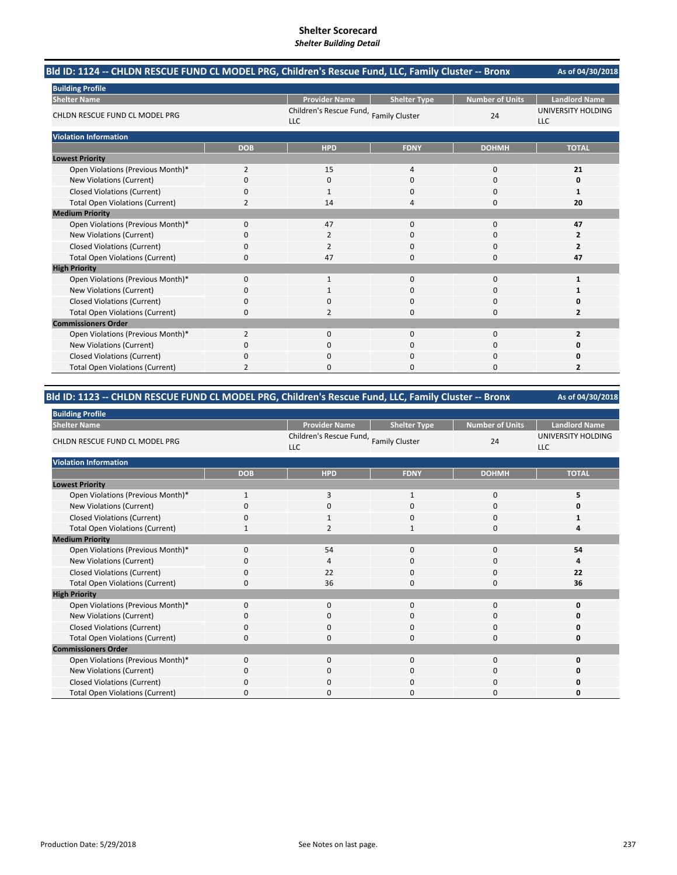| Bld ID: 1124 -- CHLDN RESCUE FUND CL MODEL PRG, Children's Rescue Fund, LLC, Family Cluster -- Bronx |                |                                                      |                     |                        | As of 04/30/2018                 |
|------------------------------------------------------------------------------------------------------|----------------|------------------------------------------------------|---------------------|------------------------|----------------------------------|
| <b>Building Profile</b>                                                                              |                |                                                      |                     |                        |                                  |
| <b>Shelter Name</b>                                                                                  |                | <b>Provider Name</b>                                 | <b>Shelter Type</b> | <b>Number of Units</b> | <b>Landlord Name</b>             |
| CHLDN RESCUE FUND CL MODEL PRG                                                                       |                | Children's Rescue Fund, Family Cluster<br><b>LLC</b> |                     | 24                     | UNIVERSITY HOLDING<br><b>LLC</b> |
| <b>Violation Information</b>                                                                         |                |                                                      |                     |                        |                                  |
|                                                                                                      | <b>DOB</b>     | <b>HPD</b>                                           | <b>FDNY</b>         | <b>DOHMH</b>           | <b>TOTAL</b>                     |
| <b>Lowest Priority</b>                                                                               |                |                                                      |                     |                        |                                  |
| Open Violations (Previous Month)*                                                                    | $\overline{2}$ | 15                                                   | $\overline{4}$      | $\Omega$               | 21                               |
| New Violations (Current)                                                                             | 0              | 0                                                    | $\Omega$            | $\Omega$               | 0                                |
| <b>Closed Violations (Current)</b>                                                                   | 0              | 1                                                    | $\Omega$            | $\Omega$               | 1                                |
| <b>Total Open Violations (Current)</b>                                                               | 2              | 14                                                   | Δ                   | $\Omega$               | 20                               |
| <b>Medium Priority</b>                                                                               |                |                                                      |                     |                        |                                  |
| Open Violations (Previous Month)*                                                                    | $\Omega$       | 47                                                   | $\Omega$            | $\Omega$               | 47                               |
| <b>New Violations (Current)</b>                                                                      | 0              | 2                                                    | 0                   | O                      | 2                                |
| <b>Closed Violations (Current)</b>                                                                   | 0              | 2                                                    | $\Omega$            | $\Omega$               | $\overline{2}$                   |
| <b>Total Open Violations (Current)</b>                                                               | 0              | 47                                                   | $\Omega$            | 0                      | 47                               |
| <b>High Priority</b>                                                                                 |                |                                                      |                     |                        |                                  |
| Open Violations (Previous Month)*                                                                    | 0              | $\mathbf{1}$                                         | $\Omega$            | 0                      | 1                                |
| New Violations (Current)                                                                             | 0              | 1                                                    | $\mathbf 0$         | 0                      | 1                                |
| <b>Closed Violations (Current)</b>                                                                   | 0              |                                                      | $\Omega$            | 0                      | 0                                |
| <b>Total Open Violations (Current)</b>                                                               | 0              | 2                                                    | $\Omega$            | O                      | $\overline{2}$                   |
| <b>Commissioners Order</b>                                                                           |                |                                                      |                     |                        |                                  |
| Open Violations (Previous Month)*                                                                    | 2              | 0                                                    | $\Omega$            | $\Omega$               | $\overline{2}$                   |
| <b>New Violations (Current)</b>                                                                      | 0              | 0                                                    | $\Omega$            | 0                      | 0                                |
| <b>Closed Violations (Current)</b>                                                                   | 0              | 0                                                    | $\Omega$            | $\Omega$               | 0                                |
| <b>Total Open Violations (Current)</b>                                                               | 2              | O                                                    | $\Omega$            | $\Omega$               | $\overline{2}$                   |

# **Bld ID: 1123 ‐‐ CHLDN RESCUE FUND CL MODEL PRG, Children's Rescue Fund, LLC, Family Cluster ‐‐ Bronx**

| <b>Building Profile</b>                |              |                                                      |                     |                        |                                  |  |
|----------------------------------------|--------------|------------------------------------------------------|---------------------|------------------------|----------------------------------|--|
| <b>Shelter Name</b>                    |              | <b>Provider Name</b>                                 | <b>Shelter Type</b> | <b>Number of Units</b> | <b>Landlord Name</b>             |  |
| CHLDN RESCUE FUND CL MODEL PRG         |              | Children's Rescue Fund, Family Cluster<br><b>LLC</b> |                     | 24                     | UNIVERSITY HOLDING<br><b>LLC</b> |  |
| <b>Violation Information</b>           |              |                                                      |                     |                        |                                  |  |
|                                        | <b>DOB</b>   | <b>HPD</b>                                           | <b>FDNY</b>         | <b>DOHMH</b>           | <b>TOTAL</b>                     |  |
| <b>Lowest Priority</b>                 |              |                                                      |                     |                        |                                  |  |
| Open Violations (Previous Month)*      | $\mathbf{1}$ | 3                                                    | $\mathbf{1}$        | $\mathbf 0$            | 5                                |  |
| New Violations (Current)               | $\Omega$     | $\mathbf 0$                                          | $\Omega$            | 0                      | 0                                |  |
| <b>Closed Violations (Current)</b>     | 0            | $\mathbf{1}$                                         | 0                   | 0                      | 1                                |  |
| <b>Total Open Violations (Current)</b> | $\mathbf{1}$ | $\overline{2}$                                       | $\mathbf{1}$        | 0                      | 4                                |  |
| <b>Medium Priority</b>                 |              |                                                      |                     |                        |                                  |  |
| Open Violations (Previous Month)*      | $\mathbf 0$  | 54                                                   | $\mathbf{0}$        | 0                      | 54                               |  |
| New Violations (Current)               | $\Omega$     | 4                                                    | $\mathbf{0}$        | 0                      | 4                                |  |
| <b>Closed Violations (Current)</b>     | 0            | 22                                                   | $\mathbf{0}$        | 0                      | 22                               |  |
| <b>Total Open Violations (Current)</b> | $\Omega$     | 36                                                   | $\Omega$            | 0                      | 36                               |  |
| <b>High Priority</b>                   |              |                                                      |                     |                        |                                  |  |
| Open Violations (Previous Month)*      | $\Omega$     | $\mathbf{0}$                                         | $\mathbf{0}$        | $\mathbf 0$            | 0                                |  |
| New Violations (Current)               | $\Omega$     | $\mathbf 0$                                          | 0                   | 0                      | 0                                |  |
| <b>Closed Violations (Current)</b>     | 0            | 0                                                    | $\mathbf{0}$        | 0                      | 0                                |  |
| <b>Total Open Violations (Current)</b> | $\Omega$     | $\mathbf 0$                                          | $\mathbf{0}$        | 0                      | O                                |  |
| <b>Commissioners Order</b>             |              |                                                      |                     |                        |                                  |  |
| Open Violations (Previous Month)*      | $\Omega$     | $\mathbf 0$                                          | $\mathbf{0}$        | 0                      | O                                |  |
| New Violations (Current)               | 0            | $\mathbf 0$                                          | 0                   | 0                      | 0                                |  |
| <b>Closed Violations (Current)</b>     | $\Omega$     | $\mathbf 0$                                          | 0                   | 0                      | O                                |  |
| <b>Total Open Violations (Current)</b> | Ω            | $\Omega$                                             | ი                   | $\Omega$               | 0                                |  |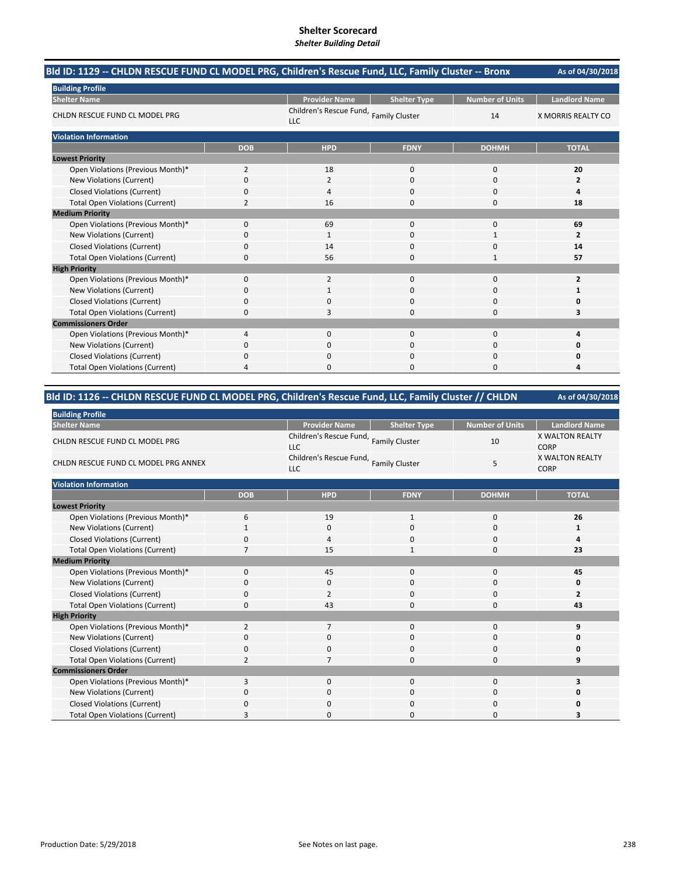| Bld ID: 1129 -- CHLDN RESCUE FUND CL MODEL PRG, Children's Rescue Fund, LLC, Family Cluster -- Bronx |              |                                                      |                     |                        | As of 04/30/2018          |
|------------------------------------------------------------------------------------------------------|--------------|------------------------------------------------------|---------------------|------------------------|---------------------------|
| <b>Building Profile</b>                                                                              |              |                                                      |                     |                        |                           |
| <b>Shelter Name</b>                                                                                  |              | <b>Provider Name</b>                                 | <b>Shelter Type</b> | <b>Number of Units</b> | <b>Landlord Name</b>      |
| CHLDN RESCUE FUND CL MODEL PRG                                                                       |              | Children's Rescue Fund, Family Cluster<br><b>LLC</b> |                     | 14                     | <b>X MORRIS REALTY CO</b> |
| <b>Violation Information</b>                                                                         |              |                                                      |                     |                        |                           |
|                                                                                                      | <b>DOB</b>   | <b>HPD</b>                                           | <b>FDNY</b>         | <b>DOHMH</b>           | <b>TOTAL</b>              |
| <b>Lowest Priority</b>                                                                               |              |                                                      |                     |                        |                           |
| Open Violations (Previous Month)*                                                                    | 2            | 18                                                   | $\Omega$            | 0                      | 20                        |
| <b>New Violations (Current)</b>                                                                      | 0            | 2                                                    | $\mathbf 0$         | 0                      | $\overline{2}$            |
| <b>Closed Violations (Current)</b>                                                                   | 0            | 4                                                    | $\mathbf{0}$        | 0                      | 4                         |
| <b>Total Open Violations (Current)</b>                                                               | 2            | 16                                                   | $\Omega$            | 0                      | 18                        |
| <b>Medium Priority</b>                                                                               |              |                                                      |                     |                        |                           |
| Open Violations (Previous Month)*                                                                    | $\mathbf{0}$ | 69                                                   | $\Omega$            | 0                      | 69                        |
| <b>New Violations (Current)</b>                                                                      | 0            | 1                                                    | C                   |                        | $\overline{2}$            |
| <b>Closed Violations (Current)</b>                                                                   | 0            | 14                                                   | $\Omega$            | 0                      | 14                        |
| <b>Total Open Violations (Current)</b>                                                               | 0            | 56                                                   | $\Omega$            | 1                      | 57                        |
| <b>High Priority</b>                                                                                 |              |                                                      |                     |                        |                           |
| Open Violations (Previous Month)*                                                                    | $\mathbf{0}$ | 2                                                    | $\Omega$            | 0                      | $\overline{2}$            |
| <b>New Violations (Current)</b>                                                                      | 0            | 1                                                    | $\mathbf 0$         | 0                      |                           |
| <b>Closed Violations (Current)</b>                                                                   | 0            | n                                                    | $\Omega$            | 0                      |                           |
| <b>Total Open Violations (Current)</b>                                                               | 0            | 3                                                    | $\Omega$            | 0                      | з                         |
| <b>Commissioners Order</b>                                                                           |              |                                                      |                     |                        |                           |
| Open Violations (Previous Month)*                                                                    | 4            | $\Omega$                                             | $\Omega$            | 0                      |                           |
| <b>New Violations (Current)</b>                                                                      | 0            | 0                                                    | $\Omega$            | 0                      |                           |
| <b>Closed Violations (Current)</b>                                                                   | 0            | 0                                                    | $\mathbf 0$         | 0                      |                           |
| <b>Total Open Violations (Current)</b>                                                               | 4            | ŋ                                                    | $\Omega$            | 0                      |                           |

# **Bld ID: 1126 ‐‐ CHLDN RESCUE FUND CL MODEL PRG, Children's Rescue Fund, LLC, Family Cluster // CHLDN**

| <b>Building Profile</b>                |             |                                                      |                     |                        |                                       |  |  |
|----------------------------------------|-------------|------------------------------------------------------|---------------------|------------------------|---------------------------------------|--|--|
| <b>Shelter Name</b>                    |             | <b>Provider Name</b>                                 | <b>Shelter Type</b> | <b>Number of Units</b> | <b>Landlord Name</b>                  |  |  |
| CHLDN RESCUE FUND CL MODEL PRG         |             | Children's Rescue Fund, Family Cluster<br><b>LLC</b> |                     | 10                     | <b>X WALTON REALTY</b><br><b>CORP</b> |  |  |
| CHLDN RESCUE FUND CL MODEL PRG ANNEX   |             | Children's Rescue Fund, Family Cluster<br><b>LLC</b> |                     | 5                      | <b>X WALTON REALTY</b><br><b>CORP</b> |  |  |
| <b>Violation Information</b>           |             |                                                      |                     |                        |                                       |  |  |
|                                        | <b>DOB</b>  | <b>HPD</b>                                           | <b>FDNY</b>         | <b>DOHMH</b>           | <b>TOTAL</b>                          |  |  |
| <b>Lowest Priority</b>                 |             |                                                      |                     |                        |                                       |  |  |
| Open Violations (Previous Month)*      | 6           | 19                                                   | $\mathbf{1}$        | $\mathbf 0$            | 26                                    |  |  |
| New Violations (Current)               |             | $\mathbf 0$                                          | $\Omega$            | $\mathbf 0$            | 1                                     |  |  |
| <b>Closed Violations (Current)</b>     | $\Omega$    | $\overline{4}$                                       | $\Omega$            | $\mathbf 0$            | 4                                     |  |  |
| <b>Total Open Violations (Current)</b> | 7           | 15                                                   |                     | 0                      | 23                                    |  |  |
| <b>Medium Priority</b>                 |             |                                                      |                     |                        |                                       |  |  |
| Open Violations (Previous Month)*      | 0           | 45                                                   | 0                   | 0                      | 45                                    |  |  |
| New Violations (Current)               | 0           | 0                                                    | 0                   | 0                      | 0                                     |  |  |
| <b>Closed Violations (Current)</b>     | 0           | $\overline{2}$                                       | 0                   | 0                      | 2                                     |  |  |
| <b>Total Open Violations (Current)</b> | $\mathbf 0$ | 43                                                   | 0                   | 0                      | 43                                    |  |  |
| <b>High Priority</b>                   |             |                                                      |                     |                        |                                       |  |  |

Open Violations (Previous Month)\* 2700 **9**

Closed Violations (Current) 0000 **0**

Open Violations (Previous Month)\* 3000 **3**

Closed Violations (Current) 0000 **0** Total Open Violations (Current) **3** 0 0 0 0 3

New Violations (Current) 0000 **0**

**Total Open Violations (Current)** 

**New Violations (Current)** 

**Commissioners Order**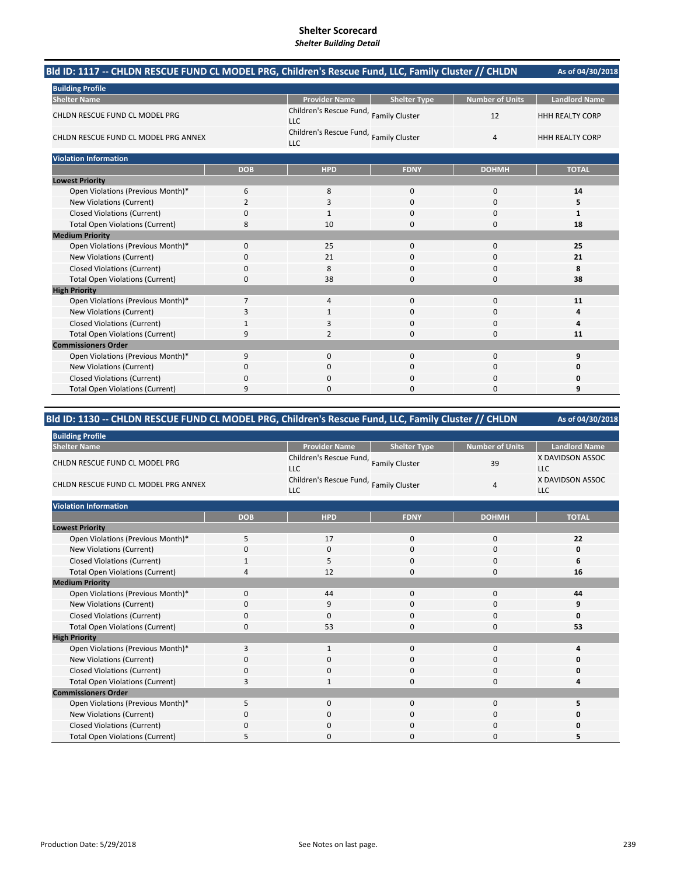| Bld ID: 1117 -- CHLDN RESCUE FUND CL MODEL PRG, Children's Rescue Fund, LLC, Family Cluster // CHLDN |                |                                                      |                     |                        | As of 04/30/2018       |
|------------------------------------------------------------------------------------------------------|----------------|------------------------------------------------------|---------------------|------------------------|------------------------|
| <b>Building Profile</b>                                                                              |                |                                                      |                     |                        |                        |
| <b>Shelter Name</b>                                                                                  |                | <b>Provider Name</b>                                 | <b>Shelter Type</b> | <b>Number of Units</b> | <b>Landlord Name</b>   |
| CHLDN RESCUE FUND CL MODEL PRG                                                                       |                | Children's Rescue Fund, Family Cluster<br><b>LLC</b> |                     | 12                     | <b>HHH REALTY CORP</b> |
| CHLDN RESCUE FUND CL MODEL PRG ANNEX                                                                 |                | Children's Rescue Fund, Family Cluster<br><b>LLC</b> |                     | $\overline{4}$         | <b>HHH REALTY CORP</b> |
| <b>Violation Information</b>                                                                         |                |                                                      |                     |                        |                        |
|                                                                                                      | <b>DOB</b>     | <b>HPD</b>                                           | <b>FDNY</b>         | <b>DOHMH</b>           | <b>TOTAL</b>           |
| <b>Lowest Priority</b>                                                                               |                |                                                      |                     |                        |                        |
| Open Violations (Previous Month)*                                                                    | 6              | 8                                                    | 0                   | 0                      | 14                     |
| New Violations (Current)                                                                             | $\overline{2}$ | 3                                                    | 0                   | 0                      | 5                      |
| <b>Closed Violations (Current)</b>                                                                   | 0              |                                                      | $\Omega$            | 0                      | 1                      |
| <b>Total Open Violations (Current)</b>                                                               | 8              | 10                                                   | 0                   | 0                      | 18                     |
| <b>Medium Priority</b>                                                                               |                |                                                      |                     |                        |                        |
| Open Violations (Previous Month)*                                                                    | 0              | 25                                                   | $\mathbf{0}$        | 0                      | 25                     |
| New Violations (Current)                                                                             | 0              | 21                                                   | $\Omega$            | 0                      | 21                     |
| <b>Closed Violations (Current)</b>                                                                   | 0              | 8                                                    | $\Omega$            | 0                      | 8                      |
| <b>Total Open Violations (Current)</b>                                                               | 0              | 38                                                   | $\Omega$            | 0                      | 38                     |
| <b>High Priority</b>                                                                                 |                |                                                      |                     |                        |                        |
| Open Violations (Previous Month)*                                                                    | $\overline{7}$ | $\overline{4}$                                       | $\mathbf 0$         | $\mathbf 0$            | 11                     |
| New Violations (Current)                                                                             | 3              |                                                      | 0                   | 0                      | 4                      |
| <b>Closed Violations (Current)</b>                                                                   | 1              | 3                                                    | $\Omega$            | 0                      | 4                      |
| <b>Total Open Violations (Current)</b>                                                               | 9              | 2                                                    | 0                   | 0                      | 11                     |
| <b>Commissioners Order</b>                                                                           |                |                                                      |                     |                        |                        |
| Open Violations (Previous Month)*                                                                    | 9              | $\mathbf{0}$                                         | $\mathbf{0}$        | 0                      | 9                      |
| New Violations (Current)                                                                             | 0              | 0                                                    | 0                   | 0                      | 0                      |
| <b>Closed Violations (Current)</b>                                                                   | 0              | $\Omega$                                             | 0                   | 0                      | 0                      |
| <b>Total Open Violations (Current)</b>                                                               | 9              | $\Omega$                                             | $\Omega$            | 0                      | 9                      |

| Bld ID: 1130 -- CHLDN RESCUE FUND CL MODEL PRG, Children's Rescue Fund, LLC, Family Cluster // CHLDN |  | As of 04/30/2018 |
|------------------------------------------------------------------------------------------------------|--|------------------|
|                                                                                                      |  |                  |

| ild ID: 1130 -- CHLDN RESCUE FUND CL MODEL PRG, Children's Rescue Fund, LLC, Family Ciuster // CHLDN |            |                                                      |                     |                        | AS OT 04/30/2018               |
|------------------------------------------------------------------------------------------------------|------------|------------------------------------------------------|---------------------|------------------------|--------------------------------|
| <b>Building Profile</b>                                                                              |            |                                                      |                     |                        |                                |
| <b>Shelter Name</b>                                                                                  |            | <b>Provider Name</b>                                 | <b>Shelter Type</b> | <b>Number of Units</b> | <b>Landlord Name</b>           |
| CHLDN RESCUE FUND CL MODEL PRG                                                                       |            | Children's Rescue Fund, Family Cluster<br><b>LLC</b> |                     | 39                     | X DAVIDSON ASSOC<br><b>LLC</b> |
| CHLDN RESCUE FUND CL MODEL PRG ANNEX                                                                 |            | Children's Rescue Fund, Family Cluster<br><b>LLC</b> |                     | $\overline{4}$         | X DAVIDSON ASSOC<br>LLC        |
| <b>Violation Information</b>                                                                         |            |                                                      |                     |                        |                                |
|                                                                                                      | <b>DOB</b> | <b>HPD</b>                                           | <b>FDNY</b>         | <b>DOHMH</b>           | <b>TOTAL</b>                   |
| <b>Lowest Priority</b>                                                                               |            |                                                      |                     |                        |                                |
| Open Violations (Previous Month)*                                                                    | 5          | 17                                                   | 0                   | 0                      | 22                             |
| New Violations (Current)                                                                             | $\Omega$   | 0                                                    | $\Omega$            | 0                      | 0                              |
| <b>Closed Violations (Current)</b>                                                                   | 1          | 5                                                    | 0                   | 0                      | 6                              |
| <b>Total Open Violations (Current)</b>                                                               | 4          | 12                                                   | 0                   | 0                      | 16                             |
| <b>Medium Priority</b>                                                                               |            |                                                      |                     |                        |                                |
| Open Violations (Previous Month)*                                                                    | 0          | 44                                                   | 0                   | $\mathbf 0$            | 44                             |
| New Violations (Current)                                                                             | 0          | 9                                                    | 0                   | 0                      | 9                              |
| <b>Closed Violations (Current)</b>                                                                   | $\Omega$   | 0                                                    | 0                   | 0                      | O                              |
| <b>Total Open Violations (Current)</b>                                                               | 0          | 53                                                   | 0                   | 0                      | 53                             |
| <b>High Priority</b>                                                                                 |            |                                                      |                     |                        |                                |
| Open Violations (Previous Month)*                                                                    | 3          | $\mathbf{1}$                                         | 0                   | $\mathbf 0$            | 4                              |
| New Violations (Current)                                                                             | $\Omega$   | 0                                                    | 0                   | 0                      | 0                              |
| <b>Closed Violations (Current)</b>                                                                   | 0          | 0                                                    | 0                   | 0                      | 0                              |
| <b>Total Open Violations (Current)</b>                                                               | 3          | $\mathbf{1}$                                         | $\Omega$            | 0                      | 4                              |
| <b>Commissioners Order</b>                                                                           |            |                                                      |                     |                        |                                |
| Open Violations (Previous Month)*                                                                    | 5          | 0                                                    | 0                   | 0                      | 5                              |
| New Violations (Current)                                                                             | 0          | 0                                                    | 0                   | 0                      | 0                              |
| <b>Closed Violations (Current)</b>                                                                   | $\Omega$   | 0                                                    | 0                   | 0                      | 0                              |
| <b>Total Open Violations (Current)</b>                                                               | 5          | $\Omega$                                             | O                   | 0                      | 5                              |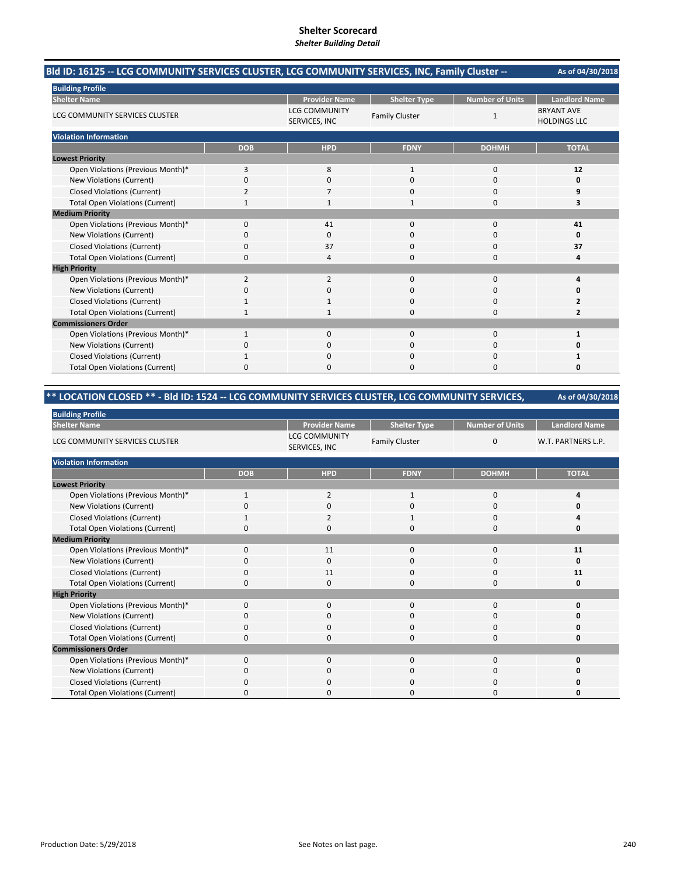| Bld ID: 16125 -- LCG COMMUNITY SERVICES CLUSTER, LCG COMMUNITY SERVICES, INC, Family Cluster -- |                |                                       |                       |                        | As of 04/30/2018                         |
|-------------------------------------------------------------------------------------------------|----------------|---------------------------------------|-----------------------|------------------------|------------------------------------------|
| <b>Building Profile</b>                                                                         |                |                                       |                       |                        |                                          |
| <b>Shelter Name</b>                                                                             |                | <b>Provider Name</b>                  | <b>Shelter Type</b>   | <b>Number of Units</b> | <b>Landlord Name</b>                     |
| LCG COMMUNITY SERVICES CLUSTER                                                                  |                | <b>LCG COMMUNITY</b><br>SERVICES, INC | <b>Family Cluster</b> | $\mathbf{1}$           | <b>BRYANT AVE</b><br><b>HOLDINGS LLC</b> |
| <b>Violation Information</b>                                                                    |                |                                       |                       |                        |                                          |
|                                                                                                 | <b>DOB</b>     | <b>HPD</b>                            | <b>FDNY</b>           | <b>DOHMH</b>           | <b>TOTAL</b>                             |
| <b>Lowest Priority</b>                                                                          |                |                                       |                       |                        |                                          |
| Open Violations (Previous Month)*                                                               | 3              | 8                                     | $\mathbf{1}$          | $\mathbf 0$            | 12                                       |
| New Violations (Current)                                                                        | 0              | $\Omega$                              | $\Omega$              | $\Omega$               | 0                                        |
| <b>Closed Violations (Current)</b>                                                              | 2              |                                       | n                     | $\Omega$               | 9                                        |
| <b>Total Open Violations (Current)</b>                                                          | $\mathbf{1}$   |                                       | $\mathbf{1}$          | $\Omega$               | 3                                        |
| <b>Medium Priority</b>                                                                          |                |                                       |                       |                        |                                          |
| Open Violations (Previous Month)*                                                               | $\Omega$       | 41                                    | $\Omega$              | $\Omega$               | 41                                       |
| New Violations (Current)                                                                        | 0              | 0                                     | 0                     | $\Omega$               | 0                                        |
| <b>Closed Violations (Current)</b>                                                              | $\Omega$       | 37                                    | $\Omega$              | $\Omega$               | 37                                       |
| <b>Total Open Violations (Current)</b>                                                          | 0              |                                       | U                     | n                      | Δ                                        |
| <b>High Priority</b>                                                                            |                |                                       |                       |                        |                                          |
| Open Violations (Previous Month)*                                                               | $\overline{2}$ | $\overline{2}$                        | $\mathbf 0$           | $\Omega$               | 4                                        |
| New Violations (Current)                                                                        | ŋ              | $\Omega$                              | O                     | $\Omega$               | o                                        |
| <b>Closed Violations (Current)</b>                                                              |                |                                       | O                     | $\Omega$               | 2                                        |
| <b>Total Open Violations (Current)</b>                                                          |                |                                       | O                     | $\Omega$               | 2                                        |
| <b>Commissioners Order</b>                                                                      |                |                                       |                       |                        |                                          |
| Open Violations (Previous Month)*                                                               | $\mathbf{1}$   | $\Omega$                              | $\Omega$              | $\Omega$               | 1                                        |
| New Violations (Current)                                                                        | 0              | $\Omega$                              | $\Omega$              | $\Omega$               | 0                                        |
| <b>Closed Violations (Current)</b>                                                              |                | $\Omega$                              | $\Omega$              | $\Omega$               |                                          |
| <b>Total Open Violations (Current)</b>                                                          | ŋ              |                                       | U                     | n                      | n                                        |

# **\*\* LOCATION CLOSED \*\* ‐ Bld ID: 1524 ‐‐ LCG COMMUNITY SERVICES CLUSTER, LCG COMMUNITY SERVICES,**

| <b>Building Profile</b>                |              |                                       |                       |                        |                      |
|----------------------------------------|--------------|---------------------------------------|-----------------------|------------------------|----------------------|
| <b>Shelter Name</b>                    |              | <b>Provider Name</b>                  | <b>Shelter Type</b>   | <b>Number of Units</b> | <b>Landlord Name</b> |
| LCG COMMUNITY SERVICES CLUSTER         |              | <b>LCG COMMUNITY</b><br>SERVICES, INC | <b>Family Cluster</b> | $\mathbf 0$            | W.T. PARTNERS L.P.   |
| <b>Violation Information</b>           |              |                                       |                       |                        |                      |
|                                        | <b>DOB</b>   | <b>HPD</b>                            | <b>FDNY</b>           | <b>DOHMH</b>           | <b>TOTAL</b>         |
| <b>Lowest Priority</b>                 |              |                                       |                       |                        |                      |
| Open Violations (Previous Month)*      | 1            | $\overline{2}$                        | 1                     | $\mathbf 0$            |                      |
| New Violations (Current)               | ŋ            | $\mathbf 0$                           | 0                     | 0                      |                      |
| <b>Closed Violations (Current)</b>     |              | $\overline{2}$                        |                       | 0                      |                      |
| <b>Total Open Violations (Current)</b> | O            | $\Omega$                              | $\Omega$              | $\mathbf 0$            | n                    |
| <b>Medium Priority</b>                 |              |                                       |                       |                        |                      |
| Open Violations (Previous Month)*      | $\Omega$     | 11                                    | $\Omega$              | 0                      | 11                   |
| New Violations (Current)               | 0            | $\Omega$                              | 0                     | 0                      | 0                    |
| <b>Closed Violations (Current)</b>     | 0            | 11                                    | 0                     | 0                      | 11                   |
| <b>Total Open Violations (Current)</b> | 0            | $\mathbf 0$                           | 0                     | $\mathbf 0$            | 0                    |
| <b>High Priority</b>                   |              |                                       |                       |                        |                      |
| Open Violations (Previous Month)*      | $\mathbf 0$  | $\mathbf{0}$                          | $\mathbf 0$           | 0                      | U                    |
| New Violations (Current)               | 0            | $\mathbf 0$                           | 0                     | 0                      | n                    |
| <b>Closed Violations (Current)</b>     | 0            | $\mathbf 0$                           | 0                     | $\mathbf 0$            |                      |
| <b>Total Open Violations (Current)</b> | ŋ            | 0                                     | 0                     | 0                      | Ω                    |
| <b>Commissioners Order</b>             |              |                                       |                       |                        |                      |
| Open Violations (Previous Month)*      | $\Omega$     | $\Omega$                              | $\Omega$              | $\mathbf 0$            | U                    |
| New Violations (Current)               | 0            | $\mathbf 0$                           | 0                     | 0                      | n                    |
| <b>Closed Violations (Current)</b>     | $\Omega$     | $\mathbf 0$                           | 0                     | $\mathbf 0$            |                      |
| <b>Total Open Violations (Current)</b> | <sup>0</sup> | $\Omega$                              | 0                     | $\Omega$               | n                    |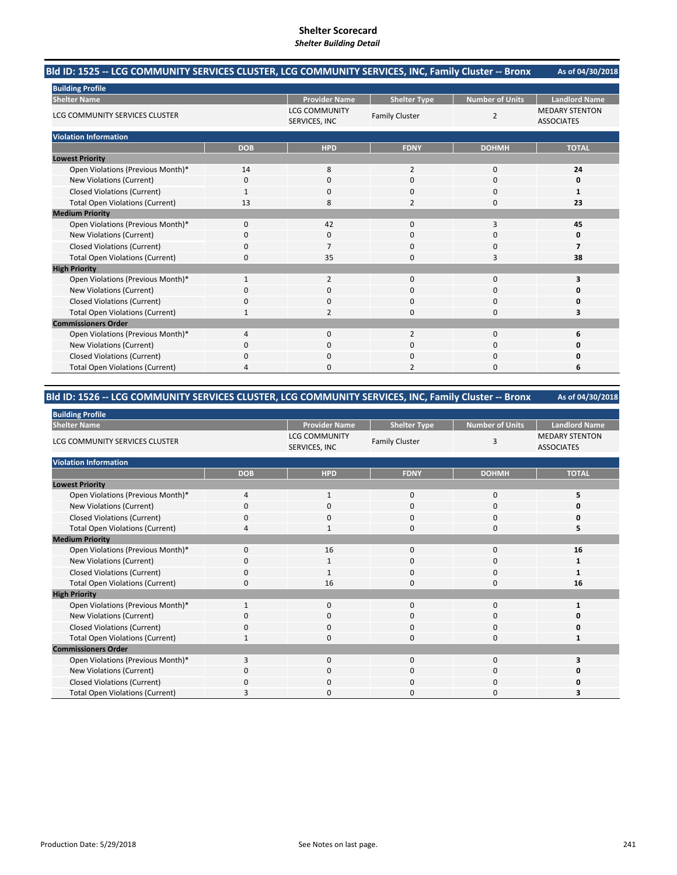#### **As of 04/30/2018 Bld ID: 1525 ‐‐ LCG COMMUNITY SERVICES CLUSTER, LCG COMMUNITY SERVICES, INC, Family Cluster ‐‐ Bronx**

| <b>Building Profile</b>                |                |                                       |                       |                        |                                            |
|----------------------------------------|----------------|---------------------------------------|-----------------------|------------------------|--------------------------------------------|
| <b>Shelter Name</b>                    |                | <b>Provider Name</b>                  | <b>Shelter Type</b>   | <b>Number of Units</b> | <b>Landlord Name</b>                       |
| LCG COMMUNITY SERVICES CLUSTER         |                | <b>LCG COMMUNITY</b><br>SERVICES, INC | <b>Family Cluster</b> | 2                      | <b>MEDARY STENTON</b><br><b>ASSOCIATES</b> |
| <b>Violation Information</b>           |                |                                       |                       |                        |                                            |
|                                        | <b>DOB</b>     | <b>HPD</b>                            | <b>FDNY</b>           | <b>DOHMH</b>           | <b>TOTAL</b>                               |
| <b>Lowest Priority</b>                 |                |                                       |                       |                        |                                            |
| Open Violations (Previous Month)*      | 14             | 8                                     | 2                     | 0                      | 24                                         |
| New Violations (Current)               | $\Omega$       | $\Omega$                              | 0                     | 0                      | 0                                          |
| <b>Closed Violations (Current)</b>     | 1              | $\Omega$                              | 0                     | 0                      | 1                                          |
| <b>Total Open Violations (Current)</b> | 13             | 8                                     | $\overline{2}$        | $\mathbf 0$            | 23                                         |
| <b>Medium Priority</b>                 |                |                                       |                       |                        |                                            |
| Open Violations (Previous Month)*      | $\Omega$       | 42                                    | 0                     | 3                      | 45                                         |
| New Violations (Current)               | O              | 0                                     | 0                     | 0                      |                                            |
| <b>Closed Violations (Current)</b>     | $\mathbf 0$    | $\overline{7}$                        | 0                     | $\mathbf 0$            | 7                                          |
| <b>Total Open Violations (Current)</b> | $\Omega$       | 35                                    | 0                     | 3                      | 38                                         |
| <b>High Priority</b>                   |                |                                       |                       |                        |                                            |
| Open Violations (Previous Month)*      | 1              | $\overline{2}$                        | 0                     | $\mathbf 0$            | 3                                          |
| New Violations (Current)               | $\Omega$       | 0                                     | 0                     | $\mathbf 0$            |                                            |
| <b>Closed Violations (Current)</b>     | 0              | $\Omega$                              | 0                     | $\mathbf 0$            |                                            |
| <b>Total Open Violations (Current)</b> |                | $\overline{2}$                        | 0                     | $\mathbf 0$            | 3                                          |
| <b>Commissioners Order</b>             |                |                                       |                       |                        |                                            |
| Open Violations (Previous Month)*      | $\overline{4}$ | $\mathbf{0}$                          | $\overline{2}$        | 0                      | 6                                          |
| New Violations (Current)               | $\Omega$       | $\Omega$                              | 0                     | $\Omega$               |                                            |
| <b>Closed Violations (Current)</b>     | 0              | 0                                     | 0                     | 0                      |                                            |
| <b>Total Open Violations (Current)</b> | $\Delta$       | $\Omega$                              | $\overline{2}$        | $\Omega$               | 6                                          |

# **Bld ID: 1526 ‐‐ LCG COMMUNITY SERVICES CLUSTER, LCG COMMUNITY SERVICES, INC, Family Cluster ‐‐ Bronx**

| <b>Building Profile</b>                |            |                                       |                       |                        |                                            |
|----------------------------------------|------------|---------------------------------------|-----------------------|------------------------|--------------------------------------------|
| <b>Shelter Name</b>                    |            | <b>Provider Name</b>                  | <b>Shelter Type</b>   | <b>Number of Units</b> | <b>Landlord Name</b>                       |
| LCG COMMUNITY SERVICES CLUSTER         |            | <b>LCG COMMUNITY</b><br>SERVICES, INC | <b>Family Cluster</b> | 3                      | <b>MEDARY STENTON</b><br><b>ASSOCIATES</b> |
| <b>Violation Information</b>           |            |                                       |                       |                        |                                            |
|                                        | <b>DOB</b> | <b>HPD</b>                            | <b>FDNY</b>           | <b>DOHMH</b>           | <b>TOTAL</b>                               |
| <b>Lowest Priority</b>                 |            |                                       |                       |                        |                                            |
| Open Violations (Previous Month)*      | 4          | 1                                     | $\mathbf 0$           | 0                      | 5                                          |
| New Violations (Current)               | $\Omega$   | $\Omega$                              | 0                     | 0                      |                                            |
| <b>Closed Violations (Current)</b>     | $\Omega$   | $\mathbf 0$                           | 0                     | 0                      |                                            |
| <b>Total Open Violations (Current)</b> | Δ          | $\mathbf{1}$                          | $\Omega$              | $\Omega$               | 5                                          |
| <b>Medium Priority</b>                 |            |                                       |                       |                        |                                            |
| Open Violations (Previous Month)*      | $\Omega$   | 16                                    | 0                     | $\mathbf 0$            | 16                                         |
| New Violations (Current)               | 0          |                                       | 0                     | 0                      |                                            |
| <b>Closed Violations (Current)</b>     | 0          | $\mathbf{1}$                          | 0                     | 0                      |                                            |
| <b>Total Open Violations (Current)</b> | $\Omega$   | 16                                    | $\Omega$              | $\mathbf 0$            | 16                                         |
| <b>High Priority</b>                   |            |                                       |                       |                        |                                            |
| Open Violations (Previous Month)*      |            | $\Omega$                              | $\mathbf{0}$          | $\mathbf 0$            |                                            |
| New Violations (Current)               | O          | 0                                     | 0                     | 0                      |                                            |
| <b>Closed Violations (Current)</b>     | 0          | $\Omega$                              | 0                     | $\mathbf 0$            |                                            |
| <b>Total Open Violations (Current)</b> |            | $\Omega$                              | 0                     | $\mathbf 0$            |                                            |
| <b>Commissioners Order</b>             |            |                                       |                       |                        |                                            |
| Open Violations (Previous Month)*      | 3          | $\Omega$                              | $\mathbf{0}$          | 0                      | 3                                          |
| New Violations (Current)               | 0          | $\mathbf 0$                           | 0                     | $\mathbf 0$            |                                            |
| <b>Closed Violations (Current)</b>     | $\Omega$   | $\mathbf 0$                           | 0                     | 0                      |                                            |
| <b>Total Open Violations (Current)</b> |            | $\Omega$                              | O                     | $\Omega$               | 3                                          |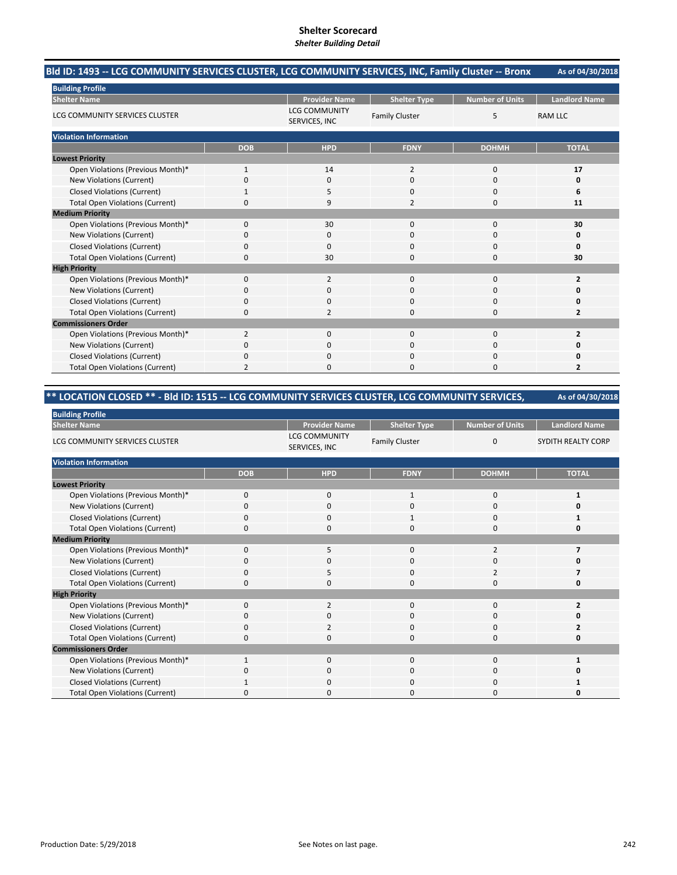#### **As of 04/30/2018 Bld ID: 1493 ‐‐ LCG COMMUNITY SERVICES CLUSTER, LCG COMMUNITY SERVICES, INC, Family Cluster ‐‐ Bronx**

| <b>Building Profile</b>                |                |                                       |                       |                        |                      |
|----------------------------------------|----------------|---------------------------------------|-----------------------|------------------------|----------------------|
| <b>Shelter Name</b>                    |                | <b>Provider Name</b>                  | <b>Shelter Type</b>   | <b>Number of Units</b> | <b>Landlord Name</b> |
| LCG COMMUNITY SERVICES CLUSTER         |                | <b>LCG COMMUNITY</b><br>SERVICES, INC | <b>Family Cluster</b> | 5                      | <b>RAM LLC</b>       |
| <b>Violation Information</b>           |                |                                       |                       |                        |                      |
|                                        | <b>DOB</b>     | <b>HPD</b>                            | <b>FDNY</b>           | <b>DOHMH</b>           | <b>TOTAL</b>         |
| <b>Lowest Priority</b>                 |                |                                       |                       |                        |                      |
| Open Violations (Previous Month)*      | $\mathbf{1}$   | 14                                    | $\overline{2}$        | $\mathbf 0$            | 17                   |
| New Violations (Current)               | $\Omega$       | $\Omega$                              | 0                     | 0                      | 0                    |
| <b>Closed Violations (Current)</b>     |                | 5                                     | 0                     | $\mathbf 0$            | 6                    |
| <b>Total Open Violations (Current)</b> | O              | 9                                     | $\overline{2}$        | 0                      | 11                   |
| <b>Medium Priority</b>                 |                |                                       |                       |                        |                      |
| Open Violations (Previous Month)*      | $\Omega$       | 30                                    | 0                     | 0                      | 30                   |
| New Violations (Current)               | O              | 0                                     | 0                     | 0                      | o                    |
| <b>Closed Violations (Current)</b>     | $\mathbf 0$    | 0                                     | 0                     | $\mathbf 0$            | Ω                    |
| <b>Total Open Violations (Current)</b> | $\Omega$       | 30                                    | 0                     | $\Omega$               | 30                   |
| <b>High Priority</b>                   |                |                                       |                       |                        |                      |
| Open Violations (Previous Month)*      | $\Omega$       | 2                                     | 0                     | 0                      | $\overline{2}$       |
| New Violations (Current)               | O              | 0                                     | 0                     | 0                      |                      |
| <b>Closed Violations (Current)</b>     | $\mathbf 0$    | $\mathbf 0$                           | 0                     | $\mathbf 0$            |                      |
| <b>Total Open Violations (Current)</b> | $\Omega$       | $\overline{\phantom{0}}$              | 0                     | $\Omega$               | 2                    |
| <b>Commissioners Order</b>             |                |                                       |                       |                        |                      |
| Open Violations (Previous Month)*      | 2              | $\mathbf 0$                           | 0                     | $\mathbf 0$            | $\overline{2}$       |
| New Violations (Current)               | <sup>0</sup>   | $\Omega$                              | 0                     | 0                      |                      |
| <b>Closed Violations (Current)</b>     | $\Omega$       | $\Omega$                              | 0                     | 0                      |                      |
| <b>Total Open Violations (Current)</b> | $\overline{2}$ | $\mathbf 0$                           | 0                     | 0                      | $\overline{2}$       |

# **\*\* LOCATION CLOSED \*\* ‐ Bld ID: 1515 ‐‐ LCG COMMUNITY SERVICES CLUSTER, LCG COMMUNITY SERVICES,**

| <b>Building Profile</b>                |             |                                       |                       |                        |                      |
|----------------------------------------|-------------|---------------------------------------|-----------------------|------------------------|----------------------|
| <b>Shelter Name</b>                    |             | <b>Provider Name</b>                  | <b>Shelter Type</b>   | <b>Number of Units</b> | <b>Landlord Name</b> |
| LCG COMMUNITY SERVICES CLUSTER         |             | <b>LCG COMMUNITY</b><br>SERVICES, INC | <b>Family Cluster</b> | $\mathbf{0}$           | SYDITH REALTY CORP   |
| <b>Violation Information</b>           |             |                                       |                       |                        |                      |
|                                        | <b>DOB</b>  | <b>HPD</b>                            | <b>FDNY</b>           | <b>DOHMH</b>           | <b>TOTAL</b>         |
| <b>Lowest Priority</b>                 |             |                                       |                       |                        |                      |
| Open Violations (Previous Month)*      | $\mathbf 0$ | $\mathbf{0}$                          | 1                     | 0                      | 1                    |
| New Violations (Current)               | 0           | 0                                     | 0                     | 0                      |                      |
| <b>Closed Violations (Current)</b>     | 0           | $\Omega$                              | 1                     | 0                      |                      |
| <b>Total Open Violations (Current)</b> | 0           | $\Omega$                              | 0                     | $\mathbf 0$            |                      |
| <b>Medium Priority</b>                 |             |                                       |                       |                        |                      |
| Open Violations (Previous Month)*      | $\Omega$    | 5                                     | $\Omega$              | $\overline{2}$         | 7                    |
| New Violations (Current)               | 0           | $\mathbf 0$                           | 0                     | 0                      |                      |
| <b>Closed Violations (Current)</b>     | $\Omega$    | 5                                     | $\Omega$              | 2                      |                      |
| <b>Total Open Violations (Current)</b> | 0           | $\Omega$                              | $\Omega$              | 0                      | 0                    |
| <b>High Priority</b>                   |             |                                       |                       |                        |                      |
| Open Violations (Previous Month)*      | $\Omega$    | $\overline{2}$                        | $\Omega$              | $\Omega$               | $\overline{2}$       |
| New Violations (Current)               | 0           | $\mathbf 0$                           | 0                     | 0                      |                      |
| <b>Closed Violations (Current)</b>     | 0           | $\overline{2}$                        | 0                     | $\mathbf 0$            |                      |
| <b>Total Open Violations (Current)</b> | 0           | 0                                     | 0                     | 0                      |                      |
| <b>Commissioners Order</b>             |             |                                       |                       |                        |                      |
| Open Violations (Previous Month)*      |             | $\Omega$                              | $\Omega$              | $\mathbf 0$            |                      |
| New Violations (Current)               | 0           | $\mathbf 0$                           | 0                     | $\mathbf 0$            |                      |
| <b>Closed Violations (Current)</b>     |             | $\Omega$                              | 0                     | 0                      |                      |
| <b>Total Open Violations (Current)</b> | 0           | $\Omega$                              | $\Omega$              | $\Omega$               |                      |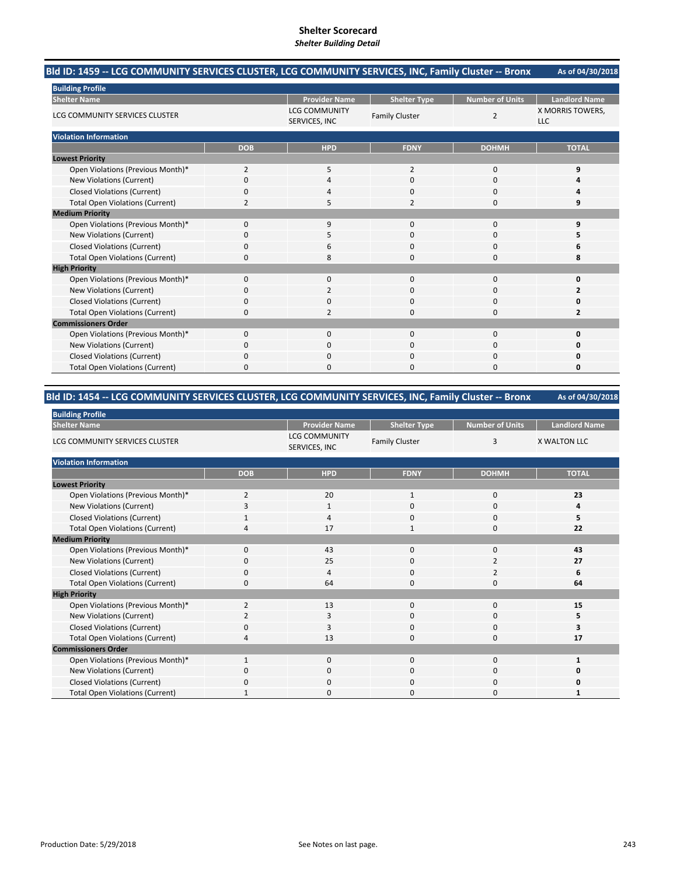#### **As of 04/30/2018 Bld ID: 1459 ‐‐ LCG COMMUNITY SERVICES CLUSTER, LCG COMMUNITY SERVICES, INC, Family Cluster ‐‐ Bronx**

| <b>Building Profile</b>                |                |                                       |                       |                 |                                |  |
|----------------------------------------|----------------|---------------------------------------|-----------------------|-----------------|--------------------------------|--|
| <b>Shelter Name</b>                    |                | <b>Provider Name</b>                  | <b>Shelter Type</b>   | Number of Units | <b>Landlord Name</b>           |  |
| LCG COMMUNITY SERVICES CLUSTER         |                | <b>LCG COMMUNITY</b><br>SERVICES, INC | <b>Family Cluster</b> | 2               | X MORRIS TOWERS,<br><b>LLC</b> |  |
| <b>Violation Information</b>           |                |                                       |                       |                 |                                |  |
|                                        | <b>DOB</b>     | <b>HPD</b>                            | <b>FDNY</b>           | <b>DOHMH</b>    | <b>TOTAL</b>                   |  |
| <b>Lowest Priority</b>                 |                |                                       |                       |                 |                                |  |
| Open Violations (Previous Month)*      | $\overline{2}$ | 5                                     | $\overline{2}$        | 0               | 9                              |  |
| New Violations (Current)               | O              | 4                                     | 0                     | 0               |                                |  |
| <b>Closed Violations (Current)</b>     | 0              | 4                                     | $\Omega$              | 0               |                                |  |
| <b>Total Open Violations (Current)</b> | $\overline{2}$ | 5                                     | $\overline{2}$        | 0               | q                              |  |
| <b>Medium Priority</b>                 |                |                                       |                       |                 |                                |  |
| Open Violations (Previous Month)*      | $\Omega$       | 9                                     | $\Omega$              | 0               |                                |  |
| New Violations (Current)               | C              | 5                                     | 0                     | 0               |                                |  |
| <b>Closed Violations (Current)</b>     | 0              | 6                                     | $\mathbf 0$           | 0               |                                |  |
| <b>Total Open Violations (Current)</b> | $\Omega$       | 8                                     | $\Omega$              | $\Omega$        | 8                              |  |
| <b>High Priority</b>                   |                |                                       |                       |                 |                                |  |
| Open Violations (Previous Month)*      | $\Omega$       | $\mathbf 0$                           | $\mathbf 0$           | 0               | n                              |  |
| New Violations (Current)               | O              | $\overline{2}$                        | 0                     | 0               |                                |  |
| <b>Closed Violations (Current)</b>     | $\Omega$       | $\mathbf 0$                           | $\Omega$              | 0               |                                |  |
| <b>Total Open Violations (Current)</b> | 0              | $\overline{2}$                        | $\Omega$              | $\Omega$        | 2                              |  |
| <b>Commissioners Order</b>             |                |                                       |                       |                 |                                |  |
| Open Violations (Previous Month)*      | 0              | $\mathbf 0$                           | $\mathbf 0$           | 0               | n                              |  |
| New Violations (Current)               | $\Omega$       | $\Omega$                              | $\Omega$              | $\Omega$        | n                              |  |
| <b>Closed Violations (Current)</b>     | 0              | $\mathbf 0$                           | 0                     | 0               |                                |  |
| <b>Total Open Violations (Current)</b> | 0              | $\Omega$                              | 0                     | $\Omega$        | O                              |  |

#### **As of 04/30/2018 Bld ID: 1454 ‐‐ LCG COMMUNITY SERVICES CLUSTER, LCG COMMUNITY SERVICES, INC, Family Cluster ‐‐ Bronx**

| <b>Building Profile</b>                |                |                                       |                       |                        |                      |
|----------------------------------------|----------------|---------------------------------------|-----------------------|------------------------|----------------------|
| <b>Shelter Name</b>                    |                | <b>Provider Name</b>                  | <b>Shelter Type</b>   | <b>Number of Units</b> | <b>Landlord Name</b> |
| LCG COMMUNITY SERVICES CLUSTER         |                | <b>LCG COMMUNITY</b><br>SERVICES, INC | <b>Family Cluster</b> | 3                      | <b>X WALTON LLC</b>  |
| <b>Violation Information</b>           |                |                                       |                       |                        |                      |
|                                        | <b>DOB</b>     | <b>HPD</b>                            | <b>FDNY</b>           | <b>DOHMH</b>           | <b>TOTAL</b>         |
| <b>Lowest Priority</b>                 |                |                                       |                       |                        |                      |
| Open Violations (Previous Month)*      | 2              | 20                                    | $\mathbf{1}$          | $\mathbf 0$            | 23                   |
| New Violations (Current)               | 3              | 1                                     | 0                     | 0                      |                      |
| <b>Closed Violations (Current)</b>     |                | 4                                     | 0                     | 0                      | 5                    |
| <b>Total Open Violations (Current)</b> |                | 17                                    | $\mathbf{1}$          | 0                      | 22                   |
| <b>Medium Priority</b>                 |                |                                       |                       |                        |                      |
| Open Violations (Previous Month)*      | $\mathbf 0$    | 43                                    | $\mathbf{0}$          | 0                      | 43                   |
| New Violations (Current)               | 0              | 25                                    | 0                     | 2                      | 27                   |
| <b>Closed Violations (Current)</b>     | 0              | 4                                     | 0                     | $\overline{2}$         | 6                    |
| <b>Total Open Violations (Current)</b> | 0              | 64                                    | 0                     | 0                      | 64                   |
| <b>High Priority</b>                   |                |                                       |                       |                        |                      |
| Open Violations (Previous Month)*      | $\overline{2}$ | 13                                    | $\mathbf{0}$          | 0                      | 15                   |
| New Violations (Current)               | 2              | 3                                     | 0                     | 0                      | 5                    |
| <b>Closed Violations (Current)</b>     | 0              | 3                                     | 0                     | 0                      | 3                    |
| <b>Total Open Violations (Current)</b> |                | 13                                    | 0                     | 0                      | 17                   |
| <b>Commissioners Order</b>             |                |                                       |                       |                        |                      |
| Open Violations (Previous Month)*      | $\mathbf{1}$   | $\mathbf{0}$                          | $\Omega$              | 0                      | 1                    |
| New Violations (Current)               | $\Omega$       | $\mathbf{0}$                          | $\mathbf 0$           | 0                      | O                    |
| <b>Closed Violations (Current)</b>     | $\Omega$       | $\mathbf{0}$                          | $\mathbf 0$           | 0                      | 0                    |
| <b>Total Open Violations (Current)</b> |                | $\Omega$                              | 0                     | $\Omega$               | 1                    |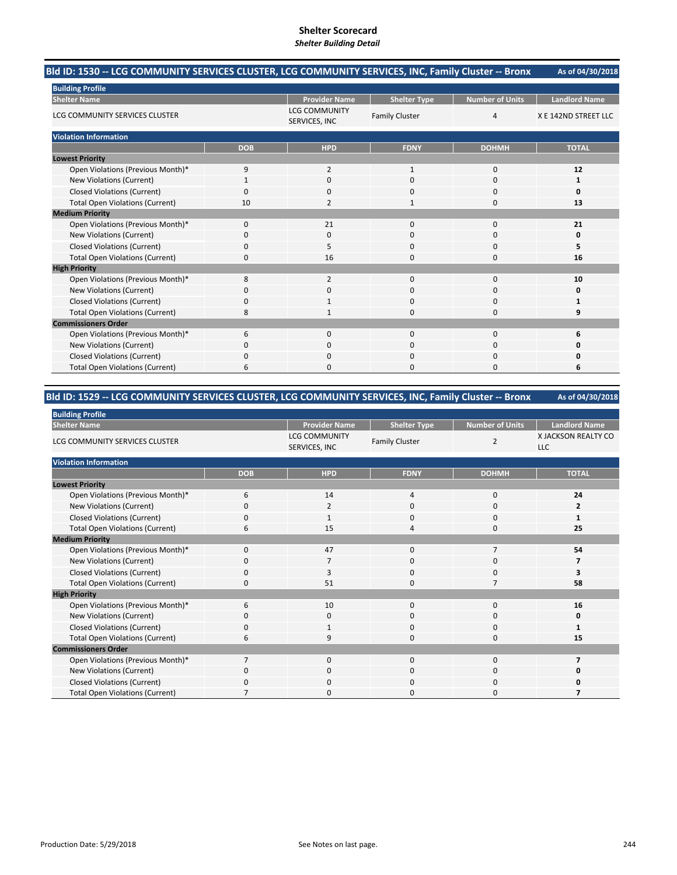#### **As of 04/30/2018 Bld ID: 1530 ‐‐ LCG COMMUNITY SERVICES CLUSTER, LCG COMMUNITY SERVICES, INC, Family Cluster ‐‐ Bronx**

| <b>Building Profile</b>                |             |                                       |                       |                        |                      |
|----------------------------------------|-------------|---------------------------------------|-----------------------|------------------------|----------------------|
| <b>Shelter Name</b>                    |             | <b>Provider Name</b>                  | <b>Shelter Type</b>   | <b>Number of Units</b> | <b>Landlord Name</b> |
| LCG COMMUNITY SERVICES CLUSTER         |             | <b>LCG COMMUNITY</b><br>SERVICES, INC | <b>Family Cluster</b> | $\overline{4}$         | X E 142ND STREET LLC |
| <b>Violation Information</b>           |             |                                       |                       |                        |                      |
|                                        | <b>DOB</b>  | <b>HPD</b>                            | <b>FDNY</b>           | <b>DOHMH</b>           | <b>TOTAL</b>         |
| <b>Lowest Priority</b>                 |             |                                       |                       |                        |                      |
| Open Violations (Previous Month)*      | 9           | $\overline{2}$                        | $\mathbf{1}$          | $\mathbf 0$            | 12                   |
| New Violations (Current)               |             | $\mathbf 0$                           | 0                     | 0                      |                      |
| <b>Closed Violations (Current)</b>     | $\Omega$    | $\Omega$                              | 0                     | $\mathbf 0$            | Ω                    |
| <b>Total Open Violations (Current)</b> | 10          | $\overline{2}$                        | 1                     | 0                      | 13                   |
| <b>Medium Priority</b>                 |             |                                       |                       |                        |                      |
| Open Violations (Previous Month)*      | $\mathbf 0$ | 21                                    | 0                     | 0                      | 21                   |
| New Violations (Current)               | $\Omega$    | $\Omega$                              | 0                     | $\Omega$               | O                    |
| <b>Closed Violations (Current)</b>     | $\Omega$    | 5                                     | 0                     | 0                      | 5                    |
| <b>Total Open Violations (Current)</b> | $\Omega$    | 16                                    | 0                     | $\mathbf 0$            | 16                   |
| <b>High Priority</b>                   |             |                                       |                       |                        |                      |
| Open Violations (Previous Month)*      | 8           | $\overline{2}$                        | 0                     | $\mathbf 0$            | 10                   |
| New Violations (Current)               | O           | 0                                     | 0                     | 0                      |                      |
| <b>Closed Violations (Current)</b>     | $\mathbf 0$ | $\mathbf{1}$                          | 0                     | 0                      |                      |
| <b>Total Open Violations (Current)</b> | 8           | 1                                     | 0                     | $\Omega$               | q                    |
| <b>Commissioners Order</b>             |             |                                       |                       |                        |                      |
| Open Violations (Previous Month)*      | 6           | $\mathbf 0$                           | 0                     | $\mathbf 0$            |                      |
| New Violations (Current)               | $\Omega$    | $\Omega$                              | 0                     | $\Omega$               |                      |
| <b>Closed Violations (Current)</b>     | $\Omega$    | $\Omega$                              | 0                     | 0                      |                      |
| <b>Total Open Violations (Current)</b> | 6           | $\Omega$                              | 0                     | $\Omega$               | 6                    |

# **Bld ID: 1529 ‐‐ LCG COMMUNITY SERVICES CLUSTER, LCG COMMUNITY SERVICES, INC, Family Cluster ‐‐ Bronx**

| <b>Building Profile</b>                |                |                                       |                       |                 |                                   |
|----------------------------------------|----------------|---------------------------------------|-----------------------|-----------------|-----------------------------------|
| <b>Shelter Name</b>                    |                | <b>Provider Name</b>                  | <b>Shelter Type</b>   | Number of Units | <b>Landlord Name</b>              |
| LCG COMMUNITY SERVICES CLUSTER         |                | <b>LCG COMMUNITY</b><br>SERVICES, INC | <b>Family Cluster</b> | 2               | X JACKSON REALTY CO<br><b>LLC</b> |
| <b>Violation Information</b>           |                |                                       |                       |                 |                                   |
|                                        | <b>DOB</b>     | <b>HPD</b>                            | <b>FDNY</b>           | <b>DOHMH</b>    | <b>TOTAL</b>                      |
| <b>Lowest Priority</b>                 |                |                                       |                       |                 |                                   |
| Open Violations (Previous Month)*      | 6              | 14                                    | 4                     | 0               | 24                                |
| New Violations (Current)               | $\Omega$       | $\overline{2}$                        | $\Omega$              | 0               | 2                                 |
| <b>Closed Violations (Current)</b>     | 0              | $\mathbf{1}$                          | 0                     | $\mathbf 0$     | $\mathbf{1}$                      |
| <b>Total Open Violations (Current)</b> | 6              | 15                                    | 4                     | $\mathbf 0$     | 25                                |
| <b>Medium Priority</b>                 |                |                                       |                       |                 |                                   |
| Open Violations (Previous Month)*      | $\mathbf 0$    | 47                                    | $\mathbf 0$           | $\overline{7}$  | 54                                |
| New Violations (Current)               | 0              | 7                                     | 0                     | $\mathbf 0$     |                                   |
| <b>Closed Violations (Current)</b>     | 0              | 3                                     | 0                     | 0               | 3                                 |
| <b>Total Open Violations (Current)</b> | $\Omega$       | 51                                    | $\Omega$              | 7               | 58                                |
| <b>High Priority</b>                   |                |                                       |                       |                 |                                   |
| Open Violations (Previous Month)*      | 6              | 10                                    | 0                     | $\mathbf 0$     | 16                                |
| New Violations (Current)               | 0              | $\mathbf 0$                           | 0                     | 0               | 0                                 |
| <b>Closed Violations (Current)</b>     | 0              | 1                                     | 0                     | 0               | 1                                 |
| <b>Total Open Violations (Current)</b> | 6              | 9                                     | 0                     | $\mathbf 0$     | 15                                |
| <b>Commissioners Order</b>             |                |                                       |                       |                 |                                   |
| Open Violations (Previous Month)*      | $\overline{7}$ | $\mathbf{0}$                          | 0                     | $\mathbf 0$     | 7                                 |
| New Violations (Current)               | $\Omega$       | $\mathbf 0$                           | 0                     | $\mathbf 0$     |                                   |
| <b>Closed Violations (Current)</b>     | $\Omega$       | $\mathbf 0$                           | 0                     | 0               |                                   |
| <b>Total Open Violations (Current)</b> |                | $\Omega$                              | $\Omega$              | $\Omega$        |                                   |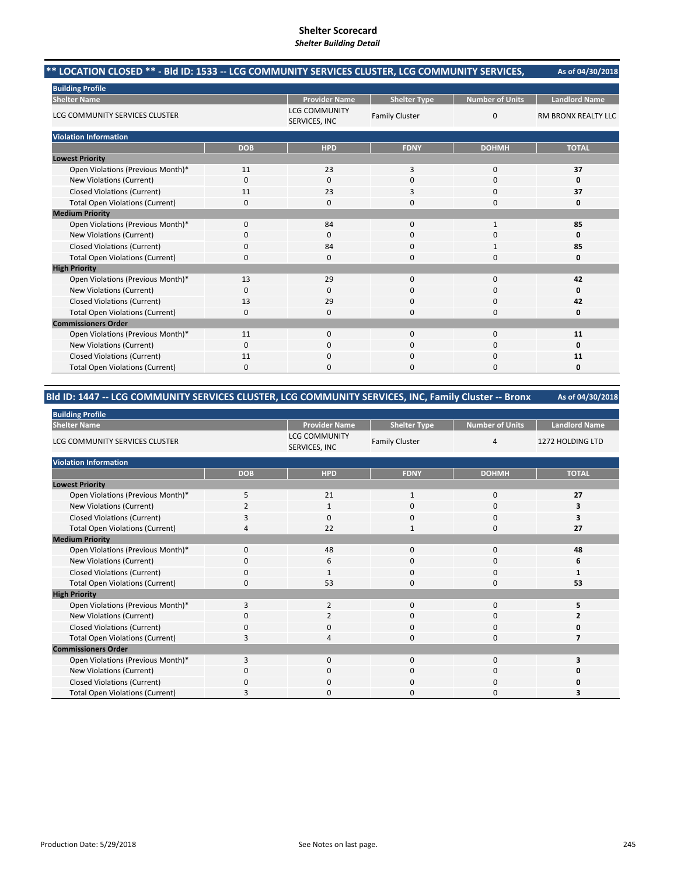|                                                                                                 |              | SHERET DUNUMNY DETAIL                 |                       |                        |                            |
|-------------------------------------------------------------------------------------------------|--------------|---------------------------------------|-----------------------|------------------------|----------------------------|
| ** LOCATION CLOSED ** - BId ID: 1533 -- LCG COMMUNITY SERVICES CLUSTER, LCG COMMUNITY SERVICES, |              |                                       |                       |                        | As of 04/30/2018           |
| <b>Building Profile</b>                                                                         |              |                                       |                       |                        |                            |
| <b>Shelter Name</b>                                                                             |              | <b>Provider Name</b>                  | <b>Shelter Type</b>   | <b>Number of Units</b> | <b>Landlord Name</b>       |
| LCG COMMUNITY SERVICES CLUSTER                                                                  |              | <b>LCG COMMUNITY</b><br>SERVICES, INC | <b>Family Cluster</b> | $\Omega$               | <b>RM BRONX REALTY LLC</b> |
| <b>Violation Information</b>                                                                    |              |                                       |                       |                        |                            |
|                                                                                                 | <b>DOB</b>   | <b>HPD</b>                            | <b>FDNY</b>           | <b>DOHMH</b>           | <b>TOTAL</b>               |
| <b>Lowest Priority</b>                                                                          |              |                                       |                       |                        |                            |
| Open Violations (Previous Month)*                                                               | 11           | 23                                    | 3                     | $\mathbf 0$            | 37                         |
| <b>New Violations (Current)</b>                                                                 | 0            | $\mathbf{0}$                          | 0                     | 0                      | 0                          |
| <b>Closed Violations (Current)</b>                                                              | 11           | 23                                    | 3                     | $\Omega$               | 37                         |
| <b>Total Open Violations (Current)</b>                                                          | 0            | $\Omega$                              | 0                     | $\Omega$               | 0                          |
| <b>Medium Priority</b>                                                                          |              |                                       |                       |                        |                            |
| Open Violations (Previous Month)*                                                               | $\mathbf{0}$ | 84                                    | 0                     | 1                      | 85                         |
| <b>New Violations (Current)</b>                                                                 | 0            | 0                                     | 0                     | 0                      | 0                          |
| <b>Closed Violations (Current)</b>                                                              | 0            | 84                                    | 0                     | $\mathbf{1}$           | 85                         |
| <b>Total Open Violations (Current)</b>                                                          | 0            | $\mathbf 0$                           | 0                     | $\Omega$               | 0                          |
| <b>High Priority</b>                                                                            |              |                                       |                       |                        |                            |
| Open Violations (Previous Month)*                                                               | 13           | 29                                    | 0                     | $\mathbf 0$            | 42                         |
| <b>New Violations (Current)</b>                                                                 | 0            | $\mathbf{0}$                          | 0                     | 0                      | 0                          |
| <b>Closed Violations (Current)</b>                                                              | 13           | 29                                    | 0                     | $\Omega$               | 42                         |
| <b>Total Open Violations (Current)</b>                                                          | 0            | 0                                     | 0                     | $\Omega$               | 0                          |
| <b>Commissioners Order</b>                                                                      |              |                                       |                       |                        |                            |
| Open Violations (Previous Month)*                                                               | 11           | $\mathbf{0}$                          | $\mathbf 0$           | $\mathbf 0$            | 11                         |
| <b>New Violations (Current)</b>                                                                 | 0            | $\Omega$                              | 0                     | $\Omega$               | O                          |
| <b>Closed Violations (Current)</b>                                                              | 11           | $\Omega$                              | 0                     | $\Omega$               | 11                         |

Total Open Violations (Current) 0000 **0**

# **Bld ID: 1447 ‐‐ LCG COMMUNITY SERVICES CLUSTER, LCG COMMUNITY SERVICES, INC, Family Cluster ‐‐ Bronx**

| <b>Building Profile</b>                |            |                                       |                       |                        |                      |  |  |  |
|----------------------------------------|------------|---------------------------------------|-----------------------|------------------------|----------------------|--|--|--|
| <b>Shelter Name</b>                    |            | <b>Provider Name</b>                  | <b>Shelter Type</b>   | <b>Number of Units</b> | <b>Landlord Name</b> |  |  |  |
| LCG COMMUNITY SERVICES CLUSTER         |            | <b>LCG COMMUNITY</b><br>SERVICES, INC | <b>Family Cluster</b> | 4                      | 1272 HOLDING LTD     |  |  |  |
| <b>Violation Information</b>           |            |                                       |                       |                        |                      |  |  |  |
|                                        | <b>DOB</b> | <b>HPD</b>                            | <b>FDNY</b>           | <b>DOHMH</b>           | <b>TOTAL</b>         |  |  |  |
| <b>Lowest Priority</b>                 |            |                                       |                       |                        |                      |  |  |  |
| Open Violations (Previous Month)*      | 5          | 21                                    | $\mathbf{1}$          | $\mathbf 0$            | 27                   |  |  |  |
| New Violations (Current)               |            | 1                                     | 0                     | 0                      | 3                    |  |  |  |
| <b>Closed Violations (Current)</b>     | 3          | $\mathbf 0$                           | 0                     | 0                      | 3                    |  |  |  |
| <b>Total Open Violations (Current)</b> |            | 22                                    | $\mathbf{1}$          | $\mathbf 0$            | 27                   |  |  |  |
| <b>Medium Priority</b>                 |            |                                       |                       |                        |                      |  |  |  |
| Open Violations (Previous Month)*      | $\Omega$   | 48                                    | $\Omega$              | $\mathbf 0$            | 48                   |  |  |  |
| New Violations (Current)               | $\Omega$   | 6                                     | 0                     | 0                      | 6                    |  |  |  |
| <b>Closed Violations (Current)</b>     | $\Omega$   | 1                                     | $\Omega$              | $\mathbf 0$            |                      |  |  |  |
| <b>Total Open Violations (Current)</b> | $\Omega$   | 53                                    | 0                     | 0                      | 53                   |  |  |  |
| <b>High Priority</b>                   |            |                                       |                       |                        |                      |  |  |  |
| Open Violations (Previous Month)*      | 3          | $\overline{2}$                        | $\mathbf{0}$          | 0                      | 5                    |  |  |  |
| New Violations (Current)               | $\Omega$   | 2                                     | 0                     | 0                      | 2                    |  |  |  |
| <b>Closed Violations (Current)</b>     | $\Omega$   | $\mathbf 0$                           | 0                     | $\mathbf 0$            |                      |  |  |  |
| <b>Total Open Violations (Current)</b> | 3          | 4                                     | 0                     | $\mathbf 0$            |                      |  |  |  |
| <b>Commissioners Order</b>             |            |                                       |                       |                        |                      |  |  |  |
| Open Violations (Previous Month)*      | 3          | $\Omega$                              | $\mathbf{0}$          | 0                      |                      |  |  |  |
| New Violations (Current)               | $\Omega$   | $\mathbf 0$                           | 0                     | 0                      |                      |  |  |  |
| <b>Closed Violations (Current)</b>     | $\Omega$   | $\Omega$                              | 0                     | 0                      |                      |  |  |  |
| <b>Total Open Violations (Current)</b> |            | $\Omega$                              | O                     | $\Omega$               |                      |  |  |  |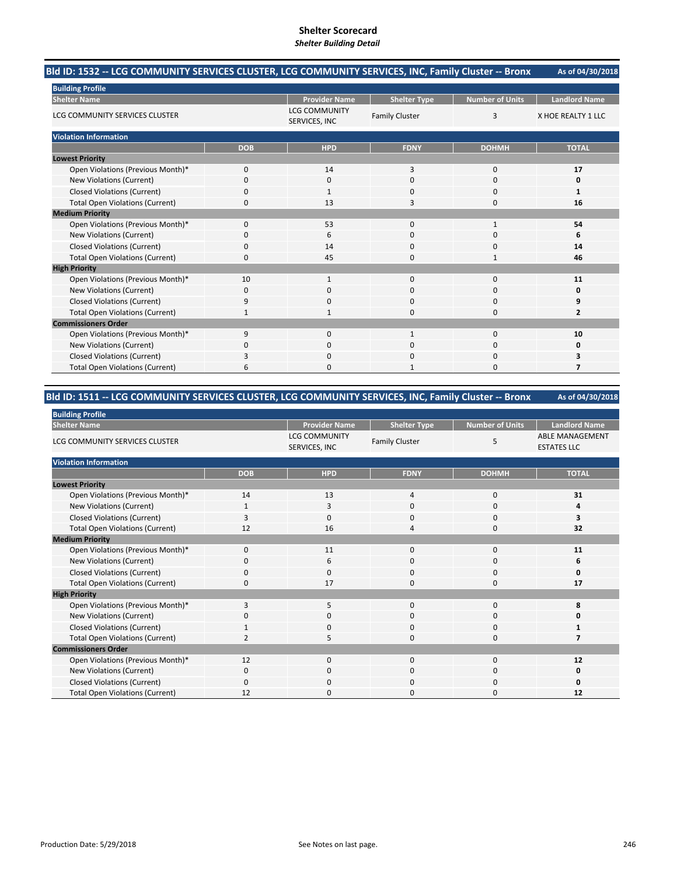#### **As of 04/30/2018 Bld ID: 1532 ‐‐ LCG COMMUNITY SERVICES CLUSTER, LCG COMMUNITY SERVICES, INC, Family Cluster ‐‐ Bronx**

| <b>Building Profile</b>                |             |                                       |                       |                        |                      |
|----------------------------------------|-------------|---------------------------------------|-----------------------|------------------------|----------------------|
| <b>Shelter Name</b>                    |             | <b>Provider Name</b>                  | <b>Shelter Type</b>   | <b>Number of Units</b> | <b>Landlord Name</b> |
| LCG COMMUNITY SERVICES CLUSTER         |             | <b>LCG COMMUNITY</b><br>SERVICES, INC | <b>Family Cluster</b> | 3                      | X HOE REALTY 1 LLC   |
| <b>Violation Information</b>           |             |                                       |                       |                        |                      |
|                                        | <b>DOB</b>  | <b>HPD</b>                            | <b>FDNY</b>           | <b>DOHMH</b>           | <b>TOTAL</b>         |
| <b>Lowest Priority</b>                 |             |                                       |                       |                        |                      |
| Open Violations (Previous Month)*      | $\mathbf 0$ | 14                                    | 3                     | $\mathbf 0$            | 17                   |
| New Violations (Current)               | $\Omega$    | $\mathbf 0$                           | 0                     | 0                      | 0                    |
| <b>Closed Violations (Current)</b>     | $\Omega$    | $\mathbf{1}$                          | 0                     | $\mathbf 0$            | 1                    |
| <b>Total Open Violations (Current)</b> | 0           | 13                                    | 3                     | 0                      | 16                   |
| <b>Medium Priority</b>                 |             |                                       |                       |                        |                      |
| Open Violations (Previous Month)*      | $\Omega$    | 53                                    | 0                     | 1                      | 54                   |
| New Violations (Current)               | $\Omega$    | 6                                     | 0                     | $\Omega$               | 6                    |
| <b>Closed Violations (Current)</b>     | $\Omega$    | 14                                    | 0                     | 0                      | 14                   |
| <b>Total Open Violations (Current)</b> | $\Omega$    | 45                                    | 0                     | $\mathbf{1}$           | 46                   |
| <b>High Priority</b>                   |             |                                       |                       |                        |                      |
| Open Violations (Previous Month)*      | 10          | 1                                     | 0                     | $\mathbf 0$            | 11                   |
| New Violations (Current)               | 0           | 0                                     | 0                     | 0                      |                      |
| <b>Closed Violations (Current)</b>     | 9           | $\mathbf{0}$                          | 0                     | 0                      | 9                    |
| <b>Total Open Violations (Current)</b> | -1          | $\mathbf{1}$                          | 0                     | $\Omega$               | $\overline{2}$       |
| <b>Commissioners Order</b>             |             |                                       |                       |                        |                      |
| Open Violations (Previous Month)*      | 9           | $\mathbf 0$                           | $\mathbf{1}$          | $\mathbf 0$            | 10                   |
| New Violations (Current)               | $\Omega$    | $\Omega$                              | 0                     | 0                      | Ω                    |
| <b>Closed Violations (Current)</b>     | 3           | $\Omega$                              | 0                     | $\mathbf 0$            | 3                    |
| <b>Total Open Violations (Current)</b> | 6           | $\Omega$                              | $\mathbf{1}$          | $\Omega$               |                      |

# **Bld ID: 1511 ‐‐ LCG COMMUNITY SERVICES CLUSTER, LCG COMMUNITY SERVICES, INC, Family Cluster ‐‐ Bronx**

| <b>Building Profile</b>                |            |                                       |                       |                 |                                              |
|----------------------------------------|------------|---------------------------------------|-----------------------|-----------------|----------------------------------------------|
| <b>Shelter Name</b>                    |            | <b>Provider Name</b>                  | <b>Shelter Type</b>   | Number of Units | <b>Landlord Name</b>                         |
| LCG COMMUNITY SERVICES CLUSTER         |            | <b>LCG COMMUNITY</b><br>SERVICES, INC | <b>Family Cluster</b> | 5               | <b>ABLE MANAGEMENT</b><br><b>ESTATES LLC</b> |
| <b>Violation Information</b>           |            |                                       |                       |                 |                                              |
|                                        | <b>DOB</b> | <b>HPD</b>                            | <b>FDNY</b>           | <b>DOHMH</b>    | <b>TOTAL</b>                                 |
| <b>Lowest Priority</b>                 |            |                                       |                       |                 |                                              |
| Open Violations (Previous Month)*      | 14         | 13                                    | 4                     | 0               | 31                                           |
| New Violations (Current)               |            | 3                                     | 0                     | $\mathbf 0$     | 4                                            |
| <b>Closed Violations (Current)</b>     | 3          | $\mathbf 0$                           | 0                     | $\mathbf 0$     | 3                                            |
| <b>Total Open Violations (Current)</b> | 12         | 16                                    | 4                     | 0               | 32                                           |
| <b>Medium Priority</b>                 |            |                                       |                       |                 |                                              |
| Open Violations (Previous Month)*      | $\Omega$   | 11                                    | $\Omega$              | 0               | 11                                           |
| New Violations (Current)               | 0          | 6                                     | 0                     | 0               | 6                                            |
| <b>Closed Violations (Current)</b>     | 0          | $\mathbf 0$                           | 0                     | 0               | 0                                            |
| <b>Total Open Violations (Current)</b> | 0          | 17                                    | 0                     | $\mathbf 0$     | 17                                           |
| <b>High Priority</b>                   |            |                                       |                       |                 |                                              |
| Open Violations (Previous Month)*      | 3          | 5                                     | 0                     | $\mathbf 0$     | 8                                            |
| New Violations (Current)               | 0          | $\mathbf 0$                           | 0                     | 0               |                                              |
| <b>Closed Violations (Current)</b>     |            | $\mathbf 0$                           | 0                     | 0               |                                              |
| <b>Total Open Violations (Current)</b> | 2          | 5                                     | 0                     | 0               |                                              |
| <b>Commissioners Order</b>             |            |                                       |                       |                 |                                              |
| Open Violations (Previous Month)*      | 12         | $\Omega$                              | $\Omega$              | $\mathbf 0$     | 12                                           |
| New Violations (Current)               | 0          | $\mathbf 0$                           | 0                     | 0               | 0                                            |
| <b>Closed Violations (Current)</b>     | $\Omega$   | $\mathbf 0$                           | 0                     | 0               | 0                                            |
| <b>Total Open Violations (Current)</b> | 12         | 0                                     | 0                     | $\Omega$        | 12                                           |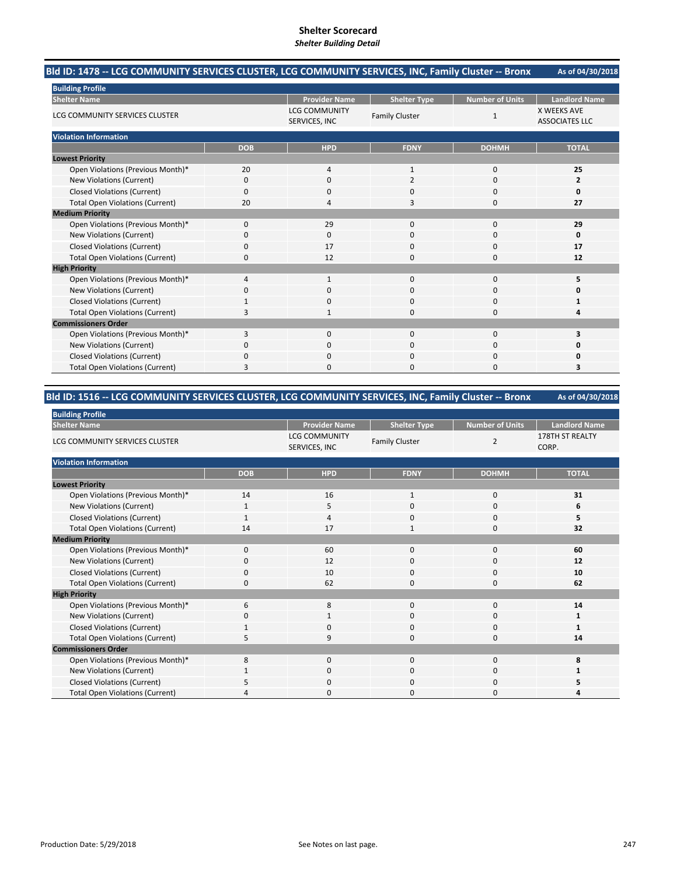#### **As of 04/30/2018 Bld ID: 1478 ‐‐ LCG COMMUNITY SERVICES CLUSTER, LCG COMMUNITY SERVICES, INC, Family Cluster ‐‐ Bronx**

| <b>Building Profile</b>                |            |                                       |                       |                        |                                             |
|----------------------------------------|------------|---------------------------------------|-----------------------|------------------------|---------------------------------------------|
| <b>Shelter Name</b>                    |            | <b>Provider Name</b>                  | <b>Shelter Type</b>   | <b>Number of Units</b> | <b>Landlord Name</b>                        |
| LCG COMMUNITY SERVICES CLUSTER         |            | <b>LCG COMMUNITY</b><br>SERVICES, INC | <b>Family Cluster</b> | 1                      | <b>X WEEKS AVE</b><br><b>ASSOCIATES LLC</b> |
| <b>Violation Information</b>           |            |                                       |                       |                        |                                             |
|                                        | <b>DOB</b> | <b>HPD</b>                            | <b>FDNY</b>           | <b>DOHMH</b>           | <b>TOTAL</b>                                |
| <b>Lowest Priority</b>                 |            |                                       |                       |                        |                                             |
| Open Violations (Previous Month)*      | 20         | 4                                     | 1                     | $\mathbf 0$            | 25                                          |
| New Violations (Current)               | 0          | 0                                     | $\overline{2}$        | 0                      | 2                                           |
| <b>Closed Violations (Current)</b>     | 0          | $\mathbf 0$                           | 0                     | 0                      | O                                           |
| <b>Total Open Violations (Current)</b> | 20         | $\overline{a}$                        | 3                     | $\mathbf 0$            | 27                                          |
| <b>Medium Priority</b>                 |            |                                       |                       |                        |                                             |
| Open Violations (Previous Month)*      | 0          | 29                                    | 0                     | $\mathbf 0$            | 29                                          |
| New Violations (Current)               | 0          | $\Omega$                              | 0                     | $\mathbf 0$            | O                                           |
| <b>Closed Violations (Current)</b>     | 0          | 17                                    | $\Omega$              | 0                      | 17                                          |
| <b>Total Open Violations (Current)</b> | 0          | 12                                    | $\Omega$              | 0                      | 12                                          |
| <b>High Priority</b>                   |            |                                       |                       |                        |                                             |
| Open Violations (Previous Month)*      | 4          | 1                                     | 0                     | $\mathbf 0$            | 5                                           |
| <b>New Violations (Current)</b>        | 0          | $\mathbf 0$                           | 0                     | $\mathbf 0$            |                                             |
| <b>Closed Violations (Current)</b>     | 1          | $\mathbf 0$                           | $\Omega$              | $\mathbf 0$            |                                             |
| <b>Total Open Violations (Current)</b> | 3          | 1                                     | $\Omega$              | $\Omega$               | 4                                           |
| <b>Commissioners Order</b>             |            |                                       |                       |                        |                                             |
| Open Violations (Previous Month)*      | 3          | 0                                     | 0                     | 0                      | 3                                           |
| New Violations (Current)               | O          | $\Omega$                              | $\Omega$              | 0                      |                                             |
| <b>Closed Violations (Current)</b>     | 0          | $\mathbf 0$                           | 0                     | 0                      |                                             |
| <b>Total Open Violations (Current)</b> | 3          | $\Omega$                              | 0                     | $\Omega$               | 3                                           |

# **Bld ID: 1516 ‐‐ LCG COMMUNITY SERVICES CLUSTER, LCG COMMUNITY SERVICES, INC, Family Cluster ‐‐ Bronx**

| <b>Building Profile</b>                |              |                                       |                       |                        |                          |
|----------------------------------------|--------------|---------------------------------------|-----------------------|------------------------|--------------------------|
| <b>Shelter Name</b>                    |              | <b>Provider Name</b>                  | <b>Shelter Type</b>   | <b>Number of Units</b> | <b>Landlord Name</b>     |
| LCG COMMUNITY SERVICES CLUSTER         |              | <b>LCG COMMUNITY</b><br>SERVICES, INC | <b>Family Cluster</b> | $\overline{2}$         | 178TH ST REALTY<br>CORP. |
| <b>Violation Information</b>           |              |                                       |                       |                        |                          |
|                                        | <b>DOB</b>   | <b>HPD</b>                            | <b>FDNY</b>           | <b>DOHMH</b>           | <b>TOTAL</b>             |
| <b>Lowest Priority</b>                 |              |                                       |                       |                        |                          |
| Open Violations (Previous Month)*      | 14           | 16                                    | $\mathbf{1}$          | 0                      | 31                       |
| New Violations (Current)               | 1            | 5                                     | 0                     | 0                      | 6                        |
| <b>Closed Violations (Current)</b>     | $\mathbf{1}$ | 4                                     | 0                     | 0                      | 5                        |
| <b>Total Open Violations (Current)</b> | 14           | 17                                    | $\mathbf{1}$          | 0                      | 32                       |
| <b>Medium Priority</b>                 |              |                                       |                       |                        |                          |
| Open Violations (Previous Month)*      | $\mathbf 0$  | 60                                    | $\Omega$              | 0                      | 60                       |
| New Violations (Current)               | 0            | 12                                    | 0                     | 0                      | 12                       |
| <b>Closed Violations (Current)</b>     | 0            | 10                                    | 0                     | 0                      | 10                       |
| <b>Total Open Violations (Current)</b> | 0            | 62                                    | $\Omega$              | $\mathbf 0$            | 62                       |
| <b>High Priority</b>                   |              |                                       |                       |                        |                          |
| Open Violations (Previous Month)*      | 6            | 8                                     | $\mathbf 0$           | $\mathbf 0$            | 14                       |
| New Violations (Current)               | 0            | 1                                     | 0                     | 0                      | 1                        |
| <b>Closed Violations (Current)</b>     |              | 0                                     | 0                     | 0                      | 1                        |
| <b>Total Open Violations (Current)</b> | 5            | 9                                     | 0                     | 0                      | 14                       |
| <b>Commissioners Order</b>             |              |                                       |                       |                        |                          |
| Open Violations (Previous Month)*      | 8            | $\Omega$                              | $\Omega$              | $\Omega$               | 8                        |
| New Violations (Current)               |              | 0                                     | 0                     | 0                      |                          |
| <b>Closed Violations (Current)</b>     | 5            | $\mathbf 0$                           | $\Omega$              | 0                      | 5                        |
| <b>Total Open Violations (Current)</b> |              | $\Omega$                              | 0                     | 0                      | Δ                        |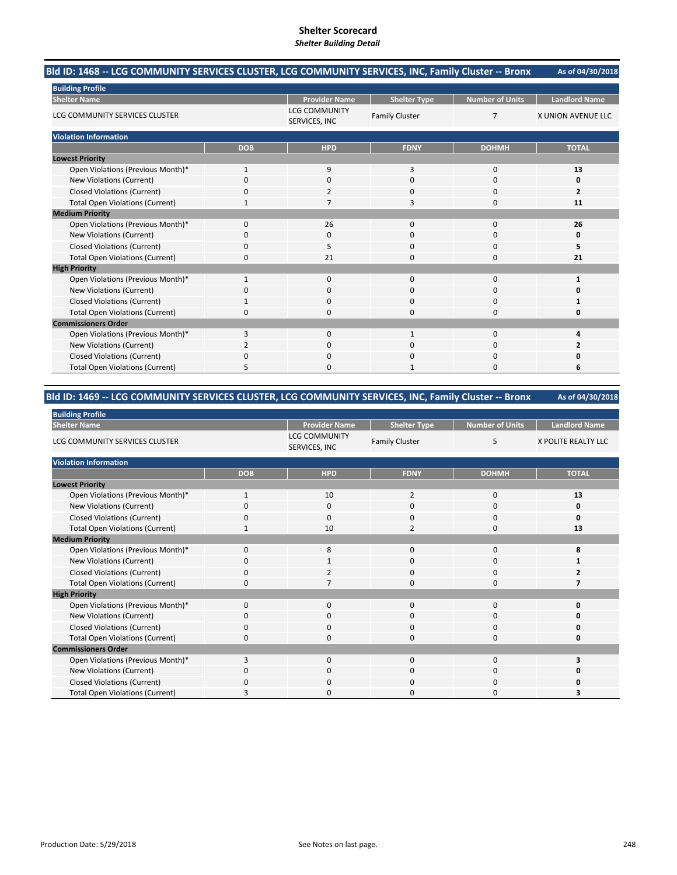#### **As of 04/30/2018 Bld ID: 1468 ‐‐ LCG COMMUNITY SERVICES CLUSTER, LCG COMMUNITY SERVICES, INC, Family Cluster ‐‐ Bronx**

| <b>Building Profile</b>                |              |                                       |                       |                        |                           |
|----------------------------------------|--------------|---------------------------------------|-----------------------|------------------------|---------------------------|
| <b>Shelter Name</b>                    |              | <b>Provider Name</b>                  | <b>Shelter Type</b>   | <b>Number of Units</b> | <b>Landlord Name</b>      |
| LCG COMMUNITY SERVICES CLUSTER         |              | <b>LCG COMMUNITY</b><br>SERVICES, INC | <b>Family Cluster</b> | $\overline{7}$         | <b>X UNION AVENUE LLC</b> |
| <b>Violation Information</b>           |              |                                       |                       |                        |                           |
|                                        | <b>DOB</b>   | <b>HPD</b>                            | <b>FDNY</b>           | <b>DOHMH</b>           | <b>TOTAL</b>              |
| <b>Lowest Priority</b>                 |              |                                       |                       |                        |                           |
| Open Violations (Previous Month)*      | $\mathbf{1}$ | 9                                     | 3                     | $\mathbf 0$            | 13                        |
| New Violations (Current)               | 0            | $\mathbf 0$                           | 0                     | 0                      | Ω                         |
| <b>Closed Violations (Current)</b>     | $\Omega$     | $\overline{2}$                        | 0                     | $\mathbf 0$            | $\overline{2}$            |
| <b>Total Open Violations (Current)</b> |              | 7                                     | 3                     | 0                      | 11                        |
| <b>Medium Priority</b>                 |              |                                       |                       |                        |                           |
| Open Violations (Previous Month)*      | $\Omega$     | 26                                    | 0                     | 0                      | 26                        |
| New Violations (Current)               | $\Omega$     | 0                                     | 0                     | $\Omega$               |                           |
| <b>Closed Violations (Current)</b>     | $\Omega$     | 5                                     | 0                     | 0                      | 5                         |
| <b>Total Open Violations (Current)</b> | $\Omega$     | 21                                    | 0                     | $\mathbf 0$            | 21                        |
| <b>High Priority</b>                   |              |                                       |                       |                        |                           |
| Open Violations (Previous Month)*      |              | $\mathbf{0}$                          | 0                     | $\mathbf 0$            |                           |
| New Violations (Current)               |              | 0                                     | 0                     | 0                      |                           |
| <b>Closed Violations (Current)</b>     |              | $\mathbf 0$                           | 0                     | 0                      |                           |
| <b>Total Open Violations (Current)</b> | $\Omega$     | $\Omega$                              | 0                     | $\Omega$               |                           |
| <b>Commissioners Order</b>             |              |                                       |                       |                        |                           |
| Open Violations (Previous Month)*      | 3            | $\mathbf 0$                           | $\mathbf{1}$          | $\mathbf 0$            |                           |
| New Violations (Current)               |              | $\Omega$                              | 0                     | $\Omega$               |                           |
| <b>Closed Violations (Current)</b>     | $\Omega$     | $\Omega$                              | 0                     | 0                      |                           |
| <b>Total Open Violations (Current)</b> | 5            | $\Omega$                              | 1                     | $\Omega$               | 6                         |

#### **As of 04/30/2018 Bld ID: 1469 ‐‐ LCG COMMUNITY SERVICES CLUSTER, LCG COMMUNITY SERVICES, INC, Family Cluster ‐‐ Bronx**

| <b>Building Profile</b>                |              |                                       |                       |                        |                      |  |
|----------------------------------------|--------------|---------------------------------------|-----------------------|------------------------|----------------------|--|
| <b>Shelter Name</b>                    |              | <b>Provider Name</b>                  | <b>Shelter Type</b>   | <b>Number of Units</b> | <b>Landlord Name</b> |  |
| LCG COMMUNITY SERVICES CLUSTER         |              | <b>LCG COMMUNITY</b><br>SERVICES, INC | <b>Family Cluster</b> | 5                      | X POLITE REALTY LLC  |  |
| <b>Violation Information</b>           |              |                                       |                       |                        |                      |  |
|                                        | <b>DOB</b>   | <b>HPD</b>                            | <b>FDNY</b>           | <b>DOHMH</b>           | <b>TOTAL</b>         |  |
| <b>Lowest Priority</b>                 |              |                                       |                       |                        |                      |  |
| Open Violations (Previous Month)*      | 1            | 10                                    | $\overline{2}$        | 0                      | 13                   |  |
| New Violations (Current)               | 0            | $\Omega$                              | 0                     | 0                      | 0                    |  |
| <b>Closed Violations (Current)</b>     | 0            | $\mathbf 0$                           | 0                     | $\mathbf 0$            | O                    |  |
| <b>Total Open Violations (Current)</b> | $\mathbf{1}$ | 10                                    | $\overline{2}$        | $\mathbf 0$            | 13                   |  |
| <b>Medium Priority</b>                 |              |                                       |                       |                        |                      |  |
| Open Violations (Previous Month)*      | $\Omega$     | 8                                     | 0                     | 0                      |                      |  |
| New Violations (Current)               | 0            | 1                                     | 0                     | 0                      |                      |  |
| <b>Closed Violations (Current)</b>     | $\Omega$     | $\overline{2}$                        | 0                     | 0                      |                      |  |
| <b>Total Open Violations (Current)</b> | 0            | 7                                     | 0                     | $\mathbf 0$            |                      |  |
| <b>High Priority</b>                   |              |                                       |                       |                        |                      |  |
| Open Violations (Previous Month)*      | $\Omega$     | $\Omega$                              | $\Omega$              | $\Omega$               | O                    |  |
| New Violations (Current)               | $\Omega$     | $\mathbf 0$                           | 0                     | $\mathbf 0$            |                      |  |
| <b>Closed Violations (Current)</b>     | $\Omega$     | $\mathbf 0$                           | 0                     | 0                      |                      |  |
| <b>Total Open Violations (Current)</b> | 0            | $\Omega$                              | 0                     | 0                      | 0                    |  |
| <b>Commissioners Order</b>             |              |                                       |                       |                        |                      |  |
| Open Violations (Previous Month)*      | 3            | $\Omega$                              | $\Omega$              | $\Omega$               | 3                    |  |
| New Violations (Current)               | $\Omega$     | $\mathbf 0$                           | 0                     | 0                      |                      |  |
| <b>Closed Violations (Current)</b>     | $\Omega$     | $\mathbf 0$                           | 0                     | $\mathbf 0$            |                      |  |
| <b>Total Open Violations (Current)</b> | з            | $\Omega$                              | 0                     | $\Omega$               | 3                    |  |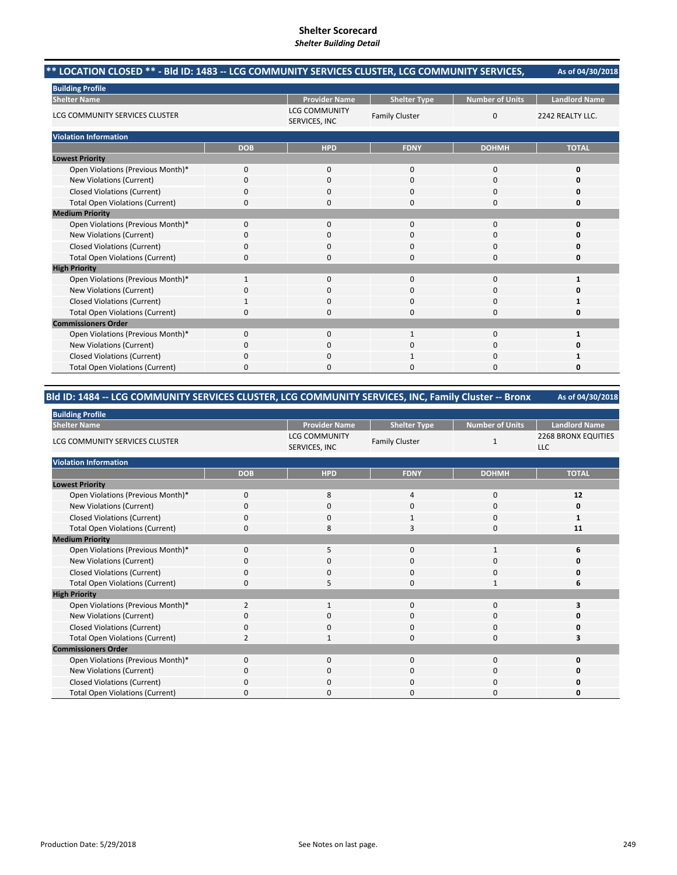# **Shelter Scorecard**

| Shener Scorecard<br><b>Shelter Building Detail</b>                                                                  |              |                                       |                       |                        |                      |  |  |
|---------------------------------------------------------------------------------------------------------------------|--------------|---------------------------------------|-----------------------|------------------------|----------------------|--|--|
| ** LOCATION CLOSED ** - BId ID: 1483 -- LCG COMMUNITY SERVICES CLUSTER, LCG COMMUNITY SERVICES,<br>As of 04/30/2018 |              |                                       |                       |                        |                      |  |  |
| <b>Building Profile</b>                                                                                             |              |                                       |                       |                        |                      |  |  |
| <b>Shelter Name</b>                                                                                                 |              | <b>Provider Name</b>                  | <b>Shelter Type</b>   | <b>Number of Units</b> | <b>Landlord Name</b> |  |  |
| LCG COMMUNITY SERVICES CLUSTER                                                                                      |              | <b>LCG COMMUNITY</b><br>SERVICES, INC | <b>Family Cluster</b> | $\mathbf 0$            | 2242 REALTY LLC.     |  |  |
| <b>Violation Information</b>                                                                                        |              |                                       |                       |                        |                      |  |  |
|                                                                                                                     | <b>DOB</b>   | <b>HPD</b>                            | <b>FDNY</b>           | <b>DOHMH</b>           | <b>TOTAL</b>         |  |  |
| <b>Lowest Priority</b>                                                                                              |              |                                       |                       |                        |                      |  |  |
| Open Violations (Previous Month)*                                                                                   | 0            | $\mathbf{0}$                          | $\Omega$              | $\mathbf 0$            | 0                    |  |  |
| New Violations (Current)                                                                                            | 0            | 0                                     | $\Omega$              | $\mathbf 0$            | o                    |  |  |
| <b>Closed Violations (Current)</b>                                                                                  | 0            | O                                     | <sup>0</sup>          | $\mathbf{0}$           | 0                    |  |  |
| <b>Total Open Violations (Current)</b>                                                                              | 0            | 0                                     | $\Omega$              | $\mathbf 0$            | O                    |  |  |
| <b>Medium Priority</b>                                                                                              |              |                                       |                       |                        |                      |  |  |
| Open Violations (Previous Month)*                                                                                   | 0            | $\mathbf{0}$                          | $\mathbf 0$           | $\mathbf 0$            | 0                    |  |  |
| New Violations (Current)                                                                                            | 0            | ŋ                                     | $\Omega$              | $\Omega$               | o                    |  |  |
| <b>Closed Violations (Current)</b>                                                                                  | 0            | $\Omega$                              | $\mathbf 0$           | $\mathbf 0$            | O                    |  |  |
| <b>Total Open Violations (Current)</b>                                                                              | 0            | n                                     | $\Omega$              | $\mathbf 0$            | 0                    |  |  |
| <b>High Priority</b>                                                                                                |              |                                       |                       |                        |                      |  |  |
| Open Violations (Previous Month)*                                                                                   | $\mathbf{1}$ | $\Omega$                              | $\Omega$              | $\mathbf{0}$           |                      |  |  |
| New Violations (Current)                                                                                            | 0            | 0                                     | $\Omega$              | 0                      | O                    |  |  |
| <b>Closed Violations (Current)</b>                                                                                  |              | 0                                     | $\Omega$              | 0                      |                      |  |  |
| $\sim$ $\sim$ $\sim$ $\sim$ $\sim$ $\sim$ $\sim$ $\sim$                                                             |              |                                       |                       |                        |                      |  |  |

|                            |  |  | $\cdot$ |  |  |  |  |  |
|----------------------------|--|--|---------|--|--|--|--|--|
|                            |  |  |         |  |  |  |  |  |
| <b>Commissioners Order</b> |  |  |         |  |  |  |  |  |
|                            |  |  |         |  |  |  |  |  |
|                            |  |  |         |  |  |  |  |  |
|                            |  |  |         |  |  |  |  |  |
|                            |  |  |         |  |  |  |  |  |
|                            |  |  |         |  |  |  |  |  |

# **Bld ID: 1484 ‐‐ LCG COMMUNITY SERVICES CLUSTER, LCG COMMUNITY SERVICES, INC, Family Cluster ‐‐ Bronx**

| <b>Building Profile</b>                |                |                                       |                       |                        |                                          |  |
|----------------------------------------|----------------|---------------------------------------|-----------------------|------------------------|------------------------------------------|--|
| <b>Shelter Name</b>                    |                | <b>Provider Name</b>                  | <b>Shelter Type</b>   | <b>Number of Units</b> | <b>Landlord Name</b>                     |  |
| LCG COMMUNITY SERVICES CLUSTER         |                | <b>LCG COMMUNITY</b><br>SERVICES, INC | <b>Family Cluster</b> | 1                      | <b>2268 BRONX EQUITIES</b><br><b>LLC</b> |  |
| <b>Violation Information</b>           |                |                                       |                       |                        |                                          |  |
|                                        | <b>DOB</b>     | <b>HPD</b>                            | <b>FDNY</b>           | <b>DOHMH</b>           | <b>TOTAL</b>                             |  |
| <b>Lowest Priority</b>                 |                |                                       |                       |                        |                                          |  |
| Open Violations (Previous Month)*      | $\mathbf 0$    | 8                                     | 4                     | 0                      | 12                                       |  |
| New Violations (Current)               | $\Omega$       | $\mathbf 0$                           | $\mathbf 0$           | 0                      | 0                                        |  |
| <b>Closed Violations (Current)</b>     | 0              | $\mathbf 0$                           | 1                     | 0                      | 1                                        |  |
| <b>Total Open Violations (Current)</b> | $\Omega$       | 8                                     | 3                     | 0                      | 11                                       |  |
| <b>Medium Priority</b>                 |                |                                       |                       |                        |                                          |  |
| Open Violations (Previous Month)*      | $\mathbf 0$    | 5                                     | $\mathbf 0$           | 1                      | 6                                        |  |
| New Violations (Current)               | $\Omega$       | $\Omega$                              | $\mathbf 0$           | $\Omega$               |                                          |  |
| <b>Closed Violations (Current)</b>     | $\mathbf 0$    | $\mathbf 0$                           | $\mathbf 0$           | 0                      | O                                        |  |
| <b>Total Open Violations (Current)</b> | $\Omega$       | 5                                     | $\Omega$              | 1                      | 6                                        |  |
| <b>High Priority</b>                   |                |                                       |                       |                        |                                          |  |
| Open Violations (Previous Month)*      | $\overline{2}$ | $\mathbf{1}$                          | $\mathbf{0}$          | 0                      |                                          |  |
| New Violations (Current)               | O              | 0                                     | 0                     | 0                      | 0                                        |  |
| <b>Closed Violations (Current)</b>     | $\Omega$       | $\mathbf 0$                           | $\mathbf 0$           | 0                      | O                                        |  |
| <b>Total Open Violations (Current)</b> | $\mathcal{P}$  | $\mathbf{1}$                          | $\mathbf 0$           | 0                      |                                          |  |
| <b>Commissioners Order</b>             |                |                                       |                       |                        |                                          |  |
| Open Violations (Previous Month)*      | $\Omega$       | $\Omega$                              | $\mathbf 0$           | 0                      | 0                                        |  |
| New Violations (Current)               | $\Omega$       | $\mathbf 0$                           | 0                     | 0                      | 0                                        |  |
| <b>Closed Violations (Current)</b>     | $\Omega$       | $\mathbf 0$                           | $\mathbf 0$           | 0                      | Ω                                        |  |
| <b>Total Open Violations (Current)</b> | O              | $\Omega$                              | 0                     | $\Omega$               | O                                        |  |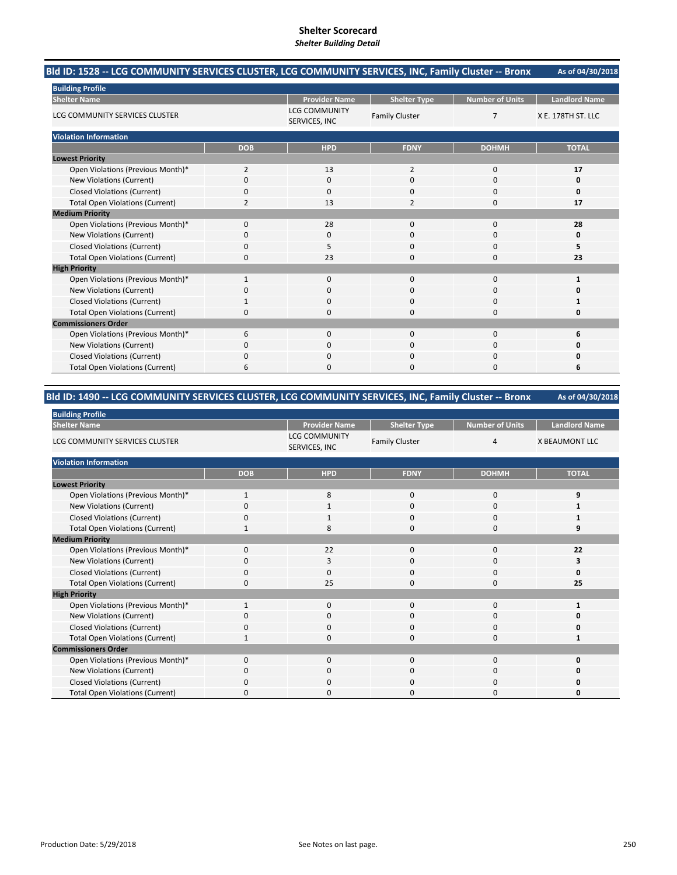| Bld ID: 1528 -- LCG COMMUNITY SERVICES CLUSTER, LCG COMMUNITY SERVICES, INC, Family Cluster -- Bronx | As of 04/30/2018 |
|------------------------------------------------------------------------------------------------------|------------------|
|                                                                                                      |                  |

| <b>Building Profile</b>                |                |                                       |                       |                        |                      |  |
|----------------------------------------|----------------|---------------------------------------|-----------------------|------------------------|----------------------|--|
| <b>Shelter Name</b>                    |                | <b>Provider Name</b>                  | <b>Shelter Type</b>   | <b>Number of Units</b> | <b>Landlord Name</b> |  |
| LCG COMMUNITY SERVICES CLUSTER         |                | <b>LCG COMMUNITY</b><br>SERVICES, INC | <b>Family Cluster</b> | $\overline{7}$         | X E. 178TH ST. LLC   |  |
| <b>Violation Information</b>           |                |                                       |                       |                        |                      |  |
|                                        | <b>DOB</b>     | <b>HPD</b>                            | <b>FDNY</b>           | <b>DOHMH</b>           | <b>TOTAL</b>         |  |
| <b>Lowest Priority</b>                 |                |                                       |                       |                        |                      |  |
| Open Violations (Previous Month)*      | 2              | 13                                    | $\overline{2}$        | $\mathbf 0$            | 17                   |  |
| New Violations (Current)               | $\Omega$       | $\Omega$                              | 0                     | 0                      | 0                    |  |
| <b>Closed Violations (Current)</b>     | $\Omega$       | 0                                     | 0                     | $\mathbf 0$            | ŋ                    |  |
| <b>Total Open Violations (Current)</b> | $\overline{2}$ | 13                                    | $\overline{2}$        | 0                      | 17                   |  |
| <b>Medium Priority</b>                 |                |                                       |                       |                        |                      |  |
| Open Violations (Previous Month)*      | $\Omega$       | 28                                    | 0                     | 0                      | 28                   |  |
| New Violations (Current)               | O              | 0                                     | 0                     | 0                      | o                    |  |
| <b>Closed Violations (Current)</b>     | $\mathbf 0$    | 5                                     | 0                     | $\mathbf 0$            | 5                    |  |
| <b>Total Open Violations (Current)</b> | $\Omega$       | 23                                    | 0                     | $\Omega$               | 23                   |  |
| <b>High Priority</b>                   |                |                                       |                       |                        |                      |  |
| Open Violations (Previous Month)*      |                | 0                                     | 0                     | 0                      |                      |  |
| New Violations (Current)               |                | 0                                     | 0                     | 0                      |                      |  |
| <b>Closed Violations (Current)</b>     |                | $\mathbf 0$                           | 0                     | $\mathbf 0$            |                      |  |
| <b>Total Open Violations (Current)</b> | $\Omega$       | $\Omega$                              | 0                     | $\Omega$               |                      |  |
| <b>Commissioners Order</b>             |                |                                       |                       |                        |                      |  |
| Open Violations (Previous Month)*      | 6              | $\mathbf 0$                           | 0                     | $\mathbf 0$            |                      |  |
| New Violations (Current)               | <sup>0</sup>   | $\Omega$                              | 0                     | 0                      |                      |  |
| <b>Closed Violations (Current)</b>     | $\Omega$       | $\Omega$                              | 0                     | 0                      |                      |  |
| <b>Total Open Violations (Current)</b> | 6              | $\mathbf 0$                           | 0                     | 0                      | 6                    |  |

#### **As of 04/30/2018 Bld ID: 1490 ‐‐ LCG COMMUNITY SERVICES CLUSTER, LCG COMMUNITY SERVICES, INC, Family Cluster ‐‐ Bronx**

| <b>Building Profile</b>                |              |                                       |                       |                        |                       |  |  |
|----------------------------------------|--------------|---------------------------------------|-----------------------|------------------------|-----------------------|--|--|
| <b>Shelter Name</b>                    |              | <b>Provider Name</b>                  | <b>Shelter Type</b>   | <b>Number of Units</b> | <b>Landlord Name</b>  |  |  |
| LCG COMMUNITY SERVICES CLUSTER         |              | <b>LCG COMMUNITY</b><br>SERVICES, INC | <b>Family Cluster</b> | $\overline{4}$         | <b>X BEAUMONT LLC</b> |  |  |
| <b>Violation Information</b>           |              |                                       |                       |                        |                       |  |  |
|                                        | <b>DOB</b>   | <b>HPD</b>                            | <b>FDNY</b>           | <b>DOHMH</b>           | <b>TOTAL</b>          |  |  |
| <b>Lowest Priority</b>                 |              |                                       |                       |                        |                       |  |  |
| Open Violations (Previous Month)*      | 1            | 8                                     | $\mathbf 0$           | 0                      | 9                     |  |  |
| New Violations (Current)               | O            | 1                                     | $\mathbf 0$           | 0                      |                       |  |  |
| <b>Closed Violations (Current)</b>     | $\mathbf 0$  | 1                                     | $\mathbf 0$           | 0                      |                       |  |  |
| <b>Total Open Violations (Current)</b> | -1           | 8                                     | $\Omega$              | $\Omega$               | q                     |  |  |
| <b>Medium Priority</b>                 |              |                                       |                       |                        |                       |  |  |
| Open Violations (Previous Month)*      | $\Omega$     | 22                                    | $\Omega$              | $\Omega$               | 22                    |  |  |
| New Violations (Current)               | O            | 3                                     | 0                     | 0                      | 3                     |  |  |
| <b>Closed Violations (Current)</b>     | $\mathbf 0$  | $\mathbf 0$                           | $\mathbf 0$           | 0                      | 0                     |  |  |
| <b>Total Open Violations (Current)</b> | $\mathbf 0$  | 25                                    | $\mathbf 0$           | 0                      | 25                    |  |  |
| <b>High Priority</b>                   |              |                                       |                       |                        |                       |  |  |
| Open Violations (Previous Month)*      | 1            | $\mathbf 0$                           | $\mathbf{0}$          | $\mathbf 0$            | 1                     |  |  |
| New Violations (Current)               | <sup>0</sup> | $\mathbf 0$                           | 0                     | 0                      | o                     |  |  |
| <b>Closed Violations (Current)</b>     | $\Omega$     | $\mathbf 0$                           | 0                     | 0                      | O                     |  |  |
| <b>Total Open Violations (Current)</b> |              | $\mathbf 0$                           | $\mathbf 0$           | 0                      |                       |  |  |
| <b>Commissioners Order</b>             |              |                                       |                       |                        |                       |  |  |
| Open Violations (Previous Month)*      | $\Omega$     | $\Omega$                              | $\Omega$              | $\Omega$               | 0                     |  |  |
| New Violations (Current)               | $\Omega$     | $\mathbf 0$                           | 0                     | 0                      | O                     |  |  |
| <b>Closed Violations (Current)</b>     | $\Omega$     | $\mathbf 0$                           | 0                     | 0                      | ŋ                     |  |  |
| <b>Total Open Violations (Current)</b> | <sup>0</sup> | $\Omega$                              | 0                     | $\Omega$               | O                     |  |  |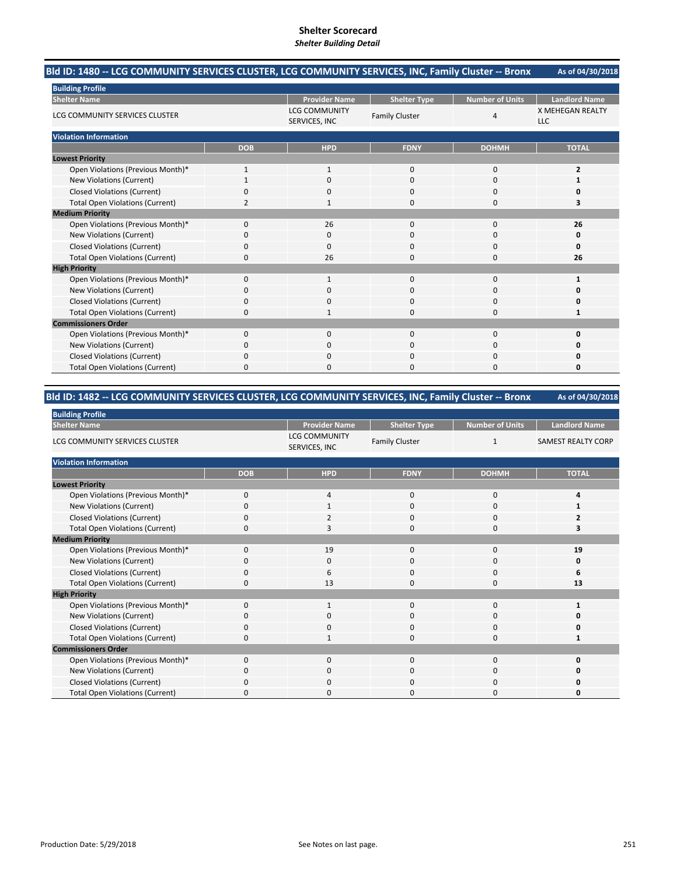#### **As of 04/30/2018 Bld ID: 1480 ‐‐ LCG COMMUNITY SERVICES CLUSTER, LCG COMMUNITY SERVICES, INC, Family Cluster ‐‐ Bronx**

| <b>Building Profile</b>                |                |                                       |                       |                        |                                       |
|----------------------------------------|----------------|---------------------------------------|-----------------------|------------------------|---------------------------------------|
| <b>Shelter Name</b>                    |                | <b>Provider Name</b>                  | <b>Shelter Type</b>   | <b>Number of Units</b> | <b>Landlord Name</b>                  |
| LCG COMMUNITY SERVICES CLUSTER         |                | <b>LCG COMMUNITY</b><br>SERVICES, INC | <b>Family Cluster</b> | 4                      | <b>X MEHEGAN REALTY</b><br><b>LLC</b> |
| <b>Violation Information</b>           |                |                                       |                       |                        |                                       |
|                                        | <b>DOB</b>     | <b>HPD</b>                            | <b>FDNY</b>           | <b>DOHMH</b>           | <b>TOTAL</b>                          |
| <b>Lowest Priority</b>                 |                |                                       |                       |                        |                                       |
| Open Violations (Previous Month)*      |                | 1                                     | 0                     | 0                      | 2                                     |
| New Violations (Current)               |                | 0                                     | 0                     | 0                      |                                       |
| <b>Closed Violations (Current)</b>     | $\Omega$       | $\mathbf 0$                           | 0                     | $\mathbf 0$            |                                       |
| <b>Total Open Violations (Current)</b> | $\overline{2}$ | $\mathbf{1}$                          | 0                     | $\mathbf 0$            | 3                                     |
| <b>Medium Priority</b>                 |                |                                       |                       |                        |                                       |
| Open Violations (Previous Month)*      | $\Omega$       | 26                                    | 0                     | 0                      | 26                                    |
| New Violations (Current)               | $\Omega$       | $\Omega$                              | 0                     | 0                      |                                       |
| <b>Closed Violations (Current)</b>     | $\mathbf 0$    | $\Omega$                              | 0                     | $\mathbf 0$            | O                                     |
| <b>Total Open Violations (Current)</b> | $\Omega$       | 26                                    | 0                     | $\Omega$               | 26                                    |
| <b>High Priority</b>                   |                |                                       |                       |                        |                                       |
| Open Violations (Previous Month)*      | $\mathbf 0$    | 1                                     | 0                     | $\mathbf 0$            |                                       |
| New Violations (Current)               | $\Omega$       | $\Omega$                              | 0                     | 0                      |                                       |
| <b>Closed Violations (Current)</b>     | $\Omega$       | $\Omega$                              | 0                     | $\mathbf 0$            |                                       |
| <b>Total Open Violations (Current)</b> | $\Omega$       | 1                                     | 0                     | $\Omega$               |                                       |
| <b>Commissioners Order</b>             |                |                                       |                       |                        |                                       |
| Open Violations (Previous Month)*      | $\mathbf 0$    | $\mathbf 0$                           | 0                     | $\bf 0$                |                                       |
| New Violations (Current)               | $\Omega$       | $\Omega$                              | 0                     | 0                      |                                       |
| <b>Closed Violations (Current)</b>     | $\Omega$       | 0                                     | 0                     | 0                      |                                       |
| <b>Total Open Violations (Current)</b> | $\Omega$       | $\Omega$                              | 0                     | $\Omega$               | O                                     |

#### **As of 04/30/2018 Bld ID: 1482 ‐‐ LCG COMMUNITY SERVICES CLUSTER, LCG COMMUNITY SERVICES, INC, Family Cluster ‐‐ Bronx**

| <b>Building Profile</b>                |              |                                       |                       |                 |                           |  |  |
|----------------------------------------|--------------|---------------------------------------|-----------------------|-----------------|---------------------------|--|--|
| <b>Shelter Name</b>                    |              | <b>Provider Name</b>                  | <b>Shelter Type</b>   | Number of Units | <b>Landlord Name</b>      |  |  |
| LCG COMMUNITY SERVICES CLUSTER         |              | <b>LCG COMMUNITY</b><br>SERVICES, INC | <b>Family Cluster</b> | $\mathbf{1}$    | <b>SAMEST REALTY CORP</b> |  |  |
| <b>Violation Information</b>           |              |                                       |                       |                 |                           |  |  |
|                                        | <b>DOB</b>   | <b>HPD</b>                            | <b>FDNY</b>           | <b>DOHMH</b>    | <b>TOTAL</b>              |  |  |
| <b>Lowest Priority</b>                 |              |                                       |                       |                 |                           |  |  |
| Open Violations (Previous Month)*      | $\Omega$     | 4                                     | 0                     | 0               |                           |  |  |
| New Violations (Current)               |              |                                       | 0                     | 0               |                           |  |  |
| <b>Closed Violations (Current)</b>     | 0            | 2                                     | 0                     | $\mathbf 0$     | 2                         |  |  |
| <b>Total Open Violations (Current)</b> | 0            | 3                                     | 0                     | $\mathbf 0$     | 3                         |  |  |
| <b>Medium Priority</b>                 |              |                                       |                       |                 |                           |  |  |
| Open Violations (Previous Month)*      | $\Omega$     | 19                                    | 0                     | 0               | 19                        |  |  |
| New Violations (Current)               | <sup>0</sup> | 0                                     | 0                     | 0               | 0                         |  |  |
| <b>Closed Violations (Current)</b>     | 0            | 6                                     | 0                     | $\mathbf 0$     | 6                         |  |  |
| <b>Total Open Violations (Current)</b> | 0            | 13                                    | 0                     | 0               | 13                        |  |  |
| <b>High Priority</b>                   |              |                                       |                       |                 |                           |  |  |
| Open Violations (Previous Month)*      | $\Omega$     | $\mathbf{1}$                          | $\Omega$              | $\mathbf 0$     | $\mathbf{1}$              |  |  |
| New Violations (Current)               | 0            | $\mathbf 0$                           | 0                     | 0               |                           |  |  |
| <b>Closed Violations (Current)</b>     | 0            | $\mathbf 0$                           | $\Omega$              | 0               |                           |  |  |
| <b>Total Open Violations (Current)</b> | 0            | -1                                    | 0                     | 0               |                           |  |  |
| <b>Commissioners Order</b>             |              |                                       |                       |                 |                           |  |  |
| Open Violations (Previous Month)*      | $\Omega$     | $\Omega$                              | $\Omega$              | $\mathbf 0$     | O                         |  |  |
| New Violations (Current)               | 0            | $\mathbf 0$                           | 0                     | 0               |                           |  |  |
| <b>Closed Violations (Current)</b>     | 0            | $\Omega$                              | $\Omega$              | 0               |                           |  |  |
| <b>Total Open Violations (Current)</b> | <sup>0</sup> | $\Omega$                              | O                     | $\Omega$        |                           |  |  |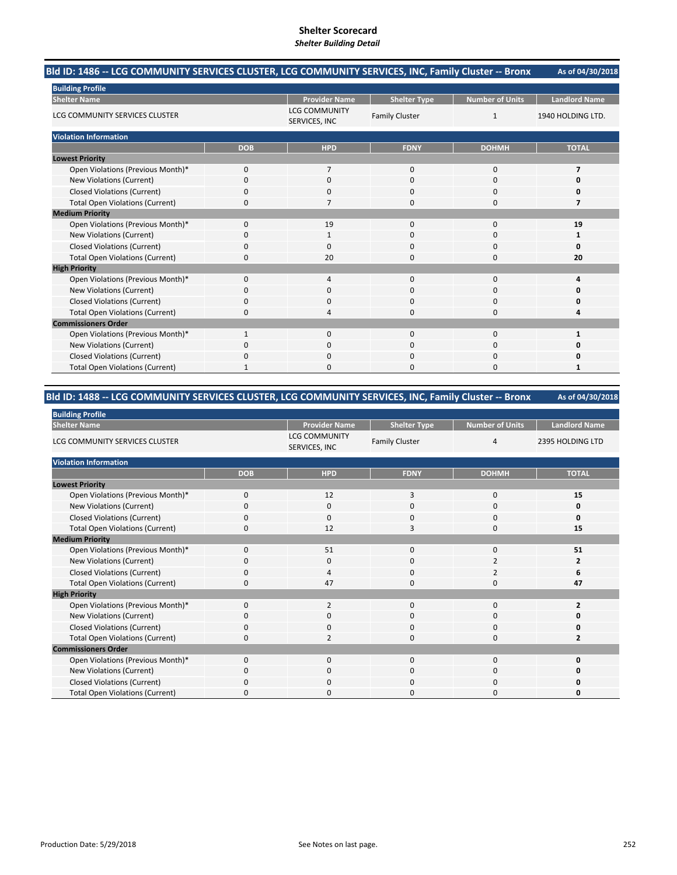#### **As of 04/30/2018 Bld ID: 1486 ‐‐ LCG COMMUNITY SERVICES CLUSTER, LCG COMMUNITY SERVICES, INC, Family Cluster ‐‐ Bronx**

| <b>Building Profile</b>                |             |                                       |                       |                        |                      |  |
|----------------------------------------|-------------|---------------------------------------|-----------------------|------------------------|----------------------|--|
| <b>Shelter Name</b>                    |             | <b>Provider Name</b>                  | <b>Shelter Type</b>   | <b>Number of Units</b> | <b>Landlord Name</b> |  |
| LCG COMMUNITY SERVICES CLUSTER         |             | <b>LCG COMMUNITY</b><br>SERVICES, INC | <b>Family Cluster</b> | $\mathbf{1}$           | 1940 HOLDING LTD.    |  |
| <b>Violation Information</b>           |             |                                       |                       |                        |                      |  |
|                                        | <b>DOB</b>  | <b>HPD</b>                            | <b>FDNY</b>           | <b>DOHMH</b>           | <b>TOTAL</b>         |  |
| <b>Lowest Priority</b>                 |             |                                       |                       |                        |                      |  |
| Open Violations (Previous Month)*      | $\Omega$    | 7                                     | 0                     | $\mathbf 0$            | 7                    |  |
| New Violations (Current)               | $\Omega$    | $\mathbf 0$                           | 0                     | 0                      |                      |  |
| <b>Closed Violations (Current)</b>     | $\Omega$    | 0                                     | 0                     | 0                      |                      |  |
| <b>Total Open Violations (Current)</b> | 0           | 7                                     | 0                     | 0                      |                      |  |
| <b>Medium Priority</b>                 |             |                                       |                       |                        |                      |  |
| Open Violations (Previous Month)*      | $\Omega$    | 19                                    | $\Omega$              | 0                      | 19                   |  |
| New Violations (Current)               | O           | 1                                     | 0                     | 0                      | 1                    |  |
| <b>Closed Violations (Current)</b>     | $\mathbf 0$ | $\Omega$                              | 0                     | $\mathbf 0$            |                      |  |
| <b>Total Open Violations (Current)</b> | $\Omega$    | 20                                    | 0                     | $\mathbf 0$            | 20                   |  |
| <b>High Priority</b>                   |             |                                       |                       |                        |                      |  |
| Open Violations (Previous Month)*      | $\Omega$    | 4                                     | $\Omega$              | 0                      |                      |  |
| New Violations (Current)               | O           | 0                                     | 0                     | 0                      |                      |  |
| <b>Closed Violations (Current)</b>     | 0           | 0                                     | 0                     | $\mathbf 0$            |                      |  |
| <b>Total Open Violations (Current)</b> | $\Omega$    | 4                                     | 0                     | $\Omega$               |                      |  |
| <b>Commissioners Order</b>             |             |                                       |                       |                        |                      |  |
| Open Violations (Previous Month)*      |             | $\mathbf 0$                           | 0                     | $\mathbf 0$            |                      |  |
| New Violations (Current)               | n           | $\Omega$                              | 0                     | $\Omega$               |                      |  |
| <b>Closed Violations (Current)</b>     | $\Omega$    | $\Omega$                              | 0                     | 0                      |                      |  |
| <b>Total Open Violations (Current)</b> |             | $\Omega$                              | 0                     | $\Omega$               |                      |  |

#### **As of 04/30/2018 Bld ID: 1488 ‐‐ LCG COMMUNITY SERVICES CLUSTER, LCG COMMUNITY SERVICES, INC, Family Cluster ‐‐ Bronx**

| <b>Building Profile</b>                |              |                                       |                       |                        |                      |
|----------------------------------------|--------------|---------------------------------------|-----------------------|------------------------|----------------------|
| <b>Shelter Name</b>                    |              | <b>Provider Name</b>                  | <b>Shelter Type</b>   | <b>Number of Units</b> | <b>Landlord Name</b> |
| LCG COMMUNITY SERVICES CLUSTER         |              | <b>LCG COMMUNITY</b><br>SERVICES, INC | <b>Family Cluster</b> | $\overline{4}$         | 2395 HOLDING LTD     |
| <b>Violation Information</b>           |              |                                       |                       |                        |                      |
|                                        | <b>DOB</b>   | <b>HPD</b>                            | <b>FDNY</b>           | <b>DOHMH</b>           | <b>TOTAL</b>         |
| <b>Lowest Priority</b>                 |              |                                       |                       |                        |                      |
| Open Violations (Previous Month)*      | $\mathbf 0$  | 12                                    | 3                     | 0                      | 15                   |
| New Violations (Current)               | 0            | $\mathbf 0$                           | 0                     | 0                      | 0                    |
| <b>Closed Violations (Current)</b>     | 0            | $\mathbf 0$                           | 0                     | 0                      | 0                    |
| <b>Total Open Violations (Current)</b> | 0            | 12                                    | 3                     | $\mathbf 0$            | 15                   |
| <b>Medium Priority</b>                 |              |                                       |                       |                        |                      |
| Open Violations (Previous Month)*      | $\Omega$     | 51                                    | 0                     | 0                      | 51                   |
| New Violations (Current)               | <sup>0</sup> | 0                                     | 0                     | 2                      | 2                    |
| <b>Closed Violations (Current)</b>     | $\Omega$     | 4                                     | 0                     | 2                      | 6                    |
| <b>Total Open Violations (Current)</b> | 0            | 47                                    | 0                     | 0                      | 47                   |
| <b>High Priority</b>                   |              |                                       |                       |                        |                      |
| Open Violations (Previous Month)*      | $\Omega$     | $\overline{2}$                        | $\Omega$              | $\mathbf 0$            | $\overline{2}$       |
| New Violations (Current)               | 0            | $\mathbf 0$                           | 0                     | 0                      | n                    |
| <b>Closed Violations (Current)</b>     | $\Omega$     | $\mathbf 0$                           | 0                     | $\mathbf 0$            |                      |
| <b>Total Open Violations (Current)</b> | O            | $\overline{2}$                        | 0                     | 0                      | 2                    |
| <b>Commissioners Order</b>             |              |                                       |                       |                        |                      |
| Open Violations (Previous Month)*      | $\Omega$     | $\Omega$                              | $\Omega$              | $\Omega$               | O                    |
| New Violations (Current)               | 0            | 0                                     | 0                     | 0                      |                      |
| <b>Closed Violations (Current)</b>     | 0            | $\mathbf 0$                           | 0                     | $\mathbf 0$            |                      |
| <b>Total Open Violations (Current)</b> | O            | $\Omega$                              | O                     | $\Omega$               |                      |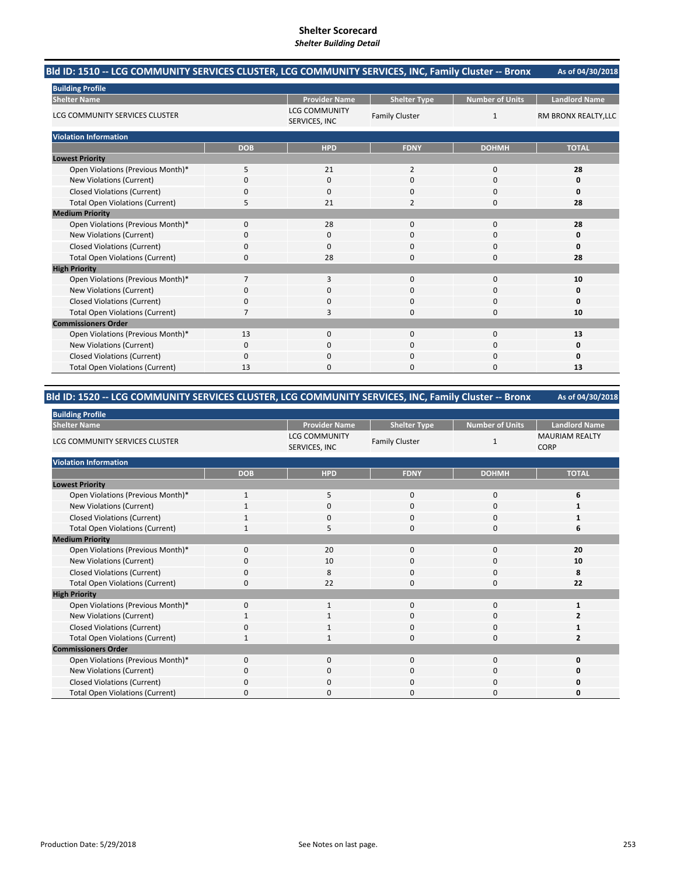#### **As of 04/30/2018 Bld ID: 1510 ‐‐ LCG COMMUNITY SERVICES CLUSTER, LCG COMMUNITY SERVICES, INC, Family Cluster ‐‐ Bronx**

| <b>Building Profile</b>                |                |                                       |                       |                        |                      |
|----------------------------------------|----------------|---------------------------------------|-----------------------|------------------------|----------------------|
| <b>Shelter Name</b>                    |                | <b>Provider Name</b>                  | <b>Shelter Type</b>   | <b>Number of Units</b> | <b>Landlord Name</b> |
| LCG COMMUNITY SERVICES CLUSTER         |                | <b>LCG COMMUNITY</b><br>SERVICES, INC | <b>Family Cluster</b> | $\mathbf{1}$           | RM BRONX REALTY, LLC |
| <b>Violation Information</b>           |                |                                       |                       |                        |                      |
|                                        | <b>DOB</b>     | <b>HPD</b>                            | <b>FDNY</b>           | <b>DOHMH</b>           | <b>TOTAL</b>         |
| <b>Lowest Priority</b>                 |                |                                       |                       |                        |                      |
| Open Violations (Previous Month)*      | 5              | 21                                    | $\overline{2}$        | $\mathbf 0$            | 28                   |
| New Violations (Current)               | $\Omega$       | 0                                     | 0                     | $\mathbf 0$            | Ω                    |
| <b>Closed Violations (Current)</b>     | $\Omega$       | $\Omega$                              | 0                     | 0                      | ŋ                    |
| <b>Total Open Violations (Current)</b> | 5              | 21                                    | $\overline{2}$        | $\mathbf 0$            | 28                   |
| <b>Medium Priority</b>                 |                |                                       |                       |                        |                      |
| Open Violations (Previous Month)*      | $\Omega$       | 28                                    | $\Omega$              | 0                      | 28                   |
| New Violations (Current)               | O              | 0                                     | 0                     | 0                      | 0                    |
| <b>Closed Violations (Current)</b>     | 0              | $\Omega$                              | 0                     | 0                      | O                    |
| <b>Total Open Violations (Current)</b> | $\Omega$       | 28                                    | 0                     | $\Omega$               | 28                   |
| <b>High Priority</b>                   |                |                                       |                       |                        |                      |
| Open Violations (Previous Month)*      |                | 3                                     | 0                     | 0                      | 10                   |
| New Violations (Current)               | O              | 0                                     | 0                     | 0                      |                      |
| <b>Closed Violations (Current)</b>     | $\Omega$       | $\Omega$                              | 0                     | $\mathbf 0$            | O                    |
| <b>Total Open Violations (Current)</b> | $\overline{7}$ | 3                                     | 0                     | $\Omega$               | 10                   |
| <b>Commissioners Order</b>             |                |                                       |                       |                        |                      |
| Open Violations (Previous Month)*      | 13             | $\mathbf{0}$                          | 0                     | 0                      | 13                   |
| New Violations (Current)               | $\Omega$       | $\Omega$                              | 0                     | $\Omega$               | 0                    |
| <b>Closed Violations (Current)</b>     | $\Omega$       | $\Omega$                              | 0                     | 0                      | Ω                    |
| <b>Total Open Violations (Current)</b> | 13             | $\Omega$                              | 0                     | $\Omega$               | 13                   |

# **Bld ID: 1520 ‐‐ LCG COMMUNITY SERVICES CLUSTER, LCG COMMUNITY SERVICES, INC, Family Cluster ‐‐ Bronx**

| <b>Building Profile</b>                |              |                                       |                       |                        |                                      |
|----------------------------------------|--------------|---------------------------------------|-----------------------|------------------------|--------------------------------------|
| <b>Shelter Name</b>                    |              | <b>Provider Name</b>                  | <b>Shelter Type</b>   | <b>Number of Units</b> | <b>Landlord Name</b>                 |
| LCG COMMUNITY SERVICES CLUSTER         |              | <b>LCG COMMUNITY</b><br>SERVICES, INC | <b>Family Cluster</b> | 1                      | <b>MAURIAM REALTY</b><br><b>CORP</b> |
| <b>Violation Information</b>           |              |                                       |                       |                        |                                      |
|                                        | <b>DOB</b>   | <b>HPD</b>                            | <b>FDNY</b>           | <b>DOHMH</b>           | <b>TOTAL</b>                         |
| <b>Lowest Priority</b>                 |              |                                       |                       |                        |                                      |
| Open Violations (Previous Month)*      | $\mathbf{1}$ | 5                                     | $\mathbf 0$           | 0                      | 6                                    |
| New Violations (Current)               |              | $\mathbf 0$                           | $\Omega$              | 0                      |                                      |
| <b>Closed Violations (Current)</b>     |              | $\mathbf 0$                           | 0                     | 0                      |                                      |
| <b>Total Open Violations (Current)</b> | 1            | 5                                     | $\Omega$              | 0                      | 6                                    |
| <b>Medium Priority</b>                 |              |                                       |                       |                        |                                      |
| Open Violations (Previous Month)*      | $\Omega$     | 20                                    | $\Omega$              | 0                      | 20                                   |
| New Violations (Current)               | 0            | 10                                    | 0                     | 0                      | 10                                   |
| <b>Closed Violations (Current)</b>     | 0            | 8                                     | 0                     | 0                      | 8                                    |
| <b>Total Open Violations (Current)</b> | 0            | 22                                    | $\Omega$              | 0                      | 22                                   |
| <b>High Priority</b>                   |              |                                       |                       |                        |                                      |
| Open Violations (Previous Month)*      | $\Omega$     | 1                                     | $\Omega$              | 0                      | 1                                    |
| New Violations (Current)               |              | 1                                     | 0                     | 0                      | 2                                    |
| <b>Closed Violations (Current)</b>     | 0            | 1                                     | $\Omega$              | 0                      |                                      |
| <b>Total Open Violations (Current)</b> |              |                                       | 0                     | 0                      | 2                                    |
| <b>Commissioners Order</b>             |              |                                       |                       |                        |                                      |
| Open Violations (Previous Month)*      | $\Omega$     | $\Omega$                              | $\Omega$              | 0                      | $\Omega$                             |
| New Violations (Current)               | 0            | $\mathbf 0$                           | 0                     | 0                      | O                                    |
| <b>Closed Violations (Current)</b>     | 0            | $\mathbf 0$                           | $\Omega$              | 0                      | 0                                    |
| <b>Total Open Violations (Current)</b> | O            | 0                                     | n                     | 0                      | O                                    |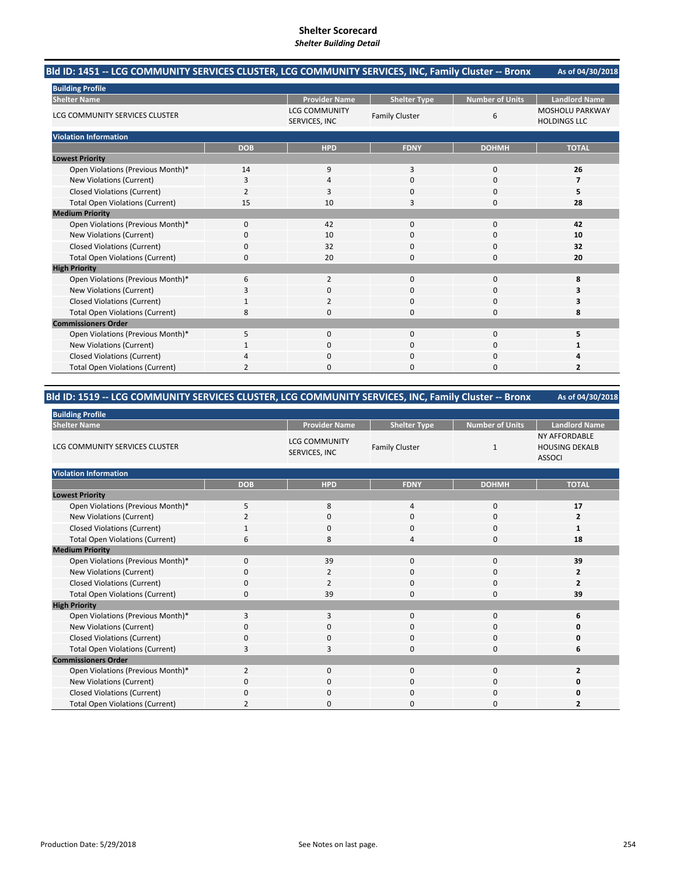#### **As of 04/30/2018 Bld ID: 1451 ‐‐ LCG COMMUNITY SERVICES CLUSTER, LCG COMMUNITY SERVICES, INC, Family Cluster ‐‐ Bronx**

| <b>Building Profile</b>                |                |                                       |                       |                        |                                               |
|----------------------------------------|----------------|---------------------------------------|-----------------------|------------------------|-----------------------------------------------|
| <b>Shelter Name</b>                    |                | <b>Provider Name</b>                  | <b>Shelter Type</b>   | <b>Number of Units</b> | <b>Landlord Name</b>                          |
| LCG COMMUNITY SERVICES CLUSTER         |                | <b>LCG COMMUNITY</b><br>SERVICES, INC | <b>Family Cluster</b> | 6                      | <b>MOSHOLU PARKWAY</b><br><b>HOLDINGS LLC</b> |
| <b>Violation Information</b>           |                |                                       |                       |                        |                                               |
|                                        | <b>DOB</b>     | <b>HPD</b>                            | <b>FDNY</b>           | <b>DOHMH</b>           | <b>TOTAL</b>                                  |
| <b>Lowest Priority</b>                 |                |                                       |                       |                        |                                               |
| Open Violations (Previous Month)*      | 14             | 9                                     | 3                     | $\mathbf 0$            | 26                                            |
| New Violations (Current)               | 3              | 4                                     | 0                     | 0                      |                                               |
| <b>Closed Violations (Current)</b>     | $\overline{2}$ | 3                                     | 0                     | $\mathbf 0$            | 5                                             |
| <b>Total Open Violations (Current)</b> | 15             | 10                                    | 3                     | $\mathbf 0$            | 28                                            |
| <b>Medium Priority</b>                 |                |                                       |                       |                        |                                               |
| Open Violations (Previous Month)*      | 0              | 42                                    | $\Omega$              | 0                      | 42                                            |
| New Violations (Current)               | 0              | 10                                    | 0                     | $\mathbf 0$            | 10                                            |
| <b>Closed Violations (Current)</b>     | 0              | 32                                    | 0                     | 0                      | 32                                            |
| <b>Total Open Violations (Current)</b> | 0              | 20                                    | $\Omega$              | $\mathbf 0$            | 20                                            |
| <b>High Priority</b>                   |                |                                       |                       |                        |                                               |
| Open Violations (Previous Month)*      | 6              | $\overline{2}$                        | 0                     | $\mathbf 0$            | 8                                             |
| New Violations (Current)               | 3              | $\mathbf 0$                           | $\Omega$              | $\mathbf 0$            |                                               |
| <b>Closed Violations (Current)</b>     | $\mathbf{1}$   | 2                                     | $\Omega$              | $\mathbf 0$            | 3                                             |
| <b>Total Open Violations (Current)</b> | 8              | $\Omega$                              | $\Omega$              | $\Omega$               | 8                                             |
| <b>Commissioners Order</b>             |                |                                       |                       |                        |                                               |
| Open Violations (Previous Month)*      | 5              | $\mathbf 0$                           | $\mathbf 0$           | $\bf 0$                | 5                                             |
| New Violations (Current)               |                | $\mathbf 0$                           | $\Omega$              | 0                      |                                               |
| <b>Closed Violations (Current)</b>     | 4              | $\mathbf 0$                           | 0                     | $\mathbf 0$            |                                               |
| <b>Total Open Violations (Current)</b> | $\overline{2}$ | $\Omega$                              | 0                     | $\Omega$               | $\overline{2}$                                |

# **Bld ID: 1519 ‐‐ LCG COMMUNITY SERVICES CLUSTER, LCG COMMUNITY SERVICES, INC, Family Cluster ‐‐ Bronx**

| <b>Building Profile</b>                |                |                                       |                       |                        |                                                                |
|----------------------------------------|----------------|---------------------------------------|-----------------------|------------------------|----------------------------------------------------------------|
| <b>Shelter Name</b>                    |                | <b>Provider Name</b>                  | <b>Shelter Type</b>   | <b>Number of Units</b> | <b>Landlord Name</b>                                           |
| LCG COMMUNITY SERVICES CLUSTER         |                | <b>LCG COMMUNITY</b><br>SERVICES, INC | <b>Family Cluster</b> | 1                      | <b>NY AFFORDABLE</b><br><b>HOUSING DEKALB</b><br><b>ASSOCI</b> |
| <b>Violation Information</b>           |                |                                       |                       |                        |                                                                |
|                                        | <b>DOB</b>     | <b>HPD</b>                            | <b>FDNY</b>           | <b>DOHMH</b>           | <b>TOTAL</b>                                                   |
| <b>Lowest Priority</b>                 |                |                                       |                       |                        |                                                                |
| Open Violations (Previous Month)*      | 5              | 8                                     | 4                     | 0                      | 17                                                             |
| New Violations (Current)               | 2              | 0                                     | 0                     | 0                      | 2                                                              |
| <b>Closed Violations (Current)</b>     |                | 0                                     | $\mathbf 0$           | 0                      | 1                                                              |
| <b>Total Open Violations (Current)</b> | 6              | 8                                     | 4                     | 0                      | 18                                                             |
| <b>Medium Priority</b>                 |                |                                       |                       |                        |                                                                |
| Open Violations (Previous Month)*      | $\mathbf{0}$   | 39                                    | $\mathbf{0}$          | $\mathbf 0$            | 39                                                             |
| New Violations (Current)               | $\Omega$       | 2                                     | $\Omega$              | $\Omega$               | $\overline{2}$                                                 |
| <b>Closed Violations (Current)</b>     | 0              |                                       | 0                     | 0                      | $\overline{2}$                                                 |
| <b>Total Open Violations (Current)</b> | 0              | 39                                    | $\mathbf 0$           | $\mathbf 0$            | 39                                                             |
| <b>High Priority</b>                   |                |                                       |                       |                        |                                                                |
| Open Violations (Previous Month)*      | 3              | 3                                     | $\mathbf{0}$          | $\mathbf 0$            | 6                                                              |
| New Violations (Current)               | $\Omega$       | 0                                     | $\mathbf 0$           | $\Omega$               | 0                                                              |
| <b>Closed Violations (Current)</b>     | 0              | 0                                     | 0                     | 0                      | 0                                                              |
| <b>Total Open Violations (Current)</b> | 3              | 3                                     | $\mathbf{0}$          | $\mathbf 0$            | 6                                                              |
| <b>Commissioners Order</b>             |                |                                       |                       |                        |                                                                |
| Open Violations (Previous Month)*      | $\overline{2}$ | $\mathbf{0}$                          | 0                     | $\mathbf 0$            | $\overline{2}$                                                 |
| New Violations (Current)               | 0              | $\mathbf{0}$                          | $\mathbf 0$           | $\mathbf 0$            | 0                                                              |
| <b>Closed Violations (Current)</b>     | 0              | $\Omega$                              | 0                     | 0                      | 0                                                              |
| <b>Total Open Violations (Current)</b> | 2              | 0                                     | $\Omega$              | 0                      | 2                                                              |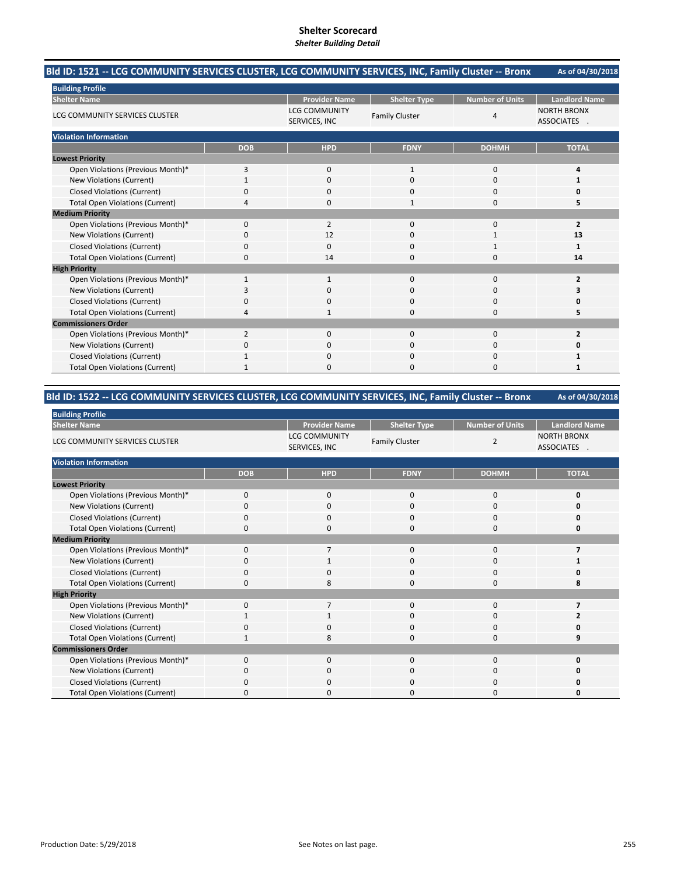#### **As of 04/30/2018 Bld ID: 1521 ‐‐ LCG COMMUNITY SERVICES CLUSTER, LCG COMMUNITY SERVICES, INC, Family Cluster ‐‐ Bronx**

| <b>Building Profile</b>                |                |                                       |                       |                        |                                         |  |  |
|----------------------------------------|----------------|---------------------------------------|-----------------------|------------------------|-----------------------------------------|--|--|
| <b>Shelter Name</b>                    |                | <b>Provider Name</b>                  | <b>Shelter Type</b>   | <b>Number of Units</b> | <b>Landlord Name</b>                    |  |  |
| LCG COMMUNITY SERVICES CLUSTER         |                | <b>LCG COMMUNITY</b><br>SERVICES, INC | <b>Family Cluster</b> | 4                      | <b>NORTH BRONX</b><br><b>ASSOCIATES</b> |  |  |
| <b>Violation Information</b>           |                |                                       |                       |                        |                                         |  |  |
|                                        | <b>DOB</b>     | <b>HPD</b>                            | <b>FDNY</b>           | <b>DOHMH</b>           | <b>TOTAL</b>                            |  |  |
| <b>Lowest Priority</b>                 |                |                                       |                       |                        |                                         |  |  |
| Open Violations (Previous Month)*      | 3              | $\Omega$                              | 1                     | 0                      |                                         |  |  |
| New Violations (Current)               |                | 0                                     | 0                     | 0                      |                                         |  |  |
| <b>Closed Violations (Current)</b>     | $\Omega$       | $\Omega$                              | 0                     | $\mathbf 0$            |                                         |  |  |
| <b>Total Open Violations (Current)</b> | $\Lambda$      | $\Omega$                              | $\mathbf{1}$          | $\mathbf 0$            | 5                                       |  |  |
| <b>Medium Priority</b>                 |                |                                       |                       |                        |                                         |  |  |
| Open Violations (Previous Month)*      | $\Omega$       | $\overline{2}$                        | 0                     | 0                      | $\overline{2}$                          |  |  |
| New Violations (Current)               | $\Omega$       | 12                                    | 0                     |                        | 13                                      |  |  |
| <b>Closed Violations (Current)</b>     | $\mathbf 0$    | 0                                     | 0                     | 1                      | 1                                       |  |  |
| <b>Total Open Violations (Current)</b> | $\Omega$       | 14                                    | 0                     | $\Omega$               | 14                                      |  |  |
| <b>High Priority</b>                   |                |                                       |                       |                        |                                         |  |  |
| Open Violations (Previous Month)*      | $\mathbf 1$    | $\mathbf{1}$                          | 0                     | $\mathbf 0$            | $\overline{2}$                          |  |  |
| New Violations (Current)               |                | $\Omega$                              | 0                     | 0                      |                                         |  |  |
| <b>Closed Violations (Current)</b>     | $\Omega$       | $\Omega$                              | 0                     | $\mathbf 0$            |                                         |  |  |
| <b>Total Open Violations (Current)</b> | $\overline{a}$ | 1                                     | 0                     | $\Omega$               | 5                                       |  |  |
| <b>Commissioners Order</b>             |                |                                       |                       |                        |                                         |  |  |
| Open Violations (Previous Month)*      | $\overline{2}$ | $\mathbf 0$                           | 0                     | $\bf 0$                | $\overline{2}$                          |  |  |
| New Violations (Current)               | $\Omega$       | $\Omega$                              | 0                     | 0                      |                                         |  |  |
| <b>Closed Violations (Current)</b>     |                | 0                                     | 0                     | 0                      |                                         |  |  |
| <b>Total Open Violations (Current)</b> |                | $\Omega$                              | 0                     | $\Omega$               | 1                                       |  |  |

#### **As of 04/30/2018 Bld ID: 1522 ‐‐ LCG COMMUNITY SERVICES CLUSTER, LCG COMMUNITY SERVICES, INC, Family Cluster ‐‐ Bronx**

| <b>Building Profile</b>                |              |                                       |                       |                        |                                         |
|----------------------------------------|--------------|---------------------------------------|-----------------------|------------------------|-----------------------------------------|
| <b>Shelter Name</b>                    |              | <b>Provider Name</b>                  | <b>Shelter Type</b>   | <b>Number of Units</b> | <b>Landlord Name</b>                    |
| LCG COMMUNITY SERVICES CLUSTER         |              | <b>LCG COMMUNITY</b><br>SERVICES, INC | <b>Family Cluster</b> | $\overline{2}$         | <b>NORTH BRONX</b><br><b>ASSOCIATES</b> |
| <b>Violation Information</b>           |              |                                       |                       |                        |                                         |
|                                        | <b>DOB</b>   | <b>HPD</b>                            | <b>FDNY</b>           | <b>DOHMH</b>           | <b>TOTAL</b>                            |
| <b>Lowest Priority</b>                 |              |                                       |                       |                        |                                         |
| Open Violations (Previous Month)*      | $\mathbf{0}$ | $\mathbf 0$                           | $\mathbf 0$           | 0                      | 0                                       |
| New Violations (Current)               | 0            | $\mathbf 0$                           | 0                     | 0                      | 0                                       |
| <b>Closed Violations (Current)</b>     | 0            | $\mathbf 0$                           | 0                     | 0                      | 0                                       |
| <b>Total Open Violations (Current)</b> | O            | $\Omega$                              | $\Omega$              | $\Omega$               | 0                                       |
| <b>Medium Priority</b>                 |              |                                       |                       |                        |                                         |
| Open Violations (Previous Month)*      | $\Omega$     |                                       | $\Omega$              | 0                      |                                         |
| New Violations (Current)               | 0            | -1                                    | 0                     | 0                      |                                         |
| <b>Closed Violations (Current)</b>     | 0            | $\mathbf 0$                           | 0                     | 0                      | 0                                       |
| <b>Total Open Violations (Current)</b> | 0            | 8                                     | $\Omega$              | 0                      | 8                                       |
| <b>High Priority</b>                   |              |                                       |                       |                        |                                         |
| Open Violations (Previous Month)*      | $\mathbf{0}$ | 7                                     | $\mathbf{0}$          | 0                      | 7                                       |
| New Violations (Current)               |              |                                       | 0                     | 0                      | 2                                       |
| <b>Closed Violations (Current)</b>     | 0            | 0                                     | $\mathbf 0$           | 0                      | O                                       |
| <b>Total Open Violations (Current)</b> |              | 8                                     | O                     | 0                      | 9                                       |
| <b>Commissioners Order</b>             |              |                                       |                       |                        |                                         |
| Open Violations (Previous Month)*      | $\Omega$     | $\mathbf 0$                           | $\Omega$              | $\Omega$               | 0                                       |
| New Violations (Current)               | 0            | 0                                     | $\Omega$              | 0                      | 0                                       |
| <b>Closed Violations (Current)</b>     | $\Omega$     | $\mathbf 0$                           | $\Omega$              | 0                      | 0                                       |
| <b>Total Open Violations (Current)</b> | U            | $\Omega$                              | n                     | 0                      | 0                                       |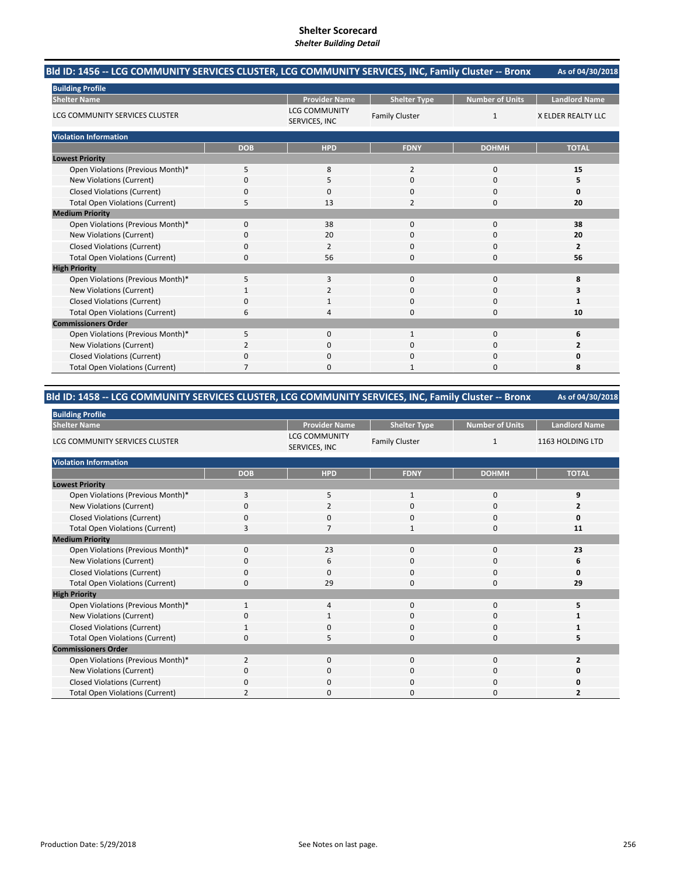#### **As of 04/30/2018 Bld ID: 1456 ‐‐ LCG COMMUNITY SERVICES CLUSTER, LCG COMMUNITY SERVICES, INC, Family Cluster ‐‐ Bronx**

| <b>Building Profile</b>                |             |                                       |                       |                        |                           |
|----------------------------------------|-------------|---------------------------------------|-----------------------|------------------------|---------------------------|
| <b>Shelter Name</b>                    |             | <b>Provider Name</b>                  | <b>Shelter Type</b>   | <b>Number of Units</b> | <b>Landlord Name</b>      |
| LCG COMMUNITY SERVICES CLUSTER         |             | <b>LCG COMMUNITY</b><br>SERVICES, INC | <b>Family Cluster</b> | $\mathbf{1}$           | <b>X ELDER REALTY LLC</b> |
| <b>Violation Information</b>           |             |                                       |                       |                        |                           |
|                                        | <b>DOB</b>  | <b>HPD</b>                            | <b>FDNY</b>           | <b>DOHMH</b>           | <b>TOTAL</b>              |
| <b>Lowest Priority</b>                 |             |                                       |                       |                        |                           |
| Open Violations (Previous Month)*      | 5           | 8                                     | $\overline{2}$        | $\mathbf 0$            | 15                        |
| New Violations (Current)               | 0           | 5                                     | 0                     | 0                      | 5                         |
| <b>Closed Violations (Current)</b>     | $\Omega$    | $\Omega$                              | 0                     | $\mathbf 0$            | Ω                         |
| <b>Total Open Violations (Current)</b> | 5           | 13                                    | $\overline{2}$        | 0                      | 20                        |
| <b>Medium Priority</b>                 |             |                                       |                       |                        |                           |
| Open Violations (Previous Month)*      | $\Omega$    | 38                                    | 0                     | $\mathbf 0$            | 38                        |
| New Violations (Current)               | $\Omega$    | 20                                    | 0                     | $\Omega$               | 20                        |
| <b>Closed Violations (Current)</b>     | $\Omega$    | 2                                     | 0                     | 0                      | 2                         |
| <b>Total Open Violations (Current)</b> | $\Omega$    | 56                                    | 0                     | $\mathbf 0$            | 56                        |
| <b>High Priority</b>                   |             |                                       |                       |                        |                           |
| Open Violations (Previous Month)*      | 5           | 3                                     | 0                     | $\mathbf 0$            | 8                         |
| New Violations (Current)               |             | 2                                     | 0                     | 0                      |                           |
| <b>Closed Violations (Current)</b>     | $\mathbf 0$ | $\mathbf{1}$                          | 0                     | 0                      |                           |
| <b>Total Open Violations (Current)</b> | 6           | Δ                                     | 0                     | $\Omega$               | 10                        |
| <b>Commissioners Order</b>             |             |                                       |                       |                        |                           |
| Open Violations (Previous Month)*      | 5           | $\mathbf 0$                           | $\mathbf{1}$          | $\mathbf 0$            | 6                         |
| New Violations (Current)               |             | $\Omega$                              | 0                     | 0                      |                           |
| <b>Closed Violations (Current)</b>     | 0           | $\Omega$                              | 0                     | 0                      |                           |
| <b>Total Open Violations (Current)</b> |             | $\Omega$                              | $\mathbf{1}$          | $\Omega$               | 8                         |

#### **As of 04/30/2018 Bld ID: 1458 ‐‐ LCG COMMUNITY SERVICES CLUSTER, LCG COMMUNITY SERVICES, INC, Family Cluster ‐‐ Bronx**

| <b>Building Profile</b>                |                |                                       |                       |                        |                      |
|----------------------------------------|----------------|---------------------------------------|-----------------------|------------------------|----------------------|
| <b>Shelter Name</b>                    |                | <b>Provider Name</b>                  | <b>Shelter Type</b>   | <b>Number of Units</b> | <b>Landlord Name</b> |
| LCG COMMUNITY SERVICES CLUSTER         |                | <b>LCG COMMUNITY</b><br>SERVICES, INC | <b>Family Cluster</b> | $\mathbf{1}$           | 1163 HOLDING LTD     |
| <b>Violation Information</b>           |                |                                       |                       |                        |                      |
|                                        | <b>DOB</b>     | <b>HPD</b>                            | <b>FDNY</b>           | <b>DOHMH</b>           | <b>TOTAL</b>         |
| <b>Lowest Priority</b>                 |                |                                       |                       |                        |                      |
| Open Violations (Previous Month)*      | 3              | 5                                     | $\mathbf{1}$          | 0                      | 9                    |
| New Violations (Current)               | 0              | 2                                     | 0                     | 0                      |                      |
| <b>Closed Violations (Current)</b>     | $\Omega$       | $\mathbf 0$                           | $\Omega$              | 0                      | O                    |
| <b>Total Open Violations (Current)</b> | 3              | 7                                     | 1                     | 0                      | 11                   |
| <b>Medium Priority</b>                 |                |                                       |                       |                        |                      |
| Open Violations (Previous Month)*      | $\Omega$       | 23                                    | $\Omega$              | 0                      | 23                   |
| New Violations (Current)               | 0              | 6                                     | $\Omega$              | 0                      | 6                    |
| <b>Closed Violations (Current)</b>     | 0              | $\mathbf 0$                           | $\Omega$              | 0                      | O                    |
| <b>Total Open Violations (Current)</b> | 0              | 29                                    | $\Omega$              | 0                      | 29                   |
| <b>High Priority</b>                   |                |                                       |                       |                        |                      |
| Open Violations (Previous Month)*      | 1              | 4                                     | $\Omega$              | $\Omega$               | 5                    |
| New Violations (Current)               | 0              | 1                                     | $\Omega$              | 0                      |                      |
| <b>Closed Violations (Current)</b>     |                | $\Omega$                              | $\Omega$              | 0                      |                      |
| <b>Total Open Violations (Current)</b> | O              | 5                                     | 0                     | 0                      | 5                    |
| <b>Commissioners Order</b>             |                |                                       |                       |                        |                      |
| Open Violations (Previous Month)*      | $\overline{2}$ | $\Omega$                              | $\Omega$              | $\Omega$               | $\overline{2}$       |
| New Violations (Current)               | 0              | $\mathbf 0$                           | $\Omega$              | 0                      | O                    |
| <b>Closed Violations (Current)</b>     | 0              | $\mathbf 0$                           | $\Omega$              | 0                      | o                    |
| <b>Total Open Violations (Current)</b> |                | $\Omega$                              | n                     | 0                      | 2                    |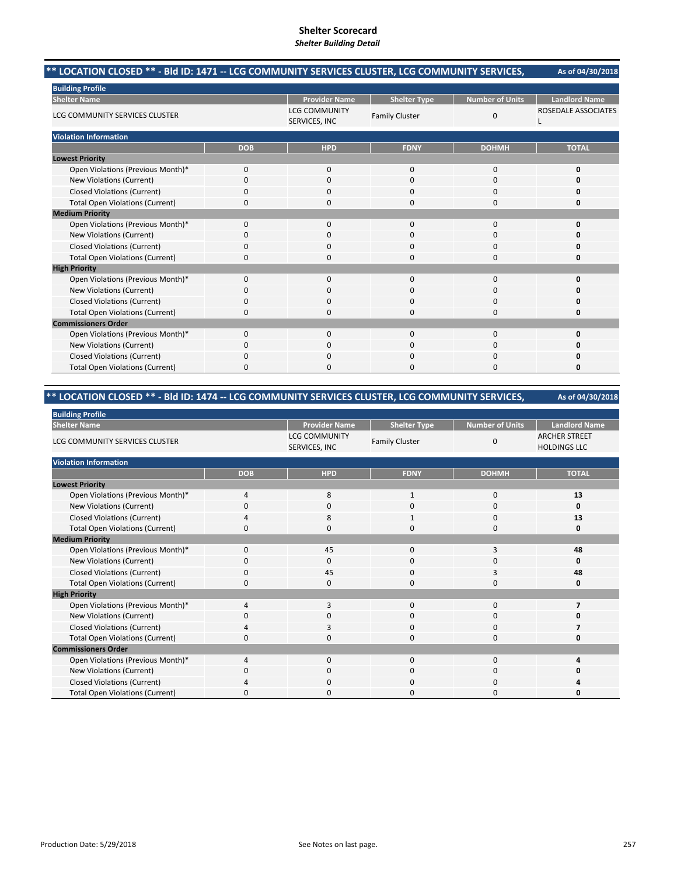#### **As of 04/30/2018 \*\* LOCATION CLOSED \*\* ‐ Bld ID: 1471 ‐‐ LCG COMMUNITY SERVICES CLUSTER, LCG COMMUNITY SERVICES,**

| <b>Building Profile</b>                |            |                                       |                       |                        |                      |
|----------------------------------------|------------|---------------------------------------|-----------------------|------------------------|----------------------|
| <b>Shelter Name</b>                    |            | <b>Provider Name</b>                  | <b>Shelter Type</b>   | <b>Number of Units</b> | <b>Landlord Name</b> |
| LCG COMMUNITY SERVICES CLUSTER         |            | <b>LCG COMMUNITY</b><br>SERVICES, INC | <b>Family Cluster</b> | 0                      | ROSEDALE ASSOCIATES  |
| <b>Violation Information</b>           |            |                                       |                       |                        |                      |
|                                        | <b>DOB</b> | <b>HPD</b>                            | <b>FDNY</b>           | <b>DOHMH</b>           | <b>TOTAL</b>         |
| <b>Lowest Priority</b>                 |            |                                       |                       |                        |                      |
| Open Violations (Previous Month)*      | 0          | $\mathbf 0$                           | $\mathbf 0$           | 0                      | O                    |
| New Violations (Current)               | $\Omega$   | 0                                     | $\mathbf 0$           | 0                      |                      |
| <b>Closed Violations (Current)</b>     | $\Omega$   | 0                                     | $\Omega$              | 0                      | n                    |
| <b>Total Open Violations (Current)</b> | $\Omega$   | 0                                     | $\Omega$              | $\Omega$               | Ω                    |
| <b>Medium Priority</b>                 |            |                                       |                       |                        |                      |
| Open Violations (Previous Month)*      | 0          | 0                                     | $\mathbf 0$           | 0                      | U                    |
| New Violations (Current)               | $\Omega$   | 0                                     | $\Omega$              | $\Omega$               | n                    |
| <b>Closed Violations (Current)</b>     | $\Omega$   | 0                                     | $\Omega$              | $\Omega$               | Ω                    |
| <b>Total Open Violations (Current)</b> | $\Omega$   | 0                                     | $\Omega$              | $\Omega$               | O                    |
| <b>High Priority</b>                   |            |                                       |                       |                        |                      |
| Open Violations (Previous Month)*      | 0          | 0                                     | $\mathbf 0$           | 0                      | n                    |
| New Violations (Current)               | $\Omega$   | 0                                     | $\Omega$              | $\Omega$               | O                    |
| <b>Closed Violations (Current)</b>     | $\Omega$   | 0                                     | $\Omega$              | 0                      | Ω                    |
| <b>Total Open Violations (Current)</b> | $\Omega$   | 0                                     | $\Omega$              | 0                      | Ω                    |
| <b>Commissioners Order</b>             |            |                                       |                       |                        |                      |
| Open Violations (Previous Month)*      | $\Omega$   | 0                                     | $\mathbf 0$           | 0                      | O                    |
| <b>New Violations (Current)</b>        | $\Omega$   | 0                                     | 0                     | 0                      | Ω                    |
| <b>Closed Violations (Current)</b>     | 0          | 0                                     | 0                     | 0                      | Ω                    |
| <b>Total Open Violations (Current)</b> | $\Omega$   | 0                                     | 0                     | $\Omega$               | 0                    |

# **\*\* LOCATION CLOSED \*\* ‐ Bld ID: 1474 ‐‐ LCG COMMUNITY SERVICES CLUSTER, LCG COMMUNITY SERVICES,**

| <b>Building Profile</b>                |              |                                       |                       |                        |                                             |
|----------------------------------------|--------------|---------------------------------------|-----------------------|------------------------|---------------------------------------------|
| <b>Shelter Name</b>                    |              | <b>Provider Name</b>                  | <b>Shelter Type</b>   | <b>Number of Units</b> | <b>Landlord Name</b>                        |
| LCG COMMUNITY SERVICES CLUSTER         |              | <b>LCG COMMUNITY</b><br>SERVICES, INC | <b>Family Cluster</b> | 0                      | <b>ARCHER STREET</b><br><b>HOLDINGS LLC</b> |
| <b>Violation Information</b>           |              |                                       |                       |                        |                                             |
|                                        | <b>DOB</b>   | <b>HPD</b>                            | <b>FDNY</b>           | <b>DOHMH</b>           | <b>TOTAL</b>                                |
| <b>Lowest Priority</b>                 |              |                                       |                       |                        |                                             |
| Open Violations (Previous Month)*      | 4            | 8                                     | 1                     | 0                      | 13                                          |
| New Violations (Current)               | 0            | 0                                     | $\Omega$              | 0                      | $\Omega$                                    |
| <b>Closed Violations (Current)</b>     | 4            | 8                                     | 1                     | 0                      | 13                                          |
| <b>Total Open Violations (Current)</b> | $\Omega$     | $\Omega$                              | $\Omega$              | 0                      | 0                                           |
| <b>Medium Priority</b>                 |              |                                       |                       |                        |                                             |
| Open Violations (Previous Month)*      | $\mathbf{0}$ | 45                                    | $\mathbf 0$           | 3                      | 48                                          |
| New Violations (Current)               |              | $\Omega$                              | $\Omega$              | 0                      | 0                                           |
| <b>Closed Violations (Current)</b>     | 0            | 45                                    | $\mathbf 0$           | 3                      | 48                                          |
| <b>Total Open Violations (Current)</b> | $\Omega$     | $\Omega$                              | $\Omega$              | 0                      | 0                                           |
| <b>High Priority</b>                   |              |                                       |                       |                        |                                             |
| Open Violations (Previous Month)*      | 4            | 3                                     | $\Omega$              | 0                      |                                             |
| New Violations (Current)               |              | 0                                     | 0                     | 0                      | o                                           |
| <b>Closed Violations (Current)</b>     |              | 3                                     | 0                     | 0                      |                                             |
| <b>Total Open Violations (Current)</b> | 0            | 0                                     | $\mathbf 0$           | 0                      | 0                                           |
| <b>Commissioners Order</b>             |              |                                       |                       |                        |                                             |
| Open Violations (Previous Month)*      | 4            | $\Omega$                              | $\mathbf 0$           | 0                      | 4                                           |
| New Violations (Current)               | 0            | 0                                     | $\mathbf 0$           | 0                      | 0                                           |
| <b>Closed Violations (Current)</b>     |              | 0                                     | $\mathbf 0$           | 0                      |                                             |
| <b>Total Open Violations (Current)</b> |              | $\Omega$                              | O                     | O                      | Ω                                           |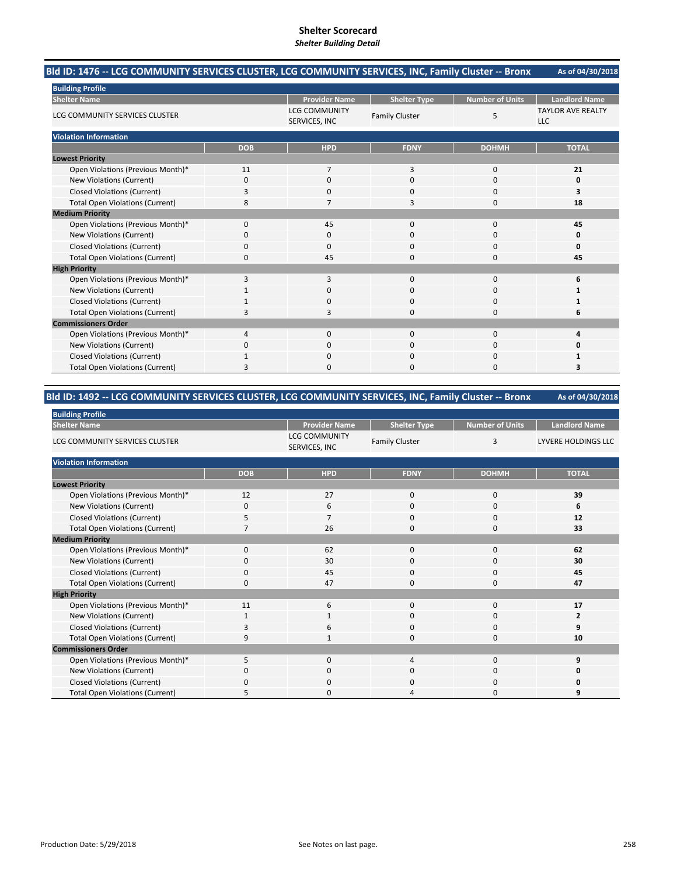#### **As of 04/30/2018 Bld ID: 1476 ‐‐ LCG COMMUNITY SERVICES CLUSTER, LCG COMMUNITY SERVICES, INC, Family Cluster ‐‐ Bronx**

| <b>Building Profile</b>                |                |                                       |                       |                        |                                        |  |  |
|----------------------------------------|----------------|---------------------------------------|-----------------------|------------------------|----------------------------------------|--|--|
| <b>Shelter Name</b>                    |                | <b>Provider Name</b>                  | <b>Shelter Type</b>   | <b>Number of Units</b> | <b>Landlord Name</b>                   |  |  |
| LCG COMMUNITY SERVICES CLUSTER         |                | <b>LCG COMMUNITY</b><br>SERVICES, INC | <b>Family Cluster</b> | 5                      | <b>TAYLOR AVE REALTY</b><br><b>LLC</b> |  |  |
| <b>Violation Information</b>           |                |                                       |                       |                        |                                        |  |  |
|                                        | <b>DOB</b>     | <b>HPD</b>                            | <b>FDNY</b>           | <b>DOHMH</b>           | <b>TOTAL</b>                           |  |  |
| <b>Lowest Priority</b>                 |                |                                       |                       |                        |                                        |  |  |
| Open Violations (Previous Month)*      | 11             | 7                                     | 3                     | $\mathbf{0}$           | 21                                     |  |  |
| New Violations (Current)               | 0              | 0                                     | 0                     | 0                      | 0                                      |  |  |
| <b>Closed Violations (Current)</b>     | 3              | 0                                     | 0                     | 0                      | 3                                      |  |  |
| <b>Total Open Violations (Current)</b> | 8              | 7                                     | 3                     | 0                      | 18                                     |  |  |
| <b>Medium Priority</b>                 |                |                                       |                       |                        |                                        |  |  |
| Open Violations (Previous Month)*      | $\Omega$       | 45                                    | 0                     | 0                      | 45                                     |  |  |
| New Violations (Current)               | C              | 0                                     | 0                     | 0                      | 0                                      |  |  |
| <b>Closed Violations (Current)</b>     | 0              | 0                                     | 0                     | 0                      | O                                      |  |  |
| <b>Total Open Violations (Current)</b> | $\Omega$       | 45                                    | $\Omega$              | 0                      | 45                                     |  |  |
| <b>High Priority</b>                   |                |                                       |                       |                        |                                        |  |  |
| Open Violations (Previous Month)*      | 3              | 3                                     | $\Omega$              | $\Omega$               | 6                                      |  |  |
| New Violations (Current)               |                | 0                                     | 0                     | 0                      |                                        |  |  |
| <b>Closed Violations (Current)</b>     |                | 0                                     | 0                     | 0                      |                                        |  |  |
| <b>Total Open Violations (Current)</b> | Р              | 3                                     | $\Omega$              | 0                      | 6                                      |  |  |
| <b>Commissioners Order</b>             |                |                                       |                       |                        |                                        |  |  |
| Open Violations (Previous Month)*      | $\overline{4}$ | $\mathbf{0}$                          | $\mathbf{0}$          | $\mathbf 0$            |                                        |  |  |
| New Violations (Current)               | n              | 0                                     | $\Omega$              | 0                      | n                                      |  |  |
| <b>Closed Violations (Current)</b>     | 1              | $\Omega$                              | $\Omega$              | 0                      |                                        |  |  |
| <b>Total Open Violations (Current)</b> | 3              | 0                                     | 0                     | 0                      | 3                                      |  |  |

# **Bld ID: 1492 ‐‐ LCG COMMUNITY SERVICES CLUSTER, LCG COMMUNITY SERVICES, INC, Family Cluster ‐‐ Bronx**

| <b>Building Profile</b>                |            |                                       |                       |                        |                            |
|----------------------------------------|------------|---------------------------------------|-----------------------|------------------------|----------------------------|
| <b>Shelter Name</b>                    |            | <b>Provider Name</b>                  | <b>Shelter Type</b>   | <b>Number of Units</b> | <b>Landlord Name</b>       |
| LCG COMMUNITY SERVICES CLUSTER         |            | <b>LCG COMMUNITY</b><br>SERVICES, INC | <b>Family Cluster</b> | 3                      | <b>LYVERE HOLDINGS LLC</b> |
| <b>Violation Information</b>           |            |                                       |                       |                        |                            |
|                                        | <b>DOB</b> | <b>HPD</b>                            | <b>FDNY</b>           | <b>DOHMH</b>           | <b>TOTAL</b>               |
| <b>Lowest Priority</b>                 |            |                                       |                       |                        |                            |
| Open Violations (Previous Month)*      | 12         | 27                                    | 0                     | 0                      | 39                         |
| New Violations (Current)               | $\Omega$   | 6                                     | 0                     | $\mathbf 0$            | 6                          |
| <b>Closed Violations (Current)</b>     | 5          | $\overline{7}$                        | 0                     | $\mathbf 0$            | 12                         |
| <b>Total Open Violations (Current)</b> |            | 26                                    | 0                     | $\mathbf 0$            | 33                         |
| <b>Medium Priority</b>                 |            |                                       |                       |                        |                            |
| Open Violations (Previous Month)*      | $\Omega$   | 62                                    | $\Omega$              | $\mathbf 0$            | 62                         |
| New Violations (Current)               | 0          | 30                                    | 0                     | 0                      | 30                         |
| <b>Closed Violations (Current)</b>     | 0          | 45                                    | 0                     | 0                      | 45                         |
| <b>Total Open Violations (Current)</b> | $\Omega$   | 47                                    | $\Omega$              | $\mathbf 0$            | 47                         |
| <b>High Priority</b>                   |            |                                       |                       |                        |                            |
| Open Violations (Previous Month)*      | 11         | 6                                     | 0                     | $\mathbf 0$            | 17                         |
| New Violations (Current)               | 1          | 1                                     | 0                     | 0                      | 2                          |
| <b>Closed Violations (Current)</b>     | 3          | 6                                     | 0                     | 0                      | 9                          |
| <b>Total Open Violations (Current)</b> | q          |                                       | 0                     | $\mathbf 0$            | 10                         |
| <b>Commissioners Order</b>             |            |                                       |                       |                        |                            |
| Open Violations (Previous Month)*      | 5          | $\Omega$                              | 4                     | $\Omega$               | 9                          |
| New Violations (Current)               | 0          | $\mathbf 0$                           | 0                     | 0                      | 0                          |
| <b>Closed Violations (Current)</b>     | $\Omega$   | $\mathbf 0$                           | 0                     | 0                      | 0                          |
| <b>Total Open Violations (Current)</b> | 5          | 0                                     | Δ                     | $\Omega$               | 9                          |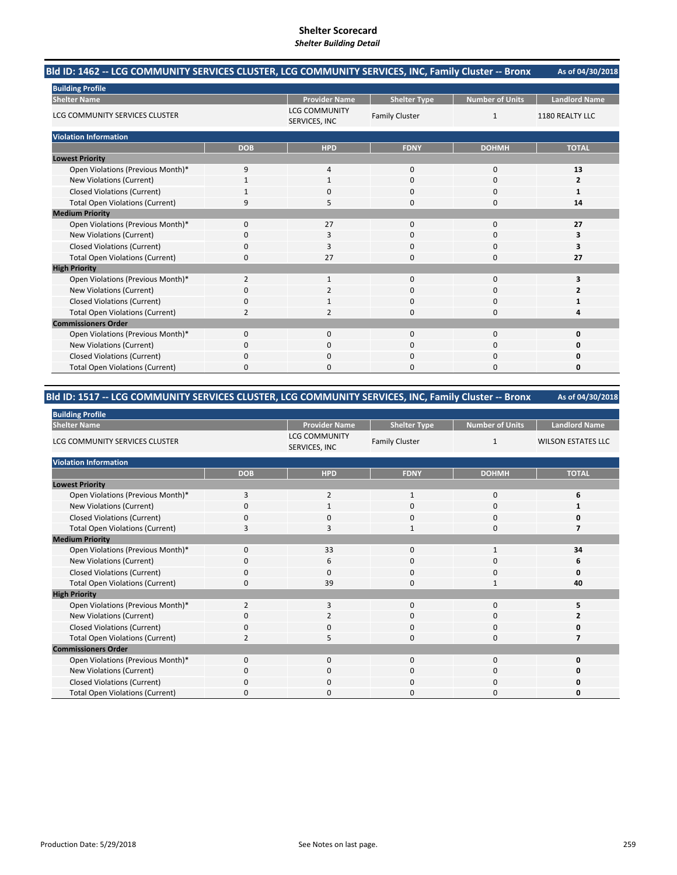#### **As of 04/30/2018 Bld ID: 1462 ‐‐ LCG COMMUNITY SERVICES CLUSTER, LCG COMMUNITY SERVICES, INC, Family Cluster ‐‐ Bronx**

| <b>Building Profile</b>                |                |                                       |                       |                        |                      |
|----------------------------------------|----------------|---------------------------------------|-----------------------|------------------------|----------------------|
| <b>Shelter Name</b>                    |                | <b>Provider Name</b>                  | <b>Shelter Type</b>   | <b>Number of Units</b> | <b>Landlord Name</b> |
| LCG COMMUNITY SERVICES CLUSTER         |                | <b>LCG COMMUNITY</b><br>SERVICES, INC | <b>Family Cluster</b> | $\mathbf{1}$           | 1180 REALTY LLC      |
| <b>Violation Information</b>           |                |                                       |                       |                        |                      |
|                                        | <b>DOB</b>     | <b>HPD</b>                            | <b>FDNY</b>           | <b>DOHMH</b>           | <b>TOTAL</b>         |
| <b>Lowest Priority</b>                 |                |                                       |                       |                        |                      |
| Open Violations (Previous Month)*      | 9              | $\overline{4}$                        | 0                     | $\mathbf 0$            | 13                   |
| New Violations (Current)               |                | 1                                     | 0                     | 0                      | 2                    |
| <b>Closed Violations (Current)</b>     |                | $\Omega$                              | 0                     | 0                      |                      |
| <b>Total Open Violations (Current)</b> | q              | 5                                     | 0                     | 0                      | 14                   |
| <b>Medium Priority</b>                 |                |                                       |                       |                        |                      |
| Open Violations (Previous Month)*      | $\Omega$       | 27                                    | $\Omega$              | 0                      | 27                   |
| New Violations (Current)               | O              | 3                                     | 0                     | 0                      | з                    |
| <b>Closed Violations (Current)</b>     | $\mathbf 0$    | 3                                     | 0                     | $\mathbf 0$            | 3                    |
| <b>Total Open Violations (Current)</b> | $\Omega$       | 27                                    | 0                     | $\mathbf 0$            | 27                   |
| <b>High Priority</b>                   |                |                                       |                       |                        |                      |
| Open Violations (Previous Month)*      | $\overline{2}$ | $\mathbf{1}$                          | $\Omega$              | $\mathbf 0$            | 3                    |
| New Violations (Current)               | O              | 2                                     | 0                     | 0                      |                      |
| <b>Closed Violations (Current)</b>     | $\mathbf 0$    | 1                                     | 0                     | $\mathbf 0$            |                      |
| <b>Total Open Violations (Current)</b> | $\mathcal{P}$  | $\mathcal{I}$                         | 0                     | $\Omega$               |                      |
| <b>Commissioners Order</b>             |                |                                       |                       |                        |                      |
| Open Violations (Previous Month)*      | $\mathbf 0$    | $\mathbf 0$                           | 0                     | $\mathbf 0$            |                      |
| New Violations (Current)               | $\Omega$       | $\Omega$                              | 0                     | $\Omega$               |                      |
| <b>Closed Violations (Current)</b>     | $\Omega$       | $\Omega$                              | 0                     | $\Omega$               |                      |
| <b>Total Open Violations (Current)</b> | $\Omega$       | $\Omega$                              | 0                     | $\Omega$               | n                    |

#### **As of 04/30/2018 Bld ID: 1517 ‐‐ LCG COMMUNITY SERVICES CLUSTER, LCG COMMUNITY SERVICES, INC, Family Cluster ‐‐ Bronx**

| <b>Building Profile</b>                |                |                                       |                       |                        |                           |
|----------------------------------------|----------------|---------------------------------------|-----------------------|------------------------|---------------------------|
| <b>Shelter Name</b>                    |                | <b>Provider Name</b>                  | <b>Shelter Type</b>   | <b>Number of Units</b> | <b>Landlord Name</b>      |
| LCG COMMUNITY SERVICES CLUSTER         |                | <b>LCG COMMUNITY</b><br>SERVICES, INC | <b>Family Cluster</b> | $\mathbf{1}$           | <b>WILSON ESTATES LLC</b> |
| <b>Violation Information</b>           |                |                                       |                       |                        |                           |
|                                        | <b>DOB</b>     | <b>HPD</b>                            | <b>FDNY</b>           | <b>DOHMH</b>           | <b>TOTAL</b>              |
| <b>Lowest Priority</b>                 |                |                                       |                       |                        |                           |
| Open Violations (Previous Month)*      | 3              | 2                                     | 1                     | 0                      | 6                         |
| New Violations (Current)               |                |                                       | 0                     | 0                      |                           |
| <b>Closed Violations (Current)</b>     | 0              | $\mathbf 0$                           | 0                     | 0                      |                           |
| <b>Total Open Violations (Current)</b> | 3              | Е                                     | 1                     | $\mathbf 0$            |                           |
| <b>Medium Priority</b>                 |                |                                       |                       |                        |                           |
| Open Violations (Previous Month)*      | $\Omega$       | 33                                    | 0                     | 1                      | 34                        |
| New Violations (Current)               | <sup>0</sup>   | 6                                     | 0                     | 0                      | 6                         |
| <b>Closed Violations (Current)</b>     | 0              | $\Omega$                              | $\Omega$              | $\mathbf 0$            | Ω                         |
| <b>Total Open Violations (Current)</b> | 0              | 39                                    | 0                     | $\mathbf{1}$           | 40                        |
| <b>High Priority</b>                   |                |                                       |                       |                        |                           |
| Open Violations (Previous Month)*      | $\overline{2}$ | 3                                     | $\Omega$              | $\Omega$               | 5                         |
| New Violations (Current)               | 0              | 2                                     | 0                     | $\mathbf 0$            |                           |
| <b>Closed Violations (Current)</b>     | $\Omega$       | $\mathbf 0$                           | 0                     | $\mathbf 0$            |                           |
| <b>Total Open Violations (Current)</b> |                | 5                                     | 0                     | 0                      |                           |
| <b>Commissioners Order</b>             |                |                                       |                       |                        |                           |
| Open Violations (Previous Month)*      | $\Omega$       | $\Omega$                              | $\Omega$              | $\Omega$               | O                         |
| New Violations (Current)               | 0              | 0                                     | 0                     | 0                      |                           |
| <b>Closed Violations (Current)</b>     | 0              | $\mathbf 0$                           | 0                     | $\mathbf 0$            |                           |
| <b>Total Open Violations (Current)</b> | O              | $\Omega$                              | O                     | $\Omega$               |                           |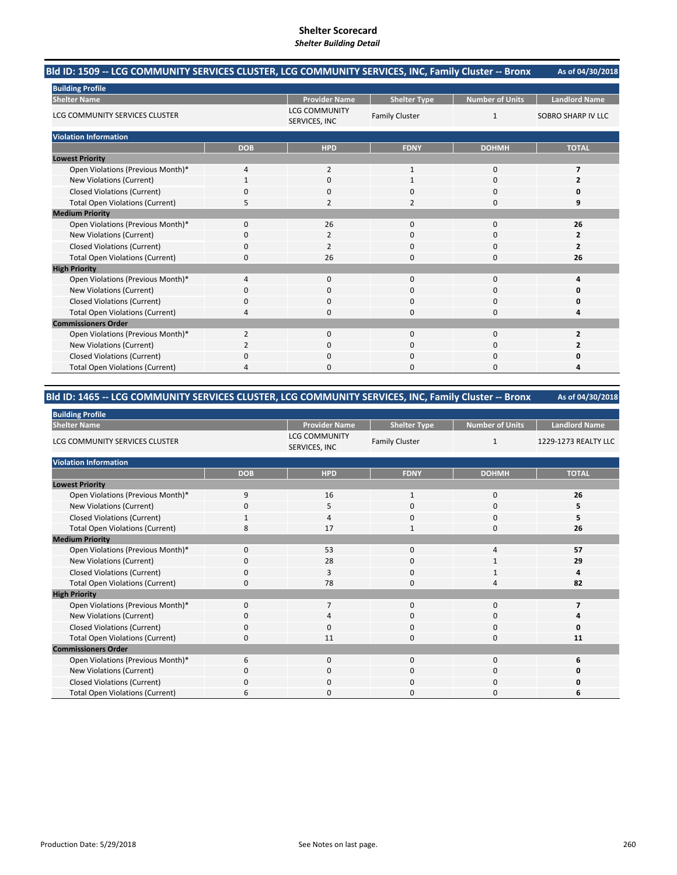#### **As of 04/30/2018 Bld ID: 1509 ‐‐ LCG COMMUNITY SERVICES CLUSTER, LCG COMMUNITY SERVICES, INC, Family Cluster ‐‐ Bronx**

| <b>Building Profile</b>                |                |                                       |                       |                        |                           |
|----------------------------------------|----------------|---------------------------------------|-----------------------|------------------------|---------------------------|
| <b>Shelter Name</b>                    |                | <b>Provider Name</b>                  | <b>Shelter Type</b>   | <b>Number of Units</b> | <b>Landlord Name</b>      |
| LCG COMMUNITY SERVICES CLUSTER         |                | <b>LCG COMMUNITY</b><br>SERVICES, INC | <b>Family Cluster</b> | $\mathbf{1}$           | <b>SOBRO SHARP IV LLC</b> |
| <b>Violation Information</b>           |                |                                       |                       |                        |                           |
|                                        | <b>DOB</b>     | <b>HPD</b>                            | <b>FDNY</b>           | <b>DOHMH</b>           | <b>TOTAL</b>              |
| <b>Lowest Priority</b>                 |                |                                       |                       |                        |                           |
| Open Violations (Previous Month)*      | $\overline{4}$ | $\overline{2}$                        | $\mathbf{1}$          | $\mathbf 0$            | $\overline{ }$            |
| New Violations (Current)               |                | 0                                     |                       | 0                      |                           |
| <b>Closed Violations (Current)</b>     | $\Omega$       | $\Omega$                              | 0                     | 0                      |                           |
| <b>Total Open Violations (Current)</b> | 5              | $\overline{2}$                        | 2                     | $\Omega$               | 9                         |
| <b>Medium Priority</b>                 |                |                                       |                       |                        |                           |
| Open Violations (Previous Month)*      | $\Omega$       | 26                                    | 0                     | $\mathbf 0$            | 26                        |
| New Violations (Current)               | <sup>0</sup>   | 2                                     | 0                     | 0                      | 2                         |
| <b>Closed Violations (Current)</b>     | $\Omega$       | $\overline{2}$                        | 0                     | 0                      | $\overline{2}$            |
| <b>Total Open Violations (Current)</b> | $\Omega$       | 26                                    | 0                     | $\mathbf 0$            | 26                        |
| <b>High Priority</b>                   |                |                                       |                       |                        |                           |
| Open Violations (Previous Month)*      | Δ              | 0                                     | 0                     | 0                      |                           |
| New Violations (Current)               | O              | 0                                     | 0                     | 0                      |                           |
| <b>Closed Violations (Current)</b>     | 0              | $\mathbf 0$                           | 0                     | $\mathbf 0$            |                           |
| <b>Total Open Violations (Current)</b> | Δ              | $\Omega$                              | O                     | $\Omega$               |                           |
| <b>Commissioners Order</b>             |                |                                       |                       |                        |                           |
| Open Violations (Previous Month)*      | $\overline{2}$ | $\Omega$                              | 0                     | $\mathbf 0$            | 2                         |
| New Violations (Current)               |                | $\Omega$                              | 0                     | 0                      |                           |
| <b>Closed Violations (Current)</b>     | $\Omega$       | $\Omega$                              | 0                     | 0                      |                           |
| <b>Total Open Violations (Current)</b> | $\overline{a}$ | $\Omega$                              | 0                     | $\Omega$               | Δ                         |

#### **As of 04/30/2018 Bld ID: 1465 ‐‐ LCG COMMUNITY SERVICES CLUSTER, LCG COMMUNITY SERVICES, INC, Family Cluster ‐‐ Bronx**

| <b>Building Profile</b>                |            |                                       |                       |                        |                      |
|----------------------------------------|------------|---------------------------------------|-----------------------|------------------------|----------------------|
| <b>Shelter Name</b>                    |            | <b>Provider Name</b>                  | <b>Shelter Type</b>   | <b>Number of Units</b> | <b>Landlord Name</b> |
| LCG COMMUNITY SERVICES CLUSTER         |            | <b>LCG COMMUNITY</b><br>SERVICES, INC | <b>Family Cluster</b> | $\mathbf{1}$           | 1229-1273 REALTY LLC |
| <b>Violation Information</b>           |            |                                       |                       |                        |                      |
|                                        | <b>DOB</b> | <b>HPD</b>                            | <b>FDNY</b>           | <b>DOHMH</b>           | <b>TOTAL</b>         |
| <b>Lowest Priority</b>                 |            |                                       |                       |                        |                      |
| Open Violations (Previous Month)*      | 9          | 16                                    | $\mathbf{1}$          | 0                      | 26                   |
| New Violations (Current)               | 0          | 5                                     | 0                     | 0                      | 5                    |
| <b>Closed Violations (Current)</b>     |            | $\overline{4}$                        | 0                     | $\mathbf 0$            | 5                    |
| <b>Total Open Violations (Current)</b> | 8          | 17                                    | $\mathbf{1}$          | $\mathbf 0$            | 26                   |
| <b>Medium Priority</b>                 |            |                                       |                       |                        |                      |
| Open Violations (Previous Month)*      | $\Omega$   | 53                                    | 0                     | 4                      | 57                   |
| New Violations (Current)               | 0          | 28                                    | 0                     | 1                      | 29                   |
| <b>Closed Violations (Current)</b>     | $\Omega$   | 3                                     | 0                     | 1                      | 4                    |
| <b>Total Open Violations (Current)</b> | 0          | 78                                    | 0                     | 4                      | 82                   |
| <b>High Priority</b>                   |            |                                       |                       |                        |                      |
| Open Violations (Previous Month)*      | $\Omega$   | $\overline{7}$                        | $\mathbf 0$           | $\mathbf 0$            | 7                    |
| New Violations (Current)               | $\Omega$   | 4                                     | 0                     | 0                      | 4                    |
| <b>Closed Violations (Current)</b>     | $\Omega$   | $\Omega$                              | 0                     | 0                      | Ω                    |
| <b>Total Open Violations (Current)</b> | 0          | 11                                    | 0                     | 0                      | 11                   |
| <b>Commissioners Order</b>             |            |                                       |                       |                        |                      |
| Open Violations (Previous Month)*      | 6          | $\Omega$                              | $\mathbf 0$           | $\mathbf 0$            | 6                    |
| New Violations (Current)               | $\Omega$   | $\mathbf 0$                           | 0                     | 0                      |                      |
| <b>Closed Violations (Current)</b>     | $\Omega$   | $\mathbf 0$                           | $\Omega$              | 0                      |                      |
| <b>Total Open Violations (Current)</b> | 6          | $\Omega$                              | $\Omega$              | $\Omega$               | 6                    |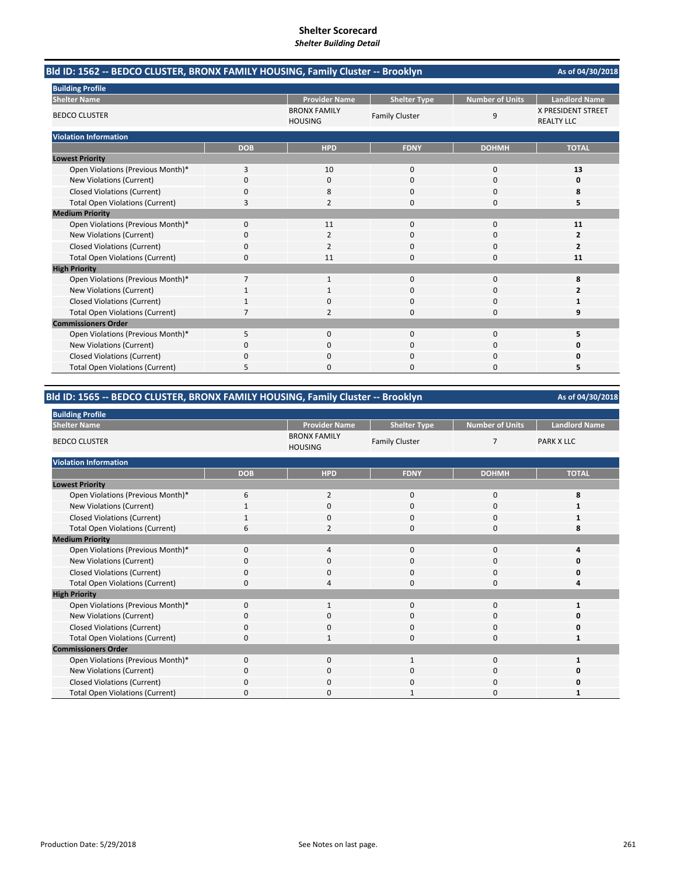| Bld ID: 1562 -- BEDCO CLUSTER, BRONX FAMILY HOUSING, Family Cluster -- Brooklyn |            |                                       |                       |                        |                                                |
|---------------------------------------------------------------------------------|------------|---------------------------------------|-----------------------|------------------------|------------------------------------------------|
| <b>Building Profile</b>                                                         |            |                                       |                       |                        |                                                |
| <b>Shelter Name</b>                                                             |            | <b>Provider Name</b>                  | <b>Shelter Type</b>   | <b>Number of Units</b> | <b>Landlord Name</b>                           |
| <b>BEDCO CLUSTER</b>                                                            |            | <b>BRONX FAMILY</b><br><b>HOUSING</b> | <b>Family Cluster</b> | 9                      | <b>X PRESIDENT STREET</b><br><b>REALTY LLC</b> |
| <b>Violation Information</b>                                                    |            |                                       |                       |                        |                                                |
|                                                                                 | <b>DOB</b> | <b>HPD</b>                            | <b>FDNY</b>           | <b>DOHMH</b>           | <b>TOTAL</b>                                   |
| <b>Lowest Priority</b>                                                          |            |                                       |                       |                        |                                                |
| Open Violations (Previous Month)*                                               | 3          | 10                                    | $\mathbf 0$           | $\mathbf 0$            | 13                                             |
| New Violations (Current)                                                        | 0          | $\Omega$                              | $\Omega$              | $\Omega$               | 0                                              |
| <b>Closed Violations (Current)</b>                                              | 0          | 8                                     | O                     | $\Omega$               | 8                                              |
| <b>Total Open Violations (Current)</b>                                          | 3          | $\overline{2}$                        | 0                     | 0                      | 5                                              |
| <b>Medium Priority</b>                                                          |            |                                       |                       |                        |                                                |
| Open Violations (Previous Month)*                                               | 0          | 11                                    | $\Omega$              | $\mathbf 0$            | 11                                             |
| New Violations (Current)                                                        | 0          | 2                                     | 0                     | 0                      | 2                                              |
| <b>Closed Violations (Current)</b>                                              | 0          | $\overline{2}$                        | $\Omega$              | $\Omega$               | $\overline{2}$                                 |
| <b>Total Open Violations (Current)</b>                                          | $\Omega$   | 11                                    | $\Omega$              | $\Omega$               | 11                                             |
| <b>High Priority</b>                                                            |            |                                       |                       |                        |                                                |
| Open Violations (Previous Month)*                                               | 7          | $\mathbf{1}$                          | $\mathbf 0$           | $\mathbf 0$            | 8                                              |
| New Violations (Current)                                                        |            |                                       | $\Omega$              | $\Omega$               | 2                                              |
| <b>Closed Violations (Current)</b>                                              |            | O.                                    | 0                     | $\Omega$               |                                                |
| <b>Total Open Violations (Current)</b>                                          | 7          | 2                                     | $\Omega$              | $\Omega$               | 9                                              |
| <b>Commissioners Order</b>                                                      |            |                                       |                       |                        |                                                |
| Open Violations (Previous Month)*                                               | 5          | $\Omega$                              | $\Omega$              | $\Omega$               | 5                                              |
| New Violations (Current)                                                        | 0          | $\Omega$                              | $\Omega$              | $\Omega$               | O                                              |
| <b>Closed Violations (Current)</b>                                              | 0          | $\Omega$                              | 0                     | $\Omega$               | 0                                              |
| <b>Total Open Violations (Current)</b>                                          | 5          | 0                                     | 0                     | $\Omega$               | 5                                              |

# **Bld ID: 1565 ‐‐ BEDCO CLUSTER, BRONX FAMILY HOUSING, Family Cluster ‐‐ Brooklyn**

| <b>Building Profile</b>                |              |                                       |                       |                 |                      |
|----------------------------------------|--------------|---------------------------------------|-----------------------|-----------------|----------------------|
| <b>Shelter Name</b>                    |              | <b>Provider Name</b>                  | <b>Shelter Type</b>   | Number of Units | <b>Landlord Name</b> |
| <b>BEDCO CLUSTER</b>                   |              | <b>BRONX FAMILY</b><br><b>HOUSING</b> | <b>Family Cluster</b> | $\overline{7}$  | <b>PARK X LLC</b>    |
| <b>Violation Information</b>           |              |                                       |                       |                 |                      |
|                                        | <b>DOB</b>   | <b>HPD</b>                            | <b>FDNY</b>           | <b>DOHMH</b>    | <b>TOTAL</b>         |
| <b>Lowest Priority</b>                 |              |                                       |                       |                 |                      |
| Open Violations (Previous Month)*      | 6            | 2                                     | 0                     | 0               | 8                    |
| New Violations (Current)               | $\mathbf{1}$ | 0                                     | 0                     | 0               |                      |
| <b>Closed Violations (Current)</b>     | 1            | 0                                     | $\mathbf{0}$          | 0               |                      |
| <b>Total Open Violations (Current)</b> | 6            | $\overline{2}$                        | $\Omega$              | $\mathbf 0$     | 8                    |
| <b>Medium Priority</b>                 |              |                                       |                       |                 |                      |
| Open Violations (Previous Month)*      | $\Omega$     | 4                                     | $\mathbf{0}$          | $\mathbf{0}$    |                      |
| New Violations (Current)               | O            | 0                                     | 0                     | 0               |                      |
| Closed Violations (Current)            | 0            | 0                                     | 0                     | 0               | U                    |
| <b>Total Open Violations (Current)</b> | $\Omega$     | 4                                     | $\Omega$              | $\mathbf{0}$    | Δ                    |
| <b>High Priority</b>                   |              |                                       |                       |                 |                      |
| Open Violations (Previous Month)*      | $\Omega$     | 1                                     | $\mathbf{0}$          | $\mathbf{0}$    |                      |
| New Violations (Current)               | C            | 0                                     | 0                     | 0               |                      |
| <b>Closed Violations (Current)</b>     | 0            | 0                                     | 0                     | 0               | Ω                    |
| <b>Total Open Violations (Current)</b> | $\Omega$     | 1                                     | $\Omega$              | $\Omega$        |                      |
| <b>Commissioners Order</b>             |              |                                       |                       |                 |                      |
| Open Violations (Previous Month)*      | $\Omega$     | 0                                     | $\mathbf{1}$          | 0               |                      |
| New Violations (Current)               | 0            | 0                                     | 0                     | 0               | ŋ                    |
| <b>Closed Violations (Current)</b>     | 0            | 0                                     | 0                     | 0               | ი                    |
| <b>Total Open Violations (Current)</b> | $\Omega$     | 0                                     |                       | 0               |                      |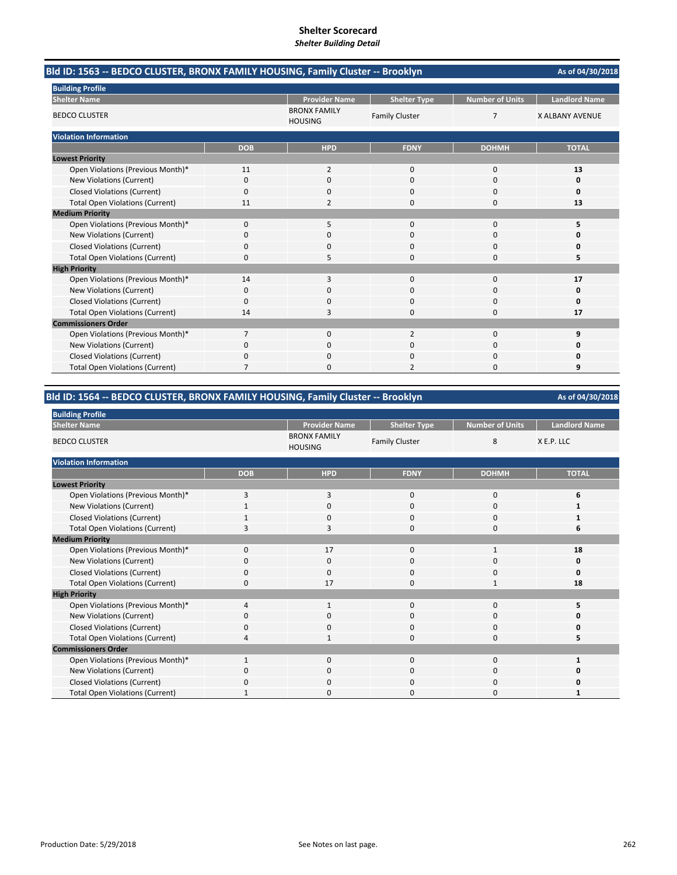|                                        | Bld ID: 1563 -- BEDCO CLUSTER, BRONX FAMILY HOUSING, Family Cluster -- Brooklyn |                                       |                       |                        |                        |  |
|----------------------------------------|---------------------------------------------------------------------------------|---------------------------------------|-----------------------|------------------------|------------------------|--|
| <b>Building Profile</b>                |                                                                                 |                                       |                       |                        |                        |  |
| <b>Shelter Name</b>                    |                                                                                 | <b>Provider Name</b>                  | <b>Shelter Type</b>   | <b>Number of Units</b> | <b>Landlord Name</b>   |  |
| <b>BEDCO CLUSTER</b>                   |                                                                                 | <b>BRONX FAMILY</b><br><b>HOUSING</b> | <b>Family Cluster</b> | $\overline{7}$         | <b>X ALBANY AVENUE</b> |  |
| <b>Violation Information</b>           |                                                                                 |                                       |                       |                        |                        |  |
|                                        | <b>DOB</b>                                                                      | <b>HPD</b>                            | <b>FDNY</b>           | <b>DOHMH</b>           | <b>TOTAL</b>           |  |
| <b>Lowest Priority</b>                 |                                                                                 |                                       |                       |                        |                        |  |
| Open Violations (Previous Month)*      | 11                                                                              | $\overline{2}$                        | 0                     | $\mathbf 0$            | 13                     |  |
| New Violations (Current)               | 0                                                                               | $\Omega$                              | $\Omega$              | $\Omega$               | O                      |  |
| <b>Closed Violations (Current)</b>     | 0                                                                               | 0                                     | 0                     | $\Omega$               | O                      |  |
| <b>Total Open Violations (Current)</b> | 11                                                                              | $\overline{2}$                        | 0                     | $\mathbf 0$            | 13                     |  |
| <b>Medium Priority</b>                 |                                                                                 |                                       |                       |                        |                        |  |
| Open Violations (Previous Month)*      | 0                                                                               | 5                                     | 0                     | $\mathbf 0$            | 5                      |  |
| New Violations (Current)               | 0                                                                               | 0                                     | 0                     | $\Omega$               | ŋ                      |  |
| <b>Closed Violations (Current)</b>     | 0                                                                               | 0                                     | $\Omega$              | $\Omega$               |                        |  |
| <b>Total Open Violations (Current)</b> | 0                                                                               |                                       | 0                     | $\Omega$               |                        |  |
| <b>High Priority</b>                   |                                                                                 |                                       |                       |                        |                        |  |
| Open Violations (Previous Month)*      | 14                                                                              | 3                                     | 0                     | $\mathbf 0$            | 17                     |  |
| New Violations (Current)               | 0                                                                               | 0                                     | 0                     | $\Omega$               | O                      |  |
| <b>Closed Violations (Current)</b>     | 0                                                                               | $\Omega$                              | 0                     | $\Omega$               | O                      |  |
| <b>Total Open Violations (Current)</b> | 14                                                                              | 3                                     | 0                     | $\mathbf 0$            | 17                     |  |
| <b>Commissioners Order</b>             |                                                                                 |                                       |                       |                        |                        |  |
| Open Violations (Previous Month)*      | $\overline{7}$                                                                  | 0                                     | $\overline{2}$        | $\mathbf 0$            | q                      |  |
| New Violations (Current)               | 0                                                                               | $\Omega$                              | $\Omega$              | $\Omega$               | ŋ                      |  |
| <b>Closed Violations (Current)</b>     | 0                                                                               | 0                                     | 0                     | $\Omega$               | ŋ                      |  |
| <b>Total Open Violations (Current)</b> |                                                                                 | 0                                     |                       | $\Omega$               | 9                      |  |

# **Bld ID: 1564 ‐‐ BEDCO CLUSTER, BRONX FAMILY HOUSING, Family Cluster ‐‐ Brooklyn**

| <b>Building Profile</b>                |                |                                       |                       |                 |                      |
|----------------------------------------|----------------|---------------------------------------|-----------------------|-----------------|----------------------|
| <b>Shelter Name</b>                    |                | <b>Provider Name</b>                  | <b>Shelter Type</b>   | Number of Units | <b>Landlord Name</b> |
| <b>BEDCO CLUSTER</b>                   |                | <b>BRONX FAMILY</b><br><b>HOUSING</b> | <b>Family Cluster</b> | 8               | X E.P. LLC           |
| <b>Violation Information</b>           |                |                                       |                       |                 |                      |
|                                        | <b>DOB</b>     | <b>HPD</b>                            | <b>FDNY</b>           | <b>DOHMH</b>    | <b>TOTAL</b>         |
| <b>Lowest Priority</b>                 |                |                                       |                       |                 |                      |
| Open Violations (Previous Month)*      | 3              | 3                                     | 0                     | 0               | 6                    |
| New Violations (Current)               | $\mathbf{1}$   | 0                                     | $\mathbf{0}$          | 0               |                      |
| <b>Closed Violations (Current)</b>     | 1              | 0                                     | $\mathbf{0}$          | 0               |                      |
| <b>Total Open Violations (Current)</b> | 3              | 3                                     | $\Omega$              | $\mathbf 0$     | 6                    |
| <b>Medium Priority</b>                 |                |                                       |                       |                 |                      |
| Open Violations (Previous Month)*      | 0              | 17                                    | $\mathbf{0}$          | 1               | 18                   |
| New Violations (Current)               | O              | 0                                     | 0                     | 0               | 0                    |
| Closed Violations (Current)            | 0              | 0                                     | 0                     | 0               | 0                    |
| <b>Total Open Violations (Current)</b> | $\Omega$       | 17                                    | $\Omega$              | 1               | 18                   |
| <b>High Priority</b>                   |                |                                       |                       |                 |                      |
| Open Violations (Previous Month)*      | $\overline{a}$ | $\mathbf{1}$                          | $\mathbf{0}$          | $\mathbf{0}$    | 5                    |
| New Violations (Current)               | C              | 0                                     | 0                     | 0               | n                    |
| <b>Closed Violations (Current)</b>     | 0              | 0                                     | 0                     | 0               | ŋ                    |
| <b>Total Open Violations (Current)</b> | $\Delta$       | 1                                     | $\Omega$              | $\Omega$        |                      |
| <b>Commissioners Order</b>             |                |                                       |                       |                 |                      |
| Open Violations (Previous Month)*      | $\mathbf{1}$   | $\mathbf{0}$                          | $\mathbf{0}$          | $\mathbf{0}$    |                      |
| New Violations (Current)               | 0              | 0                                     | 0                     | 0               | 0                    |
| <b>Closed Violations (Current)</b>     | 0              | 0                                     | 0                     | 0               | U                    |
| <b>Total Open Violations (Current)</b> |                | 0                                     | $\Omega$              | 0               |                      |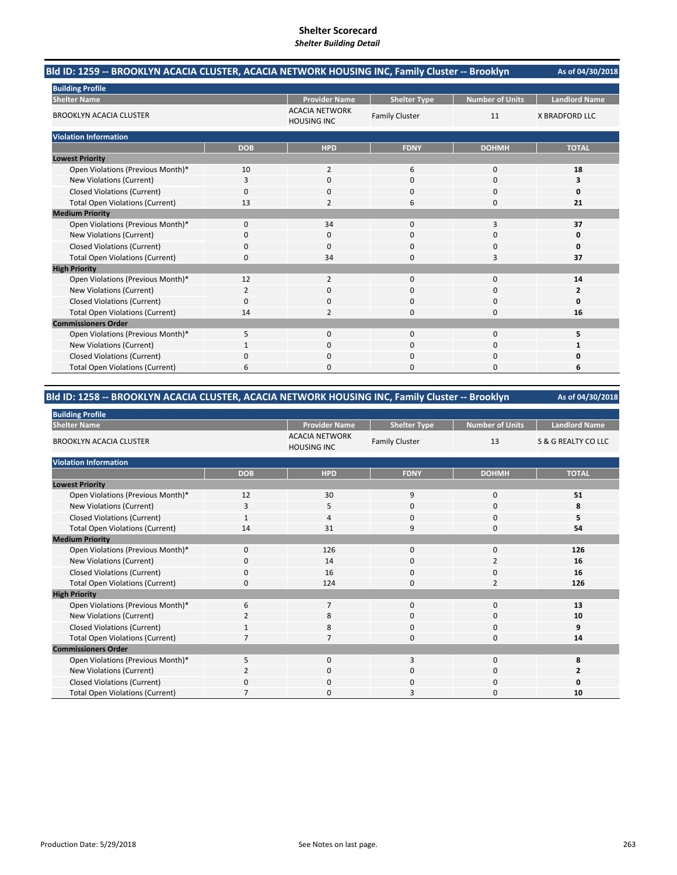|                                        | Bld ID: 1259 -- BROOKLYN ACACIA CLUSTER, ACACIA NETWORK HOUSING INC, Family Cluster -- Brooklyn |                                             |                       |                        |                       |  |
|----------------------------------------|-------------------------------------------------------------------------------------------------|---------------------------------------------|-----------------------|------------------------|-----------------------|--|
| <b>Building Profile</b>                |                                                                                                 |                                             |                       |                        |                       |  |
| <b>Shelter Name</b>                    |                                                                                                 | <b>Provider Name</b>                        | <b>Shelter Type</b>   | <b>Number of Units</b> | <b>Landlord Name</b>  |  |
| <b>BROOKLYN ACACIA CLUSTER</b>         |                                                                                                 | <b>ACACIA NETWORK</b><br><b>HOUSING INC</b> | <b>Family Cluster</b> | 11                     | <b>X BRADFORD LLC</b> |  |
| <b>Violation Information</b>           |                                                                                                 |                                             |                       |                        |                       |  |
|                                        | <b>DOB</b>                                                                                      | <b>HPD</b>                                  | <b>FDNY</b>           | <b>DOHMH</b>           | <b>TOTAL</b>          |  |
| <b>Lowest Priority</b>                 |                                                                                                 |                                             |                       |                        |                       |  |
| Open Violations (Previous Month)*      | 10                                                                                              | $\overline{2}$                              | 6                     | $\mathbf 0$            | 18                    |  |
| New Violations (Current)               | 3                                                                                               | 0                                           | $\Omega$              | $\Omega$               | 3                     |  |
| <b>Closed Violations (Current)</b>     | 0                                                                                               | 0                                           | 0                     | 0                      | 0                     |  |
| <b>Total Open Violations (Current)</b> | 13                                                                                              | 2                                           | 6                     | 0                      | 21                    |  |
| <b>Medium Priority</b>                 |                                                                                                 |                                             |                       |                        |                       |  |
| Open Violations (Previous Month)*      | $\mathbf{0}$                                                                                    | 34                                          | $\Omega$              | 3                      | 37                    |  |
| New Violations (Current)               | 0                                                                                               | 0                                           | $\Omega$              | 0                      | 0                     |  |
| <b>Closed Violations (Current)</b>     | 0                                                                                               | 0                                           | $\Omega$              | $\Omega$               | 0                     |  |
| <b>Total Open Violations (Current)</b> | 0                                                                                               | 34                                          | O                     | 3                      | 37                    |  |
| <b>High Priority</b>                   |                                                                                                 |                                             |                       |                        |                       |  |
| Open Violations (Previous Month)*      | 12                                                                                              | $\overline{2}$                              | $\Omega$              | $\Omega$               | 14                    |  |
| New Violations (Current)               | $\overline{2}$                                                                                  | $\Omega$                                    | $\Omega$              | $\Omega$               | $\overline{2}$        |  |
| <b>Closed Violations (Current)</b>     | 0                                                                                               | $\Omega$                                    | 0                     | $\Omega$               | 0                     |  |
| <b>Total Open Violations (Current)</b> | 14                                                                                              | 2                                           | $\Omega$              | $\Omega$               | 16                    |  |
| <b>Commissioners Order</b>             |                                                                                                 |                                             |                       |                        |                       |  |
| Open Violations (Previous Month)*      | 5                                                                                               | 0                                           | $\Omega$              | $\mathbf 0$            | 5                     |  |
| New Violations (Current)               |                                                                                                 | 0                                           | 0                     | $\Omega$               |                       |  |
| <b>Closed Violations (Current)</b>     | 0                                                                                               | $\Omega$                                    | $\Omega$              | 0                      | O                     |  |
| <b>Total Open Violations (Current)</b> | 6                                                                                               | <sup>0</sup>                                | O                     | $\Omega$               | 6                     |  |

# **Bld ID: 1258 ‐‐ BROOKLYN ACACIA CLUSTER, ACACIA NETWORK HOUSING INC, Family Cluster ‐‐ Brooklyn**

| <b>Building Profile</b>                |             |                                             |                       |                        |                      |
|----------------------------------------|-------------|---------------------------------------------|-----------------------|------------------------|----------------------|
| <b>Shelter Name</b>                    |             | <b>Provider Name</b>                        | <b>Shelter Type</b>   | <b>Number of Units</b> | <b>Landlord Name</b> |
| <b>BROOKLYN ACACIA CLUSTER</b>         |             | <b>ACACIA NETWORK</b><br><b>HOUSING INC</b> | <b>Family Cluster</b> | 13                     | S & G REALTY CO LLC  |
| <b>Violation Information</b>           |             |                                             |                       |                        |                      |
|                                        | <b>DOB</b>  | <b>HPD</b>                                  | <b>FDNY</b>           | <b>DOHMH</b>           | <b>TOTAL</b>         |
| <b>Lowest Priority</b>                 |             |                                             |                       |                        |                      |
| Open Violations (Previous Month)*      | 12          | 30                                          | 9                     | $\mathbf 0$            | 51                   |
| New Violations (Current)               | 3           | 5                                           | 0                     | 0                      | 8                    |
| <b>Closed Violations (Current)</b>     |             | 4                                           | $\mathbf{0}$          | 0                      | 5                    |
| <b>Total Open Violations (Current)</b> | 14          | 31                                          | 9                     | 0                      | 54                   |
| <b>Medium Priority</b>                 |             |                                             |                       |                        |                      |
| Open Violations (Previous Month)*      | $\Omega$    | 126                                         | $\Omega$              | 0                      | 126                  |
| New Violations (Current)               | 0           | 14                                          | $\Omega$              | 2                      | 16                   |
| <b>Closed Violations (Current)</b>     | $\mathbf 0$ | 16                                          | 0                     | 0                      | 16                   |
| <b>Total Open Violations (Current)</b> | $\Omega$    | 124                                         | $\mathbf{0}$          | $\overline{2}$         | 126                  |
| <b>High Priority</b>                   |             |                                             |                       |                        |                      |
| Open Violations (Previous Month)*      | 6           | $\overline{7}$                              | $\mathbf{0}$          | $\mathbf{0}$           | 13                   |
| New Violations (Current)               | 2           | 8                                           | 0                     | 0                      | 10                   |
| <b>Closed Violations (Current)</b>     | 1           | 8                                           | $\mathbf{0}$          | 0                      | 9                    |
| <b>Total Open Violations (Current)</b> |             | $\overline{7}$                              | $\mathbf{0}$          | 0                      | 14                   |
| <b>Commissioners Order</b>             |             |                                             |                       |                        |                      |
| Open Violations (Previous Month)*      | 5           | $\Omega$                                    | 3                     | $\Omega$               | 8                    |
| New Violations (Current)               |             | $\mathbf 0$                                 | 0                     | 0                      | 2                    |
| <b>Closed Violations (Current)</b>     | $\Omega$    | $\mathbf 0$                                 | 0                     | 0                      | 0                    |
| <b>Total Open Violations (Current)</b> |             | $\Omega$                                    | 3                     | $\Omega$               | 10                   |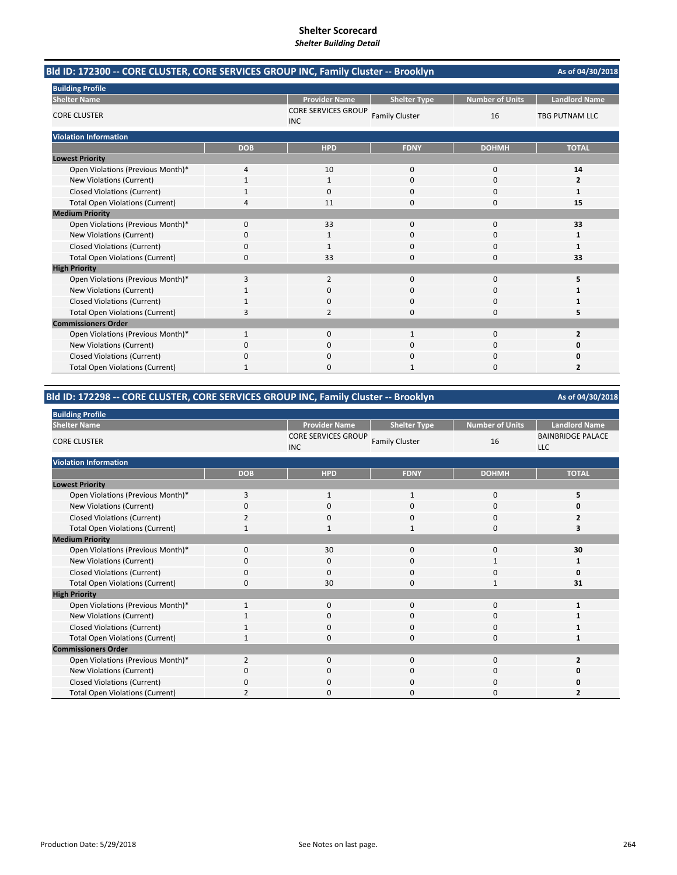| Bld ID: 172300 -- CORE CLUSTER, CORE SERVICES GROUP INC, Family Cluster -- Brooklyn |            |                                          |                       |                        | As of 04/30/2018        |
|-------------------------------------------------------------------------------------|------------|------------------------------------------|-----------------------|------------------------|-------------------------|
| <b>Building Profile</b>                                                             |            |                                          |                       |                        |                         |
| <b>Shelter Name</b>                                                                 |            | <b>Provider Name</b>                     | <b>Shelter Type</b>   | <b>Number of Units</b> | <b>Landlord Name</b>    |
| <b>CORE CLUSTER</b>                                                                 |            | <b>CORE SERVICES GROUP</b><br><b>INC</b> | <b>Family Cluster</b> | 16                     | <b>TBG PUTNAM LLC</b>   |
| <b>Violation Information</b>                                                        |            |                                          |                       |                        |                         |
|                                                                                     | <b>DOB</b> | <b>HPD</b>                               | <b>FDNY</b>           | <b>DOHMH</b>           | <b>TOTAL</b>            |
| <b>Lowest Priority</b>                                                              |            |                                          |                       |                        |                         |
| Open Violations (Previous Month)*                                                   | 4          | 10                                       | $\mathbf 0$           | $\mathbf 0$            | 14                      |
| New Violations (Current)                                                            | 1          | 1                                        | $\Omega$              | $\Omega$               | $\overline{2}$          |
| <b>Closed Violations (Current)</b>                                                  |            | 0                                        | 0                     | 0                      | 1                       |
| <b>Total Open Violations (Current)</b>                                              | 4          | 11                                       | $\Omega$              | 0                      | 15                      |
| <b>Medium Priority</b>                                                              |            |                                          |                       |                        |                         |
| Open Violations (Previous Month)*                                                   | $\Omega$   | 33                                       | $\Omega$              | $\Omega$               | 33                      |
| New Violations (Current)                                                            | 0          | 1                                        | $\Omega$              | $\Omega$               | 1                       |
| <b>Closed Violations (Current)</b>                                                  | 0          |                                          | $\Omega$              | $\Omega$               | 1                       |
| <b>Total Open Violations (Current)</b>                                              | 0          | 33                                       | $\Omega$              | 0                      | 33                      |
| <b>High Priority</b>                                                                |            |                                          |                       |                        |                         |
| Open Violations (Previous Month)*                                                   | 3          | 2                                        | $\mathbf{0}$          | 0                      | 5                       |
| <b>New Violations (Current)</b>                                                     |            | $\Omega$                                 | $\Omega$              | 0                      | 1                       |
| <b>Closed Violations (Current)</b>                                                  |            | 0                                        | $\Omega$              | 0                      | 1                       |
| <b>Total Open Violations (Current)</b>                                              | 3          | 2                                        | $\Omega$              | 0                      | 5                       |
| <b>Commissioners Order</b>                                                          |            |                                          |                       |                        |                         |
| Open Violations (Previous Month)*                                                   | 1          | $\Omega$                                 | $\mathbf{1}$          | $\Omega$               | $\overline{2}$          |
| New Violations (Current)                                                            | 0          | 0                                        | 0                     | 0                      | 0                       |
| <b>Closed Violations (Current)</b>                                                  | 0          | 0                                        | $\Omega$              | 0                      | 0                       |
| <b>Total Open Violations (Current)</b>                                              |            |                                          |                       | $\Omega$               | $\overline{\mathbf{z}}$ |

# **Bld ID: 172298 ‐‐ CORE CLUSTER, CORE SERVICES GROUP INC, Family Cluster ‐‐ Brooklyn**

| <b>Building Profile</b>                |              |                                          |                       |                        |                                        |  |
|----------------------------------------|--------------|------------------------------------------|-----------------------|------------------------|----------------------------------------|--|
| <b>Shelter Name</b>                    |              | <b>Provider Name</b>                     | <b>Shelter Type</b>   | <b>Number of Units</b> | <b>Landlord Name</b>                   |  |
| <b>CORE CLUSTER</b>                    |              | <b>CORE SERVICES GROUP</b><br><b>INC</b> | <b>Family Cluster</b> | 16                     | <b>BAINBRIDGE PALACE</b><br><b>LLC</b> |  |
| <b>Violation Information</b>           |              |                                          |                       |                        |                                        |  |
|                                        | <b>DOB</b>   | <b>HPD</b>                               | <b>FDNY</b>           | <b>DOHMH</b>           | <b>TOTAL</b>                           |  |
| <b>Lowest Priority</b>                 |              |                                          |                       |                        |                                        |  |
| Open Violations (Previous Month)*      | 3            | $\mathbf{1}$                             | $\mathbf{1}$          | $\mathbf 0$            | 5                                      |  |
| New Violations (Current)               | $\Omega$     | $\mathbf{0}$                             | $\Omega$              | $\mathbf{0}$           | 0                                      |  |
| <b>Closed Violations (Current)</b>     | 2            | 0                                        | 0                     | 0                      | 2                                      |  |
| <b>Total Open Violations (Current)</b> | $\mathbf{1}$ | $\mathbf{1}$                             | $\mathbf{1}$          | $\mathbf 0$            | 3                                      |  |
| <b>Medium Priority</b>                 |              |                                          |                       |                        |                                        |  |
| Open Violations (Previous Month)*      | 0            | 30                                       | $\mathbf{0}$          | 0                      | 30                                     |  |
| New Violations (Current)               | $\Omega$     | $\mathbf{0}$                             | 0                     | 1                      |                                        |  |
| <b>Closed Violations (Current)</b>     | 0            | 0                                        | $\mathbf{0}$          | 0                      | O                                      |  |
| <b>Total Open Violations (Current)</b> | $\Omega$     | 30                                       | $\Omega$              | $\mathbf{1}$           | 31                                     |  |
| <b>High Priority</b>                   |              |                                          |                       |                        |                                        |  |
| Open Violations (Previous Month)*      | $\mathbf{1}$ | $\mathbf{0}$                             | $\mathbf{0}$          | $\mathbf 0$            |                                        |  |
| New Violations (Current)               |              | 0                                        | 0                     | 0                      |                                        |  |
| <b>Closed Violations (Current)</b>     |              | 0                                        | 0                     | 0                      |                                        |  |
| <b>Total Open Violations (Current)</b> | 1            | 0                                        | 0                     | 0                      |                                        |  |
| <b>Commissioners Order</b>             |              |                                          |                       |                        |                                        |  |
| Open Violations (Previous Month)*      | 2            | 0                                        | $\mathbf{0}$          | $\mathbf{0}$           |                                        |  |
| New Violations (Current)               | 0            | 0                                        | 0                     | 0                      | 0                                      |  |
| <b>Closed Violations (Current)</b>     | $\Omega$     | 0                                        | 0                     | 0                      | ŋ                                      |  |
| <b>Total Open Violations (Current)</b> |              | $\Omega$                                 | 0                     | 0                      |                                        |  |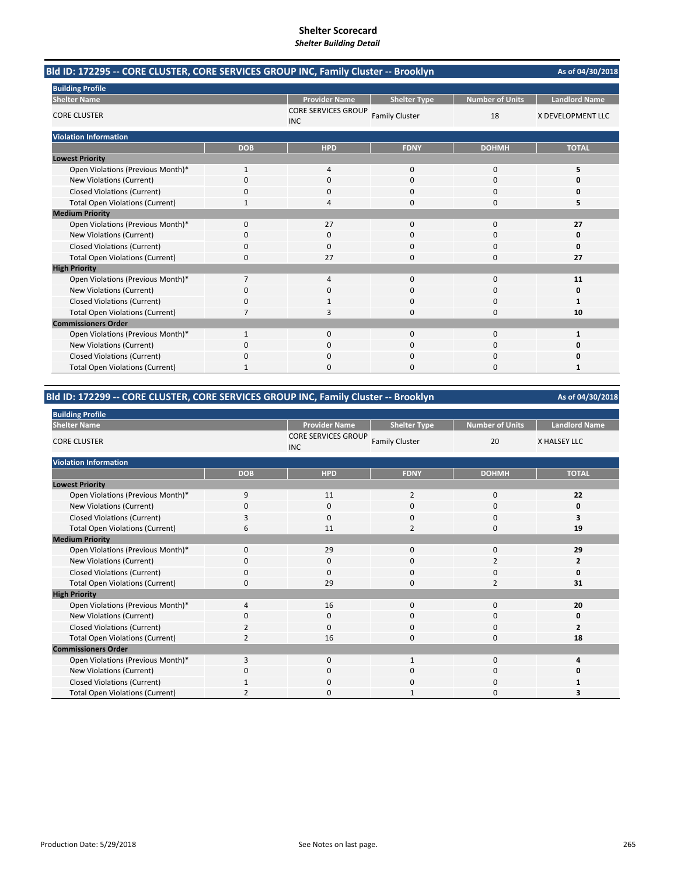|                                        | Bld ID: 172295 -- CORE CLUSTER, CORE SERVICES GROUP INC, Family Cluster -- Brooklyn |                                          |                       |                        |                      |  |  |
|----------------------------------------|-------------------------------------------------------------------------------------|------------------------------------------|-----------------------|------------------------|----------------------|--|--|
| <b>Building Profile</b>                |                                                                                     |                                          |                       |                        |                      |  |  |
| <b>Shelter Name</b>                    |                                                                                     | <b>Provider Name</b>                     | <b>Shelter Type</b>   | <b>Number of Units</b> | <b>Landlord Name</b> |  |  |
| <b>CORE CLUSTER</b>                    |                                                                                     | <b>CORE SERVICES GROUP</b><br><b>INC</b> | <b>Family Cluster</b> | 18                     | X DEVELOPMENT LLC    |  |  |
| <b>Violation Information</b>           |                                                                                     |                                          |                       |                        |                      |  |  |
|                                        | <b>DOB</b>                                                                          | <b>HPD</b>                               | <b>FDNY</b>           | <b>DOHMH</b>           | <b>TOTAL</b>         |  |  |
| <b>Lowest Priority</b>                 |                                                                                     |                                          |                       |                        |                      |  |  |
| Open Violations (Previous Month)*      | $\mathbf{1}$                                                                        | $\overline{4}$                           | $\mathbf 0$           | 0                      | 5                    |  |  |
| New Violations (Current)               | 0                                                                                   | $\Omega$                                 | $\Omega$              | 0                      | 0                    |  |  |
| <b>Closed Violations (Current)</b>     | 0                                                                                   | 0                                        | 0                     | 0                      | 0                    |  |  |
| <b>Total Open Violations (Current)</b> | 1                                                                                   | 4                                        | $\Omega$              | 0                      | 5                    |  |  |
| <b>Medium Priority</b>                 |                                                                                     |                                          |                       |                        |                      |  |  |
| Open Violations (Previous Month)*      | $\Omega$                                                                            | 27                                       | $\Omega$              | $\Omega$               | 27                   |  |  |
| New Violations (Current)               | 0                                                                                   | 0                                        | 0                     | $\Omega$               | 0                    |  |  |
| <b>Closed Violations (Current)</b>     | 0                                                                                   | 0                                        | 0                     | 0                      | 0                    |  |  |
| <b>Total Open Violations (Current)</b> | $\Omega$                                                                            | 27                                       | $\Omega$              | $\Omega$               | 27                   |  |  |
| <b>High Priority</b>                   |                                                                                     |                                          |                       |                        |                      |  |  |
| Open Violations (Previous Month)*      | 7                                                                                   | 4                                        | $\mathbf 0$           | 0                      | 11                   |  |  |
| <b>New Violations (Current)</b>        | 0                                                                                   | 0                                        | $\Omega$              | $\Omega$               | 0                    |  |  |
| <b>Closed Violations (Current)</b>     | 0                                                                                   |                                          | $\Omega$              | 0                      | 1                    |  |  |
| <b>Total Open Violations (Current)</b> | 7                                                                                   | 3                                        | $\Omega$              | 0                      | 10                   |  |  |
| <b>Commissioners Order</b>             |                                                                                     |                                          |                       |                        |                      |  |  |
| Open Violations (Previous Month)*      | $\mathbf{1}$                                                                        | $\Omega$                                 | $\Omega$              | 0                      | $\mathbf{1}$         |  |  |
| New Violations (Current)               | 0                                                                                   | 0                                        | 0                     | 0                      | 0                    |  |  |
| <b>Closed Violations (Current)</b>     | 0                                                                                   | 0                                        | $\Omega$              | 0                      | 0                    |  |  |
| <b>Total Open Violations (Current)</b> |                                                                                     |                                          | n                     | n                      | 1                    |  |  |

# **Bld ID: 172299 ‐‐ CORE CLUSTER, CORE SERVICES GROUP INC, Family Cluster ‐‐ Brooklyn**

| <b>Building Profile</b>                |                |                                          |                       |                 |                      |
|----------------------------------------|----------------|------------------------------------------|-----------------------|-----------------|----------------------|
| <b>Shelter Name</b>                    |                | <b>Provider Name</b>                     | <b>Shelter Type</b>   | Number of Units | <b>Landlord Name</b> |
| <b>CORE CLUSTER</b>                    |                | <b>CORE SERVICES GROUP</b><br><b>INC</b> | <b>Family Cluster</b> | 20              | X HALSEY LLC         |
| <b>Violation Information</b>           |                |                                          |                       |                 |                      |
|                                        | <b>DOB</b>     | <b>HPD</b>                               | <b>FDNY</b>           | <b>DOHMH</b>    | <b>TOTAL</b>         |
| <b>Lowest Priority</b>                 |                |                                          |                       |                 |                      |
| Open Violations (Previous Month)*      | 9              | 11                                       | $\overline{2}$        | 0               | 22                   |
| New Violations (Current)               | $\Omega$       | $\mathbf 0$                              | $\Omega$              | 0               | 0                    |
| <b>Closed Violations (Current)</b>     | 3              | $\Omega$                                 | $\mathbf 0$           | $\mathbf 0$     | 3                    |
| <b>Total Open Violations (Current)</b> | 6              | 11                                       | $\overline{2}$        | $\mathbf 0$     | 19                   |
| <b>Medium Priority</b>                 |                |                                          |                       |                 |                      |
| Open Violations (Previous Month)*      | $\mathbf 0$    | 29                                       | $\mathbf{0}$          | $\mathbf 0$     | 29                   |
| New Violations (Current)               | 0              | $\mathbf 0$                              | $\mathbf 0$           | 2               | $\overline{2}$       |
| <b>Closed Violations (Current)</b>     | $\mathbf 0$    | $\mathbf 0$                              | $\mathbf 0$           | 0               | 0                    |
| <b>Total Open Violations (Current)</b> | $\Omega$       | 29                                       | $\Omega$              | $\overline{2}$  | 31                   |
| <b>High Priority</b>                   |                |                                          |                       |                 |                      |
| Open Violations (Previous Month)*      | $\overline{a}$ | 16                                       | $\mathbf{0}$          | $\mathbf 0$     | 20                   |
| New Violations (Current)               | O              | $\mathbf 0$                              | 0                     | 0               | 0                    |
| <b>Closed Violations (Current)</b>     | 2              | $\mathbf 0$                              | $\mathbf 0$           | 0               | $\overline{2}$       |
| <b>Total Open Violations (Current)</b> | $\overline{2}$ | 16                                       | $\mathbf 0$           | 0               | 18                   |
| <b>Commissioners Order</b>             |                |                                          |                       |                 |                      |
| Open Violations (Previous Month)*      | 3              | $\mathbf 0$                              | $\mathbf{1}$          | 0               | 4                    |
| New Violations (Current)               | 0              | 0                                        | 0                     | 0               | 0                    |
| <b>Closed Violations (Current)</b>     | -1             | $\mathbf 0$                              | 0                     | 0               |                      |
| <b>Total Open Violations (Current)</b> |                | $\Omega$                                 |                       | $\Omega$        |                      |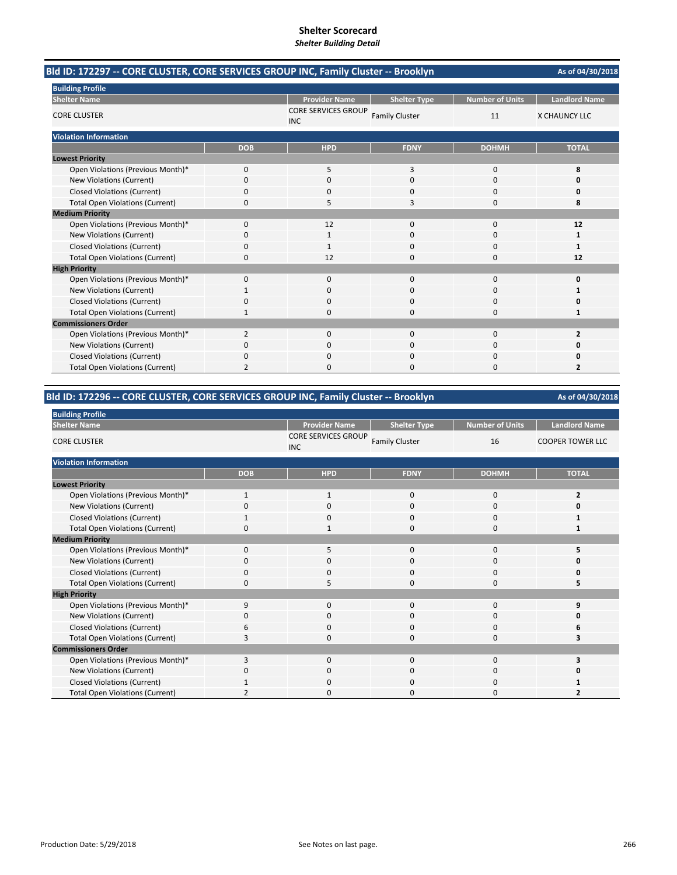| Bld ID: 172297 -- CORE CLUSTER, CORE SERVICES GROUP INC, Family Cluster -- Brooklyn<br>As of 04/30/2018 |                          |                                          |                       |                        |                      |
|---------------------------------------------------------------------------------------------------------|--------------------------|------------------------------------------|-----------------------|------------------------|----------------------|
| <b>Building Profile</b>                                                                                 |                          |                                          |                       |                        |                      |
| <b>Shelter Name</b>                                                                                     |                          | <b>Provider Name</b>                     | <b>Shelter Type</b>   | <b>Number of Units</b> | <b>Landlord Name</b> |
| <b>CORE CLUSTER</b>                                                                                     |                          | <b>CORE SERVICES GROUP</b><br><b>INC</b> | <b>Family Cluster</b> | 11                     | X CHAUNCY LLC        |
| <b>Violation Information</b>                                                                            |                          |                                          |                       |                        |                      |
|                                                                                                         | <b>DOB</b>               | <b>HPD</b>                               | <b>FDNY</b>           | <b>DOHMH</b>           | <b>TOTAL</b>         |
| <b>Lowest Priority</b>                                                                                  |                          |                                          |                       |                        |                      |
| Open Violations (Previous Month)*                                                                       | 0                        | 5                                        | 3                     | 0                      | 8                    |
| New Violations (Current)                                                                                | 0                        | $\Omega$                                 | $\Omega$              | $\Omega$               | 0                    |
| <b>Closed Violations (Current)</b>                                                                      | 0                        | 0                                        | 0                     | 0                      | 0                    |
| <b>Total Open Violations (Current)</b>                                                                  | 0                        | 5                                        | 3                     | 0                      | 8                    |
| <b>Medium Priority</b>                                                                                  |                          |                                          |                       |                        |                      |
| Open Violations (Previous Month)*                                                                       | $\Omega$                 | 12                                       | $\Omega$              | $\Omega$               | 12                   |
| New Violations (Current)                                                                                | 0                        | 1                                        | $\Omega$              | $\Omega$               | 1                    |
| <b>Closed Violations (Current)</b>                                                                      | 0                        |                                          | $\Omega$              | $\Omega$               | 1                    |
| <b>Total Open Violations (Current)</b>                                                                  | $\Omega$                 | 12                                       | $\Omega$              | $\Omega$               | 12                   |
| <b>High Priority</b>                                                                                    |                          |                                          |                       |                        |                      |
| Open Violations (Previous Month)*                                                                       | 0                        | $\mathbf{0}$                             | $\mathbf 0$           | 0                      | 0                    |
| New Violations (Current)                                                                                |                          | $\Omega$                                 | $\Omega$              | 0                      | 1                    |
| <b>Closed Violations (Current)</b>                                                                      | 0                        | 0                                        | 0                     | 0                      | Ω                    |
| <b>Total Open Violations (Current)</b>                                                                  | 1                        | $\Omega$                                 | $\Omega$              | 0                      | 1                    |
| <b>Commissioners Order</b>                                                                              |                          |                                          |                       |                        |                      |
| Open Violations (Previous Month)*                                                                       | $\overline{2}$           | $\Omega$                                 | $\Omega$              | $\Omega$               | $\overline{2}$       |
| New Violations (Current)                                                                                | 0                        | 0                                        | 0                     | 0                      | 0                    |
| <b>Closed Violations (Current)</b>                                                                      | 0                        | $\Omega$                                 | $\Omega$              | 0                      | 0                    |
| <b>Total Open Violations (Current)</b>                                                                  | $\overline{\phantom{a}}$ |                                          | n                     | n                      | 2                    |

# **Bld ID: 172296 ‐‐ CORE CLUSTER, CORE SERVICES GROUP INC, Family Cluster ‐‐ Brooklyn**

| <b>Building Profile</b>                |            |                                          |                       |                 |                         |
|----------------------------------------|------------|------------------------------------------|-----------------------|-----------------|-------------------------|
| <b>Shelter Name</b>                    |            | <b>Provider Name</b>                     | <b>Shelter Type</b>   | Number of Units | <b>Landlord Name</b>    |
| <b>CORE CLUSTER</b>                    |            | <b>CORE SERVICES GROUP</b><br><b>INC</b> | <b>Family Cluster</b> | 16              | <b>COOPER TOWER LLC</b> |
| <b>Violation Information</b>           |            |                                          |                       |                 |                         |
|                                        | <b>DOB</b> | <b>HPD</b>                               | <b>FDNY</b>           | <b>DOHMH</b>    | <b>TOTAL</b>            |
| <b>Lowest Priority</b>                 |            |                                          |                       |                 |                         |
| Open Violations (Previous Month)*      | 1          | 1                                        | 0                     | 0               | 2                       |
| New Violations (Current)               | $\Omega$   | 0                                        | 0                     | 0               | 0                       |
| <b>Closed Violations (Current)</b>     | 1          | 0                                        | $\mathbf{0}$          | 0               |                         |
| <b>Total Open Violations (Current)</b> | $\Omega$   | 1                                        | $\Omega$              | $\mathbf{0}$    |                         |
| <b>Medium Priority</b>                 |            |                                          |                       |                 |                         |
| Open Violations (Previous Month)*      | $\Omega$   | 5                                        | $\mathbf{0}$          | 0               |                         |
| New Violations (Current)               | 0          | 0                                        | 0                     | 0               |                         |
| <b>Closed Violations (Current)</b>     | 0          | 0                                        | 0                     | 0               | U                       |
| <b>Total Open Violations (Current)</b> | 0          | 5                                        | $\Omega$              | $\mathbf{0}$    | 5                       |
| <b>High Priority</b>                   |            |                                          |                       |                 |                         |
| Open Violations (Previous Month)*      | 9          | $\mathbf 0$                              | $\mathbf{0}$          | $\mathbf{0}$    | q                       |
| New Violations (Current)               | C          | 0                                        | 0                     | 0               | Ω                       |
| <b>Closed Violations (Current)</b>     | 6          | 0                                        | $\mathbf{0}$          | 0               | ь                       |
| <b>Total Open Violations (Current)</b> | 3          | 0                                        | 0                     | 0               |                         |
| <b>Commissioners Order</b>             |            |                                          |                       |                 |                         |
| Open Violations (Previous Month)*      | 3          | $\mathbf 0$                              | $\mathbf{0}$          | $\mathbf{0}$    |                         |
| New Violations (Current)               | 0          | 0                                        | 0                     | 0               | 0                       |
| <b>Closed Violations (Current)</b>     |            | 0                                        | 0                     | 0               |                         |
| <b>Total Open Violations (Current)</b> |            | $\Omega$                                 | ი                     | 0               |                         |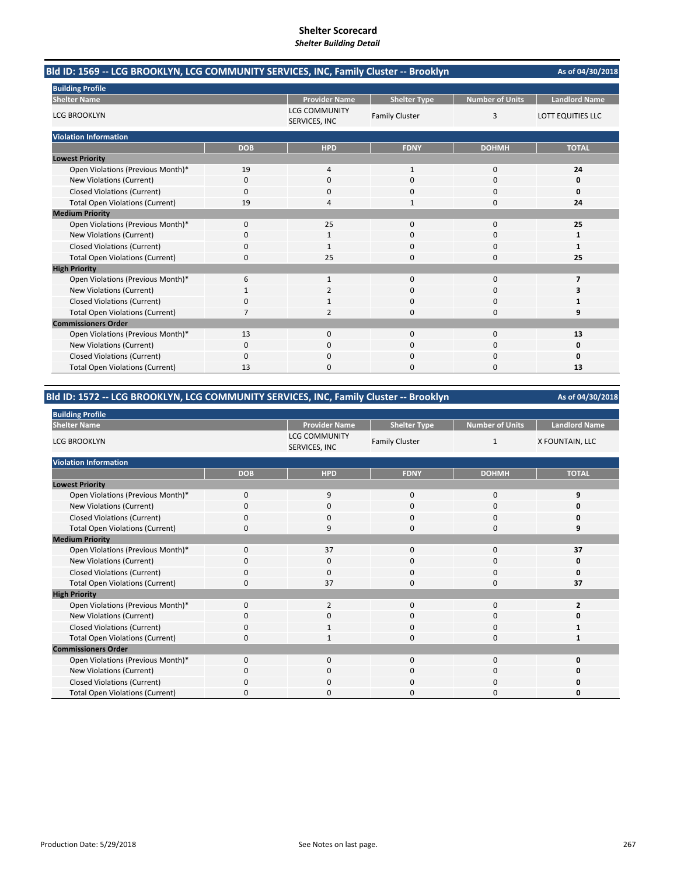| Bld ID: 1569 -- LCG BROOKLYN, LCG COMMUNITY SERVICES, INC, Family Cluster -- Brooklyn |            |                                       |                       |                        |                      |  |
|---------------------------------------------------------------------------------------|------------|---------------------------------------|-----------------------|------------------------|----------------------|--|
| <b>Building Profile</b>                                                               |            |                                       |                       |                        |                      |  |
| <b>Shelter Name</b>                                                                   |            | <b>Provider Name</b>                  | <b>Shelter Type</b>   | <b>Number of Units</b> | <b>Landlord Name</b> |  |
| <b>LCG BROOKLYN</b>                                                                   |            | <b>LCG COMMUNITY</b><br>SERVICES, INC | <b>Family Cluster</b> | 3                      | LOTT EQUITIES LLC    |  |
| <b>Violation Information</b>                                                          |            |                                       |                       |                        |                      |  |
|                                                                                       | <b>DOB</b> | <b>HPD</b>                            | <b>FDNY</b>           | <b>DOHMH</b>           | <b>TOTAL</b>         |  |
| <b>Lowest Priority</b>                                                                |            |                                       |                       |                        |                      |  |
| Open Violations (Previous Month)*                                                     | 19         | $\overline{4}$                        | $\mathbf{1}$          | 0                      | 24                   |  |
| New Violations (Current)                                                              | 0          | $\Omega$                              | $\Omega$              | $\Omega$               | 0                    |  |
| <b>Closed Violations (Current)</b>                                                    | 0          | 0                                     | $\Omega$              | 0                      | 0                    |  |
| <b>Total Open Violations (Current)</b>                                                | 19         | 4                                     | 1                     | 0                      | 24                   |  |
| <b>Medium Priority</b>                                                                |            |                                       |                       |                        |                      |  |
| Open Violations (Previous Month)*                                                     | 0          | 25                                    | $\mathbf{0}$          | 0                      | 25                   |  |
| New Violations (Current)                                                              | 0          |                                       | 0                     | 0                      | 1                    |  |
| <b>Closed Violations (Current)</b>                                                    | 0          | $\mathbf{1}$                          | 0                     | 0                      | 1                    |  |
| <b>Total Open Violations (Current)</b>                                                | 0          | 25                                    | $\Omega$              | 0                      | 25                   |  |
| <b>High Priority</b>                                                                  |            |                                       |                       |                        |                      |  |
| Open Violations (Previous Month)*                                                     | 6          | $\mathbf{1}$                          | $\Omega$              | $\Omega$               | 7                    |  |
| New Violations (Current)                                                              |            | 2                                     | $\Omega$              | 0                      | 3                    |  |
| <b>Closed Violations (Current)</b>                                                    | 0          |                                       | $\Omega$              | $\Omega$               | 1                    |  |
| <b>Total Open Violations (Current)</b>                                                | 7          | 2                                     | $\Omega$              | 0                      | 9                    |  |
| <b>Commissioners Order</b>                                                            |            |                                       |                       |                        |                      |  |
| Open Violations (Previous Month)*                                                     | 13         | $\Omega$                              | $\Omega$              | $\Omega$               | 13                   |  |
| New Violations (Current)                                                              | 0          | 0                                     | 0                     | 0                      | 0                    |  |
| <b>Closed Violations (Current)</b>                                                    | 0          | $\Omega$                              | $\Omega$              | $\Omega$               | 0                    |  |
| <b>Total Open Violations (Current)</b>                                                | 13         | ŋ                                     | $\Omega$              | 0                      | 13                   |  |

# **Bld ID: 1572 ‐‐ LCG BROOKLYN, LCG COMMUNITY SERVICES, INC, Family Cluster ‐‐ Brooklyn**

| <b>Building Profile</b>                |             |                                       |                       |                        |                         |
|----------------------------------------|-------------|---------------------------------------|-----------------------|------------------------|-------------------------|
| <b>Shelter Name</b>                    |             | <b>Provider Name</b>                  | <b>Shelter Type</b>   | <b>Number of Units</b> | <b>Landlord Name</b>    |
| <b>LCG BROOKLYN</b>                    |             | <b>LCG COMMUNITY</b><br>SERVICES, INC | <b>Family Cluster</b> | 1                      | X FOUNTAIN, LLC         |
| <b>Violation Information</b>           |             |                                       |                       |                        |                         |
|                                        | <b>DOB</b>  | <b>HPD</b>                            | <b>FDNY</b>           | <b>DOHMH</b>           | <b>TOTAL</b>            |
| <b>Lowest Priority</b>                 |             |                                       |                       |                        |                         |
| Open Violations (Previous Month)*      | $\mathbf 0$ | 9                                     | $\mathbf{0}$          | $\mathbf 0$            | 9                       |
| New Violations (Current)               | O           | 0                                     | 0                     | 0                      | Ω                       |
| <b>Closed Violations (Current)</b>     | 0           | $\mathbf 0$                           | $\mathbf 0$           | 0                      | 0                       |
| <b>Total Open Violations (Current)</b> | $\Omega$    | 9                                     | 0                     | 0                      | q                       |
| <b>Medium Priority</b>                 |             |                                       |                       |                        |                         |
| Open Violations (Previous Month)*      | $\Omega$    | 37                                    | $\Omega$              | 0                      | 37                      |
| New Violations (Current)               | O           | 0                                     | 0                     | 0                      | 0                       |
| <b>Closed Violations (Current)</b>     | 0           | $\mathbf 0$                           | $\mathbf 0$           | 0                      | 0                       |
| <b>Total Open Violations (Current)</b> | $\Omega$    | 37                                    | $\mathbf 0$           | 0                      | 37                      |
| <b>High Priority</b>                   |             |                                       |                       |                        |                         |
| Open Violations (Previous Month)*      | $\Omega$    | 2                                     | $\mathbf{0}$          | $\mathbf{0}$           | $\overline{\mathbf{z}}$ |
| New Violations (Current)               | 0           | 0                                     | 0                     | 0                      | O                       |
| <b>Closed Violations (Current)</b>     | $\Omega$    | $\mathbf{1}$                          | 0                     | 0                      |                         |
| <b>Total Open Violations (Current)</b> | 0           | $\mathbf{1}$                          | $\mathbf 0$           | 0                      |                         |
| <b>Commissioners Order</b>             |             |                                       |                       |                        |                         |
| Open Violations (Previous Month)*      | $\Omega$    | $\Omega$                              | $\Omega$              | $\Omega$               | 0                       |
| New Violations (Current)               | 0           | $\mathbf 0$                           | 0                     | 0                      | O                       |
| <b>Closed Violations (Current)</b>     | 0           | $\mathbf 0$                           | $\Omega$              | 0                      | n                       |
| <b>Total Open Violations (Current)</b> | Ω           | $\Omega$                              | 0                     | $\Omega$               | 0                       |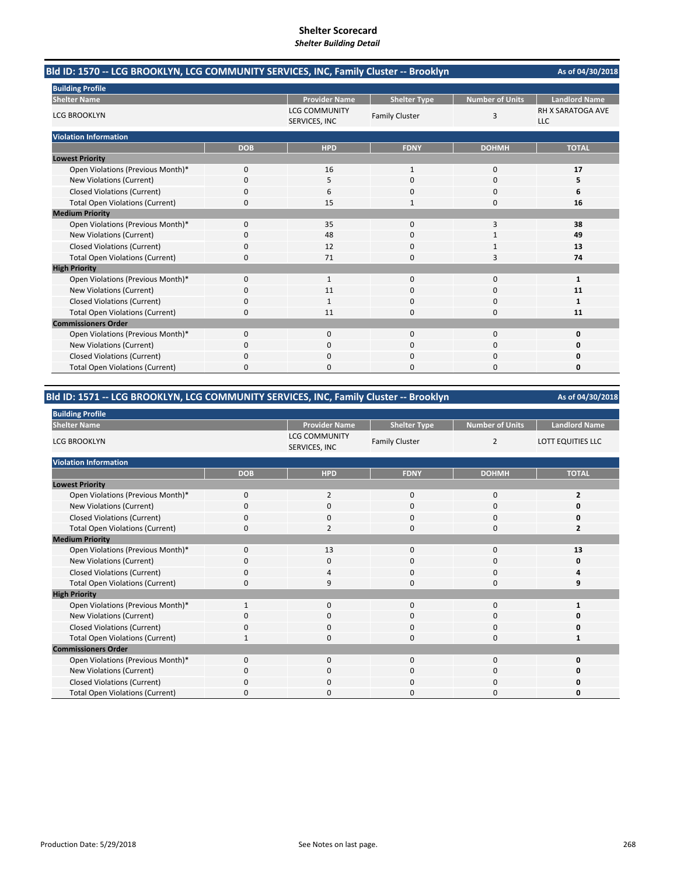| Bld ID: 1570 -- LCG BROOKLYN, LCG COMMUNITY SERVICES, INC, Family Cluster -- Brooklyn |            |                                       |                       |                        | As of 04/30/2018         |
|---------------------------------------------------------------------------------------|------------|---------------------------------------|-----------------------|------------------------|--------------------------|
| <b>Building Profile</b>                                                               |            |                                       |                       |                        |                          |
| <b>Shelter Name</b>                                                                   |            | <b>Provider Name</b>                  | <b>Shelter Type</b>   | <b>Number of Units</b> | <b>Landlord Name</b>     |
| <b>LCG BROOKLYN</b>                                                                   |            | <b>LCG COMMUNITY</b><br>SERVICES, INC | <b>Family Cluster</b> | 3                      | RH X SARATOGA AVE<br>LLC |
| <b>Violation Information</b>                                                          |            |                                       |                       |                        |                          |
|                                                                                       | <b>DOB</b> | <b>HPD</b>                            | <b>FDNY</b>           | <b>DOHMH</b>           | <b>TOTAL</b>             |
| <b>Lowest Priority</b>                                                                |            |                                       |                       |                        |                          |
| Open Violations (Previous Month)*                                                     | 0          | 16                                    | $\mathbf{1}$          | 0                      | 17                       |
| New Violations (Current)                                                              | $\Omega$   | 5                                     | $\Omega$              | $\Omega$               | 5                        |
| <b>Closed Violations (Current)</b>                                                    | 0          | 6                                     | $\Omega$              | $\Omega$               | 6                        |
| <b>Total Open Violations (Current)</b>                                                | 0          | 15                                    | 1                     | 0                      | 16                       |
| <b>Medium Priority</b>                                                                |            |                                       |                       |                        |                          |
| Open Violations (Previous Month)*                                                     | 0          | 35                                    | $\Omega$              | 3                      | 38                       |
| <b>New Violations (Current)</b>                                                       | 0          | 48                                    | 0                     |                        | 49                       |
| <b>Closed Violations (Current)</b>                                                    | 0          | 12                                    | 0                     | 1                      | 13                       |
| <b>Total Open Violations (Current)</b>                                                | $\Omega$   | 71                                    | $\Omega$              | 3                      | 74                       |
| <b>High Priority</b>                                                                  |            |                                       |                       |                        |                          |
| Open Violations (Previous Month)*                                                     | 0          | $\mathbf{1}$                          | $\mathbf 0$           | 0                      | 1                        |
| New Violations (Current)                                                              | 0          | 11                                    | 0                     | 0                      | 11                       |
| <b>Closed Violations (Current)</b>                                                    | 0          | 1                                     | $\Omega$              | 0                      | 1                        |
| <b>Total Open Violations (Current)</b>                                                | 0          | 11                                    | $\Omega$              | 0                      | 11                       |
| <b>Commissioners Order</b>                                                            |            |                                       |                       |                        |                          |
| Open Violations (Previous Month)*                                                     | 0          | $\Omega$                              | $\Omega$              | $\Omega$               | 0                        |
| <b>New Violations (Current)</b>                                                       | 0          | 0                                     | ი                     | 0                      | Ω                        |
| <b>Closed Violations (Current)</b>                                                    | 0          | $\Omega$                              | $\Omega$              | $\Omega$               | Ω                        |
| <b>Total Open Violations (Current)</b>                                                | 0          | n                                     | $\Omega$              | $\Omega$               | 0                        |

# **Bld ID: 1571 ‐‐ LCG BROOKLYN, LCG COMMUNITY SERVICES, INC, Family Cluster ‐‐ Brooklyn**

| <b>Building Profile</b>                |             |                                       |                       |                        |                         |
|----------------------------------------|-------------|---------------------------------------|-----------------------|------------------------|-------------------------|
| <b>Shelter Name</b>                    |             | <b>Provider Name</b>                  | <b>Shelter Type</b>   | <b>Number of Units</b> | <b>Landlord Name</b>    |
| <b>LCG BROOKLYN</b>                    |             | <b>LCG COMMUNITY</b><br>SERVICES, INC | <b>Family Cluster</b> | $\overline{2}$         | LOTT EQUITIES LLC       |
| <b>Violation Information</b>           |             |                                       |                       |                        |                         |
|                                        | <b>DOB</b>  | <b>HPD</b>                            | <b>FDNY</b>           | <b>DOHMH</b>           | <b>TOTAL</b>            |
| <b>Lowest Priority</b>                 |             |                                       |                       |                        |                         |
| Open Violations (Previous Month)*      | $\mathbf 0$ | $\overline{2}$                        | $\mathbf{0}$          | $\mathbf 0$            | $\overline{2}$          |
| New Violations (Current)               | O           | 0                                     | 0                     | 0                      |                         |
| <b>Closed Violations (Current)</b>     | 0           | $\mathbf 0$                           | $\mathbf 0$           | 0                      | n                       |
| <b>Total Open Violations (Current)</b> | $\Omega$    | $\overline{2}$                        | $\Omega$              | 0                      | $\overline{\mathbf{z}}$ |
| <b>Medium Priority</b>                 |             |                                       |                       |                        |                         |
| Open Violations (Previous Month)*      | $\Omega$    | 13                                    | $\Omega$              | 0                      | 13                      |
| New Violations (Current)               | O           | 0                                     | 0                     | 0                      | 0                       |
| <b>Closed Violations (Current)</b>     | 0           | 4                                     | $\mathbf 0$           | 0                      |                         |
| <b>Total Open Violations (Current)</b> | $\Omega$    | 9                                     | $\mathbf 0$           | $\Omega$               | 9                       |
| <b>High Priority</b>                   |             |                                       |                       |                        |                         |
| Open Violations (Previous Month)*      |             | $\mathbf 0$                           | $\mathbf{0}$          | 0                      |                         |
| New Violations (Current)               | O           | $\mathbf 0$                           | 0                     | 0                      | n                       |
| <b>Closed Violations (Current)</b>     | $\Omega$    | $\mathbf 0$                           | 0                     | 0                      | O                       |
| <b>Total Open Violations (Current)</b> |             | $\mathbf 0$                           | $\mathbf 0$           | 0                      |                         |
| <b>Commissioners Order</b>             |             |                                       |                       |                        |                         |
| Open Violations (Previous Month)*      | $\Omega$    | $\Omega$                              | $\Omega$              | $\Omega$               | 0                       |
| New Violations (Current)               | 0           | $\mathbf 0$                           | 0                     | 0                      | O                       |
| <b>Closed Violations (Current)</b>     | 0           | $\mathbf 0$                           | $\Omega$              | 0                      |                         |
| <b>Total Open Violations (Current)</b> | Ω           | $\Omega$                              | 0                     | $\Omega$               | 0                       |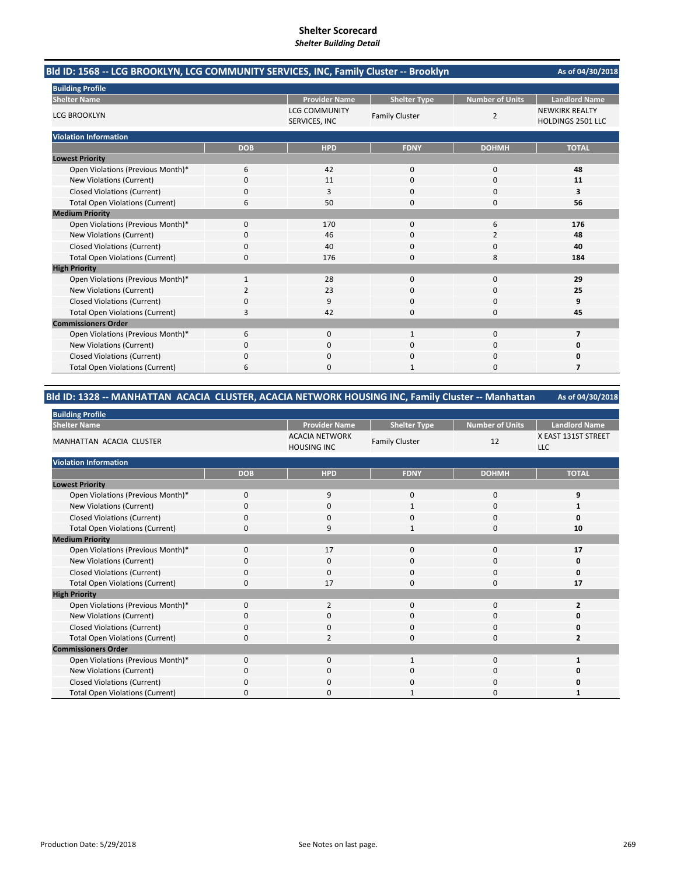| Bld ID: 1568 -- LCG BROOKLYN, LCG COMMUNITY SERVICES, INC, Family Cluster -- Brooklyn | As of 04/30/2018 |                                       |                       |                        |                                                   |
|---------------------------------------------------------------------------------------|------------------|---------------------------------------|-----------------------|------------------------|---------------------------------------------------|
| <b>Building Profile</b>                                                               |                  |                                       |                       |                        |                                                   |
| <b>Shelter Name</b>                                                                   |                  | <b>Provider Name</b>                  | <b>Shelter Type</b>   | <b>Number of Units</b> | <b>Landlord Name</b>                              |
| <b>LCG BROOKLYN</b>                                                                   |                  | <b>LCG COMMUNITY</b><br>SERVICES, INC | <b>Family Cluster</b> | $\overline{2}$         | <b>NEWKIRK REALTY</b><br><b>HOLDINGS 2501 LLC</b> |
| <b>Violation Information</b>                                                          |                  |                                       |                       |                        |                                                   |
|                                                                                       | <b>DOB</b>       | <b>HPD</b>                            | <b>FDNY</b>           | <b>DOHMH</b>           | <b>TOTAL</b>                                      |
| <b>Lowest Priority</b>                                                                |                  |                                       |                       |                        |                                                   |
| Open Violations (Previous Month)*                                                     | 6                | 42                                    | $\mathbf{0}$          | $\mathbf 0$            | 48                                                |
| New Violations (Current)                                                              | 0                | 11                                    | $\Omega$              | $\Omega$               | 11                                                |
| <b>Closed Violations (Current)</b>                                                    | 0                | 3                                     | $\Omega$              | $\Omega$               | 3                                                 |
| <b>Total Open Violations (Current)</b>                                                | 6                | 50                                    | $\Omega$              | 0                      | 56                                                |
| <b>Medium Priority</b>                                                                |                  |                                       |                       |                        |                                                   |
| Open Violations (Previous Month)*                                                     | $\Omega$         | 170                                   | $\Omega$              | 6                      | 176                                               |
| New Violations (Current)                                                              | 0                | 46                                    | $\Omega$              | 2                      | 48                                                |
| <b>Closed Violations (Current)</b>                                                    | 0                | 40                                    | $\Omega$              | 0                      | 40                                                |
| <b>Total Open Violations (Current)</b>                                                | 0                | 176                                   | $\Omega$              | 8                      | 184                                               |
| <b>High Priority</b>                                                                  |                  |                                       |                       |                        |                                                   |
| Open Violations (Previous Month)*                                                     | $\mathbf{1}$     | 28                                    | $\mathbf{0}$          | $\mathbf 0$            | 29                                                |
| New Violations (Current)                                                              | $\overline{2}$   | 23                                    | $\Omega$              | $\Omega$               | 25                                                |
| <b>Closed Violations (Current)</b>                                                    | 0                | 9                                     | 0                     | 0                      | 9                                                 |
| <b>Total Open Violations (Current)</b>                                                | 3                | 42                                    | $\Omega$              | 0                      | 45                                                |
| <b>Commissioners Order</b>                                                            |                  |                                       |                       |                        |                                                   |
| Open Violations (Previous Month)*                                                     | 6                | $\Omega$                              | $\mathbf{1}$          | $\Omega$               | $\overline{7}$                                    |
| New Violations (Current)                                                              | 0                | $\Omega$                              | $\Omega$              | $\Omega$               | 0                                                 |
| <b>Closed Violations (Current)</b>                                                    | 0                | 0                                     | 0                     | 0                      | 0                                                 |
| <b>Total Open Violations (Current)</b>                                                | 6                | $\Omega$                              | 1                     | $\Omega$               | 7                                                 |

# **Bld ID: 1328 ‐‐ MANHATTAN ACACIA CLUSTER, ACACIA NETWORK HOUSING INC, Family Cluster ‐‐ Manhattan**

| <b>Building Profile</b>                |             |                                             |                       |                        |                                   |
|----------------------------------------|-------------|---------------------------------------------|-----------------------|------------------------|-----------------------------------|
| <b>Shelter Name</b>                    |             | <b>Provider Name</b>                        | <b>Shelter Type</b>   | <b>Number of Units</b> | <b>Landlord Name</b>              |
| <b>MANHATTAN ACACIA CLUSTER</b>        |             | <b>ACACIA NETWORK</b><br><b>HOUSING INC</b> | <b>Family Cluster</b> | 12                     | X EAST 131ST STREET<br><b>LLC</b> |
| <b>Violation Information</b>           |             |                                             |                       |                        |                                   |
|                                        | <b>DOB</b>  | <b>HPD</b>                                  | <b>FDNY</b>           | <b>DOHMH</b>           | <b>TOTAL</b>                      |
| <b>Lowest Priority</b>                 |             |                                             |                       |                        |                                   |
| Open Violations (Previous Month)*      | 0           | 9                                           | 0                     | 0                      | 9                                 |
| New Violations (Current)               | $\Omega$    | $\mathbf 0$                                 | 1                     | 0                      |                                   |
| <b>Closed Violations (Current)</b>     | 0           | $\mathbf 0$                                 | $\mathbf 0$           | 0                      | $\Omega$                          |
| <b>Total Open Violations (Current)</b> | $\Omega$    | 9                                           | $\mathbf{1}$          | 0                      | 10                                |
| <b>Medium Priority</b>                 |             |                                             |                       |                        |                                   |
| Open Violations (Previous Month)*      | $\mathbf 0$ | 17                                          | $\mathbf 0$           | $\mathbf 0$            | 17                                |
| New Violations (Current)               | $\Omega$    | $\mathbf 0$                                 | $\mathbf 0$           | 0                      | 0                                 |
| <b>Closed Violations (Current)</b>     | $\mathbf 0$ | $\mathbf 0$                                 | $\mathbf{0}$          | 0                      | 0                                 |
| <b>Total Open Violations (Current)</b> | $\Omega$    | 17                                          | $\Omega$              | 0                      | 17                                |
| <b>High Priority</b>                   |             |                                             |                       |                        |                                   |
| Open Violations (Previous Month)*      | $\Omega$    | 2                                           | $\mathbf{0}$          | 0                      | $\overline{2}$                    |
| New Violations (Current)               | O           | 0                                           | 0                     | 0                      | 0                                 |
| <b>Closed Violations (Current)</b>     | $\mathbf 0$ | $\mathbf 0$                                 | $\mathbf{0}$          | 0                      | 0                                 |
| <b>Total Open Violations (Current)</b> | $\mathbf 0$ | $\overline{2}$                              | $\mathbf{0}$          | 0                      | 2                                 |
| <b>Commissioners Order</b>             |             |                                             |                       |                        |                                   |
| Open Violations (Previous Month)*      | $\Omega$    | $\mathbf 0$                                 | $\mathbf{1}$          | $\mathbf 0$            |                                   |
| New Violations (Current)               | $\Omega$    | $\mathbf 0$                                 | 0                     | 0                      | 0                                 |
| <b>Closed Violations (Current)</b>     | $\Omega$    | $\mathbf 0$                                 | $\mathbf{0}$          | 0                      | ŋ                                 |
| <b>Total Open Violations (Current)</b> | O           | $\Omega$                                    |                       | $\Omega$               |                                   |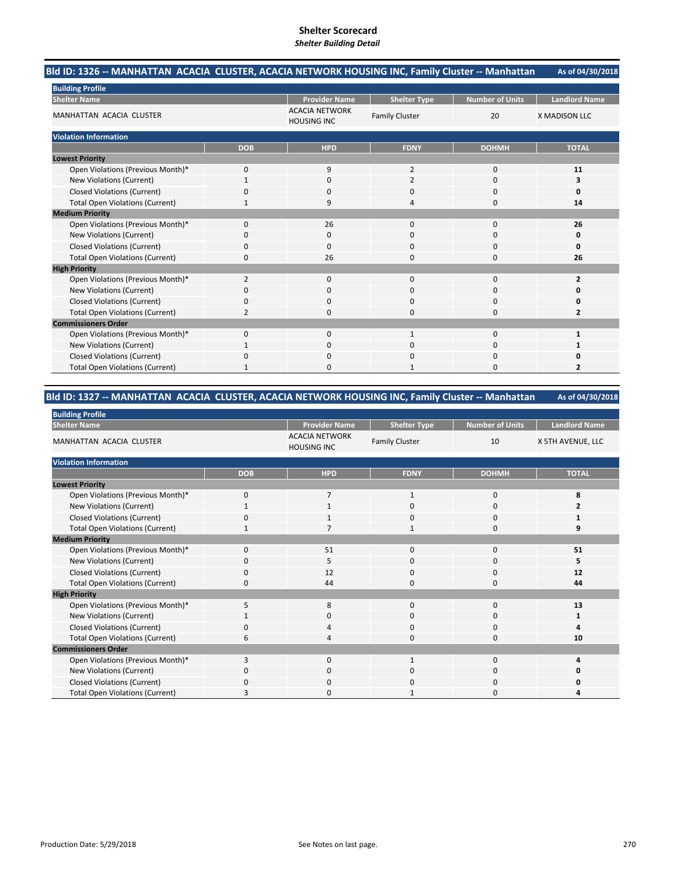#### **As of 04/30/2018 Bld ID: 1326 ‐‐ MANHATTAN ACACIA CLUSTER, ACACIA NETWORK HOUSING INC, Family Cluster ‐‐ Manhattan**

| <b>Building Profile</b>                |                |                                             |                       |                        |                         |
|----------------------------------------|----------------|---------------------------------------------|-----------------------|------------------------|-------------------------|
| <b>Shelter Name</b>                    |                | <b>Provider Name</b>                        | <b>Shelter Type</b>   | <b>Number of Units</b> | <b>Landlord Name</b>    |
| <b>MANHATTAN ACACIA CLUSTER</b>        |                | <b>ACACIA NETWORK</b><br><b>HOUSING INC</b> | <b>Family Cluster</b> | 20                     | <b>X MADISON LLC</b>    |
| <b>Violation Information</b>           |                |                                             |                       |                        |                         |
|                                        | <b>DOB</b>     | <b>HPD</b>                                  | <b>FDNY</b>           | <b>DOHMH</b>           | <b>TOTAL</b>            |
| <b>Lowest Priority</b>                 |                |                                             |                       |                        |                         |
| Open Violations (Previous Month)*      | $\Omega$       | 9                                           | $\overline{2}$        | $\mathbf 0$            | 11                      |
| New Violations (Current)               |                | $\mathbf 0$                                 | $\overline{2}$        | 0                      | з                       |
| <b>Closed Violations (Current)</b>     | $\Omega$       | $\Omega$                                    | 0                     | 0                      |                         |
| <b>Total Open Violations (Current)</b> |                | 9                                           | 4                     | 0                      | 14                      |
| <b>Medium Priority</b>                 |                |                                             |                       |                        |                         |
| Open Violations (Previous Month)*      | $\Omega$       | 26                                          | $\Omega$              | 0                      | 26                      |
| New Violations (Current)               | O              | 0                                           | 0                     | 0                      | O                       |
| <b>Closed Violations (Current)</b>     | $\mathbf 0$    | 0                                           | 0                     | $\mathbf 0$            |                         |
| <b>Total Open Violations (Current)</b> | $\Omega$       | 26                                          | 0                     | $\mathbf 0$            | 26                      |
| <b>High Priority</b>                   |                |                                             |                       |                        |                         |
| Open Violations (Previous Month)*      | $\overline{2}$ | $\Omega$                                    | $\Omega$              | $\mathbf 0$            | $\overline{2}$          |
| <b>New Violations (Current)</b>        | O              | $\Omega$                                    | 0                     | 0                      |                         |
| <b>Closed Violations (Current)</b>     | $\mathbf 0$    | 0                                           | 0                     | $\mathbf 0$            |                         |
| <b>Total Open Violations (Current)</b> | $\mathcal{P}$  | $\Omega$                                    | 0                     | $\Omega$               | $\overline{\mathbf{z}}$ |
| <b>Commissioners Order</b>             |                |                                             |                       |                        |                         |
| Open Violations (Previous Month)*      | $\mathbf 0$    | $\mathbf 0$                                 | $\mathbf{1}$          | $\mathbf 0$            |                         |
| New Violations (Current)               |                | $\Omega$                                    | 0                     | $\Omega$               |                         |
| <b>Closed Violations (Current)</b>     | 0              | $\Omega$                                    | 0                     | $\Omega$               |                         |
| <b>Total Open Violations (Current)</b> |                | $\Omega$                                    | 1                     | $\Omega$               | $\overline{2}$          |

#### **As of 04/30/2018 Bld ID: 1327 ‐‐ MANHATTAN ACACIA CLUSTER, ACACIA NETWORK HOUSING INC, Family Cluster ‐‐ Manhattan**

| <b>Building Profile</b>                |              |                                             |                       |                        |                      |
|----------------------------------------|--------------|---------------------------------------------|-----------------------|------------------------|----------------------|
| <b>Shelter Name</b>                    |              | <b>Provider Name</b>                        | <b>Shelter Type</b>   | <b>Number of Units</b> | <b>Landlord Name</b> |
| <b>MANHATTAN ACACIA CLUSTER</b>        |              | <b>ACACIA NETWORK</b><br><b>HOUSING INC</b> | <b>Family Cluster</b> | 10                     | X 5TH AVENUE, LLC    |
| <b>Violation Information</b>           |              |                                             |                       |                        |                      |
|                                        | <b>DOB</b>   | <b>HPD</b>                                  | <b>FDNY</b>           | <b>DOHMH</b>           | <b>TOTAL</b>         |
| <b>Lowest Priority</b>                 |              |                                             |                       |                        |                      |
| Open Violations (Previous Month)*      | $\mathbf{0}$ | 7                                           | 1                     | $\mathbf{0}$           | 8                    |
| New Violations (Current)               |              | 1                                           | U                     | 0                      |                      |
| <b>Closed Violations (Current)</b>     | 0            | 1                                           | 0                     | $\mathbf 0$            |                      |
| <b>Total Open Violations (Current)</b> |              |                                             | $\mathbf{1}$          | $\mathbf 0$            | 9                    |
| <b>Medium Priority</b>                 |              |                                             |                       |                        |                      |
| Open Violations (Previous Month)*      | $\Omega$     | 51                                          | $\Omega$              | $\mathbf 0$            | 51                   |
| New Violations (Current)               | 0            | 5                                           | 0                     | 0                      | 5                    |
| <b>Closed Violations (Current)</b>     | 0            | 12                                          | 0                     | 0                      | 12                   |
| <b>Total Open Violations (Current)</b> | 0            | 44                                          | 0                     | 0                      | 44                   |
| <b>High Priority</b>                   |              |                                             |                       |                        |                      |
| Open Violations (Previous Month)*      | 5            | 8                                           | $\Omega$              | $\mathbf 0$            | 13                   |
| New Violations (Current)               |              | 0                                           | $\Omega$              | 0                      | 1                    |
| <b>Closed Violations (Current)</b>     | 0            | $\overline{4}$                              | 0                     | $\mathbf 0$            | 4                    |
| <b>Total Open Violations (Current)</b> | 6            | 4                                           | 0                     | 0                      | 10                   |
| <b>Commissioners Order</b>             |              |                                             |                       |                        |                      |
| Open Violations (Previous Month)*      | 3            | $\mathbf{0}$                                | $\mathbf{1}$          | $\mathbf{0}$           | 4                    |
| New Violations (Current)               | 0            | $\mathbf{0}$                                | $\Omega$              | 0                      |                      |
| <b>Closed Violations (Current)</b>     | ŋ            | 0                                           | 0                     | 0                      |                      |
| <b>Total Open Violations (Current)</b> |              | $\Omega$                                    |                       | 0                      |                      |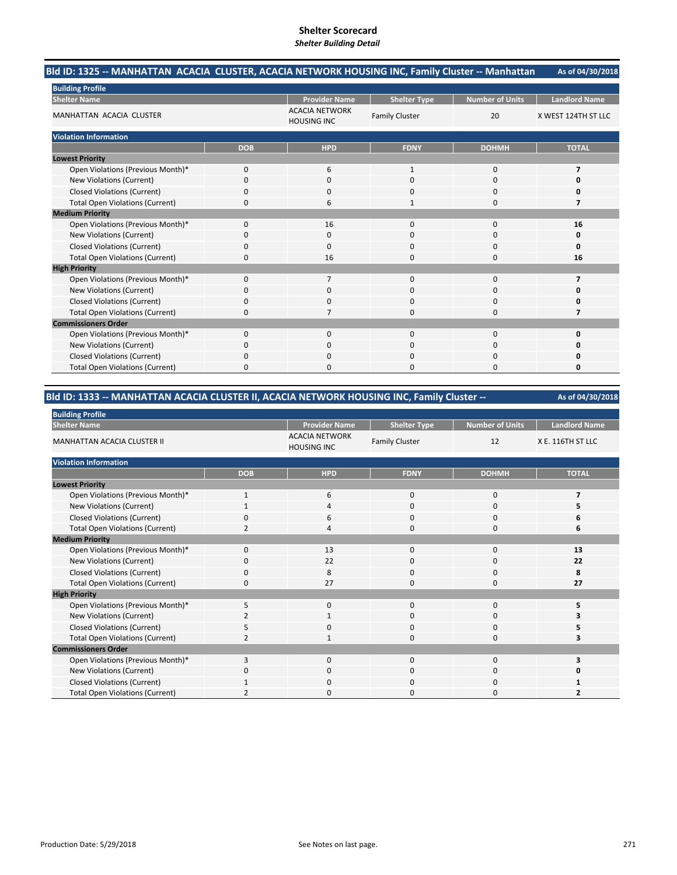#### **As of 04/30/2018 Bld ID: 1325 ‐‐ MANHATTAN ACACIA CLUSTER, ACACIA NETWORK HOUSING INC, Family Cluster ‐‐ Manhattan**

| <b>Building Profile</b>                |              |                                             |                       |                        |                      |
|----------------------------------------|--------------|---------------------------------------------|-----------------------|------------------------|----------------------|
| <b>Shelter Name</b>                    |              | <b>Provider Name</b>                        | <b>Shelter Type</b>   | <b>Number of Units</b> | <b>Landlord Name</b> |
| MANHATTAN ACACIA CLUSTER               |              | <b>ACACIA NETWORK</b><br><b>HOUSING INC</b> | <b>Family Cluster</b> | 20                     | X WEST 124TH ST LLC  |
| <b>Violation Information</b>           |              |                                             |                       |                        |                      |
|                                        | <b>DOB</b>   | <b>HPD</b>                                  | <b>FDNY</b>           | <b>DOHMH</b>           | <b>TOTAL</b>         |
| <b>Lowest Priority</b>                 |              |                                             |                       |                        |                      |
| Open Violations (Previous Month)*      | $\mathbf 0$  | 6                                           | 1                     | $\mathbf 0$            | $\overline{7}$       |
| New Violations (Current)               | $\Omega$     | $\mathbf 0$                                 | 0                     | 0                      |                      |
| <b>Closed Violations (Current)</b>     | $\Omega$     | $\mathbf 0$                                 | $\Omega$              | 0                      |                      |
| <b>Total Open Violations (Current)</b> | O            | 6                                           | 1                     | $\Omega$               |                      |
| <b>Medium Priority</b>                 |              |                                             |                       |                        |                      |
| Open Violations (Previous Month)*      | $\Omega$     | 16                                          | 0                     | $\mathbf 0$            | 16                   |
| New Violations (Current)               | <sup>0</sup> | 0                                           | 0                     | $\Omega$               | o                    |
| <b>Closed Violations (Current)</b>     | $\Omega$     | $\Omega$                                    | $\Omega$              | 0                      |                      |
| <b>Total Open Violations (Current)</b> | $\Omega$     | 16                                          | $\Omega$              | $\Omega$               | 16                   |
| <b>High Priority</b>                   |              |                                             |                       |                        |                      |
| Open Violations (Previous Month)*      | $\Omega$     | 7                                           | $\Omega$              | $\mathbf 0$            |                      |
| New Violations (Current)               | 0            | $\Omega$                                    | 0                     | 0                      |                      |
| <b>Closed Violations (Current)</b>     | 0            | $\mathbf 0$                                 | 0                     | $\mathbf 0$            |                      |
| <b>Total Open Violations (Current)</b> | $\Omega$     | 7                                           | $\Omega$              | $\Omega$               |                      |
| <b>Commissioners Order</b>             |              |                                             |                       |                        |                      |
| Open Violations (Previous Month)*      | $\mathbf 0$  | $\mathbf 0$                                 | $\mathbf 0$           | $\mathbf 0$            |                      |
| New Violations (Current)               | $\Omega$     | $\Omega$                                    | $\Omega$              | $\Omega$               |                      |
| <b>Closed Violations (Current)</b>     | $\Omega$     | $\Omega$                                    | $\Omega$              | $\Omega$               |                      |
| <b>Total Open Violations (Current)</b> | $\Omega$     | $\Omega$                                    | $\Omega$              | $\Omega$               | ŋ                    |

# **Bld ID: 1333 ‐‐ MANHATTAN ACACIA CLUSTER II, ACACIA NETWORK HOUSING INC, Family Cluster ‐‐**

| <b>Building Profile</b>                |                |                                             |                       |                        |                      |
|----------------------------------------|----------------|---------------------------------------------|-----------------------|------------------------|----------------------|
| <b>Shelter Name</b>                    |                | <b>Provider Name</b>                        | <b>Shelter Type</b>   | <b>Number of Units</b> | <b>Landlord Name</b> |
| MANHATTAN ACACIA CLUSTER II            |                | <b>ACACIA NETWORK</b><br><b>HOUSING INC</b> | <b>Family Cluster</b> | 12                     | X E. 116TH ST LLC    |
| <b>Violation Information</b>           |                |                                             |                       |                        |                      |
|                                        | <b>DOB</b>     | <b>HPD</b>                                  | <b>FDNY</b>           | <b>DOHMH</b>           | <b>TOTAL</b>         |
| <b>Lowest Priority</b>                 |                |                                             |                       |                        |                      |
| Open Violations (Previous Month)*      | 1              | 6                                           | 0                     | 0                      |                      |
| New Violations (Current)               |                | 4                                           | 0                     | 0                      |                      |
| <b>Closed Violations (Current)</b>     | 0              | 6                                           | 0                     | 0                      | ь                    |
| <b>Total Open Violations (Current)</b> | $\overline{2}$ | 4                                           | 0                     | 0                      | 6                    |
| <b>Medium Priority</b>                 |                |                                             |                       |                        |                      |
| Open Violations (Previous Month)*      | $\Omega$       | 13                                          | $\mathbf{0}$          | 0                      | 13                   |
| New Violations (Current)               | $\Omega$       | 22                                          | 0                     | 0                      | 22                   |
| <b>Closed Violations (Current)</b>     | $\Omega$       | 8                                           | 0                     | 0                      | 8                    |
| <b>Total Open Violations (Current)</b> | 0              | 27                                          | 0                     | 0                      | 27                   |
| <b>High Priority</b>                   |                |                                             |                       |                        |                      |
| Open Violations (Previous Month)*      | 5              | $\mathbf 0$                                 | $\Omega$              | $\mathbf 0$            | 5                    |
| New Violations (Current)               |                | 1                                           | 0                     | 0                      |                      |
| <b>Closed Violations (Current)</b>     | 5              | 0                                           | $\mathbf 0$           | 0                      |                      |
| <b>Total Open Violations (Current)</b> |                | 1                                           | 0                     | 0                      |                      |
| <b>Commissioners Order</b>             |                |                                             |                       |                        |                      |
| Open Violations (Previous Month)*      | 3              | $\Omega$                                    | $\Omega$              | $\Omega$               | 3                    |
| New Violations (Current)               | 0              | $\mathbf 0$                                 | $\mathbf 0$           | 0                      | 0                    |
| <b>Closed Violations (Current)</b>     |                | 0                                           | $\mathbf 0$           | 0                      |                      |
| <b>Total Open Violations (Current)</b> |                | $\Omega$                                    | 0                     | $\Omega$               | 2                    |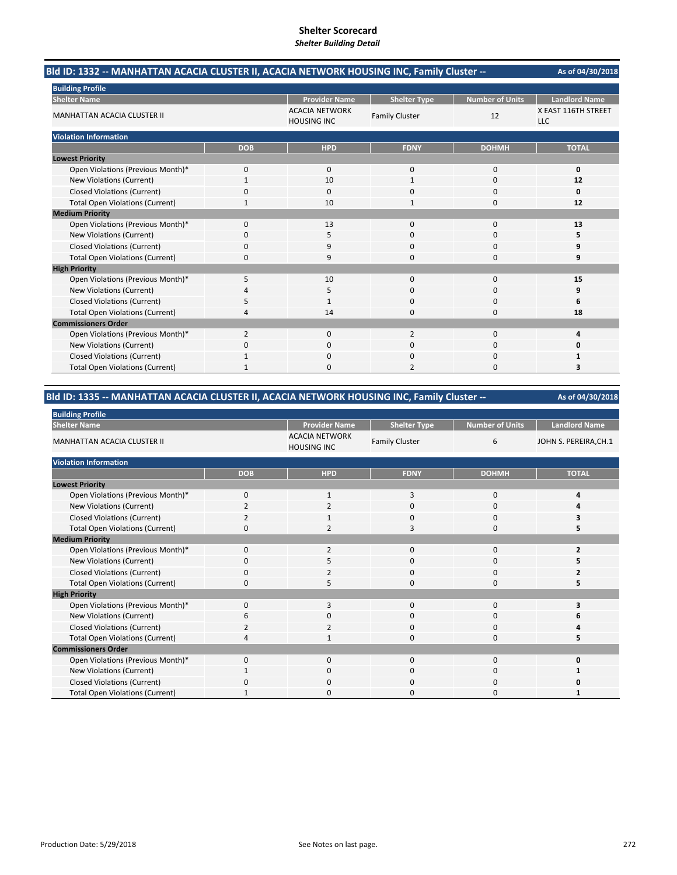| Bld ID: 1332 -- MANHATTAN ACACIA CLUSTER II, ACACIA NETWORK HOUSING INC, Family Cluster -- | As of 04/30/2018 |                                             |                       |                        |                                   |
|--------------------------------------------------------------------------------------------|------------------|---------------------------------------------|-----------------------|------------------------|-----------------------------------|
| <b>Building Profile</b>                                                                    |                  |                                             |                       |                        |                                   |
| <b>Shelter Name</b>                                                                        |                  | <b>Provider Name</b>                        | <b>Shelter Type</b>   | <b>Number of Units</b> | <b>Landlord Name</b>              |
| <b>MANHATTAN ACACIA CLUSTER II</b>                                                         |                  | <b>ACACIA NETWORK</b><br><b>HOUSING INC</b> | <b>Family Cluster</b> | 12                     | X EAST 116TH STREET<br><b>LLC</b> |
| <b>Violation Information</b>                                                               |                  |                                             |                       |                        |                                   |
|                                                                                            | <b>DOB</b>       | <b>HPD</b>                                  | <b>FDNY</b>           | <b>DOHMH</b>           | <b>TOTAL</b>                      |
| <b>Lowest Priority</b>                                                                     |                  |                                             |                       |                        |                                   |
| Open Violations (Previous Month)*                                                          | 0                | $\Omega$                                    | $\mathbf{0}$          | $\Omega$               | 0                                 |
| New Violations (Current)                                                                   | $\mathbf{1}$     | 10                                          | $\mathbf{1}$          | $\Omega$               | 12                                |
| <b>Closed Violations (Current)</b>                                                         | 0                | 0                                           | 0                     | 0                      | 0                                 |
| <b>Total Open Violations (Current)</b>                                                     | 1                | 10                                          | 1                     | $\Omega$               | 12                                |
| <b>Medium Priority</b>                                                                     |                  |                                             |                       |                        |                                   |
| Open Violations (Previous Month)*                                                          | $\Omega$         | 13                                          | $\Omega$              | $\Omega$               | 13                                |
| New Violations (Current)                                                                   | 0                | 5                                           | 0                     | 0                      | 5                                 |
| <b>Closed Violations (Current)</b>                                                         | 0                | 9                                           | $\Omega$              | $\Omega$               | 9                                 |
| <b>Total Open Violations (Current)</b>                                                     | $\Omega$         | 9                                           | O                     | $\Omega$               | 9                                 |
| <b>High Priority</b>                                                                       |                  |                                             |                       |                        |                                   |
| Open Violations (Previous Month)*                                                          | 5                | 10                                          | $\Omega$              | $\Omega$               | 15                                |
| New Violations (Current)                                                                   | 4                | 5                                           | $\Omega$              | $\Omega$               | 9                                 |
| <b>Closed Violations (Current)</b>                                                         | 5                | 1                                           | 0                     | $\Omega$               | 6                                 |
| <b>Total Open Violations (Current)</b>                                                     | 4                | 14                                          | $\Omega$              | $\Omega$               | 18                                |
| <b>Commissioners Order</b>                                                                 |                  |                                             |                       |                        |                                   |
| Open Violations (Previous Month)*                                                          | $\overline{2}$   | 0                                           | 2                     | 0                      | 4                                 |
| New Violations (Current)                                                                   | 0                | 0                                           | 0                     | $\Omega$               | 0                                 |
| <b>Closed Violations (Current)</b>                                                         | $\mathbf{1}$     | $\Omega$                                    | $\Omega$              | $\Omega$               | 1                                 |
| <b>Total Open Violations (Current)</b>                                                     | 1                | <sup>0</sup>                                | $\overline{2}$        | $\Omega$               | 3                                 |

# **Bld ID: 1335 ‐‐ MANHATTAN ACACIA CLUSTER II, ACACIA NETWORK HOUSING INC, Family Cluster ‐‐**

| <b>Building Profile</b>                |                |                                             |                       |                        |                       |
|----------------------------------------|----------------|---------------------------------------------|-----------------------|------------------------|-----------------------|
| <b>Shelter Name</b>                    |                | <b>Provider Name</b>                        | <b>Shelter Type</b>   | <b>Number of Units</b> | <b>Landlord Name</b>  |
| <b>MANHATTAN ACACIA CLUSTER II</b>     |                | <b>ACACIA NETWORK</b><br><b>HOUSING INC</b> | <b>Family Cluster</b> | 6                      | JOHN S. PEREIRA, CH.1 |
| <b>Violation Information</b>           |                |                                             |                       |                        |                       |
|                                        | <b>DOB</b>     | <b>HPD</b>                                  | <b>FDNY</b>           | <b>DOHMH</b>           | <b>TOTAL</b>          |
| <b>Lowest Priority</b>                 |                |                                             |                       |                        |                       |
| Open Violations (Previous Month)*      | $\mathbf 0$    | 1                                           | 3                     | 0                      | Δ                     |
| New Violations (Current)               | $\overline{a}$ | $\overline{\mathbf{c}}$                     | 0                     | 0                      |                       |
| Closed Violations (Current)            | 2              | 1                                           | $\mathbf 0$           | 0                      |                       |
| <b>Total Open Violations (Current)</b> | $\Omega$       | $\mathcal{I}$                               | 3                     | $\Omega$               |                       |
| <b>Medium Priority</b>                 |                |                                             |                       |                        |                       |
| Open Violations (Previous Month)*      | $\Omega$       | $\overline{2}$                              | $\Omega$              | $\Omega$               |                       |
| New Violations (Current)               | 0              | 5                                           | 0                     | 0                      |                       |
| <b>Closed Violations (Current)</b>     | 0              | $\overline{2}$                              | 0                     | 0                      |                       |
| <b>Total Open Violations (Current)</b> | $\Omega$       | 5                                           | $\Omega$              | $\Omega$               |                       |
| <b>High Priority</b>                   |                |                                             |                       |                        |                       |
| Open Violations (Previous Month)*      | $\Omega$       | 3                                           | $\Omega$              | $\Omega$               |                       |
| New Violations (Current)               | 6              | O                                           | 0                     | 0                      |                       |
| <b>Closed Violations (Current)</b>     |                | 2                                           | 0                     | 0                      |                       |
| <b>Total Open Violations (Current)</b> |                | 1                                           | $\Omega$              | $\Omega$               |                       |
| <b>Commissioners Order</b>             |                |                                             |                       |                        |                       |
| Open Violations (Previous Month)*      | $\Omega$       | 0                                           | $\mathbf{0}$          | 0                      | ŋ                     |
| New Violations (Current)               |                | $\mathbf 0$                                 | 0                     | 0                      |                       |
| <b>Closed Violations (Current)</b>     | $\Omega$       | 0                                           | 0                     | 0                      |                       |
| <b>Total Open Violations (Current)</b> |                | $\Omega$                                    | 0                     | $\Omega$               |                       |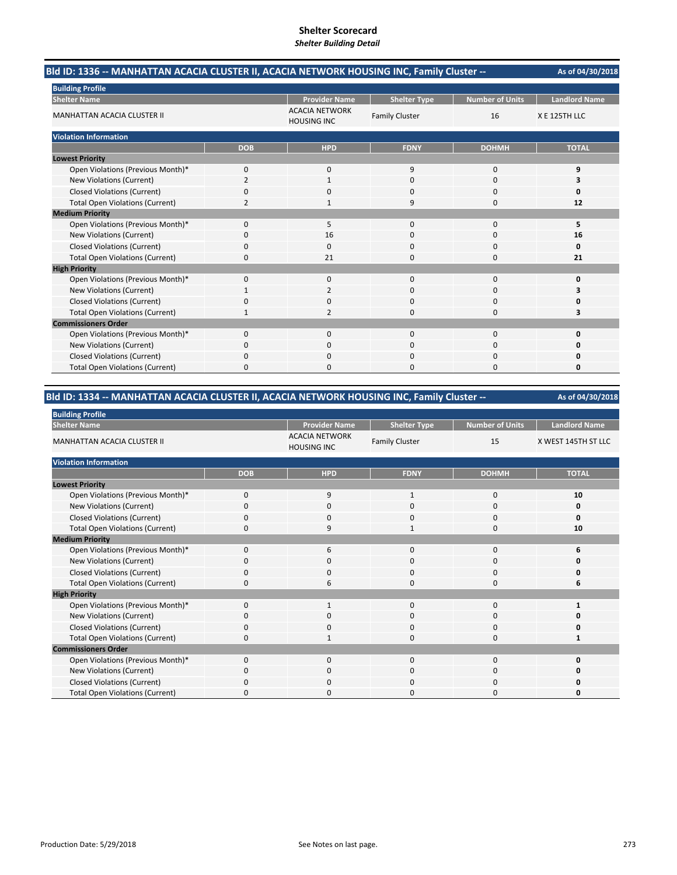| Bld ID: 1336 -- MANHATTAN ACACIA CLUSTER II, ACACIA NETWORK HOUSING INC, Family Cluster -- |                |                                             |                       |                        |                      |
|--------------------------------------------------------------------------------------------|----------------|---------------------------------------------|-----------------------|------------------------|----------------------|
| <b>Building Profile</b>                                                                    |                |                                             |                       |                        |                      |
| <b>Shelter Name</b>                                                                        |                | <b>Provider Name</b>                        | <b>Shelter Type</b>   | <b>Number of Units</b> | <b>Landlord Name</b> |
| <b>MANHATTAN ACACIA CLUSTER II</b>                                                         |                | <b>ACACIA NETWORK</b><br><b>HOUSING INC</b> | <b>Family Cluster</b> | 16                     | X E 125TH LLC        |
| <b>Violation Information</b>                                                               |                |                                             |                       |                        |                      |
|                                                                                            | <b>DOB</b>     | <b>HPD</b>                                  | <b>FDNY</b>           | <b>DOHMH</b>           | <b>TOTAL</b>         |
| <b>Lowest Priority</b>                                                                     |                |                                             |                       |                        |                      |
| Open Violations (Previous Month)*                                                          | 0              | $\mathbf{0}$                                | 9                     | $\mathbf 0$            | 9                    |
| New Violations (Current)                                                                   | $\overline{2}$ |                                             | $\Omega$              | $\Omega$               | 3                    |
| <b>Closed Violations (Current)</b>                                                         | 0              | 0                                           | $\Omega$              | $\Omega$               | 0                    |
| <b>Total Open Violations (Current)</b>                                                     | $\overline{2}$ |                                             | 9                     | $\Omega$               | 12                   |
| <b>Medium Priority</b>                                                                     |                |                                             |                       |                        |                      |
| Open Violations (Previous Month)*                                                          | $\Omega$       | 5                                           | $\Omega$              | $\Omega$               | 5                    |
| New Violations (Current)                                                                   | 0              | 16                                          | 0                     | 0                      | 16                   |
| <b>Closed Violations (Current)</b>                                                         | 0              | $\mathbf{0}$                                | 0                     | 0                      | 0                    |
| <b>Total Open Violations (Current)</b>                                                     | 0              | 21                                          | $\Omega$              | 0                      | 21                   |
| <b>High Priority</b>                                                                       |                |                                             |                       |                        |                      |
| Open Violations (Previous Month)*                                                          | 0              | $\mathbf{0}$                                | $\Omega$              | $\Omega$               | 0                    |
| New Violations (Current)                                                                   |                | 2                                           | $\Omega$              | $\Omega$               | З                    |
| <b>Closed Violations (Current)</b>                                                         | 0              | 0                                           | $\Omega$              | 0                      | Ω                    |
| <b>Total Open Violations (Current)</b>                                                     | 1              | 2                                           | $\Omega$              | $\Omega$               | 3                    |
| <b>Commissioners Order</b>                                                                 |                |                                             |                       |                        |                      |
| Open Violations (Previous Month)*                                                          | 0              | $\mathbf{0}$                                | $\Omega$              | $\Omega$               | $\Omega$             |
| New Violations (Current)                                                                   | 0              | 0                                           | 0                     | 0                      | n                    |
| <b>Closed Violations (Current)</b>                                                         | 0              | $\Omega$                                    | 0                     | 0                      | Ω                    |
| <b>Total Open Violations (Current)</b>                                                     | 0              | 0                                           | $\Omega$              | 0                      | 0                    |

# **Bld ID: 1334 ‐‐ MANHATTAN ACACIA CLUSTER II, ACACIA NETWORK HOUSING INC, Family Cluster ‐‐**

| <b>Building Profile</b>                |              |                                             |                       |                 |                      |
|----------------------------------------|--------------|---------------------------------------------|-----------------------|-----------------|----------------------|
| <b>Shelter Name</b>                    |              | <b>Provider Name</b>                        | <b>Shelter Type</b>   | Number of Units | <b>Landlord Name</b> |
| <b>MANHATTAN ACACIA CLUSTER II</b>     |              | <b>ACACIA NETWORK</b><br><b>HOUSING INC</b> | <b>Family Cluster</b> | 15              | X WEST 145TH ST LLC  |
| <b>Violation Information</b>           |              |                                             |                       |                 |                      |
|                                        | <b>DOB</b>   | <b>HPD</b>                                  | <b>FDNY</b>           | <b>DOHMH</b>    | <b>TOTAL</b>         |
| <b>Lowest Priority</b>                 |              |                                             |                       |                 |                      |
| Open Violations (Previous Month)*      | $\mathbf{0}$ | 9                                           | 1                     | 0               | 10                   |
| New Violations (Current)               |              | 0                                           | 0                     | 0               | 0                    |
| <b>Closed Violations (Current)</b>     | 0            | $\mathbf 0$                                 | 0                     | 0               | O                    |
| <b>Total Open Violations (Current)</b> | <sup>0</sup> | 9                                           | $\mathbf{1}$          | $\Omega$        | 10                   |
| <b>Medium Priority</b>                 |              |                                             |                       |                 |                      |
| Open Violations (Previous Month)*      | $\Omega$     | 6                                           | $\Omega$              | $\Omega$        | 6                    |
| New Violations (Current)               | O            | 0                                           | 0                     | 0               | n                    |
| <b>Closed Violations (Current)</b>     | 0            | $\mathbf 0$                                 | 0                     | 0               | O                    |
| <b>Total Open Violations (Current)</b> | 0            | 6                                           | 0                     | 0               | 6                    |
| <b>High Priority</b>                   |              |                                             |                       |                 |                      |
| Open Violations (Previous Month)*      | $\Omega$     | -1                                          | $\Omega$              | $\Omega$        |                      |
| New Violations (Current)               | O            | 0                                           | 0                     | 0               | n                    |
| <b>Closed Violations (Current)</b>     | 0            | $\Omega$                                    | 0                     | 0               | O                    |
| <b>Total Open Violations (Current)</b> | ŋ            |                                             | 0                     | 0               |                      |
| <b>Commissioners Order</b>             |              |                                             |                       |                 |                      |
| Open Violations (Previous Month)*      | 0            | $\Omega$                                    | 0                     | 0               | ŋ                    |
| New Violations (Current)               | O            | 0                                           | 0                     | 0               | O                    |
| <b>Closed Violations (Current)</b>     | ŋ            | 0                                           | 0                     | 0               | n                    |
| <b>Total Open Violations (Current)</b> | ŋ            | $\Omega$                                    | $\Omega$              | $\Omega$        | 0                    |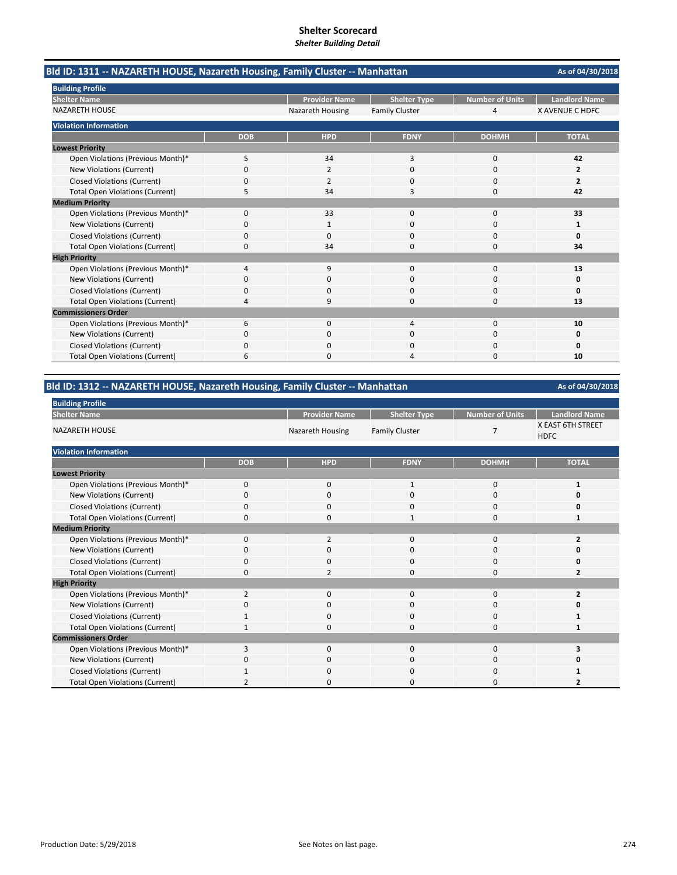**As of 04/30/2018** Provider Name | Shelter Type | Number of Units | Landlord Name Nazareth Housing Family Cluster 1 1 1 4 X AVENUE C HDFC **DOB HPD FDNY DOHMH TOTAL** Open Violations (Previous Month)\* 5 34 3 0 **42 New Violations (Current)** Closed Violations (Current) 0 0 2<br>
2 0 0 2 Total Open Violations (Current) 5 34 3 0 **42** Open Violations (Previous Month)\* 0 33 0 0 **33** New Violations (Current) 0100 **1** Closed Violations (Current) 0000 **0** Total Open Violations (Current) 0 34 0 0 **34** Open Violations (Previous Month)\* 4900 **13** New Violations (Current) 0000 **0** Closed Violations (Current) 0000 **0** Total Open Violations (Current) **4** 13<br>
13 Open Violations (Previous Month)\* 6040 **10** New Violations (Current) 0000 **0 Closed Violations (Current)** Total Open Violations (Current) **6** 10<br>
10<br>
10 **Violation Information Lowest Priority** NAZARETH HOUSE **Medium Priority High Priority Commissioners Order Shelter Name Bld ID: 1311 ‐‐ NAZARETH HOUSE, Nazareth Housing, Family Cluster ‐‐ Manhattan Building Profile**

#### **Bld ID: 1312 ‐‐ NAZARETH HOUSE, Nazareth Housing, Family Cluster ‐‐ Manhattan**

| <b>Building Profile</b>                |                |                         |                       |                        |                                  |
|----------------------------------------|----------------|-------------------------|-----------------------|------------------------|----------------------------------|
| <b>Shelter Name</b>                    |                | <b>Provider Name</b>    | <b>Shelter Type</b>   | <b>Number of Units</b> | <b>Landlord Name</b>             |
| <b>NAZARETH HOUSE</b>                  |                | <b>Nazareth Housing</b> | <b>Family Cluster</b> | 7                      | X EAST 6TH STREET<br><b>HDFC</b> |
| <b>Violation Information</b>           |                |                         |                       |                        |                                  |
|                                        | <b>DOB</b>     | <b>HPD</b>              | <b>FDNY</b>           | <b>DOHMH</b>           | <b>TOTAL</b>                     |
| <b>Lowest Priority</b>                 |                |                         |                       |                        |                                  |
| Open Violations (Previous Month)*      | 0              | 0                       | $\mathbf{1}$          | 0                      |                                  |
| New Violations (Current)               | 0              | 0                       | 0                     | 0                      |                                  |
| <b>Closed Violations (Current)</b>     | 0              | 0                       | $\mathbf 0$           | 0                      | O                                |
| <b>Total Open Violations (Current)</b> | $\Omega$       | $\mathbf{0}$            | 1                     | 0                      |                                  |
| <b>Medium Priority</b>                 |                |                         |                       |                        |                                  |
| Open Violations (Previous Month)*      | $\Omega$       | 2                       | 0                     | 0                      |                                  |
| New Violations (Current)               | O              | 0                       | 0                     | 0                      | o                                |
| <b>Closed Violations (Current)</b>     | 0              | $\mathbf{0}$            | $\mathbf 0$           | 0                      | O                                |
| <b>Total Open Violations (Current)</b> | 0              | $\overline{2}$          | 0                     | 0                      | $\overline{2}$                   |
| <b>High Priority</b>                   |                |                         |                       |                        |                                  |
| Open Violations (Previous Month)*      | $\overline{2}$ | $\mathbf{0}$            | $\Omega$              | 0                      | 2                                |
| New Violations (Current)               | 0              | 0                       | 0                     | 0                      | o                                |
| <b>Closed Violations (Current)</b>     |                | 0                       | $\mathbf 0$           | 0                      |                                  |
| <b>Total Open Violations (Current)</b> | 1              | 0                       | 0                     | 0                      |                                  |
| <b>Commissioners Order</b>             |                |                         |                       |                        |                                  |
| Open Violations (Previous Month)*      | 3              | $\mathbf 0$             | $\mathbf 0$           | 0                      |                                  |
| New Violations (Current)               | 0              | 0                       | 0                     | 0                      |                                  |
| <b>Closed Violations (Current)</b>     |                | 0                       | 0                     | 0                      |                                  |
| <b>Total Open Violations (Current)</b> | 2              | 0                       | 0                     | 0                      |                                  |